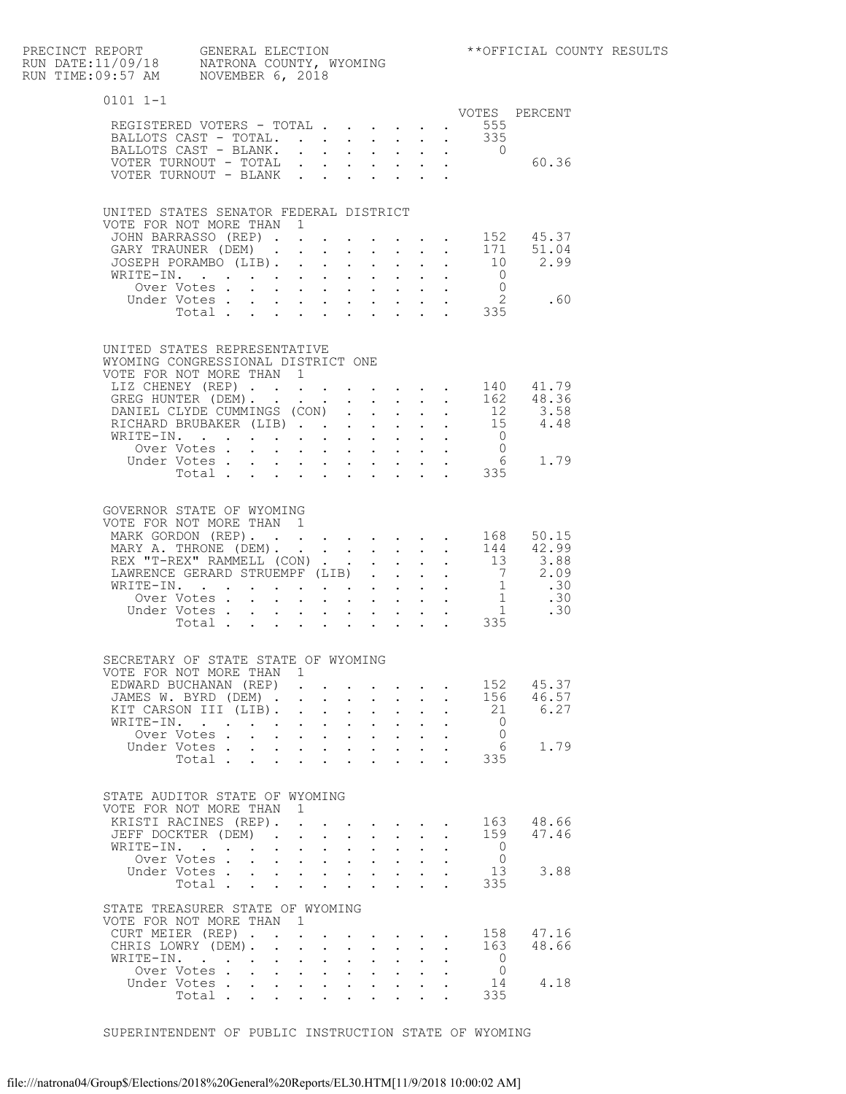| PRECINCT REPORT GENERAL ELECTION<br>RUN DATE:11/09/18 NATRONA COUNTY, WYOMING<br>RUN TIME:09:57 AM NOVEMBER 6, 2018 |         |                      |                                    |                                                |                                      |                                                           |                                                                                                                       |                                                     |                                                                                   |                                                                                | **OFFICIAL CO                                                                                                                                           |
|---------------------------------------------------------------------------------------------------------------------|---------|----------------------|------------------------------------|------------------------------------------------|--------------------------------------|-----------------------------------------------------------|-----------------------------------------------------------------------------------------------------------------------|-----------------------------------------------------|-----------------------------------------------------------------------------------|--------------------------------------------------------------------------------|---------------------------------------------------------------------------------------------------------------------------------------------------------|
| 0101 1-1                                                                                                            |         |                      |                                    |                                                |                                      |                                                           |                                                                                                                       |                                                     |                                                                                   |                                                                                |                                                                                                                                                         |
| REGISTERED VOTERS - TOTAL                                                                                           |         |                      |                                    |                                                |                                      |                                                           |                                                                                                                       |                                                     |                                                                                   | . 555                                                                          | VOTES PERCENT                                                                                                                                           |
| BALLOTS CAST - TOTAL. 335                                                                                           |         |                      |                                    |                                                |                                      |                                                           |                                                                                                                       |                                                     |                                                                                   |                                                                                |                                                                                                                                                         |
| BALLOTS CAST - BLANK.                                                                                               |         |                      |                                    |                                                |                                      |                                                           | $\mathbf{L}$ , $\mathbf{L}$ , $\mathbf{L}$ , $\mathbf{L}$                                                             |                                                     | $\mathbf{L}$ and $\mathbf{L}$                                                     | $\overline{0}$                                                                 |                                                                                                                                                         |
| VOTER TURNOUT - TOTAL                                                                                               |         |                      |                                    | $\ddot{\phantom{0}}$                           |                                      |                                                           | $\mathbf{L}^{\text{max}}$ , and $\mathbf{L}^{\text{max}}$                                                             |                                                     | $\mathbf{r} = \mathbf{r} \mathbf{r}$ , where $\mathbf{r} = \mathbf{r} \mathbf{r}$ |                                                                                | 60.36                                                                                                                                                   |
| VOTER TURNOUT - BLANK                                                                                               |         |                      |                                    |                                                |                                      |                                                           |                                                                                                                       |                                                     |                                                                                   |                                                                                |                                                                                                                                                         |
| UNITED STATES SENATOR FEDERAL DISTRICT                                                                              |         |                      |                                    |                                                |                                      |                                                           |                                                                                                                       |                                                     |                                                                                   |                                                                                |                                                                                                                                                         |
| VOTE FOR NOT MORE THAN 1<br>JOHN BARRASSO (REP).                                                                    |         |                      |                                    |                                                |                                      |                                                           |                                                                                                                       |                                                     |                                                                                   |                                                                                |                                                                                                                                                         |
| GARY TRAUNER (DEM).                                                                                                 |         |                      |                                    |                                                | $\ddot{\phantom{a}}$                 |                                                           |                                                                                                                       |                                                     |                                                                                   |                                                                                | 152   45.37<br>171   51.04                                                                                                                              |
| JOSEPH PORAMBO (LIB).                                                                                               |         |                      |                                    | $\ddot{\phantom{0}}$                           |                                      | $\mathbf{z} = \mathbf{z} + \mathbf{z}$ .                  | $\mathbf{L}^{\text{max}}$                                                                                             | $\ddot{\phantom{0}}$                                | $\mathbf{L}^{\text{max}}$                                                         |                                                                                |                                                                                                                                                         |
| WRITE-IN.                                                                                                           |         |                      |                                    |                                                |                                      | $\mathbf{L}$ and $\mathbf{L}$                             |                                                                                                                       |                                                     |                                                                                   |                                                                                | $\begin{matrix} 10 & 2.99 \\ 0 & \end{matrix}$                                                                                                          |
| Over Votes.                                                                                                         |         |                      | $\mathbf{L}$ and $\mathbf{L}$      | $\sim$ $-$                                     |                                      | $\mathbf{L}^{\text{max}}$ , and $\mathbf{L}^{\text{max}}$ | $\sim 10^{-11}$                                                                                                       |                                                     |                                                                                   | $\begin{array}{ccc}\n\cdot & & 0 \\ \cdot & & 2 \\ \cdot & & 335\n\end{array}$ |                                                                                                                                                         |
| Under Votes.                                                                                                        |         |                      | $\sim$                             |                                                | $\cdot$ $\cdot$ $\cdot$ $\cdot$      |                                                           |                                                                                                                       |                                                     |                                                                                   |                                                                                | .60                                                                                                                                                     |
|                                                                                                                     | Total.  | $\Delta \sim 1$      | $\sim$                             | $\ddot{\phantom{0}}$                           |                                      | $\mathbf{r} = \mathbf{r} + \mathbf{r}$ .                  |                                                                                                                       |                                                     |                                                                                   |                                                                                |                                                                                                                                                         |
| UNITED STATES REPRESENTATIVE                                                                                        |         |                      |                                    |                                                |                                      |                                                           |                                                                                                                       |                                                     |                                                                                   |                                                                                |                                                                                                                                                         |
| WYOMING CONGRESSIONAL DISTRICT ONE                                                                                  |         |                      |                                    |                                                |                                      |                                                           |                                                                                                                       |                                                     |                                                                                   |                                                                                |                                                                                                                                                         |
| VOTE FOR NOT MORE THAN 1                                                                                            |         |                      |                                    |                                                |                                      |                                                           |                                                                                                                       |                                                     |                                                                                   |                                                                                |                                                                                                                                                         |
| LIZ CHENEY (REP)                                                                                                    |         |                      |                                    |                                                | $\ddot{\phantom{a}}$                 | <b>Contractor</b>                                         |                                                                                                                       | $\mathbf{r} = \mathbf{r} + \mathbf{r} + \mathbf{r}$ |                                                                                   |                                                                                | $\begin{array}{rrrr} 140 & 41.79 \\ 162 & 48.36 \\ 12 & 3.58 \\ 15 & 4.48 \end{array}$                                                                  |
| GREG HUNTER (DEM). .<br>DANIEL CLYDE CUMMINGS (CON).                                                                |         |                      |                                    |                                                |                                      |                                                           | $\mathcal{L}^{\text{max}}$                                                                                            | $\mathbf{L}^{\text{max}}$                           | $\mathbf{a} = \mathbf{a}$                                                         |                                                                                |                                                                                                                                                         |
| RICHARD BRUBAKER (LIB)                                                                                              |         |                      |                                    |                                                |                                      |                                                           |                                                                                                                       |                                                     |                                                                                   |                                                                                |                                                                                                                                                         |
| WRITE-IN.                                                                                                           |         |                      |                                    |                                                |                                      |                                                           | $\mathbf{r} = \mathbf{r} + \mathbf{r} + \mathbf{r} + \mathbf{r} + \mathbf{r}$                                         | $\mathbf{L}^{\text{max}}$                           | $\mathcal{A}^{\mathcal{A}}$ , $\mathcal{A}^{\mathcal{A}}$                         | $\overline{0}$                                                                 |                                                                                                                                                         |
| Over Votes.                                                                                                         |         |                      | $\ddot{\phantom{a}}$               | $\sim$                                         |                                      |                                                           | $\mathbf{r}$ , $\mathbf{r}$ , $\mathbf{r}$                                                                            |                                                     |                                                                                   | $\overline{0}$                                                                 |                                                                                                                                                         |
| Under Votes.                                                                                                        |         | $\sim 100$           |                                    | $\mathbf{A}$ and $\mathbf{A}$ and $\mathbf{A}$ |                                      | $\mathbf{z} = \mathbf{z} + \mathbf{z}$ .                  | $\mathcal{L}^{\text{max}}$                                                                                            | $\ddot{\phantom{0}}$                                | $\sim$ $-$                                                                        | 335                                                                            | 6 1.79                                                                                                                                                  |
|                                                                                                                     | Total.  |                      | $\sim$                             |                                                |                                      |                                                           |                                                                                                                       |                                                     |                                                                                   |                                                                                |                                                                                                                                                         |
| GOVERNOR STATE OF WYOMING                                                                                           |         |                      |                                    |                                                |                                      |                                                           |                                                                                                                       |                                                     |                                                                                   |                                                                                |                                                                                                                                                         |
| VOTE FOR NOT MORE THAN 1                                                                                            |         |                      |                                    |                                                |                                      |                                                           |                                                                                                                       |                                                     |                                                                                   |                                                                                |                                                                                                                                                         |
| MARK GORDON (REP).                                                                                                  |         |                      |                                    |                                                |                                      |                                                           | the contract of the contract of the                                                                                   |                                                     |                                                                                   |                                                                                | 168 50.15<br>144 42.99                                                                                                                                  |
| MARY A. THRONE (DEM).<br>REX "T-REX" RAMMELL (CON)                                                                  |         |                      |                                    |                                                |                                      |                                                           |                                                                                                                       |                                                     |                                                                                   |                                                                                |                                                                                                                                                         |
| LAWRENCE GERARD STRUEMPF (LIB).                                                                                     |         |                      |                                    |                                                |                                      |                                                           |                                                                                                                       |                                                     | $\sim 10^{-11}$                                                                   |                                                                                | $\begin{array}{cccc} . & & 13 & & 3.88 \\ . & & 7 & & 2.09 \\ . & & 1 & & .30 \\ . & & 1 & & .30 \\ . & & 1 & & .30 \\ . & & . & 1 & & .30 \end{array}$ |
| WRITE-IN.                                                                                                           |         |                      |                                    | $\mathbf{z} = \mathbf{z} + \mathbf{z}$ .       |                                      |                                                           | $\mathbf{1}^{\prime}$ , $\mathbf{1}^{\prime}$ , $\mathbf{1}^{\prime}$ , $\mathbf{1}^{\prime}$ , $\mathbf{1}^{\prime}$ | $\mathcal{L}^{\text{max}}$                          |                                                                                   |                                                                                |                                                                                                                                                         |
| Over Votes.                                                                                                         |         |                      |                                    | $\mathbf{L}$                                   | $\mathbf{A}$                         | $\mathbf{L}$                                              |                                                                                                                       |                                                     |                                                                                   |                                                                                |                                                                                                                                                         |
| Under Votes .                                                                                                       |         | $\sim$ 100 $\pm$     | $\mathbf{z} = \mathbf{z}$          | $\mathbf{L}^{\text{max}}$                      | $\mathbf{L}^{\text{max}}$            | $\ddotsc$                                                 | $\ddot{\phantom{0}}$                                                                                                  |                                                     |                                                                                   |                                                                                |                                                                                                                                                         |
|                                                                                                                     | Total . |                      |                                    |                                                |                                      |                                                           |                                                                                                                       |                                                     |                                                                                   | 335                                                                            |                                                                                                                                                         |
| SECRETARY OF STATE STATE OF WYOMING                                                                                 |         |                      |                                    |                                                |                                      |                                                           |                                                                                                                       |                                                     |                                                                                   |                                                                                |                                                                                                                                                         |
| VOTE FOR NOT MORE THAN 1                                                                                            |         |                      |                                    |                                                |                                      |                                                           |                                                                                                                       |                                                     |                                                                                   |                                                                                |                                                                                                                                                         |
| EDWARD BUCHANAN (REP)                                                                                               |         |                      |                                    |                                                |                                      |                                                           |                                                                                                                       |                                                     |                                                                                   |                                                                                | 152 45.37<br>156 46.57                                                                                                                                  |
| JAMES W. BYRD (DEM).                                                                                                |         |                      |                                    |                                                |                                      |                                                           |                                                                                                                       |                                                     |                                                                                   |                                                                                |                                                                                                                                                         |
| KIT CARSON III (LIB).<br>WRITE-IN.                                                                                  |         |                      |                                    | $\ddot{\phantom{0}}$                           | $\mathcal{L}^{\text{max}}$<br>$\sim$ | $\ddot{\phantom{0}}$<br>$\ddot{\phantom{0}}$              |                                                                                                                       |                                                     |                                                                                   | 21<br>$\overline{0}$                                                           | 6.27                                                                                                                                                    |
| Over Votes.                                                                                                         |         | $\ddot{\phantom{a}}$ | $\ddot{\phantom{0}}$<br>$\sim$ $-$ | $\ddot{\phantom{0}}$                           |                                      | $\mathbf{L} = \mathbf{L} \mathbf{L}$                      |                                                                                                                       |                                                     |                                                                                   | $\overline{0}$                                                                 |                                                                                                                                                         |
| Under Votes.                                                                                                        |         |                      | $\mathbf{L}$                       | $\mathbf{L}$                                   | $\sim$ 100 $\mu$                     | $\ddot{\phantom{0}}$                                      |                                                                                                                       | $\mathcal{L}^{\text{max}}$                          |                                                                                   | 6                                                                              | 1.79                                                                                                                                                    |
|                                                                                                                     | Total . | $\ddot{\phantom{0}}$ | $\sim$                             | $\ddot{\phantom{0}}$                           | $\ddot{\phantom{a}}$                 |                                                           | $\ddot{\phantom{0}}$                                                                                                  |                                                     |                                                                                   | 335                                                                            |                                                                                                                                                         |
|                                                                                                                     |         |                      |                                    |                                                |                                      |                                                           |                                                                                                                       |                                                     |                                                                                   |                                                                                |                                                                                                                                                         |

| STATE AUDITOR STATE OF WYOMING<br>VOTE FOR NOT MORE THAN<br>$\overline{1}$ |                   |
|----------------------------------------------------------------------------|-------------------|
| KRISTI RACINES (REP).                                                      | 48.66<br>163      |
| JEFF DOCKTER (DEM)                                                         | 47.46<br>159      |
| WRITE-IN.                                                                  |                   |
| Over Votes.                                                                |                   |
| Under Votes.                                                               | 13<br>3.88        |
| Total.                                                                     | 335               |
| STATE TREASURER STATE OF<br>WYOMING<br>VOTE FOR NOT MORE THAN              |                   |
| CURT MEIER (REP)                                                           | 158<br>47.16      |
| CHRIS LOWRY (DEM).                                                         | 48.66<br>163      |
| WRITE-IN.                                                                  |                   |
|                                                                            |                   |
| Over Votes.                                                                |                   |
| Under Votes<br>Total                                                       | 4.18<br>14<br>335 |

SUPERINTENDENT OF PUBLIC INSTRUCTION STATE OF WYOMING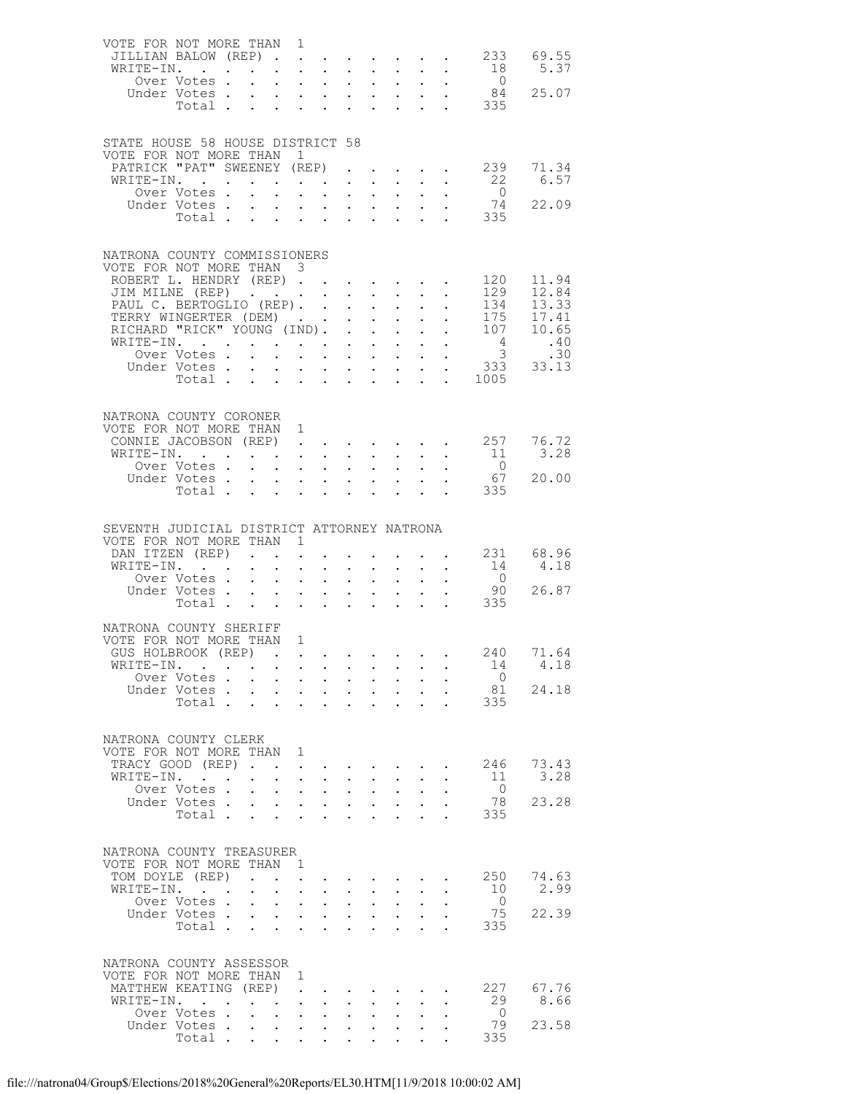| VOTE FOR NOT MORE THAN 1                             |                                |                      |                                                                             |                                                                           |                                                                 |                               |                                                                                              |                                                             |                                              |                       |                                                                                                |
|------------------------------------------------------|--------------------------------|----------------------|-----------------------------------------------------------------------------|---------------------------------------------------------------------------|-----------------------------------------------------------------|-------------------------------|----------------------------------------------------------------------------------------------|-------------------------------------------------------------|----------------------------------------------|-----------------------|------------------------------------------------------------------------------------------------|
| JILLIAN BALOW (REP)                                  |                                |                      |                                                                             |                                                                           |                                                                 |                               |                                                                                              |                                                             |                                              |                       | 233 69.55                                                                                      |
| WRITE-IN.                                            |                                |                      |                                                                             |                                                                           | $\mathbf{r}$ $\mathbf{r}$                                       |                               |                                                                                              | $\mathcal{L}^{\text{max}}$ , and $\mathcal{L}^{\text{max}}$ |                                              | 18                    | 5.37                                                                                           |
|                                                      | Over Votes .                   |                      | $\mathbf{r} = \mathbf{r} + \mathbf{r} + \mathbf{r} + \mathbf{r}$ .          |                                                                           | $\bullet$ .                                                     |                               | $\mathbf{z} = \mathbf{z} + \mathbf{z}$                                                       |                                                             |                                              | $\overline{0}$        |                                                                                                |
|                                                      | Under Votes.                   |                      | $\mathbf{r}$ , $\mathbf{r}$ , $\mathbf{r}$ , $\mathbf{r}$ , $\mathbf{r}$    |                                                                           |                                                                 |                               |                                                                                              |                                                             |                                              |                       | $\begin{array}{cccc} . & . & . & 0 \\ . & . & . & 84 & 25.07 \\ . & . & . & 335 & \end{array}$ |
|                                                      | Total.                         | $\sim$ 10 $\pm$      | $\sim$                                                                      | $\mathbf{L}$ and $\mathbf{L}$                                             | $\ddot{\phantom{0}}$                                            | $\ddot{\phantom{0}}$          | $\sim$                                                                                       |                                                             |                                              |                       |                                                                                                |
|                                                      |                                |                      |                                                                             |                                                                           |                                                                 |                               |                                                                                              |                                                             |                                              |                       |                                                                                                |
| STATE HOUSE 58 HOUSE DISTRICT 58                     |                                |                      |                                                                             |                                                                           |                                                                 |                               |                                                                                              |                                                             |                                              |                       |                                                                                                |
| VOTE FOR NOT MORE THAN 1                             |                                |                      |                                                                             |                                                                           |                                                                 |                               |                                                                                              |                                                             |                                              |                       |                                                                                                |
| PATRICK "PAT" SWEENEY (REP)                          |                                |                      |                                                                             |                                                                           |                                                                 |                               |                                                                                              |                                                             |                                              |                       | $\cdot$ $\cdot$ $\cdot$ $\cdot$ $\cdot$ 239 71.34                                              |
| WRITE-IN.                                            |                                |                      |                                                                             | $\mathcal{L}^{\text{max}}$ , $\mathcal{L}^{\text{max}}$                   |                                                                 |                               |                                                                                              | <b>Service Control</b>                                      |                                              | 22                    | 6.57                                                                                           |
|                                                      | Over Votes .                   |                      | $\mathbf{L}$                                                                | $\mathbf{L} = \mathbf{L} \mathbf{L}$                                      |                                                                 |                               | $\mathcal{L}^{\text{max}}$ , and $\mathcal{L}^{\text{max}}$ , and $\mathcal{L}^{\text{max}}$ |                                                             |                                              | $\overline{0}$        |                                                                                                |
|                                                      | Under Votes                    |                      |                                                                             |                                                                           |                                                                 |                               |                                                                                              |                                                             |                                              | 74                    | 22.09                                                                                          |
|                                                      |                                |                      |                                                                             |                                                                           |                                                                 |                               |                                                                                              |                                                             |                                              | Votes 74<br>Total 335 |                                                                                                |
|                                                      |                                |                      |                                                                             |                                                                           |                                                                 |                               |                                                                                              |                                                             |                                              |                       |                                                                                                |
|                                                      |                                |                      |                                                                             |                                                                           |                                                                 |                               |                                                                                              |                                                             |                                              |                       |                                                                                                |
| NATRONA COUNTY COMMISSIONERS                         |                                |                      |                                                                             |                                                                           |                                                                 |                               |                                                                                              |                                                             |                                              |                       |                                                                                                |
| VOTE FOR NOT MORE THAN 3                             |                                |                      |                                                                             |                                                                           |                                                                 |                               |                                                                                              |                                                             |                                              |                       |                                                                                                |
| ROBERT L. HENDRY (REP)                               |                                |                      |                                                                             |                                                                           |                                                                 |                               |                                                                                              |                                                             |                                              | 120                   | 11.94                                                                                          |
| JIM MILNE (REP)                                      |                                |                      |                                                                             |                                                                           |                                                                 | $\mathbf{L}$ and $\mathbf{L}$ | $\sim$                                                                                       |                                                             |                                              | 129                   | 12.84                                                                                          |
| PAUL C. BERTOGLIO (REP). .                           |                                |                      |                                                                             |                                                                           | $\ddot{\phantom{0}}$                                            | $\bullet$ .                   | $\sim 10^{-11}$                                                                              |                                                             |                                              | 134                   | 13.33                                                                                          |
| TERRY WINGERTER (DEM)<br>RICHARD "RICK" YOUNG (IND). |                                |                      |                                                                             |                                                                           | $\ddot{\phantom{0}}$                                            |                               | $\mathbf{L} = \mathbf{L}$                                                                    |                                                             |                                              | 107                   | 175 17.41<br>10.65                                                                             |
| WRITE-IN.                                            |                                |                      |                                                                             |                                                                           |                                                                 | $\sim$ $-$                    | $\sim$ $-$<br>$\mathbf{1}$ $\mathbf{1}$ $\mathbf{1}$ $\mathbf{1}$ $\mathbf{1}$               |                                                             | $\mathbf{r} = \mathbf{r} \cdot \mathbf{r}$ . | $4\overline{4}$       |                                                                                                |
|                                                      | Over Votes.                    | $\mathbf{L}$         | $\mathbf{L}$                                                                | $\mathbf{z} = \mathbf{z} + \mathbf{z}$ .<br>$\mathbf{L}$ and $\mathbf{L}$ |                                                                 |                               |                                                                                              |                                                             |                                              |                       | $\begin{array}{ccc} 4 & .40 \\ 3 & .30 \\ 333 & 33.13 \end{array}$                             |
|                                                      | Under Votes                    |                      |                                                                             | $\mathbf{r} = \mathbf{r} + \mathbf{r} + \mathbf{r} + \mathbf{r}$          | $\mathbf{L}^{\text{max}}$                                       |                               | $\mathbf{v} = \mathbf{v} \mathbf{v}$ .                                                       | $\mathbf{A}^{(1)}$ and                                      |                                              |                       |                                                                                                |
|                                                      | Total                          |                      |                                                                             | $\mathbf{z} = \mathbf{z} + \mathbf{z}$ .                                  | $\ddot{\phantom{0}}$                                            | $\ddot{\phantom{0}}$          | $\ddot{\phantom{a}}$                                                                         |                                                             | $\mathcal{L}^{\text{max}}$                   | 1005                  |                                                                                                |
|                                                      |                                |                      |                                                                             |                                                                           |                                                                 |                               |                                                                                              |                                                             |                                              |                       |                                                                                                |
|                                                      |                                |                      |                                                                             |                                                                           |                                                                 |                               |                                                                                              |                                                             |                                              |                       |                                                                                                |
| NATRONA COUNTY CORONER                               |                                |                      |                                                                             |                                                                           |                                                                 |                               |                                                                                              |                                                             |                                              |                       |                                                                                                |
| VOTE FOR NOT MORE THAN 1                             |                                |                      |                                                                             |                                                                           |                                                                 |                               |                                                                                              |                                                             |                                              |                       |                                                                                                |
| CONNIE JACOBSON (REP) 257 76.72                      |                                |                      |                                                                             |                                                                           |                                                                 |                               |                                                                                              |                                                             |                                              |                       |                                                                                                |
| WRITE-IN.                                            |                                |                      |                                                                             | $\mathbf{u} = \mathbf{u} + \mathbf{u}$ , where                            |                                                                 |                               | $\mathbf{L}^{\text{max}}$ , $\mathbf{L}^{\text{max}}$                                        |                                                             |                                              | 11                    | 3.28                                                                                           |
|                                                      | Over Votes .                   |                      | $\ddot{\phantom{a}}$ . $\ddot{\phantom{a}}$                                 |                                                                           | $\mathbf{L}$ and $\mathbf{L}$                                   |                               |                                                                                              |                                                             |                                              | $\overline{0}$        |                                                                                                |
|                                                      | Under Votes                    |                      |                                                                             |                                                                           | $\ddot{\phantom{0}}$                                            | $\bullet$ .                   |                                                                                              |                                                             |                                              | 67                    | 20.00                                                                                          |
|                                                      | Total                          |                      |                                                                             |                                                                           |                                                                 |                               |                                                                                              |                                                             |                                              | . 335                 |                                                                                                |
|                                                      |                                |                      |                                                                             |                                                                           |                                                                 |                               |                                                                                              |                                                             |                                              |                       |                                                                                                |
|                                                      |                                |                      |                                                                             |                                                                           |                                                                 |                               |                                                                                              |                                                             |                                              |                       |                                                                                                |
| SEVENTH JUDICIAL DISTRICT ATTORNEY NATRONA           |                                |                      |                                                                             |                                                                           |                                                                 |                               |                                                                                              |                                                             |                                              |                       |                                                                                                |
|                                                      |                                |                      |                                                                             |                                                                           |                                                                 |                               |                                                                                              |                                                             |                                              |                       |                                                                                                |
| VOTE FOR NOT MORE THAN 1                             |                                |                      |                                                                             |                                                                           |                                                                 |                               |                                                                                              |                                                             |                                              |                       |                                                                                                |
| DAN ITZEN (REP)                                      |                                | $\mathbf{L}$         | $\ddot{\phantom{a}}$                                                        |                                                                           |                                                                 |                               |                                                                                              |                                                             |                                              |                       | 231 68.96                                                                                      |
| WRITE-IN.                                            |                                |                      | $\ddot{\phantom{a}}$                                                        | $\ddot{\phantom{a}}$                                                      | $\sim$                                                          | $\ddot{\phantom{0}}$          |                                                                                              |                                                             |                                              | 14                    | 4.18                                                                                           |
|                                                      | Over Votes                     |                      | $\mathbf{L}^{\text{max}}$                                                   | $\mathbf{r} = \mathbf{r} \cdot \mathbf{r}$                                | $\bullet$ .                                                     |                               |                                                                                              |                                                             |                                              | $\overline{0}$        |                                                                                                |
|                                                      | Under Votes                    |                      |                                                                             |                                                                           | $\mathbf{L}$                                                    |                               | $\begin{array}{ccc} \star & \star & \star \\ \star & \star & \star \end{array}$              |                                                             |                                              |                       | 26.87                                                                                          |
|                                                      | Total                          |                      |                                                                             | $\mathbf{L}^{\text{max}}$ , and $\mathbf{L}^{\text{max}}$                 |                                                                 |                               |                                                                                              |                                                             |                                              | 90<br>335             |                                                                                                |
|                                                      |                                |                      |                                                                             |                                                                           |                                                                 |                               |                                                                                              |                                                             |                                              |                       |                                                                                                |
| NATRONA COUNTY SHERIFF                               |                                |                      |                                                                             |                                                                           |                                                                 |                               |                                                                                              |                                                             |                                              |                       |                                                                                                |
| VOTE FOR NOT MORE THAN 1                             |                                |                      |                                                                             |                                                                           |                                                                 |                               |                                                                                              |                                                             |                                              |                       |                                                                                                |
|                                                      |                                |                      |                                                                             |                                                                           |                                                                 |                               |                                                                                              |                                                             |                                              |                       | 240 71.64                                                                                      |
| GUS HOLBROOK (REP)<br>WRITE-IN.                      |                                |                      |                                                                             |                                                                           |                                                                 |                               |                                                                                              |                                                             |                                              | 14                    | 4.18                                                                                           |
|                                                      | Over Votes                     |                      | $\sim$                                                                      | $\mathbf{L}^{\text{max}}$ , $\mathbf{L}^{\text{max}}$                     | $\bullet$ .                                                     | $\bullet$ .                   |                                                                                              |                                                             |                                              | $\circ$ 0             |                                                                                                |
|                                                      | Under Votes                    |                      |                                                                             |                                                                           |                                                                 | $\sim$                        | $\sim$                                                                                       |                                                             |                                              | 81                    | 24.18                                                                                          |
|                                                      | Total                          |                      |                                                                             |                                                                           |                                                                 |                               |                                                                                              |                                                             |                                              | 335                   |                                                                                                |
|                                                      |                                |                      |                                                                             |                                                                           |                                                                 |                               |                                                                                              |                                                             |                                              |                       |                                                                                                |
|                                                      |                                |                      |                                                                             |                                                                           |                                                                 |                               |                                                                                              |                                                             |                                              |                       |                                                                                                |
| NATRONA COUNTY CLERK                                 |                                |                      |                                                                             |                                                                           |                                                                 |                               |                                                                                              |                                                             |                                              |                       |                                                                                                |
| VOTE FOR NOT MORE THAN 1                             |                                |                      |                                                                             |                                                                           |                                                                 |                               |                                                                                              |                                                             |                                              |                       |                                                                                                |
| TRACY GOOD (REP).                                    |                                |                      |                                                                             |                                                                           |                                                                 |                               |                                                                                              | $\ddot{\phantom{0}}$                                        |                                              | 246                   | 73.43                                                                                          |
| WRITE-IN.                                            | $\sim$ $\sim$                  |                      | $\ddot{\phantom{0}}$                                                        | $\mathbf{z} = \mathbf{z} + \mathbf{z}$ .                                  |                                                                 |                               |                                                                                              |                                                             |                                              | 11                    | 3.28                                                                                           |
|                                                      | Over Votes.                    |                      | $\mathbf{L}$                                                                | $\mathbf{L} = \mathbf{L}$                                                 | $\ddot{\phantom{a}}$                                            |                               |                                                                                              |                                                             |                                              | $\overline{0}$        |                                                                                                |
|                                                      | Under Votes                    |                      | $\ddot{\phantom{0}}$                                                        | $\mathbf{A}^{\text{max}}$ , and $\mathbf{A}^{\text{max}}$                 | $\bullet$ .                                                     | $\sim 10^{-11}$               | $\sim$ $-$                                                                                   |                                                             |                                              | - 78                  | 23.28                                                                                          |
|                                                      | Total                          |                      |                                                                             |                                                                           |                                                                 |                               |                                                                                              |                                                             |                                              | 335                   |                                                                                                |
|                                                      |                                |                      |                                                                             |                                                                           |                                                                 |                               |                                                                                              |                                                             |                                              |                       |                                                                                                |
|                                                      |                                |                      |                                                                             |                                                                           |                                                                 |                               |                                                                                              |                                                             |                                              |                       |                                                                                                |
| NATRONA COUNTY TREASURER<br>VOTE FOR NOT MORE THAN   |                                |                      | $\overline{1}$                                                              |                                                                           |                                                                 |                               |                                                                                              |                                                             |                                              |                       |                                                                                                |
|                                                      |                                |                      |                                                                             |                                                                           |                                                                 |                               |                                                                                              |                                                             |                                              |                       |                                                                                                |
| TOM DOYLE (REP)                                      |                                |                      |                                                                             |                                                                           |                                                                 |                               |                                                                                              |                                                             |                                              | 250                   | 74.63                                                                                          |
| WRITE-IN.                                            | Over Votes .                   | $\ddot{\phantom{0}}$ | $\ddot{\phantom{a}}$                                                        | $\ddot{\phantom{a}}$                                                      | $\sim$                                                          |                               |                                                                                              |                                                             |                                              | 10<br>$\overline{0}$  | 2.99                                                                                           |
|                                                      | Under Votes .                  |                      | $\ddot{\phantom{0}}$<br>$\mathbf{r} = \mathbf{r} + \mathbf{r} + \mathbf{r}$ | $\mathbf{L}^{\text{max}}$ , and $\mathbf{L}^{\text{max}}$                 | $\mathbb{Z}^{\mathbb{Z}^{\times}}$<br>$\mathbf{L}^{\text{max}}$ | $\bullet$ .                   | $\mathbf{L} = \mathbf{L}$                                                                    |                                                             |                                              | 75                    | 22.39                                                                                          |
|                                                      | Total .                        | $\sim$ $-$           | $\ddot{\phantom{0}}$<br>$\ddot{\phantom{0}}$                                | $\ddot{\phantom{0}}$                                                      |                                                                 |                               |                                                                                              |                                                             |                                              | 335                   |                                                                                                |
|                                                      |                                |                      |                                                                             |                                                                           |                                                                 |                               |                                                                                              |                                                             |                                              |                       |                                                                                                |
|                                                      |                                |                      |                                                                             |                                                                           |                                                                 |                               |                                                                                              |                                                             |                                              |                       |                                                                                                |
| NATRONA COUNTY ASSESSOR                              |                                |                      |                                                                             |                                                                           |                                                                 |                               |                                                                                              |                                                             |                                              |                       |                                                                                                |
| VOTE FOR NOT MORE THAN 1                             |                                |                      |                                                                             |                                                                           |                                                                 |                               |                                                                                              |                                                             |                                              |                       |                                                                                                |
| MATTHEW KEATING (REP)                                |                                |                      |                                                                             |                                                                           |                                                                 |                               |                                                                                              |                                                             |                                              | 227                   | 67.76                                                                                          |
| WRITE-IN.                                            |                                |                      | $\bullet$ .<br><br><br><br><br><br><br><br><br><br><br><br>                 | $\ddot{\phantom{0}}$                                                      |                                                                 |                               |                                                                                              |                                                             |                                              | 29                    | 8.66                                                                                           |
|                                                      | Over Votes.                    |                      | $\sim$ $-$<br>$\mathbf{L}$                                                  |                                                                           |                                                                 |                               |                                                                                              |                                                             |                                              | $\overline{0}$        |                                                                                                |
|                                                      | Under Votes.<br>Total $\cdots$ |                      | $\bullet$ .                                                                 |                                                                           |                                                                 |                               |                                                                                              |                                                             |                                              | 79<br>335             | 23.58                                                                                          |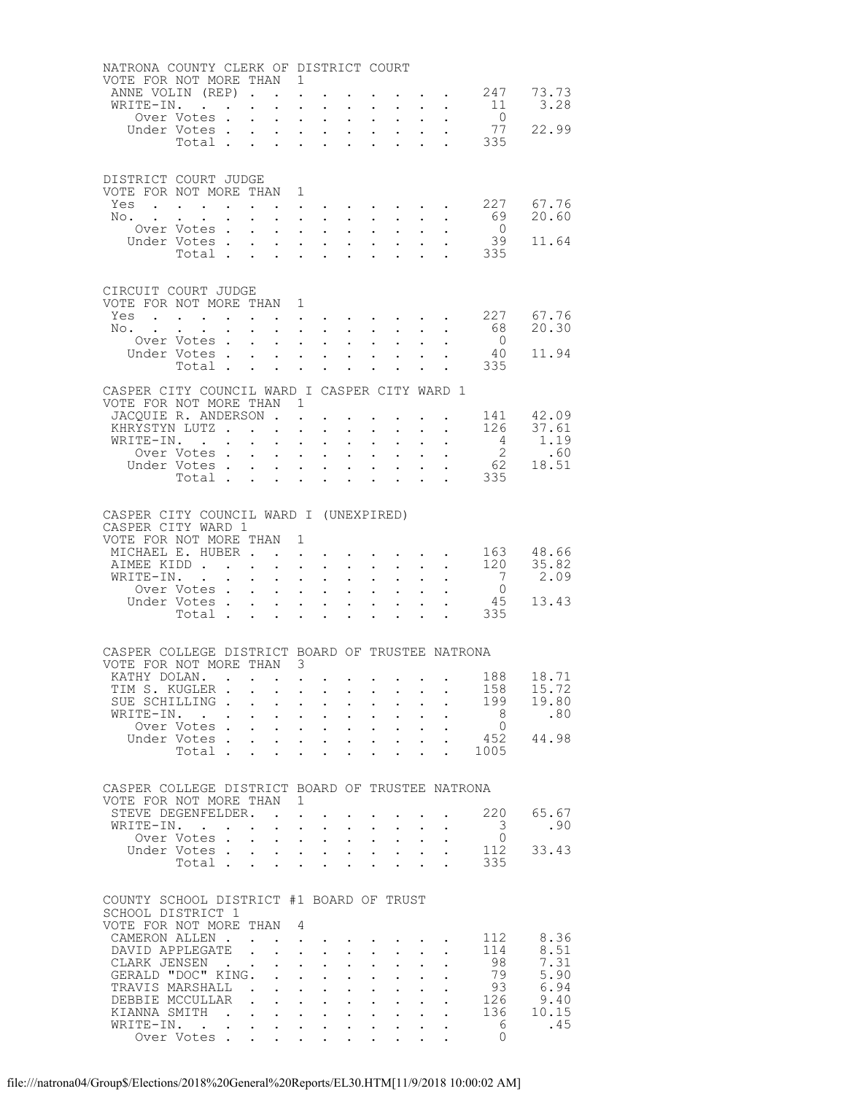| NATRONA COUNTY CLERK OF DISTRICT COURT           |                                                                       |                                                           |                                                                                                        |                           |                                                                                                 |                                                                 |                                                                                                                    |                           |                                                                      |                                                             |                                                                                                                                                                                                                                           |                                                   |                                                                  |
|--------------------------------------------------|-----------------------------------------------------------------------|-----------------------------------------------------------|--------------------------------------------------------------------------------------------------------|---------------------------|-------------------------------------------------------------------------------------------------|-----------------------------------------------------------------|--------------------------------------------------------------------------------------------------------------------|---------------------------|----------------------------------------------------------------------|-------------------------------------------------------------|-------------------------------------------------------------------------------------------------------------------------------------------------------------------------------------------------------------------------------------------|---------------------------------------------------|------------------------------------------------------------------|
| VOTE FOR NOT MORE THAN 1<br>ANNE VOLIN (REP).    |                                                                       |                                                           |                                                                                                        |                           |                                                                                                 |                                                                 |                                                                                                                    |                           |                                                                      |                                                             |                                                                                                                                                                                                                                           | $\cdot$ 247 73.73                                 |                                                                  |
| WRITE-IN.                                        |                                                                       |                                                           |                                                                                                        | $\ddot{\phantom{a}}$      | $\ddot{\phantom{a}}$<br>$\ddot{\phantom{a}}$                                                    |                                                                 |                                                                                                                    | $\sim$                    |                                                                      |                                                             | $\cdot$ $\cdot$ $\cdot$ $\cdot$                                                                                                                                                                                                           |                                                   | 11 3.28                                                          |
|                                                  | Over Votes .                                                          |                                                           | $\mathbf{L}$                                                                                           | $\sim$                    | $\sim 10^{-11}$                                                                                 | $\sim$                                                          | $\ddot{\phantom{0}}$                                                                                               |                           | $\mathbf{L}^{\text{max}}$ , and $\mathbf{L}^{\text{max}}$            | $\bullet$ .<br><br><br><br><br><br><br><br><br><br><br><br> | $\mathcal{L}_{\text{max}}$                                                                                                                                                                                                                | $\overline{0}$                                    |                                                                  |
|                                                  | Under Votes.                                                          |                                                           |                                                                                                        | $\mathbf{L}$              | $\ddot{\phantom{a}}$                                                                            | $\sim$                                                          | $\mathbf{L}^{\text{max}}$                                                                                          |                           | $\mathbf{L} = \mathbf{L}$                                            |                                                             | $\ddot{\phantom{0}}$                                                                                                                                                                                                                      |                                                   |                                                                  |
|                                                  | Total                                                                 |                                                           |                                                                                                        | $\sim$                    | $\ddot{\phantom{0}}$                                                                            | $\sim$                                                          | $\ddot{\phantom{0}}$                                                                                               | $\ddot{\phantom{0}}$      | $\sim$                                                               |                                                             |                                                                                                                                                                                                                                           |                                                   | $\begin{bmatrix} 0 \\ 77 & 22.99 \end{bmatrix}$                  |
|                                                  |                                                                       |                                                           |                                                                                                        |                           |                                                                                                 |                                                                 |                                                                                                                    |                           |                                                                      |                                                             |                                                                                                                                                                                                                                           |                                                   |                                                                  |
|                                                  |                                                                       |                                                           |                                                                                                        |                           |                                                                                                 |                                                                 |                                                                                                                    |                           |                                                                      |                                                             |                                                                                                                                                                                                                                           |                                                   |                                                                  |
| DISTRICT COURT JUDGE                             |                                                                       |                                                           |                                                                                                        |                           |                                                                                                 |                                                                 |                                                                                                                    |                           |                                                                      |                                                             |                                                                                                                                                                                                                                           |                                                   |                                                                  |
| VOTE FOR NOT MORE THAN 1                         |                                                                       |                                                           |                                                                                                        |                           |                                                                                                 |                                                                 |                                                                                                                    |                           |                                                                      |                                                             |                                                                                                                                                                                                                                           |                                                   |                                                                  |
| Yes                                              | $\mathbf{r}$ , and $\mathbf{r}$ , and $\mathbf{r}$ , and $\mathbf{r}$ |                                                           |                                                                                                        |                           |                                                                                                 |                                                                 |                                                                                                                    |                           |                                                                      |                                                             |                                                                                                                                                                                                                                           | $\cdot$ 227 67.76                                 |                                                                  |
| No. .                                            | $\sim$ $\sim$<br>Over Votes                                           | $\mathbf{L}^{\text{max}}$ , and $\mathbf{L}^{\text{max}}$ | $\bullet$ .                                                                                            | $\ddot{\phantom{0}}$      | $\mathbf{r}$ , $\mathbf{r}$ , $\mathbf{r}$ , $\mathbf{r}$                                       |                                                                 |                                                                                                                    |                           | $\mathbf{L}$                                                         |                                                             | $\mathcal{A}=\mathcal{A}=\mathcal{A}=\mathcal{A}=\mathcal{A}=\mathcal{A}=\mathcal{A}=\mathcal{A}$ .<br>$\cdot$ $\cdot$ $\cdot$                                                                                                            | $\overline{0}$                                    | 69 20.60                                                         |
|                                                  | Under Votes                                                           |                                                           |                                                                                                        | $\sim 10$                 | $\mathcal{A}^{\mathcal{A}}$ and $\mathcal{A}^{\mathcal{A}}$ and $\mathcal{A}^{\mathcal{A}}$     |                                                                 | $\mathbf{L}^{\text{max}}$                                                                                          |                           | $\mathbf{a} = \mathbf{a} \cdot \mathbf{a}$                           | $\bullet$ .                                                 |                                                                                                                                                                                                                                           | 39                                                | 11.64                                                            |
|                                                  | Total                                                                 |                                                           |                                                                                                        |                           |                                                                                                 |                                                                 |                                                                                                                    |                           |                                                                      |                                                             |                                                                                                                                                                                                                                           | . 335                                             |                                                                  |
|                                                  |                                                                       |                                                           |                                                                                                        |                           |                                                                                                 |                                                                 |                                                                                                                    |                           |                                                                      |                                                             |                                                                                                                                                                                                                                           |                                                   |                                                                  |
|                                                  |                                                                       |                                                           |                                                                                                        |                           |                                                                                                 |                                                                 |                                                                                                                    |                           |                                                                      |                                                             |                                                                                                                                                                                                                                           |                                                   |                                                                  |
| CIRCUIT COURT JUDGE                              |                                                                       |                                                           |                                                                                                        |                           |                                                                                                 |                                                                 |                                                                                                                    |                           |                                                                      |                                                             |                                                                                                                                                                                                                                           |                                                   |                                                                  |
| VOTE FOR NOT MORE THAN 1                         |                                                                       |                                                           |                                                                                                        |                           |                                                                                                 |                                                                 |                                                                                                                    |                           |                                                                      |                                                             |                                                                                                                                                                                                                                           |                                                   |                                                                  |
| Yes                                              |                                                                       |                                                           |                                                                                                        |                           |                                                                                                 |                                                                 |                                                                                                                    |                           |                                                                      |                                                             | $\mathcal{A}^{\mathcal{A}}$ . The contribution of the contribution of the contribution of the contribution of the contribution of the contribution of the contribution of the contribution of the contribution of the contribution of the |                                                   | 227 67.76<br>68 20.30                                            |
| $\mathbb{N} \circ \cdot \cdot \cdot$             |                                                                       |                                                           |                                                                                                        |                           | $\mathbf{1}$ $\mathbf{1}$ $\mathbf{1}$ $\mathbf{1}$ $\mathbf{1}$ $\mathbf{1}$                   |                                                                 | $\mathbf{L}$                                                                                                       |                           | $\mathbf{L} = \mathbf{L}$                                            |                                                             | $\mathbf{L} = \mathbf{L}$                                                                                                                                                                                                                 | $\bigcirc$                                        |                                                                  |
|                                                  | Over Votes<br>Under Votes                                             |                                                           |                                                                                                        | $\bullet$ .               |                                                                                                 | $\bullet$ .<br><br><br><br><br><br><br><br><br><br><br><br><br> | $\ddot{\phantom{0}}$<br>$\mathbf{1}$ $\mathbf{1}$ $\mathbf{1}$ $\mathbf{1}$ $\mathbf{1}$ $\mathbf{1}$ $\mathbf{1}$ | $\sim 10^{-10}$           | $\mathbf{z} = \mathbf{z} + \mathbf{z}$ .                             | $\mathbf{L}^{\text{max}}$                                   | $\bullet$ .                                                                                                                                                                                                                               | 40                                                | 11.94                                                            |
|                                                  | Total                                                                 |                                                           |                                                                                                        | $\sim$                    |                                                                                                 | $\mathbf{z} = \mathbf{z} + \mathbf{z}$ .                        | $\ddot{\phantom{0}}$                                                                                               | $\sim 10^{-10}$           |                                                                      |                                                             |                                                                                                                                                                                                                                           | 335                                               |                                                                  |
|                                                  |                                                                       |                                                           |                                                                                                        |                           |                                                                                                 |                                                                 |                                                                                                                    |                           |                                                                      |                                                             |                                                                                                                                                                                                                                           |                                                   |                                                                  |
| CASPER CITY COUNCIL WARD I CASPER CITY WARD 1    |                                                                       |                                                           |                                                                                                        |                           |                                                                                                 |                                                                 |                                                                                                                    |                           |                                                                      |                                                             |                                                                                                                                                                                                                                           |                                                   |                                                                  |
| VOTE FOR NOT MORE THAN 1                         |                                                                       |                                                           |                                                                                                        |                           |                                                                                                 |                                                                 |                                                                                                                    |                           |                                                                      |                                                             |                                                                                                                                                                                                                                           |                                                   |                                                                  |
| JACOUIE R. ANDERSON.                             |                                                                       |                                                           |                                                                                                        |                           | $\mathbf{L}$                                                                                    |                                                                 |                                                                                                                    |                           |                                                                      |                                                             |                                                                                                                                                                                                                                           | $\cdot$ $\cdot$ $\cdot$ $\cdot$ $\cdot$ 141 42.09 |                                                                  |
| KHRYSTYN LUTZ                                    |                                                                       |                                                           |                                                                                                        |                           | $\ddot{\phantom{a}}$                                                                            | $\mathbf{r}$                                                    |                                                                                                                    | $\ddot{\phantom{0}}$      |                                                                      |                                                             | $\mathcal{L}^{\text{max}}$ , $\mathcal{L}^{\text{max}}$                                                                                                                                                                                   |                                                   | $126$ $37.61$                                                    |
| WRITE-IN.                                        |                                                                       |                                                           |                                                                                                        | $\ddot{\phantom{0}}$      |                                                                                                 | $\mathcal{L}^{\text{max}}$ , where $\mathcal{L}^{\text{max}}$   | $\bullet$ .                                                                                                        |                           | $\mathbf{z} = \mathbf{z} + \mathbf{z}$ .                             | $\mathbf{L}^{\text{max}}$                                   | $\epsilon_{\rm{max}}$                                                                                                                                                                                                                     |                                                   |                                                                  |
|                                                  | Over Votes .                                                          |                                                           | $\mathbf{L} = \mathbf{L}$                                                                              |                           | $\sim$                                                                                          | $\sim$                                                          | $\mathbf{L}$                                                                                                       | $\sim$                    | $\sim$                                                               |                                                             |                                                                                                                                                                                                                                           |                                                   | $\begin{array}{r} 4 & 1.19 \\ 2 & .60 \\ 62 & 18.51 \end{array}$ |
|                                                  | Under Votes<br>Total                                                  |                                                           |                                                                                                        |                           | <b>All Carl Carl Control</b>                                                                    |                                                                 | $\ddot{\phantom{0}}$                                                                                               |                           | $\mathbf{z} = \mathbf{z} + \mathbf{z}$ .                             |                                                             |                                                                                                                                                                                                                                           | 335                                               |                                                                  |
|                                                  |                                                                       |                                                           |                                                                                                        |                           | $\ddot{\phantom{a}}$                                                                            | $\sim$                                                          | <b>Contract Contract</b>                                                                                           | $\mathbf{L} = \mathbf{L}$ |                                                                      |                                                             |                                                                                                                                                                                                                                           |                                                   |                                                                  |
|                                                  |                                                                       |                                                           |                                                                                                        |                           |                                                                                                 |                                                                 |                                                                                                                    |                           |                                                                      |                                                             |                                                                                                                                                                                                                                           |                                                   |                                                                  |
| CASPER CITY COUNCIL WARD I (UNEXPIRED)           |                                                                       |                                                           |                                                                                                        |                           |                                                                                                 |                                                                 |                                                                                                                    |                           |                                                                      |                                                             |                                                                                                                                                                                                                                           |                                                   |                                                                  |
| CASPER CITY WARD 1                               |                                                                       |                                                           |                                                                                                        |                           |                                                                                                 |                                                                 |                                                                                                                    |                           |                                                                      |                                                             |                                                                                                                                                                                                                                           |                                                   |                                                                  |
| VOTE FOR NOT MORE THAN 1                         |                                                                       |                                                           |                                                                                                        |                           |                                                                                                 |                                                                 |                                                                                                                    |                           |                                                                      |                                                             |                                                                                                                                                                                                                                           |                                                   |                                                                  |
| MICHAEL E. HUBER                                 |                                                                       |                                                           |                                                                                                        |                           |                                                                                                 |                                                                 |                                                                                                                    |                           |                                                                      |                                                             | and a strong control of the strong                                                                                                                                                                                                        |                                                   | 163 48.66                                                        |
| AIMEE KIDD                                       |                                                                       |                                                           |                                                                                                        | $\ddot{\phantom{0}}$      | $\mathcal{L}(\mathcal{A})$ and $\mathcal{A}(\mathcal{A})$ .                                     |                                                                 | $\mathbf{L}^{\text{max}}$                                                                                          |                           | $\mathbf{z} = \mathbf{z} + \mathbf{z}$ .                             |                                                             | $\mathbf{L} = \mathbf{L} \mathbf{L}$ .                                                                                                                                                                                                    | 120                                               | 35.82                                                            |
| WRITE-IN. .                                      |                                                                       |                                                           |                                                                                                        | $\ddot{\phantom{0}}$      | $\ddot{\phantom{a}}$                                                                            | $\ddot{\phantom{a}}$                                            | $\mathbf{L}$                                                                                                       | $\mathbf{L}$              |                                                                      |                                                             |                                                                                                                                                                                                                                           | $\overline{7}$                                    | 2.09                                                             |
|                                                  | Over Votes                                                            |                                                           |                                                                                                        | $\bullet$ .               | $\sim 10^{-11}$                                                                                 | $\sim$ $-$                                                      | $\ddot{\phantom{0}}$                                                                                               |                           | $\mathbf{z} = \mathbf{z} + \mathbf{z}$ .                             |                                                             | $\ddot{\phantom{0}}$                                                                                                                                                                                                                      | $\overline{0}$                                    | $45$ 13.43                                                       |
|                                                  | Under Votes.                                                          |                                                           | $\cdot$ $\cdot$                                                                                        |                           | $\ddot{\phantom{a}}$                                                                            | $\ddot{\phantom{a}}$                                            | $\mathbf{L}$                                                                                                       | $\ddot{\phantom{a}}$      |                                                                      |                                                             |                                                                                                                                                                                                                                           |                                                   |                                                                  |
|                                                  | Total                                                                 |                                                           |                                                                                                        | $\sim$                    | $\ddot{\phantom{a}}$                                                                            | $\sim$                                                          |                                                                                                                    | $\ddot{\phantom{0}}$      | $\ddot{\phantom{0}}$                                                 | $\sim$                                                      |                                                                                                                                                                                                                                           | 335                                               |                                                                  |
|                                                  |                                                                       |                                                           |                                                                                                        |                           |                                                                                                 |                                                                 |                                                                                                                    |                           |                                                                      |                                                             |                                                                                                                                                                                                                                           |                                                   |                                                                  |
| CASPER COLLEGE DISTRICT BOARD OF TRUSTEE NATRONA |                                                                       |                                                           |                                                                                                        |                           |                                                                                                 |                                                                 |                                                                                                                    |                           |                                                                      |                                                             |                                                                                                                                                                                                                                           |                                                   |                                                                  |
| VOTE FOR NOT MORE THAN 3                         |                                                                       |                                                           |                                                                                                        |                           |                                                                                                 |                                                                 |                                                                                                                    |                           |                                                                      |                                                             |                                                                                                                                                                                                                                           |                                                   |                                                                  |
| KATHY DOLAN.                                     |                                                                       |                                                           |                                                                                                        |                           |                                                                                                 |                                                                 |                                                                                                                    |                           |                                                                      |                                                             |                                                                                                                                                                                                                                           |                                                   | 188 18.71                                                        |
| TIM S. KUGLER .                                  |                                                                       |                                                           | $\mathcal{A}^{\mathcal{A}}$ . The contribution of the contribution of $\mathcal{A}^{\mathcal{A}}$      |                           |                                                                                                 |                                                                 |                                                                                                                    |                           |                                                                      |                                                             |                                                                                                                                                                                                                                           | 158                                               | 15.72                                                            |
| SUE SCHILLING                                    |                                                                       |                                                           |                                                                                                        |                           |                                                                                                 |                                                                 |                                                                                                                    |                           |                                                                      |                                                             |                                                                                                                                                                                                                                           |                                                   | 199 19.80                                                        |
| WRITE-IN.                                        |                                                                       |                                                           |                                                                                                        | $\bullet$ .               | $\mathcal{L}(\mathcal{A})$ and $\mathcal{A}(\mathcal{A})$ .                                     |                                                                 | $\bullet$ .                                                                                                        |                           | $\mathbf{z} = \mathbf{z} + \mathbf{z}$ .                             |                                                             |                                                                                                                                                                                                                                           | 8 <sup>1</sup>                                    | .80                                                              |
|                                                  | Over Votes.                                                           |                                                           | $\mathbf{r}$ , $\mathbf{r}$ , $\mathbf{r}$ , $\mathbf{r}$ , $\mathbf{r}$ , $\mathbf{r}$ , $\mathbf{r}$ |                           |                                                                                                 |                                                                 |                                                                                                                    |                           |                                                                      |                                                             |                                                                                                                                                                                                                                           | $\overline{0}$                                    |                                                                  |
|                                                  | Under Votes                                                           |                                                           |                                                                                                        |                           | $\mathbf{r} = \mathbf{r} \times \mathbf{r}$ , where $\mathbf{r} = \mathbf{r} \times \mathbf{r}$ |                                                                 |                                                                                                                    |                           | $\mathbf{A}^{(1)}$ and $\mathbf{A}^{(2)}$ and $\mathbf{A}^{(3)}$ and |                                                             |                                                                                                                                                                                                                                           | 452<br>$\cdot$ 1005                               | 44.98                                                            |
|                                                  | Total                                                                 |                                                           |                                                                                                        |                           | $\mathbf{r}$                                                                                    |                                                                 |                                                                                                                    |                           |                                                                      |                                                             |                                                                                                                                                                                                                                           |                                                   |                                                                  |
|                                                  |                                                                       |                                                           |                                                                                                        |                           |                                                                                                 |                                                                 |                                                                                                                    |                           |                                                                      |                                                             |                                                                                                                                                                                                                                           |                                                   |                                                                  |
| CASPER COLLEGE DISTRICT BOARD OF TRUSTEE NATRONA |                                                                       |                                                           |                                                                                                        |                           |                                                                                                 |                                                                 |                                                                                                                    |                           |                                                                      |                                                             |                                                                                                                                                                                                                                           |                                                   |                                                                  |
| VOTE FOR NOT MORE THAN 1                         |                                                                       |                                                           |                                                                                                        |                           |                                                                                                 |                                                                 |                                                                                                                    |                           |                                                                      |                                                             |                                                                                                                                                                                                                                           |                                                   |                                                                  |
| STEVE DEGENFELDER.                               |                                                                       |                                                           |                                                                                                        |                           |                                                                                                 |                                                                 |                                                                                                                    |                           |                                                                      |                                                             |                                                                                                                                                                                                                                           | 220                                               | 65.67                                                            |
| WRITE-IN.                                        |                                                                       |                                                           |                                                                                                        |                           | $\ddot{\phantom{a}}$                                                                            | $\ddot{\phantom{a}}$                                            |                                                                                                                    |                           |                                                                      |                                                             |                                                                                                                                                                                                                                           | 3                                                 | .90                                                              |
|                                                  | Over Votes .                                                          |                                                           |                                                                                                        | $\ddot{\phantom{0}}$      |                                                                                                 | $\mathbf{z} = \mathbf{z} + \mathbf{z}$ .                        | $\mathbf{L}^{\text{max}}$                                                                                          |                           | $\mathbf{z} = \mathbf{z} + \mathbf{z}$                               |                                                             |                                                                                                                                                                                                                                           | $\circ$                                           |                                                                  |
|                                                  | Under Votes .                                                         |                                                           |                                                                                                        | $\mathbf{L} = \mathbf{L}$ |                                                                                                 |                                                                 | $\mathbf{r}$ and $\mathbf{r}$ and $\mathbf{r}$ and $\mathbf{r}$                                                    |                           |                                                                      |                                                             |                                                                                                                                                                                                                                           | 112                                               | 33.43                                                            |
|                                                  | Total                                                                 |                                                           |                                                                                                        | $\ddot{\phantom{0}}$      | $\ddot{\phantom{0}}$                                                                            | $\sim$                                                          | $\ddot{\phantom{0}}$                                                                                               | $\ddot{\phantom{a}}$      | $\sim$                                                               | $\ddot{\phantom{0}}$                                        |                                                                                                                                                                                                                                           | 335                                               |                                                                  |
|                                                  |                                                                       |                                                           |                                                                                                        |                           |                                                                                                 |                                                                 |                                                                                                                    |                           |                                                                      |                                                             |                                                                                                                                                                                                                                           |                                                   |                                                                  |
| COUNTY SCHOOL DISTRICT #1 BOARD OF TRUST         |                                                                       |                                                           |                                                                                                        |                           |                                                                                                 |                                                                 |                                                                                                                    |                           |                                                                      |                                                             |                                                                                                                                                                                                                                           |                                                   |                                                                  |
| SCHOOL DISTRICT 1                                |                                                                       |                                                           |                                                                                                        |                           |                                                                                                 |                                                                 |                                                                                                                    |                           |                                                                      |                                                             |                                                                                                                                                                                                                                           |                                                   |                                                                  |
| VOTE FOR NOT MORE THAN 4                         |                                                                       |                                                           |                                                                                                        |                           |                                                                                                 |                                                                 |                                                                                                                    |                           |                                                                      |                                                             |                                                                                                                                                                                                                                           |                                                   |                                                                  |
| CAMERON ALLEN.                                   |                                                                       |                                                           |                                                                                                        |                           |                                                                                                 |                                                                 |                                                                                                                    |                           |                                                                      |                                                             |                                                                                                                                                                                                                                           | 112                                               | 8.36                                                             |
| DAVID APPLEGATE                                  |                                                                       |                                                           |                                                                                                        |                           | $\mathbf{r}$                                                                                    | $\mathbf{r}$                                                    | $\mathbf{r}$                                                                                                       | $\mathbf{L}^{\text{max}}$ |                                                                      |                                                             |                                                                                                                                                                                                                                           | 114                                               | 8.51                                                             |
| CLARK JENSEN.                                    |                                                                       |                                                           |                                                                                                        |                           | $\bullet$ .                                                                                     | $\mathcal{L}^{\text{max}}$                                      |                                                                                                                    | $\mathbf{L}^{\text{max}}$ |                                                                      |                                                             |                                                                                                                                                                                                                                           | 98                                                | 7.31                                                             |
| GERALD "DOC" KING.                               |                                                                       |                                                           |                                                                                                        |                           | $\ddot{\phantom{a}}$                                                                            | $\mathbf{r}$                                                    | $\mathbf{r}$                                                                                                       | $\mathbf{L}$              |                                                                      |                                                             |                                                                                                                                                                                                                                           | 79                                                | 5.90                                                             |
| TRAVIS MARSHALL .                                |                                                                       |                                                           |                                                                                                        |                           | $\mathcal{A}^{\mathcal{A}}$ and $\mathcal{A}^{\mathcal{A}}$ and $\mathcal{A}^{\mathcal{A}}$     |                                                                 | $\ddot{\phantom{0}}$                                                                                               |                           | $\mathbf{z} = \mathbf{z} + \mathbf{z}$ .                             |                                                             |                                                                                                                                                                                                                                           | 93                                                | 6.94                                                             |
| DEBBIE MCCULLAR                                  |                                                                       |                                                           |                                                                                                        |                           | $\mathbf{r}$ , and $\mathbf{r}$ , and $\mathbf{r}$ , and $\mathbf{r}$                           |                                                                 |                                                                                                                    |                           | $\ddot{\phantom{0}}$                                                 |                                                             |                                                                                                                                                                                                                                           | 126                                               | 9.40                                                             |
| KIANNA SMITH                                     |                                                                       |                                                           |                                                                                                        |                           |                                                                                                 |                                                                 |                                                                                                                    |                           | $\mathbf{r} = \mathbf{r} + \mathbf{r}$ .                             | $\mathbf{L}^{\text{max}}$                                   | $\sim$                                                                                                                                                                                                                                    | 136                                               | 10.15                                                            |
| WRITE-IN.                                        | <b>Contract Contract</b><br>Over Votes .                              |                                                           |                                                                                                        | $\cdot$ $\cdot$ $\cdot$   |                                                                                                 | $\cdot$ $\cdot$ $\cdot$                                         | $\ddot{\phantom{0}}$                                                                                               | $\ddot{\phantom{0}}$      |                                                                      |                                                             |                                                                                                                                                                                                                                           | 6                                                 | .45                                                              |
|                                                  |                                                                       |                                                           |                                                                                                        |                           | and a straightful control of the state of                                                       |                                                                 |                                                                                                                    |                           |                                                                      |                                                             |                                                                                                                                                                                                                                           | $\Omega$                                          |                                                                  |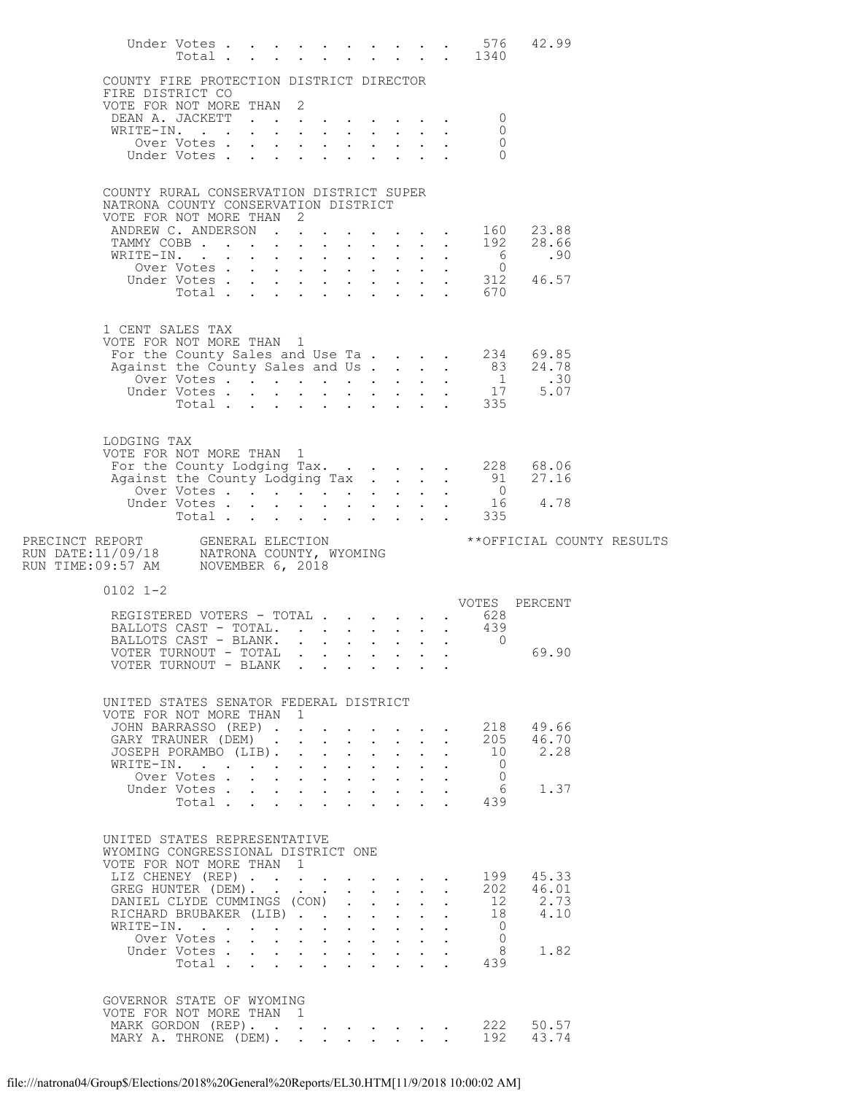|                                                                                                |                               |  |                                                                               |  |                           |                           |                           | 576<br>Under Votes 576<br>Total 1340 | 42.99                                                                                                                                           |  |
|------------------------------------------------------------------------------------------------|-------------------------------|--|-------------------------------------------------------------------------------|--|---------------------------|---------------------------|---------------------------|--------------------------------------|-------------------------------------------------------------------------------------------------------------------------------------------------|--|
| COUNTY FIRE PROTECTION DISTRICT DIRECTOR<br>FIRE DISTRICT CO                                   |                               |  |                                                                               |  |                           |                           |                           |                                      |                                                                                                                                                 |  |
| VOTE FOR NOT MORE THAN 2                                                                       |                               |  |                                                                               |  |                           |                           |                           |                                      |                                                                                                                                                 |  |
| DEAN A. JACKETT<br>WRITE-IN.                                                                   |                               |  |                                                                               |  |                           |                           |                           | 0                                    |                                                                                                                                                 |  |
|                                                                                                |                               |  |                                                                               |  |                           |                           |                           | 0<br>$\circ$                         |                                                                                                                                                 |  |
|                                                                                                |                               |  |                                                                               |  |                           |                           |                           | $\Omega$                             |                                                                                                                                                 |  |
| COUNTY RURAL CONSERVATION DISTRICT SUPER                                                       |                               |  |                                                                               |  |                           |                           |                           |                                      |                                                                                                                                                 |  |
| NATRONA COUNTY CONSERVATION DISTRICT<br>VOTE FOR NOT MORE THAN 2                               |                               |  |                                                                               |  |                           |                           |                           |                                      |                                                                                                                                                 |  |
| ANDREW C. ANDERSON 160 23.88                                                                   |                               |  |                                                                               |  |                           |                           |                           |                                      |                                                                                                                                                 |  |
|                                                                                                |                               |  |                                                                               |  |                           |                           |                           |                                      | TAMMY COBB 192 28.66<br>WRITE-IN. 6 .90                                                                                                         |  |
|                                                                                                |                               |  |                                                                               |  |                           |                           |                           |                                      |                                                                                                                                                 |  |
|                                                                                                |                               |  |                                                                               |  |                           |                           |                           |                                      |                                                                                                                                                 |  |
|                                                                                                |                               |  |                                                                               |  |                           |                           |                           |                                      |                                                                                                                                                 |  |
| 1 CENT SALES TAX                                                                               |                               |  |                                                                               |  |                           |                           |                           |                                      |                                                                                                                                                 |  |
| VOTE FOR NOT MORE THAN 1                                                                       |                               |  |                                                                               |  |                           |                           |                           |                                      |                                                                                                                                                 |  |
|                                                                                                |                               |  |                                                                               |  |                           |                           |                           |                                      | For the County Sales and Use Ta. 234 69.85<br>Against the County Sales and Use Ta. 83 24.78<br>Over Votes 1 .30<br>Under Votes 17 5.07<br>Total |  |
|                                                                                                |                               |  |                                                                               |  |                           |                           |                           |                                      |                                                                                                                                                 |  |
|                                                                                                |                               |  |                                                                               |  |                           |                           |                           |                                      |                                                                                                                                                 |  |
|                                                                                                |                               |  |                                                                               |  |                           |                           |                           |                                      |                                                                                                                                                 |  |
| LODGING TAX<br>VOTE FOR NOT MORE THAN 1                                                        |                               |  |                                                                               |  |                           |                           |                           |                                      |                                                                                                                                                 |  |
|                                                                                                |                               |  |                                                                               |  |                           |                           |                           |                                      | TOTE FOR NOT MORE THAN 1<br>For the County Lodging Tax. 228 68.06<br>Against the County Lodging Tax 91 27.16                                    |  |
|                                                                                                |                               |  |                                                                               |  |                           |                           |                           |                                      |                                                                                                                                                 |  |
|                                                                                                |                               |  |                                                                               |  |                           |                           |                           |                                      |                                                                                                                                                 |  |
|                                                                                                |                               |  |                                                                               |  |                           |                           |                           |                                      | 0<br>0<br>0<br>Under Votes 16<br>Total 335                                                                                                      |  |
|                                                                                                |                               |  |                                                                               |  |                           |                           |                           |                                      | **OFFICIAL COUNTY RESULTS                                                                                                                       |  |
| $0102$ 1-2                                                                                     |                               |  |                                                                               |  |                           |                           |                           |                                      | VOTES PERCENT                                                                                                                                   |  |
| REGISTERED VOTERS - TOTAL 628                                                                  |                               |  |                                                                               |  |                           |                           |                           |                                      |                                                                                                                                                 |  |
| BALLOTS CAST - TOTAL.                                                                          |                               |  |                                                                               |  |                           |                           |                           | 439                                  |                                                                                                                                                 |  |
| BALLOTS CAST - BLANK. 0<br>VOTER TURNOUT - TOTAL                                               |                               |  |                                                                               |  |                           |                           |                           |                                      | 69.90                                                                                                                                           |  |
| VOTER TURNOUT - BLANK                                                                          |                               |  |                                                                               |  |                           |                           |                           |                                      |                                                                                                                                                 |  |
|                                                                                                |                               |  |                                                                               |  |                           |                           |                           |                                      |                                                                                                                                                 |  |
| UNITED STATES SENATOR FEDERAL DISTRICT<br>VOTE FOR NOT MORE THAN 1                             |                               |  |                                                                               |  |                           |                           |                           |                                      |                                                                                                                                                 |  |
| JOHN BARRASSO (REP)                                                                            |                               |  |                                                                               |  |                           |                           |                           |                                      | $\cdot$ 218 49.66                                                                                                                               |  |
|                                                                                                |                               |  |                                                                               |  |                           |                           |                           |                                      | GARY TRAUNER (DEM) $\cdot \cdot \cdot \cdot \cdot \cdot \cdot \cdot \cdot \cdot \cdot 205$ 46.70                                                |  |
| JOSEPH PORAMBO (LIB).                                                                          |                               |  |                                                                               |  | $\mathbf{L} = \mathbf{L}$ | $\sim$                    |                           |                                      | 10 2.28                                                                                                                                         |  |
| WRITE-IN.                                                                                      | Over Votes                    |  | $\mathbf{r} = \mathbf{r} + \mathbf{r} + \mathbf{r} + \mathbf{r} + \mathbf{r}$ |  |                           | $\sim$ $-$                | $\mathbf{L}^{\text{max}}$ | $\overline{0}$<br>$\bigcirc$         |                                                                                                                                                 |  |
|                                                                                                | Under Votes                   |  |                                                                               |  |                           |                           |                           | $6\overline{6}$                      | 1.37                                                                                                                                            |  |
|                                                                                                |                               |  |                                                                               |  |                           |                           |                           | Votes 6<br>Total 439                 |                                                                                                                                                 |  |
| UNITED STATES REPRESENTATIVE<br>WYOMING CONGRESSIONAL DISTRICT ONE<br>VOTE FOR NOT MORE THAN 1 |                               |  |                                                                               |  |                           |                           |                           |                                      |                                                                                                                                                 |  |
| LIZ CHENEY (REP) 199 45.33                                                                     |                               |  |                                                                               |  |                           |                           |                           |                                      |                                                                                                                                                 |  |
| GREG HUNTER (DEM).<br>DANIEL CLYDE CUMMINGS (CON)                                              |                               |  |                                                                               |  |                           | $\mathbf{L}$              |                           |                                      | . 202 46.01<br>12 2.73                                                                                                                          |  |
| RICHARD BRUBAKER (LIB)                                                                         |                               |  |                                                                               |  |                           | $\mathbf{L}^{\text{max}}$ | $\sim$ $-$                |                                      | 18 4.10                                                                                                                                         |  |
| WRITE-IN.                                                                                      |                               |  |                                                                               |  |                           | $\sim$                    |                           | $\overline{0}$                       |                                                                                                                                                 |  |
|                                                                                                | Over Votes                    |  | $\mathbf{r} = \mathbf{r} + \mathbf{r} + \mathbf{r} + \mathbf{r} + \mathbf{r}$ |  |                           | $\mathbf{L}^{\text{max}}$ | $\sim$                    | $\overline{0}$                       |                                                                                                                                                 |  |
|                                                                                                | Under Votes<br>Total $\cdots$ |  |                                                                               |  | $\cdot$ $\cdot$ $\cdot$   | $\mathbf{L}$              |                           | 8 <sup>8</sup><br>439                | 1.82                                                                                                                                            |  |
|                                                                                                |                               |  |                                                                               |  |                           |                           |                           |                                      |                                                                                                                                                 |  |
| GOVERNOR STATE OF WYOMING<br>VOTE FOR NOT MORE THAN 1                                          |                               |  |                                                                               |  |                           |                           |                           |                                      |                                                                                                                                                 |  |
| MARK GORDON (REP). 222 50.57<br>MARY A. THRONE (DEM). 192 43.74                                |                               |  |                                                                               |  |                           |                           |                           |                                      |                                                                                                                                                 |  |
|                                                                                                |                               |  |                                                                               |  |                           |                           |                           |                                      |                                                                                                                                                 |  |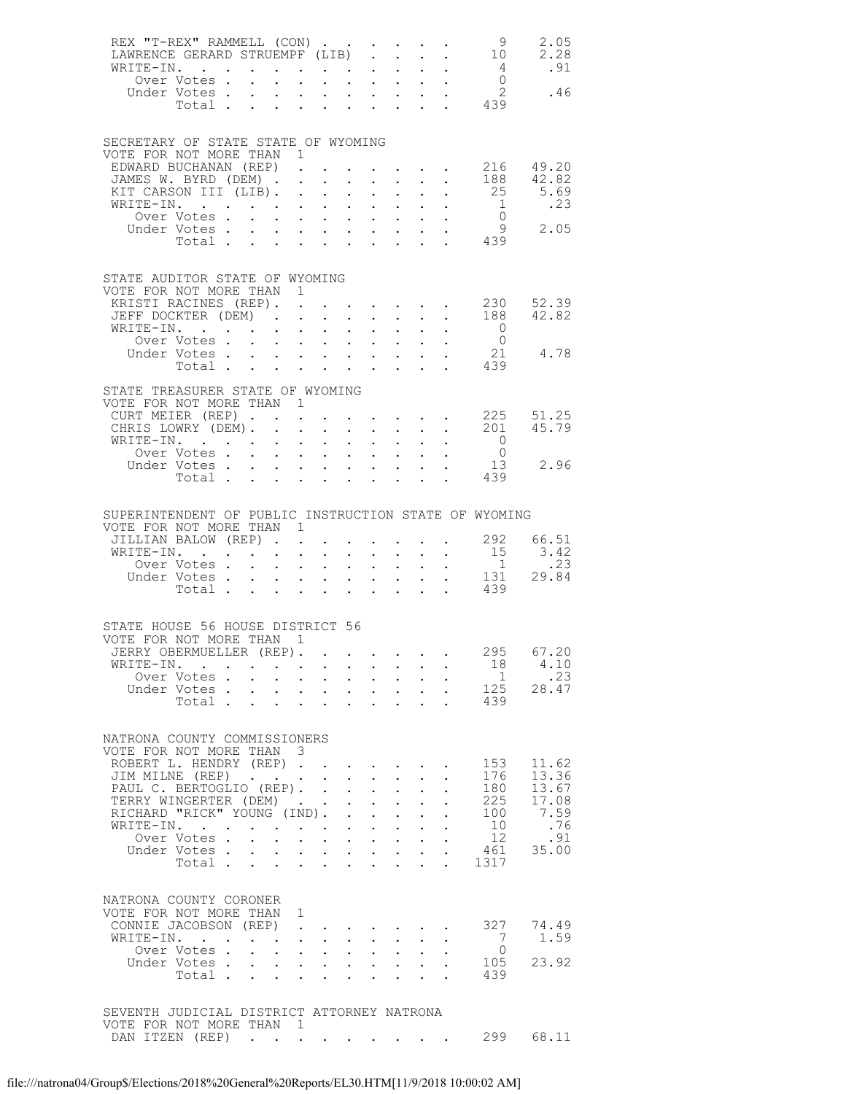|                                                                        |           | WRITE-IN.<br>Over Votes                                                                       |                                                     | $\ddot{\phantom{0}}$                                                                            | $\mathbf{L}^{\text{max}}$ , and $\mathbf{L}^{\text{max}}$                                       |                                                                  |                            | $\mathbf{u} = \mathbf{u} \cdot \mathbf{u}$ .                                                                          |                                                   |                                                           | REX "T-REX" RAMMELL (CON) 9<br>TAWRENCE GERARD STRUEMPF (LIB) 10<br>$\begin{array}{cccc} . & . & . & . & 4 \\ . & . & . & 0 \\ . & . & . & 2 \\ . & . & . & 439 \end{array}$ | 2.05<br>2.28<br>.91                                    |
|------------------------------------------------------------------------|-----------|-----------------------------------------------------------------------------------------------|-----------------------------------------------------|-------------------------------------------------------------------------------------------------|-------------------------------------------------------------------------------------------------|------------------------------------------------------------------|----------------------------|-----------------------------------------------------------------------------------------------------------------------|---------------------------------------------------|-----------------------------------------------------------|------------------------------------------------------------------------------------------------------------------------------------------------------------------------------|--------------------------------------------------------|
|                                                                        |           | Under Votes<br>Total .                                                                        | $\sim 10$                                           | $\bullet$ .                                                                                     |                                                                                                 | $\sim$ $-$                                                       |                            | $\mathbf{L} = \mathbf{L}$                                                                                             |                                                   |                                                           |                                                                                                                                                                              | .46                                                    |
| SECRETARY OF STATE STATE OF WYOMING<br>VOTE FOR NOT MORE THAN 1        |           |                                                                                               |                                                     |                                                                                                 |                                                                                                 |                                                                  |                            |                                                                                                                       |                                                   |                                                           |                                                                                                                                                                              |                                                        |
|                                                                        |           | JAMES W. BYRD (DEM).                                                                          |                                                     |                                                                                                 |                                                                                                 |                                                                  |                            |                                                                                                                       | $\sim$ $\sim$                                     | $\mathbf{L}$                                              | 188                                                                                                                                                                          | EDWARD BUCHANAN (REP) 216 49.20<br>42.82               |
|                                                                        |           | KIT CARSON III (LIB).                                                                         |                                                     | $\sim$ $-$                                                                                      | $\sim$                                                                                          | $\ddot{\phantom{0}}$                                             |                            | $\mathbf{L}^{\text{max}}$ , and $\mathbf{L}^{\text{max}}$<br>$\mathbf{L} = \mathbf{L} \times \mathbf{L}$              |                                                   |                                                           |                                                                                                                                                                              | $\cdot$ . 25 5.69                                      |
|                                                                        |           | WRITE-IN.                                                                                     |                                                     |                                                                                                 |                                                                                                 |                                                                  |                            |                                                                                                                       |                                                   |                                                           |                                                                                                                                                                              | $\begin{bmatrix} 1 & .23 \\ 0 & 2.05 \end{bmatrix}$    |
|                                                                        |           | Under Votes                                                                                   |                                                     | $\mathbf{L}^{\text{max}}$                                                                       | $\mathcal{A}^{\mathcal{A}}$ , and $\mathcal{A}^{\mathcal{A}}$ , and $\mathcal{A}^{\mathcal{A}}$ |                                                                  |                            | $\mathbf{L}^{\text{max}}$ , and $\mathbf{L}^{\text{max}}$                                                             |                                                   |                                                           |                                                                                                                                                                              |                                                        |
|                                                                        |           |                                                                                               |                                                     |                                                                                                 |                                                                                                 |                                                                  |                            |                                                                                                                       |                                                   |                                                           | Total 439                                                                                                                                                                    |                                                        |
| STATE AUDITOR STATE OF WYOMING                                         |           |                                                                                               |                                                     |                                                                                                 |                                                                                                 |                                                                  |                            |                                                                                                                       |                                                   |                                                           |                                                                                                                                                                              |                                                        |
| VOTE FOR NOT MORE THAN 1                                               |           | KRISTI RACINES (REP). .                                                                       |                                                     |                                                                                                 |                                                                                                 |                                                                  |                            |                                                                                                                       |                                                   |                                                           |                                                                                                                                                                              | $\cdot$ 230 52.39                                      |
|                                                                        |           |                                                                                               |                                                     |                                                                                                 |                                                                                                 |                                                                  |                            |                                                                                                                       |                                                   |                                                           |                                                                                                                                                                              | JEFF DOCKTER (DEM) 188 42.82                           |
|                                                                        |           | WRITE-IN.                                                                                     |                                                     | $\mathcal{L}^{\text{max}}$                                                                      | $\mathbf{L}^{\text{max}}$ , and $\mathbf{L}^{\text{max}}$                                       | $\bullet$ .                                                      | $\mathcal{L}^{\text{max}}$ | $\sim$ $-$                                                                                                            |                                                   |                                                           | $\overline{0}$                                                                                                                                                               |                                                        |
|                                                                        |           | Over Votes<br>Under Votes                                                                     |                                                     |                                                                                                 |                                                                                                 |                                                                  |                            |                                                                                                                       | $\mathcal{L}^{\text{max}}$                        | $\ddot{\phantom{a}}$                                      |                                                                                                                                                                              | $\begin{matrix}0\\21\end{matrix}\qquad 4.78$           |
|                                                                        |           |                                                                                               |                                                     | $\mathbf{r} = \mathbf{r} \times \mathbf{r}$ , where $\mathbf{r} = \mathbf{r} \times \mathbf{r}$ |                                                                                                 |                                                                  |                            | $\mathbf{u} = \mathbf{u} \cdot \mathbf{u}$ .                                                                          |                                                   |                                                           | Total 439                                                                                                                                                                    |                                                        |
|                                                                        |           |                                                                                               |                                                     |                                                                                                 |                                                                                                 |                                                                  |                            |                                                                                                                       |                                                   |                                                           |                                                                                                                                                                              |                                                        |
| STATE TREASURER STATE OF WYOMING<br>VOTE FOR NOT MORE THAN 1           |           |                                                                                               |                                                     |                                                                                                 |                                                                                                 |                                                                  |                            |                                                                                                                       |                                                   |                                                           |                                                                                                                                                                              |                                                        |
|                                                                        |           | CHRIS LOWRY (DEM). .                                                                          |                                                     | $\sim$ $-$                                                                                      | $\sim$                                                                                          | $\ddot{\phantom{0}}$                                             |                            | $\mathbf{L}^{\text{max}}$ , and $\mathbf{L}^{\text{max}}$                                                             | $\mathcal{L}^{\text{max}}$                        | $\mathbf{L}$                                              | 201                                                                                                                                                                          | CURT MEIER (REP) 225 51.25<br>45.79                    |
| WRITE-IN.                                                              |           |                                                                                               | the contract of the contract of the                 |                                                                                                 |                                                                                                 |                                                                  |                            |                                                                                                                       |                                                   | $\mathbf{L}^{\text{max}}$ , and $\mathbf{L}^{\text{max}}$ | $\overline{O}$                                                                                                                                                               |                                                        |
|                                                                        |           | Over Votes                                                                                    |                                                     | $\mathcal{L}^{\text{max}}$                                                                      | $\mathbf{A}^{(1)}$ and $\mathbf{A}^{(2)}$ and $\mathbf{A}^{(3)}$                                |                                                                  |                            | $\mathbf{L}^{\text{max}}$ , and $\mathbf{L}^{\text{max}}$                                                             |                                                   |                                                           | $\overline{0}$                                                                                                                                                               |                                                        |
|                                                                        |           | Under Votes<br>Total                                                                          |                                                     | $\mathcal{L}^{\text{max}}$                                                                      | $\mathbf{L} = \mathbf{L} \times \mathbf{L}$                                                     |                                                                  |                            | $\mathbf{L} = \mathbf{L}$                                                                                             |                                                   |                                                           | 439                                                                                                                                                                          | 13 2.96                                                |
|                                                                        |           |                                                                                               |                                                     |                                                                                                 |                                                                                                 |                                                                  |                            |                                                                                                                       |                                                   |                                                           |                                                                                                                                                                              |                                                        |
|                                                                        |           |                                                                                               |                                                     |                                                                                                 |                                                                                                 |                                                                  |                            |                                                                                                                       |                                                   |                                                           |                                                                                                                                                                              |                                                        |
| VOTE FOR NOT MORE THAN 1                                               |           |                                                                                               |                                                     |                                                                                                 |                                                                                                 |                                                                  |                            |                                                                                                                       |                                                   |                                                           | SUPERINTENDENT OF PUBLIC INSTRUCTION STATE OF WYOMING                                                                                                                        |                                                        |
|                                                                        |           | JILLIAN BALOW (REP)                                                                           |                                                     |                                                                                                 |                                                                                                 |                                                                  |                            |                                                                                                                       |                                                   |                                                           | $\cdot$ $\cdot$ $\cdot$ $\cdot$ $\cdot$ 292                                                                                                                                  | 66.51                                                  |
|                                                                        |           | WRITE-IN.                                                                                     |                                                     | $\sim 100$                                                                                      | $\sim 10$                                                                                       | $\mathbf{L}^{\text{max}}$                                        |                            | $\mathbf{z} = \mathbf{z} + \mathbf{z}$ .                                                                              | $\mathcal{L}^{\text{max}}$                        | $\sim$ $-$                                                | 15                                                                                                                                                                           | 3.42                                                   |
|                                                                        |           | Over Votes                                                                                    |                                                     |                                                                                                 |                                                                                                 |                                                                  |                            |                                                                                                                       |                                                   |                                                           |                                                                                                                                                                              | $\begin{array}{cc} 1 & .23 \\ 131 & 29.84 \end{array}$ |
|                                                                        |           | Under Votes<br>Total                                                                          |                                                     | $\mathcal{L}^{\text{max}}$                                                                      | $\mathcal{A}^{\mathcal{A}}$ , and $\mathcal{A}^{\mathcal{A}}$ , and $\mathcal{A}^{\mathcal{A}}$ |                                                                  |                            | $\mathbf{1}^{\prime}$ , $\mathbf{1}^{\prime}$ , $\mathbf{1}^{\prime}$ , $\mathbf{1}^{\prime}$ , $\mathbf{1}^{\prime}$ |                                                   |                                                           | 439                                                                                                                                                                          |                                                        |
|                                                                        |           |                                                                                               |                                                     |                                                                                                 |                                                                                                 |                                                                  |                            |                                                                                                                       |                                                   |                                                           |                                                                                                                                                                              |                                                        |
| STATE HOUSE 56 HOUSE DISTRICT 56                                       |           |                                                                                               |                                                     |                                                                                                 |                                                                                                 |                                                                  |                            |                                                                                                                       |                                                   |                                                           |                                                                                                                                                                              |                                                        |
| VOTE FOR NOT MORE THAN 1<br>JERRY OBERMUELLER (REP).                   |           |                                                                                               |                                                     |                                                                                                 |                                                                                                 |                                                                  |                            |                                                                                                                       |                                                   |                                                           |                                                                                                                                                                              |                                                        |
|                                                                        |           |                                                                                               |                                                     |                                                                                                 |                                                                                                 |                                                                  |                            |                                                                                                                       |                                                   |                                                           |                                                                                                                                                                              |                                                        |
|                                                                        | WRITE-IN. |                                                                                               |                                                     |                                                                                                 |                                                                                                 |                                                                  |                            |                                                                                                                       |                                                   |                                                           |                                                                                                                                                                              | 295 67.20<br>4.10                                      |
|                                                                        |           | . The contract of the contract of the contract of the contract of $\mathcal{A}$<br>Over Votes |                                                     | $\mathbf{L}^{\text{max}}$                                                                       | $\mathcal{A}^{\mathcal{A}}$ , and $\mathcal{A}^{\mathcal{A}}$ , and $\mathcal{A}^{\mathcal{A}}$ |                                                                  |                            | $\mathbf{u} = \mathbf{u} \cdot \mathbf{u}$ .                                                                          |                                                   | $\mathbf{A}$ and $\mathbf{A}$ and $\mathbf{A}$            | 18<br>1                                                                                                                                                                      | .23                                                    |
|                                                                        |           | Under Votes                                                                                   |                                                     |                                                                                                 |                                                                                                 |                                                                  |                            |                                                                                                                       |                                                   | $\frac{1}{2}$                                             |                                                                                                                                                                              | 125 28.47                                              |
|                                                                        |           | Total                                                                                         |                                                     |                                                                                                 | $\mathbf{L}$ and $\mathbf{L}$                                                                   | $\mathcal{L}^{\text{max}}$                                       |                            | $\mathbf{r}$ and $\mathbf{r}$                                                                                         |                                                   | $\mathbf{L}$                                              | 439                                                                                                                                                                          |                                                        |
|                                                                        |           |                                                                                               |                                                     |                                                                                                 |                                                                                                 |                                                                  |                            |                                                                                                                       |                                                   |                                                           |                                                                                                                                                                              |                                                        |
| NATRONA COUNTY COMMISSIONERS                                           |           |                                                                                               |                                                     |                                                                                                 |                                                                                                 |                                                                  |                            |                                                                                                                       |                                                   |                                                           |                                                                                                                                                                              |                                                        |
| VOTE FOR NOT MORE THAN 3                                               |           |                                                                                               |                                                     |                                                                                                 |                                                                                                 |                                                                  |                            |                                                                                                                       |                                                   |                                                           |                                                                                                                                                                              |                                                        |
|                                                                        |           | ROBERT L. HENDRY (REP)                                                                        |                                                     |                                                                                                 |                                                                                                 |                                                                  |                            | $\mathbf{r} = \mathbf{r} \cdot \mathbf{r}$                                                                            |                                                   |                                                           | 153<br>176                                                                                                                                                                   | 11.62<br>13.36                                         |
|                                                                        |           | JIM MILNE (REP)<br>PAUL C. BERTOGLIO (REP).                                                   |                                                     |                                                                                                 |                                                                                                 |                                                                  |                            |                                                                                                                       | $\sim$ $-$                                        | $\ddot{\phantom{0}}$                                      | 180                                                                                                                                                                          | 13.67                                                  |
|                                                                        |           | TERRY WINGERTER (DEM)                                                                         |                                                     |                                                                                                 |                                                                                                 |                                                                  |                            | $\mathbf{L}^{\text{max}}$ , $\mathbf{L}^{\text{max}}$                                                                 | $\mathcal{L}^{\text{max}}$                        |                                                           | 225                                                                                                                                                                          | 17.08                                                  |
|                                                                        |           | RICHARD "RICK" YOUNG (IND).                                                                   |                                                     |                                                                                                 |                                                                                                 | $\mathbf{L}^{\text{max}}$                                        |                            | $\mathbf{r}$ .<br>$\mathbf{r} = \mathbf{r} + \mathbf{r}$ .                                                            | $\mathbf{L}^{\text{max}}$<br>$\ddot{\phantom{0}}$ | $\ddot{\phantom{0}}$                                      | 100<br>10                                                                                                                                                                    | 7.59<br>.76                                            |
|                                                                        |           | WRITE-IN.<br>Over Votes                                                                       |                                                     |                                                                                                 |                                                                                                 | $\mathbf{L}^{\text{max}}$                                        |                            |                                                                                                                       |                                                   |                                                           | 12                                                                                                                                                                           | .91                                                    |
|                                                                        |           | Under Votes                                                                                   |                                                     | $\mathcal{L}^{\text{max}}$                                                                      | $\mathbf{r} = \mathbf{r} + \mathbf{r}$ , $\mathbf{r} = \mathbf{r}$                              |                                                                  |                            | $\mathbf{L}^{\text{max}}$ , and $\mathbf{L}^{\text{max}}$                                                             | $\mathbf{L}^{\text{max}}$                         |                                                           | 461                                                                                                                                                                          | 35.00                                                  |
|                                                                        |           | Total                                                                                         |                                                     |                                                                                                 |                                                                                                 |                                                                  |                            |                                                                                                                       | $\sim$ $\sim$                                     | $\ddot{\phantom{0}}$                                      | 1317                                                                                                                                                                         |                                                        |
|                                                                        |           |                                                                                               |                                                     |                                                                                                 |                                                                                                 |                                                                  |                            |                                                                                                                       |                                                   |                                                           |                                                                                                                                                                              |                                                        |
| NATRONA COUNTY CORONER                                                 |           |                                                                                               |                                                     |                                                                                                 |                                                                                                 |                                                                  |                            |                                                                                                                       |                                                   |                                                           |                                                                                                                                                                              |                                                        |
| VOTE FOR NOT MORE THAN 1                                               |           | CONNIE JACOBSON (REP).                                                                        |                                                     |                                                                                                 |                                                                                                 |                                                                  |                            |                                                                                                                       |                                                   |                                                           | 327                                                                                                                                                                          | 74.49                                                  |
| WRITE-IN.                                                              |           |                                                                                               | the contract of the contract of the contract of the |                                                                                                 |                                                                                                 | $\mathbf{r} = \mathbf{r} + \mathbf{r} + \mathbf{r} + \mathbf{r}$ |                            |                                                                                                                       |                                                   |                                                           | 7                                                                                                                                                                            | 1.59                                                   |
|                                                                        |           | Over Votes                                                                                    |                                                     | $\mathcal{L}^{\mathcal{L}}$                                                                     | $\mathcal{L}^{\text{max}}$ , $\mathcal{L}^{\text{max}}$                                         | $\sim$                                                           |                            | $\mathbf{L}^{\text{max}}$ , and $\mathbf{L}^{\text{max}}$                                                             |                                                   |                                                           | $\overline{0}$                                                                                                                                                               |                                                        |
|                                                                        |           | Under Votes<br>Total                                                                          |                                                     |                                                                                                 | $\mathbf{L}$                                                                                    | $\mathcal{L}^{\text{max}}$                                       |                            |                                                                                                                       | $\sim$ $-$                                        | $\ddot{\phantom{0}}$                                      | 105<br>439                                                                                                                                                                   | 23.92                                                  |
|                                                                        |           |                                                                                               |                                                     | $\mathcal{L}^{\text{max}}$                                                                      |                                                                                                 |                                                                  |                            |                                                                                                                       |                                                   |                                                           |                                                                                                                                                                              |                                                        |
|                                                                        |           |                                                                                               |                                                     |                                                                                                 |                                                                                                 |                                                                  |                            |                                                                                                                       |                                                   |                                                           |                                                                                                                                                                              |                                                        |
| SEVENTH JUDICIAL DISTRICT ATTORNEY NATRONA<br>VOTE FOR NOT MORE THAN 1 |           |                                                                                               |                                                     |                                                                                                 |                                                                                                 |                                                                  |                            |                                                                                                                       |                                                   |                                                           |                                                                                                                                                                              |                                                        |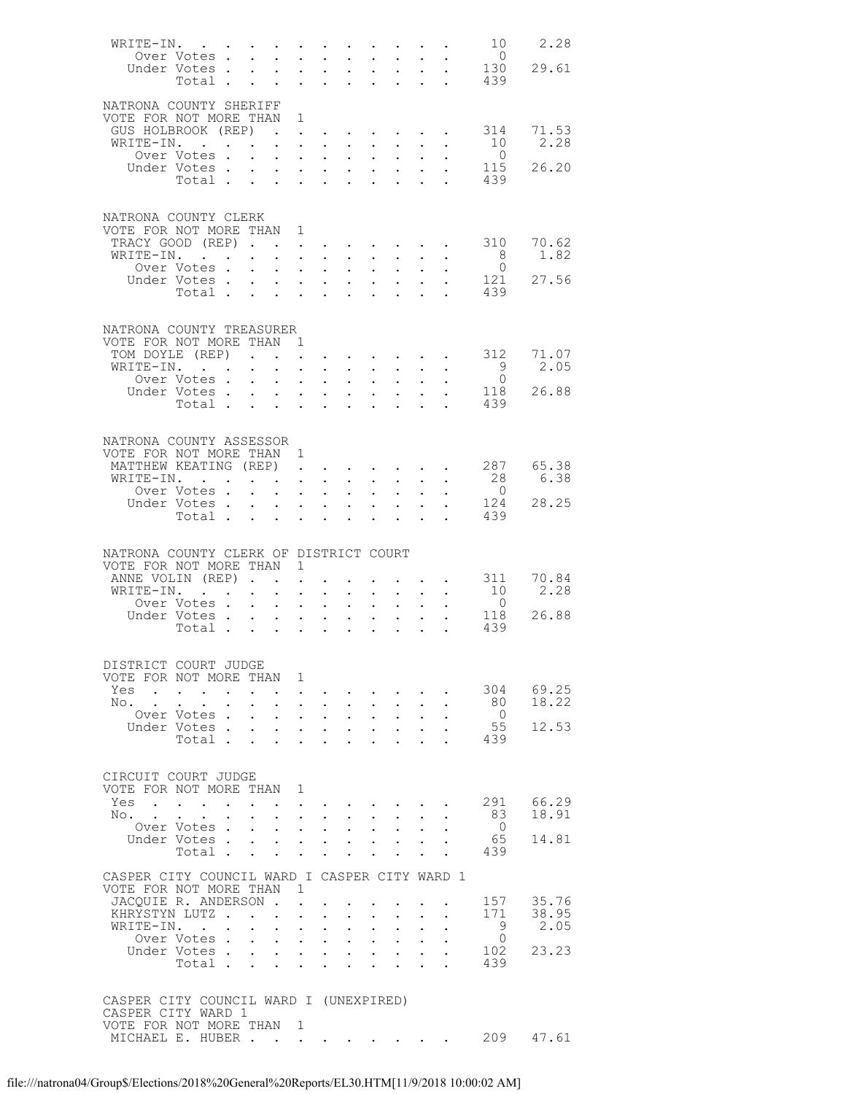| WRITE-IN.                                                    |                                                                          |                           |                                        |                                                                                                                                                                                                      |                           |                                                                 |                                                                               |                                                                              |                      |                                      | 10                    | 2.28      |
|--------------------------------------------------------------|--------------------------------------------------------------------------|---------------------------|----------------------------------------|------------------------------------------------------------------------------------------------------------------------------------------------------------------------------------------------------|---------------------------|-----------------------------------------------------------------|-------------------------------------------------------------------------------|------------------------------------------------------------------------------|----------------------|--------------------------------------|-----------------------|-----------|
|                                                              | Over Votes                                                               |                           | $\mathbf{L}$                           | $\sim$                                                                                                                                                                                               | $\sim$                    | $\mathbf{L}$                                                    |                                                                               | $\mathbf{r}$ $\mathbf{r}$                                                    |                      |                                      | $\overline{0}$<br>130 | 29.61     |
|                                                              | Under Votes<br>Total                                                     |                           |                                        |                                                                                                                                                                                                      |                           | $\mathbf{1}$ and $\mathbf{1}$ and $\mathbf{1}$ and $\mathbf{1}$ |                                                                               | $\mathbf{A}^{(1)}$ and $\mathbf{A}^{(2)}$ .<br>$\mathbf{r}$ and $\mathbf{r}$ | $\sim$ $-$           | $\ddot{\phantom{a}}$<br>$\mathbf{L}$ | 439                   |           |
|                                                              |                                                                          |                           |                                        |                                                                                                                                                                                                      |                           |                                                                 |                                                                               |                                                                              |                      |                                      |                       |           |
| NATRONA COUNTY SHERIFF                                       |                                                                          |                           |                                        |                                                                                                                                                                                                      |                           |                                                                 |                                                                               |                                                                              |                      |                                      |                       |           |
| VOTE FOR NOT MORE THAN 1<br>GUS HOLBROOK (REP).              |                                                                          |                           |                                        |                                                                                                                                                                                                      |                           |                                                                 |                                                                               |                                                                              |                      |                                      | 314                   | 71.53     |
| WRITE-IN.                                                    |                                                                          |                           |                                        | $\mathbf{r} = \left( \mathbf{r} \right) \left( \mathbf{r} \right) \left( \mathbf{r} \right) \left( \mathbf{r} \right) \left( \mathbf{r} \right) \left( \mathbf{r} \right) \left( \mathbf{r} \right)$ |                           |                                                                 |                                                                               |                                                                              | $\sim 10^{-10}$      | $\bullet$                            | 10                    | 2.28      |
|                                                              | Over Votes.                                                              | $\sim$                    | $\mathbf{L}$                           | $\mathbf{r}$ , $\mathbf{r}$ , $\mathbf{r}$                                                                                                                                                           |                           |                                                                 |                                                                               | $\mathbf{r}$ $\mathbf{r}$                                                    |                      |                                      | $\overline{0}$        |           |
|                                                              | Under Votes                                                              |                           |                                        | $\mathbf{u}^{\prime}=\mathbf{u}^{\prime}$ , where $\mathbf{u}^{\prime}=\mathbf{u}^{\prime}$                                                                                                          |                           |                                                                 |                                                                               | $\mathbf{L}^{\text{max}}$ , and $\mathbf{L}^{\text{max}}$                    | $\sim$ $-$           |                                      | 115                   | 26.20     |
|                                                              | $Total \cdot \cdot \cdot \cdot \cdot \cdot \cdot \cdot \cdot$            |                           |                                        |                                                                                                                                                                                                      |                           |                                                                 |                                                                               |                                                                              |                      |                                      | 439                   |           |
|                                                              |                                                                          |                           |                                        |                                                                                                                                                                                                      |                           |                                                                 |                                                                               |                                                                              |                      |                                      |                       |           |
| NATRONA COUNTY CLERK                                         |                                                                          |                           |                                        |                                                                                                                                                                                                      |                           |                                                                 |                                                                               |                                                                              |                      |                                      |                       |           |
| VOTE FOR NOT MORE THAN 1<br>TRACY GOOD (REP)                 |                                                                          |                           |                                        |                                                                                                                                                                                                      |                           |                                                                 |                                                                               |                                                                              |                      |                                      | 310                   | 70.62     |
| WRITE-IN.                                                    |                                                                          |                           | $\ddot{\phantom{a}}$                   | $\mathbf{r}$ , $\mathbf{r}$                                                                                                                                                                          |                           | $\mathbf{L}$                                                    | $\sim$                                                                        |                                                                              |                      |                                      | 8                     | 1.82      |
|                                                              | Over Votes.                                                              | $\sim$ $-$                |                                        | $\mathbf{r} = \mathbf{r} \cdot \mathbf{r}$ , where $\mathbf{r} = \mathbf{r} \cdot \mathbf{r}$                                                                                                        |                           | $\mathcal{L}^{\text{max}}$                                      |                                                                               | $\mathbf{L}^{\text{max}}$ , and $\mathbf{L}^{\text{max}}$                    | $\ddot{\phantom{0}}$ | $\bullet$                            | $\bigcirc$            |           |
|                                                              | Under Votes                                                              |                           |                                        | $\mathbf{r}$ , $\mathbf{r}$ , $\mathbf{r}$ , $\mathbf{r}$                                                                                                                                            |                           |                                                                 |                                                                               | $\cdot$ $\cdot$ $\cdot$                                                      |                      |                                      |                       | 121 27.56 |
|                                                              | Total $\cdots$                                                           |                           |                                        |                                                                                                                                                                                                      |                           |                                                                 |                                                                               | $\mathbf{L} = \mathbf{L}$                                                    | $\mathbf{L}$         | $\mathbf{L}$                         | 439                   |           |
|                                                              |                                                                          |                           |                                        |                                                                                                                                                                                                      |                           |                                                                 |                                                                               |                                                                              |                      |                                      |                       |           |
| NATRONA COUNTY TREASURER                                     |                                                                          |                           |                                        |                                                                                                                                                                                                      |                           |                                                                 |                                                                               |                                                                              |                      |                                      |                       |           |
| VOTE FOR NOT MORE THAN 1<br>TOM DOYLE (REP)                  |                                                                          |                           |                                        | $\sim$                                                                                                                                                                                               |                           |                                                                 | $\mathbf{r} = \mathbf{r} + \mathbf{r} + \mathbf{r} + \mathbf{r} + \mathbf{r}$ |                                                                              |                      |                                      | 312                   | 71.07     |
| WRITE-IN.                                                    |                                                                          |                           |                                        |                                                                                                                                                                                                      |                           |                                                                 |                                                                               |                                                                              |                      | $\Box$                               | $\overline{9}$        | 2.05      |
|                                                              | Over Votes .                                                             | $\sim$ $-$                | $\mathbf{L}$                           | $\mathbf{r}$ , $\mathbf{r}$                                                                                                                                                                          |                           | $\mathbf{r}$                                                    | $\mathbf{A}$                                                                  | $\mathbf{L}$                                                                 |                      |                                      | $\overline{0}$        |           |
|                                                              | Under Votes<br>Total                                                     |                           |                                        | $\mathbf{r}$ , $\mathbf{r}$ , $\mathbf{r}$ , $\mathbf{r}$                                                                                                                                            |                           | $\mathbf{L}^{\text{max}}$                                       | $\mathbf{L}$                                                                  | $\mathbf{L} = \mathbf{L}$<br>$\mathbf{L}$                                    | $\bullet$ .          | $\ddot{\phantom{a}}$                 | 118<br>439            | 26.88     |
|                                                              |                                                                          |                           |                                        |                                                                                                                                                                                                      | <b>Service Control</b>    |                                                                 |                                                                               |                                                                              |                      | $\ddot{\phantom{a}}$                 |                       |           |
|                                                              |                                                                          |                           |                                        |                                                                                                                                                                                                      |                           |                                                                 |                                                                               |                                                                              |                      |                                      |                       |           |
| NATRONA COUNTY ASSESSOR                                      |                                                                          |                           |                                        |                                                                                                                                                                                                      |                           |                                                                 |                                                                               |                                                                              |                      |                                      |                       |           |
| VOTE FOR NOT MORE THAN 1<br>MATTHEW KEATING (REP)            |                                                                          |                           |                                        |                                                                                                                                                                                                      |                           |                                                                 |                                                                               |                                                                              |                      |                                      | 287                   | 65.38     |
| WRITE-IN.                                                    |                                                                          | $\mathbf{r}$ $\mathbf{r}$ |                                        |                                                                                                                                                                                                      | $\cdot$ $\cdot$ $\cdot$   | $\ddot{\phantom{0}}$                                            | $\mathcal{L}^{\text{max}}$                                                    | $\ddot{\phantom{0}}$                                                         |                      |                                      | 28                    | 6.38      |
|                                                              | Over Votes .                                                             |                           |                                        | $\mathbf{r} = \mathbf{r} + \mathbf{r} + \mathbf{r} + \mathbf{r}$                                                                                                                                     |                           | $\sim$                                                          |                                                                               | $\mathbf{L} = \mathbf{L}$                                                    |                      |                                      | $\overline{0}$        |           |
|                                                              | Under Votes                                                              |                           | $\sim$                                 | $\mathbf{r}$ , $\mathbf{r}$                                                                                                                                                                          |                           |                                                                 |                                                                               | $\mathbf{L} = \mathbf{L}$                                                    |                      |                                      | 124<br>439            | 28.25     |
|                                                              | Total $\cdots$                                                           |                           |                                        |                                                                                                                                                                                                      |                           |                                                                 | $\bullet$                                                                     | $\mathcal{L}^{\text{max}}$                                                   | $\sim$ $-$           | $\ddot{\phantom{0}}$                 |                       |           |
|                                                              |                                                                          |                           |                                        |                                                                                                                                                                                                      |                           |                                                                 |                                                                               |                                                                              |                      |                                      |                       |           |
| NATRONA COUNTY CLERK OF DISTRICT COURT                       |                                                                          |                           |                                        | 1                                                                                                                                                                                                    |                           |                                                                 |                                                                               |                                                                              |                      |                                      |                       |           |
| VOTE FOR NOT MORE THAN<br>ANNE VOLIN (REP).                  |                                                                          |                           |                                        | $\mathbf{L}$                                                                                                                                                                                         |                           |                                                                 |                                                                               |                                                                              |                      |                                      |                       | 311 70.84 |
| WRITE-IN.                                                    | and the state of the state                                               |                           | $\mathcal{L}^{\text{max}}$             | $\sim$ $-$                                                                                                                                                                                           |                           | $\mathbf{A}^{\text{max}}$ , and $\mathbf{A}^{\text{max}}$       |                                                                               | $\mathbf{A}^{(1)}$ and $\mathbf{A}^{(2)}$ .                                  |                      | $\bullet$ .                          | 10                    | 2.28      |
|                                                              | Over Votes.                                                              | $\sim$                    | $\ddot{\phantom{0}}$                   | $\sim$                                                                                                                                                                                               | $\sim$                    | $\ddot{\phantom{0}}$                                            | $\mathbf{L}^{\text{max}}$                                                     | $\ddot{\phantom{0}}$                                                         |                      |                                      | $\overline{0}$        |           |
|                                                              | Under Votes<br>Total .                                                   |                           | $\mathbf{L}$                           |                                                                                                                                                                                                      | $\mathbf{r} = \mathbf{r}$ | $\mathcal{L}^{\text{max}}$                                      |                                                                               | $\mathbf{L}^{\text{max}}$ , and $\mathbf{L}^{\text{max}}$                    | $\sim$               |                                      | 118<br>439            | 26.88     |
|                                                              |                                                                          |                           |                                        |                                                                                                                                                                                                      |                           |                                                                 |                                                                               |                                                                              |                      |                                      |                       |           |
|                                                              |                                                                          |                           |                                        |                                                                                                                                                                                                      |                           |                                                                 |                                                                               |                                                                              |                      |                                      |                       |           |
| DISTRICT COURT JUDGE<br>VOTE FOR NOT MORE THAN 1             |                                                                          |                           |                                        |                                                                                                                                                                                                      |                           |                                                                 |                                                                               |                                                                              |                      |                                      |                       |           |
| Yes                                                          | $\mathbf{r}$ , $\mathbf{r}$ , $\mathbf{r}$ , $\mathbf{r}$ , $\mathbf{r}$ |                           |                                        | and a strategic                                                                                                                                                                                      |                           |                                                                 |                                                                               |                                                                              |                      |                                      | 304                   | 69.25     |
| No.                                                          | $\mathbf{r} = \mathbf{r}$                                                |                           | $\ddot{\phantom{0}}$                   | $\mathbf{L}$ and $\mathbf{L}$                                                                                                                                                                        |                           | $\ddot{\phantom{0}}$                                            | $\sim$                                                                        | $\ddot{\phantom{0}}$                                                         |                      |                                      | 80                    | 18.22     |
|                                                              | Over Votes                                                               |                           | $\mathbf{L}^{\text{max}}$              | $\sim 10^{-11}$                                                                                                                                                                                      | $\sim$ $-$                | $\mathbf{L}$                                                    |                                                                               | $\mathbf{L}^{\text{max}}$ , and $\mathbf{L}^{\text{max}}$                    |                      |                                      | $\overline{0}$<br>55  |           |
|                                                              | Under Votes<br>Total                                                     |                           | $\mathbf{L}$<br>$\ddot{\phantom{a}}$   | $\sim$ $\sim$ $\sim$<br>$\ddot{\phantom{a}}$                                                                                                                                                         | $\ddot{\phantom{a}}$      | $\mathbf{r}$<br>$\ddot{\phantom{0}}$                            | $\ddot{\phantom{0}}$                                                          | $\mathbf{L} = \mathbf{L}$<br>$\ddot{\phantom{a}}$                            |                      |                                      | 439                   | 12.53     |
|                                                              |                                                                          |                           |                                        |                                                                                                                                                                                                      |                           |                                                                 |                                                                               |                                                                              |                      |                                      |                       |           |
|                                                              |                                                                          |                           |                                        |                                                                                                                                                                                                      |                           |                                                                 |                                                                               |                                                                              |                      |                                      |                       |           |
| CIRCUIT COURT JUDGE<br>VOTE FOR NOT MORE THAN 1              |                                                                          |                           |                                        |                                                                                                                                                                                                      |                           |                                                                 |                                                                               |                                                                              |                      |                                      |                       |           |
| Yes                                                          |                                                                          |                           |                                        |                                                                                                                                                                                                      |                           |                                                                 |                                                                               |                                                                              |                      |                                      | 291                   | 66.29     |
| No.                                                          |                                                                          |                           | $\ddot{\phantom{0}}$                   | $\mathcal{L}^{\text{max}}$ , and $\mathcal{L}^{\text{max}}$                                                                                                                                          |                           |                                                                 | $\sim 10^{-10}$                                                               | $\sim$ $-$                                                                   |                      |                                      | 83                    | 18.91     |
|                                                              | Over Votes                                                               |                           | $\mathbf{L}$                           | $\sim$ $\sim$                                                                                                                                                                                        | $\mathbf{L}$              | $\mathbf{L}$                                                    | $\mathbf{L}$                                                                  | $\mathbf{L}$                                                                 |                      |                                      | $\overline{0}$<br>65  | 14.81     |
|                                                              | Under Votes<br>Total                                                     |                           |                                        | $\mathbf{L}^{\text{max}}$ , $\mathbf{L}^{\text{max}}$<br>$\mathbf{r}$                                                                                                                                | $\sim$ $-$                | $\ddotsc$                                                       | $\ddot{\phantom{a}}$                                                          | $\mathbf{L}$                                                                 |                      |                                      | 439                   |           |
|                                                              |                                                                          |                           |                                        |                                                                                                                                                                                                      |                           |                                                                 |                                                                               |                                                                              |                      |                                      |                       |           |
| CASPER CITY COUNCIL WARD I CASPER CITY WARD 1                |                                                                          |                           |                                        |                                                                                                                                                                                                      |                           |                                                                 |                                                                               |                                                                              |                      |                                      |                       |           |
| VOTE FOR NOT MORE THAN<br>JACOUIE R. ANDERSON                |                                                                          |                           |                                        | $\mathbf{1}$                                                                                                                                                                                         |                           |                                                                 |                                                                               |                                                                              |                      |                                      | 157                   | 35.76     |
| KHRYSTYN LUTZ.                                               |                                                                          |                           | $\mathbf{r}$ . The set of $\mathbf{r}$ | $\sim$ $-$                                                                                                                                                                                           | $\ddot{\phantom{0}}$      | $\ddot{\phantom{0}}$                                            | $\ddot{\phantom{0}}$                                                          | $\ddot{\phantom{a}}$                                                         |                      |                                      | 171                   | 38.95     |
| WRITE-IN.                                                    |                                                                          |                           | $\ddot{\phantom{0}}$                   | $\sim$                                                                                                                                                                                               | $\ddot{\phantom{a}}$      | $\mathbf{L}$                                                    | $\mathbf{L}$                                                                  |                                                                              |                      |                                      | $\overline{9}$        | 2.05      |
|                                                              | Over Votes.<br>Under Votes                                               | $\mathbf{L}^{\text{max}}$ | $\mathbf{L}^{\text{max}}$              | $\sim$ $-$<br>$\cdot$ $\cdot$ $\cdot$ $\cdot$                                                                                                                                                        | $\sim$ $-$                | $\ddot{\phantom{0}}$<br>$\mathbf{r}$                            | $\mathbf{L}^{\text{max}}$<br>$\mathbf{L}$                                     | $\sim$ $-$<br>$\mathbf{L}$                                                   |                      |                                      | $\Omega$<br>102       | 23.23     |
|                                                              | Total                                                                    |                           | $\mathbf{L}^{\text{max}}$              | $\mathcal{L}^{\text{max}}$                                                                                                                                                                           | $\ddot{\phantom{0}}$      | $\ddot{\phantom{0}}$                                            | $\ddot{\phantom{a}}$                                                          | $\mathbf{L}$                                                                 | $\ddot{\phantom{0}}$ | $\ddot{\phantom{a}}$                 | 439                   |           |
|                                                              |                                                                          |                           |                                        |                                                                                                                                                                                                      |                           |                                                                 |                                                                               |                                                                              |                      |                                      |                       |           |
|                                                              |                                                                          |                           |                                        |                                                                                                                                                                                                      |                           |                                                                 |                                                                               |                                                                              |                      |                                      |                       |           |
|                                                              |                                                                          |                           |                                        |                                                                                                                                                                                                      |                           |                                                                 |                                                                               |                                                                              |                      |                                      |                       |           |
| CASPER CITY COUNCIL WARD I (UNEXPIRED)<br>CASPER CITY WARD 1 |                                                                          |                           |                                        |                                                                                                                                                                                                      |                           |                                                                 |                                                                               |                                                                              |                      |                                      |                       |           |
| VOTE FOR NOT MORE THAN 1<br>MICHAEL E. HUBER                 |                                                                          |                           |                                        |                                                                                                                                                                                                      |                           |                                                                 |                                                                               |                                                                              |                      |                                      | 209                   | 47.61     |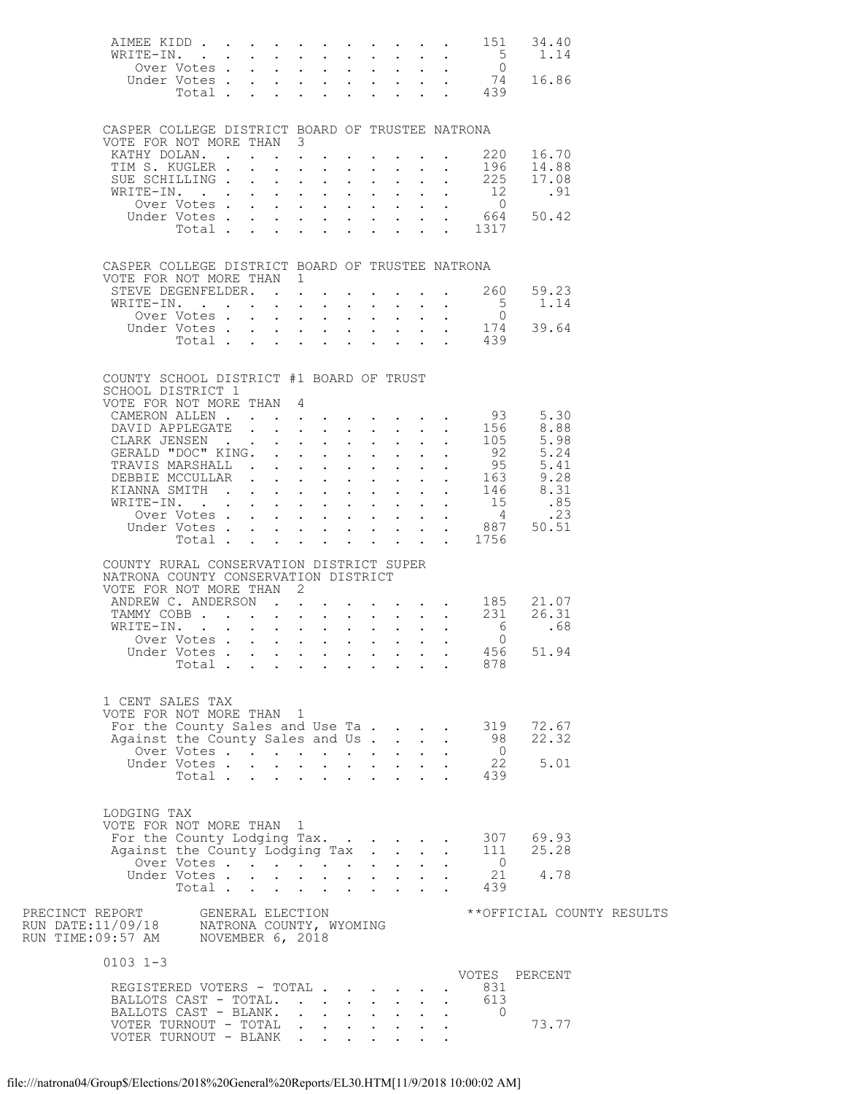| AIMEE KIDD 151<br>WRITE-IN. 5                                                                                                               |                           |  |                 |  |                                                                                                         |                            |                      |                                              | 34.40<br>1.14      |     |                           |
|---------------------------------------------------------------------------------------------------------------------------------------------|---------------------------|--|-----------------|--|---------------------------------------------------------------------------------------------------------|----------------------------|----------------------|----------------------------------------------|--------------------|-----|---------------------------|
|                                                                                                                                             | Over Votes                |  |                 |  | $\mathbf{r} = \mathbf{r} \times \mathbf{r}$ , where $\mathbf{r} = \mathbf{r} \times \mathbf{r}$ , where |                            |                      | $\overline{0}$                               |                    |     |                           |
|                                                                                                                                             |                           |  |                 |  |                                                                                                         |                            |                      | Under Votes 74<br>Total 439                  | 16.86              |     |                           |
|                                                                                                                                             |                           |  |                 |  |                                                                                                         |                            |                      |                                              |                    |     |                           |
| CASPER COLLEGE DISTRICT BOARD OF TRUSTEE NATRONA                                                                                            |                           |  |                 |  |                                                                                                         |                            |                      |                                              |                    |     |                           |
| VOTE FOR NOT MORE THAN 3                                                                                                                    |                           |  |                 |  |                                                                                                         |                            |                      |                                              |                    |     |                           |
| KATHY DOLAN. 220                                                                                                                            |                           |  |                 |  |                                                                                                         |                            |                      |                                              | 16.70<br>196 14.88 |     |                           |
| TIM S. KUGLER<br>SUE SCHILLING 225                                                                                                          |                           |  |                 |  | $\mathbf{r}$ , $\mathbf{r}$ , $\mathbf{r}$ , $\mathbf{r}$ , $\mathbf{r}$                                | $\sim$                     |                      |                                              | 17.08              |     |                           |
| WRITE-IN.                                                                                                                                   |                           |  |                 |  | $\mathbf{r} = \mathbf{r} + \mathbf{r} + \mathbf{r} + \mathbf{r} + \mathbf{r}$                           | $\mathcal{L}^{\text{max}}$ | $\ddot{\phantom{0}}$ | 12                                           | .91                |     |                           |
|                                                                                                                                             |                           |  |                 |  |                                                                                                         |                            |                      | Over Votes 0<br>Under Votes 664              | 50.42              |     |                           |
|                                                                                                                                             |                           |  |                 |  |                                                                                                         |                            |                      | Total 1317                                   |                    |     |                           |
|                                                                                                                                             |                           |  |                 |  |                                                                                                         |                            |                      |                                              |                    |     |                           |
| CASPER COLLEGE DISTRICT BOARD OF TRUSTEE NATRONA                                                                                            |                           |  |                 |  |                                                                                                         |                            |                      |                                              |                    |     |                           |
| VOTE FOR NOT MORE THAN 1                                                                                                                    |                           |  |                 |  |                                                                                                         |                            |                      |                                              |                    |     |                           |
| STEVE DEGENFELDER. 260<br>WRITE-IN.                                                                                                         |                           |  |                 |  |                                                                                                         |                            |                      | $5^{\circ}$                                  | 59.23<br>1.14      |     |                           |
|                                                                                                                                             | Over Votes                |  |                 |  | $\mathbf{r} = \mathbf{r} + \mathbf{r} + \mathbf{r} + \mathbf{r} + \mathbf{r}$                           | $\sim 10^{-11}$            |                      | $\overline{0}$                               |                    |     |                           |
|                                                                                                                                             |                           |  |                 |  |                                                                                                         |                            |                      | Over Votes 0<br>Under Votes 174<br>Total 439 | 39.64              |     |                           |
|                                                                                                                                             |                           |  |                 |  |                                                                                                         |                            |                      |                                              |                    |     |                           |
|                                                                                                                                             |                           |  |                 |  |                                                                                                         |                            |                      |                                              |                    |     |                           |
| COUNTY SCHOOL DISTRICT #1 BOARD OF TRUST<br>SCHOOL DISTRICT 1                                                                               |                           |  |                 |  |                                                                                                         |                            |                      |                                              |                    |     |                           |
| VOTE FOR NOT MORE THAN 4                                                                                                                    |                           |  |                 |  |                                                                                                         |                            |                      |                                              |                    |     |                           |
| CAMERON ALLEN 93                                                                                                                            |                           |  |                 |  |                                                                                                         |                            |                      |                                              | 5.30               |     |                           |
| DAVID APPLEGATE 156<br>CLARK JENSEN 105                                                                                                     |                           |  |                 |  |                                                                                                         |                            |                      |                                              | 8.88               |     |                           |
| DAVID AFFLESSIN<br>CLARK JENSEN<br>GERALD "DOC" KING.<br>TRAVIS MARSHALL 92<br>TRAVIS MARSHALL 95<br>DEBBLE MCCULLAR 163<br>DEBBLE MCCULLAR |                           |  |                 |  |                                                                                                         |                            |                      |                                              |                    |     |                           |
|                                                                                                                                             |                           |  |                 |  |                                                                                                         |                            |                      |                                              |                    |     |                           |
|                                                                                                                                             |                           |  |                 |  |                                                                                                         |                            |                      |                                              |                    |     |                           |
| WRITE-IN. 15<br>Over Votes 4                                                                                                                |                           |  |                 |  |                                                                                                         |                            |                      |                                              | .85                |     |                           |
|                                                                                                                                             |                           |  |                 |  |                                                                                                         |                            |                      |                                              |                    | .23 |                           |
|                                                                                                                                             |                           |  |                 |  |                                                                                                         |                            |                      | XITE-IN.<br>Over Votes 4<br>Under Votes 1756 | 50.51              |     |                           |
|                                                                                                                                             |                           |  |                 |  |                                                                                                         |                            |                      |                                              |                    |     |                           |
| COUNTY RURAL CONSERVATION DISTRICT SUPER<br>NATRONA COUNTY CONSERVATION DISTRICT                                                            |                           |  |                 |  |                                                                                                         |                            |                      |                                              |                    |     |                           |
| VOTE FOR NOT MORE THAN 2                                                                                                                    |                           |  |                 |  |                                                                                                         |                            |                      |                                              |                    |     |                           |
| ANDREW C. ANDERSON 185 21.07<br>TAMMY COBB 231 26.31                                                                                        |                           |  |                 |  |                                                                                                         |                            |                      |                                              |                    |     |                           |
|                                                                                                                                             |                           |  |                 |  |                                                                                                         |                            |                      |                                              |                    | .68 |                           |
| WRITE-IN. 6<br>Over Votes 0                                                                                                                 |                           |  |                 |  |                                                                                                         |                            |                      |                                              |                    |     |                           |
|                                                                                                                                             | Under Votes               |  |                 |  |                                                                                                         |                            |                      | 456                                          | 51.94              |     |                           |
|                                                                                                                                             | Total $\cdots$            |  |                 |  | $\mathbf{r}$ and $\mathbf{r}$ and $\mathbf{r}$ and $\mathbf{r}$                                         |                            |                      | 878                                          |                    |     |                           |
|                                                                                                                                             |                           |  |                 |  |                                                                                                         |                            |                      |                                              |                    |     |                           |
| 1 CENT SALES TAX<br>VOTE FOR NOT MORE THAN 1                                                                                                |                           |  |                 |  |                                                                                                         |                            |                      |                                              |                    |     |                           |
| For the County Sales and Use Ta                                                                                                             |                           |  |                 |  |                                                                                                         |                            |                      | 319                                          | 72.67              |     |                           |
| Against the County Sales and Us                                                                                                             |                           |  |                 |  |                                                                                                         |                            |                      | 98                                           | 22.32              |     |                           |
|                                                                                                                                             | Over Votes<br>Under Votes |  | $\sim 10^{-11}$ |  | $\mathbf{u} = \mathbf{u} + \mathbf{u} + \mathbf{u} + \mathbf{u} + \mathbf{u}$                           |                            |                      | $\overline{0}$<br>22                         | 5.01               |     |                           |
|                                                                                                                                             | Total                     |  |                 |  |                                                                                                         |                            |                      | 439                                          |                    |     |                           |
|                                                                                                                                             |                           |  |                 |  |                                                                                                         |                            |                      |                                              |                    |     |                           |
| LODGING TAX                                                                                                                                 |                           |  |                 |  |                                                                                                         |                            |                      |                                              |                    |     |                           |
| VOTE FOR NOT MORE THAN 1                                                                                                                    |                           |  |                 |  |                                                                                                         |                            |                      |                                              |                    |     |                           |
| For the County Lodging Tax.<br>Against the County Lodging Tax                                                                               |                           |  |                 |  |                                                                                                         |                            | $\sim$               | 111                                          | 307 69.93<br>25.28 |     |                           |
|                                                                                                                                             | Over Votes                |  |                 |  |                                                                                                         |                            |                      | $\overline{0}$                               |                    |     |                           |
|                                                                                                                                             | Under Votes<br>Total      |  |                 |  |                                                                                                         |                            |                      | 21<br>439                                    | 4.78               |     |                           |
|                                                                                                                                             |                           |  |                 |  |                                                                                                         |                            |                      |                                              |                    |     |                           |
| PRECINCT REPORT                                                                                                                             | GENERAL ELECTION          |  |                 |  |                                                                                                         |                            |                      |                                              |                    |     | **OFFICIAL COUNTY RESULTS |
| RUN DATE:11/09/18     NATRONA COUNTY, WYOMING<br>RUN TIME:09:57 AM     NOVEMBER 6, 2018                                                     |                           |  |                 |  |                                                                                                         |                            |                      |                                              |                    |     |                           |
|                                                                                                                                             |                           |  |                 |  |                                                                                                         |                            |                      |                                              |                    |     |                           |
| $0103$ 1-3                                                                                                                                  |                           |  |                 |  |                                                                                                         |                            |                      | VOTES PERCENT                                |                    |     |                           |
| REGISTERED VOTERS - TOTAL                                                                                                                   |                           |  |                 |  |                                                                                                         |                            |                      | 831                                          |                    |     |                           |
| BALLOTS CAST - TOTAL.                                                                                                                       |                           |  |                 |  |                                                                                                         | $\mathbf{L}^{\text{max}}$  | $\sim$ 100 $\pm$     | 613                                          |                    |     |                           |
| BALLOTS CAST - BLANK.<br>VOTER TURNOUT - TOTAL                                                                                              |                           |  |                 |  | $\mathbf{r} = \mathbf{r} + \mathbf{r} + \mathbf{r} + \mathbf{r} + \mathbf{r}$                           |                            |                      | $\overline{0}$                               | 73.77              |     |                           |
|                                                                                                                                             | VOTER TURNOUT - BLANK     |  |                 |  |                                                                                                         |                            |                      |                                              |                    |     |                           |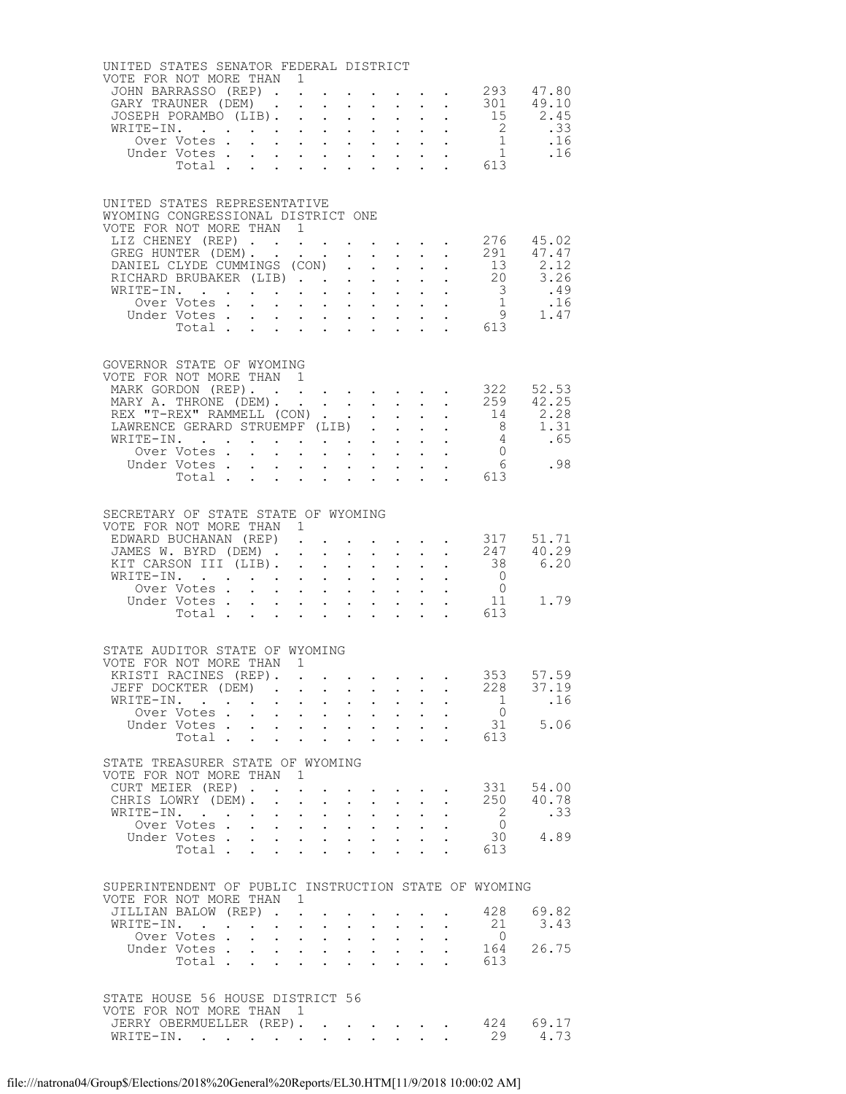| UNITED STATES SENATOR FEDERAL DISTRICT                                                                       |                                                                       |                                            |                                                           |                                                           |                                            |                                                                                                                                               |                            |                                                           |                                                                                               |                                             |                                                     |
|--------------------------------------------------------------------------------------------------------------|-----------------------------------------------------------------------|--------------------------------------------|-----------------------------------------------------------|-----------------------------------------------------------|--------------------------------------------|-----------------------------------------------------------------------------------------------------------------------------------------------|----------------------------|-----------------------------------------------------------|-----------------------------------------------------------------------------------------------|---------------------------------------------|-----------------------------------------------------|
| VOTE FOR NOT MORE THAN 1<br>JOHN BARRASSO (REP) 293 47.80                                                    |                                                                       |                                            |                                                           |                                                           |                                            |                                                                                                                                               |                            |                                                           |                                                                                               |                                             |                                                     |
| GARY TRAUNER (DEM)                                                                                           |                                                                       |                                            |                                                           |                                                           |                                            |                                                                                                                                               |                            |                                                           |                                                                                               |                                             |                                                     |
| JOSEPH PORAMBO (LIB).                                                                                        |                                                                       |                                            |                                                           |                                                           | $\bullet$ .                                | $\mathcal{L}^{\text{max}}$                                                                                                                    |                            |                                                           | $\sim 100$                                                                                    | 301 49.10<br>15 2.45                        |                                                     |
|                                                                                                              |                                                                       |                                            |                                                           |                                                           |                                            |                                                                                                                                               |                            |                                                           |                                                                                               |                                             |                                                     |
|                                                                                                              |                                                                       |                                            |                                                           |                                                           |                                            |                                                                                                                                               |                            |                                                           |                                                                                               |                                             |                                                     |
|                                                                                                              |                                                                       |                                            |                                                           |                                                           |                                            |                                                                                                                                               |                            |                                                           |                                                                                               |                                             |                                                     |
|                                                                                                              |                                                                       |                                            |                                                           |                                                           |                                            |                                                                                                                                               |                            |                                                           |                                                                                               |                                             |                                                     |
|                                                                                                              |                                                                       |                                            |                                                           |                                                           |                                            |                                                                                                                                               |                            |                                                           |                                                                                               |                                             |                                                     |
| UNITED STATES REPRESENTATIVE                                                                                 |                                                                       |                                            |                                                           |                                                           |                                            |                                                                                                                                               |                            |                                                           |                                                                                               |                                             |                                                     |
| WYOMING CONGRESSIONAL DISTRICT ONE                                                                           |                                                                       |                                            |                                                           |                                                           |                                            |                                                                                                                                               |                            |                                                           |                                                                                               |                                             |                                                     |
| VOTE FOR NOT MORE THAN 1                                                                                     |                                                                       |                                            |                                                           |                                                           |                                            |                                                                                                                                               |                            |                                                           |                                                                                               |                                             |                                                     |
| LIZ CHENEY (REP) 276 45.02                                                                                   |                                                                       |                                            |                                                           |                                                           |                                            |                                                                                                                                               |                            |                                                           |                                                                                               |                                             |                                                     |
| GREG HUNTER (DEM). 291                                                                                       |                                                                       |                                            |                                                           |                                                           |                                            |                                                                                                                                               |                            |                                                           |                                                                                               |                                             | 47.47                                               |
| DANIEL CLYDE CUMMINGS (CON)                                                                                  |                                                                       |                                            |                                                           |                                                           |                                            |                                                                                                                                               | $\sim$ $-$                 | $\mathcal{L}^{\text{max}}$                                |                                                                                               | 13                                          | 2.12                                                |
| RICHARD BRUBAKER (LIB) 20 3.26                                                                               |                                                                       |                                            |                                                           |                                                           |                                            |                                                                                                                                               |                            |                                                           |                                                                                               |                                             |                                                     |
| WRITE-IN.                                                                                                    |                                                                       |                                            |                                                           |                                                           |                                            |                                                                                                                                               |                            |                                                           |                                                                                               |                                             |                                                     |
| Under Votes                                                                                                  |                                                                       |                                            |                                                           |                                                           |                                            |                                                                                                                                               |                            |                                                           |                                                                                               |                                             |                                                     |
| Total 613                                                                                                    |                                                                       |                                            |                                                           |                                                           |                                            |                                                                                                                                               |                            |                                                           |                                                                                               |                                             |                                                     |
|                                                                                                              |                                                                       |                                            |                                                           |                                                           |                                            |                                                                                                                                               |                            |                                                           |                                                                                               |                                             |                                                     |
|                                                                                                              |                                                                       |                                            |                                                           |                                                           |                                            |                                                                                                                                               |                            |                                                           |                                                                                               |                                             |                                                     |
| GOVERNOR STATE OF WYOMING                                                                                    |                                                                       |                                            |                                                           |                                                           |                                            |                                                                                                                                               |                            |                                                           |                                                                                               |                                             |                                                     |
| VOTE FOR NOT MORE THAN 1                                                                                     |                                                                       |                                            |                                                           |                                                           |                                            |                                                                                                                                               |                            |                                                           |                                                                                               |                                             |                                                     |
| MARK GORDON (REP). 322<br>MARY A. THRONE (DEM). 259                                                          |                                                                       |                                            |                                                           |                                                           |                                            |                                                                                                                                               |                            |                                                           |                                                                                               |                                             | 52.53<br>42.25                                      |
| REX "T-REX" RAMMELL (CON)                                                                                    |                                                                       |                                            |                                                           |                                                           |                                            |                                                                                                                                               | $\sim$ $-$                 | $\mathcal{L}^{\text{max}}$                                |                                                                                               |                                             | 14 2.28                                             |
| LAWRENCE GERARD STRUEMPF (LIB)                                                                               |                                                                       |                                            |                                                           |                                                           |                                            |                                                                                                                                               |                            |                                                           |                                                                                               |                                             | $8 \t 1.31$                                         |
| WRITE-IN.                                                                                                    |                                                                       |                                            |                                                           |                                                           |                                            |                                                                                                                                               |                            |                                                           | $\mathbf{1}^{\prime}$ , $\mathbf{1}^{\prime}$ , $\mathbf{1}^{\prime}$ , $\mathbf{1}^{\prime}$ |                                             |                                                     |
| Over Votes                                                                                                   |                                                                       |                                            |                                                           |                                                           |                                            |                                                                                                                                               |                            |                                                           |                                                                                               |                                             | $\begin{array}{ccc} 4 & .65 \\ 0 & .98 \end{array}$ |
| Under Votes                                                                                                  |                                                                       |                                            |                                                           |                                                           |                                            | $\mathbf{1}^{\prime}$ , $\mathbf{1}^{\prime}$ , $\mathbf{1}^{\prime}$ , $\mathbf{1}^{\prime}$ , $\mathbf{1}^{\prime}$ , $\mathbf{1}^{\prime}$ |                            |                                                           | $\mathbf{u}^{\prime}=\mathbf{u}^{\prime}$ , where $\mathbf{u}^{\prime}$                       |                                             |                                                     |
| Total 613                                                                                                    |                                                                       |                                            |                                                           |                                                           |                                            |                                                                                                                                               |                            |                                                           |                                                                                               |                                             |                                                     |
|                                                                                                              |                                                                       |                                            |                                                           |                                                           |                                            |                                                                                                                                               |                            |                                                           |                                                                                               |                                             |                                                     |
|                                                                                                              |                                                                       |                                            |                                                           |                                                           |                                            |                                                                                                                                               |                            |                                                           |                                                                                               |                                             |                                                     |
| SECRETARY OF STATE STATE OF WYOMING<br>VOTE FOR NOT MORE THAN 1                                              |                                                                       |                                            |                                                           |                                                           |                                            |                                                                                                                                               |                            |                                                           |                                                                                               |                                             |                                                     |
| EDWARD BUCHANAN (REP).                                                                                       |                                                                       |                                            |                                                           |                                                           |                                            |                                                                                                                                               |                            |                                                           |                                                                                               | $\cdot$ $\cdot$ $\cdot$ $\cdot$ $\cdot$ 317 | 51.71                                               |
| JAMES W. BYRD (DEM) 247                                                                                      |                                                                       |                                            |                                                           |                                                           |                                            |                                                                                                                                               |                            |                                                           |                                                                                               |                                             | 40.29                                               |
| KIT CARSON III (LIB).                                                                                        |                                                                       |                                            |                                                           |                                                           |                                            | $\mathbf{L}^{\text{max}}$ , $\mathbf{L}^{\text{max}}$                                                                                         | $\mathcal{L}^{\text{max}}$ |                                                           | $\mathbf{L}^{\text{max}}$ , and $\mathbf{L}^{\text{max}}$                                     | 38                                          | 6.20                                                |
| WRITE-IN.                                                                                                    |                                                                       |                                            |                                                           |                                                           |                                            |                                                                                                                                               |                            |                                                           |                                                                                               | $\begin{matrix} 0 \\ 0 \end{matrix}$        |                                                     |
| Over Votes                                                                                                   |                                                                       |                                            |                                                           |                                                           |                                            | $\mathbf{u} = \mathbf{u} \mathbf{u}$ .                                                                                                        |                            |                                                           | $\mathbf{r} = \mathbf{r} \times \mathbf{r}$ .                                                 |                                             |                                                     |
| Under Votes                                                                                                  |                                                                       |                                            |                                                           |                                                           |                                            |                                                                                                                                               |                            |                                                           |                                                                                               | 11                                          | 1.79                                                |
| Total                                                                                                        |                                                                       |                                            |                                                           |                                                           | $\mathbf{r} = \mathbf{r} \cdot \mathbf{r}$ |                                                                                                                                               |                            |                                                           |                                                                                               | $\cdot$ $\cdot$ 613                         |                                                     |
|                                                                                                              |                                                                       |                                            |                                                           |                                                           |                                            |                                                                                                                                               |                            |                                                           |                                                                                               |                                             |                                                     |
| STATE AUDITOR STATE OF WYOMING                                                                               |                                                                       |                                            |                                                           |                                                           |                                            |                                                                                                                                               |                            |                                                           |                                                                                               |                                             |                                                     |
| VOTE FOR NOT MORE THAN 1                                                                                     |                                                                       |                                            |                                                           |                                                           |                                            |                                                                                                                                               |                            |                                                           |                                                                                               |                                             |                                                     |
| KRISTI RACINES (REP). 353 57.59                                                                              |                                                                       |                                            |                                                           |                                                           |                                            |                                                                                                                                               |                            |                                                           |                                                                                               |                                             |                                                     |
| JEFF DOCKTER (DEM)                                                                                           |                                                                       | $\mathbf{r}$ , $\mathbf{r}$ , $\mathbf{r}$ |                                                           | $\sim$ $-$                                                | $\sim$                                     | $\bullet$ .                                                                                                                                   |                            |                                                           |                                                                                               | 228                                         | 37.19                                               |
| WRITE-IN.<br>$\mathbf{r}$ . The set of $\mathbf{r}$                                                          | $\mathbf{r}$ , and $\mathbf{r}$ , and $\mathbf{r}$ , and $\mathbf{r}$ |                                            |                                                           |                                                           |                                            |                                                                                                                                               |                            | $\mathbf{L}^{\text{max}}$ , and $\mathbf{L}^{\text{max}}$ |                                                                                               | 1                                           | .16                                                 |
| Over Votes.                                                                                                  | $\mathbf{r}$                                                          | $\mathbf{L}^{\text{max}}$                  | $\mathbf{L}^{\text{max}}$ , $\mathbf{L}^{\text{max}}$     |                                                           | $\sim$                                     | $\mathcal{L}^{\text{max}}$                                                                                                                    |                            |                                                           |                                                                                               | $\overline{0}$                              |                                                     |
| Under Votes                                                                                                  |                                                                       |                                            |                                                           |                                                           |                                            |                                                                                                                                               | $\sim$ $-$                 | $\ddot{\phantom{0}}$                                      |                                                                                               | 31                                          | 5.06                                                |
| Total .                                                                                                      | $\mathbf{L}$                                                          | $\mathbf{L}$                               |                                                           | $\ddotsc$                                                 | $\mathbf{L}$                               |                                                                                                                                               |                            |                                                           |                                                                                               | 613                                         |                                                     |
| STATE TREASURER STATE OF WYOMING                                                                             |                                                                       |                                            |                                                           |                                                           |                                            |                                                                                                                                               |                            |                                                           |                                                                                               |                                             |                                                     |
| VOTE FOR NOT MORE THAN                                                                                       |                                                                       |                                            | $\mathbf{1}$                                              |                                                           |                                            |                                                                                                                                               |                            |                                                           |                                                                                               |                                             |                                                     |
| CURT MEIER (REP).                                                                                            |                                                                       |                                            | $\ddot{\phantom{0}}$                                      | $\ddot{\phantom{0}}$                                      |                                            | $\mathbf{r} = \mathbf{r} + \mathbf{r} + \mathbf{r} + \mathbf{r}$                                                                              |                            |                                                           |                                                                                               | 331                                         | 54.00                                               |
| CHRIS LOWRY (DEM). .                                                                                         |                                                                       |                                            | $\mathbf{L} = \mathbf{L} \mathbf{L}$                      |                                                           |                                            | $\mathbf{r} = \mathbf{r} + \mathbf{r} + \mathbf{r}$                                                                                           |                            |                                                           |                                                                                               | 250                                         | 40.78                                               |
| WRITE-IN.<br><b>Contract Contract</b>                                                                        |                                                                       | $\mathbf{L}^{\text{max}}$                  | $\sim$                                                    | $\sim$                                                    |                                            |                                                                                                                                               |                            |                                                           |                                                                                               | $\overline{2}$                              | .33                                                 |
| Over Votes.                                                                                                  | $\sim$ $\sim$                                                         | $\mathbf{L}^{\text{max}}$                  | $\mathbf{L}^{\text{max}}$ , $\mathbf{L}^{\text{max}}$     |                                                           | $\sim$ $-$                                 | $\sim$ $-$                                                                                                                                    | $\ddot{\phantom{0}}$       | $\mathbf{L}$                                              |                                                                                               | $\overline{0}$                              |                                                     |
| Under Votes                                                                                                  |                                                                       | $\ddot{\phantom{0}}$                       |                                                           | $\mathbf{L}^{\text{max}}$ , and $\mathbf{L}^{\text{max}}$ | $\sim$ $-$                                 | $\sim$ $-$                                                                                                                                    |                            |                                                           |                                                                                               | 30                                          | 4.89                                                |
| Total $\cdots$                                                                                               |                                                                       |                                            |                                                           |                                                           |                                            |                                                                                                                                               | $\sim$ $-$                 | $\ddot{\phantom{a}}$                                      |                                                                                               | 613                                         |                                                     |
|                                                                                                              |                                                                       |                                            |                                                           |                                                           |                                            |                                                                                                                                               |                            |                                                           |                                                                                               |                                             |                                                     |
| SUPERINTENDENT OF PUBLIC INSTRUCTION STATE OF WYOMING                                                        |                                                                       |                                            |                                                           |                                                           |                                            |                                                                                                                                               |                            |                                                           |                                                                                               |                                             |                                                     |
| VOTE FOR NOT MORE THAN                                                                                       |                                                                       |                                            | $\overline{1}$                                            |                                                           |                                            |                                                                                                                                               |                            |                                                           |                                                                                               |                                             |                                                     |
| JILLIAN BALOW (REP).                                                                                         |                                                                       |                                            | $\mathbf{L}$                                              | $\ddot{\phantom{0}}$                                      |                                            | $\ddot{\phantom{0}}$                                                                                                                          |                            |                                                           |                                                                                               | 428                                         | 69.82                                               |
| WRITE-IN.<br>$\mathcal{A}^{\mathcal{A}}$ , and $\mathcal{A}^{\mathcal{A}}$ , and $\mathcal{A}^{\mathcal{A}}$ |                                                                       |                                            | $\mathbf{L}^{\text{max}}$ , and $\mathbf{L}^{\text{max}}$ |                                                           |                                            | $\mathbf{A}^{(1)}$ and $\mathbf{A}^{(2)}$ and                                                                                                 | $\sim$ 100 $\pm$           | $\mathcal{L}^{\text{max}}$                                |                                                                                               | 21                                          | 3.43                                                |
| Over Votes.                                                                                                  | $\sim$                                                                | $\mathbf{L}$                               | $\sim$                                                    | $\sim$ $-$                                                | $\ddot{\phantom{0}}$                       | $\mathcal{L}^{\text{max}}$                                                                                                                    |                            |                                                           |                                                                                               | $\overline{0}$                              |                                                     |
| Under Votes                                                                                                  |                                                                       |                                            | $\mathbf{L}^{\text{max}}$ , and $\mathbf{L}^{\text{max}}$ |                                                           |                                            | $\mathbf{u} = \mathbf{u} \cdot \mathbf{u}$ .                                                                                                  | $\sim$ $\sim$              | $\ddot{\phantom{0}}$                                      |                                                                                               | 164                                         | 26.75                                               |
| Total .                                                                                                      | $\mathbf{L}$                                                          |                                            |                                                           | $\mathbf{L}$                                              |                                            |                                                                                                                                               |                            |                                                           |                                                                                               | 613                                         |                                                     |
|                                                                                                              |                                                                       |                                            |                                                           |                                                           |                                            |                                                                                                                                               |                            |                                                           |                                                                                               |                                             |                                                     |
| STATE HOUSE 56 HOUSE DISTRICT 56                                                                             |                                                                       |                                            |                                                           |                                                           |                                            |                                                                                                                                               |                            |                                                           |                                                                                               |                                             |                                                     |
| VOTE FOR NOT MORE THAN 1                                                                                     |                                                                       |                                            |                                                           |                                                           |                                            |                                                                                                                                               |                            |                                                           |                                                                                               |                                             |                                                     |
| JERRY OBERMUELLER (REP).                                                                                     |                                                                       |                                            |                                                           |                                                           |                                            |                                                                                                                                               |                            |                                                           | $\mathcal{L}(\mathbf{A})$ . The contribution of the contribution of $\mathcal{L}(\mathbf{A})$ | 424                                         | 69.17                                               |
| WRITE-IN.                                                                                                    |                                                                       |                                            |                                                           |                                                           |                                            |                                                                                                                                               | $\mathbf{L}$               |                                                           |                                                                                               | 29                                          | 4.73                                                |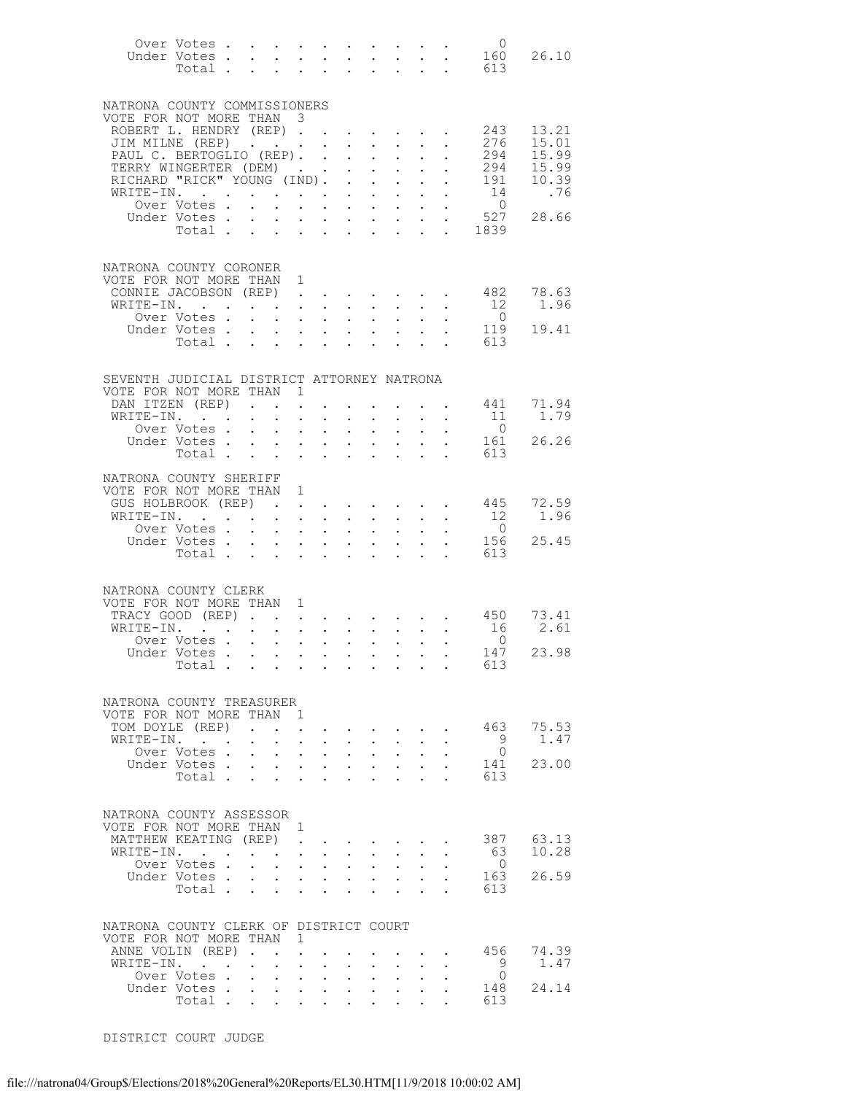|                                                    |                                                                                       |                      |                      |                                                                                                                                                                                                            |        |                                                                          |                                                             |                                                                                                                                                                                                                                                                                                                                                                                                                                                                  |                           |                                                                                                 | Over Votes 0                                                |                |
|----------------------------------------------------|---------------------------------------------------------------------------------------|----------------------|----------------------|------------------------------------------------------------------------------------------------------------------------------------------------------------------------------------------------------------|--------|--------------------------------------------------------------------------|-------------------------------------------------------------|------------------------------------------------------------------------------------------------------------------------------------------------------------------------------------------------------------------------------------------------------------------------------------------------------------------------------------------------------------------------------------------------------------------------------------------------------------------|---------------------------|-------------------------------------------------------------------------------------------------|-------------------------------------------------------------|----------------|
|                                                    |                                                                                       |                      |                      |                                                                                                                                                                                                            |        |                                                                          |                                                             |                                                                                                                                                                                                                                                                                                                                                                                                                                                                  |                           |                                                                                                 | Under Votes 160<br>Total 613                                | 26.10          |
|                                                    |                                                                                       |                      |                      |                                                                                                                                                                                                            |        |                                                                          |                                                             |                                                                                                                                                                                                                                                                                                                                                                                                                                                                  |                           |                                                                                                 |                                                             |                |
|                                                    |                                                                                       |                      |                      |                                                                                                                                                                                                            |        |                                                                          |                                                             |                                                                                                                                                                                                                                                                                                                                                                                                                                                                  |                           |                                                                                                 |                                                             |                |
| NATRONA COUNTY COMMISSIONERS                       |                                                                                       |                      |                      |                                                                                                                                                                                                            |        |                                                                          |                                                             |                                                                                                                                                                                                                                                                                                                                                                                                                                                                  |                           |                                                                                                 |                                                             |                |
| VOTE FOR NOT MORE THAN 3                           |                                                                                       |                      |                      |                                                                                                                                                                                                            |        |                                                                          |                                                             |                                                                                                                                                                                                                                                                                                                                                                                                                                                                  |                           |                                                                                                 |                                                             |                |
| ROBERT L. HENDRY (REP)<br>JIM MILNE (REP)          |                                                                                       |                      |                      |                                                                                                                                                                                                            |        |                                                                          |                                                             | $\mathbf{r}$ , $\mathbf{r}$ , $\mathbf{r}$                                                                                                                                                                                                                                                                                                                                                                                                                       |                           |                                                                                                 | 243<br>276                                                  | 13.21<br>15.01 |
| PAUL C. BERTOGLIO (REP).<br>TERRY WINGEPTER (REP). |                                                                                       |                      |                      |                                                                                                                                                                                                            |        |                                                                          |                                                             | $\mathbf{L}^{\text{max}}$ , and $\mathbf{L}^{\text{max}}$                                                                                                                                                                                                                                                                                                                                                                                                        | $\mathbf{L}^{\text{max}}$ | $\sim$                                                                                          | 294                                                         | 15.99          |
| TERRY WINGERTER (DEM)                              |                                                                                       |                      |                      |                                                                                                                                                                                                            |        |                                                                          |                                                             | $\mathbf{r}$ , and $\mathbf{r}$                                                                                                                                                                                                                                                                                                                                                                                                                                  |                           |                                                                                                 | 294                                                         | 15.99          |
| RICHARD "RICK" YOUNG (IND).                        |                                                                                       |                      |                      |                                                                                                                                                                                                            |        |                                                                          |                                                             |                                                                                                                                                                                                                                                                                                                                                                                                                                                                  |                           | $\mathbf{L}$ and $\mathbf{L}$                                                                   | 191                                                         | 10.39          |
| WRITE-IN.                                          |                                                                                       |                      |                      |                                                                                                                                                                                                            |        |                                                                          | $\cdot$ $\cdot$                                             | $\sim 10^{-11}$                                                                                                                                                                                                                                                                                                                                                                                                                                                  |                           |                                                                                                 | 14                                                          | .76            |
|                                                    | Over Votes.                                                                           |                      |                      |                                                                                                                                                                                                            |        |                                                                          |                                                             |                                                                                                                                                                                                                                                                                                                                                                                                                                                                  |                           | $\ddot{\phantom{a}}$                                                                            | $\overline{0}$<br>527                                       |                |
|                                                    | Under Votes.<br>Total.                                                                | $\mathbf{L}$         | $\sim$               |                                                                                                                                                                                                            |        |                                                                          |                                                             | $\mathbf{1} \qquad \qquad \mathbf{1} \qquad \qquad \mathbf{1} \qquad \qquad \mathbf{1} \qquad \qquad \mathbf{1} \qquad \qquad \mathbf{1} \qquad \qquad \mathbf{1} \qquad \mathbf{1} \qquad \mathbf{1} \qquad \mathbf{1} \qquad \mathbf{1} \qquad \mathbf{1} \qquad \mathbf{1} \qquad \mathbf{1} \qquad \mathbf{1} \qquad \mathbf{1} \qquad \mathbf{1} \qquad \mathbf{1} \qquad \mathbf{1} \qquad \mathbf{1} \qquad \mathbf{1} \qquad \mathbf{1} \qquad \mathbf{$ |                           | $\mathcal{L}^{\text{max}}$ , $\mathcal{L}^{\text{max}}$                                         | 1839                                                        | 28.66          |
|                                                    |                                                                                       |                      |                      |                                                                                                                                                                                                            |        |                                                                          |                                                             |                                                                                                                                                                                                                                                                                                                                                                                                                                                                  |                           |                                                                                                 |                                                             |                |
|                                                    |                                                                                       |                      |                      |                                                                                                                                                                                                            |        |                                                                          |                                                             |                                                                                                                                                                                                                                                                                                                                                                                                                                                                  |                           |                                                                                                 |                                                             |                |
| NATRONA COUNTY CORONER                             |                                                                                       |                      |                      |                                                                                                                                                                                                            |        |                                                                          |                                                             |                                                                                                                                                                                                                                                                                                                                                                                                                                                                  |                           |                                                                                                 |                                                             |                |
| VOTE FOR NOT MORE THAN<br>CONNIE JACOBSON (REP)    |                                                                                       |                      |                      | 1                                                                                                                                                                                                          |        |                                                                          |                                                             |                                                                                                                                                                                                                                                                                                                                                                                                                                                                  |                           |                                                                                                 | 482                                                         | 78.63          |
| WRITE-IN.                                          |                                                                                       |                      |                      |                                                                                                                                                                                                            |        |                                                                          |                                                             |                                                                                                                                                                                                                                                                                                                                                                                                                                                                  |                           | $\mathbf{r} = \mathbf{r} \times \mathbf{r}$ , where $\mathbf{r} = \mathbf{r} \times \mathbf{r}$ | 12                                                          | 1.96           |
|                                                    | Over Votes .                                                                          |                      |                      | $\mathbf{r}$ , $\mathbf{r}$ , $\mathbf{r}$ , $\mathbf{r}$ , $\mathbf{r}$                                                                                                                                   |        |                                                                          |                                                             | $\mathbf{r} = \mathbf{r} \cdot \mathbf{r}$                                                                                                                                                                                                                                                                                                                                                                                                                       |                           |                                                                                                 | $\overline{0}$                                              |                |
|                                                    | Under Votes<br>Total                                                                  |                      |                      |                                                                                                                                                                                                            |        |                                                                          |                                                             |                                                                                                                                                                                                                                                                                                                                                                                                                                                                  | $\mathbf{L}^{\text{max}}$ |                                                                                                 | 119                                                         | 19.41          |
|                                                    |                                                                                       |                      |                      |                                                                                                                                                                                                            |        |                                                                          |                                                             |                                                                                                                                                                                                                                                                                                                                                                                                                                                                  |                           |                                                                                                 | 613                                                         |                |
|                                                    |                                                                                       |                      |                      |                                                                                                                                                                                                            |        |                                                                          |                                                             |                                                                                                                                                                                                                                                                                                                                                                                                                                                                  |                           |                                                                                                 |                                                             |                |
| SEVENTH JUDICIAL DISTRICT ATTORNEY NATRONA         |                                                                                       |                      |                      |                                                                                                                                                                                                            |        |                                                                          |                                                             |                                                                                                                                                                                                                                                                                                                                                                                                                                                                  |                           |                                                                                                 |                                                             |                |
| VOTE FOR NOT MORE THAN 1                           |                                                                                       |                      |                      |                                                                                                                                                                                                            |        |                                                                          |                                                             |                                                                                                                                                                                                                                                                                                                                                                                                                                                                  |                           |                                                                                                 |                                                             |                |
| DAN ITZEN (REP)                                    |                                                                                       |                      |                      |                                                                                                                                                                                                            |        |                                                                          |                                                             |                                                                                                                                                                                                                                                                                                                                                                                                                                                                  |                           | the contract of the contract of the                                                             | 441                                                         | 71.94          |
| WRITE-IN.                                          |                                                                                       | $\ddot{\phantom{0}}$ | $\sim$ $\sim$        | $\mathcal{L}^{\text{max}}$                                                                                                                                                                                 | $\sim$ |                                                                          |                                                             | $\cdot$ $\cdot$ $\cdot$ $\cdot$                                                                                                                                                                                                                                                                                                                                                                                                                                  |                           |                                                                                                 | - 11                                                        | 1.79           |
|                                                    | Over Votes.                                                                           |                      |                      | $\mathbf{r} = \mathbf{r} + \mathbf{r} + \mathbf{r} + \mathbf{r}$                                                                                                                                           |        |                                                                          |                                                             | $\mathbf{r} = \mathbf{r} + \mathbf{r}$ .                                                                                                                                                                                                                                                                                                                                                                                                                         |                           | $\mathbf{L}^{\text{max}}$ , $\mathbf{L}^{\text{max}}$                                           | $\overline{0}$                                              |                |
|                                                    | Under Votes<br>Total                                                                  |                      |                      |                                                                                                                                                                                                            |        |                                                                          |                                                             | $\mathbf{r} = \mathbf{r} \times \mathbf{r}$ , where $\mathbf{r} = \mathbf{r} \times \mathbf{r}$<br>$\sim$ $-$                                                                                                                                                                                                                                                                                                                                                    |                           | $\cdot$ $\cdot$                                                                                 | 161<br>613                                                  | 26.26          |
|                                                    |                                                                                       |                      |                      |                                                                                                                                                                                                            |        |                                                                          |                                                             |                                                                                                                                                                                                                                                                                                                                                                                                                                                                  |                           |                                                                                                 |                                                             |                |
| NATRONA COUNTY SHERIFF                             |                                                                                       |                      |                      |                                                                                                                                                                                                            |        |                                                                          |                                                             |                                                                                                                                                                                                                                                                                                                                                                                                                                                                  |                           |                                                                                                 |                                                             |                |
| VOTE FOR NOT MORE THAN 1                           |                                                                                       |                      |                      |                                                                                                                                                                                                            |        |                                                                          |                                                             |                                                                                                                                                                                                                                                                                                                                                                                                                                                                  |                           |                                                                                                 |                                                             |                |
| GUS HOLBROOK (REP)                                 |                                                                                       |                      |                      |                                                                                                                                                                                                            |        |                                                                          |                                                             |                                                                                                                                                                                                                                                                                                                                                                                                                                                                  |                           |                                                                                                 | 445                                                         | 72.59          |
| WRITE-IN.                                          |                                                                                       |                      |                      | <b>All All Andrew</b>                                                                                                                                                                                      |        |                                                                          |                                                             | $\mathbf{r}$ , $\mathbf{r}$ , $\mathbf{r}$                                                                                                                                                                                                                                                                                                                                                                                                                       |                           |                                                                                                 | 12<br>$\overline{0}$                                        | 1.96           |
|                                                    | Over Votes<br>Under Votes.                                                            |                      | $\ddot{\phantom{a}}$ |                                                                                                                                                                                                            |        |                                                                          | $\mathbf{z} = \mathbf{z} + \mathbf{z}$ .                    | $\sim$ $-$<br>$\mathbf{r} = \mathbf{r} + \mathbf{r} + \mathbf{r} + \mathbf{r} + \mathbf{r}$                                                                                                                                                                                                                                                                                                                                                                      | $\ddot{\phantom{0}}$      | $\sim 10^{-1}$                                                                                  | 156                                                         | 25.45          |
|                                                    | Total $\cdots$                                                                        |                      |                      |                                                                                                                                                                                                            |        |                                                                          |                                                             | $\sim$ 100 $\pm$                                                                                                                                                                                                                                                                                                                                                                                                                                                 |                           | $\mathbf{L} = \mathbf{L} \mathbf{L}$                                                            | 613                                                         |                |
|                                                    |                                                                                       |                      |                      |                                                                                                                                                                                                            |        |                                                                          |                                                             |                                                                                                                                                                                                                                                                                                                                                                                                                                                                  |                           |                                                                                                 |                                                             |                |
|                                                    |                                                                                       |                      |                      |                                                                                                                                                                                                            |        |                                                                          |                                                             |                                                                                                                                                                                                                                                                                                                                                                                                                                                                  |                           |                                                                                                 |                                                             |                |
| NATRONA COUNTY CLERK                               |                                                                                       |                      |                      | 1                                                                                                                                                                                                          |        |                                                                          |                                                             |                                                                                                                                                                                                                                                                                                                                                                                                                                                                  |                           |                                                                                                 |                                                             |                |
| VOTE FOR NOT MORE THAN<br>TRACY GOOD (REP).        |                                                                                       |                      |                      | $\bullet$ .<br><br><br><br><br><br><br><br><br><br><br><br>                                                                                                                                                |        |                                                                          |                                                             |                                                                                                                                                                                                                                                                                                                                                                                                                                                                  |                           |                                                                                                 | $\cdot$ $\cdot$ $\cdot$ $\cdot$ $\cdot$ $\cdot$ $\cdot$ 450 | 73.41          |
| WRITE-IN.                                          | . The contract of the contract of the contract of the contract $\mathcal{L}_\text{c}$ |                      |                      |                                                                                                                                                                                                            |        |                                                                          |                                                             |                                                                                                                                                                                                                                                                                                                                                                                                                                                                  |                           |                                                                                                 | 16                                                          | 2.61           |
|                                                    | Over Votes                                                                            |                      |                      |                                                                                                                                                                                                            |        |                                                                          |                                                             |                                                                                                                                                                                                                                                                                                                                                                                                                                                                  |                           |                                                                                                 | $\overline{0}$                                              |                |
|                                                    | Under Votes                                                                           |                      |                      |                                                                                                                                                                                                            |        |                                                                          |                                                             |                                                                                                                                                                                                                                                                                                                                                                                                                                                                  |                           |                                                                                                 | 147                                                         | 23.98          |
|                                                    | Total                                                                                 |                      |                      |                                                                                                                                                                                                            |        |                                                                          |                                                             |                                                                                                                                                                                                                                                                                                                                                                                                                                                                  |                           |                                                                                                 | 613                                                         |                |
|                                                    |                                                                                       |                      |                      |                                                                                                                                                                                                            |        |                                                                          |                                                             |                                                                                                                                                                                                                                                                                                                                                                                                                                                                  |                           |                                                                                                 |                                                             |                |
| NATRONA COUNTY TREASURER                           |                                                                                       |                      |                      |                                                                                                                                                                                                            |        |                                                                          |                                                             |                                                                                                                                                                                                                                                                                                                                                                                                                                                                  |                           |                                                                                                 |                                                             |                |
| VOTE FOR NOT MORE THAN 1                           |                                                                                       |                      |                      |                                                                                                                                                                                                            |        |                                                                          |                                                             |                                                                                                                                                                                                                                                                                                                                                                                                                                                                  |                           |                                                                                                 |                                                             |                |
| TOM DOYLE (REP)                                    |                                                                                       |                      |                      | $\ddot{\phantom{a}}$                                                                                                                                                                                       |        |                                                                          |                                                             | $\mathcal{L}(\mathbf{z})$ . The contribution of $\mathcal{L}(\mathbf{z})$                                                                                                                                                                                                                                                                                                                                                                                        |                           |                                                                                                 | 463                                                         | 75.53          |
| WRITE-IN.                                          |                                                                                       |                      | $\sim$               | $\cdot$ $\cdot$ $\cdot$                                                                                                                                                                                    |        |                                                                          |                                                             | $\mathbf{L} = \mathbf{L} \mathbf{L} + \mathbf{L} \mathbf{L}$                                                                                                                                                                                                                                                                                                                                                                                                     |                           |                                                                                                 | 9                                                           | 1.47           |
|                                                    | Over Votes .<br>Under Votes.                                                          |                      |                      | $\mathbf{r} = \mathbf{r} + \mathbf{r} + \mathbf{r}$<br>$\mathbf{r} = \mathbf{r} \times \mathbf{r}$ , where $\mathbf{r} = \mathbf{r} \times \mathbf{r}$ , where $\mathbf{r} = \mathbf{r} \times \mathbf{r}$ |        |                                                                          | $\mathbf{z} = \mathbf{z} + \mathbf{z}$ .                    | $\sim$ $-$                                                                                                                                                                                                                                                                                                                                                                                                                                                       | $\ddot{\phantom{0}}$      |                                                                                                 | $\overline{0}$<br>141                                       | 23.00          |
|                                                    | Total                                                                                 |                      |                      | $\cdot$ $\cdot$ $\cdot$                                                                                                                                                                                    |        | $\sim$ 100 $\pm$                                                         |                                                             | $\cdot$ $\cdot$ $\cdot$                                                                                                                                                                                                                                                                                                                                                                                                                                          | $\mathbf{L}$              |                                                                                                 | 613                                                         |                |
|                                                    |                                                                                       |                      |                      |                                                                                                                                                                                                            |        |                                                                          |                                                             |                                                                                                                                                                                                                                                                                                                                                                                                                                                                  |                           |                                                                                                 |                                                             |                |
|                                                    |                                                                                       |                      |                      |                                                                                                                                                                                                            |        |                                                                          |                                                             |                                                                                                                                                                                                                                                                                                                                                                                                                                                                  |                           |                                                                                                 |                                                             |                |
| NATRONA COUNTY ASSESSOR                            |                                                                                       |                      |                      |                                                                                                                                                                                                            |        |                                                                          |                                                             |                                                                                                                                                                                                                                                                                                                                                                                                                                                                  |                           |                                                                                                 |                                                             |                |
| VOTE FOR NOT MORE THAN 1                           |                                                                                       |                      |                      |                                                                                                                                                                                                            |        |                                                                          |                                                             |                                                                                                                                                                                                                                                                                                                                                                                                                                                                  |                           |                                                                                                 | 387                                                         | 63.13          |
| MATTHEW KEATING (REP)<br>WRITE-IN.                 |                                                                                       |                      |                      | $\mathbf{L}$                                                                                                                                                                                               |        |                                                                          |                                                             | $\sim$ $-$                                                                                                                                                                                                                                                                                                                                                                                                                                                       | $\ddot{\phantom{0}}$      |                                                                                                 | - 63                                                        | 10.28          |
|                                                    | Over Votes.                                                                           | $\mathbf{r}$         |                      | $\mathbf{r}$ , $\mathbf{r}$ , $\mathbf{r}$                                                                                                                                                                 |        | $\mathbf{L} = \mathbf{L} \mathbf{L}$                                     |                                                             | $\sim$                                                                                                                                                                                                                                                                                                                                                                                                                                                           |                           |                                                                                                 | $\overline{0}$                                              |                |
|                                                    | Under Votes<br>Total                                                                  |                      |                      |                                                                                                                                                                                                            |        |                                                                          |                                                             |                                                                                                                                                                                                                                                                                                                                                                                                                                                                  | $\bullet$ .               |                                                                                                 | 163                                                         | 26.59          |
|                                                    |                                                                                       |                      |                      |                                                                                                                                                                                                            |        |                                                                          |                                                             |                                                                                                                                                                                                                                                                                                                                                                                                                                                                  |                           |                                                                                                 | 613                                                         |                |
|                                                    |                                                                                       |                      |                      |                                                                                                                                                                                                            |        |                                                                          |                                                             |                                                                                                                                                                                                                                                                                                                                                                                                                                                                  |                           |                                                                                                 |                                                             |                |
| NATRONA COUNTY CLERK OF DISTRICT COURT             |                                                                                       |                      |                      |                                                                                                                                                                                                            |        |                                                                          |                                                             |                                                                                                                                                                                                                                                                                                                                                                                                                                                                  |                           |                                                                                                 |                                                             |                |
| VOTE FOR NOT MORE THAN 1                           |                                                                                       |                      |                      |                                                                                                                                                                                                            |        |                                                                          |                                                             |                                                                                                                                                                                                                                                                                                                                                                                                                                                                  |                           |                                                                                                 |                                                             |                |
| ANNE VOLIN (REP).                                  |                                                                                       |                      | $\sim$ $\sim$        |                                                                                                                                                                                                            |        |                                                                          |                                                             |                                                                                                                                                                                                                                                                                                                                                                                                                                                                  |                           |                                                                                                 | 456                                                         | 74.39          |
| WRITE-IN.                                          |                                                                                       |                      | $\sim$               | $\ddot{\phantom{a}}$                                                                                                                                                                                       | $\sim$ |                                                                          |                                                             |                                                                                                                                                                                                                                                                                                                                                                                                                                                                  |                           |                                                                                                 | - 9                                                         | 1.47           |
|                                                    | Over Votes                                                                            |                      |                      | $\mathbf{r} = \mathbf{r} + \mathbf{r} + \mathbf{r} + \mathbf{r} + \mathbf{r}$                                                                                                                              |        |                                                                          |                                                             | $\sim$ $-$                                                                                                                                                                                                                                                                                                                                                                                                                                                       |                           |                                                                                                 | $\overline{0}$                                              |                |
|                                                    | Under Votes<br>Total                                                                  |                      | $\sim$ $-$           | $\cdot$ $\cdot$ $\cdot$                                                                                                                                                                                    |        | $\sim$                                                                   | $\ddot{\phantom{0}}$                                        |                                                                                                                                                                                                                                                                                                                                                                                                                                                                  |                           |                                                                                                 | 148<br>613                                                  | 24.14          |
|                                                    |                                                                                       |                      |                      |                                                                                                                                                                                                            |        | $\mathbf{z} = \mathbf{z} + \mathbf{z}$ , where $\mathbf{z} = \mathbf{z}$ | $\bullet$ .<br><br><br><br><br><br><br><br><br><br><br><br> | $\bullet$ .<br><br><br><br><br><br><br><br><br><br><br><br>                                                                                                                                                                                                                                                                                                                                                                                                      | $\ddot{\phantom{0}}$      |                                                                                                 |                                                             |                |

DISTRICT COURT JUDGE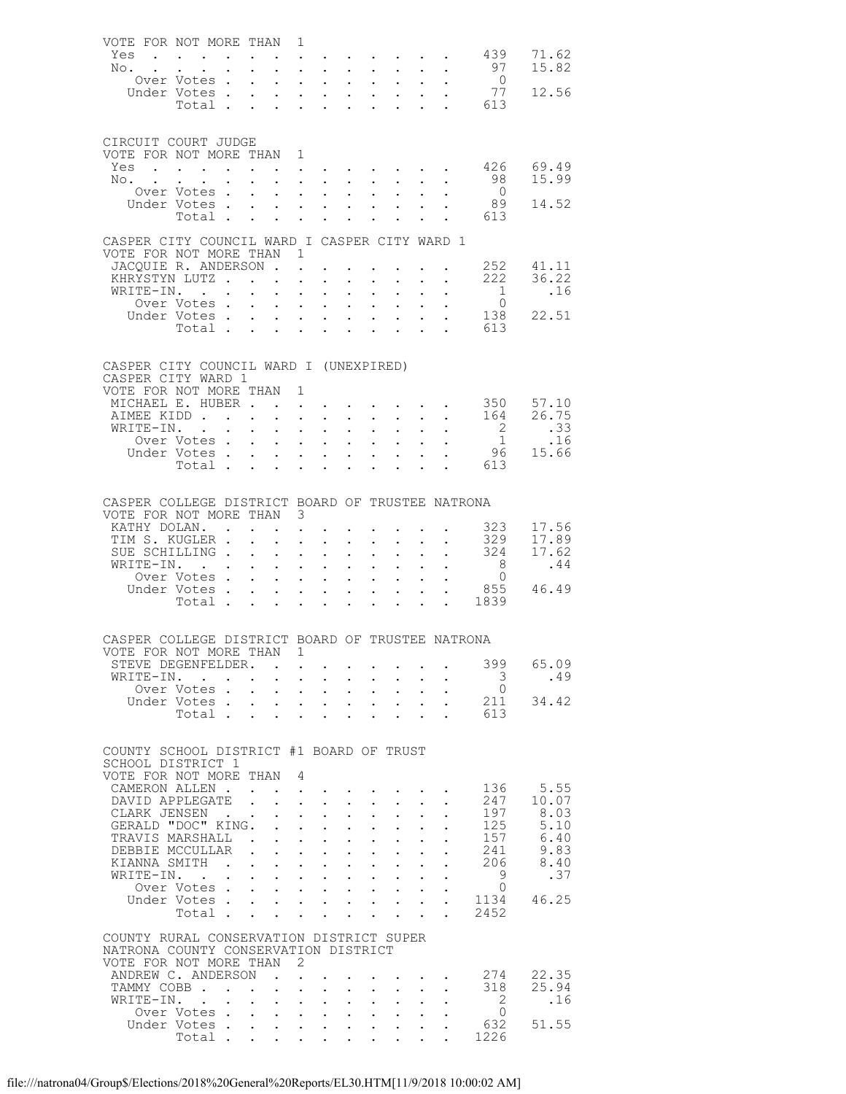| VOTE FOR NOT MORE THAN 1                         |                                    |                          |                                                                          |                      |                                                     |                                                       |                                                                                             |                                                                                                                                                                                                                                                                                                                                                                                                                              |                                                             |                                                                                         |                           |                                                                                  |                            |                        |
|--------------------------------------------------|------------------------------------|--------------------------|--------------------------------------------------------------------------|----------------------|-----------------------------------------------------|-------------------------------------------------------|---------------------------------------------------------------------------------------------|------------------------------------------------------------------------------------------------------------------------------------------------------------------------------------------------------------------------------------------------------------------------------------------------------------------------------------------------------------------------------------------------------------------------------|-------------------------------------------------------------|-----------------------------------------------------------------------------------------|---------------------------|----------------------------------------------------------------------------------|----------------------------|------------------------|
| Yes                                              |                                    |                          |                                                                          |                      |                                                     |                                                       |                                                                                             |                                                                                                                                                                                                                                                                                                                                                                                                                              |                                                             |                                                                                         |                           |                                                                                  | 439 71.62                  |                        |
|                                                  |                                    |                          |                                                                          |                      |                                                     |                                                       |                                                                                             |                                                                                                                                                                                                                                                                                                                                                                                                                              |                                                             |                                                                                         |                           |                                                                                  |                            |                        |
| No.                                              |                                    |                          | $\mathbf{r} = \mathbf{r} + \mathbf{r}$ , where $\mathbf{r} = \mathbf{r}$ |                      |                                                     |                                                       |                                                                                             |                                                                                                                                                                                                                                                                                                                                                                                                                              |                                                             |                                                                                         |                           | $\mathcal{L}_{\mathcal{A}}$ , and the set of the set of the $\mathcal{A}$        | 97                         | 15.82                  |
|                                                  | Over Votes                         |                          |                                                                          |                      |                                                     |                                                       | $\mathbf{r} = \mathbf{r}$ and $\mathbf{r} = \mathbf{r}$                                     |                                                                                                                                                                                                                                                                                                                                                                                                                              |                                                             |                                                                                         |                           | $\mathbf{r} = \mathbf{r} + \mathbf{r} + \mathbf{r} + \mathbf{r} + \mathbf{r}$    | $\overline{0}$             |                        |
|                                                  | Under Votes                        |                          |                                                                          |                      |                                                     |                                                       | $\mathbf{z} = \mathbf{z} + \mathbf{z} + \mathbf{z}$ .                                       | $\ddot{\phantom{0}}$                                                                                                                                                                                                                                                                                                                                                                                                         |                                                             |                                                                                         |                           | $\mathbf{u} = \mathbf{u} + \mathbf{u} + \mathbf{u} + \mathbf{u}$                 | 77                         | 12.56                  |
|                                                  | Total                              |                          |                                                                          |                      |                                                     |                                                       |                                                                                             |                                                                                                                                                                                                                                                                                                                                                                                                                              |                                                             |                                                                                         |                           |                                                                                  | $\cdot$ $\cdot$ 613        |                        |
|                                                  |                                    |                          |                                                                          |                      |                                                     |                                                       |                                                                                             |                                                                                                                                                                                                                                                                                                                                                                                                                              |                                                             |                                                                                         |                           |                                                                                  |                            |                        |
|                                                  |                                    |                          |                                                                          |                      |                                                     |                                                       |                                                                                             |                                                                                                                                                                                                                                                                                                                                                                                                                              |                                                             |                                                                                         |                           |                                                                                  |                            |                        |
| CIRCUIT COURT JUDGE                              |                                    |                          |                                                                          |                      |                                                     |                                                       |                                                                                             |                                                                                                                                                                                                                                                                                                                                                                                                                              |                                                             |                                                                                         |                           |                                                                                  |                            |                        |
| VOTE FOR NOT MORE THAN 1                         |                                    |                          |                                                                          |                      |                                                     |                                                       |                                                                                             |                                                                                                                                                                                                                                                                                                                                                                                                                              |                                                             |                                                                                         |                           |                                                                                  |                            |                        |
| Yes                                              | $\sim$ $\sim$ $\sim$ $\sim$ $\sim$ |                          |                                                                          |                      |                                                     |                                                       |                                                                                             |                                                                                                                                                                                                                                                                                                                                                                                                                              |                                                             |                                                                                         |                           | $\bullet$ . The second contribution of the second contribution $\bullet$         |                            | 426 69.49              |
| $NO2$ .                                          |                                    |                          |                                                                          |                      |                                                     |                                                       |                                                                                             | $\mathbf{r}$ , and $\mathbf{r}$ , and $\mathbf{r}$ , and $\mathbf{r}$                                                                                                                                                                                                                                                                                                                                                        |                                                             |                                                                                         |                           |                                                                                  | 98                         | 15.99                  |
|                                                  | Over Votes .                       |                          |                                                                          |                      |                                                     |                                                       | $\mathbf{z} = \mathbf{z} + \mathbf{z}$ , where $\mathbf{z} = \mathbf{z}$                    | $\ddot{\phantom{0}}$                                                                                                                                                                                                                                                                                                                                                                                                         |                                                             | $\mathbf{A}$ and $\mathbf{A}$ and $\mathbf{A}$                                          |                           |                                                                                  | $\overline{0}$             |                        |
|                                                  | Under Votes.                       |                          |                                                                          |                      |                                                     |                                                       |                                                                                             | $\mathbf{r}$ , $\mathbf{r}$ , $\mathbf{r}$ , $\mathbf{r}$ , $\mathbf{r}$ , $\mathbf{r}$                                                                                                                                                                                                                                                                                                                                      |                                                             |                                                                                         |                           |                                                                                  | 89                         | 14.52                  |
|                                                  | Total                              |                          |                                                                          |                      |                                                     |                                                       | $\cdot$ $\cdot$ $\cdot$ $\cdot$                                                             | $\ddot{\phantom{0}}$                                                                                                                                                                                                                                                                                                                                                                                                         | $\bullet$ .<br><br><br><br><br><br><br><br><br><br><br><br> | $\ddot{\phantom{0}}$                                                                    |                           |                                                                                  | . 613                      |                        |
|                                                  |                                    |                          |                                                                          |                      |                                                     |                                                       |                                                                                             |                                                                                                                                                                                                                                                                                                                                                                                                                              |                                                             |                                                                                         |                           |                                                                                  |                            |                        |
| CASPER CITY COUNCIL WARD I CASPER CITY WARD 1    |                                    |                          |                                                                          |                      |                                                     |                                                       |                                                                                             |                                                                                                                                                                                                                                                                                                                                                                                                                              |                                                             |                                                                                         |                           |                                                                                  |                            |                        |
| VOTE FOR NOT MORE THAN 1                         |                                    |                          |                                                                          |                      |                                                     |                                                       |                                                                                             |                                                                                                                                                                                                                                                                                                                                                                                                                              |                                                             |                                                                                         |                           |                                                                                  |                            |                        |
|                                                  |                                    |                          |                                                                          |                      |                                                     |                                                       |                                                                                             |                                                                                                                                                                                                                                                                                                                                                                                                                              |                                                             |                                                                                         |                           |                                                                                  |                            | 252 41.11              |
| JACOUIE R. ANDERSON                              |                                    |                          |                                                                          |                      |                                                     |                                                       |                                                                                             |                                                                                                                                                                                                                                                                                                                                                                                                                              |                                                             |                                                                                         |                           |                                                                                  |                            | 222 36.22              |
| KHRYSTYN LUTZ                                    |                                    |                          |                                                                          |                      |                                                     | $\ddot{\phantom{a}}$                                  | $\ddot{\phantom{a}}$                                                                        |                                                                                                                                                                                                                                                                                                                                                                                                                              | $\sim$                                                      |                                                                                         |                           | $\mathcal{L}^{\text{max}}$                                                       |                            |                        |
| WRITE-IN.                                        |                                    |                          |                                                                          |                      | $\bullet$ .                                         |                                                       | $\mathcal{A}^{\mathcal{A}}$ and $\mathcal{A}^{\mathcal{A}}$ and $\mathcal{A}^{\mathcal{A}}$ | $\mathbf{L}^{\text{max}}$                                                                                                                                                                                                                                                                                                                                                                                                    |                                                             | $\mathbf{z} = \mathbf{z} + \mathbf{z}$                                                  | $\bullet$ .               |                                                                                  | $\overline{1}$             | .16                    |
|                                                  | Over Votes .                       |                          |                                                                          | $\mathbf{r}$         |                                                     |                                                       |                                                                                             |                                                                                                                                                                                                                                                                                                                                                                                                                              |                                                             |                                                                                         |                           | $\mathbf{r}$ and $\mathbf{r}$ and $\mathbf{r}$ and $\mathbf{r}$ and $\mathbf{r}$ | $\overline{0}$             |                        |
|                                                  | Under Votes<br>Total               |                          |                                                                          |                      |                                                     |                                                       |                                                                                             |                                                                                                                                                                                                                                                                                                                                                                                                                              |                                                             |                                                                                         |                           |                                                                                  |                            | 138 22.51              |
|                                                  |                                    |                          |                                                                          |                      |                                                     |                                                       |                                                                                             |                                                                                                                                                                                                                                                                                                                                                                                                                              |                                                             |                                                                                         |                           |                                                                                  | 613                        |                        |
|                                                  |                                    |                          |                                                                          |                      |                                                     |                                                       |                                                                                             |                                                                                                                                                                                                                                                                                                                                                                                                                              |                                                             |                                                                                         |                           |                                                                                  |                            |                        |
|                                                  |                                    |                          |                                                                          |                      |                                                     |                                                       |                                                                                             |                                                                                                                                                                                                                                                                                                                                                                                                                              |                                                             |                                                                                         |                           |                                                                                  |                            |                        |
| CASPER CITY COUNCIL WARD I (UNEXPIRED)           |                                    |                          |                                                                          |                      |                                                     |                                                       |                                                                                             |                                                                                                                                                                                                                                                                                                                                                                                                                              |                                                             |                                                                                         |                           |                                                                                  |                            |                        |
| CASPER CITY WARD 1                               |                                    |                          |                                                                          |                      |                                                     |                                                       |                                                                                             |                                                                                                                                                                                                                                                                                                                                                                                                                              |                                                             |                                                                                         |                           |                                                                                  |                            |                        |
| VOTE FOR NOT MORE THAN 1                         |                                    |                          |                                                                          |                      |                                                     |                                                       |                                                                                             |                                                                                                                                                                                                                                                                                                                                                                                                                              |                                                             |                                                                                         |                           |                                                                                  |                            |                        |
| MICHAEL E. HUBER                                 |                                    |                          |                                                                          |                      |                                                     |                                                       |                                                                                             |                                                                                                                                                                                                                                                                                                                                                                                                                              |                                                             |                                                                                         |                           |                                                                                  | $\cdot$ 350 57.10          |                        |
| AIMEE KIDD                                       |                                    |                          |                                                                          | $\sim$               | $\sim$                                              | $\sim 10^{-10}$                                       | $\sim$ $-$                                                                                  | $\ddot{\phantom{0}}$                                                                                                                                                                                                                                                                                                                                                                                                         |                                                             | $\mathcal{A}^{\mathcal{A}}$ , $\mathcal{A}^{\mathcal{A}}$ , $\mathcal{A}^{\mathcal{A}}$ | $\mathbf{L}^{\text{max}}$ | $\sim$                                                                           |                            |                        |
| WRITE-IN.                                        |                                    |                          |                                                                          |                      | $\mathbf{L}$                                        | $\mathbf{L}$                                          | $\sim$                                                                                      |                                                                                                                                                                                                                                                                                                                                                                                                                              | $\mathbf{L} = \mathbf{L} \mathbf{L}$                        | $\ddot{\phantom{0}}$                                                                    |                           |                                                                                  |                            | $164$ $26.75$<br>2 .33 |
|                                                  | Over Votes .                       |                          |                                                                          |                      |                                                     |                                                       |                                                                                             |                                                                                                                                                                                                                                                                                                                                                                                                                              |                                                             |                                                                                         |                           | $\epsilon = \epsilon$ .                                                          | 1                          | .16                    |
|                                                  |                                    |                          |                                                                          | $\ddot{\phantom{0}}$ | $\sim$                                              |                                                       | <b>Contract Contract</b>                                                                    | $\ddotsc$                                                                                                                                                                                                                                                                                                                                                                                                                    |                                                             | $\mathbf{A}^{(1)}$ and $\mathbf{A}^{(2)}$ and                                           |                           |                                                                                  | $9\overline{6}$            | 15.66                  |
|                                                  | Under Votes .                      |                          |                                                                          |                      |                                                     |                                                       |                                                                                             | .                                                                                                                                                                                                                                                                                                                                                                                                                            |                                                             |                                                                                         |                           |                                                                                  |                            |                        |
|                                                  | Total                              |                          |                                                                          |                      | $\sim$                                              | $\ddot{\phantom{0}}$                                  | $\sim$                                                                                      | $\ddot{\phantom{0}}$                                                                                                                                                                                                                                                                                                                                                                                                         |                                                             | $\mathbf{L}$ and $\mathbf{L}$                                                           |                           |                                                                                  | 613                        |                        |
|                                                  |                                    |                          |                                                                          |                      |                                                     |                                                       |                                                                                             |                                                                                                                                                                                                                                                                                                                                                                                                                              |                                                             |                                                                                         |                           |                                                                                  |                            |                        |
|                                                  |                                    |                          |                                                                          |                      |                                                     |                                                       |                                                                                             |                                                                                                                                                                                                                                                                                                                                                                                                                              |                                                             |                                                                                         |                           |                                                                                  |                            |                        |
| CASPER COLLEGE DISTRICT BOARD OF TRUSTEE NATRONA |                                    |                          |                                                                          |                      |                                                     |                                                       |                                                                                             |                                                                                                                                                                                                                                                                                                                                                                                                                              |                                                             |                                                                                         |                           |                                                                                  |                            |                        |
| VOTE FOR NOT MORE THAN 3                         |                                    |                          |                                                                          |                      |                                                     |                                                       |                                                                                             |                                                                                                                                                                                                                                                                                                                                                                                                                              |                                                             |                                                                                         |                           |                                                                                  |                            |                        |
| KATHY DOLAN. .                                   |                                    |                          |                                                                          |                      |                                                     | $\ddot{\phantom{1}}$                                  |                                                                                             |                                                                                                                                                                                                                                                                                                                                                                                                                              |                                                             |                                                                                         |                           |                                                                                  | 323                        | 17.56                  |
| TIM S. KUGLER .                                  |                                    |                          |                                                                          | $\ddot{\phantom{0}}$ |                                                     |                                                       | $\mathbf{r} = \mathbf{r} \times \mathbf{r}$ , where                                         | $\mathbf{L}^{\text{max}}$                                                                                                                                                                                                                                                                                                                                                                                                    |                                                             | $\mathbf{L}^{\text{max}}$ , and $\mathbf{L}^{\text{max}}$                               | $\mathbf{L}^{\text{max}}$ |                                                                                  | 329                        | 17.89                  |
| SUE SCHILLING.                                   |                                    |                          |                                                                          | $\mathbf{L}$         |                                                     | $\mathbf{L}$ and $\mathbf{L}$                         | $\sim$ $-$                                                                                  | $\mathbf{L}$                                                                                                                                                                                                                                                                                                                                                                                                                 | $\sim$                                                      | $\ddot{\phantom{0}}$                                                                    |                           | $\mathbf{L}$ and $\mathbf{L}$                                                    | 324                        | 17.62                  |
| WRITE-IN.                                        |                                    |                          |                                                                          |                      |                                                     |                                                       | $\mathbf{z} = \mathbf{z} + \mathbf{z}$ , where $\mathbf{z} = \mathbf{z}$                    | $\ddot{\phantom{0}}$                                                                                                                                                                                                                                                                                                                                                                                                         |                                                             | $\mathbf{z} = \mathbf{z} + \mathbf{z}$ .                                                |                           | $\bullet$ .                                                                      | 8 <sup>8</sup>             | .44                    |
|                                                  | Over Votes .                       |                          |                                                                          |                      | $\mathbf{r} = \mathbf{r} + \mathbf{r} + \mathbf{r}$ |                                                       |                                                                                             |                                                                                                                                                                                                                                                                                                                                                                                                                              |                                                             | $\cdot$ $\cdot$ $\cdot$ $\cdot$                                                         |                           |                                                                                  | $\overline{0}$             |                        |
|                                                  | Under Votes.                       |                          |                                                                          |                      |                                                     |                                                       | $\mathbf{r} = \mathbf{r} + \mathbf{r}$ , where $\mathbf{r} = \mathbf{r}$                    | $\ddot{\phantom{0}}$                                                                                                                                                                                                                                                                                                                                                                                                         |                                                             | $\mathbf{A}^{(1)}$ and $\mathbf{A}^{(2)}$ and                                           |                           |                                                                                  | 855                        | 46.49                  |
|                                                  | Total.                             |                          |                                                                          | $\mathbf{r}$         | $\mathbf{L}$                                        |                                                       | $\sim$                                                                                      | $\mathbf{L}$                                                                                                                                                                                                                                                                                                                                                                                                                 |                                                             | $\mathbf{L} = \mathbf{L}$                                                               |                           |                                                                                  | 1839                       |                        |
|                                                  |                                    |                          |                                                                          |                      |                                                     |                                                       |                                                                                             |                                                                                                                                                                                                                                                                                                                                                                                                                              |                                                             |                                                                                         |                           |                                                                                  |                            |                        |
|                                                  |                                    |                          |                                                                          |                      |                                                     |                                                       |                                                                                             |                                                                                                                                                                                                                                                                                                                                                                                                                              |                                                             |                                                                                         |                           |                                                                                  |                            |                        |
| CASPER COLLEGE DISTRICT BOARD OF TRUSTEE NATRONA |                                    |                          |                                                                          |                      |                                                     |                                                       |                                                                                             |                                                                                                                                                                                                                                                                                                                                                                                                                              |                                                             |                                                                                         |                           |                                                                                  |                            |                        |
| VOTE FOR NOT MORE THAN 1                         |                                    |                          |                                                                          |                      |                                                     |                                                       |                                                                                             |                                                                                                                                                                                                                                                                                                                                                                                                                              |                                                             |                                                                                         |                           |                                                                                  |                            |                        |
| STEVE DEGENFELDER. .                             |                                    |                          |                                                                          |                      |                                                     |                                                       |                                                                                             |                                                                                                                                                                                                                                                                                                                                                                                                                              |                                                             |                                                                                         |                           |                                                                                  | 399                        | 65.09                  |
| WRITE-IN.                                        |                                    |                          |                                                                          |                      |                                                     |                                                       |                                                                                             | $\mathcal{A}=\mathcal{A}=\mathcal{A}=\mathcal{A}=\mathcal{A}=\mathcal{A}=\mathcal{A}$ .                                                                                                                                                                                                                                                                                                                                      |                                                             |                                                                                         |                           |                                                                                  | $\overline{\phantom{a}}$ 3 | .49                    |
|                                                  |                                    |                          |                                                                          |                      |                                                     |                                                       |                                                                                             | $\mathbf{r} = \mathbf{r} + \mathbf{r} + \mathbf{r} + \mathbf{r} + \mathbf{r} + \mathbf{r}$                                                                                                                                                                                                                                                                                                                                   |                                                             |                                                                                         |                           |                                                                                  | $\circ$                    |                        |
|                                                  | Over Votes                         |                          |                                                                          |                      |                                                     |                                                       |                                                                                             |                                                                                                                                                                                                                                                                                                                                                                                                                              |                                                             | $\mathcal{A}^{\mathcal{A}}$ , $\mathcal{A}^{\mathcal{A}}$ , $\mathcal{A}^{\mathcal{A}}$ |                           |                                                                                  |                            |                        |
|                                                  | Under Votes.                       |                          |                                                                          |                      |                                                     |                                                       |                                                                                             |                                                                                                                                                                                                                                                                                                                                                                                                                              |                                                             |                                                                                         |                           |                                                                                  | 211                        | 34.42                  |
|                                                  | Total                              |                          |                                                                          |                      |                                                     |                                                       |                                                                                             |                                                                                                                                                                                                                                                                                                                                                                                                                              |                                                             | $\mathbf{r} = \mathbf{r} + \mathbf{r}$                                                  | $\mathbf{L}^{\text{max}}$ |                                                                                  | 613                        |                        |
|                                                  |                                    |                          |                                                                          |                      |                                                     |                                                       |                                                                                             |                                                                                                                                                                                                                                                                                                                                                                                                                              |                                                             |                                                                                         |                           |                                                                                  |                            |                        |
|                                                  |                                    |                          |                                                                          |                      |                                                     |                                                       |                                                                                             |                                                                                                                                                                                                                                                                                                                                                                                                                              |                                                             |                                                                                         |                           |                                                                                  |                            |                        |
| COUNTY SCHOOL DISTRICT #1 BOARD OF TRUST         |                                    |                          |                                                                          |                      |                                                     |                                                       |                                                                                             |                                                                                                                                                                                                                                                                                                                                                                                                                              |                                                             |                                                                                         |                           |                                                                                  |                            |                        |
| SCHOOL DISTRICT 1                                |                                    |                          |                                                                          |                      |                                                     |                                                       |                                                                                             |                                                                                                                                                                                                                                                                                                                                                                                                                              |                                                             |                                                                                         |                           |                                                                                  |                            |                        |
| VOTE FOR NOT MORE THAN 4                         |                                    |                          |                                                                          |                      |                                                     |                                                       |                                                                                             |                                                                                                                                                                                                                                                                                                                                                                                                                              |                                                             |                                                                                         |                           |                                                                                  |                            |                        |
| CAMERON ALLEN.                                   |                                    |                          |                                                                          |                      |                                                     |                                                       |                                                                                             |                                                                                                                                                                                                                                                                                                                                                                                                                              |                                                             |                                                                                         |                           |                                                                                  | 136                        | 5.55                   |
| DAVID APPLEGATE .                                |                                    |                          |                                                                          |                      |                                                     |                                                       | $\mathbf{L} = \mathbf{L} \times \mathbf{L}$                                                 | $\mathbf{L}$                                                                                                                                                                                                                                                                                                                                                                                                                 | $\sim 100$                                                  |                                                                                         |                           |                                                                                  | 247                        | 10.07                  |
| CLARK JENSEN.                                    |                                    |                          |                                                                          |                      |                                                     |                                                       | $\mathbf{r} = \left\{ \mathbf{r}_1, \ldots, \mathbf{r}_n \right\}$                          | $\ddotsc$                                                                                                                                                                                                                                                                                                                                                                                                                    |                                                             | $\mathbf{u} = \mathbf{u} \cdot \mathbf{u}$ .                                            |                           |                                                                                  | 197                        | 8.03                   |
| GERALD "DOC" KING.                               |                                    |                          |                                                                          |                      |                                                     |                                                       |                                                                                             |                                                                                                                                                                                                                                                                                                                                                                                                                              |                                                             | $\ddot{\phantom{0}}$                                                                    |                           |                                                                                  | 125                        | 5.10                   |
| TRAVIS MARSHALL .                                |                                    |                          |                                                                          |                      |                                                     |                                                       | $\mathbf{z} = \mathbf{z} + \mathbf{z}$ , where $\mathbf{z} = \mathbf{z}$                    | $\mathbf{L}^{\text{max}}$                                                                                                                                                                                                                                                                                                                                                                                                    |                                                             | $\mathbf{A}^{(1)}$ and $\mathbf{A}^{(2)}$ .                                             |                           |                                                                                  | 157                        | 6.40                   |
| DEBBIE MCCULLAR                                  |                                    |                          |                                                                          |                      |                                                     |                                                       |                                                                                             |                                                                                                                                                                                                                                                                                                                                                                                                                              |                                                             | $\ddot{\phantom{0}}$                                                                    |                           |                                                                                  | 241                        | 9.83                   |
| KIANNA SMITH                                     |                                    |                          |                                                                          |                      |                                                     |                                                       | $\mathbf{A}^{(1)}$ and $\mathbf{A}^{(2)}$ and $\mathbf{A}^{(3)}$ and                        | $\mathbf{L}^{\text{max}}$                                                                                                                                                                                                                                                                                                                                                                                                    |                                                             | $\mathcal{L}^{\text{max}}$ , where $\mathcal{L}^{\text{max}}$                           |                           |                                                                                  | 206                        | 8.40                   |
| WRITE-IN.                                        |                                    |                          |                                                                          |                      |                                                     |                                                       |                                                                                             | $\mathbf{r}$ , $\mathbf{r}$ , $\mathbf{r}$ , $\mathbf{r}$ , $\mathbf{r}$                                                                                                                                                                                                                                                                                                                                                     |                                                             |                                                                                         |                           |                                                                                  | 9                          | .37                    |
|                                                  | Over Votes                         |                          |                                                                          |                      |                                                     |                                                       |                                                                                             | and a straightful contract to the                                                                                                                                                                                                                                                                                                                                                                                            |                                                             |                                                                                         |                           |                                                                                  | $\circ$                    |                        |
|                                                  | Under Votes                        |                          |                                                                          |                      |                                                     |                                                       |                                                                                             |                                                                                                                                                                                                                                                                                                                                                                                                                              |                                                             |                                                                                         |                           | $\ddot{\phantom{a}}$                                                             | 1134                       | 46.25                  |
|                                                  | Total                              |                          |                                                                          |                      |                                                     |                                                       |                                                                                             |                                                                                                                                                                                                                                                                                                                                                                                                                              |                                                             |                                                                                         |                           |                                                                                  | 2452                       |                        |
|                                                  |                                    |                          |                                                                          |                      |                                                     |                                                       |                                                                                             | $\mathbf{r} = \mathbf{r} + \mathbf{r} + \mathbf{r} + \mathbf{r} + \mathbf{r} + \mathbf{r} + \mathbf{r} + \mathbf{r} + \mathbf{r} + \mathbf{r} + \mathbf{r} + \mathbf{r} + \mathbf{r} + \mathbf{r} + \mathbf{r} + \mathbf{r} + \mathbf{r} + \mathbf{r} + \mathbf{r} + \mathbf{r} + \mathbf{r} + \mathbf{r} + \mathbf{r} + \mathbf{r} + \mathbf{r} + \mathbf{r} + \mathbf{r} + \mathbf{r} + \mathbf{r} + \mathbf{r} + \mathbf$ |                                                             |                                                                                         | $\sim$                    | $\sim$ 100 $\pm$                                                                 |                            |                        |
| COUNTY RURAL CONSERVATION DISTRICT SUPER         |                                    |                          |                                                                          |                      |                                                     |                                                       |                                                                                             |                                                                                                                                                                                                                                                                                                                                                                                                                              |                                                             |                                                                                         |                           |                                                                                  |                            |                        |
|                                                  |                                    |                          |                                                                          |                      |                                                     |                                                       |                                                                                             |                                                                                                                                                                                                                                                                                                                                                                                                                              |                                                             |                                                                                         |                           |                                                                                  |                            |                        |
| NATRONA COUNTY CONSERVATION DISTRICT             |                                    |                          |                                                                          |                      |                                                     |                                                       |                                                                                             |                                                                                                                                                                                                                                                                                                                                                                                                                              |                                                             |                                                                                         |                           |                                                                                  |                            |                        |
| VOTE FOR NOT MORE THAN 2                         |                                    |                          |                                                                          |                      |                                                     |                                                       |                                                                                             |                                                                                                                                                                                                                                                                                                                                                                                                                              |                                                             |                                                                                         |                           |                                                                                  |                            |                        |
| ANDREW C. ANDERSON                               |                                    |                          |                                                                          |                      | <b>Contract Contract Contract</b>                   |                                                       |                                                                                             |                                                                                                                                                                                                                                                                                                                                                                                                                              |                                                             |                                                                                         |                           |                                                                                  | 274                        | 22.35                  |
| TAMMY COBB                                       |                                    |                          |                                                                          |                      |                                                     | $\mathbf{L}^{\text{max}}$ , $\mathbf{L}^{\text{max}}$ | $\sim$ $-$                                                                                  |                                                                                                                                                                                                                                                                                                                                                                                                                              |                                                             |                                                                                         |                           |                                                                                  | 318                        | 25.94                  |
| WRITE-IN.                                        |                                    | <b>Contract Contract</b> |                                                                          |                      |                                                     | $\mathbf{L}$ and $\mathbf{L}$                         | $\sim 100$                                                                                  |                                                                                                                                                                                                                                                                                                                                                                                                                              | $\mathbf{L} = \mathbf{L} \mathbf{L}$                        |                                                                                         |                           |                                                                                  | 2                          | .16                    |
|                                                  |                                    |                          |                                                                          |                      |                                                     |                                                       |                                                                                             |                                                                                                                                                                                                                                                                                                                                                                                                                              |                                                             |                                                                                         |                           |                                                                                  |                            |                        |
|                                                  | Over Votes                         |                          |                                                                          |                      |                                                     |                                                       |                                                                                             | $\mathbf{a} = \mathbf{a} + \mathbf{a} + \mathbf{a} + \mathbf{a} + \mathbf{a} + \mathbf{a} + \mathbf{a}$                                                                                                                                                                                                                                                                                                                      |                                                             |                                                                                         |                           |                                                                                  | $\circ$                    |                        |
|                                                  | Under Votes<br>Total               |                          |                                                                          |                      |                                                     |                                                       |                                                                                             |                                                                                                                                                                                                                                                                                                                                                                                                                              |                                                             |                                                                                         |                           |                                                                                  | 632<br>1226                | 51.55                  |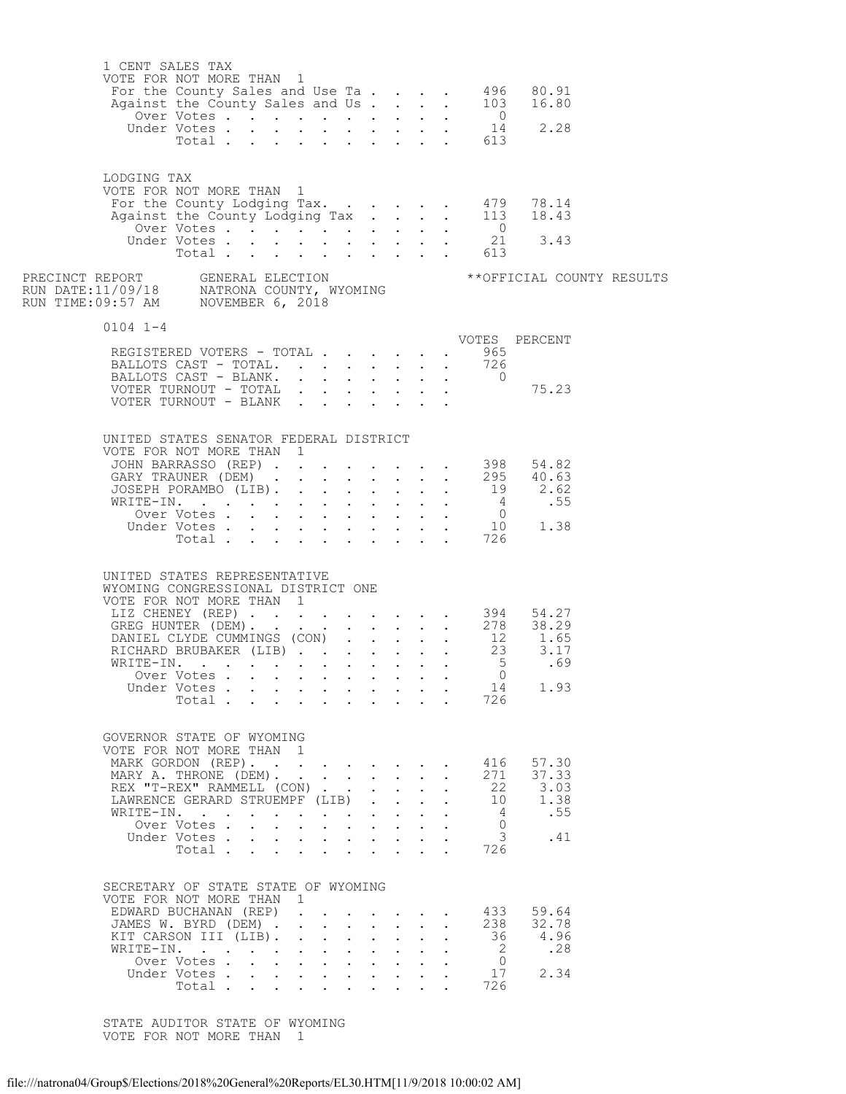| 1 CENT SALES TAX<br>VOTE FOR NOT MORE THAN 1                                                                                                                                      |                                             |  |                                                                                                                                |                                                                                        |                                              |                                                                       |                                                                                     |                                                                                   | For the County Sales and Use Ta. 496 80.91<br>Against the County Sales and Use Ta. 103 16.80<br>Over Votes 0<br>Under Votes 14 2.28<br>Total                         |  |
|-----------------------------------------------------------------------------------------------------------------------------------------------------------------------------------|---------------------------------------------|--|--------------------------------------------------------------------------------------------------------------------------------|----------------------------------------------------------------------------------------|----------------------------------------------|-----------------------------------------------------------------------|-------------------------------------------------------------------------------------|-----------------------------------------------------------------------------------|----------------------------------------------------------------------------------------------------------------------------------------------------------------------|--|
| LODGING TAX<br>VOTE FOR NOT MORE THAN 1<br>For the County Lodging Tax. 479 78.14<br>Against the County Lodging Tax. 113 18.43                                                     |                                             |  |                                                                                                                                |                                                                                        |                                              |                                                                       |                                                                                     | Total 613                                                                         | Over Votes 0<br>Under Votes 21 3.43                                                                                                                                  |  |
| PRECINCT REPORT       GENERAL ELECTION<br>RUN DATE:11/09/18     NATRONA COUNTY, WYOMING<br>RUN TIME:09:57 AM    NOVEMBER 6, 2018                                                  |                                             |  |                                                                                                                                |                                                                                        |                                              |                                                                       |                                                                                     |                                                                                   | ** OFFICIAL COUNTY RESULTS                                                                                                                                           |  |
| $0104$ $1-4$                                                                                                                                                                      |                                             |  |                                                                                                                                |                                                                                        |                                              |                                                                       |                                                                                     |                                                                                   |                                                                                                                                                                      |  |
| REGISTERED VOTERS - TOTAL 965<br>BALLOTS CAST - TOTAL 726<br>BALLOTS CAST - BLANK. 0<br>VOTER TURNOUT - TOTAL<br>VOTER TURNOUT - BLANK                                            |                                             |  |                                                                                                                                |                                                                                        |                                              |                                                                       |                                                                                     |                                                                                   | VOTES PERCENT<br>75.23                                                                                                                                               |  |
| UNITED STATES SENATOR FEDERAL DISTRICT<br>VOTE FOR NOT MORE THAN 1<br>GARY TRAUNER (DEM) 295 40.63<br>JOSEPH PORAMBO (LIB) 19 2.62                                                |                                             |  |                                                                                                                                |                                                                                        |                                              |                                                                       |                                                                                     |                                                                                   | JOHN BARRASSO (REP) 398 54.82                                                                                                                                        |  |
| UNITED STATES REPRESENTATIVE<br>WYOMING CONGRESSIONAL DISTRICT ONE<br>VOTE FOR NOT MORE THAN 1                                                                                    | Over Votes<br>Under Votes<br>Total $\cdots$ |  |                                                                                                                                |                                                                                        |                                              |                                                                       |                                                                                     | 14<br>726                                                                         | 70TE FOR NOT MORE THAN 1<br>LIZ CHENEY (REP) 394<br>GREG HUNTER (DEM) 278<br>DANIEL CLYDE CUMMINGS (CON) 12<br>RICHARD BRUBAKER (LIB) 23<br>3.17<br>WRITE-IN<br>1.93 |  |
| GOVERNOR STATE OF WYOMING<br>VOTE FOR NOT MORE THAN 1<br>MARK GORDON (REP).<br>MARY A. THRONE (DEM).<br>REX "T-REX" RAMMELL (CON)<br>LAWRENCE GERARD STRUEMPF (LIB).<br>WRITE-IN. | Over Votes<br>Under Votes<br>Total $\cdots$ |  | $\mathcal{A}$ . The set of the set of $\mathcal{A}$<br>$\mathbf{L}^{\text{max}}$<br>$\mathbf{r} = \mathbf{r} \cdot \mathbf{r}$ | $\mathbf{L}$<br>$\ddot{\phantom{0}}$<br>$\mathbf{r}$ and $\mathbf{r}$ and $\mathbf{r}$ | $\mathbf{L}$<br>$\mathbf{L}$<br>$\mathbf{L}$ | $\sim$ 100 $\pm$<br>$\ddot{\phantom{0}}$<br>$\ddot{\phantom{0}}$      | $\sim$<br>$\ddot{\phantom{0}}$<br>$\ddot{\phantom{0}}$<br>$\mathbf{r} = \mathbf{r}$ | 416<br>271<br>22<br>- 10<br>$\overline{4}$<br>0<br>$\overline{\mathbf{3}}$<br>726 | 57.30<br>37.33<br>3.03<br>1.38<br>.55<br>.41                                                                                                                         |  |
| SECRETARY OF STATE STATE OF WYOMING<br>VOTE FOR NOT MORE THAN 1<br>EDWARD BUCHANAN (REP)<br>JAMES W. BYRD (DEM)<br>KIT CARSON III (LIB).<br>WRITE-IN.                             | Over Votes<br>Under Votes<br>Total          |  | $1 - 1 - 1 = 1$<br>and a strong control of the strong strong<br>and a strong control of the strong strong                      | $\mathbf{L}$                                                                           | $\mathbf{L} = \mathbf{L}$<br>$\mathbf{r}$    | $\ddot{\phantom{0}}$<br>$\sim$<br>$\ddot{\phantom{0}}$<br>$\bullet$ . | $\ddot{\phantom{a}}$<br>$\ddot{\phantom{0}}$                                        | 433<br>238<br>- 36<br>$\overline{2}$<br>$\overline{0}$<br>17<br>726               | 59.64<br>32.78<br>4.96<br>.28<br>2.34                                                                                                                                |  |

 STATE AUDITOR STATE OF WYOMING VOTE FOR NOT MORE THAN 1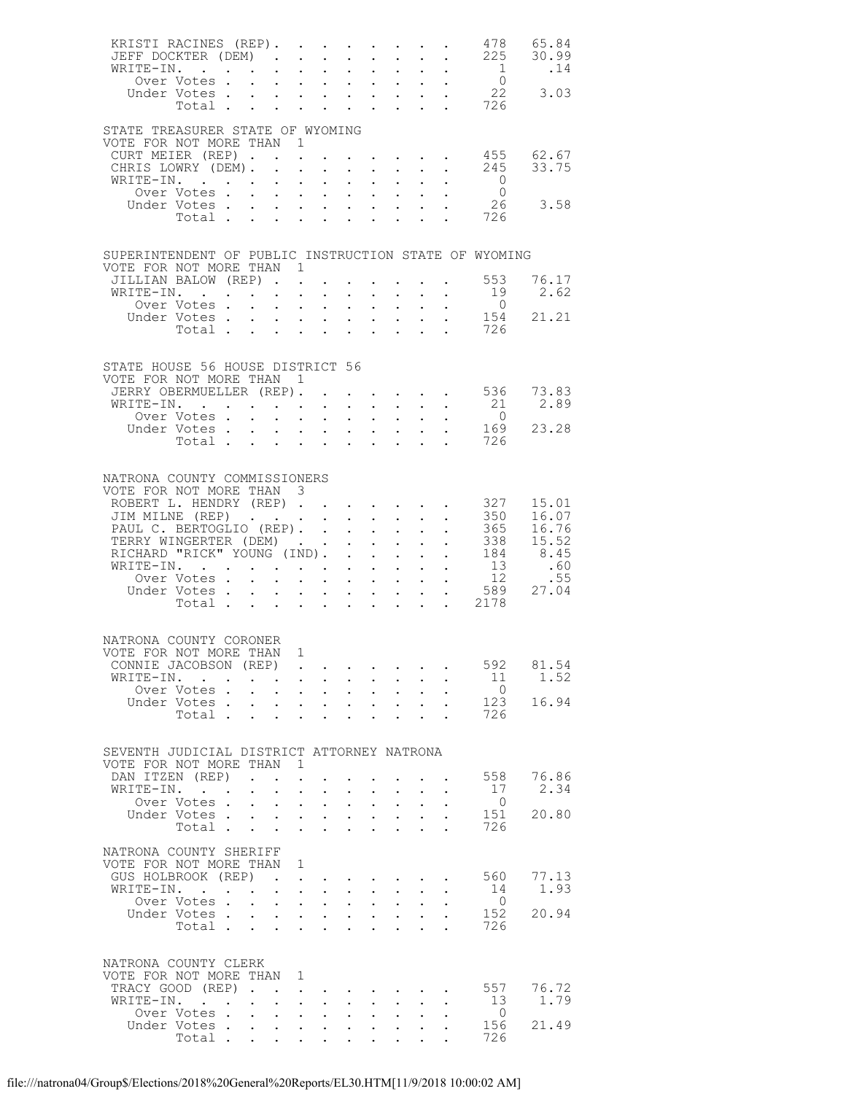|           | KRISTI RACINES (REP).                            |                               |              |                                                                          |                           |                                   |                                                             |                            |                                                                                 |                                                                                                 | JEFF DOCKTER (DEM) 225                                | 478 65.84<br>30.99                   |
|-----------|--------------------------------------------------|-------------------------------|--------------|--------------------------------------------------------------------------|---------------------------|-----------------------------------|-------------------------------------------------------------|----------------------------|---------------------------------------------------------------------------------|-------------------------------------------------------------------------------------------------|-------------------------------------------------------|--------------------------------------|
|           | WRITE-IN.                                        |                               |              |                                                                          |                           | $\sim$                            |                                                             |                            |                                                                                 | $\frac{1}{2}$ and $\frac{1}{2}$ and $\frac{1}{2}$                                               | $\overline{1}$                                        | .14                                  |
|           |                                                  |                               |              |                                                                          |                           |                                   |                                                             |                            |                                                                                 |                                                                                                 | $\frac{0}{22}$                                        |                                      |
|           | Under Votes 22<br>Total 726                      |                               |              |                                                                          |                           |                                   |                                                             |                            |                                                                                 |                                                                                                 |                                                       | 3.03                                 |
|           |                                                  |                               |              |                                                                          |                           |                                   |                                                             |                            |                                                                                 |                                                                                                 |                                                       |                                      |
|           | STATE TREASURER STATE OF WYOMING                 |                               |              |                                                                          |                           |                                   |                                                             |                            |                                                                                 |                                                                                                 |                                                       |                                      |
|           | VOTE FOR NOT MORE THAN 1                         |                               |              |                                                                          |                           |                                   |                                                             |                            |                                                                                 |                                                                                                 |                                                       |                                      |
|           | CURT MEIER (REP) 455                             |                               |              |                                                                          |                           |                                   |                                                             |                            |                                                                                 |                                                                                                 |                                                       | 62.67                                |
|           | CHRIS LOWRY (DEM).                               |                               |              |                                                                          | $\sim$ $-$                |                                   |                                                             |                            |                                                                                 | $\mathbf{r}$ , $\mathbf{r}$ , $\mathbf{r}$ , $\mathbf{r}$ , $\mathbf{r}$                        | 245                                                   | 33.75                                |
|           | WRITE-IN.                                        |                               |              |                                                                          | $\sim$ $\sim$             | $\mathbf{L}$ $\mathbf{L}$         |                                                             |                            |                                                                                 | $\mathbf{L} = \mathbf{L} \mathbf{L}$                                                            | $\overline{\phantom{0}}$                              |                                      |
|           | Over Votes                                       |                               |              |                                                                          |                           |                                   |                                                             |                            |                                                                                 | $\mathbf{r}$ , $\mathbf{r}$ , $\mathbf{r}$ , $\mathbf{r}$                                       | $\overline{0}$                                        |                                      |
|           | Under Votes                                      |                               |              |                                                                          |                           |                                   |                                                             |                            |                                                                                 |                                                                                                 |                                                       | 26 3.58                              |
|           | Total $\cdots$                                   |                               |              |                                                                          |                           |                                   |                                                             |                            |                                                                                 |                                                                                                 | 726                                                   |                                      |
|           |                                                  |                               |              |                                                                          |                           |                                   |                                                             |                            |                                                                                 |                                                                                                 |                                                       |                                      |
|           |                                                  |                               |              |                                                                          |                           |                                   |                                                             |                            |                                                                                 |                                                                                                 | SUPERINTENDENT OF PUBLIC INSTRUCTION STATE OF WYOMING |                                      |
|           | VOTE FOR NOT MORE THAN 1                         |                               |              |                                                                          |                           |                                   |                                                             |                            |                                                                                 |                                                                                                 |                                                       |                                      |
|           | JILLIAN BALOW (REP).                             |                               |              |                                                                          |                           |                                   |                                                             |                            |                                                                                 |                                                                                                 | . 553                                                 | 76.17                                |
|           | WRITE-IN.                                        |                               |              |                                                                          |                           | $\mathbf{L}^{\text{max}}$         |                                                             |                            | <b>Service Control</b>                                                          | $\sim$                                                                                          | 19                                                    | 2.62                                 |
|           | Over Votes                                       |                               |              |                                                                          |                           |                                   |                                                             |                            |                                                                                 |                                                                                                 | $\overline{0}$                                        |                                      |
|           | Under Votes 154<br>Total 726                     |                               |              |                                                                          |                           |                                   |                                                             |                            |                                                                                 |                                                                                                 | 154                                                   | 21.21                                |
|           |                                                  |                               |              |                                                                          |                           |                                   |                                                             |                            |                                                                                 |                                                                                                 |                                                       |                                      |
|           |                                                  |                               |              |                                                                          |                           |                                   |                                                             |                            |                                                                                 |                                                                                                 |                                                       |                                      |
|           | STATE HOUSE 56 HOUSE DISTRICT 56                 |                               |              |                                                                          |                           |                                   |                                                             |                            |                                                                                 |                                                                                                 |                                                       |                                      |
|           | VOTE FOR NOT MORE THAN 1                         |                               |              |                                                                          |                           |                                   |                                                             |                            |                                                                                 |                                                                                                 |                                                       |                                      |
|           | JERRY OBERMUELLER (REP).                         |                               |              |                                                                          |                           |                                   |                                                             |                            |                                                                                 |                                                                                                 | $\cdot$ $\cdot$ $\cdot$ $\cdot$ 536                   | 73.83                                |
|           | WRITE-IN.                                        |                               |              |                                                                          |                           |                                   |                                                             |                            |                                                                                 |                                                                                                 | 21                                                    | 2.89                                 |
|           | Over Votes                                       |                               |              | $\mathbf{r}$ , $\mathbf{r}$ , $\mathbf{r}$                               |                           |                                   |                                                             |                            |                                                                                 | $\mathbf{r} = \mathbf{r} \times \mathbf{r}$ , where $\mathbf{r} = \mathbf{r} \times \mathbf{r}$ | $\overline{0}$                                        |                                      |
|           | Under Votes 169                                  |                               |              |                                                                          |                           |                                   |                                                             |                            |                                                                                 |                                                                                                 |                                                       | 23.28                                |
|           | Total                                            |                               |              |                                                                          |                           |                                   |                                                             |                            |                                                                                 |                                                                                                 | 726                                                   |                                      |
|           |                                                  |                               |              |                                                                          |                           |                                   |                                                             |                            |                                                                                 |                                                                                                 |                                                       |                                      |
|           | NATRONA COUNTY COMMISSIONERS                     |                               |              |                                                                          |                           |                                   |                                                             |                            |                                                                                 |                                                                                                 |                                                       |                                      |
|           | VOTE FOR NOT MORE THAN 3                         |                               |              |                                                                          |                           |                                   |                                                             |                            |                                                                                 |                                                                                                 |                                                       |                                      |
|           |                                                  |                               |              |                                                                          |                           |                                   |                                                             |                            |                                                                                 |                                                                                                 | ROBERT L. HENDRY (REP) 327                            | 15.01                                |
|           |                                                  |                               |              |                                                                          |                           |                                   |                                                             |                            |                                                                                 |                                                                                                 | 350                                                   | 16.07                                |
|           | JIM MILNE (REP)<br>PAUL C. BERTOGLIO (REP).      |                               |              |                                                                          |                           |                                   |                                                             |                            |                                                                                 |                                                                                                 | 365                                                   | 16.76                                |
|           | TERRY WINGERTER (DEM)                            |                               |              |                                                                          |                           |                                   |                                                             |                            |                                                                                 |                                                                                                 | 338                                                   | 15.52                                |
|           |                                                  |                               |              |                                                                          |                           |                                   |                                                             |                            |                                                                                 |                                                                                                 |                                                       | RICHARD "RICK" YOUNG (IND). 184 8.45 |
|           | WRITE-IN.<br>Over Votes                          |                               |              |                                                                          |                           |                                   |                                                             |                            |                                                                                 |                                                                                                 | 13                                                    | .60                                  |
|           |                                                  |                               |              |                                                                          |                           |                                   |                                                             |                            |                                                                                 |                                                                                                 | 12                                                    | .55                                  |
|           | Under Votes                                      |                               |              | $\mathbf{z} = \left\{ \mathbf{z}_1, \ldots, \mathbf{z}_{n} \right\}$     |                           |                                   |                                                             |                            |                                                                                 | $\mathbf{r} = \mathbf{r} + \mathbf{r} + \mathbf{r} + \mathbf{r} + \mathbf{r}$                   | 589                                                   | 27.04                                |
|           | Total 2178                                       |                               |              |                                                                          |                           |                                   |                                                             |                            |                                                                                 |                                                                                                 |                                                       |                                      |
|           |                                                  |                               |              |                                                                          |                           |                                   |                                                             |                            |                                                                                 |                                                                                                 |                                                       |                                      |
|           | NATRONA COUNTY CORONER                           |                               |              |                                                                          |                           |                                   |                                                             |                            |                                                                                 |                                                                                                 |                                                       |                                      |
|           | VOTE FOR NOT MORE THAN 1                         |                               |              |                                                                          |                           |                                   |                                                             |                            |                                                                                 |                                                                                                 |                                                       |                                      |
|           | CONNIE JACOBSON (REP).                           |                               |              |                                                                          |                           | $\sim$                            |                                                             | <b>Contract Contract</b>   |                                                                                 |                                                                                                 | 592                                                   | 81.54                                |
| WRITE-IN. | $\cdot$ $\cdot$ $\cdot$                          |                               |              | $\cdot$ $\cdot$ $\cdot$                                                  |                           | $\ddot{\phantom{0}}$              | $\sim$ $-$                                                  | $\sim$ 100 $\pm$           | $\sim$                                                                          |                                                                                                 | 11                                                    | 1.52                                 |
|           | Over Votes.                                      | $\mathbf{L}^{\text{max}}$     |              | $\mathbf{z} = \mathbf{z} + \mathbf{z}$ .                                 | $\sim$                    | $\ddot{\phantom{0}}$              | $\bullet$ .<br><br><br><br><br><br><br><br><br><br><br><br> | $\sim$ 100 $\pm$           |                                                                                 |                                                                                                 | $\overline{0}$                                        |                                      |
|           | Under Votes                                      |                               |              |                                                                          |                           |                                   |                                                             | $\sim$ $\sim$ $\sim$       | $\ddot{\phantom{0}}$                                                            |                                                                                                 | 123                                                   | 16.94                                |
|           | Total .                                          | $\sim$                        | $\sim$       | $\cdot$ $\cdot$ $\cdot$                                                  |                           | $\ddot{\phantom{0}}$              | $\ddot{\phantom{a}}$                                        |                            | $\ddot{\phantom{0}}$                                                            |                                                                                                 | 726                                                   |                                      |
|           |                                                  |                               |              |                                                                          |                           |                                   |                                                             |                            |                                                                                 |                                                                                                 |                                                       |                                      |
|           | SEVENTH JUDICIAL DISTRICT ATTORNEY NATRONA       |                               |              |                                                                          |                           |                                   |                                                             |                            |                                                                                 |                                                                                                 |                                                       |                                      |
|           | VOTE FOR NOT MORE THAN                           |                               |              | $\overline{1}$                                                           |                           |                                   |                                                             |                            |                                                                                 |                                                                                                 |                                                       |                                      |
|           | DAN ITZEN (REP)                                  | $\mathbf{r}$ and $\mathbf{r}$ |              |                                                                          |                           |                                   |                                                             |                            |                                                                                 |                                                                                                 | 558                                                   | 76.86                                |
| WRITE-IN. | $\cdot$ $\cdot$ $\cdot$                          | $\bullet$ .                   | $\mathbf{L}$ | $\ddot{\phantom{a}}$                                                     | $\ddot{\phantom{0}}$      | $\ddot{\phantom{0}}$              | $\bullet$ .<br><br><br><br><br><br><br><br><br><br><br><br> | $\sim$                     | $\ddot{\phantom{0}}$                                                            |                                                                                                 | 17                                                    | 2.34                                 |
|           | Over Votes.                                      | $\sim$                        | $\sim$       | $\ddot{\phantom{a}}$                                                     | $\ddot{\phantom{a}}$      | $\ddot{\phantom{a}}$              | $\ddot{\phantom{a}}$                                        | $\ddot{\phantom{a}}$       | $\ddot{\phantom{0}}$                                                            |                                                                                                 | $\overline{0}$                                        |                                      |
|           | Under Votes                                      |                               |              | $\mathbf{r} = \mathbf{r} \cdot \mathbf{r}$                               |                           | $\bullet$ .                       |                                                             | <b>Service</b> State       | $\ddot{\phantom{0}}$                                                            |                                                                                                 | 151                                                   | 20.80                                |
|           | Total                                            |                               |              |                                                                          |                           | <b>Contract Contract Contract</b> | $\ddot{\phantom{a}}$                                        | $\mathbf{r}$               | $\mathbf{L}$                                                                    |                                                                                                 | 726                                                   |                                      |
|           | NATRONA COUNTY SHERIFF                           |                               |              |                                                                          |                           |                                   |                                                             |                            |                                                                                 |                                                                                                 |                                                       |                                      |
|           | VOTE FOR NOT MORE THAN                           |                               |              | 1                                                                        |                           |                                   |                                                             |                            |                                                                                 |                                                                                                 |                                                       |                                      |
|           | GUS HOLBROOK (REP)                               |                               |              |                                                                          |                           |                                   |                                                             |                            | the contract of the contract of the contract of the contract of the contract of |                                                                                                 | 560                                                   | 77.13                                |
| WRITE-IN. | $\sim$ $\sim$ $\sim$ $\sim$ $\sim$ $\sim$        |                               |              | $\mathbf{r} = \mathbf{r} + \mathbf{r}$                                   |                           | $\ddot{\phantom{0}}$              | $\sim 10^{-10}$                                             | $\sim$                     | $\ddot{\phantom{0}}$                                                            |                                                                                                 | 14                                                    | 1.93                                 |
|           | Over Votes                                       |                               | $\mathbf{L}$ |                                                                          | $\sim$ $\sim$             | $\mathbf{L}$                      | $\ddot{\phantom{a}}$                                        | $\mathbf{r}$               | $\ddot{\phantom{0}}$                                                            |                                                                                                 | $\overline{0}$                                        |                                      |
|           | Under Votes                                      |                               |              | <b>All Contracts</b>                                                     |                           | $\mathbf{L}^{\text{max}}$         |                                                             | <b>Service</b> State       |                                                                                 |                                                                                                 | 152                                                   | 20.94                                |
|           | Total                                            |                               |              |                                                                          |                           |                                   | $\ddot{\phantom{a}}$                                        | $\mathbf{r}$               | <b>Contract</b>                                                                 |                                                                                                 | 726                                                   |                                      |
|           |                                                  |                               |              |                                                                          |                           |                                   |                                                             |                            |                                                                                 |                                                                                                 |                                                       |                                      |
|           |                                                  |                               |              |                                                                          |                           |                                   |                                                             |                            |                                                                                 |                                                                                                 |                                                       |                                      |
|           | NATRONA COUNTY CLERK<br>VOTE FOR NOT MORE THAN 1 |                               |              |                                                                          |                           |                                   |                                                             |                            |                                                                                 |                                                                                                 |                                                       |                                      |
|           | TRACY GOOD (REP).                                |                               | $\mathbf{L}$ | $\ddot{\phantom{a}}$                                                     |                           |                                   |                                                             |                            |                                                                                 |                                                                                                 | 557                                                   | 76.72                                |
| WRITE-IN. | $\mathbf{r}$ $\mathbf{r}$                        | $\sim$ $\sim$                 | $\mathbf{L}$ |                                                                          | $\mathbf{L}^{\text{max}}$ |                                   | $\ddot{\phantom{0}}$                                        | $\mathcal{L}^{\text{max}}$ | $\ddot{\phantom{0}}$                                                            |                                                                                                 | 13                                                    | 1.79                                 |
|           | Over Votes                                       |                               |              | $\mathbf{r} = \mathbf{r} + \mathbf{r}$ , where $\mathbf{r} = \mathbf{r}$ |                           | $\ddot{\phantom{0}}$              | $\bullet$ .<br><br><br><br><br><br><br><br><br><br><br><br> | $\mathbf{L}^{\text{max}}$  |                                                                                 |                                                                                                 | $\overline{0}$                                        |                                      |
|           | Under Votes                                      |                               |              |                                                                          |                           |                                   |                                                             |                            | $\mathbf{L}$                                                                    |                                                                                                 | 156                                                   | 21.49                                |
|           | Total                                            |                               |              |                                                                          |                           |                                   |                                                             |                            | $\mathbf{L}^{\text{max}}$                                                       |                                                                                                 | 726                                                   |                                      |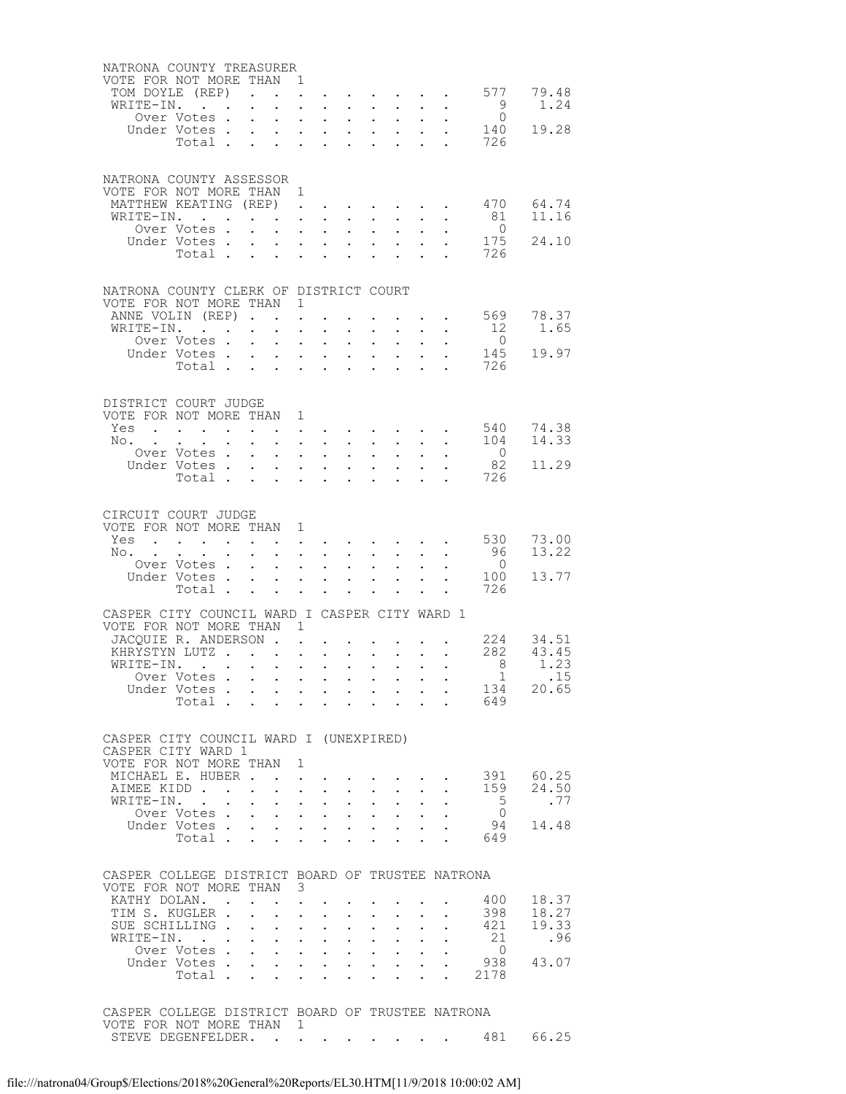| NATRONA COUNTY TREASURER                                                |                                                                                                 |                                                                                          |              |                                                                                             |                                     |                                            |                                                                                                         |                                                   |                           |                                                                               |                       |                |
|-------------------------------------------------------------------------|-------------------------------------------------------------------------------------------------|------------------------------------------------------------------------------------------|--------------|---------------------------------------------------------------------------------------------|-------------------------------------|--------------------------------------------|---------------------------------------------------------------------------------------------------------|---------------------------------------------------|---------------------------|-------------------------------------------------------------------------------|-----------------------|----------------|
| VOTE FOR NOT MORE THAN 1                                                |                                                                                                 |                                                                                          |              |                                                                                             |                                     |                                            |                                                                                                         |                                                   |                           |                                                                               | 577                   | 79.48          |
| TOM DOYLE (REP)<br>WRITE-IN.                                            |                                                                                                 | $\bullet$ .<br><br><br><br><br><br><br><br><br><br><br><br>                              |              | $\sim$                                                                                      |                                     |                                            | $\mathbf{r} = \mathbf{r} + \mathbf{r} + \mathbf{r} + \mathbf{r} + \mathbf{r} + \mathbf{r} + \mathbf{r}$ |                                                   |                           | $\mathbf{L}^{\text{max}}$ , and $\mathbf{L}^{\text{max}}$                     |                       | 1.24           |
|                                                                         | Over Votes.                                                                                     | $\sim$                                                                                   |              | $\mathbf{L} = \mathbf{L} \times \mathbf{L}$                                                 |                                     | $\mathbf{L}$                               | $\sim$                                                                                                  | $\sim$                                            |                           |                                                                               | $\frac{9}{0}$         |                |
|                                                                         | Under Votes<br>Votes<br>Total                                                                   |                                                                                          |              |                                                                                             |                                     |                                            |                                                                                                         |                                                   |                           | $\mathcal{L}^{(1)}$                                                           | 140                   | 19.28          |
|                                                                         |                                                                                                 |                                                                                          |              |                                                                                             |                                     |                                            |                                                                                                         |                                                   |                           |                                                                               | 726                   |                |
|                                                                         |                                                                                                 |                                                                                          |              |                                                                                             |                                     |                                            |                                                                                                         |                                                   |                           |                                                                               |                       |                |
| NATRONA COUNTY ASSESSOR                                                 |                                                                                                 |                                                                                          |              |                                                                                             |                                     |                                            |                                                                                                         |                                                   |                           |                                                                               |                       |                |
| VOTE FOR NOT MORE THAN 1<br>MATTHEW KEATING (REP)                       |                                                                                                 |                                                                                          |              |                                                                                             |                                     |                                            |                                                                                                         |                                                   |                           |                                                                               | 470                   | 64.74          |
| WRITE-IN.                                                               |                                                                                                 |                                                                                          |              |                                                                                             | $\mathbf{L} = \mathbf{L}$           | $\ddot{\phantom{0}}$                       | $\sim$                                                                                                  | $\sim$                                            |                           |                                                                               | 81                    | 11.16          |
|                                                                         | Over Votes.                                                                                     | $\mathbf{r}$ , and $\mathbf{r}$ , and $\mathbf{r}$                                       |              |                                                                                             |                                     | $\mathbb{Z}^{n+1}$                         |                                                                                                         | $\Delta \phi = \Delta \phi / \Delta \phi$         | $\mathbf{L}^{\text{max}}$ |                                                                               | $\overline{0}$        |                |
|                                                                         | Under Votes                                                                                     |                                                                                          |              | $\mathbf{A}^{\text{max}}$ , and $\mathbf{A}^{\text{max}}$                                   |                                     |                                            | $\mathbf{r} = \mathbf{r} \mathbf{r}$ , where $\mathbf{r} = \mathbf{r}$                                  |                                                   |                           |                                                                               | 175                   | 24.10          |
|                                                                         | Total $\cdots$                                                                                  |                                                                                          |              |                                                                                             |                                     |                                            |                                                                                                         |                                                   |                           |                                                                               | 726                   |                |
|                                                                         |                                                                                                 |                                                                                          |              |                                                                                             |                                     |                                            |                                                                                                         |                                                   |                           |                                                                               |                       |                |
| NATRONA COUNTY CLERK OF DISTRICT COURT<br>VOTE FOR NOT MORE THAN 1      |                                                                                                 |                                                                                          |              |                                                                                             |                                     |                                            |                                                                                                         |                                                   |                           |                                                                               |                       |                |
| ANNE VOLIN (REP)                                                        |                                                                                                 |                                                                                          |              |                                                                                             |                                     |                                            |                                                                                                         |                                                   |                           |                                                                               | 569                   | 78.37          |
| WRITE-IN.                                                               | . The contract of the contract of the contract of the contract of $\mathcal{O}(1)$              |                                                                                          |              |                                                                                             |                                     |                                            |                                                                                                         |                                                   |                           |                                                                               | 12                    | 1.65           |
|                                                                         | Over Votes.                                                                                     | $\mathbf{r}$ , $\mathbf{r}$ , $\mathbf{r}$ , $\mathbf{r}$                                |              |                                                                                             |                                     | $\mathbf{L}$                               | $\sim$ 100 $\pm$                                                                                        | $\sim$                                            |                           |                                                                               | $\overline{0}$<br>145 | 19.97          |
|                                                                         | Under Votes<br>Total                                                                            |                                                                                          |              |                                                                                             |                                     |                                            | $\mathbf{r} = \mathbf{r}$                                                                               | $\mathbf{L} = \mathbf{L}$<br>$\mathbf{L}$         | $\mathbf{L}^{\text{max}}$ | $\bullet$<br>$\sim$                                                           | 726                   |                |
|                                                                         |                                                                                                 |                                                                                          |              |                                                                                             |                                     |                                            |                                                                                                         |                                                   |                           |                                                                               |                       |                |
| DISTRICT COURT JUDGE                                                    |                                                                                                 |                                                                                          |              |                                                                                             |                                     |                                            |                                                                                                         |                                                   |                           |                                                                               |                       |                |
| VOTE FOR NOT MORE THAN 1                                                |                                                                                                 |                                                                                          |              |                                                                                             |                                     |                                            |                                                                                                         |                                                   |                           |                                                                               |                       |                |
| Yes                                                                     | . The contribution of the contribution of the contribution of the contribution of $\mathcal{A}$ |                                                                                          |              |                                                                                             |                                     |                                            |                                                                                                         |                                                   |                           |                                                                               | 540                   | 74.38          |
| No.                                                                     |                                                                                                 | $\sim$                                                                                   |              | $\mathbf{r} = \mathbf{r} \times \mathbf{r}$                                                 |                                     | $\mathcal{L}^{\text{max}}$                 | $\sim$ $-$                                                                                              | $\mathcal{L}^{\mathcal{L}}$                       |                           |                                                                               | 104                   | 14.33          |
|                                                                         | Over Votes<br>Under Votes                                                                       |                                                                                          |              |                                                                                             |                                     | $\mathcal{L}^{\text{max}}$<br>$\mathbf{L}$ | $\sim$                                                                                                  | $\mathbf{L}^{\text{max}}$                         |                           |                                                                               | $\overline{0}$<br>82  | 11.29          |
|                                                                         | Total                                                                                           |                                                                                          |              |                                                                                             |                                     | $\sim$ $-$                                 | $\mathcal{L}^{\text{max}}$<br>$\ddot{\phantom{a}}$                                                      | $\mathbf{L}^{\text{max}}$<br>$\ddot{\phantom{0}}$ | $\ddot{\phantom{0}}$      |                                                                               | 726                   |                |
|                                                                         |                                                                                                 |                                                                                          |              |                                                                                             |                                     |                                            |                                                                                                         |                                                   |                           |                                                                               |                       |                |
| CIRCUIT COURT JUDGE                                                     |                                                                                                 |                                                                                          |              |                                                                                             |                                     |                                            |                                                                                                         |                                                   |                           |                                                                               |                       |                |
| VOTE FOR NOT MORE THAN 1                                                |                                                                                                 |                                                                                          |              |                                                                                             |                                     |                                            |                                                                                                         |                                                   |                           |                                                                               |                       |                |
| Yes                                                                     |                                                                                                 |                                                                                          |              |                                                                                             | $\bullet$ . In the set of $\bullet$ |                                            |                                                                                                         |                                                   |                           |                                                                               | 530                   | 73.00          |
| No.                                                                     |                                                                                                 |                                                                                          |              |                                                                                             |                                     |                                            |                                                                                                         |                                                   |                           |                                                                               | - 96                  | 13.22          |
|                                                                         | Over Votes                                                                                      |                                                                                          |              |                                                                                             |                                     | $\mathbf{L}$                               |                                                                                                         | $\mathbf{r}$                                      |                           |                                                                               | $\overline{0}$        |                |
|                                                                         | Under Votes<br>Total                                                                            |                                                                                          |              |                                                                                             |                                     | $\mathcal{L}^{\text{max}}$                 | $\mathbf{A}^{(1)}$ and                                                                                  | $\mathbf{L}^{\text{max}}$                         | $\mathbf{L}^{\text{max}}$ |                                                                               | 100<br>726            | 13.77          |
|                                                                         |                                                                                                 |                                                                                          |              |                                                                                             |                                     |                                            |                                                                                                         |                                                   |                           |                                                                               |                       |                |
| CASPER CITY COUNCIL WARD I CASPER CITY WARD 1<br>VOTE FOR NOT MORE THAN |                                                                                                 |                                                                                          |              | 1                                                                                           |                                     |                                            |                                                                                                         |                                                   |                           |                                                                               |                       |                |
| JACQUIE R. ANDERSON                                                     |                                                                                                 |                                                                                          |              |                                                                                             | $\ddot{\phantom{a}}$                |                                            | $\mathbf{L} = \mathbf{L} \mathbf{L}$                                                                    |                                                   |                           |                                                                               |                       | 224 34.51      |
| KHRYSTYN LUTZ                                                           |                                                                                                 |                                                                                          |              |                                                                                             |                                     |                                            |                                                                                                         |                                                   |                           |                                                                               | 282                   | 43.45          |
| WRITE-IN.                                                               |                                                                                                 | $\mathbf{r}$ , and $\mathbf{r}$ , and $\mathbf{r}$ , and $\mathbf{r}$ , and $\mathbf{r}$ |              |                                                                                             |                                     |                                            |                                                                                                         |                                                   |                           |                                                                               | 8 <sup>8</sup>        | 1.23           |
|                                                                         | Over Votes<br>Under Votes                                                                       |                                                                                          |              |                                                                                             |                                     |                                            |                                                                                                         |                                                   |                           |                                                                               | $\mathbf{1}$<br>134   | .15<br>20.65   |
|                                                                         | Total                                                                                           |                                                                                          |              | $\ddot{\phantom{0}}$                                                                        | $\mathbf{L}$                        |                                            |                                                                                                         |                                                   |                           | $\mathbf{r} = \mathbf{r} + \mathbf{r} + \mathbf{r} + \mathbf{r} + \mathbf{r}$ | 649                   |                |
|                                                                         |                                                                                                 |                                                                                          |              |                                                                                             |                                     |                                            |                                                                                                         |                                                   |                           |                                                                               |                       |                |
| CASPER CITY COUNCIL WARD I (UNEXPIRED)                                  |                                                                                                 |                                                                                          |              |                                                                                             |                                     |                                            |                                                                                                         |                                                   |                           |                                                                               |                       |                |
| CASPER CITY WARD 1                                                      |                                                                                                 |                                                                                          |              |                                                                                             |                                     |                                            |                                                                                                         |                                                   |                           |                                                                               |                       |                |
| VOTE FOR NOT MORE THAN                                                  |                                                                                                 |                                                                                          |              | 1.                                                                                          |                                     |                                            |                                                                                                         |                                                   |                           |                                                                               |                       |                |
| MICHAEL E. HUBER.<br>AIMEE KIDD                                         |                                                                                                 |                                                                                          | $\mathbf{L}$ | <b>Allen Artists</b>                                                                        | $\mathbf{L} = \mathbf{L}$           |                                            |                                                                                                         |                                                   |                           |                                                                               | 391<br>159            | 60.25<br>24.50 |
| WRITE-IN.                                                               | <b>Contract Contract Contract</b>                                                               | $\mathbf{L}^{\text{max}}$                                                                |              | $\mathbf{z} = \mathbf{z} + \mathbf{z}$ , where $\mathbf{z}$                                 |                                     | $\ddot{\phantom{0}}$                       | $\mathcal{L}^{\text{max}}$                                                                              | $\mathbf{L}^{\text{max}}$                         |                           |                                                                               | 5                     | .77            |
|                                                                         | Over Votes                                                                                      |                                                                                          |              | $\mathbf{r}$ , $\mathbf{r}$ , $\mathbf{r}$                                                  |                                     | $\ddot{\phantom{0}}$                       | $\mathbf{r}$ , $\mathbf{r}$                                                                             |                                                   |                           |                                                                               | $\circ$               |                |
|                                                                         | Under Votes.                                                                                    | $\mathbf{L}^{\text{max}}$                                                                |              | $\mathbf{r} = \mathbf{r} \times \mathbf{r}$ . The set of $\mathbf{r}$                       |                                     | $\mathbf{L}^{\text{max}}$                  | $\bullet$ .                                                                                             | $\mathbf{A}^{(1)}$ .                              | $\sim$                    |                                                                               | 94                    | 14.48          |
|                                                                         | Total .                                                                                         | $\mathbf{r}$ and $\mathbf{r}$                                                            |              |                                                                                             | $\mathbf{r} = \mathbf{r}$           |                                            |                                                                                                         |                                                   |                           |                                                                               | 649                   |                |
|                                                                         |                                                                                                 |                                                                                          |              |                                                                                             |                                     |                                            |                                                                                                         |                                                   |                           |                                                                               |                       |                |
| CASPER COLLEGE DISTRICT BOARD OF TRUSTEE NATRONA                        |                                                                                                 |                                                                                          |              |                                                                                             |                                     |                                            |                                                                                                         |                                                   |                           |                                                                               |                       |                |
| VOTE FOR NOT MORE THAN 3<br>KATHY DOLAN.                                |                                                                                                 |                                                                                          |              |                                                                                             |                                     |                                            |                                                                                                         |                                                   |                           |                                                                               | 400                   | 18.37          |
| TIM S. KUGLER .                                                         |                                                                                                 |                                                                                          |              | $\mathbf{L}$                                                                                | $\mathbf{L}$                        |                                            |                                                                                                         |                                                   |                           |                                                                               | 398                   | 18.27          |
| SUE SCHILLING.                                                          |                                                                                                 | $\ddot{\phantom{0}}$                                                                     |              | $\mathbf{L}^{\text{max}}$ , and $\mathbf{L}^{\text{max}}$                                   | $\sim$                              | $\ddot{\phantom{0}}$                       | $\mathbf{L}^{\text{max}}$                                                                               | $\mathbf{L}^{\text{max}}$                         |                           |                                                                               | 421                   | 19.33          |
| WRITE-IN. .                                                             |                                                                                                 |                                                                                          |              | $\mathbf{r} = \mathbf{r} \cdot \mathbf{r}$ . The set of $\mathbf{r}$                        |                                     | $\ddot{\phantom{0}}$                       |                                                                                                         |                                                   |                           |                                                                               | 21                    | .96            |
|                                                                         | Over Votes.<br>Under Votes.                                                                     | $\mathbf{L}$<br>$\mathbf{r} = \mathbf{r} + \mathbf{r} + \mathbf{r}$                      |              | $\mathbf{u}^{\prime}=\mathbf{u}^{\prime}$ , where $\mathbf{u}^{\prime}=\mathbf{u}^{\prime}$ |                                     | $\mathcal{L}^{\text{max}}$                 | $\sim 10^{-11}$<br>$\mathbf{1}$ $\mathbf{1}$ $\mathbf{1}$ $\mathbf{1}$ $\mathbf{1}$ $\mathbf{1}$        | $\mathbf{L}^{\text{max}}$                         | $\ddot{\phantom{0}}$      |                                                                               | $\circ$<br>938        | 43.07          |
|                                                                         | Total                                                                                           |                                                                                          |              |                                                                                             | $\mathbf{L}$ and $\mathbf{L}$       | $\mathbf{L}$                               | $\mathbf{L}$                                                                                            | $\ddot{\phantom{0}}$                              | $\ddot{\phantom{0}}$      | $\sim$                                                                        | 2178                  |                |
|                                                                         |                                                                                                 |                                                                                          |              |                                                                                             |                                     |                                            |                                                                                                         |                                                   |                           |                                                                               |                       |                |
| CASPER COLLEGE DISTRICT BOARD OF TRUSTEE NATRONA                        |                                                                                                 |                                                                                          |              |                                                                                             |                                     |                                            |                                                                                                         |                                                   |                           |                                                                               |                       |                |
| VOTE FOR NOT MORE THAN 1                                                |                                                                                                 |                                                                                          |              |                                                                                             |                                     |                                            |                                                                                                         |                                                   |                           |                                                                               |                       |                |
| STEVE DEGENFELDER.                                                      |                                                                                                 |                                                                                          |              |                                                                                             |                                     |                                            |                                                                                                         |                                                   |                           |                                                                               | 481                   | 66.25          |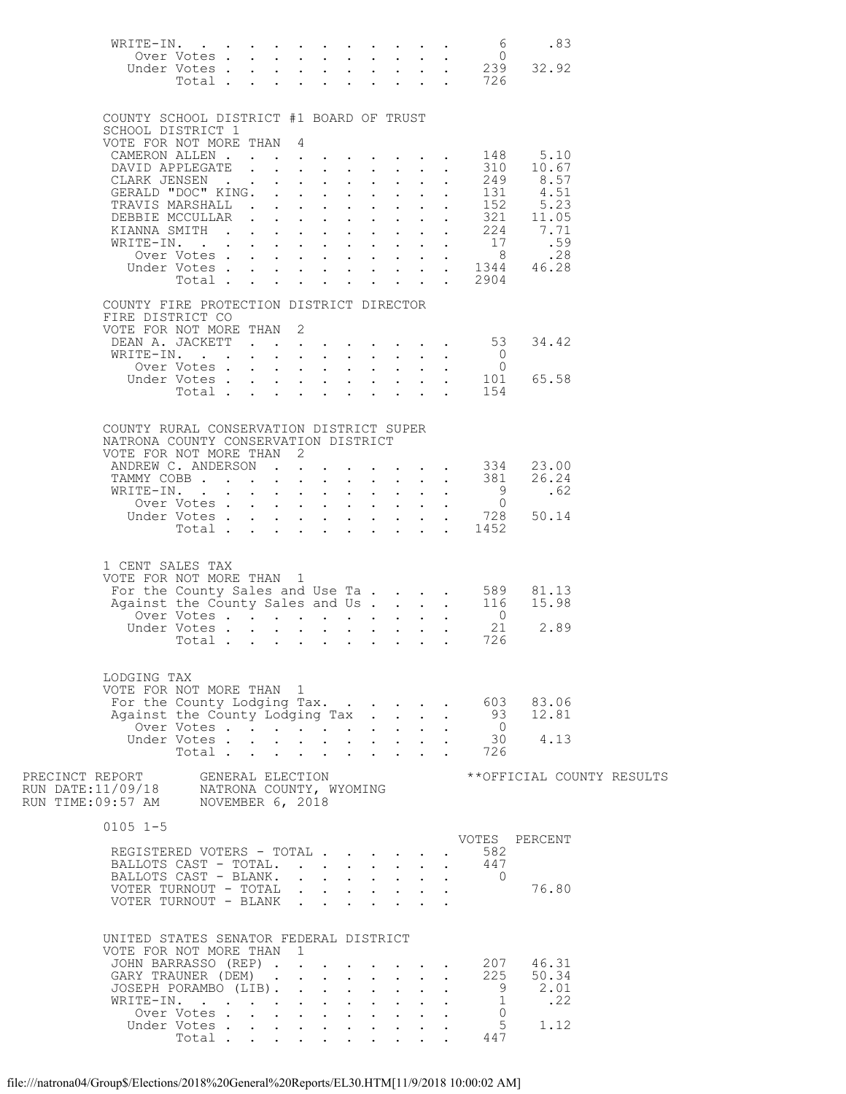| WRITE-IN.                                                                                                           |                            |  |                                             |              |                                            |                                             |              | $\cdot$ $\cdot$ $\cdot$ $\cdot$ 6                    | .83                                                                                                                         |  |
|---------------------------------------------------------------------------------------------------------------------|----------------------------|--|---------------------------------------------|--------------|--------------------------------------------|---------------------------------------------|--------------|------------------------------------------------------|-----------------------------------------------------------------------------------------------------------------------------|--|
|                                                                                                                     |                            |  |                                             |              |                                            |                                             |              |                                                      | 0<br>Under Votes 0<br>Under Votes 239 32.92<br>Total 726                                                                    |  |
|                                                                                                                     |                            |  |                                             |              |                                            |                                             |              |                                                      |                                                                                                                             |  |
| COUNTY SCHOOL DISTRICT #1 BOARD OF TRUST<br>SCHOOL DISTRICT 1                                                       |                            |  |                                             |              |                                            |                                             |              |                                                      |                                                                                                                             |  |
| VOTE FOR NOT MORE THAN 4                                                                                            |                            |  |                                             |              |                                            |                                             |              |                                                      |                                                                                                                             |  |
| CAMERON ALLEN 148<br>DAVID APPLEGATE 310                                                                            |                            |  |                                             |              |                                            |                                             |              | 310                                                  | 5.10<br>10.67                                                                                                               |  |
| CLARK JENSEN<br>GERALD "DOC" KING.                                                                                  |                            |  |                                             |              |                                            |                                             |              |                                                      |                                                                                                                             |  |
| TRAVIS MARSHALL                                                                                                     |                            |  |                                             |              |                                            |                                             |              |                                                      | $\begin{array}{cccc} . & . & . & 249 & 8.57 \\ . & . & 131 & 4.51 \\ . & . & 152 & 5.23 \\ . & . & 321 & 11.05 \end{array}$ |  |
| DEBBIE MCCULLAR                                                                                                     |                            |  |                                             |              |                                            |                                             |              |                                                      |                                                                                                                             |  |
|                                                                                                                     |                            |  |                                             |              |                                            |                                             |              |                                                      | XIANNA SMITH 224 7.71<br>WRITE-IN. 17 .59                                                                                   |  |
|                                                                                                                     |                            |  |                                             |              |                                            |                                             |              |                                                      | 0ver Votes 8 . 28<br>Under Votes 1344 46.28                                                                                 |  |
|                                                                                                                     | Total                      |  | $\mathbf{L} = \mathbf{L} \times \mathbf{L}$ | $\mathbf{L}$ | $\sim$                                     |                                             |              | $\,.\quad.\quad2904$                                 |                                                                                                                             |  |
| COUNTY FIRE PROTECTION DISTRICT DIRECTOR<br>FIRE DISTRICT CO                                                        |                            |  |                                             |              |                                            |                                             |              |                                                      |                                                                                                                             |  |
| VOTE FOR NOT MORE THAN 2                                                                                            |                            |  |                                             |              |                                            |                                             |              |                                                      |                                                                                                                             |  |
| DEAN A. JACKETT 53<br>WRITE-IN.                                                                                     |                            |  |                                             |              |                                            |                                             |              |                                                      | 34.42                                                                                                                       |  |
|                                                                                                                     |                            |  |                                             |              |                                            |                                             |              |                                                      | 65.58                                                                                                                       |  |
|                                                                                                                     |                            |  |                                             |              |                                            |                                             |              | XITE-IN. 0<br>Over Votes 0<br>Under Votes 101<br>154 |                                                                                                                             |  |
|                                                                                                                     |                            |  |                                             |              |                                            |                                             |              |                                                      |                                                                                                                             |  |
| COUNTY RURAL CONSERVATION DISTRICT SUPER<br>NATRONA COUNTY CONSERVATION DISTRICT                                    |                            |  |                                             |              |                                            |                                             |              |                                                      |                                                                                                                             |  |
| VOTE FOR NOT MORE THAN 2                                                                                            |                            |  |                                             |              |                                            |                                             |              |                                                      |                                                                                                                             |  |
| TAMMY COBB 381                                                                                                      |                            |  |                                             |              |                                            |                                             |              |                                                      | ANDREW C. ANDERSON 334 23.00<br>26.24                                                                                       |  |
| WRITE-IN.                                                                                                           | Over Votes                 |  |                                             |              |                                            |                                             |              | 9<br>$\overline{0}$                                  | .62                                                                                                                         |  |
|                                                                                                                     |                            |  |                                             |              |                                            |                                             |              |                                                      | Under Votes 728 50.14                                                                                                       |  |
|                                                                                                                     | Total                      |  |                                             |              |                                            |                                             |              | $\cdot$ $\cdot$ 1452                                 |                                                                                                                             |  |
| 1 CENT SALES TAX                                                                                                    |                            |  |                                             |              |                                            |                                             |              |                                                      |                                                                                                                             |  |
| VOTE FOR NOT MORE THAN 1                                                                                            |                            |  |                                             |              |                                            |                                             |              |                                                      |                                                                                                                             |  |
|                                                                                                                     |                            |  |                                             |              |                                            |                                             |              |                                                      | TOTE FOR NOT MORE THAN 1<br>For the County Sales and Use Ta 589 81.13<br>Against the County Sales and Us. 116 15.98         |  |
|                                                                                                                     | Under Votes                |  |                                             |              |                                            |                                             |              | 21                                                   | 2.89                                                                                                                        |  |
|                                                                                                                     | Total                      |  |                                             |              |                                            |                                             |              | 726                                                  |                                                                                                                             |  |
|                                                                                                                     |                            |  |                                             |              |                                            |                                             |              |                                                      |                                                                                                                             |  |
| LODGING TAX<br>VOTE FOR NOT MORE THAN 1                                                                             |                            |  |                                             |              |                                            |                                             |              |                                                      |                                                                                                                             |  |
| For the County Lodging Tax.<br>Against the County Lodging Tax                                                       |                            |  |                                             |              |                                            |                                             | $\mathbf{L}$ |                                                      | 603 83.06<br>93 12.81                                                                                                       |  |
|                                                                                                                     | Over Votes<br>Under Votes  |  |                                             |              |                                            |                                             |              | $\overline{0}$                                       |                                                                                                                             |  |
|                                                                                                                     | Total.                     |  |                                             |              |                                            |                                             |              | . 726                                                | $30 \t 4.13$                                                                                                                |  |
|                                                                                                                     |                            |  |                                             |              |                                            |                                             |              |                                                      | ** OFFICIAL COUNTY RESULTS                                                                                                  |  |
| PRECINCT REPORT GENERAL ELECTION<br>RUN DATE:11/09/18 NATRONA COUNTY, WYOMING<br>RUN TIME:09:57 AM NOVEMBER 6, 2018 |                            |  |                                             |              |                                            |                                             |              |                                                      |                                                                                                                             |  |
|                                                                                                                     |                            |  |                                             |              |                                            |                                             |              |                                                      |                                                                                                                             |  |
| $0105$ 1-5                                                                                                          |                            |  |                                             |              |                                            |                                             |              |                                                      | VOTES PERCENT                                                                                                               |  |
| REGISTERED VOTERS - TOTAL<br>BALLOTS CAST - TOTAL.                                                                  |                            |  |                                             |              |                                            |                                             |              | 582<br>447                                           |                                                                                                                             |  |
| BALLOTS CAST - BLANK. 0                                                                                             |                            |  |                                             |              |                                            |                                             |              |                                                      |                                                                                                                             |  |
| VOTER TURNOUT - TOTAL<br>VOTER TURNOUT - BLANK                                                                      |                            |  |                                             |              |                                            |                                             |              |                                                      | 76.80                                                                                                                       |  |
|                                                                                                                     |                            |  |                                             |              |                                            |                                             |              |                                                      |                                                                                                                             |  |
| UNITED STATES SENATOR FEDERAL DISTRICT                                                                              |                            |  |                                             |              |                                            |                                             |              |                                                      |                                                                                                                             |  |
| VOTE FOR NOT MORE THAN 1<br>JOHN BARRASSO (REP)                                                                     |                            |  |                                             |              |                                            | $\mathbf{L} = \mathbf{L} \times \mathbf{L}$ |              |                                                      | . 207 46.31                                                                                                                 |  |
| GARY TRAUNER (DEM)<br>JOSEPH PORAMBO (LIB).                                                                         |                            |  |                                             | $\mathbf{L}$ | $\mathcal{L}^{\text{max}}$<br>$\mathbf{L}$ | $\sim$ $-$<br>$\mathcal{L}^{\text{max}}$    | $\sim$       |                                                      | 225 50.34<br>9 2.01                                                                                                         |  |
| WRITE-IN.                                                                                                           |                            |  |                                             |              |                                            |                                             |              |                                                      | $\frac{1}{2}$ .22                                                                                                           |  |
|                                                                                                                     | Over Votes.<br>Under Votes |  |                                             |              |                                            |                                             |              | $\overline{0}$                                       | $5 \t 1.12$                                                                                                                 |  |
|                                                                                                                     | Total                      |  |                                             |              |                                            | $\mathbf{r} = \mathbf{r} + \mathbf{r}$      |              | 5<br>447                                             |                                                                                                                             |  |

file:///natrona04/Group\$/Elections/2018%20General%20Reports/EL30.HTM[11/9/2018 10:00:02 AM]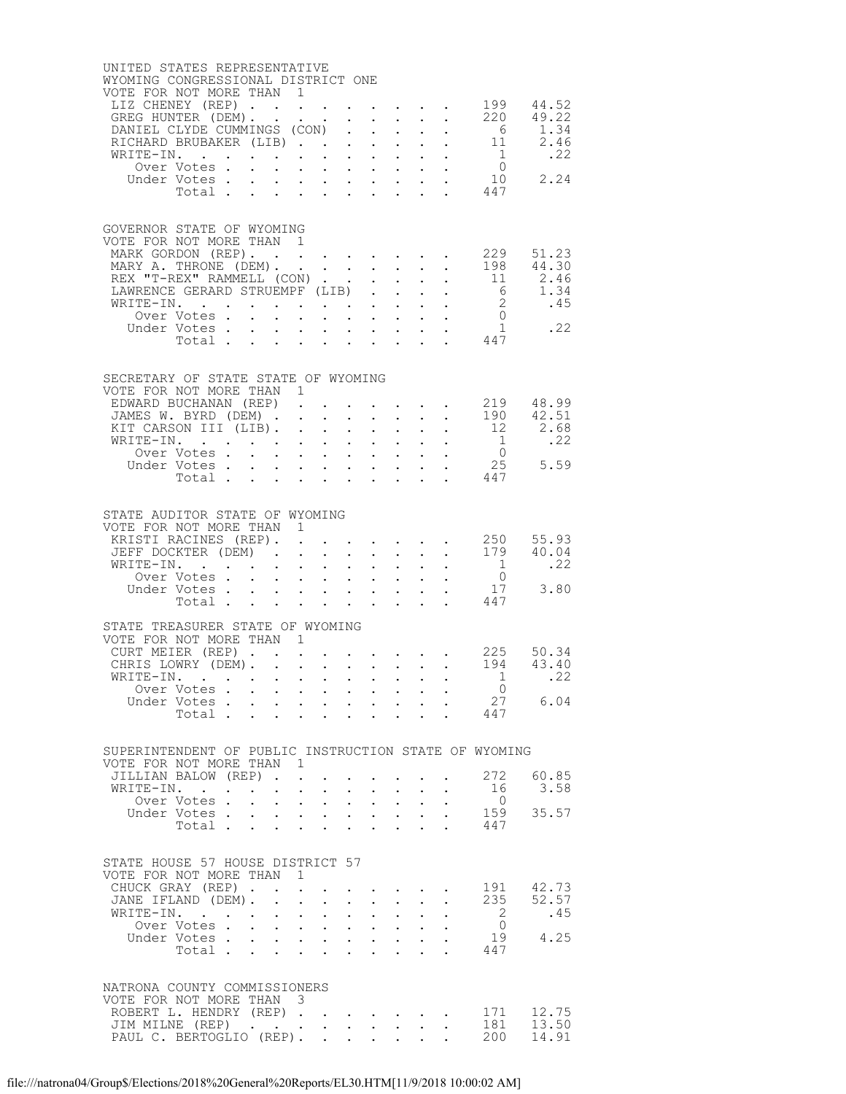| UNITED STATES REPRESENTATIVE<br>WYOMING CONGRESSIONAL DISTRICT ONE<br>VOTE FOR NOT MORE THAN 1<br>LIZ CHENEY (REP) |                            |                                                           |                      |                                                                  |                                                           |                           |                                                                                                                                                                     |                                          |                                                               |                                                         |                                                                                                                      | 199 44.52                                                 |
|--------------------------------------------------------------------------------------------------------------------|----------------------------|-----------------------------------------------------------|----------------------|------------------------------------------------------------------|-----------------------------------------------------------|---------------------------|---------------------------------------------------------------------------------------------------------------------------------------------------------------------|------------------------------------------|---------------------------------------------------------------|---------------------------------------------------------|----------------------------------------------------------------------------------------------------------------------|-----------------------------------------------------------|
| GREG HUNTER (DEM).                                                                                                 |                            |                                                           |                      |                                                                  |                                                           |                           |                                                                                                                                                                     |                                          | $\mathbf{r}$ , $\mathbf{r}$ , $\mathbf{r}$                    |                                                         | 220                                                                                                                  | 49.22                                                     |
| DANIEL CLYDE CUMMINGS (CON).<br>RICHARD BRUBAKER (LIB).                                                            |                            |                                                           |                      |                                                                  |                                                           |                           | $\mathbf{L}^{\text{max}}$<br>$1 - 1 - 1 = 1$                                                                                                                        |                                          |                                                               |                                                         | $\begin{array}{ccccccccc}\n\cdot & \cdot & \cdot & \cdot & & 6 \\ \cdot & \cdot & \cdot & \cdot & & 11\n\end{array}$ | $\frac{1.34}{2.46}$                                       |
| WRITE-IN.                                                                                                          |                            |                                                           |                      |                                                                  |                                                           |                           |                                                                                                                                                                     |                                          |                                                               |                                                         |                                                                                                                      | .22                                                       |
|                                                                                                                    | Over Votes.                |                                                           |                      |                                                                  |                                                           |                           | $\mathbf{r} = \mathbf{r} - \mathbf{r} = \mathbf{r} - \mathbf{r} = \mathbf{r} - \mathbf{r} = \mathbf{r} - \mathbf{r}$                                                |                                          |                                                               |                                                         | $\begin{matrix}1\\0\end{matrix}$                                                                                     |                                                           |
|                                                                                                                    |                            |                                                           |                      |                                                                  |                                                           |                           |                                                                                                                                                                     |                                          |                                                               |                                                         | Under Votes 10<br>Total 447                                                                                          | 2.24                                                      |
|                                                                                                                    |                            |                                                           |                      |                                                                  |                                                           |                           |                                                                                                                                                                     |                                          |                                                               |                                                         |                                                                                                                      |                                                           |
| GOVERNOR STATE OF WYOMING<br>VOTE FOR NOT MORE THAN 1<br>MARK GORDON (REP).                                        |                            |                                                           |                      |                                                                  |                                                           |                           |                                                                                                                                                                     |                                          |                                                               |                                                         |                                                                                                                      | 229 51.23                                                 |
| MARY A. THRONE (DEM).                                                                                              |                            |                                                           |                      |                                                                  |                                                           |                           |                                                                                                                                                                     |                                          |                                                               |                                                         | 198                                                                                                                  | 44.30                                                     |
| REX "T-REX" RAMMELL (CON)<br>LAWRENCE GERARD STRUEMPF (LIB)                                                        |                            |                                                           |                      |                                                                  |                                                           |                           |                                                                                                                                                                     |                                          |                                                               | $\mathbf{A}^{(1)}$ and $\mathbf{A}^{(2)}$ and           | 11<br>6                                                                                                              | 2.46<br>1.34                                              |
| WRITE-IN.                                                                                                          |                            |                                                           |                      |                                                                  |                                                           |                           |                                                                                                                                                                     |                                          |                                                               |                                                         |                                                                                                                      | $\begin{array}{cc} 2 & .45 \\ 0 & .45 \end{array}$        |
|                                                                                                                    | Over Votes                 |                                                           |                      |                                                                  |                                                           |                           | $\mathbf{r}$ , and $\mathbf{r}$ , and $\mathbf{r}$ , and $\mathbf{r}$                                                                                               |                                          |                                                               |                                                         |                                                                                                                      | $\frac{1}{17}$ .22                                        |
|                                                                                                                    |                            |                                                           |                      |                                                                  |                                                           |                           |                                                                                                                                                                     |                                          |                                                               |                                                         | Under Votes 1<br>Total 447                                                                                           |                                                           |
|                                                                                                                    |                            |                                                           |                      |                                                                  |                                                           |                           |                                                                                                                                                                     |                                          |                                                               |                                                         |                                                                                                                      |                                                           |
| SECRETARY OF STATE STATE OF WYOMING<br>VOTE FOR NOT MORE THAN 1                                                    |                            |                                                           |                      |                                                                  |                                                           |                           |                                                                                                                                                                     |                                          |                                                               |                                                         |                                                                                                                      |                                                           |
| EDWARD BUCHANAN (REP)<br>JAMES W. BYRD (DEM) .                                                                     |                            |                                                           |                      |                                                                  | $\mathbf{L} = \mathbf{L}$                                 |                           | $\mathbf{r}$ and $\mathbf{r}$ and $\mathbf{r}$ and $\mathbf{r}$                                                                                                     |                                          | $\mathcal{L}^{\text{max}}$ , where $\mathcal{L}^{\text{max}}$ |                                                         |                                                                                                                      | $219$ 48.99<br>190 42.51                                  |
| KIT CARSON III (LIB).                                                                                              |                            |                                                           |                      |                                                                  |                                                           |                           |                                                                                                                                                                     |                                          |                                                               |                                                         | $\cdot \cdot \cdot \cdot \cdot 12$                                                                                   | 2.68                                                      |
| WRITE-IN.                                                                                                          |                            |                                                           |                      |                                                                  |                                                           |                           |                                                                                                                                                                     |                                          |                                                               |                                                         | $\overline{1}$                                                                                                       | .22                                                       |
|                                                                                                                    | Over Votes<br>Under Votes. |                                                           |                      |                                                                  |                                                           |                           | $\mathcal{L}^{\text{max}}$<br>$\mathbf{1}^{\prime}$ , and $\mathbf{1}^{\prime}$ , and $\mathbf{1}^{\prime}$ , and $\mathbf{1}^{\prime}$ , and $\mathbf{1}^{\prime}$ |                                          | <b>Service Control</b>                                        |                                                         | $\overline{0}$                                                                                                       | $25$ $5.59$                                               |
|                                                                                                                    | Total                      |                                                           |                      |                                                                  |                                                           |                           |                                                                                                                                                                     | $\mathbf{z} = \mathbf{z} + \mathbf{z}$ . |                                                               | $\mathcal{L}^{\text{max}}$ , $\mathcal{L}^{\text{max}}$ | 447                                                                                                                  |                                                           |
| STATE AUDITOR STATE OF WYOMING                                                                                     |                            |                                                           |                      |                                                                  |                                                           |                           |                                                                                                                                                                     |                                          |                                                               |                                                         |                                                                                                                      |                                                           |
| VOTE FOR NOT MORE THAN 1                                                                                           |                            |                                                           |                      |                                                                  |                                                           |                           |                                                                                                                                                                     |                                          |                                                               |                                                         |                                                                                                                      |                                                           |
| JEFF DOCKTER (DEM)                                                                                                 |                            |                                                           |                      |                                                                  |                                                           |                           |                                                                                                                                                                     |                                          |                                                               |                                                         | KRISTI RACINES (REP). 250<br>179                                                                                     | 55.93<br>40.04                                            |
| WRITE-IN.                                                                                                          |                            |                                                           |                      |                                                                  |                                                           |                           | $\cdot$ $\cdot$ $\cdot$ $\cdot$                                                                                                                                     |                                          |                                                               | $\cdot$ $\cdot$                                         | $\overline{1}$                                                                                                       | .22                                                       |
|                                                                                                                    | Over Votes<br>Under Votes. |                                                           |                      |                                                                  |                                                           |                           |                                                                                                                                                                     |                                          |                                                               |                                                         | $\begin{array}{c} 0 \\ 17 \end{array}$                                                                               | 3.80                                                      |
|                                                                                                                    | Total                      |                                                           |                      |                                                                  |                                                           |                           |                                                                                                                                                                     |                                          |                                                               |                                                         | . 447                                                                                                                |                                                           |
|                                                                                                                    |                            |                                                           |                      |                                                                  |                                                           |                           |                                                                                                                                                                     |                                          |                                                               |                                                         |                                                                                                                      |                                                           |
| STATE TREASURER STATE OF WYOMING<br>VOTE FOR NOT MORE THAN 1                                                       |                            |                                                           |                      |                                                                  |                                                           |                           |                                                                                                                                                                     |                                          |                                                               |                                                         |                                                                                                                      |                                                           |
|                                                                                                                    |                            |                                                           |                      |                                                                  |                                                           |                           |                                                                                                                                                                     |                                          |                                                               |                                                         |                                                                                                                      | CURT MEIER (REP) 225 50.34<br>CHRIS LOWRY (DEM) 194 43.40 |
| WRITE-IN.                                                                                                          | Over Votes                 |                                                           |                      |                                                                  |                                                           |                           |                                                                                                                                                                     |                                          |                                                               |                                                         | $\sim$ 1<br>$\overline{0}$                                                                                           | .22                                                       |
|                                                                                                                    |                            |                                                           |                      |                                                                  |                                                           |                           |                                                                                                                                                                     |                                          |                                                               |                                                         | 27                                                                                                                   | 6.04                                                      |
|                                                                                                                    |                            |                                                           |                      |                                                                  |                                                           |                           |                                                                                                                                                                     |                                          |                                                               |                                                         | 447                                                                                                                  |                                                           |
|                                                                                                                    |                            |                                                           |                      |                                                                  |                                                           |                           |                                                                                                                                                                     |                                          |                                                               |                                                         | SUPERINTENDENT OF PUBLIC INSTRUCTION STATE OF WYOMING                                                                |                                                           |
| VOTE FOR NOT MORE THAN 1<br>JILLIAN BALOW (REP).                                                                   |                            |                                                           |                      |                                                                  |                                                           |                           |                                                                                                                                                                     |                                          |                                                               |                                                         | 272                                                                                                                  | 60.85                                                     |
| WRITE-IN.                                                                                                          |                            | $\ddot{\phantom{0}}$                                      | $\ddot{\phantom{0}}$ |                                                                  | $\cdot$ $\cdot$ $\cdot$                                   |                           |                                                                                                                                                                     |                                          |                                                               |                                                         | 16                                                                                                                   | 3.58                                                      |
|                                                                                                                    | Over Votes.                | $\mathbf{L}^{\text{max}}$ , and $\mathbf{L}^{\text{max}}$ |                      |                                                                  | $\mathbf{z} = \mathbf{z} + \mathbf{z}$                    | $\bullet$ .               | $\bullet$ .                                                                                                                                                         | $\sim$ $-$                               | $\bullet$ .                                                   |                                                         | $\overline{0}$                                                                                                       | 35.57                                                     |
|                                                                                                                    | Under Votes .<br>Total     |                                                           |                      |                                                                  |                                                           |                           | $\mathbf{r}$ , and $\mathbf{r}$ , and $\mathbf{r}$ , and $\mathbf{r}$<br>$\ddot{\phantom{0}}$                                                                       | $\bullet$ .                              | $\ddot{\phantom{0}}$<br>$\bullet$                             |                                                         | 159<br>447                                                                                                           |                                                           |
| STATE HOUSE 57 HOUSE DISTRICT 57                                                                                   |                            |                                                           |                      |                                                                  |                                                           |                           |                                                                                                                                                                     |                                          |                                                               |                                                         |                                                                                                                      |                                                           |
| VOTE FOR NOT MORE THAN 1                                                                                           |                            |                                                           |                      | $\mathbf{L}$                                                     |                                                           |                           |                                                                                                                                                                     |                                          |                                                               |                                                         | 191                                                                                                                  | 42.73                                                     |
| CHUCK GRAY (REP)<br>JANE IFLAND (DEM). .                                                                           |                            |                                                           |                      |                                                                  | $\mathbf{L}^{\text{max}}$ , and $\mathbf{L}^{\text{max}}$ |                           | $\mathbf{L}^{\text{max}}$ , $\mathbf{L}^{\text{max}}$                                                                                                               | $\mathbf{L}^{\text{max}}$                | $\bullet$ .                                                   |                                                         | 235                                                                                                                  | 52.57                                                     |
| WRITE-IN.                                                                                                          |                            |                                                           | $\ddot{\phantom{0}}$ |                                                                  | $\mathbf{L}$ and $\mathbf{L}$                             | $\ddot{\phantom{0}}$      | $\mathbf{L}^{\text{max}}$                                                                                                                                           |                                          |                                                               |                                                         | 2                                                                                                                    | .45                                                       |
|                                                                                                                    | Over Votes                 |                                                           |                      |                                                                  | $\mathbf{L}^{\text{max}}$ , and $\mathbf{L}^{\text{max}}$ | $\mathbf{L}^{\text{max}}$ | $\bullet$ .                                                                                                                                                         | $\mathbf{L}^{\text{max}}$                | $\bullet$ .                                                   |                                                         | $\overline{0}$<br>19                                                                                                 | 4.25                                                      |
|                                                                                                                    | Under Votes<br>Total       |                                                           |                      | $\mathbf{r} = \mathbf{r} + \mathbf{r} + \mathbf{r} + \mathbf{r}$ |                                                           |                           | $\ddot{\phantom{a}}$                                                                                                                                                | $\bullet$ .                              | $\bullet$                                                     |                                                         | 447                                                                                                                  |                                                           |
| NATRONA COUNTY COMMISSIONERS                                                                                       |                            |                                                           |                      |                                                                  |                                                           |                           |                                                                                                                                                                     |                                          |                                                               |                                                         |                                                                                                                      |                                                           |
| VOTE FOR NOT MORE THAN 3                                                                                           |                            |                                                           |                      |                                                                  |                                                           |                           |                                                                                                                                                                     |                                          |                                                               |                                                         |                                                                                                                      |                                                           |
| ROBERT L. HENDRY (REP)<br>JIM MILNE (REP)                                                                          |                            |                                                           |                      |                                                                  |                                                           |                           |                                                                                                                                                                     |                                          |                                                               |                                                         | 171<br>181                                                                                                           | 12.75<br>13.50                                            |
| PAUL C. BERTOGLIO (REP).                                                                                           |                            |                                                           |                      |                                                                  |                                                           |                           |                                                                                                                                                                     |                                          |                                                               |                                                         | 200                                                                                                                  | 14.91                                                     |
|                                                                                                                    |                            |                                                           |                      |                                                                  |                                                           |                           |                                                                                                                                                                     |                                          |                                                               |                                                         |                                                                                                                      |                                                           |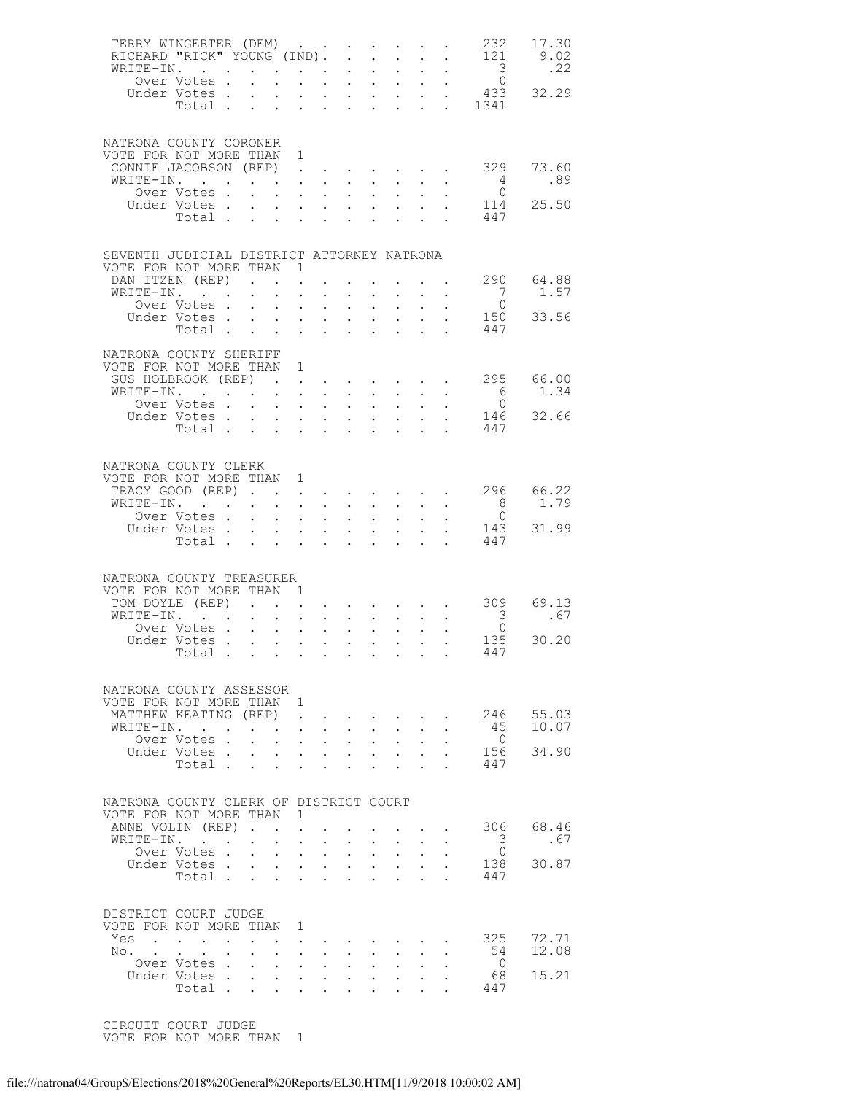|            | TERRY WINGERTER (DEM)<br>RICHARD "RICK" YOUNG (IND). .<br>WRITE-IN.                                                                                                                                                                |        |                                                    |                                                                                                                                                  |                                                            |                                                    | $\sim$ $\sim$                                 | $\mathbf{L}$                                                         |                      | $\mathbf{L}$ and $\mathbf{L}$<br>$\mathbf{A}^{\text{max}}$ , and $\mathbf{A}^{\text{max}}$ | 232<br>121<br>$\frac{3}{0}$                 | 17.30<br>9.02<br>.22 |
|------------|------------------------------------------------------------------------------------------------------------------------------------------------------------------------------------------------------------------------------------|--------|----------------------------------------------------|--------------------------------------------------------------------------------------------------------------------------------------------------|------------------------------------------------------------|----------------------------------------------------|-----------------------------------------------|----------------------------------------------------------------------|----------------------|--------------------------------------------------------------------------------------------|---------------------------------------------|----------------------|
|            | Over Votes<br>Under Votes<br>The Line Corporation of the Corporation of the Corporation of the Corporation of the Corporation of the Corporation of the Corporation of the Corporation of the Corporation of the Corporation of th |        |                                                    |                                                                                                                                                  |                                                            |                                                    |                                               |                                                                      |                      |                                                                                            |                                             |                      |
|            | NATRONA COUNTY CORONER<br>VOTE FOR NOT MORE THAN 1<br>CONNIE JACOBSON (REP)                                                                                                                                                        |        |                                                    |                                                                                                                                                  |                                                            |                                                    |                                               |                                                                      |                      |                                                                                            | 329                                         | 73.60                |
|            | WRITE-IN.<br>Over Votes .                                                                                                                                                                                                          |        | $\mathbf{r}$ , and $\mathbf{r}$ , and $\mathbf{r}$ |                                                                                                                                                  | $\mathbf{r} = \mathbf{r} + \mathbf{r}$ .                   | $\sim$<br>$\mathbf{z} = \mathbf{z} + \mathbf{z}$ . | $\sim$                                        | $\sim$ $-$<br>$\sim 10^{-11}$                                        |                      |                                                                                            | $4\overline{4}$<br>$\overline{0}$           | .89                  |
|            | Under Votes<br>Total $\cdots$                                                                                                                                                                                                      |        |                                                    |                                                                                                                                                  |                                                            |                                                    |                                               |                                                                      |                      |                                                                                            | 114<br>447                                  | 25.50                |
|            | SEVENTH JUDICIAL DISTRICT ATTORNEY NATRONA<br>VOTE FOR NOT MORE THAN 1                                                                                                                                                             |        |                                                    |                                                                                                                                                  |                                                            |                                                    |                                               |                                                                      |                      |                                                                                            |                                             |                      |
|            | DAN ITZEN (REP)<br>WRITE-IN.                                                                                                                                                                                                       |        |                                                    | $\mathbf{L}$                                                                                                                                     |                                                            |                                                    |                                               | $\mathbf{z} = \left\{ \mathbf{z}_1, \ldots, \mathbf{z}_n \right\}$ . |                      | $\mathbf{z} = \mathbf{z} + \mathbf{z}$                                                     | $\begin{matrix} 7 \\ 0 \end{matrix}$        | 290 64.88<br>1.57    |
|            | Over Votes                                                                                                                                                                                                                         |        |                                                    |                                                                                                                                                  | $\mathbf{L}$ and $\mathbf{L}$                              | $\ddot{\phantom{0}}$                               | $\sim$                                        | $\sim$ 100 $\pm$                                                     |                      |                                                                                            | 150<br>447                                  | 33.56                |
|            | NATRONA COUNTY SHERIFF                                                                                                                                                                                                             |        |                                                    |                                                                                                                                                  |                                                            |                                                    |                                               |                                                                      |                      |                                                                                            |                                             |                      |
|            | VOTE FOR NOT MORE THAN 1<br>GUS HOLBROOK (REP)                                                                                                                                                                                     |        |                                                    |                                                                                                                                                  |                                                            |                                                    |                                               |                                                                      |                      |                                                                                            | $\cdot$ $\cdot$ $\cdot$ $\cdot$ $\cdot$ 295 | 66.00                |
|            | WRITE-IN.<br>Over Votes                                                                                                                                                                                                            |        |                                                    |                                                                                                                                                  |                                                            | $\sim$                                             | $\sim$                                        | $\sim$ 100 $\pm$                                                     |                      | $\mathbf{u} = \mathbf{u} + \mathbf{u} + \mathbf{u} + \mathbf{u} + \mathbf{u}$              | $\begin{matrix} 6 \\ 0 \end{matrix}$        | 1.34                 |
|            |                                                                                                                                                                                                                                    |        |                                                    |                                                                                                                                                  |                                                            |                                                    |                                               |                                                                      |                      |                                                                                            | 146<br>447                                  | 32.66                |
|            | NATRONA COUNTY CLERK<br>VOTE FOR NOT MORE THAN 1                                                                                                                                                                                   |        |                                                    |                                                                                                                                                  |                                                            |                                                    |                                               |                                                                      |                      |                                                                                            |                                             |                      |
|            | TRACY GOOD (REP)<br>WRITE-IN.                                                                                                                                                                                                      |        | $\ddot{\phantom{0}}$                               | $\sim$ $\sim$                                                                                                                                    | $\mathbf{L}$ and $\mathbf{L}$                              | $\sim$                                             |                                               | <b>Contract Contract Contract</b>                                    |                      |                                                                                            | 296<br>$\begin{matrix} 8 \\ 0 \end{matrix}$ | 66.22<br>1.79        |
|            | Over Votes<br>Under Votes                                                                                                                                                                                                          |        |                                                    |                                                                                                                                                  |                                                            | $\mathcal{L}^{\text{max}}$                         | $\sim 10^{-11}$                               | $\sim 10^{-11}$                                                      |                      | $\mathbf{L}^{\text{max}}$ , $\mathbf{L}^{\text{max}}$                                      | 143                                         | 31.99                |
|            | Total $\cdots$                                                                                                                                                                                                                     |        |                                                    |                                                                                                                                                  |                                                            |                                                    |                                               |                                                                      |                      |                                                                                            | 447                                         |                      |
|            | NATRONA COUNTY TREASURER<br>VOTE FOR NOT MORE THAN 1                                                                                                                                                                               |        |                                                    |                                                                                                                                                  |                                                            |                                                    |                                               |                                                                      |                      |                                                                                            |                                             |                      |
|            | TOM DOYLE (REP)<br>WRITE-IN.                                                                                                                                                                                                       |        |                                                    |                                                                                                                                                  |                                                            |                                                    |                                               |                                                                      |                      | $\mathbf{z} = \mathbf{z} + \mathbf{z} + \mathbf{z} + \mathbf{z} + \mathbf{z}$              | $\cdot$ 309 69.13<br>$\overline{3}$         | .67                  |
|            | Over Votes<br>Under Votes<br>Total $\cdots$                                                                                                                                                                                        |        |                                                    |                                                                                                                                                  |                                                            | $\sim$                                             | $\sim 10^{-11}$                               | $\mathcal{L}^{\text{max}}$<br>$\sim$ 100 $\pm$                       |                      | $\mathbf{L}^{\text{max}}$ , where $\mathbf{L}^{\text{max}}$                                | $\overline{0}$<br>135<br>447                | 30.20                |
|            | NATRONA COUNTY ASSESSOR<br>VOTE FOR NOT MORE THAN 1                                                                                                                                                                                |        |                                                    |                                                                                                                                                  |                                                            |                                                    |                                               |                                                                      |                      |                                                                                            |                                             |                      |
|            | MATTHEW KEATING (REP)<br>WRITE-IN.                                                                                                                                                                                                 |        |                                                    |                                                                                                                                                  | $\mathbf{L}$ and $\mathbf{L}$<br>$\mathbf{L} = \mathbf{L}$ |                                                    |                                               |                                                                      |                      |                                                                                            | 246<br>45                                   | 55.03<br>10.07       |
|            | Over Votes.<br>Under Votes .                                                                                                                                                                                                       |        | $\mathbf{r}$                                       | $\mathbf{L}^{\text{max}}$ , and $\mathbf{L}^{\text{max}}$<br>$\mathbf{r}$ , and $\mathbf{r}$ , and $\mathbf{r}$ , and $\mathbf{r}$               |                                                            | $\ddot{\phantom{0}}$                               | $\sim 10$                                     | $\sim 10^{-11}$                                                      |                      |                                                                                            | $\overline{0}$<br>156                       | 34.90                |
|            | Total .                                                                                                                                                                                                                            |        | $\mathbf{L}$ and $\mathbf{L}$                      | $\mathbf{L}$                                                                                                                                     | $\sim$                                                     | $\ddot{\phantom{0}}$                               | $\ddot{\phantom{a}}$                          | $\sim$                                                               |                      |                                                                                            | 447                                         |                      |
|            | NATRONA COUNTY CLERK OF DISTRICT COURT<br>VOTE FOR NOT MORE THAN                                                                                                                                                                   |        |                                                    | -1                                                                                                                                               |                                                            |                                                    |                                               |                                                                      |                      |                                                                                            |                                             |                      |
|            | ANNE VOLIN (REP)<br>WRITE-IN. .                                                                                                                                                                                                    | $\sim$ | $\ddot{\phantom{0}}$                               | $\mathbf{A}^{\text{max}}$ , and $\mathbf{A}^{\text{max}}$                                                                                        |                                                            | $\ddot{\phantom{0}}$                               | $\sim$ $-$                                    |                                                                      |                      |                                                                                            | 306<br>3                                    | 68.46<br>.67         |
|            | Over Votes.<br>Under Votes                                                                                                                                                                                                         |        |                                                    | $\mathbf{r} = \mathbf{r} + \mathbf{r} + \mathbf{r} + \mathbf{r}$                                                                                 |                                                            | $\ddot{\phantom{0}}$<br>$\mathbf{L}^{\text{max}}$  | $\mathcal{L}^{\text{max}}$<br>$\sim 10^{-10}$ | $\sim$ $-$                                                           | $\ddot{\phantom{0}}$ |                                                                                            | $\overline{0}$<br>138                       | 30.87                |
|            | Total .                                                                                                                                                                                                                            |        | $\mathbb{R}^n$ and $\mathbb{R}^n$                  |                                                                                                                                                  |                                                            |                                                    |                                               |                                                                      |                      |                                                                                            | 447                                         |                      |
|            | DISTRICT COURT JUDGE<br>VOTE FOR NOT MORE THAN                                                                                                                                                                                     |        |                                                    | 1                                                                                                                                                |                                                            |                                                    |                                               |                                                                      |                      |                                                                                            |                                             |                      |
| Yes<br>No. | $\sim$ $\sim$ $\sim$ $\sim$ $\sim$                                                                                                                                                                                                 |        |                                                    | $\ddot{\phantom{0}}$                                                                                                                             | $\mathbf{L}$ and $\mathbf{L}$                              |                                                    |                                               |                                                                      |                      |                                                                                            | 325<br>54                                   | 72.71<br>12.08       |
|            | Over Votes.<br>Under Votes .                                                                                                                                                                                                       |        |                                                    | $\mathbf{r} = \mathbf{r} + \mathbf{r} + \mathbf{r}$ . The set of $\mathbf{r}$<br>$\mathbf{r}$ and $\mathbf{r}$ and $\mathbf{r}$ and $\mathbf{r}$ |                                                            | $\mathcal{L}^{\mathcal{L}}$<br>$\mathbf{L}$        | $\sim$ $-$<br>$\ddot{\phantom{0}}$            | $\mathcal{L}^{\text{max}}$                                           |                      |                                                                                            | $\overline{0}$<br>68                        | 15.21                |
|            | Total .                                                                                                                                                                                                                            |        | $\mathbf{L}$                                       | $\mathbf{L}$<br>$\sim$ 100 $\pm$                                                                                                                 | $\ddot{\phantom{0}}$                                       | $\ddot{\phantom{a}}$                               |                                               |                                                                      | $\sim$               |                                                                                            | 447                                         |                      |

CIRCUIT COURT JUDGE VOTE FOR NOT MORE THAN 1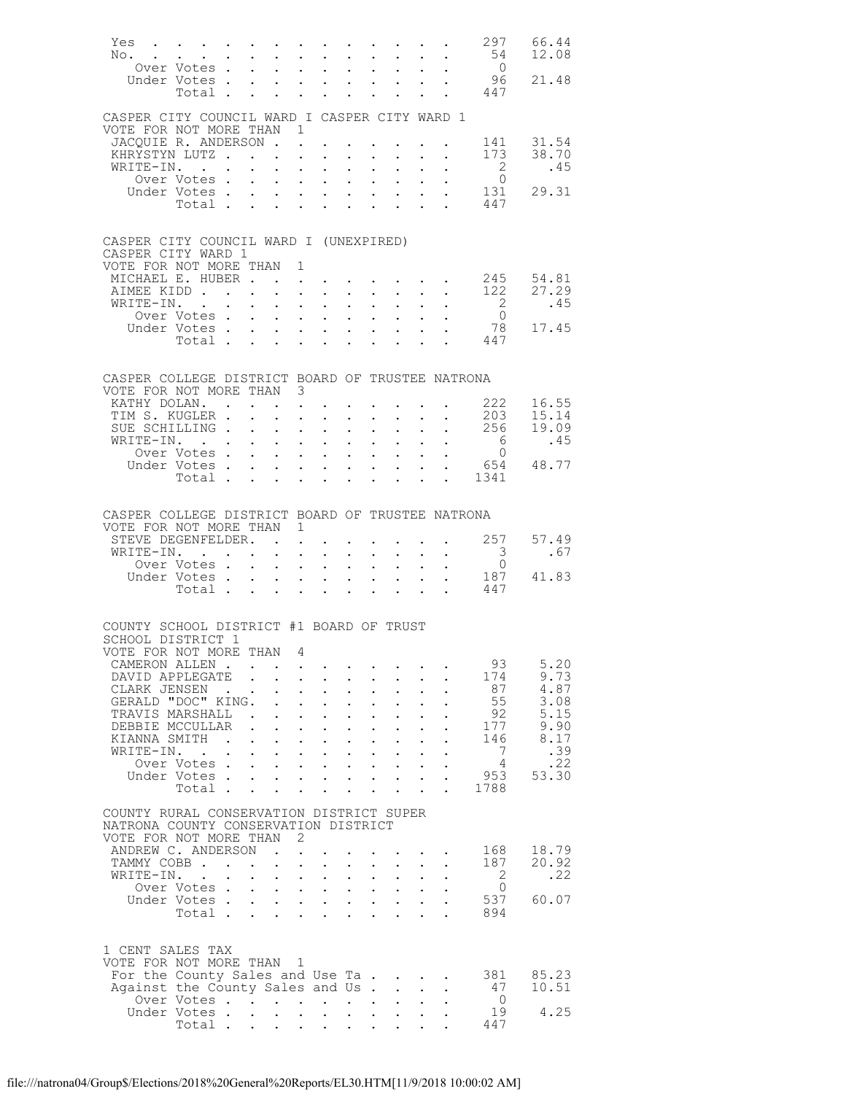| Yes<br>$\mathbb{N} \circ \cdot \cdot \cdot \cdot \cdot$                          |                             |                 |                                                                                                                         |                                                           | $\mathbf{u} = \mathbf{u} + \mathbf{u} + \mathbf{u} + \mathbf{u} + \mathbf{u} + \mathbf{u} + \mathbf{u} + \mathbf{u} + \mathbf{u}$ |                                                             |                           |                                                                                                                        |                           |                                                             | . 297                             | 66.44<br>12.08                                             |
|----------------------------------------------------------------------------------|-----------------------------|-----------------|-------------------------------------------------------------------------------------------------------------------------|-----------------------------------------------------------|-----------------------------------------------------------------------------------------------------------------------------------|-------------------------------------------------------------|---------------------------|------------------------------------------------------------------------------------------------------------------------|---------------------------|-------------------------------------------------------------|-----------------------------------|------------------------------------------------------------|
|                                                                                  | Over Votes                  |                 |                                                                                                                         |                                                           |                                                                                                                                   |                                                             |                           |                                                                                                                        |                           |                                                             | $\begin{matrix}54\\0\end{matrix}$ |                                                            |
|                                                                                  | Under Votes                 |                 |                                                                                                                         |                                                           | <b>All Contracts</b>                                                                                                              | $\mathbf{L}^{\text{max}}$                                   |                           | $\mathbf{z} = \mathbf{z} + \mathbf{z}$ .                                                                               | $\mathbf{L}^{\text{max}}$ |                                                             | - 96<br>447                       | 21.48                                                      |
|                                                                                  | Total .                     |                 | $\mathbf{r} = \mathbf{r}$                                                                                               |                                                           | $\mathbf{r}$ $\mathbf{r}$                                                                                                         |                                                             |                           |                                                                                                                        |                           |                                                             |                                   |                                                            |
| CASPER CITY COUNCIL WARD I CASPER CITY WARD 1                                    |                             |                 |                                                                                                                         |                                                           |                                                                                                                                   |                                                             |                           |                                                                                                                        |                           |                                                             |                                   |                                                            |
| VOTE FOR NOT MORE THAN 1<br>JACOUIE R. ANDERSON                                  |                             |                 |                                                                                                                         |                                                           |                                                                                                                                   |                                                             |                           |                                                                                                                        |                           |                                                             |                                   | 141 31.54                                                  |
| KHRYSTYN LUTZ                                                                    |                             |                 |                                                                                                                         |                                                           | $\sim 10^{-11}$                                                                                                                   | $\mathbf{L}^{\text{max}}$                                   |                           | $\mathbf{A}^{\text{max}}$ , and $\mathbf{A}^{\text{max}}$                                                              |                           | $\mathbf{z} = \mathbf{z} + \mathbf{z}$ , where $\mathbf{z}$ |                                   | 173 38.70                                                  |
| WRITE-IN.                                                                        |                             |                 | $\ddot{\phantom{0}}$                                                                                                    | $\ddot{\phantom{0}}$                                      | $\sim$ $-$                                                                                                                        | $\ddot{\phantom{0}}$                                        | $\mathbf{L}^{\text{max}}$ | $\ddot{\phantom{0}}$                                                                                                   |                           |                                                             | $\overline{\phantom{a}}$          | .45                                                        |
|                                                                                  | Over Votes.<br>Under Votes. |                 | $\mathcal{L}^{\mathcal{L}}$<br>$\ddot{\phantom{0}}$<br>$\mathbf{r} = \mathbf{r} + \mathbf{r} + \mathbf{r} + \mathbf{r}$ |                                                           | $\mathcal{L}(\mathbf{z})$ and $\mathcal{L}(\mathbf{z})$ .                                                                         | $\ddot{\phantom{a}}$                                        |                           | $\mathbf{L}^{\text{max}}$ , and $\mathbf{L}^{\text{max}}$<br>$\mathbf{L}^{\text{max}}$ , and $\mathbf{L}^{\text{max}}$ | $\ddot{\phantom{a}}$      |                                                             | $\bigcirc$                        | 131 29.31                                                  |
|                                                                                  | Total                       |                 |                                                                                                                         | $\mathbf{L} = \mathbf{L}$                                 | $\sim$ 100 $\pm$                                                                                                                  | $\ddot{\phantom{0}}$                                        | $\mathbf{L}$              | $\ddot{\phantom{0}}$                                                                                                   | $\ddot{\phantom{0}}$      |                                                             | 447                               |                                                            |
|                                                                                  |                             |                 |                                                                                                                         |                                                           |                                                                                                                                   |                                                             |                           |                                                                                                                        |                           |                                                             |                                   |                                                            |
| CASPER CITY COUNCIL WARD I (UNEXPIRED)                                           |                             |                 |                                                                                                                         |                                                           |                                                                                                                                   |                                                             |                           |                                                                                                                        |                           |                                                             |                                   |                                                            |
| CASPER CITY WARD 1                                                               |                             |                 |                                                                                                                         |                                                           |                                                                                                                                   |                                                             |                           |                                                                                                                        |                           |                                                             |                                   |                                                            |
| VOTE FOR NOT MORE THAN 1<br>MICHAEL E. HUBER.                                    |                             |                 |                                                                                                                         |                                                           |                                                                                                                                   |                                                             |                           |                                                                                                                        |                           |                                                             |                                   |                                                            |
| AIMEE KIDD                                                                       |                             |                 | $\mathbf{L}$                                                                                                            |                                                           | $\mathbf{z} = \mathbf{z} + \mathbf{z}$ .<br><b>Carl Carl Control</b>                                                              |                                                             |                           | $\mathcal{L}^{\text{max}}$                                                                                             |                           |                                                             |                                   | $\cdot$ 245 54.81<br>$\cdot$ 122 27.29                     |
| WRITE-IN.                                                                        |                             |                 | $\mathbf{L}^{\text{max}}$                                                                                               |                                                           | $\mathbf{z} = \mathbf{z} + \mathbf{z} + \mathbf{z}$                                                                               | $\bullet$ .                                                 |                           | $\mathbf{L}^{\text{max}}$ , and $\mathbf{L}^{\text{max}}$                                                              |                           |                                                             | $\frac{2}{0}$                     | .45                                                        |
|                                                                                  | Over Votes .<br>Under Votes |                 | $\sim$                                                                                                                  |                                                           | $\mathbf{r}$ , $\mathbf{r}$ , $\mathbf{r}$                                                                                        |                                                             |                           | $\ddot{\phantom{0}}$                                                                                                   |                           |                                                             | 78                                | 17.45                                                      |
|                                                                                  | Total                       |                 | $\mathbf{L}$                                                                                                            |                                                           | $\mathbf{u}^{\prime}=\mathbf{u}^{\prime}$ , where $\mathbf{u}^{\prime}=\mathbf{u}^{\prime}$<br>$\mathbf{r}$                       | $\mathbf{L}^{\text{max}}$                                   |                           | $\mathbf{A}^{(1)}$ and $\mathbf{A}^{(2)}$ and                                                                          |                           |                                                             | 447                               |                                                            |
|                                                                                  |                             |                 |                                                                                                                         |                                                           |                                                                                                                                   |                                                             |                           |                                                                                                                        |                           |                                                             |                                   |                                                            |
| CASPER COLLEGE DISTRICT BOARD OF TRUSTEE NATRONA                                 |                             |                 |                                                                                                                         |                                                           |                                                                                                                                   |                                                             |                           |                                                                                                                        |                           |                                                             |                                   |                                                            |
| VOTE FOR NOT MORE THAN 3                                                         |                             |                 |                                                                                                                         |                                                           |                                                                                                                                   |                                                             |                           |                                                                                                                        |                           |                                                             |                                   |                                                            |
| KATHY DOLAN.                                                                     |                             |                 |                                                                                                                         |                                                           | <b>All Carl Carl Control</b>                                                                                                      |                                                             |                           | $\mathbf{z} = \mathbf{z} + \mathbf{z} + \mathbf{z} + \mathbf{z}$                                                       |                           |                                                             |                                   | 222 16.55<br>$203$ $15.14$                                 |
| TIM S. KUGLER .<br>SUE SCHILLING.                                                |                             |                 | $\sim$<br>$\mathcal{L}^{\text{max}}$<br>$\ddot{\phantom{0}}$                                                            | $\ddot{\phantom{0}}$<br>$\sim 10^{-11}$                   | $\sim$<br>$\sim 10$                                                                                                               | $\ddot{\phantom{0}}$<br>$\ddot{\phantom{0}}$                |                           | $\ddot{\phantom{0}}$<br>$\mathbf{L}^{\text{max}}$ , $\mathbf{L}^{\text{max}}$                                          | $\mathbf{L}^{\text{max}}$ |                                                             | . 256                             | 19.09                                                      |
| WRITE-IN. .                                                                      |                             |                 |                                                                                                                         |                                                           | $\mathbf{r}$ and $\mathbf{r}$ and $\mathbf{r}$                                                                                    | $\ddot{\phantom{0}}$                                        | $\mathbf{L}^{\text{max}}$ | $\ddot{\phantom{0}}$                                                                                                   |                           |                                                             | $6\overline{6}$                   | .45                                                        |
|                                                                                  | Over Votes                  |                 | $\mathbf{L}^{\text{max}}$                                                                                               |                                                           | $\mathcal{L}(\mathcal{A})$ and $\mathcal{L}(\mathcal{A})$ .                                                                       | $\mathcal{L}^{\text{max}}$                                  |                           | $\mathbf{L}^{\text{max}}$ , and $\mathbf{L}^{\text{max}}$                                                              |                           |                                                             | $\bigcirc$                        | $\begin{array}{cccc} . & 0 \\ . & 654 & 48.77 \end{array}$ |
|                                                                                  | Under Votes<br>Total        |                 |                                                                                                                         |                                                           | $\mathbf{r}$ and $\mathbf{r}$ and $\mathbf{r}$<br>$\mathbf{r} = \mathbf{r} + \mathbf{r}$                                          | $\ddot{\phantom{0}}$                                        |                           | $\cdot$ $\cdot$ $\cdot$ $\cdot$<br>$\cdot$ $\cdot$ $\cdot$                                                             | $\ddot{\phantom{0}}$      |                                                             | . 1341                            |                                                            |
|                                                                                  |                             |                 |                                                                                                                         |                                                           |                                                                                                                                   |                                                             |                           |                                                                                                                        |                           |                                                             |                                   |                                                            |
| CASPER COLLEGE DISTRICT BOARD OF TRUSTEE NATRONA                                 |                             |                 |                                                                                                                         |                                                           |                                                                                                                                   |                                                             |                           |                                                                                                                        |                           |                                                             |                                   |                                                            |
| VOTE FOR NOT MORE THAN 1                                                         |                             |                 |                                                                                                                         |                                                           |                                                                                                                                   |                                                             |                           |                                                                                                                        |                           |                                                             |                                   |                                                            |
| STEVE DEGENFELDER.                                                               |                             |                 |                                                                                                                         |                                                           |                                                                                                                                   |                                                             |                           |                                                                                                                        |                           |                                                             | 257                               | 57.49                                                      |
| WRITE-IN. .                                                                      | Over Votes .                |                 | $\mathbf{z} = \mathbf{z} + \mathbf{z}$ , where $\mathbf{z} = \mathbf{z} + \mathbf{z}$<br>$\mathbf{r}$                   |                                                           | $\mathbf{r} = \mathbf{r} \cdot \mathbf{r}$ , where $\mathbf{r} = \mathbf{r} \cdot \mathbf{r}$                                     | $\bullet$ .<br>$\ddot{\phantom{0}}$                         |                           | $\mathbf{z} = \mathbf{z} + \mathbf{z}$<br>$\mathbf{L}^{\text{max}}$                                                    |                           |                                                             | 3<br>$\overline{0}$               | .67                                                        |
|                                                                                  | Under Votes                 |                 |                                                                                                                         |                                                           | $\mathbf{r} = \mathbf{r} + \mathbf{r}$                                                                                            | $\ddot{\phantom{0}}$                                        |                           | $\mathbf{L}^{\text{max}}$ , $\mathbf{L}^{\text{max}}$                                                                  | $\mathbf{L}^{\text{max}}$ | $\ddot{\phantom{0}}$                                        | 187                               | 41.83                                                      |
|                                                                                  | Total .                     |                 | $\mathbf{L}$<br>$\mathbf{L}$                                                                                            |                                                           | $\mathbf{L}$ $\mathbf{L}$                                                                                                         |                                                             |                           |                                                                                                                        |                           |                                                             | 447                               |                                                            |
|                                                                                  |                             |                 |                                                                                                                         |                                                           |                                                                                                                                   |                                                             |                           |                                                                                                                        |                           |                                                             |                                   |                                                            |
| COUNTY SCHOOL DISTRICT #1 BOARD OF TRUST                                         |                             |                 |                                                                                                                         |                                                           |                                                                                                                                   |                                                             |                           |                                                                                                                        |                           |                                                             |                                   |                                                            |
| SCHOOL DISTRICT 1<br>VOTE FOR NOT MORE THAN                                      |                             |                 |                                                                                                                         | -4                                                        |                                                                                                                                   |                                                             |                           |                                                                                                                        |                           |                                                             |                                   |                                                            |
| CAMERON ALLEN                                                                    |                             |                 |                                                                                                                         |                                                           |                                                                                                                                   |                                                             |                           |                                                                                                                        |                           |                                                             | 93                                | 5.20                                                       |
| DAVID APPLEGATE<br>CLARK JENSEN                                                  |                             | $\sim 10^{-10}$ | $\ddot{\phantom{a}}$<br>$\mathbf{L}$                                                                                    | $\sim 10^{-11}$                                           | $\sim$ $-$                                                                                                                        |                                                             | $\ddot{\phantom{0}}$      |                                                                                                                        |                           |                                                             | 174<br>87                         | 9.73<br>4.87                                               |
| GERALD "DOC" KING.                                                               |                             |                 |                                                                                                                         | $\mathbf{L}$<br>$\mathbf{L}^{\text{max}}$                 | $\sim$<br>$\sim$ $-$                                                                                                              |                                                             | $\bullet$ .               |                                                                                                                        |                           |                                                             | 55                                | 3.08                                                       |
| TRAVIS MARSHALL.                                                                 |                             |                 |                                                                                                                         | $\mathbf{L}$                                              | $\sim$                                                                                                                            |                                                             |                           |                                                                                                                        |                           |                                                             | 92                                | 5.15                                                       |
| DEBBIE MCCULLAR<br>KIANNA SMITH                                                  |                             | $\mathbf{r}$    | $\mathcal{L}^{\text{max}}$<br>$\ddot{\phantom{0}}$<br>$\sim$                                                            | $\sim 10^{-11}$<br>$\ddot{\phantom{a}}$                   | $\sim$ $-$<br>$\sim$                                                                                                              | $\ddot{\phantom{0}}$                                        | $\ddot{\phantom{0}}$      | $\ddot{\phantom{0}}$<br>$\ddot{\phantom{a}}$                                                                           |                           |                                                             | 177<br>146                        | 9.90<br>8.17                                               |
| WRITE-IN.                                                                        |                             |                 | $\mathbf{L}^{\text{max}}$                                                                                               |                                                           | $\mathcal{L}^{\text{max}}$ , where $\mathcal{L}^{\text{max}}$                                                                     | $\ddot{\phantom{0}}$                                        | $\mathbf{L}^{\text{max}}$ | $\mathbb{Z}^{\mathbb{Z}^{\times}}$                                                                                     |                           |                                                             | 7                                 | .39                                                        |
|                                                                                  | Over Votes                  |                 |                                                                                                                         |                                                           |                                                                                                                                   |                                                             |                           |                                                                                                                        |                           |                                                             | 4                                 | .22                                                        |
|                                                                                  | Under Votes.<br>Total.      |                 | $\mathcal{L}^{\text{max}}$                                                                                              | $\mathbf{L}^{\text{max}}$ , and $\mathbf{L}^{\text{max}}$ | $\sim$ $-$                                                                                                                        | $\ddot{\phantom{0}}$                                        | $\mathbf{z} = \mathbf{z}$ | $\mathbf{L}^{\text{max}}$                                                                                              | $\mathbf{L}^{\text{max}}$ |                                                             | 953<br>1788                       | 53.30                                                      |
|                                                                                  |                             |                 |                                                                                                                         |                                                           |                                                                                                                                   |                                                             |                           |                                                                                                                        |                           |                                                             |                                   |                                                            |
| COUNTY RURAL CONSERVATION DISTRICT SUPER<br>NATRONA COUNTY CONSERVATION DISTRICT |                             |                 |                                                                                                                         |                                                           |                                                                                                                                   |                                                             |                           |                                                                                                                        |                           |                                                             |                                   |                                                            |
| VOTE FOR NOT MORE THAN 2                                                         |                             |                 |                                                                                                                         |                                                           |                                                                                                                                   |                                                             |                           |                                                                                                                        |                           |                                                             |                                   |                                                            |
| ANDREW C. ANDERSON                                                               |                             |                 |                                                                                                                         | $\sim$ $-$                                                |                                                                                                                                   |                                                             |                           |                                                                                                                        |                           |                                                             | 168                               | 18.79                                                      |
| TAMMY COBB<br>WRITE-IN.                                                          |                             |                 | $\mathbf{L}^{\text{max}}$                                                                                               | $\bullet$ .                                               | $\sim$ $-$                                                                                                                        |                                                             |                           | $\mathbb{Z}^{\mathbb{Z}^{\times}}$                                                                                     |                           |                                                             | 187<br>2                          | 20.92<br>.22                                               |
|                                                                                  | Over Votes.                 |                 | $\mathbf{r}$ , $\mathbf{r}$ , $\mathbf{r}$ , $\mathbf{r}$                                                               |                                                           | $\Delta \sim 100$                                                                                                                 | $\mathcal{L}^{(1)}$<br>$\mathbf{L} = \mathbf{L}$            | $\mathcal{L}^{(1)}$       | $\ddot{\phantom{0}}$                                                                                                   |                           |                                                             | $\Omega$                          |                                                            |
|                                                                                  | Under Votes                 |                 |                                                                                                                         |                                                           |                                                                                                                                   | $\ddot{\phantom{0}}$                                        |                           | $\mathbf{L}^{\text{max}}$ , $\mathbf{L}^{\text{max}}$                                                                  |                           |                                                             | 537                               | 60.07                                                      |
|                                                                                  | Total                       |                 |                                                                                                                         |                                                           |                                                                                                                                   |                                                             |                           |                                                                                                                        |                           |                                                             | 894                               |                                                            |
|                                                                                  |                             |                 |                                                                                                                         |                                                           |                                                                                                                                   |                                                             |                           |                                                                                                                        |                           |                                                             |                                   |                                                            |
| 1 CENT SALES TAX                                                                 |                             |                 |                                                                                                                         |                                                           |                                                                                                                                   |                                                             |                           |                                                                                                                        |                           |                                                             |                                   |                                                            |
| VOTE FOR NOT MORE THAN 1<br>For the County Sales and Use Ta.                     |                             |                 |                                                                                                                         |                                                           |                                                                                                                                   |                                                             |                           |                                                                                                                        |                           | $\mathbf{r} = \mathbf{r} + \mathbf{r} + \mathbf{r}$ .       | 381                               | 85.23                                                      |
| Against the County Sales and Us.                                                 |                             |                 |                                                                                                                         |                                                           |                                                                                                                                   |                                                             |                           | $\mathbf{L}$                                                                                                           |                           |                                                             | 47                                | 10.51                                                      |
|                                                                                  | Over Votes<br>Under Votes.  |                 | $\sim$<br>$\mathbf{L}$                                                                                                  | $\sim$                                                    | $\bullet$ . $\bullet$<br>$\sim$                                                                                                   | $\bullet$ . In the set of $\bullet$<br>$\ddot{\phantom{0}}$ | $\mathbf{L}^{\text{max}}$ | $\mathbf{L}^{\text{max}}$<br>$\mathbf{L}^{\text{max}}$                                                                 |                           |                                                             | $\overline{0}$<br>19              | 4.25                                                       |
|                                                                                  | Total .                     |                 |                                                                                                                         |                                                           | $\mathbf{z} = \left\{ \mathbf{z}_1, \ldots, \mathbf{z}_n \right\}$ .                                                              |                                                             |                           |                                                                                                                        |                           |                                                             | 447                               |                                                            |
|                                                                                  |                             |                 |                                                                                                                         |                                                           |                                                                                                                                   |                                                             |                           |                                                                                                                        |                           |                                                             |                                   |                                                            |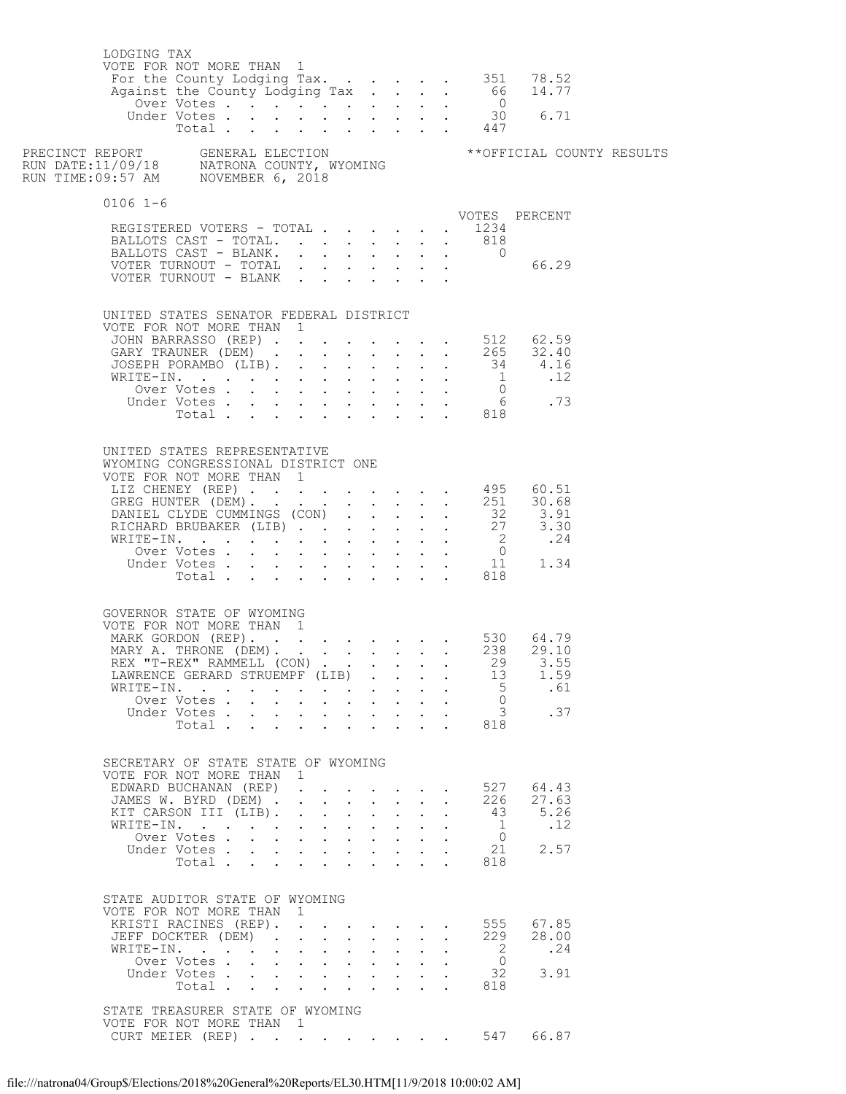| LODGING TAX<br>VOTE FOR NOT MORE THAN 1<br>For the County Lodging Tax. 351 78.52<br>Against the County Lodging Tax. 66 14.77<br>Over Votes 0                                      |                |                      |                                           |                                                                                                                                                                            |              |                                                                 |                  |                                      |                                            | Under Votes 30 6.71<br>Total 447 |  |
|-----------------------------------------------------------------------------------------------------------------------------------------------------------------------------------|----------------|----------------------|-------------------------------------------|----------------------------------------------------------------------------------------------------------------------------------------------------------------------------|--------------|-----------------------------------------------------------------|------------------|--------------------------------------|--------------------------------------------|----------------------------------|--|
|                                                                                                                                                                                   |                |                      |                                           |                                                                                                                                                                            |              |                                                                 |                  |                                      |                                            |                                  |  |
| $0106$ 1-6                                                                                                                                                                        |                |                      |                                           |                                                                                                                                                                            |              |                                                                 |                  |                                      |                                            |                                  |  |
| REGISTERED VOTERS - TOTAL                                                                                                                                                         |                |                      |                                           |                                                                                                                                                                            |              |                                                                 |                  |                                      | $\cdot$ $\cdot$ 1234                       | VOTES PERCENT                    |  |
| BALLOTS CAST - TOTAL. 818                                                                                                                                                         |                |                      |                                           |                                                                                                                                                                            |              |                                                                 |                  |                                      |                                            |                                  |  |
| BALLOTS CAST - BLANK.                                                                                                                                                             |                |                      |                                           |                                                                                                                                                                            |              |                                                                 |                  |                                      | $\overline{0}$                             |                                  |  |
| $\begin{tabular}{ccccccccc} VOTER TURNOUT & - TOTAL & . & . & . & . & . & . & . & . & 66.29 \\ VOTER TURNOUT & - BLANK & . & . & . & . & . & . & . & . & . & . & . \end{tabular}$ |                |                      |                                           |                                                                                                                                                                            |              |                                                                 |                  |                                      |                                            |                                  |  |
|                                                                                                                                                                                   |                |                      |                                           |                                                                                                                                                                            |              |                                                                 |                  |                                      |                                            |                                  |  |
| UNITED STATES SENATOR FEDERAL DISTRICT                                                                                                                                            |                |                      |                                           |                                                                                                                                                                            |              |                                                                 |                  |                                      |                                            |                                  |  |
| VOTE FOR NOT MORE THAN 1                                                                                                                                                          |                |                      |                                           |                                                                                                                                                                            |              |                                                                 |                  |                                      |                                            |                                  |  |
| JOHN BARRASSO (REP) 512 62.59<br>GARY TRAUNER (DEM) 265 32.40                                                                                                                     |                |                      |                                           |                                                                                                                                                                            |              |                                                                 |                  |                                      |                                            |                                  |  |
|                                                                                                                                                                                   |                |                      |                                           |                                                                                                                                                                            |              |                                                                 |                  |                                      |                                            |                                  |  |
|                                                                                                                                                                                   |                |                      |                                           |                                                                                                                                                                            |              |                                                                 |                  |                                      |                                            |                                  |  |
|                                                                                                                                                                                   |                |                      |                                           |                                                                                                                                                                            |              |                                                                 |                  |                                      |                                            |                                  |  |
|                                                                                                                                                                                   |                |                      |                                           |                                                                                                                                                                            |              |                                                                 |                  |                                      |                                            |                                  |  |
|                                                                                                                                                                                   |                |                      |                                           |                                                                                                                                                                            |              |                                                                 |                  |                                      |                                            |                                  |  |
| UNITED STATES REPRESENTATIVE<br>WYOMING CONGRESSIONAL DISTRICT ONE<br>VOTE FOR NOT MORE THAN 1                                                                                    |                |                      |                                           |                                                                                                                                                                            |              |                                                                 |                  |                                      |                                            |                                  |  |
| LIZ CHENEY (REP) 495 60.51<br>GREG HUNTER (DEM) 251 30.68                                                                                                                         |                |                      |                                           |                                                                                                                                                                            |              |                                                                 |                  |                                      |                                            |                                  |  |
|                                                                                                                                                                                   |                |                      |                                           |                                                                                                                                                                            |              |                                                                 |                  |                                      |                                            |                                  |  |
| DANIEL CLYDE CUMMINGS (CON) 32 3.91<br>RICHARD BRUBAKER (LIB) 27 3.30                                                                                                             |                |                      |                                           |                                                                                                                                                                            |              |                                                                 |                  |                                      |                                            |                                  |  |
|                                                                                                                                                                                   |                |                      |                                           |                                                                                                                                                                            |              |                                                                 |                  |                                      |                                            |                                  |  |
|                                                                                                                                                                                   |                |                      |                                           |                                                                                                                                                                            |              |                                                                 |                  |                                      |                                            |                                  |  |
|                                                                                                                                                                                   |                |                      |                                           |                                                                                                                                                                            |              |                                                                 |                  |                                      |                                            |                                  |  |
| GOVERNOR STATE OF WYOMING<br>VOTE FOR NOT MORE THAN 1                                                                                                                             |                |                      |                                           |                                                                                                                                                                            |              |                                                                 |                  |                                      |                                            |                                  |  |
| MARK GORDON (REP). 530 64.79<br>MARY A. THRONE (DEM). 238 29.10                                                                                                                   |                |                      |                                           |                                                                                                                                                                            |              |                                                                 |                  |                                      |                                            |                                  |  |
| REX "T-REX" RAMMELL (CON) 29                                                                                                                                                      |                |                      |                                           |                                                                                                                                                                            |              |                                                                 |                  |                                      |                                            | 3.55                             |  |
| LAWRENCE GERARD STRUEMPF (LIB)                                                                                                                                                    |                |                      |                                           |                                                                                                                                                                            |              |                                                                 |                  |                                      | 13                                         | 1.59                             |  |
| WRITE-IN.                                                                                                                                                                         |                |                      |                                           | <b>All Card Control</b>                                                                                                                                                    |              | $\mathbf{A}^{(1)}$ and $\mathbf{A}^{(2)}$ and                   |                  |                                      | 5                                          | .61                              |  |
| Under Votes                                                                                                                                                                       | Over Votes     |                      |                                           | $\mathbf{r} = \mathbf{r}$<br>and a strong control of the strong strong                                                                                                     |              | $\mathbf{L} = \mathbf{L} \mathbf{L}$                            |                  |                                      | $\overline{0}$<br>$\mathcal{S}$            | .37                              |  |
|                                                                                                                                                                                   | Total.         |                      |                                           |                                                                                                                                                                            |              |                                                                 |                  |                                      | 818                                        |                                  |  |
|                                                                                                                                                                                   |                |                      |                                           |                                                                                                                                                                            |              |                                                                 |                  |                                      |                                            |                                  |  |
| SECRETARY OF STATE STATE OF WYOMING<br>VOTE FOR NOT MORE THAN 1                                                                                                                   |                |                      |                                           |                                                                                                                                                                            |              |                                                                 |                  |                                      |                                            |                                  |  |
| EDWARD BUCHANAN (REP)<br>JAMES W. BYRD (DEM) .                                                                                                                                    |                |                      |                                           | $\mathbf{r} = \mathbf{r}$                                                                                                                                                  |              | $\sim$ $\sim$ $\sim$ $\sim$ $\sim$<br>$\mathbf{L} = \mathbf{L}$ |                  | $\mathbf{L}$ $\mathbf{L}$            | 527<br>226                                 | 64.43<br>27.63                   |  |
| KIT CARSON III (LIB).                                                                                                                                                             |                |                      | $\mathbf{L}^{\text{max}}$                 |                                                                                                                                                                            |              |                                                                 | $\mathbf{L}$     | $\sim$                               | 43                                         | 5.26                             |  |
| WRITE-IN.                                                                                                                                                                         |                |                      |                                           | $\mathbf{r} = \mathbf{r} + \mathbf{r}$                                                                                                                                     |              | $\mathbf{L}$                                                    |                  |                                      | $\mathbf{1}$                               | .12                              |  |
|                                                                                                                                                                                   | Over Votes     |                      |                                           | $\mathbf{r} = \left( \mathbf{r} \right) \left( \mathbf{r} \right) \left( \mathbf{r} \right) \left( \mathbf{r} \right) \left( \mathbf{r} \right) \left( \mathbf{r} \right)$ |              |                                                                 |                  |                                      | $\overline{0}$                             |                                  |  |
| Under Votes                                                                                                                                                                       | Total          |                      |                                           | <b>Allen Adams</b>                                                                                                                                                         |              | $\mathbf{L} = \mathbf{L} \mathbf{L}$<br>$\cdot$ $\cdot$ $\cdot$ |                  |                                      | 21<br>818<br>$\mathbf{L}$ and $\mathbf{L}$ | 2.57                             |  |
| STATE AUDITOR STATE OF WYOMING<br>VOTE FOR NOT MORE THAN 1                                                                                                                        |                |                      |                                           |                                                                                                                                                                            |              |                                                                 |                  |                                      |                                            |                                  |  |
| KRISTI RACINES (REP).                                                                                                                                                             |                |                      |                                           |                                                                                                                                                                            |              |                                                                 |                  |                                      | 555                                        | 67.85                            |  |
| JEFF DOCKTER (DEM).                                                                                                                                                               |                |                      |                                           |                                                                                                                                                                            |              |                                                                 | $\sim$ 100 $\pm$ | $\ddot{\phantom{0}}$                 | 229                                        | 28.00                            |  |
| WRITE-IN.                                                                                                                                                                         | Over Votes     | $\ddot{\phantom{0}}$ | $\mathbf{L}$ $\mathbf{L}$<br>$\mathbf{L}$ |                                                                                                                                                                            | $\mathbf{L}$ | $\mathbf{L}$                                                    | $\mathbf{L}$     |                                      | $\overline{2}$<br>$\overline{0}$           | .24                              |  |
| Under Votes                                                                                                                                                                       |                |                      |                                           |                                                                                                                                                                            |              |                                                                 | $\mathbf{r}$     |                                      | 32                                         | 3.91                             |  |
|                                                                                                                                                                                   | Total $\cdots$ |                      |                                           |                                                                                                                                                                            |              |                                                                 |                  | $\mathbf{L} = \mathbf{L} \mathbf{L}$ | 818                                        |                                  |  |
| STATE TREASURER STATE OF WYOMING<br>VOTE FOR NOT MORE THAN 1                                                                                                                      |                |                      |                                           |                                                                                                                                                                            |              |                                                                 |                  |                                      |                                            |                                  |  |
| CURT MEIER (REP) 547                                                                                                                                                              |                |                      |                                           |                                                                                                                                                                            |              |                                                                 |                  |                                      |                                            | 66.87                            |  |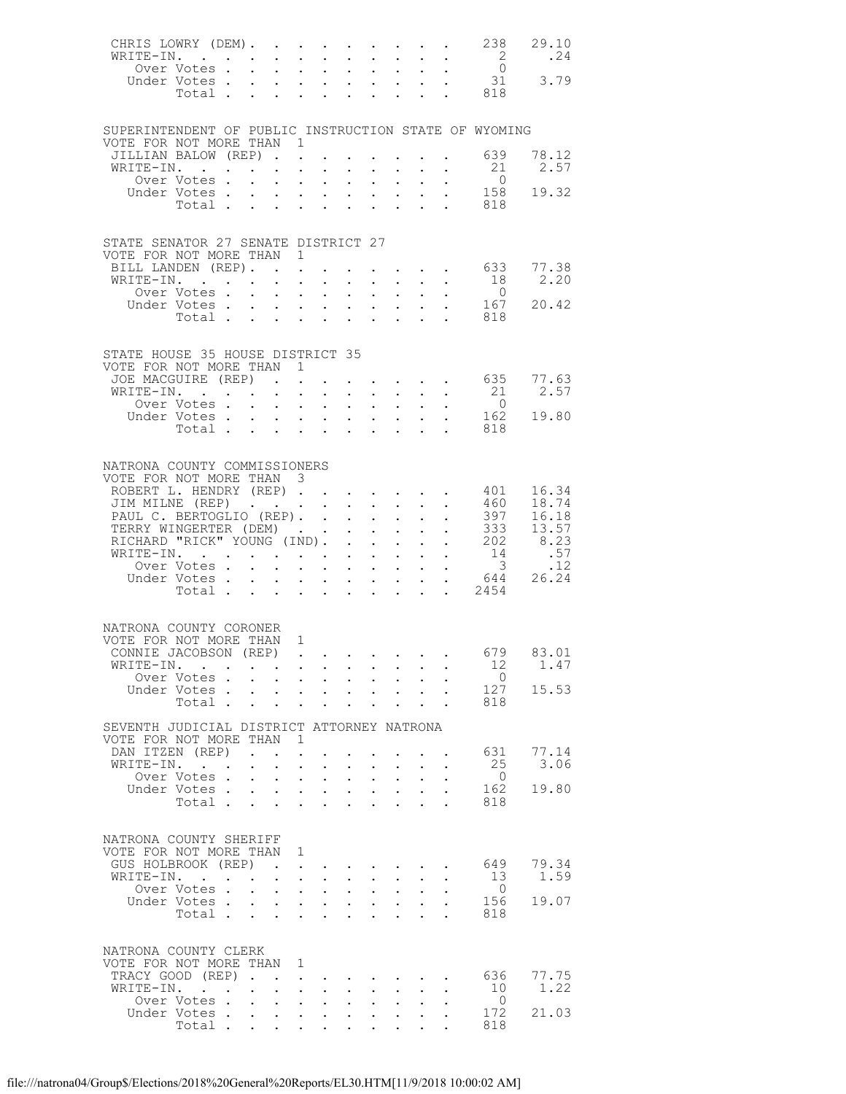| CHRIS LOWRY (DEM). 238<br>WRITE-IN.                          |                                                                                        |                                                                                   |                                                                                                                                                     |                      |                      |                                      |                                                                                          |                                                               |                                                                       |                                                                                                                                                                                                                                                                                                                                                                                                                        |                                                     | 29.10<br>.24                  |
|--------------------------------------------------------------|----------------------------------------------------------------------------------------|-----------------------------------------------------------------------------------|-----------------------------------------------------------------------------------------------------------------------------------------------------|----------------------|----------------------|--------------------------------------|------------------------------------------------------------------------------------------|---------------------------------------------------------------|-----------------------------------------------------------------------|------------------------------------------------------------------------------------------------------------------------------------------------------------------------------------------------------------------------------------------------------------------------------------------------------------------------------------------------------------------------------------------------------------------------|-----------------------------------------------------|-------------------------------|
|                                                              | Over Votes                                                                             |                                                                                   | <b>Service</b> State                                                                                                                                |                      | $\sim$               | $\ddot{\phantom{0}}$                 |                                                                                          |                                                               |                                                                       | $\mathbf{1}^{\prime}$ , $\mathbf{1}^{\prime}$ , $\mathbf{1}^{\prime}$ , $\mathbf{1}^{\prime}$ , $\mathbf{1}^{\prime}$ , $\mathbf{1}^{\prime}$                                                                                                                                                                                                                                                                          | $\overline{\phantom{a}}$<br>$\overline{0}$          |                               |
| Under Votes                                                  |                                                                                        |                                                                                   |                                                                                                                                                     |                      |                      |                                      |                                                                                          |                                                               |                                                                       |                                                                                                                                                                                                                                                                                                                                                                                                                        | 31                                                  | 3.79                          |
|                                                              | Total                                                                                  |                                                                                   | $\mathbf{r} = \mathbf{r} + \mathbf{r} + \mathbf{r}$                                                                                                 |                      |                      |                                      |                                                                                          | $\mathcal{L}^{\text{max}}$ , where $\mathcal{L}^{\text{max}}$ |                                                                       |                                                                                                                                                                                                                                                                                                                                                                                                                        | . 818                                               |                               |
|                                                              |                                                                                        |                                                                                   |                                                                                                                                                     |                      |                      |                                      |                                                                                          |                                                               |                                                                       |                                                                                                                                                                                                                                                                                                                                                                                                                        |                                                     |                               |
| SUPERINTENDENT OF PUBLIC INSTRUCTION STATE OF WYOMING        |                                                                                        |                                                                                   |                                                                                                                                                     |                      |                      |                                      |                                                                                          |                                                               |                                                                       |                                                                                                                                                                                                                                                                                                                                                                                                                        |                                                     |                               |
| VOTE FOR NOT MORE THAN 1                                     |                                                                                        |                                                                                   |                                                                                                                                                     |                      |                      |                                      |                                                                                          |                                                               |                                                                       |                                                                                                                                                                                                                                                                                                                                                                                                                        |                                                     |                               |
| JILLIAN BALOW (REP). 639                                     |                                                                                        |                                                                                   |                                                                                                                                                     |                      |                      |                                      |                                                                                          |                                                               |                                                                       |                                                                                                                                                                                                                                                                                                                                                                                                                        |                                                     | 78.12                         |
| WRITE-IN.                                                    | the contract of the contract of the<br>Over Votes.                                     |                                                                                   |                                                                                                                                                     |                      |                      |                                      |                                                                                          |                                                               |                                                                       | and a strong control of the state of                                                                                                                                                                                                                                                                                                                                                                                   | 21<br>$\overline{0}$                                | 2.57                          |
| Under Votes                                                  |                                                                                        |                                                                                   |                                                                                                                                                     |                      |                      |                                      |                                                                                          |                                                               |                                                                       | $\mathbf{r}$ , $\mathbf{r}$                                                                                                                                                                                                                                                                                                                                                                                            | 158                                                 | 19.32                         |
|                                                              | Votes 158<br>Total 818                                                                 |                                                                                   |                                                                                                                                                     |                      |                      |                                      |                                                                                          |                                                               |                                                                       |                                                                                                                                                                                                                                                                                                                                                                                                                        |                                                     |                               |
|                                                              |                                                                                        |                                                                                   |                                                                                                                                                     |                      |                      |                                      |                                                                                          |                                                               |                                                                       |                                                                                                                                                                                                                                                                                                                                                                                                                        |                                                     |                               |
| STATE SENATOR 27 SENATE DISTRICT 27                          |                                                                                        |                                                                                   |                                                                                                                                                     |                      |                      |                                      |                                                                                          |                                                               |                                                                       |                                                                                                                                                                                                                                                                                                                                                                                                                        |                                                     |                               |
| VOTE FOR NOT MORE THAN 1                                     |                                                                                        |                                                                                   |                                                                                                                                                     |                      |                      |                                      |                                                                                          |                                                               |                                                                       |                                                                                                                                                                                                                                                                                                                                                                                                                        |                                                     |                               |
| BILL LANDEN (REP).                                           |                                                                                        |                                                                                   |                                                                                                                                                     |                      |                      |                                      |                                                                                          |                                                               |                                                                       | $\mathbf{1}=\mathbf{1}=\mathbf{1}=\mathbf{1}=\mathbf{1}=\mathbf{1}=\mathbf{1}=\mathbf{1}=\mathbf{1}=\mathbf{1}=\mathbf{1}=\mathbf{1}=\mathbf{1}=\mathbf{1}=\mathbf{1}=\mathbf{1}=\mathbf{1}=\mathbf{1}=\mathbf{1}=\mathbf{1}=\mathbf{1}=\mathbf{1}=\mathbf{1}=\mathbf{1}=\mathbf{1}=\mathbf{1}=\mathbf{1}=\mathbf{1}=\mathbf{1}=\mathbf{1}=\mathbf{1}=\mathbf{1}=\mathbf{1}=\mathbf{1}=\mathbf{1}=\mathbf{1}=\mathbf{$ | 633                                                 | 77.38                         |
| WRITE-IN.                                                    |                                                                                        | $\mathcal{A}^{\mathcal{A}}$ . The contribution of the $\mathcal{A}^{\mathcal{A}}$ |                                                                                                                                                     |                      | $\sim$ $-$           |                                      |                                                                                          |                                                               |                                                                       | $\mathbf{r} = \mathbf{r} + \mathbf{r} + \mathbf{r} + \mathbf{r} + \mathbf{r}$                                                                                                                                                                                                                                                                                                                                          | 18                                                  | 2.20                          |
|                                                              | Over Votes                                                                             |                                                                                   | <b>Service Control</b>                                                                                                                              |                      |                      | $\bullet$ .                          |                                                                                          |                                                               |                                                                       | $\mathbf{u} = \mathbf{u} \mathbf{u} + \mathbf{u} \mathbf{u} + \mathbf{u} \mathbf{u}$                                                                                                                                                                                                                                                                                                                                   | $\overline{0}$                                      | 20.42                         |
| Under Votes 167                                              | Total                                                                                  |                                                                                   | $\mathbf{r} = \mathbf{r} \times \mathbf{r}$ , where $\mathbf{r} = \mathbf{r} \times \mathbf{r}$ , where $\mathbf{r} = \mathbf{r} \times \mathbf{r}$ |                      |                      |                                      |                                                                                          |                                                               |                                                                       |                                                                                                                                                                                                                                                                                                                                                                                                                        | 818                                                 |                               |
|                                                              |                                                                                        |                                                                                   |                                                                                                                                                     |                      |                      |                                      |                                                                                          |                                                               |                                                                       |                                                                                                                                                                                                                                                                                                                                                                                                                        |                                                     |                               |
|                                                              |                                                                                        |                                                                                   |                                                                                                                                                     |                      |                      |                                      |                                                                                          |                                                               |                                                                       |                                                                                                                                                                                                                                                                                                                                                                                                                        |                                                     |                               |
| STATE HOUSE 35 HOUSE DISTRICT 35<br>VOTE FOR NOT MORE THAN 1 |                                                                                        |                                                                                   |                                                                                                                                                     |                      |                      |                                      |                                                                                          |                                                               |                                                                       |                                                                                                                                                                                                                                                                                                                                                                                                                        |                                                     |                               |
| JOE MACGUIRE (REP)                                           |                                                                                        |                                                                                   |                                                                                                                                                     |                      |                      |                                      |                                                                                          |                                                               |                                                                       |                                                                                                                                                                                                                                                                                                                                                                                                                        | $\cdot$ $\cdot$ $\cdot$ $\cdot$ $\cdot$ $\cdot$ 635 | 77.63                         |
| WRITE-IN.                                                    |                                                                                        |                                                                                   |                                                                                                                                                     |                      |                      | $\sim$ $-$                           |                                                                                          |                                                               |                                                                       | $\mathbf{L}^{\text{max}}$ , and $\mathbf{L}^{\text{max}}$ , and $\mathbf{L}^{\text{max}}$                                                                                                                                                                                                                                                                                                                              | 21                                                  | 2.57                          |
|                                                              | Over Votes                                                                             |                                                                                   |                                                                                                                                                     |                      |                      |                                      |                                                                                          |                                                               |                                                                       |                                                                                                                                                                                                                                                                                                                                                                                                                        | $\overline{0}$                                      |                               |
| Under Votes                                                  | Votes<br>Total                                                                         |                                                                                   |                                                                                                                                                     |                      |                      |                                      |                                                                                          |                                                               |                                                                       |                                                                                                                                                                                                                                                                                                                                                                                                                        | 162                                                 | 19.80                         |
|                                                              |                                                                                        |                                                                                   |                                                                                                                                                     |                      |                      |                                      |                                                                                          |                                                               |                                                                       |                                                                                                                                                                                                                                                                                                                                                                                                                        | 818                                                 |                               |
|                                                              |                                                                                        |                                                                                   |                                                                                                                                                     |                      |                      |                                      |                                                                                          |                                                               |                                                                       |                                                                                                                                                                                                                                                                                                                                                                                                                        |                                                     |                               |
| NATRONA COUNTY COMMISSIONERS                                 |                                                                                        |                                                                                   |                                                                                                                                                     |                      |                      |                                      |                                                                                          |                                                               |                                                                       |                                                                                                                                                                                                                                                                                                                                                                                                                        |                                                     |                               |
| VOTE FOR NOT MORE THAN 3                                     |                                                                                        |                                                                                   |                                                                                                                                                     |                      |                      |                                      |                                                                                          |                                                               |                                                                       |                                                                                                                                                                                                                                                                                                                                                                                                                        |                                                     | 16.34                         |
| ROBERT L. HENDRY (REP)                                       |                                                                                        |                                                                                   |                                                                                                                                                     |                      |                      |                                      |                                                                                          |                                                               |                                                                       |                                                                                                                                                                                                                                                                                                                                                                                                                        | 401                                                 | 18.74                         |
| JIM MILNE (REP) 460<br>PAUL C. BERTOGLIO (REP). 397          |                                                                                        |                                                                                   |                                                                                                                                                     |                      |                      |                                      |                                                                                          |                                                               | $\mathbf{u} = \mathbf{u} + \mathbf{u}$ , where                        |                                                                                                                                                                                                                                                                                                                                                                                                                        |                                                     | 397 16.18                     |
| TERRY WINGERTER (DEM)                                        |                                                                                        |                                                                                   |                                                                                                                                                     |                      |                      |                                      |                                                                                          |                                                               |                                                                       |                                                                                                                                                                                                                                                                                                                                                                                                                        |                                                     | $\frac{333}{13.57}$           |
| RICHARD "RICK" YOUNG (IND).                                  |                                                                                        |                                                                                   |                                                                                                                                                     |                      |                      |                                      |                                                                                          |                                                               |                                                                       | $\mathcal{L}^{\text{max}}$ , and $\mathcal{L}^{\text{max}}$                                                                                                                                                                                                                                                                                                                                                            |                                                     | $202$ 8.23<br>14 .57<br>3 .12 |
| WRITE-IN.                                                    | Over Votes                                                                             |                                                                                   |                                                                                                                                                     |                      |                      |                                      |                                                                                          |                                                               |                                                                       | $\mathbf{r}$ , $\mathbf{r}$                                                                                                                                                                                                                                                                                                                                                                                            | $\overline{\mathbf{3}}$                             | .12                           |
|                                                              |                                                                                        |                                                                                   | $\mathbf{r} = \mathbf{r} \cdot \mathbf{r}$                                                                                                          |                      |                      | $\mathcal{L}^{\text{max}}$           |                                                                                          |                                                               |                                                                       | $\mathcal{L}^{\mathcal{A}}(\mathcal{A})$ . The $\mathcal{L}^{\mathcal{A}}(\mathcal{A})$                                                                                                                                                                                                                                                                                                                                | Under Votes 644                                     | 26.24                         |
|                                                              | Total $\cdots$ $\cdots$                                                                |                                                                                   |                                                                                                                                                     |                      |                      |                                      |                                                                                          |                                                               | $\mathbf{L}^{\text{max}}$ , and $\mathbf{L}^{\text{max}}$             |                                                                                                                                                                                                                                                                                                                                                                                                                        | . 2454                                              |                               |
|                                                              |                                                                                        |                                                                                   |                                                                                                                                                     |                      |                      |                                      |                                                                                          |                                                               |                                                                       |                                                                                                                                                                                                                                                                                                                                                                                                                        |                                                     |                               |
| NATRONA COUNTY CORONER                                       |                                                                                        |                                                                                   |                                                                                                                                                     |                      |                      |                                      |                                                                                          |                                                               |                                                                       |                                                                                                                                                                                                                                                                                                                                                                                                                        |                                                     |                               |
| VOTE FOR NOT MORE THAN 1                                     |                                                                                        |                                                                                   |                                                                                                                                                     |                      |                      |                                      |                                                                                          |                                                               |                                                                       |                                                                                                                                                                                                                                                                                                                                                                                                                        |                                                     |                               |
| CONNIE JACOBSON (REP)                                        |                                                                                        |                                                                                   |                                                                                                                                                     |                      |                      |                                      |                                                                                          |                                                               |                                                                       |                                                                                                                                                                                                                                                                                                                                                                                                                        |                                                     | 679 83.01                     |
| WRITE-IN.                                                    |                                                                                        |                                                                                   |                                                                                                                                                     |                      |                      |                                      |                                                                                          |                                                               |                                                                       |                                                                                                                                                                                                                                                                                                                                                                                                                        | 12                                                  | 1.47                          |
|                                                              | Over Votes                                                                             |                                                                                   |                                                                                                                                                     |                      |                      |                                      |                                                                                          |                                                               | $\mathbf{r}$ , $\mathbf{r}$ , $\mathbf{r}$ , $\mathbf{r}$             |                                                                                                                                                                                                                                                                                                                                                                                                                        | $\overline{0}$<br>127                               | 15.53                         |
| Under Votes                                                  | Total                                                                                  |                                                                                   | $\mathbf{z} = \mathbf{z} + \mathbf{z}$ .                                                                                                            |                      | $\sim$ $-$           | $\ddot{\phantom{0}}$                 | $\ddot{\phantom{a}}$                                                                     | $\mathbf{z} = \mathbf{z} + \mathbf{z}$ .                      | $\mathbf{L} = \mathbf{L}$                                             |                                                                                                                                                                                                                                                                                                                                                                                                                        | 818                                                 |                               |
|                                                              |                                                                                        |                                                                                   |                                                                                                                                                     |                      |                      |                                      |                                                                                          |                                                               |                                                                       |                                                                                                                                                                                                                                                                                                                                                                                                                        |                                                     |                               |
| SEVENTH JUDICIAL DISTRICT ATTORNEY NATRONA                   |                                                                                        |                                                                                   |                                                                                                                                                     |                      |                      |                                      |                                                                                          |                                                               |                                                                       |                                                                                                                                                                                                                                                                                                                                                                                                                        |                                                     |                               |
| VOTE FOR NOT MORE THAN<br>DAN ITZEN (REP)                    |                                                                                        | $\mathbf{r}$ , $\mathbf{r}$ , $\mathbf{r}$                                        | $\blacksquare$                                                                                                                                      | $\ddot{\phantom{a}}$ |                      |                                      |                                                                                          |                                                               |                                                                       |                                                                                                                                                                                                                                                                                                                                                                                                                        | 631                                                 | 77.14                         |
| WRITE-IN.                                                    | $\mathbf{r}$ . The set of $\mathbf{r}$                                                 |                                                                                   | $\sim$                                                                                                                                              | $\sim$ $-$           | $\ddot{\phantom{0}}$ |                                      |                                                                                          |                                                               |                                                                       |                                                                                                                                                                                                                                                                                                                                                                                                                        | 25                                                  | 3.06                          |
|                                                              | Over Votes.                                                                            | $\ddot{\phantom{a}}$                                                              | $\mathbf{L} = \mathbf{L}$                                                                                                                           |                      | $\sim$ $\sim$        | $\mathbf{L}$                         |                                                                                          | $\mathbf{L} = \mathbf{L}$                                     | $\mathbf{L}$                                                          |                                                                                                                                                                                                                                                                                                                                                                                                                        | $\overline{0}$                                      |                               |
| Under Votes                                                  |                                                                                        |                                                                                   | $\mathbf{z} = \mathbf{z} + \mathbf{z}$ . The set of $\mathbf{z}$                                                                                    |                      |                      | $\sim$                               |                                                                                          | $\mathbf{L}^{\text{max}}$ , $\mathbf{L}^{\text{max}}$         | $\sim$                                                                |                                                                                                                                                                                                                                                                                                                                                                                                                        | 162                                                 | 19.80                         |
|                                                              | Total $\cdots$                                                                         |                                                                                   |                                                                                                                                                     |                      |                      |                                      |                                                                                          | $\sim$                                                        | $\sim$                                                                | $\ddot{\phantom{a}}$                                                                                                                                                                                                                                                                                                                                                                                                   | 818                                                 |                               |
|                                                              |                                                                                        |                                                                                   |                                                                                                                                                     |                      |                      |                                      |                                                                                          |                                                               |                                                                       |                                                                                                                                                                                                                                                                                                                                                                                                                        |                                                     |                               |
| NATRONA COUNTY SHERIFF                                       |                                                                                        |                                                                                   |                                                                                                                                                     |                      |                      |                                      |                                                                                          |                                                               |                                                                       |                                                                                                                                                                                                                                                                                                                                                                                                                        |                                                     |                               |
| VOTE FOR NOT MORE THAN 1<br>GUS HOLBROOK (REP)               |                                                                                        |                                                                                   |                                                                                                                                                     |                      |                      |                                      |                                                                                          |                                                               |                                                                       |                                                                                                                                                                                                                                                                                                                                                                                                                        |                                                     | 79.34                         |
| WRITE-IN.                                                    | $\sim$ $\sim$ $\sim$ $\sim$                                                            | <b>Contract Contract</b>                                                          | $\sim 100$<br>$\cdot$ $\cdot$                                                                                                                       | $\mathbf{L}$         | $\mathbf{L}$         | $\mathbf{L}$                         | $\mathbf{L}$                                                                             | $\mathbf{L}$                                                  | $\sim$                                                                | $\ddot{\phantom{a}}$                                                                                                                                                                                                                                                                                                                                                                                                   | 649<br>13                                           | 1.59                          |
|                                                              | Over Votes.                                                                            | $\mathbf{L}^{\text{max}}$                                                         |                                                                                                                                                     | $\sim$ $-$           | $\bullet$ .          | $\bullet$ .                          | $\mathcal{L}^{\text{max}}$                                                               | $\ddot{\phantom{0}}$                                          |                                                                       |                                                                                                                                                                                                                                                                                                                                                                                                                        | $\overline{0}$                                      |                               |
| Under Votes                                                  |                                                                                        |                                                                                   | $\cdot$ $\cdot$ $\cdot$ $\cdot$                                                                                                                     |                      |                      | $\mathcal{L}^{\text{max}}$           |                                                                                          | $\mathbf{L} = \mathbf{L}$                                     | $\mathbf{L}^{\text{max}}$                                             |                                                                                                                                                                                                                                                                                                                                                                                                                        | 156                                                 | 19.07                         |
|                                                              | Total .                                                                                | $\sim 10^{-11}$                                                                   | $\sim$                                                                                                                                              | $\sim$               | $\sim$               | $\ddot{\phantom{0}}$                 | $\ddot{\phantom{a}}$                                                                     |                                                               |                                                                       |                                                                                                                                                                                                                                                                                                                                                                                                                        | 818                                                 |                               |
|                                                              |                                                                                        |                                                                                   |                                                                                                                                                     |                      |                      |                                      |                                                                                          |                                                               |                                                                       |                                                                                                                                                                                                                                                                                                                                                                                                                        |                                                     |                               |
| NATRONA COUNTY CLERK                                         |                                                                                        |                                                                                   |                                                                                                                                                     |                      |                      |                                      |                                                                                          |                                                               |                                                                       |                                                                                                                                                                                                                                                                                                                                                                                                                        |                                                     |                               |
| VOTE FOR NOT MORE THAN                                       |                                                                                        |                                                                                   |                                                                                                                                                     | 1                    |                      |                                      |                                                                                          |                                                               |                                                                       |                                                                                                                                                                                                                                                                                                                                                                                                                        |                                                     |                               |
| TRACY GOOD (REP)                                             |                                                                                        |                                                                                   |                                                                                                                                                     |                      |                      |                                      |                                                                                          |                                                               | $\mathbf{r}$ , and $\mathbf{r}$ , and $\mathbf{r}$ , and $\mathbf{r}$ |                                                                                                                                                                                                                                                                                                                                                                                                                        | 636<br>10                                           | 77.75<br>1.22                 |
| WRITE-IN.                                                    | $\mathbf{r}$ , $\mathbf{r}$ , $\mathbf{r}$ , $\mathbf{r}$ , $\mathbf{r}$<br>Over Votes |                                                                                   | $\mathbf{z} = \mathbf{z} + \mathbf{z}$ .                                                                                                            |                      | $\sim$               | $\ddot{\phantom{0}}$<br>$\mathbf{L}$ | $\bullet$ .<br><br><br><br><br><br><br><br><br><br><br><br><br>$\mathbf{L}^{\text{max}}$ | $\ddot{\phantom{0}}$<br>$\mathbf{L}$                          | $\ddot{\phantom{0}}$<br>$\ddot{\phantom{0}}$                          |                                                                                                                                                                                                                                                                                                                                                                                                                        | $\overline{0}$                                      |                               |
| Under Votes.                                                 |                                                                                        | $\sim$ $\sim$                                                                     | $\mathbf{r} = \mathbf{r} + \mathbf{r}$                                                                                                              |                      |                      | $\ddot{\phantom{0}}$                 |                                                                                          | $\mathbf{z} = \mathbf{z} + \mathbf{z}$ .                      | $\ddot{\phantom{0}}$                                                  |                                                                                                                                                                                                                                                                                                                                                                                                                        | 172                                                 | 21.03                         |
|                                                              | Total                                                                                  |                                                                                   |                                                                                                                                                     |                      |                      |                                      |                                                                                          |                                                               |                                                                       |                                                                                                                                                                                                                                                                                                                                                                                                                        | 818                                                 |                               |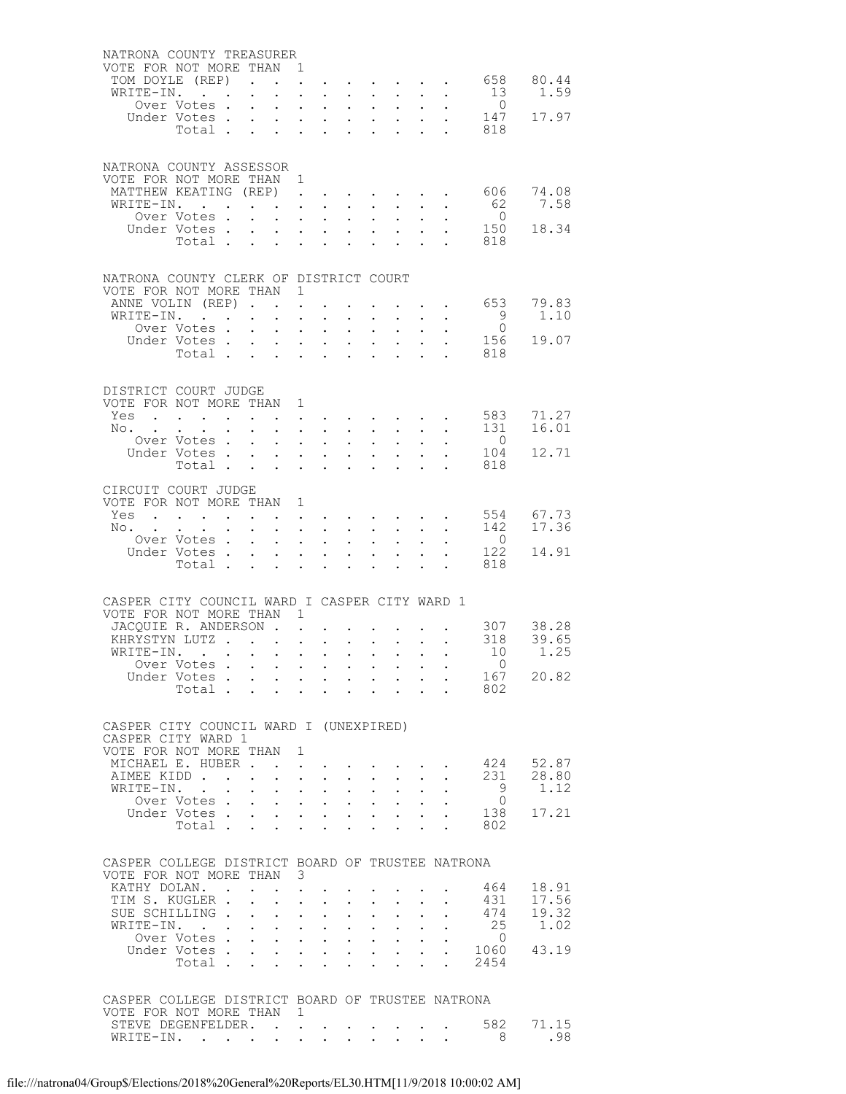| NATRONA COUNTY TREASURER                                                     |                                        |                                          |                            |                                                           |                      |                                                                                                                                                    |                                                             |                            |                                                                             |              |                                                                                                                                                                                                                                                                                                                                                                                                                                     |                               |                |
|------------------------------------------------------------------------------|----------------------------------------|------------------------------------------|----------------------------|-----------------------------------------------------------|----------------------|----------------------------------------------------------------------------------------------------------------------------------------------------|-------------------------------------------------------------|----------------------------|-----------------------------------------------------------------------------|--------------|-------------------------------------------------------------------------------------------------------------------------------------------------------------------------------------------------------------------------------------------------------------------------------------------------------------------------------------------------------------------------------------------------------------------------------------|-------------------------------|----------------|
| VOTE FOR NOT MORE THAN 1<br>TOM DOYLE (REP).                                 |                                        |                                          |                            |                                                           |                      | $\mathbf{L}$ and $\mathbf{L}$                                                                                                                      |                                                             |                            |                                                                             |              | $\mathbf{r}$ , and $\mathbf{r}$ , and $\mathbf{r}$ , and $\mathbf{r}$                                                                                                                                                                                                                                                                                                                                                               | 658                           | 80.44          |
| WRITE-IN.                                                                    |                                        |                                          | $\ddot{\phantom{0}}$       | $\sim$                                                    | $\ddot{\phantom{a}}$ | $\sim$ $\sim$                                                                                                                                      |                                                             |                            |                                                                             |              | $\mathbf{r}$ , $\mathbf{r}$ , $\mathbf{r}$ , $\mathbf{r}$ , $\mathbf{r}$                                                                                                                                                                                                                                                                                                                                                            | 13                            | 1.59           |
|                                                                              | Over Votes .                           |                                          | $\ddot{\phantom{a}}$       | $\ddot{\phantom{0}}$                                      |                      | $\mathbf{L} = \mathbf{L}$                                                                                                                          | $\ddot{\phantom{0}}$                                        | $\ddot{\phantom{0}}$       | $\sim$ $-$                                                                  |              | $\mathbf{z} = \mathbf{z} + \mathbf{z}$ .                                                                                                                                                                                                                                                                                                                                                                                            | $\overline{0}$                |                |
|                                                                              | Under Votes.                           |                                          | $\mathbf{L}$               | $\mathbf{L}$                                              |                      | $\mathbf{r}$ , $\mathbf{r}$ , $\mathbf{r}$ , $\mathbf{r}$                                                                                          |                                                             |                            |                                                                             |              |                                                                                                                                                                                                                                                                                                                                                                                                                                     | $\cdot$ $\cdot$ 147           | 17.97          |
|                                                                              | Total .                                |                                          | $\sim$                     | $\sim$                                                    |                      | $\mathbf{L}$ and $\mathbf{L}$                                                                                                                      | $\sim$                                                      | $\ddot{\phantom{0}}$       | $\mathcal{L}^{\text{max}}$                                                  |              | $\cdot$ $\cdot$                                                                                                                                                                                                                                                                                                                                                                                                                     | 818                           |                |
|                                                                              |                                        |                                          |                            |                                                           |                      |                                                                                                                                                    |                                                             |                            |                                                                             |              |                                                                                                                                                                                                                                                                                                                                                                                                                                     |                               |                |
| NATRONA COUNTY ASSESSOR<br>VOTE FOR NOT MORE THAN 1                          |                                        |                                          |                            |                                                           |                      |                                                                                                                                                    |                                                             |                            |                                                                             |              |                                                                                                                                                                                                                                                                                                                                                                                                                                     |                               |                |
| MATTHEW KEATING (REP) 606                                                    |                                        |                                          |                            |                                                           |                      |                                                                                                                                                    |                                                             |                            |                                                                             |              |                                                                                                                                                                                                                                                                                                                                                                                                                                     |                               | 74.08          |
| WRITE-IN.                                                                    |                                        |                                          |                            |                                                           |                      | $\mathbf{r} = \mathbf{r} \cdot \mathbf{r}$ .                                                                                                       |                                                             |                            | $\mathbf{r}$ and $\mathbf{r}$ and $\mathbf{r}$                              |              | $\mathbf{z} = \mathbf{z} + \mathbf{z}$                                                                                                                                                                                                                                                                                                                                                                                              | 62                            | 7.58           |
|                                                                              | Over Votes.                            |                                          |                            | $\mathbf{L} = \mathbf{L} \mathbf{L}$                      |                      |                                                                                                                                                    |                                                             |                            |                                                                             |              | $\mathbf{r}$ , and $\mathbf{r}$ , and $\mathbf{r}$ , and $\mathbf{r}$                                                                                                                                                                                                                                                                                                                                                               | $\overline{0}$                |                |
|                                                                              | Under Votes                            |                                          |                            |                                                           |                      |                                                                                                                                                    |                                                             |                            |                                                                             |              |                                                                                                                                                                                                                                                                                                                                                                                                                                     | 150<br>Votes 150<br>Total 818 | 18.34          |
|                                                                              |                                        |                                          |                            |                                                           |                      |                                                                                                                                                    |                                                             |                            |                                                                             |              |                                                                                                                                                                                                                                                                                                                                                                                                                                     |                               |                |
| NATRONA COUNTY CLERK OF DISTRICT COURT                                       |                                        |                                          |                            |                                                           |                      |                                                                                                                                                    |                                                             |                            |                                                                             |              |                                                                                                                                                                                                                                                                                                                                                                                                                                     |                               |                |
| VOTE FOR NOT MORE THAN 1                                                     |                                        |                                          |                            |                                                           |                      |                                                                                                                                                    |                                                             |                            |                                                                             |              |                                                                                                                                                                                                                                                                                                                                                                                                                                     |                               |                |
| ANNE VOLIN (REP).<br>WRITE-IN.                                               |                                        |                                          |                            |                                                           |                      | $\ddot{\phantom{0}}$                                                                                                                               | $\mathbf{r}$                                                |                            |                                                                             |              | $\mathbf{1}$ $\mathbf{1}$ $\mathbf{1}$ $\mathbf{1}$ $\mathbf{1}$ $\mathbf{1}$ $\mathbf{1}$<br>$\mathbf{r} = \mathbf{r} + \mathbf{r} + \mathbf{r}$                                                                                                                                                                                                                                                                                   | 653<br>$\overline{9}$         | 79.83<br>1.10  |
|                                                                              | Over Votes.                            |                                          | $\mathbf{A}$               | $\mathbf{r} = \mathbf{r} + \mathbf{r}$ .<br>$\sim$ $\sim$ | $\ddot{\phantom{0}}$ | $\bullet$ .                                                                                                                                        | $\bullet$ .<br><br><br><br><br><br><br><br><br><br><br><br> | $\bullet$ .                | $\sim$                                                                      |              | $\mathbf{L} = \mathbf{L} \mathbf{L}$ .                                                                                                                                                                                                                                                                                                                                                                                              | $\overline{0}$                |                |
|                                                                              | Under Votes                            |                                          |                            |                                                           |                      | $\mathbf{L} = \mathbf{L} \mathbf{L}$                                                                                                               | $\sim$ 100 $\pm$                                            | $\ddot{\phantom{a}}$       | $\sim$ $\sim$ $\sim$                                                        |              | $\ddot{\phantom{1}}$                                                                                                                                                                                                                                                                                                                                                                                                                | 156                           | 19.07          |
|                                                                              | Total                                  |                                          |                            |                                                           |                      | $\mathbf{L}$ and $\mathbf{L}$                                                                                                                      | $\sim$                                                      | $\ddot{\phantom{0}}$       | $\sim$                                                                      |              | $\cdot$ $\cdot$ $\cdot$                                                                                                                                                                                                                                                                                                                                                                                                             | 818                           |                |
|                                                                              |                                        |                                          |                            |                                                           |                      |                                                                                                                                                    |                                                             |                            |                                                                             |              |                                                                                                                                                                                                                                                                                                                                                                                                                                     |                               |                |
| DISTRICT COURT JUDGE                                                         |                                        |                                          |                            |                                                           |                      |                                                                                                                                                    |                                                             |                            |                                                                             |              |                                                                                                                                                                                                                                                                                                                                                                                                                                     |                               |                |
| VOTE FOR NOT MORE THAN 1<br>Yes                                              |                                        |                                          |                            |                                                           |                      |                                                                                                                                                    |                                                             |                            |                                                                             |              |                                                                                                                                                                                                                                                                                                                                                                                                                                     | 583                           | 71.27          |
| No. .                                                                        |                                        | $\mathbf{r} = \mathbf{r} + \mathbf{r}$ . | $\ddot{\phantom{0}}$       | $\sim$ $-$                                                |                      | $\mathbf{L} = \mathbf{L}$                                                                                                                          |                                                             |                            | <b>All All Andrew</b>                                                       |              | $\mathbf{z} = \mathbf{z} + \mathbf{z}$                                                                                                                                                                                                                                                                                                                                                                                              | 131                           | 16.01          |
|                                                                              | Over Votes                             |                                          |                            |                                                           | $\ddot{\phantom{a}}$ | $\sim$ $\sim$                                                                                                                                      | $\mathbf{L}$                                                | $\ddot{\phantom{0}}$       | $\sim$                                                                      | $\mathbf{L}$ | $\ddot{\phantom{0}}$                                                                                                                                                                                                                                                                                                                                                                                                                | $\overline{0}$                |                |
|                                                                              | Under Votes                            |                                          |                            |                                                           |                      | $\mathbf{u} = \mathbf{u} + \mathbf{u}$ , where $\mathbf{u} = \mathbf{u}$                                                                           |                                                             |                            | <b>All Carried Control</b>                                                  |              | $\mathbf{L} = \mathbf{L}$                                                                                                                                                                                                                                                                                                                                                                                                           | 104                           | 12.71          |
|                                                                              | Total                                  |                                          |                            |                                                           |                      |                                                                                                                                                    |                                                             |                            |                                                                             |              | $\sim$ $\sim$ $\sim$ $\sim$ $\sim$ $\sim$                                                                                                                                                                                                                                                                                                                                                                                           | 818                           |                |
| CIRCUIT COURT JUDGE                                                          |                                        |                                          |                            |                                                           |                      |                                                                                                                                                    |                                                             |                            |                                                                             |              |                                                                                                                                                                                                                                                                                                                                                                                                                                     |                               |                |
| VOTE FOR NOT MORE THAN 1                                                     |                                        |                                          |                            |                                                           |                      |                                                                                                                                                    |                                                             |                            |                                                                             |              |                                                                                                                                                                                                                                                                                                                                                                                                                                     |                               |                |
| Yes                                                                          |                                        |                                          |                            |                                                           |                      |                                                                                                                                                    |                                                             |                            |                                                                             |              |                                                                                                                                                                                                                                                                                                                                                                                                                                     | 554                           | 67.73<br>17.36 |
| No. .                                                                        | Over Votes                             | $\bullet$ . In the set of $\bullet$      | $\ddot{\phantom{0}}$       | $\sim$ $-$<br>$\sim$                                      |                      | $\mathbf{L} = \mathbf{L}$<br>$\mathbf{L}$ and $\mathbf{L}$                                                                                         | $\ddot{\phantom{0}}$                                        | $\ddot{\phantom{0}}$       | <b>All All Andrew</b><br>$\sim$                                             | $\mathbf{L}$ | $\mathbf{L} = \mathbf{L}$<br>$\ddot{\phantom{0}}$                                                                                                                                                                                                                                                                                                                                                                                   | 142<br>$\overline{0}$         |                |
|                                                                              | Under Votes.                           |                                          | $\mathcal{L}^{\text{max}}$ | $\sim$ 100 $\pm$                                          |                      | $\mathbf{z} = \mathbf{z} + \mathbf{z}$ .                                                                                                           | $\sim$ $-$                                                  | $\mathcal{L}^{\text{max}}$ | $\mathcal{L}^{\text{max}}$                                                  |              | $\mathbf{L} = \mathbf{L}$                                                                                                                                                                                                                                                                                                                                                                                                           | 122                           | 14.91          |
|                                                                              | Total .                                |                                          |                            |                                                           |                      | $\mathbf{r}$ , $\mathbf{r}$ , $\mathbf{r}$ , $\mathbf{r}$ , $\mathbf{r}$                                                                           |                                                             |                            |                                                                             |              | $\mathbf{r}$ , $\mathbf{r}$ , $\mathbf{r}$                                                                                                                                                                                                                                                                                                                                                                                          | 818                           |                |
|                                                                              |                                        |                                          |                            |                                                           |                      |                                                                                                                                                    |                                                             |                            |                                                                             |              |                                                                                                                                                                                                                                                                                                                                                                                                                                     |                               |                |
| CASPER CITY COUNCIL WARD I CASPER CITY WARD 1                                |                                        |                                          |                            |                                                           |                      |                                                                                                                                                    |                                                             |                            |                                                                             |              |                                                                                                                                                                                                                                                                                                                                                                                                                                     |                               |                |
| VOTE FOR NOT MORE THAN 1<br>JACOUIE R. ANDERSON                              |                                        |                                          |                            |                                                           |                      |                                                                                                                                                    |                                                             |                            |                                                                             |              | $\sim$                                                                                                                                                                                                                                                                                                                                                                                                                              |                               | 307 38.28      |
| KHRYSTYN LUTZ                                                                |                                        |                                          |                            |                                                           |                      | $\ddot{\phantom{0}}$                                                                                                                               |                                                             | $\sim$                     | $\sim$                                                                      |              | $\mathbf{r} = \mathbf{r} + \mathbf{r} + \mathbf{r} + \mathbf{r} + \mathbf{r}$                                                                                                                                                                                                                                                                                                                                                       |                               | 318 39.65      |
| WRITE-IN.                                                                    |                                        |                                          |                            |                                                           |                      |                                                                                                                                                    |                                                             |                            |                                                                             |              |                                                                                                                                                                                                                                                                                                                                                                                                                                     | 10                            | 1.25           |
| Over Votes 0                                                                 |                                        |                                          |                            |                                                           |                      |                                                                                                                                                    |                                                             |                            |                                                                             |              |                                                                                                                                                                                                                                                                                                                                                                                                                                     |                               |                |
|                                                                              | Under Votes<br>Total                   |                                          |                            |                                                           |                      | $\mathbf{L} = \mathbf{L}$                                                                                                                          |                                                             |                            |                                                                             |              | $\begin{array}{cccccccccc} \mathbf{1} & \mathbf{1} & \mathbf{1} & \mathbf{1} & \mathbf{1} & \mathbf{1} & \mathbf{1} & \mathbf{1} & \mathbf{1} & \mathbf{1} & \mathbf{1} & \mathbf{1} & \mathbf{1} & \mathbf{1} & \mathbf{1} & \mathbf{1} & \mathbf{1} & \mathbf{1} & \mathbf{1} & \mathbf{1} & \mathbf{1} & \mathbf{1} & \mathbf{1} & \mathbf{1} & \mathbf{1} & \mathbf{1} & \mathbf{1} & \mathbf{1} & \mathbf{1} & \mathbf{1} & \$ | 167<br>802                    | 20.82          |
|                                                                              |                                        |                                          |                            |                                                           |                      |                                                                                                                                                    |                                                             |                            |                                                                             |              |                                                                                                                                                                                                                                                                                                                                                                                                                                     |                               |                |
| CASPER CITY COUNCIL WARD I (UNEXPIRED)                                       |                                        |                                          |                            |                                                           |                      |                                                                                                                                                    |                                                             |                            |                                                                             |              |                                                                                                                                                                                                                                                                                                                                                                                                                                     |                               |                |
| CASPER CITY WARD 1                                                           |                                        |                                          |                            |                                                           |                      |                                                                                                                                                    |                                                             |                            |                                                                             |              |                                                                                                                                                                                                                                                                                                                                                                                                                                     |                               |                |
| VOTE FOR NOT MORE THAN                                                       |                                        |                                          |                            |                                                           | 1                    |                                                                                                                                                    |                                                             |                            |                                                                             |              |                                                                                                                                                                                                                                                                                                                                                                                                                                     |                               |                |
| MICHAEL E. HUBER.<br>AIMEE KIDD                                              |                                        |                                          |                            |                                                           | $\sim$               |                                                                                                                                                    |                                                             |                            |                                                                             |              |                                                                                                                                                                                                                                                                                                                                                                                                                                     | 424<br>231                    | 52.87<br>28.80 |
| WRITE-IN.                                                                    | $\mathbf{r}$ . The set of $\mathbf{r}$ |                                          |                            | $\mathbf{L}$<br>$\mathbf{L}^{\text{max}}$                 | $\ddot{\phantom{a}}$ | $\mathbf{L}$ and $\mathbf{L}$<br>$\sim$ 100 $\sim$                                                                                                 | $\mathbf{L}$                                                | $\ddot{\phantom{0}}$       | $\mathbf{r}$ and $\mathbf{r}$ and $\mathbf{r}$<br>$\mathbf{L}^{\text{max}}$ | $\mathbf{L}$ |                                                                                                                                                                                                                                                                                                                                                                                                                                     | 9                             | 1.12           |
|                                                                              | Over Votes.                            |                                          | $\ddot{\phantom{a}}$       | $\sim$ 100 $\pm$                                          |                      | $\mathbf{z} = \mathbf{z} + \mathbf{z}$ .                                                                                                           | $\sim$ 100 $\pm$                                            | $\mathbf{L}^{\text{max}}$  | $\bullet$ .                                                                 |              |                                                                                                                                                                                                                                                                                                                                                                                                                                     | $\overline{0}$                |                |
|                                                                              | Under Votes.                           |                                          | $\mathbf{L}$               |                                                           |                      | $\mathbf{r}$ , and $\mathbf{r}$ , and $\mathbf{r}$ , and $\mathbf{r}$                                                                              |                                                             |                            |                                                                             |              |                                                                                                                                                                                                                                                                                                                                                                                                                                     | 138                           | 17.21          |
|                                                                              | Total .                                |                                          | $\ddot{\phantom{a}}$       | $\sim$                                                    | $\sim$               | $\sim$                                                                                                                                             | $\ddot{\phantom{0}}$                                        |                            |                                                                             |              | $\ddot{\phantom{a}}$                                                                                                                                                                                                                                                                                                                                                                                                                | 802                           |                |
|                                                                              |                                        |                                          |                            |                                                           |                      |                                                                                                                                                    |                                                             |                            |                                                                             |              |                                                                                                                                                                                                                                                                                                                                                                                                                                     |                               |                |
| CASPER COLLEGE DISTRICT BOARD OF TRUSTEE NATRONA<br>VOTE FOR NOT MORE THAN 3 |                                        |                                          |                            |                                                           |                      |                                                                                                                                                    |                                                             |                            |                                                                             |              |                                                                                                                                                                                                                                                                                                                                                                                                                                     |                               |                |
| KATHY DOLAN.                                                                 |                                        | $\sim$ $\sim$                            |                            |                                                           |                      |                                                                                                                                                    |                                                             |                            |                                                                             |              | $\mathbf{r}$ , $\mathbf{r}$ , $\mathbf{r}$                                                                                                                                                                                                                                                                                                                                                                                          | 464                           | 18.91          |
| TIM S. KUGLER .                                                              |                                        |                                          | $\mathbf{r}$               | $\mathbf{L}$                                              | $\sim$               | $\sim$                                                                                                                                             | $\ddot{\phantom{0}}$                                        | $\sim$ $-$                 | $\sim$                                                                      |              | $\sim$                                                                                                                                                                                                                                                                                                                                                                                                                              | 431                           | 17.56          |
| SUE SCHILLING.                                                               |                                        |                                          | $\ddot{\phantom{0}}$       | $\mathbf{L}^{\text{max}}$                                 |                      | $\mathbf{L}$ and $\mathbf{L}$                                                                                                                      | $\mathbf{L}$                                                | $\ddot{\phantom{a}}$       | $\mathbf{L}$                                                                |              |                                                                                                                                                                                                                                                                                                                                                                                                                                     | 474                           | 19.32          |
| WRITE-IN.                                                                    |                                        |                                          |                            |                                                           |                      | $\mathbf{u} = \mathbf{u} \mathbf{u} + \mathbf{u} \mathbf{u}$ .                                                                                     | $\sim$ 100 $\pm$                                            | $\bullet$ .                | $\bullet$ .                                                                 |              | $\sim$ $\sim$                                                                                                                                                                                                                                                                                                                                                                                                                       | 25                            | 1.02           |
|                                                                              | Over Votes .<br>Under Votes.           |                                          | $\sim$                     | $\sim$ $-$                                                |                      | $\mathbf{r}$ , $\mathbf{r}$ , $\mathbf{r}$ , $\mathbf{r}$ , $\mathbf{r}$ , $\mathbf{r}$<br>$\mathcal{A}^{\text{max}}$ , $\mathcal{A}^{\text{max}}$ |                                                             |                            | $\mathbf{u} = \mathbf{u} \times \mathbf{u}$ , $\mathbf{u} = \mathbf{u}$     | $\sim$       | $\ddot{\phantom{0}}$<br>$\ddot{\phantom{0}}$                                                                                                                                                                                                                                                                                                                                                                                        | $\overline{0}$<br>1060        | 43.19          |
|                                                                              | Total                                  |                                          |                            |                                                           |                      |                                                                                                                                                    |                                                             |                            |                                                                             |              |                                                                                                                                                                                                                                                                                                                                                                                                                                     | 2454                          |                |
|                                                                              |                                        |                                          |                            |                                                           |                      |                                                                                                                                                    |                                                             |                            |                                                                             |              |                                                                                                                                                                                                                                                                                                                                                                                                                                     |                               |                |
| CASPER COLLEGE DISTRICT BOARD OF TRUSTEE NATRONA                             |                                        |                                          |                            |                                                           |                      |                                                                                                                                                    |                                                             |                            |                                                                             |              |                                                                                                                                                                                                                                                                                                                                                                                                                                     |                               |                |
| VOTE FOR NOT MORE THAN 1                                                     |                                        |                                          |                            |                                                           |                      |                                                                                                                                                    |                                                             |                            |                                                                             |              |                                                                                                                                                                                                                                                                                                                                                                                                                                     |                               |                |
| STEVE DEGENFELDER.<br>WRITE-IN.                                              |                                        |                                          |                            |                                                           |                      |                                                                                                                                                    |                                                             |                            |                                                                             |              |                                                                                                                                                                                                                                                                                                                                                                                                                                     | 582<br>8                      | 71.15<br>.98   |
|                                                                              |                                        |                                          |                            |                                                           |                      |                                                                                                                                                    |                                                             |                            |                                                                             |              |                                                                                                                                                                                                                                                                                                                                                                                                                                     |                               |                |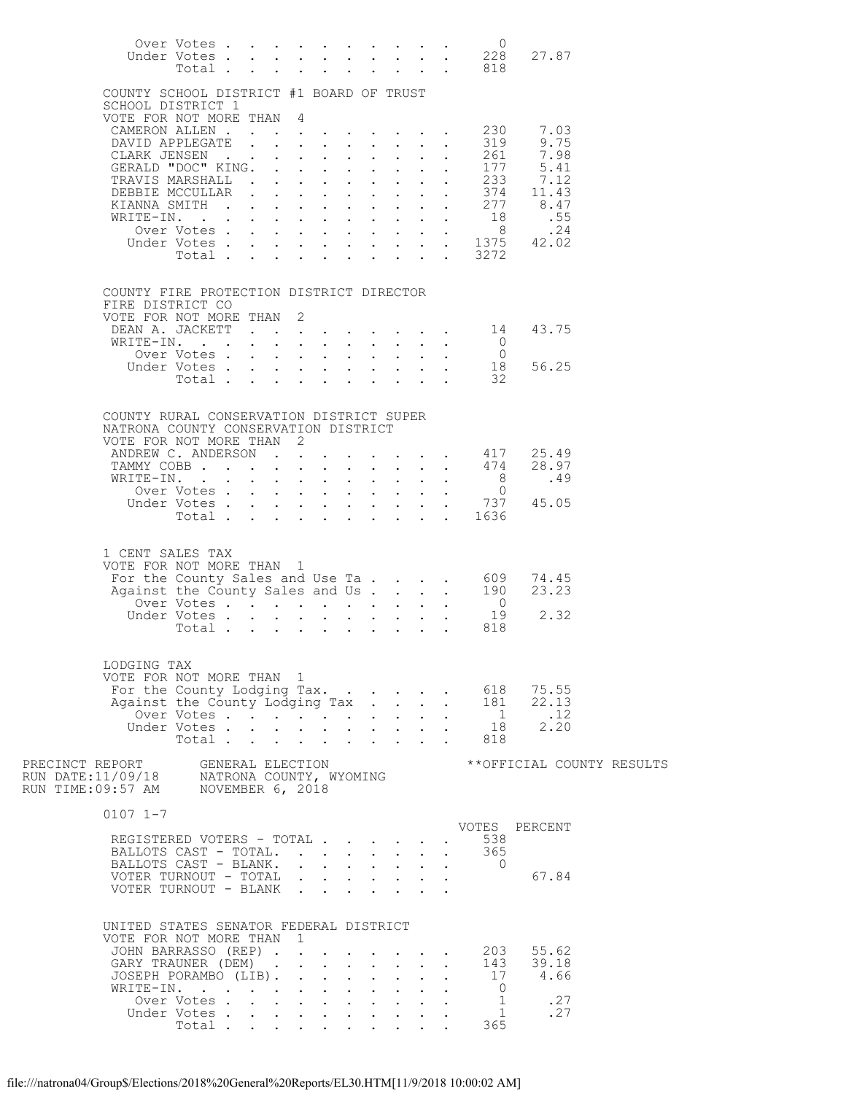|                                                                                                                                          | Over Votes<br>Total           |  |  |              |                                                           |                            |                                | $\overline{0}$<br>Under Votes 228<br>$\cdot$ $\cdot$ $\cdot$ $\cdot$ $\cdot$ $\cdot$ 818 | 27.87                                                                                      |  |
|------------------------------------------------------------------------------------------------------------------------------------------|-------------------------------|--|--|--------------|-----------------------------------------------------------|----------------------------|--------------------------------|------------------------------------------------------------------------------------------|--------------------------------------------------------------------------------------------|--|
| COUNTY SCHOOL DISTRICT #1 BOARD OF TRUST                                                                                                 |                               |  |  |              |                                                           |                            |                                |                                                                                          |                                                                                            |  |
| SCHOOL DISTRICT 1<br>VOTE FOR NOT MORE THAN 4                                                                                            |                               |  |  |              |                                                           |                            |                                |                                                                                          |                                                                                            |  |
| DAVID APPLEGATE                                                                                                                          |                               |  |  |              | $\mathbf{r}$ , $\mathbf{r}$ , $\mathbf{r}$ , $\mathbf{r}$ |                            |                                | CAMERON ALLEN 230<br>319                                                                 | 7.03<br>9.75                                                                               |  |
| CLARK JENSEN                                                                                                                             |                               |  |  |              |                                                           | $\mathcal{L}^{\text{max}}$ | $\ddot{\phantom{0}}$           |                                                                                          | 261 7.98                                                                                   |  |
| GERALD "DOC" KING.                                                                                                                       |                               |  |  |              | $\cdot$ $\cdot$ $\cdot$                                   |                            |                                | 177                                                                                      | 5.41                                                                                       |  |
| TRAVIS MARSHALL<br>DEBBIE MCCULLAR                                                                                                       |                               |  |  | $\mathbf{r}$ | $\mathbf{L}$<br>$\cdot$ $\cdot$ $\cdot$                   |                            | $\mathbf{L}^{\text{max}}$      |                                                                                          | $\frac{233}{112}$<br>374 11.43                                                             |  |
| KIANNA SMITH                                                                                                                             |                               |  |  | $\mathbf{L}$ | $\mathbf{L}$                                              |                            |                                |                                                                                          | $\frac{277}{18}$ 8.47                                                                      |  |
| WRITE-IN.                                                                                                                                |                               |  |  |              | $\mathbf{r}$ , $\mathbf{r}$ , $\mathbf{r}$ , $\mathbf{r}$ |                            |                                |                                                                                          |                                                                                            |  |
|                                                                                                                                          |                               |  |  |              |                                                           |                            |                                |                                                                                          | 0ver Votes 8 . 24<br>Under Votes 1375 42.02                                                |  |
|                                                                                                                                          |                               |  |  |              |                                                           |                            |                                | Total 3272                                                                               |                                                                                            |  |
|                                                                                                                                          |                               |  |  |              |                                                           |                            |                                |                                                                                          |                                                                                            |  |
| COUNTY FIRE PROTECTION DISTRICT DIRECTOR<br>FIRE DISTRICT CO                                                                             |                               |  |  |              |                                                           |                            |                                |                                                                                          |                                                                                            |  |
| VOTE FOR NOT MORE THAN 2                                                                                                                 |                               |  |  |              |                                                           |                            |                                |                                                                                          |                                                                                            |  |
|                                                                                                                                          |                               |  |  |              |                                                           |                            |                                | DEAN A. JACKETT 14                                                                       | 43.75                                                                                      |  |
| WRITE-IN.                                                                                                                                | Over Votes                    |  |  |              |                                                           |                            | $\mathbf{L} = \mathbf{L}$      | $\begin{matrix}0\\0\\18\end{matrix}$                                                     |                                                                                            |  |
|                                                                                                                                          | Under Votes                   |  |  |              |                                                           |                            | $\Delta \sim 100$ km s $^{-1}$ |                                                                                          | 56.25                                                                                      |  |
|                                                                                                                                          |                               |  |  |              |                                                           |                            |                                | Total 32                                                                                 |                                                                                            |  |
| COUNTY RURAL CONSERVATION DISTRICT SUPER<br>NATRONA COUNTY CONSERVATION DISTRICT<br>VOTE FOR NOT MORE THAN 2                             |                               |  |  |              |                                                           |                            |                                |                                                                                          |                                                                                            |  |
|                                                                                                                                          |                               |  |  |              |                                                           |                            |                                |                                                                                          | ANDREW C. ANDERSON 417 25.49<br>TAMMY COBB 474 28.97                                       |  |
|                                                                                                                                          |                               |  |  |              |                                                           |                            |                                |                                                                                          |                                                                                            |  |
|                                                                                                                                          |                               |  |  |              |                                                           |                            |                                |                                                                                          |                                                                                            |  |
|                                                                                                                                          |                               |  |  |              |                                                           |                            |                                | Under Votes 737<br>Total 1636                                                            | 45.05                                                                                      |  |
|                                                                                                                                          |                               |  |  |              |                                                           |                            |                                |                                                                                          |                                                                                            |  |
| 1 CENT SALES TAX<br>VOTE FOR NOT MORE THAN 1                                                                                             |                               |  |  |              |                                                           |                            |                                | Votes 19<br>Total 818                                                                    | 74.45<br>23.23<br>2.32                                                                     |  |
| LODGING TAX<br>VOTE FOR NOT MORE THAN 1                                                                                                  |                               |  |  |              |                                                           |                            |                                | For the County Lodging Tax. 618                                                          | 75.55<br>Against the County Lodging Tax 181 22.13<br>Under Votes 1 22.13<br>Total 818 2.20 |  |
|                                                                                                                                          |                               |  |  |              |                                                           |                            |                                |                                                                                          |                                                                                            |  |
| $0107$ $1-7$                                                                                                                             |                               |  |  |              |                                                           |                            |                                |                                                                                          | VOTES PERCENT                                                                              |  |
| REGISTERED VOTERS - TOTAL                                                                                                                |                               |  |  |              |                                                           |                            |                                | 538                                                                                      |                                                                                            |  |
| BALLOTS CAST - TOTAL.                                                                                                                    |                               |  |  |              |                                                           |                            |                                | . 365                                                                                    |                                                                                            |  |
| BALLOTS CAST - BLANK.                                                                                                                    |                               |  |  |              |                                                           | $\sim 10^{-11}$            | $\sim$ $-$                     | $\overline{0}$                                                                           |                                                                                            |  |
| VOTER TURNOUT - TOTAL<br>VOTER TURNOUT - BLANK                                                                                           |                               |  |  |              |                                                           |                            |                                |                                                                                          | 67.84                                                                                      |  |
| UNITED STATES SENATOR FEDERAL DISTRICT<br>VOTE FOR NOT MORE THAN 1<br>JOHN BARRASSO (REP)<br>GARY TRAUNER (DEM)<br>JOSEPH PORAMBO (LIB). |                               |  |  |              |                                                           |                            |                                | 143                                                                                      | 203 55.62<br>39.18<br>17 4.66                                                              |  |
| WRITE-IN.                                                                                                                                |                               |  |  |              |                                                           |                            |                                | $\overline{0}$                                                                           |                                                                                            |  |
|                                                                                                                                          | Over Votes                    |  |  |              |                                                           |                            |                                | $\frac{1}{1}$                                                                            | .27                                                                                        |  |
|                                                                                                                                          | Under Votes<br>Total $\cdots$ |  |  |              |                                                           |                            |                                | 365                                                                                      | .27                                                                                        |  |
|                                                                                                                                          |                               |  |  |              |                                                           |                            |                                |                                                                                          |                                                                                            |  |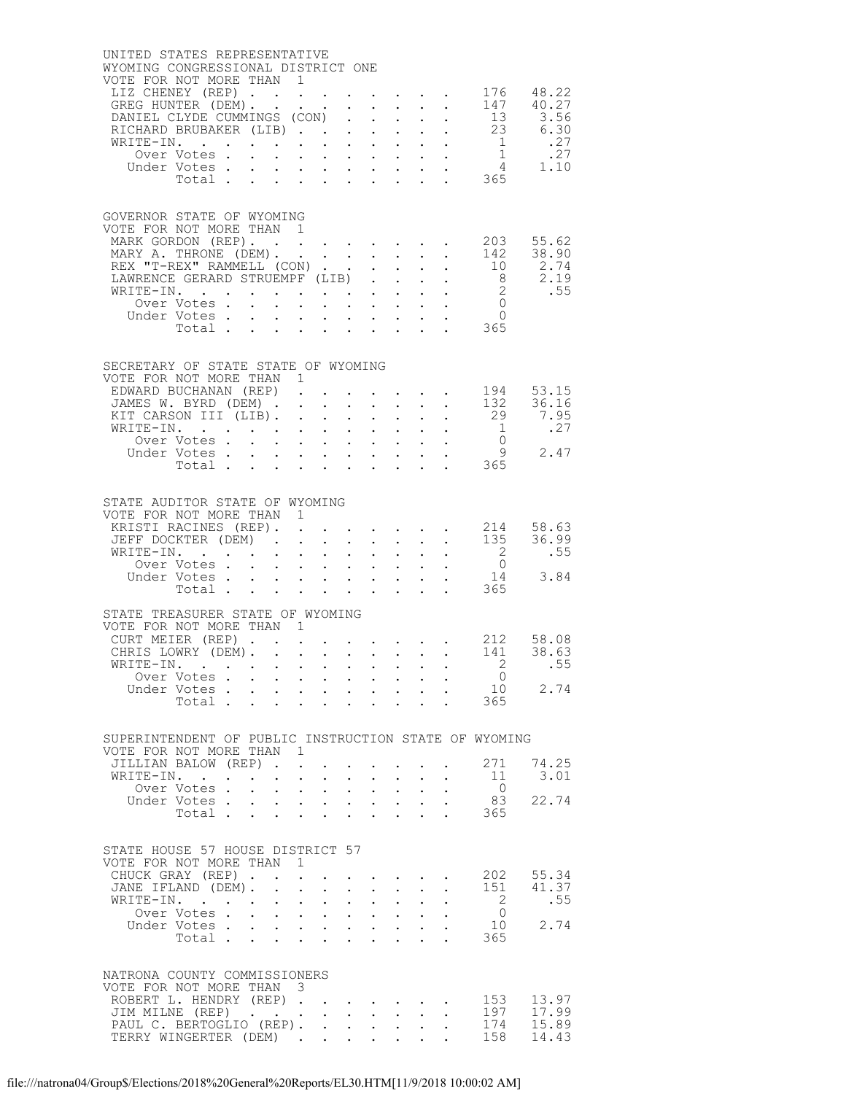| UNITED STATES REPRESENTATIVE<br>WYOMING CONGRESSIONAL DISTRICT ONE<br>VOTE FOR NOT MORE THAN 1           |                              |                         |              |                                                                                         |                                                                                         |                                                                                                                         |                               |                                                                            |                           |                                                                                                                    |                                                    |
|----------------------------------------------------------------------------------------------------------|------------------------------|-------------------------|--------------|-----------------------------------------------------------------------------------------|-----------------------------------------------------------------------------------------|-------------------------------------------------------------------------------------------------------------------------|-------------------------------|----------------------------------------------------------------------------|---------------------------|--------------------------------------------------------------------------------------------------------------------|----------------------------------------------------|
| LIZ CHENEY (REP) 176 48.22                                                                               |                              |                         |              |                                                                                         |                                                                                         |                                                                                                                         |                               |                                                                            |                           |                                                                                                                    |                                                    |
|                                                                                                          |                              |                         |              |                                                                                         |                                                                                         |                                                                                                                         |                               |                                                                            |                           |                                                                                                                    |                                                    |
|                                                                                                          |                              |                         |              |                                                                                         |                                                                                         |                                                                                                                         |                               |                                                                            |                           |                                                                                                                    |                                                    |
|                                                                                                          |                              |                         |              |                                                                                         |                                                                                         |                                                                                                                         |                               |                                                                            |                           |                                                                                                                    |                                                    |
|                                                                                                          |                              |                         |              |                                                                                         |                                                                                         |                                                                                                                         |                               |                                                                            |                           |                                                                                                                    |                                                    |
|                                                                                                          |                              |                         |              |                                                                                         |                                                                                         |                                                                                                                         |                               |                                                                            |                           |                                                                                                                    |                                                    |
| GOVERNOR STATE OF WYOMING<br>VOTE FOR NOT MORE THAN 1<br>MARK GORDON (REP). 203 55.62                    |                              |                         |              |                                                                                         |                                                                                         |                                                                                                                         |                               |                                                                            |                           |                                                                                                                    |                                                    |
| MARY A. THRONE (DEM).                                                                                    |                              |                         |              |                                                                                         |                                                                                         |                                                                                                                         |                               | <b>Contract Contract Contract</b>                                          |                           |                                                                                                                    | 142 38.90                                          |
| REX "T-REX" RAMMELL (CON)<br>LAWRENCE GERARD STRUEMPF (LIB).                                             |                              |                         |              |                                                                                         |                                                                                         |                                                                                                                         |                               | $\mathbf{L}$                                                               | $\mathbf{L} = \mathbf{L}$ |                                                                                                                    | $\frac{112}{10}$ 2.74                              |
| WRITE-IN.                                                                                                |                              |                         |              |                                                                                         |                                                                                         |                                                                                                                         |                               |                                                                            |                           |                                                                                                                    |                                                    |
|                                                                                                          | Over Votes .<br>Under Votes. | $\cdot$ $\cdot$ $\cdot$ | $\mathbf{L}$ |                                                                                         |                                                                                         |                                                                                                                         |                               |                                                                            |                           |                                                                                                                    |                                                    |
|                                                                                                          | Total $\cdots$ $\cdots$      |                         |              |                                                                                         |                                                                                         |                                                                                                                         |                               |                                                                            |                           |                                                                                                                    |                                                    |
| SECRETARY OF STATE STATE OF WYOMING<br>VOTE FOR NOT MORE THAN 1<br>EDWARD BUCHANAN (REP).                |                              |                         |              |                                                                                         |                                                                                         |                                                                                                                         |                               |                                                                            |                           | $\cdot$ $\cdot$ $\cdot$ $\cdot$ $\cdot$ 194 53.15                                                                  |                                                    |
| JAMES W. BYRD (DEM)<br>KIT CARSON III (LIB).                                                             |                              |                         |              |                                                                                         |                                                                                         | $\mathbf{L}^{\text{max}}$<br>$\mathbf{1}$ $\mathbf{1}$ $\mathbf{1}$ $\mathbf{1}$ $\mathbf{1}$ $\mathbf{1}$ $\mathbf{1}$ |                               | $\mathbf{z} = \mathbf{z} + \mathbf{z} + \mathbf{z} + \mathbf{z}$           |                           | $\frac{132}{29}$ 36.16<br>$\frac{16}{29}$ 7.95                                                                     |                                                    |
| WRITE-IN.                                                                                                |                              |                         |              | rin rana masa                                                                           |                                                                                         |                                                                                                                         |                               |                                                                            |                           |                                                                                                                    | $\begin{bmatrix} 1 & 27 \\ 0 & 2.47 \end{bmatrix}$ |
|                                                                                                          | Over Votes .                 |                         |              |                                                                                         |                                                                                         |                                                                                                                         |                               |                                                                            |                           |                                                                                                                    |                                                    |
|                                                                                                          | Under Votes<br>Total.        |                         |              |                                                                                         |                                                                                         |                                                                                                                         |                               | $\mathbf{r} = \mathbf{r} \times \mathbf{r} = \mathbf{r} \times \mathbf{r}$ |                           | $\frac{1}{2}$ 365                                                                                                  |                                                    |
| STATE AUDITOR STATE OF WYOMING<br>VOTE FOR NOT MORE THAN 1<br>KRISTI RACINES (REP).                      |                              |                         |              | $\ddot{\phantom{a}}$                                                                    |                                                                                         | $\mathcal{A}(\mathcal{A})$ , and $\mathcal{A}(\mathcal{A})$ , and $\mathcal{A}(\mathcal{A})$                            |                               |                                                                            |                           |                                                                                                                    |                                                    |
| JEFF DOCKTER (DEM).                                                                                      |                              |                         |              |                                                                                         | $\ddot{\phantom{a}}$                                                                    |                                                                                                                         |                               |                                                                            |                           | $\begin{array}{cccccccccc} . & . & . & . & . & . & 214 & 58.63 \\ . & . & . & . & . & . & 135 & 36.99 \end{array}$ |                                                    |
|                                                                                                          |                              |                         |              |                                                                                         |                                                                                         |                                                                                                                         |                               |                                                                            |                           |                                                                                                                    | 2 .55                                              |
|                                                                                                          |                              |                         |              |                                                                                         |                                                                                         |                                                                                                                         |                               |                                                                            |                           |                                                                                                                    |                                                    |
|                                                                                                          |                              |                         |              |                                                                                         |                                                                                         |                                                                                                                         |                               |                                                                            |                           |                                                                                                                    |                                                    |
| STATE TREASURER STATE OF WYOMING<br>VOTE FOR NOT MORE THAN 1<br>CURT MEIER (REP)                         |                              |                         |              |                                                                                         |                                                                                         |                                                                                                                         |                               |                                                                            |                           | $\cdot$ 212 58.08                                                                                                  |                                                    |
| CHRIS LOWRY (DEM).                                                                                       |                              |                         |              |                                                                                         |                                                                                         |                                                                                                                         |                               |                                                                            |                           | 141 38.63                                                                                                          |                                                    |
| WRITE-IN.                                                                                                | Over Votes                   |                         |              |                                                                                         |                                                                                         |                                                                                                                         |                               |                                                                            |                           | $\cdot$ 2 .55<br>$\overline{0}$                                                                                    |                                                    |
|                                                                                                          | Under Votes                  |                         |              |                                                                                         |                                                                                         |                                                                                                                         |                               |                                                                            |                           |                                                                                                                    | 10 2.74                                            |
|                                                                                                          | Total $\cdots$               |                         |              |                                                                                         |                                                                                         |                                                                                                                         | $\mathbf{L}$ and $\mathbf{L}$ |                                                                            |                           | 365                                                                                                                |                                                    |
| SUPERINTENDENT OF PUBLIC INSTRUCTION STATE OF WYOMING<br>VOTE FOR NOT MORE THAN 1<br>JILLIAN BALOW (REP) |                              |                         |              |                                                                                         |                                                                                         |                                                                                                                         |                               |                                                                            |                           | 271                                                                                                                | 74.25                                              |
| WRITE-IN.                                                                                                |                              |                         |              |                                                                                         | $\mathcal{A}^{\mathcal{A}}$ , $\mathcal{A}^{\mathcal{A}}$ , $\mathcal{A}^{\mathcal{A}}$ | $\bullet$ .                                                                                                             | $\bullet$ .                   |                                                                            |                           | 11                                                                                                                 | 3.01                                               |
|                                                                                                          | Over Votes .                 |                         |              | $\mathbf{r}$ , $\mathbf{r}$ , $\mathbf{r}$ , $\mathbf{r}$ , $\mathbf{r}$ , $\mathbf{r}$ |                                                                                         |                                                                                                                         |                               |                                                                            | $\sim$                    | $\overline{0}$<br>83                                                                                               | 22.74                                              |
|                                                                                                          | Under Votes<br>Total         |                         |              |                                                                                         |                                                                                         |                                                                                                                         |                               |                                                                            |                           | 365                                                                                                                |                                                    |
| STATE HOUSE 57 HOUSE DISTRICT 57<br>VOTE FOR NOT MORE THAN 1                                             |                              |                         |              |                                                                                         |                                                                                         |                                                                                                                         |                               |                                                                            |                           |                                                                                                                    |                                                    |
| CHUCK GRAY (REP).<br>JANE IFLAND (DEM).                                                                  |                              |                         | $\mathbf{L}$ | $\sim$ $-$                                                                              | $\ddot{\phantom{0}}$                                                                    | and a strong control of the state of<br>$\sim$<br>$\sim$                                                                |                               |                                                                            |                           |                                                                                                                    | 202 55.34<br>151 41.37                             |
| WRITE-IN.                                                                                                |                              |                         |              | $\mathbf{r}=(\mathbf{r}_1,\ldots,\mathbf{r}_n)$ .                                       |                                                                                         | $\bullet$ .                                                                                                             | $\bullet$ .                   |                                                                            |                           | $\overline{2}$                                                                                                     | .55                                                |
|                                                                                                          | Over Votes<br>Under Votes    |                         |              | <b>All Contracts</b>                                                                    |                                                                                         | $\mathbf{L}^{\text{max}}$                                                                                               | $\sim$ $-$                    | <b>Contract Contract</b>                                                   |                           | $\overline{0}$                                                                                                     | 10 2.74                                            |
|                                                                                                          | Total                        |                         |              |                                                                                         |                                                                                         | $\mathbf{L} = \mathbf{L}$                                                                                               |                               |                                                                            |                           | 365                                                                                                                |                                                    |
| NATRONA COUNTY COMMISSIONERS                                                                             |                              |                         |              |                                                                                         |                                                                                         |                                                                                                                         |                               |                                                                            |                           |                                                                                                                    |                                                    |
| VOTE FOR NOT MORE THAN 3<br>ROBERT L. HENDRY (REP).                                                      |                              |                         |              |                                                                                         |                                                                                         |                                                                                                                         |                               | $\mathcal{A}^{\mathcal{A}}$ and $\mathcal{A}^{\mathcal{A}}$                |                           | 153                                                                                                                | 13.97                                              |
| JIM MILNE (REP)                                                                                          |                              |                         |              |                                                                                         |                                                                                         | $\ddot{\phantom{0}}$                                                                                                    |                               | $\sim$                                                                     |                           |                                                                                                                    | 197 17.99                                          |
| PAUL C. BERTOGLIO (REP).<br>TERRY WINGERTER (DEM)                                                        |                              |                         |              |                                                                                         |                                                                                         | $\bullet$ .<br>$\ddot{\phantom{0}}$                                                                                     | $\bullet$ .                   |                                                                            |                           | 174                                                                                                                | 15.89<br>158 14.43                                 |
|                                                                                                          |                              |                         |              |                                                                                         |                                                                                         |                                                                                                                         |                               |                                                                            |                           |                                                                                                                    |                                                    |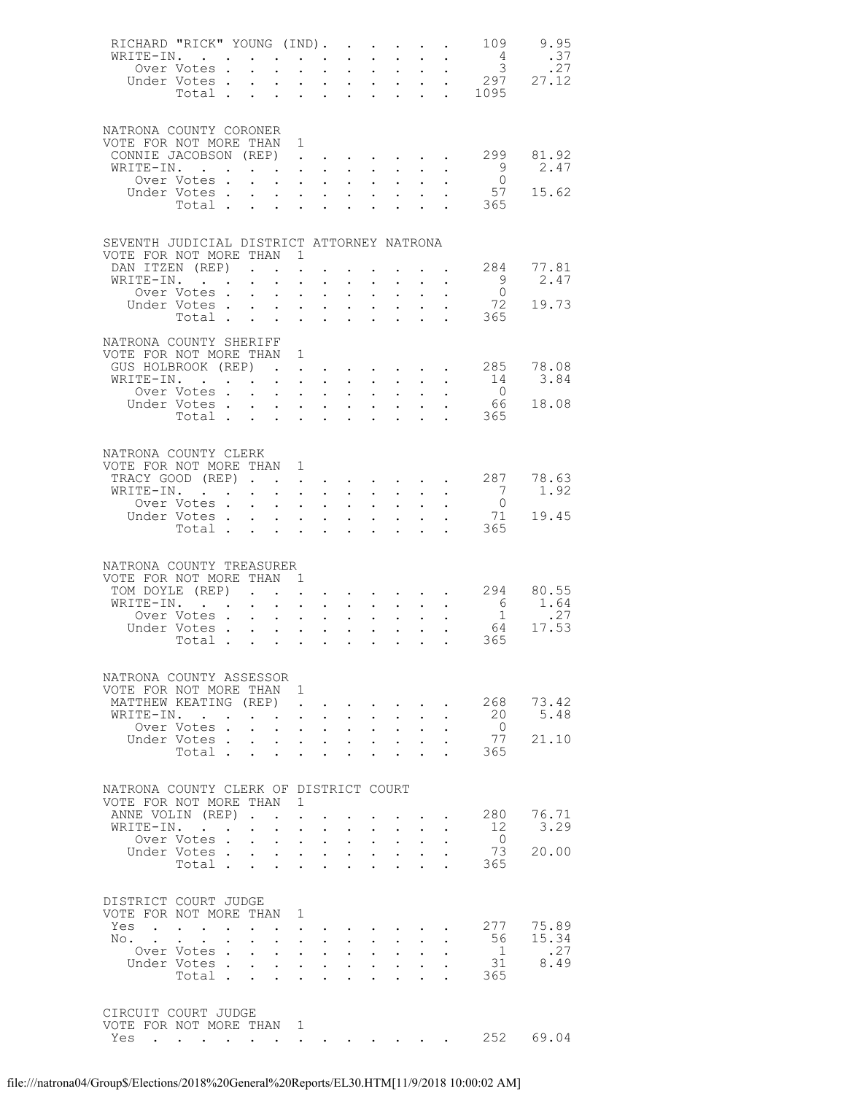|       | RICHARD "RICK" YOUNG (IND).                |                                             |                                                                                            |                                                               | $\sim$ $\sim$ $\sim$ $\sim$ $\sim$ $\sim$ $\sim$                              |                             |                                                                          |                      | $\sim 100$ km s $^{-1}$ | 109                  | 9.95                                                                |
|-------|--------------------------------------------|---------------------------------------------|--------------------------------------------------------------------------------------------|---------------------------------------------------------------|-------------------------------------------------------------------------------|-----------------------------|--------------------------------------------------------------------------|----------------------|-------------------------|----------------------|---------------------------------------------------------------------|
|       | WRITE-IN.                                  |                                             |                                                                                            | $\mathbf{L} = \mathbf{L}$                                     |                                                                               | $\mathbb{Z}^{\mathbb{Z}^2}$ |                                                                          |                      |                         | $4\overline{4}$      | .37                                                                 |
|       | Over Votes .                               |                                             | $\mathbf{L}^{\text{max}}$                                                                  | $\mathbf{L} = \mathbf{L}$                                     | $\mathbf{L}^{\text{max}}$                                                     | $\mathbf{L}^{\text{max}}$   | $\sim$ $-$                                                               |                      |                         |                      | $\frac{4}{3}$ $\frac{3}{27}$<br>$\frac{27}{297}$ $\frac{27}{27.12}$ |
|       | Under Votes.                               |                                             |                                                                                            |                                                               | $\cdot$ $\cdot$ $\cdot$ $\cdot$                                               |                             | $\mathbf{L}$ and $\mathbf{L}$                                            |                      |                         |                      |                                                                     |
|       | Total                                      |                                             |                                                                                            | $\mathbf{L}^{\text{max}}$ , and $\mathbf{L}^{\text{max}}$     | $\sim$                                                                        |                             | $\mathbf{r} = \mathbf{r} \cdot \mathbf{r}$ .                             |                      |                         | $\frac{1}{2}$ . 1095 |                                                                     |
|       |                                            |                                             |                                                                                            |                                                               |                                                                               |                             |                                                                          |                      |                         |                      |                                                                     |
|       | NATRONA COUNTY CORONER                     |                                             |                                                                                            |                                                               |                                                                               |                             |                                                                          |                      |                         |                      |                                                                     |
|       | VOTE FOR NOT MORE THAN 1                   |                                             |                                                                                            |                                                               |                                                                               |                             |                                                                          |                      |                         |                      |                                                                     |
|       | CONNIE JACOBSON (REP).                     |                                             |                                                                                            |                                                               | $\mathbf{r} = \mathbf{r} + \mathbf{r} + \mathbf{r} + \mathbf{r} + \mathbf{r}$ |                             |                                                                          |                      |                         | 299                  | 81.92                                                               |
|       | WRITE-IN.                                  |                                             |                                                                                            |                                                               |                                                                               |                             |                                                                          |                      |                         |                      | 2.47                                                                |
|       | Over Votes.                                |                                             | $\mathbf{1}$ $\mathbf{1}$ $\mathbf{1}$ $\mathbf{1}$ $\mathbf{1}$ $\mathbf{1}$ $\mathbf{1}$ |                                                               | $\mathbf{L}$                                                                  |                             | $\mathbf{L} = \mathbf{L}$                                                |                      |                         | $\frac{9}{0}$        |                                                                     |
|       | Under Votes                                |                                             |                                                                                            |                                                               | $\mathbf{L}^{\text{max}}$                                                     |                             | $\cdot$ $\cdot$                                                          |                      |                         | 57                   | 15.62                                                               |
|       | Total .                                    |                                             | $\mathcal{L}^{\text{max}}(\mathcal{L}^{\text{max}}(\mathcal{L}^{\text{max}}))$             |                                                               |                                                                               |                             |                                                                          |                      |                         | 365                  |                                                                     |
|       |                                            |                                             |                                                                                            |                                                               |                                                                               |                             |                                                                          |                      |                         |                      |                                                                     |
|       |                                            |                                             |                                                                                            |                                                               |                                                                               |                             |                                                                          |                      |                         |                      |                                                                     |
|       | SEVENTH JUDICIAL DISTRICT ATTORNEY NATRONA |                                             |                                                                                            |                                                               |                                                                               |                             |                                                                          |                      |                         |                      |                                                                     |
|       | VOTE FOR NOT MORE THAN                     |                                             | $\overline{1}$                                                                             |                                                               |                                                                               |                             |                                                                          |                      |                         | 284                  | 77.81                                                               |
|       | DAN ITZEN (REP)<br>WRITE-IN.               |                                             |                                                                                            |                                                               |                                                                               |                             | $\mathbf{r} = \mathbf{r} + \mathbf{r}$ , where $\mathbf{r} = \mathbf{r}$ |                      | $\sim$ $\sim$           | 9                    | 2.47                                                                |
|       | Over Votes .                               | $\mathbf{A}^{(1)}$ and $\mathbf{A}^{(2)}$ . | $\ddot{\phantom{0}}$                                                                       | $\ddot{\phantom{0}}$<br>$\sim 10^{-1}$<br>$\sim$ $-$          | $\mathbf{L}^{\text{max}}$                                                     | $\sim$ $-$                  | $\mathbf{L}^{\text{max}}$ , and $\mathbf{L}^{\text{max}}$                |                      |                         | $\bigcirc$           |                                                                     |
|       | Under Votes                                |                                             |                                                                                            |                                                               | $\mathbf{L}$                                                                  |                             | $\cdot$ $\cdot$ $\cdot$                                                  |                      |                         | 72                   | 19.73                                                               |
|       | Total                                      |                                             |                                                                                            |                                                               | $\ddot{\phantom{0}}$                                                          | $\ddot{\phantom{a}}$        | $\mathbf{L}$                                                             | $\ddot{\phantom{a}}$ |                         | 365                  |                                                                     |
|       |                                            |                                             |                                                                                            |                                                               |                                                                               |                             |                                                                          |                      |                         |                      |                                                                     |
|       | NATRONA COUNTY SHERIFF                     |                                             |                                                                                            |                                                               |                                                                               |                             |                                                                          |                      |                         |                      |                                                                     |
|       | VOTE FOR NOT MORE THAN 1                   |                                             |                                                                                            |                                                               |                                                                               |                             |                                                                          |                      |                         |                      |                                                                     |
|       | GUS HOLBROOK (REP)                         |                                             |                                                                                            |                                                               |                                                                               |                             |                                                                          |                      | <b>Contractor</b>       | 285                  | 78.08                                                               |
|       | WRITE-IN.                                  |                                             | $\mathbf{L}$ and $\mathbf{L}$                                                              | $\sim$                                                        | $\ddot{\phantom{0}}$                                                          | $\sim 10^{-11}$             |                                                                          |                      |                         | 14                   | 3.84                                                                |
|       | Over Votes .                               | $\sim$                                      | $\mathbf{r} = \mathbf{r} + \mathbf{r} + \mathbf{r}$ .                                      |                                                               | $\mathbf{L}^{\text{max}}$                                                     | $\mathbf{L}^{\text{max}}$   | $\sim$ $-$                                                               |                      |                         | $\overline{0}$       |                                                                     |
|       | Under Votes.                               | $\sim$                                      | $\mathbf{L}$                                                                               | $\mathcal{L}^{\text{max}}$ , where $\mathcal{L}^{\text{max}}$ | $\mathbf{L}$                                                                  |                             | $\mathbf{L} = \mathbf{L}$                                                |                      |                         | 66                   | 18.08                                                               |
|       | Total                                      |                                             |                                                                                            |                                                               | $\sim$                                                                        | $\ddot{\phantom{a}}$        | $\mathbf{L}$                                                             | $\ddot{\phantom{a}}$ |                         | 365                  |                                                                     |
|       |                                            |                                             |                                                                                            |                                                               |                                                                               |                             |                                                                          |                      |                         |                      |                                                                     |
|       | NATRONA COUNTY CLERK                       |                                             |                                                                                            |                                                               |                                                                               |                             |                                                                          |                      |                         |                      |                                                                     |
|       | VOTE FOR NOT MORE THAN 1                   |                                             |                                                                                            |                                                               |                                                                               |                             |                                                                          |                      |                         |                      |                                                                     |
|       | TRACY GOOD (REP)                           |                                             |                                                                                            | $\mathcal{L}^{\text{max}}$                                    |                                                                               |                             |                                                                          |                      |                         |                      | 287 78.63                                                           |
|       | WRITE-IN.                                  |                                             |                                                                                            |                                                               | $\mathbf{r} = \mathbf{r} + \mathbf{r} + \mathbf{r} + \mathbf{r}$              |                             | $\mathbf{L}^{\text{max}}$ , and $\mathbf{L}^{\text{max}}$                |                      |                         | $\overline{7}$       | 1.92                                                                |
|       | Over Votes.                                | $\sim$                                      | $\mathbf{L}$<br>$\sim$                                                                     | $\sim$                                                        | $\mathbf{L}$                                                                  | $\mathbf{L}$                |                                                                          |                      |                         | $\overline{0}$       |                                                                     |
|       |                                            |                                             |                                                                                            |                                                               |                                                                               |                             | $\mathbf{L}^{\text{max}}$ , $\mathbf{L}^{\text{max}}$                    | $\sim 10^{-11}$      |                         | 71                   | 19.45                                                               |
|       | Under Votes<br>Total                       |                                             |                                                                                            |                                                               | $\mathbf{L}^{\text{max}}$                                                     |                             | $\mathbf{L}$                                                             |                      |                         | 365                  |                                                                     |
|       |                                            |                                             |                                                                                            |                                                               |                                                                               |                             |                                                                          |                      |                         |                      |                                                                     |
|       |                                            |                                             |                                                                                            |                                                               |                                                                               |                             |                                                                          |                      |                         |                      |                                                                     |
|       | NATRONA COUNTY TREASURER                   |                                             |                                                                                            |                                                               |                                                                               |                             |                                                                          |                      |                         |                      |                                                                     |
|       | VOTE FOR NOT MORE THAN 1                   |                                             |                                                                                            |                                                               |                                                                               |                             |                                                                          |                      |                         |                      |                                                                     |
|       | TOM DOYLE (REP)                            |                                             |                                                                                            |                                                               |                                                                               |                             |                                                                          |                      |                         | 294                  | 80.55                                                               |
|       | WRITE-IN.                                  |                                             | $\ddot{\phantom{0}}$                                                                       | $\ddot{\phantom{0}}$<br>$\ddot{\phantom{0}}$                  | $\mathbf{L}$                                                                  | $\mathbf{L}^{\text{max}}$   |                                                                          |                      |                         | $6\overline{6}$      | 1.64                                                                |
|       | Over Votes<br>Under Votes                  |                                             | $\mathbf{L}$ and $\mathbf{L}$<br>$\mathcal{L}^{\text{max}}$<br>$\sim 10^{-11}$             | $\sim$ $-$<br>$\sim$                                          | $\ddot{\phantom{0}}$<br>$\mathbf{L}$                                          | $\mathbf{r}$                | $\mathbf{L}$ and $\mathbf{L}$                                            |                      |                         | $\frac{1}{64}$       | .27<br>17.53                                                        |
|       | Total                                      |                                             | $\mathbf{1}$ $\mathbf{1}$ $\mathbf{1}$ $\mathbf{1}$ $\mathbf{1}$ $\mathbf{1}$ $\mathbf{1}$ |                                                               | $\ddot{\phantom{0}}$                                                          | $\ddot{\phantom{0}}$        | $\ddotsc$                                                                |                      |                         | 365                  |                                                                     |
|       |                                            |                                             |                                                                                            |                                                               |                                                                               |                             |                                                                          | $\ddot{\phantom{a}}$ |                         |                      |                                                                     |
|       |                                            |                                             |                                                                                            |                                                               |                                                                               |                             |                                                                          |                      |                         |                      |                                                                     |
|       | NATRONA COUNTY ASSESSOR                    |                                             |                                                                                            |                                                               |                                                                               |                             |                                                                          |                      |                         |                      |                                                                     |
|       | VOTE FOR NOT MORE THAN                     |                                             | $\overline{1}$                                                                             |                                                               |                                                                               |                             |                                                                          |                      |                         |                      |                                                                     |
|       | MATTHEW KEATING (REP)                      |                                             | $\ddot{\phantom{a}}$                                                                       |                                                               |                                                                               |                             |                                                                          |                      |                         |                      | 268 73.42                                                           |
|       | WRITE-IN. .                                | $\ddot{\phantom{0}}$<br>$\bullet$           | $\bullet$                                                                                  | $\sim$                                                        | $\ddot{\phantom{0}}$                                                          | $\sim$ $-$                  | $\sim$                                                                   |                      |                         | 20                   | 5.48                                                                |
|       | Over Votes.                                |                                             | $\mathbf{L}$<br>$\sim$                                                                     | $\sim$                                                        | $\ddot{\phantom{0}}$                                                          |                             | $\mathbf{L}^{\text{max}}$<br>$\sim$                                      |                      |                         | $\bigcirc$           |                                                                     |
|       | Under Votes.                               | $\ddot{\phantom{0}}$                        | $\ddot{\phantom{0}}$                                                                       | $\mathbf{L}^{\text{max}}$<br>$\ddot{\phantom{a}}$             | $\ddot{\phantom{0}}$                                                          | $\ddot{\phantom{a}}$        | $\ddot{\phantom{0}}$                                                     |                      |                         | 77                   | 21.10                                                               |
|       | Total .                                    |                                             |                                                                                            |                                                               |                                                                               |                             |                                                                          |                      |                         | 365                  |                                                                     |
|       |                                            |                                             |                                                                                            |                                                               |                                                                               |                             |                                                                          |                      |                         |                      |                                                                     |
|       | NATRONA COUNTY CLERK OF DISTRICT COURT     |                                             |                                                                                            |                                                               |                                                                               |                             |                                                                          |                      |                         |                      |                                                                     |
|       | VOTE FOR NOT MORE THAN 1                   |                                             |                                                                                            |                                                               |                                                                               |                             |                                                                          |                      |                         |                      |                                                                     |
|       | ANNE VOLIN (REP).                          |                                             |                                                                                            |                                                               |                                                                               |                             |                                                                          |                      |                         | 280                  | 76.71                                                               |
|       | WRITE-IN. .                                |                                             |                                                                                            | $\ddot{\phantom{0}}$                                          |                                                                               |                             |                                                                          |                      |                         | 12                   | 3.29                                                                |
|       | Over Votes.                                | $\ddot{\phantom{0}}$                        | $\ddot{\phantom{a}}$                                                                       | $\bullet$ .                                                   | $\ddot{\phantom{0}}$                                                          | $\bullet$ .                 | $\mathbf{L}^{\text{max}}$                                                |                      |                         | $\bigcirc$           |                                                                     |
|       | Under Votes .                              |                                             | $\mathcal{L}^{\text{max}}$                                                                 | $\ddot{\phantom{0}}$<br>$\sim$                                | $\ddot{\phantom{0}}$                                                          |                             | $\mathbf{L}^{\text{max}}$<br>$\mathbf{L}$                                |                      |                         | 73                   | 20.00                                                               |
|       | Total                                      |                                             | $\ddot{\phantom{a}}$                                                                       | $\ddot{\phantom{a}}$<br>$\sim$                                | $\ddot{\phantom{0}}$                                                          | $\ddot{\phantom{0}}$        |                                                                          |                      |                         | 365                  |                                                                     |
|       |                                            |                                             |                                                                                            |                                                               |                                                                               |                             |                                                                          |                      |                         |                      |                                                                     |
|       |                                            |                                             |                                                                                            |                                                               |                                                                               |                             |                                                                          |                      |                         |                      |                                                                     |
|       | DISTRICT COURT JUDGE                       |                                             |                                                                                            |                                                               |                                                                               |                             |                                                                          |                      |                         |                      |                                                                     |
|       | VOTE FOR NOT MORE THAN                     |                                             | 1                                                                                          |                                                               |                                                                               |                             |                                                                          |                      |                         |                      |                                                                     |
| Yes   | $\sim$                                     |                                             |                                                                                            |                                                               |                                                                               |                             |                                                                          |                      |                         | 277                  | 75.89                                                               |
| No. . | $\sim$                                     |                                             | $\ddot{\phantom{0}}$                                                                       | $\sim$ $-$<br>$\sim$                                          | $\mathbf{L}^{\text{max}}$                                                     | $\mathcal{L}^{\text{max}}$  | $\mathcal{L}^{\text{max}}$                                               |                      |                         | 56                   | 15.34                                                               |
|       | Over Votes.                                |                                             |                                                                                            | $\mathbf{L}$<br>$\ddot{\phantom{a}}$                          |                                                                               |                             |                                                                          |                      |                         | $\mathbf{1}$<br>31   | .27<br>8.49                                                         |
|       | Under Votes .<br>Total .                   | $\ddot{\phantom{0}}$                        | $\ddot{\phantom{0}}$                                                                       | $\sim$<br>$\sim$                                              | $\ddot{\phantom{0}}$                                                          | $\ddot{\phantom{a}}$        | $\sim$                                                                   |                      |                         | 365                  |                                                                     |
|       |                                            |                                             |                                                                                            |                                                               |                                                                               |                             |                                                                          |                      |                         |                      |                                                                     |
|       |                                            |                                             |                                                                                            |                                                               |                                                                               |                             |                                                                          |                      |                         |                      |                                                                     |
|       | CIRCUIT COURT JUDGE                        |                                             |                                                                                            |                                                               |                                                                               |                             |                                                                          |                      |                         |                      |                                                                     |
|       | VOTE FOR NOT MORE THAN 1                   |                                             |                                                                                            |                                                               |                                                                               |                             |                                                                          |                      |                         |                      |                                                                     |
|       | Yes                                        |                                             |                                                                                            |                                                               |                                                                               |                             |                                                                          |                      |                         | 252                  | 69.04                                                               |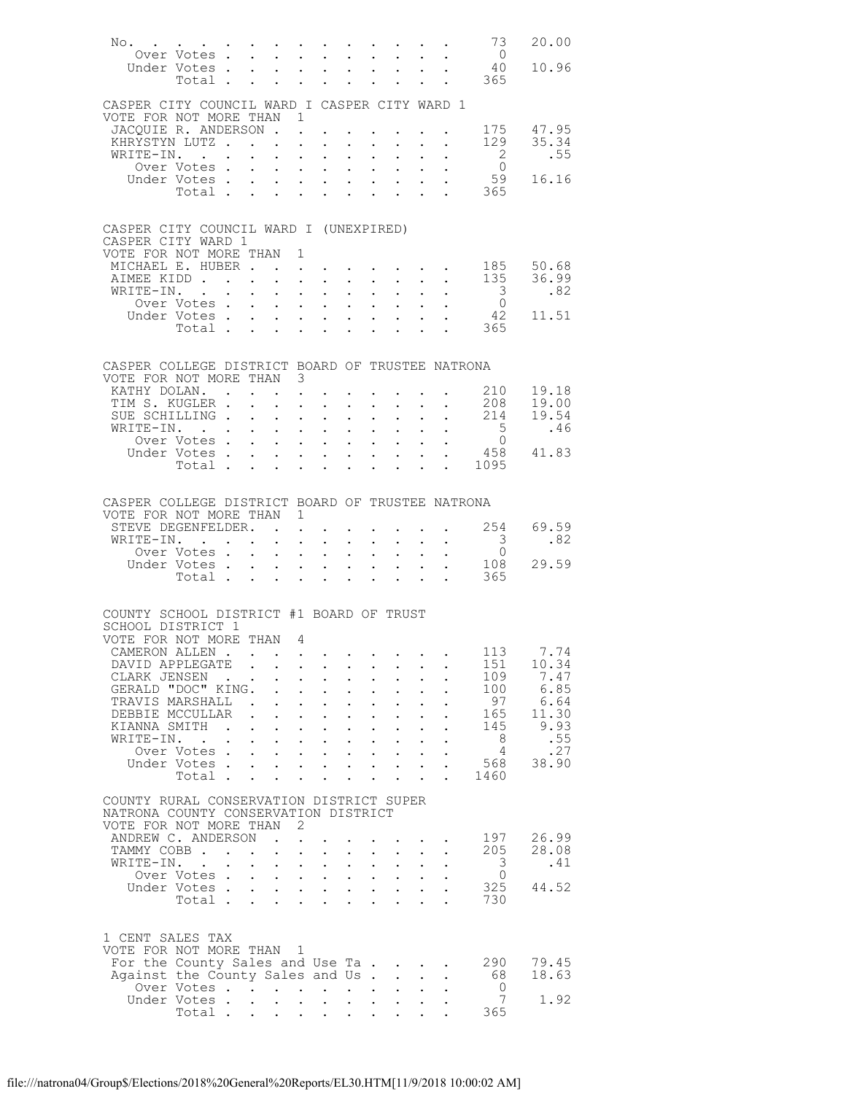| No. 73                                                                    |                                          |                         |                                                         |                                              |                                                                                                    |                            |                            |                                                                                                                                 |                                           |                                                                           | 20.00                       |
|---------------------------------------------------------------------------|------------------------------------------|-------------------------|---------------------------------------------------------|----------------------------------------------|----------------------------------------------------------------------------------------------------|----------------------------|----------------------------|---------------------------------------------------------------------------------------------------------------------------------|-------------------------------------------|---------------------------------------------------------------------------|-----------------------------|
|                                                                           | Over Votes<br>Inder Votes<br>Under Votes |                         |                                                         |                                              |                                                                                                    |                            |                            |                                                                                                                                 |                                           | $\begin{array}{c} 0 \\ 40 \end{array}$                                    | 10.96                       |
|                                                                           | Total $\cdots$                           |                         |                                                         |                                              |                                                                                                    | $\mathbf{L}^{\text{max}}$  | $\mathcal{L}^{\text{max}}$ |                                                                                                                                 |                                           | $\cdot$ $\cdot$ 365                                                       |                             |
|                                                                           |                                          |                         |                                                         |                                              |                                                                                                    |                            |                            |                                                                                                                                 |                                           |                                                                           |                             |
| CASPER CITY COUNCIL WARD I CASPER CITY WARD 1<br>VOTE FOR NOT MORE THAN 1 |                                          |                         |                                                         |                                              |                                                                                                    |                            |                            |                                                                                                                                 |                                           |                                                                           |                             |
| JACOUIE R. ANDERSON                                                       |                                          |                         |                                                         |                                              |                                                                                                    |                            |                            |                                                                                                                                 |                                           |                                                                           | 175 47.95                   |
| KHRYSTYN LUTZ                                                             |                                          |                         |                                                         |                                              | $\sim$<br>$\mathbf{L}^{\text{max}}$                                                                |                            |                            |                                                                                                                                 |                                           | 129                                                                       | 35.34                       |
| WRITE-IN.                                                                 |                                          |                         |                                                         |                                              |                                                                                                    |                            |                            |                                                                                                                                 | $\mathbf{A}^{(1)}$ and $\mathbf{A}^{(2)}$ | $\frac{2}{0}$                                                             | .55                         |
|                                                                           | Over Votes                               |                         |                                                         |                                              | $\mathbf{z} = \left( \mathbf{z} \right) \left( \mathbf{z} \right)$ , where                         | $\mathbf{L}^{\text{max}}$  |                            | $\mathbf{z} = \mathbf{z} + \mathbf{z}$ , where $\mathbf{z}$<br>$\mathbf{z} = \mathbf{z} + \mathbf{z} + \mathbf{z} + \mathbf{z}$ |                                           |                                                                           | 16.16                       |
|                                                                           | Under Votes<br>Total                     |                         |                                                         |                                              |                                                                                                    |                            |                            |                                                                                                                                 |                                           | $\begin{array}{cc} . & 59 \\ . & 365 \end{array}$                         |                             |
|                                                                           |                                          |                         |                                                         |                                              |                                                                                                    |                            |                            |                                                                                                                                 |                                           |                                                                           |                             |
|                                                                           |                                          |                         |                                                         |                                              |                                                                                                    |                            |                            |                                                                                                                                 |                                           |                                                                           |                             |
| CASPER CITY COUNCIL WARD I (UNEXPIRED)<br>CASPER CITY WARD 1              |                                          |                         |                                                         |                                              |                                                                                                    |                            |                            |                                                                                                                                 |                                           |                                                                           |                             |
| VOTE FOR NOT MORE THAN 1                                                  |                                          |                         |                                                         |                                              |                                                                                                    |                            |                            |                                                                                                                                 |                                           |                                                                           |                             |
| MICHAEL E. HUBER                                                          |                                          |                         |                                                         |                                              | $\mathbf{L}^{\text{max}}$                                                                          |                            |                            | and a strong control of the state of                                                                                            |                                           |                                                                           | 185 50.68                   |
| WRITE-IN. .                                                               |                                          |                         |                                                         |                                              |                                                                                                    |                            |                            |                                                                                                                                 |                                           | $\overline{\mathbf{3}}$                                                   | AIMEE KIDD 135 36.99<br>.82 |
|                                                                           | --- ----<br>TE-IN.<br>Over Votes         |                         |                                                         |                                              |                                                                                                    |                            |                            |                                                                                                                                 |                                           |                                                                           |                             |
|                                                                           | Under Votes<br>Votes<br>Total            |                         |                                                         |                                              |                                                                                                    | $\mathcal{L}^{(1)}$        |                            | $\mathbf{L}^{\text{max}}$ , $\mathbf{L}^{\text{max}}$                                                                           |                                           | $\begin{array}{c} 0 \\ 42 \end{array}$                                    | 11.51                       |
|                                                                           |                                          |                         |                                                         |                                              |                                                                                                    |                            |                            | $1 - 1 - 1 = 1$                                                                                                                 |                                           | $\cdot$ $\cdot$ 365                                                       |                             |
|                                                                           |                                          |                         |                                                         |                                              |                                                                                                    |                            |                            |                                                                                                                                 |                                           |                                                                           |                             |
| CASPER COLLEGE DISTRICT BOARD OF TRUSTEE NATRONA                          |                                          |                         |                                                         |                                              |                                                                                                    |                            |                            |                                                                                                                                 |                                           |                                                                           |                             |
| VOTE FOR NOT MORE THAN 3                                                  |                                          |                         |                                                         |                                              |                                                                                                    |                            |                            |                                                                                                                                 |                                           |                                                                           |                             |
| KATHY DOLAN.                                                              |                                          |                         |                                                         |                                              | $\mathbf{L}^{\text{max}}$                                                                          |                            |                            |                                                                                                                                 |                                           | . 210                                                                     | 19.18                       |
| TIM S. KUGLER .<br>SUE SCHILLING                                          |                                          |                         |                                                         |                                              |                                                                                                    |                            |                            |                                                                                                                                 |                                           |                                                                           |                             |
| WRITE-IN.                                                                 |                                          |                         |                                                         |                                              | $\mathbf{z} = \mathbf{z} + \mathbf{z}$ , where                                                     | $\mathcal{L}^{\text{max}}$ |                            | $\mathbf{L}^{\text{max}}$ , $\mathbf{L}^{\text{max}}$                                                                           |                                           |                                                                           | .46                         |
|                                                                           | Over Votes                               |                         |                                                         |                                              | $\mathbf{z} = \mathbf{z} + \mathbf{z}$ , where $\mathbf{z} = \mathbf{z}$                           |                            |                            | $\mathbf{z} = \mathbf{z} + \mathbf{z}$ , where $\mathbf{z} = \mathbf{z}$                                                        |                                           | $\begin{array}{cccc} . & . & . & . & .5 \\ . & . & . & . & 0 \end{array}$ |                             |
|                                                                           | Under Votes<br>Total                     |                         |                                                         |                                              |                                                                                                    |                            |                            | $\mathbf{u}^{\prime}=\mathbf{u}^{\prime}=\mathbf{u}^{\prime}$ , where                                                           |                                           | $\cdot$ 458 41.83<br>. 1095                                               |                             |
|                                                                           |                                          |                         |                                                         |                                              |                                                                                                    |                            |                            |                                                                                                                                 |                                           |                                                                           |                             |
|                                                                           |                                          |                         |                                                         |                                              |                                                                                                    |                            |                            |                                                                                                                                 |                                           |                                                                           |                             |
| CASPER COLLEGE DISTRICT BOARD OF TRUSTEE NATRONA                          |                                          |                         |                                                         |                                              |                                                                                                    |                            |                            |                                                                                                                                 |                                           |                                                                           |                             |
| VOTE FOR NOT MORE THAN 1                                                  |                                          |                         |                                                         |                                              |                                                                                                    |                            |                            |                                                                                                                                 |                                           | 254                                                                       | 69.59                       |
| STEVE DEGENFELDER.<br>WRITE-IN.                                           |                                          |                         |                                                         | $\mathbf{L}^{\text{max}}$                    | <b>Contract Contract Contract</b><br>$\mathbf{L}^{\text{max}}$ , and $\mathbf{L}^{\text{max}}$     |                            |                            |                                                                                                                                 |                                           | $\overline{\mathbf{3}}$                                                   | .82                         |
|                                                                           | Over Votes                               |                         |                                                         |                                              |                                                                                                    |                            |                            | $\mathbf{u} = \mathbf{u} \mathbf{u} + \mathbf{u} \mathbf{u}$ .                                                                  | $\frac{1}{2}$                             | $\overline{0}$                                                            |                             |
|                                                                           | Under Votes<br>Votes<br>Total            |                         |                                                         |                                              |                                                                                                    |                            |                            |                                                                                                                                 |                                           |                                                                           | 108 29.59                   |
|                                                                           |                                          |                         |                                                         |                                              |                                                                                                    |                            |                            |                                                                                                                                 |                                           | 365                                                                       |                             |
|                                                                           |                                          |                         |                                                         |                                              |                                                                                                    |                            |                            |                                                                                                                                 |                                           |                                                                           |                             |
| COUNTY SCHOOL DISTRICT #1 BOARD OF TRUST                                  |                                          |                         |                                                         |                                              |                                                                                                    |                            |                            |                                                                                                                                 |                                           |                                                                           |                             |
| SCHOOL DISTRICT 1                                                         |                                          |                         |                                                         |                                              |                                                                                                    |                            |                            |                                                                                                                                 |                                           |                                                                           |                             |
| VOTE FOR NOT MORE THAN 4<br>CAMERON ALLEN                                 |                                          |                         |                                                         |                                              |                                                                                                    |                            |                            |                                                                                                                                 |                                           | 113                                                                       | 7.74                        |
| DAVID APPLEGATE                                                           |                                          |                         |                                                         |                                              |                                                                                                    |                            |                            |                                                                                                                                 |                                           | 151                                                                       | 10.34                       |
| CLARK JENSEN                                                              |                                          |                         | <b>Contract Contract</b>                                |                                              | $\mathbf{L}$                                                                                       |                            |                            |                                                                                                                                 |                                           | 109                                                                       | 7.47                        |
| GERALD "DOC" KING.                                                        |                                          |                         |                                                         |                                              | $\ddot{\phantom{0}}$                                                                               |                            |                            |                                                                                                                                 |                                           | 100<br>97                                                                 | 6.85<br>6.64                |
| TRAVIS MARSHALL .<br>DEBBIE MCCULLAR                                      |                                          |                         |                                                         | $\mathbf{r}$                                 | $\mathbf{L}^{\text{max}}$<br>$\ddot{\phantom{0}}$<br>$\ddot{\phantom{0}}$<br>$\ddot{\phantom{a}}$  |                            | $\ddot{\phantom{0}}$       |                                                                                                                                 |                                           | 165                                                                       | 11.30                       |
| KIANNA SMITH                                                              |                                          | $\sim$                  | $\ddot{\phantom{0}}$                                    | $\ddot{\phantom{0}}$                         | $\ddot{\phantom{a}}$<br>$\ddot{\phantom{a}}$                                                       | $\ddot{\phantom{0}}$       | $\ddot{\phantom{a}}$       |                                                                                                                                 |                                           | 145                                                                       | 9.93                        |
| WRITE-IN.                                                                 | $\sim$ $\sim$                            |                         |                                                         |                                              | $\ddot{\phantom{0}}$<br>$\ddot{\phantom{a}}$                                                       |                            |                            |                                                                                                                                 |                                           | - 8                                                                       | .55                         |
|                                                                           | Over Votes.<br>Under Votes.              |                         |                                                         | $\mathcal{L}^{\text{max}}$                   | $\mathbf{L}^{\text{max}}$<br>$\ddot{\phantom{0}}$                                                  | $\ddot{\phantom{0}}$       | $\mathbf{L}^{\text{max}}$  | $\ddot{\phantom{0}}$                                                                                                            |                                           | $\overline{4}$<br>568                                                     | .27<br>38.90                |
|                                                                           | Total .                                  |                         | $\mathbf{L}$                                            | $\ddot{\phantom{0}}$<br>$\ddot{\phantom{a}}$ | $\mathbf{L}$<br>$\mathcal{L}^{\text{max}}$                                                         | $\ddot{\phantom{0}}$       |                            | $\mathbf{L}^{\text{max}}$                                                                                                       |                                           | 1460                                                                      |                             |
|                                                                           |                                          |                         |                                                         |                                              |                                                                                                    |                            |                            |                                                                                                                                 |                                           |                                                                           |                             |
| COUNTY RURAL CONSERVATION DISTRICT SUPER                                  |                                          |                         |                                                         |                                              |                                                                                                    |                            |                            |                                                                                                                                 |                                           |                                                                           |                             |
| NATRONA COUNTY CONSERVATION DISTRICT<br>VOTE FOR NOT MORE THAN            |                                          |                         |                                                         | 2                                            |                                                                                                    |                            |                            |                                                                                                                                 |                                           |                                                                           |                             |
| ANDREW C. ANDERSON                                                        |                                          |                         |                                                         | $\sim$ $\sim$                                |                                                                                                    |                            |                            |                                                                                                                                 |                                           | 197                                                                       | 26.99                       |
| TAMMY COBB.                                                               |                                          | $\cdot$ $\cdot$ $\cdot$ |                                                         | $\Box$<br>$\mathcal{L}^{\text{max}}$         | $\ddot{\phantom{0}}$                                                                               |                            | $\bullet$ .                |                                                                                                                                 |                                           | 205                                                                       | 28.08                       |
| WRITE-IN. .                                                               |                                          |                         |                                                         |                                              | $\mathcal{L}^{\text{max}}$<br>$\ddot{\phantom{0}}$                                                 |                            |                            |                                                                                                                                 |                                           | 3                                                                         | .41                         |
|                                                                           | Over Votes.<br>Under Votes.              |                         | $\mathcal{L}^{\text{max}}$<br>$\mathbf{L}^{\text{max}}$ | $\mathcal{L}^{\text{max}}$                   | $\mathbf{L}^{\text{max}}$ , $\mathbf{L}^{\text{max}}$<br>$\mathbf{L}$<br>$\mathbf{L}^{\text{max}}$ | $\mathcal{L}^{(1)}$        | $\mathcal{L}^{(1)}$ .      | $\ddot{\phantom{0}}$                                                                                                            |                                           | 0<br>325                                                                  | 44.52                       |
|                                                                           | Total                                    |                         |                                                         | $\ddot{\phantom{0}}$<br>$\ddot{\phantom{a}}$ |                                                                                                    |                            |                            |                                                                                                                                 |                                           | 730                                                                       |                             |
|                                                                           |                                          |                         |                                                         |                                              |                                                                                                    |                            |                            |                                                                                                                                 |                                           |                                                                           |                             |
|                                                                           |                                          |                         |                                                         |                                              |                                                                                                    |                            |                            |                                                                                                                                 |                                           |                                                                           |                             |
| 1 CENT SALES TAX<br>VOTE FOR NOT MORE THAN                                |                                          |                         |                                                         | $\mathbf{1}$                                 |                                                                                                    |                            |                            |                                                                                                                                 |                                           |                                                                           |                             |
| For the County Sales and Use Ta                                           |                                          |                         |                                                         |                                              |                                                                                                    |                            |                            |                                                                                                                                 |                                           | 290                                                                       | 79.45                       |
| Against the County Sales and Us.                                          |                                          |                         |                                                         |                                              |                                                                                                    |                            |                            | $\ddot{\phantom{0}}$                                                                                                            |                                           | 68                                                                        | 18.63                       |
|                                                                           | Over Votes<br>Under Votes.               |                         |                                                         |                                              |                                                                                                    | $\mathcal{L}^{\text{max}}$ |                            |                                                                                                                                 |                                           | - 0<br>7                                                                  | 1.92                        |
|                                                                           | Total .                                  |                         | $\mathbf{L}^{\text{max}}$                               | $\bullet$ .                                  | $\mathcal{L}^{\text{max}}$                                                                         | $\ddotsc$                  |                            |                                                                                                                                 |                                           | 365                                                                       |                             |
|                                                                           |                                          |                         |                                                         |                                              |                                                                                                    |                            |                            |                                                                                                                                 |                                           |                                                                           |                             |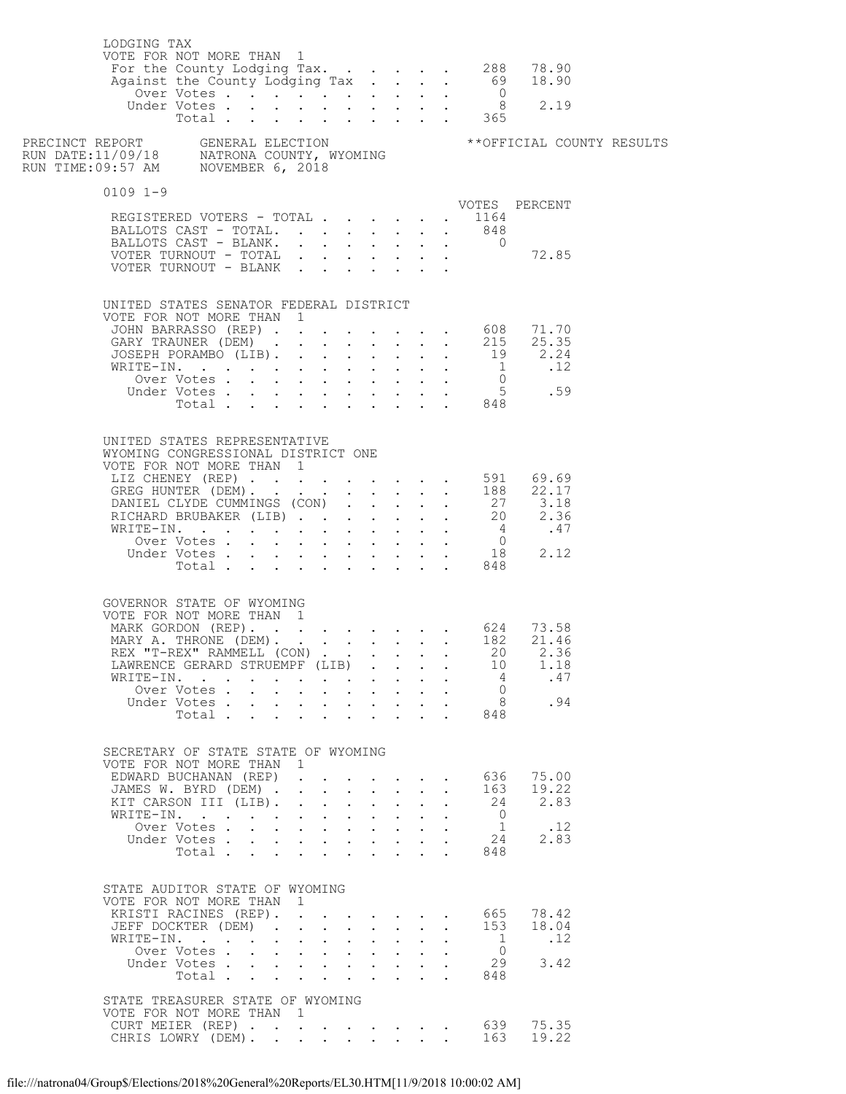| LODGING TAX  | VOTE FOR NOT MORE THAN 1                                                                             |                      |                                                                           |                                                                                                  |              |                                                                  |                           |                           |                      |                                  |               |  |
|--------------|------------------------------------------------------------------------------------------------------|----------------------|---------------------------------------------------------------------------|--------------------------------------------------------------------------------------------------|--------------|------------------------------------------------------------------|---------------------------|---------------------------|----------------------|----------------------------------|---------------|--|
|              |                                                                                                      |                      |                                                                           |                                                                                                  |              |                                                                  |                           |                           |                      |                                  |               |  |
| $0109$ $1-9$ |                                                                                                      |                      |                                                                           |                                                                                                  |              |                                                                  |                           |                           |                      |                                  |               |  |
|              | REGISTERED VOTERS - TOTAL                                                                            |                      |                                                                           |                                                                                                  |              |                                                                  |                           |                           |                      | . 1164                           | VOTES PERCENT |  |
|              | BALLOTS CAST - TOTAL.                                                                                |                      |                                                                           |                                                                                                  |              |                                                                  |                           |                           |                      | 848                              |               |  |
|              | BALLOTS CAST - BLANK.                                                                                |                      |                                                                           |                                                                                                  |              |                                                                  |                           |                           |                      | $\overline{0}$                   |               |  |
|              |                                                                                                      |                      |                                                                           |                                                                                                  |              |                                                                  |                           |                           |                      |                                  |               |  |
|              | UNITED STATES SENATOR FEDERAL DISTRICT                                                               |                      |                                                                           |                                                                                                  |              |                                                                  |                           |                           |                      |                                  |               |  |
|              | VOTE FOR NOT MORE THAN 1                                                                             |                      |                                                                           |                                                                                                  |              |                                                                  |                           |                           |                      |                                  |               |  |
|              | JOHN BARRASSO (REP) 608 71.70<br>GARY TRAUNER (DEM) 215 25.35                                        |                      |                                                                           |                                                                                                  |              |                                                                  |                           |                           |                      |                                  |               |  |
|              |                                                                                                      |                      |                                                                           |                                                                                                  |              |                                                                  |                           |                           |                      |                                  |               |  |
|              |                                                                                                      |                      |                                                                           |                                                                                                  |              |                                                                  |                           |                           |                      |                                  |               |  |
|              |                                                                                                      |                      |                                                                           |                                                                                                  |              |                                                                  |                           |                           |                      |                                  |               |  |
|              |                                                                                                      |                      |                                                                           |                                                                                                  |              |                                                                  |                           |                           |                      |                                  |               |  |
|              | UNITED STATES REPRESENTATIVE                                                                         |                      |                                                                           |                                                                                                  |              |                                                                  |                           |                           |                      |                                  |               |  |
|              | WYOMING CONGRESSIONAL DISTRICT ONE<br>VOTE FOR NOT MORE THAN 1                                       |                      |                                                                           |                                                                                                  |              |                                                                  |                           |                           |                      |                                  |               |  |
|              | UTE FURNUI MURE IRAN 1<br>LIZ CHENEY (REP) 591 69.69<br>GREG HUNTER (DEM) 188 22.17                  |                      |                                                                           |                                                                                                  |              |                                                                  |                           |                           |                      |                                  |               |  |
|              |                                                                                                      |                      |                                                                           |                                                                                                  |              |                                                                  |                           |                           |                      |                                  |               |  |
|              |                                                                                                      |                      |                                                                           |                                                                                                  |              |                                                                  |                           |                           |                      |                                  |               |  |
|              |                                                                                                      |                      |                                                                           |                                                                                                  |              |                                                                  |                           |                           |                      |                                  |               |  |
|              |                                                                                                      |                      |                                                                           |                                                                                                  |              |                                                                  |                           |                           |                      |                                  |               |  |
|              |                                                                                                      |                      |                                                                           |                                                                                                  |              |                                                                  |                           |                           |                      |                                  |               |  |
|              |                                                                                                      |                      |                                                                           |                                                                                                  |              |                                                                  |                           |                           |                      |                                  |               |  |
|              | GOVERNOR STATE OF WYOMING                                                                            |                      |                                                                           |                                                                                                  |              |                                                                  |                           |                           |                      |                                  |               |  |
|              | VOTE FOR NOT MORE THAN 1                                                                             |                      |                                                                           |                                                                                                  |              |                                                                  |                           |                           |                      |                                  |               |  |
|              | MARK GORDON (REP). 624 73.58<br>MARY A. THRONE (DEM). 182 21.46<br>REX "T-REX" RAMMELL (CON) 20 2.36 |                      |                                                                           |                                                                                                  |              |                                                                  |                           |                           |                      |                                  |               |  |
|              |                                                                                                      |                      |                                                                           |                                                                                                  |              |                                                                  |                           |                           |                      |                                  |               |  |
|              | LAWRENCE GERARD STRUEMPF (LIB).                                                                      |                      |                                                                           |                                                                                                  |              |                                                                  |                           |                           |                      | 10                               | 1.18          |  |
|              | WRITE-IN.<br>Over Votes                                                                              |                      |                                                                           |                                                                                                  |              | $\mathbf{z} = \mathbf{z} + \mathbf{z} + \mathbf{z} + \mathbf{z}$ |                           |                           |                      | $\sim$ 4<br>$\bigcirc$           | .47           |  |
|              | Under Votes                                                                                          |                      |                                                                           |                                                                                                  |              |                                                                  |                           |                           |                      | 8                                | .94           |  |
|              | $Total \cdot \cdot \cdot \cdot \cdot \cdot \cdot \cdot$                                              |                      |                                                                           |                                                                                                  |              |                                                                  |                           |                           |                      | 848                              |               |  |
|              |                                                                                                      |                      |                                                                           |                                                                                                  |              |                                                                  |                           |                           |                      |                                  |               |  |
|              | SECRETARY OF STATE STATE OF WYOMING<br>VOTE FOR NOT MORE THAN 1                                      |                      |                                                                           |                                                                                                  |              |                                                                  |                           |                           |                      |                                  |               |  |
|              | EDWARD BUCHANAN (REP)                                                                                |                      |                                                                           |                                                                                                  |              |                                                                  |                           |                           |                      | 636                              | 75.00         |  |
|              | JAMES W. BYRD (DEM) .                                                                                |                      |                                                                           | $\mathbf{r} = \mathbf{r} \cdot \mathbf{r}$ , where $\mathbf{r} = \mathbf{r} \cdot \mathbf{r}$    |              |                                                                  |                           |                           | $\ddot{\phantom{a}}$ | 163                              | 19.22         |  |
|              | KIT CARSON III (LIB).                                                                                |                      |                                                                           | $\mathbf{r}$ and $\mathbf{r}$ and $\mathbf{r}$ and $\mathbf{r}$                                  |              |                                                                  |                           |                           | $\ddot{\phantom{0}}$ | 24                               | 2.83          |  |
|              | WRITE-IN.<br>Over Votes                                                                              | $\ddot{\phantom{1}}$ |                                                                           | $\ddot{\phantom{a}}$<br>$\mathbf{r}$ , $\mathbf{r}$ , $\mathbf{r}$ , $\mathbf{r}$ , $\mathbf{r}$ |              | <b>Contract Contract Contract</b>                                |                           |                           |                      | $\overline{0}$<br>1              | .12           |  |
|              | Under Votes                                                                                          |                      |                                                                           |                                                                                                  |              |                                                                  |                           |                           |                      | 24                               | 2.83          |  |
|              | Total                                                                                                |                      |                                                                           | $\ddot{\phantom{a}}$                                                                             |              | $\sim$ $\sim$                                                    |                           |                           |                      | 848                              |               |  |
|              | STATE AUDITOR STATE OF WYOMING                                                                       |                      |                                                                           |                                                                                                  |              |                                                                  |                           |                           |                      |                                  |               |  |
|              | VOTE FOR NOT MORE THAN 1                                                                             |                      |                                                                           |                                                                                                  |              |                                                                  |                           |                           |                      |                                  |               |  |
|              | KRISTI RACINES (REP).                                                                                |                      |                                                                           |                                                                                                  |              |                                                                  |                           |                           |                      | 665                              | 78.42         |  |
|              | JEFF DOCKTER (DEM).                                                                                  |                      |                                                                           | $\mathbf{r}$ , $\mathbf{r}$ , $\mathbf{r}$ , $\mathbf{r}$ , $\mathbf{r}$                         |              |                                                                  |                           | $\mathbf{L}^{\text{max}}$ | $\mathbf{L}$         | 153                              | 18.04         |  |
|              | WRITE-IN.<br>Over Votes                                                                              |                      | $\mathbf{L} = \mathbf{L} \times \mathbf{L}$<br>$\mathcal{L}^{\text{max}}$ |                                                                                                  | $\mathbf{r}$ | $\cdot$ $\cdot$ $\cdot$ $\cdot$ $\cdot$                          | $\mathbf{L} = \mathbf{L}$ |                           |                      | $\overline{1}$<br>$\overline{0}$ | .12           |  |
|              | Under Votes                                                                                          |                      |                                                                           |                                                                                                  |              |                                                                  |                           |                           |                      | 29                               | 3.42          |  |
|              | Total                                                                                                |                      |                                                                           |                                                                                                  |              |                                                                  |                           | $\mathbf{L}$              |                      | 848                              |               |  |
|              | STATE TREASURER STATE OF WYOMING                                                                     |                      |                                                                           |                                                                                                  |              |                                                                  |                           |                           |                      |                                  |               |  |
|              | VOTE FOR NOT MORE THAN 1                                                                             |                      |                                                                           |                                                                                                  |              |                                                                  |                           |                           |                      |                                  |               |  |
|              | CURT MEIER (REP) 639<br>CHRIS LOWRY (DEM) 163                                                        |                      |                                                                           |                                                                                                  |              |                                                                  |                           |                           |                      | 639                              | 75.35         |  |
|              |                                                                                                      |                      |                                                                           |                                                                                                  |              |                                                                  |                           |                           |                      |                                  | 19.22         |  |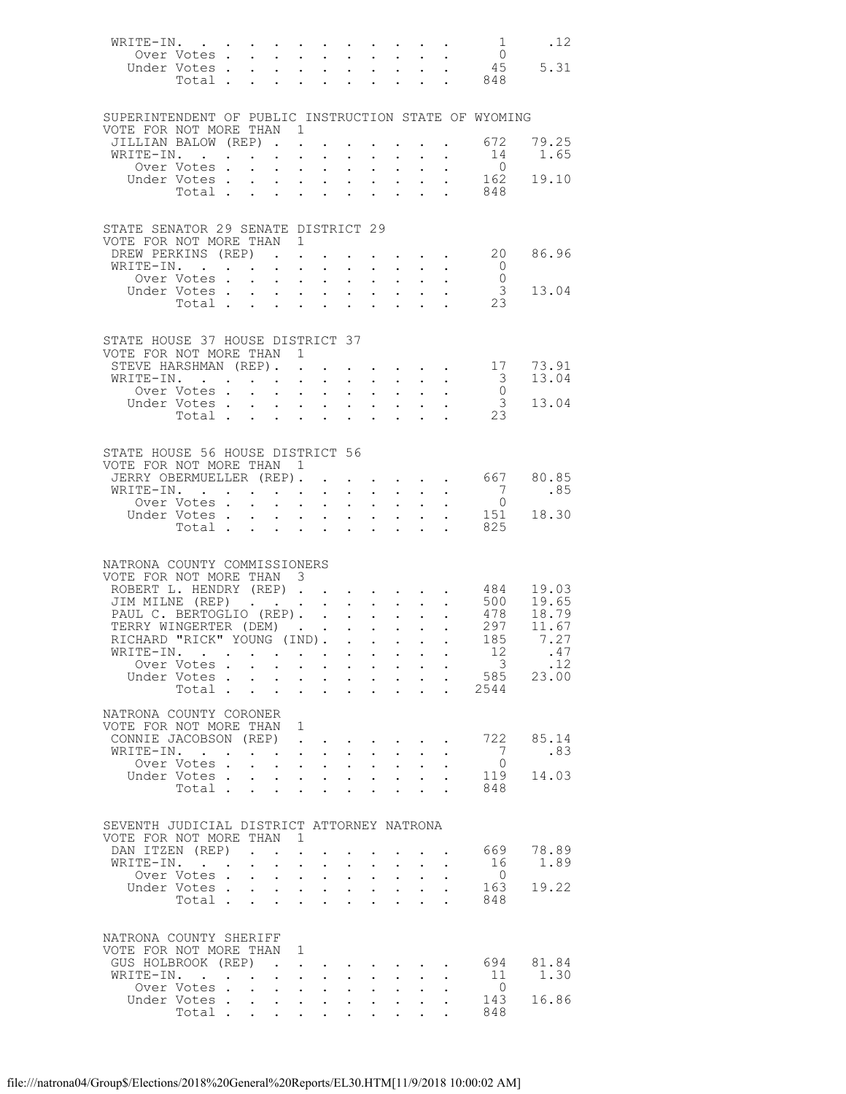| WRITE-IN.                                                                         |                                        |                                                                                                                                                                                                                                                                                                                                                                                                                                     |                                                                                |                                                                                                                                                                         |                                           |                                                                                                                                     |                                              |                                                                                             |                                                                                                         | $\sim$ 1                                  | .12           |
|-----------------------------------------------------------------------------------|----------------------------------------|-------------------------------------------------------------------------------------------------------------------------------------------------------------------------------------------------------------------------------------------------------------------------------------------------------------------------------------------------------------------------------------------------------------------------------------|--------------------------------------------------------------------------------|-------------------------------------------------------------------------------------------------------------------------------------------------------------------------|-------------------------------------------|-------------------------------------------------------------------------------------------------------------------------------------|----------------------------------------------|---------------------------------------------------------------------------------------------|---------------------------------------------------------------------------------------------------------|-------------------------------------------|---------------|
| Over Votes<br>Under Votes.                                                        |                                        |                                                                                                                                                                                                                                                                                                                                                                                                                                     |                                                                                | and a strategic control<br>$\mathbf{r} = \mathbf{r} \cdot \mathbf{r}$ , and $\mathbf{r} = \mathbf{r} \cdot \mathbf{r}$ , and $\mathbf{r} = \mathbf{r} \cdot \mathbf{r}$ |                                           |                                                                                                                                     |                                              |                                                                                             | $\mathbf{a} = \mathbf{a} \cdot \mathbf{a} + \mathbf{a} \cdot \mathbf{a}$ .                              | $\begin{array}{c} 0 \\ 45 \end{array}$    | 5.31          |
|                                                                                   | Total .                                | $\ddot{\phantom{a}}$                                                                                                                                                                                                                                                                                                                                                                                                                | $\mathbf{A} = \mathbf{A} \mathbf{A}$                                           | $\mathbf{z} = \mathbf{z} + \mathbf{z}$ .                                                                                                                                | $\mathbf{L}^{\text{max}}$                 |                                                                                                                                     | $\mathbf{u} = \mathbf{u} \cdot \mathbf{u}$ . |                                                                                             |                                                                                                         | . 848                                     |               |
|                                                                                   |                                        |                                                                                                                                                                                                                                                                                                                                                                                                                                     |                                                                                |                                                                                                                                                                         |                                           |                                                                                                                                     |                                              |                                                                                             |                                                                                                         |                                           |               |
|                                                                                   |                                        |                                                                                                                                                                                                                                                                                                                                                                                                                                     |                                                                                |                                                                                                                                                                         |                                           |                                                                                                                                     |                                              |                                                                                             |                                                                                                         |                                           |               |
| SUPERINTENDENT OF PUBLIC INSTRUCTION STATE OF WYOMING<br>VOTE FOR NOT MORE THAN 1 |                                        |                                                                                                                                                                                                                                                                                                                                                                                                                                     |                                                                                |                                                                                                                                                                         |                                           |                                                                                                                                     |                                              |                                                                                             |                                                                                                         |                                           |               |
| JILLIAN BALOW (REP)                                                               |                                        |                                                                                                                                                                                                                                                                                                                                                                                                                                     |                                                                                |                                                                                                                                                                         |                                           |                                                                                                                                     |                                              |                                                                                             | $\mathbf{r} = \mathbf{r} + \mathbf{r} + \mathbf{r} + \mathbf{r} + \mathbf{r}$                           | 672                                       | 79.25         |
| WRITE-IN.                                                                         |                                        |                                                                                                                                                                                                                                                                                                                                                                                                                                     |                                                                                |                                                                                                                                                                         |                                           |                                                                                                                                     |                                              |                                                                                             | $\mathbf{z} = \mathbf{z} + \mathbf{z} + \mathbf{z} + \mathbf{z} + \mathbf{z} + \mathbf{z}$              | 14                                        | 1.65          |
| Over Votes.<br>Under Votes                                                        |                                        |                                                                                                                                                                                                                                                                                                                                                                                                                                     |                                                                                | $\mathbf{r}$ , and $\mathbf{r}$ , and $\mathbf{r}$ , and $\mathbf{r}$ , and $\mathbf{r}$                                                                                |                                           |                                                                                                                                     |                                              |                                                                                             |                                                                                                         | $\overline{0}$<br>162                     | 19.10         |
|                                                                                   | Total.                                 |                                                                                                                                                                                                                                                                                                                                                                                                                                     |                                                                                |                                                                                                                                                                         |                                           |                                                                                                                                     |                                              |                                                                                             |                                                                                                         | 848                                       |               |
|                                                                                   |                                        |                                                                                                                                                                                                                                                                                                                                                                                                                                     |                                                                                |                                                                                                                                                                         |                                           |                                                                                                                                     |                                              |                                                                                             |                                                                                                         |                                           |               |
|                                                                                   |                                        |                                                                                                                                                                                                                                                                                                                                                                                                                                     |                                                                                |                                                                                                                                                                         |                                           |                                                                                                                                     |                                              |                                                                                             |                                                                                                         |                                           |               |
| STATE SENATOR 29 SENATE DISTRICT 29<br>VOTE FOR NOT MORE THAN 1                   |                                        |                                                                                                                                                                                                                                                                                                                                                                                                                                     |                                                                                |                                                                                                                                                                         |                                           |                                                                                                                                     |                                              |                                                                                             |                                                                                                         |                                           |               |
| DREW PERKINS (REP)                                                                |                                        |                                                                                                                                                                                                                                                                                                                                                                                                                                     |                                                                                |                                                                                                                                                                         |                                           | $\mathbf{r} = \mathbf{r} + \mathbf{r} + \mathbf{r} + \mathbf{r} + \mathbf{r}$                                                       |                                              |                                                                                             |                                                                                                         | 20                                        | 86.96         |
| WRITE-IN.                                                                         |                                        |                                                                                                                                                                                                                                                                                                                                                                                                                                     | $\mathbf{L}$ and $\mathbf{L}$                                                  | $\sim$                                                                                                                                                                  |                                           | $\cdot$ $\cdot$ $\cdot$ $\cdot$ $\cdot$ $\cdot$ $\cdot$                                                                             |                                              |                                                                                             |                                                                                                         | $\bigcirc$                                |               |
| Over Votes .                                                                      |                                        |                                                                                                                                                                                                                                                                                                                                                                                                                                     |                                                                                | $\mathbf{r} = \mathbf{r} + \mathbf{r} + \mathbf{r} + \mathbf{r}$                                                                                                        |                                           | $\bullet$ , and $\bullet$ , and $\bullet$ , and $\bullet$                                                                           |                                              |                                                                                             | $\mathbf{z} = \mathbf{z} + \mathbf{z}$ .                                                                | $\overline{0}$<br>$\overline{\mathbf{3}}$ |               |
| Under Votes                                                                       |                                        | Total                                                                                                                                                                                                                                                                                                                                                                                                                               |                                                                                |                                                                                                                                                                         |                                           |                                                                                                                                     |                                              |                                                                                             |                                                                                                         | 23                                        | 13.04         |
|                                                                                   |                                        |                                                                                                                                                                                                                                                                                                                                                                                                                                     |                                                                                |                                                                                                                                                                         |                                           |                                                                                                                                     |                                              |                                                                                             |                                                                                                         |                                           |               |
|                                                                                   |                                        |                                                                                                                                                                                                                                                                                                                                                                                                                                     |                                                                                |                                                                                                                                                                         |                                           |                                                                                                                                     |                                              |                                                                                             |                                                                                                         |                                           |               |
| STATE HOUSE 37 HOUSE DISTRICT 37<br>VOTE FOR NOT MORE THAN 1                      |                                        |                                                                                                                                                                                                                                                                                                                                                                                                                                     |                                                                                |                                                                                                                                                                         |                                           |                                                                                                                                     |                                              |                                                                                             |                                                                                                         |                                           |               |
| STEVE HARSHMAN (REP).                                                             |                                        |                                                                                                                                                                                                                                                                                                                                                                                                                                     |                                                                                |                                                                                                                                                                         |                                           |                                                                                                                                     |                                              |                                                                                             |                                                                                                         | $\cdot$ 17                                | 73.91         |
| WRITE-IN.                                                                         |                                        |                                                                                                                                                                                                                                                                                                                                                                                                                                     |                                                                                |                                                                                                                                                                         |                                           |                                                                                                                                     |                                              |                                                                                             | and a strong control of the strong                                                                      | $\overline{\phantom{a}}$                  | 13.04         |
| Over Votes                                                                        |                                        |                                                                                                                                                                                                                                                                                                                                                                                                                                     |                                                                                |                                                                                                                                                                         |                                           |                                                                                                                                     |                                              |                                                                                             |                                                                                                         | $\overline{0}$                            |               |
| Under Votes<br>Total                                                              |                                        |                                                                                                                                                                                                                                                                                                                                                                                                                                     |                                                                                |                                                                                                                                                                         |                                           |                                                                                                                                     |                                              |                                                                                             |                                                                                                         | $\mathcal{S}$<br>$\frac{3}{23}$           | 13.04         |
|                                                                                   |                                        |                                                                                                                                                                                                                                                                                                                                                                                                                                     |                                                                                |                                                                                                                                                                         |                                           |                                                                                                                                     |                                              |                                                                                             |                                                                                                         |                                           |               |
|                                                                                   |                                        |                                                                                                                                                                                                                                                                                                                                                                                                                                     |                                                                                |                                                                                                                                                                         |                                           |                                                                                                                                     |                                              |                                                                                             |                                                                                                         |                                           |               |
| STATE HOUSE 56 HOUSE DISTRICT 56                                                  |                                        |                                                                                                                                                                                                                                                                                                                                                                                                                                     |                                                                                |                                                                                                                                                                         |                                           |                                                                                                                                     |                                              |                                                                                             |                                                                                                         |                                           |               |
| VOTE FOR NOT MORE THAN 1<br>JERRY OBERMUELLER (REP).                              |                                        |                                                                                                                                                                                                                                                                                                                                                                                                                                     |                                                                                | $\ddot{\phantom{a}}$                                                                                                                                                    |                                           |                                                                                                                                     |                                              |                                                                                             | $\mathcal{L}^{\text{max}}(\mathcal{L}^{\text{max}}(\mathcal{L}^{\text{max}}(\mathcal{L}^{\text{max}}))$ | 667                                       | 80.85         |
| WRITE-IN.                                                                         |                                        |                                                                                                                                                                                                                                                                                                                                                                                                                                     |                                                                                | $\sim$                                                                                                                                                                  |                                           | $\cdot$ $\cdot$ $\cdot$ $\cdot$ $\cdot$ $\cdot$                                                                                     |                                              |                                                                                             |                                                                                                         | $\overline{7}$                            | .85           |
| Over Votes                                                                        |                                        |                                                                                                                                                                                                                                                                                                                                                                                                                                     |                                                                                | $\mathbf{z} = \mathbf{z} + \mathbf{z} + \mathbf{z}$ .                                                                                                                   | $\bullet$ .                               |                                                                                                                                     |                                              | $\mathbf{u} = \mathbf{u} \cdot \mathbf{u}$ , and $\mathbf{u} = \mathbf{u} \cdot \mathbf{u}$ |                                                                                                         | $\overline{0}$                            |               |
| Under Votes                                                                       |                                        | Total                                                                                                                                                                                                                                                                                                                                                                                                                               |                                                                                |                                                                                                                                                                         |                                           |                                                                                                                                     |                                              |                                                                                             | $\sim$ 100 $\sim$                                                                                       | 151<br>825                                | 18.30         |
|                                                                                   |                                        |                                                                                                                                                                                                                                                                                                                                                                                                                                     |                                                                                |                                                                                                                                                                         |                                           |                                                                                                                                     |                                              | $\bullet$ .<br><br><br><br><br><br><br><br><br><br><br><br>                                 |                                                                                                         |                                           |               |
|                                                                                   |                                        |                                                                                                                                                                                                                                                                                                                                                                                                                                     |                                                                                |                                                                                                                                                                         |                                           |                                                                                                                                     |                                              |                                                                                             |                                                                                                         |                                           |               |
| NATRONA COUNTY COMMISSIONERS                                                      |                                        |                                                                                                                                                                                                                                                                                                                                                                                                                                     |                                                                                |                                                                                                                                                                         |                                           |                                                                                                                                     |                                              |                                                                                             |                                                                                                         |                                           |               |
| VOTE FOR NOT MORE THAN 3<br>ROBERT L. HENDRY (REP) 484                            |                                        |                                                                                                                                                                                                                                                                                                                                                                                                                                     |                                                                                |                                                                                                                                                                         |                                           |                                                                                                                                     |                                              |                                                                                             |                                                                                                         |                                           | 19.03         |
| JIM MILNE (REP)                                                                   |                                        |                                                                                                                                                                                                                                                                                                                                                                                                                                     |                                                                                |                                                                                                                                                                         |                                           |                                                                                                                                     |                                              |                                                                                             |                                                                                                         | 500                                       | 19.65         |
| PAUL C. BERTOGLIO (REP).                                                          |                                        |                                                                                                                                                                                                                                                                                                                                                                                                                                     |                                                                                |                                                                                                                                                                         |                                           |                                                                                                                                     |                                              |                                                                                             |                                                                                                         | 478                                       | 18.79         |
| TERRY WINGERTER (DEM)<br>RICHARD "RICK" YOUNG (IND).                              |                                        |                                                                                                                                                                                                                                                                                                                                                                                                                                     |                                                                                |                                                                                                                                                                         |                                           |                                                                                                                                     |                                              |                                                                                             |                                                                                                         | 297<br>185                                | 11.67<br>7.27 |
| WRITE-IN.                                                                         |                                        | $\mathbf{a} = \mathbf{a} + \mathbf{a} + \mathbf{a} + \mathbf{a} + \mathbf{a} + \mathbf{a} + \mathbf{a} + \mathbf{a} + \mathbf{a} + \mathbf{a} + \mathbf{a} + \mathbf{a} + \mathbf{a} + \mathbf{a} + \mathbf{a} + \mathbf{a} + \mathbf{a} + \mathbf{a} + \mathbf{a} + \mathbf{a} + \mathbf{a} + \mathbf{a} + \mathbf{a} + \mathbf{a} + \mathbf{a} + \mathbf{a} + \mathbf{a} + \mathbf{a} + \mathbf{a} + \mathbf{a} + \mathbf$        |                                                                                |                                                                                                                                                                         |                                           |                                                                                                                                     |                                              |                                                                                             |                                                                                                         | 12                                        | .47           |
| Over Votes                                                                        |                                        |                                                                                                                                                                                                                                                                                                                                                                                                                                     |                                                                                |                                                                                                                                                                         |                                           |                                                                                                                                     |                                              |                                                                                             |                                                                                                         | $\overline{\mathbf{3}}$                   | .12           |
| Under Votes                                                                       |                                        | $\begin{array}{cccccccccc} \mathbf{1} & \mathbf{1} & \mathbf{1} & \mathbf{1} & \mathbf{1} & \mathbf{1} & \mathbf{1} & \mathbf{1} & \mathbf{1} & \mathbf{1} & \mathbf{1} & \mathbf{1} & \mathbf{1} & \mathbf{1} & \mathbf{1} & \mathbf{1} & \mathbf{1} & \mathbf{1} & \mathbf{1} & \mathbf{1} & \mathbf{1} & \mathbf{1} & \mathbf{1} & \mathbf{1} & \mathbf{1} & \mathbf{1} & \mathbf{1} & \mathbf{1} & \mathbf{1} & \mathbf{1} & \$ |                                                                                |                                                                                                                                                                         |                                           |                                                                                                                                     |                                              |                                                                                             |                                                                                                         | 585                                       | 23.00         |
|                                                                                   | Total .                                |                                                                                                                                                                                                                                                                                                                                                                                                                                     |                                                                                |                                                                                                                                                                         |                                           |                                                                                                                                     |                                              |                                                                                             |                                                                                                         | 2544                                      |               |
| NATRONA COUNTY CORONER                                                            |                                        |                                                                                                                                                                                                                                                                                                                                                                                                                                     |                                                                                |                                                                                                                                                                         |                                           |                                                                                                                                     |                                              |                                                                                             |                                                                                                         |                                           |               |
| VOTE FOR NOT MORE THAN 1                                                          |                                        |                                                                                                                                                                                                                                                                                                                                                                                                                                     |                                                                                |                                                                                                                                                                         |                                           |                                                                                                                                     |                                              |                                                                                             |                                                                                                         |                                           |               |
| CONNIE JACOBSON (REP).                                                            |                                        |                                                                                                                                                                                                                                                                                                                                                                                                                                     |                                                                                |                                                                                                                                                                         |                                           |                                                                                                                                     |                                              |                                                                                             |                                                                                                         | 722                                       | 85.14         |
| WRITE-IN.<br>Over Votes .                                                         |                                        | $\mathbf{L}^{\text{max}}$ , and $\mathbf{L}^{\text{max}}$                                                                                                                                                                                                                                                                                                                                                                           |                                                                                | $\mathcal{A}^{\mathcal{A}}$ and $\mathcal{A}^{\mathcal{A}}$ and<br>$\mathbf{r} = \mathbf{r} \times \mathbf{r}$                                                          | $\mathbf{L}^{\text{max}}$<br>$\mathbf{L}$ | $\sim 100$<br>$\sim$                                                                                                                | $\bullet$ .<br>$\ddot{\phantom{a}}$          |                                                                                             |                                                                                                         | 7<br>$\circ$                              | .83           |
| Under Votes.                                                                      |                                        | $\bullet$ .<br><br><br><br><br><br><br><br><br><br><br><br>                                                                                                                                                                                                                                                                                                                                                                         | $\sim 10$                                                                      | $\mathcal{A}(\mathcal{A})$ , and $\mathcal{A}(\mathcal{A})$                                                                                                             | $\bullet$ .                               |                                                                                                                                     | $\mathbf{z} = \mathbf{z} + \mathbf{z}$       |                                                                                             |                                                                                                         | 119                                       | 14.03         |
|                                                                                   | Total .                                | $\mathbf{r}$ , $\mathbf{r}$ , $\mathbf{r}$ , $\mathbf{r}$ , $\mathbf{r}$ , $\mathbf{r}$                                                                                                                                                                                                                                                                                                                                             |                                                                                |                                                                                                                                                                         |                                           |                                                                                                                                     |                                              | <b>Contract Contract Contract</b>                                                           |                                                                                                         | 848                                       |               |
|                                                                                   |                                        |                                                                                                                                                                                                                                                                                                                                                                                                                                     |                                                                                |                                                                                                                                                                         |                                           |                                                                                                                                     |                                              |                                                                                             |                                                                                                         |                                           |               |
| SEVENTH JUDICIAL DISTRICT ATTORNEY NATRONA                                        |                                        |                                                                                                                                                                                                                                                                                                                                                                                                                                     |                                                                                |                                                                                                                                                                         |                                           |                                                                                                                                     |                                              |                                                                                             |                                                                                                         |                                           |               |
| VOTE FOR NOT MORE THAN 1                                                          |                                        |                                                                                                                                                                                                                                                                                                                                                                                                                                     |                                                                                |                                                                                                                                                                         |                                           |                                                                                                                                     |                                              |                                                                                             |                                                                                                         |                                           |               |
| DAN ITZEN (REP)                                                                   |                                        | $\mathbf{L}$                                                                                                                                                                                                                                                                                                                                                                                                                        |                                                                                |                                                                                                                                                                         |                                           |                                                                                                                                     |                                              |                                                                                             |                                                                                                         | 669                                       | 78.89         |
| WRITE-IN.<br>Over Votes .                                                         |                                        | $\ddot{\phantom{0}}$                                                                                                                                                                                                                                                                                                                                                                                                                | $\sim$<br>$\sim$ $\sim$<br>$\mathbf{L}^{\text{max}}$<br>$\sim$ $-$             | $\sim$<br>$\sim 100$                                                                                                                                                    | $\ddot{\phantom{0}}$                      | $\bullet$ .                                                                                                                         | $\bullet$ .                                  | $\mathcal{L}^{\text{max}}$                                                                  |                                                                                                         | 16<br>$\overline{0}$                      | 1.89          |
| Under Votes .                                                                     |                                        |                                                                                                                                                                                                                                                                                                                                                                                                                                     |                                                                                | $\mathbf{r}$ , $\mathbf{r}$ , $\mathbf{r}$                                                                                                                              | $\mathbf{L}$                              | $\mathbf{L}^{\text{max}}$                                                                                                           | $\mathbf{L}$                                 | $\sim$                                                                                      |                                                                                                         | 163                                       | 19.22         |
|                                                                                   |                                        | Total                                                                                                                                                                                                                                                                                                                                                                                                                               |                                                                                |                                                                                                                                                                         | $\ddot{\phantom{0}}$                      | $\sim$ 100 $\pm$                                                                                                                    | $\bullet$ .                                  | $\ddot{\phantom{0}}$                                                                        | $\ddot{\phantom{a}}$                                                                                    | 848                                       |               |
|                                                                                   |                                        |                                                                                                                                                                                                                                                                                                                                                                                                                                     |                                                                                |                                                                                                                                                                         |                                           |                                                                                                                                     |                                              |                                                                                             |                                                                                                         |                                           |               |
| NATRONA COUNTY SHERIFF                                                            |                                        |                                                                                                                                                                                                                                                                                                                                                                                                                                     |                                                                                |                                                                                                                                                                         |                                           |                                                                                                                                     |                                              |                                                                                             |                                                                                                         |                                           |               |
| VOTE FOR NOT MORE THAN                                                            |                                        |                                                                                                                                                                                                                                                                                                                                                                                                                                     | $\mathbf{1}$                                                                   |                                                                                                                                                                         |                                           |                                                                                                                                     |                                              |                                                                                             |                                                                                                         |                                           |               |
| GUS HOLBROOK (REP)                                                                |                                        |                                                                                                                                                                                                                                                                                                                                                                                                                                     | $\mathbf{r}$ , $\mathbf{r}$ , $\mathbf{r}$                                     |                                                                                                                                                                         |                                           | $\begin{array}{cccccccccccccc} \bullet & \bullet & \bullet & \bullet & \bullet & \bullet & \bullet & \bullet & \bullet \end{array}$ |                                              |                                                                                             |                                                                                                         | 694                                       | 81.84         |
| WRITE-IN.<br>Over Votes.                                                          | $\mathbf{r}$ . The set of $\mathbf{r}$ | $\bullet$ .<br><br><br><br><br><br><br><br><br><br><br><br><br>$\sim$                                                                                                                                                                                                                                                                                                                                                               | $\mathbf{A}^{(1)}$ and $\mathbf{A}^{(2)}$ and<br>$\mathbf{L}$ and $\mathbf{L}$ | $\sim$ $-$<br>$\sim$ $-$                                                                                                                                                |                                           | $\mathbf{L}^{\text{max}}$<br>$\ddot{\phantom{a}}$                                                                                   | $\sim$                                       |                                                                                             |                                                                                                         | 11<br>$\overline{0}$                      | 1.30          |
| Under Votes.                                                                      |                                        | $\bullet$ .<br><br><br><br><br><br><br><br><br><br><br><br>                                                                                                                                                                                                                                                                                                                                                                         | $\sim 10^{-11}$<br>$\sim$ $-$                                                  | $\sim$ $-$                                                                                                                                                              | $\ddot{\phantom{0}}$                      | $\bullet$                                                                                                                           |                                              |                                                                                             |                                                                                                         | 143                                       | 16.86         |
|                                                                                   |                                        | Total                                                                                                                                                                                                                                                                                                                                                                                                                               |                                                                                |                                                                                                                                                                         |                                           |                                                                                                                                     |                                              |                                                                                             |                                                                                                         | 848                                       |               |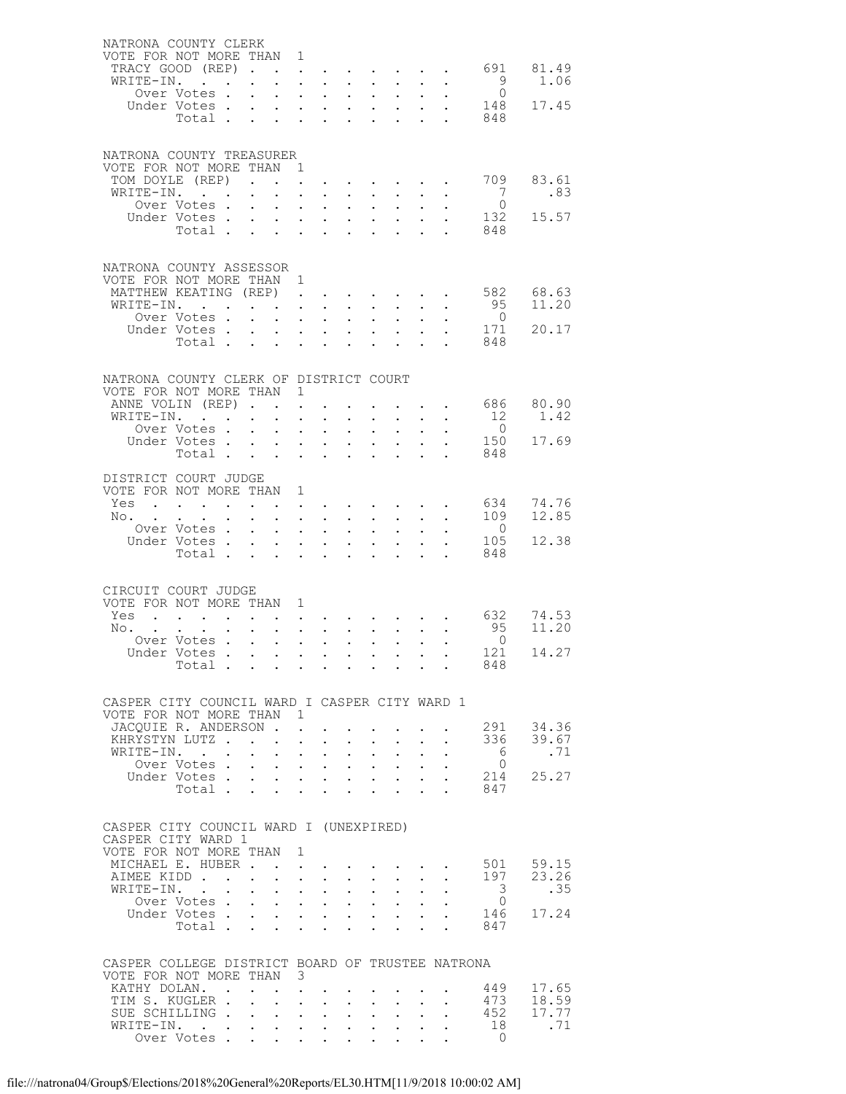| NATRONA COUNTY CLERK<br>VOTE FOR NOT MORE THAN 1<br>WRITE-IN.                     | TRACY GOOD (REP).<br>Over Votes .                                                                                                                                 |                                                                     | $\ddot{\phantom{0}}$<br>$\ddot{\phantom{0}}$                                                                                      | $\mathbf{a}^{\prime}$ , $\mathbf{a}^{\prime}$ , $\mathbf{a}^{\prime}$ , $\mathbf{a}^{\prime}$ , $\mathbf{a}^{\prime}$ | $\cdot$ $\cdot$ $\cdot$                                               | $\mathbf{u}^{\prime}$ , $\mathbf{u}^{\prime}$ , $\mathbf{u}^{\prime}$ , $\mathbf{u}^{\prime}$ , $\mathbf{u}^{\prime}$ , $\mathbf{u}^{\prime}$ , $\mathbf{u}^{\prime}$<br>$\mathbf{L}$<br>$\bullet$ . | $\sim$ $-$<br>$\mathbf{A}^{\mathrm{max}}$            | $\ddot{\phantom{0}}$<br>$\sim$                                                        |                                | $\bullet$ .<br><br><br><br><br><br><br><br><br><br><br><br><br>                                                                   | 9<br>$\bigcirc$                      | 691 81.49<br>1.06      |
|-----------------------------------------------------------------------------------|-------------------------------------------------------------------------------------------------------------------------------------------------------------------|---------------------------------------------------------------------|-----------------------------------------------------------------------------------------------------------------------------------|-----------------------------------------------------------------------------------------------------------------------|-----------------------------------------------------------------------|------------------------------------------------------------------------------------------------------------------------------------------------------------------------------------------------------|------------------------------------------------------|---------------------------------------------------------------------------------------|--------------------------------|-----------------------------------------------------------------------------------------------------------------------------------|--------------------------------------|------------------------|
|                                                                                   | Under Votes.<br>Total                                                                                                                                             |                                                                     | $\mathbf{L}$<br>$\sim 10^{-10}$                                                                                                   | $\ddot{\phantom{0}}$                                                                                                  | $\mathbf{L}^{\text{max}}$ , where $\mathbf{L}^{\text{max}}$<br>$\sim$ | $\ddot{\phantom{0}}$                                                                                                                                                                                 | $\cdot$ $\cdot$ $\cdot$<br>$\ddot{\phantom{0}}$      | $\sim 10^7$<br>$\ddot{\phantom{0}}$                                                   |                                |                                                                                                                                   | 848                                  | 148 17.45              |
| NATRONA COUNTY TREASURER<br>VOTE FOR NOT MORE THAN 1                              | TOM DOYLE (REP)                                                                                                                                                   |                                                                     |                                                                                                                                   | $\ddot{\phantom{0}}$                                                                                                  |                                                                       |                                                                                                                                                                                                      |                                                      |                                                                                       |                                |                                                                                                                                   | 709                                  | 83.61                  |
| WRITE-IN.                                                                         | Over Votes.                                                                                                                                                       | $\mathbf{L}$                                                        | $\mathbf{L}^{\text{max}}$<br>$\mathbf{r}$                                                                                         | and a strategic state                                                                                                 | $\mathbf{L} = \mathbf{L}$                                             | $\mathcal{L}^{\text{max}}$<br>$\ddot{\phantom{0}}$                                                                                                                                                   | $\sim$                                               | $\mathcal{A}^{\mathcal{A}}$ and $\mathcal{A}^{\mathcal{A}}$ .<br>$\ddot{\phantom{a}}$ |                                |                                                                                                                                   | $\begin{matrix} 7 \\ 0 \end{matrix}$ | .83                    |
|                                                                                   | Under Votes<br>Total                                                                                                                                              |                                                                     |                                                                                                                                   | <b>All Carl Adams</b>                                                                                                 | $\mathbf{r} = \mathbf{r}$                                             | $\mathcal{L}^{\text{max}}$                                                                                                                                                                           |                                                      | $\mathbf{L}^{\text{max}}$ , $\mathbf{L}^{\text{max}}$<br>and a straight               |                                |                                                                                                                                   | 132<br>848                           | 15.57                  |
| NATRONA COUNTY ASSESSOR<br>VOTE FOR NOT MORE THAN 1<br>MATTHEW KEATING (REP)      |                                                                                                                                                                   |                                                                     |                                                                                                                                   |                                                                                                                       |                                                                       |                                                                                                                                                                                                      |                                                      |                                                                                       |                                |                                                                                                                                   | 582                                  | 68.63                  |
|                                                                                   | WRITE-IN.                                                                                                                                                         |                                                                     | $\sim$ $\sim$ $\sim$                                                                                                              |                                                                                                                       | $\cdot$ $\cdot$                                                       | $\ddot{\phantom{0}}$                                                                                                                                                                                 | $\sim$                                               | $\bullet$ , $\bullet$ , $\bullet$ , $\bullet$ , $\bullet$<br>$\ddot{\phantom{0}}$     |                                |                                                                                                                                   | 95                                   | 11.20                  |
|                                                                                   | Over Votes .<br>Under Votes.                                                                                                                                      |                                                                     | $\sim$<br>$\ddot{\phantom{0}}$<br>$\mathbf{L}^{\text{max}}$<br>$\mathbf{L}$                                                       | <b>Carl Carl Control</b>                                                                                              | $\cdot$ $\cdot$ $\cdot$                                               | $\bullet$ .                                                                                                                                                                                          | $\mathbf{z} = \mathbf{z}$<br>$\cdot$ $\cdot$ $\cdot$ | $\sim$<br>$\mathcal{L}^{\text{max}}$                                                  |                                |                                                                                                                                   | $\overline{0}$<br>171                | 20.17                  |
|                                                                                   | Total                                                                                                                                                             |                                                                     |                                                                                                                                   |                                                                                                                       | $\ddot{\phantom{a}}$                                                  |                                                                                                                                                                                                      |                                                      | $\mathbf{r} = \mathbf{r} + \mathbf{r}$ .                                              |                                | $\sim$                                                                                                                            | 848                                  |                        |
| NATRONA COUNTY CLERK OF DISTRICT COURT<br>VOTE FOR NOT MORE THAN 1                |                                                                                                                                                                   |                                                                     |                                                                                                                                   |                                                                                                                       |                                                                       |                                                                                                                                                                                                      |                                                      |                                                                                       |                                |                                                                                                                                   |                                      |                        |
| ANNE VOLIN (REP). .                                                               |                                                                                                                                                                   |                                                                     |                                                                                                                                   | $\mathbb{Z}^{\mathbb{Z}^2}$                                                                                           |                                                                       |                                                                                                                                                                                                      |                                                      |                                                                                       |                                | $\mathbf{r} = \mathbf{r} + \mathbf{r}$                                                                                            |                                      | 686 80.90              |
| WRITE-IN. .                                                                       | Over Votes .                                                                                                                                                      | $\mathbf{L}^{\text{max}}$ , and $\mathbf{L}^{\text{max}}$<br>$\sim$ | $\mathbf{r}$                                                                                                                      | $\mathbf{A}^{(1)}$ and $\mathbf{A}^{(2)}$ and $\mathbf{A}^{(3)}$<br>$\ddot{\phantom{0}}$                              | $\sim$                                                                | $\mathbf{L}^{\text{max}}$<br>$\mathbf{L}$                                                                                                                                                            | $\mathcal{L}^{\text{max}}$                           | $\mathcal{L}^{\text{max}}$ , where $\mathcal{L}^{\text{max}}$<br>$\ddot{\phantom{0}}$ |                                |                                                                                                                                   | 12<br>$\overline{0}$                 | 1.42                   |
|                                                                                   | Under Votes<br>Total .                                                                                                                                            |                                                                     | <b>Carl Carl Corporation</b>                                                                                                      | <b>All Contracts</b><br>$\ddot{\phantom{a}}$                                                                          | $\sim$                                                                | $\mathcal{L}^{\mathcal{L}}$                                                                                                                                                                          | $\mathbf{L}^{\text{max}}$                            | $\mathcal{L}^{\mathcal{L}}$                                                           | $\ddot{\phantom{0}}$           | $\mathbf{r}$                                                                                                                      | 150<br>848                           | 17.69                  |
| DISTRICT COURT JUDGE                                                              |                                                                                                                                                                   |                                                                     |                                                                                                                                   |                                                                                                                       |                                                                       |                                                                                                                                                                                                      |                                                      |                                                                                       |                                |                                                                                                                                   |                                      |                        |
| VOTE FOR NOT MORE THAN 1<br>$Yes \cdot \cdot \cdot \cdot \cdot \cdot \cdot \cdot$ |                                                                                                                                                                   |                                                                     |                                                                                                                                   |                                                                                                                       |                                                                       |                                                                                                                                                                                                      |                                                      |                                                                                       |                                |                                                                                                                                   |                                      | 634 74.76              |
| No.                                                                               | $\bullet$ .<br><br><br><br><br><br><br><br><br><br><br><br><br>Over Votes .                                                                                       | $\sim$ $-$<br>$\sim$ $\sim$                                         | $\mathbf{z} = \mathbf{z}$<br>$\mathbf{r}$                                                                                         | $\mathbf{z} = \mathbf{z} + \mathbf{z}$ , where                                                                        | $\mathbf{L} = \mathbf{L}$                                             | $\ddot{\phantom{0}}$<br>$\ddot{\phantom{0}}$                                                                                                                                                         | $\ddot{\phantom{0}}$                                 | $\mathbf{L}^{\text{max}}$ , $\mathbf{L}^{\text{max}}$<br>$\ddot{\phantom{0}}$         |                                | $\bullet$                                                                                                                         | 109<br>$\overline{0}$                | 12.85                  |
|                                                                                   | Under Votes<br>Total                                                                                                                                              |                                                                     |                                                                                                                                   | $\mathbf{A}^{(i)}$ and $\mathbf{A}^{(i)}$ and $\mathbf{A}^{(i)}$ and<br>$\ddot{\phantom{a}}$                          | $\sim$                                                                | $\bullet$ .                                                                                                                                                                                          | $\mathbf{L}^{\text{max}}$                            | $\bullet$ .<br>$\sim$                                                                 | $\mathbf{L}^{\text{max}}$      | $\mathbf{r}$                                                                                                                      | 105<br>848                           | 12.38                  |
|                                                                                   |                                                                                                                                                                   |                                                                     |                                                                                                                                   |                                                                                                                       |                                                                       |                                                                                                                                                                                                      |                                                      |                                                                                       |                                |                                                                                                                                   |                                      |                        |
| CIRCUIT COURT JUDGE<br>VOTE FOR NOT MORE THAN 1<br>Yes                            |                                                                                                                                                                   |                                                                     |                                                                                                                                   |                                                                                                                       |                                                                       |                                                                                                                                                                                                      |                                                      |                                                                                       |                                |                                                                                                                                   | 632                                  | 74.53                  |
| No.                                                                               | $\mathbf{u}^{\prime}$ , and $\mathbf{u}^{\prime}$ , and $\mathbf{u}^{\prime}$ , and $\mathbf{u}^{\prime}$ , and $\mathbf{u}^{\prime}$ , and $\mathbf{u}^{\prime}$ |                                                                     |                                                                                                                                   | $\mathbf{L}$ and $\mathbf{L}$                                                                                         | $\sim$ 100 $\pm$                                                      |                                                                                                                                                                                                      | $\ddot{\phantom{0}}$                                 | $\ddot{\phantom{a}}$                                                                  |                                |                                                                                                                                   | 95                                   | 11.20                  |
|                                                                                   | Over Votes<br>Under Votes                                                                                                                                         |                                                                     | $\sim 10^{-11}$                                                                                                                   | $\mathbf{L}^{\text{max}}$                                                                                             | $\sim$ 100 $\pm$                                                      | $\bullet$ .                                                                                                                                                                                          | $\bullet$ .                                          | $\ddot{\phantom{0}}$                                                                  |                                | $\ddot{\phantom{0}}$                                                                                                              | $\overline{0}$<br>121                | 14.27                  |
|                                                                                   | Total                                                                                                                                                             |                                                                     |                                                                                                                                   |                                                                                                                       |                                                                       |                                                                                                                                                                                                      |                                                      |                                                                                       |                                |                                                                                                                                   | 848                                  |                        |
| CASPER CITY COUNCIL WARD I CASPER CITY WARD 1<br>VOTE FOR NOT MORE THAN 1         |                                                                                                                                                                   |                                                                     |                                                                                                                                   |                                                                                                                       |                                                                       |                                                                                                                                                                                                      |                                                      |                                                                                       |                                |                                                                                                                                   |                                      |                        |
|                                                                                   | JACOUIE R. ANDERSON<br>KHRYSTYN LUTZ                                                                                                                              |                                                                     |                                                                                                                                   |                                                                                                                       |                                                                       |                                                                                                                                                                                                      |                                                      | $\mathbf{r} = \mathbf{r} \mathbf{r}$ , where $\mathbf{r} = \mathbf{r} \mathbf{r}$     | $\mathbf{L}^{\text{max}}$      | $\sim$ $-$                                                                                                                        |                                      | 291 34.36<br>336 39.67 |
|                                                                                   | WRITE-IN.<br>Over Votes .                                                                                                                                         |                                                                     | $\bullet$ .<br><br><br><br><br><br><br><br><br><br><br><br>                                                                       | $\mathbf{r} = \mathbf{r} \times \mathbf{r}$ , where $\mathbf{r} = \mathbf{r}$<br><b>All Carl Adams</b>                |                                                                       | $\mathbf{L}^{\text{max}}$                                                                                                                                                                            | $\mathbf{L}$ and $\mathbf{L}$                        | $\mathcal{L}^{\text{max}}$<br>$\mathbf{L} = \mathbf{L} \mathbf{L}$                    | $\ddot{\phantom{0}}$<br>$\sim$ |                                                                                                                                   | $6\overline{6}$<br>$\bigcirc$        | .71                    |
|                                                                                   |                                                                                                                                                                   |                                                                     |                                                                                                                                   |                                                                                                                       |                                                                       |                                                                                                                                                                                                      |                                                      |                                                                                       |                                | $\sim$ 100 $\pm$                                                                                                                  |                                      | 214 25.27              |
|                                                                                   |                                                                                                                                                                   |                                                                     |                                                                                                                                   |                                                                                                                       |                                                                       |                                                                                                                                                                                                      |                                                      |                                                                                       |                                | $\mathbf{L}$ and $\mathbf{L}$                                                                                                     | 847                                  |                        |
| CASPER CITY COUNCIL WARD I (UNEXPIRED)<br>CASPER CITY WARD 1                      |                                                                                                                                                                   |                                                                     |                                                                                                                                   |                                                                                                                       |                                                                       |                                                                                                                                                                                                      |                                                      |                                                                                       |                                |                                                                                                                                   |                                      |                        |
| VOTE FOR NOT MORE THAN 1<br>MICHAEL E. HUBER.                                     |                                                                                                                                                                   |                                                                     |                                                                                                                                   |                                                                                                                       |                                                                       |                                                                                                                                                                                                      |                                                      |                                                                                       |                                | $\mathbf{u} = \mathbf{u} + \mathbf{u} + \mathbf{u} + \mathbf{u} + \mathbf{u} + \mathbf{u} + \mathbf{u} + \mathbf{u} + \mathbf{u}$ |                                      | 501 59.15              |
| AIMEE KIDD                                                                        |                                                                                                                                                                   |                                                                     |                                                                                                                                   | $\mathbf{L} = \mathbf{L} \mathbf{L} + \mathbf{L} \mathbf{L}$                                                          |                                                                       |                                                                                                                                                                                                      | $\mathbf{L}$ and $\mathbf{L}$                        | $\sim$                                                                                |                                |                                                                                                                                   | 197                                  | 23.26                  |
|                                                                                   | WRITE-IN.<br>Over Votes                                                                                                                                           |                                                                     |                                                                                                                                   | $\mathbf{1}=\mathbf{1}=\mathbf{1}=\mathbf{1}=\mathbf{1}=\mathbf{1}$                                                   |                                                                       | $\bullet$ .                                                                                                                                                                                          |                                                      | $\mathcal{L}(\mathcal{A})$ and $\mathcal{A}(\mathcal{A})$ .                           |                                |                                                                                                                                   | 3<br>$\overline{0}$                  | .35                    |
|                                                                                   | Under Votes<br>Total                                                                                                                                              |                                                                     |                                                                                                                                   |                                                                                                                       | $\mathbf{L} = \mathbf{L}$                                             |                                                                                                                                                                                                      |                                                      | $\mathbf{1}$ $\mathbf{1}$ $\mathbf{1}$ $\mathbf{1}$                                   | $\mathbf{L}^{\text{max}}$      |                                                                                                                                   | 146<br>847                           | 17.24                  |
| CASPER COLLEGE DISTRICT BOARD OF TRUSTEE NATRONA                                  |                                                                                                                                                                   |                                                                     |                                                                                                                                   |                                                                                                                       |                                                                       |                                                                                                                                                                                                      |                                                      |                                                                                       |                                |                                                                                                                                   |                                      |                        |
| VOTE FOR NOT MORE THAN 3                                                          | KATHY DOLAN. .                                                                                                                                                    |                                                                     |                                                                                                                                   | $\mathbf{r} = \mathbf{r} \cdot \mathbf{r}$ , where $\mathbf{r} = \mathbf{r} \cdot \mathbf{r}$                         |                                                                       |                                                                                                                                                                                                      |                                                      |                                                                                       |                                |                                                                                                                                   | 449                                  | 17.65                  |
|                                                                                   | TIM S. KUGLER .<br>SUE SCHILLING                                                                                                                                  |                                                                     | $\ddot{\phantom{0}}$                                                                                                              | $\mathbf{r} = \mathbf{r} + \mathbf{r}$ .                                                                              | $\sim$ 100 $\pm$                                                      |                                                                                                                                                                                                      | $\mathbf{z} = \mathbf{z} + \mathbf{z}$ .             | $\sim$ $-$                                                                            |                                |                                                                                                                                   | 473<br>$\overline{452}$              | 18.59<br>17.77         |
|                                                                                   | WRITE-IN.<br>Over Votes .                                                                                                                                         |                                                                     | $\mathbf{r} = \mathbf{r} + \mathbf{r} + \mathbf{r} + \mathbf{r} + \mathbf{r} + \mathbf{r} + \mathbf{r} + \mathbf{r} + \mathbf{r}$ |                                                                                                                       |                                                                       |                                                                                                                                                                                                      |                                                      |                                                                                       |                                | $\mathcal{L}^{\text{max}}$                                                                                                        | 18                                   | .71                    |
|                                                                                   |                                                                                                                                                                   |                                                                     | $\mathbf{L}^{\text{max}}$                                                                                                         | $\mathbf{1}=\mathbf{1}=\mathbf{1}=\mathbf{1}=\mathbf{1}=\mathbf{1}$                                                   |                                                                       |                                                                                                                                                                                                      |                                                      | $\mathbf{1}=\mathbf{1}=\mathbf{1}=\mathbf{1}=\mathbf{1}$                              |                                |                                                                                                                                   | $\Omega$                             |                        |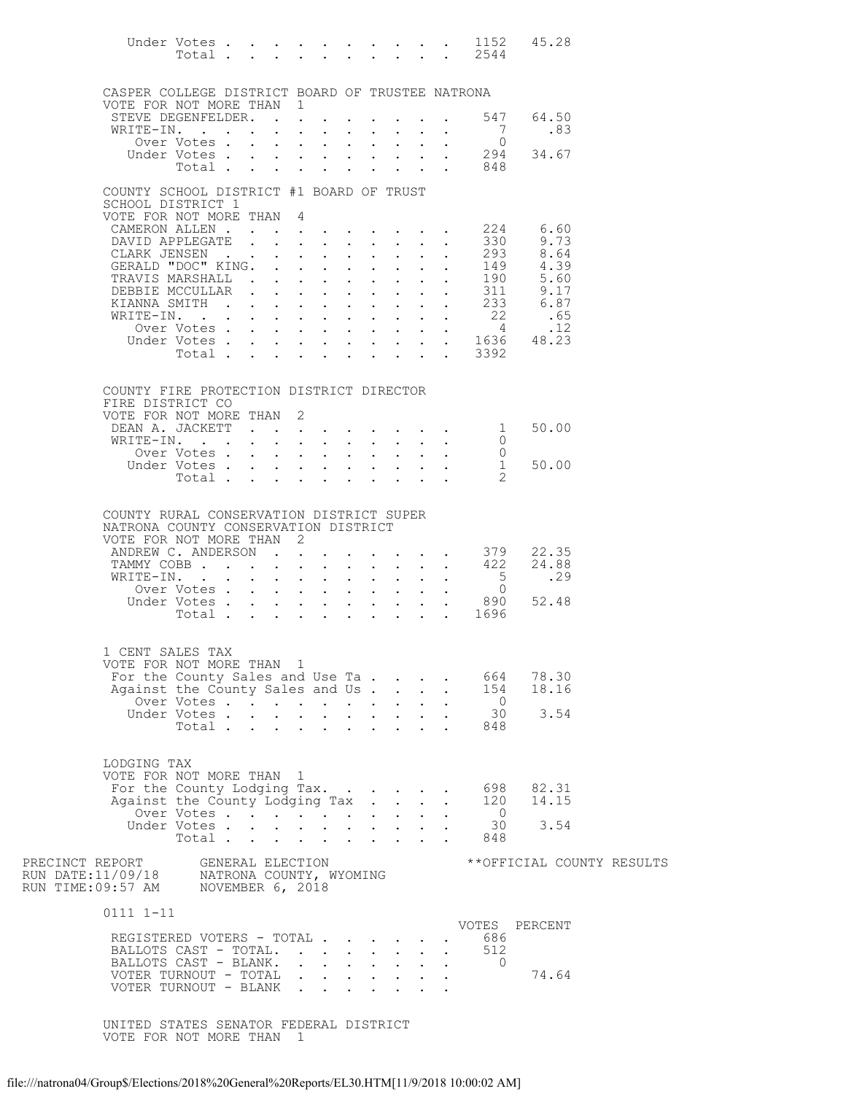|                                                                                                            | Under Votes<br>Total        |                                        |                      |                                                                                            | $\mathbf{L} = \mathbf{L} \mathbf{L}$                        | $\ddot{\phantom{0}}$                                      |                                                       |                           |              | 1152<br>$\cdot$ $\cdot$ $\cdot$ 2544                                                           | 45.28                     |  |
|------------------------------------------------------------------------------------------------------------|-----------------------------|----------------------------------------|----------------------|--------------------------------------------------------------------------------------------|-------------------------------------------------------------|-----------------------------------------------------------|-------------------------------------------------------|---------------------------|--------------|------------------------------------------------------------------------------------------------|---------------------------|--|
| CASPER COLLEGE DISTRICT BOARD OF TRUSTEE NATRONA<br>VOTE FOR NOT MORE THAN 1                               |                             |                                        |                      |                                                                                            |                                                             |                                                           |                                                       |                           |              |                                                                                                |                           |  |
| STEVE DEGENFELDER.<br>WRITE-IN.                                                                            |                             |                                        |                      | $\mathcal{L}^{\text{max}}$                                                                 |                                                             |                                                           |                                                       |                           |              | 547<br>- 7                                                                                     | 64.50<br>.83              |  |
|                                                                                                            | Over Votes                  |                                        | $\ddot{\phantom{a}}$ | $\mathbf{r}$ and $\mathbf{r}$ and $\mathbf{r}$                                             |                                                             | $\mathbf{L}^{\text{max}}$ , and $\mathbf{L}^{\text{max}}$ | $\mathbf{L}^{\text{max}}$                             | $\mathbf{L} = \mathbf{L}$ |              | $\overline{0}$                                                                                 |                           |  |
|                                                                                                            | Under Votes<br>Total        |                                        |                      | $\mathbf{L}$<br>$\ddot{\phantom{0}}$                                                       | $\mathbf{L}^{\text{max}}$<br>$\ddot{\phantom{a}}$           |                                                           | $\mathbf{L}^{\text{max}}$                             |                           |              | $\begin{array}{cccc}\n\cdot & \cdot & \cdot & 294 \\ \cdot & \cdot & \cdot & 848\n\end{array}$ | 34.67                     |  |
|                                                                                                            |                             |                                        |                      |                                                                                            |                                                             |                                                           |                                                       |                           |              |                                                                                                |                           |  |
| COUNTY SCHOOL DISTRICT #1 BOARD OF TRUST<br>SCHOOL DISTRICT 1                                              |                             |                                        |                      |                                                                                            |                                                             |                                                           |                                                       |                           |              |                                                                                                |                           |  |
| VOTE FOR NOT MORE THAN 4<br>CAMERON ALLEN.                                                                 |                             |                                        |                      | $\mathbf{r} = \mathbf{r} + \mathbf{r}$ , where                                             |                                                             |                                                           |                                                       |                           |              | 224                                                                                            | 6.60                      |  |
| DAVID APPLEGATE                                                                                            |                             | $\mathbf{L}$ . The set of $\mathbf{L}$ |                      | $\mathbf{r}$ , $\mathbf{r}$ , $\mathbf{r}$ , $\mathbf{r}$                                  |                                                             |                                                           | $\mathbf{L}$                                          |                           |              | 330                                                                                            | 9.73                      |  |
| CLARK JENSEN<br>GERALD "DOC" KING.                                                                         |                             |                                        | $\sim$ $\sim$ $\sim$ | $\ddot{\phantom{0}}$<br><b>Contract Contract Contract</b>                                  | $\mathcal{L}^{\text{max}}$<br>$\ddot{\phantom{a}}$          | $\ddot{\phantom{0}}$                                      | $\ddot{\phantom{0}}$                                  |                           |              | 293<br>149                                                                                     | 8.64<br>4.39              |  |
| TRAVIS MARSHALL .                                                                                          |                             |                                        |                      | $\mathbf{r} = \mathbf{r} + \mathbf{r}$                                                     | $\ddot{\phantom{0}}$                                        | $\sim$                                                    | $\mathcal{L}^{\text{max}}$                            |                           |              | 190<br>311                                                                                     | 5.60                      |  |
| DEBBIE MCCULLAR<br>KIANNA SMITH                                                                            |                             |                                        |                      |                                                                                            | $\ddot{\phantom{0}}$                                        | $\mathbf{L} = \mathbf{L} \mathbf{L}$<br>$\mathbf{L}$      | $\mathbf{r}$<br>$\sim$                                |                           |              | $\mathbf{L}$                                                                                   | 9.17<br>6.87              |  |
| WRITE-IN.                                                                                                  |                             |                                        |                      | <b>Contract Contract Contract</b>                                                          |                                                             |                                                           |                                                       |                           |              | $\begin{array}{c} 233 \\ 22 \end{array}$<br>$\overline{4}$                                     | .65<br>.12                |  |
|                                                                                                            | Over Votes<br>Under Votes . |                                        |                      | $\mathbf{L}$<br>$\ddot{\phantom{0}}$<br>$\mathbf{L}^{\text{max}}$<br>$\mathbf{L}$          | $\ddot{\phantom{0}}$<br>$\mathbf{L}^{\text{max}}$           | $\sim$<br>$\sim$                                          |                                                       |                           |              |                                                                                                | $\frac{4}{1636}$ 48.23    |  |
|                                                                                                            | Total .                     | $\sim$                                 |                      | $\sim$<br>$\mathbf{L}$                                                                     | $\ddot{\phantom{a}}$                                        | $\ddot{\phantom{a}}$                                      | $\ddot{\phantom{a}}$                                  |                           | $\mathbf{r}$ | 3392<br>$\mathbf{L}$                                                                           |                           |  |
| COUNTY FIRE PROTECTION DISTRICT DIRECTOR                                                                   |                             |                                        |                      |                                                                                            |                                                             |                                                           |                                                       |                           |              |                                                                                                |                           |  |
| FIRE DISTRICT CO<br>VOTE FOR NOT MORE THAN                                                                 |                             |                                        | 2                    |                                                                                            |                                                             |                                                           |                                                       |                           |              |                                                                                                |                           |  |
| DEAN A. JACKETT                                                                                            |                             |                                        |                      |                                                                                            |                                                             |                                                           |                                                       |                           |              | 1                                                                                              | 50.00                     |  |
| WRITE-IN.                                                                                                  | Over Votes                  |                                        | $\sim$               | $\mathbf{r}$ and $\mathbf{r}$ and $\mathbf{r}$<br>$\sim$ 100 $\pm$<br>$\ddot{\phantom{0}}$ | $\mathbf{L}^{\text{max}}$                                   | $\mathbf{L}$                                              | $\mathbf{L}$                                          |                           |              | $\Omega$<br>0                                                                                  |                           |  |
|                                                                                                            | Under Votes .               |                                        |                      | $\mathbf{L} = \mathbf{L}$                                                                  |                                                             |                                                           |                                                       |                           |              | $\mathbf{1}$                                                                                   | 50.00                     |  |
|                                                                                                            | Total                       |                                        |                      | $\sim$                                                                                     |                                                             |                                                           |                                                       |                           |              |                                                                                                |                           |  |
| COUNTY RURAL CONSERVATION DISTRICT SUPER<br>NATRONA COUNTY CONSERVATION DISTRICT<br>VOTE FOR NOT MORE THAN |                             |                                        | 2                    |                                                                                            |                                                             |                                                           |                                                       |                           |              |                                                                                                |                           |  |
| ANDREW C. ANDERSON<br>TAMMY COBB                                                                           |                             |                                        |                      | $\mathbf{L}$<br>$\mathbf{L}$                                                               |                                                             | $\ddot{\phantom{a}}$                                      | $\mathbf{L}$                                          |                           |              | 379<br>. 422                                                                                   | 22.35<br>24.88            |  |
| WRITE-IN.                                                                                                  | Over Votes .                |                                        |                      | $\sim$<br>$\bullet$ .<br><b>Contract Contract Contract</b>                                 | $\mathbf{L}^{\text{max}}$<br>$\ddot{\phantom{a}}$           |                                                           | $\mathbf{L}^{\text{max}}$                             |                           |              | 5<br>$\overline{0}$                                                                            | .29                       |  |
|                                                                                                            | Under Votes                 |                                        |                      |                                                                                            | $\mathcal{L}_{\text{max}}$                                  | $\mathbf{a} = \mathbf{b}$                                 | $\mathcal{L}_{\text{max}}$                            |                           |              | 890                                                                                            | 52.48                     |  |
|                                                                                                            | Total                       |                                        |                      | $\mathbf{r}$ and $\mathbf{r}$ and $\mathbf{r}$ and $\mathbf{r}$                            |                                                             |                                                           | $\mathbf{r}$                                          | $\sim$ $\sim$             |              | 1696                                                                                           |                           |  |
| 1 CENT SALES TAX<br>VOTE FOR NOT MORE THAN 1<br>For the County Sales and Use Ta                            |                             |                                        |                      |                                                                                            |                                                             |                                                           |                                                       |                           |              | 664                                                                                            | 78.30                     |  |
| Against the County Sales and Us                                                                            | Over Votes                  |                                        |                      | $\mathbf{L}^{\text{max}}$                                                                  |                                                             |                                                           | $\mathbf{z} = \mathbf{z} + \mathbf{z} + \mathbf{z}$ . |                           |              | 154<br>$\overline{0}$                                                                          | 18.16                     |  |
|                                                                                                            | Under Votes<br>Total        |                                        |                      | $\ddot{\phantom{0}}$                                                                       |                                                             |                                                           |                                                       |                           |              | 30<br>848                                                                                      | 3.54                      |  |
|                                                                                                            |                             |                                        |                      |                                                                                            | $\bullet$ .<br><br><br><br><br><br><br><br><br><br><br><br> |                                                           |                                                       |                           |              |                                                                                                |                           |  |
| LODGING TAX<br>VOTE FOR NOT MORE THAN 1<br>For the County Lodging Tax.<br>Against the County Lodging Tax   |                             |                                        |                      |                                                                                            |                                                             |                                                           |                                                       |                           |              | 698<br>120                                                                                     | 82.31<br>14.15            |  |
|                                                                                                            | Over Votes<br>Under Votes   |                                        |                      |                                                                                            |                                                             |                                                           |                                                       |                           |              | $\overline{0}$<br>30                                                                           | 3.54                      |  |
|                                                                                                            | Total                       |                                        |                      |                                                                                            |                                                             |                                                           |                                                       |                           |              | 848                                                                                            |                           |  |
| PRECINCT REPORT                                                                                            |                             | GENERAL ELECTION                       |                      |                                                                                            |                                                             |                                                           |                                                       |                           |              |                                                                                                | **OFFICIAL COUNTY RESULTS |  |
| 0111 1-11                                                                                                  |                             |                                        |                      |                                                                                            |                                                             |                                                           |                                                       |                           |              |                                                                                                | VOTES PERCENT             |  |
| REGISTERED VOTERS - TOTAL<br>BALLOTS CAST - TOTAL.<br>BALLOTS CAST - BLANK.<br>VOTER TURNOUT - TOTAL       |                             |                                        |                      |                                                                                            |                                                             |                                                           |                                                       |                           |              | 686<br>512<br>$\bigcirc$                                                                       | 74.64                     |  |
| VOTER TURNOUT - BLANK                                                                                      |                             |                                        |                      |                                                                                            |                                                             |                                                           | $\mathbf{r} = \mathbf{r} \times \mathbf{r}$ , where   |                           |              |                                                                                                |                           |  |

 UNITED STATES SENATOR FEDERAL DISTRICT VOTE FOR NOT MORE THAN 1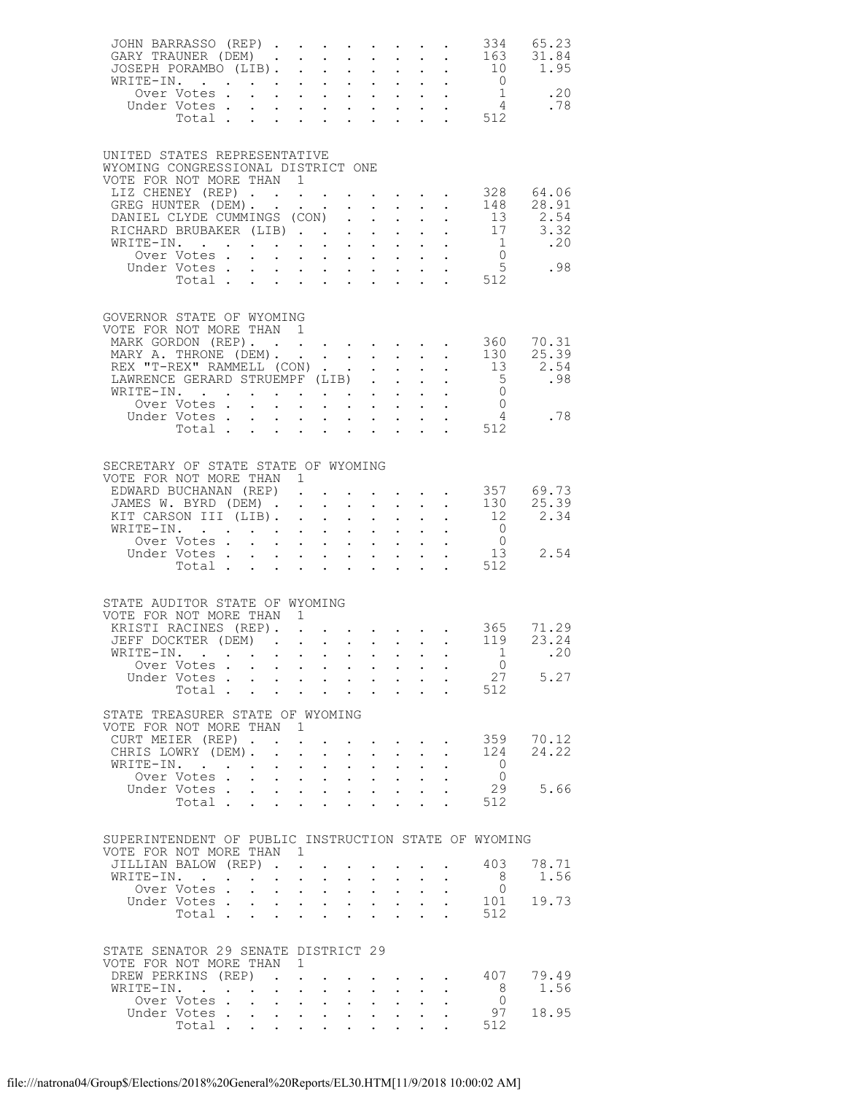| JOHN BARRASSO (REP) 334 65.23<br>GARY TRAUNER (DEM) 163 31.84<br>JOSEPH PORAMBO (LIB) 10 1.95 |                                                    |                                                                  |                                          |                                                                                               |                                             |                                    |                                                                           |  |                                                   |               |
|-----------------------------------------------------------------------------------------------|----------------------------------------------------|------------------------------------------------------------------|------------------------------------------|-----------------------------------------------------------------------------------------------|---------------------------------------------|------------------------------------|---------------------------------------------------------------------------|--|---------------------------------------------------|---------------|
| UNITED STATES REPRESENTATIVE                                                                  |                                                    |                                                                  |                                          |                                                                                               |                                             |                                    |                                                                           |  |                                                   |               |
| WYOMING CONGRESSIONAL DISTRICT ONE<br>VOTE FOR NOT MORE THAN 1<br>LIZ CHENEY (REP)            |                                                    |                                                                  |                                          |                                                                                               |                                             |                                    |                                                                           |  | $\cdot$ 328 64.06                                 |               |
| GREG HUNTER (DEM) 148 28.91<br>DANIEL CLYDE CUMMINGS (CON) 13 2.54                            |                                                    |                                                                  |                                          |                                                                                               |                                             |                                    |                                                                           |  |                                                   |               |
|                                                                                               |                                                    |                                                                  |                                          |                                                                                               |                                             |                                    |                                                                           |  |                                                   |               |
| WRITE-IN.<br>Over Votes                                                                       |                                                    |                                                                  |                                          |                                                                                               |                                             |                                    |                                                                           |  |                                                   |               |
|                                                                                               |                                                    |                                                                  |                                          |                                                                                               |                                             |                                    |                                                                           |  | . 512                                             |               |
| GOVERNOR STATE OF WYOMING<br>VOTE FOR NOT MORE THAN                                           |                                                    |                                                                  | $\overline{1}$                           |                                                                                               |                                             |                                    |                                                                           |  |                                                   |               |
| MARK GORDON (REP). 360 70.31                                                                  |                                                    |                                                                  |                                          |                                                                                               |                                             |                                    |                                                                           |  |                                                   |               |
| MARY A. THRONE (DEM). 130<br>REX "T-REX" RAMMELL (CON) 13                                     |                                                    |                                                                  |                                          |                                                                                               |                                             |                                    |                                                                           |  |                                                   | 25.39<br>2.54 |
|                                                                                               |                                                    |                                                                  |                                          |                                                                                               |                                             |                                    |                                                                           |  | $\frac{5}{0}$                                     | .98           |
|                                                                                               |                                                    |                                                                  |                                          |                                                                                               |                                             |                                    |                                                                           |  | $\begin{array}{c} 0 \\ 4 \end{array}$             |               |
| Under Votes<br>Total                                                                          |                                                    | $\mathbf{L}$                                                     |                                          | $\mathcal{A}^{\mathcal{A}}$ . The set of the set of the set of $\mathcal{A}^{\mathcal{A}}$    |                                             |                                    |                                                                           |  | . 512                                             | .78           |
|                                                                                               |                                                    |                                                                  |                                          |                                                                                               |                                             |                                    |                                                                           |  |                                                   |               |
| SECRETARY OF STATE STATE OF WYOMING<br>VOTE FOR NOT MORE THAN 1                               |                                                    |                                                                  |                                          |                                                                                               |                                             |                                    |                                                                           |  |                                                   |               |
| EDWARD BUCHANAN (REP).                                                                        |                                                    |                                                                  |                                          |                                                                                               |                                             |                                    |                                                                           |  | $\cdot$ $\cdot$ $\cdot$ $\cdot$ $\cdot$ 357 69.73 |               |
| JAMES W. BYRD (DEM) 130 25.39<br>KIT CARSON III (LIB) 12 2.34                                 |                                                    |                                                                  |                                          |                                                                                               |                                             |                                    |                                                                           |  |                                                   |               |
| WRITE-IN.<br>Over Votes                                                                       |                                                    |                                                                  |                                          |                                                                                               |                                             |                                    |                                                                           |  | $\begin{matrix}0\\0\end{matrix}$                  |               |
| Under Votes 13<br>Total 512                                                                   |                                                    |                                                                  |                                          |                                                                                               |                                             |                                    |                                                                           |  |                                                   | 2.54          |
|                                                                                               |                                                    |                                                                  |                                          |                                                                                               |                                             |                                    |                                                                           |  |                                                   |               |
| STATE AUDITOR STATE OF WYOMING<br>VOTE FOR NOT MORE THAN 1                                    |                                                    |                                                                  |                                          |                                                                                               |                                             |                                    |                                                                           |  |                                                   |               |
| XRISTI RACINES (REP). 365 71.29<br>JEFF DOCKTER (DEM) 119 23.24                               |                                                    |                                                                  |                                          |                                                                                               |                                             |                                    |                                                                           |  |                                                   |               |
| WRITE-IN. 1                                                                                   |                                                    |                                                                  |                                          |                                                                                               |                                             |                                    |                                                                           |  |                                                   | .20           |
| Over Votes                                                                                    |                                                    |                                                                  |                                          |                                                                                               |                                             |                                    |                                                                           |  | $\overline{0}$                                    |               |
| Under Votes Total                                                                             |                                                    |                                                                  |                                          |                                                                                               |                                             |                                    |                                                                           |  | 27<br>512                                         | 5.27          |
| STATE TREASURER STATE OF WYOMING                                                              |                                                    |                                                                  |                                          |                                                                                               |                                             |                                    |                                                                           |  |                                                   |               |
| VOTE FOR NOT MORE THAN 1<br>CURT MEIER (REP).                                                 |                                                    |                                                                  |                                          |                                                                                               |                                             |                                    |                                                                           |  |                                                   | 359 70.12     |
| CHRIS LOWRY (DEM).                                                                            |                                                    | $\ddot{\phantom{0}}$                                             | $\sim$ $-$                               | $\bullet$ .                                                                                   | $\ddotsc$                                   | $\sim$ $-$                         | $\mathbf{L}^{\text{max}}$                                                 |  | 124                                               | 24.22         |
| WRITE-IN. .<br>Over Votes                                                                     |                                                    | $\mathbf{L}^{\text{max}}$                                        | $\bullet$ .                              | $\sim$<br>$\mathbf{u} = \mathbf{u} \cdot \mathbf{u}$ .                                        | $\ddot{\phantom{0}}$<br>$\mathcal{L}^{(1)}$ | $\mathbf{L}$                       | $\mathbf{z} = \mathbf{z} + \mathbf{z}$ .                                  |  | $\bigcirc$<br>$\Omega$                            |               |
| Under Votes                                                                                   |                                                    |                                                                  |                                          |                                                                                               |                                             |                                    | $\mathbf{L} = \mathbf{L}$                                                 |  | 29                                                | 5.66          |
| Total                                                                                         |                                                    | $\mathbf{L}^{\text{max}}$                                        | $\mathbf{L}^{\text{max}}$                | $\sim$                                                                                        | $\ddot{\phantom{0}}$                        | $\ddot{\phantom{0}}$               |                                                                           |  | 512                                               |               |
| SUPERINTENDENT OF PUBLIC INSTRUCTION STATE OF WYOMING                                         |                                                    |                                                                  |                                          |                                                                                               |                                             |                                    |                                                                           |  |                                                   |               |
| VOTE FOR NOT MORE THAN 1<br>JILLIAN BALOW (REP)                                               |                                                    |                                                                  |                                          |                                                                                               |                                             |                                    |                                                                           |  | 403                                               | 78.71         |
| WRITE-IN.                                                                                     |                                                    | $\mathbf{r} = \mathbf{r} \times \mathbf{r}$ , where $\mathbf{r}$ |                                          |                                                                                               | $\mathbf{L}^{\text{max}}$                   |                                    | $\mathbf{z} = \mathbf{z} + \mathbf{z}$                                    |  | 8                                                 | 1.56          |
| Over Votes.<br>Under Votes                                                                    |                                                    | $\ddot{\phantom{0}}$<br>$\bullet$ .                              | $\mathbf{L}$ and $\mathbf{L}$            | $\mathcal{L}^{\text{max}}$ , $\mathcal{L}^{\text{max}}$                                       | $\sim$<br>$\sim$                            | $\sim 10^{-10}$                    | $\mathbf{L}$<br>$\mathbf{L}^{\text{max}}$ , and $\mathbf{L}^{\text{max}}$ |  | $\overline{0}$<br>101                             | 19.73         |
|                                                                                               | Total                                              | $\mathbf{L}^{\text{max}}$                                        |                                          |                                                                                               |                                             |                                    |                                                                           |  | 512                                               |               |
| STATE SENATOR 29 SENATE DISTRICT 29                                                           |                                                    |                                                                  |                                          |                                                                                               |                                             |                                    |                                                                           |  |                                                   |               |
| VOTE FOR NOT MORE THAN<br>DREW PERKINS (REP)                                                  |                                                    |                                                                  | $\overline{1}$                           |                                                                                               |                                             |                                    |                                                                           |  | 407                                               | 79.49         |
| WRITE-IN.<br>$\mathbf{r}$ . The set of $\mathbf{r}$                                           |                                                    |                                                                  | $\ddot{\phantom{a}}$                     |                                                                                               |                                             |                                    |                                                                           |  | - 8                                               | 1.56          |
| Over Votes.<br>Under Votes.                                                                   | $\mathcal{L}^{\text{max}}$<br>$\ddot{\phantom{0}}$ | $\mathcal{L}^{\text{max}}$                                       | $\mathbf{z} = \mathbf{z} + \mathbf{z}$ . | $\mathbf{L}$<br>$\mathbf{r}$ , $\mathbf{r}$                                                   | $\bullet$ .<br>$\sim$                       | $\mathbb{Z}^{\mathbb{Z}^{\times}}$ |                                                                           |  | $\Omega$<br>97                                    | 18.95         |
| Total .                                                                                       |                                                    |                                                                  |                                          | $\mathbf{r} = \mathbf{r} \cdot \mathbf{r}$ , where $\mathbf{r} = \mathbf{r} \cdot \mathbf{r}$ |                                             |                                    |                                                                           |  | 512                                               |               |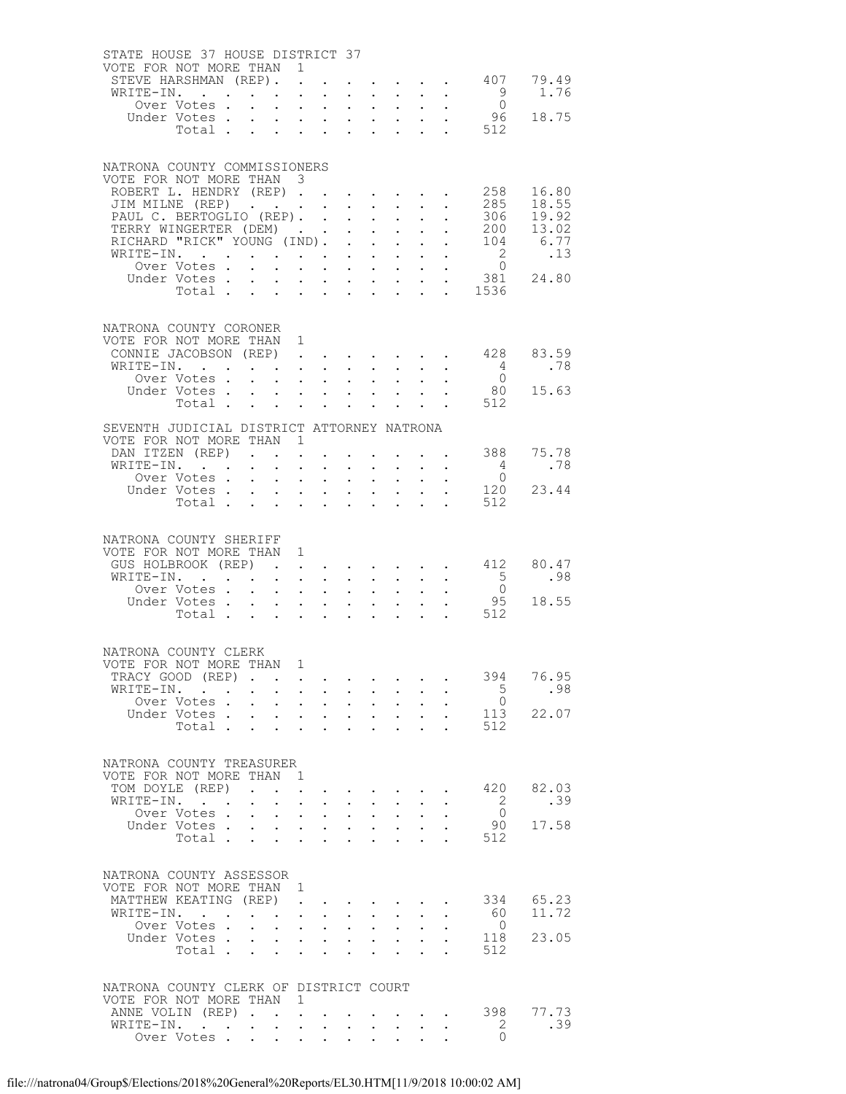| STATE HOUSE 37 HOUSE DISTRICT 37                       |              |                      |                                                             |                                                              |                                                                                             |                                           |                                                                    |                                                    |                                                                                         |                           |                            |                                                                            |                                                   |
|--------------------------------------------------------|--------------|----------------------|-------------------------------------------------------------|--------------------------------------------------------------|---------------------------------------------------------------------------------------------|-------------------------------------------|--------------------------------------------------------------------|----------------------------------------------------|-----------------------------------------------------------------------------------------|---------------------------|----------------------------|----------------------------------------------------------------------------|---------------------------------------------------|
| VOTE FOR NOT MORE THAN<br>STEVE HARSHMAN (REP).        |              |                      |                                                             | $\overline{1}$                                               | $\mathbf{L}$                                                                                |                                           |                                                                    |                                                    |                                                                                         |                           |                            |                                                                            | $\cdot$ $\cdot$ $\cdot$ $\cdot$ $\cdot$ 407 79.49 |
| WRITE-IN.                                              |              |                      |                                                             | $\ddot{\phantom{a}}$                                         |                                                                                             | $\mathbf{L}$                              | $\ddot{\phantom{0}}$                                               | $\sim$ 100 $\pm$                                   | $\sim$                                                                                  |                           | $\ddot{\phantom{a}}$       | 9                                                                          | 1.76                                              |
|                                                        | Over Votes . |                      |                                                             | $\ddot{\phantom{0}}$                                         | $\mathbf{L}^{\text{max}}$                                                                   | $\sim$                                    | $\bullet$ .                                                        |                                                    | $\mathbf{z} = \mathbf{z} + \mathbf{z}$ .                                                |                           |                            | $\bigcirc$                                                                 |                                                   |
|                                                        | Under Votes. |                      | $\mathbf{L}$                                                | $\mathbf{L} = \mathbf{L} \mathbf{L} + \mathbf{L} \mathbf{L}$ |                                                                                             |                                           | $\mathcal{L}^{\text{max}}$                                         |                                                    | $\mathbf{L} = \mathbf{L}$                                                               |                           |                            | $\cdot$ $\cdot$ 96                                                         | 18.75                                             |
|                                                        | Total        |                      |                                                             | $\sim$                                                       | $\ddot{\phantom{a}}$                                                                        |                                           | $\ddot{\phantom{0}}$                                               |                                                    |                                                                                         |                           |                            | . 512                                                                      |                                                   |
|                                                        |              |                      |                                                             |                                                              |                                                                                             |                                           |                                                                    |                                                    |                                                                                         |                           |                            |                                                                            |                                                   |
| NATRONA COUNTY COMMISSIONERS                           |              |                      |                                                             |                                                              |                                                                                             |                                           |                                                                    |                                                    |                                                                                         |                           |                            |                                                                            |                                                   |
| VOTE FOR NOT MORE THAN 3<br>ROBERT L. HENDRY (REP) 258 |              |                      |                                                             |                                                              |                                                                                             |                                           |                                                                    |                                                    |                                                                                         |                           |                            |                                                                            | 16.80                                             |
| JIM MILNE (REP)                                        |              |                      |                                                             |                                                              |                                                                                             |                                           |                                                                    | $\sim$ $-$                                         | $\sim$ $-$                                                                              | $\ddot{\phantom{0}}$      |                            | 285                                                                        | 18.55                                             |
| PAUL C. BERTOGLIO (REP). .                             |              |                      |                                                             |                                                              |                                                                                             |                                           | $\mathcal{L}^{\text{max}}$                                         |                                                    | $\mathbf{L} = \mathbf{L}$                                                               | $\mathbf{L}^{\text{max}}$ | $\mathcal{L}^{\text{max}}$ |                                                                            | 306 19.92                                         |
| TERRY WINGERTER (DEM)                                  |              |                      |                                                             |                                                              |                                                                                             |                                           | $\bullet$ .<br><br><br><br><br><br><br><br><br><br><br><br>        |                                                    | $\mathbf{r} = \mathbf{r} + \mathbf{r}$ .                                                |                           |                            | 200                                                                        | 13.02                                             |
| RICHARD "RICK" YOUNG (IND).<br>WRITE-IN.               |              |                      |                                                             |                                                              |                                                                                             |                                           | $\ddot{\phantom{0}}$                                               | $\mathbf{L}$                                       | $\mathbf{L}$<br>$\sim$ $-$                                                              | $\mathbf{L}^{\text{max}}$ |                            | $\overline{2}$                                                             | $\cdot$ $\cdot$ 104 6.77<br>$\ldots$ 13           |
|                                                        | Over Votes . |                      |                                                             | $\ddot{\phantom{0}}$                                         |                                                                                             |                                           | $\ddot{\phantom{0}}$                                               | $\sim$                                             | $\mathbf{r}$ , $\mathbf{r}$ , $\mathbf{r}$ , $\mathbf{r}$ , $\mathbf{r}$ , $\mathbf{r}$ |                           | $\bullet$ .                | $\overline{0}$                                                             |                                                   |
|                                                        | Under Votes  |                      |                                                             |                                                              |                                                                                             |                                           | $\mathbf{r} = \left\{ \mathbf{r}_1, \ldots, \mathbf{r}_n \right\}$ |                                                    | $\mathbf{z} = \mathbf{z} + \mathbf{z}$ .                                                | $\mathbf{L}^{\text{max}}$ | $\ddot{\phantom{0}}$       |                                                                            | 381 24.80                                         |
|                                                        | Total        |                      |                                                             |                                                              |                                                                                             |                                           |                                                                    |                                                    | $\mathbf{r}$ , $\mathbf{r}$ , $\mathbf{r}$ , $\mathbf{r}$ , $\mathbf{r}$                |                           |                            | $\frac{1536}{1536}$                                                        |                                                   |
|                                                        |              |                      |                                                             |                                                              |                                                                                             |                                           |                                                                    |                                                    |                                                                                         |                           |                            |                                                                            |                                                   |
| NATRONA COUNTY CORONER                                 |              |                      |                                                             |                                                              |                                                                                             |                                           |                                                                    |                                                    |                                                                                         |                           |                            |                                                                            |                                                   |
| VOTE FOR NOT MORE THAN                                 |              |                      |                                                             | 1                                                            |                                                                                             |                                           |                                                                    |                                                    |                                                                                         |                           |                            |                                                                            |                                                   |
| CONNIE JACOBSON (REP).<br>WRITE-IN.                    |              |                      |                                                             |                                                              |                                                                                             | $\ddot{\phantom{0}}$<br>$\sim$ $-$        | $\sim$<br>$\sim$                                                   |                                                    | <b>All Andre</b><br>$\mathbf{L}$ and $\mathbf{L}$                                       |                           | $\ddot{\phantom{0}}$       | $\cdot$ $\cdot$ 428<br>$\overline{4}$                                      | 83.59<br>.78                                      |
|                                                        | Over Votes.  |                      | $\sim$                                                      | $\mathbf{L}^{\text{max}}$                                    | $\bullet$ .                                                                                 | $\sim$ $-$                                | $\ddot{\phantom{0}}$                                               | $\sim$                                             | $\sim$                                                                                  |                           |                            | $\overline{0}$                                                             |                                                   |
|                                                        | Under Votes  |                      |                                                             |                                                              |                                                                                             |                                           |                                                                    | $\mathbf{L}$                                       | $\mathbf{L}$                                                                            |                           |                            | 80                                                                         | 15.63                                             |
|                                                        | Total        |                      |                                                             | $\sim$                                                       | $\sim$ 100 $\mu$                                                                            | $\sim$                                    | $\ddot{\phantom{a}}$                                               |                                                    |                                                                                         |                           |                            | 512                                                                        |                                                   |
| SEVENTH JUDICIAL DISTRICT ATTORNEY NATRONA             |              |                      |                                                             |                                                              |                                                                                             |                                           |                                                                    |                                                    |                                                                                         |                           |                            |                                                                            |                                                   |
| VOTE FOR NOT MORE THAN                                 |              |                      |                                                             | $\overline{1}$                                               |                                                                                             |                                           |                                                                    |                                                    |                                                                                         |                           |                            |                                                                            |                                                   |
| DAN ITZEN (REP).                                       |              |                      |                                                             |                                                              | $\ddot{\phantom{0}}$                                                                        |                                           |                                                                    |                                                    |                                                                                         |                           |                            | 388                                                                        | 75.78                                             |
| WRITE-IN.                                              | Over Votes . |                      | $\mathbf{L} = \mathbf{L} \times \mathbf{L}$<br>$\mathbf{L}$ | $\sim$                                                       | $\mathbf{L}^{\text{max}}$                                                                   | $\mathcal{L}^{\text{max}}$<br>$\bullet$ . | $\ddot{\phantom{0}}$<br>$\mathbf{L}^{\text{max}}$                  | $\mathbf{L}^{\text{max}}$                          | $\mathbf{L} = \mathbf{L}$<br>$\sim 10$                                                  |                           |                            | $4\overline{4}$<br>$\overline{0}$                                          | .78                                               |
|                                                        | Under Votes  |                      |                                                             | $\mathcal{L}^{\text{max}}$                                   | $\mathbf{L} = \mathbf{L}$                                                                   |                                           | $\mathcal{L}^{\text{max}}$                                         |                                                    | $\cdot$ $\cdot$                                                                         |                           |                            | 120                                                                        | 23.44                                             |
|                                                        | Total        |                      |                                                             | $\sim$                                                       | $\Delta \phi = \Delta \phi$ .                                                               |                                           | $\ddot{\phantom{0}}$                                               | $\ddot{\phantom{0}}$                               |                                                                                         |                           |                            | 512                                                                        |                                                   |
|                                                        |              |                      |                                                             |                                                              |                                                                                             |                                           |                                                                    |                                                    |                                                                                         |                           |                            |                                                                            |                                                   |
| NATRONA COUNTY SHERIFF                                 |              |                      |                                                             |                                                              |                                                                                             |                                           |                                                                    |                                                    |                                                                                         |                           |                            |                                                                            |                                                   |
| VOTE FOR NOT MORE THAN 1                               |              |                      |                                                             |                                                              |                                                                                             |                                           |                                                                    |                                                    |                                                                                         |                           |                            |                                                                            |                                                   |
| GUS HOLBROOK (REP)                                     |              |                      |                                                             |                                                              |                                                                                             |                                           |                                                                    |                                                    |                                                                                         |                           |                            | $\cdot$ $\cdot$ $\cdot$ $\cdot$ $\cdot$ $\cdot$ $\cdot$ 412<br>$5^{\circ}$ | 80.47<br>.98                                      |
| WRITE-IN.                                              | Over Votes   |                      |                                                             | $\bullet$ .<br>$\mathbf{L}$ $\mathbf{L}$                     | $\sim$ $-$                                                                                  | $\sim$ $-$<br>$\ddot{\phantom{a}}$        | $\ddotsc$<br>$\ddot{\phantom{0}}$                                  | $\mathcal{L}^{\text{max}}$<br>$\ddot{\phantom{0}}$ | $\mathcal{L}^{\text{max}}$<br>$\ddot{\phantom{0}}$                                      |                           |                            |                                                                            |                                                   |
|                                                        | Under Votes  |                      |                                                             | $\ddot{\phantom{0}}$                                         | $\mathcal{A}^{\mathcal{A}}$ and $\mathcal{A}^{\mathcal{A}}$ and $\mathcal{A}^{\mathcal{A}}$ |                                           | $\ddot{\phantom{0}}$                                               |                                                    | $\mathbf{L}^{\text{max}}$ , and $\mathbf{L}^{\text{max}}$                               |                           |                            | $\frac{0}{95}$                                                             | 18.55                                             |
|                                                        | Total        |                      |                                                             |                                                              |                                                                                             |                                           | $\mathbf{L}$                                                       | $\mathbf{L}$                                       | $\ddot{\phantom{a}}$                                                                    |                           |                            | . 512                                                                      |                                                   |
|                                                        |              |                      |                                                             |                                                              |                                                                                             |                                           |                                                                    |                                                    |                                                                                         |                           |                            |                                                                            |                                                   |
| NATRONA COUNTY CLERK                                   |              |                      |                                                             |                                                              |                                                                                             |                                           |                                                                    |                                                    |                                                                                         |                           |                            |                                                                            |                                                   |
| VOTE FOR NOT MORE THAN                                 |              |                      |                                                             | $\mathbf{1}$                                                 |                                                                                             |                                           |                                                                    |                                                    |                                                                                         |                           |                            |                                                                            |                                                   |
| TRACY GOOD (REP).                                      |              |                      |                                                             | $\ddot{\phantom{a}}$                                         | $\sim$ $-$                                                                                  |                                           |                                                                    |                                                    |                                                                                         |                           |                            | 394<br>5                                                                   | 76.95                                             |
| WRITE-IN. .                                            | Over Votes.  | $\ddot{\phantom{0}}$ | $\mathbf{L}$                                                | $\mathcal{L}^{\text{max}}$<br>$\ddot{\phantom{0}}$           | $\sim$ $-$<br>$\mathbf{L}^{\text{max}}$                                                     | $\sim$ $-$<br>$\sim$                      | $\ddot{\phantom{0}}$<br>$\ddot{\phantom{0}}$                       | $\sim$                                             | $\mathbf{L} = \mathbf{L}$<br>$\sim$ $-$                                                 |                           |                            | $\overline{0}$                                                             | .98                                               |
|                                                        | Under Votes  |                      |                                                             | $\mathbf{L}^{\text{max}}$                                    | $\sim 10^{-11}$                                                                             | $\mathbf{L}$                              | $\mathbf{L}^{\text{max}}$                                          |                                                    | $\cdot$ $\cdot$                                                                         |                           |                            | 113                                                                        | 22.07                                             |
|                                                        | Total        |                      |                                                             |                                                              | $\blacksquare$                                                                              |                                           |                                                                    |                                                    |                                                                                         |                           |                            | 512                                                                        |                                                   |
|                                                        |              |                      |                                                             |                                                              |                                                                                             |                                           |                                                                    |                                                    |                                                                                         |                           |                            |                                                                            |                                                   |
| NATRONA COUNTY TREASURER                               |              |                      |                                                             |                                                              |                                                                                             |                                           |                                                                    |                                                    |                                                                                         |                           |                            |                                                                            |                                                   |
| VOTE FOR NOT MORE THAN                                 |              |                      |                                                             | $\mathbf{1}$                                                 |                                                                                             |                                           |                                                                    |                                                    |                                                                                         |                           |                            |                                                                            |                                                   |
| TOM DOYLE (REP)<br>WRITE-IN.                           |              |                      | $\mathcal{L}$ and $\mathcal{L}$ and $\mathcal{L}$           |                                                              |                                                                                             |                                           |                                                                    |                                                    | and a series of the series of the series of                                             |                           |                            | 420<br>2                                                                   | 82.03<br>.39                                      |
|                                                        | Over Votes.  |                      | $\ddot{\phantom{a}}$                                        | $\ddot{\phantom{0}}$<br>$\mathcal{L}^{\text{max}}$           | $\mathbf{L}^{\text{max}}$<br>$\mathcal{L}^{\text{max}}$                                     | $\sim$ $-$<br>$\ddot{\phantom{0}}$        | $\ddot{\phantom{0}}$<br>$\mathcal{L}^{\text{max}}$                 | $\sim$<br>$\mathcal{L}^{\text{max}}$               | $\sim$<br>$\ddot{\phantom{0}}$                                                          |                           |                            | $\bigcirc$                                                                 |                                                   |
|                                                        | Under Votes. |                      | $\ddot{\phantom{0}}$                                        | $\mathbf{L}^{\text{max}}$                                    | <b>Service</b> State                                                                        |                                           | $\ddot{\phantom{0}}$                                               |                                                    | $\mathbf{L}^{\text{max}}$ , $\mathbf{L}^{\text{max}}$                                   |                           |                            | 90                                                                         | 17.58                                             |
|                                                        | Total        |                      |                                                             |                                                              |                                                                                             | $\mathbf{r}$                              | $\sim$                                                             | $\ddot{\phantom{a}}$                               | $\ddot{\phantom{a}}$                                                                    | $\ddot{\phantom{a}}$      |                            | 512                                                                        |                                                   |
|                                                        |              |                      |                                                             |                                                              |                                                                                             |                                           |                                                                    |                                                    |                                                                                         |                           |                            |                                                                            |                                                   |
| NATRONA COUNTY ASSESSOR                                |              |                      |                                                             |                                                              |                                                                                             |                                           |                                                                    |                                                    |                                                                                         |                           |                            |                                                                            |                                                   |
| VOTE FOR NOT MORE THAN                                 |              |                      |                                                             | 1                                                            |                                                                                             |                                           |                                                                    |                                                    |                                                                                         |                           |                            |                                                                            |                                                   |
| MATTHEW KEATING (REP)<br>WRITE-IN.                     |              |                      | $\sim$ $\sim$                                               |                                                              | $\ddot{\phantom{a}}$                                                                        | $\ddot{\phantom{0}}$                      | $\bullet$ .                                                        | $\mathbf{L}^{\text{max}}$                          | $\ddot{\phantom{0}}$                                                                    |                           |                            | 334<br>60                                                                  | 65.23<br>11.72                                    |
|                                                        | Over Votes . |                      |                                                             | $\ddot{\phantom{0}}$                                         | $\bullet$<br>$\mathbf{L}^{\text{max}}$                                                      | $\sim$                                    | $\ddot{\phantom{0}}$                                               | $\sim$                                             | $\sim$                                                                                  |                           |                            | $\overline{0}$                                                             |                                                   |
|                                                        | Under Votes. |                      | $\mathcal{L}^{\text{max}}$                                  | $\mathcal{L}^{\text{max}}$                                   | $\mathbf{L}$ and $\mathbf{L}$                                                               |                                           | $\mathcal{L}^{\text{max}}$                                         |                                                    | $\mathbf{L}$ and $\mathbf{L}$                                                           |                           |                            | 118                                                                        | 23.05                                             |
|                                                        | Total .      |                      | $\ddot{\phantom{0}}$                                        | $\ddot{\phantom{0}}$                                         | $\bullet$                                                                                   | $\mathbf{L}$                              | $\ddot{\phantom{0}}$                                               |                                                    | $\ddot{\phantom{a}}$                                                                    |                           |                            | 512                                                                        |                                                   |
|                                                        |              |                      |                                                             |                                                              |                                                                                             |                                           |                                                                    |                                                    |                                                                                         |                           |                            |                                                                            |                                                   |
| NATRONA COUNTY CLERK OF DISTRICT COURT                 |              |                      |                                                             |                                                              |                                                                                             |                                           |                                                                    |                                                    |                                                                                         |                           |                            |                                                                            |                                                   |
| VOTE FOR NOT MORE THAN 1                               |              |                      |                                                             |                                                              |                                                                                             |                                           |                                                                    |                                                    |                                                                                         |                           |                            |                                                                            |                                                   |
| ANNE VOLIN (REP)<br>WRITE-IN.                          |              |                      |                                                             | $\sim$                                                       | $\mathbf{L}^{\text{max}}$                                                                   | $\mathbf{L}^{\text{max}}$                 |                                                                    |                                                    | $\mathbf{z} = \mathbf{z} + \mathbf{z}$ .                                                |                           | <b>Contract</b>            | 398<br>$\overline{2}$                                                      | 77.73<br>.39                                      |
|                                                        | Over Votes   |                      |                                                             | $\ddot{\phantom{a}}$                                         | $\ddot{\phantom{a}}$                                                                        | $\ddot{\phantom{a}}$                      | $\ddot{\phantom{0}}$                                               | $\mathbf{r}$                                       |                                                                                         |                           |                            | $\Omega$                                                                   |                                                   |
|                                                        |              |                      |                                                             |                                                              |                                                                                             |                                           |                                                                    |                                                    |                                                                                         |                           |                            |                                                                            |                                                   |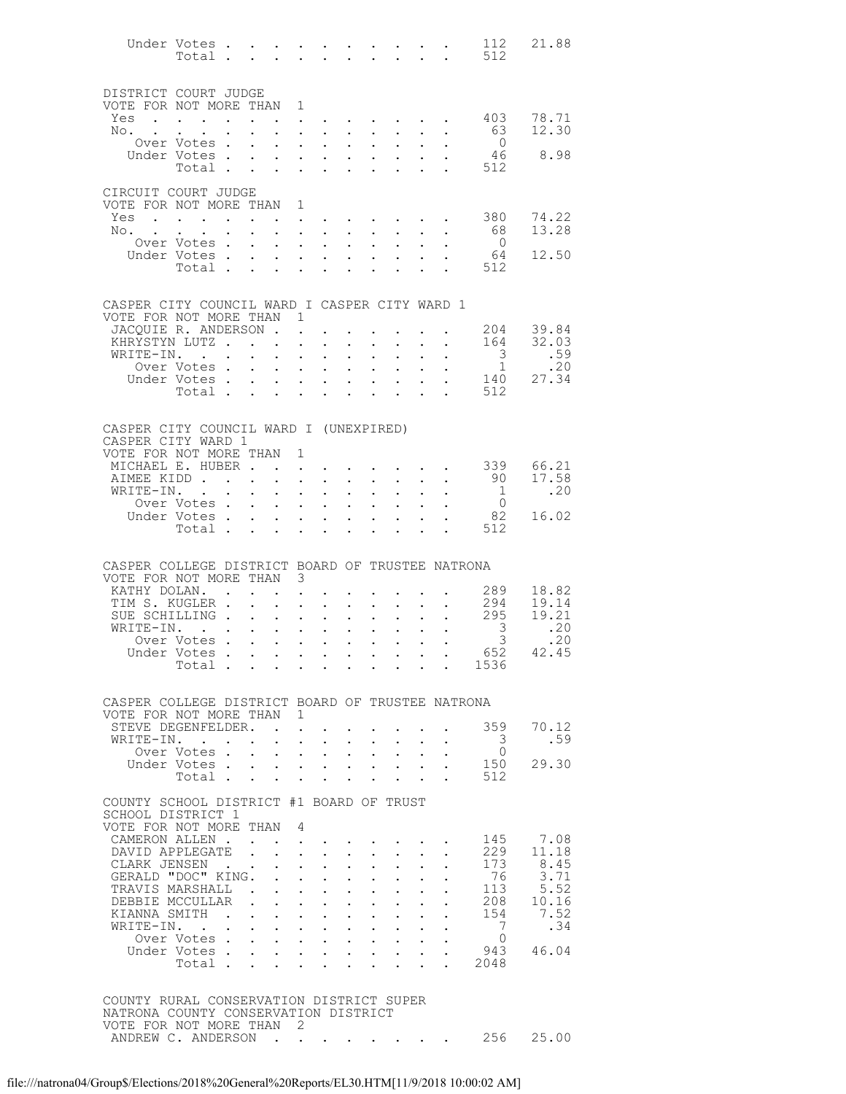|                                                                           | Under Votes<br>Total .                                                                                                                                                                                                            |               | $\mathbf{r}$ , and $\mathbf{r}$ , and $\mathbf{r}$ , and $\mathbf{r}$ , and $\mathbf{r}$ |                                |                                                                                                                                                           |                                      |                                                   |                                                       |                            |                                          | 112<br>512                      | 21.88         |
|---------------------------------------------------------------------------|-----------------------------------------------------------------------------------------------------------------------------------------------------------------------------------------------------------------------------------|---------------|------------------------------------------------------------------------------------------|--------------------------------|-----------------------------------------------------------------------------------------------------------------------------------------------------------|--------------------------------------|---------------------------------------------------|-------------------------------------------------------|----------------------------|------------------------------------------|---------------------------------|---------------|
| DISTRICT COURT JUDGE<br>VOTE FOR NOT MORE THAN 1                          |                                                                                                                                                                                                                                   |               |                                                                                          |                                |                                                                                                                                                           |                                      |                                                   |                                                       |                            |                                          |                                 |               |
| Yes                                                                       | $\mathbf{r}$ , $\mathbf{r}$ , $\mathbf{r}$ , $\mathbf{r}$ , $\mathbf{r}$                                                                                                                                                          |               |                                                                                          | $\ddot{\phantom{0}}$           |                                                                                                                                                           |                                      |                                                   |                                                       |                            |                                          | 403                             | 78.71         |
| $\mathbb{N} \circ \cdot \cdot \cdot \cdot$                                |                                                                                                                                                                                                                                   |               | $\ddotsc$                                                                                |                                |                                                                                                                                                           |                                      |                                                   |                                                       |                            |                                          | 63                              | 12.30         |
|                                                                           | Over Votes<br>Under Votes                                                                                                                                                                                                         |               |                                                                                          | $\cdot$ $\cdot$ $\cdot$        | $\sim$                                                                                                                                                    | $\ddot{\phantom{0}}$                 | $\ddot{\phantom{0}}$                              |                                                       |                            |                                          | $\overline{0}$<br>46            | 8.98          |
|                                                                           | Votes<br>Total                                                                                                                                                                                                                    |               |                                                                                          |                                |                                                                                                                                                           |                                      |                                                   |                                                       |                            |                                          | 512                             |               |
|                                                                           |                                                                                                                                                                                                                                   |               |                                                                                          |                                |                                                                                                                                                           |                                      |                                                   |                                                       |                            |                                          |                                 |               |
| CIRCUIT COURT JUDGE<br>VOTE FOR NOT MORE THAN 1                           |                                                                                                                                                                                                                                   |               |                                                                                          |                                |                                                                                                                                                           |                                      |                                                   |                                                       |                            |                                          |                                 |               |
| Yes                                                                       | $\mathbf{r}$ . The set of the set of the set of the set of the set of the set of the set of the set of the set of the set of the set of the set of the set of the set of the set of the set of the set of the set of the set of t |               | $\ddot{\phantom{0}}$                                                                     |                                | $\mathbf{z} = \mathbf{z} + \mathbf{z}$ .                                                                                                                  |                                      |                                                   |                                                       |                            |                                          | 380                             | 74.22         |
| No.                                                                       |                                                                                                                                                                                                                                   |               |                                                                                          | $\mathbf{L}^{\text{max}}$      | $\mathbf{u} = \mathbf{u} + \mathbf{u} + \mathbf{u} + \mathbf{u} + \mathbf{u}$                                                                             |                                      |                                                   |                                                       |                            | <b>All Andre</b>                         | 68                              | 13.28         |
|                                                                           | Over Votes                                                                                                                                                                                                                        |               |                                                                                          |                                | $\cdot$ $\cdot$ $\cdot$ $\cdot$                                                                                                                           | $\ddot{\phantom{0}}$                 | $\ddot{\phantom{0}}$                              |                                                       |                            |                                          | $\overline{0}$                  | 12.50         |
|                                                                           | Under Votes<br>Total                                                                                                                                                                                                              |               |                                                                                          |                                |                                                                                                                                                           |                                      |                                                   |                                                       |                            |                                          | 64<br>512                       |               |
|                                                                           |                                                                                                                                                                                                                                   |               |                                                                                          |                                |                                                                                                                                                           |                                      |                                                   |                                                       |                            |                                          |                                 |               |
|                                                                           |                                                                                                                                                                                                                                   |               |                                                                                          |                                |                                                                                                                                                           |                                      |                                                   |                                                       |                            |                                          |                                 |               |
| CASPER CITY COUNCIL WARD I CASPER CITY WARD 1<br>VOTE FOR NOT MORE THAN 1 |                                                                                                                                                                                                                                   |               |                                                                                          |                                |                                                                                                                                                           |                                      |                                                   |                                                       |                            |                                          |                                 |               |
| JACOUIE R. ANDERSON.                                                      |                                                                                                                                                                                                                                   |               |                                                                                          |                                | $\mathbf{L}^{\text{max}}$ , and $\mathbf{L}^{\text{max}}$                                                                                                 |                                      |                                                   |                                                       |                            |                                          | 204                             | 39.84         |
| KHRYSTYN LUTZ                                                             |                                                                                                                                                                                                                                   |               |                                                                                          | $\ddot{\phantom{0}}$           | $\sim$                                                                                                                                                    |                                      |                                                   |                                                       |                            |                                          | 164                             | 32.03         |
| WRITE-IN.                                                                 | Over Votes                                                                                                                                                                                                                        |               |                                                                                          |                                | $\mathcal{L}^{\text{max}}$ , $\mathcal{L}^{\text{max}}$<br>and a strategic con-                                                                           | $\mathcal{L}^{\text{max}}$<br>$\sim$ | $\bullet$ .<br>$\ddot{\phantom{0}}$               | $\sim$ $-$                                            |                            | $\mathbf{z} = \mathbf{z} + \mathbf{z}$ . | $\frac{3}{1}$                   | .59<br>.20    |
|                                                                           | Under Votes                                                                                                                                                                                                                       |               |                                                                                          |                                |                                                                                                                                                           | $\sim 10$                            | $\mathbf{L}^{\text{max}}$                         | $\sim$ $-$                                            | $\mathbf{a} = \mathbf{a}$  | $\ddot{\phantom{0}}$                     | 140                             | 27.34         |
|                                                                           | Total                                                                                                                                                                                                                             |               |                                                                                          |                                | $\mathcal{L}^{\text{max}}$ , where $\mathcal{L}^{\text{max}}$                                                                                             |                                      |                                                   |                                                       |                            | <b>Contract</b>                          | 512                             |               |
| CASPER CITY COUNCIL WARD I (UNEXPIRED)                                    |                                                                                                                                                                                                                                   |               |                                                                                          |                                |                                                                                                                                                           |                                      |                                                   |                                                       |                            |                                          |                                 |               |
| CASPER CITY WARD 1                                                        |                                                                                                                                                                                                                                   |               |                                                                                          |                                |                                                                                                                                                           |                                      |                                                   |                                                       |                            |                                          |                                 |               |
| VOTE FOR NOT MORE THAN<br>MICHAEL E. HUBER                                |                                                                                                                                                                                                                                   |               |                                                                                          | 1<br>$\sim$                    |                                                                                                                                                           |                                      |                                                   |                                                       |                            |                                          |                                 | 339 66.21     |
| AIMEE KIDD                                                                |                                                                                                                                                                                                                                   |               |                                                                                          | $\mathcal{L}^{\text{max}}$     | $\mathbf{u} = \mathbf{u} + \mathbf{u} + \mathbf{u} + \mathbf{u} + \mathbf{u}$                                                                             |                                      |                                                   |                                                       |                            | $\mathbf{L} = \mathbf{L}$                | 90                              | 17.58         |
| WRITE-IN. .                                                               |                                                                                                                                                                                                                                   |               |                                                                                          | $\mathbf{L}$                   | $\mathbf{L}$ and $\mathbf{L}$                                                                                                                             | $\ddot{\phantom{0}}$                 | $\ddot{\phantom{0}}$                              |                                                       |                            |                                          | $\overline{1}$                  | .20           |
|                                                                           | Over Votes<br>Under Votes                                                                                                                                                                                                         |               |                                                                                          |                                | $\mathbf{u} = \mathbf{u} \cdot \mathbf{u}$ .                                                                                                              | $\sim 10$                            | $\mathbf{L}^{\text{max}}$<br>$\sim$               | $\mathbf{L}^{\text{max}}$                             |                            |                                          | $\overline{0}$<br>82            | 16.02         |
|                                                                           | Total                                                                                                                                                                                                                             |               |                                                                                          |                                | $\cdot$ $\cdot$ $\cdot$ $\cdot$                                                                                                                           | $\mathbf{L}^{\text{max}}$            | $\mathbf{L}^{\text{max}}$                         | $\ddot{\phantom{a}}$                                  | $\ddot{\phantom{a}}$       | <b>Contract Contract</b>                 | 512                             |               |
|                                                                           |                                                                                                                                                                                                                                   |               |                                                                                          |                                |                                                                                                                                                           |                                      |                                                   |                                                       |                            |                                          |                                 |               |
|                                                                           |                                                                                                                                                                                                                                   |               |                                                                                          |                                |                                                                                                                                                           |                                      |                                                   |                                                       |                            |                                          |                                 |               |
| CASPER COLLEGE DISTRICT BOARD OF TRUSTEE NATRONA                          |                                                                                                                                                                                                                                   |               |                                                                                          |                                |                                                                                                                                                           |                                      |                                                   |                                                       |                            |                                          |                                 |               |
| VOTE FOR NOT MORE THAN 3<br>KATHY DOLAN.                                  |                                                                                                                                                                                                                                   | $\sim$ $\sim$ |                                                                                          | $\ddot{\phantom{0}}$           |                                                                                                                                                           |                                      |                                                   |                                                       |                            |                                          | 289                             | 18.82         |
| TIM S. KUGLER .                                                           |                                                                                                                                                                                                                                   |               | $\mathbf{L}$                                                                             | $\mathcal{L}^{\text{max}}$     | $\mathbf{A}^{\text{max}}$ , and $\mathbf{A}^{\text{max}}$                                                                                                 |                                      |                                                   | $\mathbf{z} = \mathbf{z} + \mathbf{z}$ , where        |                            |                                          | 294                             | 19.14         |
| SUE SCHILLING                                                             |                                                                                                                                                                                                                                   |               |                                                                                          | $\mathbf{L}$<br>$\sim$ $\sim$  | $\mathbf{L}$                                                                                                                                              | $\mathbf{L}$                         | $\mathbf{L}^{\text{max}}$                         |                                                       |                            |                                          | 295                             | 19.21<br>.20  |
| WRITE-IN.                                                                 | Over Votes                                                                                                                                                                                                                        |               | the contract of the contract of the contract of the contract of the contract of          |                                |                                                                                                                                                           |                                      | $\mathcal{L}^{\text{max}}$                        | $\sim 10$                                             | $\mathcal{L}^{\text{max}}$ |                                          | $\mathcal{S}$<br>3 <sup>7</sup> | .20           |
|                                                                           | Under Votes                                                                                                                                                                                                                       |               |                                                                                          |                                |                                                                                                                                                           |                                      |                                                   |                                                       |                            |                                          | 652                             | 42.45         |
|                                                                           | Total                                                                                                                                                                                                                             |               |                                                                                          |                                |                                                                                                                                                           |                                      |                                                   |                                                       |                            |                                          | 1536                            |               |
|                                                                           |                                                                                                                                                                                                                                   |               |                                                                                          |                                |                                                                                                                                                           |                                      |                                                   |                                                       |                            |                                          |                                 |               |
| CASPER COLLEGE DISTRICT BOARD OF TRUSTEE NATRONA                          |                                                                                                                                                                                                                                   |               |                                                                                          |                                |                                                                                                                                                           |                                      |                                                   |                                                       |                            |                                          |                                 |               |
| VOTE FOR NOT MORE THAN 1                                                  |                                                                                                                                                                                                                                   |               |                                                                                          |                                |                                                                                                                                                           |                                      |                                                   |                                                       |                            |                                          |                                 |               |
| STEVE DEGENFELDER.<br>WRITE-IN.                                           |                                                                                                                                                                                                                                   |               |                                                                                          | $\ddot{\phantom{a}}$<br>$\sim$ | $\sim$                                                                                                                                                    |                                      | $\bullet$                                         |                                                       |                            |                                          | 359<br>3                        | 70.12<br>.59  |
|                                                                           | Over Votes.                                                                                                                                                                                                                       |               | $\sim$ $\sim$                                                                            | $\sim$                         | $\mathbf{L} = \mathbf{L}$                                                                                                                                 | $\sim 10^{-11}$                      |                                                   | $\mathbf{L}^{\text{max}}$ , $\mathbf{L}^{\text{max}}$ |                            |                                          | $\circ$                         |               |
|                                                                           | Under Votes                                                                                                                                                                                                                       |               |                                                                                          |                                | $\mathbf{r} = \mathbf{r} + \mathbf{r} + \mathbf{r}$                                                                                                       |                                      |                                                   | $\mathbf{L}$ and $\mathbf{L}$                         |                            |                                          | 150                             | 29.30         |
|                                                                           | Total                                                                                                                                                                                                                             |               |                                                                                          | $\mathbf{L}$<br>$\sim$         | $\ddot{\phantom{0}}$                                                                                                                                      | $\ddot{\phantom{0}}$                 |                                                   | $\ddot{\phantom{a}}$                                  | $\sim$                     |                                          | 512                             |               |
| COUNTY SCHOOL DISTRICT #1 BOARD OF TRUST                                  |                                                                                                                                                                                                                                   |               |                                                                                          |                                |                                                                                                                                                           |                                      |                                                   |                                                       |                            |                                          |                                 |               |
| SCHOOL DISTRICT 1                                                         |                                                                                                                                                                                                                                   |               |                                                                                          |                                |                                                                                                                                                           |                                      |                                                   |                                                       |                            |                                          |                                 |               |
| VOTE FOR NOT MORE THAN<br>CAMERON ALLEN.                                  |                                                                                                                                                                                                                                   |               |                                                                                          | 4                              |                                                                                                                                                           |                                      |                                                   |                                                       |                            |                                          | 145                             | 7.08          |
| DAVID APPLEGATE                                                           |                                                                                                                                                                                                                                   |               |                                                                                          | $\mathbf{r}$                   | $\mathbf{L}$ and $\mathbf{L}$                                                                                                                             | $\mathbf{L}^{\text{max}}$            | $\mathbf{L}^{\text{max}}$                         | $\sim 10^{-11}$                                       |                            |                                          | 229                             | 11.18         |
| CLARK JENSEN.                                                             |                                                                                                                                                                                                                                   |               |                                                                                          |                                | $\ddot{\phantom{0}}$                                                                                                                                      |                                      |                                                   |                                                       |                            |                                          | 173                             | 8.45          |
| GERALD "DOC" KING.<br>TRAVIS MARSHALL .                                   |                                                                                                                                                                                                                                   |               |                                                                                          | $\mathbf{L}$                   | $\mathcal{L}^{\text{max}}$ , and $\mathcal{L}^{\text{max}}$<br>$\mathbf{1}$ $\mathbf{1}$ $\mathbf{1}$ $\mathbf{1}$ $\mathbf{1}$ $\mathbf{1}$ $\mathbf{1}$ | $\bullet$ .<br>$\ddot{\phantom{0}}$  | $\mathbf{L}^{\text{max}}$<br>$\ddot{\phantom{0}}$ | $\mathbf{L}^{\text{max}}$                             |                            |                                          | 76<br>113                       | 3.71          |
| DEBBIE MCCULLAR                                                           |                                                                                                                                                                                                                                   |               | $\mathbf{L}$                                                                             |                                | $\mathbf{1}$ $\mathbf{1}$ $\mathbf{1}$ $\mathbf{1}$ $\mathbf{1}$                                                                                          | $\bullet$ .                          | $\mathbf{L}^{\text{max}}$                         | $\bullet$ .                                           |                            |                                          | 208                             | 5.52<br>10.16 |
| KIANNA SMITH .                                                            |                                                                                                                                                                                                                                   |               |                                                                                          |                                | $\mathbf{1}$ $\mathbf{1}$ $\mathbf{1}$ $\mathbf{1}$ $\mathbf{1}$ $\mathbf{1}$                                                                             | $\sim$                               | $\ddot{\phantom{0}}$                              |                                                       |                            |                                          | 154                             | 7.52          |
| WRITE-IN.                                                                 |                                                                                                                                                                                                                                   |               | $\mathbf{r} = \mathbf{r} + \mathbf{r} + \mathbf{r} + \mathbf{r}$                         |                                |                                                                                                                                                           | $\mathbf{A}^{\text{max}}$            | $\bullet$ .                                       | $\sim 10^{-11}$                                       |                            |                                          | 7                               | .34           |
|                                                                           | Over Votes<br>Under Votes                                                                                                                                                                                                         |               |                                                                                          |                                | $\cdot$ $\cdot$ $\cdot$ $\cdot$                                                                                                                           | $\mathbf{L}^{\text{max}}$            | $\ddot{\phantom{0}}$                              | $\mathbf{L}$ and $\mathbf{L}$<br>$\sim 10^{-10}$      | $\bullet$ .                |                                          | $\overline{0}$<br>943           | 46.04         |
|                                                                           | Total .                                                                                                                                                                                                                           |               |                                                                                          | $\mathbf{r}$                   |                                                                                                                                                           |                                      |                                                   |                                                       |                            |                                          | 2048                            |               |
|                                                                           |                                                                                                                                                                                                                                   |               |                                                                                          |                                |                                                                                                                                                           |                                      |                                                   |                                                       |                            |                                          |                                 |               |
| COUNTY RURAL CONSERVATION DISTRICT SUPER                                  |                                                                                                                                                                                                                                   |               |                                                                                          |                                |                                                                                                                                                           |                                      |                                                   |                                                       |                            |                                          |                                 |               |
| NATRONA COUNTY CONSERVATION DISTRICT                                      |                                                                                                                                                                                                                                   |               |                                                                                          |                                |                                                                                                                                                           |                                      |                                                   |                                                       |                            |                                          |                                 |               |
| VOTE FOR NOT MORE THAN 2<br>ANDREW C. ANDERSON                            |                                                                                                                                                                                                                                   |               |                                                                                          |                                |                                                                                                                                                           |                                      |                                                   |                                                       |                            |                                          |                                 | 256 25.00     |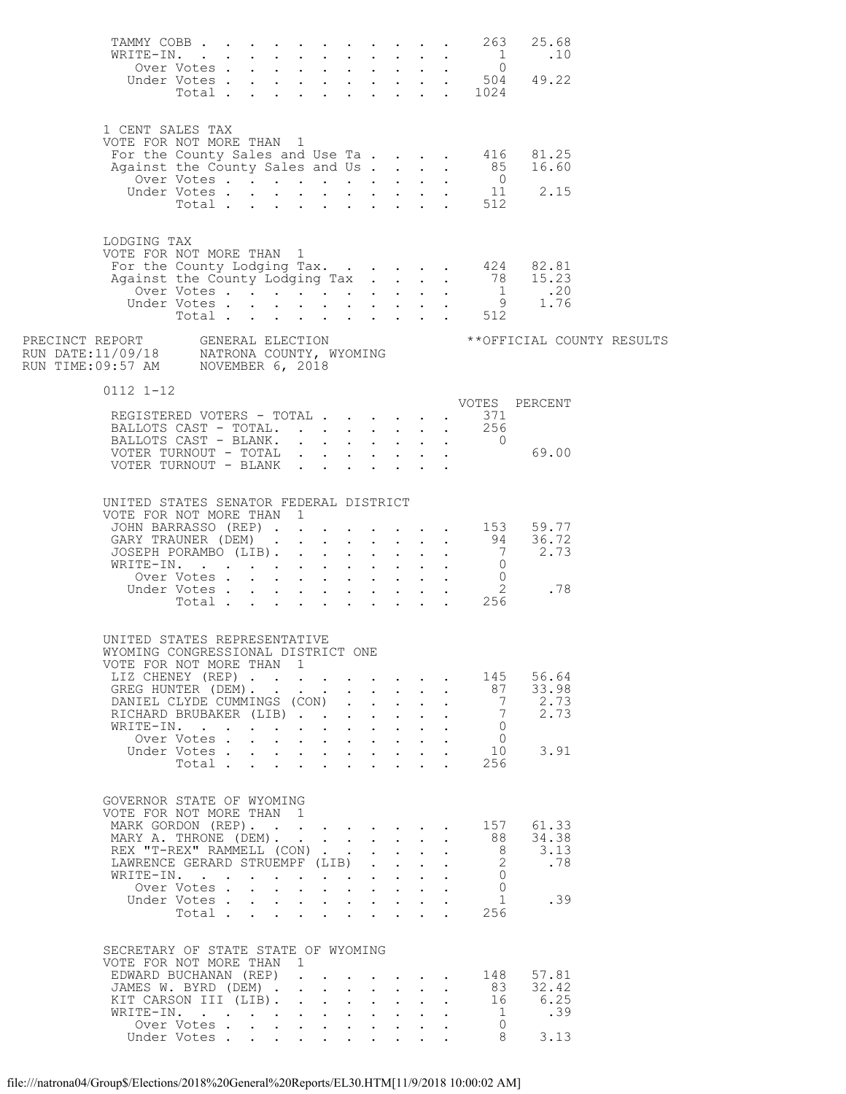| TAMMY COBB 263<br>WRITE-IN.                                        |                           |        |              |                                                                 |                          |                                         |                                                        |                                            | 25.68                                                                                        |  |
|--------------------------------------------------------------------|---------------------------|--------|--------------|-----------------------------------------------------------------|--------------------------|-----------------------------------------|--------------------------------------------------------|--------------------------------------------|----------------------------------------------------------------------------------------------|--|
|                                                                    |                           |        |              |                                                                 |                          |                                         |                                                        |                                            |                                                                                              |  |
|                                                                    |                           |        |              |                                                                 |                          |                                         |                                                        |                                            |                                                                                              |  |
|                                                                    |                           |        |              |                                                                 |                          |                                         |                                                        |                                            |                                                                                              |  |
| 1 CENT SALES TAX                                                   |                           |        |              |                                                                 |                          |                                         |                                                        |                                            |                                                                                              |  |
| VOTE FOR NOT MORE THAN 1                                           |                           |        |              |                                                                 |                          |                                         |                                                        |                                            | For the County Sales and Use Ta 416 81.25                                                    |  |
|                                                                    |                           |        |              |                                                                 |                          |                                         |                                                        |                                            |                                                                                              |  |
|                                                                    |                           |        |              |                                                                 |                          |                                         |                                                        |                                            | Against the County Sales and Us 85 16.60<br>Over Votes 0<br>Under Votes 11 2.15<br>Total 512 |  |
|                                                                    |                           |        |              |                                                                 |                          |                                         |                                                        |                                            |                                                                                              |  |
|                                                                    |                           |        |              |                                                                 |                          |                                         |                                                        |                                            |                                                                                              |  |
| LODGING TAX                                                        |                           |        |              |                                                                 |                          |                                         |                                                        |                                            |                                                                                              |  |
| VOTE FOR NOT MORE THAN 1                                           |                           |        |              |                                                                 |                          |                                         |                                                        |                                            |                                                                                              |  |
|                                                                    |                           |        |              |                                                                 |                          |                                         |                                                        |                                            |                                                                                              |  |
|                                                                    |                           |        |              |                                                                 |                          |                                         |                                                        |                                            |                                                                                              |  |
|                                                                    |                           |        |              |                                                                 |                          |                                         |                                                        |                                            |                                                                                              |  |
|                                                                    |                           |        |              |                                                                 |                          |                                         |                                                        |                                            |                                                                                              |  |
|                                                                    |                           |        |              |                                                                 |                          |                                         |                                                        |                                            |                                                                                              |  |
| $0112$ $1-12$                                                      |                           |        |              |                                                                 |                          |                                         |                                                        |                                            | VOTES PERCENT                                                                                |  |
| VOTES<br>REGISTERED VOTERS - TOTAL 371                             |                           |        |              |                                                                 |                          |                                         |                                                        |                                            |                                                                                              |  |
| BALLOTS CAST - TOTAL. 256                                          |                           |        |              |                                                                 |                          |                                         |                                                        |                                            | BALLOTS CAST - BLANK. 0<br>"COMER MITENGUIT - TOTAL" 0                                       |  |
|                                                                    |                           |        |              |                                                                 |                          |                                         |                                                        |                                            |                                                                                              |  |
| VOTER TURNOUT - BLANK                                              |                           |        |              |                                                                 |                          |                                         |                                                        |                                            |                                                                                              |  |
| UNITED STATES SENATOR FEDERAL DISTRICT                             |                           |        |              |                                                                 |                          |                                         |                                                        |                                            |                                                                                              |  |
| VOTE FOR NOT MORE THAN 1                                           |                           |        |              |                                                                 |                          |                                         |                                                        |                                            |                                                                                              |  |
|                                                                    |                           |        |              |                                                                 |                          |                                         |                                                        |                                            | JOHN BARRASSO (REP) 153 59.77                                                                |  |
|                                                                    |                           |        |              |                                                                 |                          |                                         |                                                        |                                            | 36.72<br>2.73                                                                                |  |
| WRITE-IN. 0<br>Over Votes 0<br>Under Votes 2<br>Total 256          |                           |        |              |                                                                 |                          |                                         |                                                        |                                            |                                                                                              |  |
|                                                                    |                           |        |              |                                                                 |                          |                                         |                                                        |                                            | .78                                                                                          |  |
|                                                                    |                           |        |              |                                                                 |                          |                                         |                                                        |                                            |                                                                                              |  |
|                                                                    |                           |        |              |                                                                 |                          |                                         |                                                        |                                            |                                                                                              |  |
| UNITED STATES REPRESENTATIVE<br>WYOMING CONGRESSIONAL DISTRICT ONE |                           |        |              |                                                                 |                          |                                         |                                                        |                                            |                                                                                              |  |
| VOTE FOR NOT MORE THAN 1                                           |                           |        |              |                                                                 |                          |                                         |                                                        |                                            |                                                                                              |  |
| LIZ CHENEY (REP)                                                   |                           |        |              |                                                                 |                          |                                         |                                                        | 145                                        | 56.64<br>33.98                                                                               |  |
| GREG HUNTER (DEM).<br>DANIEL CLYDE CUMMINGS (CON).                 |                           |        |              |                                                                 |                          | $\mathbf{L} = \mathbf{L}$               | $\mathbf{L} = \mathbf{L}$<br>$\mathbf{r} = \mathbf{r}$ | 87<br>$\overline{7}$                       | 2.73                                                                                         |  |
| RICHARD BRUBAKER (LIB)                                             |                           |        |              |                                                                 |                          | $\mathbf{L}$                            |                                                        | 7<br>$\sim$                                | 2.73                                                                                         |  |
| WRITE-IN.                                                          | Over Votes                |        |              | $\mathbf{r}$ and $\mathbf{r}$ and $\mathbf{r}$ and $\mathbf{r}$ |                          |                                         | $\mathbf{L} = \mathbf{L}$<br>$\ddot{\phantom{0}}$      | $\overline{0}$<br>$\overline{0}$           |                                                                                              |  |
|                                                                    | Under Votes               |        |              |                                                                 |                          |                                         |                                                        | 10                                         | 3.91                                                                                         |  |
|                                                                    | Total                     |        |              | $\mathbf{L} = \mathbf{L}$                                       | <b>Contract Contract</b> |                                         |                                                        | 256                                        |                                                                                              |  |
|                                                                    |                           |        |              |                                                                 |                          |                                         |                                                        |                                            |                                                                                              |  |
| GOVERNOR STATE OF WYOMING<br>VOTE FOR NOT MORE THAN 1              |                           |        |              |                                                                 |                          |                                         |                                                        |                                            |                                                                                              |  |
| MARK GORDON (REP).                                                 |                           |        |              |                                                                 |                          |                                         |                                                        | 157                                        | 61.33                                                                                        |  |
| MARY A. THRONE (DEM).                                              |                           |        |              |                                                                 |                          |                                         | $\mathbf{L} = \mathbf{L} \mathbf{L}$                   | 88                                         | 34.38                                                                                        |  |
| REX "T-REX" RAMMELL (CON)<br>LAWRENCE GERARD STRUEMPF (LIB)        |                           |        |              |                                                                 |                          |                                         | $\ddot{\phantom{a}}$                                   | 8 <sup>8</sup><br>$\overline{\phantom{a}}$ | 3.13<br>.78                                                                                  |  |
| WRITE-IN.                                                          |                           |        |              |                                                                 |                          |                                         | $\mathbf{L}$                                           | $\Omega$                                   |                                                                                              |  |
|                                                                    | Over Votes<br>Under Votes |        |              | $\mathbf{r}$ and $\mathbf{r}$ and $\mathbf{r}$ and $\mathbf{r}$ |                          |                                         |                                                        | $\Omega$<br>$\mathbf{1}$                   | .39                                                                                          |  |
|                                                                    | Total                     | $\sim$ | $\mathbf{L}$ |                                                                 |                          | $\cdot$ $\cdot$ $\cdot$ $\cdot$ $\cdot$ |                                                        | 256                                        |                                                                                              |  |
|                                                                    |                           |        |              |                                                                 |                          |                                         |                                                        |                                            |                                                                                              |  |
| SECRETARY OF STATE STATE OF WYOMING<br>VOTE FOR NOT MORE THAN 1    |                           |        |              |                                                                 |                          |                                         |                                                        |                                            |                                                                                              |  |
| EDWARD BUCHANAN (REP)                                              |                           |        |              |                                                                 |                          |                                         |                                                        | 148                                        | 57.81                                                                                        |  |
| JAMES W. BYRD (DEM)                                                |                           |        |              |                                                                 |                          |                                         | $\ddot{\phantom{0}}$                                   | 83                                         | 32.42                                                                                        |  |
| KIT CARSON III (LIB).<br>WRITE-IN.                                 |                           |        |              |                                                                 |                          |                                         | $\mathbf{L} = \mathbf{L}$                              | 16<br>$\overline{1}$                       | 6.25<br>.39                                                                                  |  |
|                                                                    | Over Votes                |        |              |                                                                 |                          |                                         |                                                        | $\bigcirc$                                 |                                                                                              |  |
|                                                                    | Under Votes               |        |              |                                                                 |                          |                                         |                                                        | 8                                          | 3.13                                                                                         |  |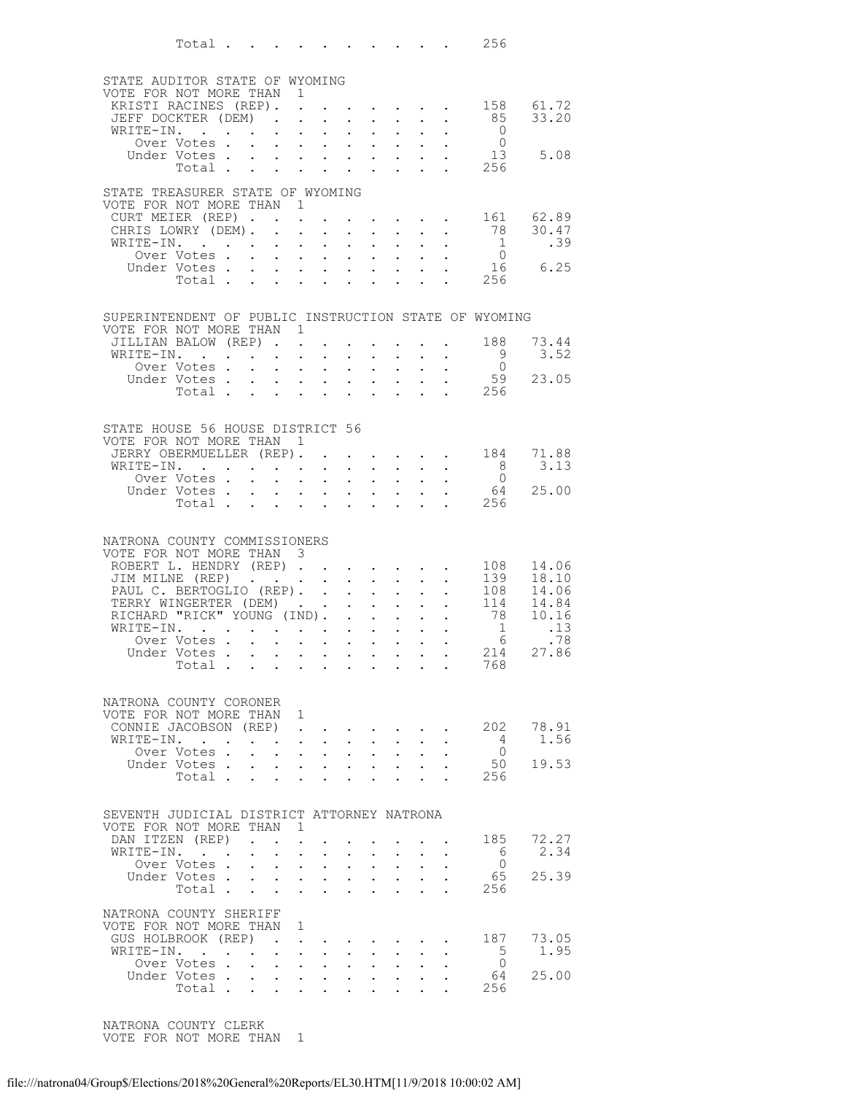| Total $\ldots$                                        |                                                                                            |                                                                 |                                                                                   |                                                   |                      |                                                            |                                                             |                                                                                                                       | 256                                                   |                                        |
|-------------------------------------------------------|--------------------------------------------------------------------------------------------|-----------------------------------------------------------------|-----------------------------------------------------------------------------------|---------------------------------------------------|----------------------|------------------------------------------------------------|-------------------------------------------------------------|-----------------------------------------------------------------------------------------------------------------------|-------------------------------------------------------|----------------------------------------|
|                                                       |                                                                                            |                                                                 |                                                                                   |                                                   |                      |                                                            |                                                             |                                                                                                                       |                                                       |                                        |
| STATE AUDITOR STATE OF WYOMING                        |                                                                                            |                                                                 |                                                                                   |                                                   |                      |                                                            |                                                             |                                                                                                                       |                                                       |                                        |
| VOTE FOR NOT MORE THAN 1<br>KRISTI RACINES (REP). .   |                                                                                            |                                                                 |                                                                                   |                                                   |                      |                                                            |                                                             | $\mathcal{L}(\mathcal{A})$ . The contribution of $\mathcal{A}(\mathcal{A})$                                           |                                                       | 158 61.72                              |
| JEFF DOCKTER (DEM).                                   |                                                                                            |                                                                 |                                                                                   |                                                   |                      | $\cdot$ $\cdot$ $\cdot$ $\cdot$                            |                                                             | $\mathbf{r}$ . The set of $\mathbf{r}$                                                                                | 85                                                    | 33.20                                  |
| WRITE-IN.                                             |                                                                                            | $\sim$ $-$                                                      | $\sim$                                                                            |                                                   |                      | $\mathbf{L}^{\text{max}}$ , and $\mathbf{L}^{\text{max}}$  | $\bullet$ .<br><br><br><br><br><br><br><br><br><br><br><br> | $\mathcal{L}^{\text{max}}$                                                                                            |                                                       |                                        |
| Over Votes                                            |                                                                                            | $\mathbf{L} = \mathbf{L} \mathbf{L} + \mathbf{L} \mathbf{L}$    |                                                                                   | $\mathbf{L}$                                      |                      |                                                            |                                                             | $\mathbf{r}$ , $\mathbf{r}$ , $\mathbf{r}$                                                                            | $\begin{matrix}0\\0\\13\end{matrix}$                  |                                        |
| Under Votes                                           |                                                                                            |                                                                 | $\mathbf{L} = \mathbf{L}$                                                         | $\bullet$ .                                       |                      |                                                            |                                                             | $\mathbf{r} = \mathbf{r} + \mathbf{r} + \mathbf{r} + \mathbf{r}$                                                      | Total 256                                             | 5.08                                   |
|                                                       |                                                                                            |                                                                 |                                                                                   |                                                   |                      |                                                            |                                                             |                                                                                                                       |                                                       |                                        |
| STATE TREASURER STATE OF WYOMING                      |                                                                                            |                                                                 |                                                                                   |                                                   |                      |                                                            |                                                             |                                                                                                                       |                                                       |                                        |
| VOTE FOR NOT MORE THAN 1                              |                                                                                            |                                                                 |                                                                                   |                                                   |                      |                                                            |                                                             |                                                                                                                       |                                                       |                                        |
| CURT MEIER (REP)<br>CHRIS LOWRY (DEM).                |                                                                                            | $\ddot{\phantom{0}}$<br>$\sim$ $\sim$                           | $\sim$                                                                            | $\ddot{\phantom{0}}$                              |                      | $\mathbf{L} = \mathbf{L}$                                  |                                                             | $\mathbf{L}$ and $\mathbf{L}$                                                                                         | 78                                                    | . 161 62.89<br>30.47                   |
| WRITE-IN.                                             | $\mathcal{L}(\mathcal{A})$ and $\mathcal{L}(\mathcal{A})$ . The $\mathcal{L}(\mathcal{A})$ | $\ddot{\phantom{0}}$                                            | $\sim$                                                                            | $\mathbf{L}$                                      |                      | $\mathbf{L} = \mathbf{L}$                                  |                                                             | $\mathbf{L}$ $\mathbf{L}$                                                                                             | 1                                                     | .39                                    |
| Over Votes                                            |                                                                                            | $\mathcal{L}^{\text{max}}$                                      | $\mathbf{L}^{\text{max}}$ , and $\mathbf{L}^{\text{max}}$                         | $\ddot{\phantom{0}}$                              |                      | $\mathbf{z} = \mathbf{z} + \mathbf{z}$ .                   |                                                             |                                                                                                                       |                                                       |                                        |
| Under Votes                                           |                                                                                            |                                                                 |                                                                                   |                                                   |                      | $\mathbf{L} = \mathbf{L}$                                  |                                                             |                                                                                                                       | 256                                                   | $\begin{matrix}0\\16\end{matrix}$ 6.25 |
| Total .                                               | $\mathbf{r}$                                                                               | $\ddot{\phantom{a}}$                                            | $\sim$                                                                            | $\ddot{\phantom{a}}$                              |                      |                                                            |                                                             |                                                                                                                       |                                                       |                                        |
|                                                       |                                                                                            |                                                                 |                                                                                   |                                                   |                      |                                                            |                                                             |                                                                                                                       |                                                       |                                        |
| SUPERINTENDENT OF PUBLIC INSTRUCTION STATE OF WYOMING |                                                                                            |                                                                 |                                                                                   |                                                   |                      |                                                            |                                                             |                                                                                                                       |                                                       |                                        |
| VOTE FOR NOT MORE THAN 1<br>JILLIAN BALOW (REP).      |                                                                                            |                                                                 |                                                                                   |                                                   |                      |                                                            |                                                             |                                                                                                                       | $\cdot$ 188                                           | 73.44                                  |
| WRITE-IN.                                             | $\mathbf{L}^{\text{max}}$ , and $\mathbf{L}^{\text{max}}$                                  | $\sim$ $-$                                                      |                                                                                   | $\ddot{\phantom{0}}$                              |                      | $\mathbf{z} = \mathbf{z} + \mathbf{z}$ .                   |                                                             | $\mathcal{L}^{\text{max}}$                                                                                            | 9                                                     | 3.52                                   |
| Over Votes .                                          |                                                                                            |                                                                 | $\mathbf{L}$ $\mathbf{L}$                                                         | $\mathcal{L}^{\text{max}}$                        |                      | $\mathbf{L} = \mathbf{L}$                                  | $\mathbf{L}$                                                |                                                                                                                       | $\overline{0}$                                        |                                        |
| Under Votes                                           |                                                                                            |                                                                 | $\mathbf{u} = \mathbf{u} \mathbf{u}$ .                                            | $\sim$ 100 $\pm$                                  |                      | $\mathbf{L} = \mathbf{L} \mathbf{L}$                       | $\mathbf{A}^{\text{max}}$                                   | $\ddot{\phantom{0}}$                                                                                                  |                                                       | 59 23.05                               |
| Total .                                               | $\mathbf{r}$                                                                               | $\mathbf{r}$ and $\mathbf{r}$ and $\mathbf{r}$ and $\mathbf{r}$ |                                                                                   |                                                   |                      |                                                            | $\mathbf{L}$                                                |                                                                                                                       | 256                                                   |                                        |
|                                                       |                                                                                            |                                                                 |                                                                                   |                                                   |                      |                                                            |                                                             |                                                                                                                       |                                                       |                                        |
| STATE HOUSE 56 HOUSE DISTRICT 56                      |                                                                                            |                                                                 |                                                                                   |                                                   |                      |                                                            |                                                             |                                                                                                                       |                                                       |                                        |
| VOTE FOR NOT MORE THAN 1                              |                                                                                            |                                                                 |                                                                                   |                                                   |                      |                                                            |                                                             |                                                                                                                       |                                                       |                                        |
| JERRY OBERMUELLER (REP).<br>WRITE-IN.                 |                                                                                            |                                                                 | $\sim$<br>$\sim$                                                                  | $\mathbf{L}^{\text{max}}$<br>$\sim$               |                      | $\mathbf{L}$ and $\mathbf{L}$                              |                                                             | $\mathbf{L} = \mathbf{L}$                                                                                             | $\cdot$ $\cdot$ $\cdot$ $\cdot$ 184<br>8 <sup>1</sup> | 71.88<br>3.13                          |
| Over Votes.                                           | $\mathbf{L}$                                                                               |                                                                 | $\mathbf{z} = \mathbf{z} + \mathbf{z}$ .                                          | $\bullet$ .                                       |                      | $\mathbf{z} = \mathbf{z} + \mathbf{z}$ .                   | $\ddot{\phantom{0}}$                                        |                                                                                                                       | $\overline{0}$                                        |                                        |
| Under Votes                                           |                                                                                            | $\mathbf{L} = \mathbf{L} \mathbf{L} + \mathbf{L} \mathbf{L}$    |                                                                                   | $\sim 10^{-11}$                                   |                      |                                                            |                                                             | $\mathbf{1}^{\prime}$ , $\mathbf{1}^{\prime}$ , $\mathbf{1}^{\prime}$ , $\mathbf{1}^{\prime}$ , $\mathbf{1}^{\prime}$ | 64                                                    | 25.00                                  |
| Total .                                               | $\sim$ $-$                                                                                 |                                                                 | $\mathbf{L} = \mathbf{L}$                                                         | $\ddot{\phantom{a}}$                              |                      | $\ddot{\phantom{a}}$                                       |                                                             |                                                                                                                       | 256                                                   |                                        |
|                                                       |                                                                                            |                                                                 |                                                                                   |                                                   |                      |                                                            |                                                             |                                                                                                                       |                                                       |                                        |
| NATRONA COUNTY COMMISSIONERS                          |                                                                                            |                                                                 |                                                                                   |                                                   |                      |                                                            |                                                             |                                                                                                                       |                                                       |                                        |
| VOTE FOR NOT MORE THAN 3                              |                                                                                            |                                                                 |                                                                                   |                                                   |                      |                                                            |                                                             |                                                                                                                       |                                                       |                                        |
| ROBERT L. HENDRY (REP)<br>JIM MILNE (REP)             |                                                                                            |                                                                 |                                                                                   |                                                   |                      | $\mathbf{r} = \mathbf{r} + \mathbf{r}$ .                   | $\sim$                                                      |                                                                                                                       | 108<br>139                                            | 14.06<br>18.10                         |
| PAUL C. BERTOGLIO (REP).                              |                                                                                            |                                                                 |                                                                                   |                                                   |                      |                                                            | $\ddot{\phantom{a}}$                                        |                                                                                                                       | 108                                                   | 14.06                                  |
| TERRY WINGERTER (DEM)                                 |                                                                                            |                                                                 |                                                                                   |                                                   |                      | $\mathbf{L} = \mathbf{L}$                                  | $\mathcal{L}^{\text{max}}$                                  |                                                                                                                       | 114                                                   | 14.84                                  |
| RICHARD "RICK" YOUNG (IND).                           |                                                                                            |                                                                 |                                                                                   |                                                   |                      |                                                            |                                                             | $\mathbf{L}$ and $\mathbf{L}$                                                                                         | 78                                                    | 10.16                                  |
| WRITE-IN.<br>TE-IN.<br>Over Votes                     |                                                                                            |                                                                 |                                                                                   |                                                   |                      |                                                            |                                                             | $\mathbf{1}=\mathbf{1}=\mathbf{1}=\mathbf{1}=\mathbf{1}=\mathbf{1}$                                                   |                                                       | $\frac{1}{6}$ . 13                     |
| Under Votes                                           |                                                                                            |                                                                 |                                                                                   |                                                   |                      |                                                            |                                                             |                                                                                                                       | 214                                                   | 27.86                                  |
| Total                                                 |                                                                                            |                                                                 |                                                                                   |                                                   |                      |                                                            |                                                             |                                                                                                                       | 768                                                   |                                        |
|                                                       |                                                                                            |                                                                 |                                                                                   |                                                   |                      |                                                            |                                                             |                                                                                                                       |                                                       |                                        |
| NATRONA COUNTY CORONER                                |                                                                                            |                                                                 |                                                                                   |                                                   |                      |                                                            |                                                             |                                                                                                                       |                                                       |                                        |
| VOTE FOR NOT MORE THAN                                |                                                                                            | 1                                                               |                                                                                   |                                                   |                      |                                                            |                                                             |                                                                                                                       |                                                       |                                        |
| CONNIE JACOBSON (REP)                                 |                                                                                            | $\ddot{\phantom{a}}$                                            |                                                                                   |                                                   |                      |                                                            |                                                             |                                                                                                                       | 202                                                   | 78.91                                  |
| WRITE-IN.<br>Over Votes.                              |                                                                                            | $\ddot{\phantom{a}}$                                            |                                                                                   |                                                   | $\ddot{\phantom{1}}$ | $\mathbf{L}$                                               |                                                             |                                                                                                                       | 4<br>$\bigcirc$                                       | 1.56                                   |
| Under Votes.                                          | $\mathbf{L}$                                                                               | $\ddot{\phantom{a}}$<br>$1 - 1 - 1 = 1$                         | <b>Service</b> State                                                              | $\ddot{\phantom{0}}$<br>$\sim 10^{-11}$           |                      | $\mathbf{L}$ and $\mathbf{L}$<br>$\mathbf{L} = \mathbf{L}$ | $\mathcal{L}^{\text{max}}$                                  |                                                                                                                       | 50                                                    | 19.53                                  |
| Total .                                               | $\ddot{\phantom{a}}$                                                                       | $\ddot{\phantom{a}}$                                            | $\ddot{\phantom{a}}$                                                              |                                                   |                      |                                                            |                                                             |                                                                                                                       | 256                                                   |                                        |
|                                                       |                                                                                            |                                                                 |                                                                                   |                                                   |                      |                                                            |                                                             |                                                                                                                       |                                                       |                                        |
| SEVENTH JUDICIAL DISTRICT ATTORNEY NATRONA            |                                                                                            |                                                                 |                                                                                   |                                                   |                      |                                                            |                                                             |                                                                                                                       |                                                       |                                        |
| VOTE FOR NOT MORE THAN                                |                                                                                            | $\overline{1}$                                                  |                                                                                   |                                                   |                      |                                                            |                                                             |                                                                                                                       |                                                       |                                        |
| DAN ITZEN (REP)                                       | $\sim$ $\sim$ $\sim$ $\sim$                                                                |                                                                 |                                                                                   |                                                   |                      |                                                            |                                                             |                                                                                                                       | 185                                                   | 72.27                                  |
| WRITE-IN.                                             |                                                                                            | $\ddot{\phantom{0}}$<br>$\bullet$                               |                                                                                   |                                                   |                      |                                                            |                                                             |                                                                                                                       | - 6                                                   | 2.34                                   |
| Over Votes .<br>Under Votes                           | $\ddot{\phantom{a}}$                                                                       | $\ddot{\phantom{a}}$<br>$\mathbf{L}$<br>$\ddot{\phantom{0}}$    | $\ddot{\phantom{a}}$<br>$\mathbf{L}^{\text{max}}$ , and $\mathbf{L}^{\text{max}}$ | $\mathbf{L}^{\text{max}}$<br>$\ddot{\phantom{0}}$ |                      | $\cdot$ $\cdot$<br>$\mathbf{L} = \mathbf{L} \mathbf{L}$    | $\mathbf{L}$                                                |                                                                                                                       | $\overline{0}$<br>65                                  | 25.39                                  |
| Total                                                 |                                                                                            | $\ddot{\phantom{a}}$                                            | $\sim$                                                                            | $\mathbf{L}$                                      |                      | $\mathbf{L} = \mathbf{L} \mathbf{L}$                       | $\sim$                                                      | $\mathbf{L}$                                                                                                          | 256                                                   |                                        |
|                                                       |                                                                                            |                                                                 |                                                                                   |                                                   |                      |                                                            |                                                             |                                                                                                                       |                                                       |                                        |
| NATRONA COUNTY SHERIFF                                |                                                                                            |                                                                 |                                                                                   |                                                   |                      |                                                            |                                                             |                                                                                                                       |                                                       |                                        |
| VOTE FOR NOT MORE THAN<br>GUS HOLBROOK (REP)          |                                                                                            | 1<br>$\sim$ $\sim$                                              |                                                                                   |                                                   |                      |                                                            |                                                             |                                                                                                                       | 187                                                   | 73.05                                  |
| WRITE-IN.                                             |                                                                                            | $\bullet$                                                       |                                                                                   |                                                   |                      |                                                            |                                                             |                                                                                                                       | 5                                                     | 1.95                                   |
| Over Votes                                            |                                                                                            | $\ddot{\phantom{0}}$                                            | $\sim$ $\sim$                                                                     | $\ddot{\phantom{0}}$                              | $\mathbf{L}$         |                                                            |                                                             |                                                                                                                       | $\bigcirc$                                            |                                        |
| Under Votes<br>Total .                                | $\mathbf{r}$ , $\mathbf{r}$ , $\mathbf{r}$ , $\mathbf{r}$ , $\mathbf{r}$ , $\mathbf{r}$    |                                                                 | $\sim 100$                                                                        |                                                   |                      |                                                            |                                                             |                                                                                                                       | 64<br>256                                             | 25.00                                  |
|                                                       |                                                                                            |                                                                 |                                                                                   |                                                   |                      |                                                            |                                                             |                                                                                                                       |                                                       |                                        |

 NATRONA COUNTY CLERK VOTE FOR NOT MORE THAN 1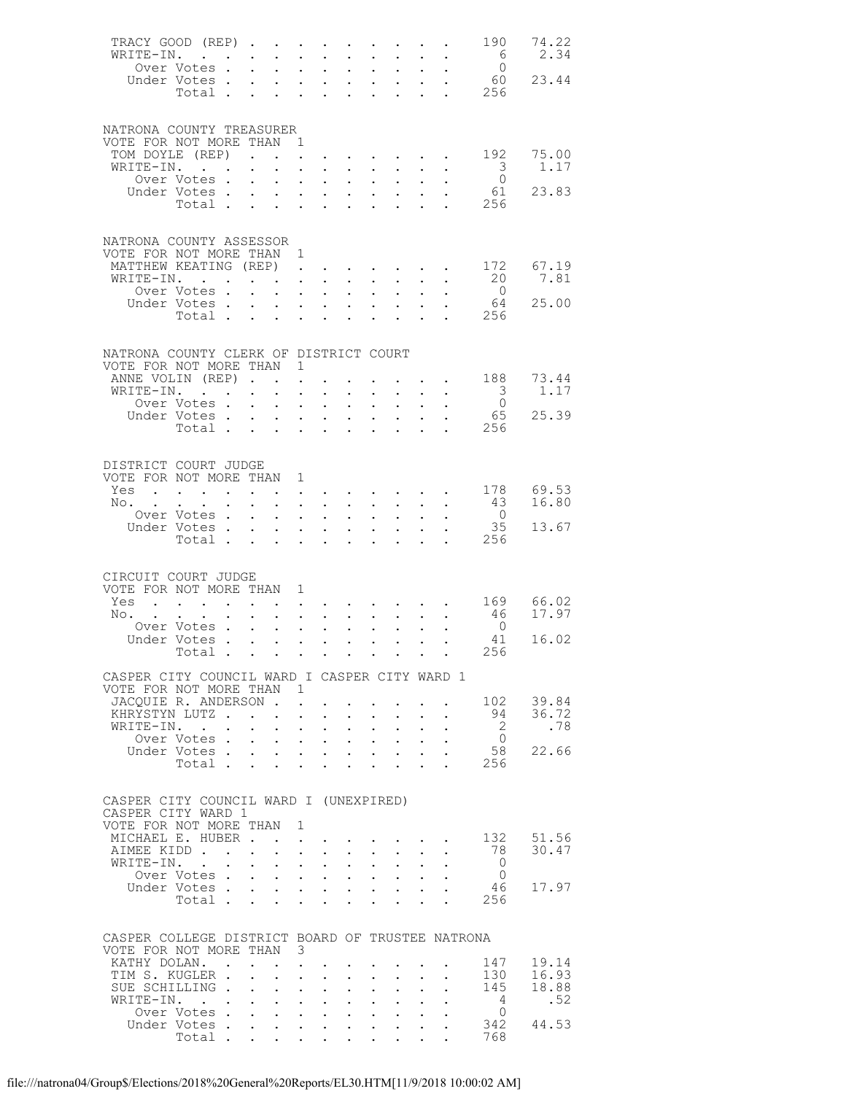| TRACY GOOD (REP)<br>WRITE-IN.                                                |                                                                                                                                                                                                                                   |                      |                                                             | $\bullet$ .                                                                                | $\ddot{\phantom{0}}$                                                                                  | $\ddot{\phantom{0}}$               | $\ddot{\phantom{0}}$                              | $\ddot{\phantom{0}}$                                                                      | $\ddot{\phantom{0}}$                                                                                         | $\bullet$ .<br><br><br><br><br><br><br><br><br><br><br><br> |                                                         | 190<br>$6\overline{6}$  | 74.22<br>2.34 |
|------------------------------------------------------------------------------|-----------------------------------------------------------------------------------------------------------------------------------------------------------------------------------------------------------------------------------|----------------------|-------------------------------------------------------------|--------------------------------------------------------------------------------------------|-------------------------------------------------------------------------------------------------------|------------------------------------|---------------------------------------------------|-------------------------------------------------------------------------------------------|--------------------------------------------------------------------------------------------------------------|-------------------------------------------------------------|---------------------------------------------------------|-------------------------|---------------|
|                                                                              | Over Votes.                                                                                                                                                                                                                       |                      | $\sim$                                                      | $\ddot{\phantom{a}}$                                                                       | $\ddot{\phantom{a}}$                                                                                  | $\ddot{\phantom{a}}$               | $\ddot{\phantom{a}}$                              | $\mathcal{L}^{\text{max}}$                                                                | $\ddot{\phantom{a}}$                                                                                         | $\mathcal{L}^{\text{max}}$                                  | $\ddot{\phantom{a}}$                                    | $\overline{0}$          |               |
|                                                                              | Under Votes                                                                                                                                                                                                                       |                      |                                                             | $\mathcal{L}^{\text{max}}$                                                                 | $\mathbf{L}^{\text{max}}$                                                                             | $\sim$ $-$                         | $\ddot{\phantom{0}}$                              | $\bullet$ .<br><br><br><br><br><br><br><br><br><br><br><br>                               | $\mathbb{Z}^{\mathbb{Z}^2}$                                                                                  |                                                             | $\ddot{\phantom{0}}$                                    |                         | 60 23.44      |
|                                                                              | Total                                                                                                                                                                                                                             |                      |                                                             |                                                                                            |                                                                                                       | <b>Contract Contract Contract</b>  | $\mathbf{L}$                                      | $\ddot{\phantom{a}}$                                                                      | $\ddot{\phantom{a}}$                                                                                         | $\mathbf{L}$                                                |                                                         | . 256                   |               |
|                                                                              |                                                                                                                                                                                                                                   |                      |                                                             |                                                                                            |                                                                                                       |                                    |                                                   |                                                                                           |                                                                                                              |                                                             |                                                         |                         |               |
| NATRONA COUNTY TREASURER                                                     |                                                                                                                                                                                                                                   |                      |                                                             |                                                                                            |                                                                                                       |                                    |                                                   |                                                                                           |                                                                                                              |                                                             |                                                         |                         |               |
| VOTE FOR NOT MORE THAN<br>TOM DOYLE (REP)                                    |                                                                                                                                                                                                                                   |                      |                                                             |                                                                                            | $\overline{1}$<br>$\mathcal{L}^{\text{max}}$                                                          |                                    |                                                   | $\sim 10^{-10}$                                                                           |                                                                                                              | $\ddot{\phantom{0}}$                                        |                                                         | 192                     | 75.00         |
| WRITE-IN.                                                                    |                                                                                                                                                                                                                                   |                      | $\bullet$ .<br><br><br><br><br><br><br><br><br><br><br><br> | $\mathbf{L}^{\text{max}}$                                                                  |                                                                                                       | $\mathbf{L}$                       | $\ddot{\phantom{0}}$                              | $\sim$ $-$                                                                                | $\sim$<br>$\ddot{\phantom{a}}$                                                                               |                                                             | $\mathbf{L} = \mathbf{L} \mathbf{L}$                    | $\overline{\mathbf{3}}$ | 1.17          |
|                                                                              | Over Votes .                                                                                                                                                                                                                      |                      | $\ddot{\phantom{0}}$                                        | $\ddot{\phantom{0}}$                                                                       | $\bullet$ .<br><br><br><br><br><br><br><br><br><br><br>                                               | $\bullet$ .                        | $\sim$                                            | $\bullet$ .                                                                               | $\ddot{\phantom{0}}$                                                                                         |                                                             |                                                         | $\overline{0}$          |               |
|                                                                              | Under Votes.<br>Total                                                                                                                                                                                                             |                      | $\mathcal{L}^{\text{max}}$                                  | $\mathbf{L}$                                                                               | $\ddot{\phantom{a}}$                                                                                  | $\ddot{\phantom{a}}$               | $\mathbf{L}^{\text{max}}$                         | $\mathbf{L}^{\text{max}}$                                                                 | $\ddot{\phantom{a}}$                                                                                         | $\mathcal{L}^{\text{max}}$                                  |                                                         | 61<br>256               | 23.83         |
|                                                                              |                                                                                                                                                                                                                                   |                      |                                                             | $\sim$ 100 $\pm$                                                                           | $\sim 10^{-11}$                                                                                       | $\sim$ $\sim$                      | $\ddot{\phantom{0}}$                              | $\bullet$                                                                                 | $\ddot{\phantom{a}}$                                                                                         |                                                             | $\mathbf{L}$                                            |                         |               |
|                                                                              |                                                                                                                                                                                                                                   |                      |                                                             |                                                                                            |                                                                                                       |                                    |                                                   |                                                                                           |                                                                                                              |                                                             |                                                         |                         |               |
| NATRONA COUNTY ASSESSOR                                                      |                                                                                                                                                                                                                                   |                      |                                                             |                                                                                            |                                                                                                       |                                    |                                                   |                                                                                           |                                                                                                              |                                                             |                                                         |                         |               |
| VOTE FOR NOT MORE THAN 1<br>MATTHEW KEATING (REP).                           |                                                                                                                                                                                                                                   |                      |                                                             |                                                                                            |                                                                                                       |                                    | the contract of the contract of the               |                                                                                           |                                                                                                              |                                                             |                                                         | 172                     | 67.19         |
| WRITE-IN.                                                                    |                                                                                                                                                                                                                                   |                      |                                                             | <b>Contract Contract Contract</b>                                                          |                                                                                                       | $\sim$ $-$                         | $\ddot{\phantom{0}}$                              | $\ddot{\phantom{0}}$                                                                      | $\mathbf{L}^{\text{max}}$                                                                                    | $\ddot{\phantom{0}}$                                        | $\ddot{\phantom{0}}$                                    | 20                      | 7.81          |
|                                                                              | Over Votes.                                                                                                                                                                                                                       |                      |                                                             | $\cdot$ $\cdot$ $\cdot$                                                                    |                                                                                                       | $\ddot{\phantom{a}}$               | $\ddot{\phantom{0}}$                              | $\ddot{\phantom{a}}$                                                                      | $\ddot{\phantom{a}}$                                                                                         | $\mathbf{L}$                                                |                                                         | $\overline{0}$          |               |
|                                                                              | Under Votes.<br>Total.                                                                                                                                                                                                            |                      | $\sim$                                                      |                                                                                            | $\mathbf{z} = \mathbf{z} + \mathbf{z}$ .                                                              | $\sim$ $-$                         | $\ddot{\phantom{0}}$                              | $\bullet$ .<br><br><br><br><br><br><br><br><br><br><br><br><br>$\ddot{\phantom{a}}$       | $\mathcal{L}^{\text{max}}$<br>$\ddot{\phantom{a}}$                                                           | $\mathbf{L}$                                                | $\mathbf{L}^{\text{max}}$ and $\mathbf{L}^{\text{max}}$ | 64<br>256               | 25.00         |
|                                                                              |                                                                                                                                                                                                                                   |                      |                                                             |                                                                                            |                                                                                                       |                                    |                                                   |                                                                                           |                                                                                                              |                                                             |                                                         |                         |               |
|                                                                              |                                                                                                                                                                                                                                   |                      |                                                             |                                                                                            |                                                                                                       |                                    |                                                   |                                                                                           |                                                                                                              |                                                             |                                                         |                         |               |
| NATRONA COUNTY CLERK OF DISTRICT COURT<br>VOTE FOR NOT MORE THAN             |                                                                                                                                                                                                                                   |                      |                                                             |                                                                                            | $\mathbf{1}$                                                                                          |                                    |                                                   |                                                                                           |                                                                                                              |                                                             |                                                         |                         |               |
| ANNE VOLIN (REP)                                                             |                                                                                                                                                                                                                                   |                      |                                                             |                                                                                            | $\ddot{\phantom{a}}$                                                                                  |                                    |                                                   |                                                                                           |                                                                                                              | $\ddot{\phantom{0}}$                                        | $\sim$ 100 $\pm$                                        | 188                     | 73.44         |
| WRITE-IN.                                                                    |                                                                                                                                                                                                                                   |                      |                                                             | $\mathbf{L}^{\text{max}}$                                                                  | $\ddot{\phantom{a}}$                                                                                  | $\ddot{\phantom{a}}$               | $\ddot{\phantom{0}}$                              | $\ddot{\phantom{0}}$                                                                      | $\ddot{\phantom{0}}$                                                                                         | $\ddot{\phantom{0}}$                                        | $\sim$                                                  | $\overline{\mathbf{3}}$ | 1.17          |
|                                                                              | Over Votes .<br>Under Votes                                                                                                                                                                                                       |                      | $\mathcal{L}^{\text{max}}$                                  | $\ddot{\phantom{0}}$<br>$\mathcal{L}^{\text{max}}$                                         | $\ddot{\phantom{0}}$<br>$\ddotsc$                                                                     | $\ddot{\phantom{0}}$               | $\sim$<br>$\mathbf{L}$                            | $\bullet$ .<br>$\ddot{\phantom{a}}$                                                       | $\mathbf{L}^{\text{max}}$<br>$\ddot{\phantom{a}}$                                                            | $\ddot{\phantom{a}}$                                        | $\ddot{\phantom{0}}$                                    | $\overline{0}$<br>65    | 25.39         |
|                                                                              | Total                                                                                                                                                                                                                             |                      |                                                             |                                                                                            | $\mathbf{r}$ , $\mathbf{r}$ , $\mathbf{r}$                                                            |                                    | $\ddot{\phantom{0}}$                              | $\ddot{\phantom{a}}$                                                                      |                                                                                                              |                                                             | $\ddot{\phantom{a}}$                                    | 256                     |               |
|                                                                              |                                                                                                                                                                                                                                   |                      |                                                             |                                                                                            |                                                                                                       |                                    |                                                   |                                                                                           |                                                                                                              |                                                             |                                                         |                         |               |
| DISTRICT COURT JUDGE                                                         |                                                                                                                                                                                                                                   |                      |                                                             |                                                                                            |                                                                                                       |                                    |                                                   |                                                                                           |                                                                                                              |                                                             |                                                         |                         |               |
| VOTE FOR NOT MORE THAN 1                                                     |                                                                                                                                                                                                                                   |                      |                                                             |                                                                                            |                                                                                                       |                                    |                                                   |                                                                                           |                                                                                                              |                                                             |                                                         |                         |               |
| Yes                                                                          | $\mathbf{r}$ . The contract of the contract of the contract of the contract of the contract of the contract of the contract of the contract of the contract of the contract of the contract of the contract of the contract of th |                      |                                                             | $\mathcal{L}(\mathcal{A})$ , and $\mathcal{L}(\mathcal{A})$ and $\mathcal{L}(\mathcal{A})$ |                                                                                                       |                                    |                                                   |                                                                                           |                                                                                                              |                                                             | and a strong control of the strong strong and           | 178                     | 69.53         |
| No.                                                                          |                                                                                                                                                                                                                                   |                      | $\ddot{\phantom{0}}$                                        | $\ddot{\phantom{0}}$                                                                       | $\sim$ $-$                                                                                            | $\sim$ $-$                         | $\ddot{\phantom{0}}$                              | $\mathbf{L}^{\text{max}}$                                                                 | $\ddot{\phantom{0}}$                                                                                         | $\ddot{\phantom{0}}$                                        | $\ddot{\phantom{0}}$                                    | 43                      | 16.80         |
|                                                                              | Over Votes .<br>Under Votes                                                                                                                                                                                                       |                      | $\mathbf{L}$                                                | $\mathbf{L}$<br>$\sim$                                                                     | $\bullet$<br>$\mathbf{A}^{\text{max}}$                                                                | $\ddot{\phantom{a}}$<br>$\sim 100$ | $\ddot{\phantom{a}}$<br>$\ddot{\phantom{0}}$      | $\mathcal{L}^{\text{max}}$<br>$\bullet$ .<br><br><br><br><br><br><br><br><br><br><br><br> | $\ddot{\phantom{0}}$<br>$\bullet$ .                                                                          | $\mathbf{L}$                                                | $\ddot{\phantom{a}}$                                    | $\overline{0}$<br>35    | 13.67         |
|                                                                              | Total.                                                                                                                                                                                                                            |                      |                                                             |                                                                                            |                                                                                                       |                                    |                                                   |                                                                                           | $\mathbf{r}$                                                                                                 | $\mathbf{L}$                                                |                                                         | 256                     |               |
|                                                                              |                                                                                                                                                                                                                                   |                      |                                                             |                                                                                            |                                                                                                       |                                    |                                                   |                                                                                           |                                                                                                              |                                                             |                                                         |                         |               |
| CIRCUIT COURT JUDGE                                                          |                                                                                                                                                                                                                                   |                      |                                                             |                                                                                            |                                                                                                       |                                    |                                                   |                                                                                           |                                                                                                              |                                                             |                                                         |                         |               |
| VOTE FOR NOT MORE THAN 1                                                     |                                                                                                                                                                                                                                   |                      |                                                             |                                                                                            |                                                                                                       |                                    |                                                   |                                                                                           |                                                                                                              |                                                             |                                                         |                         |               |
| Yes                                                                          | $\mathbf{L}$ and $\mathbf{L}$<br>$\sim$                                                                                                                                                                                           |                      |                                                             |                                                                                            | $\ddot{\phantom{0}}$                                                                                  |                                    |                                                   |                                                                                           |                                                                                                              |                                                             |                                                         | 169 66.02               |               |
| No.                                                                          |                                                                                                                                                                                                                                   | $\ddot{\phantom{a}}$ | $\sim$                                                      | $\mathbf{L} = \mathbf{L}$                                                                  |                                                                                                       | $\ddot{\phantom{a}}$               | $\ddot{\phantom{0}}$                              | $\mathbf{L}^{\text{max}}$                                                                 | $\mathbf{L}^{\text{max}}$                                                                                    | $\ddot{\phantom{0}}$                                        | $\mathcal{L}^{\text{max}}$                              | 46<br>$\overline{0}$    | 17.97         |
|                                                                              | Over Votes.<br>Under Votes                                                                                                                                                                                                        |                      | $\sim$                                                      | $\sim$                                                                                     | $\mathbf{L}^{\text{max}}$<br>$\mathbf{r} = \mathbf{r} \cdot \mathbf{r}$                               | $\ddot{\phantom{0}}$               | $\ddot{\phantom{0}}$<br>$\mathbf{L}^{\text{max}}$ | $\mathbf{L}^{\text{max}}$<br>$\ddot{\phantom{a}}$                                         | $\ddot{\phantom{0}}$<br>$\bullet$                                                                            |                                                             |                                                         | 41                      | 16.02         |
|                                                                              | Total                                                                                                                                                                                                                             |                      |                                                             |                                                                                            |                                                                                                       |                                    |                                                   |                                                                                           |                                                                                                              |                                                             |                                                         | 256                     |               |
| CASPER CITY COUNCIL WARD I CASPER CITY WARD 1                                |                                                                                                                                                                                                                                   |                      |                                                             |                                                                                            |                                                                                                       |                                    |                                                   |                                                                                           |                                                                                                              |                                                             |                                                         |                         |               |
| VOTE FOR NOT MORE THAN                                                       |                                                                                                                                                                                                                                   |                      |                                                             |                                                                                            | $\mathbf{1}$                                                                                          |                                    |                                                   |                                                                                           |                                                                                                              |                                                             |                                                         |                         |               |
| JACOUIE R. ANDERSON.                                                         |                                                                                                                                                                                                                                   |                      |                                                             |                                                                                            | $\mathbf{L}$                                                                                          |                                    |                                                   | $\bullet$ .<br><br><br><br><br><br><br><br><br><br><br><br>                               |                                                                                                              |                                                             |                                                         | 102                     | 39.84         |
| KHRYSTYN LUTZ<br>WRITE-IN.                                                   |                                                                                                                                                                                                                                   |                      |                                                             |                                                                                            |                                                                                                       | $\sim$ $-$                         |                                                   | $\mathbf{L}$ and $\mathbf{L}$                                                             | $\mathbf{L}^{\text{max}}$                                                                                    | $\ddot{\phantom{0}}$                                        | $\mathbf{L}$                                            | 94<br>$\overline{2}$    | 36.72<br>.78  |
|                                                                              | Over Votes .                                                                                                                                                                                                                      |                      | $\mathbf{L}^{\text{max}}$                                   |                                                                                            | $\ddotsc$<br>$\mathbf{L}^{\text{max}}$ , and $\mathbf{L}^{\text{max}}$                                | $\sim$ $-$                         | $\mathbf{L}^{\text{max}}$                         | $\mathbf{A}^{\mathrm{max}}$                                                               | $\mathcal{L}_{\mathcal{A}}$<br>$\mathbf{1}^{\prime}$ , and $\mathbf{1}^{\prime}$ , and $\mathbf{1}^{\prime}$ |                                                             | $\mathcal{L}^{\text{max}}$ , $\mathcal{L}^{\text{max}}$ | $\overline{0}$          |               |
|                                                                              | Under Votes                                                                                                                                                                                                                       |                      |                                                             |                                                                                            |                                                                                                       |                                    |                                                   |                                                                                           |                                                                                                              | $\mathbf{L}^{\text{max}}$                                   |                                                         | 58                      | 22.66         |
|                                                                              |                                                                                                                                                                                                                                   |                      |                                                             |                                                                                            |                                                                                                       |                                    |                                                   |                                                                                           |                                                                                                              | $\mathbf{L}$                                                | $\mathbf{L}$                                            | 256                     |               |
|                                                                              |                                                                                                                                                                                                                                   |                      |                                                             |                                                                                            |                                                                                                       |                                    |                                                   |                                                                                           |                                                                                                              |                                                             |                                                         |                         |               |
| CASPER CITY COUNCIL WARD I (UNEXPIRED)                                       |                                                                                                                                                                                                                                   |                      |                                                             |                                                                                            |                                                                                                       |                                    |                                                   |                                                                                           |                                                                                                              |                                                             |                                                         |                         |               |
| CASPER CITY WARD 1                                                           |                                                                                                                                                                                                                                   |                      |                                                             |                                                                                            |                                                                                                       |                                    |                                                   |                                                                                           |                                                                                                              |                                                             |                                                         |                         |               |
| VOTE FOR NOT MORE THAN<br>MICHAEL E. HUBER                                   |                                                                                                                                                                                                                                   |                      |                                                             |                                                                                            | 1                                                                                                     |                                    |                                                   |                                                                                           |                                                                                                              |                                                             |                                                         | 132                     | 51.56         |
| AIMEE KIDD                                                                   |                                                                                                                                                                                                                                   |                      |                                                             |                                                                                            | $\mathbf{z} = \mathbf{z} + \mathbf{z}$ .                                                              | $\sim$ $-$                         | $\ddot{\phantom{0}}$                              | $\mathbf{L}^{\text{max}}$                                                                 | $\mathcal{L}^{\mathcal{L}}$                                                                                  |                                                             |                                                         | 78                      | 30.47         |
| WRITE-IN.                                                                    |                                                                                                                                                                                                                                   |                      | $\sim 10^{-10}$                                             |                                                                                            | $\mathbf{L}^{\text{max}}$ , and $\mathbf{L}^{\text{max}}$                                             | $\ddot{\phantom{0}}$               | $\mathbb{Z}^{n-1}$                                | $\mathcal{L}^{\text{max}}$                                                                | $\ddot{\phantom{a}}$                                                                                         | $\ddot{\phantom{0}}$                                        |                                                         | $\overline{0}$          |               |
|                                                                              | Over Votes.<br>Under Votes                                                                                                                                                                                                        |                      | $\sim$                                                      |                                                                                            | $\mathbf{z} = \mathbf{z} + \mathbf{z} + \mathbf{z}$ .                                                 |                                    | $\ddot{\phantom{0}}$                              |                                                                                           | $\mathbf{z} = \mathbf{z} + \mathbf{z}$ .<br>$\mathbf{L} = \mathbf{L} \times \mathbf{L}$                      | $\mathbf{L}$                                                |                                                         | $\overline{0}$<br>46    | 17.97         |
|                                                                              | Total                                                                                                                                                                                                                             |                      |                                                             |                                                                                            | $\mathbf{L} = \mathbf{L}$                                                                             | $\sim$                             |                                                   | $\ddot{\phantom{0}}$                                                                      |                                                                                                              |                                                             |                                                         | 256                     |               |
|                                                                              |                                                                                                                                                                                                                                   |                      |                                                             |                                                                                            |                                                                                                       |                                    |                                                   |                                                                                           |                                                                                                              |                                                             |                                                         |                         |               |
|                                                                              |                                                                                                                                                                                                                                   |                      |                                                             |                                                                                            |                                                                                                       |                                    |                                                   |                                                                                           |                                                                                                              |                                                             |                                                         |                         |               |
| CASPER COLLEGE DISTRICT BOARD OF TRUSTEE NATRONA<br>VOTE FOR NOT MORE THAN 3 |                                                                                                                                                                                                                                   |                      |                                                             |                                                                                            |                                                                                                       |                                    |                                                   |                                                                                           |                                                                                                              |                                                             |                                                         |                         |               |
| KATHY DOLAN. .                                                               |                                                                                                                                                                                                                                   |                      |                                                             | $\mathbf{r}$ . The set of $\mathbf{r}$                                                     | $\sim$                                                                                                |                                    |                                                   |                                                                                           |                                                                                                              |                                                             |                                                         | 147                     | 19.14         |
| TIM S. KUGLER .                                                              |                                                                                                                                                                                                                                   |                      | $\mathbf{L}$                                                |                                                                                            | $\mathbf{L} = \mathbf{L}$                                                                             | $\sim$                             |                                                   | $\ddot{\phantom{0}}$                                                                      |                                                                                                              |                                                             |                                                         | 130                     | 16.93         |
| SUE SCHILLING<br>WRITE-IN.                                                   | $\mathcal{L}^{\text{max}}_{\text{max}}$                                                                                                                                                                                           |                      | $\mathbf{L}^{\text{max}}$                                   |                                                                                            | $\mathbf{L} = \mathbf{L}$<br>$\mathbf{z} = \mathbf{z} + \mathbf{z}$ , where $\mathbf{z} = \mathbf{z}$ | $\ddot{\phantom{0}}$               | $\mathbb{Z}^{n-1}$<br>$\ddot{\phantom{0}}$        | $\mathbf{L}^{\text{max}}$<br>$\ddot{\phantom{0}}$                                         | $\mathbb{Z}^{\mathbb{Z}^2}$<br>$\mathbf{L}^{\text{max}}$                                                     | $\ddot{\phantom{0}}$                                        |                                                         | 145<br>4                | 18.88<br>.52  |
|                                                                              | Over Votes .                                                                                                                                                                                                                      |                      |                                                             | $\mathbf{r}$ and $\mathbf{r}$ and $\mathbf{r}$ and $\mathbf{r}$                            |                                                                                                       |                                    | $\mathbf{L}^{\text{max}}$                         | $\sim 10^{-11}$                                                                           | $\mathcal{L}^{\mathcal{L}}$                                                                                  | $\ddot{\phantom{0}}$                                        |                                                         | $\circ$                 |               |
|                                                                              | Under Votes.                                                                                                                                                                                                                      |                      | $\mathcal{L}^{\text{max}}$                                  |                                                                                            | and a strategic state                                                                                 |                                    | $\sim$                                            |                                                                                           | $\mathbf{A}^{\text{max}}$ , and $\mathbf{A}^{\text{max}}$                                                    |                                                             |                                                         | 342                     | 44.53         |
|                                                                              | Total .                                                                                                                                                                                                                           |                      |                                                             |                                                                                            |                                                                                                       |                                    |                                                   |                                                                                           |                                                                                                              |                                                             |                                                         | 768                     |               |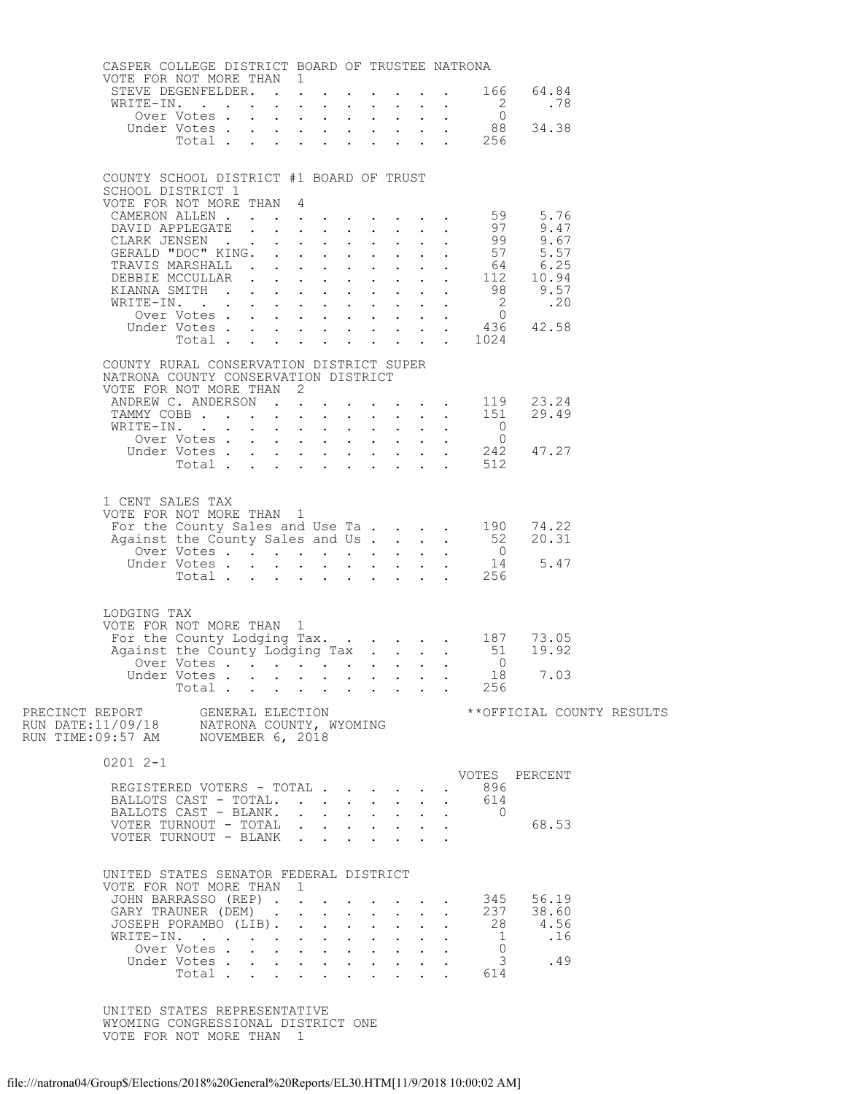| CASPER COLLEGE DISTRICT BOARD OF TRUSTEE NATRONA                                                                                |                      |  |                                         |  |  |                                                                  |                |                                                                                                                  |  |  |
|---------------------------------------------------------------------------------------------------------------------------------|----------------------|--|-----------------------------------------|--|--|------------------------------------------------------------------|----------------|------------------------------------------------------------------------------------------------------------------|--|--|
| VOTE FOR NOT MORE THAN 1                                                                                                        |                      |  |                                         |  |  |                                                                  |                | STEVE DEGENFELDER. 166 64.84                                                                                     |  |  |
|                                                                                                                                 |                      |  |                                         |  |  |                                                                  |                |                                                                                                                  |  |  |
|                                                                                                                                 |                      |  |                                         |  |  |                                                                  |                |                                                                                                                  |  |  |
|                                                                                                                                 |                      |  |                                         |  |  |                                                                  |                |                                                                                                                  |  |  |
|                                                                                                                                 |                      |  |                                         |  |  |                                                                  |                |                                                                                                                  |  |  |
| COUNTY SCHOOL DISTRICT #1 BOARD OF TRUST<br>SCHOOL DISTRICT 1                                                                   |                      |  |                                         |  |  |                                                                  |                |                                                                                                                  |  |  |
| VOTE FOR NOT MORE THAN 4                                                                                                        |                      |  |                                         |  |  |                                                                  |                |                                                                                                                  |  |  |
|                                                                                                                                 |                      |  |                                         |  |  |                                                                  |                |                                                                                                                  |  |  |
|                                                                                                                                 |                      |  |                                         |  |  |                                                                  |                |                                                                                                                  |  |  |
|                                                                                                                                 |                      |  |                                         |  |  |                                                                  |                |                                                                                                                  |  |  |
|                                                                                                                                 |                      |  |                                         |  |  |                                                                  |                | VOTE FOR NOT MORE THAN 4<br>CAMERON ALLEN 97<br>DAVID APPLEGATE 99<br>CLARK JENSEN 57<br>GERALD "DOC" KING.      |  |  |
|                                                                                                                                 |                      |  |                                         |  |  |                                                                  |                |                                                                                                                  |  |  |
|                                                                                                                                 |                      |  |                                         |  |  |                                                                  |                |                                                                                                                  |  |  |
|                                                                                                                                 |                      |  |                                         |  |  |                                                                  |                |                                                                                                                  |  |  |
|                                                                                                                                 |                      |  |                                         |  |  |                                                                  |                |                                                                                                                  |  |  |
| COUNTY RURAL CONSERVATION DISTRICT SUPER                                                                                        |                      |  |                                         |  |  |                                                                  |                |                                                                                                                  |  |  |
| NATRONA COUNTY CONSERVATION DISTRICT<br>VOTE FOR NOT MORE THAN 2                                                                |                      |  |                                         |  |  |                                                                  |                |                                                                                                                  |  |  |
|                                                                                                                                 |                      |  |                                         |  |  |                                                                  |                | ANDREW C. ANDERSON 119 23.24<br>TAMMY COBB 151 29.49                                                             |  |  |
|                                                                                                                                 |                      |  |                                         |  |  |                                                                  |                |                                                                                                                  |  |  |
|                                                                                                                                 |                      |  |                                         |  |  |                                                                  |                | WRITE-IN. 0<br>Over Votes 0<br>Under Votes 242 47.27<br>Total 512                                                |  |  |
|                                                                                                                                 |                      |  |                                         |  |  |                                                                  |                |                                                                                                                  |  |  |
|                                                                                                                                 |                      |  |                                         |  |  |                                                                  |                |                                                                                                                  |  |  |
| 1 CENT SALES TAX                                                                                                                |                      |  |                                         |  |  |                                                                  |                |                                                                                                                  |  |  |
| VOTE FOR NOT MORE THAN 1                                                                                                        |                      |  |                                         |  |  |                                                                  |                |                                                                                                                  |  |  |
|                                                                                                                                 |                      |  |                                         |  |  |                                                                  |                | OTE FOR NOT MORE THAN 1<br>For the County Sales and Use Ta 190 74.22<br>Against the County Sales and Us 52 20.31 |  |  |
|                                                                                                                                 |                      |  |                                         |  |  |                                                                  |                |                                                                                                                  |  |  |
|                                                                                                                                 |                      |  |                                         |  |  |                                                                  |                | 0<br>Voter Votes 0<br>Under Votes 14<br>Total 256                                                                |  |  |
|                                                                                                                                 |                      |  |                                         |  |  |                                                                  |                |                                                                                                                  |  |  |
| LODGING TAX                                                                                                                     |                      |  |                                         |  |  |                                                                  |                |                                                                                                                  |  |  |
| VOTE FOR NOT MORE THAN 1                                                                                                        |                      |  |                                         |  |  |                                                                  |                |                                                                                                                  |  |  |
|                                                                                                                                 |                      |  |                                         |  |  |                                                                  |                |                                                                                                                  |  |  |
|                                                                                                                                 |                      |  |                                         |  |  |                                                                  |                |                                                                                                                  |  |  |
|                                                                                                                                 |                      |  |                                         |  |  |                                                                  |                | Under Votes 18 7.03<br>Total 256                                                                                 |  |  |
|                                                                                                                                 |                      |  |                                         |  |  |                                                                  |                |                                                                                                                  |  |  |
| PRECINCT REPORT     GENERAL ELECTION<br>RUN DATE:11/09/18     NATRONA COUNTY, WYOMING<br>RUN TIME:09:57 AM     NOVEMBER 6, 2018 |                      |  |                                         |  |  |                                                                  |                | **OFFICIAL COUNTY RESULTS                                                                                        |  |  |
|                                                                                                                                 |                      |  |                                         |  |  |                                                                  |                |                                                                                                                  |  |  |
| $02012 - -1$                                                                                                                    |                      |  |                                         |  |  |                                                                  |                |                                                                                                                  |  |  |
| REGISTERED VOTERS - TOTAL                                                                                                       |                      |  |                                         |  |  |                                                                  | 896            | VOTES PERCENT                                                                                                    |  |  |
| BALLOTS CAST - TOTAL.                                                                                                           |                      |  |                                         |  |  |                                                                  | 614            |                                                                                                                  |  |  |
| BALLOTS CAST - BLANK.                                                                                                           |                      |  |                                         |  |  |                                                                  | $\overline{0}$ | 68.53                                                                                                            |  |  |
| VOTER TURNOUT - TOTAL<br>VOTER TURNOUT - BLANK                                                                                  |                      |  |                                         |  |  |                                                                  |                |                                                                                                                  |  |  |
|                                                                                                                                 |                      |  |                                         |  |  |                                                                  |                |                                                                                                                  |  |  |
| UNITED STATES SENATOR FEDERAL DISTRICT                                                                                          |                      |  |                                         |  |  |                                                                  |                |                                                                                                                  |  |  |
| VOTE FOR NOT MORE THAN 1<br>JOHN BARRASSO (REP).                                                                                |                      |  |                                         |  |  |                                                                  |                |                                                                                                                  |  |  |
| GARY TRAUNER (DEM).                                                                                                             |                      |  |                                         |  |  |                                                                  |                | $\cdot$ 345 56.19<br>. 237 38.60                                                                                 |  |  |
| JOSEPH PORAMBO (LIB).<br>WRITE-IN.                                                                                              |                      |  | $\cdot$ $\cdot$ $\cdot$ $\cdot$ $\cdot$ |  |  | $\mathbf{1}$ $\mathbf{1}$ $\mathbf{1}$ $\mathbf{1}$ $\mathbf{1}$ | 1              | $28$ $4.56$<br>.16                                                                                               |  |  |
|                                                                                                                                 | Over Votes           |  |                                         |  |  |                                                                  | $\overline{0}$ |                                                                                                                  |  |  |
|                                                                                                                                 | Under Votes<br>Total |  | $\cdot$ $\cdot$ $\cdot$                 |  |  |                                                                  | 614            | 3 .49                                                                                                            |  |  |
|                                                                                                                                 |                      |  |                                         |  |  |                                                                  |                |                                                                                                                  |  |  |
| UNITED STATES REPRESENTATIVE                                                                                                    |                      |  |                                         |  |  |                                                                  |                |                                                                                                                  |  |  |
| WYOMING CONGRESSIONAL DISTRICT ONE                                                                                              |                      |  |                                         |  |  |                                                                  |                |                                                                                                                  |  |  |

VOTE FOR NOT MORE THAN 1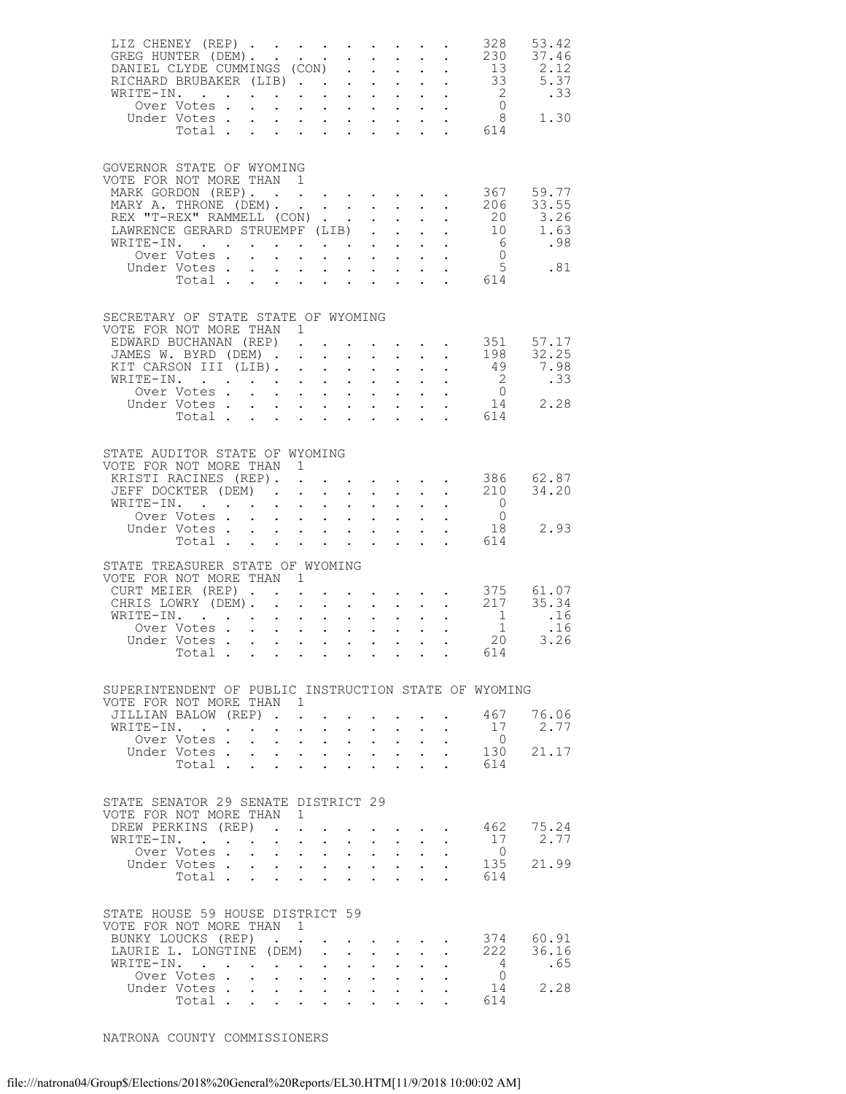| LIZ CHENEY (REP)                                                                                                           |                                    |                                           |                                                                          |                                                            |                                      |                                                                                       |                                                                                                                     |                           |                                                                                                                                                                                                                                                                                                                                                                                                                              | 328                                             | 53.42                     |
|----------------------------------------------------------------------------------------------------------------------------|------------------------------------|-------------------------------------------|--------------------------------------------------------------------------|------------------------------------------------------------|--------------------------------------|---------------------------------------------------------------------------------------|---------------------------------------------------------------------------------------------------------------------|---------------------------|------------------------------------------------------------------------------------------------------------------------------------------------------------------------------------------------------------------------------------------------------------------------------------------------------------------------------------------------------------------------------------------------------------------------------|-------------------------------------------------|---------------------------|
|                                                                                                                            |                                    |                                           |                                                                          |                                                            |                                      |                                                                                       |                                                                                                                     |                           |                                                                                                                                                                                                                                                                                                                                                                                                                              |                                                 |                           |
| GOVERNOR STATE OF WYOMING<br>VOTE FOR NOT MORE THAN 1<br>MARK GORDON (REP). 367 59.77<br>MARY A. THRONE (DEM). 206         |                                    |                                           |                                                                          |                                                            |                                      |                                                                                       |                                                                                                                     |                           |                                                                                                                                                                                                                                                                                                                                                                                                                              |                                                 | 33.55                     |
| REX "T-REX" RAMMELL (CON)<br>LAWRENCE GERARD STRUEMPF (LIB)<br>WRITE-IN.<br>Over Votes                                     |                                    |                                           |                                                                          |                                                            |                                      |                                                                                       |                                                                                                                     |                           |                                                                                                                                                                                                                                                                                                                                                                                                                              |                                                 | 20 3.26<br>10 1.63<br>.98 |
|                                                                                                                            | Under Votes                        |                                           |                                                                          |                                                            |                                      |                                                                                       |                                                                                                                     |                           |                                                                                                                                                                                                                                                                                                                                                                                                                              |                                                 | $\frac{5}{14}$ .81        |
| SECRETARY OF STATE STATE OF WYOMING<br>VOTE FOR NOT MORE THAN 1<br>EDWARD BUCHANAN (REP)<br>JAMES W. BYRD (DEM) 198 32.25  |                                    |                                           |                                                                          |                                                            |                                      |                                                                                       |                                                                                                                     |                           |                                                                                                                                                                                                                                                                                                                                                                                                                              | $\cdot \cdot \cdot \cdot \cdot 351$ 57.17       |                           |
| KIT CARSON III (LIB).<br>WRITE-IN.                                                                                         |                                    |                                           |                                                                          |                                                            |                                      |                                                                                       |                                                                                                                     |                           |                                                                                                                                                                                                                                                                                                                                                                                                                              |                                                 | 7.98<br>.33<br>2.28       |
| STATE AUDITOR STATE OF WYOMING                                                                                             | Total                              |                                           |                                                                          |                                                            |                                      |                                                                                       |                                                                                                                     |                           | $\mathbf{r}$ and $\mathbf{r}$ and $\mathbf{r}$ and $\mathbf{r}$                                                                                                                                                                                                                                                                                                                                                              | 614                                             |                           |
| VOTE FOR NOT MORE THAN 1<br>KRISTI RACINES (REP). 386<br>JEFF DOCKTER (DEM).<br>WRITE-IN.                                  |                                    |                                           |                                                                          |                                                            |                                      |                                                                                       |                                                                                                                     |                           | $\mathbf{r} = \mathbf{r} + \mathbf{r} + \mathbf{r} + \mathbf{r} + \mathbf{r} + \mathbf{r} + \mathbf{r} + \mathbf{r} + \mathbf{r} + \mathbf{r} + \mathbf{r} + \mathbf{r} + \mathbf{r} + \mathbf{r} + \mathbf{r} + \mathbf{r} + \mathbf{r} + \mathbf{r} + \mathbf{r} + \mathbf{r} + \mathbf{r} + \mathbf{r} + \mathbf{r} + \mathbf{r} + \mathbf{r} + \mathbf{r} + \mathbf{r} + \mathbf{r} + \mathbf{r} + \mathbf{r} + \mathbf$ | 210<br>$\overline{0}$                           | 62.87<br>34.20            |
|                                                                                                                            | Over Votes<br>Under Votes<br>Total |                                           |                                                                          |                                                            |                                      | $\mathcal{A}=\mathcal{A}=\mathcal{A}=\mathcal{A}=\mathcal{A}=\mathcal{A}=\mathcal{A}$ |                                                                                                                     |                           |                                                                                                                                                                                                                                                                                                                                                                                                                              | $\begin{array}{c} 0 \\ 18 \end{array}$<br>. 614 | 2.93                      |
| STATE TREASURER STATE OF WYOMING<br>VOTE FOR NOT MORE THAN 1<br>CURT MEIER (REP) 375 61.07<br>CHRIS LOWRY (DEM). 217 35.34 |                                    |                                           |                                                                          |                                                            |                                      |                                                                                       |                                                                                                                     |                           |                                                                                                                                                                                                                                                                                                                                                                                                                              |                                                 |                           |
| WRITE-IN. 1<br>Over Votes 1<br>Under Votes 20                                                                              | Total 614                          |                                           |                                                                          |                                                            |                                      |                                                                                       |                                                                                                                     |                           |                                                                                                                                                                                                                                                                                                                                                                                                                              |                                                 | .16<br>.16<br>3.26        |
| SUPERINTENDENT OF PUBLIC INSTRUCTION STATE OF WYOMING<br>VOTE FOR NOT MORE THAN 1                                          |                                    |                                           |                                                                          |                                                            |                                      |                                                                                       |                                                                                                                     |                           |                                                                                                                                                                                                                                                                                                                                                                                                                              |                                                 |                           |
| JILLIAN BALOW (REP).<br>WRITE-IN.                                                                                          | Over Votes.                        | $\mathbf{r} = \mathbf{r}$<br>$\mathbf{L}$ |                                                                          | $\mathbf{L}$ and $\mathbf{L}$<br>$\mathbf{L} = \mathbf{L}$ | $\mathbf{L}$<br>$\ddot{\phantom{0}}$ |                                                                                       | $\mathbf{L} = \mathbf{L} \mathbf{L}$<br>$\mathbf{z} = \mathbf{z} + \mathbf{z}$ .                                    | $\mathbf{L}$              | $\mathbf{L}$                                                                                                                                                                                                                                                                                                                                                                                                                 | 467<br>17<br>$\overline{0}$                     | 76.06<br>2.77             |
|                                                                                                                            | Under Votes<br>Total               |                                           | $\mathbf{L} = \mathbf{L} \mathbf{L}$<br>$\ddot{\phantom{a}}$             | $\sim$ $\sim$                                              | $\mathbf{L}$<br>$\sim$               |                                                                                       | $\mathbf{L}$ and $\mathbf{L}$                                                                                       | $\mathbf{L}^{\text{max}}$ |                                                                                                                                                                                                                                                                                                                                                                                                                              | 130<br>614                                      | 21.17                     |
| STATE SENATOR 29 SENATE DISTRICT 29<br>VOTE FOR NOT MORE THAN 1<br>DREW PERKINS (REP).<br>WRITE-IN.                        |                                    | $\sim$ $-$                                |                                                                          | $\mathbf{L} = \mathbf{L} \mathbf{L}$                       | $\ddot{\phantom{0}}$                 |                                                                                       | $\mathbf{L}^{\text{max}}$ , and $\mathbf{L}^{\text{max}}$                                                           |                           | $\mathbf{r}$ , $\mathbf{r}$ , $\mathbf{r}$ , $\mathbf{r}$                                                                                                                                                                                                                                                                                                                                                                    | 17                                              | 462 75.24<br>2.77         |
|                                                                                                                            | Over Votes<br>Under Votes<br>Total |                                           | $\mathbf{L} = \mathbf{L} \times \mathbf{L}$                              | <b>Contract Contract Contract</b>                          | $\ddot{\phantom{0}}$<br>$\mathbf{L}$ |                                                                                       | $\mathbf{L} = \mathbf{L}$<br>$\mathbf{L}^{\text{max}}$ , and $\mathbf{L}^{\text{max}}$<br>$\mathbf{L} = \mathbf{L}$ | $\mathbf{L}$              |                                                                                                                                                                                                                                                                                                                                                                                                                              | $\overline{0}$<br>135<br>614                    | 21.99                     |
| STATE HOUSE 59 HOUSE DISTRICT 59<br>VOTE FOR NOT MORE THAN<br>BUNKY LOUCKS (REP).                                          |                                    |                                           | $\sim$ 1                                                                 |                                                            |                                      |                                                                                       |                                                                                                                     |                           |                                                                                                                                                                                                                                                                                                                                                                                                                              | 374                                             | 60.91                     |
| LAURIE L. LONGTINE (DEM)<br>WRITE-IN.                                                                                      | Over Votes<br>Under Votes          |                                           | $\mathbf{r}$ , $\mathbf{r}$ , $\mathbf{r}$ , $\mathbf{r}$ , $\mathbf{r}$ | $\mathbf{z} = \mathbf{z} + \mathbf{z}$                     | $\mathbf{L}$<br>$\bullet$ .          |                                                                                       | $\mathbf{L}$ $\mathbf{L}$<br>$\mathbf{z} = \mathbf{z} + \mathbf{z}$ .                                               | $\ddot{\phantom{a}}$      |                                                                                                                                                                                                                                                                                                                                                                                                                              | 222<br>$\overline{4}$<br>$\overline{0}$<br>14   | 36.16<br>.65<br>2.28      |
|                                                                                                                            | Total                              |                                           |                                                                          |                                                            |                                      |                                                                                       |                                                                                                                     |                           |                                                                                                                                                                                                                                                                                                                                                                                                                              | 614                                             |                           |

NATRONA COUNTY COMMISSIONERS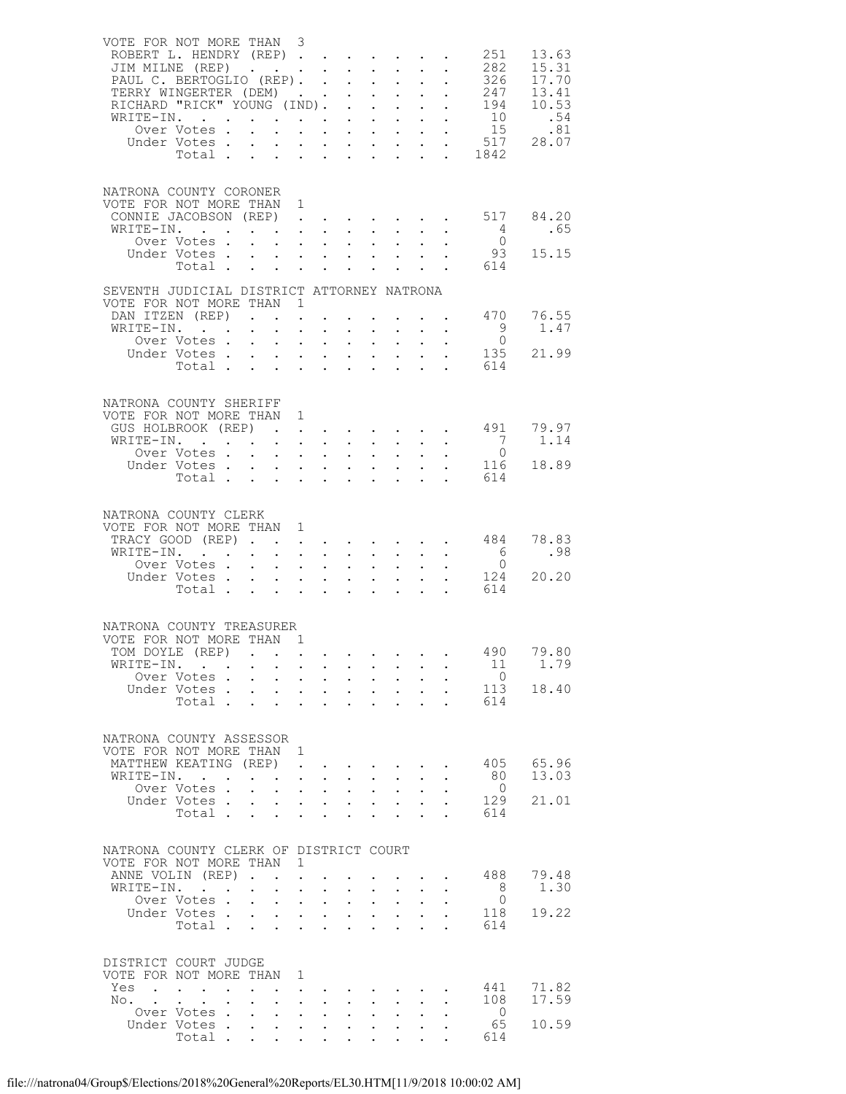|            | VOTE FOR NOT MORE THAN 3<br>ROBERT L. HENDRY (REP)<br>JIM MILNE (REP)<br>PAUL C. BERTOGLIO (REP).<br>PAUL C. BERTOGLIO (REP). 326<br>TERRY WINGERTER (DEM) 247<br>RICHARD "RICK" YOUNG (IND). 194<br>RICHARD "KIUR IOURS 31<br>Over Votes 517 28.07<br>Total |                                                                                                                                     |                                                                                                                                                         | $\ddot{\phantom{0}}$                                                                       |                                          | $\mathbf{L}^{\text{max}}$ , and $\mathbf{L}^{\text{max}}$<br>$\mathbf{L}^{\text{max}}$ , $\mathbf{L}^{\text{max}}$                                       |                      |              | 251<br>282<br>. 1842                                      | 13.63<br>15.31<br>326 17.70<br>13.41<br>10.53 |
|------------|--------------------------------------------------------------------------------------------------------------------------------------------------------------------------------------------------------------------------------------------------------------|-------------------------------------------------------------------------------------------------------------------------------------|---------------------------------------------------------------------------------------------------------------------------------------------------------|--------------------------------------------------------------------------------------------|------------------------------------------|----------------------------------------------------------------------------------------------------------------------------------------------------------|----------------------|--------------|-----------------------------------------------------------|-----------------------------------------------|
|            | NATRONA COUNTY CORONER<br>VOTE FOR NOT MORE THAN 1<br>CONNIE JACOBSON (REP).<br>WRITE-IN.<br>Over Votes .<br>Under Votes<br>Total                                                                                                                            | $\mathbf{L}^{\text{max}}$<br>$\mathbf{L}$<br>$\mathbf{L}$                                                                           | $\mathcal{L}^{\text{max}}$ , $\mathcal{L}^{\text{max}}$                                                                                                 | $\mathcal{L}^{(1)}$                                                                        |                                          | $\mathcal{L}^{\text{max}}(\mathcal{L}^{\text{max}}(\mathcal{L}^{\text{max}}(\mathcal{L}^{\text{max}}))$                                                  |                      |              | $\begin{matrix} 4 \\ 0 \end{matrix}$<br>93<br>614         | 517 84.20<br>.65<br>15.15                     |
|            | SEVENTH JUDICIAL DISTRICT ATTORNEY NATRONA<br>VOTE FOR NOT MORE THAN 1<br>DAN ITZEN (REP)<br>WRITE-IN.<br>Over Votes<br>Under Votes<br>Total                                                                                                                 | $\mathcal{L}^{\text{max}}$                                                                                                          | $\ddot{\phantom{0}}$<br>$\mathbf{L}^{\text{max}}$ , and $\mathbf{L}^{\text{max}}$                                                                       |                                                                                            |                                          | $\mathcal{L}^{\text{max}}$ , $\mathcal{L}^{\text{max}}$<br>$\mathbf{1}^{\prime}$ , $\mathbf{1}^{\prime}$ , $\mathbf{1}^{\prime}$ , $\mathbf{1}^{\prime}$ |                      |              | 470<br>$\begin{matrix}9\\0\end{matrix}$<br>135<br>614     | 76.55<br>1.47<br>21.99                        |
|            | NATRONA COUNTY SHERIFF<br>VOTE FOR NOT MORE THAN 1<br>GUS HOLBROOK (REP)<br>WRITE-IN.<br>Over Votes<br>Under Votes<br>Votes<br>Total                                                                                                                         | $\bullet$ .<br>$\mathcal{L}^{(1)}$                                                                                                  | $\mathbf{L}^{\text{max}}$ , and $\mathbf{L}^{\text{max}}$                                                                                               |                                                                                            |                                          | $\mathcal{L}^{\text{max}}$                                                                                                                               |                      | $\mathbf{r}$ | 491<br>$7\overline{)}$<br>$\overline{0}$<br>116<br>614    | 79.97<br>1.14<br>18.89                        |
|            | NATRONA COUNTY CLERK<br>VOTE FOR NOT MORE THAN 1<br>TRACY GOOD (REP)<br>WRITE-IN.<br>Over Votes<br>Under Votes<br>Total                                                                                                                                      | $\mathcal{L}^{\text{max}}$<br>$\mathbf{L}$                                                                                          | $\mathbf{L}^{\text{max}}$<br>$\mathbf{L}^{\text{max}}$ , $\mathbf{L}^{\text{max}}$<br>$\mathcal{L}^{\text{max}}$                                        | $\mathcal{L}^{(1)}$                                                                        |                                          | and a straight and a straight<br>$\mathbf{L}^{\text{max}}$                                                                                               |                      |              | 484<br>$\begin{matrix} 6 \\ 0 \end{matrix}$<br>124<br>614 | 78.83<br>.98<br>20.20                         |
|            | NATRONA COUNTY TREASURER<br>VOTE FOR NOT MORE THAN 1<br>TOM DOYLE (REP)<br>WRITE-IN.<br>Over Votes<br>Under Votes .<br>Total                                                                                                                                 | $\mathcal{L}^{\text{max}}$<br>$\mathbf{L}^{\text{max}}$                                                                             | $\sim 10^{-1}$<br>$\mathbf{L}^{\text{max}}$<br>$\mathbf{L}$                                                                                             | $\sim 10^{-11}$<br>$\bullet$ .<br>$\mathbf{L}^{\text{max}}$<br>$\ddot{\phantom{0}}$        | $\ddot{\phantom{a}}$                     | $\mathbf{L}^{\text{max}}$ , and $\mathbf{L}^{\text{max}}$<br>$\mathbf{r} = \mathbf{r} \cdot \mathbf{r}$                                                  | $\ddot{\phantom{0}}$ |              | 490<br>11<br>$\overline{0}$<br>113<br>614                 | 79.80<br>1.79<br>18.40                        |
| WRITE-IN.  | NATRONA COUNTY ASSESSOR<br>VOTE FOR NOT MORE THAN<br>MATTHEW KEATING (REP)<br>$\mathbf{r}$<br>$\ddot{\phantom{a}}$<br>Over Votes.<br>Under Votes .<br>Total .                                                                                                | $\ddot{\phantom{a}}$<br>$\ddot{\phantom{0}}$<br>$\ddot{\phantom{0}}$<br>$\mathbf{L}^{\text{max}}$                                   | -1<br>$\ddot{\phantom{a}}$<br>$\mathcal{L}^{\mathcal{L}}$<br>$\bullet$<br>$\ddot{\phantom{0}}$<br>$\mathbf{L}^{\text{max}}$                             | $\bullet$ .<br>$\ddot{\phantom{a}}$<br>$\mathbf{L}^{\text{max}}$<br>$\ddot{\phantom{0}}$   | $\bullet$ .<br>$\mathbf{L}^{\text{max}}$ | $\ddot{\phantom{0}}$<br>$\bullet$                                                                                                                        |                      |              | 405<br>80<br>$\overline{0}$<br>129<br>614                 | 65.96<br>13.03<br>21.01                       |
| WRITE-IN.  | NATRONA COUNTY CLERK OF DISTRICT COURT<br>VOTE FOR NOT MORE THAN<br>ANNE VOLIN (REP).<br><b>Contract Contract</b><br>$\ddot{\phantom{a}}$<br>Over Votes.<br>Under Votes .<br>Total                                                                           | $\ddot{\phantom{0}}$<br>$\mathbf{L}^{\text{max}}$<br>$\mathbf{L}^{\text{max}}$<br>$\ddot{\phantom{0}}$<br>$\mathbf{L}^{\text{max}}$ | 1<br>$\ddot{\phantom{a}}$<br>$\ddot{\phantom{a}}$<br>$\ddot{\phantom{a}}$<br>$\mathcal{L}^{\text{max}}$<br>$\ddot{\phantom{a}}$<br>$\ddot{\phantom{a}}$ | $\ddot{\phantom{0}}$<br>$\mathcal{L}^{\text{max}}$<br>$\mathbf{L}$<br>$\ddot{\phantom{0}}$ | $\mathcal{L}^{\mathcal{L}}$              | $\ddot{\phantom{0}}$<br>$\mathcal{L}^{\text{max}}$<br>$\ddot{\phantom{a}}$                                                                               |                      |              | 488<br>- 8<br>$\circ$<br>118<br>614                       | 79.48<br>1.30<br>19.22                        |
| Yes<br>No. | DISTRICT COURT JUDGE<br>VOTE FOR NOT MORE THAN<br>$\mathbf{r} = \mathbf{r}$<br>$\sim$<br>$\sim$ $-$<br>$\ddot{\phantom{0}}$<br>Over Votes.<br>Under Votes.<br>Total .                                                                                        | $\ddot{\phantom{0}}$<br>$\mathbf{L}^{\text{max}}$<br>$\bullet$ .                                                                    | 1<br>$\bullet$<br>$\ddot{\phantom{a}}$<br>$\bullet$<br>$\bullet$                                                                                        | $\ddot{\phantom{0}}$                                                                       |                                          |                                                                                                                                                          |                      |              | 441<br>108<br>$\circ$<br>65<br>614                        | 71.82<br>17.59<br>10.59                       |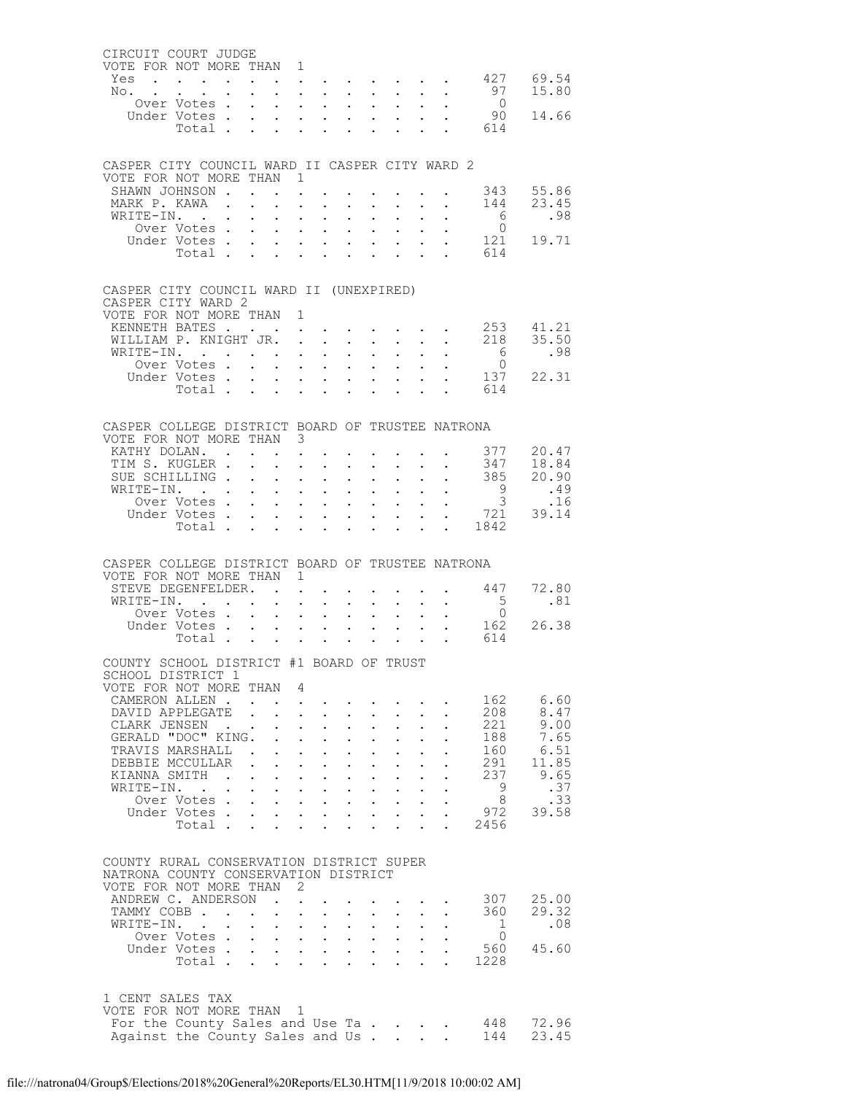|                                                                                                 |                              | CIRCUIT COURT JUDGE                      |                              |                                                                                                                                                                                                                                                                                                                                                                                                                                     |                                              |                                                                      |                                            |                                           |                                                                 |                                                                                               |                                                 |                                                                                                                                                                                                                                                                                                                                                                                                                |
|-------------------------------------------------------------------------------------------------|------------------------------|------------------------------------------|------------------------------|-------------------------------------------------------------------------------------------------------------------------------------------------------------------------------------------------------------------------------------------------------------------------------------------------------------------------------------------------------------------------------------------------------------------------------------|----------------------------------------------|----------------------------------------------------------------------|--------------------------------------------|-------------------------------------------|-----------------------------------------------------------------|-----------------------------------------------------------------------------------------------|-------------------------------------------------|----------------------------------------------------------------------------------------------------------------------------------------------------------------------------------------------------------------------------------------------------------------------------------------------------------------------------------------------------------------------------------------------------------------|
| VOTE FOR NOT MORE THAN 1<br>Yes                                                                 |                              |                                          |                              | $\mathbf{r}$ , $\mathbf{r}$ , $\mathbf{r}$ , $\mathbf{r}$                                                                                                                                                                                                                                                                                                                                                                           |                                              |                                                                      |                                            |                                           |                                                                 |                                                                                               | . 427 69.54                                     |                                                                                                                                                                                                                                                                                                                                                                                                                |
| No. .                                                                                           | $\sim$                       | $\mathbf{z} = \mathbf{z} + \mathbf{z}$ . | $\mathbf{L}^{\text{max}}$    | $\mathcal{L}^{\text{max}}(\mathcal{L}^{\text{max}}(\mathcal{L}^{\text{max}}(\mathcal{L}^{\text{max}}))$                                                                                                                                                                                                                                                                                                                             |                                              |                                                                      |                                            |                                           |                                                                 | $\mathbf{r} = \mathbf{r} + \mathbf{r} + \mathbf{r} + \mathbf{r}$                              |                                                 | 97 15.80                                                                                                                                                                                                                                                                                                                                                                                                       |
|                                                                                                 | Over Votes .                 |                                          |                              | $\mathbf{L} = \mathbf{L}$                                                                                                                                                                                                                                                                                                                                                                                                           | $\mathbf{L}$                                 | $\mathbf{L}$                                                         | $\mathbf{L}$                               | $\mathbf{L}$                              |                                                                 | $\cdot$ $\cdot$                                                                               | $\overline{0}$                                  |                                                                                                                                                                                                                                                                                                                                                                                                                |
|                                                                                                 | Under Votes.<br>Total .      |                                          | $\bullet$ .                  | <b>All Cards</b><br>$\mathbf{r} = \mathbf{r} \cdot \mathbf{r}$ , $\mathbf{r} = \mathbf{r} \cdot \mathbf{r}$                                                                                                                                                                                                                                                                                                                         | $\sim 10^{-11}$                              | $\mathbf{L}^{\text{max}}$                                            | $\sim$                                     |                                           |                                                                 | $\mathbf{1}^{\prime}$ , $\mathbf{1}^{\prime}$ , $\mathbf{1}^{\prime}$ , $\mathbf{1}^{\prime}$ | 614                                             | 90 14.66                                                                                                                                                                                                                                                                                                                                                                                                       |
|                                                                                                 |                              |                                          |                              |                                                                                                                                                                                                                                                                                                                                                                                                                                     |                                              |                                                                      |                                            |                                           |                                                                 |                                                                                               |                                                 |                                                                                                                                                                                                                                                                                                                                                                                                                |
|                                                                                                 |                              |                                          |                              |                                                                                                                                                                                                                                                                                                                                                                                                                                     |                                              |                                                                      |                                            |                                           |                                                                 |                                                                                               |                                                 |                                                                                                                                                                                                                                                                                                                                                                                                                |
| CASPER CITY COUNCIL WARD II CASPER CITY WARD 2<br>VOTE FOR NOT MORE THAN 1                      |                              |                                          |                              |                                                                                                                                                                                                                                                                                                                                                                                                                                     |                                              |                                                                      |                                            |                                           |                                                                 |                                                                                               |                                                 |                                                                                                                                                                                                                                                                                                                                                                                                                |
| SHAWN JOHNSON .                                                                                 |                              |                                          | $\mathbf{r}$                 | $\mathbf{L}$ and $\mathbf{L}$                                                                                                                                                                                                                                                                                                                                                                                                       |                                              | $\mathbf{A}^{(1)}$ and $\mathbf{A}^{(2)}$ and                        |                                            |                                           | $\mathcal{A}^{\mathcal{A}}$ and $\mathcal{A}^{\mathcal{A}}$ and | $\sim$                                                                                        |                                                 |                                                                                                                                                                                                                                                                                                                                                                                                                |
| MARK P. KAWA .                                                                                  |                              |                                          | $\mathbf{L}$                 | $\cdot$ $\cdot$ $\cdot$                                                                                                                                                                                                                                                                                                                                                                                                             | $\sim$                                       | $\sim$                                                               | $\ddot{\phantom{0}}$                       | $\ddot{\phantom{0}}$                      | $\ddot{\phantom{0}}$                                            | $\sim$                                                                                        |                                                 | 343 55.86<br>144 23.45                                                                                                                                                                                                                                                                                                                                                                                         |
| WRITE-IN.                                                                                       |                              |                                          | $\bullet$ .                  | $\mathbf{L} = \mathbf{L}$                                                                                                                                                                                                                                                                                                                                                                                                           | $\sim$ 100 $\pm$                             | $\bullet$ .                                                          | $\mathbf{L}^{\text{max}}$                  |                                           | $\mathbf{z} = \mathbf{z} + \mathbf{z}$ .                        | $\sim$                                                                                        |                                                 | $\begin{matrix} 6 \\ 0 \end{matrix} \qquad \qquad .98$                                                                                                                                                                                                                                                                                                                                                         |
|                                                                                                 | Over Votes .<br>Under Votes. |                                          | $\mathcal{L}^{\text{max}}$   | $\mathbf{r} = \mathbf{r} + \mathbf{r}$<br><b>Service</b> State                                                                                                                                                                                                                                                                                                                                                                      |                                              | <b>Service</b> State<br>$\mathbf{r} = \mathbf{r} \cdot \mathbf{r}$ . | $\mathbf{L}$<br>$\mathcal{L}^{\text{max}}$ | $\mathbf{L}$                              | $\mathbf{L}$ and $\mathbf{L}$                                   | $\ddot{\phantom{0}}$<br>$\sim$                                                                |                                                 |                                                                                                                                                                                                                                                                                                                                                                                                                |
|                                                                                                 | Total .                      |                                          |                              | $\mathbf{r} = \mathbf{r} \cdot \mathbf{r}$ , $\mathbf{r} = \mathbf{r} \cdot \mathbf{r}$                                                                                                                                                                                                                                                                                                                                             |                                              |                                                                      |                                            | $\mathbf{r} = \mathbf{r}$                 |                                                                 | $\mathbf{r} = \mathbf{r}$                                                                     |                                                 | $\begin{array}{cc} 121 & 19.71 \\ 614 & \end{array}$                                                                                                                                                                                                                                                                                                                                                           |
|                                                                                                 |                              |                                          |                              |                                                                                                                                                                                                                                                                                                                                                                                                                                     |                                              |                                                                      |                                            |                                           |                                                                 |                                                                                               |                                                 |                                                                                                                                                                                                                                                                                                                                                                                                                |
| CASPER CITY COUNCIL WARD II (UNEXPIRED)                                                         |                              |                                          |                              |                                                                                                                                                                                                                                                                                                                                                                                                                                     |                                              |                                                                      |                                            |                                           |                                                                 |                                                                                               |                                                 |                                                                                                                                                                                                                                                                                                                                                                                                                |
| CASPER CITY WARD 2                                                                              |                              |                                          |                              |                                                                                                                                                                                                                                                                                                                                                                                                                                     |                                              |                                                                      |                                            |                                           |                                                                 |                                                                                               |                                                 |                                                                                                                                                                                                                                                                                                                                                                                                                |
| VOTE FOR NOT MORE THAN 1<br>KENNETH BATES                                                       |                              |                                          |                              |                                                                                                                                                                                                                                                                                                                                                                                                                                     |                                              |                                                                      |                                            |                                           |                                                                 |                                                                                               | $\cdot \cdot \cdot \cdot \cdot \cdot 253$ 41.21 |                                                                                                                                                                                                                                                                                                                                                                                                                |
| WILLIAM P. KNIGHT JR. .                                                                         |                              |                                          |                              |                                                                                                                                                                                                                                                                                                                                                                                                                                     |                                              | $\mathcal{L}^{\text{max}}$ , $\mathcal{L}^{\text{max}}$              | $\mathbf{L}^{\text{max}}$                  |                                           |                                                                 | $\mathbf{A}^{(1)}$ and $\mathbf{A}^{(2)}$ and $\mathbf{A}^{(3)}$                              |                                                 |                                                                                                                                                                                                                                                                                                                                                                                                                |
| WRITE-IN.                                                                                       |                              |                                          |                              | $\mathbf{L} = \mathbf{L} \mathbf{L}$                                                                                                                                                                                                                                                                                                                                                                                                |                                              | $\cdot$ $\cdot$ $\cdot$                                              | $\mathbf{L}$                               | $\mathbf{L}$                              | $\ddot{\phantom{0}}$                                            |                                                                                               |                                                 | $218$ $35.50$<br>6 .98                                                                                                                                                                                                                                                                                                                                                                                         |
|                                                                                                 | Over Votes .                 |                                          | $\mathbf{L}$                 | $\mathbf{r} = \mathbf{r} + \mathbf{r}$                                                                                                                                                                                                                                                                                                                                                                                              |                                              | $\mathbf{L}^{\text{max}}$                                            | $\sim$ $-$                                 | $\sim$ $-$                                | $\ddot{\phantom{0}}$                                            |                                                                                               | $\bigcirc$                                      | 137 22.31                                                                                                                                                                                                                                                                                                                                                                                                      |
|                                                                                                 | Under Votes.<br>Total        |                                          | $\mathbf{L}$                 | $\mathbf{r} = \mathbf{r} + \mathbf{r} + \mathbf{r}$                                                                                                                                                                                                                                                                                                                                                                                 | $\sim$                                       | $\ddot{\phantom{0}}$                                                 | $\ddot{\phantom{0}}$                       | $\mathbf{r} = \mathbf{r}$<br>$\mathbf{L}$ | $\ddot{\phantom{0}}$                                            |                                                                                               | 614                                             |                                                                                                                                                                                                                                                                                                                                                                                                                |
|                                                                                                 |                              |                                          |                              |                                                                                                                                                                                                                                                                                                                                                                                                                                     |                                              |                                                                      |                                            |                                           |                                                                 |                                                                                               |                                                 |                                                                                                                                                                                                                                                                                                                                                                                                                |
| CASPER COLLEGE DISTRICT BOARD OF TRUSTEE NATRONA                                                |                              |                                          |                              |                                                                                                                                                                                                                                                                                                                                                                                                                                     |                                              |                                                                      |                                            |                                           |                                                                 |                                                                                               |                                                 |                                                                                                                                                                                                                                                                                                                                                                                                                |
| VOTE FOR NOT MORE THAN 3                                                                        |                              |                                          |                              |                                                                                                                                                                                                                                                                                                                                                                                                                                     |                                              |                                                                      |                                            |                                           |                                                                 |                                                                                               |                                                 |                                                                                                                                                                                                                                                                                                                                                                                                                |
| KATHY DOLAN. .                                                                                  |                              |                                          |                              | $\sim$<br>$\sim$                                                                                                                                                                                                                                                                                                                                                                                                                    |                                              |                                                                      |                                            |                                           |                                                                 |                                                                                               | 377 20.47                                       |                                                                                                                                                                                                                                                                                                                                                                                                                |
| TIM S. KUGLER .<br>SUE SCHILLING.                                                               |                              |                                          | $\mathbf{L}$                 | $\mathbf{L} = \mathbf{L}$                                                                                                                                                                                                                                                                                                                                                                                                           |                                              | $\mathbf{L}^{\text{max}}$ , and $\mathbf{L}^{\text{max}}$            | $\sim$ $-$                                 |                                           | $\mathbf{z} = \mathbf{z} + \mathbf{z}$ .                        | $\sim$                                                                                        |                                                 | 347 18.84<br>385 20.90                                                                                                                                                                                                                                                                                                                                                                                         |
| WRITE-IN.                                                                                       |                              |                                          | $\mathbf{L}$<br>$\bullet$ .  | $\mathbf{L} = \mathbf{L}$<br>$\mathbf{r} = \mathbf{r} + \mathbf{r} + \mathbf{r}$                                                                                                                                                                                                                                                                                                                                                    | $\ddot{\phantom{a}}$                         | $\sim$                                                               | $\mathbf{L}$<br>$\sim$ $-$                 | $\mathbf{L}$                              | $\mathbf{L}$                                                    | $\sim$<br>$\mathbf{r} = \mathbf{r} + \mathbf{r}$                                              |                                                 |                                                                                                                                                                                                                                                                                                                                                                                                                |
|                                                                                                 | Over Votes .                 |                                          |                              | $\mathbf{r} = \mathbf{r}$ , where $\mathbf{r} = \mathbf{r}$                                                                                                                                                                                                                                                                                                                                                                         | $\sim$                                       | $\mathbf{r}$                                                         |                                            |                                           |                                                                 | $\cdot$ $\cdot$                                                                               |                                                 | $\begin{array}{@{}c@{\hspace{1em}}c@{\hspace{1em}}c@{\hspace{1em}}c@{\hspace{1em}}c@{\hspace{1em}}c@{\hspace{1em}}c@{\hspace{1em}}c@{\hspace{1em}}c@{\hspace{1em}}c@{\hspace{1em}}c@{\hspace{1em}}c@{\hspace{1em}}c@{\hspace{1em}}c@{\hspace{1em}}c@{\hspace{1em}}c@{\hspace{1em}}c@{\hspace{1em}}c@{\hspace{1em}}c@{\hspace{1em}}c@{\hspace{1em}}c@{\hspace{1em}}c@{\hspace{1em}}c@{\hspace{1em}}c@{\hspace{$ |
|                                                                                                 | Under Votes.                 |                                          | $\sim$                       | $\mathbf{r} = \mathbf{r} + \mathbf{r}$ .                                                                                                                                                                                                                                                                                                                                                                                            | $\sim 10^{-11}$                              | $\mathbf{L}^{\text{max}}$                                            | $\sim$                                     |                                           | $\mathbf{A}^{(1)}$ and $\mathbf{A}^{(2)}$ and                   | $\sim$                                                                                        | $\cdot$ $1842$                                  |                                                                                                                                                                                                                                                                                                                                                                                                                |
|                                                                                                 | Total .                      |                                          | $\mathbf{r} = \mathbf{r}$    |                                                                                                                                                                                                                                                                                                                                                                                                                                     | $\mathbf{L}$<br>$\sim$                       |                                                                      |                                            |                                           |                                                                 |                                                                                               |                                                 |                                                                                                                                                                                                                                                                                                                                                                                                                |
| CASPER COLLEGE DISTRICT BOARD OF TRUSTEE NATRONA                                                |                              |                                          |                              |                                                                                                                                                                                                                                                                                                                                                                                                                                     |                                              |                                                                      |                                            |                                           |                                                                 |                                                                                               |                                                 |                                                                                                                                                                                                                                                                                                                                                                                                                |
|                                                                                                 |                              |                                          |                              |                                                                                                                                                                                                                                                                                                                                                                                                                                     |                                              |                                                                      |                                            |                                           |                                                                 |                                                                                               |                                                 |                                                                                                                                                                                                                                                                                                                                                                                                                |
|                                                                                                 |                              |                                          |                              |                                                                                                                                                                                                                                                                                                                                                                                                                                     |                                              |                                                                      |                                            |                                           |                                                                 |                                                                                               |                                                 |                                                                                                                                                                                                                                                                                                                                                                                                                |
| VOTE FOR NOT MORE THAN 1<br>STEVE DEGENFELDER. .                                                |                              |                                          |                              | $\sim$ $-$                                                                                                                                                                                                                                                                                                                                                                                                                          |                                              |                                                                      |                                            |                                           |                                                                 | $\mathbf{z} = \mathbf{z} + \mathbf{z}$ , where $\mathbf{z}$                                   |                                                 |                                                                                                                                                                                                                                                                                                                                                                                                                |
| WRITE-IN.                                                                                       |                              |                                          |                              | $\ddot{\phantom{0}}$                                                                                                                                                                                                                                                                                                                                                                                                                | $\ddot{\phantom{0}}$<br>$\ddot{\phantom{a}}$ | $\sim$                                                               |                                            | $\ddot{\phantom{0}}$                      | $\ddot{\phantom{0}}$                                            |                                                                                               |                                                 | $447$ $72.80$<br>5 .81                                                                                                                                                                                                                                                                                                                                                                                         |
|                                                                                                 | Over Votes .                 |                                          | $\mathbf{L}$                 | $\mathbf{L}$ and $\mathbf{L}$                                                                                                                                                                                                                                                                                                                                                                                                       | $\sim$                                       | $\ddot{\phantom{0}}$                                                 | $\mathbf{L}^{\text{max}}$                  | $\mathbf{L}^{\text{max}}$                 | $\ddot{\phantom{0}}$                                            |                                                                                               | $\bigcirc$                                      |                                                                                                                                                                                                                                                                                                                                                                                                                |
|                                                                                                 | Under Votes.<br>Total.       |                                          | $\mathbf{L}$<br>$\mathbf{L}$ | $\mathbf{L}$ and $\mathbf{L}$<br>$\mathbf{L}$ and $\mathbf{L}$                                                                                                                                                                                                                                                                                                                                                                      | $\mathbf{L}$<br>$\ddot{\phantom{0}}$         | $\sim$<br>$\bullet$ .                                                | $\mathbf{L}$<br>$\ddot{\phantom{0}}$       | $\mathbf{L}$<br>$\ddot{\phantom{a}}$      | $\ddot{\phantom{a}}$                                            |                                                                                               | 614                                             | 162 26.38                                                                                                                                                                                                                                                                                                                                                                                                      |
|                                                                                                 |                              |                                          |                              |                                                                                                                                                                                                                                                                                                                                                                                                                                     |                                              |                                                                      |                                            |                                           |                                                                 |                                                                                               |                                                 |                                                                                                                                                                                                                                                                                                                                                                                                                |
| COUNTY SCHOOL DISTRICT #1 BOARD OF TRUST<br>SCHOOL DISTRICT 1                                   |                              |                                          |                              |                                                                                                                                                                                                                                                                                                                                                                                                                                     |                                              |                                                                      |                                            |                                           |                                                                 |                                                                                               |                                                 |                                                                                                                                                                                                                                                                                                                                                                                                                |
| VOTE FOR NOT MORE THAN                                                                          |                              |                                          |                              | 4                                                                                                                                                                                                                                                                                                                                                                                                                                   |                                              |                                                                      |                                            |                                           |                                                                 |                                                                                               |                                                 |                                                                                                                                                                                                                                                                                                                                                                                                                |
| CAMERON ALLEN                                                                                   |                              |                                          |                              |                                                                                                                                                                                                                                                                                                                                                                                                                                     |                                              |                                                                      |                                            |                                           |                                                                 |                                                                                               | 162                                             | 6.60                                                                                                                                                                                                                                                                                                                                                                                                           |
| DAVID APPLEGATE<br>CLARK JENSEN                                                                 |                              |                                          |                              | $\mathcal{A}^{\mathcal{A}}$ , and $\mathcal{A}^{\mathcal{A}}$ , and $\mathcal{A}^{\mathcal{A}}$                                                                                                                                                                                                                                                                                                                                     |                                              | $\mathbf{L}$                                                         |                                            | $\mathbf{L}^{\text{max}}$                 | $\ddot{\phantom{0}}$                                            |                                                                                               | 208<br>221                                      | 8.47<br>9.00                                                                                                                                                                                                                                                                                                                                                                                                   |
| GERALD "DOC" KING.                                                                              |                              |                                          |                              | $\mathbf{L}^{\text{max}}$ , and $\mathbf{L}^{\text{max}}$                                                                                                                                                                                                                                                                                                                                                                           |                                              |                                                                      | $\mathcal{L}^{\text{max}}$                 | $\sim$ $-$                                |                                                                 |                                                                                               |                                                 | 7.65                                                                                                                                                                                                                                                                                                                                                                                                           |
| TRAVIS MARSHALL.                                                                                |                              |                                          |                              | $\mathbf{r} = \mathbf{r} + \mathbf{r} + \mathbf{r}$                                                                                                                                                                                                                                                                                                                                                                                 |                                              |                                                                      |                                            | $\mathbf{L}$ and $\mathbf{L}$             |                                                                 |                                                                                               | 188<br>160                                      | 6.51                                                                                                                                                                                                                                                                                                                                                                                                           |
| DEBBIE MCCULLAR<br>KIANNA SMITH .                                                               |                              |                                          |                              |                                                                                                                                                                                                                                                                                                                                                                                                                                     |                                              |                                                                      | $\mathcal{L}^{\text{max}}$                 | $\sim$<br>$\mathbf{L}$ and $\mathbf{L}$   | $\mathbf{L}^{\text{max}}$                                       |                                                                                               | 291<br>237                                      | 11.85<br>9.65                                                                                                                                                                                                                                                                                                                                                                                                  |
| WRITE-IN.                                                                                       |                              |                                          |                              | $\mathbf{r} = \mathbf{r} + \mathbf{r} + \mathbf{r} + \mathbf{r}$ .                                                                                                                                                                                                                                                                                                                                                                  |                                              |                                                                      | $\mathcal{L}^{\text{max}}$                 |                                           | $\mathbf{L}^{\text{max}}$ , and $\mathbf{L}^{\text{max}}$       |                                                                                               | - 9                                             | .37                                                                                                                                                                                                                                                                                                                                                                                                            |
|                                                                                                 | Over Votes.                  |                                          |                              |                                                                                                                                                                                                                                                                                                                                                                                                                                     |                                              |                                                                      |                                            |                                           |                                                                 |                                                                                               | 8 <sup>8</sup>                                  | .33                                                                                                                                                                                                                                                                                                                                                                                                            |
|                                                                                                 | Under Votes<br>Total         |                                          |                              |                                                                                                                                                                                                                                                                                                                                                                                                                                     |                                              |                                                                      | $\sim$                                     |                                           | $\mathbf{A}^{\text{max}}$ , and $\mathbf{A}^{\text{max}}$       |                                                                                               | 972<br>2456                                     | 39.58                                                                                                                                                                                                                                                                                                                                                                                                          |
|                                                                                                 |                              |                                          |                              |                                                                                                                                                                                                                                                                                                                                                                                                                                     |                                              |                                                                      |                                            |                                           |                                                                 |                                                                                               |                                                 |                                                                                                                                                                                                                                                                                                                                                                                                                |
|                                                                                                 |                              |                                          |                              |                                                                                                                                                                                                                                                                                                                                                                                                                                     |                                              |                                                                      |                                            |                                           |                                                                 |                                                                                               |                                                 |                                                                                                                                                                                                                                                                                                                                                                                                                |
| COUNTY RURAL CONSERVATION DISTRICT SUPER<br>NATRONA COUNTY CONSERVATION DISTRICT                |                              |                                          |                              |                                                                                                                                                                                                                                                                                                                                                                                                                                     |                                              |                                                                      |                                            |                                           |                                                                 |                                                                                               |                                                 |                                                                                                                                                                                                                                                                                                                                                                                                                |
| VOTE FOR NOT MORE THAN 2                                                                        |                              |                                          |                              |                                                                                                                                                                                                                                                                                                                                                                                                                                     |                                              |                                                                      |                                            |                                           |                                                                 |                                                                                               |                                                 |                                                                                                                                                                                                                                                                                                                                                                                                                |
| ANDREW C. ANDERSON.                                                                             |                              |                                          |                              |                                                                                                                                                                                                                                                                                                                                                                                                                                     |                                              |                                                                      |                                            |                                           |                                                                 |                                                                                               | 307                                             | 25.00                                                                                                                                                                                                                                                                                                                                                                                                          |
| TAMMY COBB<br>WRITE-IN.                                                                         |                              |                                          |                              |                                                                                                                                                                                                                                                                                                                                                                                                                                     |                                              |                                                                      |                                            |                                           |                                                                 |                                                                                               | 360<br>$\overline{1}$                           | 29.32<br>.08                                                                                                                                                                                                                                                                                                                                                                                                   |
|                                                                                                 | Over Votes                   |                                          |                              | $\begin{array}{cccccccccc} \mathbf{1} & \mathbf{1} & \mathbf{1} & \mathbf{1} & \mathbf{1} & \mathbf{1} & \mathbf{1} & \mathbf{1} & \mathbf{1} & \mathbf{1} & \mathbf{1} & \mathbf{1} & \mathbf{1} & \mathbf{1} & \mathbf{1} & \mathbf{1} & \mathbf{1} & \mathbf{1} & \mathbf{1} & \mathbf{1} & \mathbf{1} & \mathbf{1} & \mathbf{1} & \mathbf{1} & \mathbf{1} & \mathbf{1} & \mathbf{1} & \mathbf{1} & \mathbf{1} & \mathbf{1} & \$ |                                              |                                                                      |                                            |                                           | $\mathbf{u} = \mathbf{u} \mathbf{u}$ .                          |                                                                                               | $\bigcirc$                                      |                                                                                                                                                                                                                                                                                                                                                                                                                |
|                                                                                                 | Under Votes                  |                                          |                              |                                                                                                                                                                                                                                                                                                                                                                                                                                     |                                              |                                                                      |                                            |                                           |                                                                 |                                                                                               | 560                                             | 45.60                                                                                                                                                                                                                                                                                                                                                                                                          |
|                                                                                                 | Total                        |                                          |                              |                                                                                                                                                                                                                                                                                                                                                                                                                                     | $\mathbf{L}$<br>$\mathbf{L}$                 | $\mathbf{L}$                                                         |                                            |                                           |                                                                 |                                                                                               | 1228                                            |                                                                                                                                                                                                                                                                                                                                                                                                                |
|                                                                                                 |                              |                                          |                              |                                                                                                                                                                                                                                                                                                                                                                                                                                     |                                              |                                                                      |                                            |                                           |                                                                 |                                                                                               |                                                 |                                                                                                                                                                                                                                                                                                                                                                                                                |
| 1 CENT SALES TAX                                                                                |                              |                                          |                              |                                                                                                                                                                                                                                                                                                                                                                                                                                     |                                              |                                                                      |                                            |                                           |                                                                 |                                                                                               |                                                 |                                                                                                                                                                                                                                                                                                                                                                                                                |
| VOTE FOR NOT MORE THAN 1<br>For the County Sales and Use Ta.<br>Against the County Sales and Us |                              |                                          |                              |                                                                                                                                                                                                                                                                                                                                                                                                                                     |                                              |                                                                      |                                            |                                           |                                                                 |                                                                                               | 448<br>144                                      | 72.96<br>23.45                                                                                                                                                                                                                                                                                                                                                                                                 |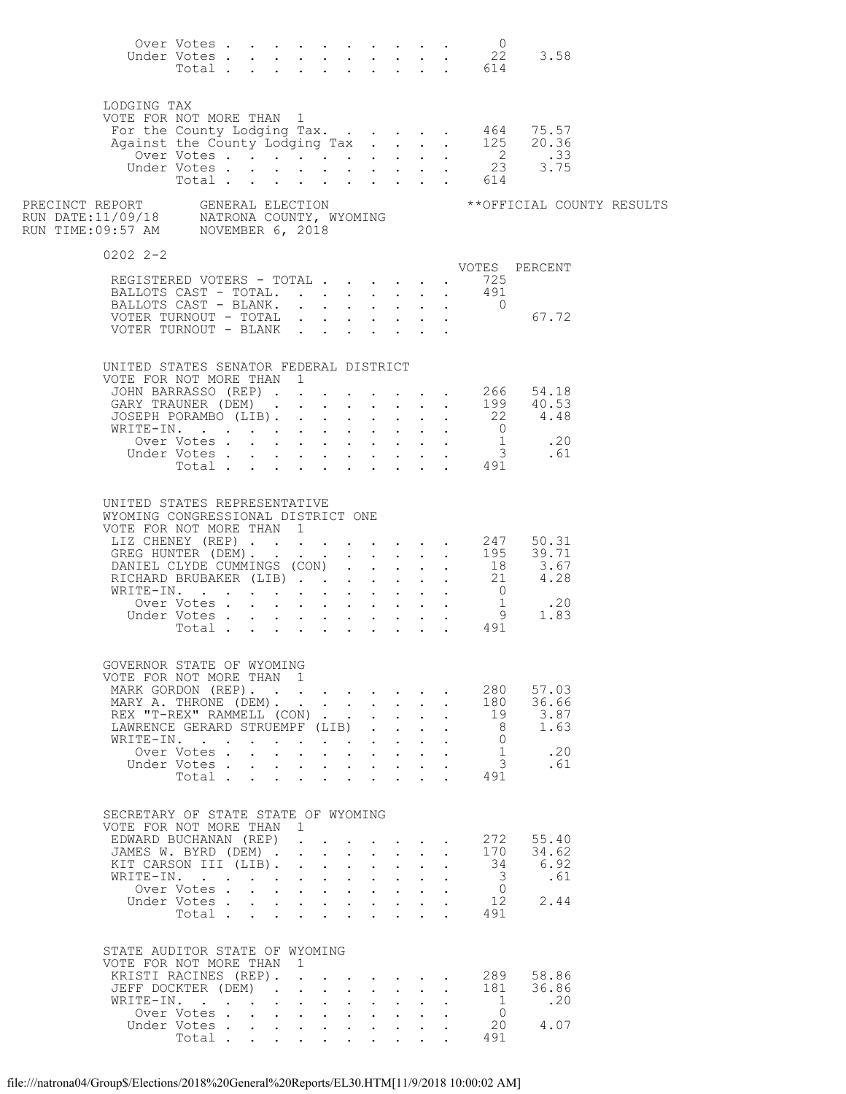|                                                                                                                                                                                                                                         | Over Votes                                  |  |                      |              |                                                                          |                                                                                                                                                                                                                                                                                                                                     |                                                                       |                                                                                               |                                                                                                   | $\overline{0}$<br>Under Votes 22<br>Total 614                                             | 3.58                                                                                                                         |                           |
|-----------------------------------------------------------------------------------------------------------------------------------------------------------------------------------------------------------------------------------------|---------------------------------------------|--|----------------------|--------------|--------------------------------------------------------------------------|-------------------------------------------------------------------------------------------------------------------------------------------------------------------------------------------------------------------------------------------------------------------------------------------------------------------------------------|-----------------------------------------------------------------------|-----------------------------------------------------------------------------------------------|---------------------------------------------------------------------------------------------------|-------------------------------------------------------------------------------------------|------------------------------------------------------------------------------------------------------------------------------|---------------------------|
| LODGING TAX<br>VOTE FOR NOT MORE THAN 1                                                                                                                                                                                                 | Total                                       |  |                      |              |                                                                          |                                                                                                                                                                                                                                                                                                                                     |                                                                       |                                                                                               |                                                                                                   | $\cdot$ $\cdot$ 614                                                                       | For the County Lodging Tax. 464 75.57<br>Against the County Lodging Tax 125 20.36<br>0ver Votes 2 .33<br>Under Votes 23 3.75 |                           |
| PRECINCT REPORT     GENERAL ELECTION<br>RUN DATE:11/09/18     NATRONA COUNTY, WYOMING<br>RUN TIME:09:57 AM     NOVEMBER 6, 2018                                                                                                         |                                             |  |                      |              |                                                                          |                                                                                                                                                                                                                                                                                                                                     |                                                                       |                                                                                               |                                                                                                   |                                                                                           |                                                                                                                              | **OFFICIAL COUNTY RESULTS |
| $0202$ $2 - 2$                                                                                                                                                                                                                          |                                             |  |                      |              |                                                                          |                                                                                                                                                                                                                                                                                                                                     |                                                                       |                                                                                               |                                                                                                   |                                                                                           |                                                                                                                              |                           |
| REGISTERED VOTERS - TOTAL 725<br>BALLOTS CAST - TOTAL 491<br>BALLOTS CAST - BLANK. 0<br>VOTER TURNOUT - TOTAL<br>VOTER TURNOUT - BLANK                                                                                                  |                                             |  |                      |              |                                                                          |                                                                                                                                                                                                                                                                                                                                     |                                                                       |                                                                                               |                                                                                                   |                                                                                           | VOTES PERCENT<br>67.72                                                                                                       |                           |
| UNITED STATES SENATOR FEDERAL DISTRICT<br>VOTE FOR NOT MORE THAN 1<br>JOHN BARRASSO (REP) 266 54.18<br>GARY TRAUNER (DEM) 199   40.53<br>JOSEPH PORAMBO (LIB) 22   4.48<br>WRITE-IN.                                                    |                                             |  |                      |              |                                                                          |                                                                                                                                                                                                                                                                                                                                     |                                                                       |                                                                                               |                                                                                                   |                                                                                           | XITE-IN. 0<br>Over Votes 1 .20<br>Under Votes 3 .61<br>Total 491                                                             |                           |
| UNITED STATES REPRESENTATIVE<br>WYOMING CONGRESSIONAL DISTRICT ONE<br>VOTE FOR NOT MORE THAN 1<br>LIZ CHENEY (REP) 247 50.31<br>GREG HUNTER (DEM)195 39.71<br>DANIEL CLYDE CUMMINGS (CON)18 3.67<br>RICHARD BRUBAKER (LIB)<br>WRITE-IN. | Over Votes<br>Under Votes<br>Total          |  |                      | $\mathbf{L}$ |                                                                          | and a strong control of the strong                                                                                                                                                                                                                                                                                                  |                                                                       | $\mathbf{r}$ and $\mathbf{r}$ and $\mathbf{r}$                                                |                                                                                                   | $\overline{0}$<br>$\begin{array}{cccc} . & . & . & 1 \\ . & . & . & 9 \end{array}$<br>491 | $\cdot$ $\cdot$ 21 4.28<br>.20<br>1.83                                                                                       |                           |
| GOVERNOR STATE OF WYOMING<br>VOTE FOR NOT MORE THAN 1<br>MARK GORDON (REP).<br>MARY A. THRONE (DEM).<br>REX "T-REX" RAMMELL (CON)<br>LAWRENCE GERARD STRUEMPF (LIB)<br>WRITE-IN.                                                        | Over Votes<br>Under Votes<br>Total $\cdots$ |  |                      |              |                                                                          | $\mathcal{L}(\mathbf{X})$ . The set of the set of $\mathcal{L}(\mathbf{X})$<br>$\mathbf{L}$                                                                                                                                                                                                                                         | $\mathbf{L}$                                                          | $\mathbf{L}$<br>$\ddot{\phantom{0}}$                                                          | $\ddot{\phantom{0}}$<br>$\ddot{\phantom{0}}$<br>$\ddot{\phantom{0}}$<br>$\mathbf{r} = \mathbf{r}$ | 280<br>180<br>19<br>- 8<br>$\bigcirc$<br><sup>1</sup><br>$\overline{\mathbf{3}}$<br>491   | 57.03<br>36.66<br>3.87<br>1.63<br>.20<br>.61                                                                                 |                           |
| SECRETARY OF STATE STATE OF WYOMING<br>VOTE FOR NOT MORE THAN 1<br>EDWARD BUCHANAN (REP)<br>JAMES W. BYRD (DEM)<br>KIT CARSON III (LIB).<br>WRITE-IN.                                                                                   | Over Votes<br>Under Votes<br>Total          |  |                      |              | $\mathbf{z} = \mathbf{z} + \mathbf{z}$ , where $\mathbf{z} = \mathbf{z}$ | $\mathbf{A}$<br>and a strong control of the strong strong                                                                                                                                                                                                                                                                           | $\mathbf{L} = \mathbf{L}$<br>$\mathbf{z} = \mathbf{z} + \mathbf{z}$ . | $\ddot{\phantom{0}}$<br>$\bullet$ .<br><br><br><br><br><br><br><br><br><br><br><br><br>$\sim$ | $\ddot{\phantom{0}}$<br>$\ddot{\phantom{a}}$                                                      | 272<br>170<br>- 34<br>- 3<br>$\overline{0}$<br>12<br>491                                  | 55.40<br>34.62<br>6.92<br>.61<br>2.44                                                                                        |                           |
| STATE AUDITOR STATE OF WYOMING<br>VOTE FOR NOT MORE THAN 1<br>KRISTI RACINES (REP).<br>JEFF DOCKTER (DEM)<br>WRITE-IN.                                                                                                                  | Over Votes<br>Under Votes<br>Total          |  | $\sim$ $\sim$ $\sim$ |              |                                                                          | $\mathbf{r}$ , $\mathbf{r}$ , $\mathbf{r}$ , $\mathbf{r}$ , $\mathbf{r}$<br>$\mathbf{r}$ , $\mathbf{r}$ , $\mathbf{r}$ , $\mathbf{r}$<br>$\mathbf{r} = \left( \mathbf{r} \right) \left( \mathbf{r} \right) \left( \mathbf{r} \right) \left( \mathbf{r} \right) \left( \mathbf{r} \right) \left( \mathbf{r} \right)$<br>$\mathbf{L}$ | $\mathbf{L}$                                                          | $\ddot{\phantom{0}}$<br>$\mathbf{L}^{\text{max}}$                                             | $\ddot{\phantom{1}}$<br>$\ddot{\phantom{0}}$                                                      | 289<br>181<br>1<br>$\bigcirc$<br>20<br>491                                                | 58.86<br>36.86<br>.20<br>4.07                                                                                                |                           |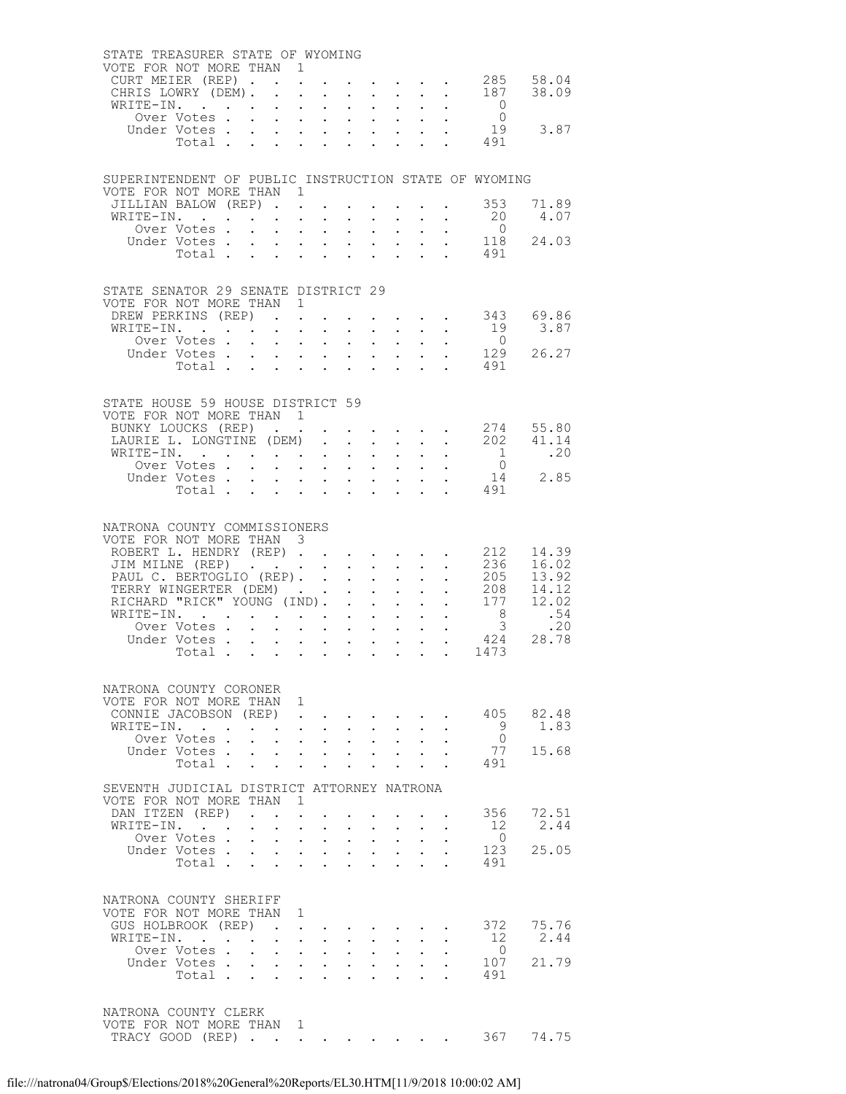| STATE TREASURER STATE OF WYOMING<br>VOTE FOR NOT MORE THAN 1<br>CURT MEIER (REP).<br>CHRIS LOWRY (DEM). |                            |                                                        | $\ddot{\phantom{a}}$ |                                                                              |                           |                       | $\mathbf{1}$ $\mathbf{1}$ $\mathbf{1}$ $\mathbf{1}$ $\mathbf{1}$ $\mathbf{1}$                                         |                                            |                                                                                                                                                                                                                                   |                                                                                                                                                 | $\cdot$ 285 58.04<br>$\cdot$ $\cdot$ 187 38.09 |
|---------------------------------------------------------------------------------------------------------|----------------------------|--------------------------------------------------------|----------------------|------------------------------------------------------------------------------|---------------------------|-----------------------|-----------------------------------------------------------------------------------------------------------------------|--------------------------------------------|-----------------------------------------------------------------------------------------------------------------------------------------------------------------------------------------------------------------------------------|-------------------------------------------------------------------------------------------------------------------------------------------------|------------------------------------------------|
| WRITE-IN.                                                                                               |                            | $\bullet$ .                                            |                      | $\mathcal{A}^{\mathcal{A}}$ , and $\mathcal{A}^{\mathcal{A}}$                | $\mathbf{L}^{\text{max}}$ |                       | $\mathbf{A}^{(1)}$ and $\mathbf{A}^{(2)}$ .                                                                           |                                            |                                                                                                                                                                                                                                   | $\overline{0}$                                                                                                                                  |                                                |
|                                                                                                         | Over Votes                 |                                                        |                      |                                                                              |                           |                       |                                                                                                                       |                                            |                                                                                                                                                                                                                                   | $\overline{0}$                                                                                                                                  |                                                |
|                                                                                                         |                            |                                                        |                      |                                                                              |                           |                       |                                                                                                                       |                                            |                                                                                                                                                                                                                                   |                                                                                                                                                 | 19 3.87                                        |
|                                                                                                         |                            |                                                        |                      |                                                                              |                           |                       |                                                                                                                       |                                            |                                                                                                                                                                                                                                   |                                                                                                                                                 |                                                |
|                                                                                                         |                            |                                                        |                      |                                                                              |                           |                       |                                                                                                                       |                                            |                                                                                                                                                                                                                                   |                                                                                                                                                 |                                                |
| SUPERINTENDENT OF PUBLIC INSTRUCTION STATE OF WYOMING                                                   |                            |                                                        |                      |                                                                              |                           |                       |                                                                                                                       |                                            |                                                                                                                                                                                                                                   |                                                                                                                                                 |                                                |
| VOTE FOR NOT MORE THAN 1<br>JILLIAN BALOW (REP).                                                        |                            |                                                        |                      |                                                                              |                           |                       |                                                                                                                       |                                            |                                                                                                                                                                                                                                   | $\cdot$ $\cdot$ 353                                                                                                                             | 71.89                                          |
| WRITE-IN.                                                                                               |                            | $\ddot{\phantom{0}}$                                   |                      | $\sim$ $\sim$                                                                |                           |                       | $\cdot$ $\cdot$                                                                                                       |                                            |                                                                                                                                                                                                                                   | 20                                                                                                                                              | 4.07                                           |
|                                                                                                         | Over Votes .               | $\mathbf{L}^{\text{max}}$<br>$\mathbf{L}^{\text{max}}$ |                      | $\mathcal{A}^{\mathcal{A}}$ , and $\mathcal{A}^{\mathcal{A}}$                | $\bullet$ .               |                       | $\mathbf{L}^{\text{max}}$ , $\mathbf{L}^{\text{max}}$                                                                 |                                            |                                                                                                                                                                                                                                   | $\overline{0}$                                                                                                                                  |                                                |
|                                                                                                         | Under Votes                |                                                        |                      |                                                                              |                           |                       |                                                                                                                       | $\mathbf{L}^{\text{max}}$                  |                                                                                                                                                                                                                                   | $118$                                                                                                                                           | 24.03                                          |
|                                                                                                         | Total                      | $\sim$                                                 |                      | $\mathbf{L}$ and $\mathbf{L}$                                                | $\ddot{\phantom{0}}$      |                       | $\mathbf{L}$ and $\mathbf{L}$                                                                                         |                                            |                                                                                                                                                                                                                                   | 491                                                                                                                                             |                                                |
|                                                                                                         |                            |                                                        |                      |                                                                              |                           |                       |                                                                                                                       |                                            |                                                                                                                                                                                                                                   |                                                                                                                                                 |                                                |
| STATE SENATOR 29 SENATE DISTRICT 29<br>VOTE FOR NOT MORE THAN 1                                         |                            |                                                        |                      |                                                                              |                           |                       |                                                                                                                       |                                            |                                                                                                                                                                                                                                   |                                                                                                                                                 |                                                |
| DREW PERKINS (REP).                                                                                     |                            |                                                        |                      |                                                                              |                           |                       |                                                                                                                       |                                            |                                                                                                                                                                                                                                   |                                                                                                                                                 | $\cdot$ $\cdot$ $\cdot$ $\cdot$ 343 69.86      |
| WRITE-IN.<br>Over Votes                                                                                 |                            |                                                        |                      |                                                                              |                           |                       | $\mathbf{L} = \mathbf{L} \times \mathbf{L}$                                                                           |                                            |                                                                                                                                                                                                                                   | $\begin{array}{cccccccc}\n\cdot & \cdot & \cdot & \cdot & \cdot & \cdot & 19 \\ \cdot & \cdot & \cdot & \cdot & \cdot & \cdot & 0\n\end{array}$ | 3.87                                           |
|                                                                                                         | Under Votes                |                                                        |                      | $\mathbf{r} = \mathbf{r} + \mathbf{r}$ .                                     | $\sim$                    |                       | $\mathbf{L}^{\text{max}}$ , and $\mathbf{L}^{\text{max}}$                                                             |                                            |                                                                                                                                                                                                                                   |                                                                                                                                                 | 26.27                                          |
|                                                                                                         | Total                      |                                                        |                      |                                                                              |                           |                       |                                                                                                                       |                                            |                                                                                                                                                                                                                                   | $\begin{array}{cccc}\n & 129 \\  & 491\n\end{array}$                                                                                            |                                                |
|                                                                                                         |                            |                                                        |                      |                                                                              |                           |                       |                                                                                                                       |                                            |                                                                                                                                                                                                                                   |                                                                                                                                                 |                                                |
| STATE HOUSE 59 HOUSE DISTRICT 59<br>VOTE FOR NOT MORE THAN 1                                            |                            |                                                        |                      |                                                                              |                           |                       |                                                                                                                       |                                            |                                                                                                                                                                                                                                   |                                                                                                                                                 |                                                |
| BUNKY LOUCKS (REP).                                                                                     |                            |                                                        |                      |                                                                              |                           |                       |                                                                                                                       |                                            | $\mathbf{u} = \mathbf{u} + \mathbf{u} + \mathbf{u} + \mathbf{u}$ .                                                                                                                                                                |                                                                                                                                                 | 274 55.80                                      |
| LAURIE L. LONGTINE (DEM)                                                                                |                            |                                                        |                      |                                                                              | $\mathbf{L}$              |                       | $\mathbf{L} = \mathbf{L}$                                                                                             |                                            |                                                                                                                                                                                                                                   |                                                                                                                                                 | $\cdot$ $\cdot$ 202 41.14                      |
| WRITE-IN.                                                                                               |                            |                                                        |                      | $\mathbf{r} = \mathbf{r} \times \mathbf{r}$ , where $\mathbf{r}$             | $\mathbf{L}^{\text{max}}$ |                       | $\mathbf{z} = \mathbf{z} + \mathbf{z}$ .                                                                              |                                            | $\mathbf{r}$ . The set of the set of the set of the set of the set of the set of the set of the set of the set of the set of the set of the set of the set of the set of the set of the set of the set of the set of the set of t | 1<br>$\overline{0}$                                                                                                                             | .20                                            |
|                                                                                                         | Over Votes<br>Under Votes  |                                                        |                      | $\mathbf{L} = \mathbf{L}$                                                    |                           |                       |                                                                                                                       |                                            |                                                                                                                                                                                                                                   |                                                                                                                                                 | 14 2.85                                        |
|                                                                                                         | Votes 14<br>Total 491      |                                                        |                      |                                                                              |                           |                       |                                                                                                                       |                                            |                                                                                                                                                                                                                                   |                                                                                                                                                 |                                                |
|                                                                                                         |                            |                                                        |                      |                                                                              |                           |                       |                                                                                                                       |                                            |                                                                                                                                                                                                                                   |                                                                                                                                                 |                                                |
| NATRONA COUNTY COMMISSIONERS<br>VOTE FOR NOT MORE THAN 3<br>ROBERT L. HENDRY (REP).                     |                            |                                                        |                      |                                                                              |                           |                       |                                                                                                                       |                                            |                                                                                                                                                                                                                                   | 212                                                                                                                                             | 14.39                                          |
| JIM MILNE (REP)                                                                                         |                            |                                                        |                      |                                                                              |                           |                       | $\mathbf{1}^{\prime}$ , $\mathbf{1}^{\prime}$ , $\mathbf{1}^{\prime}$ , $\mathbf{1}^{\prime}$ , $\mathbf{1}^{\prime}$ |                                            |                                                                                                                                                                                                                                   |                                                                                                                                                 | 236 16.02                                      |
| PAUL C. BERTOGLIO (REP).                                                                                |                            |                                                        |                      |                                                                              |                           |                       | $\mathbf{L}^{\text{max}}$ , and $\mathbf{L}^{\text{max}}$                                                             | $\mathcal{L}^{\text{max}}$<br>$\mathbf{L}$ |                                                                                                                                                                                                                                   | 205                                                                                                                                             | 13.92<br>$\frac{205}{208}$ 13.92               |
| TERRY WINGERTER (DEM)<br>RICHARD "RICK" YOUNG (IND).                                                    |                            |                                                        |                      |                                                                              |                           |                       | $\mathbf{r}$ , $\mathbf{r}$ , $\mathbf{r}$                                                                            |                                            | $\sim$                                                                                                                                                                                                                            |                                                                                                                                                 | 177 12.02                                      |
| WRITE-IN.                                                                                               |                            |                                                        |                      |                                                                              |                           |                       | $\mathbf{L} = \mathbf{L} \mathbf{L}$                                                                                  |                                            |                                                                                                                                                                                                                                   |                                                                                                                                                 | .54                                            |
|                                                                                                         | Over Votes.                | $\mathbf{L}$<br>$\ddot{\phantom{0}}$                   | $\mathbf{L}$         | $\mathbf{L}^{\text{max}}$                                                    | $\mathbf{L}^{\text{max}}$ |                       | $\mathbf{1}^{\prime}$ , $\mathbf{1}^{\prime}$                                                                         |                                            |                                                                                                                                                                                                                                   | $rac{1}{3}$                                                                                                                                     | .20                                            |
|                                                                                                         | Under Votes<br>Total       |                                                        |                      | $\mathbf{r}$ , $\mathbf{r}$ , $\mathbf{r}$ , $\mathbf{r}$                    |                           |                       |                                                                                                                       |                                            |                                                                                                                                                                                                                                   | 424<br>1473                                                                                                                                     | 28.78                                          |
|                                                                                                         |                            | $\bullet$ .                                            |                      | $\mathbf{r} = \mathbf{r} \cdot \mathbf{r}$                                   |                           |                       | $\mathbf{z} = \mathbf{z} + \mathbf{z}$ .                                                                              |                                            | $\ddot{\phantom{1}}$                                                                                                                                                                                                              |                                                                                                                                                 |                                                |
| NATRONA COUNTY CORONER<br>VOTE FOR NOT MORE THAN 1                                                      |                            |                                                        |                      |                                                                              |                           |                       |                                                                                                                       |                                            |                                                                                                                                                                                                                                   |                                                                                                                                                 |                                                |
| CONNIE JACOBSON (REP)<br>WRITE-IN.                                                                      |                            |                                                        | $\sim$ $\sim$        |                                                                              |                           |                       |                                                                                                                       |                                            |                                                                                                                                                                                                                                   | 405<br>9                                                                                                                                        | 82.48<br>1.83                                  |
|                                                                                                         | Over Votes.                |                                                        |                      | $\mathbf{L}^{\text{max}}$ , and $\mathbf{L}^{\text{max}}$<br>$1 - 1 - 1 = 1$ | $\mathbf{L}$              |                       | $\mathbf{L} = \mathbf{L}$                                                                                             |                                            |                                                                                                                                                                                                                                   | $\overline{0}$                                                                                                                                  |                                                |
|                                                                                                         | Under Votes .              | $\bullet$ .                                            |                      | $\mathbf{L}^{\text{max}}$ , and $\mathbf{L}^{\text{max}}$                    |                           | $\ddot{\phantom{0}}$  |                                                                                                                       |                                            |                                                                                                                                                                                                                                   | 77                                                                                                                                              | 15.68                                          |
|                                                                                                         | Total .                    | $\mathbf{L}$                                           |                      |                                                                              |                           |                       |                                                                                                                       |                                            |                                                                                                                                                                                                                                   | 491                                                                                                                                             |                                                |
| SEVENTH JUDICIAL DISTRICT ATTORNEY NATRONA<br>VOTE FOR NOT MORE THAN                                    |                            |                                                        | -1.                  |                                                                              |                           |                       |                                                                                                                       |                                            |                                                                                                                                                                                                                                   |                                                                                                                                                 |                                                |
| DAN ITZEN (REP)                                                                                         |                            |                                                        |                      |                                                                              |                           |                       |                                                                                                                       |                                            |                                                                                                                                                                                                                                   | 356                                                                                                                                             | 72.51                                          |
| WRITE-IN.                                                                                               |                            | $\ddot{\phantom{0}}$                                   | $\ddot{\phantom{0}}$ | $\ddot{\phantom{a}}$                                                         |                           |                       |                                                                                                                       |                                            |                                                                                                                                                                                                                                   | 12                                                                                                                                              | 2.44                                           |
|                                                                                                         | Over Votes.<br>Under Votes |                                                        | $\ddot{\phantom{a}}$ | $\mathbf{r}$                                                                 | $\ddot{\phantom{a}}$      | $\mathbf{L}$          |                                                                                                                       |                                            |                                                                                                                                                                                                                                   | $\overline{0}$<br>123                                                                                                                           | 25.05                                          |
|                                                                                                         | Total                      | $\bullet$ .                                            |                      | $\mathbf{z} = \mathbf{z} + \mathbf{z}$ .                                     | $\ddot{\phantom{0}}$      |                       | $\mathbf{L}^{\text{max}}$                                                                                             |                                            |                                                                                                                                                                                                                                   | 491                                                                                                                                             |                                                |
|                                                                                                         |                            |                                                        |                      |                                                                              |                           |                       |                                                                                                                       |                                            |                                                                                                                                                                                                                                   |                                                                                                                                                 |                                                |
|                                                                                                         |                            |                                                        |                      |                                                                              |                           |                       |                                                                                                                       |                                            |                                                                                                                                                                                                                                   |                                                                                                                                                 |                                                |
| NATRONA COUNTY SHERIFF                                                                                  |                            |                                                        | 1                    |                                                                              |                           |                       |                                                                                                                       |                                            |                                                                                                                                                                                                                                   |                                                                                                                                                 |                                                |
| VOTE FOR NOT MORE THAN<br>GUS HOLBROOK (REP)                                                            |                            |                                                        |                      |                                                                              |                           |                       |                                                                                                                       |                                            |                                                                                                                                                                                                                                   | 372                                                                                                                                             | 75.76                                          |
| WRITE-IN.                                                                                               |                            |                                                        | $\ddot{\phantom{a}}$ |                                                                              |                           |                       |                                                                                                                       |                                            |                                                                                                                                                                                                                                   | 12                                                                                                                                              | 2.44                                           |
|                                                                                                         | Over Votes.                | $\ddot{\phantom{0}}$                                   | $\bullet$ .          | $\sim$ $-$                                                                   |                           | $\bullet$ . $\bullet$ |                                                                                                                       |                                            |                                                                                                                                                                                                                                   | $\overline{0}$                                                                                                                                  |                                                |
|                                                                                                         | Under Votes .              |                                                        | $\ddot{\phantom{a}}$ | $\sim$ $\sim$                                                                |                           |                       |                                                                                                                       |                                            |                                                                                                                                                                                                                                   | 107                                                                                                                                             | 21.79                                          |
|                                                                                                         | Total .                    | $\sim$<br>$\sim$                                       |                      | $\ddot{\phantom{a}}$                                                         |                           |                       |                                                                                                                       |                                            |                                                                                                                                                                                                                                   | 491                                                                                                                                             |                                                |
| NATRONA COUNTY CLERK<br>VOTE FOR NOT MORE THAN 1<br>TRACY GOOD (REP)                                    |                            |                                                        |                      |                                                                              |                           |                       |                                                                                                                       |                                            |                                                                                                                                                                                                                                   | 367                                                                                                                                             | 74.75                                          |
|                                                                                                         |                            |                                                        |                      |                                                                              |                           |                       |                                                                                                                       |                                            |                                                                                                                                                                                                                                   |                                                                                                                                                 |                                                |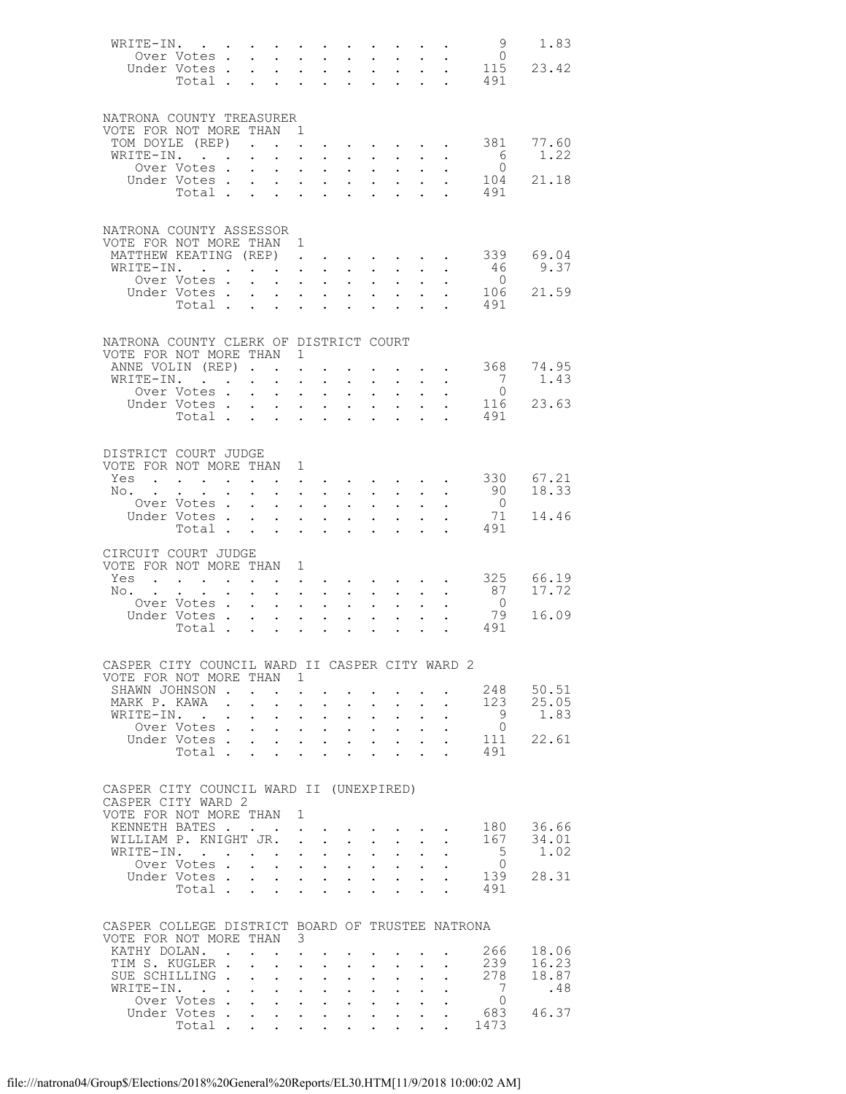| WRITE-IN.                                                     |                                                                                                                                                                                                                                                                                                                                                                                                                                                             |        |                                           |                                                                                 |                                                                                                                       |                                                       |                                     |                                                                                         |                                                         |                                    | - 9                               | 1.83          |
|---------------------------------------------------------------|-------------------------------------------------------------------------------------------------------------------------------------------------------------------------------------------------------------------------------------------------------------------------------------------------------------------------------------------------------------------------------------------------------------------------------------------------------------|--------|-------------------------------------------|---------------------------------------------------------------------------------|-----------------------------------------------------------------------------------------------------------------------|-------------------------------------------------------|-------------------------------------|-----------------------------------------------------------------------------------------|---------------------------------------------------------|------------------------------------|-----------------------------------|---------------|
|                                                               | Over Votes                                                                                                                                                                                                                                                                                                                                                                                                                                                  |        |                                           |                                                                                 | $\mathbf{r} = \mathbf{r} + \mathbf{r}$                                                                                |                                                       | $\mathbf{L}^{\text{max}}$           | $\mathbf{L}^{\mathrm{max}}$                                                             | $\sim$                                                  |                                    | $\overline{0}$<br>115             | 23.42         |
|                                                               | Under Votes<br>Total                                                                                                                                                                                                                                                                                                                                                                                                                                        |        |                                           |                                                                                 |                                                                                                                       |                                                       | $\mathbb{Z}^{\mathbb{Z}^{\times}}$  |                                                                                         | $\frac{1}{2}$ , $\frac{1}{2}$ ,                         | $\mathbb{Z}^{\mathbb{Z}^{\times}}$ | $\mathcal{L}^{\text{max}}$<br>491 |               |
|                                                               |                                                                                                                                                                                                                                                                                                                                                                                                                                                             |        |                                           |                                                                                 |                                                                                                                       |                                                       |                                     |                                                                                         |                                                         |                                    |                                   |               |
|                                                               |                                                                                                                                                                                                                                                                                                                                                                                                                                                             |        |                                           |                                                                                 |                                                                                                                       |                                                       |                                     |                                                                                         |                                                         |                                    |                                   |               |
| NATRONA COUNTY TREASURER                                      |                                                                                                                                                                                                                                                                                                                                                                                                                                                             |        |                                           |                                                                                 |                                                                                                                       |                                                       |                                     |                                                                                         |                                                         |                                    |                                   |               |
| VOTE FOR NOT MORE THAN 1<br>TOM DOYLE (REP)                   |                                                                                                                                                                                                                                                                                                                                                                                                                                                             |        |                                           |                                                                                 |                                                                                                                       |                                                       |                                     |                                                                                         |                                                         |                                    | 381                               | 77.60         |
| WRITE-IN.                                                     |                                                                                                                                                                                                                                                                                                                                                                                                                                                             |        |                                           |                                                                                 |                                                                                                                       | $\mathbf{L} = \mathbf{L}$                             | $\mathbf{L}$                        |                                                                                         | $\bullet$ . In the case of the case of the $\sim$       |                                    | 6                                 | 1.22          |
|                                                               | Over Votes.                                                                                                                                                                                                                                                                                                                                                                                                                                                 |        | $\mathbf{L}^{\text{max}}$                 |                                                                                 | $\mathbf{1}^{\prime}$ , $\mathbf{1}^{\prime}$ , $\mathbf{1}^{\prime}$ , $\mathbf{1}^{\prime}$ , $\mathbf{1}^{\prime}$ |                                                       | $\mathcal{L}^{\text{max}}$          | $\sim 10^{-1}$                                                                          | $\sim$ $-$                                              |                                    | $\overline{0}$                    |               |
|                                                               | Under Votes                                                                                                                                                                                                                                                                                                                                                                                                                                                 |        |                                           | $\mathcal{L}^{\text{max}}$                                                      |                                                                                                                       | $\mathbf{L}^{\text{max}}$ , $\mathbf{L}^{\text{max}}$ |                                     |                                                                                         | $\begin{array}{ccc} 1 & 1 & 1 \\ 1 & 1 & 1 \end{array}$ |                                    | 104                               | 21.18         |
|                                                               | Total                                                                                                                                                                                                                                                                                                                                                                                                                                                       |        |                                           |                                                                                 |                                                                                                                       |                                                       |                                     |                                                                                         |                                                         |                                    | 491                               |               |
|                                                               |                                                                                                                                                                                                                                                                                                                                                                                                                                                             |        |                                           |                                                                                 |                                                                                                                       |                                                       |                                     |                                                                                         |                                                         |                                    |                                   |               |
| NATRONA COUNTY ASSESSOR                                       |                                                                                                                                                                                                                                                                                                                                                                                                                                                             |        |                                           |                                                                                 |                                                                                                                       |                                                       |                                     |                                                                                         |                                                         |                                    |                                   |               |
| VOTE FOR NOT MORE THAN 1                                      |                                                                                                                                                                                                                                                                                                                                                                                                                                                             |        |                                           |                                                                                 |                                                                                                                       |                                                       |                                     |                                                                                         |                                                         |                                    |                                   |               |
| MATTHEW KEATING (REP).<br>WRITE-IN.                           |                                                                                                                                                                                                                                                                                                                                                                                                                                                             |        |                                           |                                                                                 |                                                                                                                       |                                                       |                                     | $\sim$ $-$                                                                              |                                                         | $\bullet$ .                        | 339<br>46                         | 69.04<br>9.37 |
|                                                               | Over Votes .                                                                                                                                                                                                                                                                                                                                                                                                                                                |        |                                           |                                                                                 | $\cdot$ $\cdot$ $\cdot$ $\cdot$                                                                                       |                                                       | $\ddot{\phantom{0}}$                | $\mathbf{z} = \mathbf{z}$                                                               | $\ddot{\phantom{0}}$                                    |                                    | $\overline{0}$                    |               |
|                                                               | Under Votes                                                                                                                                                                                                                                                                                                                                                                                                                                                 |        |                                           |                                                                                 |                                                                                                                       |                                                       |                                     |                                                                                         | $\Delta \phi = \Delta \phi$ .                           | $\ddot{\phantom{0}}$               | 106                               | 21.59         |
|                                                               | Total .                                                                                                                                                                                                                                                                                                                                                                                                                                                     |        | $\mathbf{L}$                              | $\mathbf{L}$                                                                    |                                                                                                                       | $\sim$ $\sim$                                         |                                     |                                                                                         |                                                         |                                    | 491                               |               |
|                                                               |                                                                                                                                                                                                                                                                                                                                                                                                                                                             |        |                                           |                                                                                 |                                                                                                                       |                                                       |                                     |                                                                                         |                                                         |                                    |                                   |               |
| NATRONA COUNTY CLERK OF DISTRICT COURT                        |                                                                                                                                                                                                                                                                                                                                                                                                                                                             |        |                                           |                                                                                 |                                                                                                                       |                                                       |                                     |                                                                                         |                                                         |                                    |                                   |               |
| VOTE FOR NOT MORE THAN 1                                      |                                                                                                                                                                                                                                                                                                                                                                                                                                                             |        |                                           |                                                                                 |                                                                                                                       |                                                       |                                     |                                                                                         |                                                         |                                    |                                   |               |
| ANNE VOLIN (REP)                                              |                                                                                                                                                                                                                                                                                                                                                                                                                                                             |        |                                           |                                                                                 |                                                                                                                       | $\ddot{\phantom{0}}$                                  |                                     |                                                                                         | and a strong control of the strong                      |                                    | 368                               | 74.95         |
| WRITE-IN.                                                     | Over Votes .                                                                                                                                                                                                                                                                                                                                                                                                                                                |        | $\sim$<br>$\sim 10^{-11}$                 | $\sim$<br>$\mathbf{u}^{\prime}=\mathbf{u}^{\prime}+\mathbf{u}^{\prime}$ , where | $\sim$ $-$                                                                                                            | $\sim$                                                | $\ddot{\phantom{0}}$<br>$\bullet$ . | $\mathbf{L}^{\text{max}}$<br>$\mathcal{L}^{(1)}$                                        | $\mathcal{L}^{\mathcal{L}}$                             |                                    | $7\phantom{0}$<br>$\overline{0}$  | 1.43          |
|                                                               | Under Votes .                                                                                                                                                                                                                                                                                                                                                                                                                                               |        | $\mathbf{L}^{\text{max}}$                 |                                                                                 | $\mathbf{z} = \mathbf{z} + \mathbf{z}$ , where $\mathbf{z}$                                                           |                                                       | $\mathbf{L}^{\text{max}}$           |                                                                                         | $\mathcal{L}^{\text{max}}$ , $\mathcal{L}^{\text{max}}$ |                                    |                                   | 116 23.63     |
|                                                               | Total                                                                                                                                                                                                                                                                                                                                                                                                                                                       |        |                                           |                                                                                 |                                                                                                                       | $\mathbf{L}$ and $\mathbf{L}$                         | $\mathcal{L}^{\text{max}}$          | $\ddot{\phantom{a}}$                                                                    |                                                         | $\ddot{\phantom{0}}$               | 491                               |               |
|                                                               |                                                                                                                                                                                                                                                                                                                                                                                                                                                             |        |                                           |                                                                                 |                                                                                                                       |                                                       |                                     |                                                                                         |                                                         |                                    |                                   |               |
| DISTRICT COURT JUDGE                                          |                                                                                                                                                                                                                                                                                                                                                                                                                                                             |        |                                           |                                                                                 |                                                                                                                       |                                                       |                                     |                                                                                         |                                                         |                                    |                                   |               |
| VOTE FOR NOT MORE THAN 1                                      |                                                                                                                                                                                                                                                                                                                                                                                                                                                             |        |                                           |                                                                                 |                                                                                                                       |                                                       |                                     |                                                                                         |                                                         |                                    |                                   |               |
| Yes                                                           |                                                                                                                                                                                                                                                                                                                                                                                                                                                             |        |                                           |                                                                                 |                                                                                                                       |                                                       |                                     |                                                                                         |                                                         |                                    | 330                               | 67.21         |
| No.                                                           |                                                                                                                                                                                                                                                                                                                                                                                                                                                             | $\sim$ | $\mathbf{L}^{\text{max}}$                 |                                                                                 | $\mathbf{r} = \mathbf{r} \times \mathbf{r}$ . The $\mathbf{r}$                                                        |                                                       |                                     |                                                                                         | $\mathbf{z} = \mathbf{z} + \mathbf{z}$ .                |                                    | 90                                | 18.33         |
|                                                               | Over Votes .<br>Under Votes                                                                                                                                                                                                                                                                                                                                                                                                                                 |        | $\mathbf{r}$                              | $\ddot{\phantom{0}}$                                                            | $\mathcal{L}^{\text{max}}$                                                                                            | $\mathcal{L}^{\text{max}}$                            | $\mathcal{L}^{\text{max}}$          |                                                                                         | $\mathbf{L}^{\text{max}}$<br>$\Delta \phi = 1.00$       | $\mathbb{Z}^{(n)}$                 | $\overline{0}$<br>71              | 14.46         |
|                                                               | Total                                                                                                                                                                                                                                                                                                                                                                                                                                                       |        |                                           | $\mathbf{r}$                                                                    |                                                                                                                       | $\mathbf{r} = \mathbf{r}$                             |                                     |                                                                                         |                                                         |                                    | 491                               |               |
|                                                               |                                                                                                                                                                                                                                                                                                                                                                                                                                                             |        |                                           |                                                                                 |                                                                                                                       |                                                       |                                     |                                                                                         |                                                         |                                    |                                   |               |
| CIRCUIT COURT JUDGE<br>VOTE FOR NOT MORE THAN 1               |                                                                                                                                                                                                                                                                                                                                                                                                                                                             |        |                                           |                                                                                 |                                                                                                                       |                                                       |                                     |                                                                                         |                                                         |                                    |                                   |               |
| Yes                                                           |                                                                                                                                                                                                                                                                                                                                                                                                                                                             |        |                                           |                                                                                 | $\mathbf{L}^{\text{max}}$                                                                                             |                                                       |                                     |                                                                                         |                                                         |                                    | 325                               | 66.19         |
| No.                                                           |                                                                                                                                                                                                                                                                                                                                                                                                                                                             |        | $\mathbf{L}^{\text{max}}$                 |                                                                                 | $\mathbf{L} = \mathbf{L}$                                                                                             | $\sim$ $-$                                            | $\mathcal{L}^{\text{max}}$          | $\sim 100$                                                                              | $\bullet$ .                                             |                                    | 87                                | 17.72         |
|                                                               | Over Votes.                                                                                                                                                                                                                                                                                                                                                                                                                                                 |        | $\mathbf{r}$                              | $\ddot{\phantom{0}}$                                                            | $\mathcal{L}^{\text{max}}$                                                                                            | $\mathbf{L}$                                          |                                     |                                                                                         |                                                         |                                    | $\overline{0}$                    |               |
|                                                               | Under Votes.<br>Total .                                                                                                                                                                                                                                                                                                                                                                                                                                     |        |                                           | $\mathbf{r} = \mathbf{r} \times \mathbf{r}$                                     |                                                                                                                       | $\sim$ $-$                                            | $\mathcal{L}^{\text{max}}$          | $\mathcal{L}^{\text{max}}$                                                              | $\mathcal{L}^{\text{max}}$                              | $\ddot{\phantom{0}}$               | 79<br>491                         | 16.09         |
|                                                               |                                                                                                                                                                                                                                                                                                                                                                                                                                                             |        |                                           |                                                                                 |                                                                                                                       |                                                       |                                     |                                                                                         |                                                         |                                    |                                   |               |
|                                                               |                                                                                                                                                                                                                                                                                                                                                                                                                                                             |        |                                           |                                                                                 |                                                                                                                       |                                                       |                                     |                                                                                         |                                                         |                                    |                                   |               |
| CASPER CITY COUNCIL WARD II CASPER CITY WARD 2                |                                                                                                                                                                                                                                                                                                                                                                                                                                                             |        |                                           |                                                                                 |                                                                                                                       |                                                       |                                     |                                                                                         |                                                         |                                    |                                   |               |
| VOTE FOR NOT MORE THAN<br>SHAWN JOHNSON.                      |                                                                                                                                                                                                                                                                                                                                                                                                                                                             |        | $\ddot{\phantom{a}}$                      |                                                                                 | $\overline{1}$                                                                                                        |                                                       |                                     |                                                                                         |                                                         |                                    | 248                               | 50.51         |
| MARK P. KAWA .                                                |                                                                                                                                                                                                                                                                                                                                                                                                                                                             |        |                                           |                                                                                 | $\ddot{\phantom{0}}$                                                                                                  |                                                       |                                     |                                                                                         |                                                         |                                    | 123                               | 25.05         |
| WRITE-IN.                                                     | $\mathcal{L}(\mathcal{L}(\mathcal{L}(\mathcal{L}(\mathcal{L}(\mathcal{L}(\mathcal{L}(\mathcal{L}(\mathcal{L}(\mathcal{L}(\mathcal{L}(\mathcal{L}(\mathcal{L}(\mathcal{L}(\mathcal{L}(\mathcal{L}(\mathcal{L}(\mathcal{L}(\mathcal{L}(\mathcal{L}(\mathcal{L}(\mathcal{L}(\mathcal{L}(\mathcal{L}(\mathcal{L}(\mathcal{L}(\mathcal{L}(\mathcal{L}(\mathcal{L}(\mathcal{L}(\mathcal{L}(\mathcal{L}(\mathcal{L}(\mathcal{L}(\mathcal{L}(\mathcal{L}(\mathcal{$ |        |                                           |                                                                                 | $\mathbf{L}^{\text{max}}$ , $\mathbf{L}^{\text{max}}$                                                                 | $\mathbf{L}^{\text{max}}$                             | $\mathcal{L}^{\text{max}}$          | $\mathcal{L}^{\text{max}}$                                                              | $\mathcal{L}^{\pm}$                                     |                                    | - 9                               | 1.83          |
|                                                               | Over Votes                                                                                                                                                                                                                                                                                                                                                                                                                                                  |        |                                           |                                                                                 | $\mathbf{z} = \mathbf{z} + \mathbf{z} + \mathbf{z}$ .                                                                 |                                                       |                                     |                                                                                         | $\mathcal{L}^{\text{max}}$                              |                                    | $\overline{0}$                    |               |
|                                                               | Under Votes<br>Total                                                                                                                                                                                                                                                                                                                                                                                                                                        |        |                                           | $\mathbf{L}$                                                                    |                                                                                                                       | $\mathbf{r} = \mathbf{r}$                             | $\ddot{\phantom{0}}$                |                                                                                         | $\mathbf{L}^{\text{max}}$ , $\mathbf{L}^{\text{max}}$   | $\ddot{\phantom{0}}$               | 111<br>491                        | 22.61         |
|                                                               |                                                                                                                                                                                                                                                                                                                                                                                                                                                             |        |                                           |                                                                                 |                                                                                                                       |                                                       |                                     |                                                                                         |                                                         |                                    |                                   |               |
|                                                               |                                                                                                                                                                                                                                                                                                                                                                                                                                                             |        |                                           |                                                                                 |                                                                                                                       |                                                       |                                     |                                                                                         |                                                         |                                    |                                   |               |
| CASPER CITY COUNCIL WARD II (UNEXPIRED)<br>CASPER CITY WARD 2 |                                                                                                                                                                                                                                                                                                                                                                                                                                                             |        |                                           |                                                                                 |                                                                                                                       |                                                       |                                     |                                                                                         |                                                         |                                    |                                   |               |
| VOTE FOR NOT MORE THAN 1                                      |                                                                                                                                                                                                                                                                                                                                                                                                                                                             |        |                                           |                                                                                 |                                                                                                                       |                                                       |                                     |                                                                                         |                                                         |                                    |                                   |               |
| KENNETH BATES                                                 |                                                                                                                                                                                                                                                                                                                                                                                                                                                             |        |                                           |                                                                                 |                                                                                                                       |                                                       |                                     |                                                                                         |                                                         |                                    |                                   | 180 36.66     |
| WILLIAM P. KNIGHT JR.                                         |                                                                                                                                                                                                                                                                                                                                                                                                                                                             |        |                                           |                                                                                 |                                                                                                                       |                                                       | $\mathcal{L}^{\text{max}}$          | $\mathcal{L}^{(1)}$                                                                     | $\mathbf{L}^{\text{max}}$                               | $\ddot{\phantom{0}}$               | 167                               | 34.01         |
| WRITE-IN.                                                     | Over Votes.                                                                                                                                                                                                                                                                                                                                                                                                                                                 |        |                                           |                                                                                 | $\sim 100$<br>$\mathbf{1}^{\prime}$ , $\mathbf{1}^{\prime}$ , $\mathbf{1}^{\prime}$ , $\mathbf{1}^{\prime}$           | $\mathbf{L}^{\text{max}}$                             |                                     |                                                                                         |                                                         |                                    | $5^{\circ}$<br>$\overline{0}$     | 1.02          |
|                                                               | Under Votes.                                                                                                                                                                                                                                                                                                                                                                                                                                                |        | $\mathbf{r}$                              | $\mathbf{L}$                                                                    |                                                                                                                       | $\mathbf{L}^{\text{max}}$ , $\mathbf{L}^{\text{max}}$ | $\mathcal{L}^{\text{max}}$          | $\mathcal{L}^{\text{max}}$<br>$\mathbf{L}^{\text{max}}$ , and $\mathbf{L}^{\text{max}}$ | $\mathbb{Z}^{\mathbb{Z}^2}$<br>$\mathbf{L}^{(1)}$       |                                    | 139                               | 28.31         |
|                                                               | Total                                                                                                                                                                                                                                                                                                                                                                                                                                                       |        |                                           |                                                                                 | $\mathbf{L}$                                                                                                          | $\sim$                                                | $\mathbf{L}$                        | $\ddot{\phantom{a}}$                                                                    |                                                         | $\mathbf{L}$                       | 491                               |               |
|                                                               |                                                                                                                                                                                                                                                                                                                                                                                                                                                             |        |                                           |                                                                                 |                                                                                                                       |                                                       |                                     |                                                                                         |                                                         |                                    |                                   |               |
| CASPER COLLEGE DISTRICT BOARD OF TRUSTEE NATRONA              |                                                                                                                                                                                                                                                                                                                                                                                                                                                             |        |                                           |                                                                                 |                                                                                                                       |                                                       |                                     |                                                                                         |                                                         |                                    |                                   |               |
| VOTE FOR NOT MORE THAN 3                                      |                                                                                                                                                                                                                                                                                                                                                                                                                                                             |        |                                           |                                                                                 |                                                                                                                       |                                                       |                                     |                                                                                         |                                                         |                                    |                                   |               |
| KATHY DOLAN. .                                                |                                                                                                                                                                                                                                                                                                                                                                                                                                                             |        |                                           |                                                                                 |                                                                                                                       |                                                       |                                     |                                                                                         |                                                         |                                    | 266                               | 18.06         |
| TIM S. KUGLER.                                                |                                                                                                                                                                                                                                                                                                                                                                                                                                                             |        | $\ddot{\phantom{a}}$                      |                                                                                 | $\mathbf{L}^{\text{max}}$ , $\mathbf{L}^{\text{max}}$                                                                 | $\ddot{\phantom{0}}$                                  |                                     | $\bullet$ .                                                                             | $\ddot{\phantom{0}}$                                    |                                    | 239                               | 16.23         |
| SUE SCHILLING.<br>WRITE-IN.                                   |                                                                                                                                                                                                                                                                                                                                                                                                                                                             |        | $\mathbf{r}$<br>$\mathbf{z} = \mathbf{z}$ |                                                                                 | $\ddot{\phantom{0}}$<br>$\mathbf{L}^{\text{max}}$ , $\mathbf{L}^{\text{max}}$                                         | $\ddot{\phantom{0}}$<br>$\sim$ $-$                    | $\mathcal{L}^{\text{max}}$          | $\mathcal{L}^{\text{max}}$                                                              | $\ddot{\phantom{a}}$                                    |                                    | 278<br>7                          | 18.87<br>.48  |
|                                                               | Over Votes                                                                                                                                                                                                                                                                                                                                                                                                                                                  |        |                                           |                                                                                 | $\mathbf{L} = \mathbf{L}$                                                                                             | $\ddot{\phantom{0}}$                                  | $\ddot{\phantom{0}}$                |                                                                                         |                                                         |                                    | $\circ$                           |               |
|                                                               | Under Votes.                                                                                                                                                                                                                                                                                                                                                                                                                                                |        | $\mathbf{z} = \mathbf{z}$                 |                                                                                 | $\mathbf{L}^{\text{max}}$ , and $\mathbf{L}^{\text{max}}$                                                             | $\bullet$ .                                           | $\mathbf{L}^{\text{max}}$           | $\mathcal{L}^{\text{max}}$                                                              | $\mathcal{L}^{\pm}$                                     |                                    | 683                               | 46.37         |
|                                                               | Total .                                                                                                                                                                                                                                                                                                                                                                                                                                                     |        | $\mathbf{r}$                              |                                                                                 |                                                                                                                       |                                                       |                                     |                                                                                         |                                                         |                                    | 1473                              |               |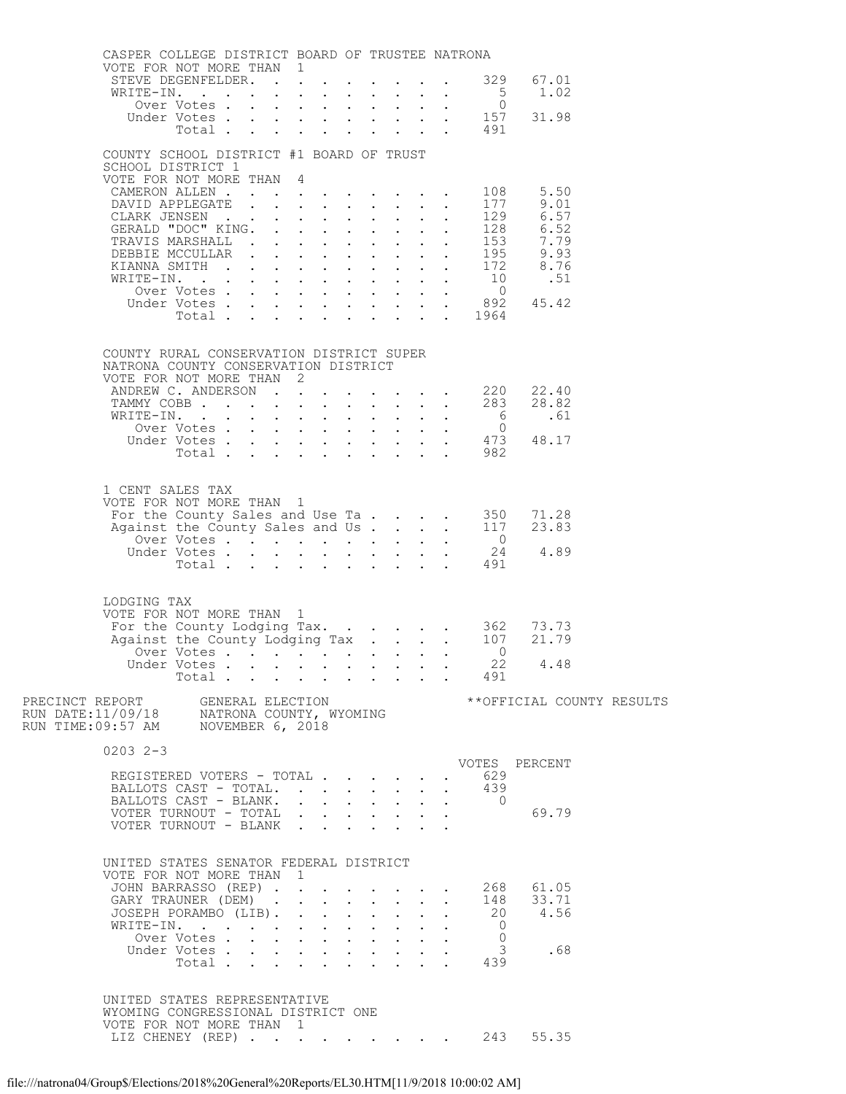| CASPER COLLEGE DISTRICT BOARD OF TRUSTEE NATRONA<br>VOTE FOR NOT MORE THAN 1                                                                                                                                                              |             |  |  |  |                           |                                                                               |             |                           |
|-------------------------------------------------------------------------------------------------------------------------------------------------------------------------------------------------------------------------------------------|-------------|--|--|--|---------------------------|-------------------------------------------------------------------------------|-------------|---------------------------|
| STEVE DEGENFELDER. 329                                                                                                                                                                                                                    |             |  |  |  |                           |                                                                               | 67.01       |                           |
| WRITE-IN.                                                                                                                                                                                                                                 |             |  |  |  |                           |                                                                               | $5 \t 1.02$ |                           |
|                                                                                                                                                                                                                                           |             |  |  |  |                           |                                                                               |             |                           |
|                                                                                                                                                                                                                                           |             |  |  |  |                           |                                                                               |             |                           |
|                                                                                                                                                                                                                                           |             |  |  |  |                           |                                                                               |             |                           |
| COUNTY SCHOOL DISTRICT #1 BOARD OF TRUST<br>SCHOOL DISTRICT 1                                                                                                                                                                             |             |  |  |  |                           |                                                                               |             |                           |
| VOTE FOR NOT MORE THAN 4                                                                                                                                                                                                                  |             |  |  |  |                           |                                                                               |             |                           |
|                                                                                                                                                                                                                                           |             |  |  |  |                           |                                                                               |             |                           |
|                                                                                                                                                                                                                                           |             |  |  |  |                           |                                                                               |             |                           |
|                                                                                                                                                                                                                                           |             |  |  |  |                           |                                                                               |             |                           |
|                                                                                                                                                                                                                                           |             |  |  |  |                           |                                                                               |             |                           |
|                                                                                                                                                                                                                                           |             |  |  |  |                           |                                                                               |             |                           |
|                                                                                                                                                                                                                                           |             |  |  |  |                           |                                                                               |             |                           |
|                                                                                                                                                                                                                                           |             |  |  |  |                           |                                                                               |             |                           |
|                                                                                                                                                                                                                                           |             |  |  |  |                           |                                                                               |             |                           |
|                                                                                                                                                                                                                                           |             |  |  |  |                           |                                                                               |             |                           |
| COUNTY RURAL CONSERVATION DISTRICT SUPER<br>NATRONA COUNTY CONSERVATION DISTRICT<br>VOTE FOR NOT MORE THAN 2<br>ANDREW C. ANDERSON 220 22.40<br>TAMMY COBB 283 28.82<br>WRITE-IN. 6 .61<br>Over Votes 0<br>Under Votes 473 48.17<br>Total |             |  |  |  |                           |                                                                               |             |                           |
|                                                                                                                                                                                                                                           |             |  |  |  |                           |                                                                               |             |                           |
|                                                                                                                                                                                                                                           |             |  |  |  |                           |                                                                               |             |                           |
|                                                                                                                                                                                                                                           |             |  |  |  |                           |                                                                               |             |                           |
| 1 CENT SALES TAX<br>VOTE FOR NOT MORE THAN 1<br>For the County Sales and Use Ta 350 71.28<br>Against the County Sales and Use Ta 117 23.83<br>Over Votes 24 4.89<br>Under Votes 491                                                       |             |  |  |  |                           |                                                                               |             |                           |
|                                                                                                                                                                                                                                           |             |  |  |  |                           |                                                                               |             |                           |
|                                                                                                                                                                                                                                           |             |  |  |  |                           |                                                                               |             |                           |
|                                                                                                                                                                                                                                           |             |  |  |  |                           |                                                                               |             |                           |
| LODGING TAX<br>VOTE FOR NOT MORE THAN 1<br>For the County Lodging Tax. 362 73.73<br>Against the County Lodging Tax. 107 21.79                                                                                                             | Total       |  |  |  |                           | Over Votes 0<br>Under Votes 22 4.48<br>491                                    |             |                           |
|                                                                                                                                                                                                                                           |             |  |  |  |                           |                                                                               |             | **OFFICIAL COUNTY RESULTS |
|                                                                                                                                                                                                                                           |             |  |  |  |                           |                                                                               |             |                           |
| $0203$ $2-3$                                                                                                                                                                                                                              |             |  |  |  |                           |                                                                               |             |                           |
|                                                                                                                                                                                                                                           |             |  |  |  |                           | VOTES PERCENT                                                                 |             |                           |
| REGISTERED VOTERS - TOTAL<br>BALLOTS CAST - TOTAL.                                                                                                                                                                                        |             |  |  |  | $\bullet$<br>$\mathbf{L}$ | 629<br>439                                                                    |             |                           |
| BALLOTS CAST - BLANK.                                                                                                                                                                                                                     |             |  |  |  |                           | $\overline{0}$                                                                |             |                           |
| VOTER TURNOUT - TOTAL                                                                                                                                                                                                                     |             |  |  |  |                           |                                                                               | 69.79       |                           |
| VOTER TURNOUT - BLANK                                                                                                                                                                                                                     |             |  |  |  |                           |                                                                               |             |                           |
| UNITED STATES SENATOR FEDERAL DISTRICT<br>VOTE FOR NOT MORE THAN 1<br>JOHN BARRASSO (REP) 268 61.05                                                                                                                                       |             |  |  |  |                           |                                                                               |             |                           |
| GARY TRAUNER (DEM) 148 33.71<br>JOSEPH PORAMBO (LIB). 20 4.56                                                                                                                                                                             |             |  |  |  |                           |                                                                               |             |                           |
| WRITE-IN.                                                                                                                                                                                                                                 |             |  |  |  | $\mathbf{L}$              | $\overline{0}$<br>$\bullet$ .<br><br><br><br><br><br><br><br><br><br><br><br> |             |                           |
|                                                                                                                                                                                                                                           | Over Votes  |  |  |  |                           | $\overline{0}$                                                                |             |                           |
|                                                                                                                                                                                                                                           | Under Votes |  |  |  |                           | 439                                                                           | 3.68        |                           |
|                                                                                                                                                                                                                                           |             |  |  |  |                           |                                                                               |             |                           |
| UNITED STATES REPRESENTATIVE<br>WYOMING CONGRESSIONAL DISTRICT ONE<br>VOTE FOR NOT MORE THAN 1                                                                                                                                            |             |  |  |  |                           |                                                                               | 55.35       |                           |
| LIZ CHENEY (REP) 243                                                                                                                                                                                                                      |             |  |  |  |                           |                                                                               |             |                           |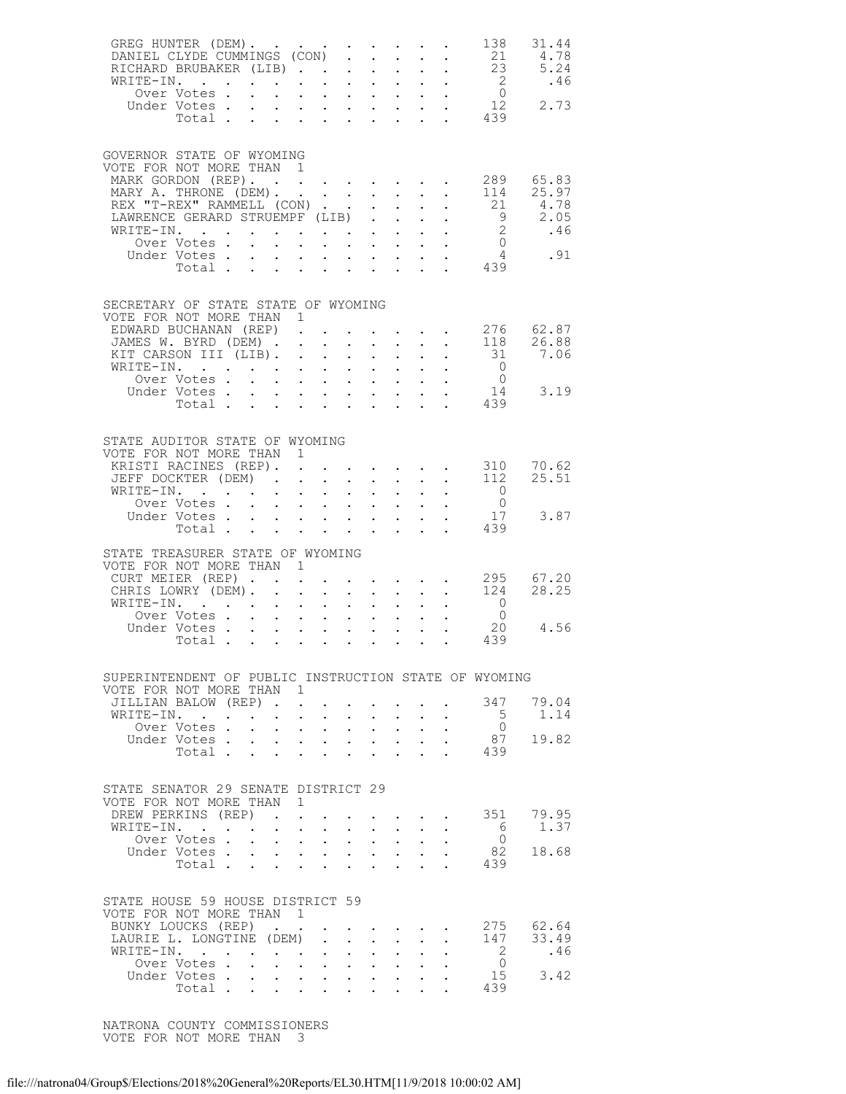| GREG HUNTER (DEM).<br>DANIEL CLYDE CUMMINGS (CON)                                                                                      |                                                             |                                                                                                                                                                                                                                                                                                                                                                                                                                     |                                                   |                           |                                                                                            |                      |                                                                                                                                   | 138<br>21                                                                    | 31.44<br>4.78                                                                                                                         |
|----------------------------------------------------------------------------------------------------------------------------------------|-------------------------------------------------------------|-------------------------------------------------------------------------------------------------------------------------------------------------------------------------------------------------------------------------------------------------------------------------------------------------------------------------------------------------------------------------------------------------------------------------------------|---------------------------------------------------|---------------------------|--------------------------------------------------------------------------------------------|----------------------|-----------------------------------------------------------------------------------------------------------------------------------|------------------------------------------------------------------------------|---------------------------------------------------------------------------------------------------------------------------------------|
| GOVERNOR STATE OF WYOMING                                                                                                              |                                                             |                                                                                                                                                                                                                                                                                                                                                                                                                                     |                                                   |                           |                                                                                            |                      |                                                                                                                                   |                                                                              |                                                                                                                                       |
| VOTE FOR NOT MORE THAN 1<br>MARK GORDON (REP).<br>MARY A. THRONE (DEM).<br>REX "T-REX" RAMMELL (CON)<br>LAWRENCE GERARD STRUEMPF (LIB) |                                                             |                                                                                                                                                                                                                                                                                                                                                                                                                                     |                                                   |                           |                                                                                            |                      | $\mathbf{r} = \mathbf{r} + \mathbf{r} + \mathbf{r} + \mathbf{r} + \mathbf{r} + \mathbf{r}$                                        | 21                                                                           | 289 65.83<br>$\begin{array}{cc} 114 & 25.97 \\ 21 & 4.78 \end{array}$                                                                 |
| WRITE-IN.<br>Over Votes .<br>Under Votes.                                                                                              |                                                             | $\begin{array}{cccccccccc} \mathbf{1} & \mathbf{1} & \mathbf{1} & \mathbf{1} & \mathbf{1} & \mathbf{1} & \mathbf{1} & \mathbf{1} & \mathbf{1} & \mathbf{1} & \mathbf{1} & \mathbf{1} & \mathbf{1} & \mathbf{1} & \mathbf{1} & \mathbf{1} & \mathbf{1} & \mathbf{1} & \mathbf{1} & \mathbf{1} & \mathbf{1} & \mathbf{1} & \mathbf{1} & \mathbf{1} & \mathbf{1} & \mathbf{1} & \mathbf{1} & \mathbf{1} & \mathbf{1} & \mathbf{1} & \$ |                                                   |                           |                                                                                            |                      |                                                                                                                                   |                                                                              | $\begin{bmatrix} 1 & 3 & 1 & 0 & 0 \\ 9 & 2 & 0 & 0 & 0 \\ 2 & 0 & 4 & 6 & 0 \\ 0 & 4 & 0 & 9 & 1 \\ 4 & 3 & 9 & 1 & 9 \end{bmatrix}$ |
| SECRETARY OF STATE STATE OF WYOMING                                                                                                    |                                                             |                                                                                                                                                                                                                                                                                                                                                                                                                                     |                                                   |                           |                                                                                            |                      |                                                                                                                                   |                                                                              |                                                                                                                                       |
| VOTE FOR NOT MORE THAN 1<br>EDWARD BUCHANAN (REP).<br>JAMES W. BYRD (DEM)<br>KIT CARSON III (LIB).<br>WRITE-IN.                        |                                                             |                                                                                                                                                                                                                                                                                                                                                                                                                                     |                                                   |                           |                                                                                            |                      | and a strategic control of the strategic                                                                                          | 31                                                                           | $\cdot$ 276 62.87<br>118 26.88<br>7.06                                                                                                |
| Over Votes<br>Under Votes<br>Total .                                                                                                   |                                                             |                                                                                                                                                                                                                                                                                                                                                                                                                                     | $\mathbf{L} = \mathbf{L}$                         |                           |                                                                                            |                      |                                                                                                                                   | $\overline{0}$<br>$\overline{0}$<br>$\begin{array}{c} 14 \\ 439 \end{array}$ | 3.19                                                                                                                                  |
| STATE AUDITOR STATE OF WYOMING<br>VOTE FOR NOT MORE THAN 1<br>KRISTI RACINES (REP). .                                                  |                                                             |                                                                                                                                                                                                                                                                                                                                                                                                                                     |                                                   |                           | $\mathbf{r} = \mathbf{r} + \mathbf{r} + \mathbf{r} + \mathbf{r} + \mathbf{r} + \mathbf{r}$ |                      |                                                                                                                                   |                                                                              | 70.62                                                                                                                                 |
| JEFF DOCKTER (DEM).<br>WRITE-IN.<br>Over Votes<br>Under Votes<br>Total                                                                 |                                                             | $\sim 10^{-11}$                                                                                                                                                                                                                                                                                                                                                                                                                     | $\sim$ 100 $\pm$                                  |                           | $\mathbf{r} = \mathbf{r} + \mathbf{r} + \mathbf{r}$                                        |                      |                                                                                                                                   | 310<br>112<br>$\overline{0}$<br>$\overline{0}$<br>17                         | 25.51<br>3.87                                                                                                                         |
| STATE TREASURER STATE OF WYOMING<br>VOTE FOR NOT MORE THAN 1                                                                           |                                                             |                                                                                                                                                                                                                                                                                                                                                                                                                                     |                                                   |                           |                                                                                            |                      |                                                                                                                                   | 439                                                                          |                                                                                                                                       |
| CURT MEIER (REP).<br>CHRIS LOWRY (DEM).<br>WRITE-IN.<br>TE-IN.<br>Over Votes                                                           |                                                             | $\mathcal{L}^{\text{max}}$                                                                                                                                                                                                                                                                                                                                                                                                          |                                                   |                           |                                                                                            |                      | $\mathcal{L}^{\mathcal{A}}$ , and $\mathcal{L}^{\mathcal{A}}$ , and $\mathcal{L}^{\mathcal{A}}$ , and $\mathcal{L}^{\mathcal{A}}$ | 124<br>$\overline{0}$                                                        | 295 67.20<br>28.25                                                                                                                    |
| Under Votes<br>Total                                                                                                                   |                                                             |                                                                                                                                                                                                                                                                                                                                                                                                                                     |                                                   |                           | $\frac{1}{2}$ and $\frac{1}{2}$<br>$\mathbf{L} = \mathbf{L} \times \mathbf{L}$             |                      |                                                                                                                                   | $\frac{0}{20}$<br>20<br>. 439                                                | 4.56                                                                                                                                  |
| SUPERINTENDENT OF PUBLIC INSTRUCTION STATE OF WYOMING<br>VOTE FOR NOT MORE THAN 1<br>JILLIAN BALOW (REP).                              |                                                             |                                                                                                                                                                                                                                                                                                                                                                                                                                     |                                                   |                           |                                                                                            |                      |                                                                                                                                   | 347                                                                          | 79.04                                                                                                                                 |
| WRITE-IN.<br>Over Votes.<br>Under Votes.<br>Total .                                                                                    | $\ddot{\phantom{0}}$<br>$\ddot{\phantom{0}}$<br>$\bullet$ . | $\sim 10$<br>$\mathbf{L}^{\text{max}}$ , and $\mathbf{L}^{\text{max}}$                                                                                                                                                                                                                                                                                                                                                              | $\ddot{\phantom{0}}$<br>$\mathbf{L}$ $\mathbf{L}$ | $\mathbb{Z}^{\mathbb{Z}}$ | $\mathbf{L}^{\text{max}}$                                                                  |                      |                                                                                                                                   | 5<br>$\overline{0}$<br>87<br>439                                             | 1.14<br>19.82                                                                                                                         |
| STATE SENATOR 29 SENATE DISTRICT 29                                                                                                    |                                                             |                                                                                                                                                                                                                                                                                                                                                                                                                                     |                                                   |                           |                                                                                            |                      |                                                                                                                                   |                                                                              |                                                                                                                                       |
| VOTE FOR NOT MORE THAN 1<br>DREW PERKINS (REP)<br>WRITE-IN.<br>Over Votes.                                                             | $\ddot{\phantom{0}}$                                        | $\mathcal{L}^{\text{max}}$<br>$\mathbf{1}^{\text{max}}$ , $\mathbf{1}^{\text{max}}$ , $\mathbf{1}^{\text{max}}$                                                                                                                                                                                                                                                                                                                     |                                                   | $\ddot{\phantom{0}}$      | $\mathcal{L}^{\text{max}}$                                                                 |                      |                                                                                                                                   | 351<br>6<br>$\overline{0}$                                                   | 79.95<br>1.37                                                                                                                         |
| Under Votes .<br>Total                                                                                                                 | $\mathbf{L}$                                                | $\mathbf{r} = \mathbf{r} \cdot \mathbf{r}$ , where $\mathbf{r} = \mathbf{r} \cdot \mathbf{r}$                                                                                                                                                                                                                                                                                                                                       | $\mathbf{L}$ and $\mathbf{L}$                     | $\ddot{\phantom{0}}$      |                                                                                            |                      |                                                                                                                                   | 82<br>439                                                                    | 18.68                                                                                                                                 |
| STATE HOUSE 59 HOUSE DISTRICT 59<br>VOTE FOR NOT MORE THAN<br>BUNKY LOUCKS (REP).<br>LAURIE L. LONGTINE (DEM)                          |                                                             | $\overline{1}$                                                                                                                                                                                                                                                                                                                                                                                                                      |                                                   |                           | $\sim$ $\sim$                                                                              | $\ddot{\phantom{0}}$ |                                                                                                                                   | 147                                                                          | 275 62.64<br>33.49                                                                                                                    |
| WRITE-IN.<br>Over Votes.<br>Under Votes.<br>Total .                                                                                    | $\mathbf{L}$<br>$\mathbf{L}$                                | $\mathcal{L}^{\text{max}}$                                                                                                                                                                                                                                                                                                                                                                                                          | $\mathcal{L}^{\text{max}}$<br>$\mathbf{r}$        |                           | $\mathcal{L}^{\text{max}}$                                                                 |                      |                                                                                                                                   | $\overline{2}$<br>$\overline{0}$<br>15<br>439                                | .46<br>3.42                                                                                                                           |

 NATRONA COUNTY COMMISSIONERS VOTE FOR NOT MORE THAN 3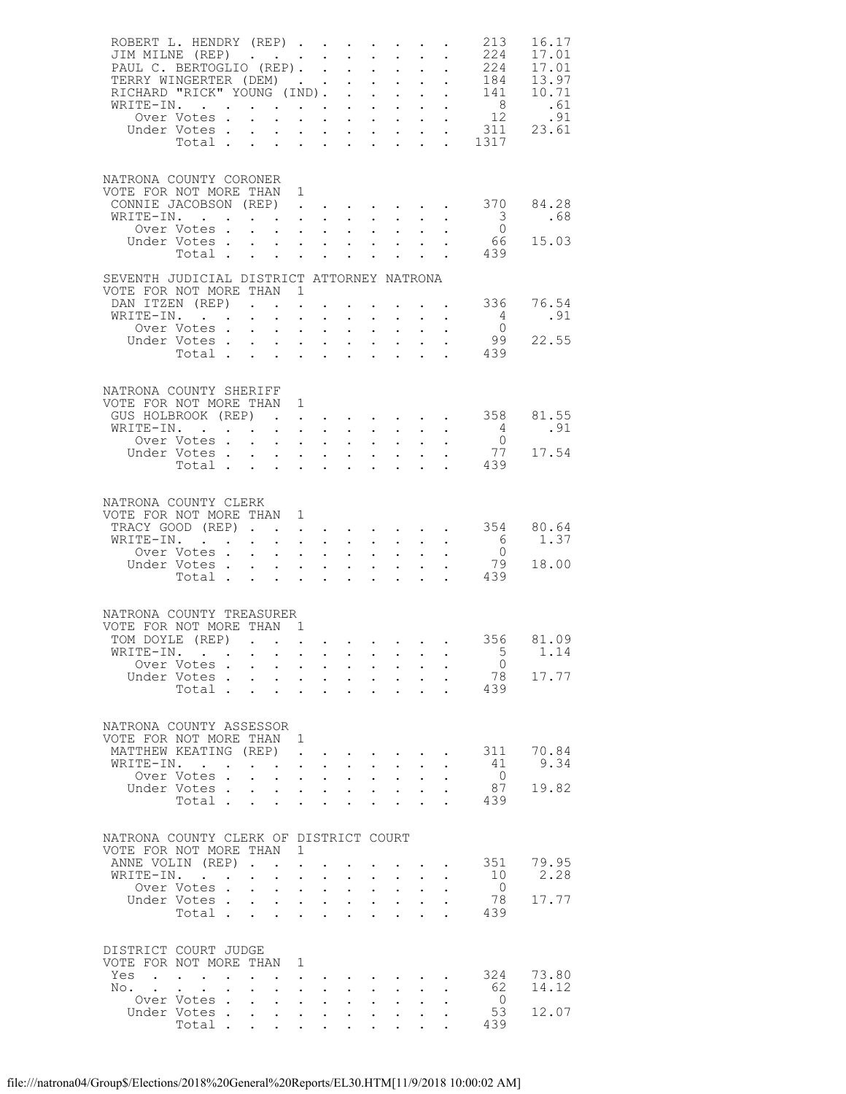| ROBERT L. HENDRY (REP)<br>JIM MILNE (REP)                                                 |                                                                                         |        |                                                                                                                                             |                                                                                             |                                                                                                                                        |                                                                                                                                                                                                                                                                                                                                                                  |                                      |                                                                                                                                                              |                      | 213<br>224                                                                                                                                                                                                                                                                                                                    | 16.17<br>17.01         |
|-------------------------------------------------------------------------------------------|-----------------------------------------------------------------------------------------|--------|---------------------------------------------------------------------------------------------------------------------------------------------|---------------------------------------------------------------------------------------------|----------------------------------------------------------------------------------------------------------------------------------------|------------------------------------------------------------------------------------------------------------------------------------------------------------------------------------------------------------------------------------------------------------------------------------------------------------------------------------------------------------------|--------------------------------------|--------------------------------------------------------------------------------------------------------------------------------------------------------------|----------------------|-------------------------------------------------------------------------------------------------------------------------------------------------------------------------------------------------------------------------------------------------------------------------------------------------------------------------------|------------------------|
|                                                                                           | Under Votes .<br>Total                                                                  |        | $\mathbf{L}$<br>$\ddot{\phantom{0}}$                                                                                                        | $\ddot{\phantom{0}}$                                                                        |                                                                                                                                        | and the state of the state of the state                                                                                                                                                                                                                                                                                                                          |                                      |                                                                                                                                                              | $\ddot{\phantom{0}}$ | $\frac{1}{2}$ $\frac{1}{2}$ $\frac{1}{2}$ $\frac{1}{2}$ $\frac{1}{2}$ $\frac{1}{2}$ $\frac{1}{2}$ $\frac{1}{2}$ $\frac{1}{2}$ $\frac{1}{2}$ $\frac{1}{2}$ $\frac{1}{2}$ $\frac{1}{2}$ $\frac{1}{2}$ $\frac{1}{2}$ $\frac{1}{2}$ $\frac{1}{2}$ $\frac{1}{2}$ $\frac{1}{2}$ $\frac{1}{2}$ $\frac{1}{2}$ $\frac{1}{2}$<br>. 1317 |                        |
| NATRONA COUNTY CORONER<br>VOTE FOR NOT MORE THAN 1<br>WRITE-IN.                           |                                                                                         |        |                                                                                                                                             |                                                                                             |                                                                                                                                        |                                                                                                                                                                                                                                                                                                                                                                  |                                      |                                                                                                                                                              |                      | CONNIE JACOBSON (REP) 370 84.28<br>$\overline{\phantom{a}}$ 3                                                                                                                                                                                                                                                                 | .68                    |
|                                                                                           | Over Votes .<br>Under Votes<br>Total                                                    |        | $\mathbf{r}$ , $\mathbf{r}$ , $\mathbf{r}$ , $\mathbf{r}$ , $\mathbf{r}$ , $\mathbf{r}$                                                     |                                                                                             |                                                                                                                                        |                                                                                                                                                                                                                                                                                                                                                                  |                                      | <b>All All Andrew</b><br>$\mathbf{L} = \mathbf{L} \mathbf{L}$                                                                                                |                      | $\overline{0}$<br>66 —<br>439                                                                                                                                                                                                                                                                                                 | 15.03                  |
| SEVENTH JUDICIAL DISTRICT ATTORNEY NATRONA<br>VOTE FOR NOT MORE THAN 1<br>DAN ITZEN (REP) |                                                                                         |        |                                                                                                                                             |                                                                                             |                                                                                                                                        |                                                                                                                                                                                                                                                                                                                                                                  |                                      |                                                                                                                                                              |                      | $\cdot$ 336 76.54                                                                                                                                                                                                                                                                                                             |                        |
| WRITE-IN.                                                                                 | Over Votes .<br>Under Votes<br>Total                                                    |        | $\mathbf{r}$ , $\mathbf{r}$ , $\mathbf{r}$ , $\mathbf{r}$ , $\mathbf{r}$ , $\mathbf{r}$                                                     |                                                                                             |                                                                                                                                        | $\bullet$ .<br>$\mathbf{z} = \mathbf{z} + \mathbf{z} + \mathbf{z} + \mathbf{z}$ .<br>$\mathbf{r} = \mathbf{r} \cdot \mathbf{r}$ , where $\mathbf{r} = \mathbf{r} \cdot \mathbf{r}$                                                                                                                                                                               |                                      | $\mathbf{u} = \mathbf{u} \mathbf{u} + \mathbf{u} \mathbf{u} + \mathbf{u} \mathbf{u}$<br>$\mathbf{A}^{(n)}$ and $\mathbf{A}^{(n)}$ and $\mathbf{A}^{(n)}$ and |                      | 4<br>$\overline{0}$<br>99<br>. 439                                                                                                                                                                                                                                                                                            | .91<br>22.55           |
| NATRONA COUNTY SHERIFF<br>VOTE FOR NOT MORE THAN 1                                        |                                                                                         |        |                                                                                                                                             |                                                                                             |                                                                                                                                        |                                                                                                                                                                                                                                                                                                                                                                  |                                      |                                                                                                                                                              |                      |                                                                                                                                                                                                                                                                                                                               |                        |
| GUS HOLBROOK (REP).<br>WRITE-IN.                                                          | Over Votes .<br>Under Votes                                                             |        | $\mathbf{L}$<br>$\mathbf{L}^{\text{max}}$                                                                                                   | $\mathcal{A}^{\mathcal{A}}$ and $\mathcal{A}^{\mathcal{A}}$ and $\mathcal{A}^{\mathcal{A}}$ |                                                                                                                                        | $\mathcal{A}^{\mathcal{A}}$ . The contribution of the contribution of $\mathcal{A}^{\mathcal{A}}$<br>and a strong control of the state of the state of the state of the state of the state of the state of the state of the state of the state of the state of the state of the state of the state of the state of the state of the<br>$\mathbf{L}^{\text{max}}$ |                                      | $\mathbf{L}^{\text{max}}$ , $\mathbf{L}^{\text{max}}$                                                                                                        |                      | 358<br>$4\overline{4}$<br>$\overline{0}$<br>77                                                                                                                                                                                                                                                                                | 81.55<br>.91<br>17.54  |
| NATRONA COUNTY CLERK                                                                      | Total                                                                                   |        |                                                                                                                                             |                                                                                             | $\mathbf{L}$ and $\mathbf{L}$                                                                                                          | $\ddot{\phantom{0}}$                                                                                                                                                                                                                                                                                                                                             |                                      | $\cdot$ $\cdot$ $\cdot$                                                                                                                                      |                      | 439                                                                                                                                                                                                                                                                                                                           |                        |
| VOTE FOR NOT MORE THAN 1<br>TRACY GOOD (REP)<br>WRITE-IN.                                 | Over Votes                                                                              |        | $\sim$ $-$                                                                                                                                  |                                                                                             |                                                                                                                                        | $\mathcal{A}^{\mathcal{A}}$ . The set of the set of the set of $\mathcal{A}^{\mathcal{A}}$                                                                                                                                                                                                                                                                       |                                      |                                                                                                                                                              |                      | $\cdot$ 354 80.64<br>6<br>$\overline{0}$<br>79                                                                                                                                                                                                                                                                                | 1.37<br>18.00          |
| NATRONA COUNTY TREASURER                                                                  | Under Votes 79<br>Total 439                                                             |        |                                                                                                                                             |                                                                                             |                                                                                                                                        |                                                                                                                                                                                                                                                                                                                                                                  |                                      |                                                                                                                                                              |                      |                                                                                                                                                                                                                                                                                                                               |                        |
| VOTE FOR NOT MORE THAN 1<br>TOM DOYLE (REP)                                               | Over Votes<br>Under Votes.<br>Total                                                     |        | $\mathbf{r}$ and $\mathbf{r}$ and $\mathbf{r}$ and $\mathbf{r}$<br>$\ddot{\phantom{0}}$                                                     | $\ddot{\phantom{a}}$                                                                        | $\mathbf{L}$                                                                                                                           |                                                                                                                                                                                                                                                                                                                                                                  | $\ddot{\phantom{0}}$                 | $\mathbf{r}$ , $\mathbf{r}$ , $\mathbf{r}$ , $\mathbf{r}$<br>$\sim$                                                                                          |                      | WRITE-IN. 5 1.14<br>$\overline{0}$<br>439                                                                                                                                                                                                                                                                                     | 356 81.09<br>78 17.77  |
| NATRONA COUNTY ASSESSOR<br>VOTE FOR NOT MORE THAN 1<br>MATTHEW KEATING (REP).             |                                                                                         |        |                                                                                                                                             |                                                                                             |                                                                                                                                        |                                                                                                                                                                                                                                                                                                                                                                  |                                      |                                                                                                                                                              | $\ddot{\phantom{0}}$ |                                                                                                                                                                                                                                                                                                                               | 311 70.84              |
| WRITE-IN. .                                                                               | Over Votes.<br>Under Votes<br>Total                                                     |        | $\sim$<br>$\bullet$ .                                                                                                                       | $\cdot$ $\cdot$ $\cdot$ $\cdot$<br>$\ddot{\phantom{a}}$                                     | $\mathcal{A}^{\mathcal{A}}$ , and $\mathcal{A}^{\mathcal{A}}$<br>$\mathcal{L}(\mathcal{A})$ and $\mathcal{A}(\mathcal{A})$ .<br>$\sim$ | $\ddot{\phantom{0}}$<br>$\mathbf{L}^{\text{max}}$<br><b>Contract Contract</b>                                                                                                                                                                                                                                                                                    | $\sim$ 100 $\pm$                     | $\mathbf{z} = \mathbf{z} + \mathbf{z}$<br>$\sim$ 100 $\sim$                                                                                                  |                      | 41<br>$\overline{0}$<br>87<br>439                                                                                                                                                                                                                                                                                             | 9.34<br>19.82          |
| NATRONA COUNTY CLERK OF DISTRICT COURT<br>VOTE FOR NOT MORE THAN 1                        |                                                                                         |        |                                                                                                                                             |                                                                                             |                                                                                                                                        |                                                                                                                                                                                                                                                                                                                                                                  |                                      |                                                                                                                                                              |                      |                                                                                                                                                                                                                                                                                                                               |                        |
| ANNE VOLIN (REP).<br>WRITE-IN.                                                            | Over Votes .<br>Under Votes .<br>Total                                                  |        | $\mathbf{L}$<br>$\bullet$ .<br>$\mathbf{L}$<br>$\mathbf{L}$<br>$\sim$                                                                       | $\sim$<br>$\ddot{\phantom{a}}$                                                              | $\bullet$ , $\bullet$ , $\bullet$ , $\bullet$<br>$\cdot$ $\cdot$ $\cdot$<br>$\mathbf{L}$                                               | $\ddot{\phantom{0}}$<br>$\mathbf{r}$                                                                                                                                                                                                                                                                                                                             | $\mathbf{L}$<br>$\ddot{\phantom{a}}$ | $\mathbf{z} = \mathbf{z} + \mathbf{z}$ .<br>$\mathbf{L}$                                                                                                     |                      | 351<br>10<br>$\overline{0}$<br>78<br>439                                                                                                                                                                                                                                                                                      | 79.95<br>2.28<br>17.77 |
| DISTRICT COURT JUDGE<br>VOTE FOR NOT MORE THAN 1<br>Yes                                   | $\mathbf{r}$ , $\mathbf{r}$ , $\mathbf{r}$ , $\mathbf{r}$ , $\mathbf{r}$ , $\mathbf{r}$ |        |                                                                                                                                             |                                                                                             |                                                                                                                                        |                                                                                                                                                                                                                                                                                                                                                                  |                                      |                                                                                                                                                              |                      |                                                                                                                                                                                                                                                                                                                               | 324 73.80              |
| No.                                                                                       | Over Votes.<br>Under Votes.<br>Total                                                    | $\sim$ | $\ddot{\phantom{0}}$<br>$\bullet$ .<br><br><br><br><br><br><br><br><br><br><br><br><br>$\mathcal{L}^{\text{max}}$<br>$\mathbf{L}$<br>$\sim$ | $\sim 10^{-11}$<br>$\ddot{\phantom{a}}$<br>$\bullet$ .                                      | $\ddot{\phantom{a}}$                                                                                                                   |                                                                                                                                                                                                                                                                                                                                                                  |                                      |                                                                                                                                                              |                      | 62<br>$\overline{0}$<br>53<br>439                                                                                                                                                                                                                                                                                             | 14.12<br>12.07         |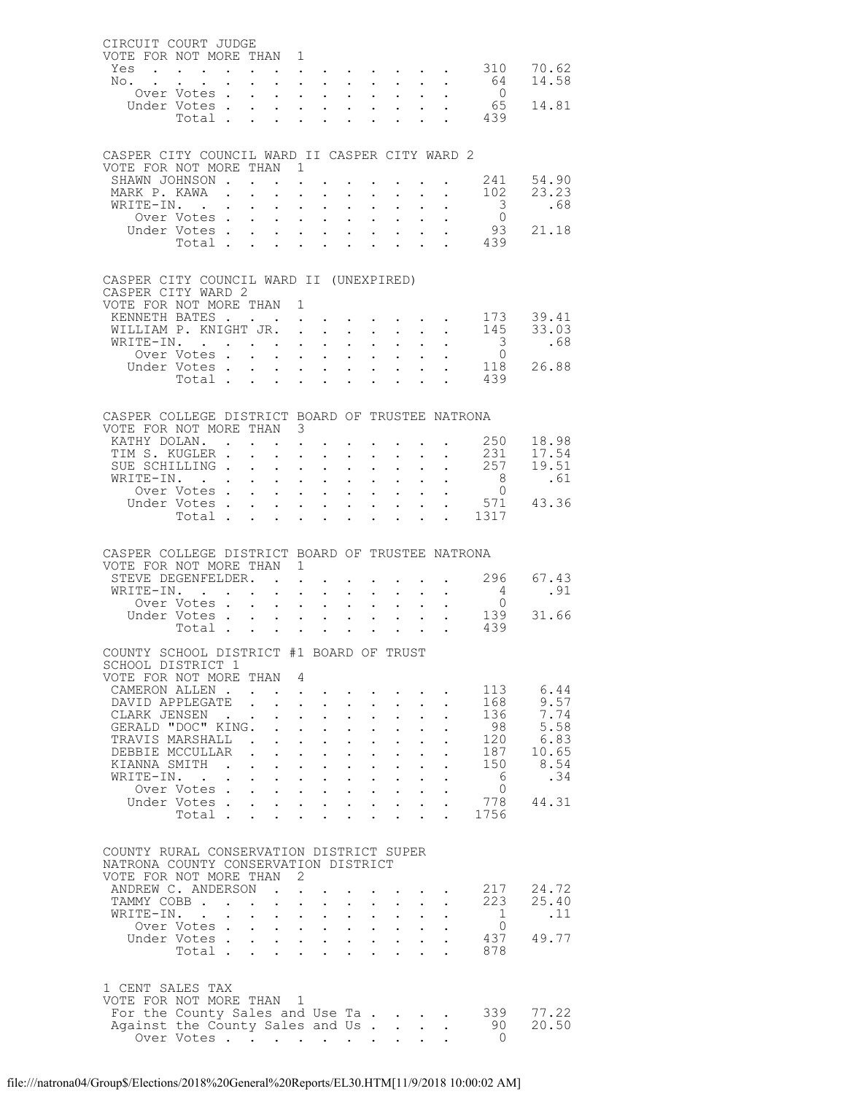| CIRCUIT COURT JUDGE                                                        |                                                                                                                 |                   |                                            |                                              |                                                                       |                                     |                            |                                                                            |                              |                                                                 |                                           |                       |
|----------------------------------------------------------------------------|-----------------------------------------------------------------------------------------------------------------|-------------------|--------------------------------------------|----------------------------------------------|-----------------------------------------------------------------------|-------------------------------------|----------------------------|----------------------------------------------------------------------------|------------------------------|-----------------------------------------------------------------|-------------------------------------------|-----------------------|
| VOTE FOR NOT MORE THAN 1                                                   |                                                                                                                 |                   |                                            |                                              |                                                                       |                                     |                            |                                                                            |                              |                                                                 |                                           |                       |
| Yes<br>No.                                                                 | the contract of the contract of the contract of the contract of the contract of the contract of the contract of |                   |                                            |                                              |                                                                       |                                     |                            |                                                                            |                              |                                                                 | 64                                        | 70.62<br>14.58        |
|                                                                            | Over Votes                                                                                                      |                   | $\ddot{\phantom{0}}$                       |                                              | $\mathbf{L} = \mathbf{L}$                                             | $\mathbf{L}^{\text{max}}$           | $\sim$                     | $\sim$ 100 $\pm$                                                           | $\sim$                       | $\bullet$ .                                                     | $\overline{0}$                            |                       |
|                                                                            | Under Votes                                                                                                     |                   |                                            |                                              |                                                                       |                                     |                            |                                                                            |                              | $\mathbf{L} = \mathbf{L}$                                       | 65                                        | 14.81                 |
|                                                                            | Total                                                                                                           |                   |                                            |                                              |                                                                       |                                     | $\ddot{\phantom{0}}$       | $\sim$ 100 $\pm$                                                           |                              |                                                                 | . 439                                     |                       |
|                                                                            |                                                                                                                 |                   |                                            |                                              |                                                                       |                                     |                            |                                                                            |                              |                                                                 |                                           |                       |
|                                                                            |                                                                                                                 |                   |                                            |                                              |                                                                       |                                     |                            |                                                                            |                              |                                                                 |                                           |                       |
| CASPER CITY COUNCIL WARD II CASPER CITY WARD 2<br>VOTE FOR NOT MORE THAN 1 |                                                                                                                 |                   |                                            |                                              |                                                                       |                                     |                            |                                                                            |                              |                                                                 |                                           |                       |
| SHAWN JOHNSON                                                              |                                                                                                                 |                   |                                            |                                              |                                                                       |                                     |                            |                                                                            |                              |                                                                 | 241                                       | 54.90                 |
| MARK P. KAWA .                                                             |                                                                                                                 |                   | $\Delta \sim 10^{-11}$<br>$\mathbf{L}$     |                                              | $\cdot$ $\cdot$                                                       | $\mathcal{L}^{\text{max}}$          | $\sim$ $-$                 | $\sim$ 100 $\pm$                                                           | $\sim$                       | $\sim$                                                          | 102                                       | 23.23                 |
| WRITE-IN.                                                                  |                                                                                                                 |                   | $\cdot$ $\cdot$ $\cdot$ $\cdot$            |                                              |                                                                       | $\mathbf{L}^{\text{max}}$           |                            | $\mathbf{L} = \mathbf{L}$                                                  |                              | $\mathbf{L} = \mathbf{L}$                                       | $\overline{\mathbf{3}}$                   | .68                   |
|                                                                            | Over Votes                                                                                                      |                   | $\sim$                                     |                                              | $\mathbf{L} = \mathbf{L}$                                             | $\sim$                              | $\sim$                     | $\sim$ $\sim$                                                              | $\sim$ $-$                   |                                                                 | $\overline{0}$                            |                       |
|                                                                            | Under Votes                                                                                                     |                   |                                            |                                              |                                                                       |                                     |                            |                                                                            |                              |                                                                 | 93                                        | 21.18                 |
|                                                                            | Total                                                                                                           |                   |                                            |                                              |                                                                       | $\sim$                              | $\sim$                     | $\sim$ $-$                                                                 |                              | $\mathbf{L} = \mathbf{L}$                                       | 439                                       |                       |
|                                                                            |                                                                                                                 |                   |                                            |                                              |                                                                       |                                     |                            |                                                                            |                              |                                                                 |                                           |                       |
| CASPER CITY COUNCIL WARD II (UNEXPIRED)                                    |                                                                                                                 |                   |                                            |                                              |                                                                       |                                     |                            |                                                                            |                              |                                                                 |                                           |                       |
| CASPER CITY WARD 2                                                         |                                                                                                                 |                   |                                            |                                              |                                                                       |                                     |                            |                                                                            |                              |                                                                 |                                           |                       |
| VOTE FOR NOT MORE THAN 1                                                   |                                                                                                                 |                   |                                            |                                              |                                                                       |                                     |                            |                                                                            |                              |                                                                 |                                           |                       |
| KENNETH BATES                                                              |                                                                                                                 |                   |                                            |                                              | $\mathbf{r}$ , and $\mathbf{r}$ , and $\mathbf{r}$ , and $\mathbf{r}$ |                                     |                            |                                                                            |                              |                                                                 | 173                                       | 39.41                 |
| WILLIAM P. KNIGHT JR.                                                      |                                                                                                                 |                   |                                            |                                              |                                                                       |                                     |                            |                                                                            |                              | $\mathbf{r}$ and $\mathbf{r}$ and $\mathbf{r}$ and $\mathbf{r}$ |                                           | 145 33.03             |
| WRITE-IN.                                                                  | Over Votes                                                                                                      |                   |                                            |                                              | $\mathbf{L} = \mathbf{L}$                                             | $\ddot{\phantom{0}}$                | $\sim$                     | $\sim$ 100 $\pm$<br>$\mathbf{L} = \mathbf{L} \times \mathbf{L}$            | $\mathbf{L}$<br>$\mathbf{r}$ | $\sim$                                                          | $\overline{\mathbf{3}}$<br>$\overline{0}$ | .68                   |
|                                                                            | Under Votes                                                                                                     |                   |                                            |                                              | <b>All Contracts</b>                                                  |                                     | $\sim$                     | $\sim$ $-$                                                                 |                              |                                                                 | 118                                       | 26.88                 |
|                                                                            | Total                                                                                                           |                   |                                            |                                              |                                                                       |                                     |                            |                                                                            |                              |                                                                 | 439                                       |                       |
|                                                                            |                                                                                                                 |                   |                                            |                                              |                                                                       |                                     |                            |                                                                            |                              |                                                                 |                                           |                       |
|                                                                            |                                                                                                                 |                   |                                            |                                              |                                                                       |                                     |                            |                                                                            |                              |                                                                 |                                           |                       |
| CASPER COLLEGE DISTRICT BOARD OF TRUSTEE NATRONA                           |                                                                                                                 |                   |                                            |                                              |                                                                       |                                     |                            |                                                                            |                              |                                                                 |                                           |                       |
| VOTE FOR NOT MORE THAN 3                                                   |                                                                                                                 |                   |                                            |                                              |                                                                       |                                     |                            |                                                                            |                              |                                                                 |                                           |                       |
| KATHY DOLAN.<br>TIM S. KUGLER .                                            |                                                                                                                 |                   | $\cdot$ $\cdot$ $\cdot$ $\cdot$ $\cdot$    |                                              | $\mathbf{r}$ and $\mathbf{r}$                                         |                                     |                            |                                                                            |                              | $\mathbf{r}$ , $\mathbf{r}$ , $\mathbf{r}$ , $\mathbf{r}$       | 250<br>231                                | 18.98<br>17.54        |
| SUE SCHILLING                                                              |                                                                                                                 |                   | $\sim$                                     |                                              | $\mathbf{L}^{\text{max}}$ , and $\mathbf{L}^{\text{max}}$             | $\ddot{\phantom{0}}$                | $\bullet$ .                | $\bullet$ .                                                                | $\mathbf{L}^{\text{max}}$    | $\ddot{\phantom{0}}$                                            | 257                                       | 19.51                 |
| WRITE-IN.                                                                  |                                                                                                                 |                   | $\mathbf{r}$ , $\mathbf{r}$ , $\mathbf{r}$ |                                              |                                                                       | $\mathbf{L}^{\text{max}}$           | $\mathcal{L}^{\text{max}}$ | $\mathbf{L}^{\text{max}}$                                                  |                              | $\sim 10^{-11}$                                                 | 8 <sup>8</sup>                            | .61                   |
|                                                                            | Over Votes                                                                                                      |                   | $\sim$                                     |                                              | $\mathbf{r} = \mathbf{r} + \mathbf{r}$ .                              | $\mathbf{L}^{\text{max}}$           | $\ddot{\phantom{0}}$       | $\bullet$ .<br><br><br><br><br><br><br><br><br><br><br><br>                |                              | $\mathbf{L} = \mathbf{L}$                                       | $\overline{0}$                            |                       |
|                                                                            |                                                                                                                 |                   |                                            |                                              |                                                                       |                                     |                            |                                                                            |                              |                                                                 |                                           | Under Votes 571 43.36 |
|                                                                            | Total                                                                                                           |                   |                                            |                                              |                                                                       |                                     | $\ddot{\phantom{0}}$       |                                                                            |                              |                                                                 | $\frac{1}{2}$ 1317                        |                       |
|                                                                            |                                                                                                                 |                   |                                            |                                              |                                                                       |                                     |                            |                                                                            |                              |                                                                 |                                           |                       |
|                                                                            |                                                                                                                 |                   |                                            |                                              |                                                                       |                                     |                            |                                                                            |                              |                                                                 |                                           |                       |
|                                                                            |                                                                                                                 |                   |                                            |                                              |                                                                       |                                     |                            |                                                                            |                              |                                                                 |                                           |                       |
| CASPER COLLEGE DISTRICT BOARD OF TRUSTEE NATRONA                           |                                                                                                                 |                   |                                            |                                              |                                                                       |                                     |                            |                                                                            |                              |                                                                 |                                           |                       |
| VOTE FOR NOT MORE THAN 1                                                   |                                                                                                                 |                   |                                            |                                              |                                                                       |                                     |                            |                                                                            |                              |                                                                 |                                           |                       |
| STEVE DEGENFELDER.                                                         |                                                                                                                 |                   |                                            |                                              |                                                                       |                                     |                            |                                                                            |                              |                                                                 | 296                                       | 67.43                 |
| WRITE-IN.                                                                  | Over Votes                                                                                                      |                   |                                            |                                              | $\mathbf{L}$ and $\mathbf{L}$                                         | $\sim$<br>$\mathbf{L}^{\text{max}}$ | $\mathcal{L}^{\text{max}}$ | $\sim$ $-$<br>$\mathbf{L} = \mathbf{L}$                                    | $\ddot{\phantom{0}}$         | $\mathbf{L} = \mathbf{L}$                                       | $\overline{0}$                            | .91                   |
|                                                                            | Under Votes                                                                                                     |                   |                                            |                                              |                                                                       |                                     |                            |                                                                            |                              |                                                                 | 139                                       | 31.66                 |
|                                                                            | Votes<br>Total                                                                                                  |                   |                                            |                                              |                                                                       |                                     |                            |                                                                            |                              |                                                                 | 439                                       |                       |
|                                                                            |                                                                                                                 |                   |                                            |                                              |                                                                       |                                     |                            |                                                                            |                              |                                                                 |                                           |                       |
| COUNTY SCHOOL DISTRICT #1 BOARD OF TRUST                                   |                                                                                                                 |                   |                                            |                                              |                                                                       |                                     |                            |                                                                            |                              |                                                                 |                                           |                       |
| SCHOOL DISTRICT 1                                                          |                                                                                                                 |                   |                                            |                                              |                                                                       |                                     |                            |                                                                            |                              |                                                                 |                                           |                       |
| VOTE FOR NOT MORE THAN 4                                                   |                                                                                                                 |                   |                                            |                                              |                                                                       |                                     |                            |                                                                            |                              |                                                                 |                                           |                       |
| CAMERON ALLEN.<br>DAVID APPLEGATE                                          |                                                                                                                 |                   |                                            |                                              | $\mathbf{r}$ and $\mathbf{r}$                                         | $\mathbf{L}$                        | $\mathcal{L}^{\text{max}}$ | $\sim$ $\sim$                                                              |                              |                                                                 | 113<br>168                                | 6.44<br>9.57          |
| CLARK JENSEN                                                               |                                                                                                                 | $\sim$            |                                            |                                              | $\cdot$ $\cdot$ $\cdot$                                               | $\ddot{\phantom{0}}$                | $\ddot{\phantom{0}}$       |                                                                            |                              |                                                                 | 136                                       | 7.74                  |
| GERALD "DOC" KING.                                                         |                                                                                                                 |                   |                                            |                                              | $\mathbf{L} = \mathbf{L} \times \mathbf{L}$                           | $\mathbf{L}$                        | $\ddot{\phantom{0}}$       | $\mathbf{L}$                                                               |                              |                                                                 | 98                                        | 5.58                  |
| TRAVIS MARSHALL.                                                           |                                                                                                                 |                   | $\ddot{\phantom{0}}$                       |                                              | $\cdot$ $\cdot$                                                       | $\ddot{\phantom{0}}$                | $\ddot{\phantom{0}}$       |                                                                            |                              |                                                                 | 120                                       | 6.83                  |
| DEBBIE MCCULLAR.                                                           |                                                                                                                 |                   |                                            | $\mathbf{L} = \mathbf{L}$                    | $\mathbf{L}$                                                          | $\ddot{\phantom{a}}$                | $\ddot{\phantom{0}}$       |                                                                            |                              |                                                                 | 187                                       | 10.65                 |
| KIANNA SMITH                                                               |                                                                                                                 | $\sim$ 100 $\sim$ | $\sim$ $\sim$<br>$\ddotsc$                 |                                              | $\mathbf{L} = \mathbf{L}$                                             | $\ddot{\phantom{0}}$                | $\sim$                     | $\bullet$ .<br><br><br><br><br><br><br><br><br><br><br><br>                |                              |                                                                 | 150                                       | 8.54                  |
| WRITE-IN.                                                                  | $\mathbf{L} = \mathbf{L} \mathbf{L}$                                                                            |                   | $\mathbf{r}$ , $\mathbf{r}$ , $\mathbf{r}$ |                                              |                                                                       |                                     |                            | $1 - 1 - 1 = 1$                                                            |                              |                                                                 | - 6                                       | .34                   |
|                                                                            | Over Votes                                                                                                      |                   | $\ddotsc$                                  |                                              | $\mathbf{z} = \mathbf{z} + \mathbf{z}$ .                              | $\sim$                              | $\sim$                     | $\sim$ 100 $\mu$                                                           |                              |                                                                 | 0                                         |                       |
|                                                                            | Under Votes<br>Total                                                                                            |                   | $\mathbf{L}$                               |                                              | $\mathbf{L} = \mathbf{L} \mathbf{L}$                                  | $\ddot{\phantom{0}}$                |                            |                                                                            |                              |                                                                 | 778<br>1756                               | 44.31                 |
|                                                                            |                                                                                                                 |                   |                                            |                                              |                                                                       |                                     |                            |                                                                            |                              |                                                                 |                                           |                       |
|                                                                            |                                                                                                                 |                   |                                            |                                              |                                                                       |                                     |                            |                                                                            |                              |                                                                 |                                           |                       |
| COUNTY RURAL CONSERVATION DISTRICT SUPER                                   |                                                                                                                 |                   |                                            |                                              |                                                                       |                                     |                            |                                                                            |                              |                                                                 |                                           |                       |
| NATRONA COUNTY CONSERVATION DISTRICT                                       |                                                                                                                 |                   |                                            |                                              |                                                                       |                                     |                            |                                                                            |                              |                                                                 |                                           |                       |
| VOTE FOR NOT MORE THAN                                                     |                                                                                                                 |                   |                                            | 2                                            |                                                                       |                                     |                            |                                                                            |                              |                                                                 |                                           |                       |
| ANDREW C. ANDERSON                                                         |                                                                                                                 |                   | $\sim$ $\sim$                              | $\mathbf{r}$                                 |                                                                       |                                     |                            |                                                                            |                              |                                                                 | 217<br>223                                | 24.72                 |
| TAMMY COBB                                                                 |                                                                                                                 |                   | $\ddotsc$                                  | $\ddot{\phantom{a}}$<br>$\ddot{\phantom{0}}$ | $\ddot{\phantom{0}}$<br>$\mathbf{z} = \mathbf{z} + \mathbf{z}$ .      | $\ddot{\phantom{0}}$<br>$\sim$      |                            | $\mathbf{L} = \mathbf{L}$                                                  |                              |                                                                 | 1                                         | 25.40<br>.11          |
| WRITE-IN.                                                                  | Over Votes                                                                                                      |                   |                                            |                                              |                                                                       |                                     | $\bullet$ .                | $\mathbf{r} = \mathbf{r} \times \mathbf{r} = \mathbf{r} \times \mathbf{r}$ |                              |                                                                 | $\mathbf{0}$                              |                       |
|                                                                            | Under Votes                                                                                                     |                   | $\ddotsc$                                  |                                              | $\mathbf{L}^{\text{max}}$ , and $\mathbf{L}^{\text{max}}$             | $\mathbf{L}^{\text{max}}$           | $\mathcal{L}^{\pm}$        | $\sim$ $-$                                                                 |                              |                                                                 | 437                                       | 49.77                 |
|                                                                            | Total.                                                                                                          |                   |                                            |                                              |                                                                       |                                     |                            | $\Delta \sim 10$                                                           |                              |                                                                 | 878                                       |                       |
|                                                                            |                                                                                                                 |                   |                                            |                                              |                                                                       |                                     |                            |                                                                            |                              |                                                                 |                                           |                       |
|                                                                            |                                                                                                                 |                   |                                            |                                              |                                                                       |                                     |                            |                                                                            |                              |                                                                 |                                           |                       |
| 1 CENT SALES TAX                                                           |                                                                                                                 |                   |                                            | $\overline{1}$                               |                                                                       |                                     |                            |                                                                            |                              |                                                                 |                                           |                       |
| VOTE FOR NOT MORE THAN                                                     |                                                                                                                 |                   |                                            |                                              |                                                                       |                                     |                            |                                                                            |                              |                                                                 | 339                                       | 77.22                 |
| For the County Sales and Use Ta.<br>Against the County Sales and Us        | Over Votes                                                                                                      |                   |                                            |                                              |                                                                       |                                     |                            |                                                                            |                              |                                                                 | 90                                        | 20.50                 |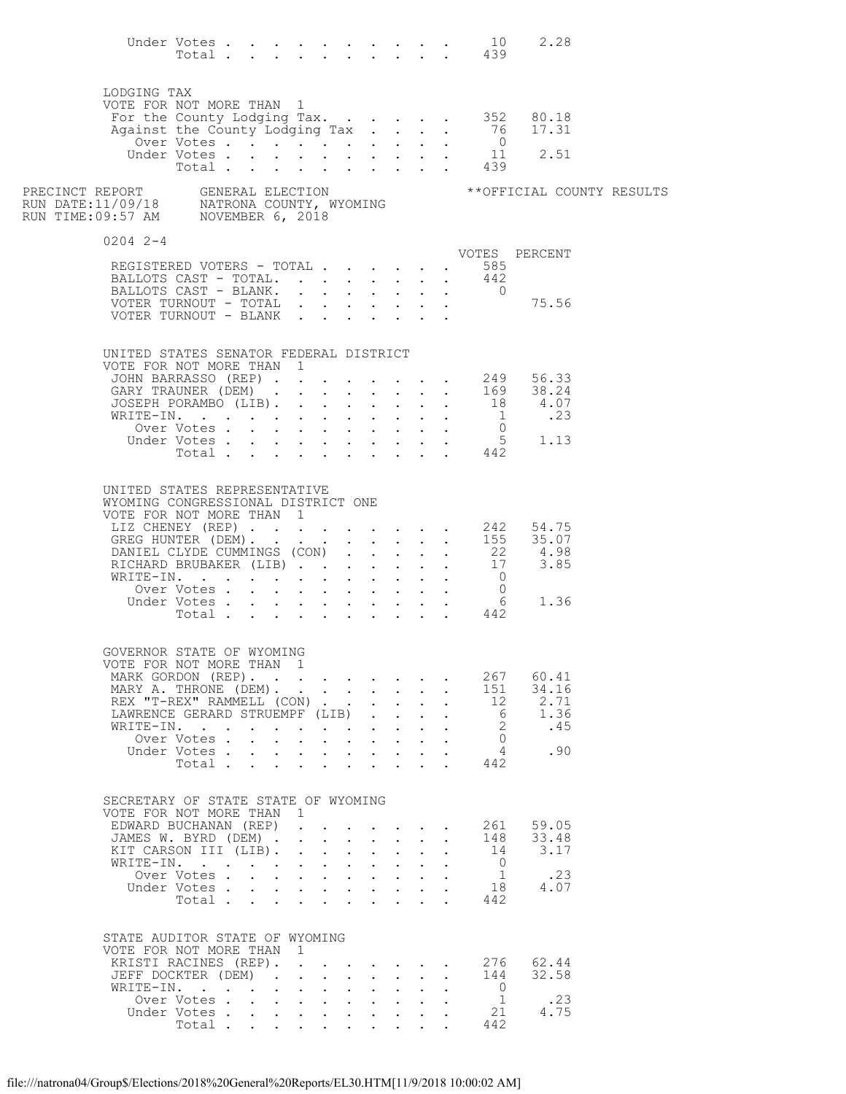|                                                                                                                                 |                      |  |              |                                                                                                                                    |              |                               |              |              |                                              | Under Votes 10<br>Total 439                   | 2.28                                                                                                                              |  |
|---------------------------------------------------------------------------------------------------------------------------------|----------------------|--|--------------|------------------------------------------------------------------------------------------------------------------------------------|--------------|-------------------------------|--------------|--------------|----------------------------------------------|-----------------------------------------------|-----------------------------------------------------------------------------------------------------------------------------------|--|
| LODGING TAX                                                                                                                     |                      |  |              |                                                                                                                                    |              |                               |              |              |                                              |                                               |                                                                                                                                   |  |
| VOTE FOR NOT MORE THAN 1                                                                                                        |                      |  |              |                                                                                                                                    |              |                               |              |              |                                              |                                               | For the County Lodging Tax. 352 80.18                                                                                             |  |
|                                                                                                                                 |                      |  |              |                                                                                                                                    |              |                               |              |              |                                              |                                               | Against the County Lodging Tax 76 17.31<br>Over Votes 0                                                                           |  |
|                                                                                                                                 | Over Votes           |  |              |                                                                                                                                    |              |                               |              |              |                                              |                                               |                                                                                                                                   |  |
|                                                                                                                                 |                      |  |              |                                                                                                                                    |              |                               |              |              |                                              | Under Votes 11<br>Total 439                   | 2.51                                                                                                                              |  |
| PRECINCT REPORT     GENERAL ELECTION<br>RUN DATE:11/09/18     NATRONA COUNTY, WYOMING<br>RUN TIME:09:57 AM     NOVEMBER 6, 2018 |                      |  |              |                                                                                                                                    |              |                               |              |              |                                              |                                               | ** OFFICIAL COUNTY RESULTS                                                                                                        |  |
| $0204$ 2-4                                                                                                                      |                      |  |              |                                                                                                                                    |              |                               |              |              |                                              |                                               | VOTES PERCENT                                                                                                                     |  |
| REGISTERED VOTERS - TOTAL 585                                                                                                   |                      |  |              |                                                                                                                                    |              |                               |              |              |                                              |                                               |                                                                                                                                   |  |
| BALLOTS CAST - TOTAL.                                                                                                           |                      |  |              |                                                                                                                                    |              |                               |              |              |                                              | 442                                           |                                                                                                                                   |  |
| BALLOTS CAST - BLANK. 0                                                                                                         |                      |  |              |                                                                                                                                    |              |                               |              |              |                                              |                                               |                                                                                                                                   |  |
| VOTER TURNOUT - TOTAL $\cdot \cdot \cdot \cdot \cdot \cdot \cdot$                                                               |                      |  |              |                                                                                                                                    |              |                               |              |              |                                              |                                               | 75.56                                                                                                                             |  |
| UNITED STATES SENATOR FEDERAL DISTRICT<br>VOTE FOR NOT MORE THAN 1                                                              |                      |  |              |                                                                                                                                    |              |                               |              |              |                                              |                                               |                                                                                                                                   |  |
|                                                                                                                                 |                      |  |              |                                                                                                                                    |              |                               |              |              |                                              |                                               | JOHN BARRASSO (REP) 249 56.33<br>GARY TRAUNER (DEM) 169 38.24                                                                     |  |
|                                                                                                                                 |                      |  |              |                                                                                                                                    |              |                               |              |              |                                              |                                               |                                                                                                                                   |  |
|                                                                                                                                 |                      |  |              |                                                                                                                                    |              |                               |              |              |                                              |                                               | JOSEPH PORAMBO (LIB). 18 4.07<br>WRITE-IN. 18 4.07                                                                                |  |
|                                                                                                                                 |                      |  |              |                                                                                                                                    |              |                               |              |              |                                              |                                               | 0<br>0<br>0<br>0<br>0<br>0<br>0<br>1.13<br>Total<br>442<br>1.13<br>Total 442<br>1.13<br>1.13<br>1.13<br>1.13<br>1.13<br><td></td> |  |
|                                                                                                                                 |                      |  |              |                                                                                                                                    |              |                               |              |              |                                              |                                               |                                                                                                                                   |  |
|                                                                                                                                 |                      |  |              |                                                                                                                                    |              |                               |              |              |                                              |                                               |                                                                                                                                   |  |
| UNITED STATES REPRESENTATIVE<br>WYOMING CONGRESSIONAL DISTRICT ONE<br>VOTE FOR NOT MORE THAN 1                                  |                      |  |              |                                                                                                                                    |              |                               |              |              |                                              |                                               |                                                                                                                                   |  |
|                                                                                                                                 |                      |  |              |                                                                                                                                    |              |                               |              |              |                                              |                                               | LIZ CHENEY (REP) 242 54.75<br>GREG HUNTER (DEM) 155 35.07                                                                         |  |
|                                                                                                                                 |                      |  |              |                                                                                                                                    |              |                               |              |              |                                              |                                               |                                                                                                                                   |  |
|                                                                                                                                 |                      |  |              |                                                                                                                                    |              |                               |              |              |                                              |                                               | DANIEL CLYDE CUMMINGS (CON) 22 4.98<br>RICHARD BRUBAKER (LIB) 17 3.85                                                             |  |
| WRITE-IN.                                                                                                                       |                      |  |              |                                                                                                                                    |              |                               |              |              |                                              | $\begin{matrix}0\\0\end{matrix}$              |                                                                                                                                   |  |
|                                                                                                                                 | Over Votes           |  |              |                                                                                                                                    |              |                               |              |              |                                              |                                               | 1.36                                                                                                                              |  |
|                                                                                                                                 |                      |  |              |                                                                                                                                    |              |                               |              |              |                                              | Under Votes 6<br>Total 442<br>$6\overline{6}$ |                                                                                                                                   |  |
|                                                                                                                                 |                      |  |              |                                                                                                                                    |              |                               |              |              |                                              |                                               |                                                                                                                                   |  |
| GOVERNOR STATE OF WYOMING<br>VOTE FOR NOT MORE THAN 1                                                                           |                      |  |              |                                                                                                                                    |              |                               |              |              |                                              |                                               |                                                                                                                                   |  |
| MARK GORDON (REP).                                                                                                              |                      |  |              |                                                                                                                                    |              |                               |              |              |                                              | 267                                           | 60.41                                                                                                                             |  |
| MARY A. THRONE (DEM).                                                                                                           |                      |  |              |                                                                                                                                    |              |                               |              |              | $\mathbf{L} = \mathbf{L}$                    | 151                                           | 34.16                                                                                                                             |  |
| REX "T-REX" RAMMELL (CON)                                                                                                       |                      |  |              |                                                                                                                                    |              |                               |              |              | $\ddot{\phantom{a}}$                         | 12                                            | 2.71                                                                                                                              |  |
| LAWRENCE GERARD STRUEMPF (LIB)<br>WRITE-IN.                                                                                     |                      |  |              |                                                                                                                                    |              |                               |              |              |                                              | 6<br>$\overline{2}$                           | 1.36<br>.45                                                                                                                       |  |
|                                                                                                                                 | Over Votes.          |  |              |                                                                                                                                    |              |                               |              |              |                                              | $\bigcirc$                                    |                                                                                                                                   |  |
|                                                                                                                                 | Under Votes          |  |              |                                                                                                                                    |              |                               |              |              |                                              | $\sim$ 4                                      | .90                                                                                                                               |  |
|                                                                                                                                 | Total                |  |              |                                                                                                                                    |              |                               |              |              |                                              | 442                                           |                                                                                                                                   |  |
| SECRETARY OF STATE STATE OF WYOMING<br>VOTE FOR NOT MORE THAN                                                                   |                      |  | $\mathbf{1}$ |                                                                                                                                    |              |                               |              |              |                                              |                                               |                                                                                                                                   |  |
| EDWARD BUCHANAN (REP)                                                                                                           |                      |  |              |                                                                                                                                    |              |                               |              |              | $\ddot{\phantom{1}}$                         | 261                                           | 59.05                                                                                                                             |  |
| JAMES W. BYRD (DEM) .<br>KIT CARSON III (LIB).                                                                                  |                      |  |              | $\mathbf{r}$ and $\mathbf{r}$ and $\mathbf{r}$ and $\mathbf{r}$<br>$\mathbf{r}$ and $\mathbf{r}$ and $\mathbf{r}$ and $\mathbf{r}$ |              |                               |              |              | $\ddot{\phantom{0}}$<br>$\ddot{\phantom{a}}$ | 148<br>14                                     | 33.48<br>3.17                                                                                                                     |  |
| WRITE-IN.                                                                                                                       |                      |  |              |                                                                                                                                    |              |                               |              |              |                                              | $\overline{0}$                                |                                                                                                                                   |  |
|                                                                                                                                 | Over Votes           |  |              | $\mathbf{r}$ , $\mathbf{r}$ , $\mathbf{r}$ , $\mathbf{r}$                                                                          |              |                               | $\sim$       |              |                                              | $\overline{1}$                                | .23                                                                                                                               |  |
|                                                                                                                                 | Under Votes<br>Total |  |              | $\cdot$ $\cdot$ $\cdot$ $\cdot$ $\cdot$                                                                                            |              |                               |              |              |                                              | 18<br>442                                     | 4.07                                                                                                                              |  |
| STATE AUDITOR STATE OF WYOMING                                                                                                  |                      |  |              |                                                                                                                                    |              |                               |              |              |                                              |                                               |                                                                                                                                   |  |
| VOTE FOR NOT MORE THAN 1<br>KRISTI RACINES (REP).                                                                               |                      |  |              |                                                                                                                                    |              |                               |              |              |                                              | 276                                           | 62.44                                                                                                                             |  |
| JEFF DOCKTER (DEM).                                                                                                             |                      |  |              | $\mathbf{r} = \mathbf{r} - \mathbf{r} = \mathbf{r} - \mathbf{r}$                                                                   |              |                               |              | $\mathbf{r}$ | $\mathbf{L}$                                 | 144                                           | 32.58                                                                                                                             |  |
| WRITE-IN.                                                                                                                       |                      |  |              | $\mathbf{L}$ and $\mathbf{L}$                                                                                                      | $\mathbf{r}$ | $\mathbf{L}$                  | $\mathbf{L}$ |              |                                              | $\overline{0}$                                |                                                                                                                                   |  |
|                                                                                                                                 | Over Votes           |  |              | $\cdot$ $\cdot$ $\cdot$                                                                                                            |              | $\mathbf{L}$ and $\mathbf{L}$ |              |              |                                              | $\overline{1}$                                | .23                                                                                                                               |  |
|                                                                                                                                 | Under Votes<br>Total |  |              |                                                                                                                                    |              |                               | $\mathbf{L}$ |              |                                              | 21<br>442                                     | 4.75                                                                                                                              |  |
|                                                                                                                                 |                      |  |              |                                                                                                                                    |              |                               |              |              |                                              |                                               |                                                                                                                                   |  |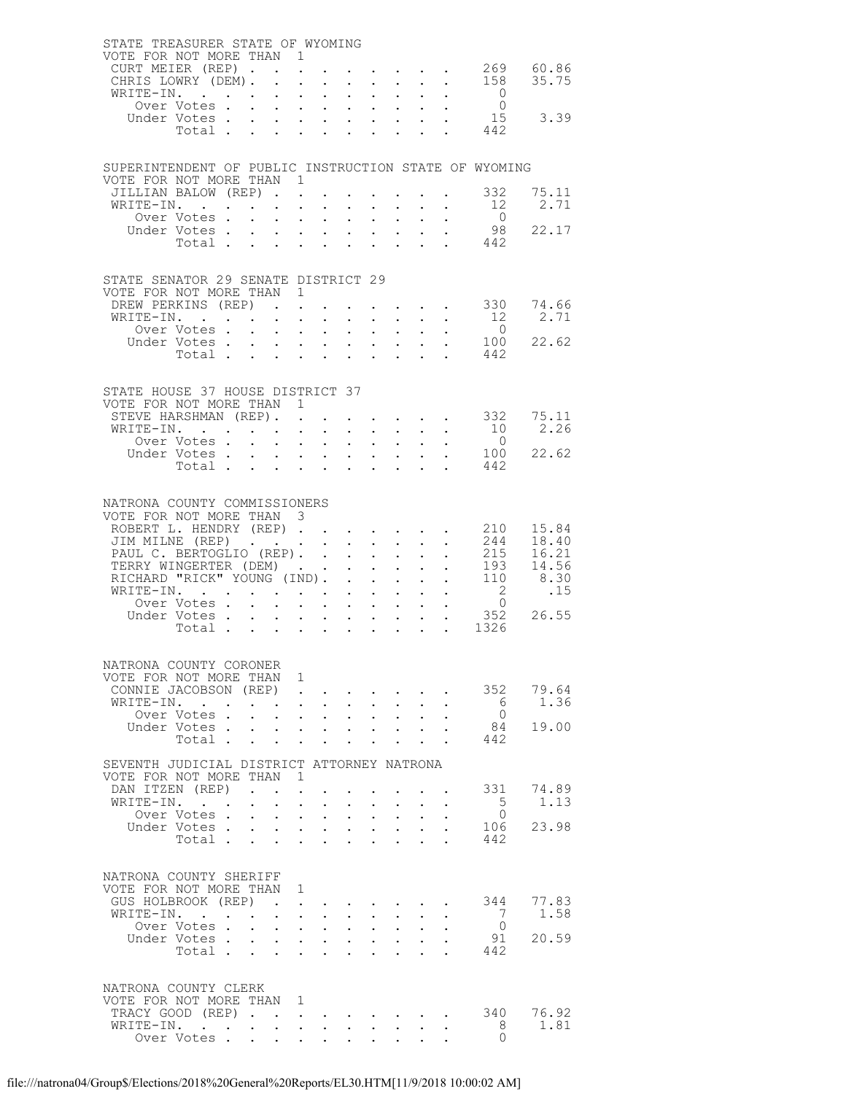|  | STATE TREASURER STATE OF WYOMING<br>VOTE FOR NOT MORE THAN 1<br>CURT MEIER (REP). |                      |                           | $\mathbf{L} = \mathbf{L}$                                                                |                                                             |                             |                                                                          |                                                                                                                                                                                                                                                                                                                                                                                                                        |                      | $\mathbf{r} = \mathbf{r} - \mathbf{r} = \mathbf{r} - \mathbf{r}$ .                              |                                                                                                                  | 269 60.86                                                                                                                             |
|--|-----------------------------------------------------------------------------------|----------------------|---------------------------|------------------------------------------------------------------------------------------|-------------------------------------------------------------|-----------------------------|--------------------------------------------------------------------------|------------------------------------------------------------------------------------------------------------------------------------------------------------------------------------------------------------------------------------------------------------------------------------------------------------------------------------------------------------------------------------------------------------------------|----------------------|-------------------------------------------------------------------------------------------------|------------------------------------------------------------------------------------------------------------------|---------------------------------------------------------------------------------------------------------------------------------------|
|  | CHRIS LOWRY (DEM).                                                                |                      |                           |                                                                                          | $\sim$                                                      |                             |                                                                          | $\mathbf{r} = \mathbf{r} \mathbf{r}$ , where $\mathbf{r} = \mathbf{r} \mathbf{r}$                                                                                                                                                                                                                                                                                                                                      |                      |                                                                                                 |                                                                                                                  | 158 35.75                                                                                                                             |
|  | WRITE-IN.<br>Over Votes                                                           |                      |                           |                                                                                          |                                                             |                             |                                                                          | $\mathbf{z} = \left( \mathbf{z} \right) \left( \mathbf{z} \right)$ , where                                                                                                                                                                                                                                                                                                                                             |                      | $\mathbf{L}^{\text{max}}$ , $\mathbf{L}^{\text{max}}$                                           | $\begin{matrix}0\\0\end{matrix}$                                                                                 |                                                                                                                                       |
|  |                                                                                   |                      |                           |                                                                                          |                                                             |                             |                                                                          |                                                                                                                                                                                                                                                                                                                                                                                                                        |                      |                                                                                                 | Under Votes 15<br>Total 442                                                                                      | 15 3.39                                                                                                                               |
|  |                                                                                   |                      |                           |                                                                                          |                                                             |                             |                                                                          |                                                                                                                                                                                                                                                                                                                                                                                                                        |                      |                                                                                                 |                                                                                                                  |                                                                                                                                       |
|  |                                                                                   |                      |                           |                                                                                          |                                                             |                             |                                                                          |                                                                                                                                                                                                                                                                                                                                                                                                                        |                      |                                                                                                 | SUPERINTENDENT OF PUBLIC INSTRUCTION STATE OF WYOMING                                                            |                                                                                                                                       |
|  | VOTE FOR NOT MORE THAN 1                                                          |                      |                           |                                                                                          |                                                             |                             |                                                                          |                                                                                                                                                                                                                                                                                                                                                                                                                        |                      |                                                                                                 |                                                                                                                  |                                                                                                                                       |
|  | JILLIAN BALOW (REP)<br>WRITE-IN.                                                  |                      |                           |                                                                                          |                                                             | $\mathbb{Z}^{\mathbb{Z}^2}$ |                                                                          | $\mathbf{L} = \mathbf{L}$                                                                                                                                                                                                                                                                                                                                                                                              |                      |                                                                                                 | $\cdot$ $\cdot$ 332<br>12                                                                                        | 75.11<br>2.71                                                                                                                         |
|  | Over Votes                                                                        |                      |                           |                                                                                          |                                                             |                             |                                                                          | $\mathbf{1}=\mathbf{1}=\mathbf{1}=\mathbf{1}=\mathbf{1}=\mathbf{1}=\mathbf{1}=\mathbf{1}=\mathbf{1}=\mathbf{1}=\mathbf{1}=\mathbf{1}=\mathbf{1}=\mathbf{1}=\mathbf{1}=\mathbf{1}=\mathbf{1}=\mathbf{1}=\mathbf{1}=\mathbf{1}=\mathbf{1}=\mathbf{1}=\mathbf{1}=\mathbf{1}=\mathbf{1}=\mathbf{1}=\mathbf{1}=\mathbf{1}=\mathbf{1}=\mathbf{1}=\mathbf{1}=\mathbf{1}=\mathbf{1}=\mathbf{1}=\mathbf{1}=\mathbf{1}=\mathbf{$ |                      | $\sim$                                                                                          | $\begin{array}{c} 0 \\ 98 \end{array}$                                                                           |                                                                                                                                       |
|  | Under Votes<br>Total                                                              |                      |                           |                                                                                          |                                                             |                             |                                                                          |                                                                                                                                                                                                                                                                                                                                                                                                                        |                      |                                                                                                 | $\cdot$ $\cdot$ 442                                                                                              | 22.17                                                                                                                                 |
|  |                                                                                   |                      |                           |                                                                                          |                                                             |                             |                                                                          |                                                                                                                                                                                                                                                                                                                                                                                                                        |                      |                                                                                                 |                                                                                                                  |                                                                                                                                       |
|  | STATE SENATOR 29 SENATE DISTRICT 29                                               |                      |                           |                                                                                          |                                                             |                             |                                                                          |                                                                                                                                                                                                                                                                                                                                                                                                                        |                      |                                                                                                 |                                                                                                                  |                                                                                                                                       |
|  | VOTE FOR NOT MORE THAN 1<br>DREW PERKINS (REP).                                   |                      |                           |                                                                                          |                                                             |                             |                                                                          |                                                                                                                                                                                                                                                                                                                                                                                                                        |                      |                                                                                                 |                                                                                                                  | $\cdot$ 330 74.66                                                                                                                     |
|  | WRITE-IN.                                                                         |                      |                           |                                                                                          |                                                             |                             |                                                                          |                                                                                                                                                                                                                                                                                                                                                                                                                        |                      |                                                                                                 |                                                                                                                  | $\begin{matrix} 12 & 2.71 \\ 0 & \end{matrix}$                                                                                        |
|  | Over Votes.                                                                       |                      |                           |                                                                                          |                                                             |                             |                                                                          |                                                                                                                                                                                                                                                                                                                                                                                                                        |                      |                                                                                                 |                                                                                                                  | 22.62                                                                                                                                 |
|  | Under Votes<br>Total                                                              |                      |                           |                                                                                          |                                                             |                             |                                                                          |                                                                                                                                                                                                                                                                                                                                                                                                                        |                      |                                                                                                 | $\cdot$ $\cdot$ $\frac{100}{110}$<br>442                                                                         |                                                                                                                                       |
|  |                                                                                   |                      |                           |                                                                                          |                                                             |                             |                                                                          |                                                                                                                                                                                                                                                                                                                                                                                                                        |                      |                                                                                                 |                                                                                                                  |                                                                                                                                       |
|  | STATE HOUSE 37 HOUSE DISTRICT 37                                                  |                      |                           |                                                                                          |                                                             |                             |                                                                          |                                                                                                                                                                                                                                                                                                                                                                                                                        |                      |                                                                                                 |                                                                                                                  |                                                                                                                                       |
|  | VOTE FOR NOT MORE THAN 1<br>STEVE HARSHMAN (REP). .                               |                      |                           |                                                                                          | $\sim 10^{-10}$                                             |                             |                                                                          |                                                                                                                                                                                                                                                                                                                                                                                                                        |                      | $\mathbf{r} = \mathbf{r} \times \mathbf{r}$ , where $\mathbf{r} = \mathbf{r} \times \mathbf{r}$ | 332                                                                                                              | 75.11                                                                                                                                 |
|  | WRITE-IN.                                                                         |                      |                           | $\sim$                                                                                   |                                                             |                             |                                                                          |                                                                                                                                                                                                                                                                                                                                                                                                                        |                      | $\mathcal{A}$ . The set of the set of the set of $\mathcal{A}$                                  | 10                                                                                                               | 2.26                                                                                                                                  |
|  |                                                                                   |                      |                           |                                                                                          |                                                             |                             |                                                                          |                                                                                                                                                                                                                                                                                                                                                                                                                        |                      |                                                                                                 | Uver Votes 0<br>Under Votes 100                                                                                  | 22.62                                                                                                                                 |
|  | Total                                                                             |                      |                           |                                                                                          |                                                             | $\sim$                      | $\mathbf{L}$                                                             |                                                                                                                                                                                                                                                                                                                                                                                                                        |                      |                                                                                                 | 442                                                                                                              |                                                                                                                                       |
|  |                                                                                   |                      |                           |                                                                                          |                                                             |                             |                                                                          |                                                                                                                                                                                                                                                                                                                                                                                                                        |                      |                                                                                                 |                                                                                                                  |                                                                                                                                       |
|  | NATRONA COUNTY COMMISSIONERS<br>VOTE FOR NOT MORE THAN 3                          |                      |                           |                                                                                          |                                                             |                             |                                                                          |                                                                                                                                                                                                                                                                                                                                                                                                                        |                      |                                                                                                 |                                                                                                                  |                                                                                                                                       |
|  |                                                                                   |                      |                           |                                                                                          |                                                             |                             |                                                                          |                                                                                                                                                                                                                                                                                                                                                                                                                        |                      |                                                                                                 | ROBERT L. HENDRY (REP) 210                                                                                       | 15.84                                                                                                                                 |
|  | JIM MILNE (REP)<br>PAUL C. BERTOGLIO (REP)                                        |                      |                           |                                                                                          |                                                             |                             |                                                                          |                                                                                                                                                                                                                                                                                                                                                                                                                        |                      |                                                                                                 |                                                                                                                  | $\begin{array}{cccc} . & . & . & . & 244 & 18.40 \\ . & . & . & 215 & 16.21 \\ . & . & 193 & 14.56 \\ . & . & 110 & 8.30 \end{array}$ |
|  |                                                                                   |                      |                           |                                                                                          |                                                             |                             |                                                                          |                                                                                                                                                                                                                                                                                                                                                                                                                        |                      |                                                                                                 |                                                                                                                  |                                                                                                                                       |
|  | TERRY WINGERTER (DEM)<br>RICHARD "RICK" YOUNG (IND).                              |                      |                           |                                                                                          |                                                             |                             |                                                                          |                                                                                                                                                                                                                                                                                                                                                                                                                        |                      |                                                                                                 |                                                                                                                  |                                                                                                                                       |
|  | WRITE-IN.<br>Over Votes                                                           |                      |                           |                                                                                          |                                                             | $\mathcal{L}^{\text{max}}$  |                                                                          | $\mathcal{L}^{\text{max}}$ , where $\mathcal{L}^{\text{max}}$                                                                                                                                                                                                                                                                                                                                                          |                      | $\mathcal{L}^{\text{max}}$                                                                      | $\frac{2}{0}$                                                                                                    | .15                                                                                                                                   |
|  | Under Votes<br>Total                                                              |                      |                           |                                                                                          |                                                             |                             |                                                                          |                                                                                                                                                                                                                                                                                                                                                                                                                        |                      |                                                                                                 | $\begin{array}{cccc} . & . & . & . & . \\ . & . & . & . & . & . \\ . & . & . & . & . & . & . \end{array}$<br>352 | 26.55                                                                                                                                 |
|  |                                                                                   |                      |                           |                                                                                          |                                                             |                             |                                                                          |                                                                                                                                                                                                                                                                                                                                                                                                                        |                      |                                                                                                 |                                                                                                                  |                                                                                                                                       |
|  | NATRONA COUNTY CORONER                                                            |                      |                           |                                                                                          |                                                             |                             |                                                                          |                                                                                                                                                                                                                                                                                                                                                                                                                        |                      |                                                                                                 |                                                                                                                  |                                                                                                                                       |
|  | VOTE FOR NOT MORE THAN 1                                                          |                      |                           |                                                                                          |                                                             |                             |                                                                          |                                                                                                                                                                                                                                                                                                                                                                                                                        |                      |                                                                                                 |                                                                                                                  |                                                                                                                                       |
|  | CONNIE JACOBSON (REP)<br>WRITE-IN.                                                |                      | $\mathbf{L}$ $\mathbf{L}$ | $\ddot{\phantom{a}}$<br>$\ddot{\phantom{0}}$                                             | $\sim$                                                      | $\sim$                      | $\sim$                                                                   | $\ddot{\phantom{0}}$                                                                                                                                                                                                                                                                                                                                                                                                   |                      |                                                                                                 | 6                                                                                                                | 352 79.64<br>1.36                                                                                                                     |
|  | Over Votes .                                                                      | $\ddot{\phantom{0}}$ |                           | $\mathbf{A}^{(1)}$ and $\mathbf{A}^{(2)}$ and $\mathbf{A}^{(3)}$                         |                                                             | $\mathbf{L}^{\text{max}}$   | $\sim 10^{-11}$                                                          | $\sim$ $-$                                                                                                                                                                                                                                                                                                                                                                                                             |                      |                                                                                                 | $\bigcirc$                                                                                                       |                                                                                                                                       |
|  | Under Votes.<br>Total                                                             | $\mathbf{L}$         |                           | $\mathbf{r}$ , $\mathbf{r}$ , $\mathbf{r}$ , $\mathbf{r}$                                |                                                             | $\sim$                      | $\bullet$ .<br><br><br><br><br><br><br><br><br><br><br><br>              | $\mathbf{r} = \mathbf{r} \times \mathbf{r}$ . The set of $\mathbf{r}$<br>$\sim$                                                                                                                                                                                                                                                                                                                                        | $\ddot{\phantom{0}}$ |                                                                                                 | 84<br>442                                                                                                        | 19.00                                                                                                                                 |
|  |                                                                                   |                      |                           |                                                                                          |                                                             |                             |                                                                          |                                                                                                                                                                                                                                                                                                                                                                                                                        |                      |                                                                                                 |                                                                                                                  |                                                                                                                                       |
|  | SEVENTH JUDICIAL DISTRICT ATTORNEY NATRONA<br>VOTE FOR NOT MORE THAN 1            |                      |                           |                                                                                          |                                                             |                             |                                                                          |                                                                                                                                                                                                                                                                                                                                                                                                                        |                      |                                                                                                 |                                                                                                                  |                                                                                                                                       |
|  | DAN ITZEN (REP)                                                                   | $\ddot{\phantom{a}}$ |                           | $\ddot{\phantom{a}}$                                                                     |                                                             |                             | $\sim 10^{-10}$ km s $^{-1}$                                             |                                                                                                                                                                                                                                                                                                                                                                                                                        |                      |                                                                                                 | 331                                                                                                              | 74.89                                                                                                                                 |
|  | WRITE-IN.<br>Over Votes .                                                         | $\sim$               | $\ddot{\phantom{0}}$      | $\ddot{\phantom{a}}$<br>$\mathbf{L}^{\text{max}}$ , and $\mathbf{L}^{\text{max}}$        | $\ddot{\phantom{0}}$<br>$\sim$ $-$                          | $\mathbf{L}^{\text{max}}$   | $\bullet$ .<br><br><br><br><br><br><br><br><br><br><br><br><br>$\sim 10$ | $\ddot{\phantom{1}}$<br>$\bullet$ .                                                                                                                                                                                                                                                                                                                                                                                    |                      |                                                                                                 | 5 <sup>5</sup><br>$\bigcirc$                                                                                     | 1.13                                                                                                                                  |
|  | Under Votes.                                                                      | $\sim$               | $\sim$                    |                                                                                          | $\mathbf{L} = \mathbf{L}$                                   | $\mathbf{L}$                | $\sim$                                                                   | $\sim$                                                                                                                                                                                                                                                                                                                                                                                                                 |                      |                                                                                                 | 106                                                                                                              | 23.98                                                                                                                                 |
|  | Total                                                                             |                      | $\sim$                    | $\ddot{\phantom{0}}$                                                                     | $\ddot{\phantom{0}}$                                        | $\ddot{\phantom{a}}$        | $\ddot{\phantom{a}}$                                                     |                                                                                                                                                                                                                                                                                                                                                                                                                        |                      |                                                                                                 | 442                                                                                                              |                                                                                                                                       |
|  | NATRONA COUNTY SHERIFF                                                            |                      |                           |                                                                                          |                                                             |                             |                                                                          |                                                                                                                                                                                                                                                                                                                                                                                                                        |                      |                                                                                                 |                                                                                                                  |                                                                                                                                       |
|  | VOTE FOR NOT MORE THAN 1                                                          |                      |                           |                                                                                          |                                                             |                             |                                                                          |                                                                                                                                                                                                                                                                                                                                                                                                                        |                      |                                                                                                 |                                                                                                                  |                                                                                                                                       |
|  | GUS HOLBROOK (REP).<br>WRITE-IN.                                                  |                      |                           | $\ddot{\phantom{a}}$                                                                     |                                                             | $\ddot{\phantom{0}}$        |                                                                          |                                                                                                                                                                                                                                                                                                                                                                                                                        |                      |                                                                                                 | 7                                                                                                                | 344 77.83<br>1.58                                                                                                                     |
|  | Over Votes                                                                        |                      | $\sim$ $\sim$             | $\mathbf{a} = \mathbf{a} + \mathbf{a} + \mathbf{a} + \mathbf{a}$<br>$\ddot{\phantom{a}}$ | $\sim 10^{-10}$                                             | $\mathbf{r}$                | $\sim 10^{-11}$<br>$\sim$                                                | $\sim$<br>$\ddot{\phantom{0}}$                                                                                                                                                                                                                                                                                                                                                                                         |                      |                                                                                                 | $\overline{0}$                                                                                                   |                                                                                                                                       |
|  | Under Votes                                                                       |                      | $\sim 10^{-11}$           |                                                                                          | $\mathbf{A}^{(1)}$ and $\mathbf{A}^{(2)}$ and               | $\bullet$ .                 | $\sim 100$                                                               | $\mathbf{L}^{\text{max}}$                                                                                                                                                                                                                                                                                                                                                                                              |                      |                                                                                                 | 91                                                                                                               | 20.59                                                                                                                                 |
|  | Total                                                                             |                      |                           | $\mathbf{r}$                                                                             |                                                             | $\mathbf{L}$                |                                                                          |                                                                                                                                                                                                                                                                                                                                                                                                                        |                      |                                                                                                 | 442                                                                                                              |                                                                                                                                       |
|  | NATRONA COUNTY CLERK                                                              |                      |                           |                                                                                          |                                                             |                             |                                                                          |                                                                                                                                                                                                                                                                                                                                                                                                                        |                      |                                                                                                 |                                                                                                                  |                                                                                                                                       |
|  | VOTE FOR NOT MORE THAN 1                                                          |                      |                           |                                                                                          |                                                             |                             |                                                                          |                                                                                                                                                                                                                                                                                                                                                                                                                        |                      |                                                                                                 |                                                                                                                  |                                                                                                                                       |
|  | TRACY GOOD (REP).<br>WRITE-IN.                                                    |                      | $\ddot{\phantom{a}}$      | $\mathcal{L}^{\text{max}}$ , $\mathcal{L}^{\text{max}}$<br>$\sim$                        | $\bullet$ .<br><br><br><br><br><br><br><br><br><br><br><br> | $\ddot{\phantom{a}}$        |                                                                          | $\sim$ 100 $\mu$                                                                                                                                                                                                                                                                                                                                                                                                       |                      |                                                                                                 | 340<br>8                                                                                                         | 76.92<br>1.81                                                                                                                         |
|  | Over Votes                                                                        |                      |                           |                                                                                          | $\mathbf{L}^{\text{max}}$                                   |                             |                                                                          |                                                                                                                                                                                                                                                                                                                                                                                                                        |                      |                                                                                                 | $\Omega$                                                                                                         |                                                                                                                                       |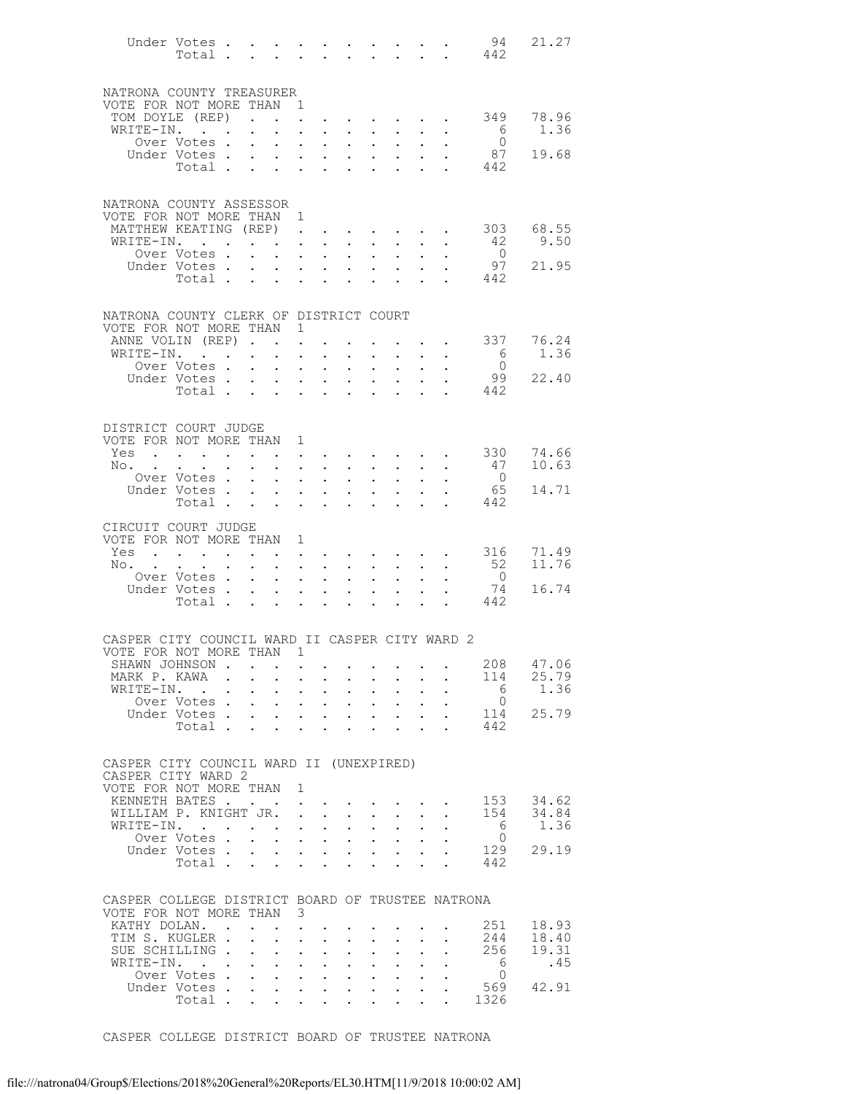|                                                                              | Under Votes                                                                                                     |             |                                                             |                                              |                                                                                   |                                                                                   |                                                                 |                                                             |                                                                                         |                                                        |                                                                       | 94<br>Total 442        | 21.27         |
|------------------------------------------------------------------------------|-----------------------------------------------------------------------------------------------------------------|-------------|-------------------------------------------------------------|----------------------------------------------|-----------------------------------------------------------------------------------|-----------------------------------------------------------------------------------|-----------------------------------------------------------------|-------------------------------------------------------------|-----------------------------------------------------------------------------------------|--------------------------------------------------------|-----------------------------------------------------------------------|------------------------|---------------|
| NATRONA COUNTY TREASURER                                                     |                                                                                                                 |             |                                                             |                                              |                                                                                   |                                                                                   |                                                                 |                                                             |                                                                                         |                                                        |                                                                       |                        |               |
| VOTE FOR NOT MORE THAN                                                       |                                                                                                                 |             |                                                             |                                              | $\blacksquare$                                                                    |                                                                                   |                                                                 |                                                             |                                                                                         |                                                        |                                                                       |                        |               |
| TOM DOYLE (REP).<br>WRITE-IN.                                                |                                                                                                                 |             | $\bullet$ .<br><br><br><br><br><br><br><br><br><br><br><br> | $\mathbf{L}^{\text{max}}$                    | $\mathbf{L}^{\text{max}}$<br>$\ddot{\phantom{a}}$                                 | $\sim$ $\sim$                                                                     |                                                                 | $\cdot$ $\cdot$ $\cdot$<br>$\ddot{\phantom{a}}$             | $\sim$<br>$\sim$                                                                        | $\mathbf{L} = \mathbf{0}$<br>$\mathbf{L}^{\text{max}}$ | $\sim$ $-$                                                            | 349<br>$6\overline{6}$ | 78.96<br>1.36 |
|                                                                              | Over Votes .                                                                                                    |             | $\ddot{\phantom{0}}$                                        | $\ddot{\phantom{0}}$                         | $\ddot{\phantom{0}}$                                                              | $\ddot{\phantom{0}}$                                                              | $\sim$                                                          | $\bullet$ .<br><br><br><br><br><br><br><br><br><br><br><br> | $\sim$                                                                                  |                                                        |                                                                       | $\bigcirc$             |               |
|                                                                              | Under Votes.                                                                                                    |             | $\mathcal{L}^{\text{max}}$                                  | $\mathbf{L}$                                 |                                                                                   | $\ddotsc$ $\ddotsc$                                                               | $\mathbf{L}^{\text{max}}$                                       | $\mathcal{L}^{\text{max}}$                                  | $\ddot{\phantom{0}}$                                                                    | $\mathbf{L}$                                           |                                                                       | 87                     | 19.68         |
|                                                                              | Total .                                                                                                         |             | $\sim$                                                      | $\ddot{\phantom{0}}$                         | $\ddot{\phantom{0}}$                                                              | $\sim$                                                                            | $\ddot{\phantom{0}}$                                            | $\ddot{\phantom{a}}$                                        |                                                                                         |                                                        | $\mathbf{L}$                                                          | 442                    |               |
| NATRONA COUNTY ASSESSOR                                                      |                                                                                                                 |             |                                                             |                                              |                                                                                   |                                                                                   |                                                                 |                                                             |                                                                                         |                                                        |                                                                       |                        |               |
| VOTE FOR NOT MORE THAN 1                                                     |                                                                                                                 |             |                                                             |                                              |                                                                                   |                                                                                   |                                                                 |                                                             |                                                                                         |                                                        |                                                                       |                        |               |
| MATTHEW KEATING (REP).<br>WRITE-IN.                                          |                                                                                                                 |             |                                                             |                                              |                                                                                   | $\sim$ $\sim$ $\sim$<br>$\mathbf{z} = \mathbf{z} + \mathbf{z}$ .                  | $\ddot{\phantom{0}}$                                            | $\bullet$ .<br><br><br><br><br><br><br><br><br><br><br><br> | $\ddot{\phantom{0}}$                                                                    | $\ddot{\phantom{0}}$                                   | $\sim$                                                                | 303<br>42              | 68.55<br>9.50 |
|                                                                              | Over Votes.                                                                                                     |             |                                                             | $\mathbf{L} = \mathbf{L}$                    | $\ddot{\phantom{a}}$                                                              | $\sim$ 100 $\pm$                                                                  | $\mathbf{L}^{\text{max}}$                                       | $\mathbf{L}^{\text{max}}$                                   | $\ddot{\phantom{0}}$                                                                    | $\mathbf{L}$                                           | $\ddot{\phantom{0}}$                                                  | $\overline{0}$         |               |
|                                                                              | Under Votes.                                                                                                    |             | $\sim$ $\sim$                                               |                                              | $\mathbf{z} = \mathbf{z} + \mathbf{z}$ .                                          | $\sim 100$                                                                        | $\mathbf{L}^{\text{max}}$                                       | $\mathbf{L}^{\text{max}}$                                   | $\frac{1}{2}$                                                                           |                                                        |                                                                       | 97                     | 21.95         |
|                                                                              | Total                                                                                                           |             |                                                             |                                              |                                                                                   |                                                                                   |                                                                 |                                                             |                                                                                         | $\mathbf{L}$                                           | $\Delta \sim 10^{-10}$                                                | 442                    |               |
| NATRONA COUNTY CLERK OF DISTRICT COURT                                       |                                                                                                                 |             |                                                             |                                              |                                                                                   |                                                                                   |                                                                 |                                                             |                                                                                         |                                                        |                                                                       |                        |               |
| VOTE FOR NOT MORE THAN                                                       |                                                                                                                 |             |                                                             |                                              | $\mathbf{1}$                                                                      |                                                                                   |                                                                 |                                                             |                                                                                         |                                                        |                                                                       |                        | 76.24         |
| ANNE VOLIN (REP).<br>WRITE-IN.                                               | $\mathbf{r}$ . The set of $\mathbf{r}$                                                                          |             | $\bullet$ .<br><br><br><br><br><br><br><br><br><br><br><br> | $\ddotsc$                                    | $\ddot{\phantom{a}}$                                                              | $\ddot{\phantom{a}}$                                                              | $\ddot{\phantom{0}}$                                            | $\mathbf{L}^{\text{max}}$                                   | $\mathcal{L}^{\mathcal{L}}$                                                             |                                                        | $\mathbf{L} = \mathbf{L} \mathbf{L}$<br>$\mathbf{L}$ and $\mathbf{L}$ | 337<br>$6\overline{6}$ | 1.36          |
|                                                                              | Over Votes .                                                                                                    |             | $\mathbf{L}$                                                | $\ddot{\phantom{0}}$                         | $\ddot{\phantom{0}}$                                                              | $\bullet$ .                                                                       | $\sim$                                                          | $\bullet$ .                                                 | $\ddot{\phantom{0}}$                                                                    |                                                        |                                                                       | $\overline{0}$         |               |
|                                                                              | Under Votes                                                                                                     |             |                                                             | $\mathcal{L}^{\text{max}}$                   | $\ddot{\phantom{0}}$                                                              | $\sim$ $-$                                                                        | $\mathbf{L}^{\text{max}}$                                       | $\ddot{\phantom{a}}$                                        | $\bullet$                                                                               | $\ddot{\phantom{a}}$                                   |                                                                       | 99                     | 22.40         |
|                                                                              | Total .                                                                                                         |             | $\sim$                                                      | $\sim$ 100 $\pm$                             |                                                                                   | $\cdot$ $\cdot$                                                                   | $\ddot{\phantom{0}}$                                            | $\ddot{\phantom{a}}$                                        | $\ddot{\phantom{a}}$                                                                    |                                                        |                                                                       | 442                    |               |
| DISTRICT COURT JUDGE                                                         |                                                                                                                 |             |                                                             |                                              |                                                                                   |                                                                                   |                                                                 |                                                             |                                                                                         |                                                        |                                                                       |                        |               |
| VOTE FOR NOT MORE THAN 1                                                     |                                                                                                                 |             |                                                             |                                              |                                                                                   |                                                                                   |                                                                 |                                                             |                                                                                         |                                                        |                                                                       |                        |               |
| Yes                                                                          | the contract of the contract of the contract of the contract of the contract of the contract of the contract of |             |                                                             |                                              |                                                                                   |                                                                                   |                                                                 |                                                             |                                                                                         |                                                        |                                                                       | 330                    | 74.66         |
| No.                                                                          | Over Votes.                                                                                                     |             | $\bullet$ .<br>$\mathbf{L}^{\text{max}}$                    | $\ddot{\phantom{a}}$<br>$\ddot{\phantom{a}}$ | $\sim$ 100 $\pm$<br>$\ddot{\phantom{a}}$                                          | $\sim$<br>$\ddot{\phantom{a}}$                                                    | $\ddot{\phantom{0}}$<br>$\ddot{\phantom{0}}$                    | $\mathbf{L}^{\text{max}}$<br>$\mathcal{L}^{\text{max}}$     | $\sim$<br>$\ddot{\phantom{0}}$                                                          | $\ddot{\phantom{0}}$<br>$\mathbf{L}$                   | $\mathbf{L}^{\text{max}}$                                             | 47<br>$\overline{0}$   | 10.63         |
|                                                                              | Under Votes.                                                                                                    |             | $\sim$ $-$                                                  |                                              | $\mathbf{z} = \mathbf{z} + \mathbf{z}$ .                                          | $\sim$                                                                            | $\bullet$ .                                                     | $\bullet$ .<br><br><br><br><br><br><br><br><br><br><br><br> | $\mathbf{L}^{\text{max}}$                                                               |                                                        |                                                                       | 65                     | 14.71         |
|                                                                              | Total.                                                                                                          |             |                                                             | $\mathbf{r}$ , $\mathbf{r}$ , $\mathbf{r}$   |                                                                                   | <b>Contract</b>                                                                   | $\mathbf{L}$                                                    | $\ddot{\phantom{0}}$                                        | $\ddot{\phantom{a}}$                                                                    | $\mathbf{L}$                                           | $\mathbf{A}$                                                          | 442                    |               |
| CIRCUIT COURT JUDGE                                                          |                                                                                                                 |             |                                                             |                                              |                                                                                   |                                                                                   |                                                                 |                                                             |                                                                                         |                                                        |                                                                       |                        |               |
| VOTE FOR NOT MORE THAN                                                       |                                                                                                                 |             |                                                             |                                              | $\mathbf{1}$                                                                      |                                                                                   |                                                                 |                                                             |                                                                                         |                                                        |                                                                       |                        |               |
| Yes                                                                          | the contract of the contract of the contract of the contract of the contract of the contract of the contract of |             |                                                             |                                              |                                                                                   |                                                                                   |                                                                 |                                                             |                                                                                         |                                                        |                                                                       | 316                    | 71.49         |
| No.                                                                          | Over Votes .                                                                                                    | $\bullet$ . | $\sim 10^{-10}$<br>$\mathbf{L}^{\text{max}}$                | $\ddot{\phantom{0}}$<br>$\ddot{\phantom{0}}$ | $\sim 100$<br>$\ddot{\phantom{a}}$                                                | $\sim$<br>$\ddot{\phantom{a}}$                                                    | $\ddot{\phantom{0}}$<br>$\ddot{\phantom{0}}$                    | $\mathbf{L}^{\text{max}}$<br>$\ddot{\phantom{a}}$           | $\ddot{\phantom{0}}$<br>$\ddot{\phantom{0}}$                                            | $\ddot{\phantom{0}}$<br>$\mathbf{L}$                   | $\ddot{\phantom{0}}$                                                  | - 52<br>$\overline{0}$ | 11.76         |
|                                                                              | Under Votes.                                                                                                    |             | $\bullet$ .                                                 | $\ddot{\phantom{0}}$                         | $\ddot{\phantom{0}}$                                                              | $\ddot{\phantom{0}}$                                                              | $\ddot{\phantom{0}}$                                            | $\mathbf{L}^{\text{max}}$                                   | $\bullet$ .                                                                             |                                                        |                                                                       | 74                     | 16.74         |
|                                                                              | Total .                                                                                                         |             | $\ddot{\phantom{a}}$                                        | $\mathbf{L}^{\text{max}}$                    | $\ddot{\phantom{a}}$                                                              | $\ddot{\phantom{a}}$                                                              | $\ddot{\phantom{a}}$                                            | $\ddot{\phantom{a}}$                                        | $\ddot{\phantom{a}}$                                                                    | $\ddot{\phantom{a}}$                                   |                                                                       | . 442                  |               |
|                                                                              |                                                                                                                 |             |                                                             |                                              |                                                                                   |                                                                                   |                                                                 |                                                             |                                                                                         |                                                        |                                                                       |                        |               |
| CASPER CITY COUNCIL WARD II CASPER CITY WARD 2<br>VOTE FOR NOT MORE THAN 1   |                                                                                                                 |             |                                                             |                                              |                                                                                   |                                                                                   |                                                                 |                                                             |                                                                                         |                                                        |                                                                       |                        |               |
| SHAWN JOHNSON.                                                               |                                                                                                                 |             | $\sim$                                                      |                                              | $\sim$ $-$                                                                        | $\sim$ $-$                                                                        |                                                                 |                                                             |                                                                                         |                                                        |                                                                       | 208                    | 47.06         |
| MARK P. KAWA .                                                               |                                                                                                                 |             | $\sim 100$ km s $^{-1}$                                     |                                              | $\mathbf{L} = \mathbf{L}$                                                         | $\sim$                                                                            | $\bullet$ .                                                     | $\mathcal{L}^{\text{max}}$                                  | $\mathcal{L}^{\text{max}}$                                                              | $\ddot{\phantom{0}}$                                   | $\ddot{\phantom{a}}$                                                  | 114                    | 25.79         |
| WRITE-IN.                                                                    | $\sim$ $\sim$<br>Over Votes.                                                                                    |             | $\sim$<br>$\mathbf{L}^{\text{max}}$                         | $\bullet$ .                                  | $\sim$ $-$<br>$\mathbf{L}^{\text{max}}$ , $\mathbf{L}^{\text{max}}$               | $\mathcal{L}^{\text{max}}$<br>$\ddot{\phantom{0}}$                                | $\bullet$ .<br>$\mathbb{Z}^{n-1}$                               | $\bullet$ .<br>$\mathbf{L}^{\text{max}}$                    | $\ddot{\phantom{0}}$<br>$\ddot{\phantom{0}}$                                            | $\mathbf{L}$                                           |                                                                       | 6<br>$\overline{0}$    | 1.36          |
|                                                                              | Under Votes                                                                                                     |             |                                                             |                                              |                                                                                   | <b>All Carl Carl Control</b>                                                      | $\bullet$ .                                                     |                                                             | $\mathcal{A}^{\mathcal{A}}$ , $\mathcal{A}^{\mathcal{A}}$ , $\mathcal{A}^{\mathcal{A}}$ | $\ddot{\phantom{0}}$                                   |                                                                       | 114                    | 25.79         |
|                                                                              | Total                                                                                                           |             |                                                             |                                              | $\ddot{\phantom{a}}$                                                              | $\sim$ $\sim$                                                                     | $\mathbf{L}$                                                    |                                                             | $\ddot{\phantom{a}}$                                                                    | $\mathbf{L}$                                           | $\mathbf{r}$                                                          | 442                    |               |
|                                                                              |                                                                                                                 |             |                                                             |                                              |                                                                                   |                                                                                   |                                                                 |                                                             |                                                                                         |                                                        |                                                                       |                        |               |
| CASPER CITY COUNCIL WARD II (UNEXPIRED)<br>CASPER CITY WARD 2                |                                                                                                                 |             |                                                             |                                              |                                                                                   |                                                                                   |                                                                 |                                                             |                                                                                         |                                                        |                                                                       |                        |               |
| VOTE FOR NOT MORE THAN 1                                                     |                                                                                                                 |             |                                                             |                                              |                                                                                   |                                                                                   |                                                                 |                                                             |                                                                                         |                                                        |                                                                       |                        |               |
| KENNETH BATES                                                                |                                                                                                                 |             |                                                             |                                              |                                                                                   |                                                                                   |                                                                 |                                                             | and the contract of the contract of                                                     |                                                        |                                                                       | 153                    | 34.62         |
| WILLIAM P. KNIGHT JR.<br>WRITE-IN.                                           |                                                                                                                 |             |                                                             |                                              | $\ddot{\phantom{a}}$                                                              | $\ddot{\phantom{0}}$                                                              | $\mathbf{L}^{\text{max}}$                                       | $\mathbf{L}^{\text{max}}$                                   | $\ddot{\phantom{0}}$                                                                    | $\ddot{\phantom{0}}$                                   |                                                                       | 154                    | 34.84         |
|                                                                              | $\sim$ $\sim$ $\sim$<br>Over Votes.                                                                             |             | $\mathbf{L}$                                                | $\mathbf{L} = \mathbf{L} \mathbf{L}$         | $\mathcal{L}^{\text{max}}$                                                        | $\mathbf{r} = \mathbf{r} \cdot \mathbf{r}$                                        | $\ddot{\phantom{a}}$<br>$\bullet$ .                             | $\mathbb{Z}^{n-1}$<br>$\mathbf{L}^{\text{max}}$             | $\ddot{\phantom{a}}$<br>$\bullet$ .                                                     | $\mathbf{L}$                                           |                                                                       | 6<br>$\overline{0}$    | 1.36          |
|                                                                              | Under Votes                                                                                                     |             |                                                             |                                              |                                                                                   | $\mathbf{r}$ , $\mathbf{r}$ , $\mathbf{r}$                                        | $\mathcal{L}^{\text{max}}$                                      | $\sim$ $\sim$                                               | $\mathcal{L}^{\mathcal{L}}$                                                             | $\mathbf{L}$                                           |                                                                       | 129                    | 29.19         |
|                                                                              | Total .                                                                                                         |             | $\ddot{\phantom{0}}$                                        |                                              | $\mathbf{L}$                                                                      | $\sim$                                                                            | $\ddot{\phantom{0}}$                                            | $\ddot{\phantom{a}}$                                        | $\ddot{\phantom{0}}$                                                                    |                                                        |                                                                       | 442                    |               |
|                                                                              |                                                                                                                 |             |                                                             |                                              |                                                                                   |                                                                                   |                                                                 |                                                             |                                                                                         |                                                        |                                                                       |                        |               |
| CASPER COLLEGE DISTRICT BOARD OF TRUSTEE NATRONA<br>VOTE FOR NOT MORE THAN 3 |                                                                                                                 |             |                                                             |                                              |                                                                                   |                                                                                   |                                                                 |                                                             |                                                                                         |                                                        |                                                                       |                        |               |
| KATHY DOLAN.                                                                 |                                                                                                                 |             |                                                             |                                              |                                                                                   |                                                                                   |                                                                 |                                                             |                                                                                         |                                                        |                                                                       | 251                    | 18.93         |
| TIM S. KUGLER.                                                               |                                                                                                                 |             | $\ddot{\phantom{a}}$                                        | $\ddot{\phantom{0}}$                         | $\ddotsc$                                                                         | $\ddot{\phantom{0}}$                                                              | $\ddot{\phantom{0}}$                                            | $\ddot{\phantom{0}}$                                        | $\ddot{\phantom{0}}$                                                                    |                                                        |                                                                       | 244                    | 18.40         |
| SUE SCHILLING.<br>WRITE-IN.                                                  |                                                                                                                 |             | $\mathbf{L}^{\text{max}}$<br>$\bullet$ .                    | $\mathbf{L}$                                 | $\ddot{\phantom{a}}$<br>$\mathbf{L}^{\text{max}}$ , and $\mathbf{L}^{\text{max}}$ | $\ddot{\phantom{a}}$<br>$\sim$                                                    | $\ddot{\phantom{0}}$<br>$\ddot{\phantom{0}}$                    | $\ddot{\phantom{a}}$<br>$\mathbf{L}^{\text{max}}$           | $\ddot{\phantom{a}}$<br>$\ddot{\phantom{0}}$                                            | $\ddot{\phantom{a}}$                                   | $\ddot{\phantom{a}}$                                                  | 256<br>6               | 19.31<br>.45  |
|                                                                              | Over Votes.                                                                                                     |             | $\mathbf{L}^{\text{max}}$                                   |                                              |                                                                                   |                                                                                   | $\mathbf{r}$ and $\mathbf{r}$ and $\mathbf{r}$ and $\mathbf{r}$ |                                                             | $\mathbf{L}^{\text{max}}$                                                               | $\mathbf{L}$                                           |                                                                       | $\Omega$               |               |
|                                                                              | Under Votes                                                                                                     |             |                                                             |                                              |                                                                                   | $\mathbf{r} = \mathbf{r} \mathbf{r}$ , where $\mathbf{r} = \mathbf{r} \mathbf{r}$ | $\bullet$ .                                                     | $\bullet$ .<br><br><br><br><br><br><br><br><br><br><br><br> | $\bullet$ .                                                                             |                                                        |                                                                       | 569                    | 42.91         |
|                                                                              | Total                                                                                                           |             |                                                             |                                              |                                                                                   |                                                                                   |                                                                 |                                                             |                                                                                         | $\mathcal{L}^{\text{max}}$                             | $\sim$                                                                | 1326                   |               |

CASPER COLLEGE DISTRICT BOARD OF TRUSTEE NATRONA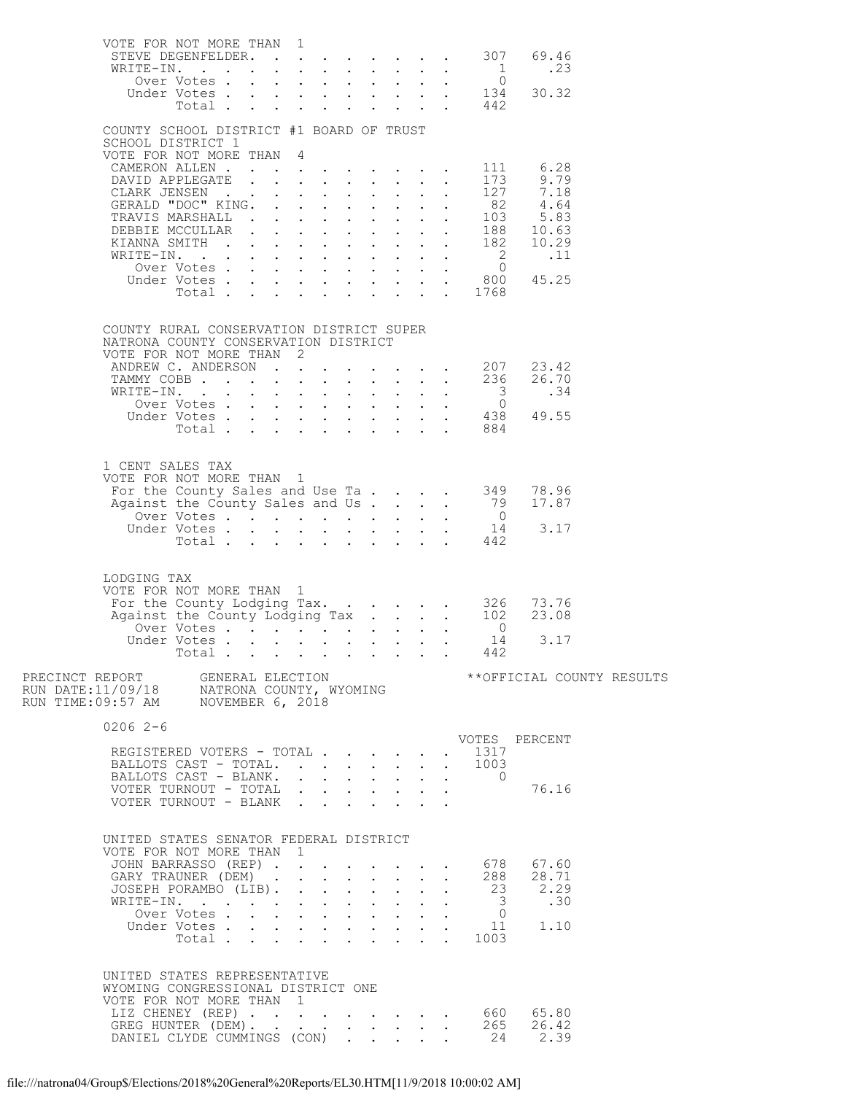|                                                                                                                                                                                                                           | VOTE FOR NOT MORE THAN 1<br>STEVE DEGENFELDER. 307 69.46                                                                       |  |  |  |                      |                      |               |  |
|---------------------------------------------------------------------------------------------------------------------------------------------------------------------------------------------------------------------------|--------------------------------------------------------------------------------------------------------------------------------|--|--|--|----------------------|----------------------|---------------|--|
|                                                                                                                                                                                                                           |                                                                                                                                |  |  |  |                      |                      |               |  |
|                                                                                                                                                                                                                           | COUNTY SCHOOL DISTRICT #1 BOARD OF TRUST<br>SCHOOL DISTRICT 1<br>VOTE FOR NOT MORE THAN 4                                      |  |  |  |                      |                      |               |  |
|                                                                                                                                                                                                                           |                                                                                                                                |  |  |  |                      | 111                  | 6.28          |  |
|                                                                                                                                                                                                                           |                                                                                                                                |  |  |  |                      | 173                  | 9.79          |  |
|                                                                                                                                                                                                                           |                                                                                                                                |  |  |  |                      |                      |               |  |
|                                                                                                                                                                                                                           |                                                                                                                                |  |  |  |                      |                      |               |  |
|                                                                                                                                                                                                                           |                                                                                                                                |  |  |  |                      |                      |               |  |
|                                                                                                                                                                                                                           |                                                                                                                                |  |  |  |                      |                      |               |  |
|                                                                                                                                                                                                                           | Total                                                                                                                          |  |  |  |                      | $\cdot$ $\cdot$ 1768 |               |  |
|                                                                                                                                                                                                                           |                                                                                                                                |  |  |  |                      |                      |               |  |
|                                                                                                                                                                                                                           | COUNTY RURAL CONSERVATION DISTRICT SUPER<br>NATRONA COUNTY CONSERVATION DISTRICT                                               |  |  |  |                      |                      |               |  |
|                                                                                                                                                                                                                           | VOTE FOR NOT MORE THAN 2                                                                                                       |  |  |  |                      |                      | 23.42         |  |
|                                                                                                                                                                                                                           | ANDREW C. ANDERSON 207<br>TAMMY COBB 236                                                                                       |  |  |  |                      |                      | 26.70         |  |
|                                                                                                                                                                                                                           |                                                                                                                                |  |  |  |                      |                      |               |  |
|                                                                                                                                                                                                                           | WRITE-IN. 3<br>Over Votes 0<br>Under Votes 438 49.55<br>Total 884                                                              |  |  |  |                      |                      |               |  |
|                                                                                                                                                                                                                           |                                                                                                                                |  |  |  |                      |                      |               |  |
|                                                                                                                                                                                                                           | 1 CENT SALES TAX                                                                                                               |  |  |  |                      |                      |               |  |
|                                                                                                                                                                                                                           | VOTE FOR NOT MORE THAN 1                                                                                                       |  |  |  |                      |                      |               |  |
|                                                                                                                                                                                                                           | VOTE FOR NOT MORE IRAN 1<br>For the County Sales and Use Ta 349 78.96<br>Against the County Sales and Us 79 17.87              |  |  |  |                      |                      |               |  |
|                                                                                                                                                                                                                           | Voltar Votes 0<br>Under Votes 14<br>Total 442                                                                                  |  |  |  |                      |                      | 3.17          |  |
|                                                                                                                                                                                                                           |                                                                                                                                |  |  |  |                      |                      |               |  |
| LODGING TAX                                                                                                                                                                                                               |                                                                                                                                |  |  |  |                      |                      |               |  |
|                                                                                                                                                                                                                           | VOTE FOR NOT MORE THAN 1                                                                                                       |  |  |  |                      |                      |               |  |
|                                                                                                                                                                                                                           |                                                                                                                                |  |  |  |                      |                      |               |  |
|                                                                                                                                                                                                                           |                                                                                                                                |  |  |  |                      |                      |               |  |
|                                                                                                                                                                                                                           | Total                                                                                                                          |  |  |  |                      | 442                  |               |  |
| PRECINCT REPORT     GENERAL ELECTION                       **OFFICIAL COUNTY RESULTS<br>RUN DATE:11/09/18     NATRONA COUNTY, WYOMING                 **OFFICIAL COUNTY RESULTS<br>RUN TIME:09:57 AM     NOVEMBER 6, 2018 |                                                                                                                                |  |  |  |                      |                      |               |  |
| $02062-6$                                                                                                                                                                                                                 |                                                                                                                                |  |  |  |                      |                      |               |  |
|                                                                                                                                                                                                                           | REGISTERED VOTERS - TOTAL                                                                                                      |  |  |  |                      | . 1317               | VOTES PERCENT |  |
|                                                                                                                                                                                                                           | BALLOTS CAST - TOTAL.                                                                                                          |  |  |  | $\ddot{\phantom{0}}$ | . 1003               |               |  |
|                                                                                                                                                                                                                           | BALLOTS CAST - BLANK.                                                                                                          |  |  |  |                      | $\overline{0}$       | 76.16         |  |
|                                                                                                                                                                                                                           | VOTER TURNOUT - TOTAL $\cdot \cdot \cdot \cdot \cdot \cdot \cdot$                                                              |  |  |  |                      |                      |               |  |
|                                                                                                                                                                                                                           | UNITED STATES SENATOR FEDERAL DISTRICT                                                                                         |  |  |  |                      |                      |               |  |
|                                                                                                                                                                                                                           | VOTE FOR NOT MORE THAN 1                                                                                                       |  |  |  |                      |                      |               |  |
|                                                                                                                                                                                                                           |                                                                                                                                |  |  |  |                      |                      |               |  |
|                                                                                                                                                                                                                           |                                                                                                                                |  |  |  |                      |                      |               |  |
|                                                                                                                                                                                                                           |                                                                                                                                |  |  |  |                      |                      |               |  |
|                                                                                                                                                                                                                           | JOHN BARRASSO (REP) 678 67.60<br>GARY TRAUNER (DEM) 288 28.71<br>JOSEPH PORAMBO (LIB) 23 2.29<br>WRITE-IN. 3 .30<br>Over Votes |  |  |  |                      |                      |               |  |
|                                                                                                                                                                                                                           |                                                                                                                                |  |  |  |                      |                      |               |  |
|                                                                                                                                                                                                                           | UNITED STATES REPRESENTATIVE<br>WYOMING CONGRESSIONAL DISTRICT ONE<br>VOTE FOR NOT MORE THAN 1                                 |  |  |  |                      |                      |               |  |
|                                                                                                                                                                                                                           |                                                                                                                                |  |  |  |                      |                      |               |  |
|                                                                                                                                                                                                                           | LIZ CHENEY (REP) 660 65.80<br>GREG HUNTER (DEM) 265 26.42<br>DANIEL CLYDE CUMMINGS (CON) 24 2.39                               |  |  |  |                      |                      |               |  |
|                                                                                                                                                                                                                           |                                                                                                                                |  |  |  |                      |                      |               |  |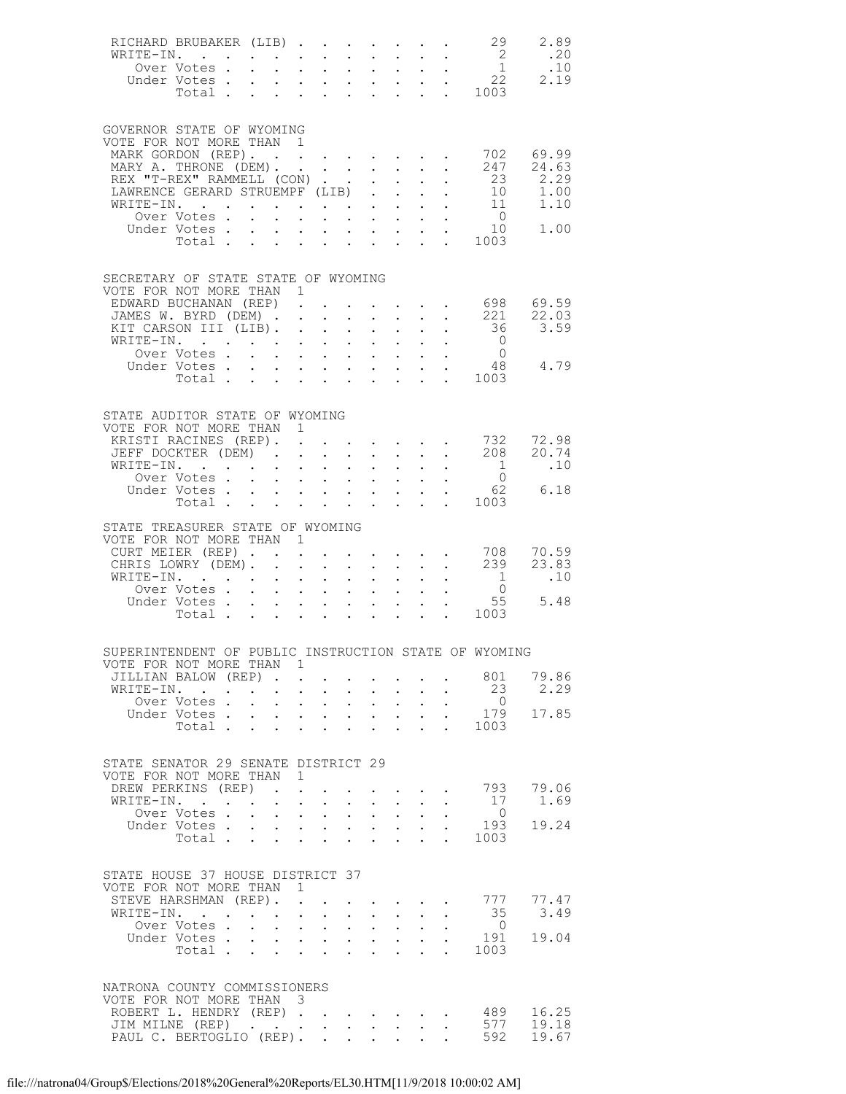| RICHARD BRUBAKER (LIB) 29<br>WRITE-IN.<br>Under Votes                                                                                                                                                      |                                                                                            |                                                                                                                                                                                                                                                                                                                        |                               |                                                        |                                                                                                                                                                                    |                                                                         |                                                                                                                        |                                                                                                 | 2.89<br>.20<br>.10<br>2.19                                                                                                                                       |
|------------------------------------------------------------------------------------------------------------------------------------------------------------------------------------------------------------|--------------------------------------------------------------------------------------------|------------------------------------------------------------------------------------------------------------------------------------------------------------------------------------------------------------------------------------------------------------------------------------------------------------------------|-------------------------------|--------------------------------------------------------|------------------------------------------------------------------------------------------------------------------------------------------------------------------------------------|-------------------------------------------------------------------------|------------------------------------------------------------------------------------------------------------------------|-------------------------------------------------------------------------------------------------|------------------------------------------------------------------------------------------------------------------------------------------------------------------|
| GOVERNOR STATE OF WYOMING<br>VOTE FOR NOT MORE THAN 1<br>MARK GORDON (REP). 702 69.99<br>MARY A. THRONE (DEM).<br>REX "T-REX" RAMMELL (CON)<br>LAWRENCE GERARD STRUEMPF (LIB).<br>WRITE-IN.<br>Under Votes |                                                                                            |                                                                                                                                                                                                                                                                                                                        |                               |                                                        | $\mathbf{L} = \mathbf{L} \times \mathbf{L}$<br>$\mathbf{L}$<br>$\mathbf{A}^{\text{max}}$ , $\mathbf{A}^{\text{max}}$                                                               | $\sim$ $\sim$<br>$\mathcal{L}^{\text{max}}$<br>$\sim 10^{-11}$          |                                                                                                                        | 23                                                                                              | . 247 24.63<br>2.29<br>$\begin{array}{cccc} . & & 25 & & 1.50 \\ . & & 10 & & 1.00 \\ . & & 11 & & 1.10 \\ . & & 0 & & 1.00 \\ . & & 10 & & 1.00 \\ \end{array}$ |
| SECRETARY OF STATE STATE OF WYOMING<br>VOTE FOR NOT MORE THAN 1<br>EDWARD BUCHANAN (REP).<br>JAMES W. BYRD (DEM) 221 22.03<br>KIT CARSON III (LIB).<br>WRITE-IN.                                           |                                                                                            |                                                                                                                                                                                                                                                                                                                        |                               |                                                        |                                                                                                                                                                                    |                                                                         |                                                                                                                        |                                                                                                 | $\cdot$ 698 69.59                                                                                                                                                |
| STATE AUDITOR STATE OF WYOMING<br>VOTE FOR NOT MORE THAN 1<br>XRISTI RACINES (REP). 732 72.98<br>JEFF DOCKTER (DEM) 208 20.74<br>WRITE-IN.<br>Over Votes<br>Under Votes<br>Total                           |                                                                                            | $\mathbf{r} = \mathbf{r} + \mathbf{r} + \mathbf{r} + \mathbf{r}$<br>$\mathbf{r} = \mathbf{r} \times \mathbf{r}$                                                                                                                                                                                                        |                               |                                                        | $\mathcal{L}^{(1)}$<br>$\mathbf{L}$<br>$\mathbf{L}^{\text{max}}$ and $\mathbf{L}^{\text{max}}$                                                                                     |                                                                         | $\mathbf{1}^{\prime}$ and $\mathbf{1}^{\prime}$<br>$\mathbf{1}=\mathbf{1}=\mathbf{1}=\mathbf{1}=\mathbf{1}=\mathbf{1}$ | $\frac{1}{2}$<br>$\overline{0}$<br>$\begin{array}{cc}\n\cdot & 62 \\ \cdot & 1003\n\end{array}$ | .10<br>6.18                                                                                                                                                      |
| STATE TREASURER STATE OF WYOMING<br>VOTE FOR NOT MORE THAN 1<br>CURT MEIER (REP).<br>CHRIS LOWRY (DEM).<br>WRITE-IN.<br>Over Votes<br>Under Votes<br>Total 1003                                            | $\mathcal{L}^{\text{max}}$                                                                 | $\mathcal{L}^{\text{max}}$<br>$\mathbf{r} = \mathbf{r} + \mathbf{r}$ , $\mathbf{r} = \mathbf{r}$<br>$\mathcal{L}^{\text{max}}$ , where $\mathcal{L}^{\text{max}}$<br>$\mathbf{r} = \mathbf{r} \times \mathbf{r}$ , where $\mathbf{r} = \mathbf{r} \times \mathbf{r}$                                                   |                               | $\sim 10^{-11}$                                        | $\mathbf{L}^{\text{max}}$                                                                                                                                                          | $\mathbb{Z}^{n+1}$                                                      | $\frac{1}{2}$ , $\frac{1}{2}$ , $\frac{1}{2}$ , $\frac{1}{2}$ , $\frac{1}{2}$                                          | $\begin{matrix}1\\0\end{matrix}$<br>55                                                          | .10<br>5.48                                                                                                                                                      |
| SUPERINTENDENT OF PUBLIC INSTRUCTION STATE OF WYOMING<br>VOTE FOR NOT MORE THAN 1<br>JILLIAN BALOW (REP).<br>WRITE-IN.<br>Over Votes .<br>Under Votes<br>Total                                             | $\mathbf{r} = \mathbf{r} + \mathbf{r} + \mathbf{r} + \mathbf{r}$<br>$\mathbf{L}$<br>$\sim$ | $\mathbf{L}$<br>$\mathcal{A}^{\mathcal{A}}$ and $\mathcal{A}^{\mathcal{A}}$ and $\mathcal{A}^{\mathcal{A}}$<br>$\mathbf{r} = \mathbf{r} \times \mathbf{r}$ , where $\mathbf{r} = \mathbf{r} \times \mathbf{r}$<br>$\mathbf{L}$                                                                                         | $\mathbf{L}$ and $\mathbf{L}$ | $\ddot{\phantom{0}}$<br>$\mathbf{L}^{\text{max}}$      | $\mathbf{z} = \mathbf{z} + \mathbf{z}$ .<br>$\mathbf{L} = \mathbf{L}$<br>$\ddot{\phantom{0}}$                                                                                      | $\bullet$ .<br>$\mathcal{L}^{\text{max}}$                               | $\mathbf{r} = \mathbf{r} + \mathbf{r} + \mathbf{r}$                                                                    | 23<br>$\overline{0}$<br>179<br>. 1003                                                           | 801 79.86<br>2.29<br>17.85                                                                                                                                       |
| STATE SENATOR 29 SENATE DISTRICT 29<br>VOTE FOR NOT MORE THAN 1<br>DREW PERKINS (REP).<br>WRITE-IN.<br>Over Votes<br>Under Votes<br>Votes<br>Total                                                         | $\mathbf{L}^{\text{max}}$                                                                  | $\sim 10^{-11}$<br>$\mathbf{L}^{\text{max}}$ , and $\mathbf{L}^{\text{max}}$                                                                                                                                                                                                                                           | $\sim$                        | $\ddot{\phantom{0}}$<br>$\ddot{\phantom{0}}$           | $\mathbf{L}^{\text{max}}$ , and $\mathbf{L}^{\text{max}}$<br>$\mathcal{L}^{\text{max}}$ , $\mathcal{L}^{\text{max}}$<br>$\Delta \phi = \Delta \phi$ .<br>$\mathbf{L} = \mathbf{L}$ | $\mathcal{L}^{\text{max}}$<br>$\mathbf{L}$<br>$\mathbf{L}^{\text{max}}$ | $\ddot{\phantom{0}}$                                                                                                   | 17<br>$\overline{0}$<br>193<br>. 1003                                                           | $\cdot$ $\cdot$ $\cdot$ $\cdot$ 793 79.06<br>1.69<br>19.24                                                                                                       |
| STATE HOUSE 37 HOUSE DISTRICT 37<br>VOTE FOR NOT MORE THAN<br>STEVE HARSHMAN (REP).<br>WRITE-IN.<br>Over Votes .<br>Under Votes<br>Total                                                                   | $\sim$<br>$\mathbf{L}^{\text{max}}$<br>$\sim$                                              | $\mathbf{1}$<br>$\mathcal{L}^{\text{max}}$<br>$\sim 10^{-11}$<br><b>Carl Carl Co</b><br>$\mathbf{1}^{\prime}$ , $\mathbf{1}^{\prime}$ , $\mathbf{1}^{\prime}$ , $\mathbf{1}^{\prime}$ , $\mathbf{1}^{\prime}$ , $\mathbf{1}^{\prime}$ , $\mathbf{1}^{\prime}$ , $\mathbf{1}^{\prime}$<br>$\mathbf{L}$ and $\mathbf{L}$ | $\sim$ $-$                    | $\ddot{\phantom{0}}$<br>$\sim$<br>$\ddot{\phantom{0}}$ | $\mathbf{L} = \mathbf{L}$<br>$\mathbf{A}^{(1)}$ and $\mathbf{A}^{(2)}$ and                                                                                                         | $\ddot{\phantom{0}}$                                                    |                                                                                                                        | 35<br>$\overline{0}$<br>. 191<br>1003                                                           | 777 77.47<br>3.49<br>19.04                                                                                                                                       |
| NATRONA COUNTY COMMISSIONERS<br>VOTE FOR NOT MORE THAN 3<br>ROBERT L. HENDRY (REP) 489<br>JIM MILNE (REP)<br>PAUL C. BERTOGLIO (REP). .                                                                    |                                                                                            | $\mathcal{A}^{\mathcal{A}}$ , and $\mathcal{A}^{\mathcal{A}}$ , and $\mathcal{A}^{\mathcal{A}}$ , and $\mathcal{A}^{\mathcal{A}}$                                                                                                                                                                                      |                               | $\mathbf{L} = \mathbf{L} \times \mathbf{L}$            |                                                                                                                                                                                    | $\mathbf{L}$                                                            |                                                                                                                        | 577<br>592                                                                                      | 16.25<br>19.18<br>19.67                                                                                                                                          |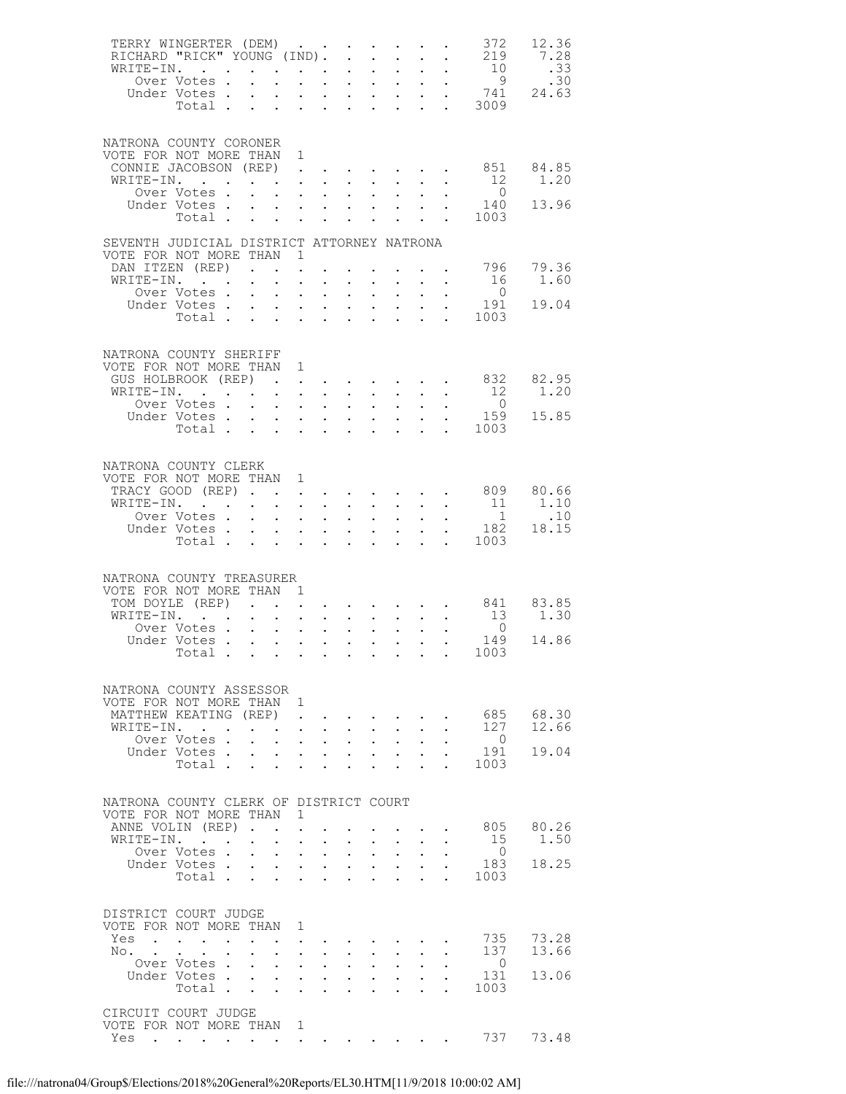| TERRY WINGERTER (DEM)<br>RICHARD "RICK" YOUNG (IND).<br>WRITE-IN.               | Over Votes .                                                                                                                                                                                                                   |                      | . As we can assume that the contribution $\mathcal{L}_\mathcal{A}$<br>$\mathcal{L}^{\text{max}}$ | $\mathcal{L}^{\text{max}}$ | $\mathbf{L}^{\text{max}}$ , $\mathbf{L}^{\text{max}}$                                                                 |                                                    | $\ddot{\phantom{a}}$<br>$\mathcal{L}^{\text{max}}$ | $\sim$ $-$<br>$\sim 10^{-11}$                      | $\mathbf{L}^{\text{max}}$<br>$\sim 100$                                                                                                                                                                                                        | $\mathcal{L}^{\text{max}}$ | $\sim$ $-$<br>$\mathbf{u}^{\prime}=\mathbf{u}^{\prime}$ , where $\mathbf{u}^{\prime}$<br>$\sim 10$ | 372<br>219<br>$\begin{array}{c} 10 \\ 9 \end{array}$                                | 12.36<br>7.28<br>.33<br>.30 |
|---------------------------------------------------------------------------------|--------------------------------------------------------------------------------------------------------------------------------------------------------------------------------------------------------------------------------|----------------------|--------------------------------------------------------------------------------------------------|----------------------------|-----------------------------------------------------------------------------------------------------------------------|----------------------------------------------------|----------------------------------------------------|----------------------------------------------------|------------------------------------------------------------------------------------------------------------------------------------------------------------------------------------------------------------------------------------------------|----------------------------|----------------------------------------------------------------------------------------------------|-------------------------------------------------------------------------------------|-----------------------------|
|                                                                                 |                                                                                                                                                                                                                                |                      |                                                                                                  |                            |                                                                                                                       |                                                    |                                                    |                                                    |                                                                                                                                                                                                                                                |                            |                                                                                                    | Under Votes 741<br>Total 3009                                                       | 24.63                       |
| NATRONA COUNTY CORONER<br>VOTE FOR NOT MORE THAN 1<br>CONNIE JACOBSON (REP) 851 |                                                                                                                                                                                                                                |                      |                                                                                                  |                            |                                                                                                                       |                                                    |                                                    |                                                    |                                                                                                                                                                                                                                                |                            |                                                                                                    |                                                                                     | 84.85                       |
| WRITE-IN.                                                                       |                                                                                                                                                                                                                                |                      |                                                                                                  |                            |                                                                                                                       |                                                    | $\ddot{\phantom{0}}$                               | $\sim 100$                                         | $\sim$ $-$                                                                                                                                                                                                                                     | $\ddot{\phantom{0}}$       | $\sim$                                                                                             | 12                                                                                  | 1.20                        |
|                                                                                 | Over Votes<br>Under Votes                                                                                                                                                                                                      |                      |                                                                                                  |                            |                                                                                                                       |                                                    | $\mathcal{L}^{\text{max}}$                         |                                                    | $\mathbf{r} = \mathbf{r} \times \mathbf{r}$ , where $\mathbf{r} = \mathbf{r}$<br>$\mathcal{L}(\mathcal{L}^{\mathcal{L}}(\mathcal{L}^{\mathcal{L}}(\mathcal{L}^{\mathcal{L}}(\mathcal{L}^{\mathcal{L}})))$                                      | $\mathcal{L}^{\text{max}}$ | $\ddot{\phantom{0}}$                                                                               | $\overline{0}$<br>140                                                               | 13.96                       |
|                                                                                 | Total                                                                                                                                                                                                                          |                      |                                                                                                  |                            | $\mathbf{1}^{\prime}$ , $\mathbf{1}^{\prime}$ , $\mathbf{1}^{\prime}$ , $\mathbf{1}^{\prime}$ , $\mathbf{1}^{\prime}$ |                                                    |                                                    |                                                    |                                                                                                                                                                                                                                                |                            |                                                                                                    | 1003                                                                                |                             |
| SEVENTH JUDICIAL DISTRICT ATTORNEY NATRONA                                      |                                                                                                                                                                                                                                |                      |                                                                                                  |                            |                                                                                                                       |                                                    |                                                    |                                                    |                                                                                                                                                                                                                                                |                            |                                                                                                    |                                                                                     |                             |
| VOTE FOR NOT MORE THAN 1<br>DAN ITZEN (REP)                                     |                                                                                                                                                                                                                                |                      |                                                                                                  |                            |                                                                                                                       |                                                    |                                                    |                                                    |                                                                                                                                                                                                                                                |                            |                                                                                                    |                                                                                     | 79.36                       |
| WRITE-IN.                                                                       |                                                                                                                                                                                                                                |                      | $\sim$ $-$                                                                                       | $\sim$ 100 $\pm$           | $\ddot{\phantom{0}}$                                                                                                  | $\sim 10^{-10}$                                    | $\sim$                                             | $\sim 100$                                         | $\sim 100$                                                                                                                                                                                                                                     |                            | $\sim$                                                                                             | 16                                                                                  | 1.60                        |
|                                                                                 | Over Votes<br>Under Votes                                                                                                                                                                                                      |                      |                                                                                                  |                            |                                                                                                                       |                                                    |                                                    |                                                    | $\mathbf{1}^{\prime}$ , $\mathbf{1}^{\prime}$ , $\mathbf{1}^{\prime}$ , $\mathbf{1}^{\prime}$ , $\mathbf{1}^{\prime}$<br>$\mathbf{1}^{\prime}$ , $\mathbf{1}^{\prime}$ , $\mathbf{1}^{\prime}$ , $\mathbf{1}^{\prime}$ , $\mathbf{1}^{\prime}$ |                            | $\mathbf{L} = \mathbf{L}$<br>$\ddot{\phantom{0}}$                                                  | $\overline{0}$<br>191                                                               | 19.04                       |
|                                                                                 | Total                                                                                                                                                                                                                          |                      |                                                                                                  |                            | $\mathbf{z} = \mathbf{z} + \mathbf{z} + \mathbf{z}$                                                                   |                                                    |                                                    |                                                    |                                                                                                                                                                                                                                                | $\mathbf{L}^{\text{max}}$  |                                                                                                    | 1003                                                                                |                             |
| NATRONA COUNTY SHERIFF<br>VOTE FOR NOT MORE THAN 1                              |                                                                                                                                                                                                                                |                      |                                                                                                  |                            |                                                                                                                       |                                                    |                                                    |                                                    |                                                                                                                                                                                                                                                |                            |                                                                                                    |                                                                                     |                             |
| GUS HOLBROOK (REP).                                                             |                                                                                                                                                                                                                                |                      |                                                                                                  |                            | $\ddot{\phantom{a}}$                                                                                                  |                                                    |                                                    |                                                    |                                                                                                                                                                                                                                                |                            |                                                                                                    | $\cdot$ $\cdot$ $\cdot$ $\cdot$ $\cdot$ 832                                         | 82.95                       |
| WRITE-IN.                                                                       | Over Votes                                                                                                                                                                                                                     |                      | and the contract of the state of the                                                             |                            |                                                                                                                       |                                                    |                                                    |                                                    |                                                                                                                                                                                                                                                |                            | $\mathbf{r}$ , $\mathbf{r}$ , $\mathbf{r}$ , $\mathbf{r}$ , $\mathbf{r}$                           | 12<br>$\overline{0}$                                                                | 1.20                        |
|                                                                                 | Under Votes                                                                                                                                                                                                                    |                      |                                                                                                  | $\sim$ 100 $\pm$           | $\sim$                                                                                                                | $\sim$                                             | $\ddot{\phantom{0}}$                               | $\mathbf{A}^{\text{max}}$                          | $\mathbf{L}^{\text{max}}$                                                                                                                                                                                                                      |                            | $\bullet$ .                                                                                        | $\begin{array}{cccc}\n\cdot & \cdot & & 159 \\ \cdot & \cdot & & 1003\n\end{array}$ | 15.85                       |
|                                                                                 | Total                                                                                                                                                                                                                          |                      |                                                                                                  |                            | $\mathcal{L}^{\text{max}}$ , and $\mathcal{L}^{\text{max}}$                                                           |                                                    | $\mathbf{L}$                                       | $\mathcal{L}^{\text{max}}$                         |                                                                                                                                                                                                                                                |                            |                                                                                                    |                                                                                     |                             |
| NATRONA COUNTY CLERK<br>VOTE FOR NOT MORE THAN 1                                |                                                                                                                                                                                                                                |                      |                                                                                                  |                            |                                                                                                                       |                                                    |                                                    |                                                    |                                                                                                                                                                                                                                                |                            |                                                                                                    |                                                                                     |                             |
| TRACY GOOD (REP) 809                                                            |                                                                                                                                                                                                                                |                      |                                                                                                  |                            |                                                                                                                       |                                                    |                                                    |                                                    |                                                                                                                                                                                                                                                |                            |                                                                                                    |                                                                                     | 80.66                       |
| WRITE-IN.                                                                       | Over Votes                                                                                                                                                                                                                     |                      |                                                                                                  | $\sim$ 100 $\pm$           | $\mathbf{L}^{\text{max}}$ , and $\mathbf{L}^{\text{max}}$                                                             |                                                    | $\mathcal{L}^{\text{max}}$                         | $\sim 10^{-11}$                                    | $\sim$ $-$                                                                                                                                                                                                                                     | $\ddot{\phantom{0}}$       | $\sim$ $-$                                                                                         | 11                                                                                  | 1.10<br>.10                 |
|                                                                                 | Under Votes                                                                                                                                                                                                                    |                      |                                                                                                  |                            | $\mathbf{r} = \mathbf{r} + \mathbf{r}$ , where                                                                        |                                                    |                                                    |                                                    | $\mathbf{1}^{\prime}$ , $\mathbf{1}^{\prime}$ , $\mathbf{1}^{\prime}$ , $\mathbf{1}^{\prime}$ , $\mathbf{1}^{\prime}$                                                                                                                          |                            |                                                                                                    | $\begin{array}{cc} . & 1 \\ . & 182 \end{array}$                                    | 18.15                       |
|                                                                                 |                                                                                                                                                                                                                                |                      |                                                                                                  |                            |                                                                                                                       |                                                    |                                                    |                                                    |                                                                                                                                                                                                                                                |                            |                                                                                                    | Total 1003                                                                          |                             |
|                                                                                 |                                                                                                                                                                                                                                |                      |                                                                                                  |                            |                                                                                                                       |                                                    |                                                    |                                                    |                                                                                                                                                                                                                                                |                            |                                                                                                    |                                                                                     |                             |
| NATRONA COUNTY TREASURER<br>VOTE FOR NOT MORE THAN 1                            |                                                                                                                                                                                                                                |                      |                                                                                                  |                            |                                                                                                                       |                                                    |                                                    |                                                    |                                                                                                                                                                                                                                                |                            |                                                                                                    |                                                                                     |                             |
| TOM DOYLE (REP)                                                                 |                                                                                                                                                                                                                                |                      |                                                                                                  |                            | $\mathbf{L}^{\text{max}}$ , and $\mathbf{L}^{\text{max}}$                                                             |                                                    |                                                    |                                                    |                                                                                                                                                                                                                                                |                            |                                                                                                    | $\cdot$ $\cdot$ $\cdot$ $\cdot$ $\cdot$ 841                                         | 83.85                       |
| WRITE-IN.                                                                       |                                                                                                                                                                                                                                |                      |                                                                                                  |                            |                                                                                                                       |                                                    |                                                    |                                                    |                                                                                                                                                                                                                                                |                            | $\mathbf{r}$ and $\mathbf{r}$ and $\mathbf{r}$ and $\mathbf{r}$                                    | 13                                                                                  | 1.30                        |
|                                                                                 | Over Votes<br>Under Votes                                                                                                                                                                                                      |                      |                                                                                                  |                            | $\mathbf{L}^{\text{max}}$ , and $\mathbf{L}^{\text{max}}$                                                             | $\sim$ $-$                                         | $\ddot{\phantom{0}}$                               | $\mathbf{A}^{(1)}$ and                             | $\mathcal{L}^{(1)}$                                                                                                                                                                                                                            |                            | $\mathcal{L}^{\text{max}}$<br>$\mathbf{L}^{\text{max}}$ , $\mathbf{L}^{\text{max}}$                | $\overline{0}$<br>149                                                               | 14.86                       |
|                                                                                 | Total                                                                                                                                                                                                                          |                      |                                                                                                  |                            |                                                                                                                       |                                                    |                                                    |                                                    |                                                                                                                                                                                                                                                |                            |                                                                                                    | 1003                                                                                |                             |
| NATRONA COUNTY ASSESSOR<br>VOTE FOR NOT MORE THAN                               |                                                                                                                                                                                                                                |                      |                                                                                                  |                            | 1                                                                                                                     |                                                    |                                                    |                                                    |                                                                                                                                                                                                                                                |                            |                                                                                                    |                                                                                     |                             |
| MATTHEW KEATING (REP)<br>WRITE-IN. .                                            |                                                                                                                                                                                                                                |                      |                                                                                                  |                            |                                                                                                                       |                                                    |                                                    |                                                    |                                                                                                                                                                                                                                                |                            |                                                                                                    | 685<br>127                                                                          | 68.30<br>12.66              |
|                                                                                 | Over Votes.                                                                                                                                                                                                                    |                      |                                                                                                  |                            | $\mathbf{L}^{\text{max}}$ , and $\mathbf{L}^{\text{max}}$                                                             |                                                    |                                                    |                                                    | $\mathbf{r} = \mathbf{r} \times \mathbf{r}$ , where                                                                                                                                                                                            | $\ddot{\phantom{0}}$       |                                                                                                    | - 0                                                                                 |                             |
|                                                                                 | Under Votes.<br>Total                                                                                                                                                                                                          |                      |                                                                                                  | $\mathbf{L}$               | $\mathbf{L}^{\text{max}}$<br>$\ddot{\phantom{a}}$                                                                     | $\mathcal{L}^{\text{max}}$<br>$\ddot{\phantom{a}}$ | $\ddot{\phantom{0}}$                               | $\mathcal{L}^{\text{max}}$<br>$\ddot{\phantom{0}}$ | $\mathbf{L}^{\text{max}}$<br>$\ddot{\phantom{a}}$                                                                                                                                                                                              | $\ddot{\phantom{a}}$       |                                                                                                    | 191<br>1003                                                                         | 19.04                       |
| NATRONA COUNTY CLERK OF DISTRICT COURT                                          |                                                                                                                                                                                                                                |                      |                                                                                                  |                            |                                                                                                                       |                                                    |                                                    |                                                    |                                                                                                                                                                                                                                                |                            |                                                                                                    |                                                                                     |                             |
| VOTE FOR NOT MORE THAN                                                          |                                                                                                                                                                                                                                |                      |                                                                                                  |                            | 1                                                                                                                     |                                                    |                                                    |                                                    |                                                                                                                                                                                                                                                |                            |                                                                                                    |                                                                                     |                             |
| ANNE VOLIN (REP)<br>WRITE-IN.                                                   | $\sim 100$ km s $^{-1}$                                                                                                                                                                                                        | $\ddot{\phantom{0}}$ | $\bullet$ .                                                                                      | $\mathbf{A}^{\text{max}}$  | $\ddot{\phantom{a}}$                                                                                                  | $\mathbf{L}^{\text{max}}$                          |                                                    | $\sim 10^{-10}$                                    | $\mathbf{L}^{\text{max}}$                                                                                                                                                                                                                      | $\ddotsc$                  | $\ddot{\phantom{a}}$                                                                               | 805<br>15                                                                           | 80.26<br>1.50               |
|                                                                                 | Over Votes.                                                                                                                                                                                                                    |                      | $\ddot{\phantom{0}}$                                                                             |                            | $\ddot{\phantom{0}}$                                                                                                  | $\ddot{\phantom{0}}$                               |                                                    | $\mathbf{L}^{\text{max}}$                          |                                                                                                                                                                                                                                                |                            |                                                                                                    | $\overline{0}$                                                                      |                             |
|                                                                                 | Under Votes<br>Total .                                                                                                                                                                                                         |                      |                                                                                                  | $\Delta \sim 10^4$         | $\mathcal{L}^{\text{max}}$                                                                                            | $\mathbf{L}^{\text{max}}$                          | $\mathbf{L}^{\text{max}}$                          | $\sim$ $-$                                         | $\sim$ $-$                                                                                                                                                                                                                                     | $\ddot{\phantom{0}}$       |                                                                                                    | 183<br>1003                                                                         | 18.25                       |
|                                                                                 |                                                                                                                                                                                                                                |                      |                                                                                                  |                            |                                                                                                                       |                                                    |                                                    |                                                    |                                                                                                                                                                                                                                                |                            |                                                                                                    |                                                                                     |                             |
| DISTRICT COURT JUDGE<br>VOTE FOR NOT MORE THAN                                  |                                                                                                                                                                                                                                |                      |                                                                                                  |                            | 1                                                                                                                     |                                                    |                                                    |                                                    |                                                                                                                                                                                                                                                |                            |                                                                                                    |                                                                                     |                             |
| Yes<br>No.                                                                      | $\mathbf{L} = \mathbf{L} \mathbf{L} + \mathbf{L} \mathbf{L}$                                                                                                                                                                   |                      | $\bullet$ .                                                                                      |                            | $\ddotsc$                                                                                                             | $\sim$ $-$                                         |                                                    | $\mathbf{L}^{\text{max}}$                          |                                                                                                                                                                                                                                                |                            |                                                                                                    | 735<br>137                                                                          | 73.28<br>13.66              |
|                                                                                 | Over Votes                                                                                                                                                                                                                     |                      |                                                                                                  |                            | $\mathbf{L}^{\text{max}}$ , and $\mathbf{L}^{\text{max}}$                                                             | $\mathcal{L}^{\text{max}}$                         | $\mathcal{L}^{\text{max}}$                         | $\mathcal{L}^{(1)}$                                | $\sim$ $-$                                                                                                                                                                                                                                     |                            |                                                                                                    | $\circ$                                                                             |                             |
|                                                                                 | Under Votes.<br>Total.                                                                                                                                                                                                         |                      | $\ddot{\phantom{0}}$<br>$\mathbf{L}$                                                             | $\mathbf{L}$               | $\mathbf{L}^{\text{max}}$<br>$\mathbf{L}$                                                                             | $\ddot{\phantom{0}}$<br>$\mathcal{L}^{\text{max}}$ | $\ddot{\phantom{0}}$                               | $\mathcal{L}^{\text{max}}$<br>$\ddot{\phantom{a}}$ | $\mathbf{L}$                                                                                                                                                                                                                                   | $\ddot{\phantom{0}}$       |                                                                                                    | 131<br>1003                                                                         | 13.06                       |
| CIRCUIT COURT JUDGE<br>VOTE FOR NOT MORE THAN                                   |                                                                                                                                                                                                                                |                      |                                                                                                  |                            | 1                                                                                                                     |                                                    |                                                    |                                                    |                                                                                                                                                                                                                                                |                            |                                                                                                    |                                                                                     |                             |
| Yes                                                                             | the contract of the contract of the contract of the contract of the contract of the contract of the contract of the contract of the contract of the contract of the contract of the contract of the contract of the contract o |                      |                                                                                                  |                            |                                                                                                                       |                                                    |                                                    |                                                    |                                                                                                                                                                                                                                                |                            |                                                                                                    | 737                                                                                 | 73.48                       |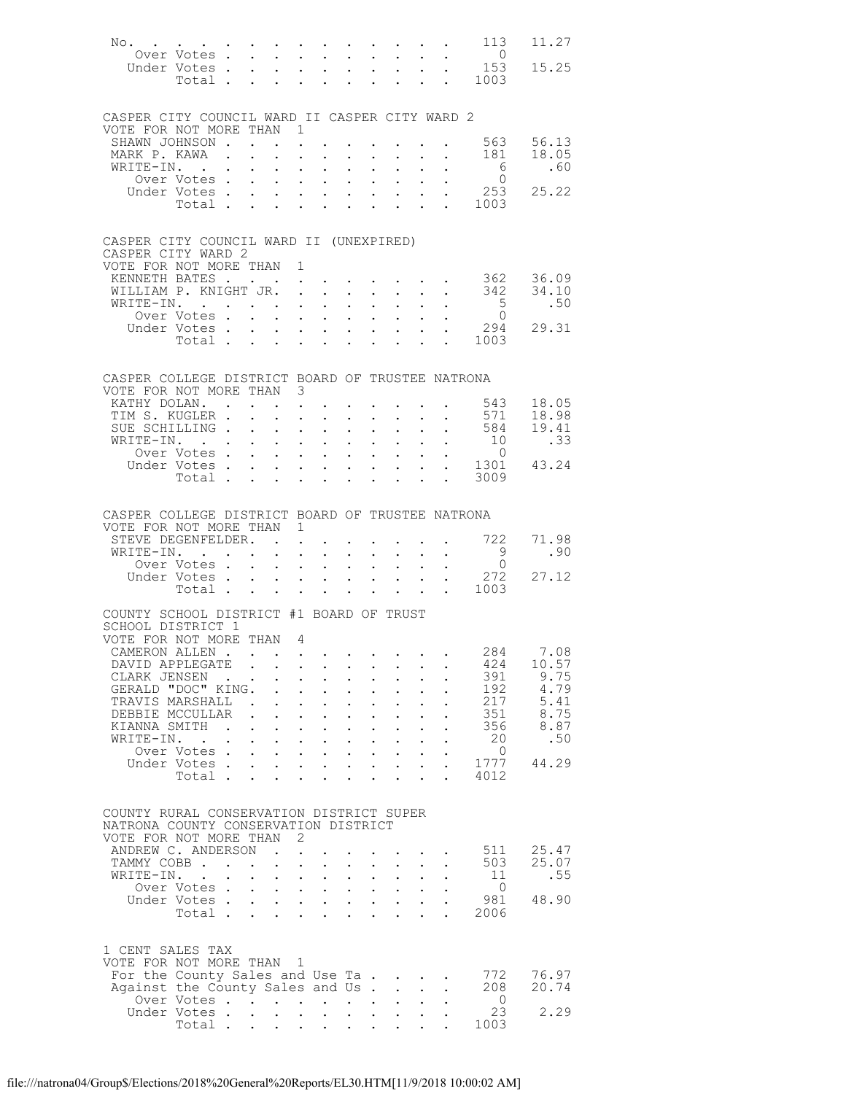| No.                                                                 |                              |                        |                                                             |                                                                  |                                                                                                                                                                                                                                                                |                                                             |                                                             |                                                                                          |                           |                                                                                    | . 113                                    | 11.27                  |
|---------------------------------------------------------------------|------------------------------|------------------------|-------------------------------------------------------------|------------------------------------------------------------------|----------------------------------------------------------------------------------------------------------------------------------------------------------------------------------------------------------------------------------------------------------------|-------------------------------------------------------------|-------------------------------------------------------------|------------------------------------------------------------------------------------------|---------------------------|------------------------------------------------------------------------------------|------------------------------------------|------------------------|
|                                                                     | Over Votes.<br>Under Votes . | $\sim$<br>$\mathbf{L}$ | $\bullet$ .                                                 | $\ddot{\phantom{a}}$                                             | $\mathbf{L}^{\text{max}}$ , and $\mathbf{L}^{\text{max}}$<br>$\sim$ $\sim$                                                                                                                                                                                     | $\sim$                                                      | $\ddot{\phantom{a}}$                                        | $\mathbf{z} = \mathbf{z} + \mathbf{z}$ , where $\mathbf{z} = \mathbf{z}$<br>$\mathbf{L}$ |                           | $\mathbf{L}^{\text{max}}$ , $\mathbf{L}^{\text{max}}$<br>$\mathbf{L} = \mathbf{L}$ | $\overline{0}$<br>153                    | 15.25                  |
|                                                                     | Total .                      |                        |                                                             | $\ddot{\phantom{a}}$                                             |                                                                                                                                                                                                                                                                | $\ddot{\phantom{a}}$                                        |                                                             |                                                                                          |                           | $\sim 100$ km s $^{-1}$                                                            | 1003                                     |                        |
|                                                                     |                              |                        |                                                             |                                                                  |                                                                                                                                                                                                                                                                |                                                             |                                                             |                                                                                          |                           |                                                                                    |                                          |                        |
| CASPER CITY COUNCIL WARD II CASPER CITY WARD 2                      |                              |                        |                                                             |                                                                  |                                                                                                                                                                                                                                                                |                                                             |                                                             |                                                                                          |                           |                                                                                    |                                          |                        |
| VOTE FOR NOT MORE THAN 1                                            |                              |                        |                                                             |                                                                  |                                                                                                                                                                                                                                                                |                                                             |                                                             |                                                                                          |                           |                                                                                    |                                          |                        |
| SHAWN JOHNSON .<br>MARK P. KAWA                                     |                              |                        |                                                             |                                                                  |                                                                                                                                                                                                                                                                |                                                             |                                                             |                                                                                          |                           |                                                                                    | $\cdot$ 563 56.13                        | 18.05                  |
| WRITE-IN.                                                           | $\sim$ $\sim$                |                        | $\mathcal{L}^{\text{max}}$                                  | $\ddot{\phantom{a}}$                                             | $\mathbf{z} = \mathbf{z} + \mathbf{z}$ .<br>$\mathbf{r}$                                                                                                                                                                                                       | $\mathbf{L}$                                                |                                                             | $\mathbf{r} = \mathbf{r} + \mathbf{r}$ , where $\mathbf{r} = \mathbf{r}$                 |                           | $\mathbf{L}^{\text{max}}$ , and $\mathbf{L}^{\text{max}}$                          | 181<br>$6\overline{6}$                   | .60                    |
|                                                                     | Over Votes .                 |                        | $\mathbf{L}^{\text{max}}$                                   | $\mathbf{z} = \mathbf{z}$                                        | $\bullet$ .<br><br><br><br><br><br><br><br><br><br><br><br>                                                                                                                                                                                                    | $\sim 10^{-10}$                                             | $\bullet$ .                                                 | $\mathcal{L}^{\text{max}}$                                                               |                           |                                                                                    | $\overline{0}$                           |                        |
|                                                                     | Under Votes .                |                        | $\mathbf{L}^{\text{max}}$                                   |                                                                  |                                                                                                                                                                                                                                                                |                                                             | $\mathbf{L}$                                                |                                                                                          |                           |                                                                                    | . 253                                    | 25.22                  |
|                                                                     | Total .                      | $\ddot{\phantom{0}}$   | $\bullet$ .                                                 | $\mathbf{L}$                                                     | $\ddot{\phantom{0}}$                                                                                                                                                                                                                                           | $\ddot{\phantom{0}}$                                        | $\ddot{\phantom{a}}$                                        | $\ddot{\phantom{a}}$                                                                     |                           | $\mathbf{L}$                                                                       | 1003                                     |                        |
|                                                                     |                              |                        |                                                             |                                                                  |                                                                                                                                                                                                                                                                |                                                             |                                                             |                                                                                          |                           |                                                                                    |                                          |                        |
| CASPER CITY COUNCIL WARD II (UNEXPIRED)                             |                              |                        |                                                             |                                                                  |                                                                                                                                                                                                                                                                |                                                             |                                                             |                                                                                          |                           |                                                                                    |                                          |                        |
| CASPER CITY WARD 2                                                  |                              |                        |                                                             |                                                                  |                                                                                                                                                                                                                                                                |                                                             |                                                             |                                                                                          |                           |                                                                                    |                                          |                        |
| VOTE FOR NOT MORE THAN 1<br>KENNETH BATES .                         |                              |                        |                                                             |                                                                  | $\mathbf{z} = \mathbf{z} + \mathbf{z} + \mathbf{z} + \mathbf{z} + \mathbf{z} + \mathbf{z} + \mathbf{z} + \mathbf{z}$                                                                                                                                           |                                                             |                                                             |                                                                                          |                           |                                                                                    |                                          |                        |
| WILLIAM P. KNIGHT JR. .                                             |                              |                        |                                                             |                                                                  | $\sim$ $\sim$                                                                                                                                                                                                                                                  | $\mathbf{L}$                                                | $\ddot{\phantom{0}}$                                        | $\sim$                                                                                   | $\mathbf{L}$              | $\ddot{\phantom{0}}$                                                               |                                          | 362 36.09<br>342 34.10 |
| WRITE-IN. .                                                         |                              |                        |                                                             |                                                                  | $\mathbf{r} = \mathbf{r} \cdot \mathbf{r} = \mathbf{r} \cdot \mathbf{r}$ .                                                                                                                                                                                     | $\sim 10^{-11}$                                             | $\bullet$ .                                                 |                                                                                          |                           | $\ddotsc$                                                                          | 5 <sup>5</sup>                           | .50                    |
|                                                                     | Over Votes.                  |                        |                                                             | $\ddot{\phantom{a}}$                                             | $\mathbf{r}$ , $\mathbf{r}$ , $\mathbf{r}$                                                                                                                                                                                                                     |                                                             | $\ddot{\phantom{a}}$                                        |                                                                                          |                           |                                                                                    | $\sim$ 0                                 |                        |
|                                                                     | Under Votes .                |                        | $\bullet$ .                                                 |                                                                  | $\mathbf{z} = \mathbf{z} + \mathbf{z}$ .                                                                                                                                                                                                                       | $\sim 100$                                                  | $\mathbf{L}^{\text{max}}$                                   | $\mathbf{L}^{\text{max}}$                                                                | $\mathbf{L}^{\text{max}}$ | $\mathbf{L}^{\text{max}}$                                                          | 294                                      | 29.31                  |
|                                                                     | Total.                       | $\mathbf{r}$           | $\ddot{\phantom{a}}$                                        |                                                                  | $\mathbf{r} = \mathbf{r} \cdot \mathbf{r}$                                                                                                                                                                                                                     |                                                             |                                                             |                                                                                          |                           |                                                                                    | 1003                                     |                        |
|                                                                     |                              |                        |                                                             |                                                                  |                                                                                                                                                                                                                                                                |                                                             |                                                             |                                                                                          |                           |                                                                                    |                                          |                        |
| CASPER COLLEGE DISTRICT BOARD OF TRUSTEE NATRONA                    |                              |                        |                                                             |                                                                  |                                                                                                                                                                                                                                                                |                                                             |                                                             |                                                                                          |                           |                                                                                    |                                          |                        |
| VOTE FOR NOT MORE THAN 3                                            |                              |                        |                                                             |                                                                  |                                                                                                                                                                                                                                                                |                                                             |                                                             |                                                                                          |                           |                                                                                    |                                          |                        |
| KATHY DOLAN.<br>TIM S. KUGLER .                                     |                              |                        |                                                             | $\mathbf{z} = \mathbf{z} + \mathbf{z}$ .<br>$\ddot{\phantom{a}}$ | $\ddot{\phantom{0}}$                                                                                                                                                                                                                                           | $\ddot{\phantom{0}}$                                        |                                                             | $\sim$                                                                                   |                           | $\ddot{\phantom{0}}$                                                               | 543<br>571                               | 18.05<br>18.98         |
| SUE SCHILLING.                                                      |                              | $\ddot{\phantom{0}}$   | $\bullet$ .                                                 | $\mathbf{A}^{(1)}$ and                                           | $\sim 10^{-11}$                                                                                                                                                                                                                                                | $\bullet$ .                                                 | $\bullet$ .                                                 | $\bullet$ .                                                                              |                           | $\mathbf{z} = \mathbf{z} + \mathbf{z}$ .                                           | 584                                      | 19.41                  |
| WRITE-IN. .                                                         |                              |                        | $\mathbf{L}$                                                | $\ddot{\phantom{a}}$                                             | $\mathbf{r}$ , $\mathbf{r}$ , $\mathbf{r}$                                                                                                                                                                                                                     |                                                             | $\ddot{\phantom{a}}$                                        |                                                                                          | $\mathbf{L}^{\text{max}}$ |                                                                                    | $\frac{301}{10}$                         | .33                    |
|                                                                     | Over Votes .                 |                        | $\bullet$ .<br><br><br><br><br><br><br><br><br><br><br><br> | $\sim$ 100 $\pm$                                                 | $\bullet$ .<br><br><br><br><br><br><br><br><br><br><br><br>                                                                                                                                                                                                    | $\sim 10^{-11}$                                             | $\mathbf{L}^{\text{max}}$                                   | $\mathbf{L}^{\text{max}}$                                                                |                           |                                                                                    | $\overline{0}$                           |                        |
|                                                                     | Under Votes .<br>Total .     |                        | $\mathbf{L}^{\text{max}}$                                   |                                                                  | $\cdot$ $\cdot$ $\cdot$ $\cdot$                                                                                                                                                                                                                                |                                                             | $\ddot{\phantom{a}}$                                        |                                                                                          |                           |                                                                                    | $\frac{1301}{43.24}$<br>3009             |                        |
|                                                                     |                              | $\ddot{\phantom{0}}$   | $\ddot{\phantom{a}}$                                        | $\mathbf{L}$                                                     | $\ddot{\phantom{0}}$                                                                                                                                                                                                                                           | $\sim$                                                      | $\ddot{\phantom{0}}$                                        | $\ddot{\phantom{a}}$                                                                     |                           | <b>Contract Contract Contract</b>                                                  |                                          |                        |
|                                                                     |                              |                        |                                                             |                                                                  |                                                                                                                                                                                                                                                                |                                                             |                                                             |                                                                                          |                           |                                                                                    |                                          |                        |
| CASPER COLLEGE DISTRICT BOARD OF TRUSTEE NATRONA                    |                              |                        |                                                             |                                                                  |                                                                                                                                                                                                                                                                |                                                             |                                                             |                                                                                          |                           |                                                                                    |                                          |                        |
| VOTE FOR NOT MORE THAN 1                                            |                              |                        |                                                             |                                                                  |                                                                                                                                                                                                                                                                |                                                             |                                                             |                                                                                          |                           |                                                                                    |                                          |                        |
| STEVE DEGENFELDER.<br>WRITE-IN. .                                   |                              | $\ddot{\phantom{0}}$   | <b>Contract Contract</b>                                    | $\mathbf{A}^{\text{max}}$                                        | $\mathbf{L}^{\text{max}}$                                                                                                                                                                                                                                      | $\bullet$ .                                                 | $\bullet$ .                                                 |                                                                                          |                           |                                                                                    | $\cdot$ $\cdot$ $\cdot$ $\cdot$ 722<br>9 | 71.98<br>.90           |
|                                                                     | Over Votes.                  |                        | $\sim 100$                                                  | $\ddot{\phantom{a}}$                                             | $\sim$                                                                                                                                                                                                                                                         | $\sim 10^{-11}$                                             |                                                             | $\bullet$ .                                                                              |                           | $\bullet$ , $\bullet$ , $\bullet$ , $\bullet$                                      | $\overline{0}$                           |                        |
|                                                                     | Under Votes .                |                        | $\bullet$ .                                                 | $\sim$                                                           | $\bullet$ .<br><br><br><br><br><br><br><br><br><br><br><br>                                                                                                                                                                                                    | $\sim$                                                      | $\bullet$ .<br><br><br><br><br><br><br><br><br><br><br><br> | $\mathbf{L}^{\text{max}}$                                                                | $\mathcal{L}^{(1)}$       |                                                                                    | 272                                      | 27.12                  |
|                                                                     | Total.                       | $\mathbf{r}$           | $\ddot{\phantom{a}}$                                        | $\ddot{\phantom{a}}$                                             | $\ddot{\phantom{a}}$                                                                                                                                                                                                                                           | $\ddot{\phantom{a}}$                                        |                                                             |                                                                                          |                           | $\mathbf{L}^{\text{max}}$                                                          | 1003                                     |                        |
| COUNTY SCHOOL DISTRICT #1 BOARD OF TRUST                            |                              |                        |                                                             |                                                                  |                                                                                                                                                                                                                                                                |                                                             |                                                             |                                                                                          |                           |                                                                                    |                                          |                        |
| SCHOOL DISTRICT 1                                                   |                              |                        |                                                             |                                                                  |                                                                                                                                                                                                                                                                |                                                             |                                                             |                                                                                          |                           |                                                                                    |                                          |                        |
| VOTE FOR NOT MORE THAN 4                                            |                              |                        |                                                             |                                                                  |                                                                                                                                                                                                                                                                |                                                             |                                                             |                                                                                          |                           |                                                                                    |                                          |                        |
| CAMERON ALLEN.                                                      |                              |                        |                                                             |                                                                  | . The state of the state of the state of the state $\alpha$                                                                                                                                                                                                    |                                                             |                                                             |                                                                                          |                           |                                                                                    |                                          | 284 7.08               |
| DAVID APPLEGATE                                                     |                              |                        |                                                             |                                                                  |                                                                                                                                                                                                                                                                |                                                             |                                                             |                                                                                          |                           |                                                                                    | 424                                      | 10.57<br>9.75          |
| CLARK JENSEN<br>GERALD "DOC" KING.                                  |                              |                        | $\mathbf{L}$                                                | $\mathbf{r}$                                                     | $\mathbf{z} = \mathbf{z} + \mathbf{z}$ .<br>$\sim$ $\sim$                                                                                                                                                                                                      | $\mathbf{L}$                                                | $\bullet$ .<br>$\ddot{\phantom{0}}$                         |                                                                                          |                           |                                                                                    | 391<br>192                               | 4.79                   |
| TRAVIS MARSHALL                                                     |                              |                        | $\sim$ 100 $\pm$                                            | $\mathbf{a} = \mathbf{a}$                                        | $\bullet$ .                                                                                                                                                                                                                                                    | $\bullet$ .<br><br><br><br><br><br><br><br><br><br><br><br> | $\ddot{\phantom{0}}$                                        |                                                                                          |                           |                                                                                    | 217                                      | 5.41                   |
| DEBBIE MCCULLAR                                                     |                              |                        |                                                             |                                                                  | $\mathbf{r}$ , $\mathbf{r}$ , $\mathbf{r}$ , $\mathbf{r}$                                                                                                                                                                                                      |                                                             | $\ddot{\phantom{a}}$                                        |                                                                                          |                           |                                                                                    | 351                                      | 8.75                   |
| KIANNA SMITH                                                        |                              |                        |                                                             | $\mathcal{A}^{\mathcal{A}}$ and $\mathcal{A}^{\mathcal{A}}$ and  | $\ddot{\phantom{0}}$                                                                                                                                                                                                                                           | $\mathbf{L}^{\text{max}}$                                   | $\mathbf{L}^{\text{max}}$                                   |                                                                                          |                           |                                                                                    | 356                                      | 8.87                   |
| WRITE-IN.                                                           | $\sim$ $\sim$                |                        |                                                             |                                                                  | $\mathbf{r}$ , $\mathbf{r}$ , $\mathbf{r}$ , $\mathbf{r}$                                                                                                                                                                                                      |                                                             | $\ddot{\phantom{0}}$                                        |                                                                                          |                           |                                                                                    | 20                                       | .50                    |
|                                                                     | Over Votes.<br>Under Votes.  | $\mathbf{L}$           |                                                             |                                                                  | <b>Service Control</b><br><b>Professor Contract Contract Contract Contract Contract Contract Contract Contract Contract Contract Contract Contract Contract Contract Contract Contract Contract Contract Contract Contract Contract Contract Contract Cont</b> | $\mathbf{r} = \mathbf{r} \cdot \mathbf{r}$ .                |                                                             | $\mathbf{L}^{\text{max}}$                                                                |                           |                                                                                    | - 0<br>1777                              | 44.29                  |
|                                                                     | Total .                      | $\sim$                 | $\mathbf{L}$                                                | $\mathcal{L}^{\text{max}}$                                       | $\ddot{\phantom{0}}$                                                                                                                                                                                                                                           | $\mathbf{L}$                                                | $\mathbf{L}$                                                | $\ddot{\phantom{0}}$                                                                     |                           |                                                                                    | 4012                                     |                        |
|                                                                     |                              |                        |                                                             |                                                                  |                                                                                                                                                                                                                                                                |                                                             |                                                             |                                                                                          |                           |                                                                                    |                                          |                        |
|                                                                     |                              |                        |                                                             |                                                                  |                                                                                                                                                                                                                                                                |                                                             |                                                             |                                                                                          |                           |                                                                                    |                                          |                        |
|                                                                     |                              |                        |                                                             |                                                                  |                                                                                                                                                                                                                                                                |                                                             |                                                             |                                                                                          |                           |                                                                                    |                                          |                        |
| COUNTY RURAL CONSERVATION DISTRICT SUPER                            |                              |                        |                                                             |                                                                  |                                                                                                                                                                                                                                                                |                                                             |                                                             |                                                                                          |                           |                                                                                    |                                          |                        |
| NATRONA COUNTY CONSERVATION DISTRICT                                |                              |                        |                                                             |                                                                  |                                                                                                                                                                                                                                                                |                                                             |                                                             |                                                                                          |                           |                                                                                    |                                          |                        |
| VOTE FOR NOT MORE THAN 2<br>ANDREW C. ANDERSON                      |                              |                        |                                                             |                                                                  |                                                                                                                                                                                                                                                                |                                                             |                                                             |                                                                                          |                           |                                                                                    | 511                                      | 25.47                  |
| TAMMY COBB                                                          |                              |                        |                                                             | $\ddot{\phantom{a}}$                                             | $\sim$ $\sim$                                                                                                                                                                                                                                                  |                                                             |                                                             |                                                                                          |                           |                                                                                    | 503                                      | 25.07                  |
| WRITE-IN.                                                           |                              |                        | $\mathcal{L}^{\text{max}}$                                  |                                                                  | $\mathcal{L}^{\text{max}}$ , where $\mathcal{L}^{\text{max}}$                                                                                                                                                                                                  | $\sim 100$                                                  | $\bullet$ .                                                 |                                                                                          |                           |                                                                                    | 11                                       | .55                    |
|                                                                     | Over Votes                   |                        |                                                             |                                                                  |                                                                                                                                                                                                                                                                |                                                             |                                                             | $\cdot$ $\cdot$ $\cdot$ $\cdot$                                                          |                           |                                                                                    | $\overline{0}$                           |                        |
|                                                                     | Under Votes                  |                        |                                                             |                                                                  | <b>Contract Contract Contract</b>                                                                                                                                                                                                                              |                                                             |                                                             |                                                                                          | $\mathbf{L}^{\text{max}}$ |                                                                                    | 981<br>2006                              | 48.90                  |
|                                                                     | Total.                       |                        |                                                             |                                                                  |                                                                                                                                                                                                                                                                |                                                             |                                                             |                                                                                          |                           |                                                                                    |                                          |                        |
|                                                                     |                              |                        |                                                             |                                                                  |                                                                                                                                                                                                                                                                |                                                             |                                                             |                                                                                          |                           |                                                                                    |                                          |                        |
| 1 CENT SALES TAX                                                    |                              |                        |                                                             |                                                                  |                                                                                                                                                                                                                                                                |                                                             |                                                             |                                                                                          |                           |                                                                                    |                                          |                        |
| VOTE FOR NOT MORE THAN 1                                            |                              |                        |                                                             |                                                                  |                                                                                                                                                                                                                                                                |                                                             |                                                             |                                                                                          |                           |                                                                                    |                                          |                        |
| For the County Sales and Use Ta<br>Against the County Sales and Us. |                              |                        |                                                             |                                                                  |                                                                                                                                                                                                                                                                |                                                             |                                                             |                                                                                          |                           |                                                                                    | 772<br>208                               | 76.97<br>20.74         |
|                                                                     | Over Votes                   |                        |                                                             |                                                                  |                                                                                                                                                                                                                                                                |                                                             |                                                             |                                                                                          |                           |                                                                                    | $\overline{0}$                           |                        |
|                                                                     | Under Votes.<br>Total        | $\ddot{\phantom{0}}$   |                                                             | $\mathbf{L}$ and $\mathbf{L}$                                    | $\ddot{\phantom{0}}$                                                                                                                                                                                                                                           | $\mathbf{L} = \mathbf{L}$                                   |                                                             |                                                                                          |                           |                                                                                    | 23<br>1003                               | 2.29                   |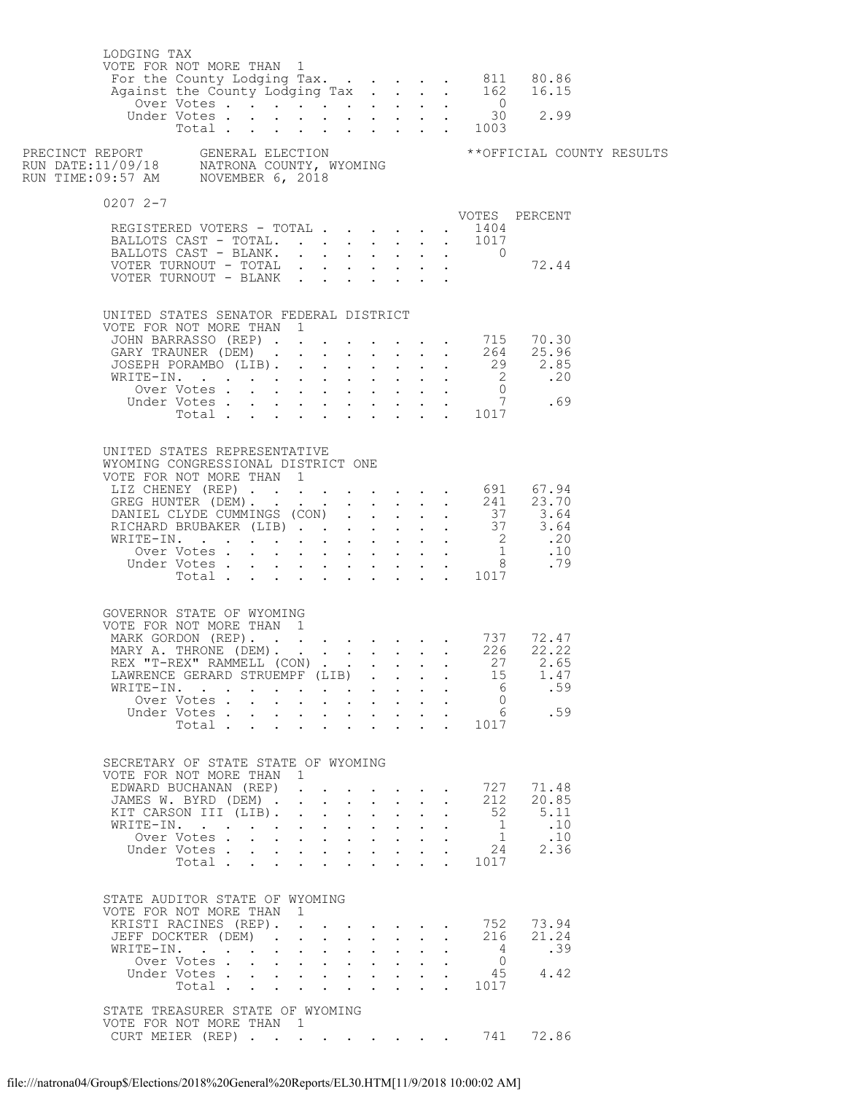| LODGING TAX<br>VOTE FOR NOT MORE THAN 1                                                        |                             |                                                                       |                           |                                                                                   |              |                                                                                                              |              |              |                           |                |                                                                                                                                        |  |
|------------------------------------------------------------------------------------------------|-----------------------------|-----------------------------------------------------------------------|---------------------------|-----------------------------------------------------------------------------------|--------------|--------------------------------------------------------------------------------------------------------------|--------------|--------------|---------------------------|----------------|----------------------------------------------------------------------------------------------------------------------------------------|--|
|                                                                                                |                             |                                                                       |                           |                                                                                   |              |                                                                                                              |              |              |                           |                |                                                                                                                                        |  |
| $02072 - -7$                                                                                   |                             |                                                                       |                           |                                                                                   |              |                                                                                                              |              |              |                           |                |                                                                                                                                        |  |
| REGISTERED VOTERS - TOTAL                                                                      |                             |                                                                       |                           |                                                                                   |              |                                                                                                              |              |              |                           | . 1404         | VOTES PERCENT                                                                                                                          |  |
| BALLOTS CAST - TOTAL. 1017                                                                     |                             |                                                                       |                           |                                                                                   |              |                                                                                                              |              |              |                           |                |                                                                                                                                        |  |
| BALLOTS CAST - BLANK.                                                                          |                             |                                                                       |                           |                                                                                   |              |                                                                                                              |              |              |                           | $\overline{0}$ | 72.44                                                                                                                                  |  |
| VOTER TURNOUT - TOTAL $\cdot \cdot \cdot \cdot \cdot \cdot \cdot$                              |                             |                                                                       |                           |                                                                                   |              |                                                                                                              |              |              |                           |                |                                                                                                                                        |  |
| UNITED STATES SENATOR FEDERAL DISTRICT<br>VOTE FOR NOT MORE THAN 1                             |                             |                                                                       |                           |                                                                                   |              |                                                                                                              |              |              |                           |                |                                                                                                                                        |  |
|                                                                                                |                             |                                                                       |                           |                                                                                   |              |                                                                                                              |              |              |                           |                | VOTE FOR NOT MORE THAN 1<br>JOHN BARRASSO (REP) 264 25.96<br>GARY TRAUNER (DEM) 264 25.96<br>JOSEPH PORAMBO (LIB) 29 2.85<br>WRITE-IN. |  |
|                                                                                                |                             |                                                                       |                           |                                                                                   |              |                                                                                                              |              |              |                           |                |                                                                                                                                        |  |
|                                                                                                |                             |                                                                       |                           |                                                                                   |              |                                                                                                              |              |              |                           |                |                                                                                                                                        |  |
|                                                                                                |                             |                                                                       |                           |                                                                                   |              |                                                                                                              |              |              |                           |                |                                                                                                                                        |  |
|                                                                                                |                             |                                                                       |                           |                                                                                   |              |                                                                                                              |              |              |                           |                |                                                                                                                                        |  |
|                                                                                                |                             |                                                                       |                           |                                                                                   |              |                                                                                                              |              |              |                           |                |                                                                                                                                        |  |
| UNITED STATES REPRESENTATIVE<br>WYOMING CONGRESSIONAL DISTRICT ONE<br>VOTE FOR NOT MORE THAN 1 |                             |                                                                       |                           |                                                                                   |              |                                                                                                              |              |              |                           |                |                                                                                                                                        |  |
|                                                                                                |                             |                                                                       |                           |                                                                                   |              |                                                                                                              |              |              |                           |                |                                                                                                                                        |  |
|                                                                                                |                             |                                                                       |                           |                                                                                   |              |                                                                                                              |              |              |                           |                |                                                                                                                                        |  |
|                                                                                                |                             |                                                                       |                           |                                                                                   |              |                                                                                                              |              |              |                           |                |                                                                                                                                        |  |
|                                                                                                |                             |                                                                       |                           |                                                                                   |              |                                                                                                              |              |              |                           |                |                                                                                                                                        |  |
|                                                                                                |                             |                                                                       |                           |                                                                                   |              |                                                                                                              |              |              |                           |                |                                                                                                                                        |  |
|                                                                                                |                             |                                                                       |                           |                                                                                   |              |                                                                                                              |              |              |                           |                |                                                                                                                                        |  |
| GOVERNOR STATE OF WYOMING<br>VOTE FOR NOT MORE THAN 1                                          |                             |                                                                       |                           |                                                                                   |              |                                                                                                              |              |              |                           |                |                                                                                                                                        |  |
| MARK GORDON (REP). 737 72.47<br>MARY A. THRONE (DEM). 226 22.22                                |                             |                                                                       |                           |                                                                                   |              |                                                                                                              |              |              |                           |                |                                                                                                                                        |  |
| REX "T-REX" RAMMELL (CON) 27 2.65<br>LAWRENCE GERARD STRUEMPF (LIB)                            |                             |                                                                       |                           |                                                                                   |              |                                                                                                              |              |              |                           | 15             | 1.47                                                                                                                                   |  |
| WRITE-IN.                                                                                      |                             |                                                                       |                           |                                                                                   |              |                                                                                                              |              |              |                           | - 6            | .59                                                                                                                                    |  |
|                                                                                                | Over Votes                  |                                                                       |                           |                                                                                   |              | $\mathbf{r}$ , $\mathbf{r}$ , $\mathbf{r}$ , $\mathbf{r}$ , $\mathbf{r}$                                     |              |              |                           | $\overline{0}$ |                                                                                                                                        |  |
|                                                                                                | Under Votes<br>Total        |                                                                       | $\mathbf{L}^{\text{max}}$ |                                                                                   |              | $\cdot$ $\cdot$ $\cdot$ $\cdot$ $\cdot$ $\cdot$<br>$\mathbf{r}$ , $\mathbf{r}$ , $\mathbf{r}$ , $\mathbf{r}$ |              |              |                           | 1017           | 6.59                                                                                                                                   |  |
|                                                                                                |                             |                                                                       |                           |                                                                                   |              |                                                                                                              |              |              |                           |                |                                                                                                                                        |  |
| SECRETARY OF STATE STATE OF WYOMING<br>VOTE FOR NOT MORE THAN 1                                |                             |                                                                       |                           |                                                                                   |              |                                                                                                              |              |              |                           |                |                                                                                                                                        |  |
| EDWARD BUCHANAN (REP)<br>JAMES W. BYRD (DEM) .                                                 |                             |                                                                       |                           | $\mathbf{r} = \mathbf{r} + \mathbf{r}$                                            |              | <b><i>College College College</i></b>                                                                        |              |              |                           | 727<br>212     | 71.48<br>20.85                                                                                                                         |  |
| KIT CARSON III (LIB).                                                                          |                             |                                                                       | $\mathbf{L}$              |                                                                                   |              |                                                                                                              |              |              |                           | 52             | 5.11                                                                                                                                   |  |
| WRITE-IN.                                                                                      |                             | $\ddot{\phantom{a}}$                                                  |                           | $\ddot{\phantom{a}}$                                                              |              | <b>Contract Contract Contract</b>                                                                            |              |              | $\mathbf{L} = \mathbf{L}$ | $\mathbf{1}$   | .10                                                                                                                                    |  |
|                                                                                                | Over Votes<br>Under Votes . | $\mathbf{r}$ , and $\mathbf{r}$ , and $\mathbf{r}$ , and $\mathbf{r}$ |                           | $\mathbf{r} = \mathbf{r} + \mathbf{r} + \mathbf{r} + \mathbf{r} + \mathbf{r}$     |              |                                                                                                              |              |              |                           | 1              | .10<br>24<br>2.36                                                                                                                      |  |
|                                                                                                | Total                       |                                                                       |                           | $\cdot$ $\cdot$ $\cdot$                                                           |              | $\sim$ $\sim$                                                                                                |              |              |                           | 1017           |                                                                                                                                        |  |
| STATE AUDITOR STATE OF WYOMING<br>VOTE FOR NOT MORE THAN 1                                     |                             |                                                                       |                           |                                                                                   |              |                                                                                                              |              |              |                           |                |                                                                                                                                        |  |
| KRISTI RACINES (REP).                                                                          |                             |                                                                       |                           |                                                                                   |              |                                                                                                              |              |              |                           | 752            | 73.94                                                                                                                                  |  |
| JEFF DOCKTER (DEM).<br>WRITE-IN.                                                               |                             | $\ddot{\phantom{0}}$                                                  |                           | $\mathbf{L}^{\text{max}}$ , and $\mathbf{L}^{\text{max}}$<br>$\ddot{\phantom{a}}$ | $\mathbf{r}$ | $\cdot$ $\cdot$ $\cdot$ $\cdot$<br>$\mathbf{r}$                                                              | $\mathbf{L}$ |              | $\ddot{\phantom{a}}$      | 216            | 21.24<br>.39                                                                                                                           |  |
|                                                                                                | Over Votes                  |                                                                       | $\mathbf{L}$              | $\mathbf{L}^{\text{max}}$                                                         |              | $\cdot$ $\cdot$ $\cdot$ $\cdot$                                                                              |              |              |                           | $\overline{0}$ |                                                                                                                                        |  |
|                                                                                                | Under Votes                 |                                                                       |                           |                                                                                   |              |                                                                                                              |              |              |                           | 45             | 4.42                                                                                                                                   |  |
|                                                                                                | Total                       |                                                                       |                           |                                                                                   |              |                                                                                                              |              | $\mathbf{L}$ |                           | 1017           |                                                                                                                                        |  |
| STATE TREASURER STATE OF WYOMING<br>VOTE FOR NOT MORE THAN 1<br>CURT MEIER (REP) 741 72.86     |                             |                                                                       |                           |                                                                                   |              |                                                                                                              |              |              |                           |                |                                                                                                                                        |  |
|                                                                                                |                             |                                                                       |                           |                                                                                   |              |                                                                                                              |              |              |                           |                |                                                                                                                                        |  |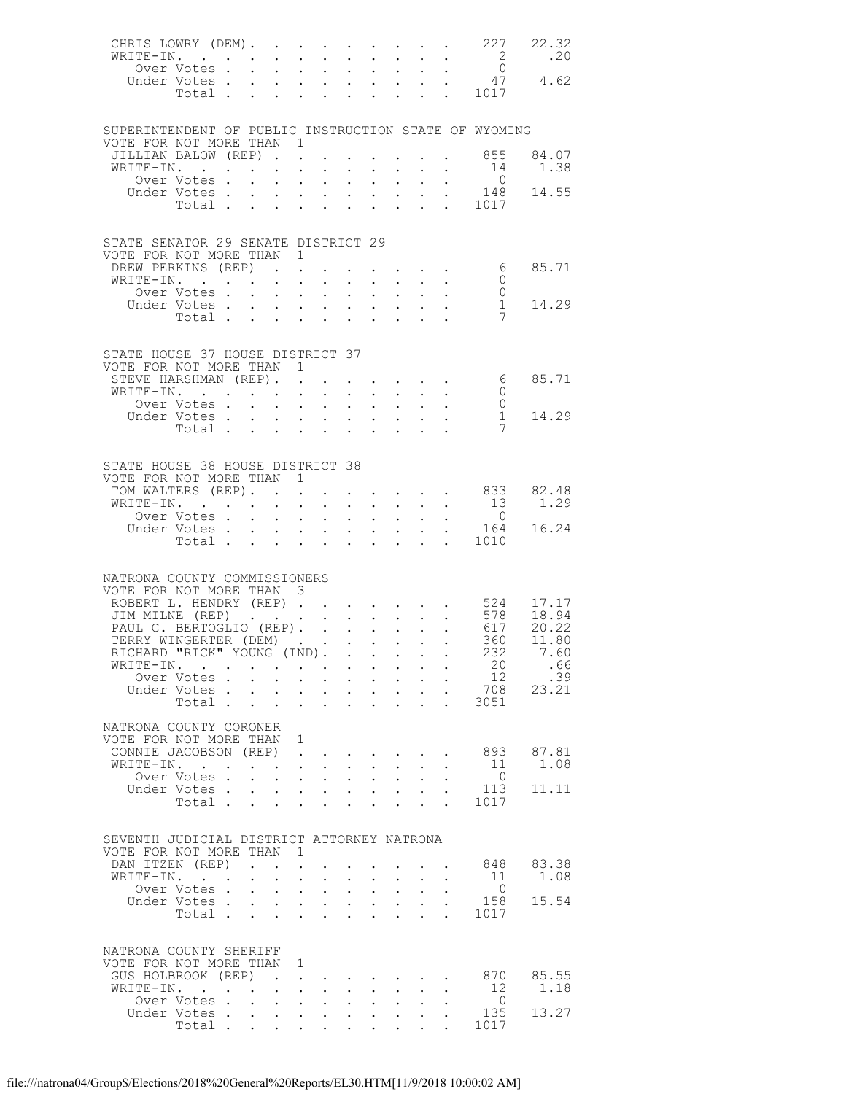| CHRIS LOWRY (DEM).                                                                                                                    |                                                        |                                                                                                 |                                                           |                                                           |                                                         |                                           |                                                                                                                                                                                                                                                                                                                                                                                                                        |                            |                      |                      | 227                                               | 22.32<br>.20                                          |
|---------------------------------------------------------------------------------------------------------------------------------------|--------------------------------------------------------|-------------------------------------------------------------------------------------------------|-----------------------------------------------------------|-----------------------------------------------------------|---------------------------------------------------------|-------------------------------------------|------------------------------------------------------------------------------------------------------------------------------------------------------------------------------------------------------------------------------------------------------------------------------------------------------------------------------------------------------------------------------------------------------------------------|----------------------------|----------------------|----------------------|---------------------------------------------------|-------------------------------------------------------|
| WRITE-IN.                                                                                                                             |                                                        |                                                                                                 |                                                           |                                                           |                                                         |                                           |                                                                                                                                                                                                                                                                                                                                                                                                                        |                            |                      |                      | $\frac{2}{0}$                                     |                                                       |
|                                                                                                                                       |                                                        |                                                                                                 |                                                           |                                                           |                                                         |                                           |                                                                                                                                                                                                                                                                                                                                                                                                                        |                            |                      |                      |                                                   | 0<br>ver Votes 0<br>Under Votes 47 4.62<br>Total 1017 |
|                                                                                                                                       |                                                        |                                                                                                 |                                                           |                                                           |                                                         |                                           |                                                                                                                                                                                                                                                                                                                                                                                                                        |                            |                      |                      |                                                   |                                                       |
|                                                                                                                                       |                                                        |                                                                                                 |                                                           |                                                           |                                                         |                                           |                                                                                                                                                                                                                                                                                                                                                                                                                        |                            |                      |                      |                                                   |                                                       |
| SUPERINTENDENT OF PUBLIC INSTRUCTION STATE OF WYOMING                                                                                 |                                                        |                                                                                                 |                                                           |                                                           |                                                         |                                           |                                                                                                                                                                                                                                                                                                                                                                                                                        |                            |                      |                      |                                                   |                                                       |
| VOTE FOR NOT MORE THAN 1                                                                                                              |                                                        |                                                                                                 |                                                           |                                                           |                                                         |                                           |                                                                                                                                                                                                                                                                                                                                                                                                                        |                            |                      |                      |                                                   |                                                       |
| JILLIAN BALOW (REP) 855<br>WRITE-IN.                                                                                                  |                                                        |                                                                                                 |                                                           |                                                           |                                                         |                                           | $\mathbf{z} = \mathbf{z} + \mathbf{z}$ , where $\mathbf{z} = \mathbf{z}$                                                                                                                                                                                                                                                                                                                                               |                            | $\sim$               | $\sim 10$            |                                                   | 84.07<br>14 1.38                                      |
|                                                                                                                                       |                                                        |                                                                                                 |                                                           |                                                           |                                                         |                                           |                                                                                                                                                                                                                                                                                                                                                                                                                        |                            |                      |                      |                                                   |                                                       |
|                                                                                                                                       |                                                        |                                                                                                 |                                                           |                                                           |                                                         |                                           |                                                                                                                                                                                                                                                                                                                                                                                                                        |                            |                      |                      |                                                   | 0<br>ver Votes 0<br>Under Votes 148<br>Total 1017     |
|                                                                                                                                       |                                                        |                                                                                                 |                                                           |                                                           |                                                         |                                           |                                                                                                                                                                                                                                                                                                                                                                                                                        |                            |                      |                      |                                                   |                                                       |
|                                                                                                                                       |                                                        |                                                                                                 |                                                           |                                                           |                                                         |                                           |                                                                                                                                                                                                                                                                                                                                                                                                                        |                            |                      |                      |                                                   |                                                       |
| STATE SENATOR 29 SENATE DISTRICT 29                                                                                                   |                                                        |                                                                                                 |                                                           |                                                           |                                                         |                                           |                                                                                                                                                                                                                                                                                                                                                                                                                        |                            |                      |                      |                                                   |                                                       |
| VOTE FOR NOT MORE THAN 1<br>DREW PERKINS (REP)                                                                                        |                                                        |                                                                                                 |                                                           |                                                           |                                                         |                                           |                                                                                                                                                                                                                                                                                                                                                                                                                        |                            |                      |                      | $\cdot$ $\cdot$ $\cdot$ $\cdot$ 6                 | 85.71                                                 |
| WRITE-IN.                                                                                                                             |                                                        |                                                                                                 |                                                           |                                                           |                                                         |                                           |                                                                                                                                                                                                                                                                                                                                                                                                                        |                            |                      |                      | $\overline{0}$                                    |                                                       |
|                                                                                                                                       |                                                        |                                                                                                 |                                                           |                                                           |                                                         |                                           |                                                                                                                                                                                                                                                                                                                                                                                                                        |                            |                      |                      | $\overline{0}$                                    |                                                       |
|                                                                                                                                       |                                                        |                                                                                                 |                                                           |                                                           |                                                         |                                           |                                                                                                                                                                                                                                                                                                                                                                                                                        |                            |                      |                      | $\mathbf{1}$<br>7                                 | 14.29                                                 |
|                                                                                                                                       |                                                        |                                                                                                 |                                                           |                                                           |                                                         |                                           |                                                                                                                                                                                                                                                                                                                                                                                                                        |                            |                      |                      |                                                   |                                                       |
|                                                                                                                                       |                                                        |                                                                                                 |                                                           |                                                           |                                                         |                                           |                                                                                                                                                                                                                                                                                                                                                                                                                        |                            |                      |                      |                                                   |                                                       |
| STATE HOUSE 37 HOUSE DISTRICT 37<br>VOTE FOR NOT MORE THAN 1                                                                          |                                                        |                                                                                                 |                                                           |                                                           |                                                         |                                           |                                                                                                                                                                                                                                                                                                                                                                                                                        |                            |                      |                      |                                                   |                                                       |
| STEVE HARSHMAN (REP).                                                                                                                 |                                                        |                                                                                                 |                                                           |                                                           |                                                         |                                           |                                                                                                                                                                                                                                                                                                                                                                                                                        |                            |                      |                      | $\cdot$ $\cdot$ $\cdot$ $\cdot$ $\cdot$ $\cdot$ 6 | 85.71                                                 |
|                                                                                                                                       |                                                        |                                                                                                 |                                                           |                                                           |                                                         |                                           |                                                                                                                                                                                                                                                                                                                                                                                                                        |                            |                      |                      | $\overline{0}$                                    |                                                       |
|                                                                                                                                       |                                                        |                                                                                                 |                                                           |                                                           |                                                         |                                           |                                                                                                                                                                                                                                                                                                                                                                                                                        |                            |                      |                      | $\overline{0}$                                    |                                                       |
|                                                                                                                                       | Under Votes<br>Total                                   |                                                                                                 |                                                           |                                                           |                                                         |                                           |                                                                                                                                                                                                                                                                                                                                                                                                                        |                            |                      |                      | 1<br>-7                                           | 14.29                                                 |
|                                                                                                                                       |                                                        |                                                                                                 |                                                           |                                                           |                                                         |                                           |                                                                                                                                                                                                                                                                                                                                                                                                                        |                            |                      |                      |                                                   |                                                       |
|                                                                                                                                       |                                                        |                                                                                                 |                                                           |                                                           |                                                         |                                           |                                                                                                                                                                                                                                                                                                                                                                                                                        |                            |                      |                      |                                                   |                                                       |
| STATE HOUSE 38 HOUSE DISTRICT 38<br>VOTE FOR NOT MORE THAN 1                                                                          |                                                        |                                                                                                 |                                                           |                                                           |                                                         |                                           |                                                                                                                                                                                                                                                                                                                                                                                                                        |                            |                      |                      |                                                   |                                                       |
| TOM WALTERS (REP).                                                                                                                    |                                                        |                                                                                                 |                                                           |                                                           |                                                         |                                           |                                                                                                                                                                                                                                                                                                                                                                                                                        |                            |                      |                      |                                                   | $\cdot$ 833 82.48                                     |
| WRITE-IN.                                                                                                                             |                                                        |                                                                                                 |                                                           |                                                           |                                                         |                                           |                                                                                                                                                                                                                                                                                                                                                                                                                        |                            |                      |                      | $\begin{smallmatrix}1&3\&0\end{smallmatrix}$      | 1.29                                                  |
|                                                                                                                                       |                                                        |                                                                                                 |                                                           |                                                           |                                                         |                                           |                                                                                                                                                                                                                                                                                                                                                                                                                        |                            |                      |                      |                                                   | 16.24                                                 |
|                                                                                                                                       | 0<br>Under Votes 164<br>Total 1010                     |                                                                                                 |                                                           |                                                           |                                                         |                                           |                                                                                                                                                                                                                                                                                                                                                                                                                        |                            |                      |                      |                                                   |                                                       |
|                                                                                                                                       |                                                        |                                                                                                 |                                                           |                                                           |                                                         |                                           |                                                                                                                                                                                                                                                                                                                                                                                                                        |                            |                      |                      |                                                   |                                                       |
| NATRONA COUNTY COMMISSIONERS                                                                                                          |                                                        |                                                                                                 |                                                           |                                                           |                                                         |                                           |                                                                                                                                                                                                                                                                                                                                                                                                                        |                            |                      |                      |                                                   |                                                       |
| VOTE FOR NOT MORE THAN 3                                                                                                              |                                                        |                                                                                                 |                                                           |                                                           |                                                         |                                           |                                                                                                                                                                                                                                                                                                                                                                                                                        |                            |                      |                      |                                                   |                                                       |
|                                                                                                                                       |                                                        |                                                                                                 |                                                           |                                                           |                                                         |                                           |                                                                                                                                                                                                                                                                                                                                                                                                                        |                            |                      |                      |                                                   |                                                       |
| ROBERT L. HENDRY (REP) 524 17.17<br>JIM MILNE (REP) 578 18.94<br>PAUL C. BERTOGLIO (REP) 617 20.22<br>TERRY WINGERTER (DEM) 360 11.80 |                                                        |                                                                                                 |                                                           |                                                           |                                                         |                                           |                                                                                                                                                                                                                                                                                                                                                                                                                        |                            |                      |                      |                                                   |                                                       |
| TERRY WINGERTER (DEM)                                                                                                                 |                                                        |                                                                                                 |                                                           |                                                           |                                                         |                                           |                                                                                                                                                                                                                                                                                                                                                                                                                        |                            |                      |                      |                                                   |                                                       |
| RICHARD "RICK" YOUNG (IND).                                                                                                           |                                                        |                                                                                                 |                                                           |                                                           |                                                         |                                           |                                                                                                                                                                                                                                                                                                                                                                                                                        |                            |                      |                      | 232                                               | 7.60                                                  |
| WRITE-IN.                                                                                                                             |                                                        |                                                                                                 |                                                           |                                                           |                                                         |                                           |                                                                                                                                                                                                                                                                                                                                                                                                                        |                            |                      |                      | 20                                                | .66                                                   |
|                                                                                                                                       | Over Votes<br>Under Votes.                             | $\mathbf{L}$                                                                                    | $\sim 10^{-11}$                                           | $\mathbb{Z}^{\mathbb{Z}^{\times}}$                        | $\bullet$ .                                             | $\ddot{\phantom{0}}$                      | $\mathbf{r} = \mathbf{r} + \mathbf{r}$ , where<br>$\mathbf{z} = \mathbf{z}$ .                                                                                                                                                                                                                                                                                                                                          |                            | $\ddot{\phantom{0}}$ | $\ddot{\phantom{a}}$ | 12<br>708                                         | .39<br>23.21                                          |
|                                                                                                                                       | Total                                                  |                                                                                                 |                                                           | $\mathbf{L}$                                              | $\mathcal{L}^{\text{max}}$                              | $\mathbf{L}$                              | $\ddot{\phantom{a}}$                                                                                                                                                                                                                                                                                                                                                                                                   | $\mathbf{L}$               |                      |                      | 3051                                              |                                                       |
|                                                                                                                                       |                                                        |                                                                                                 |                                                           |                                                           |                                                         |                                           |                                                                                                                                                                                                                                                                                                                                                                                                                        |                            |                      |                      |                                                   |                                                       |
| NATRONA COUNTY CORONER<br>VOTE FOR NOT MORE THAN                                                                                      |                                                        |                                                                                                 |                                                           | 1                                                         |                                                         |                                           |                                                                                                                                                                                                                                                                                                                                                                                                                        |                            |                      |                      |                                                   |                                                       |
| CONNIE JACOBSON (REP)                                                                                                                 |                                                        |                                                                                                 |                                                           | $\ddot{\phantom{a}}$                                      |                                                         |                                           |                                                                                                                                                                                                                                                                                                                                                                                                                        |                            |                      |                      | 893                                               | 87.81                                                 |
| WRITE-IN.                                                                                                                             |                                                        |                                                                                                 |                                                           | $\mathbf{L}^{\text{max}}$ , and $\mathbf{L}^{\text{max}}$ |                                                         |                                           |                                                                                                                                                                                                                                                                                                                                                                                                                        |                            |                      |                      | -11                                               | 1.08                                                  |
|                                                                                                                                       | Over Votes.                                            | $\mathbf{r} = \mathbf{r} + \mathbf{r} + \mathbf{r}$ .                                           |                                                           |                                                           |                                                         |                                           | $\mathbf{1}=\mathbf{1}=\mathbf{1}=\mathbf{1}=\mathbf{1}=\mathbf{1}=\mathbf{1}=\mathbf{1}=\mathbf{1}=\mathbf{1}=\mathbf{1}=\mathbf{1}=\mathbf{1}=\mathbf{1}=\mathbf{1}=\mathbf{1}=\mathbf{1}=\mathbf{1}=\mathbf{1}=\mathbf{1}=\mathbf{1}=\mathbf{1}=\mathbf{1}=\mathbf{1}=\mathbf{1}=\mathbf{1}=\mathbf{1}=\mathbf{1}=\mathbf{1}=\mathbf{1}=\mathbf{1}=\mathbf{1}=\mathbf{1}=\mathbf{1}=\mathbf{1}=\mathbf{1}=\mathbf{$ |                            |                      |                      | $\overline{0}$<br>113                             | 11.11                                                 |
|                                                                                                                                       | Under Votes .<br>Total .                               | $\ddotsc$ $\ddotsc$                                                                             | $\mathbf{L} = \mathbf{0}$                                 | $\mathbf{L}^{(1)}$<br>$\mathbf{L}^{\text{max}}$           | $\mathbf{L}^{\text{max}}$<br>$\mathcal{L}^{\text{max}}$ | $\mathbf{L}^{\text{max}}$<br>$\mathbf{L}$ | $\mathcal{L}^{\text{max}}$<br>$\ddot{\phantom{a}}$                                                                                                                                                                                                                                                                                                                                                                     | $\sim$                     | $\ddot{\phantom{a}}$ |                      | 1017                                              |                                                       |
|                                                                                                                                       |                                                        |                                                                                                 |                                                           |                                                           |                                                         |                                           |                                                                                                                                                                                                                                                                                                                                                                                                                        |                            |                      |                      |                                                   |                                                       |
| SEVENTH JUDICIAL DISTRICT ATTORNEY NATRONA                                                                                            |                                                        |                                                                                                 |                                                           |                                                           |                                                         |                                           |                                                                                                                                                                                                                                                                                                                                                                                                                        |                            |                      |                      |                                                   |                                                       |
| VOTE FOR NOT MORE THAN                                                                                                                |                                                        |                                                                                                 |                                                           | $\overline{1}$                                            |                                                         |                                           |                                                                                                                                                                                                                                                                                                                                                                                                                        |                            |                      |                      |                                                   |                                                       |
| DAN ITZEN (REP)                                                                                                                       |                                                        |                                                                                                 |                                                           |                                                           |                                                         |                                           |                                                                                                                                                                                                                                                                                                                                                                                                                        |                            |                      |                      | 848                                               | 83.38                                                 |
| WRITE-IN.                                                                                                                             |                                                        | $\mathbf{r} = \mathbf{r} \times \mathbf{r}$ , where $\mathbf{r} = \mathbf{r} \times \mathbf{r}$ |                                                           |                                                           |                                                         |                                           | $\sim 10^{-11}$                                                                                                                                                                                                                                                                                                                                                                                                        | $\mathcal{L}^{\text{max}}$ |                      | $\ddot{\phantom{0}}$ | 11                                                | 1.08                                                  |
|                                                                                                                                       | Over Votes.<br>Under Votes                             |                                                                                                 | $\mathbf{L}$                                              | $\mathbf{L}^{\text{max}}$                                 | $\mathbf{L}^{\text{max}}$<br>$\mathcal{L}^{(1)}$        | $\mathcal{L}^{\text{max}}$                | $\Delta \sim 10^4$                                                                                                                                                                                                                                                                                                                                                                                                     | $\mathbf{L}^{\text{max}}$  | $\ddot{\phantom{0}}$ |                      | $\overline{0}$<br>158                             | 15.54                                                 |
|                                                                                                                                       | Total .                                                | $\mathbf{L}$                                                                                    | $\mathbf{L}$                                              |                                                           |                                                         |                                           |                                                                                                                                                                                                                                                                                                                                                                                                                        |                            |                      |                      | 1017                                              |                                                       |
|                                                                                                                                       |                                                        |                                                                                                 |                                                           |                                                           |                                                         |                                           |                                                                                                                                                                                                                                                                                                                                                                                                                        |                            |                      |                      |                                                   |                                                       |
| NATRONA COUNTY SHERIFF                                                                                                                |                                                        |                                                                                                 |                                                           |                                                           |                                                         |                                           |                                                                                                                                                                                                                                                                                                                                                                                                                        |                            |                      |                      |                                                   |                                                       |
| VOTE FOR NOT MORE THAN                                                                                                                |                                                        |                                                                                                 |                                                           | 1                                                         |                                                         |                                           |                                                                                                                                                                                                                                                                                                                                                                                                                        |                            |                      |                      |                                                   |                                                       |
| GUS HOLBROOK (REP)                                                                                                                    |                                                        | $\sim$                                                                                          |                                                           |                                                           | $\bullet$                                               |                                           |                                                                                                                                                                                                                                                                                                                                                                                                                        |                            |                      |                      | 870                                               | 85.55                                                 |
| WRITE-IN.                                                                                                                             | $\mathbf{r}$ . The set of $\mathbf{r}$<br>Over Votes . | $\sim$<br>$\ddot{\phantom{0}}$                                                                  | $\mathbf{A}^{\text{max}}$ , and $\mathbf{A}^{\text{max}}$ | $\mathcal{L}^{\text{max}}$                                |                                                         | $\mathbf{L}^{\text{max}}$                 | $\ddot{\phantom{0}}$                                                                                                                                                                                                                                                                                                                                                                                                   | $\ddot{\phantom{0}}$       |                      |                      | 12<br>$\overline{0}$                              | 1.18                                                  |
|                                                                                                                                       | Under Votes.                                           | $\ddot{\phantom{0}}$                                                                            | $\bullet$ .                                               | $\mathcal{L}^{(1)}$                                       | $\bullet$ .                                             |                                           |                                                                                                                                                                                                                                                                                                                                                                                                                        |                            |                      |                      | 135                                               | 13.27                                                 |
|                                                                                                                                       | Total .                                                | $\mathbf{L}$                                                                                    | $\mathcal{L}^{\text{max}}$                                |                                                           |                                                         |                                           |                                                                                                                                                                                                                                                                                                                                                                                                                        |                            |                      |                      | 1017                                              |                                                       |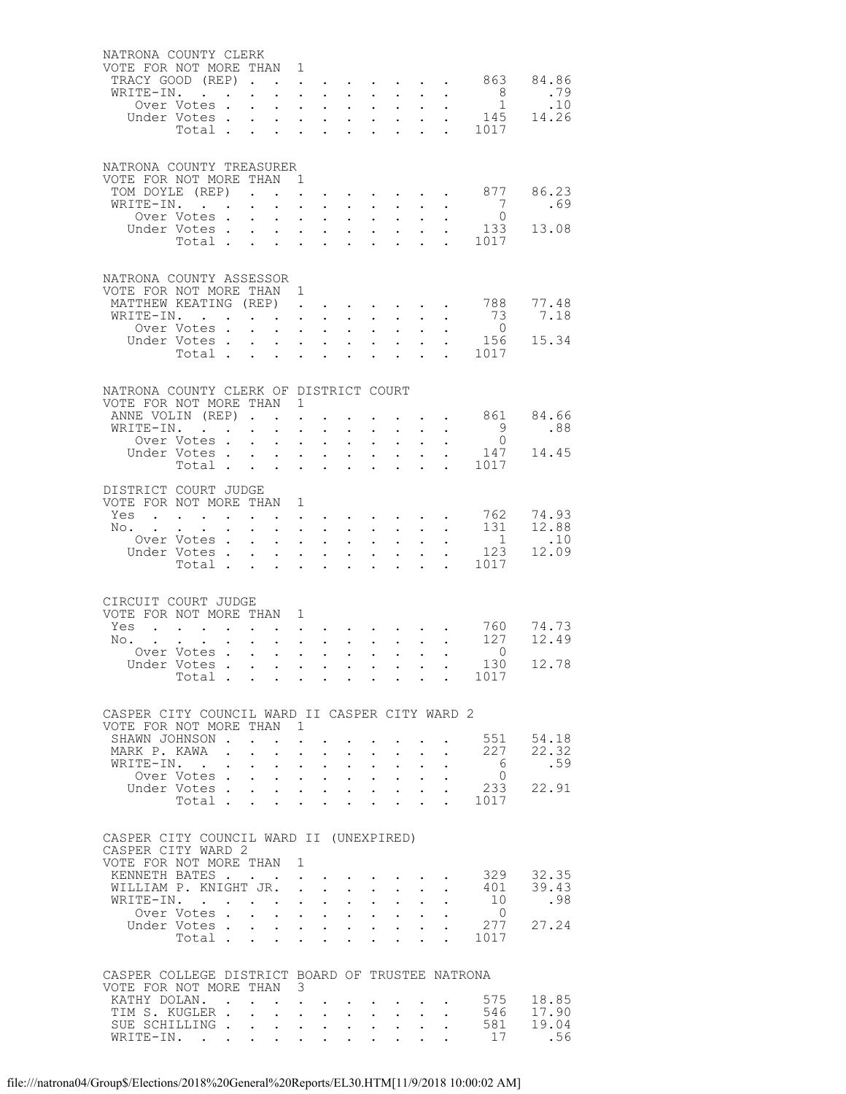| NATRONA COUNTY CLERK                                          |                                                           |                                                                                                                                                                                                                                                                                                                                                                                                                                                                     |                                                       |                                                                                                                 |                                                             |                                                                                            |                                                               |                                                                                                                                                                                                                                                                                                                                                                                                                        |                                    |                                                                                                                         |                                             |              |
|---------------------------------------------------------------|-----------------------------------------------------------|---------------------------------------------------------------------------------------------------------------------------------------------------------------------------------------------------------------------------------------------------------------------------------------------------------------------------------------------------------------------------------------------------------------------------------------------------------------------|-------------------------------------------------------|-----------------------------------------------------------------------------------------------------------------|-------------------------------------------------------------|--------------------------------------------------------------------------------------------|---------------------------------------------------------------|------------------------------------------------------------------------------------------------------------------------------------------------------------------------------------------------------------------------------------------------------------------------------------------------------------------------------------------------------------------------------------------------------------------------|------------------------------------|-------------------------------------------------------------------------------------------------------------------------|---------------------------------------------|--------------|
| VOTE FOR NOT MORE THAN 1                                      |                                                           |                                                                                                                                                                                                                                                                                                                                                                                                                                                                     |                                                       |                                                                                                                 |                                                             |                                                                                            |                                                               |                                                                                                                                                                                                                                                                                                                                                                                                                        |                                    |                                                                                                                         | . 863 84.86                                 |              |
| TRACY GOOD (REP)<br>WRITE-IN.                                 | $\mathbf{r}$ , $\mathbf{r}$ , $\mathbf{r}$ , $\mathbf{r}$ | $\mathbf{L}^{\text{max}}$                                                                                                                                                                                                                                                                                                                                                                                                                                           |                                                       | $\sim$<br>$\mathbf{r} = \mathbf{r} \mathbf{r}$ , where $\mathbf{r} = \mathbf{r} \mathbf{r}$                     |                                                             |                                                                                            |                                                               | $\mathbf{1}=\mathbf{1}=\mathbf{1}=\mathbf{1}=\mathbf{1}=\mathbf{1}=\mathbf{1}=\mathbf{1}=\mathbf{1}=\mathbf{1}=\mathbf{1}=\mathbf{1}=\mathbf{1}=\mathbf{1}=\mathbf{1}=\mathbf{1}=\mathbf{1}=\mathbf{1}=\mathbf{1}=\mathbf{1}=\mathbf{1}=\mathbf{1}=\mathbf{1}=\mathbf{1}=\mathbf{1}=\mathbf{1}=\mathbf{1}=\mathbf{1}=\mathbf{1}=\mathbf{1}=\mathbf{1}=\mathbf{1}=\mathbf{1}=\mathbf{1}=\mathbf{1}=\mathbf{1}=\mathbf{$ |                                    | $\mathbf{L}^{\text{max}}$ , $\mathbf{L}^{\text{max}}$                                                                   |                                             | .79          |
|                                                               | Over Votes .                                              | $\mathbf{r}$                                                                                                                                                                                                                                                                                                                                                                                                                                                        | $\sim 10^{-11}$                                       |                                                                                                                 | $\mathbf{L}^{\text{max}}$ , and $\mathbf{L}^{\text{max}}$   |                                                                                            | $\sim$ $-$                                                    |                                                                                                                                                                                                                                                                                                                                                                                                                        |                                    |                                                                                                                         | $\begin{matrix}8\\1\end{matrix}$            | .10          |
|                                                               | Under Votes<br>Total                                      |                                                                                                                                                                                                                                                                                                                                                                                                                                                                     |                                                       |                                                                                                                 |                                                             |                                                                                            |                                                               | $\mathbf{L}^{\text{max}}$ , and $\mathbf{L}^{\text{max}}$                                                                                                                                                                                                                                                                                                                                                              |                                    |                                                                                                                         | $\cdot$ $\cdot$ 145                         | 14.26        |
|                                                               | Total .                                                   |                                                                                                                                                                                                                                                                                                                                                                                                                                                                     |                                                       |                                                                                                                 |                                                             |                                                                                            |                                                               |                                                                                                                                                                                                                                                                                                                                                                                                                        |                                    |                                                                                                                         | 1017                                        |              |
|                                                               |                                                           |                                                                                                                                                                                                                                                                                                                                                                                                                                                                     |                                                       |                                                                                                                 |                                                             |                                                                                            |                                                               |                                                                                                                                                                                                                                                                                                                                                                                                                        |                                    |                                                                                                                         |                                             |              |
| NATRONA COUNTY TREASURER                                      |                                                           |                                                                                                                                                                                                                                                                                                                                                                                                                                                                     |                                                       |                                                                                                                 |                                                             |                                                                                            |                                                               |                                                                                                                                                                                                                                                                                                                                                                                                                        |                                    |                                                                                                                         |                                             |              |
| VOTE FOR NOT MORE THAN 1<br>TOM DOYLE (REP)                   |                                                           |                                                                                                                                                                                                                                                                                                                                                                                                                                                                     |                                                       |                                                                                                                 |                                                             |                                                                                            |                                                               |                                                                                                                                                                                                                                                                                                                                                                                                                        |                                    | $\mathbf{z} = \mathbf{z} + \mathbf{z}$ , where $\mathbf{z} = \mathbf{z} + \mathbf{z}$ , where $\mathbf{z} = \mathbf{z}$ | 877                                         | 86.23        |
| WRITE-IN.                                                     |                                                           |                                                                                                                                                                                                                                                                                                                                                                                                                                                                     |                                                       |                                                                                                                 | $\mathbf{L}^{\text{max}}$ , and $\mathbf{L}^{\text{max}}$   |                                                                                            |                                                               |                                                                                                                                                                                                                                                                                                                                                                                                                        |                                    |                                                                                                                         | 7                                           | .69          |
|                                                               | Over Votes.                                               | $\mathcal{L}^{\text{max}}$                                                                                                                                                                                                                                                                                                                                                                                                                                          |                                                       | $\mathbf{1}^{\prime}$ , $\mathbf{1}^{\prime}$ , $\mathbf{1}^{\prime}$ , $\mathbf{1}^{\prime}$                   |                                                             |                                                                                            |                                                               | $\mathbf{1}^{\prime}$ , $\mathbf{1}^{\prime}$ , $\mathbf{1}^{\prime}$ , $\mathbf{1}^{\prime}$                                                                                                                                                                                                                                                                                                                          |                                    |                                                                                                                         | $\overline{0}$                              |              |
|                                                               | Under Votes.<br>Votes<br>Total                            |                                                                                                                                                                                                                                                                                                                                                                                                                                                                     |                                                       |                                                                                                                 |                                                             |                                                                                            |                                                               | $\frac{1}{2} \left( \begin{array}{cc} 1 & 1 \\ 1 & 1 \end{array} \right)$                                                                                                                                                                                                                                                                                                                                              |                                    |                                                                                                                         | 133                                         | 13.08        |
|                                                               |                                                           |                                                                                                                                                                                                                                                                                                                                                                                                                                                                     |                                                       |                                                                                                                 |                                                             |                                                                                            |                                                               |                                                                                                                                                                                                                                                                                                                                                                                                                        |                                    |                                                                                                                         | 1017                                        |              |
|                                                               |                                                           |                                                                                                                                                                                                                                                                                                                                                                                                                                                                     |                                                       |                                                                                                                 |                                                             |                                                                                            |                                                               |                                                                                                                                                                                                                                                                                                                                                                                                                        |                                    |                                                                                                                         |                                             |              |
| NATRONA COUNTY ASSESSOR<br>VOTE FOR NOT MORE THAN 1           |                                                           |                                                                                                                                                                                                                                                                                                                                                                                                                                                                     |                                                       |                                                                                                                 |                                                             |                                                                                            |                                                               |                                                                                                                                                                                                                                                                                                                                                                                                                        |                                    |                                                                                                                         |                                             |              |
| MATTHEW KEATING (REP)                                         |                                                           |                                                                                                                                                                                                                                                                                                                                                                                                                                                                     |                                                       | $\mathbf{L}^{\text{max}}$                                                                                       | $\sim$ 100 $\pm$                                            |                                                                                            |                                                               |                                                                                                                                                                                                                                                                                                                                                                                                                        |                                    |                                                                                                                         | . 788                                       | 77.48        |
| WRITE-IN.                                                     |                                                           |                                                                                                                                                                                                                                                                                                                                                                                                                                                                     |                                                       |                                                                                                                 |                                                             |                                                                                            |                                                               | $\mathbf{z} = \mathbf{z} + \mathbf{z}$ , where $\mathbf{z}$                                                                                                                                                                                                                                                                                                                                                            |                                    | $\mathbf{L}^{\text{max}}$ , and $\mathbf{L}^{\text{max}}$                                                               | - 73                                        | 7.18         |
|                                                               | Over Votes .                                              |                                                                                                                                                                                                                                                                                                                                                                                                                                                                     | $\mathbf{L}^{\text{max}}$                             |                                                                                                                 | $\mathbf{L}^{\text{max}}$ , and $\mathbf{L}^{\text{max}}$   |                                                                                            | $\ddot{\phantom{0}}$                                          |                                                                                                                                                                                                                                                                                                                                                                                                                        |                                    |                                                                                                                         | $\overline{0}$                              | 15.34        |
|                                                               | Under Votes<br>Total                                      |                                                                                                                                                                                                                                                                                                                                                                                                                                                                     |                                                       |                                                                                                                 |                                                             |                                                                                            |                                                               | $\mathbf{L} = \mathbf{L} \times \mathbf{L}$                                                                                                                                                                                                                                                                                                                                                                            | $\mathcal{L}^{\mathcal{L}}$        |                                                                                                                         | 156<br>1017                                 |              |
|                                                               |                                                           |                                                                                                                                                                                                                                                                                                                                                                                                                                                                     |                                                       |                                                                                                                 |                                                             |                                                                                            |                                                               |                                                                                                                                                                                                                                                                                                                                                                                                                        |                                    |                                                                                                                         |                                             |              |
| NATRONA COUNTY CLERK OF DISTRICT COURT                        |                                                           |                                                                                                                                                                                                                                                                                                                                                                                                                                                                     |                                                       |                                                                                                                 |                                                             |                                                                                            |                                                               |                                                                                                                                                                                                                                                                                                                                                                                                                        |                                    |                                                                                                                         |                                             |              |
| VOTE FOR NOT MORE THAN 1                                      |                                                           |                                                                                                                                                                                                                                                                                                                                                                                                                                                                     |                                                       |                                                                                                                 |                                                             |                                                                                            |                                                               |                                                                                                                                                                                                                                                                                                                                                                                                                        |                                    |                                                                                                                         |                                             |              |
| ANNE VOLIN (REP)                                              |                                                           |                                                                                                                                                                                                                                                                                                                                                                                                                                                                     |                                                       |                                                                                                                 | $\bullet$ .<br><br><br><br><br><br><br><br><br><br><br><br> |                                                                                            |                                                               |                                                                                                                                                                                                                                                                                                                                                                                                                        |                                    |                                                                                                                         | $\cdot$ $\cdot$ $\cdot$ $\cdot$ $\cdot$ 861 | 84.66        |
| WRITE-IN.                                                     |                                                           | $\mathbf{L}^{\text{max}}$                                                                                                                                                                                                                                                                                                                                                                                                                                           | $\bullet$ .                                           | $\mathcal{L}^{\text{max}}$                                                                                      | $\mathbf{L}^{\text{max}}$                                   |                                                                                            | $\sim 100$                                                    |                                                                                                                                                                                                                                                                                                                                                                                                                        |                                    |                                                                                                                         | 9                                           | .88          |
|                                                               | Over Votes                                                |                                                                                                                                                                                                                                                                                                                                                                                                                                                                     |                                                       |                                                                                                                 |                                                             |                                                                                            | $\mathbf{L}^{\text{max}}$                                     | $\mathcal{L}^{\text{max}}$                                                                                                                                                                                                                                                                                                                                                                                             |                                    |                                                                                                                         | $\overline{0}$<br>147                       |              |
|                                                               | Under Votes .<br>Total                                    |                                                                                                                                                                                                                                                                                                                                                                                                                                                                     | $\mathbf{L}^{\text{max}}$ , $\mathbf{L}^{\text{max}}$ |                                                                                                                 | $\frac{1}{2} \left( \frac{1}{2} \right)$                    | $\mathbf{L}$                                                                               | $\mathbb{R}^{n}$ , $\mathbb{R}^{n}$ ,<br>$\ddot{\phantom{a}}$ | $\mathbf{L}$                                                                                                                                                                                                                                                                                                                                                                                                           | $\mathbf{L}$                       |                                                                                                                         | 1017                                        | 14.45        |
|                                                               |                                                           |                                                                                                                                                                                                                                                                                                                                                                                                                                                                     |                                                       |                                                                                                                 |                                                             |                                                                                            |                                                               |                                                                                                                                                                                                                                                                                                                                                                                                                        |                                    |                                                                                                                         |                                             |              |
| DISTRICT COURT JUDGE                                          |                                                           |                                                                                                                                                                                                                                                                                                                                                                                                                                                                     |                                                       |                                                                                                                 |                                                             |                                                                                            |                                                               |                                                                                                                                                                                                                                                                                                                                                                                                                        |                                    |                                                                                                                         |                                             |              |
| VOTE FOR NOT MORE THAN 1                                      |                                                           |                                                                                                                                                                                                                                                                                                                                                                                                                                                                     |                                                       |                                                                                                                 |                                                             |                                                                                            |                                                               |                                                                                                                                                                                                                                                                                                                                                                                                                        |                                    |                                                                                                                         |                                             | 74.93        |
| Yes<br>No.                                                    |                                                           |                                                                                                                                                                                                                                                                                                                                                                                                                                                                     | $\mathbf{L}^{\text{max}}$                             |                                                                                                                 | $\mathbf{L}^{\text{max}}$ , and $\mathbf{L}^{\text{max}}$   |                                                                                            |                                                               |                                                                                                                                                                                                                                                                                                                                                                                                                        |                                    |                                                                                                                         | 762<br>131                                  | 12.88        |
|                                                               | Over Votes                                                |                                                                                                                                                                                                                                                                                                                                                                                                                                                                     |                                                       |                                                                                                                 |                                                             | $\mathcal{L}^{\text{max}}$                                                                 | $\mathbb{Z}^{n+1}$                                            | $\mathcal{L}^{\text{max}}$                                                                                                                                                                                                                                                                                                                                                                                             |                                    |                                                                                                                         | $\overline{1}$                              | .10          |
|                                                               | Under Votes.                                              | $\ddot{\phantom{0}}$                                                                                                                                                                                                                                                                                                                                                                                                                                                | $\sim 10^{-1}$                                        | $\mathcal{L}_{\text{max}}$                                                                                      | $\mathcal{L}^{\text{max}}$                                  |                                                                                            | $\mathcal{L}^{\text{max}}$                                    |                                                                                                                                                                                                                                                                                                                                                                                                                        |                                    |                                                                                                                         | 123                                         | 12.09        |
|                                                               | Total                                                     |                                                                                                                                                                                                                                                                                                                                                                                                                                                                     |                                                       |                                                                                                                 | $\mathbf{L}$ and $\mathbf{L}$                               | $\mathcal{L}^{\text{max}}$                                                                 | $\ddot{\phantom{a}}$                                          | $\mathbf{L}$                                                                                                                                                                                                                                                                                                                                                                                                           |                                    |                                                                                                                         | 1017                                        |              |
|                                                               |                                                           |                                                                                                                                                                                                                                                                                                                                                                                                                                                                     |                                                       |                                                                                                                 |                                                             |                                                                                            |                                                               |                                                                                                                                                                                                                                                                                                                                                                                                                        |                                    |                                                                                                                         |                                             |              |
| CIRCUIT COURT JUDGE                                           |                                                           |                                                                                                                                                                                                                                                                                                                                                                                                                                                                     |                                                       |                                                                                                                 |                                                             |                                                                                            |                                                               |                                                                                                                                                                                                                                                                                                                                                                                                                        |                                    |                                                                                                                         |                                             |              |
| VOTE FOR NOT MORE THAN 1                                      |                                                           |                                                                                                                                                                                                                                                                                                                                                                                                                                                                     |                                                       |                                                                                                                 |                                                             |                                                                                            |                                                               |                                                                                                                                                                                                                                                                                                                                                                                                                        |                                    |                                                                                                                         |                                             | 74.73        |
| Yes<br>No.                                                    |                                                           | $\begin{array}{cccccccccc} \mathcal{L} & \mathcal{L} & \mathcal{L} & \mathcal{L} & \mathcal{L} & \mathcal{L} & \mathcal{L} & \mathcal{L} & \mathcal{L} & \mathcal{L} & \mathcal{L} & \mathcal{L} & \mathcal{L} \\ \mathcal{L} & \mathcal{L} & \mathcal{L} & \mathcal{L} & \mathcal{L} & \mathcal{L} & \mathcal{L} & \mathcal{L} & \mathcal{L} & \mathcal{L} & \mathcal{L} & \mathcal{L} \\ \mathcal{L} & \mathcal{L} & \mathcal{L} & \mathcal{L} & \mathcal{L} & \$ |                                                       |                                                                                                                 |                                                             |                                                                                            |                                                               |                                                                                                                                                                                                                                                                                                                                                                                                                        |                                    |                                                                                                                         | 760 —<br>127                                | 12.49        |
|                                                               | Over Votes                                                |                                                                                                                                                                                                                                                                                                                                                                                                                                                                     |                                                       | $\mathbf{u}^{\prime}=\mathbf{u}^{\prime}+\mathbf{u}^{\prime}$ , where                                           |                                                             |                                                                                            |                                                               |                                                                                                                                                                                                                                                                                                                                                                                                                        |                                    |                                                                                                                         | $\overline{0}$                              |              |
|                                                               | Under Votes                                               |                                                                                                                                                                                                                                                                                                                                                                                                                                                                     |                                                       |                                                                                                                 |                                                             |                                                                                            |                                                               |                                                                                                                                                                                                                                                                                                                                                                                                                        |                                    |                                                                                                                         | 130                                         | 12.78        |
|                                                               | Total                                                     |                                                                                                                                                                                                                                                                                                                                                                                                                                                                     |                                                       |                                                                                                                 |                                                             |                                                                                            |                                                               |                                                                                                                                                                                                                                                                                                                                                                                                                        |                                    |                                                                                                                         | 1017                                        |              |
|                                                               |                                                           |                                                                                                                                                                                                                                                                                                                                                                                                                                                                     |                                                       |                                                                                                                 |                                                             |                                                                                            |                                                               |                                                                                                                                                                                                                                                                                                                                                                                                                        |                                    |                                                                                                                         |                                             |              |
| CASPER CITY COUNCIL WARD II CASPER CITY WARD 2                |                                                           |                                                                                                                                                                                                                                                                                                                                                                                                                                                                     |                                                       |                                                                                                                 |                                                             |                                                                                            |                                                               |                                                                                                                                                                                                                                                                                                                                                                                                                        |                                    |                                                                                                                         |                                             |              |
| VOTE FOR NOT MORE THAN 1<br>SHAWN JOHNSON .                   |                                                           |                                                                                                                                                                                                                                                                                                                                                                                                                                                                     |                                                       |                                                                                                                 |                                                             |                                                                                            |                                                               |                                                                                                                                                                                                                                                                                                                                                                                                                        |                                    |                                                                                                                         | 551                                         | 54.18        |
| MARK P. KAWA .                                                |                                                           |                                                                                                                                                                                                                                                                                                                                                                                                                                                                     |                                                       | $\mathcal{L}^{\text{max}}$                                                                                      | $\ddot{\phantom{0}}$                                        |                                                                                            |                                                               |                                                                                                                                                                                                                                                                                                                                                                                                                        |                                    |                                                                                                                         | 227                                         | 22.32        |
| WRITE-IN.                                                     | $\mathcal{L}(\mathbf{z})$ , and $\mathcal{L}(\mathbf{z})$ | $\mathbf{L}^{\text{max}}$                                                                                                                                                                                                                                                                                                                                                                                                                                           |                                                       | $\mathbf{u}^{\prime}=\mathbf{u}^{\prime}$ , where $\mathbf{u}^{\prime}$                                         |                                                             |                                                                                            | $\mathbf{L}^{\text{max}}$                                     | $\ddot{\phantom{a}}$                                                                                                                                                                                                                                                                                                                                                                                                   | $\ddot{\phantom{0}}$               |                                                                                                                         | 6                                           | .59          |
|                                                               | Over Votes .                                              |                                                                                                                                                                                                                                                                                                                                                                                                                                                                     |                                                       | $\mathbf{r} = \mathbf{r} + \mathbf{r} + \mathbf{r} + \mathbf{r}$                                                |                                                             |                                                                                            | $\mathbf{L}^{\text{max}}$ , and $\mathbf{L}^{\text{max}}$     |                                                                                                                                                                                                                                                                                                                                                                                                                        |                                    |                                                                                                                         | $\bigcirc$                                  |              |
|                                                               | Under Votes<br>Total                                      |                                                                                                                                                                                                                                                                                                                                                                                                                                                                     |                                                       |                                                                                                                 |                                                             |                                                                                            |                                                               | $\mathbf{1}^{\prime}$ , $\mathbf{1}^{\prime}$ , $\mathbf{1}^{\prime}$ , $\mathbf{1}^{\prime}$                                                                                                                                                                                                                                                                                                                          | $\mathbb{Z}^{\mathbb{Z}^{\times}}$ |                                                                                                                         | 233<br>1017                                 | 22.91        |
|                                                               |                                                           |                                                                                                                                                                                                                                                                                                                                                                                                                                                                     |                                                       |                                                                                                                 |                                                             |                                                                                            |                                                               |                                                                                                                                                                                                                                                                                                                                                                                                                        |                                    |                                                                                                                         |                                             |              |
|                                                               |                                                           |                                                                                                                                                                                                                                                                                                                                                                                                                                                                     |                                                       |                                                                                                                 |                                                             |                                                                                            |                                                               |                                                                                                                                                                                                                                                                                                                                                                                                                        |                                    |                                                                                                                         |                                             |              |
| CASPER CITY COUNCIL WARD II (UNEXPIRED)<br>CASPER CITY WARD 2 |                                                           |                                                                                                                                                                                                                                                                                                                                                                                                                                                                     |                                                       |                                                                                                                 |                                                             |                                                                                            |                                                               |                                                                                                                                                                                                                                                                                                                                                                                                                        |                                    |                                                                                                                         |                                             |              |
| VOTE FOR NOT MORE THAN 1                                      |                                                           |                                                                                                                                                                                                                                                                                                                                                                                                                                                                     |                                                       |                                                                                                                 |                                                             |                                                                                            |                                                               |                                                                                                                                                                                                                                                                                                                                                                                                                        |                                    |                                                                                                                         |                                             |              |
| KENNETH BATES                                                 |                                                           |                                                                                                                                                                                                                                                                                                                                                                                                                                                                     |                                                       |                                                                                                                 |                                                             |                                                                                            |                                                               |                                                                                                                                                                                                                                                                                                                                                                                                                        |                                    |                                                                                                                         | 329                                         | 32.35        |
| WILLIAM P. KNIGHT JR.                                         |                                                           |                                                                                                                                                                                                                                                                                                                                                                                                                                                                     |                                                       |                                                                                                                 |                                                             |                                                                                            | $\mathbf{1}^{\text{max}}$                                     | $\sim$ $-$                                                                                                                                                                                                                                                                                                                                                                                                             | $\ddot{\phantom{0}}$               | $\ddot{\phantom{0}}$                                                                                                    | 401                                         | 39.43        |
| WRITE-IN.                                                     |                                                           |                                                                                                                                                                                                                                                                                                                                                                                                                                                                     |                                                       | $\begin{array}{ccc} \bullet & \bullet & \bullet & \bullet \\ \bullet & \bullet & \bullet & \bullet \end{array}$ |                                                             | $\mathcal{L}^{\text{max}}$                                                                 | $\sim$ $-$                                                    |                                                                                                                                                                                                                                                                                                                                                                                                                        |                                    |                                                                                                                         | 10<br>$\overline{0}$                        | .98          |
|                                                               | Over Votes.<br>Under Votes.                               | $\mathbf{L}$                                                                                                                                                                                                                                                                                                                                                                                                                                                        |                                                       | $\mathbf{r} = \mathbf{r} + \mathbf{r}$ , where                                                                  |                                                             |                                                                                            |                                                               | $\mathbf{1}^{\prime}$ , $\mathbf{1}^{\prime}$ , $\mathbf{1}^{\prime}$ , $\mathbf{1}^{\prime}$<br>$\mathbf{1}^{\prime}$ , $\mathbf{1}^{\prime}$ , $\mathbf{1}^{\prime}$ , $\mathbf{1}^{\prime}$                                                                                                                                                                                                                         |                                    |                                                                                                                         | 277                                         | 27.24        |
|                                                               | Total                                                     |                                                                                                                                                                                                                                                                                                                                                                                                                                                                     |                                                       |                                                                                                                 | $\ddot{\phantom{a}}$                                        | $\mathbf{L}$                                                                               | $\ddot{\phantom{a}}$                                          | $\sim$                                                                                                                                                                                                                                                                                                                                                                                                                 |                                    |                                                                                                                         | 1017                                        |              |
|                                                               |                                                           |                                                                                                                                                                                                                                                                                                                                                                                                                                                                     |                                                       |                                                                                                                 |                                                             |                                                                                            |                                                               |                                                                                                                                                                                                                                                                                                                                                                                                                        |                                    |                                                                                                                         |                                             |              |
| CASPER COLLEGE DISTRICT BOARD OF TRUSTEE NATRONA              |                                                           |                                                                                                                                                                                                                                                                                                                                                                                                                                                                     |                                                       |                                                                                                                 |                                                             |                                                                                            |                                                               |                                                                                                                                                                                                                                                                                                                                                                                                                        |                                    |                                                                                                                         |                                             |              |
| VOTE FOR NOT MORE THAN 3                                      |                                                           |                                                                                                                                                                                                                                                                                                                                                                                                                                                                     |                                                       |                                                                                                                 |                                                             |                                                                                            |                                                               |                                                                                                                                                                                                                                                                                                                                                                                                                        |                                    |                                                                                                                         |                                             |              |
| KATHY DOLAN                                                   |                                                           |                                                                                                                                                                                                                                                                                                                                                                                                                                                                     |                                                       | $\sim$                                                                                                          |                                                             |                                                                                            |                                                               |                                                                                                                                                                                                                                                                                                                                                                                                                        |                                    |                                                                                                                         | 575                                         | 18.85        |
| TIM S. KUGLER .                                               |                                                           | $\mathbf{L}$                                                                                                                                                                                                                                                                                                                                                                                                                                                        |                                                       |                                                                                                                 |                                                             | $\mathbf{u} = \mathbf{u} + \mathbf{u} + \mathbf{u} + \mathbf{u} + \mathbf{u} + \mathbf{u}$ |                                                               |                                                                                                                                                                                                                                                                                                                                                                                                                        | $\bullet$ .                        | $\ddot{\phantom{0}}$                                                                                                    | 546                                         | 17.90        |
| SUE SCHILLING.<br>WRITE-IN.                                   | the contract of the contract of the                       | $\ddot{\phantom{0}}$                                                                                                                                                                                                                                                                                                                                                                                                                                                |                                                       | $\mathcal{L}^{\text{max}}$                                                                                      | $\sim$                                                      |                                                                                            | $\mathbf{1}^{\prime}$ and $\mathbf{1}^{\prime}$               |                                                                                                                                                                                                                                                                                                                                                                                                                        |                                    |                                                                                                                         | 581<br>17                                   | 19.04<br>.56 |
|                                                               |                                                           |                                                                                                                                                                                                                                                                                                                                                                                                                                                                     |                                                       |                                                                                                                 |                                                             |                                                                                            |                                                               |                                                                                                                                                                                                                                                                                                                                                                                                                        |                                    |                                                                                                                         |                                             |              |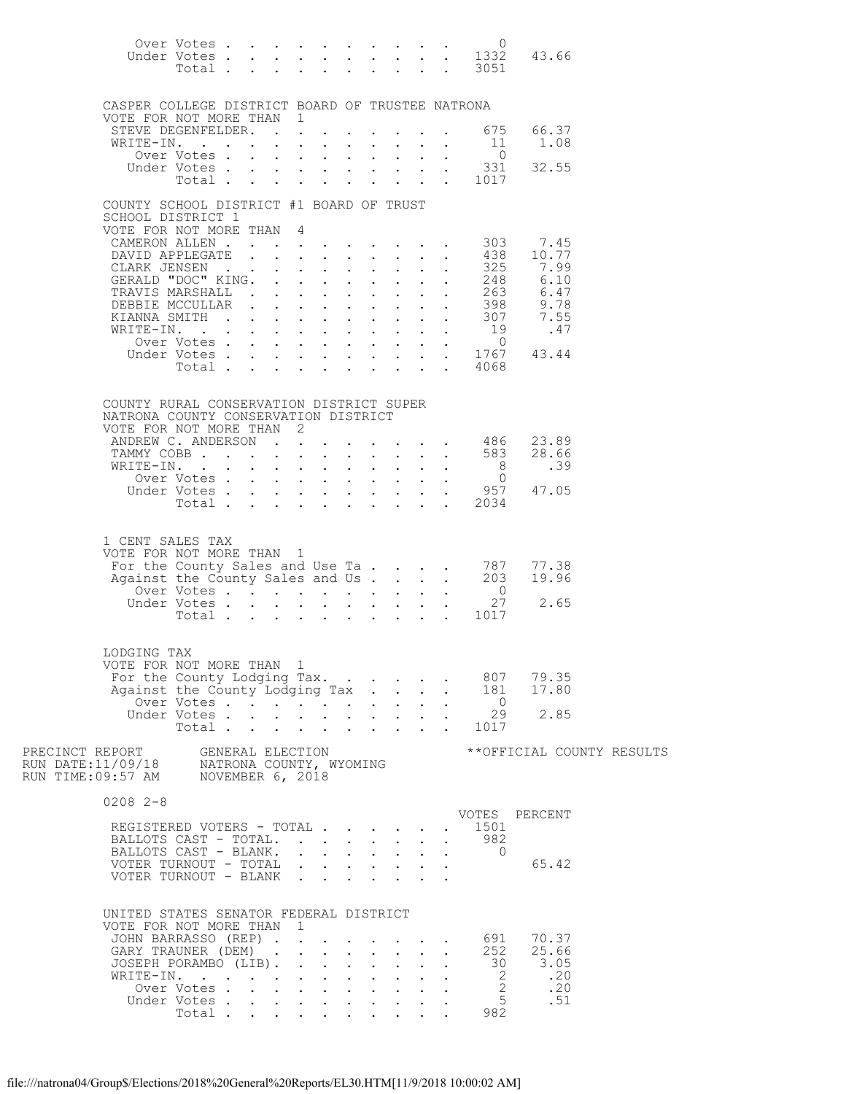|                                                  |                           |  |                                                                                                 |              |                                                                 |                           |                                          | Over Votes0                                                                   |                                                                                                    |  |
|--------------------------------------------------|---------------------------|--|-------------------------------------------------------------------------------------------------|--------------|-----------------------------------------------------------------|---------------------------|------------------------------------------|-------------------------------------------------------------------------------|----------------------------------------------------------------------------------------------------|--|
|                                                  |                           |  |                                                                                                 |              |                                                                 |                           |                                          |                                                                               | Under Votes 1332 43.66<br>Total 3051                                                               |  |
|                                                  |                           |  |                                                                                                 |              |                                                                 |                           |                                          |                                                                               |                                                                                                    |  |
|                                                  |                           |  |                                                                                                 |              |                                                                 |                           |                                          |                                                                               |                                                                                                    |  |
| CASPER COLLEGE DISTRICT BOARD OF TRUSTEE NATRONA |                           |  |                                                                                                 |              |                                                                 |                           |                                          |                                                                               |                                                                                                    |  |
| VOTE FOR NOT MORE THAN 1                         |                           |  |                                                                                                 |              |                                                                 |                           |                                          |                                                                               |                                                                                                    |  |
| STEVE DEGENFELDER. 675                           |                           |  |                                                                                                 |              |                                                                 |                           |                                          |                                                                               | 66.37                                                                                              |  |
| WRITE-IN.                                        |                           |  |                                                                                                 |              |                                                                 |                           |                                          | - 11                                                                          | 1.08                                                                                               |  |
|                                                  | Over Votes                |  |                                                                                                 |              |                                                                 |                           | $\mathbf{z} = \mathbf{z} + \mathbf{z}$ . | $\overline{0}$                                                                |                                                                                                    |  |
|                                                  | Under Votes               |  |                                                                                                 |              |                                                                 |                           |                                          | 331                                                                           | 32.55                                                                                              |  |
|                                                  |                           |  |                                                                                                 |              |                                                                 |                           |                                          | Total 1017                                                                    |                                                                                                    |  |
| COUNTY SCHOOL DISTRICT #1 BOARD OF TRUST         |                           |  |                                                                                                 |              |                                                                 |                           |                                          |                                                                               |                                                                                                    |  |
| SCHOOL DISTRICT 1                                |                           |  |                                                                                                 |              |                                                                 |                           |                                          |                                                                               |                                                                                                    |  |
| VOTE FOR NOT MORE THAN 4                         |                           |  |                                                                                                 |              |                                                                 |                           |                                          |                                                                               |                                                                                                    |  |
| CAMERON ALLEN 303                                |                           |  |                                                                                                 |              |                                                                 |                           |                                          |                                                                               | 7.45                                                                                               |  |
| DAVID APPLEGATE                                  |                           |  | $\mathbf{r} = \mathbf{r} \times \mathbf{r}$ , where $\mathbf{r} = \mathbf{r} \times \mathbf{r}$ |              |                                                                 |                           |                                          |                                                                               | $\begin{array}{cccc} . & . & . & 438 & 10.77 \\ . & . & . & 325 & 7.99 \end{array}$                |  |
| CLARK JENSEN                                     |                           |  |                                                                                                 |              | $1 - 1 - 1 = 1$                                                 |                           |                                          |                                                                               |                                                                                                    |  |
| GERALD "DOC" KING. .<br>TRAVIS MARSHALL          |                           |  | $\mathbf{z} = \mathbf{z} + \mathbf{z}$ , where $\mathbf{z} = \mathbf{z}$                        |              | $\cdot$ $\cdot$ $\cdot$<br>$\mathbf{r} = \mathbf{r}$            |                           |                                          |                                                                               | $\begin{array}{cccc} . & . & . & . & 248 & . & 6.10 \\ . & . & . & . & 263 & . & 6.47 \end{array}$ |  |
| DEBBIE MCCULLAR                                  |                           |  | $\mathbf{r} = \mathbf{r} \cdot \mathbf{r}$                                                      |              | $\mathbf{L} = \mathbf{L} \mathbf{L}$                            |                           |                                          |                                                                               |                                                                                                    |  |
| KIANNA SMITH                                     |                           |  |                                                                                                 | $\mathbf{L}$ | $\mathbf{L}$                                                    |                           |                                          |                                                                               | $\frac{1}{2}$ : 398 9.78<br>$\frac{1}{2}$ : 307 7.55                                               |  |
| WRITE-IN.                                        |                           |  |                                                                                                 |              |                                                                 |                           | $\mathbf{L} = \mathbf{L} \mathbf{L}$ .   | $\begin{smallmatrix}19\0\end{smallmatrix}$                                    | .47                                                                                                |  |
|                                                  | Over Votes                |  |                                                                                                 |              |                                                                 |                           |                                          |                                                                               |                                                                                                    |  |
|                                                  |                           |  |                                                                                                 |              |                                                                 |                           |                                          |                                                                               | Under Votes 1767 43.44<br>Total 4068                                                               |  |
|                                                  |                           |  |                                                                                                 |              |                                                                 |                           |                                          |                                                                               |                                                                                                    |  |
|                                                  |                           |  |                                                                                                 |              |                                                                 |                           |                                          |                                                                               |                                                                                                    |  |
| COUNTY RURAL CONSERVATION DISTRICT SUPER         |                           |  |                                                                                                 |              |                                                                 |                           |                                          |                                                                               |                                                                                                    |  |
| NATRONA COUNTY CONSERVATION DISTRICT             |                           |  |                                                                                                 |              |                                                                 |                           |                                          |                                                                               |                                                                                                    |  |
| VOTE FOR NOT MORE THAN 2                         |                           |  |                                                                                                 |              |                                                                 |                           |                                          |                                                                               |                                                                                                    |  |
|                                                  |                           |  |                                                                                                 |              |                                                                 |                           |                                          | ANDREW C. ANDERSON 486                                                        | 23.89                                                                                              |  |
|                                                  |                           |  |                                                                                                 |              |                                                                 |                           |                                          | TAMMY COBB 583                                                                | 28.66                                                                                              |  |
| WRITE-IN.                                        |                           |  |                                                                                                 |              | $\mathbf{r} = \mathbf{r} + \mathbf{r} + \mathbf{r}$             |                           |                                          | 8 <sup>8</sup>                                                                | .39                                                                                                |  |
|                                                  | Over Votes                |  | $\mathbf{L}$                                                                                    |              | $\cdot$ $\cdot$ $\cdot$ $\cdot$ $\cdot$ $\cdot$                 | $\mathbf{L}^{\text{max}}$ | $\mathbf{L}^{\text{max}}$                | $\overline{0}$                                                                |                                                                                                    |  |
|                                                  | Total                     |  |                                                                                                 |              |                                                                 |                           |                                          | Under Votes 957<br>$\cdot$ 2034                                               | 47.05                                                                                              |  |
|                                                  |                           |  |                                                                                                 |              |                                                                 |                           |                                          |                                                                               |                                                                                                    |  |
|                                                  |                           |  |                                                                                                 |              |                                                                 |                           |                                          |                                                                               |                                                                                                    |  |
| 1 CENT SALES TAX                                 |                           |  |                                                                                                 |              |                                                                 |                           |                                          |                                                                               |                                                                                                    |  |
| VOTE FOR NOT MORE THAN 1                         |                           |  |                                                                                                 |              |                                                                 |                           |                                          |                                                                               |                                                                                                    |  |
|                                                  |                           |  |                                                                                                 |              |                                                                 |                           |                                          | For the County Sales and Use Ta 787<br>Against the County Sales and Us 203    | 77.38                                                                                              |  |
|                                                  |                           |  |                                                                                                 |              |                                                                 |                           |                                          |                                                                               | 19.96                                                                                              |  |
|                                                  | Over Votes                |  |                                                                                                 |              |                                                                 |                           |                                          | $\overline{0}$                                                                |                                                                                                    |  |
|                                                  |                           |  |                                                                                                 |              |                                                                 |                           |                                          | Under Votes 27<br>Total 1017                                                  | 2.65                                                                                               |  |
|                                                  |                           |  |                                                                                                 |              |                                                                 |                           |                                          |                                                                               |                                                                                                    |  |
|                                                  |                           |  |                                                                                                 |              |                                                                 |                           |                                          |                                                                               |                                                                                                    |  |
| LODGING TAX                                      |                           |  |                                                                                                 |              |                                                                 |                           |                                          |                                                                               |                                                                                                    |  |
| VOTE FOR NOT MORE THAN 1                         |                           |  |                                                                                                 |              |                                                                 |                           |                                          |                                                                               |                                                                                                    |  |
| For the County Lodging Tax.                      |                           |  |                                                                                                 |              |                                                                 |                           |                                          | 807                                                                           | 79.35                                                                                              |  |
| Against the County Lodging Tax                   |                           |  |                                                                                                 |              |                                                                 |                           |                                          | 181                                                                           | 17.80                                                                                              |  |
|                                                  | Over Votes<br>Under Votes |  |                                                                                                 |              | $\mathbf{r}$ and $\mathbf{r}$ and $\mathbf{r}$ and $\mathbf{r}$ | $\sim$                    |                                          | $\begin{matrix} . & 0 \\ . & 29 \end{matrix}$                                 | 2.85                                                                                               |  |
|                                                  |                           |  |                                                                                                 |              |                                                                 |                           |                                          | Total 1017                                                                    |                                                                                                    |  |
|                                                  |                           |  |                                                                                                 |              |                                                                 |                           |                                          |                                                                               |                                                                                                    |  |
|                                                  |                           |  |                                                                                                 |              |                                                                 |                           |                                          |                                                                               | **OFFICIAL COUNTY RESULTS                                                                          |  |
|                                                  |                           |  |                                                                                                 |              |                                                                 |                           |                                          |                                                                               |                                                                                                    |  |
|                                                  |                           |  |                                                                                                 |              |                                                                 |                           |                                          |                                                                               |                                                                                                    |  |
|                                                  |                           |  |                                                                                                 |              |                                                                 |                           |                                          |                                                                               |                                                                                                    |  |
| $0208$ 2-8                                       |                           |  |                                                                                                 |              |                                                                 |                           |                                          |                                                                               | VOTES PERCENT                                                                                      |  |
| REGISTERED VOTERS - TOTAL                        |                           |  |                                                                                                 |              |                                                                 |                           |                                          | 1501                                                                          |                                                                                                    |  |
| BALLOTS CAST - TOTAL.                            |                           |  |                                                                                                 |              |                                                                 | $\mathbf{L}$              |                                          | 982                                                                           |                                                                                                    |  |
| BALLOTS CAST - BLANK.                            |                           |  |                                                                                                 |              |                                                                 | $\sim$ 100 $\pm$          |                                          | $\overline{0}$<br>$\bullet$ .<br><br><br><br><br><br><br><br><br><br><br><br> |                                                                                                    |  |
| VOTER TURNOUT - TOTAL                            |                           |  |                                                                                                 | $\mathbf{r}$ | $\mathbf{L} = \mathbf{L} \mathbf{L}$                            |                           |                                          |                                                                               | 65.42                                                                                              |  |
| VOTER TURNOUT - BLANK                            |                           |  |                                                                                                 |              |                                                                 |                           |                                          |                                                                               |                                                                                                    |  |
|                                                  |                           |  |                                                                                                 |              |                                                                 |                           |                                          |                                                                               |                                                                                                    |  |
| UNITED STATES SENATOR FEDERAL DISTRICT           |                           |  |                                                                                                 |              |                                                                 |                           |                                          |                                                                               |                                                                                                    |  |
| VOTE FOR NOT MORE THAN 1                         |                           |  |                                                                                                 |              |                                                                 |                           |                                          |                                                                               |                                                                                                    |  |
| JOHN BARRASSO (REP)                              |                           |  |                                                                                                 |              |                                                                 |                           |                                          | 691                                                                           | 70.37                                                                                              |  |
| GARY TRAUNER (DEM)                               |                           |  |                                                                                                 |              |                                                                 | $\sim$                    |                                          | 252                                                                           | 25.66                                                                                              |  |
| JOSEPH PORAMBO (LIB).                            |                           |  |                                                                                                 |              |                                                                 |                           |                                          |                                                                               | $30 \t 3.05$                                                                                       |  |
| WRITE-IN.                                        |                           |  |                                                                                                 |              |                                                                 | $\mathbf{L}$              |                                          | $\frac{2}{2}$                                                                 | .20                                                                                                |  |
|                                                  | Over Votes                |  |                                                                                                 |              |                                                                 |                           |                                          |                                                                               | .20                                                                                                |  |
|                                                  | Under Votes<br>Total      |  |                                                                                                 |              |                                                                 |                           |                                          | 5 <sup>5</sup><br>982                                                         | .51                                                                                                |  |
|                                                  |                           |  |                                                                                                 |              |                                                                 |                           |                                          |                                                                               |                                                                                                    |  |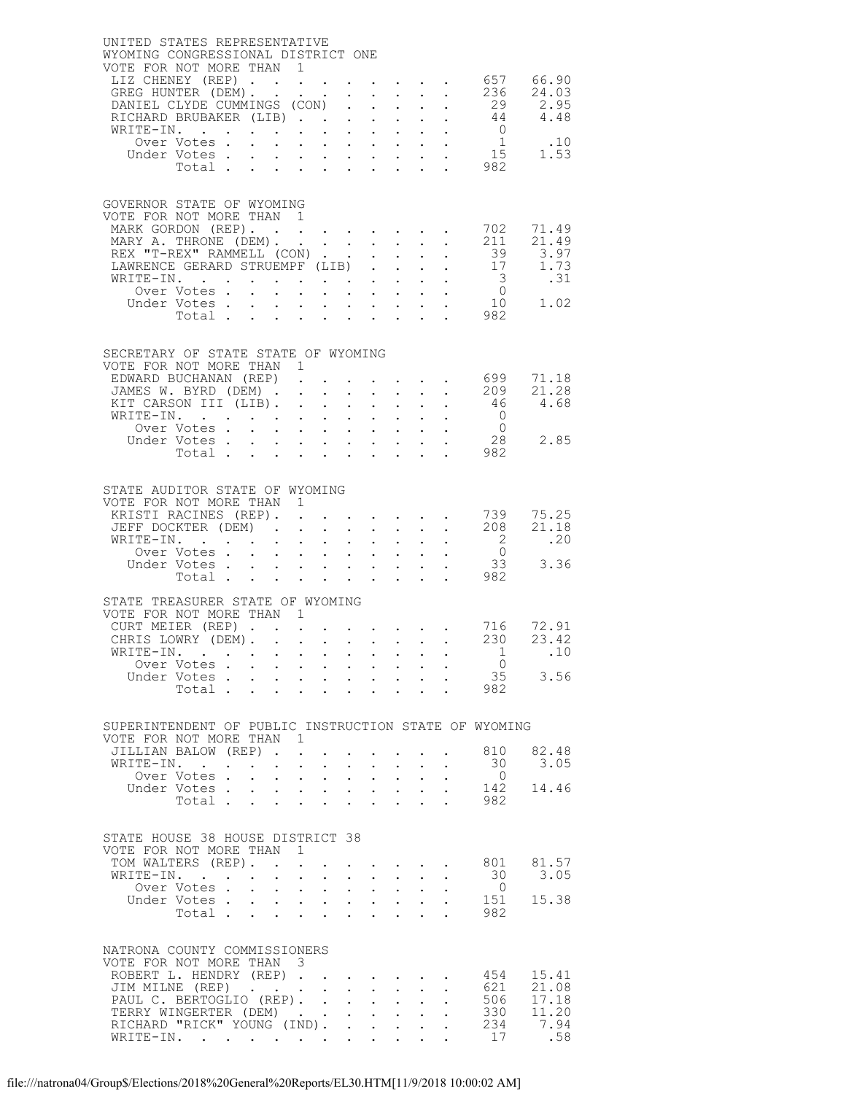| UNITED STATES REPRESENTATIVE<br>WYOMING CONGRESSIONAL DISTRICT ONE<br>VOTE FOR NOT MORE THAN 1 |                                                                                                        |                                                                                                 |                                                             |                                                           |                                                           |                                                                                                                 |                                                       |                 |
|------------------------------------------------------------------------------------------------|--------------------------------------------------------------------------------------------------------|-------------------------------------------------------------------------------------------------|-------------------------------------------------------------|-----------------------------------------------------------|-----------------------------------------------------------|-----------------------------------------------------------------------------------------------------------------|-------------------------------------------------------|-----------------|
| LIZ CHENEY (REP) 657 66.90                                                                     |                                                                                                        |                                                                                                 |                                                             |                                                           |                                                           |                                                                                                                 |                                                       |                 |
| GREG HUNTER (DEM). 236 24.03<br>DANIEL CLYDE CUMMINGS (CON)                                    |                                                                                                        |                                                                                                 | $\mathbf{L}^{\text{max}}$                                   | $\mathbf{L}$                                              | $\sim$ $-$                                                | $\Delta \sim 10^4$                                                                                              |                                                       | 29 2.95         |
| RICHARD BRUBAKER (LIB)                                                                         |                                                                                                        |                                                                                                 |                                                             |                                                           |                                                           |                                                                                                                 | $\overline{0}$                                        | 44 4.48         |
| WRITE-IN.<br>Over Votes                                                                        |                                                                                                        |                                                                                                 |                                                             |                                                           |                                                           |                                                                                                                 | $\frac{1}{15}$                                        | .10             |
| Under Votes                                                                                    | Votes 15<br>Total 982                                                                                  |                                                                                                 |                                                             |                                                           |                                                           |                                                                                                                 |                                                       | 1.53            |
|                                                                                                |                                                                                                        |                                                                                                 |                                                             |                                                           |                                                           |                                                                                                                 |                                                       |                 |
| GOVERNOR STATE OF WYOMING                                                                      |                                                                                                        |                                                                                                 |                                                             |                                                           |                                                           |                                                                                                                 |                                                       |                 |
| VOTE FOR NOT MORE THAN 1<br>MARK GORDON (REP).                                                 |                                                                                                        |                                                                                                 |                                                             |                                                           |                                                           |                                                                                                                 | 702                                                   | 71.49           |
| MARY A. THRONE (DEM). 211                                                                      |                                                                                                        |                                                                                                 |                                                             |                                                           |                                                           |                                                                                                                 |                                                       | 21.49           |
| REX "T-REX" RAMMELL (CON)<br>LAWRENCE GERARD STRUEMPF (LIB)                                    |                                                                                                        |                                                                                                 |                                                             | $\mathcal{L}^{\text{max}}$                                | $\mathbf{L}^{\text{max}}$ , and $\mathbf{L}^{\text{max}}$ |                                                                                                                 | 39                                                    | 3.97<br>17 1.73 |
| WRITE-IN.<br>Over Votes                                                                        |                                                                                                        |                                                                                                 |                                                             |                                                           |                                                           |                                                                                                                 | $\overline{\mathbf{3}}$                               | .31             |
| Under Votes                                                                                    |                                                                                                        | $\mathbf{z} = \mathbf{z} + \mathbf{z}$ .                                                        |                                                             |                                                           |                                                           | $\mathbf{z} = \mathbf{z} + \mathbf{z} + \mathbf{z} + \mathbf{z}$                                                | $\begin{matrix}0\\10\end{matrix}$                     | 1.02            |
|                                                                                                | Total 982                                                                                              |                                                                                                 |                                                             |                                                           |                                                           |                                                                                                                 |                                                       |                 |
|                                                                                                |                                                                                                        |                                                                                                 |                                                             |                                                           |                                                           |                                                                                                                 |                                                       |                 |
| SECRETARY OF STATE STATE OF WYOMING<br>VOTE FOR NOT MORE THAN 1                                |                                                                                                        |                                                                                                 |                                                             |                                                           |                                                           |                                                                                                                 |                                                       |                 |
| EDWARD BUCHANAN (REP)                                                                          |                                                                                                        |                                                                                                 |                                                             |                                                           |                                                           |                                                                                                                 | $\cdot$ $\cdot$ $\cdot$ $\cdot$ 699                   | 71.18<br>21.28  |
| JAMES W. BYRD (DEM) 209<br>KIT CARSON III (LIB).                                               |                                                                                                        |                                                                                                 | $\ddot{\phantom{0}}$                                        | $\mathcal{L}^{\text{max}}$                                | $\sim 10^{-11}$                                           | $\mathbf{L} = \mathbf{L}$                                                                                       | 46                                                    | 4.68            |
| WRITE-IN.<br>Over Votes                                                                        |                                                                                                        | $\mathbf{r} = \mathbf{r} + \mathbf{r} + \mathbf{r} + \mathbf{r}$                                |                                                             |                                                           |                                                           | $\mathbf{r} = \mathbf{r} + \mathbf{r} + \mathbf{r}$                                                             | $\begin{matrix}0\\0\\0\end{matrix}$<br>$\overline{0}$ |                 |
|                                                                                                |                                                                                                        |                                                                                                 |                                                             |                                                           |                                                           |                                                                                                                 | 28                                                    | 2.85            |
|                                                                                                |                                                                                                        |                                                                                                 |                                                             |                                                           |                                                           |                                                                                                                 | 982                                                   |                 |
| STATE AUDITOR STATE OF WYOMING                                                                 |                                                                                                        |                                                                                                 |                                                             |                                                           |                                                           |                                                                                                                 |                                                       |                 |
| VOTE FOR NOT MORE THAN 1                                                                       |                                                                                                        |                                                                                                 |                                                             |                                                           |                                                           |                                                                                                                 |                                                       |                 |
| KRISTI RACINES (REP). 739<br>JEFF DOCKTER (DEM) 208<br>JEFF DOCKTER (DEM).                     |                                                                                                        |                                                                                                 | $\ddot{\phantom{0}}$                                        |                                                           |                                                           | $\mathcal{L}^{\text{max}}$                                                                                      |                                                       | 75.25<br>21.18  |
| WRITE-IN.                                                                                      |                                                                                                        | $\sim$ $-$<br>$\sim$                                                                            |                                                             | $\mathbf{L}^{\text{max}}$ , and $\mathbf{L}^{\text{max}}$ |                                                           | $\mathbf{L}$ and $\mathbf{L}$                                                                                   | $\frac{2}{1}$                                         | .20             |
| Over Votes<br>Under Votes                                                                      | $\mathcal{L}^{\text{max}}$                                                                             | $\mathbf{r} = \mathbf{r} \cdot \mathbf{r}$                                                      | $\mathcal{L}^{\text{max}}$                                  |                                                           | $\mathbf{z} = \mathbf{z} + \mathbf{z} + \mathbf{z}$ .     |                                                                                                                 | $\overline{0}$<br>33                                  | 3.36            |
| Total                                                                                          |                                                                                                        | $\mathcal{L}^{\text{max}}$ , and $\mathcal{L}^{\text{max}}$                                     |                                                             | $\sim$                                                    | $\sim 10^{-11}$                                           |                                                                                                                 | 982                                                   |                 |
| STATE TREASURER STATE OF WYOMING                                                               |                                                                                                        |                                                                                                 |                                                             |                                                           |                                                           |                                                                                                                 |                                                       |                 |
| VOTE FOR NOT MORE THAN 1<br>CURT MEIER (REP)                                                   |                                                                                                        |                                                                                                 |                                                             |                                                           |                                                           |                                                                                                                 |                                                       | 716 72.91       |
| CHRIS LOWRY (DEM).                                                                             |                                                                                                        |                                                                                                 |                                                             |                                                           |                                                           |                                                                                                                 | 230                                                   | 23.42           |
| WRITE-IN.<br>Over Votes                                                                        |                                                                                                        |                                                                                                 |                                                             |                                                           |                                                           |                                                                                                                 | $\frac{1}{2}$<br>$\circ$ 0                            | .10             |
| Under Votes                                                                                    | $\mathcal{L}^{(1)}$                                                                                    | $\mathbf{u} = \mathbf{u} + \mathbf{u}$ , $\mathbf{u} = \mathbf{u}$                              |                                                             |                                                           |                                                           | $\mathbf{u}^{\prime}=\mathbf{u}^{\prime}=\mathbf{u}^{\prime}=\mathbf{u}^{\prime}$ , where $\mathbf{u}^{\prime}$ | 35                                                    | 3.56            |
|                                                                                                | Total 982                                                                                              |                                                                                                 |                                                             |                                                           |                                                           |                                                                                                                 |                                                       |                 |
| SUPERINTENDENT OF PUBLIC INSTRUCTION STATE OF WYOMING                                          |                                                                                                        |                                                                                                 |                                                             |                                                           |                                                           |                                                                                                                 |                                                       |                 |
| VOTE FOR NOT MORE THAN 1                                                                       |                                                                                                        |                                                                                                 |                                                             |                                                           |                                                           |                                                                                                                 |                                                       |                 |
| JILLIAN BALOW (REP) .<br>WRITE-IN.                                                             | . The contract of the contract of the contract of the contract of the contract of the $\mathcal{O}(1)$ | $\sim 10^{-11}$<br>$\bullet$ .                                                                  | $\bullet$ .<br><br><br><br><br><br><br><br><br><br><br><br> | <b>All Cards</b>                                          |                                                           | $\cdot$ $\cdot$ $\cdot$                                                                                         | 810<br>30                                             | 82.48<br>3.05   |
| Over Votes.                                                                                    | $\mathbf{r}$<br>$\mathbf{L}^{\text{max}}$                                                              | $\mathbf{A}^{(1)}$ and $\mathbf{A}^{(2)}$ and                                                   | $\mathbf{A}^{(1)}$ .                                        | $\sim$ $-$                                                | $\sim 10^{-11}$                                           | $\mathbf{z} = \mathbf{z} + \mathbf{z}$                                                                          | $\overline{0}$                                        |                 |
|                                                                                                |                                                                                                        |                                                                                                 |                                                             |                                                           |                                                           |                                                                                                                 | 142<br>982                                            | 14.46           |
|                                                                                                |                                                                                                        |                                                                                                 |                                                             |                                                           |                                                           |                                                                                                                 |                                                       |                 |
| STATE HOUSE 38 HOUSE DISTRICT 38                                                               |                                                                                                        |                                                                                                 |                                                             |                                                           |                                                           |                                                                                                                 |                                                       |                 |
| VOTE FOR NOT MORE THAN 1<br>TOM WALTERS (REP).                                                 |                                                                                                        |                                                                                                 |                                                             |                                                           |                                                           |                                                                                                                 | 801                                                   | 81.57           |
| WRITE-IN.                                                                                      | $\mathbf{L}^{\text{max}}$                                                                              | $\mathbf{u} = \mathbf{u} \cdot \mathbf{u}$ .                                                    | $\sim$                                                      | $\mathbf{L}^{\text{max}}$                                 | $\sim$ $-$                                                | $\ddot{\phantom{0}}$<br>$\sim$                                                                                  | 30<br>$\overline{0}$                                  | 3.05            |
| Over Votes<br>Under Votes                                                                      | $\mathbf{L}^{\text{max}}$                                                                              | $\mathcal{A}^{\mathcal{A}}$ , and $\mathcal{A}^{\mathcal{A}}$ , and $\mathcal{A}^{\mathcal{A}}$ |                                                             | $\mathbf{L}^{\text{max}}$ , $\mathbf{L}^{\text{max}}$     |                                                           | $\mathbf{L}^{\text{max}}$<br>$\ddot{\phantom{0}}$                                                               | 151                                                   | 15.38           |
|                                                                                                | Total                                                                                                  |                                                                                                 |                                                             |                                                           |                                                           |                                                                                                                 | 982                                                   |                 |
|                                                                                                |                                                                                                        |                                                                                                 |                                                             |                                                           |                                                           |                                                                                                                 |                                                       |                 |
| NATRONA COUNTY COMMISSIONERS<br>VOTE FOR NOT MORE THAN 3                                       |                                                                                                        |                                                                                                 |                                                             |                                                           |                                                           |                                                                                                                 |                                                       |                 |
| ROBERT L. HENDRY (REP)<br>JIM MILNE (REP)                                                      |                                                                                                        |                                                                                                 |                                                             |                                                           |                                                           | $\mathbf{L}^{\text{max}}$ , and $\mathbf{L}^{\text{max}}$                                                       | 454<br>621                                            | 15.41<br>21.08  |
| PAUL C. BERTOGLIO (REP).                                                                       |                                                                                                        |                                                                                                 |                                                             | $\mathbf{L}^{\text{max}}$ , and $\mathbf{L}^{\text{max}}$ |                                                           | $\sim$                                                                                                          | 506                                                   | 17.18           |
| TERRY WINGERTER (DEM)<br>RICHARD "RICK" YOUNG (IND). .                                         |                                                                                                        |                                                                                                 |                                                             | $\mathcal{L}^{\text{max}}$ .                              |                                                           | $\sim 10^{-11}$<br>$\ddot{\phantom{0}}$                                                                         | 330<br>234                                            | 11.20<br>7.94   |
| WRITE-IN.                                                                                      |                                                                                                        |                                                                                                 |                                                             |                                                           |                                                           |                                                                                                                 | 17                                                    | .58             |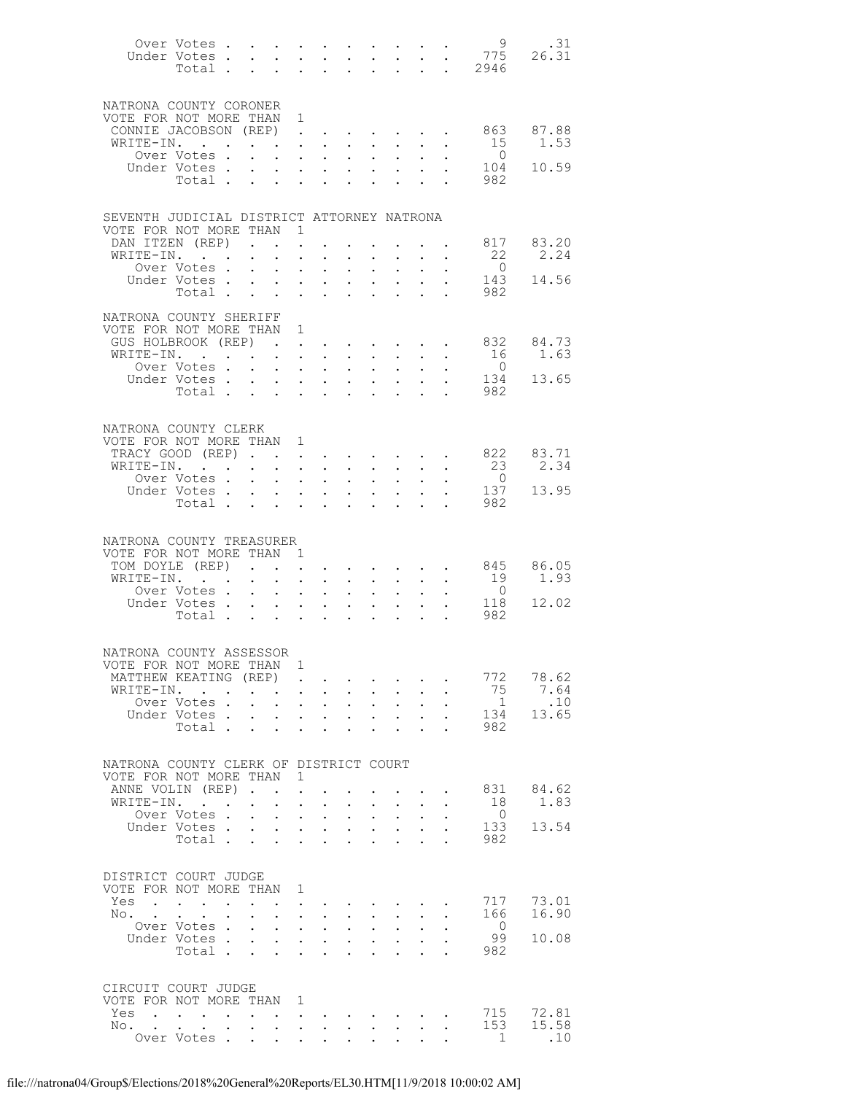|                                                      | Under Votes.<br>Total.     |                  |                                                                                               | $\mathbf{L}$ and $\mathbf{L}$                                   | $\ddot{\phantom{0}}$                              | $\mathbf{L}^{\text{max}}$                                        | $\sim$                                                                                                                                                                | $\ddot{\phantom{0}}$                                             | $\sim$ $\sim$                                                                                                                     | $\ddot{\phantom{0}}$      |                                                                     | . 2946                |                        |
|------------------------------------------------------|----------------------------|------------------|-----------------------------------------------------------------------------------------------|-----------------------------------------------------------------|---------------------------------------------------|------------------------------------------------------------------|-----------------------------------------------------------------------------------------------------------------------------------------------------------------------|------------------------------------------------------------------|-----------------------------------------------------------------------------------------------------------------------------------|---------------------------|---------------------------------------------------------------------|-----------------------|------------------------|
| NATRONA COUNTY CORONER                               |                            |                  |                                                                                               |                                                                 |                                                   |                                                                  |                                                                                                                                                                       |                                                                  |                                                                                                                                   |                           |                                                                     |                       |                        |
| VOTE FOR NOT MORE THAN 1<br>CONNIE JACOBSON (REP)    |                            |                  |                                                                                               |                                                                 |                                                   |                                                                  |                                                                                                                                                                       |                                                                  |                                                                                                                                   |                           |                                                                     | . 863 87.88           |                        |
| WRITE-IN. .                                          |                            |                  | $\mathbf{u} = \mathbf{u} \times \mathbf{u}$ , and $\mathbf{u} = \mathbf{u} \times \mathbf{u}$ |                                                                 |                                                   |                                                                  |                                                                                                                                                                       |                                                                  | $\mathbf{A}^{(n)}$ and $\mathbf{A}^{(n)}$ and $\mathbf{A}^{(n)}$ and                                                              |                           | $\mathbf{z} = \mathbf{z} + \mathbf{z}$ .                            |                       | 15 1.53                |
|                                                      | Over Votes .               |                  | $\mathbf{L}$                                                                                  | $\sim$                                                          |                                                   |                                                                  | $\mathbf{r} = \mathbf{r} + \mathbf{r} + \mathbf{r} + \mathbf{r} + \mathbf{r}$                                                                                         |                                                                  |                                                                                                                                   |                           |                                                                     | $\overline{0}$        | 104 10.59              |
|                                                      | Under Votes<br>Total       |                  |                                                                                               |                                                                 |                                                   |                                                                  | $\mathbf{r} = \mathbf{r} \cdot \mathbf{r}$ , where $\mathbf{r} = \mathbf{r} \cdot \mathbf{r}$                                                                         |                                                                  | $\mathbf{A}^{(n)}$ and $\mathbf{A}^{(n)}$ and $\mathbf{A}^{(n)}$                                                                  | $\mathbf{L}^{\text{max}}$ |                                                                     | $rac{1}{982}$         |                        |
| SEVENTH JUDICIAL DISTRICT ATTORNEY NATRONA           |                            |                  |                                                                                               |                                                                 |                                                   |                                                                  |                                                                                                                                                                       |                                                                  |                                                                                                                                   |                           |                                                                     |                       |                        |
| VOTE FOR NOT MORE THAN 1                             |                            |                  |                                                                                               |                                                                 |                                                   |                                                                  |                                                                                                                                                                       |                                                                  |                                                                                                                                   |                           |                                                                     |                       |                        |
| DAN ITZEN (REP)<br>WRITE-IN.                         |                            |                  | $\ddot{\phantom{a}}$                                                                          | $\sim$ 100 $\pm$<br>$\ddot{\phantom{0}}$                        | $\mathcal{L}^{\pm}$<br>$\ddot{\phantom{0}}$       | $\sim$ $-$                                                       | $\mathbf{L}$                                                                                                                                                          | $\sim$ $\sim$                                                    |                                                                                                                                   |                           |                                                                     | 22                    | 817 83.20<br>2.24      |
|                                                      | Over Votes .               |                  | $\ddotsc$                                                                                     | $\sim 10^{-11}$                                                 | $\mathcal{L}^{\mathcal{L}}$                       | $\sim$ $\sim$                                                    | $\mathbf{L}^{\text{max}}$                                                                                                                                             | $\sim$ $-$                                                       | $\mathbf{L}^{\text{max}}$                                                                                                         | $\bullet$ .               |                                                                     | $\overline{0}$        |                        |
|                                                      | Under Votes<br>Total       |                  |                                                                                               |                                                                 |                                                   | $\mathbf{L}$ and $\mathbf{L}$<br>$\cdot$ $\cdot$                 | $\mathbf{L}$<br>$\sim$                                                                                                                                                | $\sim$<br>$\ddot{\phantom{a}}$                                   | $\sim$<br>$\mathbf{L}$                                                                                                            | $\ddot{\phantom{0}}$      | $\ddot{\phantom{0}}$                                                | 143<br>982            | 14.56                  |
| NATRONA COUNTY SHERIFF                               |                            |                  |                                                                                               |                                                                 |                                                   |                                                                  |                                                                                                                                                                       |                                                                  |                                                                                                                                   |                           |                                                                     |                       |                        |
| VOTE FOR NOT MORE THAN 1                             |                            |                  |                                                                                               |                                                                 |                                                   |                                                                  |                                                                                                                                                                       |                                                                  |                                                                                                                                   |                           |                                                                     |                       |                        |
| GUS HOLBROOK (REP)<br>WRITE-IN.                      |                            |                  |                                                                                               | $\mathcal{A}=\mathcal{A}=\mathcal{A}$ .<br>$\ddot{\phantom{0}}$ |                                                   | $\mathbf{L} = \mathbf{L}$                                        |                                                                                                                                                                       |                                                                  | $\bullet$ . The contract of the $\alpha$<br>$\mathbf{r} = \mathbf{r} + \mathbf{r}$ . The set of the $\mathbf{r}$                  |                           | $\bullet$ .<br><br><br><br><br><br><br><br><br><br><br><br><br><br> | 832<br>16             | 84.73<br>1.63          |
|                                                      | Over Votes .               |                  | $\mathcal{L}^{\text{max}}$                                                                    |                                                                 |                                                   | $\mathbf{A}^{\text{max}}$ , and $\mathbf{A}^{\text{max}}$        | $\mathcal{L}^{\mathcal{L}}$                                                                                                                                           | $\sim 10^{-11}$                                                  | $\mathbf{L}^{\text{max}}$                                                                                                         |                           |                                                                     | $\overline{0}$        |                        |
|                                                      | Under Votes.<br>Total      |                  |                                                                                               | $\cdot$ $\cdot$ $\cdot$                                         |                                                   | $\ddot{\phantom{1}}$<br>$\mathbf{L} = \mathbf{L}$                | $\mathbf{L}$                                                                                                                                                          |                                                                  | $\mathbf{z} = \mathbf{z} + \mathbf{z}$ .<br>$\sim$ $\sim$                                                                         |                           |                                                                     | 982                   | 134 13.65              |
|                                                      |                            |                  |                                                                                               |                                                                 |                                                   |                                                                  | $\mathbf{L}^{\text{max}}$                                                                                                                                             | $\sim$                                                           |                                                                                                                                   | $\ddot{\phantom{0}}$      | $\ddot{\phantom{0}}$                                                |                       |                        |
| NATRONA COUNTY CLERK                                 |                            |                  |                                                                                               |                                                                 |                                                   |                                                                  |                                                                                                                                                                       |                                                                  |                                                                                                                                   |                           |                                                                     |                       |                        |
| VOTE FOR NOT MORE THAN 1<br>TRACY GOOD (REP)         |                            |                  |                                                                                               |                                                                 |                                                   |                                                                  |                                                                                                                                                                       |                                                                  |                                                                                                                                   |                           |                                                                     | . 822 83.71           |                        |
| WRITE-IN. .                                          |                            |                  | $\mathbf{r} = \mathbf{r} + \mathbf{r} + \mathbf{r} + \mathbf{r} + \mathbf{r}$                 |                                                                 |                                                   | $\mathbf{L}^{\text{max}}$ , $\mathbf{L}^{\text{max}}$            |                                                                                                                                                                       |                                                                  | $\mathbf{z} = \mathbf{z} + \mathbf{z}$ , where $\mathbf{z} = \mathbf{z}$<br>$\mathbf{z} = \mathbf{z} + \mathbf{z} + \mathbf{z}$ . |                           | $\mathbf{z} = \mathbf{z} + \mathbf{z}$ .                            | 23                    | 2.34                   |
|                                                      | Over Votes .               |                  | $\mathbf{L}$                                                                                  | $\sim$                                                          | $\ddot{\phantom{a}}$                              | $\sim 10^{-10}$                                                  | $\mathbf{L}$                                                                                                                                                          | $\sim$                                                           |                                                                                                                                   |                           |                                                                     | $\overline{0}$        |                        |
|                                                      | Under Votes<br>Total .     |                  |                                                                                               | $\mathbf{r} = \mathbf{r}$                                       |                                                   | <b>All Carl Carl Corp.</b><br>$\mathbf{r} = \mathbf{r}$          | $\mathcal{L}^{\mathcal{L}}$<br>$\mathbf{L}$                                                                                                                           | $\sim 10^{-11}$                                                  | $\sim$                                                                                                                            | $\bullet$ .               |                                                                     | 137<br>982            | 13.95                  |
|                                                      |                            |                  |                                                                                               |                                                                 |                                                   |                                                                  |                                                                                                                                                                       |                                                                  |                                                                                                                                   |                           |                                                                     |                       |                        |
| NATRONA COUNTY TREASURER                             |                            |                  |                                                                                               |                                                                 |                                                   |                                                                  |                                                                                                                                                                       |                                                                  |                                                                                                                                   |                           |                                                                     |                       |                        |
| VOTE FOR NOT MORE THAN 1<br>TOM DOYLE (REP).         |                            |                  |                                                                                               |                                                                 |                                                   |                                                                  | $\mathbf{u}^{\prime}$ , $\mathbf{u}^{\prime}$ , $\mathbf{u}^{\prime}$ , $\mathbf{u}^{\prime}$ , $\mathbf{u}^{\prime}$ , $\mathbf{u}^{\prime}$ , $\mathbf{u}^{\prime}$ |                                                                  |                                                                                                                                   |                           |                                                                     | 845                   | 86.05                  |
| WRITE-IN.                                            |                            |                  | $\ddot{\phantom{0}}$                                                                          | $\sim$                                                          |                                                   | $\cdot$ $\cdot$ $\cdot$                                          | $\mathbf{L}$                                                                                                                                                          | $\ddot{\phantom{0}}$                                             |                                                                                                                                   |                           |                                                                     | 19                    | 1.93                   |
|                                                      | Over Votes .               |                  | $\ddotsc$                                                                                     | $\sim 10^{-11}$                                                 | $\mathbf{A}^{(1)}$ and                            | $\sim$ $-$                                                       | $\mathbb{Z}^{\mathbb{Z}^{\times}}$                                                                                                                                    | $\mathbf{z} = \mathbf{z}$                                        | $\mathbf{L}^{\text{max}}$                                                                                                         |                           |                                                                     | $\overline{0}$<br>118 |                        |
|                                                      | Under Votes.<br>Total      |                  |                                                                                               | $\mathbf{L} = \mathbf{L}$                                       | $\sim$                                            | $\mathbf{L}$ and $\mathbf{L}$<br>$\ddot{\phantom{a}}$            | $\mathbf{L}$<br>$\ddot{\phantom{a}}$                                                                                                                                  | $\ddot{\phantom{0}}$                                             |                                                                                                                                   |                           |                                                                     | 982                   | 12.02                  |
|                                                      |                            |                  |                                                                                               |                                                                 |                                                   |                                                                  |                                                                                                                                                                       |                                                                  |                                                                                                                                   |                           |                                                                     |                       |                        |
| NATRONA COUNTY ASSESSOR<br>VOTE FOR NOT MORE THAN 1  |                            |                  |                                                                                               |                                                                 |                                                   |                                                                  |                                                                                                                                                                       |                                                                  |                                                                                                                                   |                           |                                                                     |                       |                        |
| MATTHEW KEATING (REP).                               |                            |                  |                                                                                               |                                                                 |                                                   |                                                                  |                                                                                                                                                                       |                                                                  |                                                                                                                                   |                           |                                                                     | 772                   | 78.62                  |
| WRITE-IN. .                                          |                            |                  | $\ddot{\phantom{0}}$                                                                          |                                                                 |                                                   | $\mathbf{A}^{(1)}$ and $\mathbf{A}^{(2)}$ and $\mathbf{A}^{(3)}$ | $\mathbf{L}^{\text{max}}$                                                                                                                                             | $\sim 10^{-11}$                                                  | $\sim$ $-$                                                                                                                        | $\ddot{\phantom{0}}$      | $\bullet$                                                           | 75                    | 7.64                   |
|                                                      | Over Votes.<br>Under Votes |                  | $\ddot{\phantom{0}}$                                                                          | $\mathbf{L}$<br>$\sim 10^{-10}$                                 | $\ddot{\phantom{0}}$<br>$\mathbf{A}^{\text{max}}$ | $\sim$ $\sim$<br>$\bullet$ .                                     | $\ddot{\phantom{0}}$<br>$\mathbf{L}^{\text{max}}$                                                                                                                     | $\ddot{\phantom{0}}$<br>$\sim 10^{-11}$                          | $\sim$ $-$<br>$\sim$ 100 $\pm$                                                                                                    | $\ddot{\phantom{0}}$      |                                                                     | 1<br>134              | .10<br>13.65           |
|                                                      | Total.                     |                  |                                                                                               | $\mathbf{r} = \mathbf{r}$                                       | $\mathbf{r}$                                      | <b>Contract Contract</b>                                         | $\mathbf{L}$                                                                                                                                                          |                                                                  |                                                                                                                                   |                           |                                                                     | 982                   |                        |
| NATRONA COUNTY CLERK OF DISTRICT COURT               |                            |                  |                                                                                               |                                                                 |                                                   |                                                                  |                                                                                                                                                                       |                                                                  |                                                                                                                                   |                           |                                                                     |                       |                        |
| VOTE FOR NOT MORE THAN 1                             |                            |                  |                                                                                               |                                                                 |                                                   |                                                                  |                                                                                                                                                                       |                                                                  |                                                                                                                                   |                           |                                                                     |                       |                        |
| ANNE VOLIN (REP).                                    |                            |                  |                                                                                               | $\sim$ $-$                                                      | $\bullet$                                         |                                                                  |                                                                                                                                                                       |                                                                  |                                                                                                                                   |                           | $\ddot{\phantom{0}}$                                                | 831                   | 84.62                  |
| WRITE-IN.                                            | Over Votes .               |                  | $\ddot{\phantom{0}}$<br>$\mathcal{L}^{\text{max}}$                                            | $\sim$<br>$\sim 100$                                            | $\ddot{\phantom{a}}$<br>$\sim$                    | $\ddot{\phantom{0}}$<br>$\sim 10^{-11}$                          | $\ddot{\phantom{0}}$                                                                                                                                                  | $\sim 10^{-10}$<br>$\mathbf{z} = \mathbf{z} + \mathbf{z}$ .      | $\ddot{\phantom{a}}$<br>$\mathcal{L}^{\text{max}}$                                                                                |                           |                                                                     | 18<br>$\overline{0}$  | 1.83                   |
|                                                      | Under Votes.               |                  |                                                                                               | $\mathbf{r} = \mathbf{r}$                                       |                                                   | $\mathbf{L} = \mathbf{L} \mathbf{L}$                             |                                                                                                                                                                       |                                                                  | $\cdot$ $\cdot$ $\cdot$ $\cdot$                                                                                                   |                           |                                                                     | 133                   | 13.54                  |
|                                                      | Total .                    |                  |                                                                                               | $\mathbf{L} = \mathbf{L}$                                       | $\sim$                                            | $\ddot{\phantom{0}}$                                             | $\ddot{\phantom{0}}$                                                                                                                                                  | $\ddot{\phantom{a}}$                                             | $\ddot{\phantom{0}}$                                                                                                              | $\ddot{\phantom{0}}$      |                                                                     | 982                   |                        |
| DISTRICT COURT JUDGE                                 |                            |                  |                                                                                               |                                                                 |                                                   |                                                                  |                                                                                                                                                                       |                                                                  |                                                                                                                                   |                           |                                                                     |                       |                        |
| VOTE FOR NOT MORE THAN 1                             |                            |                  |                                                                                               |                                                                 |                                                   |                                                                  |                                                                                                                                                                       |                                                                  |                                                                                                                                   |                           |                                                                     |                       |                        |
| Yes                                                  |                            | $\mathbf{r}$     | $\ddot{\phantom{a}}$                                                                          |                                                                 | $\ddot{\phantom{0}}$                              |                                                                  |                                                                                                                                                                       |                                                                  |                                                                                                                                   |                           |                                                                     | 717                   | 73.01                  |
| No.                                                  | Over Votes .               | $\sim$ 100 $\pm$ | $\ddot{\phantom{0}}$<br>$\mathbf{L}$                                                          | $\mathbf{L}^{\text{max}}$<br>$\mathbf{L}$                       | $\ddot{\phantom{a}}$                              | $\mathbf{A}^{(1)}$ and $\mathbf{A}^{(2)}$ and<br>$\sim$          | $\mathbf{L}$                                                                                                                                                          | $\mathbf{z} = \mathbf{z} + \mathbf{z}$ .<br>$\ddot{\phantom{0}}$ | $\sim 100$<br>$\ddot{\phantom{0}}$                                                                                                |                           |                                                                     | 166<br>$\overline{0}$ | 16.90                  |
|                                                      | Under Votes                |                  |                                                                                               | $\sim 100$                                                      |                                                   | $\mathbf{z} = \mathbf{z} + \mathbf{z}$ .                         |                                                                                                                                                                       | $\mathbf{z} = \mathbf{z} + \mathbf{z}$ .                         | $\mathbf{A}^{\mathrm{max}}$                                                                                                       |                           |                                                                     | 99                    | 10.08                  |
|                                                      | Total .                    |                  |                                                                                               | $\mathbf{r} = \mathbf{r}$                                       |                                                   | $\mathbf{r} = \mathbf{r}$                                        | $\mathbf{L}$                                                                                                                                                          |                                                                  |                                                                                                                                   |                           |                                                                     | 982                   |                        |
| CIRCUIT COURT JUDGE                                  |                            |                  |                                                                                               |                                                                 |                                                   |                                                                  |                                                                                                                                                                       |                                                                  |                                                                                                                                   |                           |                                                                     |                       |                        |
| VOTE FOR NOT MORE THAN 1                             |                            |                  |                                                                                               |                                                                 |                                                   |                                                                  |                                                                                                                                                                       |                                                                  |                                                                                                                                   |                           |                                                                     |                       |                        |
| Yes $\cdot$ $\cdot$ $\cdot$ $\cdot$ $\cdot$<br>No. . |                            |                  | $\ddot{\phantom{0}}$                                                                          | $\mathbf{L}$                                                    |                                                   | $\mathbf{L} = \mathbf{L} \mathbf{L}$ .                           | $\mathcal{A}^{\mathcal{A}}$ , and $\mathcal{A}^{\mathcal{A}}$ , and $\mathcal{A}^{\mathcal{A}}$ , and $\mathcal{A}^{\mathcal{A}}$                                     |                                                                  | $\mathbf{r} = \mathbf{r} + \mathbf{r}$                                                                                            | $\ddot{\phantom{0}}$      |                                                                     |                       | 715 72.81<br>153 15.58 |
|                                                      | Over Votes.                |                  | $\ddot{\phantom{0}}$                                                                          | $\bullet$ .<br><br><br><br><br><br><br><br><br><br><br><br>     | $\ddot{\phantom{0}}$                              | $\ddot{\phantom{0}}$                                             |                                                                                                                                                                       |                                                                  |                                                                                                                                   |                           |                                                                     | 1                     | .10                    |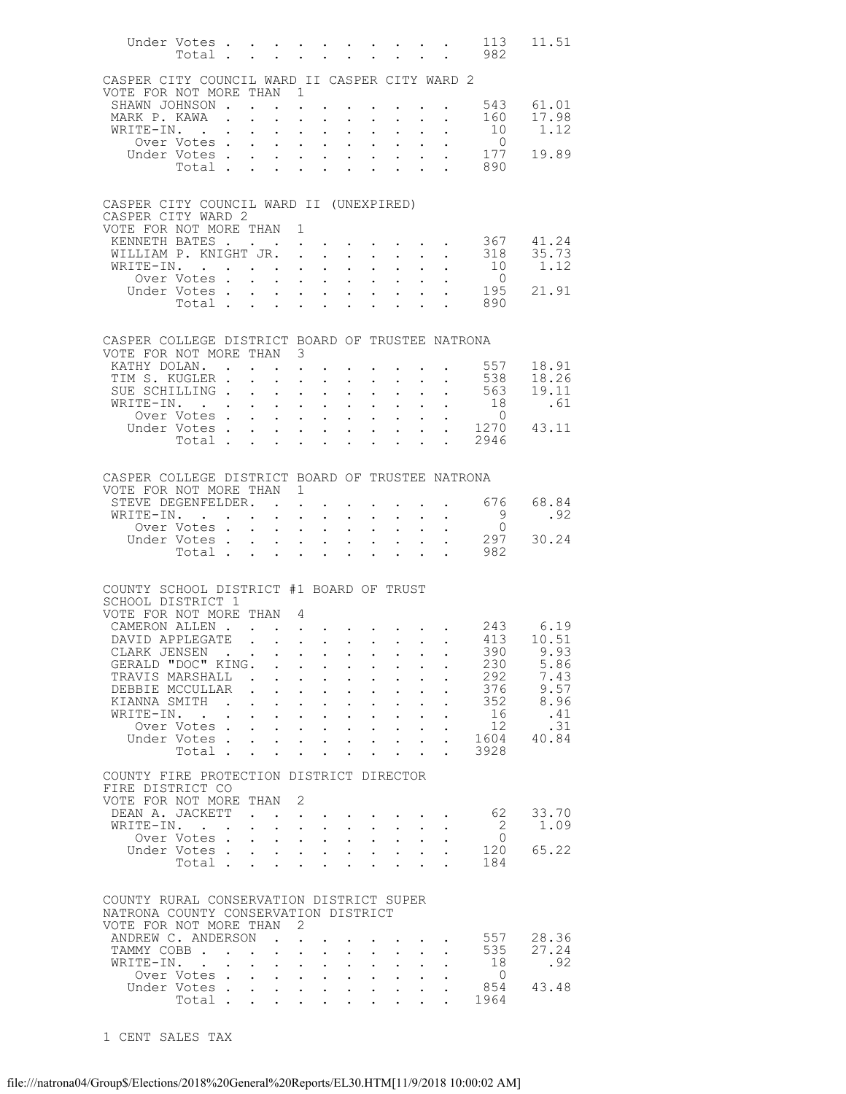|                                                                              | Under Votes<br>Total .           |                             | <b>Contract Contract</b>                             |                                                             | $\sim$ $\sim$                                                                                                |                                                                                     |                                                             |                                                                 |                           |                                                                                                                       | 113<br>982                                                                          | 11.51             |
|------------------------------------------------------------------------------|----------------------------------|-----------------------------|------------------------------------------------------|-------------------------------------------------------------|--------------------------------------------------------------------------------------------------------------|-------------------------------------------------------------------------------------|-------------------------------------------------------------|-----------------------------------------------------------------|---------------------------|-----------------------------------------------------------------------------------------------------------------------|-------------------------------------------------------------------------------------|-------------------|
| CASPER CITY COUNCIL WARD II CASPER CITY WARD 2                               |                                  |                             |                                                      |                                                             |                                                                                                              |                                                                                     |                                                             |                                                                 |                           |                                                                                                                       |                                                                                     |                   |
| VOTE FOR NOT MORE THAN                                                       | SHAWN JOHNSON .                  |                             |                                                      | $\mathbf{1}$                                                |                                                                                                              |                                                                                     |                                                             |                                                                 |                           |                                                                                                                       |                                                                                     | 543 61.01         |
| MARK P. KAWA                                                                 |                                  |                             | $\mathbf{r} = \mathbf{r}$                            | $\ddot{\phantom{0}}$                                        | $\sim$ $-$                                                                                                   | $\bullet$ .<br><br><br><br><br><br><br><br><br><br><br><br>                         | $\sim 10^{-10}$                                             | $\bullet$ .<br><br><br><br><br><br><br><br><br><br><br><br>     |                           | $\mathbf{r}$ , $\mathbf{r}$ , $\mathbf{r}$ , $\mathbf{r}$ , $\mathbf{r}$<br>$\mathbf{z} = \mathbf{z} + \mathbf{z}$ .  | 160                                                                                 | 17.98             |
|                                                                              | WRITE-IN. .                      |                             |                                                      | $\mathbf{L}$                                                | $\mathbf{L}$<br>$\ddot{\phantom{a}}$                                                                         | $\ddot{\phantom{a}}$                                                                |                                                             |                                                                 |                           |                                                                                                                       | 10                                                                                  | 1.12              |
|                                                                              | Over Votes .                     |                             | $\sim$                                               | $\ddotsc$                                                   | $\mathbf{z} = \mathbf{z} + \mathbf{z}$ .                                                                     | $\ddot{\phantom{0}}$                                                                | $\bullet$ .                                                 | $\mathbf{L} = \mathbf{0}$                                       |                           | $\sim$                                                                                                                | $\overline{0}$<br>177                                                               |                   |
|                                                                              | Under Votes.<br>Total .          |                             | $\mathbf{L}^{\text{max}}$<br>$\sim 100$ km s $^{-1}$ | $\mathbf{L}$<br>$\ddot{\phantom{0}}$                        | $\cdot$ $\cdot$<br>$\bullet$ .<br><br><br><br><br><br><br><br><br><br><br><br><br>$\ddot{\phantom{0}}$       | $\ddot{\phantom{a}}$                                                                | $\cdot$ $\cdot$ $\cdot$                                     | $\mathbf{L}$<br>$\ddot{\phantom{a}}$                            |                           |                                                                                                                       | 890                                                                                 | 19.89             |
|                                                                              |                                  |                             |                                                      |                                                             |                                                                                                              |                                                                                     |                                                             |                                                                 |                           |                                                                                                                       |                                                                                     |                   |
| CASPER CITY COUNCIL WARD II (UNEXPIRED)<br>CASPER CITY WARD 2                |                                  |                             |                                                      |                                                             |                                                                                                              |                                                                                     |                                                             |                                                                 |                           |                                                                                                                       |                                                                                     |                   |
| VOTE FOR NOT MORE THAN 1                                                     |                                  |                             |                                                      |                                                             |                                                                                                              |                                                                                     |                                                             |                                                                 |                           |                                                                                                                       |                                                                                     |                   |
|                                                                              | KENNETH BATES                    |                             |                                                      |                                                             |                                                                                                              |                                                                                     |                                                             |                                                                 |                           | $\mathbf{a} = \mathbf{a} + \mathbf{a} + \mathbf{a} + \mathbf{a} + \mathbf{a} + \mathbf{a} + \mathbf{a} + \mathbf{a}$  |                                                                                     | 367 41.24         |
|                                                                              | WILLIAM P. KNIGHT JR. .          |                             |                                                      |                                                             | $\sim$ $\sim$                                                                                                |                                                                                     | $\mathbf{L}$ and $\mathbf{L}$                               | $\mathcal{L}^{\text{max}}$                                      |                           | $\mathbf{L} = \mathbf{L}$                                                                                             |                                                                                     | 318 35.73<br>1.12 |
|                                                                              | WRITE-IN. .<br>Over Votes.       |                             | $\mathbf{z} = \mathbf{z} + \mathbf{z}$ .             |                                                             | $\mathbf{z} = \mathbf{z} + \mathbf{z}$ .<br>$\mathbf{r} = \mathbf{r} + \mathbf{r} + \mathbf{r} + \mathbf{r}$ | $\mathbf{L}^{\text{max}}$<br>$\ddot{\phantom{a}}$                                   | $\bullet$ .                                                 | $\mathbf{L}^{\text{max}}$                                       |                           | $\mathbf{r} = \mathbf{r} + \mathbf{r}$ .                                                                              | 10<br>$\overline{0}$                                                                |                   |
|                                                                              | Under Votes .                    |                             | $\sim$ 100 $\pm$                                     | $\bullet$ .<br><br><br><br><br><br><br><br><br><br><br><br> | $\bullet$ , $\bullet$ , $\bullet$ , $\bullet$                                                                | $\mathbf{L}^{\text{max}}$                                                           | $\bullet$ .                                                 | $\bullet$ .<br><br><br><br><br><br><br><br><br><br><br><br><br> |                           |                                                                                                                       | $\begin{array}{cc} . & 195 \\ . & 890 \end{array}$                                  | 21.91             |
|                                                                              | Total .                          |                             | $\overline{a}$                                       | $\mathbf{r} = \mathbf{r} - \mathbf{r}$                      |                                                                                                              | $\ddot{\phantom{a}}$                                                                |                                                             |                                                                 |                           |                                                                                                                       |                                                                                     |                   |
|                                                                              |                                  |                             |                                                      |                                                             |                                                                                                              |                                                                                     |                                                             |                                                                 |                           |                                                                                                                       |                                                                                     |                   |
| CASPER COLLEGE DISTRICT BOARD OF TRUSTEE NATRONA<br>VOTE FOR NOT MORE THAN 3 |                                  |                             |                                                      |                                                             |                                                                                                              |                                                                                     |                                                             |                                                                 |                           |                                                                                                                       |                                                                                     |                   |
|                                                                              | KATHY DOLAN                      |                             |                                                      | $\mathcal{L}^{\text{max}}$                                  |                                                                                                              |                                                                                     |                                                             |                                                                 |                           |                                                                                                                       | 557                                                                                 | 18.91             |
|                                                                              | TIM S. KUGLER.<br>SUE SCHILLING. |                             |                                                      | $\ddot{\phantom{a}}$                                        |                                                                                                              |                                                                                     |                                                             |                                                                 |                           |                                                                                                                       | 538<br>563                                                                          | 18.26<br>19.11    |
|                                                                              | WRITE-IN.                        |                             | $\sim$                                               | $\mathbf{L}^{\text{max}}$                                   | $\bullet$ , $\bullet$ , $\bullet$ , $\bullet$<br>$1 - 1 - 1 = 1$                                             | $\bullet$ .<br>$\ddot{\phantom{a}}$                                                 | $\bullet$ .<br>$\mathbf{L}$                                 | $\bullet$ .<br><br><br><br><br><br><br><br><br><br><br><br>     |                           | $\mathbf{L}^{\text{max}}$ , and $\mathbf{L}^{\text{max}}$<br>$\mathbf{L} = \mathbf{L}$                                | 18                                                                                  | .61               |
|                                                                              | Over Votes                       |                             |                                                      | $\ddot{\phantom{0}}$                                        | $\mathbf{z} = \mathbf{z} + \mathbf{z}$ .                                                                     | $\mathcal{L}^{\text{max}}$                                                          | $\bullet$ .                                                 | $\ddotsc$                                                       | $\ddot{\phantom{0}}$      |                                                                                                                       | $\overline{0}$<br>$\begin{array}{cccc} . & 0 & & 0 \\ . & 1270 & 43.11 \end{array}$ |                   |
|                                                                              | Under Votes.<br>Total            |                             |                                                      | $\mathbf{L}^{\text{max}}$                                   | $\mathbf{L}^{\text{max}}$<br>$\sim$                                                                          | $\ddot{\phantom{a}}$                                                                |                                                             |                                                                 |                           |                                                                                                                       | . 2946                                                                              |                   |
|                                                                              |                                  |                             |                                                      | $\ddot{\phantom{0}}$                                        | $\ddot{\phantom{a}}$<br>$\bullet$ .<br><br><br><br><br><br><br><br><br><br><br><br>                          | $\ddot{\phantom{a}}$                                                                | $\ddot{\phantom{0}}$                                        | $\ddot{\phantom{0}}$                                            | $\ddot{\phantom{a}}$      |                                                                                                                       |                                                                                     |                   |
| CASPER COLLEGE DISTRICT BOARD OF TRUSTEE NATRONA                             |                                  |                             |                                                      |                                                             |                                                                                                              |                                                                                     |                                                             |                                                                 |                           |                                                                                                                       |                                                                                     |                   |
| VOTE FOR NOT MORE THAN 1                                                     |                                  |                             |                                                      |                                                             |                                                                                                              |                                                                                     |                                                             |                                                                 |                           |                                                                                                                       |                                                                                     |                   |
|                                                                              | STEVE DEGENFELDER.               |                             |                                                      |                                                             |                                                                                                              |                                                                                     |                                                             |                                                                 |                           | <b>Contract Contract Contract</b>                                                                                     | 676 —                                                                               | 68.84             |
|                                                                              | WRITE-IN. .                      |                             | $\mathbf{A}^{(1)}$ and $\mathbf{A}^{(2)}$ and        |                                                             | $\mathbf{z} = \mathbf{z} + \mathbf{z}$ .                                                                     | $\mathbf{L}^{\text{max}}$                                                           | $\bullet$ .                                                 | $\bullet$ .<br><br><br><br><br><br><br><br><br><br><br><br>     |                           | $\mathbf{r} = \mathbf{r} + \mathbf{r}$ .                                                                              | - 9<br>$\overline{0}$                                                               | .92               |
|                                                                              | Over Votes<br>Under Votes        |                             |                                                      | $\mathbf{L}^{\text{max}}$<br>$\ddot{\phantom{0}}$           | $\cdot$ $\cdot$ $\cdot$<br>$\mathbf{z} = \mathbf{z} + \mathbf{z}$ .                                          | $\ddot{\phantom{a}}$<br>$\bullet$ .<br><br><br><br><br><br><br><br><br><br><br><br> | $\bullet$ .                                                 | $\mathbf{L} = \mathbf{0}$                                       | $\ddot{\phantom{0}}$      |                                                                                                                       | 297                                                                                 | 30.24             |
|                                                                              | Total .                          |                             | $\mathbf{r}$                                         | $\mathbf{r}$ and $\mathbf{r}$                               |                                                                                                              | $\ddot{\phantom{a}}$                                                                |                                                             | $\ddot{\phantom{a}}$                                            |                           | <b>Contract Contract Contract</b>                                                                                     | 982                                                                                 |                   |
|                                                                              |                                  |                             |                                                      |                                                             |                                                                                                              |                                                                                     |                                                             |                                                                 |                           |                                                                                                                       |                                                                                     |                   |
| COUNTY SCHOOL DISTRICT #1 BOARD OF TRUST<br>SCHOOL DISTRICT 1                |                                  |                             |                                                      |                                                             |                                                                                                              |                                                                                     |                                                             |                                                                 |                           |                                                                                                                       |                                                                                     |                   |
| VOTE FOR NOT MORE THAN 4                                                     |                                  |                             |                                                      |                                                             |                                                                                                              |                                                                                     |                                                             |                                                                 |                           |                                                                                                                       |                                                                                     |                   |
|                                                                              | CAMERON ALLEN.                   |                             |                                                      | $\mathcal{L}$                                               |                                                                                                              |                                                                                     |                                                             |                                                                 |                           |                                                                                                                       |                                                                                     | 243 6.19          |
|                                                                              | DAVID APPLEGATE                  |                             |                                                      | $\sim$<br>$\ddot{\phantom{a}}$                              |                                                                                                              |                                                                                     |                                                             |                                                                 |                           | $\mathcal{L}(\mathcal{A})$ . The contribution of the contribution of $\mathcal{A}$                                    | 413                                                                                 | 10.51             |
| CLARK JENSEN                                                                 | GERALD "DOC" KING.               |                             |                                                      |                                                             |                                                                                                              |                                                                                     |                                                             |                                                                 |                           | the contract of the contract of the contract of the contract of the contract of the contract of the contract of       | 230                                                                                 | 390 9.93<br>5.86  |
|                                                                              | TRAVIS MARSHALL .                |                             |                                                      |                                                             | $\mathbf{r}$ , and $\mathbf{r}$ , and $\mathbf{r}$                                                           |                                                                                     |                                                             |                                                                 |                           |                                                                                                                       | 292                                                                                 | 7.43              |
|                                                                              | DEBBIE MCCULLAR.                 |                             |                                                      | $\mathbf{L}$                                                | $\mathbf{z} = \mathbf{z} + \mathbf{z}$ .                                                                     | $\sim 100$                                                                          | $\bullet$ .<br><br><br><br><br><br><br><br><br><br><br><br> | $\bullet$ .<br><br><br><br><br><br><br><br><br><br><br><br><br> |                           | $\mathbf{L}^{\text{max}}$ , and $\mathbf{L}^{\text{max}}$                                                             | 376                                                                                 | 9.57              |
| KIANNA SMITH<br>WRITE-IN.                                                    |                                  | $\sim$ $\sim$ $\sim$ $\sim$ |                                                      |                                                             | $\mathbf{1}$ $\mathbf{1}$ $\mathbf{1}$ $\mathbf{1}$ $\mathbf{1}$ $\mathbf{1}$                                |                                                                                     | $\cdot$ $\cdot$                                             |                                                                 |                           |                                                                                                                       | 352<br>16                                                                           | 8.96<br>.41       |
|                                                                              | Over Votes                       | <b>Contract Contract</b>    |                                                      | $\bullet$ .                                                 | $\mathbf{r} = \mathbf{r} + \mathbf{r}$                                                                       |                                                                                     | $\bullet$ .<br><br><br><br><br><br><br><br><br><br><br><br> |                                                                 |                           | $\mathbf{a}^{\prime}$ , $\mathbf{a}^{\prime}$ , $\mathbf{a}^{\prime}$ , $\mathbf{a}^{\prime}$ , $\mathbf{a}^{\prime}$ | 12                                                                                  | .31               |
|                                                                              | Under Votes                      |                             |                                                      | $\ddot{\phantom{0}}$                                        | $\mathbf{z} = \mathbf{z} + \mathbf{z}$ .                                                                     | $\sim 100$                                                                          | $\mathbf{L}^{\text{max}}$                                   | $\sim 100$                                                      | $\mathbf{L}^{\text{max}}$ | $\ddot{\phantom{0}}$                                                                                                  | 1604                                                                                | 40.84             |
|                                                                              | Total                            |                             |                                                      |                                                             |                                                                                                              | $\sim$ $\sim$ $\sim$ $\sim$                                                         |                                                             |                                                                 |                           | $\mathcal{L}^{\text{max}}$ , $\mathcal{L}^{\text{max}}$                                                               | 3928                                                                                |                   |
| COUNTY FIRE PROTECTION DISTRICT DIRECTOR                                     |                                  |                             |                                                      |                                                             |                                                                                                              |                                                                                     |                                                             |                                                                 |                           |                                                                                                                       |                                                                                     |                   |
| FIRE DISTRICT CO                                                             |                                  |                             |                                                      |                                                             |                                                                                                              |                                                                                     |                                                             |                                                                 |                           |                                                                                                                       |                                                                                     |                   |
| VOTE FOR NOT MORE THAN 2                                                     | DEAN A. JACKETT                  |                             | $\mathbf{r}$                                         |                                                             |                                                                                                              |                                                                                     |                                                             |                                                                 |                           |                                                                                                                       | 62                                                                                  | 33.70             |
|                                                                              | WRITE-IN.                        |                             |                                                      |                                                             | $\mathbf{L} = \mathbf{L} \mathbf{L}$                                                                         | $\mathbf{L}$                                                                        |                                                             |                                                                 |                           |                                                                                                                       | $\overline{2}$                                                                      | 1.09              |
|                                                                              | Over Votes.                      |                             | $\mathbf{L}$                                         | $\mathbf{L}^{\text{max}}$                                   | $\mathbf{z} = \mathbf{z} + \mathbf{z}$ .                                                                     | $\mathcal{L}^{\text{max}}$                                                          | $\mathbf{L}^{\text{max}}$                                   |                                                                 |                           |                                                                                                                       | $\circ$ 0                                                                           |                   |
|                                                                              | Under Votes                      |                             |                                                      |                                                             | $\mathbf{r} = \mathbf{r} - \mathbf{r} = \mathbf{r} - \mathbf{r} = \mathbf{r} - \mathbf{r}$                   |                                                                                     |                                                             |                                                                 |                           |                                                                                                                       | 120                                                                                 | 65.22             |
|                                                                              | Total                            |                             |                                                      | $\ddot{\phantom{0}}$                                        | $\mathbf{L} = \mathbf{L}$                                                                                    | $\sim$ 100 $\pm$                                                                    | $\sim$                                                      | $\ddot{\phantom{0}}$                                            |                           |                                                                                                                       | 184                                                                                 |                   |
| COUNTY RURAL CONSERVATION DISTRICT SUPER                                     |                                  |                             |                                                      |                                                             |                                                                                                              |                                                                                     |                                                             |                                                                 |                           |                                                                                                                       |                                                                                     |                   |
| NATRONA COUNTY CONSERVATION DISTRICT                                         |                                  |                             |                                                      |                                                             |                                                                                                              |                                                                                     |                                                             |                                                                 |                           |                                                                                                                       |                                                                                     |                   |
| VOTE FOR NOT MORE THAN                                                       |                                  |                             |                                                      | - 2                                                         |                                                                                                              |                                                                                     |                                                             |                                                                 |                           |                                                                                                                       |                                                                                     |                   |
|                                                                              | ANDREW C. ANDERSON               |                             |                                                      | $\ddot{\phantom{a}}$                                        |                                                                                                              |                                                                                     |                                                             |                                                                 |                           |                                                                                                                       | 557                                                                                 | 28.36<br>27.24    |
| WRITE-IN. .                                                                  | TAMMY COBB                       |                             | $\sim$                                               | $\ddot{\phantom{a}}$<br>$\mathbf{L}^{\text{max}}$           | $\bullet$ , $\bullet$ , $\bullet$ , $\bullet$                                                                | $\bullet$ .                                                                         |                                                             |                                                                 |                           |                                                                                                                       | 535<br>18                                                                           | .92               |
|                                                                              | Over Votes                       |                             |                                                      |                                                             | $\cdot$ $\cdot$ $\cdot$ $\cdot$                                                                              |                                                                                     |                                                             | $\cdot$ $\cdot$ $\cdot$ $\cdot$                                 |                           |                                                                                                                       | $\overline{0}$                                                                      |                   |
|                                                                              | Under Votes                      |                             |                                                      | $\mathbf{L}^{\text{max}}$                                   | $\mathbf{z} = \mathbf{z} + \mathbf{z}$ .                                                                     | $\bullet$ .                                                                         |                                                             |                                                                 |                           |                                                                                                                       | 854                                                                                 | 43.48             |
|                                                                              | Total $\cdots$                   |                             |                                                      |                                                             |                                                                                                              |                                                                                     |                                                             |                                                                 |                           | $\ddot{\phantom{a}}$                                                                                                  | 1964                                                                                |                   |

1 CENT SALES TAX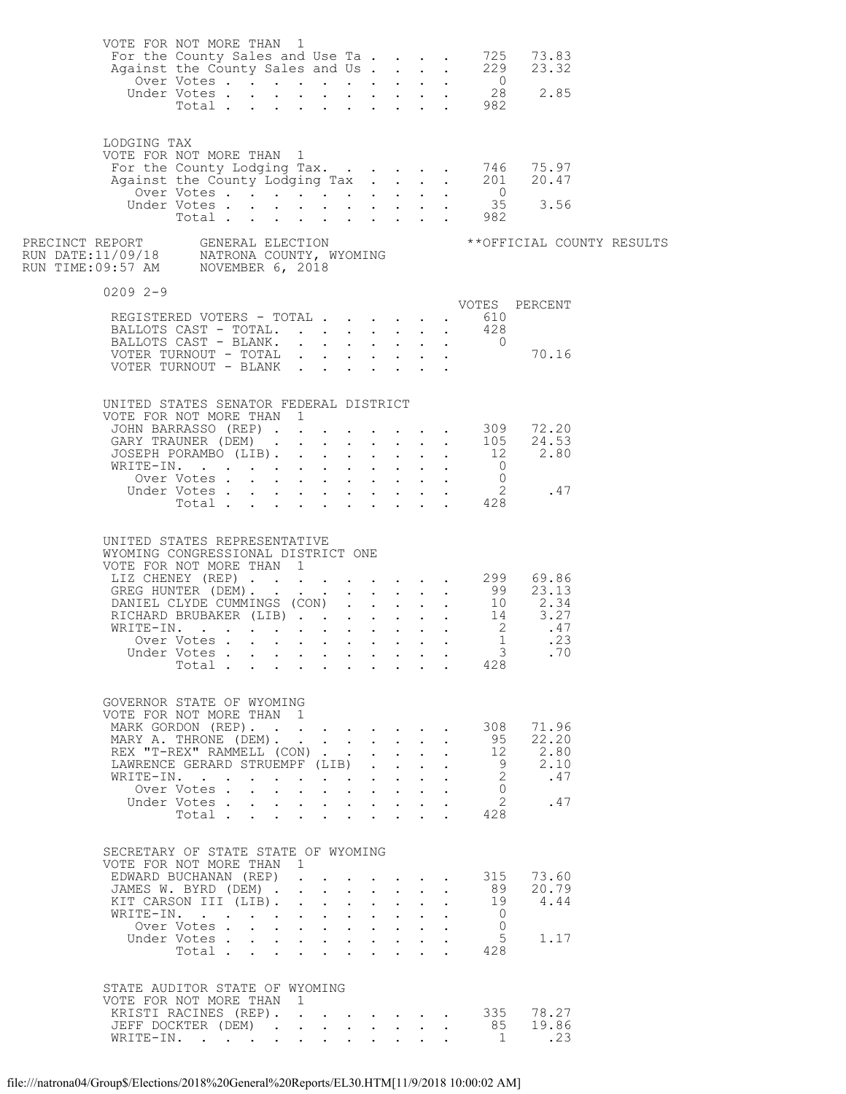|              | VOTE FOR NOT MORE THAN 1                                                                                                                                                                                                                                        |                                         |                                                                                                    |                                                                                                                                                                             |                      |                                                                                                                                                                           |                                                                            |                                            |                      |                                                                          |                                              |  |
|--------------|-----------------------------------------------------------------------------------------------------------------------------------------------------------------------------------------------------------------------------------------------------------------|-----------------------------------------|----------------------------------------------------------------------------------------------------|-----------------------------------------------------------------------------------------------------------------------------------------------------------------------------|----------------------|---------------------------------------------------------------------------------------------------------------------------------------------------------------------------|----------------------------------------------------------------------------|--------------------------------------------|----------------------|--------------------------------------------------------------------------|----------------------------------------------|--|
| LODGING TAX  | VOTE FOR NOT MORE THAN 1                                                                                                                                                                                                                                        |                                         |                                                                                                    |                                                                                                                                                                             |                      |                                                                                                                                                                           |                                                                            |                                            |                      |                                                                          |                                              |  |
|              |                                                                                                                                                                                                                                                                 |                                         |                                                                                                    |                                                                                                                                                                             |                      |                                                                                                                                                                           |                                                                            |                                            |                      |                                                                          |                                              |  |
| $02092 - -9$ |                                                                                                                                                                                                                                                                 |                                         |                                                                                                    |                                                                                                                                                                             |                      |                                                                                                                                                                           |                                                                            |                                            |                      |                                                                          |                                              |  |
|              | REGISTERED VOTERS - TOTAL 610<br>BALLOTS CAST - TOTAL. 428                                                                                                                                                                                                      |                                         |                                                                                                    |                                                                                                                                                                             |                      |                                                                                                                                                                           |                                                                            |                                            |                      |                                                                          |                                              |  |
|              | UNITED STATES SENATOR FEDERAL DISTRICT<br>VOTE FOR NOT MORE THAN 1<br>TOTE FOR NOT MORE THAN 1<br>JOHN BARRASSO (REP) 309 72.20<br>GARY TRAUNER (DEM) 105 24.53<br>JOSEPH PORAMBO (LIB). 12 2.80<br>WRITE-IN. 0<br>Over Votes 0<br>Under Votes 2<br>Total 428   |                                         |                                                                                                    |                                                                                                                                                                             |                      |                                                                                                                                                                           |                                                                            |                                            |                      |                                                                          |                                              |  |
|              | UNITED STATES REPRESENTATIVE<br>WYOMING CONGRESSIONAL DISTRICT ONE<br>Total                                                                                                                                                                                     |                                         |                                                                                                    |                                                                                                                                                                             |                      |                                                                                                                                                                           |                                                                            |                                            |                      | 428                                                                      |                                              |  |
|              | GOVERNOR STATE OF WYOMING<br>VOTE FOR NOT MORE THAN 1<br>MARK GORDON (REP).<br>MARY A. THRONE (DEM).<br>REX "T-REX" RAMMELL (CON)<br>LAWRENCE GERARD STRUEMPF (LIB).<br>WRITE-IN.<br>Over Votes.<br>Under Votes<br>Total<br>SECRETARY OF STATE STATE OF WYOMING | $\sim$<br>$\mathbf{r}$<br>$\sim$ $\sim$ | $\mathbf{L}$                                                                                       | $\mathbf{L}^{\text{max}} = \mathbf{L}^{\text{max}} = \mathbf{L}^{\text{max}} = \mathbf{L}^{\text{max}} = \mathbf{L}^{\text{max}}$<br>$\mathbf{r} = \mathbf{r} + \mathbf{r}$ |                      | $\mathbf{L}$<br>$\mathbf{r} = \mathbf{r} \cdot \mathbf{r}$<br>$\mathbf{L}$<br>$\sim$ $\sim$                                                                               | $\mathbf{L}$<br>$\mathbf{L}$<br>$\mathbf{L}$<br>$\mathbf{L}$               | $\sim$                                     |                      | 308<br>95<br>12<br>9<br>$\overline{2}$<br>$\Omega$<br>$2^{\circ}$<br>428 | 71.96<br>22.20<br>2.80<br>2.10<br>.47<br>.47 |  |
|              | VOTE FOR NOT MORE THAN 1<br>EDWARD BUCHANAN (REP)<br>JAMES W. BYRD (DEM).<br>KIT CARSON III (LIB).<br>WRITE-IN.<br>Over Votes<br>Under Votes<br>Total                                                                                                           | $\sim$                                  | $\sim$<br>$\mathbf{L} = \mathbf{0}$<br>$\bullet$ .<br><br><br><br><br><br><br><br><br><br><br><br> | $\ddot{\phantom{0}}$<br>$\ddot{\phantom{0}}$<br>$\bullet$ .<br><br><br><br><br><br><br><br><br><br><br><br>                                                                 | $\ddot{\phantom{a}}$ | $\mathbf{r} = \mathbf{r} \cdot \mathbf{r}$ .<br>$\ddot{\phantom{a}}$<br>$\mathbf{r} = \mathbf{r} + \mathbf{r} + \mathbf{r}$ .<br>$\mathbf{r} = \mathbf{r} + \mathbf{r}$ . | $\mathbf{L}$<br>$\mathbf{L}$<br>$\mathbf{L}$<br>$\mathcal{L}^{\text{max}}$ | $\mathbf{r}$ , $\mathbf{r}$ , $\mathbf{r}$ | $\ddot{\phantom{a}}$ | 315<br>89<br>19<br>$\bigcirc$<br>$\Omega$<br>5<br>428                    | 73.60<br>20.79<br>4.44<br>1.17               |  |
|              | STATE AUDITOR STATE OF WYOMING<br>VOTE FOR NOT MORE THAN<br>KRISTI RACINES (REP).<br>JEFF DOCKTER (DEM)<br>WRITE-IN.                                                                                                                                            |                                         | 1<br>$\mathbf{L}^{\text{max}}$                                                                     | $\mathbf{L}$                                                                                                                                                                |                      | $\mathbf{L} = \mathbf{L} \mathbf{L} + \mathbf{L} \mathbf{L}$                                                                                                              |                                                                            |                                            |                      | $\cdot$ 335<br>85<br>$\blacksquare$                                      | 78.27<br>19.86<br>.23                        |  |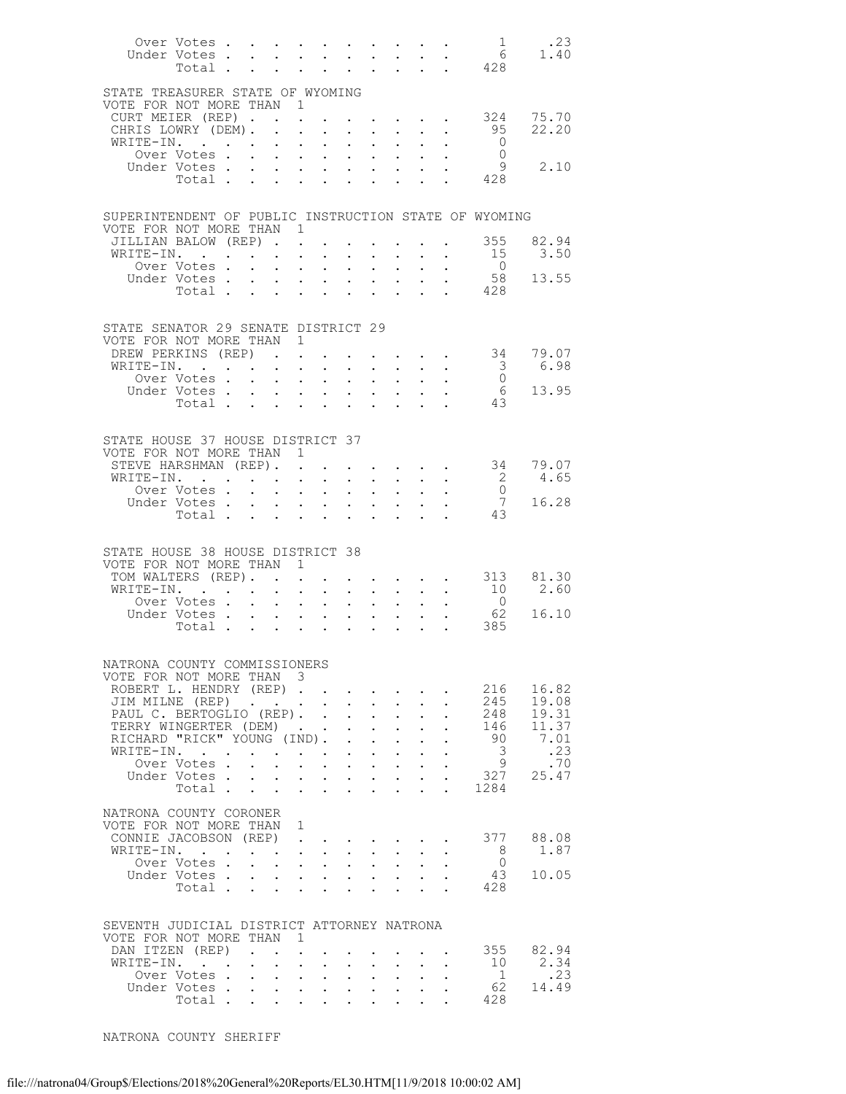|                                                                                                                                                                                                                                                                                                                                                                                                                                                                                                                                                                                                                                                                          | $\overline{1}$<br>.23<br>1.40    |
|--------------------------------------------------------------------------------------------------------------------------------------------------------------------------------------------------------------------------------------------------------------------------------------------------------------------------------------------------------------------------------------------------------------------------------------------------------------------------------------------------------------------------------------------------------------------------------------------------------------------------------------------------------------------------|----------------------------------|
| Under Votes 6<br>Total 428                                                                                                                                                                                                                                                                                                                                                                                                                                                                                                                                                                                                                                               |                                  |
| STATE TREASURER STATE OF WYOMING<br>VOTE FOR NOT MORE THAN 1                                                                                                                                                                                                                                                                                                                                                                                                                                                                                                                                                                                                             |                                  |
| $\cdot$ $\cdot$ $\cdot$ $\cdot$ $\cdot$ $\cdot$ 324<br>CURT MEIER (REP).<br>$\sim$                                                                                                                                                                                                                                                                                                                                                                                                                                                                                                                                                                                       | 75.70<br>95<br>22.20             |
| CHRIS LOWRY (DEM).<br>WRITE-IN.<br>$\sim$<br>$\sim$ $\sim$ $\sim$<br>$\sim 10^{-11}$<br>$\cdot$ $\cdot$ $\cdot$                                                                                                                                                                                                                                                                                                                                                                                                                                                                                                                                                          | $\overline{0}$                   |
| Over Votes                                                                                                                                                                                                                                                                                                                                                                                                                                                                                                                                                                                                                                                               | $\overline{0}$                   |
| Under Votes                                                                                                                                                                                                                                                                                                                                                                                                                                                                                                                                                                                                                                                              | $\overline{9}$<br>2.10           |
| 428<br>Total $\cdots$                                                                                                                                                                                                                                                                                                                                                                                                                                                                                                                                                                                                                                                    |                                  |
| SUPERINTENDENT OF PUBLIC INSTRUCTION STATE OF WYOMING                                                                                                                                                                                                                                                                                                                                                                                                                                                                                                                                                                                                                    |                                  |
| VOTE FOR NOT MORE THAN 1<br>JILLIAN BALOW (REP)<br>$\mathbf{r} = \mathbf{r} + \mathbf{r} + \mathbf{r} + \mathbf{r} + \mathbf{r}$                                                                                                                                                                                                                                                                                                                                                                                                                                                                                                                                         | 355<br>82.94                     |
| WRITE-IN.<br>Over Votes                                                                                                                                                                                                                                                                                                                                                                                                                                                                                                                                                                                                                                                  | 3.50<br>15<br>$\overline{0}$     |
|                                                                                                                                                                                                                                                                                                                                                                                                                                                                                                                                                                                                                                                                          | 58<br>13.55                      |
| $\mathbf{L} = \mathbf{L} \mathbf{L}$                                                                                                                                                                                                                                                                                                                                                                                                                                                                                                                                                                                                                                     | 428                              |
|                                                                                                                                                                                                                                                                                                                                                                                                                                                                                                                                                                                                                                                                          |                                  |
| STATE SENATOR 29 SENATE DISTRICT 29<br>VOTE FOR NOT MORE THAN 1                                                                                                                                                                                                                                                                                                                                                                                                                                                                                                                                                                                                          |                                  |
| DREW PERKINS (REP)                                                                                                                                                                                                                                                                                                                                                                                                                                                                                                                                                                                                                                                       | 79.07<br>34                      |
| WRITE-IN.<br>$\mathbf{r}$ , $\mathbf{r}$ , $\mathbf{r}$<br>$\mathbf{r}$ , $\mathbf{r}$ , $\mathbf{r}$ , $\mathbf{r}$                                                                                                                                                                                                                                                                                                                                                                                                                                                                                                                                                     | 6.98<br>$\overline{\phantom{a}}$ |
| Over Votes                                                                                                                                                                                                                                                                                                                                                                                                                                                                                                                                                                                                                                                               | $\overline{0}$                   |
| Under Votes                                                                                                                                                                                                                                                                                                                                                                                                                                                                                                                                                                                                                                                              | 6<br>13.95<br>43                 |
| Total $\cdots$<br>$\cdot$ $\cdot$                                                                                                                                                                                                                                                                                                                                                                                                                                                                                                                                                                                                                                        |                                  |
| STATE HOUSE 37 HOUSE DISTRICT 37                                                                                                                                                                                                                                                                                                                                                                                                                                                                                                                                                                                                                                         |                                  |
| VOTE FOR NOT MORE THAN 1                                                                                                                                                                                                                                                                                                                                                                                                                                                                                                                                                                                                                                                 |                                  |
| $\cdot$ 34 79.07<br>STEVE HARSHMAN (REP).                                                                                                                                                                                                                                                                                                                                                                                                                                                                                                                                                                                                                                |                                  |
| WRITE-IN.                                                                                                                                                                                                                                                                                                                                                                                                                                                                                                                                                                                                                                                                | $\overline{2}$<br>4.65           |
| Over Votes<br>$\mathbf{r}$ , $\mathbf{r}$ , $\mathbf{r}$                                                                                                                                                                                                                                                                                                                                                                                                                                                                                                                                                                                                                 | $\overline{0}$                   |
| Under Votes<br>Total                                                                                                                                                                                                                                                                                                                                                                                                                                                                                                                                                                                                                                                     | 7<br>16.28                       |
|                                                                                                                                                                                                                                                                                                                                                                                                                                                                                                                                                                                                                                                                          | 43                               |
| STATE HOUSE 38 HOUSE DISTRICT 38                                                                                                                                                                                                                                                                                                                                                                                                                                                                                                                                                                                                                                         |                                  |
| VOTE FOR NOT MORE THAN 1                                                                                                                                                                                                                                                                                                                                                                                                                                                                                                                                                                                                                                                 |                                  |
| TOM WALTERS (REP).<br>$\mathbf{r} = \mathbf{r} \times \mathbf{r}$ , where $\mathbf{r} = \mathbf{r} \times \mathbf{r}$                                                                                                                                                                                                                                                                                                                                                                                                                                                                                                                                                    | 313<br>81.30                     |
| WRITE-IN.<br>$\sim$<br>$\mathbf{L} = \mathbf{L}$<br>$\cdot$ $\cdot$ $\cdot$ $\cdot$<br>$\mathbf{L} = \mathbf{L}$                                                                                                                                                                                                                                                                                                                                                                                                                                                                                                                                                         | 2.60<br>10                       |
| Over Votes                                                                                                                                                                                                                                                                                                                                                                                                                                                                                                                                                                                                                                                               | $\overline{0}$                   |
| Under Votes                                                                                                                                                                                                                                                                                                                                                                                                                                                                                                                                                                                                                                                              | 62<br>16.10                      |
| . 385<br>Total<br>$\sim 10^{-10}$<br>$\mathcal{L}^{\text{max}}$<br>$\sim$ $\sim$                                                                                                                                                                                                                                                                                                                                                                                                                                                                                                                                                                                         |                                  |
| NATRONA COUNTY COMMISSIONERS                                                                                                                                                                                                                                                                                                                                                                                                                                                                                                                                                                                                                                             |                                  |
| VOTE FOR NOT MORE THAN 3                                                                                                                                                                                                                                                                                                                                                                                                                                                                                                                                                                                                                                                 |                                  |
| ROBERT L. HENDRY (REP)                                                                                                                                                                                                                                                                                                                                                                                                                                                                                                                                                                                                                                                   | 16.82<br>216                     |
| JIM MILNE (REP)<br>$\mathbf{L}^{\text{max}}$ , and $\mathbf{L}^{\text{max}}$<br>$\sim$<br>$\ddot{\phantom{a}}$                                                                                                                                                                                                                                                                                                                                                                                                                                                                                                                                                           | 19.08<br>245                     |
| PAUL C. BERTOGLIO (REP).<br>$\sim 10^{-11}$<br>$\mathbf{r}$                                                                                                                                                                                                                                                                                                                                                                                                                                                                                                                                                                                                              | 19.31<br>248<br>11.37            |
| TERRY WINGERTER (DEM)<br>$\mathcal{L}^{\mathcal{L}}$<br>$\sim 10$<br>$\sim$ $-$<br>$\ddot{\phantom{0}}$<br>RICHARD "RICK" YOUNG (IND).<br>$\mathbf{L} = \mathbf{L} \mathbf{L}$<br>$\mathbf{r}$                                                                                                                                                                                                                                                                                                                                                                                                                                                                           | 146<br>- 90<br>7.01              |
| WRITE-IN.<br>$\mathcal{A}^{\mathcal{A}}$ , and $\mathcal{A}^{\mathcal{A}}$ , and $\mathcal{A}^{\mathcal{A}}$<br>$\mathbf{A}^{(1)}$ .<br>$\sim$<br>$\ddot{\phantom{0}}$<br>$\bullet$<br>$\ddot{\phantom{0}}$                                                                                                                                                                                                                                                                                                                                                                                                                                                              | $\mathcal{S}$<br>.23             |
| Over Votes.<br>$\mathbf{L} = \mathbf{L} \mathbf{L}$<br>$\cdot$ $\cdot$ $\cdot$ $\cdot$ $\cdot$ $\cdot$ $\cdot$                                                                                                                                                                                                                                                                                                                                                                                                                                                                                                                                                           | 9<br>.70                         |
| Under Votes<br>$\mathbf{L}^{\text{max}}$<br>$\sim$ $-$<br>$\sim 10^{-11}$<br>$\bullet$ .                                                                                                                                                                                                                                                                                                                                                                                                                                                                                                                                                                                 | 327<br>25.47                     |
| Total<br>$\mathbf{r} = \mathbf{r}$<br>$\Delta \sim 10^{-11}$<br>$\mathbf{r}$ and $\mathbf{r}$<br>$\mathbb{R}^{n \times n}$                                                                                                                                                                                                                                                                                                                                                                                                                                                                                                                                               | 1284                             |
|                                                                                                                                                                                                                                                                                                                                                                                                                                                                                                                                                                                                                                                                          |                                  |
| NATRONA COUNTY CORONER                                                                                                                                                                                                                                                                                                                                                                                                                                                                                                                                                                                                                                                   |                                  |
| VOTE FOR NOT MORE THAN<br>1                                                                                                                                                                                                                                                                                                                                                                                                                                                                                                                                                                                                                                              |                                  |
| CONNIE JACOBSON (REP)<br>$\mathbf{L}^{\text{max}}$                                                                                                                                                                                                                                                                                                                                                                                                                                                                                                                                                                                                                       | 88.08<br>377                     |
| WRITE-IN.<br>$\mathbf{L}^{\text{max}}$ , $\mathbf{L}^{\text{max}}$<br>$\sim$                                                                                                                                                                                                                                                                                                                                                                                                                                                                                                                                                                                             | 1.87<br>8                        |
| Over Votes.<br>$\mathbf{L}$<br>$\mathbf{L} = \mathbf{L} \times \mathbf{L}$<br>$\mathbf{r}$<br>$\sim 10^{-11}$<br>$\mathbf{L}$                                                                                                                                                                                                                                                                                                                                                                                                                                                                                                                                            | $\circ$                          |
| Under Votes<br>$\sim$ $-$<br>$\mathcal{L}^{\mathcal{L}}$<br>$\sim$ $-$<br>$\mathcal{L}^{\text{max}}$<br>$\ddot{\phantom{0}}$<br>Total<br>$\mathbf{L}^{\text{max}}$<br>$\mathbf{L} = \mathbf{L} \mathbf{L}$<br>$\mathcal{L}^{\mathcal{L}^{\mathcal{L}^{\mathcal{L}^{\mathcal{L}^{\mathcal{L}^{\mathcal{L}^{\mathcal{L}^{\mathcal{L}^{\mathcal{L}^{\mathcal{L}^{\mathcal{L}^{\mathcal{L}^{\mathcal{L}^{\mathcal{L}^{\mathcal{L}^{\mathcal{L}^{\mathcal{L}^{\mathcal{L}^{\mathcal{L}^{\mathcal{L}^{\mathcal{L}^{\mathcal{L}^{\mathcal{L}^{\mathcal{L}^{\mathcal{L}^{\mathcal{L}^{\mathcal{L}^{\mathcal{L}^{\mathcal{L}^{\mathcal{L}^{\mathcal$<br>$\mathbf{r} = \mathbf{r}$ | 43<br>10.05<br>428               |
|                                                                                                                                                                                                                                                                                                                                                                                                                                                                                                                                                                                                                                                                          |                                  |
| SEVENTH JUDICIAL DISTRICT ATTORNEY NATRONA                                                                                                                                                                                                                                                                                                                                                                                                                                                                                                                                                                                                                               |                                  |
| VOTE FOR NOT MORE THAN 1                                                                                                                                                                                                                                                                                                                                                                                                                                                                                                                                                                                                                                                 |                                  |
| DAN ITZEN (REP)<br>$\mathbf{L} = \mathbf{L}$<br>$\ddot{\phantom{a}}$                                                                                                                                                                                                                                                                                                                                                                                                                                                                                                                                                                                                     | 82.94<br>355                     |
| WRITE-IN.<br>$\sim$<br>$\mathcal{L}^{\text{max}}$                                                                                                                                                                                                                                                                                                                                                                                                                                                                                                                                                                                                                        | 2.34<br>10<br><sup>1</sup>       |
| Over Votes<br>$\mathcal{L}^{\mathcal{L}}$<br>$\sim 10$<br>$\mathbf{L}^{\text{max}}$<br>$\ddot{\phantom{0}}$<br>Under Votes.<br>$\mathbf{L}$ and $\mathbf{L}$<br>$\mathbf{L}$ and $\mathbf{L}$<br>Total                                                                                                                                                                                                                                                                                                                                                                                                                                                                   | .23<br>62<br>14.49               |

NATRONA COUNTY SHERIFF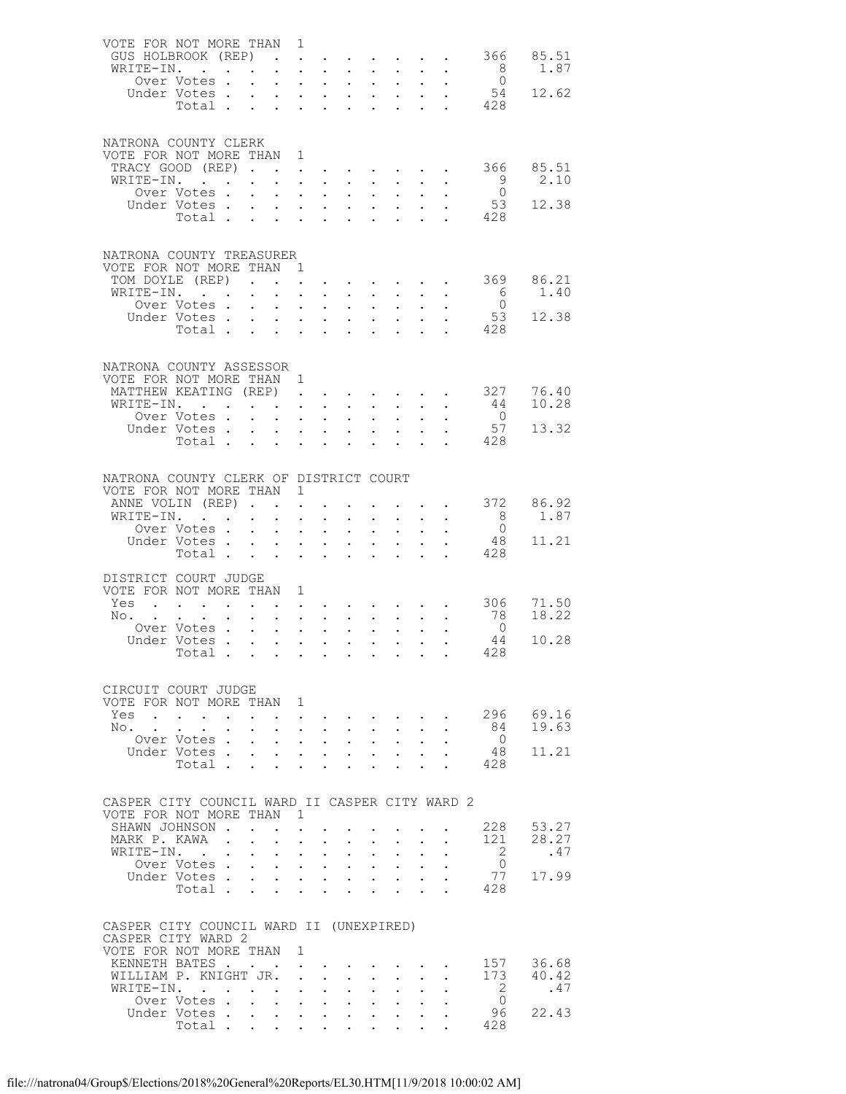| VOTE FOR NOT MORE THAN 1                                      |                                                                             |           |                           |                                                                                                                       |                                                       |                              |                            |                            |                                                                                                                 |                                        |                                                                         |                                   |                |
|---------------------------------------------------------------|-----------------------------------------------------------------------------|-----------|---------------------------|-----------------------------------------------------------------------------------------------------------------------|-------------------------------------------------------|------------------------------|----------------------------|----------------------------|-----------------------------------------------------------------------------------------------------------------|----------------------------------------|-------------------------------------------------------------------------|-----------------------------------|----------------|
| GUS HOLBROOK (REP)                                            |                                                                             |           |                           |                                                                                                                       |                                                       |                              |                            |                            |                                                                                                                 |                                        |                                                                         | 366                               | 85.51          |
| WRITE-IN.                                                     |                                                                             |           |                           | $\mathbf{r} = \mathbf{r} \times \mathbf{r}$ . The $\mathbf{r}$                                                        |                                                       |                              | $\mathbf{L}^{\text{max}}$  |                            | $\mathcal{A}^{\mathcal{A}}$ , $\mathcal{A}^{\mathcal{A}}$ ,                                                     |                                        |                                                                         | 8                                 | 1.87           |
|                                                               | Over Votes<br>Under Votes.                                                  |           |                           |                                                                                                                       |                                                       |                              | $\mathcal{L}^{\text{max}}$ |                            | $\mathbf{L}^{\text{max}}$ , $\mathbf{L}^{\text{max}}$                                                           |                                        |                                                                         | $\overline{0}$<br>$5\overline{4}$ | 12.62          |
|                                                               | Total                                                                       |           | $\mathbf{L}^{\text{max}}$ | $\mathbf{1}^{\prime}$ , $\mathbf{1}^{\prime}$ , $\mathbf{1}^{\prime}$ , $\mathbf{1}^{\prime}$                         |                                                       |                              |                            |                            | $\frac{1}{2}$ , $\frac{1}{2}$ , $\frac{1}{2}$ , $\frac{1}{2}$                                                   |                                        |                                                                         | $\cdot$ $\cdot$ 428               |                |
|                                                               |                                                                             |           |                           |                                                                                                                       |                                                       |                              |                            |                            |                                                                                                                 |                                        |                                                                         |                                   |                |
|                                                               |                                                                             |           |                           |                                                                                                                       |                                                       |                              |                            |                            |                                                                                                                 |                                        |                                                                         |                                   |                |
| NATRONA COUNTY CLERK                                          |                                                                             |           |                           |                                                                                                                       |                                                       |                              |                            |                            |                                                                                                                 |                                        |                                                                         |                                   |                |
| VOTE FOR NOT MORE THAN 1                                      |                                                                             |           |                           |                                                                                                                       |                                                       |                              |                            |                            |                                                                                                                 |                                        |                                                                         | 366                               | 85.51          |
| TRACY GOOD (REP)<br>WRITE-IN.                                 |                                                                             |           |                           |                                                                                                                       | $\mathbf{L}^{\text{max}}$                             |                              |                            |                            |                                                                                                                 |                                        | $\bullet$ .<br><br><br><br><br><br><br><br><br><br><br><br><br><br><br> | 9                                 | 2.10           |
|                                                               |                                                                             |           |                           |                                                                                                                       |                                                       |                              |                            |                            |                                                                                                                 |                                        |                                                                         | $\overline{0}$                    |                |
|                                                               |                                                                             |           |                           |                                                                                                                       |                                                       |                              |                            |                            |                                                                                                                 |                                        |                                                                         | 53                                | 12.38          |
|                                                               | vver votes<br>Under Votes<br>Total                                          |           |                           |                                                                                                                       |                                                       |                              |                            |                            |                                                                                                                 | $\frac{1}{2}$                          |                                                                         | 428                               |                |
|                                                               |                                                                             |           |                           |                                                                                                                       |                                                       |                              |                            |                            |                                                                                                                 |                                        |                                                                         |                                   |                |
|                                                               |                                                                             |           |                           |                                                                                                                       |                                                       |                              |                            |                            |                                                                                                                 |                                        |                                                                         |                                   |                |
| NATRONA COUNTY TREASURER<br>VOTE FOR NOT MORE THAN 1          |                                                                             |           |                           |                                                                                                                       |                                                       |                              |                            |                            |                                                                                                                 |                                        |                                                                         |                                   |                |
| TOM DOYLE (REP)                                               |                                                                             |           |                           |                                                                                                                       |                                                       |                              |                            |                            |                                                                                                                 |                                        |                                                                         | 369                               | 86.21          |
| WRITE-IN.                                                     |                                                                             |           |                           |                                                                                                                       | $\mathbf{L} = \mathbf{L}$                             |                              |                            |                            |                                                                                                                 |                                        |                                                                         | 6                                 | 1.40           |
|                                                               | Over Votes                                                                  |           |                           |                                                                                                                       |                                                       |                              |                            |                            |                                                                                                                 |                                        |                                                                         | $\overline{0}$                    |                |
|                                                               | Under Votes                                                                 |           |                           | $\sim 100$                                                                                                            | $\mathbf{L}^{\text{max}}$ , $\mathbf{L}^{\text{max}}$ |                              |                            |                            | $\begin{array}{ccc} \bullet & \bullet & \bullet & \bullet \\ \bullet & \bullet & \bullet & \bullet \end{array}$ |                                        |                                                                         | 53                                | 12.38          |
|                                                               | Total                                                                       |           |                           |                                                                                                                       |                                                       |                              |                            |                            |                                                                                                                 |                                        |                                                                         | 428                               |                |
|                                                               |                                                                             |           |                           |                                                                                                                       |                                                       |                              |                            |                            |                                                                                                                 |                                        |                                                                         |                                   |                |
| NATRONA COUNTY ASSESSOR                                       |                                                                             |           |                           |                                                                                                                       |                                                       |                              |                            |                            |                                                                                                                 |                                        |                                                                         |                                   |                |
| VOTE FOR NOT MORE THAN 1                                      |                                                                             |           |                           |                                                                                                                       |                                                       |                              |                            |                            |                                                                                                                 |                                        |                                                                         |                                   |                |
| MATTHEW KEATING (REP)                                         |                                                                             |           |                           |                                                                                                                       |                                                       |                              |                            |                            |                                                                                                                 |                                        |                                                                         | 327                               | 76.40          |
| WRITE-IN.                                                     |                                                                             |           |                           |                                                                                                                       |                                                       |                              |                            |                            | $\mathbf{r} = \mathbf{r} + \mathbf{r} + \mathbf{r} + \mathbf{r} + \mathbf{r}$                                   |                                        |                                                                         | 44                                | 10.28          |
|                                                               | Over Votes .                                                                |           | $\ddot{\phantom{0}}$      | $\mathbf{r} = \mathbf{r} \cdot \mathbf{r}$                                                                            |                                                       |                              |                            |                            |                                                                                                                 |                                        |                                                                         | $\overline{0}$                    |                |
|                                                               | Under Votes                                                                 |           |                           |                                                                                                                       |                                                       |                              | $\mathcal{L}^{\text{max}}$ |                            | $\frac{1}{2}$ , $\frac{1}{2}$ , $\frac{1}{2}$                                                                   | $\mathcal{L}^{\text{max}}$             |                                                                         | 57                                | 13.32          |
|                                                               | Total .                                                                     |           | $\mathbf{L}$              | $\mathbf{L}$                                                                                                          | $\mathbf{r} = \mathbf{r}$                             |                              |                            |                            |                                                                                                                 |                                        |                                                                         | 428                               |                |
|                                                               |                                                                             |           |                           |                                                                                                                       |                                                       |                              |                            |                            |                                                                                                                 |                                        |                                                                         |                                   |                |
| NATRONA COUNTY CLERK OF DISTRICT COURT                        |                                                                             |           |                           |                                                                                                                       |                                                       |                              |                            |                            |                                                                                                                 |                                        |                                                                         |                                   |                |
| VOTE FOR NOT MORE THAN 1                                      |                                                                             |           |                           |                                                                                                                       |                                                       |                              |                            |                            |                                                                                                                 |                                        |                                                                         |                                   |                |
| ANNE VOLIN (REP)                                              |                                                                             |           |                           |                                                                                                                       |                                                       | $\ddotsc$                    |                            |                            |                                                                                                                 |                                        | and a strong control of the state of                                    | 372                               | 86.92          |
| WRITE-IN.                                                     |                                                                             |           |                           | $\mathcal{L}^{\mathcal{L}}$                                                                                           | $\sim$                                                |                              |                            | $\mathcal{L}^{\text{max}}$ |                                                                                                                 |                                        |                                                                         | 8                                 | 1.87           |
|                                                               | Over Votes                                                                  |           |                           |                                                                                                                       |                                                       |                              | $\mathbb{R}^{n+1}$         | $\mathcal{L}^{(1)}$        | $\mathbb{Z}^{n+1}$                                                                                              |                                        |                                                                         | $\overline{0}$                    |                |
|                                                               | Under Votes                                                                 |           |                           |                                                                                                                       |                                                       |                              | $\mathbf{L}^{\text{max}}$  |                            | $\mathcal{L}^{(1)}$                                                                                             |                                        |                                                                         | 48                                | 11.21          |
|                                                               | Total                                                                       |           |                           |                                                                                                                       | $\mathbf{L} = \mathbf{L}$                             |                              | $\mathbf{L}^{\text{max}}$  | $\ddot{\phantom{a}}$       |                                                                                                                 | $\mathbf{L}$                           |                                                                         | 428                               |                |
| DISTRICT COURT JUDGE                                          |                                                                             |           |                           |                                                                                                                       |                                                       |                              |                            |                            |                                                                                                                 |                                        |                                                                         |                                   |                |
| VOTE FOR NOT MORE THAN 1                                      |                                                                             |           |                           |                                                                                                                       |                                                       |                              |                            |                            |                                                                                                                 |                                        |                                                                         |                                   |                |
| Yes                                                           | . The contribution of the contribution of the contribution of $\mathcal{A}$ |           |                           |                                                                                                                       |                                                       |                              |                            |                            |                                                                                                                 |                                        |                                                                         | 306                               | 71.50          |
| No.                                                           |                                                                             |           |                           | $\mathbf{1}^{\prime}$ , $\mathbf{1}^{\prime}$ , $\mathbf{1}^{\prime}$ , $\mathbf{1}^{\prime}$ , $\mathbf{1}^{\prime}$ |                                                       |                              |                            |                            |                                                                                                                 |                                        |                                                                         | - 78                              | 18.22          |
|                                                               | Over Votes                                                                  |           |                           |                                                                                                                       |                                                       |                              |                            | $\mathcal{L}^{\text{max}}$ |                                                                                                                 | $\mathbf{r} = \mathbf{r} \mathbf{r}$ . | $\sim$                                                                  | $\overline{0}$                    |                |
|                                                               | Under Votes                                                                 |           |                           | $\mathbf{L}^{\text{max}}$ , and $\mathbf{L}^{\text{max}}$                                                             |                                                       |                              | $\mathcal{L}^{\text{max}}$ |                            |                                                                                                                 |                                        |                                                                         | 44                                | 10.28          |
|                                                               | Total                                                                       |           |                           |                                                                                                                       |                                                       |                              |                            |                            |                                                                                                                 |                                        |                                                                         | 428                               |                |
|                                                               |                                                                             |           |                           |                                                                                                                       |                                                       |                              |                            |                            |                                                                                                                 |                                        |                                                                         |                                   |                |
| CIRCUIT COURT JUDGE                                           |                                                                             |           |                           |                                                                                                                       |                                                       |                              |                            |                            |                                                                                                                 |                                        |                                                                         |                                   |                |
| VOTE FOR NOT MORE THAN 1                                      |                                                                             |           |                           |                                                                                                                       |                                                       |                              |                            |                            |                                                                                                                 |                                        |                                                                         |                                   |                |
| Yes                                                           |                                                                             |           |                           |                                                                                                                       |                                                       |                              |                            |                            |                                                                                                                 |                                        |                                                                         |                                   | 296 69.16      |
| $\mathbb{N} \circ \cdot \cdot \cdot$                          | $\ddot{\phantom{0}}$                                                        |           |                           | $\mathbf{L} = \mathbf{L} \mathbf{L}$                                                                                  |                                                       | $\sim$ $-$                   |                            | $\mathcal{L}^{\text{max}}$ | $\sim$                                                                                                          | $\ddot{\phantom{0}}$                   |                                                                         | 84                                | 19.63          |
|                                                               | Over Votes.<br>Under Votes.                                                 |           |                           | $\ddot{\phantom{0}}$                                                                                                  | $\mathbf{L}$<br>$\mathbf{L}^{\text{max}}$             | $\mathbf{L}$<br>$\mathbf{L}$ |                            |                            |                                                                                                                 |                                        |                                                                         | $\overline{0}$<br>48              | 11.21          |
|                                                               | Total .                                                                     |           | $\ddot{\phantom{0}}$      |                                                                                                                       |                                                       |                              | $\ddot{\phantom{0}}$       | $\mathbf{L}^{\text{max}}$  | $\mathcal{L}^{\mathcal{L}}$                                                                                     |                                        |                                                                         | 428                               |                |
|                                                               |                                                                             |           |                           |                                                                                                                       |                                                       |                              |                            |                            |                                                                                                                 |                                        |                                                                         |                                   |                |
|                                                               |                                                                             |           |                           |                                                                                                                       |                                                       |                              |                            |                            |                                                                                                                 |                                        |                                                                         |                                   |                |
| CASPER CITY COUNCIL WARD II CASPER CITY WARD 2                |                                                                             |           |                           |                                                                                                                       |                                                       |                              |                            |                            |                                                                                                                 |                                        |                                                                         |                                   |                |
| VOTE FOR NOT MORE THAN 1                                      |                                                                             |           |                           |                                                                                                                       |                                                       |                              |                            |                            |                                                                                                                 |                                        |                                                                         |                                   |                |
| SHAWN JOHNSON .                                               |                                                                             |           |                           |                                                                                                                       |                                                       |                              |                            |                            |                                                                                                                 |                                        |                                                                         | 228<br>121                        | 53.27<br>28.27 |
| MARK P. KAWA .<br>WRITE-IN.                                   | $\sim$ $\sim$                                                               | $\bullet$ |                           | $\bullet$<br>$\ddot{\phantom{0}}$                                                                                     |                                                       | $\ddot{\phantom{0}}$         | $\ddot{\phantom{0}}$       | $\ddot{\phantom{0}}$       | $\ddot{\phantom{0}}$                                                                                            |                                        |                                                                         | $\overline{2}$                    | .47            |
|                                                               | Over Votes .                                                                |           | $\bullet$                 |                                                                                                                       | $\mathcal{L}^{\text{max}}$                            |                              |                            |                            |                                                                                                                 |                                        |                                                                         | $\overline{0}$                    |                |
|                                                               | Under Votes .                                                               |           | $\ddot{\phantom{0}}$      | $\mathbf{L}^{\text{max}}$                                                                                             | $\mathcal{L}^{\text{max}}$                            | $\ddot{\phantom{a}}$         | $\ddot{\phantom{0}}$       | $\ddot{\phantom{0}}$       | $\ddot{\phantom{0}}$                                                                                            |                                        |                                                                         | 77                                | 17.99          |
|                                                               | Total .                                                                     |           |                           |                                                                                                                       |                                                       |                              |                            |                            |                                                                                                                 |                                        |                                                                         | 428                               |                |
|                                                               |                                                                             |           |                           |                                                                                                                       |                                                       |                              |                            |                            |                                                                                                                 |                                        |                                                                         |                                   |                |
|                                                               |                                                                             |           |                           |                                                                                                                       |                                                       |                              |                            |                            |                                                                                                                 |                                        |                                                                         |                                   |                |
| CASPER CITY COUNCIL WARD II (UNEXPIRED)<br>CASPER CITY WARD 2 |                                                                             |           |                           |                                                                                                                       |                                                       |                              |                            |                            |                                                                                                                 |                                        |                                                                         |                                   |                |
| VOTE FOR NOT MORE THAN 1                                      |                                                                             |           |                           |                                                                                                                       |                                                       |                              |                            |                            |                                                                                                                 |                                        |                                                                         |                                   |                |
| KENNETH BATES                                                 |                                                                             |           |                           |                                                                                                                       |                                                       |                              |                            |                            |                                                                                                                 |                                        |                                                                         |                                   | 157 36.68      |
| WILLIAM P. KNIGHT JR.                                         |                                                                             |           |                           | $\ddot{\phantom{a}}$                                                                                                  |                                                       | $\ddot{\phantom{0}}$         | $\ddot{\phantom{0}}$       | $\mathcal{L}^{\text{max}}$ | $\ddot{\phantom{0}}$                                                                                            |                                        |                                                                         | 173                               | 40.42          |
| WRITE-IN.                                                     |                                                                             |           |                           |                                                                                                                       |                                                       |                              |                            |                            |                                                                                                                 |                                        |                                                                         | $\overline{2}$                    | .47            |
|                                                               | Over Votes.                                                                 |           |                           | $\mathbf{L}^{\text{max}}$ , $\mathbf{L}^{\text{max}}$                                                                 |                                                       | $\mathbf{L}$                 | $\bullet$ .                | $\bullet$ .                | $\ddot{\phantom{a}}$                                                                                            |                                        |                                                                         | $\overline{0}$                    |                |
|                                                               | Under Votes.                                                                |           |                           |                                                                                                                       |                                                       |                              |                            |                            |                                                                                                                 |                                        |                                                                         | 96                                | 22.43          |
|                                                               | Total .                                                                     |           |                           |                                                                                                                       |                                                       |                              |                            |                            |                                                                                                                 |                                        |                                                                         | 428                               |                |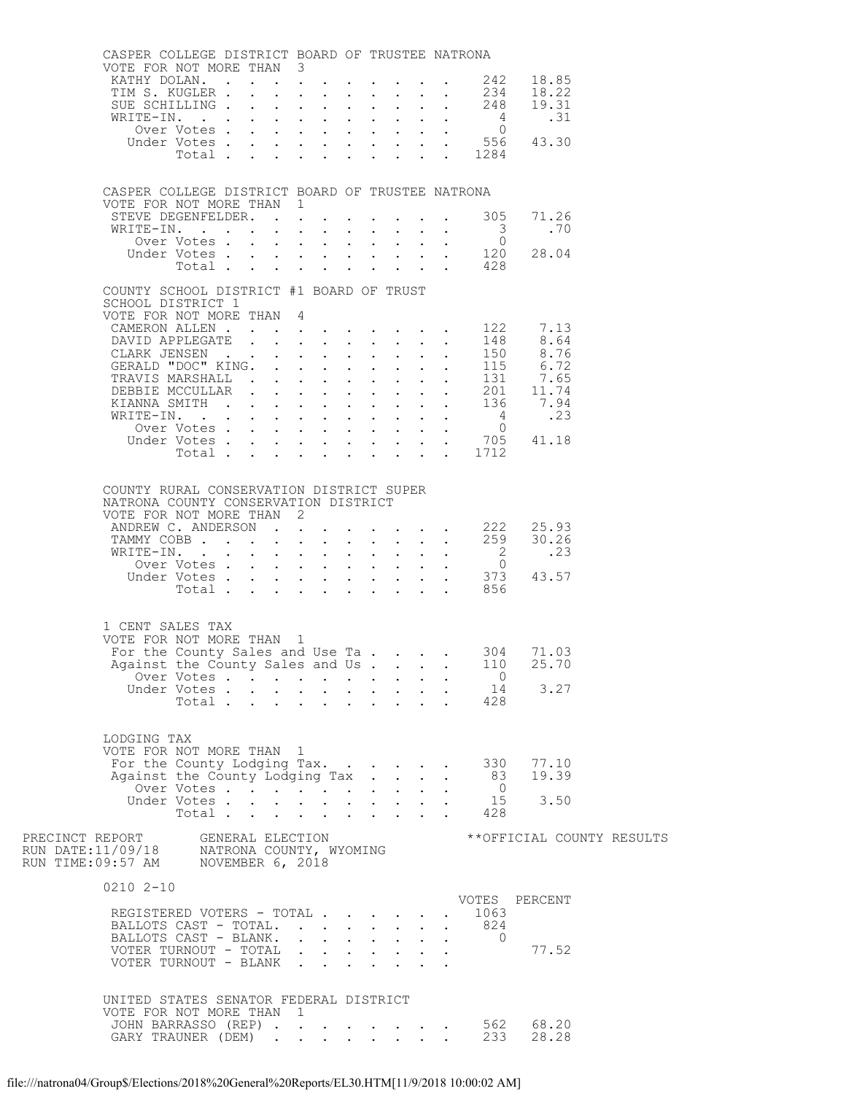|                                                                                                                     | CASPER COLLEGE DISTRICT BOARD OF TRUSTEE NATRONA<br>VOTE FOR NOT MORE THAN 3                                                                                                                                                                                                                                                                           |                                    |  |   |  |                                                                                               |                              |              |                                                 |                                                                                                                                                                                                                                                    |  |
|---------------------------------------------------------------------------------------------------------------------|--------------------------------------------------------------------------------------------------------------------------------------------------------------------------------------------------------------------------------------------------------------------------------------------------------------------------------------------------------|------------------------------------|--|---|--|-----------------------------------------------------------------------------------------------|------------------------------|--------------|-------------------------------------------------|----------------------------------------------------------------------------------------------------------------------------------------------------------------------------------------------------------------------------------------------------|--|
|                                                                                                                     | KATHY DOLAN. 242 18.85                                                                                                                                                                                                                                                                                                                                 |                                    |  |   |  |                                                                                               |                              |              |                                                 |                                                                                                                                                                                                                                                    |  |
|                                                                                                                     |                                                                                                                                                                                                                                                                                                                                                        |                                    |  |   |  |                                                                                               |                              |              |                                                 | TIM S. KUGLER 234 18.22<br>SUE SCHILLING 248 19.31                                                                                                                                                                                                 |  |
|                                                                                                                     |                                                                                                                                                                                                                                                                                                                                                        |                                    |  |   |  |                                                                                               |                              |              |                                                 |                                                                                                                                                                                                                                                    |  |
|                                                                                                                     |                                                                                                                                                                                                                                                                                                                                                        |                                    |  |   |  |                                                                                               |                              |              |                                                 |                                                                                                                                                                                                                                                    |  |
|                                                                                                                     |                                                                                                                                                                                                                                                                                                                                                        |                                    |  |   |  |                                                                                               |                              |              |                                                 |                                                                                                                                                                                                                                                    |  |
|                                                                                                                     | WRITE-IN. 4<br>Over Votes 0<br>Under Votes 556 43.30<br>Total 1284                                                                                                                                                                                                                                                                                     |                                    |  |   |  |                                                                                               |                              |              |                                                 |                                                                                                                                                                                                                                                    |  |
|                                                                                                                     | CASPER COLLEGE DISTRICT BOARD OF TRUSTEE NATRONA                                                                                                                                                                                                                                                                                                       |                                    |  |   |  |                                                                                               |                              |              |                                                 |                                                                                                                                                                                                                                                    |  |
|                                                                                                                     | VOTE FOR NOT MORE THAN 1                                                                                                                                                                                                                                                                                                                               |                                    |  |   |  |                                                                                               |                              |              |                                                 | 71.26                                                                                                                                                                                                                                              |  |
|                                                                                                                     | STEVE DEGENFELDER. 305<br>WRITE-IN.                                                                                                                                                                                                                                                                                                                    |                                    |  |   |  |                                                                                               |                              |              | $\overline{\mathbf{3}}$                         | . 70                                                                                                                                                                                                                                               |  |
|                                                                                                                     |                                                                                                                                                                                                                                                                                                                                                        |                                    |  |   |  |                                                                                               |                              |              |                                                 | 0 ver Votes 0<br>Under Votes 120 28.04                                                                                                                                                                                                             |  |
|                                                                                                                     |                                                                                                                                                                                                                                                                                                                                                        |                                    |  |   |  |                                                                                               |                              |              | Total 428                                       |                                                                                                                                                                                                                                                    |  |
|                                                                                                                     |                                                                                                                                                                                                                                                                                                                                                        |                                    |  |   |  |                                                                                               |                              |              |                                                 |                                                                                                                                                                                                                                                    |  |
|                                                                                                                     | COUNTY SCHOOL DISTRICT #1 BOARD OF TRUST<br>SCHOOL DISTRICT 1<br>VOTE FOR NOT MORE THAN 4                                                                                                                                                                                                                                                              |                                    |  |   |  |                                                                                               |                              |              |                                                 |                                                                                                                                                                                                                                                    |  |
|                                                                                                                     | CAMERON ALLEN 122                                                                                                                                                                                                                                                                                                                                      |                                    |  |   |  |                                                                                               |                              |              |                                                 | 7.13                                                                                                                                                                                                                                               |  |
|                                                                                                                     |                                                                                                                                                                                                                                                                                                                                                        |                                    |  |   |  |                                                                                               |                              |              |                                                 | CANE ALLEM (1997)<br>CLARK JENSEN (1997)<br>CLARK JENSEN (1997)<br>CLARK JENSEN (1997)<br>CLARK JENSEN (1997)<br>CLARK JENSEN (1997)<br>TRAVIS MARSHALL (1997)<br>DEBBIE MCCULLAR (1997)<br>CLARK SMITH (1997)<br>CLARK SMITH (1997)<br>CLARK SMIT |  |
|                                                                                                                     |                                                                                                                                                                                                                                                                                                                                                        |                                    |  |   |  |                                                                                               |                              |              |                                                 |                                                                                                                                                                                                                                                    |  |
|                                                                                                                     |                                                                                                                                                                                                                                                                                                                                                        |                                    |  |   |  |                                                                                               |                              |              |                                                 |                                                                                                                                                                                                                                                    |  |
|                                                                                                                     |                                                                                                                                                                                                                                                                                                                                                        |                                    |  |   |  |                                                                                               |                              |              |                                                 |                                                                                                                                                                                                                                                    |  |
|                                                                                                                     |                                                                                                                                                                                                                                                                                                                                                        |                                    |  |   |  |                                                                                               |                              |              |                                                 |                                                                                                                                                                                                                                                    |  |
|                                                                                                                     |                                                                                                                                                                                                                                                                                                                                                        |                                    |  |   |  |                                                                                               |                              |              |                                                 |                                                                                                                                                                                                                                                    |  |
|                                                                                                                     |                                                                                                                                                                                                                                                                                                                                                        |                                    |  |   |  |                                                                                               |                              |              |                                                 |                                                                                                                                                                                                                                                    |  |
|                                                                                                                     |                                                                                                                                                                                                                                                                                                                                                        |                                    |  |   |  |                                                                                               |                              |              |                                                 |                                                                                                                                                                                                                                                    |  |
|                                                                                                                     |                                                                                                                                                                                                                                                                                                                                                        |                                    |  |   |  |                                                                                               |                              |              |                                                 |                                                                                                                                                                                                                                                    |  |
|                                                                                                                     | COUNTY RURAL CONSERVATION DISTRICT SUPER<br>NATRONA COUNTY CONSERVATION DISTRICT<br>VOTE FOR NOT MORE THAN 2<br>ANDREW C. ANDERSON 222 25.93<br>TAMMY COBB 259<br>WRITE-IN.<br>1 CENT SALES TAX<br>VOTE FOR NOT MORE THAN 1<br>For the County Sales and Use Ta 304 71.03<br>Against the County Sales and Us<br>LODGING TAX<br>VOTE FOR NOT MORE THAN 1 | Over Votes<br>Under Votes<br>Total |  |   |  | $\mathbf{r} = \mathbf{r} \cdot \mathbf{r}$ , where $\mathbf{r} = \mathbf{r} \cdot \mathbf{r}$ |                              |              | Total 856<br>110<br>$\overline{0}$<br>14<br>428 | 30.26<br>RITE-IN. 2<br>Over Votes 0<br>Under Votes 373 43.57<br>25.70<br>3.27                                                                                                                                                                      |  |
|                                                                                                                     | For the County Lodging Tax.                                                                                                                                                                                                                                                                                                                            |                                    |  |   |  |                                                                                               |                              |              | 330                                             | 77.10                                                                                                                                                                                                                                              |  |
|                                                                                                                     | Against the County Lodging Tax                                                                                                                                                                                                                                                                                                                         |                                    |  |   |  |                                                                                               | $\sim$                       | $\mathbf{L}$ | 83                                              | 19.39                                                                                                                                                                                                                                              |  |
|                                                                                                                     |                                                                                                                                                                                                                                                                                                                                                        | Over Votes                         |  |   |  |                                                                                               |                              |              | $\overline{0}$                                  |                                                                                                                                                                                                                                                    |  |
|                                                                                                                     |                                                                                                                                                                                                                                                                                                                                                        | Under Votes<br>Total               |  |   |  |                                                                                               |                              |              | 15<br>428                                       | 3.50                                                                                                                                                                                                                                               |  |
| PRECINCT REPORT GENERAL ELECTION<br>RUN DATE:11/09/18 MATRONA COUNTY, WYOMING<br>RUN TIME:09:57 AM NOVEMBER 6, 2018 |                                                                                                                                                                                                                                                                                                                                                        |                                    |  |   |  |                                                                                               |                              |              |                                                 | **OFFICIAL COUNTY RESULTS                                                                                                                                                                                                                          |  |
|                                                                                                                     | $02102 - 10$                                                                                                                                                                                                                                                                                                                                           |                                    |  |   |  |                                                                                               |                              |              |                                                 |                                                                                                                                                                                                                                                    |  |
|                                                                                                                     | REGISTERED VOTERS - TOTAL<br>BALLOTS CAST - TOTAL.<br>BALLOTS CAST - BLANK.<br>VOTER TURNOUT - TOTAL<br>VOTER TURNOUT - BLANK                                                                                                                                                                                                                          |                                    |  |   |  |                                                                                               | $\sim$<br>$\Delta \sim 10^4$ |              | 1063<br>824<br>$\overline{0}$                   | VOTES PERCENT<br>77.52                                                                                                                                                                                                                             |  |
|                                                                                                                     | UNITED STATES SENATOR FEDERAL DISTRICT                                                                                                                                                                                                                                                                                                                 |                                    |  |   |  |                                                                                               |                              |              |                                                 |                                                                                                                                                                                                                                                    |  |
|                                                                                                                     | VOTE FOR NOT MORE THAN                                                                                                                                                                                                                                                                                                                                 |                                    |  | 1 |  |                                                                                               |                              |              |                                                 |                                                                                                                                                                                                                                                    |  |
|                                                                                                                     |                                                                                                                                                                                                                                                                                                                                                        |                                    |  |   |  |                                                                                               |                              |              |                                                 | JOHN BARRASSO (REP) 562 68.20                                                                                                                                                                                                                      |  |
|                                                                                                                     | GARY TRAUNER (DEM)                                                                                                                                                                                                                                                                                                                                     |                                    |  |   |  |                                                                                               |                              |              | 233                                             | 28.28                                                                                                                                                                                                                                              |  |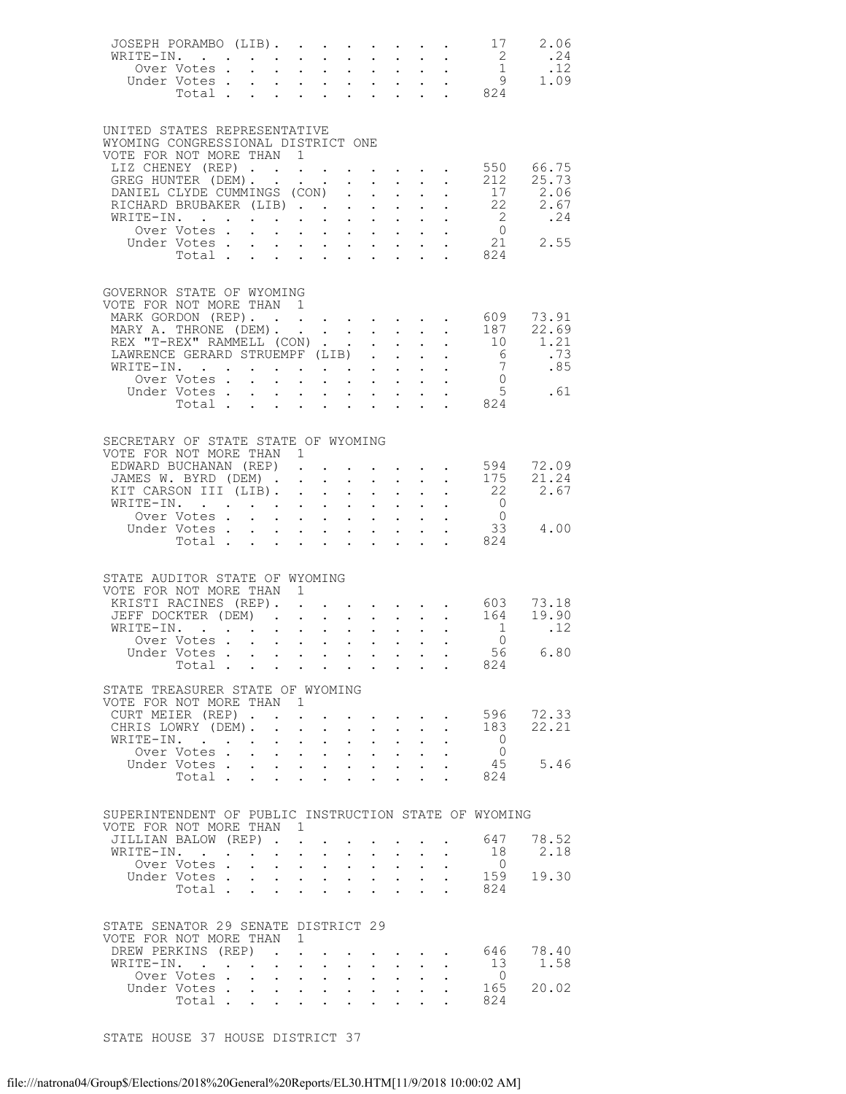| JOSEPH PORAMBO (LIB).<br>WRITE-IN.<br>0ver Votes 1<br>Under Votes 9 1.09<br>Total 824                              |                         |                                                                                                                          |                             |            |                           |                                                                                         |                                                           |                      |                                                                                                                    | $\overline{2}$                         | 17 2.06<br>.24                                                                                                                                                                      |
|--------------------------------------------------------------------------------------------------------------------|-------------------------|--------------------------------------------------------------------------------------------------------------------------|-----------------------------|------------|---------------------------|-----------------------------------------------------------------------------------------|-----------------------------------------------------------|----------------------|--------------------------------------------------------------------------------------------------------------------|----------------------------------------|-------------------------------------------------------------------------------------------------------------------------------------------------------------------------------------|
| UNITED STATES REPRESENTATIVE<br>WYOMING CONGRESSIONAL DISTRICT ONE<br>VOTE FOR NOT MORE THAN 1<br>LIZ CHENEY (REP) |                         |                                                                                                                          |                             |            |                           |                                                                                         |                                                           |                      |                                                                                                                    |                                        | 550 66.75                                                                                                                                                                           |
| GREG HUNTER (DEM).<br>DANIEL CLYDE CUMMINGS (CON).<br>RICHARD BRUBAKER (LIB)                                       |                         |                                                                                                                          |                             |            |                           |                                                                                         | $\mathbf{L}^{\text{max}}$ , and $\mathbf{L}^{\text{max}}$ |                      | $\mathbf{r}$ , $\mathbf{r}$ , $\mathbf{r}$ , $\mathbf{r}$<br>$\mathbf{L}^{\text{max}}$ , $\mathbf{L}^{\text{max}}$ |                                        | 212 25.73<br>$\begin{array}{cc} 17 & 2.06 \\ 22 & 2.67 \end{array}$                                                                                                                 |
| WRITE-IN.<br>Over Votes .<br>Under Votes                                                                           |                         |                                                                                                                          |                             |            |                           |                                                                                         |                                                           |                      |                                                                                                                    |                                        |                                                                                                                                                                                     |
|                                                                                                                    |                         |                                                                                                                          |                             |            |                           |                                                                                         |                                                           |                      |                                                                                                                    |                                        |                                                                                                                                                                                     |
| GOVERNOR STATE OF WYOMING<br>VOTE FOR NOT MORE THAN 1                                                              |                         |                                                                                                                          |                             |            |                           |                                                                                         |                                                           |                      |                                                                                                                    |                                        | 609 73.91                                                                                                                                                                           |
| MARK GORDON (REP).<br>MARY A. THRONE (DEM).                                                                        |                         |                                                                                                                          |                             |            |                           |                                                                                         |                                                           |                      | $\mathbf{r}$ , $\mathbf{r}$                                                                                        |                                        | 187 22.69                                                                                                                                                                           |
| REX "T-REX" RAMMELL (CON)<br>LAWRENCE GERARD STRUEMPF (LIB).                                                       |                         |                                                                                                                          |                             |            |                           |                                                                                         |                                                           |                      | $\mathbf{L}^{\text{max}}$ , $\mathbf{L}^{\text{max}}$                                                              | 10                                     | 1.21                                                                                                                                                                                |
|                                                                                                                    |                         |                                                                                                                          |                             |            |                           |                                                                                         |                                                           |                      | $\mathbf{L}$ and $\mathbf{L}$                                                                                      | 6<br>$7\overline{ }$                   | .73<br>.85                                                                                                                                                                          |
| WRITE-IN.<br>Over Votes                                                                                            |                         |                                                                                                                          |                             |            |                           |                                                                                         |                                                           |                      |                                                                                                                    | $\overline{0}$                         |                                                                                                                                                                                     |
| Under Votes<br>Total                                                                                               |                         | $\mathbf{a} = \mathbf{a} \times \mathbf{a}$ , and $\mathbf{a} = \mathbf{a} \times \mathbf{a}$ , and                      |                             |            |                           |                                                                                         |                                                           |                      |                                                                                                                    | 824                                    | $\overline{5}$<br>.61                                                                                                                                                               |
|                                                                                                                    |                         |                                                                                                                          |                             |            |                           |                                                                                         |                                                           |                      |                                                                                                                    |                                        |                                                                                                                                                                                     |
| SECRETARY OF STATE STATE OF WYOMING<br>VOTE FOR NOT MORE THAN 1                                                    |                         |                                                                                                                          |                             |            |                           |                                                                                         |                                                           |                      |                                                                                                                    |                                        |                                                                                                                                                                                     |
| EDWARD BUCHANAN (REP).                                                                                             |                         |                                                                                                                          |                             |            |                           |                                                                                         |                                                           |                      | $\mathbf{u} = \mathbf{u} + \mathbf{u} + \mathbf{u} + \mathbf{u}$ .                                                 |                                        | 594 72.09                                                                                                                                                                           |
| JAMES W. BYRD (DEM)<br>KIT CARSON III (LIB).                                                                       |                         |                                                                                                                          |                             | $\sim$ $-$ | $\bullet$ .               | $\mathcal{A}^{\mathcal{A}}$ , $\mathcal{A}^{\mathcal{A}}$ , $\mathcal{A}^{\mathcal{A}}$ |                                                           |                      | $\mathcal{L}^{\text{max}}$                                                                                         |                                        | $\frac{1}{2}$ 175 21.24<br>2.67                                                                                                                                                     |
| WRITE-IN.                                                                                                          |                         |                                                                                                                          |                             |            |                           |                                                                                         |                                                           |                      |                                                                                                                    | 22                                     |                                                                                                                                                                                     |
| Over Votes<br>Under Votes                                                                                          |                         |                                                                                                                          |                             |            |                           |                                                                                         |                                                           |                      |                                                                                                                    | $\begin{array}{c} 0 \\ 33 \end{array}$ | 4.00                                                                                                                                                                                |
| Total                                                                                                              |                         |                                                                                                                          |                             |            |                           | $\mathbf{L} = \mathbf{L}$                                                               |                                                           |                      |                                                                                                                    | . 824                                  |                                                                                                                                                                                     |
|                                                                                                                    |                         |                                                                                                                          |                             |            |                           |                                                                                         |                                                           |                      |                                                                                                                    |                                        |                                                                                                                                                                                     |
| STATE AUDITOR STATE OF WYOMING<br>VOTE FOR NOT MORE THAN 1                                                         |                         |                                                                                                                          |                             |            |                           |                                                                                         |                                                           |                      |                                                                                                                    |                                        |                                                                                                                                                                                     |
| KRISTI RACINES (REP). .                                                                                            |                         |                                                                                                                          |                             |            |                           |                                                                                         |                                                           |                      |                                                                                                                    |                                        | $\cdot$ 603 73.18                                                                                                                                                                   |
| JEFF DOCKTER (DEM)<br>WRITE-IN.                                                                                    |                         |                                                                                                                          |                             |            |                           |                                                                                         |                                                           |                      |                                                                                                                    |                                        | $\begin{array}{ccccccccccccc}\n\cdot & \cdot & \cdot & \cdot & \cdot & \cdot & \cdot & 164 & 19.90 \\ \cdot & \cdot & \cdot & \cdot & \cdot & \cdot & \cdot & 1 & .12\n\end{array}$ |
| Over Votes                                                                                                         |                         |                                                                                                                          |                             |            |                           | $\mathbf{L}^{\text{max}}$ , and $\mathbf{L}^{\text{max}}$                               |                                                           |                      |                                                                                                                    | $\overline{0}$                         |                                                                                                                                                                                     |
| Under Votes, and a series and a series                                                                             |                         |                                                                                                                          |                             |            |                           |                                                                                         |                                                           |                      |                                                                                                                    |                                        | $56$ 6.80                                                                                                                                                                           |
| Total                                                                                                              |                         |                                                                                                                          |                             |            |                           |                                                                                         |                                                           |                      |                                                                                                                    | 824                                    |                                                                                                                                                                                     |
| STATE TREASURER STATE OF WYOMING                                                                                   |                         |                                                                                                                          |                             |            |                           |                                                                                         |                                                           |                      |                                                                                                                    |                                        |                                                                                                                                                                                     |
| VOTE FOR NOT MORE THAN 1<br>CURT MEIER (REP).                                                                      |                         |                                                                                                                          |                             |            |                           |                                                                                         |                                                           |                      |                                                                                                                    |                                        |                                                                                                                                                                                     |
| CHRIS LOWRY (DEM).                                                                                                 |                         |                                                                                                                          |                             |            |                           | $\cdot$ $\cdot$ $\cdot$ $\cdot$                                                         |                                                           | $\ddot{\phantom{0}}$ | $\mathcal{A}^{\mathcal{A}}$ . The contribution of the contribution of $\mathcal{A}^{\mathcal{A}}$                  |                                        | 596 72.33<br>183 22.21                                                                                                                                                              |
| WRITE-IN.                                                                                                          |                         |                                                                                                                          |                             |            |                           | $\mathbf{r} = \mathbf{r} + \mathbf{r}$ .                                                |                                                           |                      |                                                                                                                    | $\overline{0}$                         |                                                                                                                                                                                     |
| Over Votes.<br>Under Votes                                                                                         |                         | $\mathbf{r}$ , $\mathbf{r}$ , $\mathbf{r}$ , $\mathbf{r}$ , $\mathbf{r}$ , $\mathbf{r}$<br>and a series of the series of |                             |            |                           |                                                                                         |                                                           |                      |                                                                                                                    | $\overline{0}$                         | 45 5.46                                                                                                                                                                             |
| Total                                                                                                              |                         |                                                                                                                          |                             |            |                           |                                                                                         |                                                           |                      |                                                                                                                    | 824                                    |                                                                                                                                                                                     |
|                                                                                                                    |                         |                                                                                                                          |                             |            |                           |                                                                                         |                                                           |                      |                                                                                                                    |                                        |                                                                                                                                                                                     |
| SUPERINTENDENT OF PUBLIC INSTRUCTION STATE OF WYOMING<br>VOTE FOR NOT MORE THAN 1                                  |                         |                                                                                                                          |                             |            |                           |                                                                                         |                                                           |                      |                                                                                                                    |                                        |                                                                                                                                                                                     |
| JILLIAN BALOW (REP). .                                                                                             |                         |                                                                                                                          |                             |            |                           |                                                                                         |                                                           |                      |                                                                                                                    |                                        | 647 78.52                                                                                                                                                                           |
| WRITE-IN.                                                                                                          | $\cdot$ $\cdot$ $\cdot$ |                                                                                                                          | $\mathbf{r}$ , $\mathbf{r}$ |            |                           | $\cdot$ $\cdot$ $\cdot$ $\cdot$                                                         |                                                           |                      |                                                                                                                    | 18                                     | 2.18                                                                                                                                                                                |
| Over Votes .<br>Under Votes.                                                                                       | $\mathbf{L}$            | $\mathbf{z} = \mathbf{z} + \mathbf{z}$ .                                                                                 |                             |            | $\mathbf{L}^{\text{max}}$ | $\mathcal{L}^{\text{max}}$ , where $\mathcal{L}^{\text{max}}$                           |                                                           |                      |                                                                                                                    | $\circ$<br>$\cdot$ 159                 | 19.30                                                                                                                                                                               |
| Total                                                                                                              |                         |                                                                                                                          |                             |            |                           | $\cdot$ $\cdot$ $\cdot$ $\cdot$                                                         |                                                           | $\sim$               |                                                                                                                    | 824                                    |                                                                                                                                                                                     |
|                                                                                                                    |                         |                                                                                                                          |                             |            |                           |                                                                                         |                                                           |                      |                                                                                                                    |                                        |                                                                                                                                                                                     |
| STATE SENATOR 29 SENATE DISTRICT 29                                                                                |                         |                                                                                                                          |                             |            |                           |                                                                                         |                                                           |                      |                                                                                                                    |                                        |                                                                                                                                                                                     |
| VOTE FOR NOT MORE THAN 1<br>DREW PERKINS (REP)                                                                     |                         | $\sim$ $\sim$ $\sim$ $\sim$                                                                                              |                             |            |                           |                                                                                         |                                                           |                      |                                                                                                                    |                                        | $\cdot$ 646 78.40                                                                                                                                                                   |
| WRITE-IN. .                                                                                                        | $\sim 10^{-11}$         | $\mathbf{z} = \mathbf{z} + \mathbf{z}$ , where                                                                           |                             |            |                           | $\mathbf{r} = \mathbf{r} + \mathbf{r}$                                                  |                                                           |                      |                                                                                                                    | 13                                     | 1.58                                                                                                                                                                                |
| Over Votes                                                                                                         |                         |                                                                                                                          |                             |            |                           |                                                                                         | $\sim$                                                    |                      |                                                                                                                    | $\overline{0}$<br>165                  | 20.02                                                                                                                                                                               |
| Under Votes<br>Total                                                                                               |                         |                                                                                                                          |                             |            |                           |                                                                                         |                                                           |                      | $\mathbf{L} = \mathbf{L}$                                                                                          | 824                                    |                                                                                                                                                                                     |
|                                                                                                                    |                         |                                                                                                                          |                             |            |                           |                                                                                         |                                                           |                      |                                                                                                                    |                                        |                                                                                                                                                                                     |

STATE HOUSE 37 HOUSE DISTRICT 37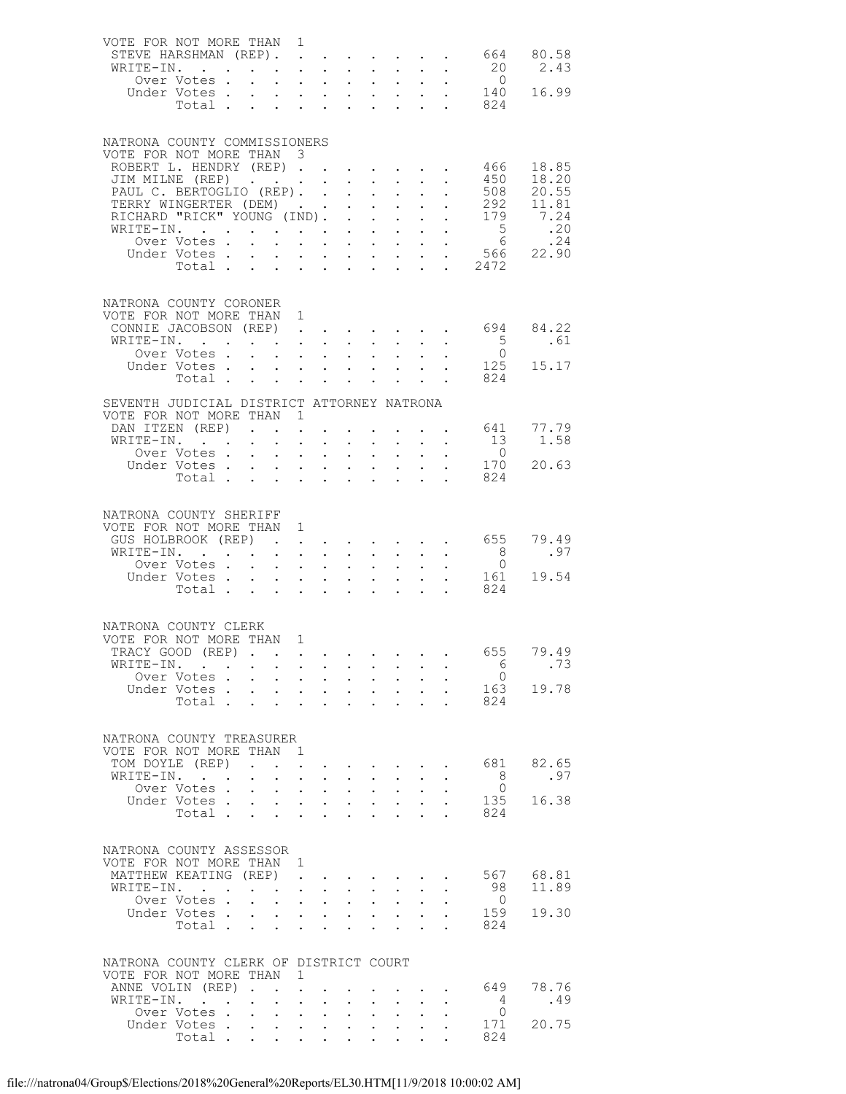| VOTE FOR NOT MORE THAN 1<br>STEVE HARSHMAN (REP).        |                                                  |                                        |                                                                        |                                                               |                                                                                                         |                      |                                                                                                                       |                            |                      | 664                                                                                                                     | 80.58                                            |
|----------------------------------------------------------|--------------------------------------------------|----------------------------------------|------------------------------------------------------------------------|---------------------------------------------------------------|---------------------------------------------------------------------------------------------------------|----------------------|-----------------------------------------------------------------------------------------------------------------------|----------------------------|----------------------|-------------------------------------------------------------------------------------------------------------------------|--------------------------------------------------|
| WRITE-IN.                                                |                                                  |                                        |                                                                        |                                                               | $\mathbf{r}$ , and $\mathbf{r}$ , and $\mathbf{r}$ , and $\mathbf{r}$ , and $\mathbf{r}$                |                      |                                                                                                                       |                            |                      | 20                                                                                                                      | 2.43                                             |
|                                                          | Over Votes .                                     |                                        | $\mathbf{r}$ , $\mathbf{r}$ , $\mathbf{r}$ , $\mathbf{r}$              |                                                               |                                                                                                         |                      |                                                                                                                       |                            |                      | $\begin{array}{cccccccccccccccccc} .& .& .& .& .& .& .& .& .& .& .& 0 \\ .& .& .& .& .& .& .& .& .& .& 140 \end{array}$ |                                                  |
|                                                          | Under Votes                                      |                                        |                                                                        |                                                               |                                                                                                         |                      |                                                                                                                       |                            |                      |                                                                                                                         | 16.99                                            |
|                                                          |                                                  |                                        |                                                                        |                                                               |                                                                                                         |                      |                                                                                                                       |                            |                      | Total 824                                                                                                               |                                                  |
| NATRONA COUNTY COMMISSIONERS                             |                                                  |                                        |                                                                        |                                                               |                                                                                                         |                      |                                                                                                                       |                            |                      |                                                                                                                         |                                                  |
| VOTE FOR NOT MORE THAN 3                                 |                                                  |                                        |                                                                        |                                                               |                                                                                                         |                      |                                                                                                                       |                            |                      |                                                                                                                         |                                                  |
| ROBERT L. HENDRY (REP)                                   |                                                  |                                        |                                                                        |                                                               |                                                                                                         |                      |                                                                                                                       |                            |                      | 466                                                                                                                     | 18.85                                            |
| JIM MILNE (REP)                                          |                                                  |                                        |                                                                        |                                                               |                                                                                                         |                      |                                                                                                                       |                            |                      | 450                                                                                                                     | 18.20                                            |
| PAUL C. BERTOGLIO (REP).                                 |                                                  |                                        |                                                                        |                                                               |                                                                                                         |                      |                                                                                                                       |                            |                      | 508                                                                                                                     | 20.55                                            |
| TERRY WINGERTER (DEM) 292<br>RICHARD "RICK" YOUNG (IND). |                                                  |                                        |                                                                        |                                                               |                                                                                                         |                      |                                                                                                                       |                            |                      | 179                                                                                                                     | 11.81<br>$\frac{1}{7}$ . 24                      |
| WRITE-IN.                                                |                                                  |                                        |                                                                        |                                                               | $\bullet$ .                                                                                             |                      |                                                                                                                       |                            |                      |                                                                                                                         |                                                  |
|                                                          | Over Votes.                                      |                                        | $\mathbf{L}$                                                           |                                                               | $\mathbf{r} = \mathbf{r} + \mathbf{r} + \mathbf{r} + \mathbf{r} + \mathbf{r} + \mathbf{r} + \mathbf{r}$ |                      |                                                                                                                       |                            |                      |                                                                                                                         | .24                                              |
|                                                          |                                                  |                                        |                                                                        |                                                               |                                                                                                         |                      |                                                                                                                       |                            |                      |                                                                                                                         | Under Votes 566 $22.\overline{90}$<br>Total 2472 |
|                                                          |                                                  |                                        |                                                                        |                                                               |                                                                                                         |                      |                                                                                                                       |                            |                      |                                                                                                                         |                                                  |
|                                                          |                                                  |                                        |                                                                        |                                                               |                                                                                                         |                      |                                                                                                                       |                            |                      |                                                                                                                         |                                                  |
| NATRONA COUNTY CORONER<br>VOTE FOR NOT MORE THAN 1       |                                                  |                                        |                                                                        |                                                               |                                                                                                         |                      |                                                                                                                       |                            |                      |                                                                                                                         |                                                  |
| CONNIE JACOBSON (REP)                                    |                                                  |                                        |                                                                        |                                                               |                                                                                                         |                      |                                                                                                                       |                            |                      | 694                                                                                                                     | 84.22                                            |
| WRITE-IN.                                                |                                                  |                                        |                                                                        |                                                               | $\mathbf{r}$ , $\mathbf{r}$ , $\mathbf{r}$ , $\mathbf{r}$ , $\mathbf{r}$ , $\mathbf{r}$                 |                      |                                                                                                                       |                            |                      | $5^{\circ}$                                                                                                             | .61                                              |
|                                                          | Over Votes                                       |                                        |                                                                        |                                                               |                                                                                                         |                      | $\mathbf{u}^{\prime}$ , $\mathbf{u}^{\prime}$ , $\mathbf{u}^{\prime}$ , $\mathbf{u}^{\prime}$ , $\mathbf{u}^{\prime}$ |                            |                      | $\bigcirc$                                                                                                              |                                                  |
|                                                          | Under Votes                                      |                                        |                                                                        |                                                               |                                                                                                         |                      | $\mathbf{L} = \mathbf{L}$                                                                                             |                            |                      | 125<br>824                                                                                                              | 15.17                                            |
|                                                          | Total                                            |                                        |                                                                        |                                                               |                                                                                                         |                      |                                                                                                                       |                            | $\ddot{\phantom{a}}$ |                                                                                                                         |                                                  |
| SEVENTH JUDICIAL DISTRICT ATTORNEY NATRONA               |                                                  |                                        |                                                                        |                                                               |                                                                                                         |                      |                                                                                                                       |                            |                      |                                                                                                                         |                                                  |
| VOTE FOR NOT MORE THAN 1<br>DAN ITZEN (REP)              |                                                  |                                        |                                                                        |                                                               |                                                                                                         |                      | $\mathbf{r}$ , $\mathbf{r}$ , $\mathbf{r}$                                                                            |                            |                      | 641                                                                                                                     | 77.79                                            |
| WRITE-IN.                                                |                                                  |                                        | $\sim$                                                                 | $\mathbf{L}$ and $\mathbf{L}$                                 | $\ddot{\phantom{0}}$                                                                                    |                      | $\mathbf{L}$ and $\mathbf{L}$                                                                                         |                            |                      | 13                                                                                                                      | 1.58                                             |
|                                                          | Over Votes                                       |                                        |                                                                        |                                                               |                                                                                                         |                      | <b>All Carl Adams</b>                                                                                                 |                            |                      | $\overline{0}$                                                                                                          |                                                  |
|                                                          | Under Votes                                      |                                        |                                                                        |                                                               |                                                                                                         |                      | $\cdot$ $\cdot$ $\cdot$                                                                                               |                            |                      | 170                                                                                                                     | 20.63                                            |
|                                                          | Total $\cdots$                                   |                                        |                                                                        |                                                               |                                                                                                         |                      |                                                                                                                       |                            |                      | 824                                                                                                                     |                                                  |
|                                                          |                                                  |                                        |                                                                        |                                                               |                                                                                                         |                      |                                                                                                                       |                            |                      |                                                                                                                         |                                                  |
| NATRONA COUNTY SHERIFF                                   |                                                  |                                        |                                                                        |                                                               |                                                                                                         |                      |                                                                                                                       |                            |                      |                                                                                                                         |                                                  |
| VOTE FOR NOT MORE THAN 1<br>GUS HOLBROOK (REP)           |                                                  |                                        |                                                                        |                                                               |                                                                                                         |                      |                                                                                                                       |                            |                      | $\cdot$ 655                                                                                                             | 79.49                                            |
| WRITE-IN.                                                |                                                  |                                        |                                                                        |                                                               |                                                                                                         |                      |                                                                                                                       |                            |                      | 8 <sup>8</sup>                                                                                                          | .97                                              |
|                                                          | Over Votes                                       |                                        | $\mathbf{r}$ and $\mathbf{r}$ and $\mathbf{r}$                         |                                                               |                                                                                                         |                      | $\cdot$ $\cdot$ $\cdot$ $\cdot$                                                                                       |                            |                      | $\overline{0}$                                                                                                          |                                                  |
|                                                          | Under Votes                                      |                                        |                                                                        |                                                               |                                                                                                         |                      | $\mathbf{L}^{\text{max}}$ , $\mathbf{L}^{\text{max}}$                                                                 | $\mathcal{L}^{\text{max}}$ | $\ddot{\phantom{0}}$ | 161                                                                                                                     | 19.54                                            |
|                                                          | Total                                            |                                        |                                                                        |                                                               |                                                                                                         |                      | $\mathbf{r} = \mathbf{r} \cdot \mathbf{r}$                                                                            |                            | $\mathbf{L}$         | 824                                                                                                                     |                                                  |
|                                                          |                                                  |                                        |                                                                        |                                                               |                                                                                                         |                      |                                                                                                                       |                            |                      |                                                                                                                         |                                                  |
| NATRONA COUNTY CLERK                                     |                                                  |                                        |                                                                        |                                                               |                                                                                                         |                      |                                                                                                                       |                            |                      |                                                                                                                         |                                                  |
| VOTE FOR NOT MORE THAN 1                                 |                                                  |                                        |                                                                        |                                                               |                                                                                                         |                      |                                                                                                                       |                            |                      |                                                                                                                         |                                                  |
| TRACY GOOD (REP)<br>WRITE-IN.                            |                                                  |                                        |                                                                        |                                                               |                                                                                                         |                      |                                                                                                                       |                            |                      | 655<br>- 6                                                                                                              | 79.49<br>.73                                     |
|                                                          | Over Votes                                       |                                        |                                                                        |                                                               |                                                                                                         |                      | $\mathbf{u} = \mathbf{u} \cdot \mathbf{u}$ .                                                                          |                            |                      | $\bigcirc$                                                                                                              |                                                  |
|                                                          | Under Votes                                      |                                        | $\mathbf{r}$ and $\mathbf{r}$ and $\mathbf{r}$ and $\mathbf{r}$        |                                                               |                                                                                                         |                      | $\mathbf{r}$ and $\mathbf{r}$                                                                                         | $\ddot{\phantom{0}}$       | $\ddot{\phantom{a}}$ | 163                                                                                                                     | 19.78                                            |
|                                                          | Total                                            |                                        | and a strategic state                                                  |                                                               | $\mathbf{L}^{\text{max}}$                                                                               |                      | $\sim$ 100 $\pm$<br>$\ddot{\phantom{0}}$                                                                              | $\sim$                     |                      | 824<br>$\mathbf{L}$                                                                                                     |                                                  |
|                                                          |                                                  |                                        |                                                                        |                                                               |                                                                                                         |                      |                                                                                                                       |                            |                      |                                                                                                                         |                                                  |
| NATRONA COUNTY TREASURER                                 |                                                  |                                        |                                                                        |                                                               |                                                                                                         |                      |                                                                                                                       |                            |                      |                                                                                                                         |                                                  |
| VOTE FOR NOT MORE THAN                                   |                                                  |                                        | $\mathbf{1}$                                                           |                                                               |                                                                                                         |                      |                                                                                                                       |                            |                      |                                                                                                                         |                                                  |
| TOM DOYLE (REP)                                          |                                                  | $\mathbf{r}$ . The set of $\mathbf{r}$ |                                                                        | $\ddot{\phantom{0}}$                                          | $\cdot$ $\cdot$ $\cdot$ $\cdot$ $\cdot$                                                                 |                      |                                                                                                                       |                            |                      | 681                                                                                                                     | 82.65                                            |
| WRITE-IN.                                                | <b>Contract Contract Contract</b><br>Over Votes. | $\mathbf{L}^{\text{max}}$              | $\bullet$ .                                                            | $\sim$ $-$                                                    | $\sim$ 100 $\pm$<br>$\bullet$ .                                                                         |                      | $\mathbf{A}^{(1)}$ and $\mathbf{A}^{(2)}$ .                                                                           |                            |                      | - 8<br>$\Omega$                                                                                                         | .97                                              |
|                                                          | Under Votes.                                     | $\mathbf{L}^{\text{max}}$              | $\ddot{\phantom{a}}$<br>$\mathbf{z} = \mathbf{z} + \mathbf{z}$ , where | $\sim$<br>$\sim$                                              | $\ddot{\phantom{0}}$<br>$\bullet$ .                                                                     |                      | $\mathbf{L}$<br>$\ddot{\phantom{0}}$<br>$\mathbf{z} = \mathbf{z} + \mathbf{z}$ .                                      | $\bullet$ .                |                      | 135                                                                                                                     | 16.38                                            |
|                                                          | Total                                            |                                        | $\mathbf{L}$                                                           | $\mathbf{r}$                                                  | $\mathbf{L}$                                                                                            |                      | $\mathbf{r}$                                                                                                          |                            |                      | 824                                                                                                                     |                                                  |
|                                                          |                                                  |                                        |                                                                        |                                                               |                                                                                                         |                      |                                                                                                                       |                            |                      |                                                                                                                         |                                                  |
| NATRONA COUNTY ASSESSOR                                  |                                                  |                                        |                                                                        |                                                               |                                                                                                         |                      |                                                                                                                       |                            |                      |                                                                                                                         |                                                  |
| VOTE FOR NOT MORE THAN 1                                 |                                                  |                                        |                                                                        |                                                               |                                                                                                         |                      |                                                                                                                       |                            |                      |                                                                                                                         |                                                  |
| MATTHEW KEATING (REP)                                    |                                                  |                                        | $\sim$                                                                 |                                                               |                                                                                                         |                      | <b>Contract Contract Contract</b>                                                                                     |                            |                      | 567                                                                                                                     | 68.81                                            |
| WRITE-IN.                                                |                                                  |                                        | $\ddot{\phantom{0}}$                                                   | $\ddot{\phantom{a}}$                                          | $\ddot{\phantom{0}}$                                                                                    | $\ddot{\phantom{0}}$ | $\ddot{\phantom{0}}$                                                                                                  |                            |                      | 98                                                                                                                      | 11.89                                            |
|                                                          | Over Votes.<br>Under Votes .                     | $\ddot{\phantom{0}}$                   | $\mathcal{L}^{\text{max}}$<br>$\mathbf{L}$                             | $\mathcal{L}^{\text{max}}$ , where $\mathcal{L}^{\text{max}}$ | $\bullet$ .<br>$\cdot$ $\cdot$ $\cdot$ $\cdot$ $\cdot$                                                  |                      | $\mathbf{A}^{(1)}$ and $\mathbf{A}^{(2)}$ .<br>$\mathbf{L} = \mathbf{L}$                                              |                            |                      | $\overline{0}$<br>159                                                                                                   | 19.30                                            |
|                                                          | Total                                            |                                        |                                                                        | $\mathbf{L}^{\text{max}}$                                     | $\sim$ 100 $\pm$<br>$\sim$                                                                              | $\ddot{\phantom{a}}$ | $\sim$                                                                                                                | $\sim$                     | $\ddot{\phantom{a}}$ | 824                                                                                                                     |                                                  |
|                                                          |                                                  |                                        |                                                                        |                                                               |                                                                                                         |                      |                                                                                                                       |                            |                      |                                                                                                                         |                                                  |
| NATRONA COUNTY CLERK OF DISTRICT COURT                   |                                                  |                                        |                                                                        |                                                               |                                                                                                         |                      |                                                                                                                       |                            |                      |                                                                                                                         |                                                  |
| VOTE FOR NOT MORE THAN                                   |                                                  |                                        | 1                                                                      |                                                               |                                                                                                         |                      |                                                                                                                       |                            |                      |                                                                                                                         |                                                  |
| ANNE VOLIN (REP).                                        |                                                  |                                        | $\sim$<br>$\ddot{\phantom{a}}$                                         |                                                               |                                                                                                         |                      |                                                                                                                       |                            |                      | 649                                                                                                                     | 78.76                                            |
| WRITE-IN.                                                | <b>Contract Contract Contract</b>                |                                        | $\sim$                                                                 | $\sim 10^{-11}$                                               | $\ddot{\phantom{0}}$<br>$\bullet$ .                                                                     |                      | $\sim 10$<br>$\bullet$ .                                                                                              |                            |                      | $\overline{4}$                                                                                                          | .49                                              |
|                                                          | Over Votes.                                      | $\mathbf{r}$                           | $\sim$                                                                 | $\mathbf{L}$<br>$\ddot{\phantom{0}}$                          |                                                                                                         |                      |                                                                                                                       |                            |                      | $\overline{0}$                                                                                                          |                                                  |
|                                                          | Under Votes<br>Total                             |                                        | $\mathcal{L}^{\text{max}}$                                             | $\mathbf{L}^{\text{max}}$                                     | $\sim$ $-$<br>$\ddot{\phantom{0}}$                                                                      |                      |                                                                                                                       |                            |                      | 171<br>824                                                                                                              | 20.75                                            |
|                                                          |                                                  |                                        |                                                                        |                                                               |                                                                                                         |                      |                                                                                                                       |                            |                      |                                                                                                                         |                                                  |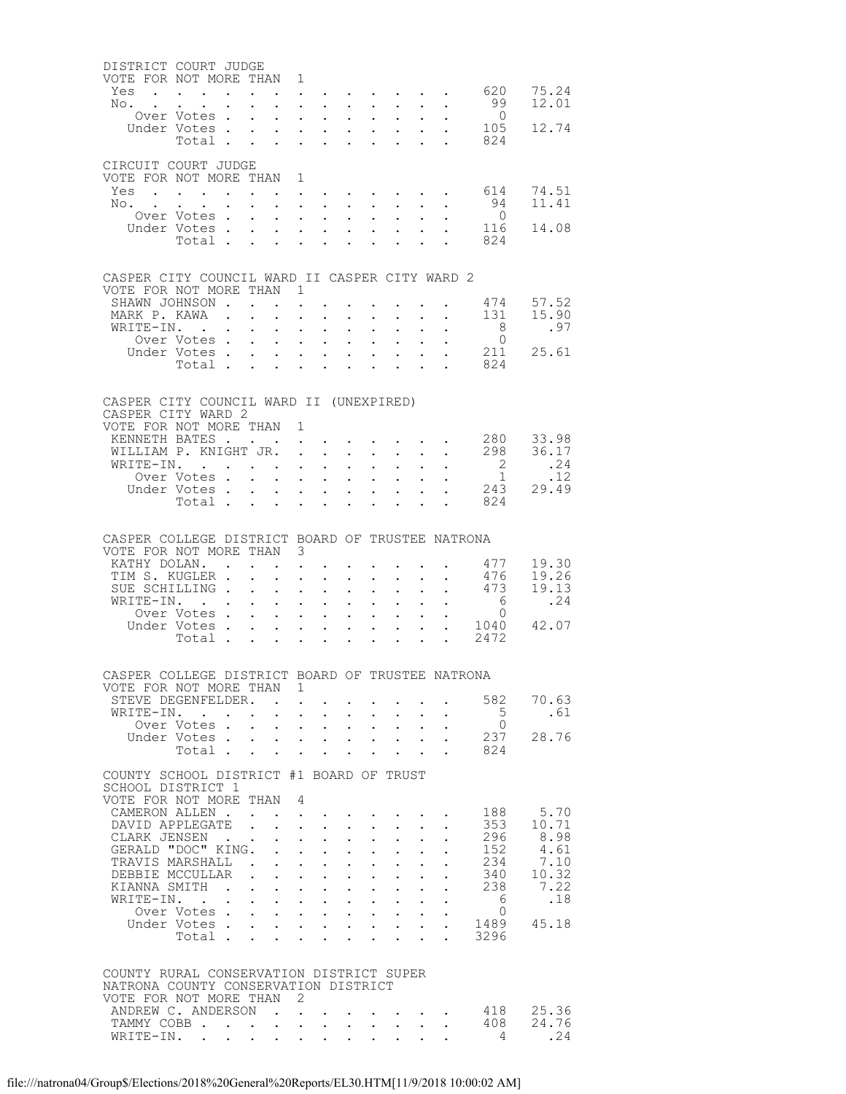| DISTRICT COURT JUDGE                                                         |                                                                                                                               |                                                           |                                                                                                                                                                                                                                                                                                                                                                                                                                                                                                                                           |                                                                                                                            |                            |              |                                    |                                                                          |                                                                            |                                                                                           |                                                                                               |                                  |                        |
|------------------------------------------------------------------------------|-------------------------------------------------------------------------------------------------------------------------------|-----------------------------------------------------------|-------------------------------------------------------------------------------------------------------------------------------------------------------------------------------------------------------------------------------------------------------------------------------------------------------------------------------------------------------------------------------------------------------------------------------------------------------------------------------------------------------------------------------------------|----------------------------------------------------------------------------------------------------------------------------|----------------------------|--------------|------------------------------------|--------------------------------------------------------------------------|----------------------------------------------------------------------------|-------------------------------------------------------------------------------------------|-----------------------------------------------------------------------------------------------|----------------------------------|------------------------|
| VOTE FOR NOT MORE THAN 1<br>Yes                                              |                                                                                                                               |                                                           |                                                                                                                                                                                                                                                                                                                                                                                                                                                                                                                                           |                                                                                                                            |                            |              |                                    |                                                                          |                                                                            |                                                                                           |                                                                                               | . 620                            | 75.24                  |
| No.                                                                          | $\sim$                                                                                                                        | $\mathbf{L} = \mathbf{L} \mathbf{L}$                      |                                                                                                                                                                                                                                                                                                                                                                                                                                                                                                                                           | $\mathbf{L}^{\text{max}}$                                                                                                  | $\sim$ $-$                 | $\sim$ $-$   | $\sim$                             | $\sim$ 100 $\pm$                                                         | $\mathbf{L}$                                                               | $\sim$ $-$                                                                                | $\sim$                                                                                        | 99                               | 12.01                  |
|                                                                              | Over Votes                                                                                                                    |                                                           |                                                                                                                                                                                                                                                                                                                                                                                                                                                                                                                                           |                                                                                                                            |                            |              | $\sim$                             | $\bullet$ .                                                              | $\sim$ $-$                                                                 | $\sim 10^{-1}$                                                                            | $\ddot{\phantom{0}}$                                                                          | $\overline{0}$                   |                        |
|                                                                              | Under Votes<br>Total                                                                                                          |                                                           |                                                                                                                                                                                                                                                                                                                                                                                                                                                                                                                                           | $\mathbf{L}^{\text{max}}$                                                                                                  | $\mathbf{L}^{\text{max}}$  | $\sim$ $-$   | $\sim$                             | $\mathcal{L}^{\text{max}}$                                               | $\mathbf{L}^{\text{max}}$                                                  | $\bullet$ .                                                                               | $\mathbf{L}$ and $\mathbf{L}$                                                                 | 105<br>824                       | 12.74                  |
|                                                                              |                                                                                                                               |                                                           |                                                                                                                                                                                                                                                                                                                                                                                                                                                                                                                                           |                                                                                                                            |                            |              |                                    |                                                                          |                                                                            |                                                                                           |                                                                                               |                                  |                        |
| CIRCUIT COURT JUDGE<br>VOTE FOR NOT MORE THAN 1                              |                                                                                                                               |                                                           |                                                                                                                                                                                                                                                                                                                                                                                                                                                                                                                                           |                                                                                                                            |                            |              |                                    |                                                                          |                                                                            |                                                                                           |                                                                                               |                                  |                        |
| Yes 614                                                                      |                                                                                                                               |                                                           |                                                                                                                                                                                                                                                                                                                                                                                                                                                                                                                                           |                                                                                                                            |                            |              |                                    |                                                                          |                                                                            |                                                                                           |                                                                                               |                                  | 74.51                  |
| No.                                                                          | $\sim$                                                                                                                        | $\mathbf{L}^{\text{max}}$ , and $\mathbf{L}^{\text{max}}$ |                                                                                                                                                                                                                                                                                                                                                                                                                                                                                                                                           | $\mathcal{L}^{\text{max}}$                                                                                                 | $\sim$ $-$                 | $\sim$ $-$   | $\sim$                             | $\sim$ 100 $\pm$                                                         | $\mathcal{L}^{\mathcal{L}}$                                                | $\sim$ 100 $\pm$                                                                          | $\sim$                                                                                        | 94                               | 11.41                  |
|                                                                              | Over Votes<br>Under Votes                                                                                                     |                                                           |                                                                                                                                                                                                                                                                                                                                                                                                                                                                                                                                           | $\mathbf{L}^{\text{max}}$                                                                                                  | $\mathbf{L}^{\text{max}}$  | $\sim$ $-$   | $\sim$<br>$\sim$ $-$               | $\bullet$ .<br>$\mathcal{L}^{\text{max}}$                                | $\sim$ $-$                                                                 | $\sim$ $-$<br>$\mathcal{L}^{\text{max}}$                                                  | $\ddot{\phantom{0}}$                                                                          | $\overline{0}$<br>116            | 14.08                  |
|                                                                              | Total                                                                                                                         |                                                           |                                                                                                                                                                                                                                                                                                                                                                                                                                                                                                                                           |                                                                                                                            |                            |              |                                    |                                                                          |                                                                            |                                                                                           | $\mathbf{L}$ and $\mathbf{L}$                                                                 | 824                              |                        |
|                                                                              |                                                                                                                               |                                                           |                                                                                                                                                                                                                                                                                                                                                                                                                                                                                                                                           |                                                                                                                            |                            |              |                                    |                                                                          |                                                                            |                                                                                           |                                                                                               |                                  |                        |
| CASPER CITY COUNCIL WARD II CASPER CITY WARD 2                               |                                                                                                                               |                                                           |                                                                                                                                                                                                                                                                                                                                                                                                                                                                                                                                           |                                                                                                                            |                            |              |                                    |                                                                          |                                                                            |                                                                                           |                                                                                               |                                  |                        |
| VOTE FOR NOT MORE THAN 1<br>SHAWN JOHNSON                                    |                                                                                                                               |                                                           |                                                                                                                                                                                                                                                                                                                                                                                                                                                                                                                                           |                                                                                                                            |                            |              |                                    |                                                                          |                                                                            |                                                                                           |                                                                                               | 474                              | 57.52                  |
| MARK P. KAWA                                                                 |                                                                                                                               |                                                           |                                                                                                                                                                                                                                                                                                                                                                                                                                                                                                                                           |                                                                                                                            | $\bullet$ .                | $\bullet$ .  | $\ddot{\phantom{0}}$               | $\sim$ 100 $\mu$<br>$\mathbf{A}$ and $\mathbf{A}$ and $\mathbf{A}$       |                                                                            | $\sim$                                                                                    | $\mathbf{z} = \mathbf{z} + \mathbf{z}$ , where $\mathbf{z} = \mathbf{z}$                      | 131                              | 15.90                  |
| WRITE-IN.                                                                    |                                                                                                                               |                                                           | $\ddot{\phantom{0}}$                                                                                                                                                                                                                                                                                                                                                                                                                                                                                                                      | $\ddot{\phantom{0}}$                                                                                                       | $\ddot{\phantom{0}}$       | $\sim$       | $\ddot{\phantom{0}}$               | $\sim$                                                                   |                                                                            |                                                                                           |                                                                                               | 8                                | .97                    |
|                                                                              | Over Votes<br>Under Votes                                                                                                     |                                                           |                                                                                                                                                                                                                                                                                                                                                                                                                                                                                                                                           | $\mathbf{r} = \mathbf{r} + \mathbf{r} + \mathbf{r} + \mathbf{r}$<br>$\mathbf{L}^{\text{max}}$                              | $\sim 10^{-11}$            | $\sim$ $-$   | $\sim$ $-$                         | $\sim$ $-$                                                               | $\mathbf{L} = \mathbf{L}$<br>$\mathcal{L}^{\text{max}}$                    | $\sim$ $\sim$<br>$\mathcal{L}^{\text{max}}$                                               | $\ddot{\phantom{0}}$<br>$\sim$                                                                | $\bigcirc$                       | 211 25.61              |
|                                                                              |                                                                                                                               |                                                           |                                                                                                                                                                                                                                                                                                                                                                                                                                                                                                                                           |                                                                                                                            |                            |              |                                    |                                                                          |                                                                            |                                                                                           |                                                                                               | Total 824                        |                        |
|                                                                              |                                                                                                                               |                                                           |                                                                                                                                                                                                                                                                                                                                                                                                                                                                                                                                           |                                                                                                                            |                            |              |                                    |                                                                          |                                                                            |                                                                                           |                                                                                               |                                  |                        |
| CASPER CITY COUNCIL WARD II (UNEXPIRED)                                      |                                                                                                                               |                                                           |                                                                                                                                                                                                                                                                                                                                                                                                                                                                                                                                           |                                                                                                                            |                            |              |                                    |                                                                          |                                                                            |                                                                                           |                                                                                               |                                  |                        |
| CASPER CITY WARD 2                                                           |                                                                                                                               |                                                           |                                                                                                                                                                                                                                                                                                                                                                                                                                                                                                                                           |                                                                                                                            |                            |              |                                    |                                                                          |                                                                            |                                                                                           |                                                                                               |                                  |                        |
| VOTE FOR NOT MORE THAN 1<br>KENNETH BATES                                    |                                                                                                                               |                                                           |                                                                                                                                                                                                                                                                                                                                                                                                                                                                                                                                           |                                                                                                                            |                            |              |                                    |                                                                          |                                                                            |                                                                                           | $\mathcal{L}(\mathbf{X})$ . The contribution of the contribution of $\mathcal{L}(\mathbf{X})$ |                                  |                        |
| WILLIAM P. KNIGHT JR. .                                                      |                                                                                                                               |                                                           |                                                                                                                                                                                                                                                                                                                                                                                                                                                                                                                                           |                                                                                                                            |                            | $\mathbf{L}$ | $\ddot{\phantom{0}}$               | $\sim$ $-$                                                               | $\ddot{\phantom{0}}$                                                       | $\mathcal{L}^{\text{max}}$                                                                | $\ddot{\phantom{0}}$                                                                          |                                  | 280 33.98<br>298 36.17 |
| WRITE-IN.                                                                    | Over Votes                                                                                                                    |                                                           |                                                                                                                                                                                                                                                                                                                                                                                                                                                                                                                                           |                                                                                                                            | $\mathbf{L}^{\text{max}}$  |              | $\bullet$ .                        | $\sim$                                                                   | $\mathbf{L}^{\text{max}}$                                                  | $\mathbf{L}^{\text{max}}$                                                                 | $\ddot{\phantom{0}}$                                                                          | $\begin{matrix}2\\1\end{matrix}$ | .24<br>.12             |
|                                                                              | Under Votes                                                                                                                   |                                                           |                                                                                                                                                                                                                                                                                                                                                                                                                                                                                                                                           |                                                                                                                            |                            | $\sim$ $-$   | $\bullet$ .                        | $\mathbf{L}^{\text{max}}$                                                | $\mathbf{L}^{\text{max}}$<br>$\sim 10^{-11}$                               | $\mathcal{L}^{\text{max}}$                                                                |                                                                                               | 243                              | 29.49                  |
|                                                                              | Total                                                                                                                         |                                                           |                                                                                                                                                                                                                                                                                                                                                                                                                                                                                                                                           | $\mathcal{L}^{\text{max}}$                                                                                                 | $\mathcal{L}^{\text{max}}$ | $\sim$ $-$   | $\ddot{\phantom{0}}$               | $\mathbf{L}$                                                             |                                                                            | $\mathbf{L}$                                                                              |                                                                                               | 824                              |                        |
|                                                                              |                                                                                                                               |                                                           |                                                                                                                                                                                                                                                                                                                                                                                                                                                                                                                                           |                                                                                                                            |                            |              |                                    |                                                                          |                                                                            |                                                                                           |                                                                                               |                                  |                        |
| CASPER COLLEGE DISTRICT BOARD OF TRUSTEE NATRONA                             |                                                                                                                               |                                                           |                                                                                                                                                                                                                                                                                                                                                                                                                                                                                                                                           |                                                                                                                            |                            |              |                                    |                                                                          |                                                                            |                                                                                           |                                                                                               |                                  |                        |
| VOTE FOR NOT MORE THAN 3<br>KATHY DOLAN.                                     |                                                                                                                               |                                                           |                                                                                                                                                                                                                                                                                                                                                                                                                                                                                                                                           |                                                                                                                            |                            | $\bullet$ .  |                                    |                                                                          |                                                                            |                                                                                           | $\mathbf{z} = \mathbf{z} + \mathbf{z} + \mathbf{z}$ .                                         | 477                              | 19.30                  |
| TIM S. KUGLER .                                                              |                                                                                                                               |                                                           | $\sim$                                                                                                                                                                                                                                                                                                                                                                                                                                                                                                                                    | $\bullet$ .                                                                                                                | $\mathcal{L}^{\text{max}}$ | $\sim$       | $\ddot{\phantom{0}}$               | $\sim$                                                                   | $\ddot{\phantom{0}}$                                                       | $\bullet$ .                                                                               |                                                                                               | 476                              | 19.26                  |
| SUE SCHILLING<br>WRITE-IN.                                                   |                                                                                                                               |                                                           |                                                                                                                                                                                                                                                                                                                                                                                                                                                                                                                                           |                                                                                                                            | $\sim$ $-$                 |              | $\bullet$ .                        | $\mathbf{a} = \mathbf{a}$                                                | $\sim$ $-$<br>$\mathcal{L}^{\text{max}}$                                   | $\mathbf{L}^{\text{max}}$                                                                 |                                                                                               | . 473<br>$6\overline{6}$         | 19.13<br>.24           |
|                                                                              | Over Votes .                                                                                                                  |                                                           | $\sim$ $-$<br>$\mathbf{L}$                                                                                                                                                                                                                                                                                                                                                                                                                                                                                                                | $\mathbf{L}^{\text{max}}$<br>$\mathbf{r} = \mathbf{r} \cdot \mathbf{r}$ , where $\mathbf{r} = \mathbf{r} \cdot \mathbf{r}$ |                            | $\sim 100$   | $\ddot{\phantom{0}}$<br>$\sim$ $-$ | $\ddot{\phantom{0}}$<br>$\mathbf{L}^{\text{max}}$                        | $\mathbf{L}^{\text{max}}$                                                  | $\bullet$ .<br><br><br><br><br><br><br><br><br><br><br><br><br>$\mathcal{L}^{\text{max}}$ | $\ddot{\phantom{0}}$                                                                          | $\overline{0}$                   |                        |
|                                                                              | Under Votes                                                                                                                   |                                                           |                                                                                                                                                                                                                                                                                                                                                                                                                                                                                                                                           | $\mathbf{L}^{\text{max}}$                                                                                                  | $\mathbf{L}^{\text{max}}$  | $\sim$       | $\sim$                             | $\mathcal{L}^{\text{max}}$                                               | $\ddot{\phantom{0}}$                                                       | $\mathbf{L}^{\text{max}}$                                                                 |                                                                                               |                                  | 1040 42.07             |
|                                                                              | Total                                                                                                                         |                                                           |                                                                                                                                                                                                                                                                                                                                                                                                                                                                                                                                           |                                                                                                                            |                            |              |                                    |                                                                          |                                                                            | $\mathbf{L}^{\text{max}}$                                                                 |                                                                                               | . 2472                           |                        |
|                                                                              |                                                                                                                               |                                                           |                                                                                                                                                                                                                                                                                                                                                                                                                                                                                                                                           |                                                                                                                            |                            |              |                                    |                                                                          |                                                                            |                                                                                           |                                                                                               |                                  |                        |
| CASPER COLLEGE DISTRICT BOARD OF TRUSTEE NATRONA<br>VOTE FOR NOT MORE THAN 1 |                                                                                                                               |                                                           |                                                                                                                                                                                                                                                                                                                                                                                                                                                                                                                                           |                                                                                                                            |                            |              |                                    |                                                                          |                                                                            |                                                                                           |                                                                                               |                                  |                        |
| STEVE DEGENFELDER. .                                                         |                                                                                                                               |                                                           |                                                                                                                                                                                                                                                                                                                                                                                                                                                                                                                                           |                                                                                                                            | $\sim 10^{-11}$            | $\sim 100$   |                                    |                                                                          | $\mathbf{a} = \mathbf{a} + \mathbf{a} + \mathbf{a}$ .                      | $\sim$ $-$                                                                                |                                                                                               | 582                              | 70.63                  |
| WRITE-IN.                                                                    | the contract of the contract of the contract of the contract of the contract of the contract of the contract of<br>Over Votes |                                                           |                                                                                                                                                                                                                                                                                                                                                                                                                                                                                                                                           |                                                                                                                            | $\sim$                     |              |                                    | $\mathbf{r} = \mathbf{r} + \mathbf{r}$ , where $\mathbf{r} = \mathbf{r}$ | $\sim$ $-$                                                                 | $\sim 100$                                                                                |                                                                                               | 5<br>$\overline{0}$              | .61                    |
|                                                                              | Under Votes<br>Total                                                                                                          |                                                           |                                                                                                                                                                                                                                                                                                                                                                                                                                                                                                                                           |                                                                                                                            |                            |              |                                    |                                                                          |                                                                            |                                                                                           | $\ddot{\phantom{0}}$                                                                          | 237                              | 28.76                  |
|                                                                              |                                                                                                                               |                                                           |                                                                                                                                                                                                                                                                                                                                                                                                                                                                                                                                           |                                                                                                                            |                            |              |                                    |                                                                          |                                                                            |                                                                                           |                                                                                               | 824                              |                        |
| COUNTY SCHOOL DISTRICT #1 BOARD OF TRUST                                     |                                                                                                                               |                                                           |                                                                                                                                                                                                                                                                                                                                                                                                                                                                                                                                           |                                                                                                                            |                            |              |                                    |                                                                          |                                                                            |                                                                                           |                                                                                               |                                  |                        |
| SCHOOL DISTRICT 1                                                            |                                                                                                                               |                                                           |                                                                                                                                                                                                                                                                                                                                                                                                                                                                                                                                           |                                                                                                                            |                            |              |                                    |                                                                          |                                                                            |                                                                                           |                                                                                               |                                  |                        |
| VOTE FOR NOT MORE THAN 4<br>CAMERON ALLEN                                    |                                                                                                                               |                                                           |                                                                                                                                                                                                                                                                                                                                                                                                                                                                                                                                           |                                                                                                                            |                            |              |                                    |                                                                          |                                                                            |                                                                                           |                                                                                               | 188                              | 5.70                   |
| DAVID APPLEGATE                                                              |                                                                                                                               |                                                           | $\sim$                                                                                                                                                                                                                                                                                                                                                                                                                                                                                                                                    | $\sim 10^{-11}$                                                                                                            | $\mathcal{L}^{\text{max}}$ | $\sim$ $-$   | $\sim$                             | $\sim$ $-$                                                               | $\sim$                                                                     | $\sim$ $-$                                                                                |                                                                                               | 353                              | 10.71                  |
| CLARK JENSEN<br>GERALD "DOC" KING.                                           |                                                                                                                               |                                                           | $\mathbf{r}$ , and $\mathbf{r}$ , and $\mathbf{r}$ , and $\mathbf{r}$ , and $\mathbf{r}$                                                                                                                                                                                                                                                                                                                                                                                                                                                  | $\mathbf{L}$                                                                                                               | $\mathcal{L}^{\text{max}}$ | $\sim$ $-$   |                                    | $\mathbf{A}^{(1)}$ and $\mathbf{A}^{(2)}$ and                            | $\mathcal{L}^{\mathcal{L}}$                                                | $\bullet$ .                                                                               | $\ddot{\phantom{0}}$                                                                          | 296<br>152                       | 8.98<br>4.61           |
| TRAVIS MARSHALL                                                              |                                                                                                                               |                                                           |                                                                                                                                                                                                                                                                                                                                                                                                                                                                                                                                           |                                                                                                                            |                            |              |                                    |                                                                          |                                                                            |                                                                                           | $\ddot{\phantom{0}}$                                                                          | 234                              | 7.10                   |
| DEBBIE MCCULLAR<br>KIANNA SMITH                                              |                                                                                                                               |                                                           |                                                                                                                                                                                                                                                                                                                                                                                                                                                                                                                                           |                                                                                                                            | $\mathcal{L}^{\text{max}}$ |              |                                    | $\mathbf{A}^{\text{max}}$ , and $\mathbf{A}^{\text{max}}$                | $\mathcal{L}^{\text{max}}$                                                 | $\sim$ 100 $\pm$                                                                          | $\ddot{\phantom{0}}$                                                                          | 340                              | 10.32<br>7.22          |
| WRITE-IN. .                                                                  |                                                                                                                               |                                                           | the contract of the contract of the contract of the contract of the contract of the contract of the contract of<br>$\mathbf{1}=\mathbf{1}=\mathbf{1}=\mathbf{1}=\mathbf{1}=\mathbf{1}=\mathbf{1}=\mathbf{1}=\mathbf{1}=\mathbf{1}=\mathbf{1}=\mathbf{1}=\mathbf{1}=\mathbf{1}=\mathbf{1}=\mathbf{1}=\mathbf{1}=\mathbf{1}=\mathbf{1}=\mathbf{1}=\mathbf{1}=\mathbf{1}=\mathbf{1}=\mathbf{1}=\mathbf{1}=\mathbf{1}=\mathbf{1}=\mathbf{1}=\mathbf{1}=\mathbf{1}=\mathbf{1}=\mathbf{1}=\mathbf{1}=\mathbf{1}=\mathbf{1}=\mathbf{1}=\mathbf{$ |                                                                                                                            |                            |              |                                    | <b>All Contracts</b>                                                     | $\mathcal{L}^{\mathcal{L}}$                                                | $\sim$ 100 $\pm$                                                                          | $\mathcal{L}^{\text{max}}$ , where $\mathcal{L}^{\text{max}}$<br>$\sim$                       | 238<br>6                         | .18                    |
|                                                                              | Over Votes                                                                                                                    |                                                           |                                                                                                                                                                                                                                                                                                                                                                                                                                                                                                                                           |                                                                                                                            |                            |              |                                    |                                                                          |                                                                            |                                                                                           | $\ddot{\phantom{0}}$                                                                          | 0                                |                        |
|                                                                              | Under Votes<br>Total                                                                                                          |                                                           |                                                                                                                                                                                                                                                                                                                                                                                                                                                                                                                                           |                                                                                                                            |                            |              |                                    |                                                                          | $\sim$                                                                     | $\sim$ $-$                                                                                | $\ddot{\phantom{0}}$                                                                          | 1489<br>3296                     | 45.18                  |
|                                                                              |                                                                                                                               |                                                           |                                                                                                                                                                                                                                                                                                                                                                                                                                                                                                                                           |                                                                                                                            |                            |              |                                    |                                                                          |                                                                            |                                                                                           |                                                                                               |                                  |                        |
| COUNTY RURAL CONSERVATION DISTRICT SUPER                                     |                                                                                                                               |                                                           |                                                                                                                                                                                                                                                                                                                                                                                                                                                                                                                                           |                                                                                                                            |                            |              |                                    |                                                                          |                                                                            |                                                                                           |                                                                                               |                                  |                        |
| NATRONA COUNTY CONSERVATION DISTRICT                                         |                                                                                                                               |                                                           |                                                                                                                                                                                                                                                                                                                                                                                                                                                                                                                                           |                                                                                                                            |                            |              |                                    |                                                                          |                                                                            |                                                                                           |                                                                                               |                                  |                        |
| VOTE FOR NOT MORE THAN 2<br>ANDREW C. ANDERSON                               |                                                                                                                               |                                                           |                                                                                                                                                                                                                                                                                                                                                                                                                                                                                                                                           |                                                                                                                            |                            |              |                                    |                                                                          |                                                                            |                                                                                           |                                                                                               | 418                              | 25.36                  |
| TAMMY COBB                                                                   |                                                                                                                               |                                                           |                                                                                                                                                                                                                                                                                                                                                                                                                                                                                                                                           |                                                                                                                            | $\sim 10$                  |              |                                    |                                                                          | $\mathbf{u} = \mathbf{u} \times \mathbf{u} = \mathbf{u} \times \mathbf{u}$ | $\sim 10^{-11}$                                                                           | $\ddot{\phantom{0}}$                                                                          | 408                              | 24.76                  |
| WRITE-IN.                                                                    |                                                                                                                               |                                                           |                                                                                                                                                                                                                                                                                                                                                                                                                                                                                                                                           |                                                                                                                            |                            |              |                                    |                                                                          |                                                                            |                                                                                           |                                                                                               | 4                                | .24                    |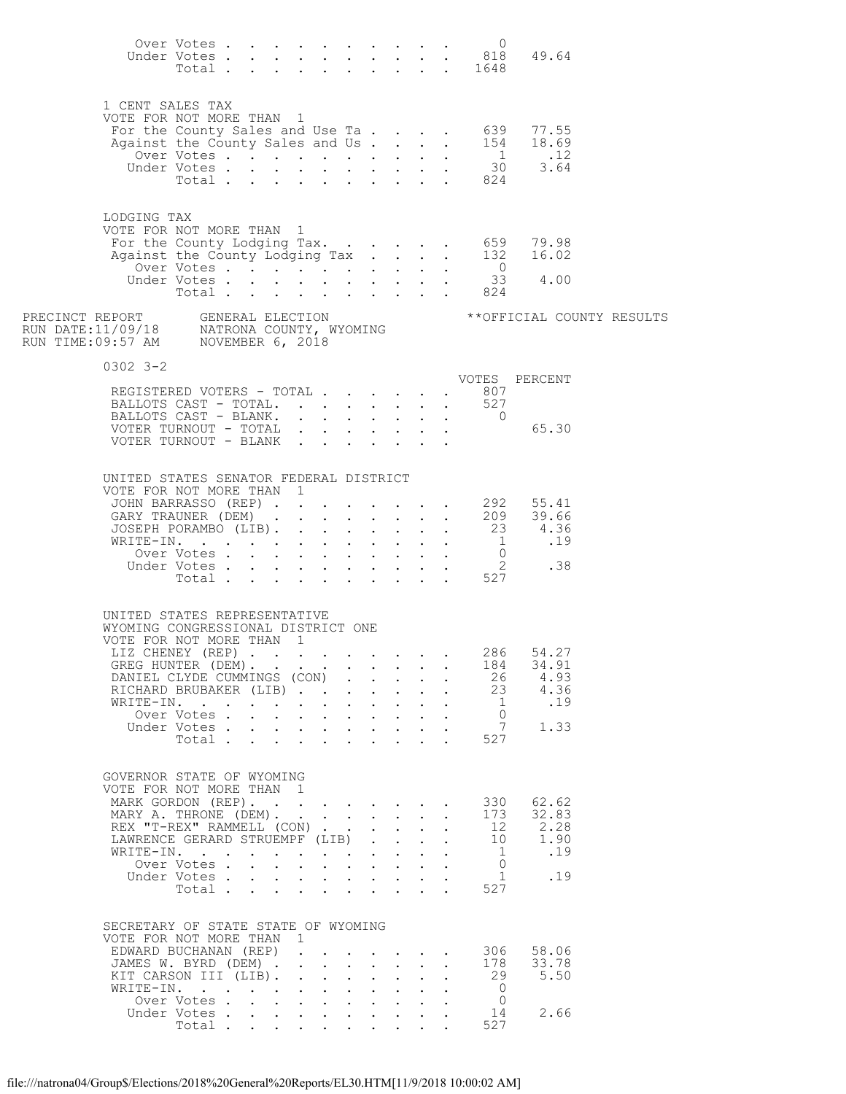|                                                                                                                                 | Over Votes                |                                      |                                                             |                                                                                                 |                                                             |                           |                                          |                                                           |                      | $\circ$                        | Under Votes 818 49.64<br>Total 1648                                                               |  |
|---------------------------------------------------------------------------------------------------------------------------------|---------------------------|--------------------------------------|-------------------------------------------------------------|-------------------------------------------------------------------------------------------------|-------------------------------------------------------------|---------------------------|------------------------------------------|-----------------------------------------------------------|----------------------|--------------------------------|---------------------------------------------------------------------------------------------------|--|
| 1 CENT SALES TAX<br>VOTE FOR NOT MORE THAN 1                                                                                    |                           |                                      |                                                             |                                                                                                 |                                                             |                           |                                          |                                                           |                      |                                | For the County Sales and Use Ta 639 77.55<br>Against the County Sales and Us 154 18.69            |  |
|                                                                                                                                 |                           |                                      |                                                             |                                                                                                 |                                                             |                           |                                          |                                                           |                      |                                |                                                                                                   |  |
|                                                                                                                                 |                           |                                      |                                                             |                                                                                                 |                                                             |                           |                                          |                                                           |                      |                                | 0ver Votes 1 .12<br>Under Votes 30 3.64<br>Total 824                                              |  |
|                                                                                                                                 | Total                     |                                      |                                                             |                                                                                                 |                                                             |                           |                                          |                                                           |                      |                                |                                                                                                   |  |
| LODGING TAX<br>VOTE FOR NOT MORE THAN 1                                                                                         |                           |                                      |                                                             |                                                                                                 |                                                             |                           |                                          |                                                           |                      |                                |                                                                                                   |  |
|                                                                                                                                 |                           |                                      |                                                             |                                                                                                 |                                                             |                           |                                          |                                                           |                      |                                | For the County Lodging Tax. 659 79.98<br>Against the County Lodging Tax 132 16.02<br>Over Votes 0 |  |
|                                                                                                                                 | Over Votes                |                                      |                                                             |                                                                                                 |                                                             |                           |                                          |                                                           |                      |                                |                                                                                                   |  |
|                                                                                                                                 | Under Votes<br>Total      |                                      |                                                             |                                                                                                 |                                                             |                           |                                          |                                                           |                      | $\frac{33}{824}$               | 33 4.00                                                                                           |  |
| PRECINCT REPORT     GENERAL ELECTION<br>RUN DATE:11/09/18     NATRONA COUNTY, WYOMING<br>RUN TIME:09:57 AM     NOVEMBER 6, 2018 |                           |                                      |                                                             |                                                                                                 |                                                             |                           |                                          |                                                           |                      |                                | ** OFFICIAL COUNTY RESULTS                                                                        |  |
| $0302$ $3 - 2$                                                                                                                  |                           |                                      |                                                             |                                                                                                 |                                                             |                           |                                          |                                                           |                      |                                | VOTES PERCENT                                                                                     |  |
| REGISTERED VOTERS - TOTAL 807                                                                                                   |                           |                                      |                                                             |                                                                                                 |                                                             |                           |                                          |                                                           |                      |                                |                                                                                                   |  |
| BALLOTS CAST - TOTAL.<br>BALLOTS CAST - BLANK.                                                                                  |                           |                                      |                                                             |                                                                                                 |                                                             |                           |                                          |                                                           |                      | 527<br>$\overline{0}$          |                                                                                                   |  |
| VOTER TURNOUT - TOTAL                                                                                                           |                           |                                      |                                                             |                                                                                                 |                                                             |                           |                                          |                                                           |                      |                                | 65.30                                                                                             |  |
| VOTER TURNOUT - BLANK                                                                                                           |                           |                                      |                                                             |                                                                                                 |                                                             |                           |                                          |                                                           |                      |                                |                                                                                                   |  |
| UNITED STATES SENATOR FEDERAL DISTRICT<br>VOTE FOR NOT MORE THAN 1                                                              |                           |                                      |                                                             |                                                                                                 |                                                             |                           |                                          |                                                           |                      |                                |                                                                                                   |  |
|                                                                                                                                 |                           |                                      |                                                             |                                                                                                 |                                                             |                           |                                          |                                                           |                      |                                | JOHN BARRASSO (REP) 292 55.41<br>GARY TRAUNER (DEM) 209 39.66                                     |  |
| JOSEPH PORAMBO (LIB). 23                                                                                                        |                           |                                      |                                                             |                                                                                                 |                                                             |                           |                                          |                                                           |                      |                                | 4.36                                                                                              |  |
| WRITE-IN.                                                                                                                       |                           |                                      |                                                             |                                                                                                 |                                                             |                           |                                          |                                                           |                      | $\overline{1}$                 | .19                                                                                               |  |
|                                                                                                                                 | Over Votes<br>Under Votes |                                      |                                                             |                                                                                                 |                                                             |                           |                                          | $\mathbf{r}$ , $\mathbf{r}$ , $\mathbf{r}$ , $\mathbf{r}$ |                      |                                |                                                                                                   |  |
|                                                                                                                                 | Total                     |                                      | $\mathbf{L}$                                                | $\sim$                                                                                          |                                                             |                           |                                          |                                                           |                      |                                | $\begin{array}{cccc} . & 0 & .11 \\ . & 2 & .38 \\ . & 527 & .38 \end{array}$                     |  |
| UNITED STATES REPRESENTATIVE<br>WYOMING CONGRESSIONAL DISTRICT ONE                                                              |                           |                                      |                                                             |                                                                                                 |                                                             |                           |                                          |                                                           |                      |                                |                                                                                                   |  |
| VOTE FOR NOT MORE THAN 1<br>LIZ CHENEY (REP)                                                                                    |                           |                                      |                                                             |                                                                                                 |                                                             |                           |                                          |                                                           |                      | 286                            | 54.27                                                                                             |  |
| GREG HUNTER (DEM).                                                                                                              |                           |                                      |                                                             |                                                                                                 |                                                             |                           |                                          |                                                           |                      | 184                            | 34.91                                                                                             |  |
| DANIEL CLYDE CUMMINGS (CON)                                                                                                     |                           |                                      |                                                             |                                                                                                 |                                                             |                           |                                          |                                                           |                      | 26                             | 4.93                                                                                              |  |
| RICHARD BRUBAKER (LIB)<br>WRITE-IN.                                                                                             |                           | $\sim 100$                           |                                                             | $\mathbf{r} = \mathbf{r} \times \mathbf{r}$ , where $\mathbf{r} = \mathbf{r} \times \mathbf{r}$ |                                                             |                           |                                          |                                                           |                      | 23<br>- 1                      | 4.36<br>.19                                                                                       |  |
|                                                                                                                                 | Over Votes.               | $\mathbf{L} = \mathbf{L}$            |                                                             | $\mathbf{1}$ $\mathbf{1}$ $\mathbf{1}$ $\mathbf{1}$ $\mathbf{1}$ $\mathbf{1}$ $\mathbf{1}$      |                                                             |                           | $\mathbf{r} = \mathbf{r}$                |                                                           |                      | $\Omega$                       |                                                                                                   |  |
|                                                                                                                                 | Under Votes               |                                      | $\bullet$ .<br><br><br><br><br><br><br><br><br><br><br><br> | $\mathbf{L}^{\text{max}}$                                                                       | $\sim 100$                                                  |                           | $\mathbf{z} = \mathbf{z} + \mathbf{z}$ . | $\mathbf{L}^{\text{max}}$                                 |                      | 7                              | 1.33                                                                                              |  |
|                                                                                                                                 | Total                     |                                      |                                                             |                                                                                                 |                                                             |                           |                                          | $\mathbf{r} = \mathbf{r} + \mathbf{r}$                    |                      | 527                            |                                                                                                   |  |
| GOVERNOR STATE OF WYOMING<br>VOTE FOR NOT MORE THAN 1<br>MARK GORDON (REP).                                                     |                           |                                      |                                                             |                                                                                                 |                                                             |                           |                                          |                                                           |                      | 330                            | 62.62                                                                                             |  |
| MARY A. THRONE (DEM).                                                                                                           |                           |                                      |                                                             | $\mathbf{r}$ . The contract of the contract of $\mathbf{r}$                                     |                                                             |                           |                                          |                                                           | $\ddot{\phantom{a}}$ | 173                            | 32.83                                                                                             |  |
| REX "T-REX" RAMMELL (CON)                                                                                                       |                           |                                      |                                                             |                                                                                                 |                                                             |                           | $\mathbf{L}$                             |                                                           |                      | 12                             | 2.28                                                                                              |  |
| LAWRENCE GERARD STRUEMPF (LIB)<br>WRITE-IN.                                                                                     |                           |                                      |                                                             |                                                                                                 |                                                             | $\mathbf{L}$              | $\mathbf{L}$<br>$\sim$                   |                                                           |                      | 10<br>-1                       | 1.90<br>.19                                                                                       |  |
|                                                                                                                                 | Over Votes .              | $\mathbf{L} = \mathbf{L} \mathbf{L}$ |                                                             | $\mathbf{r}$ , and $\mathbf{r}$ , and $\mathbf{r}$ , and $\mathbf{r}$                           |                                                             |                           |                                          |                                                           |                      | $\Omega$                       |                                                                                                   |  |
|                                                                                                                                 | Under Votes               |                                      | $\bullet$ .<br><br><br><br><br><br><br><br><br><br><br><br> |                                                                                                 |                                                             | $\mathbf{L}^{\text{max}}$ |                                          |                                                           |                      | 1                              | .19                                                                                               |  |
|                                                                                                                                 | Total                     |                                      |                                                             |                                                                                                 |                                                             |                           |                                          | $\sim$ $\sim$ $\sim$ $\sim$ $\sim$ $\sim$                 |                      | 527                            |                                                                                                   |  |
| SECRETARY OF STATE STATE OF WYOMING<br>VOTE FOR NOT MORE THAN 1<br>EDWARD BUCHANAN (REP)                                        |                           |                                      | $\mathbf{L}$                                                |                                                                                                 |                                                             |                           |                                          |                                                           |                      | 306                            | 58.06                                                                                             |  |
| JAMES W. BYRD (DEM).                                                                                                            |                           |                                      |                                                             |                                                                                                 |                                                             | $\mathbf{L}$              | $\mathbf{L}$                             | $\cdot$ $\cdot$ $\cdot$ $\cdot$                           |                      | 178                            | 33.78                                                                                             |  |
| KIT CARSON III (LIB).                                                                                                           |                           |                                      | $\mathbf{L}$                                                | $\mathbf{L}$                                                                                    | $\bullet$ .<br><br><br><br><br><br><br><br><br><br><br><br> | $\mathbf{L}^{\text{max}}$ | $\mathcal{L}^{\text{max}}$               |                                                           |                      | 29                             | 5.50                                                                                              |  |
| WRITE-IN.                                                                                                                       | Over Votes                |                                      |                                                             | $\mathbf{L}$ and $\mathbf{L}$                                                                   | $\mathbf{r}$                                                | $\mathbf{L}$              | $\mathbf{L}$                             |                                                           |                      | $\overline{0}$<br>$\mathbf{0}$ |                                                                                                   |  |
|                                                                                                                                 | Under Votes               |                                      |                                                             |                                                                                                 |                                                             |                           |                                          |                                                           |                      | 14                             | 2.66                                                                                              |  |
|                                                                                                                                 | Total.                    |                                      |                                                             |                                                                                                 |                                                             |                           |                                          |                                                           |                      | 527                            |                                                                                                   |  |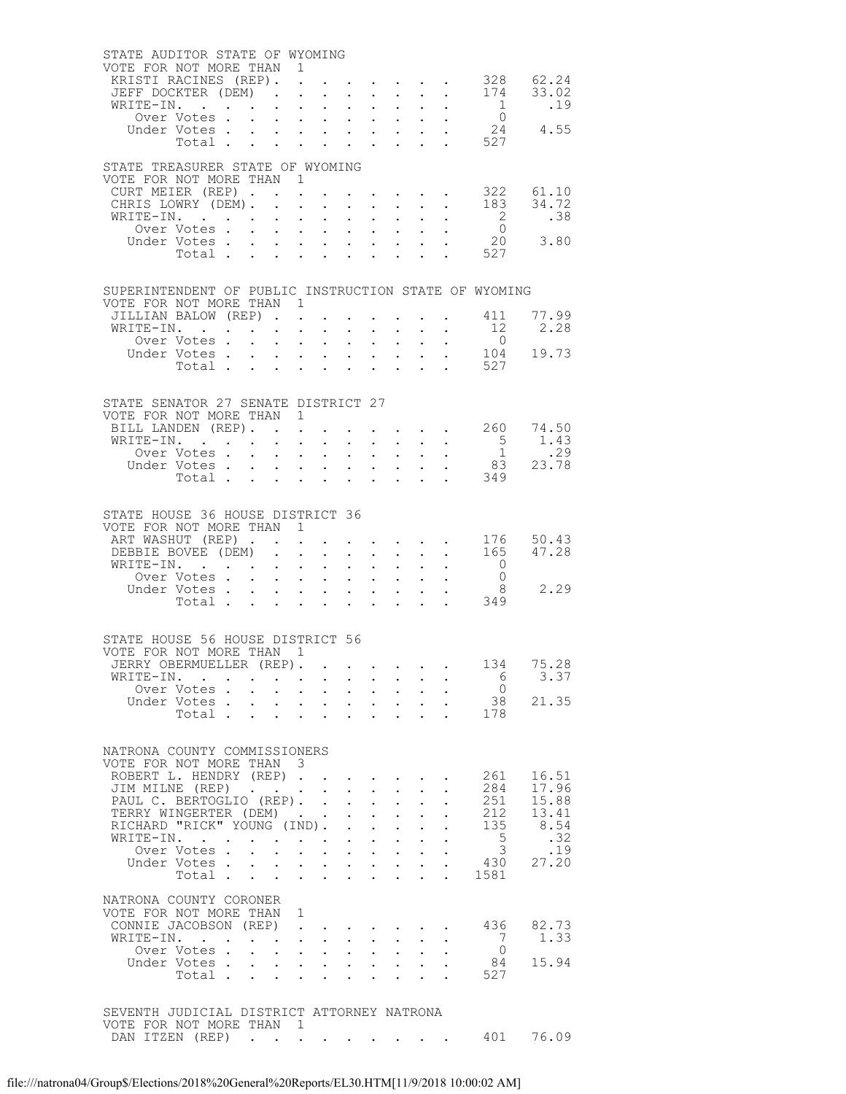| STATE AUDITOR STATE OF WYOMING<br>VOTE FOR NOT MORE THAN 1      |                           |                      |                                                                            |                                                           |                                                                               |                               |                                                                  |                                                                          |                                                                                                 |                                                          |                                                                        |
|-----------------------------------------------------------------|---------------------------|----------------------|----------------------------------------------------------------------------|-----------------------------------------------------------|-------------------------------------------------------------------------------|-------------------------------|------------------------------------------------------------------|--------------------------------------------------------------------------|-------------------------------------------------------------------------------------------------|----------------------------------------------------------|------------------------------------------------------------------------|
| KRISTI RACINES (REP).                                           |                           |                      | $\ddot{\phantom{a}}$                                                       |                                                           |                                                                               |                               |                                                                  |                                                                          |                                                                                                 |                                                          |                                                                        |
| JEFF DOCKTER (DEM).                                             |                           |                      | $\ddot{\phantom{a}}$                                                       |                                                           |                                                                               |                               |                                                                  |                                                                          |                                                                                                 |                                                          |                                                                        |
| WRITE-IN.                                                       |                           |                      |                                                                            |                                                           |                                                                               |                               |                                                                  |                                                                          |                                                                                                 |                                                          | $\begin{matrix} 1 & 0 & .19 \\ 0 & 0 & .19 \end{matrix}$               |
|                                                                 | Under Votes               |                      |                                                                            |                                                           |                                                                               |                               |                                                                  |                                                                          |                                                                                                 |                                                          | 24 4.55                                                                |
|                                                                 |                           |                      |                                                                            |                                                           |                                                                               |                               |                                                                  |                                                                          |                                                                                                 | ITE-IN. 1<br>Over Votes 0<br>Jnder Votes 24<br>Total 527 |                                                                        |
|                                                                 |                           |                      |                                                                            |                                                           |                                                                               |                               |                                                                  |                                                                          |                                                                                                 |                                                          |                                                                        |
| STATE TREASURER STATE OF WYOMING<br>VOTE FOR NOT MORE THAN 1    |                           |                      |                                                                            |                                                           |                                                                               |                               |                                                                  |                                                                          |                                                                                                 |                                                          |                                                                        |
| CURT MEIER (REP)                                                |                           |                      |                                                                            |                                                           |                                                                               |                               |                                                                  |                                                                          |                                                                                                 | $\cdot$ 322 61.10                                        |                                                                        |
| CHRIS LOWRY (DEM). .                                            |                           |                      | $\mathbf{r} = \mathbf{r} \cdot \mathbf{r}$                                 |                                                           | $\mathbf{L}^{\text{max}}$                                                     | $\sim$                        | $\sim 10^{-11}$                                                  |                                                                          | $\cdot$ $\cdot$                                                                                 |                                                          | $183 \overline{34.72}$                                                 |
| WRITE-IN.                                                       |                           | $\sim$               | $\mathbf{L} = \mathbf{L}$                                                  |                                                           |                                                                               | $\mathbf{L}$ and $\mathbf{L}$ |                                                                  |                                                                          |                                                                                                 | $\overline{\phantom{a}}$                                 | .38                                                                    |
|                                                                 | Over Votes<br>Under Votes |                      | $\mathbf{A}$ and $\mathbf{A}$ and $\mathbf{A}$                             |                                                           | $\mathbf{L}^{\text{max}}$                                                     |                               |                                                                  |                                                                          | $\mathbf{r} = \mathbf{r} \times \mathbf{r}$ , where $\mathbf{r} = \mathbf{r} \times \mathbf{r}$ |                                                          | $\begin{matrix}0\\20\end{matrix}\qquad \begin{matrix}3.80\end{matrix}$ |
|                                                                 | Total                     | $\mathbf{L}$         |                                                                            | $\mathbf{r} = \mathbf{r} + \mathbf{r}$ .                  | $\bullet$ .<br><br><br><br><br><br><br><br><br><br><br><br>                   |                               |                                                                  |                                                                          |                                                                                                 | 527                                                      |                                                                        |
|                                                                 |                           |                      |                                                                            |                                                           |                                                                               |                               |                                                                  |                                                                          |                                                                                                 |                                                          |                                                                        |
| SUPERINTENDENT OF PUBLIC INSTRUCTION STATE OF WYOMING           |                           |                      |                                                                            |                                                           |                                                                               |                               |                                                                  |                                                                          |                                                                                                 |                                                          |                                                                        |
| VOTE FOR NOT MORE THAN 1                                        |                           |                      |                                                                            |                                                           |                                                                               |                               |                                                                  |                                                                          |                                                                                                 |                                                          |                                                                        |
| JILLIAN BALOW (REP)                                             |                           |                      |                                                                            |                                                           |                                                                               | $\ddot{\phantom{0}}$          |                                                                  |                                                                          |                                                                                                 | $\cdot$ 411 77.99                                        |                                                                        |
| WRITE-IN.                                                       |                           |                      |                                                                            |                                                           | $\bullet$ .                                                                   |                               | $\bullet$ - $\bullet$ - $\bullet$ - $\bullet$                    |                                                                          | $\mathcal{L}^{\text{max}}(\mathcal{L}^{\text{max}})$                                            | 12                                                       | 2.28                                                                   |
|                                                                 | Over Votes<br>Under Votes |                      |                                                                            |                                                           | $\mathbf{L}^{\text{max}}$                                                     |                               | $\mathbf{L} = \mathbf{L}$                                        |                                                                          |                                                                                                 | $\overline{0}$                                           |                                                                        |
|                                                                 | Total $\cdots$            |                      |                                                                            |                                                           | $\mathbf{L}^{\text{max}}$                                                     |                               |                                                                  | $\mathbf{z} = \mathbf{z} + \mathbf{z}$ , where $\mathbf{z} = \mathbf{z}$ |                                                                                                 | $\frac{104}{527}$ 19.73                                  |                                                                        |
|                                                                 |                           |                      |                                                                            |                                                           |                                                                               |                               |                                                                  |                                                                          |                                                                                                 |                                                          |                                                                        |
|                                                                 |                           |                      |                                                                            |                                                           |                                                                               |                               |                                                                  |                                                                          |                                                                                                 |                                                          |                                                                        |
| STATE SENATOR 27 SENATE DISTRICT 27<br>VOTE FOR NOT MORE THAN 1 |                           |                      |                                                                            |                                                           |                                                                               |                               |                                                                  |                                                                          |                                                                                                 |                                                          |                                                                        |
| BILL LANDEN (REP). .                                            |                           |                      | $\ddot{\phantom{a}}$                                                       |                                                           |                                                                               |                               |                                                                  |                                                                          |                                                                                                 | $\cdot \quad \cdot \quad$ 260 74.50                      |                                                                        |
| WRITE-IN.                                                       |                           |                      |                                                                            |                                                           |                                                                               |                               |                                                                  |                                                                          |                                                                                                 |                                                          |                                                                        |
|                                                                 |                           |                      |                                                                            |                                                           |                                                                               |                               |                                                                  |                                                                          |                                                                                                 |                                                          |                                                                        |
|                                                                 |                           |                      |                                                                            |                                                           |                                                                               |                               |                                                                  |                                                                          |                                                                                                 |                                                          |                                                                        |
|                                                                 |                           |                      |                                                                            |                                                           |                                                                               |                               |                                                                  |                                                                          |                                                                                                 |                                                          |                                                                        |
|                                                                 |                           |                      |                                                                            |                                                           |                                                                               |                               |                                                                  |                                                                          |                                                                                                 |                                                          |                                                                        |
| STATE HOUSE 36 HOUSE DISTRICT 36                                |                           |                      |                                                                            |                                                           |                                                                               |                               |                                                                  |                                                                          |                                                                                                 |                                                          |                                                                        |
| VOTE FOR NOT MORE THAN 1<br>ART WASHUT (REP)                    |                           |                      |                                                                            |                                                           |                                                                               |                               |                                                                  |                                                                          | and the contract of the contract of                                                             |                                                          | 176 50.43                                                              |
| DEBBIE BOVEE (DEM).                                             |                           |                      | $\ddot{\phantom{a}}$                                                       |                                                           | $\mathbf{L}^{\text{max}}$                                                     | $\sim$                        | $\sim 10^{-11}$                                                  |                                                                          | $\mathbf{L}^{\text{max}}$ , and $\mathbf{L}^{\text{max}}$                                       |                                                          | 165 47.28                                                              |
| WRITE-IN.                                                       |                           |                      | $\cdot$ $\cdot$ $\cdot$ $\cdot$                                            |                                                           |                                                                               |                               | $\mathbf{1}$ $\mathbf{1}$ $\mathbf{1}$ $\mathbf{1}$ $\mathbf{1}$ |                                                                          |                                                                                                 | $\overline{0}$                                           |                                                                        |
|                                                                 | Over Votes                |                      | $\mathbf{A}^{(1)}$ and $\mathbf{A}^{(2)}$ and                              |                                                           | $\mathcal{L}_{\text{max}}$                                                    |                               |                                                                  |                                                                          | $\mathbf{r} = \mathbf{r} + \mathbf{r} + \mathbf{r} + \mathbf{r}$                                |                                                          | $\begin{matrix}0\\8\\2.29\end{matrix}$                                 |
|                                                                 | Under Votes<br>Total      |                      |                                                                            |                                                           |                                                                               |                               |                                                                  |                                                                          |                                                                                                 | 349                                                      |                                                                        |
|                                                                 |                           |                      | and a strategic state                                                      |                                                           | $\ddot{\phantom{0}}$                                                          |                               |                                                                  |                                                                          |                                                                                                 |                                                          |                                                                        |
|                                                                 |                           |                      |                                                                            |                                                           |                                                                               |                               |                                                                  |                                                                          |                                                                                                 |                                                          |                                                                        |
| STATE HOUSE 56 HOUSE DISTRICT 56                                |                           |                      |                                                                            |                                                           |                                                                               |                               |                                                                  |                                                                          |                                                                                                 |                                                          |                                                                        |
| VOTE FOR NOT MORE THAN 1<br>JERRY OBERMUELLER (REP). 134 75.28  |                           |                      |                                                                            |                                                           |                                                                               |                               |                                                                  |                                                                          |                                                                                                 |                                                          |                                                                        |
| WRITE-IN.                                                       |                           |                      |                                                                            |                                                           |                                                                               |                               |                                                                  |                                                                          |                                                                                                 | 6                                                        | 3.37                                                                   |
|                                                                 | Over Votes                |                      |                                                                            |                                                           |                                                                               |                               |                                                                  |                                                                          |                                                                                                 | $\overline{0}$                                           |                                                                        |
|                                                                 |                           |                      |                                                                            |                                                           |                                                                               |                               |                                                                  |                                                                          |                                                                                                 | Under Votes 38<br>Total 178                              | 21.35                                                                  |
|                                                                 |                           |                      |                                                                            |                                                           |                                                                               |                               |                                                                  |                                                                          |                                                                                                 |                                                          |                                                                        |
|                                                                 |                           |                      |                                                                            |                                                           |                                                                               |                               |                                                                  |                                                                          |                                                                                                 |                                                          |                                                                        |
| NATRONA COUNTY COMMISSIONERS                                    |                           |                      |                                                                            |                                                           |                                                                               |                               |                                                                  |                                                                          |                                                                                                 |                                                          |                                                                        |
| VOTE FOR NOT MORE THAN 3                                        |                           |                      |                                                                            |                                                           |                                                                               |                               |                                                                  |                                                                          |                                                                                                 |                                                          |                                                                        |
| ROBERT L. HENDRY (REP)<br>JIM MILNE (REP)                       |                           |                      |                                                                            |                                                           |                                                                               | $\sim$                        |                                                                  |                                                                          |                                                                                                 | 261<br>284                                               | 16.51<br>17.96                                                         |
| PAUL C. BERTOGLIO (REP). .                                      |                           |                      |                                                                            |                                                           | $\ddot{\phantom{0}}$                                                          | $\bullet$ .                   | $\sim 10^{-10}$                                                  |                                                                          |                                                                                                 | 251                                                      | 15.88                                                                  |
| TERRY WINGERTER (DEM).                                          |                           |                      |                                                                            |                                                           |                                                                               |                               | $\mathbf{1}$ $\mathbf{1}$ $\mathbf{1}$ $\mathbf{1}$ $\mathbf{1}$ |                                                                          |                                                                                                 | 212                                                      | 13.41                                                                  |
| TERRY WINGERTER (DEM)<br>RICHARD "RICK" YOUNG (IND). .          |                           |                      |                                                                            |                                                           |                                                                               | $\mathcal{L}^{\mathcal{L}}$   | $\sim$ $-$                                                       |                                                                          |                                                                                                 | 135                                                      | 8.54                                                                   |
| WRITE-IN.                                                       | Over Votes                |                      |                                                                            |                                                           | $\mathbf{z} = \mathbf{z} + \mathbf{z} + \mathbf{z}$ . The set of $\mathbf{z}$ |                               | $\mathbf{1}$ $\mathbf{1}$ $\mathbf{1}$ $\mathbf{1}$ $\mathbf{1}$ |                                                                          |                                                                                                 | $\frac{5}{3}$                                            | .32<br>.19                                                             |
|                                                                 | Under Votes               |                      |                                                                            |                                                           |                                                                               |                               | $\mathbf{z} = \mathbf{z} + \mathbf{z}$                           |                                                                          |                                                                                                 | 430                                                      | 27.20                                                                  |
|                                                                 | Total                     |                      | $\mathcal{L}^{\text{max}}$ , where $\mathcal{L}^{\text{max}}$              |                                                           | $\ddot{\phantom{0}}$                                                          |                               |                                                                  |                                                                          |                                                                                                 | 1581                                                     |                                                                        |
|                                                                 |                           |                      |                                                                            |                                                           |                                                                               |                               |                                                                  |                                                                          |                                                                                                 |                                                          |                                                                        |
| NATRONA COUNTY CORONER<br>VOTE FOR NOT MORE THAN 1              |                           |                      |                                                                            |                                                           |                                                                               |                               |                                                                  |                                                                          |                                                                                                 |                                                          |                                                                        |
| CONNIE JACOBSON (REP)                                           |                           |                      | $\mathbf{u} = \mathbf{u} \times \mathbf{u} + \mathbf{u} \times \mathbf{u}$ |                                                           |                                                                               |                               |                                                                  |                                                                          |                                                                                                 | 436                                                      | 82.73                                                                  |
| WRITE-IN.                                                       |                           |                      |                                                                            | $\mathbf{L}$ and $\mathbf{L}$                             |                                                                               |                               |                                                                  |                                                                          |                                                                                                 | 7                                                        | 1.33                                                                   |
|                                                                 | Over Votes                | $\ddot{\phantom{0}}$ | $\mathbf{u} = \mathbf{u} \mathbf{u}$ .                                     |                                                           | $\bullet$ .                                                                   |                               | $\mathbf{r} = \mathbf{r} \cdot \mathbf{r}$                       |                                                                          |                                                                                                 | $\overline{0}$                                           |                                                                        |
|                                                                 | Under Votes.              |                      |                                                                            |                                                           |                                                                               |                               |                                                                  |                                                                          |                                                                                                 | 84                                                       | 15.94                                                                  |
|                                                                 | Total                     | $\ddot{\phantom{0}}$ |                                                                            | $\mathbf{L}^{\text{max}}$ , and $\mathbf{L}^{\text{max}}$ | $\ddot{\phantom{0}}$                                                          |                               |                                                                  |                                                                          |                                                                                                 | 527                                                      |                                                                        |
|                                                                 |                           |                      |                                                                            |                                                           |                                                                               |                               |                                                                  |                                                                          |                                                                                                 |                                                          |                                                                        |
| SEVENTH JUDICIAL DISTRICT ATTORNEY NATRONA                      |                           |                      |                                                                            |                                                           |                                                                               |                               |                                                                  |                                                                          |                                                                                                 |                                                          |                                                                        |
| VOTE FOR NOT MORE THAN 1                                        |                           |                      |                                                                            |                                                           |                                                                               |                               |                                                                  |                                                                          |                                                                                                 |                                                          |                                                                        |
| DAN ITZEN (REP)                                                 |                           |                      |                                                                            |                                                           |                                                                               |                               |                                                                  |                                                                          |                                                                                                 | 401                                                      | 76.09                                                                  |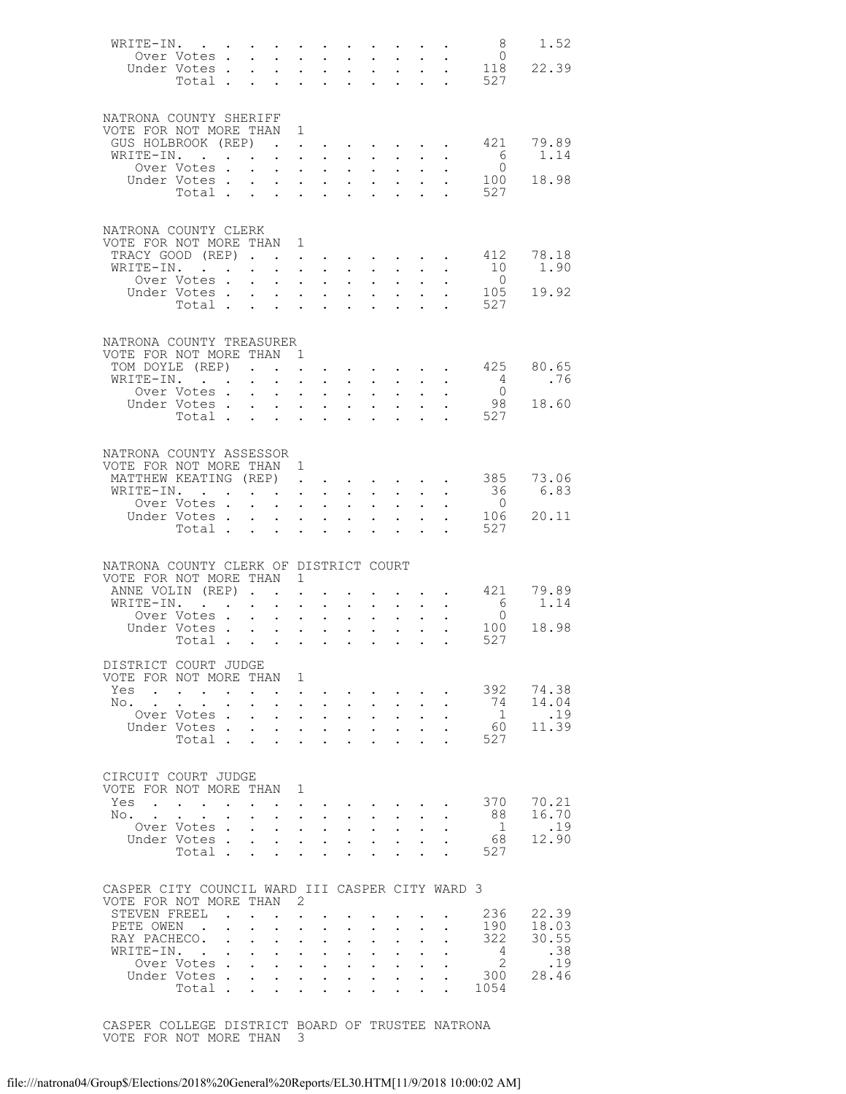|                                                 |                                                         |                      |                                                           |                                           |                                                                               |                                              |                                                                 |                                                                                                                       |                                                   |                      |                                                       | 8               | 1.52           |
|-------------------------------------------------|---------------------------------------------------------|----------------------|-----------------------------------------------------------|-------------------------------------------|-------------------------------------------------------------------------------|----------------------------------------------|-----------------------------------------------------------------|-----------------------------------------------------------------------------------------------------------------------|---------------------------------------------------|----------------------|-------------------------------------------------------|-----------------|----------------|
|                                                 | Over Votes                                              |                      |                                                           |                                           | $\sim$                                                                        | $\mathbf{r}$                                 |                                                                 | $\mathbf{1}$ $\mathbf{1}$ $\mathbf{1}$ $\mathbf{1}$ $\mathbf{1}$ $\mathbf{1}$                                         |                                                   |                      |                                                       | $\ddot{0}$      |                |
|                                                 | Under Votes.                                            |                      | $\sim$ 100 $\pm$                                          | $\sim 10^{-11}$                           | $\mathbf{L}^{\text{max}}$ , $\mathbf{L}^{\text{max}}$                         |                                              |                                                                 | $\mathbf{1}^{\prime}$ , $\mathbf{1}^{\prime}$ , $\mathbf{1}^{\prime}$ , $\mathbf{1}^{\prime}$ , $\mathbf{1}^{\prime}$ |                                                   |                      | $\mathbf{L}^{\text{max}}$ , $\mathbf{L}^{\text{max}}$ | 118<br>527      | 22.39          |
|                                                 | Total.                                                  |                      |                                                           | $\mathbf{L} = \mathbf{L}$                 | $\mathbf{r}$                                                                  | $\sim$ $\sim$                                | $\mathbf{A}$                                                    |                                                                                                                       |                                                   |                      |                                                       |                 |                |
|                                                 |                                                         |                      |                                                           |                                           |                                                                               |                                              |                                                                 |                                                                                                                       |                                                   |                      |                                                       |                 |                |
| NATRONA COUNTY SHERIFF                          |                                                         |                      |                                                           |                                           |                                                                               |                                              |                                                                 |                                                                                                                       |                                                   |                      |                                                       |                 |                |
| VOTE FOR NOT MORE THAN 1                        |                                                         |                      |                                                           |                                           |                                                                               |                                              |                                                                 |                                                                                                                       |                                                   |                      |                                                       |                 |                |
| GUS HOLBROOK (REP)                              |                                                         |                      |                                                           | $\sim 10^{-10}$                           | $\mathbf{L}^{\text{max}}$ , $\mathbf{L}^{\text{max}}$                         |                                              |                                                                 | $\mathbf{z} = \left\{ \mathbf{z}_1, \ldots, \mathbf{z}_n \right\}$ .                                                  |                                                   |                      |                                                       | 421             | 79.89          |
| WRITE-IN.                                       |                                                         |                      |                                                           |                                           | $\mathbf{L} = \mathbf{L}$                                                     |                                              |                                                                 | $\mathbf{r}$ , $\mathbf{r}$ , $\mathbf{r}$                                                                            |                                                   |                      |                                                       | 6               | 1.14           |
|                                                 | Over Votes.                                             |                      | $\ddot{\phantom{0}}$                                      | $\sim$ $-$                                | $\mathbf{z} = \mathbf{z} + \mathbf{z}$ .                                      |                                              |                                                                 | $\mathbf{L}^{\text{max}}$ , $\mathbf{L}^{\text{max}}$                                                                 | $\sim$ $-$                                        |                      |                                                       | $\bigcirc$      |                |
|                                                 | Under Votes.                                            |                      |                                                           | $\mathbf{L}$ and $\mathbf{L}$             | $\mathbf{r} = \mathbf{r} + \mathbf{r}$ .                                      |                                              |                                                                 | $\mathbf{r} = \mathbf{r} \times \mathbf{r}$ , where $\mathbf{r} = \mathbf{r}$                                         |                                                   |                      |                                                       | 100             | 18.98          |
|                                                 | Total                                                   |                      |                                                           |                                           |                                                                               | $\cdot$ $\cdot$ $\cdot$                      | $\ddot{\phantom{0}}$                                            | $\ddot{\phantom{0}}$                                                                                                  |                                                   |                      |                                                       | 527             |                |
|                                                 |                                                         |                      |                                                           |                                           |                                                                               |                                              |                                                                 |                                                                                                                       |                                                   |                      |                                                       |                 |                |
| NATRONA COUNTY CLERK                            |                                                         |                      |                                                           |                                           |                                                                               |                                              |                                                                 |                                                                                                                       |                                                   |                      |                                                       |                 |                |
| VOTE FOR NOT MORE THAN 1                        |                                                         |                      |                                                           |                                           |                                                                               |                                              |                                                                 |                                                                                                                       |                                                   |                      |                                                       |                 |                |
| TRACY GOOD (REP)                                |                                                         |                      |                                                           |                                           | $\mathbf{L}$ and $\mathbf{L}$                                                 |                                              |                                                                 |                                                                                                                       |                                                   |                      |                                                       | 412             | 78.18          |
| WRITE-IN. .                                     |                                                         |                      | $\mathbf{A}^{\text{max}}$ , and $\mathbf{A}^{\text{max}}$ |                                           | <b>All All Andrew</b>                                                         |                                              |                                                                 | $\mathbf{z} = \mathbf{z} + \mathbf{z} + \mathbf{z}$ .                                                                 |                                                   |                      | $\mathbf{z} = \mathbf{z} + \mathbf{z}$ .              | 10              | 1.90           |
|                                                 | Over Votes.                                             |                      | $\mathbf{L}$                                              | $\mathbf{L}$                              |                                                                               | $\mathbf{L}$ and $\mathbf{L}$                | $\mathbf{L}$                                                    | $\ddot{\phantom{0}}$                                                                                                  |                                                   |                      |                                                       | $\overline{0}$  |                |
|                                                 | Under Votes<br>Total.                                   |                      |                                                           |                                           | $\mathbf{A}$ and $\mathbf{A}$ are $\mathbf{A}$ . The set of $\mathbf{A}$      |                                              |                                                                 | $\mathbf{z} = \mathbf{z} + \mathbf{z}$ .                                                                              | $\sim$ $-$                                        | $\ddot{\phantom{0}}$ |                                                       | 105<br>527      | 19.92          |
|                                                 |                                                         |                      |                                                           | $\mathbf{r} = \mathbf{r}$                 | $\mathbf{r}$                                                                  |                                              | $\Delta$ and $\Delta$                                           |                                                                                                                       |                                                   |                      |                                                       |                 |                |
|                                                 |                                                         |                      |                                                           |                                           |                                                                               |                                              |                                                                 |                                                                                                                       |                                                   |                      |                                                       |                 |                |
| NATRONA COUNTY TREASURER                        |                                                         |                      |                                                           |                                           |                                                                               |                                              |                                                                 |                                                                                                                       |                                                   |                      |                                                       |                 |                |
| VOTE FOR NOT MORE THAN 1                        |                                                         |                      |                                                           |                                           |                                                                               |                                              |                                                                 |                                                                                                                       |                                                   |                      |                                                       |                 |                |
| TOM DOYLE (REP)                                 |                                                         |                      | $\ddot{\phantom{a}}$                                      | $\mathbf{L}$                              | $\sim$                                                                        |                                              | . As we can assume that the contribution of $\mathcal{O}(10^4)$ |                                                                                                                       |                                                   |                      |                                                       | 425             | 80.65          |
| WRITE-IN.                                       |                                                         |                      | $\ddot{\phantom{0}}$                                      | $\sim$                                    | $\mathbf{r} = \mathbf{r} + \mathbf{r}$ .                                      |                                              |                                                                 | $\mathbf{z} = \mathbf{z} + \mathbf{z}$ .                                                                              |                                                   |                      |                                                       | $\sim$ 4        | .76            |
|                                                 | Over Votes .                                            |                      | $\mathbf{L}^{\text{max}}$                                 | $\sim 100$                                | $\mathbf{L}$ and $\mathbf{L}$                                                 |                                              | $\mathbf{L}^{\text{max}}$                                       | $\sim 10^{-1}$                                                                                                        | $\mathbf{L}^{\text{max}}$                         |                      |                                                       | $\overline{0}$  |                |
|                                                 | Under Votes.                                            |                      |                                                           | $\mathbf{r} = \mathbf{r}$                 |                                                                               | $\mathbf{L}$ and $\mathbf{L}$                | $\ddot{\phantom{0}}$                                            |                                                                                                                       | $\mathbf{L} = \mathbf{L} \mathbf{L}$              |                      |                                                       | 98              | 18.60          |
|                                                 | Total                                                   |                      |                                                           |                                           | $\sim$                                                                        | $\ddot{\phantom{0}}$                         | $\ddot{\phantom{0}}$                                            | $\ddot{\phantom{a}}$                                                                                                  |                                                   |                      |                                                       | 527             |                |
|                                                 |                                                         |                      |                                                           |                                           |                                                                               |                                              |                                                                 |                                                                                                                       |                                                   |                      |                                                       |                 |                |
| NATRONA COUNTY ASSESSOR                         |                                                         |                      |                                                           |                                           |                                                                               |                                              |                                                                 |                                                                                                                       |                                                   |                      |                                                       |                 |                |
| VOTE FOR NOT MORE THAN 1                        |                                                         |                      |                                                           |                                           |                                                                               |                                              |                                                                 |                                                                                                                       |                                                   |                      |                                                       |                 |                |
| MATTHEW KEATING (REP)                           |                                                         |                      |                                                           |                                           | $\mathbf{L}$                                                                  |                                              |                                                                 |                                                                                                                       |                                                   |                      |                                                       |                 | 385 73.06      |
| WRITE-IN. .                                     |                                                         |                      |                                                           |                                           | and a strong control of the state of                                          |                                              |                                                                 | $\mathbf{z} = \mathbf{z} + \mathbf{z}$ .                                                                              | $\sim 100$                                        | $\ddot{\phantom{0}}$ |                                                       | 36              | 6.83           |
|                                                 | Over Votes.                                             |                      | $\ddot{\phantom{a}}$                                      | $\sim$                                    | $\ddot{\phantom{1}}$                                                          |                                              | $\mathcal{L}^{\text{max}}$                                      | $\ddot{\phantom{0}}$                                                                                                  | $\sim$                                            |                      |                                                       | $\overline{0}$  |                |
|                                                 | Under Votes                                             |                      |                                                           |                                           |                                                                               |                                              |                                                                 | $\mathbf{z} = \mathbf{z} + \mathbf{z}$ , where $\mathbf{z} = \mathbf{z}$                                              |                                                   | $\ddot{\phantom{0}}$ |                                                       | 106             | 20.11          |
|                                                 | Total                                                   |                      |                                                           |                                           |                                                                               |                                              |                                                                 |                                                                                                                       |                                                   |                      |                                                       | 527             |                |
|                                                 |                                                         |                      |                                                           |                                           |                                                                               |                                              |                                                                 |                                                                                                                       |                                                   |                      |                                                       |                 |                |
| NATRONA COUNTY CLERK OF DISTRICT COURT          |                                                         |                      |                                                           |                                           |                                                                               |                                              |                                                                 |                                                                                                                       |                                                   |                      |                                                       |                 |                |
| VOTE FOR NOT MORE THAN                          |                                                         |                      |                                                           |                                           | $\mathbf{1}$                                                                  |                                              |                                                                 |                                                                                                                       |                                                   |                      |                                                       |                 |                |
| ANNE VOLIN (REP).                               |                                                         |                      |                                                           | $\sim$ $-$                                | $\bullet$                                                                     |                                              |                                                                 |                                                                                                                       |                                                   |                      | $\mathbf{z} = \mathbf{z} + \mathbf{z}$ .              | 421             | 79.89          |
| WRITE-IN.                                       |                                                         |                      |                                                           | $\sim$                                    | $\ddot{\phantom{a}}$                                                          | $\ddot{\phantom{0}}$                         | $\mathbf{r}$                                                    | $\ddot{\phantom{0}}$                                                                                                  |                                                   |                      |                                                       | $6\overline{6}$ | 1.14           |
|                                                 | Over Votes .                                            |                      | $\ddot{\phantom{0}}$                                      | $\bullet$ .                               | $\bullet$ .                                                                   | $\sim$ $-$                                   | $\mathbf{L}^{\text{max}}$                                       | $\mathbf{z} = \mathbf{z}$                                                                                             | $\mathbf{L}^{\text{max}}$                         |                      |                                                       | $\overline{0}$  |                |
|                                                 | Under Votes.                                            |                      | $\mathbf{r}$                                              | $\sim$                                    |                                                                               | $\cdot$ $\cdot$ $\cdot$                      | $\ddot{\phantom{0}}$                                            | $\ddot{\phantom{a}}$                                                                                                  |                                                   |                      |                                                       | 100             | 18.98          |
|                                                 | Total                                                   |                      |                                                           | $\sim$ 100 $\pm$                          | $\mathbf{L}^{\text{max}}$                                                     | $\sim$                                       | $\bullet$ .                                                     | $\ddot{\phantom{a}}$                                                                                                  | $\ddot{\phantom{0}}$                              | $\ddot{\phantom{0}}$ | $\ddot{\phantom{0}}$                                  | 527             |                |
|                                                 |                                                         |                      |                                                           |                                           |                                                                               |                                              |                                                                 |                                                                                                                       |                                                   |                      |                                                       |                 |                |
| DISTRICT COURT JUDGE                            |                                                         |                      |                                                           |                                           |                                                                               |                                              |                                                                 |                                                                                                                       |                                                   |                      |                                                       |                 |                |
| VOTE FOR NOT MORE THAN 1<br>Yes                 |                                                         |                      |                                                           |                                           |                                                                               |                                              |                                                                 |                                                                                                                       |                                                   |                      |                                                       | 392             | 74.38          |
| No. .                                           |                                                         |                      | $\ddot{\phantom{0}}$<br>$\ddot{\phantom{0}}$              | $\mathbf{L}$                              | $\bullet$ .<br>$\ddot{\phantom{0}}$                                           | $\sim$ $-$                                   | $\ddot{\phantom{0}}$                                            | $\sim$ $\sim$                                                                                                         | $\ddot{\phantom{0}}$                              |                      |                                                       | 74              | 14.04          |
|                                                 | Over Votes .                                            |                      | $\mathbf{L}^{\text{max}}$                                 |                                           | $\mathbf{z} = \mathbf{z} + \mathbf{z}$ , where $\mathbf{z} = \mathbf{z}$      |                                              |                                                                 | $\mathbf{L}^{\text{max}}$ , $\mathbf{L}^{\text{max}}$                                                                 | $\sim$ $-$                                        |                      |                                                       | $\mathbf{1}$    | .19            |
|                                                 | Under Votes.                                            |                      |                                                           | $\mathbf{r} = \mathbf{r}$                 | $\ddot{\phantom{0}}$                                                          | $\mathbf{r}$                                 | $\mathbf{L}$                                                    | $\mathbf{L}$                                                                                                          |                                                   |                      |                                                       | 60              | 11.39          |
|                                                 | Total.                                                  |                      | $\ddot{\phantom{a}}$                                      | $\mathbf{L}$                              | $\ddot{\phantom{0}}$                                                          | $\ddot{\phantom{a}}$                         | $\ddot{\phantom{a}}$                                            |                                                                                                                       |                                                   |                      |                                                       | 527             |                |
|                                                 |                                                         |                      |                                                           |                                           |                                                                               |                                              |                                                                 |                                                                                                                       |                                                   |                      |                                                       |                 |                |
|                                                 |                                                         |                      |                                                           |                                           |                                                                               |                                              |                                                                 |                                                                                                                       |                                                   |                      |                                                       |                 |                |
| CIRCUIT COURT JUDGE                             |                                                         |                      |                                                           |                                           |                                                                               |                                              |                                                                 |                                                                                                                       |                                                   |                      |                                                       |                 |                |
| VOTE FOR NOT MORE THAN 1                        |                                                         |                      |                                                           |                                           |                                                                               |                                              |                                                                 |                                                                                                                       |                                                   |                      |                                                       |                 |                |
| Yes<br>No. .                                    |                                                         | $\mathbf{r}$         |                                                           |                                           | $\mathbf{L}^{\text{max}}$                                                     |                                              |                                                                 |                                                                                                                       |                                                   |                      |                                                       | 370<br>88       | 70.21<br>16.70 |
|                                                 | $\mathbf{r} = \mathbf{r} + \mathbf{r}$ .<br>Over Votes. | $\sim$ $-$           | $\ddot{\phantom{0}}$<br>$\mathbf{r}$                      | $\mathbf{L}^{\text{max}}$<br>$\mathbf{L}$ | $\mathbf{L}^{\text{max}}$ , $\mathbf{L}^{\text{max}}$<br>$\ddot{\phantom{a}}$ | $\sim$                                       |                                                                 | $\mathbf{z} = \mathbf{z} + \mathbf{z}$<br>$\mathbf{L} = \mathbf{L}$                                                   | $\mathbf{L}^{\text{max}}$<br>$\ddot{\phantom{0}}$ |                      |                                                       | $\overline{1}$  | .19            |
|                                                 | Under Votes .                                           |                      | $\ddot{\phantom{0}}$                                      | $\sim 100$                                | $\mathbf{L}^{\text{max}}$ , and $\mathbf{L}^{\text{max}}$                     |                                              | $\bullet$ .                                                     | $\sim$ $-$                                                                                                            | $\mathbf{L}^{\text{max}}$                         |                      |                                                       | - 68            | 12.90          |
|                                                 | Total .                                                 |                      |                                                           | $\mathbf{r}$ and $\mathbf{r}$             | $\mathbf{r}$                                                                  |                                              | $\mathbf{L}$                                                    |                                                                                                                       |                                                   |                      |                                                       | 527             |                |
|                                                 |                                                         |                      |                                                           |                                           |                                                                               |                                              |                                                                 |                                                                                                                       |                                                   |                      |                                                       |                 |                |
|                                                 |                                                         |                      |                                                           |                                           |                                                                               |                                              |                                                                 |                                                                                                                       |                                                   |                      |                                                       |                 |                |
| CASPER CITY COUNCIL WARD III CASPER CITY WARD 3 |                                                         |                      |                                                           |                                           |                                                                               |                                              |                                                                 |                                                                                                                       |                                                   |                      |                                                       |                 |                |
| VOTE FOR NOT MORE THAN 2                        |                                                         |                      |                                                           |                                           |                                                                               |                                              |                                                                 |                                                                                                                       |                                                   |                      |                                                       |                 |                |
| STEVEN FREEL<br>PETE OWEN.                      |                                                         |                      |                                                           |                                           |                                                                               |                                              |                                                                 |                                                                                                                       |                                                   |                      |                                                       | 236             | 22.39<br>18.03 |
| RAY PACHECO.                                    |                                                         | $\ddot{\phantom{a}}$ | $\ddot{\phantom{0}}$                                      | $\ddot{\phantom{0}}$                      | $\ddot{\phantom{a}}$                                                          |                                              | $\ddot{\phantom{0}}$                                            |                                                                                                                       |                                                   |                      |                                                       | 190<br>322      | 30.55          |
| WRITE-IN.                                       | $\sim 100$ km s $^{-1}$                                 |                      | $\ddot{\phantom{0}}$                                      | $\mathbf{L}$                              | $\ddot{\phantom{a}}$<br>$\ddot{\phantom{a}}$                                  | $\ddot{\phantom{0}}$<br>$\ddot{\phantom{0}}$ | $\ddot{\phantom{0}}$                                            | $\ddot{\phantom{0}}$<br>$\ddot{\phantom{0}}$                                                                          | $\ddot{\phantom{a}}$                              |                      |                                                       | $\overline{4}$  | .38            |
|                                                 | Over Votes .                                            |                      | $\mathbf{L}$                                              | $\sim 10^{-11}$                           | $\mathcal{L}^{\mathcal{L}}$                                                   | $\ddot{\phantom{0}}$                         | $\ddot{\phantom{0}}$                                            | $\mathbf{L}^{\text{max}}$                                                                                             | $\ddot{\phantom{0}}$                              |                      |                                                       | 2               | .19            |
|                                                 | Under Votes.                                            |                      |                                                           | $\cdot$ $\cdot$ $\cdot$                   | $\ddot{\phantom{0}}$                                                          | $\bullet$ .                                  | $\ddot{\phantom{a}}$                                            | $\ddot{\phantom{0}}$                                                                                                  |                                                   |                      |                                                       | 300             | 28.46          |
|                                                 | Total.                                                  |                      |                                                           | $\mathbf{L}$                              | $\ddot{\phantom{a}}$                                                          | $\ddot{\phantom{0}}$                         |                                                                 |                                                                                                                       |                                                   |                      |                                                       | 1054            |                |
|                                                 |                                                         |                      |                                                           |                                           |                                                                               |                                              |                                                                 |                                                                                                                       |                                                   |                      |                                                       |                 |                |

 CASPER COLLEGE DISTRICT BOARD OF TRUSTEE NATRONA VOTE FOR NOT MORE THAN 3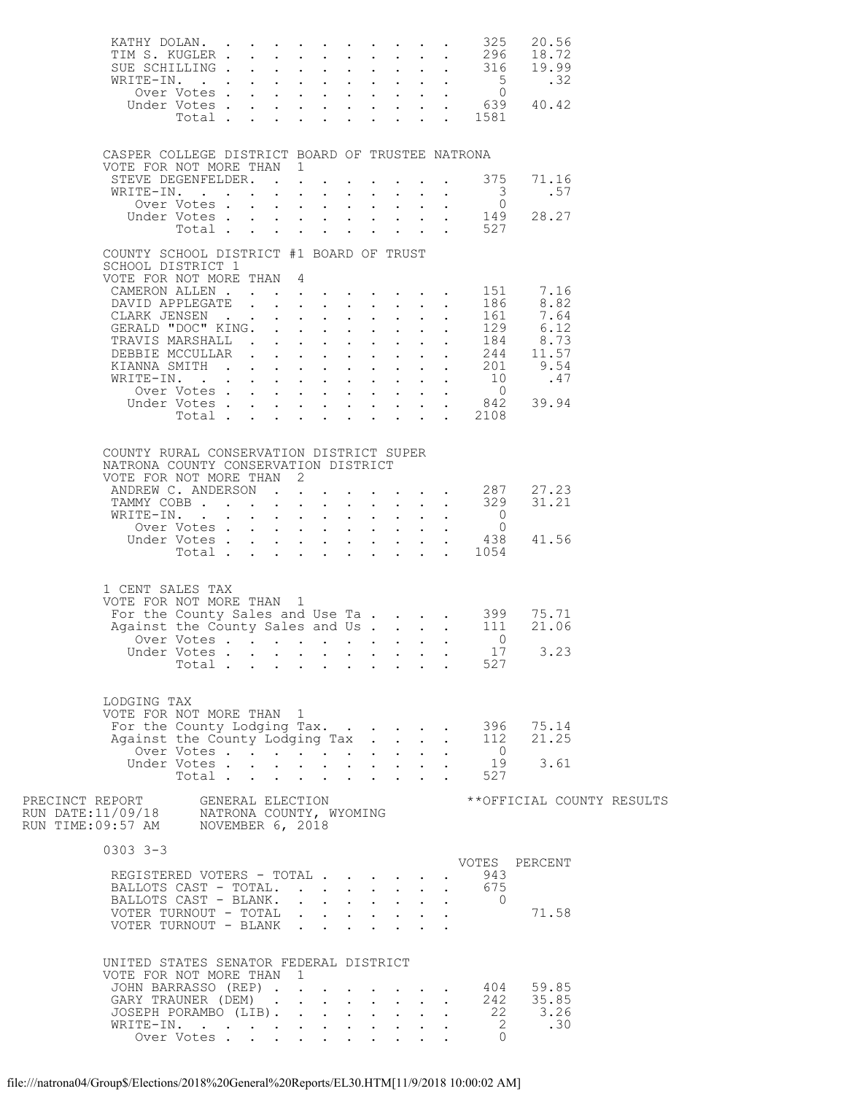| CASPER COLLEGE DISTRICT BOARD OF TRUSTEE NATRONA                                     |             |  |                                                                                         |  |  |                                                                  |                                                                                        |  |
|--------------------------------------------------------------------------------------|-------------|--|-----------------------------------------------------------------------------------------|--|--|------------------------------------------------------------------|----------------------------------------------------------------------------------------|--|
| VOTE FOR NOT MORE THAN 1<br>STEVE DEGENFELDER. 375                                   |             |  |                                                                                         |  |  |                                                                  | 71.16<br>.57                                                                           |  |
|                                                                                      |             |  |                                                                                         |  |  |                                                                  | 28.27                                                                                  |  |
| COUNTY SCHOOL DISTRICT #1 BOARD OF TRUST                                             |             |  |                                                                                         |  |  |                                                                  |                                                                                        |  |
| SCHOOL DISTRICT 1<br>VOTE FOR NOT MORE THAN 4                                        |             |  |                                                                                         |  |  |                                                                  |                                                                                        |  |
|                                                                                      |             |  |                                                                                         |  |  |                                                                  | CAMERON ALLEN 151 7.16<br>DAVID APPLEGATE 186 8.82                                     |  |
|                                                                                      |             |  |                                                                                         |  |  |                                                                  |                                                                                        |  |
|                                                                                      |             |  |                                                                                         |  |  |                                                                  |                                                                                        |  |
|                                                                                      |             |  |                                                                                         |  |  |                                                                  |                                                                                        |  |
|                                                                                      |             |  |                                                                                         |  |  |                                                                  |                                                                                        |  |
|                                                                                      |             |  |                                                                                         |  |  |                                                                  |                                                                                        |  |
|                                                                                      |             |  |                                                                                         |  |  |                                                                  | 0<br>0<br>0<br>Under Votes 842 39.94<br>Under Votes 842 39.94                          |  |
|                                                                                      |             |  |                                                                                         |  |  | Total 2108                                                       |                                                                                        |  |
|                                                                                      |             |  |                                                                                         |  |  |                                                                  |                                                                                        |  |
| COUNTY RURAL CONSERVATION DISTRICT SUPER<br>NATRONA COUNTY CONSERVATION DISTRICT     |             |  |                                                                                         |  |  |                                                                  |                                                                                        |  |
| VOTE FOR NOT MORE THAN 2                                                             |             |  |                                                                                         |  |  |                                                                  | 27.23                                                                                  |  |
| ANDREW C. ANDERSON 287<br>TAMMY COBB 329                                             |             |  |                                                                                         |  |  |                                                                  | 31.21                                                                                  |  |
| WRITE-IN. 0<br>Over Votes 0                                                          |             |  |                                                                                         |  |  |                                                                  |                                                                                        |  |
|                                                                                      | Over Votes  |  |                                                                                         |  |  |                                                                  |                                                                                        |  |
|                                                                                      |             |  |                                                                                         |  |  | Under Votes 438<br>Total 1054                                    | 41.56                                                                                  |  |
|                                                                                      |             |  |                                                                                         |  |  |                                                                  |                                                                                        |  |
| 1 CENT SALES TAX<br>VOTE FOR NOT MORE THAN 1                                         |             |  |                                                                                         |  |  |                                                                  |                                                                                        |  |
|                                                                                      |             |  |                                                                                         |  |  |                                                                  |                                                                                        |  |
|                                                                                      |             |  |                                                                                         |  |  |                                                                  | For the County Sales and Use Ta 399 75.71<br>Against the County Sales and Us 111 21.06 |  |
|                                                                                      |             |  |                                                                                         |  |  | Over Votes $\ldots$ $\ldots$ $\ldots$ $\ldots$ $\ldots$ $\ldots$ |                                                                                        |  |
|                                                                                      | Total       |  |                                                                                         |  |  | 527                                                              | Under Votes 17 3.23                                                                    |  |
|                                                                                      |             |  |                                                                                         |  |  |                                                                  |                                                                                        |  |
| LODGING TAX                                                                          |             |  |                                                                                         |  |  |                                                                  |                                                                                        |  |
| VOTE FOR NOT MORE THAN 1                                                             |             |  |                                                                                         |  |  |                                                                  |                                                                                        |  |
|                                                                                      |             |  |                                                                                         |  |  |                                                                  | For the County Lodging Tax. 396 75.14<br>Against the County Lodging Tax 112 21.25      |  |
|                                                                                      | Over Votes  |  |                                                                                         |  |  | $\overline{0}$                                                   |                                                                                        |  |
|                                                                                      | Under Votes |  |                                                                                         |  |  |                                                                  | $\begin{array}{cc} 19 & 3.61 \\ 527 & \end{array}$                                     |  |
|                                                                                      | Total       |  | $\mathbf{r} = \mathbf{r} \cdot \mathbf{r}$ , $\mathbf{r} = \mathbf{r} \cdot \mathbf{r}$ |  |  |                                                                  |                                                                                        |  |
|                                                                                      |             |  |                                                                                         |  |  |                                                                  | **OFFICIAL COUNTY RESULTS                                                              |  |
| $0303$ $3-3$                                                                         |             |  |                                                                                         |  |  |                                                                  |                                                                                        |  |
| REGISTERED VOTERS - TOTAL                                                            |             |  |                                                                                         |  |  | 943                                                              | VOTES PERCENT                                                                          |  |
| BALLOTS CAST - TOTAL. 675                                                            |             |  |                                                                                         |  |  |                                                                  |                                                                                        |  |
| BALLOTS CAST - BLANK.                                                                |             |  |                                                                                         |  |  | $\overline{0}$                                                   |                                                                                        |  |
| VOTER TURNOUT - TOTAL $\cdot \cdot \cdot \cdot \cdot \cdot$<br>VOTER TURNOUT - BLANK |             |  |                                                                                         |  |  |                                                                  | 71.58                                                                                  |  |
|                                                                                      |             |  |                                                                                         |  |  |                                                                  |                                                                                        |  |
| UNITED STATES SENATOR FEDERAL DISTRICT<br>VOTE FOR NOT MORE THAN 1                   |             |  |                                                                                         |  |  |                                                                  |                                                                                        |  |
|                                                                                      |             |  |                                                                                         |  |  |                                                                  | JOHN BARRASSO (REP) 404 59.85<br>GARY TRAUNER (DEM) 242 35.85                          |  |
|                                                                                      |             |  |                                                                                         |  |  |                                                                  | JOSEPH PORAMBO (LIB). 22 3.26                                                          |  |
| WRITE-IN.<br>Over Votes                                                              |             |  |                                                                                         |  |  | $\overline{2}$                                                   | .30                                                                                    |  |
|                                                                                      |             |  |                                                                                         |  |  | $\bigcap$                                                        |                                                                                        |  |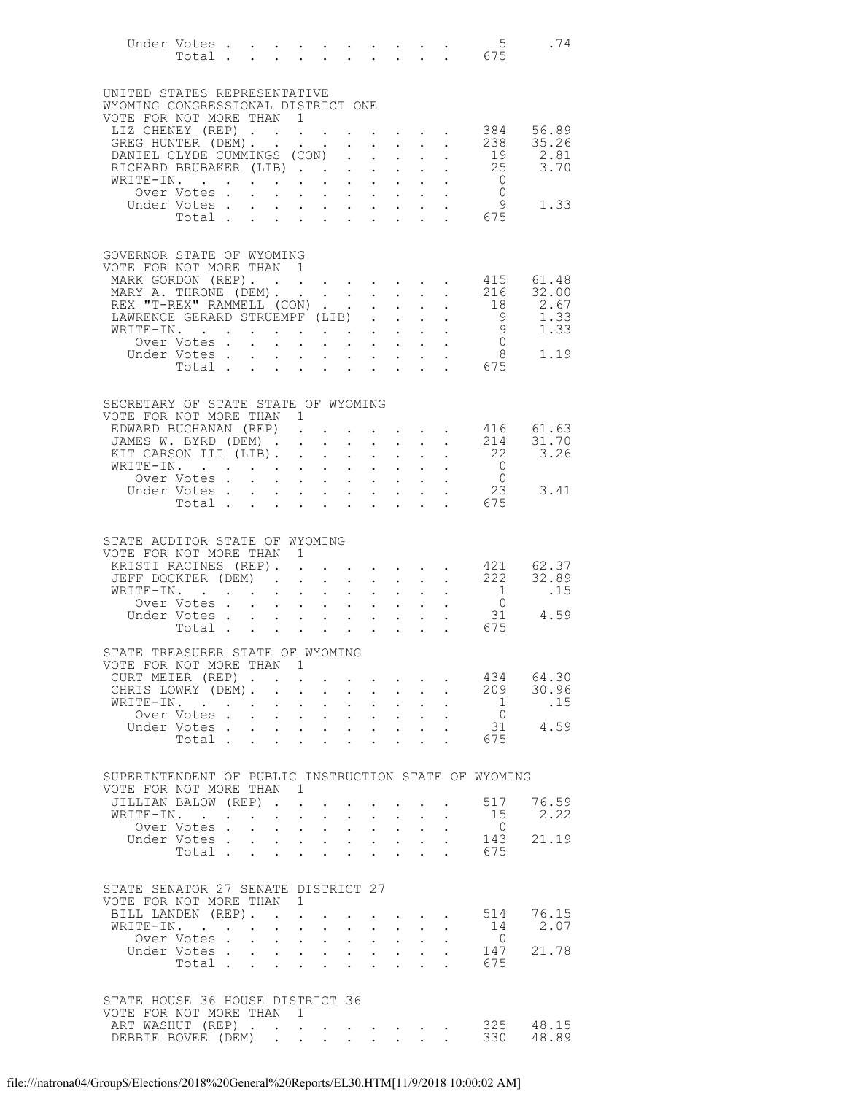|                                                                                   | Under Votes 5<br>Total 675                                  |                           |                                    |                                                                                                                      |                                                                                                                       |                      |                           |                                                                                                                                                                                                                                                                                                                                                                                                                              |                      |                                  | $5^{\circ}$<br>.74                                   |
|-----------------------------------------------------------------------------------|-------------------------------------------------------------|---------------------------|------------------------------------|----------------------------------------------------------------------------------------------------------------------|-----------------------------------------------------------------------------------------------------------------------|----------------------|---------------------------|------------------------------------------------------------------------------------------------------------------------------------------------------------------------------------------------------------------------------------------------------------------------------------------------------------------------------------------------------------------------------------------------------------------------------|----------------------|----------------------------------|------------------------------------------------------|
| UNITED STATES REPRESENTATIVE                                                      |                                                             |                           |                                    |                                                                                                                      |                                                                                                                       |                      |                           |                                                                                                                                                                                                                                                                                                                                                                                                                              |                      |                                  |                                                      |
| WYOMING CONGRESSIONAL DISTRICT ONE<br>VOTE FOR NOT MORE THAN 1                    |                                                             |                           |                                    |                                                                                                                      |                                                                                                                       |                      |                           |                                                                                                                                                                                                                                                                                                                                                                                                                              |                      |                                  |                                                      |
|                                                                                   |                                                             |                           |                                    |                                                                                                                      |                                                                                                                       |                      |                           |                                                                                                                                                                                                                                                                                                                                                                                                                              |                      |                                  | LIZ CHENEY (REP) 384 56.89                           |
|                                                                                   | GREG HUNTER (DEM). .<br>DANIEL CLYDE CUMMINGS (CON)         |                           |                                    |                                                                                                                      | $\mathcal{A}^{\mathcal{A}}$ , $\mathcal{A}^{\mathcal{A}}$ , $\mathcal{A}^{\mathcal{A}}$ , $\mathcal{A}^{\mathcal{A}}$ |                      |                           | $\mathbf{u}^{\prime}=\mathbf{u}^{\prime}=\mathbf{u}^{\prime}=\mathbf{u}^{\prime}$ .                                                                                                                                                                                                                                                                                                                                          |                      | 238                              | 35.26<br>$19$ $2.81$                                 |
|                                                                                   | RICHARD BRUBAKER (LIB)                                      |                           |                                    |                                                                                                                      |                                                                                                                       |                      |                           | $\mathbf{u} = \mathbf{u} \cdot \mathbf{u}$ .                                                                                                                                                                                                                                                                                                                                                                                 | $\sim$               |                                  | $25$ $3.70$<br>0                                     |
|                                                                                   | WRITE-IN.<br>Over Votes .                                   |                           | $\mathcal{L}^{\text{max}}$         |                                                                                                                      | <b>Contract Contract Contract</b>                                                                                     |                      |                           | $\mathbf{u} = \mathbf{u} + \mathbf{u} + \mathbf{u}$ .                                                                                                                                                                                                                                                                                                                                                                        |                      |                                  |                                                      |
|                                                                                   | Under Votes.                                                |                           |                                    | $\mathbf{r} = \mathbf{r} + \mathbf{r} + \mathbf{r} + \mathbf{r} + \mathbf{r} + \mathbf{r} + \mathbf{r} + \mathbf{r}$ |                                                                                                                       |                      |                           |                                                                                                                                                                                                                                                                                                                                                                                                                              |                      | $\begin{matrix}0\\9\end{matrix}$ | 1.33                                                 |
|                                                                                   | Total                                                       |                           | $\sim$                             |                                                                                                                      | $\mathbf{r}$ , $\mathbf{r}$ , $\mathbf{r}$                                                                            | $\ddot{\phantom{0}}$ |                           | $\mathbf{L} = \mathbf{L}$                                                                                                                                                                                                                                                                                                                                                                                                    |                      | 675                              |                                                      |
| GOVERNOR STATE OF WYOMING<br>VOTE FOR NOT MORE THAN 1                             |                                                             |                           |                                    |                                                                                                                      |                                                                                                                       |                      |                           |                                                                                                                                                                                                                                                                                                                                                                                                                              |                      |                                  |                                                      |
| MARK GORDON (REP). 415 61.48                                                      |                                                             |                           |                                    |                                                                                                                      |                                                                                                                       |                      |                           |                                                                                                                                                                                                                                                                                                                                                                                                                              |                      |                                  |                                                      |
| MARY A. THRONE (DEM).                                                             |                                                             |                           |                                    |                                                                                                                      |                                                                                                                       |                      |                           |                                                                                                                                                                                                                                                                                                                                                                                                                              |                      | 216                              | 32.00                                                |
|                                                                                   | REX "T-REX" RAMMELL (CON)<br>LAWRENCE GERARD STRUEMPF (LIB) |                           |                                    |                                                                                                                      |                                                                                                                       |                      |                           | $\mathbf{L}$                                                                                                                                                                                                                                                                                                                                                                                                                 |                      | 18                               | 2.67                                                 |
|                                                                                   | LAWRENCE GERARD STRUEMPF (LIB)<br>WRITE-IN.                 |                           |                                    |                                                                                                                      |                                                                                                                       |                      |                           |                                                                                                                                                                                                                                                                                                                                                                                                                              |                      |                                  | $\begin{bmatrix} 9 & 1.33 \\ 9 & 1.33 \end{bmatrix}$ |
|                                                                                   | Over Votes .<br>Under Votes.                                | $\ddot{\phantom{0}}$      | $\ddot{\phantom{a}}$<br>$\sim$ $-$ |                                                                                                                      |                                                                                                                       |                      |                           | $\mathcal{L}^{\mathcal{A}}$ , $\mathcal{L}^{\mathcal{A}}$ , $\mathcal{L}^{\mathcal{A}}$ , $\mathcal{L}^{\mathcal{A}}$ , $\mathcal{L}^{\mathcal{A}}$ , $\mathcal{L}^{\mathcal{A}}$ , $\mathcal{L}^{\mathcal{A}}$<br>$\mathbf{r}$ , $\mathbf{r}$ , $\mathbf{r}$ , $\mathbf{r}$ , $\mathbf{r}$ , $\mathbf{r}$                                                                                                                   |                      | $\begin{matrix}0\\8\end{matrix}$ | 1.19                                                 |
|                                                                                   | Total                                                       |                           | $\sim$ 100 $\pm$                   |                                                                                                                      | $\mathbf{r} = \mathbf{r} \cdot \mathbf{r}$                                                                            |                      |                           | $\mathbf{L}^{\text{max}}$ , $\mathbf{L}^{\text{max}}$                                                                                                                                                                                                                                                                                                                                                                        |                      | 675                              |                                                      |
|                                                                                   |                                                             |                           |                                    |                                                                                                                      |                                                                                                                       |                      |                           |                                                                                                                                                                                                                                                                                                                                                                                                                              |                      |                                  |                                                      |
| SECRETARY OF STATE STATE OF WYOMING<br>VOTE FOR NOT MORE THAN 1                   |                                                             |                           |                                    |                                                                                                                      |                                                                                                                       |                      |                           |                                                                                                                                                                                                                                                                                                                                                                                                                              |                      |                                  |                                                      |
|                                                                                   | EDWARD BUCHANAN (REP).                                      |                           |                                    |                                                                                                                      |                                                                                                                       |                      |                           |                                                                                                                                                                                                                                                                                                                                                                                                                              |                      |                                  | $\cdot$ $\cdot$ $\cdot$ $\cdot$ $\cdot$ 416 61.63    |
| KIT CARSON III (LIB).                                                             | JAMES W. BYRD (DEM)                                         |                           |                                    |                                                                                                                      |                                                                                                                       |                      |                           | $\mathbf{A}^{(n)}$ and $\mathbf{A}^{(n)}$ and $\mathbf{A}^{(n)}$                                                                                                                                                                                                                                                                                                                                                             |                      | 214<br>22                        | 31.70<br>3.26                                        |
|                                                                                   | WRITE-IN.                                                   |                           |                                    | $\mathbf{z} = \mathbf{z} + \mathbf{z} + \mathbf{z} + \mathbf{z} + \mathbf{z}$                                        |                                                                                                                       |                      |                           | $\mathbf{u} = \mathbf{u} \times \mathbf{u} + \mathbf{u} \times \mathbf{u}$                                                                                                                                                                                                                                                                                                                                                   |                      | $\overline{0}$                   |                                                      |
|                                                                                   | Over Votes .                                                |                           |                                    | .                                                                                                                    |                                                                                                                       |                      |                           |                                                                                                                                                                                                                                                                                                                                                                                                                              |                      | $\overline{0}$                   |                                                      |
|                                                                                   | Under Votes<br>Total                                        |                           |                                    |                                                                                                                      |                                                                                                                       |                      |                           | $\mathbf{r} = \mathbf{r}$                                                                                                                                                                                                                                                                                                                                                                                                    |                      | 23<br>675                        | 3.41                                                 |
|                                                                                   |                                                             |                           |                                    |                                                                                                                      |                                                                                                                       |                      |                           |                                                                                                                                                                                                                                                                                                                                                                                                                              |                      |                                  |                                                      |
| STATE AUDITOR STATE OF WYOMING                                                    |                                                             |                           |                                    |                                                                                                                      |                                                                                                                       |                      |                           |                                                                                                                                                                                                                                                                                                                                                                                                                              |                      |                                  |                                                      |
| VOTE FOR NOT MORE THAN 1                                                          |                                                             |                           |                                    |                                                                                                                      |                                                                                                                       |                      |                           |                                                                                                                                                                                                                                                                                                                                                                                                                              |                      |                                  |                                                      |
|                                                                                   | KRISTI RACINES (REP).<br>JEFF DOCKTER (DEM)                 |                           |                                    | $\ddot{\phantom{a}}$                                                                                                 | $\ddot{\phantom{a}}$                                                                                                  |                      |                           | $\mathcal{L}(\mathbf{x})$ . The set of the set of $\mathcal{L}(\mathbf{x})$<br>$\mathbf{r} = \mathbf{r} + \mathbf{r}$                                                                                                                                                                                                                                                                                                        |                      |                                  | 421 62.37<br>. 222 32.89                             |
|                                                                                   | WRITE-IN.                                                   |                           |                                    |                                                                                                                      |                                                                                                                       |                      | $\mathbf{L}^{\text{max}}$ | $\mathbf{u} = \mathbf{u} \cdot \mathbf{u}$ .                                                                                                                                                                                                                                                                                                                                                                                 |                      | 1                                | .15                                                  |
|                                                                                   | Over Votes.                                                 |                           |                                    | $\mathbf{r}$ , $\mathbf{r}$ , $\mathbf{r}$ , $\mathbf{r}$ , $\mathbf{r}$ , $\mathbf{r}$ , $\mathbf{r}$               |                                                                                                                       |                      |                           |                                                                                                                                                                                                                                                                                                                                                                                                                              |                      | $\overline{0}$                   | 31 4.59                                              |
|                                                                                   | Under Votes<br>Total                                        |                           |                                    |                                                                                                                      |                                                                                                                       |                      |                           |                                                                                                                                                                                                                                                                                                                                                                                                                              |                      | $\frac{1}{2}$ 675                |                                                      |
| STATE TREASURER STATE OF WYOMING                                                  |                                                             |                           |                                    |                                                                                                                      |                                                                                                                       |                      |                           |                                                                                                                                                                                                                                                                                                                                                                                                                              |                      |                                  |                                                      |
| VOTE FOR NOT MORE THAN 1                                                          |                                                             |                           |                                    |                                                                                                                      |                                                                                                                       |                      |                           |                                                                                                                                                                                                                                                                                                                                                                                                                              |                      |                                  |                                                      |
|                                                                                   | CURT MEIER (REP)                                            |                           |                                    |                                                                                                                      |                                                                                                                       |                      |                           | $\mathbf{r} = \mathbf{r} + \mathbf{r} + \mathbf{r} + \mathbf{r} + \mathbf{r} + \mathbf{r} + \mathbf{r} + \mathbf{r} + \mathbf{r} + \mathbf{r} + \mathbf{r} + \mathbf{r} + \mathbf{r} + \mathbf{r} + \mathbf{r} + \mathbf{r} + \mathbf{r} + \mathbf{r} + \mathbf{r} + \mathbf{r} + \mathbf{r} + \mathbf{r} + \mathbf{r} + \mathbf{r} + \mathbf{r} + \mathbf{r} + \mathbf{r} + \mathbf{r} + \mathbf{r} + \mathbf{r} + \mathbf$ |                      |                                  | 434 64.30                                            |
|                                                                                   | CHRIS LOWRY (DEM). .<br>WRITE-IN.                           |                           |                                    | $\mathbf{r}$ , $\mathbf{r}$ , $\mathbf{r}$                                                                           | $\mathbf{L}^{\text{max}}$ , and $\mathbf{L}^{\text{max}}$                                                             |                      | $\cdot$ $\cdot$ $\cdot$   | $\mathbf{r} = \mathbf{r} + \mathbf{r} + \mathbf{r} + \mathbf{r}$<br>$\mathbf{L}$                                                                                                                                                                                                                                                                                                                                             | $\ddot{\phantom{0}}$ | $\overline{1}$                   | 209 30.96<br>.15                                     |
|                                                                                   | Over Votes .                                                | $\mathbf{L}^{\text{max}}$ |                                    | $\mathbf{r} = \mathbf{r} + \mathbf{r} + \mathbf{r} + \mathbf{r}$                                                     |                                                                                                                       |                      |                           | $\mathbf{A}^{(1)}$ and $\mathbf{A}^{(2)}$ and $\mathbf{A}^{(3)}$                                                                                                                                                                                                                                                                                                                                                             |                      | $\overline{0}$                   |                                                      |
|                                                                                   | Under Votes.<br>Total                                       |                           | $\ddot{\phantom{0}}$               | $\mathbf{r}$ , $\mathbf{r}$ , $\mathbf{r}$ , $\mathbf{r}$ , $\mathbf{r}$ , $\mathbf{r}$                              | $\mathbf{L}$ and $\mathbf{L}$                                                                                         |                      | $\ddot{\phantom{0}}$      | $\mathbf{L}$ $\mathbf{L}$                                                                                                                                                                                                                                                                                                                                                                                                    |                      | 31<br>675                        | 4.59                                                 |
|                                                                                   |                                                             |                           |                                    |                                                                                                                      |                                                                                                                       |                      |                           |                                                                                                                                                                                                                                                                                                                                                                                                                              |                      |                                  |                                                      |
| SUPERINTENDENT OF PUBLIC INSTRUCTION STATE OF WYOMING<br>VOTE FOR NOT MORE THAN 1 |                                                             |                           |                                    |                                                                                                                      |                                                                                                                       |                      |                           |                                                                                                                                                                                                                                                                                                                                                                                                                              |                      |                                  |                                                      |
|                                                                                   | JILLIAN BALOW (REP)                                         |                           |                                    |                                                                                                                      |                                                                                                                       |                      |                           |                                                                                                                                                                                                                                                                                                                                                                                                                              |                      | 517                              | 76.59                                                |
|                                                                                   | WRITE-IN.<br>Over Votes.                                    |                           |                                    | $\mathbf{r}$ , $\mathbf{r}$ , $\mathbf{r}$ , $\mathbf{r}$ , $\mathbf{r}$                                             | $\mathcal{A}^{\mathcal{A}}$ , $\mathcal{A}^{\mathcal{A}}$ , $\mathcal{A}^{\mathcal{A}}$                               |                      |                           | $\mathbf{z} = \mathbf{z} + \mathbf{z}$                                                                                                                                                                                                                                                                                                                                                                                       |                      | 15<br>$\overline{0}$             | 2.22                                                 |
|                                                                                   | Under Votes                                                 |                           |                                    | and a strategic control.                                                                                             |                                                                                                                       |                      |                           | $\mathbf{z} = \mathbf{z} + \mathbf{z}$ .                                                                                                                                                                                                                                                                                                                                                                                     |                      | 143                              | 21.19                                                |
|                                                                                   | Total                                                       |                           |                                    |                                                                                                                      |                                                                                                                       |                      |                           |                                                                                                                                                                                                                                                                                                                                                                                                                              |                      | 675                              |                                                      |
| STATE SENATOR 27 SENATE DISTRICT 27                                               |                                                             |                           |                                    |                                                                                                                      |                                                                                                                       |                      |                           |                                                                                                                                                                                                                                                                                                                                                                                                                              |                      |                                  |                                                      |
| VOTE FOR NOT MORE THAN 1                                                          |                                                             |                           |                                    |                                                                                                                      |                                                                                                                       |                      |                           |                                                                                                                                                                                                                                                                                                                                                                                                                              |                      |                                  |                                                      |
|                                                                                   | BILL LANDEN (REP).<br>WRITE-IN.                             |                           | $\ddot{\phantom{0}}$               | $\sim$ $\sim$                                                                                                        | $\ddot{\phantom{0}}$                                                                                                  |                      |                           | $\bullet$ . The second contract $\bullet$<br>$\mathbf{L}$ and $\mathbf{L}$                                                                                                                                                                                                                                                                                                                                                   |                      | 514<br>14                        | 76.15<br>2.07                                        |
|                                                                                   | Over Votes                                                  |                           | $\bullet$ .                        |                                                                                                                      | $\mathcal{A}^{\mathcal{A}}$ and $\mathcal{A}^{\mathcal{A}}$ and                                                       | $\bullet$ .          |                           | $\mathbf{r} = \mathbf{r} \cdot \mathbf{r}$                                                                                                                                                                                                                                                                                                                                                                                   |                      | $\overline{0}$                   |                                                      |
|                                                                                   | Under Votes                                                 |                           |                                    |                                                                                                                      |                                                                                                                       |                      |                           |                                                                                                                                                                                                                                                                                                                                                                                                                              |                      | 147<br>675                       | 21.78                                                |
|                                                                                   | Total                                                       |                           | $\sim$                             |                                                                                                                      | $\cdot$ $\cdot$ $\cdot$                                                                                               | $\ddot{\phantom{0}}$ |                           | $\ddot{\phantom{0}}$                                                                                                                                                                                                                                                                                                                                                                                                         |                      |                                  |                                                      |
| STATE HOUSE 36 HOUSE DISTRICT 36                                                  |                                                             |                           |                                    |                                                                                                                      |                                                                                                                       |                      |                           |                                                                                                                                                                                                                                                                                                                                                                                                                              |                      |                                  |                                                      |
| VOTE FOR NOT MORE THAN 1                                                          |                                                             |                           |                                    |                                                                                                                      |                                                                                                                       |                      |                           |                                                                                                                                                                                                                                                                                                                                                                                                                              |                      |                                  |                                                      |
| ART WASHUT (REP)<br>DEBBIE BOVEE (DEM)                                            |                                                             |                           | $\sim$                             |                                                                                                                      |                                                                                                                       |                      |                           | $\mathcal{L}(\mathcal{A})$ . The contribution of the contribution of $\mathcal{A}$<br>$\mathbf{L}^{\text{max}}$ , and $\mathbf{L}^{\text{max}}$                                                                                                                                                                                                                                                                              |                      | 330                              | 325 48.15<br>48.89                                   |
|                                                                                   |                                                             |                           |                                    |                                                                                                                      |                                                                                                                       |                      |                           |                                                                                                                                                                                                                                                                                                                                                                                                                              |                      |                                  |                                                      |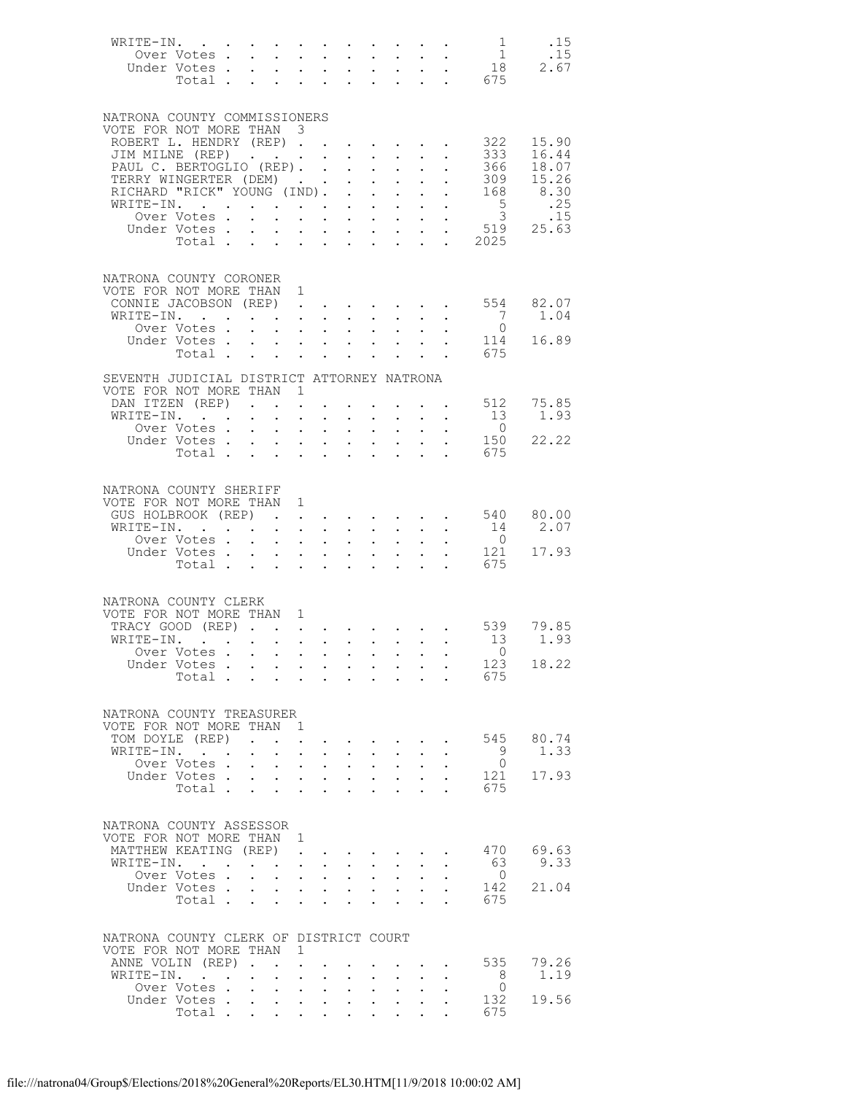| WRITE-IN.                                                |                      |                           |                                                                                                 |                           |                                                                                                                                                                                                                                      |                                          |                                                                                                                                                        |                           |                                                           | $\begin{array}{c} 1 \\ 1 \end{array}$                                            | .15                    |
|----------------------------------------------------------|----------------------|---------------------------|-------------------------------------------------------------------------------------------------|---------------------------|--------------------------------------------------------------------------------------------------------------------------------------------------------------------------------------------------------------------------------------|------------------------------------------|--------------------------------------------------------------------------------------------------------------------------------------------------------|---------------------------|-----------------------------------------------------------|----------------------------------------------------------------------------------|------------------------|
| Over Votes                                               |                      |                           |                                                                                                 |                           |                                                                                                                                                                                                                                      |                                          |                                                                                                                                                        |                           |                                                           |                                                                                  | .15<br>2.67            |
| Under Votes                                              |                      |                           |                                                                                                 |                           |                                                                                                                                                                                                                                      |                                          |                                                                                                                                                        |                           |                                                           | Votes 18<br>Total 675                                                            |                        |
|                                                          |                      |                           |                                                                                                 |                           |                                                                                                                                                                                                                                      |                                          |                                                                                                                                                        |                           |                                                           |                                                                                  |                        |
|                                                          |                      |                           |                                                                                                 |                           |                                                                                                                                                                                                                                      |                                          |                                                                                                                                                        |                           |                                                           |                                                                                  |                        |
| NATRONA COUNTY COMMISSIONERS<br>VOTE FOR NOT MORE THAN 3 |                      |                           |                                                                                                 |                           |                                                                                                                                                                                                                                      |                                          |                                                                                                                                                        |                           |                                                           |                                                                                  |                        |
| ROBERT L. HENDRY (REP).                                  |                      |                           |                                                                                                 |                           |                                                                                                                                                                                                                                      |                                          | $\mathcal{A}^{\mathcal{A}}$ , and $\mathcal{A}^{\mathcal{A}}$ , and $\mathcal{A}^{\mathcal{A}}$                                                        |                           |                                                           | 322                                                                              | 15.90                  |
| JIM MILNE (REP)                                          |                      |                           |                                                                                                 |                           |                                                                                                                                                                                                                                      |                                          | $\mathbf{1}$ $\mathbf{1}$ $\mathbf{1}$ $\mathbf{1}$ $\mathbf{1}$                                                                                       |                           | $\cdot$ $\cdot$ $\cdot$                                   | 333                                                                              | 16.44                  |
| PAUL C. BERTOGLIO (REP). .<br>TERRY WINGERTER (DEM)      |                      |                           |                                                                                                 |                           | $\ddot{\phantom{0}}$                                                                                                                                                                                                                 |                                          | $\mathcal{A}^{\mathcal{A}}$ , and $\mathcal{A}^{\mathcal{A}}$<br>$\ddot{\phantom{a}}$                                                                  |                           | $\ddot{\phantom{0}}$                                      |                                                                                  | 366 18.07<br>309 15.26 |
| RICHARD "RICK" YOUNG (IND).                              |                      |                           |                                                                                                 |                           | $\ddot{\phantom{a}}$                                                                                                                                                                                                                 |                                          | $\mathbf{A}^{(1)}$ and $\mathbf{A}^{(2)}$ and                                                                                                          | $\ddotsc$                 | $\sim$ 100 $\pm$                                          | 168                                                                              | 8.30                   |
| WRITE-IN.                                                |                      |                           | $\mathbf{L}^{\text{max}}$ , $\mathbf{L}^{\text{max}}$                                           |                           |                                                                                                                                                                                                                                      |                                          | $\mathbf{1}$ $\mathbf{1}$ $\mathbf{1}$ $\mathbf{1}$ $\mathbf{1}$                                                                                       |                           | $\mathbf{L}^{\text{max}}$ , and $\mathbf{L}^{\text{max}}$ | $\begin{array}{cccc} . & -5 & .25 \\ . & 3 & .15 \\ . & 519 & 25.63 \end{array}$ |                        |
| Over Votes.                                              | $\mathbf{L}$         | $\mathbf{L}^{\text{max}}$ | $\mathbf{L} = \mathbf{L}$                                                                       |                           | $\mathcal{L}^{\text{max}}$                                                                                                                                                                                                           |                                          | $\mathcal{L}^{\text{max}}$ , where $\mathcal{L}^{\text{max}}$                                                                                          | $\mathbf{L}^{\text{max}}$ |                                                           |                                                                                  |                        |
| Under Votes .<br>Total                                   | $\mathbf{L}$         | $\mathbf{L}$<br>$\sim$    | $\cdot$ $\cdot$ $\cdot$                                                                         |                           | $\mathbf{r} = \mathbf{r} + \mathbf{r} + \mathbf{r} + \mathbf{r} + \mathbf{r}$<br>$\bullet$ .                                                                                                                                         |                                          | <b>Service</b> State                                                                                                                                   |                           |                                                           | . 2025                                                                           |                        |
|                                                          |                      |                           |                                                                                                 |                           |                                                                                                                                                                                                                                      |                                          |                                                                                                                                                        |                           |                                                           |                                                                                  |                        |
|                                                          |                      |                           |                                                                                                 |                           |                                                                                                                                                                                                                                      |                                          |                                                                                                                                                        |                           |                                                           |                                                                                  |                        |
| NATRONA COUNTY CORONER<br>VOTE FOR NOT MORE THAN 1       |                      |                           |                                                                                                 |                           |                                                                                                                                                                                                                                      |                                          |                                                                                                                                                        |                           |                                                           |                                                                                  |                        |
| CONNIE JACOBSON (REP) 554 82.07                          |                      |                           |                                                                                                 |                           |                                                                                                                                                                                                                                      |                                          |                                                                                                                                                        |                           |                                                           |                                                                                  |                        |
| WRITE-IN.                                                |                      |                           | $\mathbf{r} = \mathbf{r} \times \mathbf{r}$ , where $\mathbf{r} = \mathbf{r} \times \mathbf{r}$ |                           | $\mathcal{L}^{\text{max}}$                                                                                                                                                                                                           |                                          | $\mathcal{A}^{\mathcal{A}}$ , $\mathcal{A}^{\mathcal{A}}$ , $\mathcal{A}^{\mathcal{A}}$                                                                |                           |                                                           | $\overline{7}$                                                                   | 1.04                   |
| Over Votes.                                              |                      |                           | $\mathbf{r}$ . The set of the set of $\mathbf{r}$                                               |                           |                                                                                                                                                                                                                                      |                                          |                                                                                                                                                        |                           |                                                           | $\overline{0}$                                                                   |                        |
| Under Votes<br>Total                                     |                      |                           | <b>All Contracts</b>                                                                            |                           | $\ddot{\phantom{0}}$                                                                                                                                                                                                                 |                                          | $\mathbf{A}^{\text{max}}$ , and $\mathbf{A}^{\text{max}}$                                                                                              |                           |                                                           | 114<br>675                                                                       | 16.89                  |
|                                                          |                      |                           |                                                                                                 |                           |                                                                                                                                                                                                                                      |                                          |                                                                                                                                                        |                           |                                                           |                                                                                  |                        |
| SEVENTH JUDICIAL DISTRICT ATTORNEY NATRONA               |                      |                           |                                                                                                 |                           |                                                                                                                                                                                                                                      |                                          |                                                                                                                                                        |                           |                                                           |                                                                                  |                        |
| VOTE FOR NOT MORE THAN 1<br>DAN ITZEN (REP)              |                      |                           |                                                                                                 |                           |                                                                                                                                                                                                                                      |                                          |                                                                                                                                                        |                           |                                                           | 512                                                                              | 75.85                  |
| WRITE-IN.                                                |                      |                           | $\mathbf{u} = \mathbf{u} \mathbf{u} + \mathbf{u} \mathbf{u}$ .                                  |                           |                                                                                                                                                                                                                                      |                                          | $\mathbf{r} = \mathbf{r} + \mathbf{r} + \mathbf{r} + \mathbf{r} + \mathbf{r}$<br>$\bullet$ , $\bullet$ , $\bullet$ , $\bullet$ , $\bullet$ , $\bullet$ |                           | $\sim$ $-$                                                | 13                                                                               | 1.93                   |
| Over Votes.                                              |                      |                           | $\cdot$ $\cdot$ $\cdot$ $\cdot$                                                                 |                           | $\ddot{\phantom{0}}$                                                                                                                                                                                                                 | $\mathbf{L}$                             | $\ddot{\phantom{a}}$                                                                                                                                   |                           |                                                           | $\overline{0}$                                                                   |                        |
| Under Votes                                              |                      |                           | <b>All Carl Carl Control</b>                                                                    |                           | $\mathbf{L}^{\text{max}}$                                                                                                                                                                                                            |                                          | $\mathbf{r} = \mathbf{r} + \mathbf{r}$ .                                                                                                               |                           |                                                           | 150                                                                              | 22.22                  |
| Total                                                    |                      |                           |                                                                                                 |                           | $\cdot$ $\cdot$ $\cdot$ $\cdot$ $\cdot$                                                                                                                                                                                              |                                          | $\sim$                                                                                                                                                 |                           |                                                           | 675                                                                              |                        |
|                                                          |                      |                           |                                                                                                 |                           |                                                                                                                                                                                                                                      |                                          |                                                                                                                                                        |                           |                                                           |                                                                                  |                        |
| NATRONA COUNTY SHERIFF                                   |                      |                           |                                                                                                 |                           |                                                                                                                                                                                                                                      |                                          |                                                                                                                                                        |                           |                                                           |                                                                                  |                        |
| VOTE FOR NOT MORE THAN 1                                 |                      |                           |                                                                                                 |                           |                                                                                                                                                                                                                                      |                                          |                                                                                                                                                        |                           |                                                           |                                                                                  |                        |
| GUS HOLBROOK (REP)<br>WRITE-IN.                          |                      |                           | $\mathbf{L}$ and $\mathbf{L}$                                                                   | $\sim$                    |                                                                                                                                                                                                                                      |                                          | $\mathbf{r} = \mathbf{r} \mathbf{r} + \mathbf{r} \mathbf{r}$ .                                                                                         |                           | $\mathbf{L} = \mathbf{L} \mathbf{L}$                      | 540<br>14                                                                        | 80.00<br>2.07          |
| Over Votes .                                             | $\mathbf{r}$         |                           | $\mathbf{z} = \mathbf{z} + \mathbf{z}$ .                                                        | $\sim$ $-$                | $\bullet$ .                                                                                                                                                                                                                          | $\bullet$ .                              | $\sim 10^{-11}$                                                                                                                                        |                           |                                                           | $\overline{0}$                                                                   |                        |
| Under Votes .                                            |                      | $\mathbf{L} = \mathbf{L}$ |                                                                                                 |                           | $\cdot$ $\cdot$ $\cdot$ $\cdot$ $\cdot$ $\cdot$                                                                                                                                                                                      |                                          |                                                                                                                                                        |                           |                                                           | 121                                                                              | 17.93                  |
| Total                                                    |                      | $\sim$ 100 $\pm$          | $\ddot{\phantom{0}}$                                                                            | $\sim$ $-$                | $\ddot{\phantom{0}}$                                                                                                                                                                                                                 | $\ddot{\phantom{a}}$                     |                                                                                                                                                        |                           |                                                           | 675                                                                              |                        |
|                                                          |                      |                           |                                                                                                 |                           |                                                                                                                                                                                                                                      |                                          |                                                                                                                                                        |                           |                                                           |                                                                                  |                        |
| NATRONA COUNTY CLERK                                     |                      |                           |                                                                                                 |                           |                                                                                                                                                                                                                                      |                                          |                                                                                                                                                        |                           |                                                           |                                                                                  |                        |
| VOTE FOR NOT MORE THAN 1                                 |                      |                           |                                                                                                 |                           |                                                                                                                                                                                                                                      |                                          |                                                                                                                                                        |                           |                                                           |                                                                                  |                        |
| TRACY GOOD (REP)<br>WRITE-IN.                            |                      |                           |                                                                                                 |                           | $\mathbf{r} = \mathbf{r} \times \mathbf{r}$ , where $\mathbf{r} = \mathbf{r} \times \mathbf{r}$ , where                                                                                                                              |                                          |                                                                                                                                                        |                           |                                                           | 13                                                                               | 539 79.85<br>1.93      |
| Over Votes                                               |                      |                           |                                                                                                 |                           | <u>in the second contract of the second second in the second second second in the second second second in the second second second in the second second second second in the second second second second second second second se</u> |                                          |                                                                                                                                                        |                           |                                                           | $\sim$ 0                                                                         |                        |
|                                                          |                      |                           |                                                                                                 |                           |                                                                                                                                                                                                                                      |                                          |                                                                                                                                                        |                           |                                                           | 123                                                                              | 18.22                  |
|                                                          |                      |                           |                                                                                                 |                           |                                                                                                                                                                                                                                      |                                          |                                                                                                                                                        |                           |                                                           | 675                                                                              |                        |
|                                                          |                      |                           |                                                                                                 |                           |                                                                                                                                                                                                                                      |                                          |                                                                                                                                                        |                           |                                                           |                                                                                  |                        |
| NATRONA COUNTY TREASURER                                 |                      |                           |                                                                                                 |                           |                                                                                                                                                                                                                                      |                                          |                                                                                                                                                        |                           |                                                           |                                                                                  |                        |
| VOTE FOR NOT MORE THAN 1                                 |                      |                           |                                                                                                 |                           |                                                                                                                                                                                                                                      |                                          |                                                                                                                                                        |                           |                                                           |                                                                                  |                        |
| TOM DOYLE (REP)<br>WRITE-IN.                             |                      |                           | $\mathbf{r} = \mathbf{r}$ , and the set of $\mathbf{r} = \mathbf{r}$                            |                           |                                                                                                                                                                                                                                      | $\mathbf{z} = \mathbf{z} + \mathbf{z}$ . |                                                                                                                                                        |                           |                                                           | 545<br>9                                                                         | 80.74<br>1.33          |
| Over Votes .                                             | $\ddot{\phantom{0}}$ |                           | $\mathbf{z} = \mathbf{z} + \mathbf{z}$ , where $\mathbf{z} = \mathbf{z}$                        |                           | $\bullet$ .                                                                                                                                                                                                                          |                                          | $\bullet$ , $\bullet$ , $\bullet$                                                                                                                      |                           |                                                           | $\circ$                                                                          |                        |
| Under Votes .                                            |                      |                           | $\mathbf{r}$ , and $\mathbf{r}$ , and $\mathbf{r}$ , and $\mathbf{r}$                           |                           |                                                                                                                                                                                                                                      |                                          |                                                                                                                                                        |                           |                                                           | 121                                                                              | 17.93                  |
| Total                                                    |                      | $\ddot{\phantom{0}}$      | $\sim$                                                                                          | $\ddot{\phantom{0}}$      |                                                                                                                                                                                                                                      |                                          |                                                                                                                                                        |                           |                                                           | 675                                                                              |                        |
|                                                          |                      |                           |                                                                                                 |                           |                                                                                                                                                                                                                                      |                                          |                                                                                                                                                        |                           |                                                           |                                                                                  |                        |
| NATRONA COUNTY ASSESSOR                                  |                      |                           |                                                                                                 |                           |                                                                                                                                                                                                                                      |                                          |                                                                                                                                                        |                           |                                                           |                                                                                  |                        |
| VOTE FOR NOT MORE THAN 1                                 |                      |                           |                                                                                                 |                           |                                                                                                                                                                                                                                      |                                          |                                                                                                                                                        |                           |                                                           |                                                                                  |                        |
| MATTHEW KEATING (REP).<br>WRITE-IN. .                    |                      |                           | $\mathbf{A}^{(1)}$ and $\mathbf{A}^{(2)}$ and $\mathbf{A}^{(3)}$ and                            |                           | $\ddot{\phantom{0}}$                                                                                                                                                                                                                 | $\sim 100$                               |                                                                                                                                                        |                           |                                                           | 470<br>63                                                                        | 69.63<br>9.33          |
| Over Votes.                                              | $\ddot{\phantom{a}}$ |                           | $\mathbf{r}$ , $\mathbf{r}$ , $\mathbf{r}$ , $\mathbf{r}$ , $\mathbf{r}$                        |                           |                                                                                                                                                                                                                                      |                                          | $\ddot{\phantom{0}}$                                                                                                                                   |                           |                                                           | $\overline{0}$                                                                   |                        |
| Under Votes                                              |                      |                           |                                                                                                 |                           | $\bullet$ .                                                                                                                                                                                                                          |                                          | $\mathcal{A}^{\mathcal{A}}$ , $\mathcal{A}^{\mathcal{A}}$ , $\mathcal{A}^{\mathcal{A}}$                                                                |                           |                                                           | 142                                                                              | 21.04                  |
| Total                                                    |                      |                           |                                                                                                 |                           |                                                                                                                                                                                                                                      |                                          |                                                                                                                                                        |                           |                                                           | 675                                                                              |                        |
|                                                          |                      |                           |                                                                                                 |                           |                                                                                                                                                                                                                                      |                                          |                                                                                                                                                        |                           |                                                           |                                                                                  |                        |
| NATRONA COUNTY CLERK OF DISTRICT COURT                   |                      |                           |                                                                                                 |                           |                                                                                                                                                                                                                                      |                                          |                                                                                                                                                        |                           |                                                           |                                                                                  |                        |
| VOTE FOR NOT MORE THAN 1                                 |                      |                           |                                                                                                 |                           |                                                                                                                                                                                                                                      |                                          |                                                                                                                                                        |                           |                                                           |                                                                                  |                        |
| ANNE VOLIN (REP).<br>WRITE-IN.                           |                      | $\ddot{\phantom{0}}$      | $\mathbf{L}$                                                                                    |                           |                                                                                                                                                                                                                                      |                                          |                                                                                                                                                        |                           |                                                           | 535<br>8                                                                         | 79.26<br>1.19          |
| Over Votes                                               |                      |                           | $\mathbf{z} = \mathbf{z} + \mathbf{z}$ , where $\mathbf{z} = \mathbf{z}$                        |                           | $\bullet$ .                                                                                                                                                                                                                          | $\bullet$ .                              |                                                                                                                                                        |                           |                                                           | $\overline{0}$                                                                   |                        |
| Under Votes .                                            |                      | $\mathbf{L}$              | $\ddot{\phantom{0}}$                                                                            | $\ddot{\phantom{0}}$      |                                                                                                                                                                                                                                      |                                          |                                                                                                                                                        |                           |                                                           | 132                                                                              | 19.56                  |
| Total .                                                  |                      | $\ddot{\phantom{0}}$      | $\bullet$ .<br><br><br><br><br><br><br><br><br><br><br><br>                                     | $\mathbf{L}^{\text{max}}$ |                                                                                                                                                                                                                                      |                                          |                                                                                                                                                        |                           |                                                           | 675                                                                              |                        |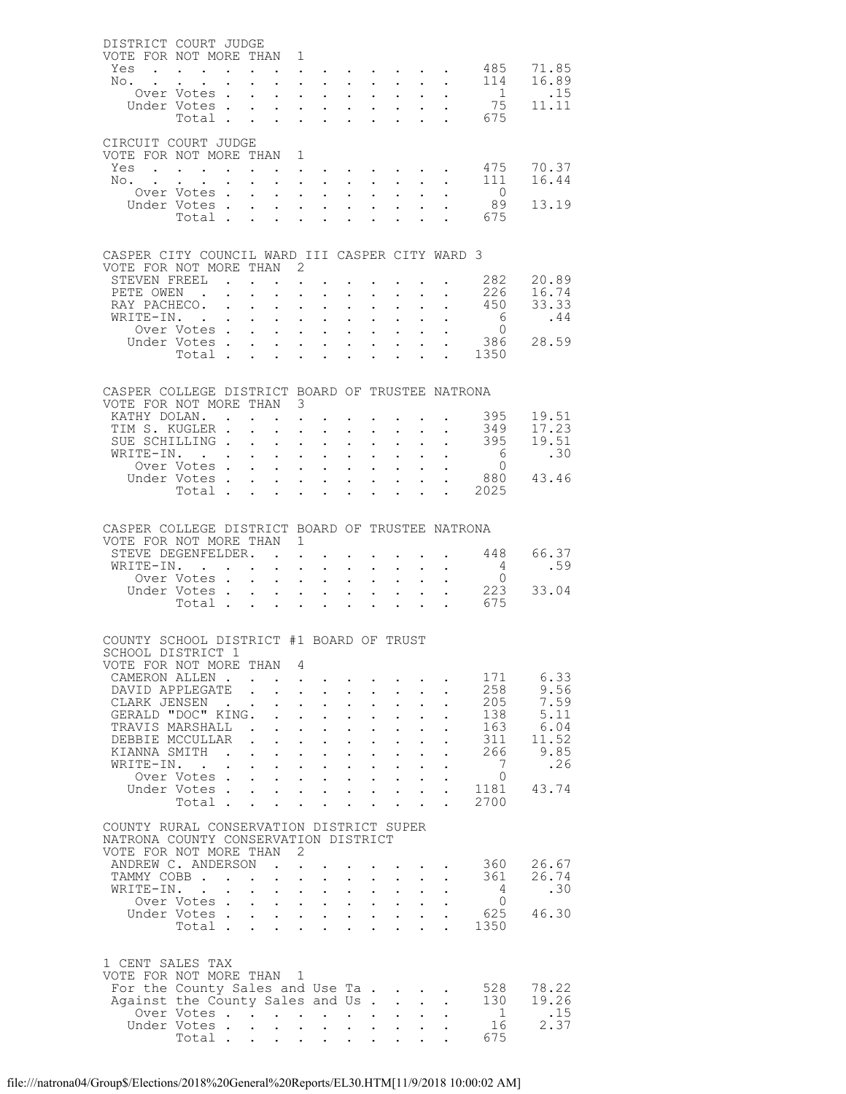| DISTRICT COURT JUDGE                                         |                                                           |        |                                           |                                            |                                                                                                           |                                              |                                                    |                                                           |                           |                                                                                                                       |                                      |                |
|--------------------------------------------------------------|-----------------------------------------------------------|--------|-------------------------------------------|--------------------------------------------|-----------------------------------------------------------------------------------------------------------|----------------------------------------------|----------------------------------------------------|-----------------------------------------------------------|---------------------------|-----------------------------------------------------------------------------------------------------------------------|--------------------------------------|----------------|
| VOTE FOR NOT MORE THAN 1<br>Yes                              | $\mathbf{r}$ , $\mathbf{r}$ , $\mathbf{r}$ , $\mathbf{r}$ |        | $\mathbf{L}^{\text{max}}$                 |                                            | $\mathbf{z} = \mathbf{z} + \mathbf{z}$ .                                                                  |                                              |                                                    |                                                           |                           |                                                                                                                       | 485                                  | 71.85          |
| No.                                                          |                                                           |        | $\sim$ $\sim$                             |                                            | $\mathbf{r} = \mathbf{r} - \mathbf{r} = \mathbf{r} - \mathbf{r} - \mathbf{r} = \mathbf{r} - \mathbf{r}$   |                                              |                                                    |                                                           |                           |                                                                                                                       | 114                                  | 16.89          |
|                                                              | Over Votes.                                               |        | $\sim$                                    | $\mathbf{r}$                               | $\mathbf{L}$ and $\mathbf{L}$                                                                             | $\mathbf{A}$                                 | $\mathbf{L}$                                       | $\sim$                                                    |                           | $\sim$                                                                                                                | 1                                    | $\ldots$       |
|                                                              | Under Votes                                               |        |                                           |                                            | $\mathbf{u} = \mathbf{u} + \mathbf{u} + \mathbf{u} + \mathbf{u} + \mathbf{u} + \mathbf{u} + \mathbf{u}$ . |                                              |                                                    |                                                           |                           |                                                                                                                       | 75<br>Total 675                      | 11.11          |
|                                                              |                                                           |        |                                           |                                            |                                                                                                           |                                              |                                                    |                                                           |                           |                                                                                                                       |                                      |                |
| CIRCUIT COURT JUDGE                                          |                                                           |        |                                           |                                            |                                                                                                           |                                              |                                                    |                                                           |                           |                                                                                                                       |                                      |                |
| VOTE FOR NOT MORE THAN 1                                     |                                                           |        |                                           |                                            |                                                                                                           |                                              |                                                    |                                                           |                           |                                                                                                                       |                                      |                |
| Yes<br>No.                                                   |                                                           |        | $\sim$                                    |                                            | $\mathbf{A}^{(1)}$ and $\mathbf{A}^{(2)}$ and                                                             |                                              |                                                    |                                                           |                           | <b>Service Control</b>                                                                                                | 475<br>111                           | 70.37<br>16.44 |
|                                                              | Over Votes.                                               |        | $\sim$                                    | $\mathbf{r}$                               | $\mathbf{L} = \mathbf{L} \mathbf{L}$                                                                      | $\mathbf{A}$                                 | $\mathbf{L}$                                       |                                                           | $\mathbf{L}$              |                                                                                                                       | $\overline{0}$                       |                |
|                                                              | Under Votes                                               |        |                                           |                                            |                                                                                                           |                                              | $\mathbf{L}^{\text{max}}$                          |                                                           |                           | $\mathbf{1}^{\prime}$ , $\mathbf{1}^{\prime}$ , $\mathbf{1}^{\prime}$ , $\mathbf{1}^{\prime}$ , $\mathbf{1}^{\prime}$ | 89                                   | 13.19          |
|                                                              | Total.                                                    |        |                                           |                                            |                                                                                                           |                                              |                                                    |                                                           |                           |                                                                                                                       | 675                                  |                |
|                                                              |                                                           |        |                                           |                                            |                                                                                                           |                                              |                                                    |                                                           |                           |                                                                                                                       |                                      |                |
| CASPER CITY COUNCIL WARD III CASPER CITY WARD 3              |                                                           |        |                                           |                                            |                                                                                                           |                                              |                                                    |                                                           |                           |                                                                                                                       |                                      |                |
| VOTE FOR NOT MORE THAN 2<br>STEVEN FREEL                     |                                                           |        |                                           |                                            |                                                                                                           |                                              |                                                    |                                                           |                           |                                                                                                                       | 282                                  | 20.89          |
| PETE OWEN.                                                   |                                                           |        |                                           | $\mathbf{L}$                               | the contract of the contract of the<br>$\mathbf{L}$ and $\mathbf{L}$                                      | $\mathbf{A}$                                 | $\mathbf{L}$                                       |                                                           |                           |                                                                                                                       | 226                                  | 16.74          |
| RAY PACHECO.                                                 |                                                           |        |                                           |                                            | $\mathbf{A}^{(1)}$ and $\mathbf{A}^{(2)}$ and                                                             | $\sim 10^{-11}$                              | $\mathbf{L}^{\text{max}}$                          | $\sim$                                                    |                           | $\mathbf{L}^{\text{max}}$ , $\mathbf{L}^{\text{max}}$                                                                 | 450                                  | 33.33          |
| WRITE-IN. .                                                  |                                                           |        | $\sim$                                    | $\ddot{\phantom{0}}$                       | $\mathbf{L}$ and $\mathbf{L}$                                                                             | $\ddot{\phantom{0}}$                         | $\ddot{\phantom{0}}$                               |                                                           |                           | $\mathbf{L}$                                                                                                          | 6                                    | .44            |
|                                                              | Over Votes<br>Under Votes.                                |        | $\sim 100$                                | $\mathbf{L}$<br>$\mathbf{L}$               | $\mathbf{L}$ and $\mathbf{L}$<br>$\mathbf{r} = \mathbf{r} + \mathbf{r} + \mathbf{r} + \mathbf{r}$ .       | $\sim$ 100 $\pm$                             | $\sim$ $-$                                         | $\sim 10^{-10}$<br>$\sim$                                 |                           | $\mathbf{L}^{\text{max}}$ , $\mathbf{L}^{\text{max}}$<br>$\mathbf{L}^{\text{max}}$                                    | $\overline{0}$<br>386                | 28.59          |
|                                                              |                                                           |        |                                           |                                            |                                                                                                           |                                              |                                                    |                                                           |                           |                                                                                                                       | Total 1350                           |                |
|                                                              |                                                           |        |                                           |                                            |                                                                                                           |                                              |                                                    |                                                           |                           |                                                                                                                       |                                      |                |
| CASPER COLLEGE DISTRICT BOARD OF TRUSTEE NATRONA             |                                                           |        |                                           |                                            |                                                                                                           |                                              |                                                    |                                                           |                           |                                                                                                                       |                                      |                |
| VOTE FOR NOT MORE THAN 3                                     |                                                           |        |                                           |                                            |                                                                                                           |                                              |                                                    |                                                           |                           |                                                                                                                       |                                      |                |
| KATHY DOLAN. .                                               |                                                           |        |                                           | $\sim$                                     | $\mathbf{L}$                                                                                              |                                              |                                                    |                                                           |                           |                                                                                                                       | 395                                  | 19.51          |
| TIM S. KUGLER .                                              |                                                           |        | $\mathbf{r} = \mathbf{r} + \mathbf{r}$ .  |                                            | $\mathbf{L} = \mathbf{L} \mathbf{L}$                                                                      | $\sim 10^{-11}$                              | $\mathbf{A}^{\text{max}}$                          | $\mathbf{L}^{\text{max}}$ , and $\mathbf{L}^{\text{max}}$ |                           | $\ddot{\phantom{a}}$                                                                                                  | 349                                  | 17.23          |
| SUE SCHILLING.<br>WRITE-IN.                                  |                                                           |        | $\sim$<br>$\sim 10^{-10}$                 | $\sim$<br>$\sim$ $\sim$                    | $\mathbf{L} = \mathbf{L}$<br>$\mathbf{L}^{\text{max}}$ , and $\mathbf{L}^{\text{max}}$                    | $\mathbf{L}$<br>$\sim$                       | $\mathbf{L}$<br>$\sim$                             |                                                           |                           | $\ddot{\phantom{0}}$<br>$\mathbf{r} = \mathbf{r} \mathbf{r}$ , where $\mathbf{r} = \mathbf{r}$                        | 395                                  | 19.51<br>.30   |
|                                                              | Over Votes                                                |        |                                           | $\mathbf{r}$                               | $\mathbf{L}$ $\mathbf{L}$                                                                                 | $\sim$ 100 $\pm$                             | $\mathbf{L}$                                       |                                                           |                           | $\mathbf{L}$                                                                                                          | $\begin{matrix} 6 \\ 0 \end{matrix}$ |                |
|                                                              | Under Votes                                               |        |                                           | $\bullet$ .                                | $\mathbf{L}^{\text{max}}$ , and $\mathbf{L}^{\text{max}}$                                                 | $\sim 10^{-11}$                              | $\sim$ $-$                                         | $\mathbf{z} = \mathbf{z} + \mathbf{z}$ .                  |                           | $\sim$                                                                                                                | 880                                  | 43.46          |
|                                                              | Total .                                                   |        | $\mathbf{L}$                              | $\mathbf{L}$                               | $\cdot$ $\cdot$ $\cdot$                                                                                   | $\sim$                                       | $\mathbf{L}$                                       | $\mathbf{L}$                                              |                           | $\mathbf{L}$                                                                                                          | . 2025                               |                |
|                                                              |                                                           |        |                                           |                                            |                                                                                                           |                                              |                                                    |                                                           |                           |                                                                                                                       |                                      |                |
| CASPER COLLEGE DISTRICT BOARD OF TRUSTEE NATRONA             |                                                           |        |                                           |                                            |                                                                                                           |                                              |                                                    |                                                           |                           |                                                                                                                       |                                      |                |
| VOTE FOR NOT MORE THAN 1<br>STEVE DEGENFELDER.               |                                                           |        |                                           |                                            |                                                                                                           |                                              |                                                    |                                                           |                           |                                                                                                                       | 448                                  | 66.37          |
| WRITE-IN.                                                    |                                                           |        |                                           | $\ddot{\phantom{0}}$                       | $\ddot{\phantom{0}}$<br>$\mathbf{L}$ and $\mathbf{L}$                                                     | $\ddot{\phantom{0}}$                         | $\ddot{\phantom{0}}$                               |                                                           |                           | and a strong control of the strong strong<br>$\mathbf{z} = \mathbf{z} + \mathbf{z}$ .                                 | $\overline{4}$                       | .59            |
|                                                              | Over Votes                                                |        |                                           |                                            | $\mathbf{z} = \mathbf{z} + \mathbf{z}$ .                                                                  | $\sim$                                       | $\mathbf{z} = \mathbf{z}$                          | $\sim$ $-$                                                | $\mathbf{L}^{\text{max}}$ |                                                                                                                       | $\overline{0}$                       |                |
|                                                              | Under Votes.                                              |        | $\sim$                                    | $\mathcal{L}^{\text{max}}$                 | $\mathbf{L}$ $\mathbf{L}$                                                                                 | $\ddot{\phantom{0}}$                         | $\mathbf{L}$                                       | $\mathbf{A}$                                              |                           | $\mathbf{L}$                                                                                                          | 223                                  | 33.04          |
|                                                              | Total $\cdots$                                            |        |                                           |                                            |                                                                                                           |                                              | $\mathbf{L}^{\text{max}}$                          | $\sim$ $-$                                                |                           |                                                                                                                       | $\cdot$ $\cdot$ 675                  |                |
|                                                              |                                                           |        |                                           |                                            |                                                                                                           |                                              |                                                    |                                                           |                           |                                                                                                                       |                                      |                |
| COUNTY SCHOOL DISTRICT #1 BOARD OF TRUST                     |                                                           |        |                                           |                                            |                                                                                                           |                                              |                                                    |                                                           |                           |                                                                                                                       |                                      |                |
| SCHOOL DISTRICT 1<br>VOTE FOR NOT MORE THAN                  |                                                           |        |                                           | 4                                          |                                                                                                           |                                              |                                                    |                                                           |                           |                                                                                                                       |                                      |                |
| CAMERON ALLEN.                                               |                                                           |        |                                           | $\ddot{\phantom{a}}$                       |                                                                                                           |                                              |                                                    |                                                           |                           |                                                                                                                       | 171                                  | 6.33           |
| DAVID APPLEGATE                                              |                                                           |        |                                           |                                            | $\mathbf{L}$<br>$\mathbf{L}$                                                                              |                                              | $\mathbf{L}$                                       |                                                           |                           |                                                                                                                       | 258                                  | 9.56           |
| CLARK JENSEN<br>GERALD "DOC" KING.                           |                                                           |        |                                           |                                            | $\mathcal{L}^{\text{max}}$<br>$\sim$<br>$1 - 1 - 1 = 1$                                                   | $\ddot{\phantom{a}}$<br>$\ddot{\phantom{a}}$ | $\ddot{\phantom{0}}$<br>$\mathbf{L}$               |                                                           | $\ddot{\phantom{a}}$      |                                                                                                                       | 205<br>138                           | 7.59<br>5.11   |
| TRAVIS MARSHALL                                              |                                                           |        | $\sim$ $\sim$                             | $\ddot{\phantom{0}}$                       | $\mathbf{L}^{\text{max}}$<br>$\mathbb{Z}^{\mathbb{Z}^{\times}}$                                           | $\ddot{\phantom{0}}$                         | $\ddot{\phantom{0}}$                               | $\ddot{\phantom{a}}$                                      | $\ddot{\phantom{0}}$      |                                                                                                                       | 163                                  | 6.04           |
| DEBBIE MCCULLAR                                              |                                                           |        |                                           | $\mathbf{r}$                               | $\mathbf{r}$<br>$\mathbf{L}$                                                                              | $\mathbf{L}$                                 | $\mathbf{L}$                                       |                                                           |                           |                                                                                                                       | 311                                  | 11.52          |
| KIANNA SMITH                                                 |                                                           | $\sim$ | $\sim$                                    | $\ddot{\phantom{0}}$                       | $\mathcal{L}^{\mathcal{L}}$<br>$\sim$                                                                     | $\sim$                                       | $\ddot{\phantom{0}}$                               | $\ddot{\phantom{0}}$                                      | $\ddot{\phantom{a}}$      | $\ddot{\phantom{a}}$                                                                                                  | 266<br>7                             | 9.85<br>.26    |
| WRITE-IN. .                                                  | Over Votes.                                               |        | $\mathbf{L}$<br>$\mathbf{L}^{\text{max}}$ | $\mathbf{L}$<br>$\mathcal{L}^{\text{max}}$ | $\mathbf{L}$ and $\mathbf{L}$<br>$\mathbf{L} = \mathbf{L} \mathbf{L}$                                     | $\mathbf{L}$<br>$\sim 10^{-11}$              | $\ddot{\phantom{0}}$<br>$\mathcal{L}^{\text{max}}$ | $\sim 10^{-11}$                                           | $\ddot{\phantom{a}}$      |                                                                                                                       | $\Omega$                             |                |
|                                                              | Under Votes                                               |        |                                           |                                            |                                                                                                           |                                              |                                                    |                                                           | $\mathbf{L}$              |                                                                                                                       | 1181                                 | 43.74          |
|                                                              | Total .                                                   |        |                                           |                                            | $\mathbf{r}$ , $\mathbf{r}$ , $\mathbf{r}$ , $\mathbf{r}$                                                 | $\cdot$ $\cdot$ $\cdot$                      |                                                    | $\ddot{\phantom{a}}$                                      | $\ddot{\phantom{a}}$      | $\ddot{\phantom{a}}$                                                                                                  | 2700                                 |                |
| COUNTY RURAL CONSERVATION DISTRICT SUPER                     |                                                           |        |                                           |                                            |                                                                                                           |                                              |                                                    |                                                           |                           |                                                                                                                       |                                      |                |
| NATRONA COUNTY CONSERVATION DISTRICT                         |                                                           |        |                                           |                                            |                                                                                                           |                                              |                                                    |                                                           |                           |                                                                                                                       |                                      |                |
| VOTE FOR NOT MORE THAN                                       |                                                           |        |                                           | - 2                                        |                                                                                                           |                                              |                                                    |                                                           |                           |                                                                                                                       |                                      |                |
| ANDREW C. ANDERSON<br>TAMMY COBB.                            |                                                           |        |                                           | $\sim$ $\sim$                              | $\mathbf{L}$                                                                                              |                                              |                                                    |                                                           |                           |                                                                                                                       | 360<br>361                           | 26.67<br>26.74 |
| WRITE-IN.                                                    | $\sim$ $\sim$                                             | $\sim$ | $\sim$ $\sim$                             | $\bullet$ .<br>$\mathbf{L}$                | $\sim$ $-$<br>$\sim$ $-$<br>$\mathbf{L}$ and $\mathbf{L}$                                                 | $\sim$<br>$\sim$                             | $\mathbf{L}^{\text{max}}$<br>$\mathbf{L}$          | $\ddot{\phantom{0}}$                                      | $\ddot{\phantom{0}}$      |                                                                                                                       | $\overline{4}$                       | .30            |
|                                                              | Over Votes .                                              |        | $\mathcal{L}^{\text{max}}$                | $\sim$ $-$                                 | $\mathbf{L} = \mathbf{L} \mathbf{L}$                                                                      | $\sim$ $-$                                   | $\mathcal{L}^{\text{max}}$                         | $\mathcal{L}^{\text{max}}$                                | $\ddot{\phantom{0}}$      |                                                                                                                       | $\Omega$                             |                |
|                                                              | Under Votes                                               |        |                                           |                                            | $\cdot$ $\cdot$ $\cdot$ $\cdot$ $\cdot$                                                                   |                                              |                                                    | $\mathbf{L}$                                              | $\mathbf{L}$              |                                                                                                                       | 625                                  | 46.30          |
|                                                              | Total                                                     |        |                                           | $\mathcal{L}^{\text{max}}$                 | $\mathbf{L}$ and $\mathbf{L}$                                                                             | $\sim$                                       | $\ddot{\phantom{a}}$                               | $\ddot{\phantom{a}}$                                      | $\ddot{\phantom{a}}$      |                                                                                                                       | 1350                                 |                |
|                                                              |                                                           |        |                                           |                                            |                                                                                                           |                                              |                                                    |                                                           |                           |                                                                                                                       |                                      |                |
| 1 CENT SALES TAX                                             |                                                           |        |                                           |                                            |                                                                                                           |                                              |                                                    |                                                           |                           |                                                                                                                       |                                      |                |
| VOTE FOR NOT MORE THAN 1<br>For the County Sales and Use Ta. |                                                           |        |                                           |                                            |                                                                                                           |                                              |                                                    | $\mathbf{r}$ . The set of $\mathbf{r}$                    |                           |                                                                                                                       | 528                                  | 78.22          |
| Against the County Sales and Us.                             |                                                           |        |                                           |                                            |                                                                                                           |                                              |                                                    | $\mathbf{L} = \mathbf{L}$                                 |                           | $\ddot{\phantom{a}}$                                                                                                  | 130                                  | 19.26          |
|                                                              | Over Votes                                                |        |                                           |                                            | $\ddot{\phantom{a}}$                                                                                      | $\ddot{\phantom{0}}$                         |                                                    |                                                           |                           |                                                                                                                       | -1                                   | .15            |
|                                                              | Under Votes<br>Total .                                    |        |                                           |                                            |                                                                                                           | $\mathbf{L}^{\text{max}}$                    |                                                    |                                                           |                           |                                                                                                                       | 16<br>675                            | 2.37           |
|                                                              |                                                           |        |                                           |                                            | $\mathbf{r} = \mathbf{r} + \mathbf{r} + \mathbf{r}$                                                       | $\sim 10^{-11}$                              |                                                    |                                                           |                           |                                                                                                                       |                                      |                |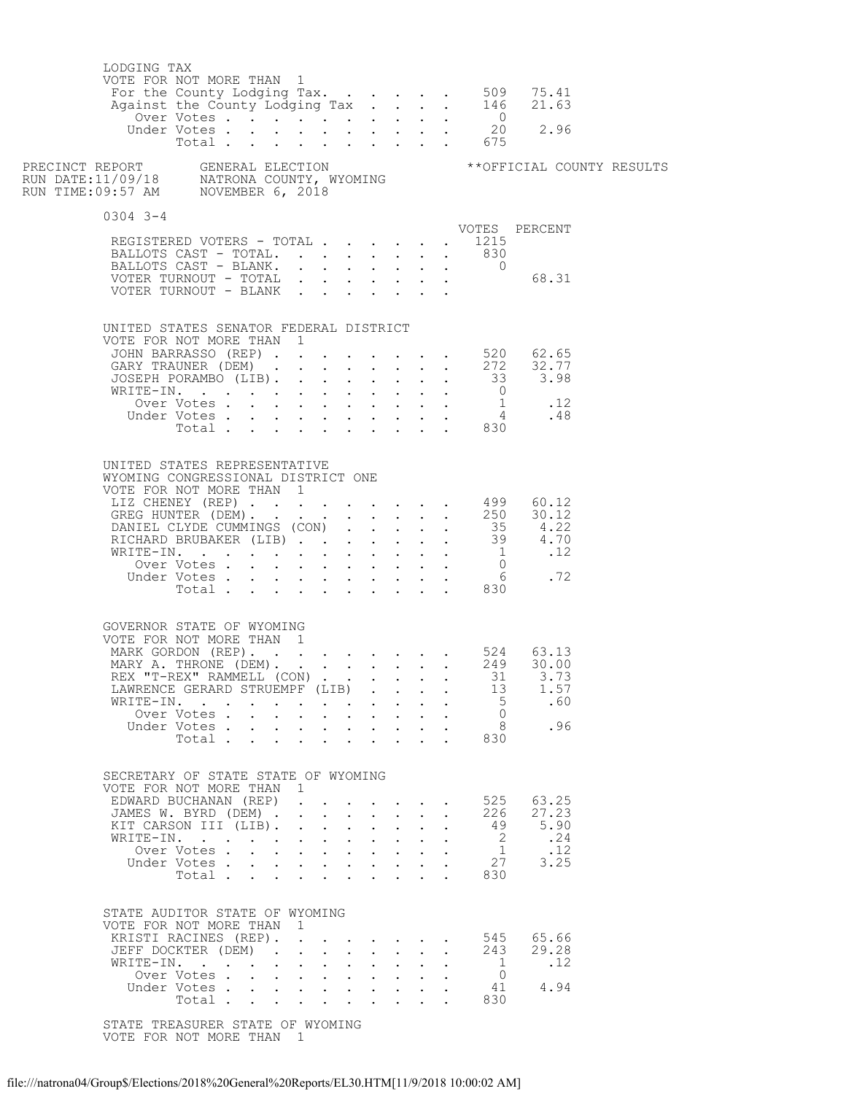| LODGING TAX | VOTE FOR NOT MORE THAN 1                                                                                                                                                                                                                                                   |        |                                                                                                                                                                                                         |  |                                     |                                                                      |                                                      |                               |  |
|-------------|----------------------------------------------------------------------------------------------------------------------------------------------------------------------------------------------------------------------------------------------------------------------------|--------|---------------------------------------------------------------------------------------------------------------------------------------------------------------------------------------------------------|--|-------------------------------------|----------------------------------------------------------------------|------------------------------------------------------|-------------------------------|--|
|             |                                                                                                                                                                                                                                                                            |        |                                                                                                                                                                                                         |  |                                     |                                                                      |                                                      |                               |  |
| $0304$ 3-4  |                                                                                                                                                                                                                                                                            |        |                                                                                                                                                                                                         |  |                                     |                                                                      |                                                      | VOTES PERCENT                 |  |
|             | REGISTERED VOTERS - TOTAL 1215<br>BALLOTS CAST - TOTAL. 830<br>BALLOTS CAST - BLANK. 0                                                                                                                                                                                     |        |                                                                                                                                                                                                         |  |                                     |                                                                      |                                                      |                               |  |
|             | VOTER TURNOUT - TOTAL $\ldots$ $\ldots$ $\ldots$ $\ldots$ 68.31<br>VOTER TURNOUT - BLANK                                                                                                                                                                                   |        |                                                                                                                                                                                                         |  |                                     |                                                                      |                                                      |                               |  |
|             | UNITED STATES SENATOR FEDERAL DISTRICT<br>VOTE FOR NOT MORE THAN 1                                                                                                                                                                                                         |        |                                                                                                                                                                                                         |  |                                     |                                                                      |                                                      |                               |  |
|             |                                                                                                                                                                                                                                                                            |        |                                                                                                                                                                                                         |  |                                     |                                                                      |                                                      |                               |  |
|             |                                                                                                                                                                                                                                                                            |        |                                                                                                                                                                                                         |  |                                     |                                                                      |                                                      |                               |  |
|             |                                                                                                                                                                                                                                                                            |        |                                                                                                                                                                                                         |  |                                     |                                                                      |                                                      |                               |  |
|             |                                                                                                                                                                                                                                                                            |        |                                                                                                                                                                                                         |  |                                     |                                                                      |                                                      |                               |  |
|             |                                                                                                                                                                                                                                                                            |        |                                                                                                                                                                                                         |  |                                     |                                                                      |                                                      |                               |  |
|             |                                                                                                                                                                                                                                                                            |        |                                                                                                                                                                                                         |  |                                     |                                                                      |                                                      |                               |  |
|             | UNITED STATES REPRESENTATIVE<br>WYOMING CONGRESSIONAL DISTRICT ONE<br>GOVERNOR STATE OF WYOMING<br>VOTE FOR NOT MORE THAN 1<br>MARK GORDON (REP). 524 63.13<br>MARY A. THRONE (DEM). 249 30.00<br>REX "T-REX" RAMMELL (CON)<br>LAWRENCE GERARD STRUEMPF (LIB)<br>WRITE-IN. |        |                                                                                                                                                                                                         |  | $\mathbf{L} = \mathbf{L}$           |                                                                      | 13<br>5 <sup>5</sup><br>$\overline{0}$               | . 31 3.73<br>1.57<br>.60      |  |
|             | Over Votes<br>Under Votes                                                                                                                                                                                                                                                  | $\sim$ | $\mathbf{r} = \mathbf{r} + \mathbf{r} + \mathbf{r} + \mathbf{r} + \mathbf{r}$                                                                                                                           |  | $\mathbf{A}^{\text{max}}$           | $\ddot{\phantom{0}}$                                                 | 8 <sup>8</sup>                                       | .96                           |  |
|             | Total 830                                                                                                                                                                                                                                                                  |        |                                                                                                                                                                                                         |  |                                     |                                                                      |                                                      |                               |  |
|             | SECRETARY OF STATE STATE OF WYOMING<br>VOTE FOR NOT MORE THAN 1                                                                                                                                                                                                            |        |                                                                                                                                                                                                         |  |                                     |                                                                      |                                                      |                               |  |
|             | EDWARD BUCHANAN (REP)<br>JAMES W. BYRD (DEM)                                                                                                                                                                                                                               |        |                                                                                                                                                                                                         |  |                                     |                                                                      | 226                                                  | 525 63.25<br>27.23            |  |
|             | KIT CARSON III (LIB).                                                                                                                                                                                                                                                      |        | $\mathbf{r}$ , $\mathbf{r}$ , $\mathbf{r}$ , $\mathbf{r}$ , $\mathbf{r}$                                                                                                                                |  |                                     | $\mathbf{L}$                                                         | 49                                                   | 5.90                          |  |
|             | WRITE-IN.                                                                                                                                                                                                                                                                  |        | $\mathbf{r}$ , $\mathbf{r}$ , $\mathbf{r}$ , $\mathbf{r}$ , $\mathbf{r}$                                                                                                                                |  | $\mathbf{L}$ and $\mathbf{L}$       |                                                                      | $\overline{\phantom{a}}$                             | .24                           |  |
|             | Over Votes.                                                                                                                                                                                                                                                                |        |                                                                                                                                                                                                         |  |                                     | $\mathbf{L} = \mathbf{L}$                                            | $\mathbf{1}$                                         | .12                           |  |
|             | Under Votes<br>Total                                                                                                                                                                                                                                                       |        |                                                                                                                                                                                                         |  | $\mathbf{L} = \mathbf{L}$           |                                                                      | 27<br>830                                            | 3.25                          |  |
|             | STATE AUDITOR STATE OF WYOMING<br>VOTE FOR NOT MORE THAN 1<br>KRISTI RACINES (REP). 545<br>JEFF DOCKTER (DEM).<br>WRITE-IN.<br>Over Votes<br>Under Votes<br>Total                                                                                                          |        | $\mathbf{r}$ , $\mathbf{r}$ , $\mathbf{r}$ , $\mathbf{r}$<br>$\mathbf{r}$ , $\mathbf{r}$ , $\mathbf{r}$ , $\mathbf{r}$<br>$\mathbf{r} = \mathbf{r} + \mathbf{r} + \mathbf{r} + \mathbf{r} + \mathbf{r}$ |  | $\sim$<br>$\sim$<br>$\cdot$ $\cdot$ | $\ddot{\phantom{a}}$<br>$\ddot{\phantom{a}}$<br>$\ddot{\phantom{a}}$ | 243<br>$\overline{1}$<br>$\overline{0}$<br>41<br>830 | 65.66<br>29.28<br>.12<br>4.94 |  |
|             |                                                                                                                                                                                                                                                                            |        |                                                                                                                                                                                                         |  |                                     |                                                                      |                                                      |                               |  |

 STATE TREASURER STATE OF WYOMING VOTE FOR NOT MORE THAN 1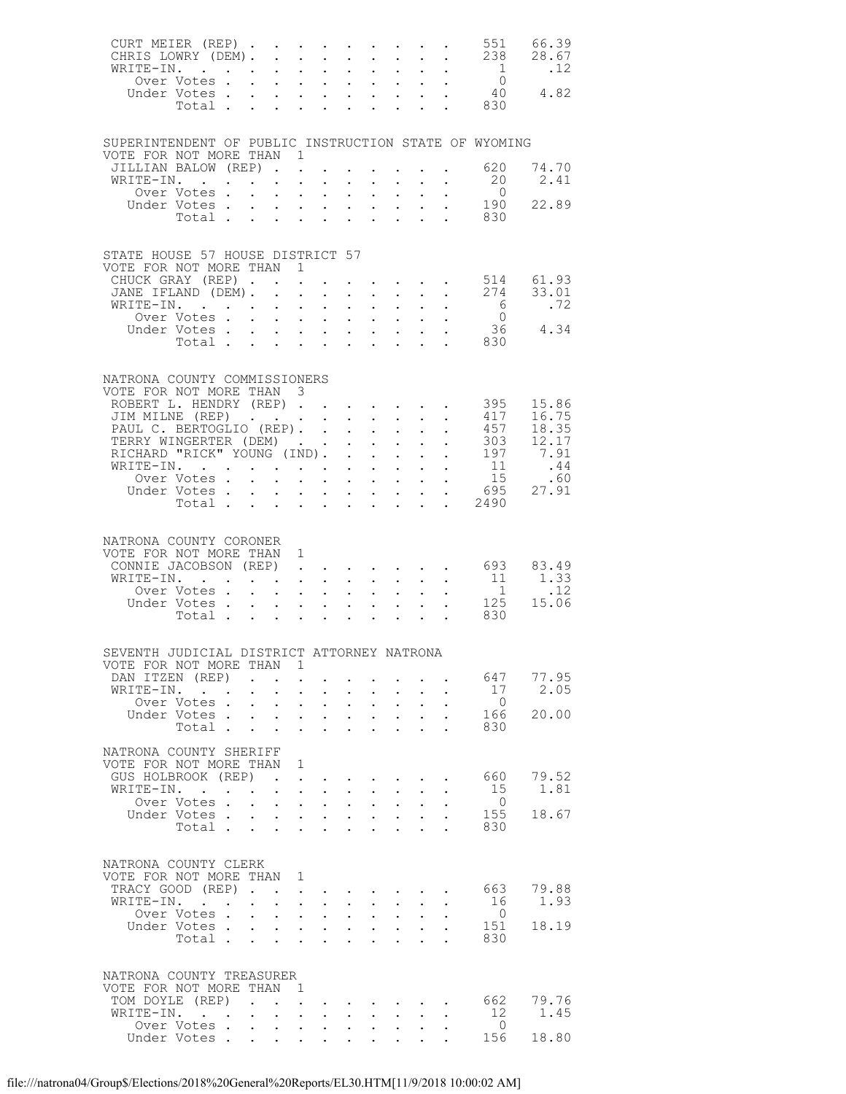| CURT MEIER (REP)<br>CHRIS LOWRY (DEM). 238 28.67                                  |                                   |                                        |                                                                      |                                                              |                           |                                              |                                                                              |                                 |                                                       | 551                                   | 66.39             |
|-----------------------------------------------------------------------------------|-----------------------------------|----------------------------------------|----------------------------------------------------------------------|--------------------------------------------------------------|---------------------------|----------------------------------------------|------------------------------------------------------------------------------|---------------------------------|-------------------------------------------------------|---------------------------------------|-------------------|
| WRITE-IN.                                                                         |                                   |                                        |                                                                      |                                                              |                           |                                              |                                                                              |                                 | $\mathbf{L}^{\text{max}}$ , $\mathbf{L}^{\text{max}}$ | 1                                     | .12               |
|                                                                                   |                                   |                                        |                                                                      |                                                              |                           |                                              |                                                                              |                                 |                                                       | Over Votes 0<br>Jnder Votes 40 4.82   |                   |
|                                                                                   | Under Votes                       |                                        |                                                                      |                                                              |                           |                                              |                                                                              |                                 |                                                       |                                       |                   |
|                                                                                   |                                   |                                        |                                                                      |                                                              |                           |                                              |                                                                              |                                 |                                                       | Total 830                             |                   |
|                                                                                   |                                   |                                        |                                                                      |                                                              |                           |                                              |                                                                              |                                 |                                                       |                                       |                   |
| SUPERINTENDENT OF PUBLIC INSTRUCTION STATE OF WYOMING<br>VOTE FOR NOT MORE THAN 1 |                                   |                                        |                                                                      |                                                              |                           |                                              |                                                                              |                                 |                                                       |                                       |                   |
| JILLIAN BALOW (REP)                                                               |                                   |                                        |                                                                      |                                                              |                           |                                              |                                                                              |                                 |                                                       | 620                                   | 74.70             |
| WRITE-IN.                                                                         |                                   |                                        |                                                                      |                                                              |                           |                                              |                                                                              |                                 |                                                       | $\begin{matrix} 20 \\ 0 \end{matrix}$ | 2.41              |
|                                                                                   | Over Votes                        |                                        |                                                                      |                                                              |                           |                                              | $\mathbf{L}^{\text{max}}$ , and $\mathbf{L}^{\text{max}}$                    | $\sim$ $-$                      |                                                       |                                       |                   |
|                                                                                   | Under Votes<br>Total              |                                        |                                                                      |                                                              |                           |                                              |                                                                              |                                 |                                                       | 190                                   | 22.89             |
|                                                                                   |                                   |                                        |                                                                      |                                                              |                           |                                              |                                                                              |                                 |                                                       | 830                                   |                   |
|                                                                                   |                                   |                                        |                                                                      |                                                              |                           |                                              |                                                                              |                                 |                                                       |                                       |                   |
| STATE HOUSE 57 HOUSE DISTRICT 57                                                  |                                   |                                        |                                                                      |                                                              |                           |                                              |                                                                              |                                 |                                                       |                                       |                   |
| VOTE FOR NOT MORE THAN 1<br>CHUCK GRAY (REP)                                      |                                   |                                        |                                                                      |                                                              |                           |                                              |                                                                              |                                 |                                                       | 514                                   | 61.93             |
| JANE IFLAND (DEM).                                                                |                                   |                                        |                                                                      |                                                              |                           | $\ddot{\phantom{a}}$                         | $\mathbf{r} = \mathbf{r} - \mathbf{r} = \mathbf{r} - \mathbf{r}$ .<br>$\sim$ |                                 | $\mathbf{L} = \mathbf{L}$                             | 274                                   | 33.01             |
| WRITE-IN.                                                                         |                                   |                                        |                                                                      |                                                              |                           |                                              |                                                                              |                                 | $\mathbf{z} = \mathbf{z} + \mathbf{z}$ .              | $\begin{matrix} 6 \\ 0 \end{matrix}$  | .72               |
|                                                                                   | Over Votes                        |                                        |                                                                      |                                                              |                           |                                              | $\mathbf{L} = \mathbf{L}$                                                    | $\sim$ $-$                      |                                                       |                                       |                   |
|                                                                                   | Under Votes<br>Total              |                                        |                                                                      |                                                              |                           |                                              |                                                                              |                                 |                                                       | 36<br>830                             | 4.34              |
|                                                                                   |                                   |                                        |                                                                      |                                                              |                           |                                              | $\mathbf{L} = \mathbf{L}$                                                    |                                 | $\mathbf{r} = \mathbf{r}$                             |                                       |                   |
|                                                                                   |                                   |                                        |                                                                      |                                                              |                           |                                              |                                                                              |                                 |                                                       |                                       |                   |
| NATRONA COUNTY COMMISSIONERS                                                      |                                   |                                        |                                                                      |                                                              |                           |                                              |                                                                              |                                 |                                                       |                                       |                   |
| VOTE FOR NOT MORE THAN 3                                                          |                                   |                                        |                                                                      |                                                              |                           |                                              |                                                                              |                                 |                                                       |                                       |                   |
| ROBERT L. HENDRY (REP)<br>JIM MILNE (REP)                                         |                                   |                                        |                                                                      |                                                              |                           |                                              |                                                                              | $\sim$                          |                                                       | 395<br>417                            | 15.86<br>16.75    |
| PAUL C. BERTOGLIO (REP).                                                          |                                   |                                        |                                                                      |                                                              |                           |                                              |                                                                              |                                 | $\mathbf{u} = \mathbf{u} \cdot \mathbf{u}$ .          | 457                                   | 18.35             |
| TERRY WINGERTER (DEM).                                                            |                                   |                                        |                                                                      |                                                              | $\mathbf{L}^{\text{max}}$ |                                              | $\mathbf{L} = \mathbf{L}$                                                    | $\mathbf{L}^{\text{max}}$       |                                                       | 303                                   | 12.17             |
| RICHARD "RICK" YOUNG (IND).                                                       |                                   |                                        |                                                                      |                                                              |                           |                                              |                                                                              |                                 |                                                       | $\cdot$ $\cdot$ $\cdot$ 197           | $7.\overline{91}$ |
| WRITE-IN.                                                                         | Over Votes                        |                                        |                                                                      |                                                              |                           |                                              |                                                                              |                                 |                                                       | 11<br>15                              | .44<br>.60        |
|                                                                                   | Under Votes                       |                                        |                                                                      |                                                              |                           |                                              | $\sim$ $-$                                                                   | $\sim 10^{-11}$<br>$\mathbf{L}$ | $\bullet$ .                                           | 695                                   | 27.91             |
|                                                                                   | Total $\cdots$                    |                                        |                                                                      |                                                              |                           |                                              |                                                                              |                                 | $\mathbf{L}^{\text{max}}$ , $\mathbf{L}^{\text{max}}$ | 2490                                  |                   |
|                                                                                   |                                   |                                        |                                                                      |                                                              |                           |                                              |                                                                              |                                 |                                                       |                                       |                   |
|                                                                                   |                                   |                                        |                                                                      |                                                              |                           |                                              |                                                                              |                                 |                                                       |                                       |                   |
| NATRONA COUNTY CORONER<br>VOTE FOR NOT MORE THAN 1                                |                                   |                                        |                                                                      |                                                              |                           |                                              |                                                                              |                                 |                                                       |                                       |                   |
| CONNIE JACOBSON (REP)                                                             |                                   |                                        |                                                                      |                                                              |                           |                                              |                                                                              |                                 |                                                       |                                       | 693 83.49         |
| WRITE-IN.                                                                         |                                   |                                        |                                                                      |                                                              |                           |                                              |                                                                              |                                 |                                                       | 11                                    | 1.33              |
|                                                                                   | Over Votes                        |                                        |                                                                      |                                                              |                           |                                              | $\mathbf{L}$ and $\mathbf{L}$                                                | $\mathbf{L}^{\text{max}}$       |                                                       | 1                                     | .12               |
|                                                                                   |                                   |                                        |                                                                      |                                                              |                           |                                              |                                                                              |                                 |                                                       | 125<br>830                            | 15.06             |
|                                                                                   |                                   |                                        |                                                                      |                                                              |                           |                                              |                                                                              |                                 |                                                       |                                       |                   |
|                                                                                   |                                   |                                        |                                                                      |                                                              |                           |                                              |                                                                              |                                 |                                                       |                                       |                   |
| SEVENTH JUDICIAL DISTRICT ATTORNEY NATRONA                                        |                                   |                                        |                                                                      |                                                              |                           |                                              |                                                                              |                                 |                                                       |                                       |                   |
| VOTE FOR NOT MORE THAN<br>DAN ITZEN (REP)                                         |                                   | $\mathbf{r}$ . The set of $\mathbf{r}$ | $\mathbf{1}$<br>$\ddot{\phantom{a}}$                                 |                                                              |                           |                                              |                                                                              |                                 |                                                       | 647                                   | 77.95             |
| WRITE-IN.                                                                         |                                   |                                        | $\mathbf{L}$<br>$\ddot{\phantom{a}}$                                 | $\ddot{\phantom{0}}$                                         | $\ddot{\phantom{0}}$      | $\ddot{\phantom{0}}$                         |                                                                              |                                 |                                                       | 17                                    | 2.05              |
|                                                                                   | Over Votes                        |                                        |                                                                      | $\cdot$ $\cdot$                                              | $\sim$                    | $\mathcal{L}^{\text{max}}$                   | $\mathcal{L}^{\text{max}}$                                                   | $\mathcal{L}^{\text{max}}$      | $\ddot{\phantom{a}}$                                  | $\overline{0}$                        |                   |
|                                                                                   | Under Votes                       |                                        |                                                                      | $\mathbf{L} = \mathbf{L}$                                    | $\mathbf{L}^{\text{max}}$ | $\ddot{\phantom{0}}$                         |                                                                              |                                 |                                                       | 166                                   | 20.00             |
|                                                                                   | Total                             |                                        | $\ddot{\phantom{a}}$                                                 | $\mathbf{L}$                                                 | $\sim$                    | $\ddot{\phantom{a}}$                         | $\ddot{\phantom{0}}$                                                         | $\ddot{\phantom{a}}$            | $\ddot{\phantom{a}}$                                  | 830                                   |                   |
| NATRONA COUNTY SHERIFF                                                            |                                   |                                        |                                                                      |                                                              |                           |                                              |                                                                              |                                 |                                                       |                                       |                   |
| VOTE FOR NOT MORE THAN                                                            |                                   |                                        | -1                                                                   |                                                              |                           |                                              |                                                                              |                                 |                                                       |                                       |                   |
| GUS HOLBROOK (REP)                                                                |                                   | $\sim$                                 | $\ddot{\phantom{a}}$                                                 | $\ddot{\phantom{0}}$                                         |                           | $\sim$ 100 $\pm$                             |                                                                              |                                 |                                                       | 660                                   | 79.52             |
| WRITE-IN.                                                                         | $\cdots$ $\cdots$<br>Over Votes . | $\sim$                                 | $\ddot{\phantom{a}}$<br>$\ddot{\phantom{0}}$<br>$\sim$ $-$           | $\ddot{\phantom{0}}$<br>$\mathbf{L} = \mathbf{L} \mathbf{L}$ | $\ddot{\phantom{0}}$      | $\ddot{\phantom{0}}$                         |                                                                              |                                 |                                                       | 15<br>$\overline{0}$                  | 1.81              |
|                                                                                   | Under Votes .                     | $\sim$                                 | $\mathbf{L}$                                                         | $\mathbf{L}$ $\mathbf{L}$                                    | $\sim$<br>$\sim$          | $\ddot{\phantom{0}}$<br>$\ddot{\phantom{0}}$ | $\mathcal{L}^{\text{max}}$                                                   | $\bullet$ .                     |                                                       | 155                                   | 18.67             |
|                                                                                   | Total                             |                                        | $\ddot{\phantom{a}}$                                                 | $\mathbf{L}$                                                 | $\sim$                    | $\ddot{\phantom{a}}$                         | $\ddot{\phantom{a}}$                                                         |                                 |                                                       | 830                                   |                   |
|                                                                                   |                                   |                                        |                                                                      |                                                              |                           |                                              |                                                                              |                                 |                                                       |                                       |                   |
| NATRONA COUNTY CLERK                                                              |                                   |                                        |                                                                      |                                                              |                           |                                              |                                                                              |                                 |                                                       |                                       |                   |
| VOTE FOR NOT MORE THAN                                                            |                                   |                                        | $\mathbf{1}$                                                         |                                                              |                           |                                              |                                                                              |                                 |                                                       |                                       |                   |
| TRACY GOOD (REP)                                                                  |                                   |                                        | $\ddot{\phantom{a}}$                                                 |                                                              |                           |                                              |                                                                              |                                 |                                                       | 663                                   | 79.88             |
| WRITE-IN.                                                                         |                                   |                                        | $\ddot{\phantom{a}}$<br>$\ddot{\phantom{0}}$                         | $\sim$ $-$                                                   | $\mathbf{L}^{\text{max}}$ | $\mathbf{L}^{\text{max}}$                    | $\bullet$ .                                                                  | $\ddot{\phantom{0}}$            |                                                       | 16                                    | 1.93              |
|                                                                                   | Over Votes .                      | $\sim$                                 | $\mathbf{L}$                                                         | $\ddot{\phantom{0}}$<br>$\sim$                               | $\ddot{\phantom{0}}$      | $\ddot{\phantom{a}}$                         |                                                                              |                                 |                                                       | $\overline{0}$<br>151                 |                   |
|                                                                                   | Under Votes<br>Total              |                                        |                                                                      | $\mathbf{L}$ and $\mathbf{L}$<br>$\mathbf{L}$                | $\bullet$ .               | $\bullet$                                    | $\mathbf{L}^{\text{max}}$                                                    | $\bullet$                       |                                                       | 830                                   | 18.19             |
|                                                                                   |                                   |                                        |                                                                      |                                                              |                           |                                              |                                                                              |                                 |                                                       |                                       |                   |
|                                                                                   |                                   |                                        |                                                                      |                                                              |                           |                                              |                                                                              |                                 |                                                       |                                       |                   |
|                                                                                   |                                   |                                        |                                                                      |                                                              |                           |                                              |                                                                              |                                 |                                                       |                                       |                   |
| NATRONA COUNTY TREASURER                                                          |                                   |                                        |                                                                      |                                                              |                           |                                              |                                                                              |                                 |                                                       |                                       |                   |
| VOTE FOR NOT MORE THAN                                                            |                                   |                                        | $-1$                                                                 |                                                              |                           |                                              |                                                                              |                                 |                                                       |                                       |                   |
| TOM DOYLE (REP)<br>WRITE-IN.                                                      |                                   | $\mathbf{r}$ . The set of $\mathbf{r}$ | $\ddot{\phantom{a}}$<br>$\ddot{\phantom{a}}$<br>$\ddot{\phantom{0}}$ | $\ddot{\phantom{0}}$                                         |                           |                                              |                                                                              |                                 |                                                       | 662<br>12                             | 79.76<br>1.45     |
|                                                                                   | Over Votes<br>Under Votes         |                                        | $\ddot{\phantom{0}}$                                                 | $\ddot{\phantom{0}}$                                         | $\ddot{\phantom{0}}$      | $\bullet$                                    | $\mathbf{L}^{\text{max}}$                                                    |                                 |                                                       | $\overline{0}$<br>156                 | 18.80             |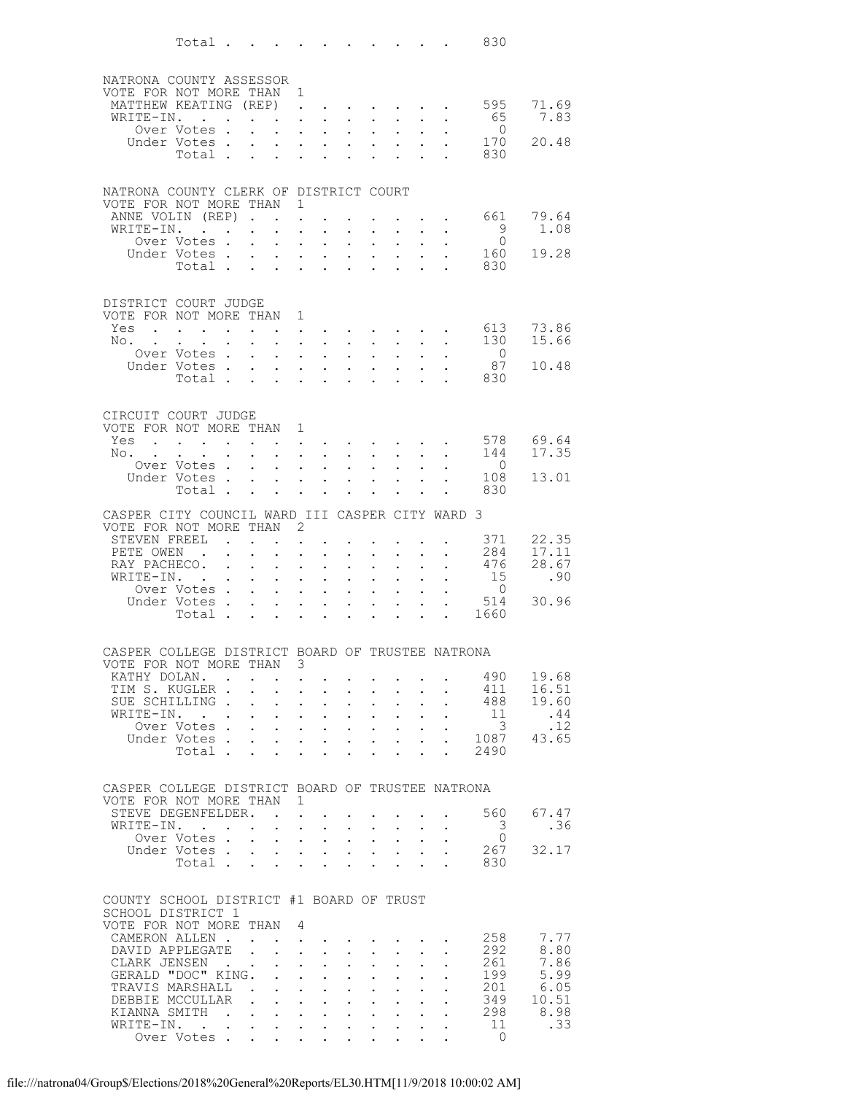|                                                                              | Total                                                                                                                                |                      |                              |                                           |                                          |                                                                                                                        |                                                                                                         |                                                                                                                      |                                           |                           |                                                                                                                                                                                                                                | 830                            |                |
|------------------------------------------------------------------------------|--------------------------------------------------------------------------------------------------------------------------------------|----------------------|------------------------------|-------------------------------------------|------------------------------------------|------------------------------------------------------------------------------------------------------------------------|---------------------------------------------------------------------------------------------------------|----------------------------------------------------------------------------------------------------------------------|-------------------------------------------|---------------------------|--------------------------------------------------------------------------------------------------------------------------------------------------------------------------------------------------------------------------------|--------------------------------|----------------|
|                                                                              |                                                                                                                                      |                      |                              |                                           |                                          |                                                                                                                        |                                                                                                         |                                                                                                                      |                                           |                           |                                                                                                                                                                                                                                |                                |                |
| NATRONA COUNTY ASSESSOR<br>VOTE FOR NOT MORE THAN 1                          |                                                                                                                                      |                      |                              |                                           |                                          |                                                                                                                        |                                                                                                         |                                                                                                                      |                                           |                           |                                                                                                                                                                                                                                |                                |                |
| MATTHEW KEATING (REP) 595                                                    |                                                                                                                                      |                      |                              |                                           |                                          |                                                                                                                        |                                                                                                         |                                                                                                                      |                                           |                           |                                                                                                                                                                                                                                |                                | 71.69          |
| WRITE-IN. .                                                                  | Over Votes .                                                                                                                         |                      |                              | $\mathbf{L}$                              |                                          | and a straight and a straight<br>$\mathbf{r} = \mathbf{r}$                                                             | $\sim$ $-$<br>$\sim$                                                                                    | $\sim 10^{-11}$<br>$\sim$                                                                                            | $\sim 100$<br>$\mathbf{L}$                | $\ddot{\phantom{0}}$      | $\sim$                                                                                                                                                                                                                         | 65<br>$\overline{0}$           | 7.83           |
|                                                                              | Under Votes                                                                                                                          |                      |                              |                                           |                                          | $\mathbf{A}^{(1)}$ and $\mathbf{A}^{(2)}$ and $\mathbf{A}^{(3)}$ and                                                   | $\mathcal{L}^{\text{max}}$                                                                              | $\sim 10^{-11}$                                                                                                      | $\sim$ 100 $\pm$                          | $\ddot{\phantom{0}}$      |                                                                                                                                                                                                                                | 170                            | 20.48          |
|                                                                              | Total .                                                                                                                              |                      |                              | $\mathbf{r} = \mathbf{r}$                 |                                          |                                                                                                                        | $\cdot$ $\cdot$ $\cdot$ $\cdot$                                                                         |                                                                                                                      | $\mathbf{r}$                              |                           |                                                                                                                                                                                                                                | 830                            |                |
| NATRONA COUNTY CLERK OF DISTRICT COURT                                       |                                                                                                                                      |                      |                              |                                           |                                          |                                                                                                                        |                                                                                                         |                                                                                                                      |                                           |                           |                                                                                                                                                                                                                                |                                |                |
| VOTE FOR NOT MORE THAN                                                       |                                                                                                                                      |                      |                              |                                           | 1                                        |                                                                                                                        |                                                                                                         |                                                                                                                      |                                           |                           |                                                                                                                                                                                                                                |                                |                |
| ANNE VOLIN (REP)<br>WRITE-IN.                                                |                                                                                                                                      |                      |                              | $\mathbf{r}$                              | $\ddot{\phantom{a}}$                     | $\ddot{\phantom{a}}$                                                                                                   | $\bullet$ .<br>$\sim$                                                                                   | $\sim$ $-$<br>$\sim$                                                                                                 | $\ddot{\phantom{a}}$                      |                           | $\mathbf{L} = \mathbf{L}$                                                                                                                                                                                                      | 661<br>9                       | 79.64<br>1.08  |
|                                                                              | Over Votes .                                                                                                                         |                      | $\mathbf{L}$                 | $\mathbf{L}^{\text{max}}$                 | $\ddot{\phantom{0}}$                     | $\bullet$ .                                                                                                            | $\bullet$ .                                                                                             | $\mathbf{A}^{\text{max}}$                                                                                            | $\sim 10^{-11}$                           |                           |                                                                                                                                                                                                                                | $\overline{0}$                 |                |
|                                                                              | Under Votes .<br>Total                                                                                                               |                      |                              | $\mathbf{L}$                              | $\mathbf{L}$                             | $\mathbf{L}$<br>$\mathbf{L}^{\text{max}}$ , and $\mathbf{L}^{\text{max}}$                                              | $\sim$<br>$\sim$                                                                                        | $\mathbf{r}$<br>$\bullet$                                                                                            | $\mathbf{L}$<br>$\ddot{\phantom{0}}$      | $\ddot{\phantom{0}}$      |                                                                                                                                                                                                                                | 160<br>830                     | 19.28          |
|                                                                              |                                                                                                                                      |                      |                              |                                           |                                          |                                                                                                                        |                                                                                                         |                                                                                                                      |                                           |                           |                                                                                                                                                                                                                                |                                |                |
| DISTRICT COURT JUDGE                                                         |                                                                                                                                      |                      |                              |                                           |                                          |                                                                                                                        |                                                                                                         |                                                                                                                      |                                           |                           |                                                                                                                                                                                                                                |                                |                |
| VOTE FOR NOT MORE THAN 1                                                     |                                                                                                                                      |                      |                              |                                           |                                          |                                                                                                                        |                                                                                                         |                                                                                                                      |                                           |                           |                                                                                                                                                                                                                                |                                |                |
| Yes<br>No. .                                                                 | $\mathbf{r}$ , and $\mathbf{r}$ , and $\mathbf{r}$ , and $\mathbf{r}$<br>$\bullet$ .<br><br><br><br><br><br><br><br><br><br><br><br> | $\sim$ 100 $\pm$     | $\ddot{\phantom{0}}$         |                                           |                                          | $\mathbf{L} = \mathbf{L}$<br>$\mathbf{z} = \mathbf{z} + \mathbf{z}$ , where $\mathbf{z} = \mathbf{z}$                  |                                                                                                         | $\mathbf{z} = \mathbf{z} + \mathbf{z}$ , where $\mathbf{z} = \mathbf{z}$<br>$\mathbf{z} = \mathbf{z} + \mathbf{z}$ . | $\sim 100$                                | $\ddot{\phantom{0}}$      | $\mathbf{L}$<br>$\sim$                                                                                                                                                                                                         | 613<br>130                     | 73.86<br>15.66 |
|                                                                              | Over Votes.                                                                                                                          |                      |                              | $\mathbf{r}$                              |                                          | $\mathbf{L} = \mathbf{L} \mathbf{L}$                                                                                   | $\sim$                                                                                                  | $\mathbf{L}$                                                                                                         | $\mathbf{L}$                              |                           |                                                                                                                                                                                                                                | $\overline{0}$                 |                |
|                                                                              | Under Votes<br>Total                                                                                                                 |                      |                              | $\sim 100$                                |                                          | $\bullet$ . In the set of $\bullet$                                                                                    | $\bullet$ .<br>$\mathbf{r} = \mathbf{r} \cdot \mathbf{r}$                                               | $\mathbf{A}^{\text{max}}$                                                                                            | $\mathbf{L}^{\text{max}}$<br>$\mathbf{L}$ | $\mathbf{L}^{\text{max}}$ | $\mathbf{r} = \mathbf{r}$                                                                                                                                                                                                      | 87<br>830                      | 10.48          |
|                                                                              |                                                                                                                                      |                      |                              |                                           |                                          |                                                                                                                        |                                                                                                         |                                                                                                                      |                                           |                           |                                                                                                                                                                                                                                |                                |                |
| CIRCUIT COURT JUDGE                                                          |                                                                                                                                      |                      |                              |                                           |                                          |                                                                                                                        |                                                                                                         |                                                                                                                      |                                           |                           |                                                                                                                                                                                                                                |                                |                |
| VOTE FOR NOT MORE THAN 1                                                     |                                                                                                                                      |                      |                              |                                           |                                          |                                                                                                                        |                                                                                                         |                                                                                                                      |                                           |                           |                                                                                                                                                                                                                                |                                |                |
| $Yes \t . \t . \t . \t . \t . \t . \t . \t . \t .$<br>No. .                  |                                                                                                                                      |                      |                              | $\mathbf{L}$                              | $\mathbf{L}$                             | $\mathbf{L}$                                                                                                           | $\sim$                                                                                                  |                                                                                                                      | $\mathbf{L}$                              |                           |                                                                                                                                                                                                                                | 578<br>144                     | 69.64<br>17.35 |
|                                                                              | Over Votes.                                                                                                                          |                      | $\sim$                       | $\mathbf{L}^{\text{max}}$                 | $\mathbf{L}^{\text{max}}$                | $\mathbf{L}^{\text{max}}$                                                                                              | $\bullet$ .                                                                                             | $\mathbf{L}^{\text{max}}$                                                                                            | $\sim$ $-$                                |                           |                                                                                                                                                                                                                                | $\overline{0}$                 |                |
|                                                                              | Under Votes<br>Total                                                                                                                 |                      |                              | $\sim$                                    |                                          | $\mathbf{r} = \mathbf{r}$                                                                                              | $\sim$<br>$\mathbf{r} = \mathbf{r} + \mathbf{r} + \mathbf{r} + \mathbf{r}$                              | $\mathbf{L}$                                                                                                         | $\mathbf{A}$<br>$\sim 100$                | $\ddot{\phantom{0}}$      |                                                                                                                                                                                                                                | 108<br>830                     | 13.01          |
|                                                                              |                                                                                                                                      |                      |                              |                                           |                                          |                                                                                                                        |                                                                                                         |                                                                                                                      |                                           |                           |                                                                                                                                                                                                                                |                                |                |
| CASPER CITY COUNCIL WARD III CASPER CITY WARD 3<br>VOTE FOR NOT MORE THAN 2  |                                                                                                                                      |                      |                              |                                           |                                          |                                                                                                                        |                                                                                                         |                                                                                                                      |                                           |                           |                                                                                                                                                                                                                                |                                |                |
| STEVEN FREEL                                                                 |                                                                                                                                      |                      |                              |                                           | $\mathbf{z} = \mathbf{z} + \mathbf{z}$ . |                                                                                                                        |                                                                                                         |                                                                                                                      |                                           |                           |                                                                                                                                                                                                                                | 371                            | 22.35          |
| PETE OWEN.<br>RAY PACHECO.                                                   |                                                                                                                                      | $\ddot{\phantom{a}}$ | $\bullet$ .                  | $\mathbf{L}$<br>$\mathbf{L}^{\text{max}}$ | $\bullet$                                | $\mathbf{L}$<br>$\bullet$ .                                                                                            | $\ddot{\phantom{a}}$<br>$\bullet$ .                                                                     | $\bullet$                                                                                                            | $\bullet$ .                               | $\mathbf{L}^{\text{max}}$ | $\ddot{\phantom{0}}$                                                                                                                                                                                                           | 284<br>476                     | 17.11<br>28.67 |
| WRITE-IN.                                                                    | <b>Contract</b>                                                                                                                      |                      |                              | $\sim$                                    | $\ddot{\phantom{a}}$                     | $\ddot{\phantom{a}}$                                                                                                   | $\ddot{\phantom{a}}$                                                                                    | $\ddot{\phantom{a}}$                                                                                                 | $\ddot{\phantom{a}}$                      |                           |                                                                                                                                                                                                                                | 15                             | .90            |
|                                                                              | Over Votes .<br>Under Votes .                                                                                                        |                      | $\mathbf{L}$<br>$\mathbf{r}$ | $\bullet$ .<br>$\mathbf{L}$               | $\ddot{\phantom{0}}$<br>$\mathbf{L}$     | $\bullet$ .<br>$\mathbf{L}$                                                                                            | $\bullet$ .<br>$\sim$                                                                                   | $\ddot{\phantom{0}}$<br>$\ddot{\phantom{0}}$                                                                         | $\bullet$ .<br>$\mathbf{L}$               | $\ddot{\phantom{0}}$      |                                                                                                                                                                                                                                | $\overline{0}$<br>514          | 30.96          |
|                                                                              | Total .                                                                                                                              |                      | $\sim$                       | $\sim$                                    | $\ddot{\phantom{0}}$                     | $\mathbf{L}^{\text{max}}$                                                                                              | $\bullet$                                                                                               | $\ddot{\phantom{0}}$                                                                                                 | $\bullet$                                 | $\ddot{\phantom{a}}$      | $\ddot{\phantom{0}}$                                                                                                                                                                                                           | 1660                           |                |
|                                                                              |                                                                                                                                      |                      |                              |                                           |                                          |                                                                                                                        |                                                                                                         |                                                                                                                      |                                           |                           |                                                                                                                                                                                                                                |                                |                |
| CASPER COLLEGE DISTRICT BOARD OF TRUSTEE NATRONA<br>VOTE FOR NOT MORE THAN 3 |                                                                                                                                      |                      |                              |                                           |                                          |                                                                                                                        |                                                                                                         |                                                                                                                      |                                           |                           |                                                                                                                                                                                                                                |                                |                |
| KATHY DOLAN.                                                                 |                                                                                                                                      |                      |                              |                                           |                                          |                                                                                                                        |                                                                                                         |                                                                                                                      |                                           |                           |                                                                                                                                                                                                                                | . 490                          | 19.68          |
| TIM S. KUGLER                                                                |                                                                                                                                      |                      |                              |                                           |                                          |                                                                                                                        | $\mathbf{u} = \mathbf{u} + \mathbf{u} + \mathbf{u} + \mathbf{u} + \mathbf{u} + \mathbf{u} + \mathbf{u}$ |                                                                                                                      |                                           |                           | $\sim$ $-$                                                                                                                                                                                                                     | 411<br>488                     | 16.51          |
| SUE SCHILLING.<br>WRITE-IN.                                                  |                                                                                                                                      |                      |                              |                                           |                                          |                                                                                                                        | $\sim$ $-$                                                                                              | $\mathcal{L}(\mathcal{A})$ and $\mathcal{A}(\mathcal{A})$                                                            |                                           | $\mathbf{L}^{\text{max}}$ | $\mathbf{r}$ , and $\mathbf{r}$ , and $\mathbf{r}$ , and $\mathbf{r}$ , and $\mathbf{r}$<br>$\sim$ $-$                                                                                                                         | 11                             | 19.60<br>.44   |
|                                                                              | Over Votes .                                                                                                                         |                      |                              |                                           |                                          |                                                                                                                        |                                                                                                         |                                                                                                                      |                                           |                           | $\mathbf{r} = \mathbf{r} - \mathbf{r} = \mathbf{r} - \mathbf{r} = \mathbf{r} - \mathbf{r} = \mathbf{r} - \mathbf{r}$                                                                                                           | $\overline{\mathbf{3}}$        | .12            |
|                                                                              |                                                                                                                                      |                      |                              |                                           |                                          |                                                                                                                        |                                                                                                         |                                                                                                                      |                                           |                           |                                                                                                                                                                                                                                | Under Votes 1087<br>Total 2490 | 43.65          |
|                                                                              |                                                                                                                                      |                      |                              |                                           |                                          |                                                                                                                        |                                                                                                         |                                                                                                                      |                                           |                           |                                                                                                                                                                                                                                |                                |                |
| CASPER COLLEGE DISTRICT BOARD OF TRUSTEE NATRONA                             |                                                                                                                                      |                      |                              |                                           |                                          |                                                                                                                        |                                                                                                         |                                                                                                                      |                                           |                           |                                                                                                                                                                                                                                |                                |                |
| VOTE FOR NOT MORE THAN 1<br>STEVE DEGENFELDER.                               |                                                                                                                                      |                      |                              |                                           |                                          | <b>Contract Contract Contract</b>                                                                                      |                                                                                                         |                                                                                                                      |                                           |                           |                                                                                                                                                                                                                                | 560                            | 67.47          |
| WRITE-IN.                                                                    |                                                                                                                                      |                      |                              |                                           |                                          | $1 - 1 - 1 = 1$                                                                                                        | $\sim$                                                                                                  |                                                                                                                      | $\sim$                                    |                           |                                                                                                                                                                                                                                | 3                              | .36            |
|                                                                              | Over Votes                                                                                                                           |                      |                              |                                           |                                          | $\mathbf{A}^{(n)}$ and $\mathbf{A}^{(n)}$ and $\mathbf{A}^{(n)}$                                                       |                                                                                                         | $\mathbf{r} = \left\{ \mathbf{r}_1, \ldots, \mathbf{r}_n \right\}$ , where                                           |                                           | $\bullet$ .               | $\bullet$                                                                                                                                                                                                                      | $\overline{0}$                 | 32.17          |
|                                                                              | Under Votes<br>Total                                                                                                                 |                      |                              |                                           |                                          |                                                                                                                        |                                                                                                         |                                                                                                                      |                                           |                           |                                                                                                                                                                                                                                | 267<br>830                     |                |
|                                                                              |                                                                                                                                      |                      |                              |                                           |                                          |                                                                                                                        |                                                                                                         |                                                                                                                      |                                           |                           |                                                                                                                                                                                                                                |                                |                |
| COUNTY SCHOOL DISTRICT #1 BOARD OF TRUST                                     |                                                                                                                                      |                      |                              |                                           |                                          |                                                                                                                        |                                                                                                         |                                                                                                                      |                                           |                           |                                                                                                                                                                                                                                |                                |                |
| SCHOOL DISTRICT 1<br>VOTE FOR NOT MORE THAN 4                                |                                                                                                                                      |                      |                              |                                           |                                          |                                                                                                                        |                                                                                                         |                                                                                                                      |                                           |                           |                                                                                                                                                                                                                                |                                |                |
| CAMERON ALLEN.                                                               |                                                                                                                                      |                      |                              |                                           |                                          |                                                                                                                        | and a straightful control of the state of                                                               |                                                                                                                      |                                           |                           |                                                                                                                                                                                                                                | 258                            | 7.77           |
| DAVID APPLEGATE<br>CLARK JENSEN.                                             |                                                                                                                                      |                      | $\sim$ $\sim$                |                                           |                                          | $\mathbf{r}$ , $\mathbf{r}$ , $\mathbf{r}$<br>$\mathbf{z} = \mathbf{z} + \mathbf{z}$ , where $\mathbf{z} = \mathbf{z}$ | $\bullet$ .                                                                                             | $\mathbf{L}$ and $\mathbf{L}$<br>$\sim$ $^{-1}$                                                                      | $\sim$ 100 $\pm$<br>$\sim 100$            | $\bullet$ .               | $\bullet$ .                                                                                                                                                                                                                    | 292<br>261                     | 8.80<br>7.86   |
| GERALD "DOC" KING.                                                           |                                                                                                                                      |                      |                              |                                           |                                          |                                                                                                                        |                                                                                                         | $\sim$                                                                                                               | $\mathbf{L}$                              |                           |                                                                                                                                                                                                                                | 199                            | 5.99           |
| TRAVIS MARSHALL<br>DEBBIE MCCULLAR                                           |                                                                                                                                      |                      |                              |                                           |                                          |                                                                                                                        | $\sim$                                                                                                  | $\sim 10^{-11}$                                                                                                      | $\mathbf{L}^{\text{max}}$                 | $\mathbf{L}^{\text{max}}$ | $\ddot{\phantom{0}}$                                                                                                                                                                                                           | 201<br>349                     | 6.05<br>10.51  |
| KIANNA SMITH                                                                 |                                                                                                                                      |                      |                              |                                           |                                          |                                                                                                                        |                                                                                                         |                                                                                                                      |                                           |                           | $\mathbf{r}$ , $\mathbf{r}$<br>. The contribution of the contribution of the contribution of $\mathcal{O}(1)$                                                                                                                  | 298                            | 8.98           |
| WRITE-IN. .                                                                  |                                                                                                                                      |                      |                              |                                           |                                          |                                                                                                                        |                                                                                                         |                                                                                                                      |                                           |                           | design and a state of the state of the state of the state of the state of the state of the state of the state of the state of the state of the state of the state of the state of the state of the state of the state of the s | - 11                           | .33            |
|                                                                              | Over Votes                                                                                                                           |                      |                              |                                           |                                          |                                                                                                                        |                                                                                                         |                                                                                                                      |                                           |                           |                                                                                                                                                                                                                                | $\circ$                        |                |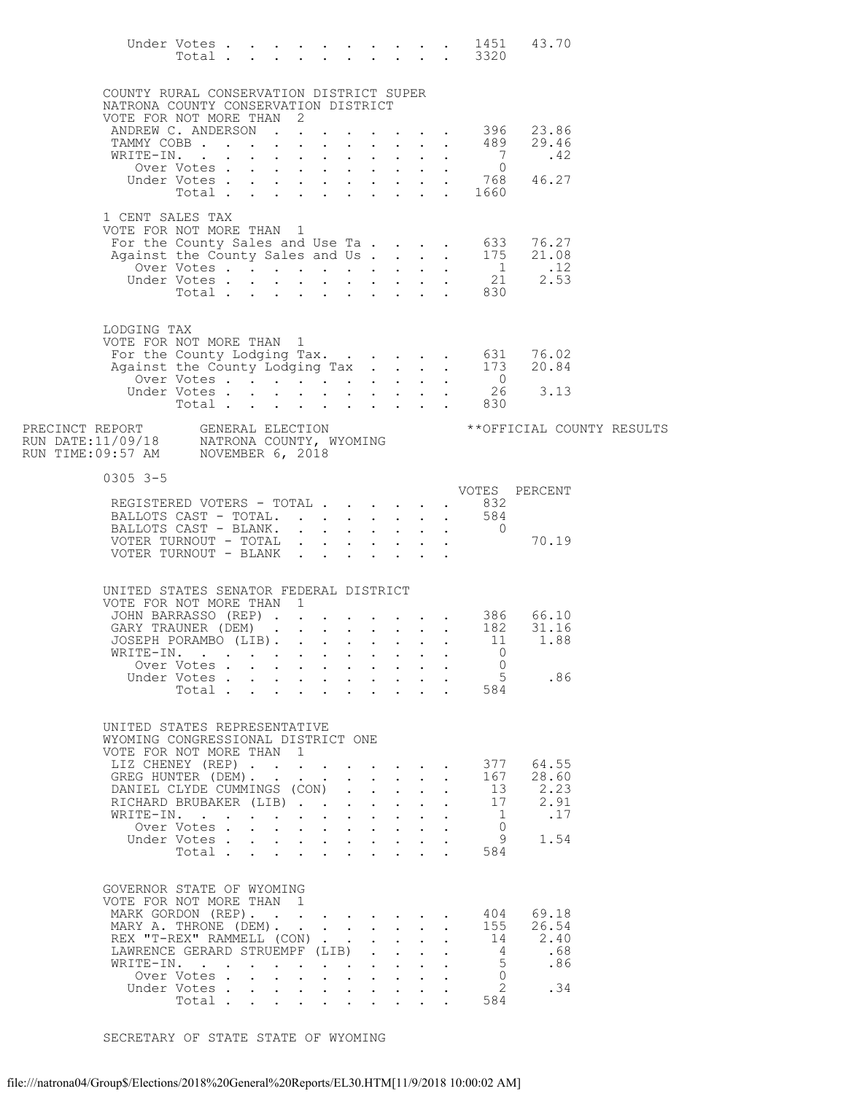|                                                                                                                     |                                                                                  |                                  |  |            |                                                                                                 |                           |                                              |                                         |                      |                            | $\begin{tabular}{ccccccccccccccccc} Under Votes & . & . & . & . & . & . & . & . & . & . & 1451 & 43.70 \\ Total & . & . & . & . & . & . & . & . & . & 3320 \\ \end{tabular}$ |  |
|---------------------------------------------------------------------------------------------------------------------|----------------------------------------------------------------------------------|----------------------------------|--|------------|-------------------------------------------------------------------------------------------------|---------------------------|----------------------------------------------|-----------------------------------------|----------------------|----------------------------|------------------------------------------------------------------------------------------------------------------------------------------------------------------------------|--|
|                                                                                                                     | COUNTY RURAL CONSERVATION DISTRICT SUPER<br>NATRONA COUNTY CONSERVATION DISTRICT |                                  |  |            |                                                                                                 |                           |                                              |                                         |                      |                            |                                                                                                                                                                              |  |
|                                                                                                                     | VOTE FOR NOT MORE THAN 2                                                         |                                  |  |            |                                                                                                 |                           |                                              |                                         |                      |                            |                                                                                                                                                                              |  |
|                                                                                                                     | ANDREW C. ANDERSON 396<br>TAMMY COBB                                             |                                  |  |            |                                                                                                 |                           |                                              |                                         |                      | 489                        | 23.86<br>29.46                                                                                                                                                               |  |
|                                                                                                                     | WRITE-IN.                                                                        |                                  |  |            |                                                                                                 |                           |                                              |                                         |                      | $\overline{7}$             | .42                                                                                                                                                                          |  |
|                                                                                                                     |                                                                                  |                                  |  |            |                                                                                                 |                           |                                              |                                         |                      |                            |                                                                                                                                                                              |  |
|                                                                                                                     |                                                                                  |                                  |  |            |                                                                                                 |                           |                                              |                                         |                      |                            |                                                                                                                                                                              |  |
|                                                                                                                     | 1 CENT SALES TAX                                                                 |                                  |  |            |                                                                                                 |                           |                                              |                                         |                      |                            |                                                                                                                                                                              |  |
|                                                                                                                     | VOTE FOR NOT MORE THAN 1                                                         |                                  |  |            |                                                                                                 |                           |                                              |                                         |                      |                            |                                                                                                                                                                              |  |
|                                                                                                                     |                                                                                  |                                  |  |            |                                                                                                 |                           |                                              |                                         |                      |                            | For the County Sales and Use Ta 633 76.27<br>Against the County Sales and Us 175 21.08                                                                                       |  |
|                                                                                                                     |                                                                                  |                                  |  |            |                                                                                                 |                           |                                              |                                         |                      |                            |                                                                                                                                                                              |  |
|                                                                                                                     |                                                                                  |                                  |  |            |                                                                                                 |                           |                                              |                                         |                      |                            | Under Votes 1 12<br>Under Votes 21 2.53<br>Total 830                                                                                                                         |  |
|                                                                                                                     |                                                                                  |                                  |  |            |                                                                                                 |                           |                                              |                                         |                      |                            |                                                                                                                                                                              |  |
|                                                                                                                     | LODGING TAX                                                                      |                                  |  |            |                                                                                                 |                           |                                              |                                         |                      |                            |                                                                                                                                                                              |  |
|                                                                                                                     | VOTE FOR NOT MORE THAN 1                                                         |                                  |  |            |                                                                                                 |                           |                                              |                                         |                      |                            |                                                                                                                                                                              |  |
|                                                                                                                     |                                                                                  |                                  |  |            |                                                                                                 |                           |                                              |                                         |                      |                            | For the County Lodging Tax. 631 76.02<br>Against the County Lodging Tax 173 20.84                                                                                            |  |
|                                                                                                                     |                                                                                  |                                  |  |            |                                                                                                 |                           |                                              |                                         |                      |                            | 26 3.13                                                                                                                                                                      |  |
|                                                                                                                     |                                                                                  |                                  |  |            |                                                                                                 |                           |                                              |                                         |                      |                            |                                                                                                                                                                              |  |
|                                                                                                                     |                                                                                  |                                  |  |            |                                                                                                 |                           |                                              |                                         |                      |                            | ** OFFICIAL COUNTY RESULTS                                                                                                                                                   |  |
| PRECINCT REPORT GENERAL ELECTION<br>RUN DATE:11/09/18 NATRONA COUNTY, WYOMING<br>RUN TIME:09:57 AM NOVEMBER 6, 2018 |                                                                                  |                                  |  |            |                                                                                                 |                           |                                              |                                         |                      |                            |                                                                                                                                                                              |  |
|                                                                                                                     |                                                                                  |                                  |  |            |                                                                                                 |                           |                                              |                                         |                      |                            |                                                                                                                                                                              |  |
|                                                                                                                     | $0305$ 3-5                                                                       |                                  |  |            |                                                                                                 |                           |                                              |                                         |                      |                            |                                                                                                                                                                              |  |
|                                                                                                                     | REGISTERED VOTERS - TOTAL 832                                                    |                                  |  |            |                                                                                                 |                           |                                              |                                         |                      |                            | VOTES PERCENT                                                                                                                                                                |  |
|                                                                                                                     | BALLOTS CAST - TOTAL. 584<br>BALLOTS CAST - BLANK. 0                             |                                  |  |            |                                                                                                 |                           |                                              |                                         |                      |                            |                                                                                                                                                                              |  |
|                                                                                                                     | VOTER TURNOUT - TOTAL                                                            |                                  |  |            |                                                                                                 |                           |                                              |                                         |                      |                            | 70.19                                                                                                                                                                        |  |
|                                                                                                                     | VOTER TURNOUT - BLANK                                                            |                                  |  |            |                                                                                                 |                           |                                              |                                         |                      |                            |                                                                                                                                                                              |  |
|                                                                                                                     |                                                                                  |                                  |  |            |                                                                                                 |                           |                                              |                                         |                      |                            |                                                                                                                                                                              |  |
|                                                                                                                     | UNITED STATES SENATOR FEDERAL DISTRICT<br>VOTE FOR NOT MORE THAN 1               |                                  |  |            |                                                                                                 |                           |                                              |                                         |                      |                            |                                                                                                                                                                              |  |
|                                                                                                                     |                                                                                  |                                  |  |            |                                                                                                 |                           |                                              |                                         |                      |                            | JOHN BARRASSO (REP) 386 66.10                                                                                                                                                |  |
|                                                                                                                     | GARY TRAUNER (DEM) 182                                                           |                                  |  |            |                                                                                                 |                           |                                              |                                         |                      |                            | 31.16                                                                                                                                                                        |  |
|                                                                                                                     | JOSEPH PORAMBO (LIB).<br>WRITE-IN. 0                                             |                                  |  |            |                                                                                                 |                           |                                              |                                         |                      | 11                         | 1.88                                                                                                                                                                         |  |
|                                                                                                                     |                                                                                  | Over Votes.                      |  |            |                                                                                                 |                           |                                              |                                         |                      | $\Omega$                   |                                                                                                                                                                              |  |
|                                                                                                                     |                                                                                  | Under Votes                      |  |            |                                                                                                 |                           |                                              |                                         |                      | 5                          | .86                                                                                                                                                                          |  |
|                                                                                                                     |                                                                                  | Total                            |  | $\sim$ $-$ |                                                                                                 |                           |                                              | $\mathbf{L}^{\text{max}}$               |                      | 584                        |                                                                                                                                                                              |  |
|                                                                                                                     |                                                                                  |                                  |  |            |                                                                                                 |                           |                                              |                                         |                      |                            |                                                                                                                                                                              |  |
|                                                                                                                     | UNITED STATES REPRESENTATIVE<br>WYOMING CONGRESSIONAL DISTRICT ONE               |                                  |  |            |                                                                                                 |                           |                                              |                                         |                      |                            |                                                                                                                                                                              |  |
|                                                                                                                     | VOTE FOR NOT MORE THAN 1                                                         |                                  |  |            |                                                                                                 |                           |                                              |                                         |                      |                            |                                                                                                                                                                              |  |
|                                                                                                                     | LIZ CHENEY (REP)<br>GREG HUNTER (DEM).                                           |                                  |  |            |                                                                                                 |                           |                                              |                                         | $\ddot{\phantom{a}}$ | 377<br>167                 | 64.55<br>28.60                                                                                                                                                               |  |
|                                                                                                                     | DANIEL CLYDE CUMMINGS (CON)                                                      |                                  |  |            |                                                                                                 | $\mathbf{L} = \mathbf{L}$ | $\mathcal{L}^{\text{max}}$                   |                                         |                      | 13                         | 2.23                                                                                                                                                                         |  |
|                                                                                                                     | RICHARD BRUBAKER (LIB)                                                           |                                  |  |            |                                                                                                 | $\mathbf{L} = \mathbf{L}$ | $\ddot{\phantom{a}}$                         | $\mathbf{L}$                            |                      | 17                         | 2.91                                                                                                                                                                         |  |
|                                                                                                                     | WRITE-IN.                                                                        | Over Votes                       |  |            |                                                                                                 |                           |                                              | $\sim$<br>$\mathbf{L}$ and $\mathbf{L}$ |                      | $\overline{1}$<br>$\Omega$ | .17                                                                                                                                                                          |  |
|                                                                                                                     |                                                                                  | Under Votes                      |  |            |                                                                                                 |                           |                                              |                                         |                      | 9                          | 1.54                                                                                                                                                                         |  |
|                                                                                                                     |                                                                                  | Total                            |  |            |                                                                                                 |                           |                                              |                                         |                      | 584                        |                                                                                                                                                                              |  |
|                                                                                                                     |                                                                                  |                                  |  |            |                                                                                                 |                           |                                              |                                         |                      |                            |                                                                                                                                                                              |  |
|                                                                                                                     | GOVERNOR STATE OF WYOMING<br>VOTE FOR NOT MORE THAN 1                            |                                  |  |            |                                                                                                 |                           |                                              |                                         |                      |                            |                                                                                                                                                                              |  |
|                                                                                                                     | MARK GORDON (REP).                                                               |                                  |  |            |                                                                                                 |                           |                                              |                                         |                      | 404                        | 69.18                                                                                                                                                                        |  |
|                                                                                                                     | MARY A. THRONE (DEM).                                                            |                                  |  |            |                                                                                                 |                           |                                              |                                         | $\mathbf{L}$         | 155                        | 26.54                                                                                                                                                                        |  |
|                                                                                                                     | REX "T-REX" RAMMELL (CON)<br>LAWRENCE GERARD STRUEMPF (LIB).                     |                                  |  |            |                                                                                                 |                           | $\ddot{\phantom{0}}$<br>$\ddot{\phantom{a}}$ |                                         |                      | 14<br>$\overline{4}$       | 2.40<br>.68                                                                                                                                                                  |  |
|                                                                                                                     | WRITE-IN.                                                                        |                                  |  |            |                                                                                                 |                           | $\mathbf{L}$                                 | $\mathbf{L}$                            |                      | 5                          | .86                                                                                                                                                                          |  |
|                                                                                                                     |                                                                                  | Over Votes                       |  |            |                                                                                                 |                           |                                              | $\mathbf{L} = \mathbf{L}$               |                      | $\Omega$                   |                                                                                                                                                                              |  |
|                                                                                                                     |                                                                                  | Under Votes                      |  |            | $\mathbf{r} = \mathbf{r} \times \mathbf{r}$ , where $\mathbf{r} = \mathbf{r} \times \mathbf{r}$ |                           |                                              |                                         |                      | 2                          | .34                                                                                                                                                                          |  |
|                                                                                                                     |                                                                                  | Total $\cdots$ $\cdots$ $\cdots$ |  |            |                                                                                                 |                           | $\ddot{\phantom{0}}$                         | $\mathbb{Z}^{\mathbb{Z}}$ .             |                      | 584                        |                                                                                                                                                                              |  |

SECRETARY OF STATE STATE OF WYOMING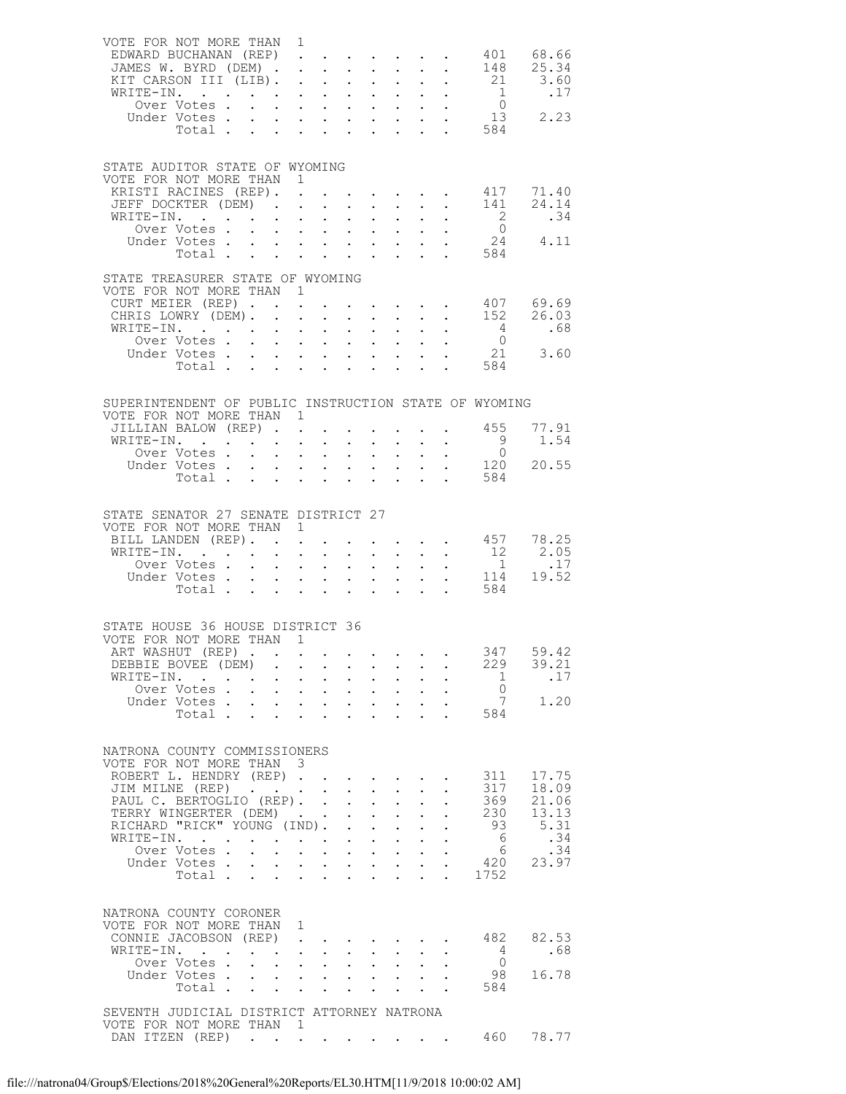| VOTE FOR NOT MORE THAN 1<br>EDWARD BUCHANAN (REP)<br>JAMES W. BYRD (DEM)<br>KIT CARSON III (LIB).<br>WRITE-IN. |                                                           |                                                                                  |                                                                               |                                                                                                                         | $\sim$                                                     | $\sim 10^{-11}$<br>$\mathbf{1}^{\prime}$ , $\mathbf{1}^{\prime}$ , $\mathbf{1}^{\prime}$         |                                                                                                                                                          | 148<br>$\cdot$ $\cdot$ 21 3.60<br>$\overline{1}$ | 401 68.66<br>25.34                                                                     |
|----------------------------------------------------------------------------------------------------------------|-----------------------------------------------------------|----------------------------------------------------------------------------------|-------------------------------------------------------------------------------|-------------------------------------------------------------------------------------------------------------------------|------------------------------------------------------------|--------------------------------------------------------------------------------------------------|----------------------------------------------------------------------------------------------------------------------------------------------------------|--------------------------------------------------|----------------------------------------------------------------------------------------|
| TE-IN. 1 .17<br>Over Votes 0<br>Jnder Votes 13 2.23<br>Under Votes                                             | Votes<br>Total                                            |                                                                                  |                                                                               |                                                                                                                         |                                                            | $\mathbf{L} = \mathbf{L}$                                                                        |                                                                                                                                                          | 584                                              |                                                                                        |
| STATE AUDITOR STATE OF WYOMING<br>VOTE FOR NOT MORE THAN 1<br>KRISTI RACINES (REP). .                          |                                                           |                                                                                  |                                                                               |                                                                                                                         |                                                            |                                                                                                  | $\mathbf{r} = \mathbf{r} \times \mathbf{r}$ , where $\mathbf{r} = \mathbf{r} \times \mathbf{r}$ , $\mathbf{r} = \mathbf{r}$                              |                                                  | 417 71.40                                                                              |
| JEFF DOCKTER (DEM) 141<br>WRITE-IN.                                                                            |                                                           |                                                                                  |                                                                               |                                                                                                                         |                                                            |                                                                                                  |                                                                                                                                                          | $\overline{\phantom{a}}$                         | 24.14<br>.34<br>$\begin{matrix}0\\24\end{matrix}\qquad \begin{matrix}4.11\end{matrix}$ |
| STATE TREASURER STATE OF WYOMING                                                                               |                                                           |                                                                                  |                                                                               |                                                                                                                         |                                                            |                                                                                                  |                                                                                                                                                          | . 584                                            |                                                                                        |
| VOTE FOR NOT MORE THAN 1<br>CURT MEIER (REP) 407 69.69<br>CHRIS LOWRY (DEM) 152 26.03                          |                                                           |                                                                                  |                                                                               |                                                                                                                         |                                                            |                                                                                                  |                                                                                                                                                          |                                                  |                                                                                        |
| WRITE-IN.<br>Over Votes<br>Under Votes<br>Total                                                                |                                                           |                                                                                  |                                                                               |                                                                                                                         |                                                            | $\mathbf{L}^{\text{max}}$ , $\mathbf{L}^{\text{max}}$                                            | $\mathbf{L}^{\text{max}}$ , $\mathbf{L}^{\text{max}}$<br>$\begin{array}{cccccc} 1 & 1 & 1 & 1 & 1 \\ 1 & 1 & 1 & 1 & 1 \\ 1 & 1 & 1 & 1 & 1 \end{array}$ | $\frac{4}{1}$<br>$\overline{0}$<br>584           | .68<br>21 3.60                                                                         |
| SUPERINTENDENT OF PUBLIC INSTRUCTION STATE OF WYOMING                                                          |                                                           |                                                                                  |                                                                               |                                                                                                                         |                                                            |                                                                                                  |                                                                                                                                                          |                                                  |                                                                                        |
| VOTE FOR NOT MORE THAN 1<br>JILLIAN BALOW (REP)<br>WRITE-IN.                                                   |                                                           |                                                                                  | $\mathcal{L}^{\text{max}}$ , $\mathcal{L}^{\text{max}}$                       | $\mathcal{L}^{\text{max}}$                                                                                              |                                                            |                                                                                                  |                                                                                                                                                          | 455<br>9                                         | 77.91<br>1.54                                                                          |
| Over Votes<br>Under Votes                                                                                      | Total.                                                    |                                                                                  |                                                                               | $\mathcal{L}^{\text{max}}$                                                                                              |                                                            | $\mathbf{r} = \mathbf{r} \mathbf{r}$ .                                                           | $\mathbf{L}$ and $\mathbf{L}$                                                                                                                            | $\overline{0}$<br>584                            | 120 20.55                                                                              |
| STATE SENATOR 27 SENATE DISTRICT 27<br>VOTE FOR NOT MORE THAN 1                                                |                                                           |                                                                                  |                                                                               |                                                                                                                         |                                                            |                                                                                                  |                                                                                                                                                          |                                                  |                                                                                        |
| BILL LANDEN (REP).<br>WRITE-IN. 12<br>Over Votes                                                               |                                                           | $\mathbf{r} = \mathbf{r} \times \mathbf{r}$ , where                              |                                                                               | $\mathcal{L}_{\mathcal{A}}$                                                                                             |                                                            |                                                                                                  |                                                                                                                                                          | $\cdot$ 457 78.25                                | $2.05$<br>1<br>11 <sup><i>A</i></sup>                                                  |
| Under Votes                                                                                                    | Total                                                     | $\mathbf{L}$                                                                     | $\mathbf{1}^{\prime}$ , $\mathbf{1}^{\prime}$ , $\mathbf{1}^{\prime}$         |                                                                                                                         |                                                            |                                                                                                  |                                                                                                                                                          | $\frac{1}{2}$ 114 19.52<br>584                   |                                                                                        |
| STATE HOUSE 36 HOUSE DISTRICT 36<br>VOTE FOR NOT MORE THAN 1<br>ART WASHUT (REP)                               |                                                           |                                                                                  |                                                                               |                                                                                                                         |                                                            |                                                                                                  |                                                                                                                                                          | 347                                              | 59.42                                                                                  |
| DEBBIE BOVEE (DEM)<br>WRITE-IN.                                                                                |                                                           | $\mathbf{r} = \mathbf{r} + \mathbf{r}$ .                                         |                                                                               | $\sim$ $-$                                                                                                              | $\mathcal{L}^{\text{max}}$                                 | $\sim$ $-$                                                                                       |                                                                                                                                                          | 229<br>1                                         | 39.21<br>.17                                                                           |
| Over Votes.<br>Under Votes<br>Total .                                                                          |                                                           | $\mathbf{r} = \mathbf{r} + \mathbf{r}$ .                                         | $\mathcal{L}^{\text{max}}$                                                    | $\mathbf{L}^{\text{max}}$<br>$\mathcal{L}^{(1)}$                                                                        |                                                            | $\mathbf{L}^{\text{max}}$ , $\mathbf{L}^{\text{max}}$                                            |                                                                                                                                                          | $\overline{0}$<br>7<br>584                       | 1.20                                                                                   |
| NATRONA COUNTY COMMISSIONERS<br>VOTE FOR NOT MORE THAN 3                                                       |                                                           |                                                                                  |                                                                               |                                                                                                                         |                                                            |                                                                                                  |                                                                                                                                                          |                                                  |                                                                                        |
| ROBERT L. HENDRY (REP).<br>JIM MILNE (REP)<br>PAUL C. BERTOGLIO (REP). .                                       |                                                           |                                                                                  | $\sim$                                                                        | $\mathcal{A}^{\mathcal{A}}$ , and $\mathcal{A}^{\mathcal{A}}$ , and $\mathcal{A}^{\mathcal{A}}$<br>$\ddot{\phantom{0}}$ | $\mathbb{Z}^{\mathbb{Z}^{\times}}$                         | $\ddot{\phantom{0}}$                                                                             |                                                                                                                                                          | 311<br>317<br>369                                | 17.75<br>18.09<br>21.06                                                                |
| TERRY WINGERTER (DEM).<br>TERRY WINGERTER (DEM)<br>RICHARD "RICK" YOUNG (IND).<br>WRITE-IN.                    |                                                           |                                                                                  |                                                                               | $\mathbf{L}$                                                                                                            | $\mathbf{L}^{\text{max}}$                                  | $\ddot{\phantom{0}}$                                                                             |                                                                                                                                                          | 230<br>93<br>6                                   | 13.13<br>5.31<br>.34                                                                   |
| Over Votes.<br>Under Votes.                                                                                    | Total $\cdots$                                            |                                                                                  | $\begin{bmatrix} 1 & 1 & 1 \\ 1 & 1 & 1 \end{bmatrix}$<br>$\mathcal{L}^{(1)}$ | $\mathbf{L}^{\text{max}}$<br>$\mathbf{L}^{\text{max}}$                                                                  | $\mathbb{Z}^{\mathbb{Z}^{\times}}$<br>$\ddot{\phantom{0}}$ | $\sim 10^{-11}$<br>$\mathbf{L}^{\text{max}}$ , $\mathbf{L}^{\text{max}}$<br>$\ddot{\phantom{a}}$ |                                                                                                                                                          | 6<br>420<br>1752                                 | .34<br>23.97                                                                           |
| NATRONA COUNTY CORONER<br>VOTE FOR NOT MORE THAN 1                                                             |                                                           |                                                                                  |                                                                               |                                                                                                                         |                                                            |                                                                                                  |                                                                                                                                                          |                                                  |                                                                                        |
| CONNIE JACOBSON (REP)<br>WRITE-IN.<br>Over Votes .                                                             | $\mathbf{r}$ , $\mathbf{r}$ , $\mathbf{r}$ , $\mathbf{r}$ | $\ddot{\phantom{0}}$<br>$\sim 100$<br>$\mathbf{L}$<br>$\mathcal{L}^{\text{max}}$ | $\mathcal{L}^{\text{max}}$<br>$\mathbf{L}^{\text{max}}$                       | $\mathcal{L}^{\text{max}}$                                                                                              | $\bullet$ .                                                | $\mathbf{L}^{\text{max}}$                                                                        |                                                                                                                                                          | 482<br>4<br>$\overline{0}$                       | 82.53<br>.68                                                                           |
| Under Votes                                                                                                    | Total                                                     |                                                                                  | $\Delta \phi = \Delta \phi$ .                                                 | $\mathbf{L}^{\text{max}}$                                                                                               |                                                            | $\mathbf{L}^{\text{max}}$ , $\mathbf{L}^{\text{max}}$                                            |                                                                                                                                                          | 98<br>584                                        | 16.78                                                                                  |
| SEVENTH JUDICIAL DISTRICT ATTORNEY NATRONA<br>VOTE FOR NOT MORE THAN 1<br>DAN ITZEN (REP)                      |                                                           |                                                                                  |                                                                               |                                                                                                                         |                                                            |                                                                                                  |                                                                                                                                                          | 460                                              | 78.77                                                                                  |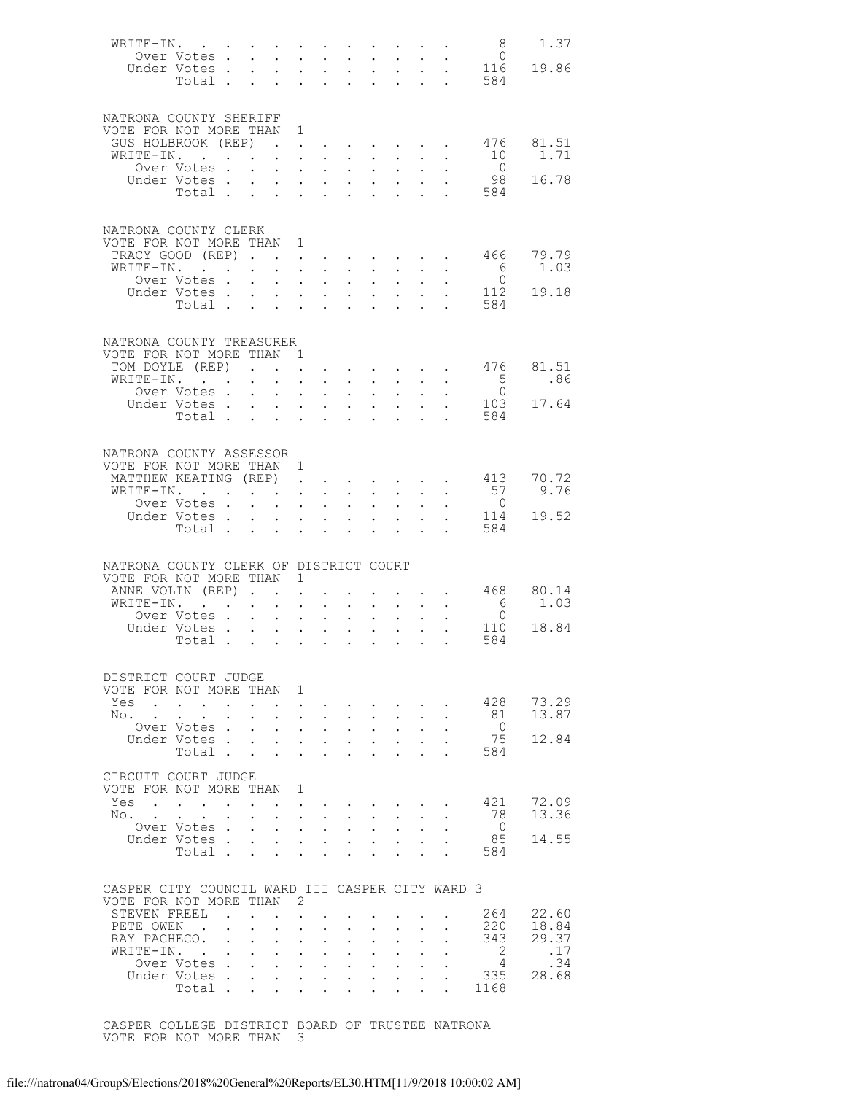|                                                 |                                      |                      |                                                                               |                                                    |                                                               |                      |                                                                                                                                                                                                                                                                                                                                                                                                                                                            |                                                                  |                                                                     |                       |                                                                                                                                                                                                                                                                                                                                                                                                                                     | 8                                    | 1.37       |
|-------------------------------------------------|--------------------------------------|----------------------|-------------------------------------------------------------------------------|----------------------------------------------------|---------------------------------------------------------------|----------------------|------------------------------------------------------------------------------------------------------------------------------------------------------------------------------------------------------------------------------------------------------------------------------------------------------------------------------------------------------------------------------------------------------------------------------------------------------------|------------------------------------------------------------------|---------------------------------------------------------------------|-----------------------|-------------------------------------------------------------------------------------------------------------------------------------------------------------------------------------------------------------------------------------------------------------------------------------------------------------------------------------------------------------------------------------------------------------------------------------|--------------------------------------|------------|
|                                                 | Over Votes                           |                      |                                                                               | $\sim$                                             |                                                               |                      | $\mathbf{1} \qquad \mathbf{1} \qquad \mathbf{1} \qquad \mathbf{1} \qquad \mathbf{1} \qquad \mathbf{1} \qquad \mathbf{1} \qquad \mathbf{1} \qquad \mathbf{1} \qquad \mathbf{1} \qquad \mathbf{1} \qquad \mathbf{1} \qquad \mathbf{1} \qquad \mathbf{1} \qquad \mathbf{1} \qquad \mathbf{1} \qquad \mathbf{1} \qquad \mathbf{1} \qquad \mathbf{1} \qquad \mathbf{1} \qquad \mathbf{1} \qquad \mathbf{1} \qquad \mathbf{1} \qquad \mathbf{1} \qquad \mathbf{$ |                                                                  |                                                                     |                       |                                                                                                                                                                                                                                                                                                                                                                                                                                     | $\overline{0}$                       |            |
|                                                 | Under Votes.<br>Total                |                      |                                                                               | $\mathbf{z} = \mathbf{z} + \mathbf{z}$ .           |                                                               |                      |                                                                                                                                                                                                                                                                                                                                                                                                                                                            |                                                                  |                                                                     |                       | $\begin{array}{cccccccccc} \mathbf{1} & \mathbf{1} & \mathbf{1} & \mathbf{1} & \mathbf{1} & \mathbf{1} & \mathbf{1} & \mathbf{1} & \mathbf{1} & \mathbf{1} & \mathbf{1} & \mathbf{1} & \mathbf{1} & \mathbf{1} & \mathbf{1} & \mathbf{1} & \mathbf{1} & \mathbf{1} & \mathbf{1} & \mathbf{1} & \mathbf{1} & \mathbf{1} & \mathbf{1} & \mathbf{1} & \mathbf{1} & \mathbf{1} & \mathbf{1} & \mathbf{1} & \mathbf{1} & \mathbf{1} & \$ | 116<br>584                           | 19.86      |
|                                                 |                                      |                      |                                                                               |                                                    |                                                               |                      |                                                                                                                                                                                                                                                                                                                                                                                                                                                            |                                                                  |                                                                     |                       |                                                                                                                                                                                                                                                                                                                                                                                                                                     |                                      |            |
|                                                 |                                      |                      |                                                                               |                                                    |                                                               |                      |                                                                                                                                                                                                                                                                                                                                                                                                                                                            |                                                                  |                                                                     |                       |                                                                                                                                                                                                                                                                                                                                                                                                                                     |                                      |            |
| NATRONA COUNTY SHERIFF                          |                                      |                      |                                                                               |                                                    |                                                               |                      |                                                                                                                                                                                                                                                                                                                                                                                                                                                            |                                                                  |                                                                     |                       |                                                                                                                                                                                                                                                                                                                                                                                                                                     |                                      |            |
| VOTE FOR NOT MORE THAN 1                        |                                      |                      |                                                                               |                                                    |                                                               |                      |                                                                                                                                                                                                                                                                                                                                                                                                                                                            |                                                                  |                                                                     |                       |                                                                                                                                                                                                                                                                                                                                                                                                                                     |                                      |            |
| GUS HOLBROOK (REP)                              |                                      |                      |                                                                               | $\sim$ $\sim$                                      |                                                               |                      | $\mathbf{u} = \mathbf{u} + \mathbf{u} + \mathbf{u} + \mathbf{u} + \mathbf{u} + \mathbf{u} + \mathbf{u}$                                                                                                                                                                                                                                                                                                                                                    |                                                                  |                                                                     |                       |                                                                                                                                                                                                                                                                                                                                                                                                                                     | 476                                  | 81.51      |
| WRITE-IN.                                       |                                      |                      |                                                                               |                                                    | $\mathbf{L}^{\text{max}}$ , and $\mathbf{L}^{\text{max}}$     |                      | $\sim$ $\sim$                                                                                                                                                                                                                                                                                                                                                                                                                                              | $\ddot{\phantom{0}}$                                             | $\sim$ $-$                                                          |                       |                                                                                                                                                                                                                                                                                                                                                                                                                                     | 10                                   | 1.71       |
|                                                 | Over Votes.<br>Under Votes.          |                      | $\ddot{\phantom{0}}$                                                          | $\mathbf{a} = \mathbf{a}$                          | $\mathbf{A}^{(1)}$ and $\mathbf{A}^{(2)}$ and                 |                      |                                                                                                                                                                                                                                                                                                                                                                                                                                                            | $\mathbf{u} = \mathbf{u} \mathbf{u} + \mathbf{u} \mathbf{u}$     |                                                                     |                       | $\mathbf{A}^{(1)}$ and $\mathbf{A}^{(2)}$                                                                                                                                                                                                                                                                                                                                                                                           | $\bigcirc$<br>98                     | 16.78      |
|                                                 | Total                                |                      | $\mathbf{L}$                                                                  | $\sim$                                             | $\mathbf{L}$ and $\mathbf{L}$                                 |                      | $\mathbf{r} = \mathbf{r} + \mathbf{r}$<br>$\sim$                                                                                                                                                                                                                                                                                                                                                                                                           | $\ddot{\phantom{0}}$                                             | $\mathbf{1}=\mathbf{1}=\mathbf{1}=\mathbf{1}=\mathbf{1}=\mathbf{1}$ |                       |                                                                                                                                                                                                                                                                                                                                                                                                                                     | . 584                                |            |
|                                                 |                                      |                      |                                                                               |                                                    |                                                               |                      |                                                                                                                                                                                                                                                                                                                                                                                                                                                            |                                                                  |                                                                     |                       |                                                                                                                                                                                                                                                                                                                                                                                                                                     |                                      |            |
|                                                 |                                      |                      |                                                                               |                                                    |                                                               |                      |                                                                                                                                                                                                                                                                                                                                                                                                                                                            |                                                                  |                                                                     |                       |                                                                                                                                                                                                                                                                                                                                                                                                                                     |                                      |            |
| NATRONA COUNTY CLERK                            |                                      |                      |                                                                               |                                                    |                                                               |                      |                                                                                                                                                                                                                                                                                                                                                                                                                                                            |                                                                  |                                                                     |                       |                                                                                                                                                                                                                                                                                                                                                                                                                                     |                                      |            |
| VOTE FOR NOT MORE THAN 1                        |                                      |                      |                                                                               |                                                    |                                                               |                      |                                                                                                                                                                                                                                                                                                                                                                                                                                                            |                                                                  |                                                                     |                       |                                                                                                                                                                                                                                                                                                                                                                                                                                     |                                      |            |
| TRACY GOOD (REP)                                |                                      |                      |                                                                               |                                                    |                                                               |                      | $\mathbf{r} = \mathbf{r} + \mathbf{r}$ .                                                                                                                                                                                                                                                                                                                                                                                                                   |                                                                  |                                                                     |                       |                                                                                                                                                                                                                                                                                                                                                                                                                                     |                                      | 466 79.79  |
| WRITE-IN. .                                     |                                      |                      | $\mathbf{r} = \mathbf{r} + \mathbf{r} + \mathbf{r} + \mathbf{r} + \mathbf{r}$ |                                                    |                                                               |                      |                                                                                                                                                                                                                                                                                                                                                                                                                                                            | $\mathbf{A}^{(n)}$ and $\mathbf{A}^{(n)}$ and $\mathbf{A}^{(n)}$ |                                                                     |                       | $\mathbf{z} = \mathbf{z} + \mathbf{z}$                                                                                                                                                                                                                                                                                                                                                                                              | 6<br>$\overline{0}$                  | 1.03       |
|                                                 | Over Votes.<br>Under Votes.          |                      | $\ddot{\phantom{a}}$                                                          | $\mathbf{L}$                                       |                                                               |                      | $\mathbf{r}$ , $\mathbf{r}$ , $\mathbf{r}$                                                                                                                                                                                                                                                                                                                                                                                                                 | $\ddot{\phantom{a}}$                                             |                                                                     |                       |                                                                                                                                                                                                                                                                                                                                                                                                                                     | 112                                  | 19.18      |
|                                                 | Total .                              |                      | $\mathbf{L}^{\text{max}}$                                                     | $\sim$ $-$<br>$\mathbf{r} = \mathbf{r}$            | $\mathbf{A}^{(1)}$ and $\mathbf{A}^{(2)}$ and<br>$\mathbf{L}$ |                      | $\mathbf{r} = \mathbf{r}$                                                                                                                                                                                                                                                                                                                                                                                                                                  | <b>All Andrew</b>                                                | $\mathbf{L}^{\text{max}}$                                           | $\sim 10^{-10}$       |                                                                                                                                                                                                                                                                                                                                                                                                                                     | 584                                  |            |
|                                                 |                                      |                      |                                                                               |                                                    |                                                               |                      |                                                                                                                                                                                                                                                                                                                                                                                                                                                            |                                                                  |                                                                     |                       |                                                                                                                                                                                                                                                                                                                                                                                                                                     |                                      |            |
|                                                 |                                      |                      |                                                                               |                                                    |                                                               |                      |                                                                                                                                                                                                                                                                                                                                                                                                                                                            |                                                                  |                                                                     |                       |                                                                                                                                                                                                                                                                                                                                                                                                                                     |                                      |            |
| NATRONA COUNTY TREASURER                        |                                      |                      |                                                                               |                                                    |                                                               |                      |                                                                                                                                                                                                                                                                                                                                                                                                                                                            |                                                                  |                                                                     |                       |                                                                                                                                                                                                                                                                                                                                                                                                                                     |                                      |            |
| VOTE FOR NOT MORE THAN 1                        |                                      |                      |                                                                               |                                                    |                                                               |                      |                                                                                                                                                                                                                                                                                                                                                                                                                                                            |                                                                  |                                                                     |                       |                                                                                                                                                                                                                                                                                                                                                                                                                                     |                                      |            |
| TOM DOYLE (REP)                                 |                                      |                      | $\ddot{\phantom{a}}$                                                          | $\mathbf{L}^{\text{max}}$                          |                                                               |                      | $\mathbf{u} = \mathbf{u} + \mathbf{u} + \mathbf{u} + \mathbf{u} + \mathbf{u} + \mathbf{u} + \mathbf{u} + \mathbf{u}$                                                                                                                                                                                                                                                                                                                                       |                                                                  |                                                                     |                       |                                                                                                                                                                                                                                                                                                                                                                                                                                     | 476                                  | 81.51      |
| WRITE-IN.                                       |                                      |                      | $\ddot{\phantom{0}}$                                                          | $\sim$                                             |                                                               |                      | $\mathbf{r}$ and $\mathbf{r}$ and $\mathbf{r}$                                                                                                                                                                                                                                                                                                                                                                                                             | $\bullet$ .                                                      |                                                                     |                       |                                                                                                                                                                                                                                                                                                                                                                                                                                     | 5 <sup>5</sup>                       | .86        |
|                                                 | Over Votes .                         |                      | $\ddot{\phantom{0}}$                                                          | $\sim$ $-$                                         | $\mathbf{z} = \mathbf{z} + \mathbf{z}$ .                      |                      | $\mathcal{L}^{\text{max}}$                                                                                                                                                                                                                                                                                                                                                                                                                                 | $\mathcal{L}^{\text{max}}$                                       |                                                                     |                       |                                                                                                                                                                                                                                                                                                                                                                                                                                     | $\bigcirc$<br>103                    |            |
|                                                 | Under Votes.<br>Total .              |                      | $\mathbf{L}$                                                                  | $\sim$<br>$\mathbf{z} = \mathbf{z} + \mathbf{z}$ . | $\sim$                                                        | $\ddot{\phantom{0}}$ | $\mathbf{r} = \mathbf{r}$ and $\mathbf{r} = \mathbf{r}$<br>$\sim$                                                                                                                                                                                                                                                                                                                                                                                          | $\ddot{\phantom{a}}$                                             | $\mathbf{L} = \mathbf{L} \mathbf{L}$                                |                       |                                                                                                                                                                                                                                                                                                                                                                                                                                     | 584                                  | 17.64      |
|                                                 |                                      |                      |                                                                               |                                                    |                                                               |                      |                                                                                                                                                                                                                                                                                                                                                                                                                                                            |                                                                  |                                                                     |                       |                                                                                                                                                                                                                                                                                                                                                                                                                                     |                                      |            |
|                                                 |                                      |                      |                                                                               |                                                    |                                                               |                      |                                                                                                                                                                                                                                                                                                                                                                                                                                                            |                                                                  |                                                                     |                       |                                                                                                                                                                                                                                                                                                                                                                                                                                     |                                      |            |
| NATRONA COUNTY ASSESSOR                         |                                      |                      |                                                                               |                                                    |                                                               |                      |                                                                                                                                                                                                                                                                                                                                                                                                                                                            |                                                                  |                                                                     |                       |                                                                                                                                                                                                                                                                                                                                                                                                                                     |                                      |            |
| VOTE FOR NOT MORE THAN 1                        |                                      |                      |                                                                               |                                                    |                                                               |                      |                                                                                                                                                                                                                                                                                                                                                                                                                                                            |                                                                  |                                                                     |                       |                                                                                                                                                                                                                                                                                                                                                                                                                                     |                                      |            |
| MATTHEW KEATING (REP)                           |                                      |                      |                                                                               |                                                    | $\mathbf{L}^{\text{max}}$ , $\mathbf{L}^{\text{max}}$         |                      |                                                                                                                                                                                                                                                                                                                                                                                                                                                            |                                                                  |                                                                     |                       |                                                                                                                                                                                                                                                                                                                                                                                                                                     | 413                                  | 70.72      |
| WRITE-IN. .                                     |                                      |                      |                                                                               | $\mathbf{z} = \mathbf{z} + \mathbf{z}$ .           | $\mathbf{u} = \mathbf{u} \cdot \mathbf{u}$ .                  |                      |                                                                                                                                                                                                                                                                                                                                                                                                                                                            | $\mathbf{A}^{\text{max}}$ , and $\mathbf{A}^{\text{max}}$        |                                                                     |                       | $\mathbf{L}^{\text{max}}$ , $\mathbf{L}^{\text{max}}$                                                                                                                                                                                                                                                                                                                                                                               | 57                                   | 9.76       |
|                                                 | Over Votes.                          |                      | $\ddot{\phantom{a}}$                                                          | $\sim$                                             |                                                               |                      | $\cdot$ $\cdot$ $\cdot$ $\cdot$                                                                                                                                                                                                                                                                                                                                                                                                                            | $\ddot{\phantom{a}}$                                             | $\sim$                                                              |                       |                                                                                                                                                                                                                                                                                                                                                                                                                                     | $\overline{0}$                       |            |
|                                                 | Under Votes<br>Total                 |                      |                                                                               |                                                    |                                                               |                      |                                                                                                                                                                                                                                                                                                                                                                                                                                                            |                                                                  |                                                                     | $\bullet$ . $\bullet$ |                                                                                                                                                                                                                                                                                                                                                                                                                                     | 114<br>584                           | 19.52      |
|                                                 |                                      |                      |                                                                               |                                                    |                                                               |                      |                                                                                                                                                                                                                                                                                                                                                                                                                                                            |                                                                  |                                                                     |                       |                                                                                                                                                                                                                                                                                                                                                                                                                                     |                                      |            |
|                                                 |                                      |                      |                                                                               |                                                    |                                                               |                      |                                                                                                                                                                                                                                                                                                                                                                                                                                                            |                                                                  |                                                                     |                       |                                                                                                                                                                                                                                                                                                                                                                                                                                     |                                      |            |
| NATRONA COUNTY CLERK OF DISTRICT COURT          |                                      |                      |                                                                               |                                                    |                                                               |                      |                                                                                                                                                                                                                                                                                                                                                                                                                                                            |                                                                  |                                                                     |                       |                                                                                                                                                                                                                                                                                                                                                                                                                                     |                                      |            |
| VOTE FOR NOT MORE THAN 1                        |                                      |                      |                                                                               |                                                    |                                                               |                      |                                                                                                                                                                                                                                                                                                                                                                                                                                                            |                                                                  |                                                                     |                       |                                                                                                                                                                                                                                                                                                                                                                                                                                     |                                      |            |
| ANNE VOLIN (REP).                               |                                      |                      |                                                                               | $\sim$ $-$                                         | $\ddot{\phantom{a}}$                                          |                      |                                                                                                                                                                                                                                                                                                                                                                                                                                                            |                                                                  |                                                                     |                       | $\mathbf{z} = \mathbf{z} + \mathbf{z}$                                                                                                                                                                                                                                                                                                                                                                                              | 468                                  | 80.14      |
| WRITE-IN.                                       |                                      |                      |                                                                               | $\sim$                                             | $\ddot{\phantom{a}}$                                          | $\sim$               | $\ddot{\phantom{0}}$                                                                                                                                                                                                                                                                                                                                                                                                                                       | $\ddot{\phantom{0}}$                                             |                                                                     |                       |                                                                                                                                                                                                                                                                                                                                                                                                                                     | $\begin{matrix} 6 \\ 0 \end{matrix}$ | 1.03       |
|                                                 | Over Votes .                         |                      | $\ddot{\phantom{0}}$                                                          | $\mathbf{L}^{\text{max}}$                          | $\mathbf{z} = \mathbf{z}$                                     | $\sim 10^{-10}$      | $\mathcal{L}^{\text{max}}$                                                                                                                                                                                                                                                                                                                                                                                                                                 | $\bullet$ .                                                      | $\mathbf{L}^{\text{max}}$                                           |                       |                                                                                                                                                                                                                                                                                                                                                                                                                                     | 110                                  |            |
|                                                 | Under Votes.<br>Total                |                      | $\mathbf{L}$                                                                  | $\mathbf{L}$                                       | $\mathbf{L} = \mathbf{L}$                                     |                      | $\ddot{\phantom{0}}$                                                                                                                                                                                                                                                                                                                                                                                                                                       | $\ddot{\phantom{a}}$                                             |                                                                     |                       |                                                                                                                                                                                                                                                                                                                                                                                                                                     | 584                                  | 18.84      |
|                                                 |                                      |                      |                                                                               | $\mathbf{L}^{\text{max}}$                          | $\mathbf{z} = \mathbf{z} + \mathbf{z}$ .                      |                      | $\sim$ 100 $\pm$                                                                                                                                                                                                                                                                                                                                                                                                                                           | $\ddot{\phantom{0}}$                                             | $\ddot{\phantom{0}}$                                                |                       | $\mathbf{L} = \mathbf{L} \mathbf{L}$                                                                                                                                                                                                                                                                                                                                                                                                |                                      |            |
|                                                 |                                      |                      |                                                                               |                                                    |                                                               |                      |                                                                                                                                                                                                                                                                                                                                                                                                                                                            |                                                                  |                                                                     |                       |                                                                                                                                                                                                                                                                                                                                                                                                                                     |                                      |            |
| DISTRICT COURT JUDGE                            |                                      |                      |                                                                               |                                                    |                                                               |                      |                                                                                                                                                                                                                                                                                                                                                                                                                                                            |                                                                  |                                                                     |                       |                                                                                                                                                                                                                                                                                                                                                                                                                                     |                                      |            |
| VOTE FOR NOT MORE THAN 1                        |                                      |                      |                                                                               |                                                    |                                                               |                      |                                                                                                                                                                                                                                                                                                                                                                                                                                                            |                                                                  |                                                                     |                       |                                                                                                                                                                                                                                                                                                                                                                                                                                     |                                      |            |
| Yes                                             |                                      |                      |                                                                               |                                                    |                                                               |                      |                                                                                                                                                                                                                                                                                                                                                                                                                                                            |                                                                  |                                                                     |                       |                                                                                                                                                                                                                                                                                                                                                                                                                                     | 428                                  | 73.29      |
| No.                                             |                                      |                      |                                                                               | $\ddot{\phantom{0}}$                               | $\mathbf{L}$ and $\mathbf{L}$                                 |                      |                                                                                                                                                                                                                                                                                                                                                                                                                                                            | $\mathbf{u} = \mathbf{u} \cdot \mathbf{u}$ .                     | $\sim 10^{-11}$                                                     |                       |                                                                                                                                                                                                                                                                                                                                                                                                                                     | 81                                   | 13.87      |
|                                                 | Over Votes.                          |                      | $\mathbf{r}$                                                                  | $\mathbf{L}$                                       | $\ddot{\phantom{0}}$                                          | $\sim$ $\sim$        | $\mathbf{L}$                                                                                                                                                                                                                                                                                                                                                                                                                                               | $\ddot{\phantom{a}}$                                             | $\sim$                                                              |                       |                                                                                                                                                                                                                                                                                                                                                                                                                                     | $\overline{0}$                       |            |
|                                                 | Under Votes.<br>Total.               |                      | $\bullet$ .<br>$\mathbf{L}$                                                   | $\mathbf{L}^{\text{max}}$<br>$\mathbf{r}$          | $\mathbf{L}^{\text{max}}$<br>$\mathbf{r}$                     | $\sim$ $-$           | $\mathcal{L}^{\text{max}}$                                                                                                                                                                                                                                                                                                                                                                                                                                 | $\mathbf{L}^{\text{max}}$                                        | $\ddot{\phantom{0}}$                                                |                       |                                                                                                                                                                                                                                                                                                                                                                                                                                     | 75<br>584                            | 12.84      |
|                                                 |                                      |                      |                                                                               |                                                    |                                                               |                      |                                                                                                                                                                                                                                                                                                                                                                                                                                                            |                                                                  |                                                                     |                       |                                                                                                                                                                                                                                                                                                                                                                                                                                     |                                      |            |
| CIRCUIT COURT JUDGE                             |                                      |                      |                                                                               |                                                    |                                                               |                      |                                                                                                                                                                                                                                                                                                                                                                                                                                                            |                                                                  |                                                                     |                       |                                                                                                                                                                                                                                                                                                                                                                                                                                     |                                      |            |
| VOTE FOR NOT MORE THAN 1                        |                                      |                      |                                                                               |                                                    |                                                               |                      |                                                                                                                                                                                                                                                                                                                                                                                                                                                            |                                                                  |                                                                     |                       |                                                                                                                                                                                                                                                                                                                                                                                                                                     |                                      |            |
| Yes                                             |                                      |                      |                                                                               |                                                    |                                                               |                      |                                                                                                                                                                                                                                                                                                                                                                                                                                                            |                                                                  |                                                                     |                       |                                                                                                                                                                                                                                                                                                                                                                                                                                     | 421                                  | 72.09      |
| No. .                                           | $\mathbf{L} = \mathbf{L} \mathbf{L}$ |                      | $\ddot{\phantom{0}}$                                                          | $\mathbf{L}^{\text{max}}$                          | $\mathbf{L}^{\text{max}}$ , $\mathbf{L}^{\text{max}}$         |                      | $\mathcal{L}^{\text{max}}$                                                                                                                                                                                                                                                                                                                                                                                                                                 | $\mathbf{L}^{\text{max}}$                                        | $\mathbf{L}^{\text{max}}$                                           |                       |                                                                                                                                                                                                                                                                                                                                                                                                                                     | 78                                   | 13.36      |
|                                                 | Over Votes.                          |                      | $\mathbf{r}$                                                                  | $\mathbf{L}$                                       | $\ddot{\phantom{0}}$                                          | $\sim$ $\sim$        | $\sim$                                                                                                                                                                                                                                                                                                                                                                                                                                                     | $\ddot{\phantom{0}}$                                             | $\ddot{\phantom{0}}$                                                |                       |                                                                                                                                                                                                                                                                                                                                                                                                                                     | $\bigcirc$                           |            |
|                                                 | Under Votes .                        |                      | $\ddot{\phantom{0}}$                                                          | $\sim$ $-$                                         | $\mathbf{L}^{\text{max}}$                                     | $\sim$ $-$           | $\mathbf{A}^{\text{max}}$                                                                                                                                                                                                                                                                                                                                                                                                                                  | $\mathcal{L}^{\pm}$                                              | $\ddot{\phantom{0}}$                                                |                       |                                                                                                                                                                                                                                                                                                                                                                                                                                     | 85                                   | 14.55      |
|                                                 | Total .                              |                      |                                                                               | $\mathbf{r} = \mathbf{r}$                          | $\mathbf{L} = \mathbf{L}$                                     |                      |                                                                                                                                                                                                                                                                                                                                                                                                                                                            |                                                                  |                                                                     |                       |                                                                                                                                                                                                                                                                                                                                                                                                                                     | 584                                  |            |
|                                                 |                                      |                      |                                                                               |                                                    |                                                               |                      |                                                                                                                                                                                                                                                                                                                                                                                                                                                            |                                                                  |                                                                     |                       |                                                                                                                                                                                                                                                                                                                                                                                                                                     |                                      |            |
| CASPER CITY COUNCIL WARD III CASPER CITY WARD 3 |                                      |                      |                                                                               |                                                    |                                                               |                      |                                                                                                                                                                                                                                                                                                                                                                                                                                                            |                                                                  |                                                                     |                       |                                                                                                                                                                                                                                                                                                                                                                                                                                     |                                      |            |
| VOTE FOR NOT MORE THAN 2                        |                                      |                      |                                                                               |                                                    |                                                               |                      |                                                                                                                                                                                                                                                                                                                                                                                                                                                            |                                                                  |                                                                     |                       |                                                                                                                                                                                                                                                                                                                                                                                                                                     |                                      |            |
| STEVEN FREEL                                    |                                      |                      |                                                                               |                                                    |                                                               |                      |                                                                                                                                                                                                                                                                                                                                                                                                                                                            |                                                                  |                                                                     |                       |                                                                                                                                                                                                                                                                                                                                                                                                                                     | 264                                  | 22.60      |
| PETE OWEN.                                      |                                      |                      |                                                                               | $\ddot{\phantom{0}}$                               | $\ddot{\phantom{a}}$                                          | $\ddot{\phantom{0}}$ |                                                                                                                                                                                                                                                                                                                                                                                                                                                            |                                                                  |                                                                     |                       |                                                                                                                                                                                                                                                                                                                                                                                                                                     | 220                                  | 18.84      |
| RAY PACHECO.                                    |                                      | $\ddot{\phantom{a}}$ | $\ddot{\phantom{0}}$                                                          | $\mathbf{L}^{\text{max}}$                          | $\bullet$                                                     | $\ddot{\phantom{0}}$ | $\ddot{\phantom{0}}$                                                                                                                                                                                                                                                                                                                                                                                                                                       | $\ddot{\phantom{0}}$                                             | $\ddot{\phantom{0}}$                                                |                       |                                                                                                                                                                                                                                                                                                                                                                                                                                     | 343                                  | 29.37      |
| WRITE-IN. .                                     |                                      |                      |                                                                               | $\ddot{\phantom{0}}$                               | $\ddot{\phantom{a}}$                                          | $\ddot{\phantom{0}}$ |                                                                                                                                                                                                                                                                                                                                                                                                                                                            |                                                                  |                                                                     |                       |                                                                                                                                                                                                                                                                                                                                                                                                                                     | $\overline{2}$<br>$\overline{4}$     | .17<br>.34 |
|                                                 | Over Votes .<br>Under Votes.         |                      | $\ddot{\phantom{a}}$<br>$\mathbf{L}$                                          | $\mathbf{L}^{\text{max}}$<br>$\sim$                | $\mathcal{L}^{\mathcal{L}}$<br>$\ddot{\phantom{a}}$           | $\ddot{\phantom{0}}$ | $\ddot{\phantom{0}}$                                                                                                                                                                                                                                                                                                                                                                                                                                       | $\ddot{\phantom{a}}$                                             | $\ddot{\phantom{0}}$                                                |                       |                                                                                                                                                                                                                                                                                                                                                                                                                                     | 335                                  | 28.68      |
|                                                 | Total .                              |                      | $\mathbf{L}$                                                                  | $\ddot{\phantom{0}}$                               | $\ddot{\phantom{0}}$                                          | $\ddot{\phantom{0}}$ | $\ddot{\phantom{0}}$                                                                                                                                                                                                                                                                                                                                                                                                                                       |                                                                  | $\ddot{\phantom{0}}$                                                |                       |                                                                                                                                                                                                                                                                                                                                                                                                                                     | 1168                                 |            |
|                                                 |                                      |                      |                                                                               |                                                    |                                                               |                      |                                                                                                                                                                                                                                                                                                                                                                                                                                                            |                                                                  |                                                                     |                       |                                                                                                                                                                                                                                                                                                                                                                                                                                     |                                      |            |

 CASPER COLLEGE DISTRICT BOARD OF TRUSTEE NATRONA VOTE FOR NOT MORE THAN 3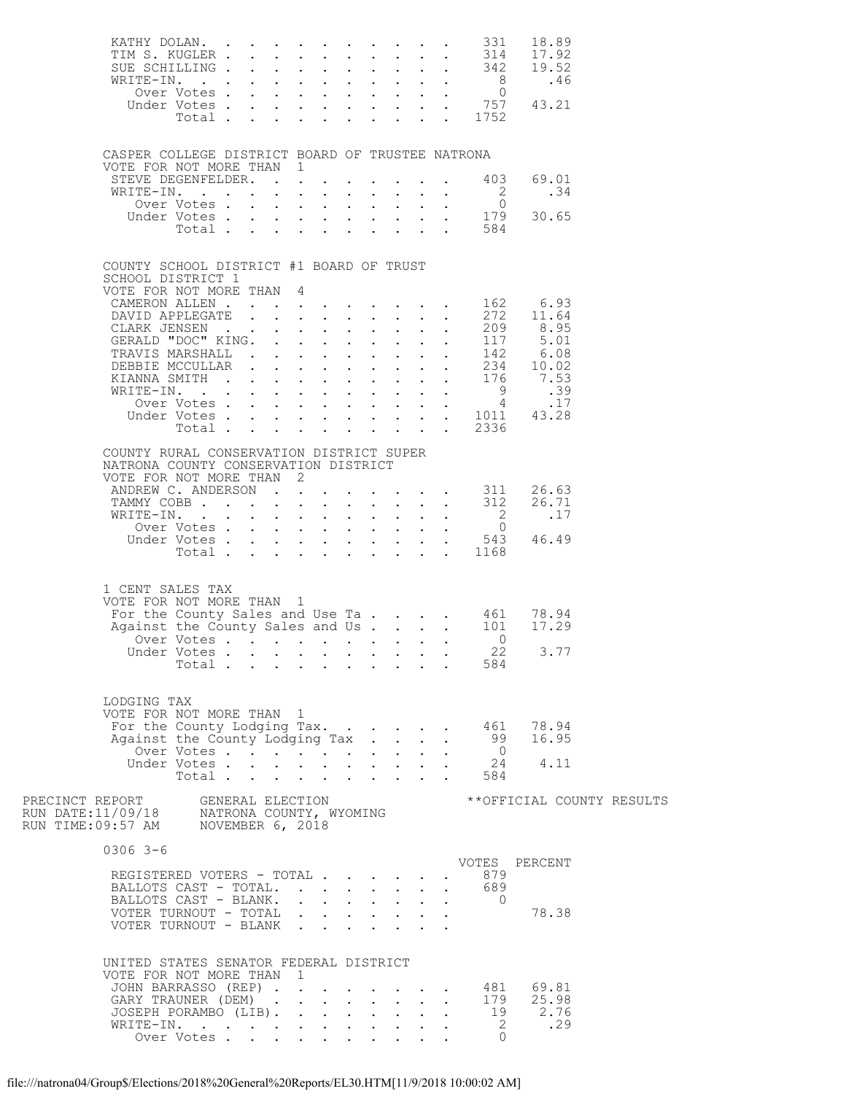|                                                                                                              |                               |  |              |                                             |                                      |                           |            |                                | XATHY DOLAN. 331 18.89<br>TIM S. KUGLER 314 17.92<br>SUE SCHILLING 8 .46<br>Over Votes 0<br>Under Votes |  |
|--------------------------------------------------------------------------------------------------------------|-------------------------------|--|--------------|---------------------------------------------|--------------------------------------|---------------------------|------------|--------------------------------|---------------------------------------------------------------------------------------------------------|--|
|                                                                                                              |                               |  |              |                                             |                                      |                           |            |                                |                                                                                                         |  |
| CASPER COLLEGE DISTRICT BOARD OF TRUSTEE NATRONA<br>VOTE FOR NOT MORE THAN 1                                 |                               |  |              |                                             |                                      |                           |            |                                |                                                                                                         |  |
|                                                                                                              |                               |  |              |                                             |                                      |                           |            |                                | STEVE DEGENFELDER. 403 69.01                                                                            |  |
|                                                                                                              |                               |  |              |                                             |                                      |                           |            |                                |                                                                                                         |  |
|                                                                                                              |                               |  |              |                                             |                                      |                           |            |                                |                                                                                                         |  |
| COUNTY SCHOOL DISTRICT #1 BOARD OF TRUST                                                                     |                               |  |              |                                             |                                      |                           |            |                                |                                                                                                         |  |
| SCHOOL DISTRICT 1<br>VOTE FOR NOT MORE THAN 4                                                                |                               |  |              |                                             |                                      |                           |            |                                |                                                                                                         |  |
|                                                                                                              |                               |  |              |                                             |                                      |                           |            |                                |                                                                                                         |  |
|                                                                                                              |                               |  |              |                                             |                                      |                           |            |                                |                                                                                                         |  |
|                                                                                                              |                               |  |              |                                             |                                      |                           |            |                                |                                                                                                         |  |
|                                                                                                              |                               |  |              |                                             |                                      |                           |            |                                |                                                                                                         |  |
|                                                                                                              |                               |  |              |                                             |                                      |                           |            |                                |                                                                                                         |  |
|                                                                                                              |                               |  |              |                                             |                                      |                           |            |                                |                                                                                                         |  |
|                                                                                                              |                               |  |              |                                             |                                      |                           |            |                                |                                                                                                         |  |
|                                                                                                              |                               |  |              |                                             |                                      |                           |            |                                |                                                                                                         |  |
|                                                                                                              |                               |  |              |                                             |                                      |                           |            |                                |                                                                                                         |  |
| COUNTY RURAL CONSERVATION DISTRICT SUPER<br>NATRONA COUNTY CONSERVATION DISTRICT<br>VOTE FOR NOT MORE THAN 2 |                               |  |              |                                             |                                      |                           |            |                                |                                                                                                         |  |
|                                                                                                              |                               |  |              |                                             |                                      |                           |            |                                |                                                                                                         |  |
|                                                                                                              |                               |  |              |                                             |                                      |                           |            |                                | ANDREW C. ANDERSON 311 26.63<br>TAMMY COBB 312 26.71                                                    |  |
|                                                                                                              |                               |  |              |                                             |                                      |                           |            |                                |                                                                                                         |  |
|                                                                                                              |                               |  |              |                                             |                                      |                           |            |                                | WRITE-IN. 2 .17<br>Over Votes 0<br>Under Votes 543 46.49<br>Total 1168                                  |  |
|                                                                                                              |                               |  |              |                                             |                                      |                           |            |                                |                                                                                                         |  |
|                                                                                                              |                               |  |              |                                             |                                      |                           |            |                                |                                                                                                         |  |
| 1 CENT SALES TAX<br>VOTE FOR NOT MORE THAN 1                                                                 |                               |  |              |                                             |                                      |                           |            |                                |                                                                                                         |  |
|                                                                                                              |                               |  |              |                                             |                                      |                           |            |                                |                                                                                                         |  |
|                                                                                                              |                               |  |              |                                             |                                      |                           |            |                                | For the County Sales and Use Ta 461 78.94<br>Against the County Sales and Us. 101 17.29                 |  |
|                                                                                                              |                               |  |              |                                             |                                      |                           |            | Over Votes 0<br>Inder Votes 22 |                                                                                                         |  |
|                                                                                                              | Under Votes<br>Total $\cdots$ |  |              |                                             |                                      |                           |            | 584                            | 3.77                                                                                                    |  |
|                                                                                                              |                               |  |              |                                             |                                      |                           |            |                                |                                                                                                         |  |
| LODGING TAX<br>VOTE FOR NOT MORE THAN 1                                                                      |                               |  |              |                                             |                                      |                           |            |                                |                                                                                                         |  |
|                                                                                                              |                               |  |              |                                             |                                      |                           |            |                                | For the County Lodging Tax 461 78.94<br>Against the County Lodging Tax 99 16.95<br>Over Votes 0         |  |
|                                                                                                              | Over Votes                    |  |              |                                             |                                      |                           |            |                                |                                                                                                         |  |
|                                                                                                              | Under Votes                   |  |              |                                             |                                      |                           |            |                                | $\frac{24}{584}$ 4.11                                                                                   |  |
|                                                                                                              | Total                         |  | $\mathbf{L}$ |                                             | $\mathbf{L} = \mathbf{L} \mathbf{L}$ | and a state               |            |                                |                                                                                                         |  |
|                                                                                                              |                               |  |              |                                             |                                      |                           |            |                                | **OFFICIAL COUNTY RESULTS                                                                               |  |
| $0306$ 3-6                                                                                                   |                               |  |              |                                             |                                      |                           |            |                                |                                                                                                         |  |
| REGISTERED VOTERS - TOTAL                                                                                    |                               |  |              |                                             |                                      |                           |            |                                | VOTES PERCENT                                                                                           |  |
| BALLOTS CAST - TOTAL.                                                                                        |                               |  |              |                                             |                                      |                           | $\sim$     | . 879<br>. 689                 |                                                                                                         |  |
| BALLOTS CAST - BLANK.                                                                                        |                               |  |              |                                             |                                      |                           |            | $\overline{0}$                 |                                                                                                         |  |
| VOTER TURNOUT - TOTAL                                                                                        |                               |  |              |                                             |                                      |                           | $\sim$ $-$ |                                | 78.38                                                                                                   |  |
| VOTER TURNOUT - BLANK                                                                                        |                               |  |              |                                             |                                      | $\mathbf{r} = \mathbf{r}$ |            |                                |                                                                                                         |  |
| UNITED STATES SENATOR FEDERAL DISTRICT                                                                       |                               |  |              |                                             |                                      |                           |            |                                |                                                                                                         |  |
| VOTE FOR NOT MORE THAN 1                                                                                     |                               |  |              |                                             |                                      |                           |            |                                |                                                                                                         |  |
|                                                                                                              |                               |  |              |                                             |                                      |                           |            |                                | JOHN BARRASSO (REP) 481 69.81<br>GARY TRAUNER (DEM) 179 25.98                                           |  |
| JOSEPH PORAMBO (LIB).                                                                                        |                               |  |              |                                             |                                      |                           |            | $\ddot{\phantom{0}}$           | $\begin{array}{cc} 19 & 2.76 \\ 2 & .29 \end{array}$                                                    |  |
| WRITE-IN.<br>Over Votes                                                                                      |                               |  |              | and a series of the series of the series of |                                      |                           |            |                                |                                                                                                         |  |
|                                                                                                              |                               |  |              |                                             |                                      |                           |            | $\overline{0}$                 |                                                                                                         |  |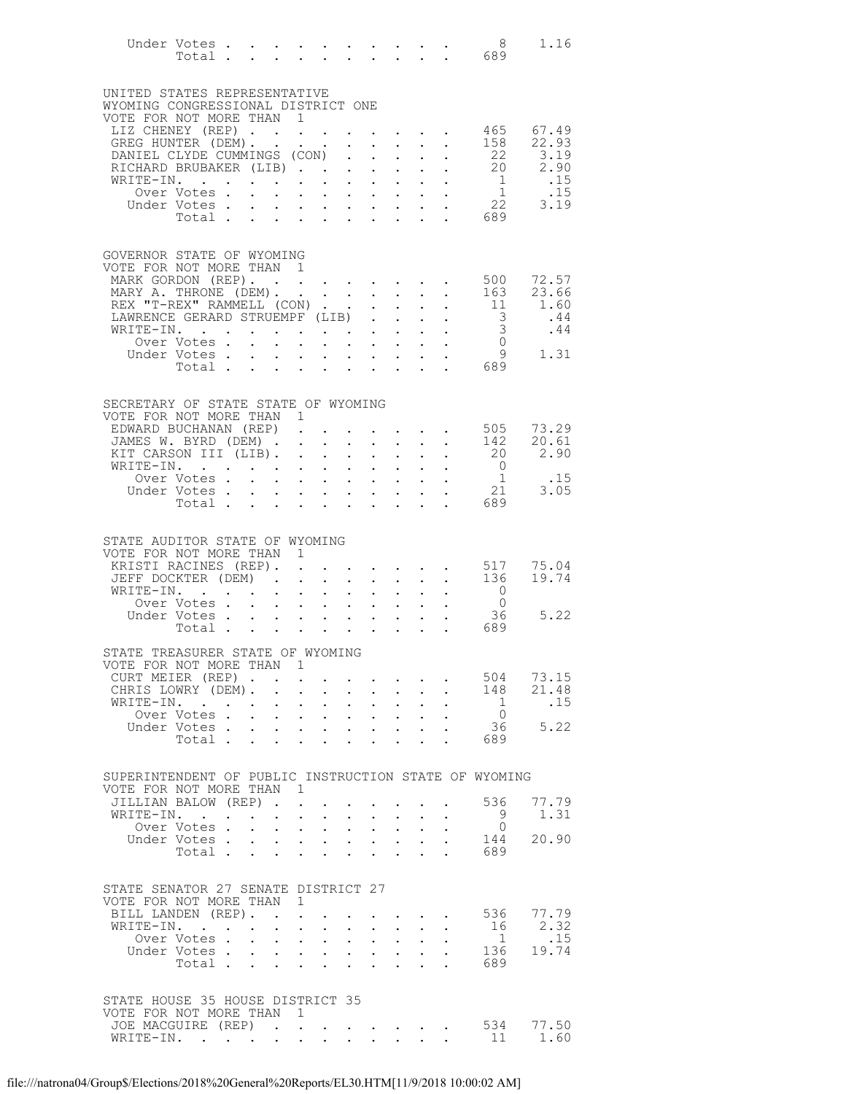|                                                                    |                                                                                              |                           |                                                                                           |                                                                                                 |                      |                                                                                                   |                                                           |                                                                                                                                                     |                                                         | 8 <sup>8</sup>                                     | 1.16                       |
|--------------------------------------------------------------------|----------------------------------------------------------------------------------------------|---------------------------|-------------------------------------------------------------------------------------------|-------------------------------------------------------------------------------------------------|----------------------|---------------------------------------------------------------------------------------------------|-----------------------------------------------------------|-----------------------------------------------------------------------------------------------------------------------------------------------------|---------------------------------------------------------|----------------------------------------------------|----------------------------|
| UNITED STATES REPRESENTATIVE<br>WYOMING CONGRESSIONAL DISTRICT ONE |                                                                                              |                           |                                                                                           |                                                                                                 |                      |                                                                                                   |                                                           |                                                                                                                                                     |                                                         |                                                    |                            |
| VOTE FOR NOT MORE THAN 1                                           |                                                                                              |                           |                                                                                           |                                                                                                 |                      |                                                                                                   |                                                           |                                                                                                                                                     |                                                         |                                                    |                            |
|                                                                    |                                                                                              |                           |                                                                                           |                                                                                                 |                      |                                                                                                   |                                                           |                                                                                                                                                     |                                                         |                                                    | LIZ CHENEY (REP) 465 67.49 |
| GREG HUNTER (DEM). .<br>DANIEL CLYDE CUMMINGS (CON)                |                                                                                              |                           |                                                                                           | $\mathcal{A}^{\mathcal{A}}$ , and $\mathcal{A}^{\mathcal{A}}$ , and $\mathcal{A}^{\mathcal{A}}$ |                      |                                                                                                   |                                                           | $\mathbf{r} = \mathbf{r} + \mathbf{r}$ , where $\mathbf{r} = \mathbf{r}$                                                                            | $\mathcal{L}^{\text{max}}$ , $\mathcal{L}^{\text{max}}$ | 158                                                | 22.93<br>22 3.19           |
| RICHARD BRUBAKER (LIB)                                             |                                                                                              |                           |                                                                                           |                                                                                                 |                      |                                                                                                   |                                                           |                                                                                                                                                     |                                                         |                                                    |                            |
| RICHARD BRUBAKER (LIB)<br>WRITE-IN.                                |                                                                                              |                           |                                                                                           |                                                                                                 |                      |                                                                                                   |                                                           |                                                                                                                                                     |                                                         |                                                    |                            |
|                                                                    |                                                                                              |                           |                                                                                           |                                                                                                 |                      |                                                                                                   |                                                           |                                                                                                                                                     |                                                         |                                                    |                            |
|                                                                    |                                                                                              |                           |                                                                                           |                                                                                                 |                      |                                                                                                   |                                                           |                                                                                                                                                     |                                                         |                                                    |                            |
|                                                                    |                                                                                              |                           |                                                                                           |                                                                                                 |                      |                                                                                                   |                                                           |                                                                                                                                                     |                                                         |                                                    |                            |
| GOVERNOR STATE OF WYOMING                                          |                                                                                              |                           |                                                                                           |                                                                                                 |                      |                                                                                                   |                                                           |                                                                                                                                                     |                                                         |                                                    |                            |
| VOTE FOR NOT MORE THAN 1                                           |                                                                                              |                           |                                                                                           |                                                                                                 |                      |                                                                                                   |                                                           |                                                                                                                                                     |                                                         |                                                    |                            |
| MARK GORDON (REP).<br>MARY A. THRONE (DEM).                        |                                                                                              |                           |                                                                                           |                                                                                                 |                      |                                                                                                   |                                                           | $\mathbf{r} = \mathbf{r} + \mathbf{r} + \mathbf{r} + \mathbf{r}$                                                                                    |                                                         | 500<br>163                                         | 72.57<br>23.66             |
| REX "T-REX" RAMMELL (CON)                                          |                                                                                              |                           |                                                                                           |                                                                                                 |                      |                                                                                                   | $\mathbf{A}$                                              |                                                                                                                                                     | $\ddot{\phantom{a}}$                                    | 11                                                 | 1.60                       |
| LAWRENCE GERARD STRUEMPF (LIB)                                     |                                                                                              |                           |                                                                                           |                                                                                                 |                      |                                                                                                   |                                                           |                                                                                                                                                     | $\frac{1}{2} \left( \frac{1}{2} \right)$                | $\begin{array}{c} 3 \\ 3 \end{array}$              | .44                        |
| WRITE-IN.                                                          | Over Votes .                                                                                 |                           |                                                                                           |                                                                                                 |                      | $\mathcal{A}=\mathcal{A}=\mathcal{A}=\mathcal{A}=\mathcal{A}=\mathcal{A}=\mathcal{A}=\mathcal{A}$ |                                                           |                                                                                                                                                     |                                                         | $\overline{0}$                                     | .44                        |
|                                                                    | Under Votes.                                                                                 | $\sim$<br>$\sim$          |                                                                                           |                                                                                                 |                      |                                                                                                   |                                                           |                                                                                                                                                     |                                                         |                                                    | 1.31                       |
|                                                                    | Total                                                                                        | $\sim$                    |                                                                                           |                                                                                                 |                      | $\mathbf{r}$ , $\mathbf{r}$ , $\mathbf{r}$ , $\mathbf{r}$ , $\mathbf{r}$                          |                                                           |                                                                                                                                                     |                                                         | $\begin{array}{c}\n0 \\ 9 \\ 689\n\end{array}$     |                            |
|                                                                    |                                                                                              |                           |                                                                                           |                                                                                                 |                      |                                                                                                   |                                                           |                                                                                                                                                     |                                                         |                                                    |                            |
| SECRETARY OF STATE STATE OF WYOMING                                |                                                                                              |                           |                                                                                           |                                                                                                 |                      |                                                                                                   |                                                           |                                                                                                                                                     |                                                         |                                                    |                            |
| VOTE FOR NOT MORE THAN 1                                           |                                                                                              |                           |                                                                                           |                                                                                                 |                      |                                                                                                   |                                                           |                                                                                                                                                     |                                                         |                                                    |                            |
| EDWARD BUCHANAN (REP) 505                                          | JAMES W. BYRD (DEM)                                                                          |                           |                                                                                           |                                                                                                 |                      |                                                                                                   |                                                           | $\mathbf{r}$ , $\mathbf{r}$ , $\mathbf{r}$                                                                                                          |                                                         | 142                                                | 73.29<br>20.61             |
| KIT CARSON III (LIB).                                              |                                                                                              |                           |                                                                                           |                                                                                                 |                      |                                                                                                   |                                                           |                                                                                                                                                     |                                                         | 20                                                 | 2.90                       |
| WRITE-IN.                                                          |                                                                                              |                           |                                                                                           |                                                                                                 | $\ddot{\phantom{0}}$ |                                                                                                   |                                                           | $\mathcal{L}^{\mathcal{A}}(\mathcal{A})$ , $\mathcal{L}^{\mathcal{A}}(\mathcal{A})$ , $\mathcal{L}^{\mathcal{A}}(\mathcal{A})$                      |                                                         | $\overline{0}$<br>$\begin{matrix}0\\1\end{matrix}$ |                            |
|                                                                    | Over Votes<br>Under Votes                                                                    |                           | $\mathbf{r} = \mathbf{r} + \mathbf{r} + \mathbf{r} + \mathbf{r}$                          |                                                                                                 |                      |                                                                                                   |                                                           |                                                                                                                                                     |                                                         | 21                                                 | .15<br>3.05                |
|                                                                    |                                                                                              |                           |                                                                                           |                                                                                                 |                      |                                                                                                   |                                                           | $\mathcal{L}^{\mathcal{A}}$ , $\mathcal{L}^{\mathcal{A}}$ , $\mathcal{L}^{\mathcal{A}}$ , $\mathcal{L}^{\mathcal{A}}$ , $\mathcal{L}^{\mathcal{A}}$ |                                                         | Total 689                                          |                            |
|                                                                    |                                                                                              |                           |                                                                                           |                                                                                                 |                      |                                                                                                   |                                                           |                                                                                                                                                     |                                                         |                                                    |                            |
| STATE AUDITOR STATE OF WYOMING                                     |                                                                                              |                           |                                                                                           |                                                                                                 |                      |                                                                                                   |                                                           |                                                                                                                                                     |                                                         |                                                    |                            |
| VOTE FOR NOT MORE THAN 1                                           |                                                                                              |                           |                                                                                           |                                                                                                 |                      |                                                                                                   |                                                           |                                                                                                                                                     |                                                         |                                                    |                            |
| KRISTI RACINES (REP). .                                            |                                                                                              |                           |                                                                                           |                                                                                                 |                      | $\mathbf{r}$ , $\mathbf{r}$ , $\mathbf{r}$ , $\mathbf{r}$ , $\mathbf{r}$ , $\mathbf{r}$           |                                                           |                                                                                                                                                     |                                                         | 517                                                | 75.04                      |
| JEFF DOCKTER (DEM) 136<br>WRITE-IN.                                |                                                                                              |                           |                                                                                           |                                                                                                 | $\bullet$ .          |                                                                                                   |                                                           | $\mathbf{z} = \mathbf{z} + \mathbf{z}$ , $\mathbf{z} = \mathbf{z}$                                                                                  |                                                         | $\overline{0}$                                     | 19.74                      |
|                                                                    | Over Votes                                                                                   |                           |                                                                                           |                                                                                                 |                      |                                                                                                   |                                                           |                                                                                                                                                     |                                                         | $\overline{0}$                                     |                            |
|                                                                    | Under Votes 36<br>Total 689                                                                  |                           |                                                                                           |                                                                                                 |                      |                                                                                                   |                                                           |                                                                                                                                                     |                                                         | 36                                                 | 5.22                       |
|                                                                    |                                                                                              |                           |                                                                                           |                                                                                                 |                      |                                                                                                   |                                                           |                                                                                                                                                     |                                                         |                                                    |                            |
| STATE TREASURER STATE OF WYOMING                                   |                                                                                              |                           |                                                                                           |                                                                                                 |                      |                                                                                                   |                                                           |                                                                                                                                                     |                                                         |                                                    |                            |
| VOTE FOR NOT MORE THAN 1                                           |                                                                                              |                           |                                                                                           |                                                                                                 |                      |                                                                                                   |                                                           |                                                                                                                                                     |                                                         |                                                    |                            |
| CURT MEIER (REP)<br>CHRIS LOWRY (DEM).                             |                                                                                              | $\ddot{\phantom{a}}$      | $\sim 10^{-11}$                                                                           | $\sim$                                                                                          | $\ddot{\phantom{0}}$ | $\mathbf{r}$ , and $\mathbf{r}$ , and $\mathbf{r}$ , and $\mathbf{r}$                             | $\cdot$ $\cdot$                                           | $\sim$                                                                                                                                              |                                                         | 504<br>148                                         | 73.15<br>21.48             |
| WRITE-IN.                                                          | $\mathcal{L}(\mathcal{A})$ , and $\mathcal{L}(\mathcal{A})$ , and $\mathcal{L}(\mathcal{A})$ |                           | $1 - 1 - 1 = 1 - 1$                                                                       |                                                                                                 |                      | $\sim 10^{-10}$<br>$\mathbf{L}^{\text{max}}$                                                      | $\mathbf{L}$                                              | $\mathbf{L}^{\text{max}}$                                                                                                                           |                                                         | $\overline{1}$                                     | .15                        |
|                                                                    | Over Votes.                                                                                  | $\sim$                    | $\mathbf{r}$ , $\mathbf{r}$ , $\mathbf{r}$                                                |                                                                                                 | $\ddot{\phantom{0}}$ |                                                                                                   | $\mathbf{L}^{\text{max}}$ , and $\mathbf{L}^{\text{max}}$ |                                                                                                                                                     |                                                         | $\overline{0}$                                     | 5.22                       |
|                                                                    | Under Votes<br>Total .                                                                       | $\mathbf{L}$              | $\ddot{\phantom{a}}$                                                                      | $\sim$                                                                                          | $\ddot{\phantom{0}}$ | $\ddot{\phantom{a}}$                                                                              |                                                           |                                                                                                                                                     |                                                         | 36<br>689                                          |                            |
|                                                                    |                                                                                              |                           |                                                                                           |                                                                                                 |                      |                                                                                                   |                                                           |                                                                                                                                                     |                                                         |                                                    |                            |
| SUPERINTENDENT OF PUBLIC INSTRUCTION STATE OF WYOMING              |                                                                                              |                           |                                                                                           |                                                                                                 |                      |                                                                                                   |                                                           |                                                                                                                                                     |                                                         |                                                    |                            |
| VOTE FOR NOT MORE THAN 1                                           |                                                                                              |                           |                                                                                           |                                                                                                 |                      |                                                                                                   |                                                           |                                                                                                                                                     |                                                         |                                                    |                            |
|                                                                    | JILLIAN BALOW (REP)                                                                          |                           |                                                                                           |                                                                                                 |                      |                                                                                                   |                                                           |                                                                                                                                                     |                                                         | 536                                                | 77.79                      |
|                                                                    | WRITE-IN.<br>Over Votes                                                                      | $\mathbf{L} = \mathbf{L}$ | $\sim$ $-$<br>$\mathbf{r}$ , $\mathbf{r}$ , $\mathbf{r}$ , $\mathbf{r}$ , $\mathbf{r}$    | $\sim$ $-$                                                                                      |                      | $\mathbf{L}^{\text{max}}$                                                                         |                                                           | $\mathbf{L}$                                                                                                                                        |                                                         | 9<br>$\circ$                                       | 1.31                       |
|                                                                    | Under Votes.                                                                                 | $\sim$                    |                                                                                           | <b>Contract Contract Contract</b>                                                               | $\bullet$ .          |                                                                                                   | $\mathbf{L}^{\text{max}}$ , $\mathbf{L}^{\text{max}}$     |                                                                                                                                                     |                                                         | 144                                                | 20.90                      |
|                                                                    | Total                                                                                        |                           |                                                                                           |                                                                                                 |                      |                                                                                                   |                                                           |                                                                                                                                                     | <b>Contract Contract Contract</b>                       | 689                                                |                            |
|                                                                    |                                                                                              |                           |                                                                                           |                                                                                                 |                      |                                                                                                   |                                                           |                                                                                                                                                     |                                                         |                                                    |                            |
| STATE SENATOR 27 SENATE DISTRICT 27                                |                                                                                              |                           |                                                                                           |                                                                                                 |                      |                                                                                                   |                                                           |                                                                                                                                                     |                                                         |                                                    |                            |
| VOTE FOR NOT MORE THAN 1<br>BILL LANDEN (REP). .                   |                                                                                              |                           | $\sim$ $-$                                                                                |                                                                                                 |                      |                                                                                                   |                                                           | $\cdot$ $\cdot$ $\cdot$ $\cdot$ $\cdot$                                                                                                             |                                                         | 536                                                | 77.79                      |
| WRITE-IN.                                                          | $\mathcal{L}(\mathbf{z})$ , and $\mathcal{L}(\mathbf{z})$ , and                              |                           | $\cdot$ $\cdot$ $\cdot$                                                                   | $\sim$                                                                                          |                      | $\cdot$ $\cdot$ $\cdot$ $\cdot$                                                                   |                                                           | $\mathbf{L}^{\text{max}}$                                                                                                                           |                                                         | 16                                                 | 2.32                       |
|                                                                    | Over Votes                                                                                   |                           | $\sim$ $-$                                                                                | $\sim$ 100 $\pm$                                                                                | $\ddot{\phantom{0}}$ |                                                                                                   | $\mathbf{z} = \mathbf{z} + \mathbf{z}$                    |                                                                                                                                                     |                                                         | $\mathbf{1}$                                       | .15                        |
|                                                                    | Under Votes<br>Total .                                                                       | $\sim$                    | $\mathbf{r}$ , $\mathbf{r}$ , $\mathbf{r}$ , $\mathbf{r}$ , $\mathbf{r}$<br>$\sim$ $\sim$ | $\sim$                                                                                          | $\ddot{\phantom{0}}$ |                                                                                                   |                                                           | $\mathbf{L}$                                                                                                                                        |                                                         | 136<br>689                                         | 19.74                      |
|                                                                    |                                                                                              |                           |                                                                                           |                                                                                                 |                      | $\ddot{\phantom{a}}$                                                                              |                                                           |                                                                                                                                                     |                                                         |                                                    |                            |
|                                                                    |                                                                                              |                           |                                                                                           |                                                                                                 |                      |                                                                                                   |                                                           |                                                                                                                                                     |                                                         |                                                    |                            |
| STATE HOUSE 35 HOUSE DISTRICT 35<br>VOTE FOR NOT MORE THAN 1       |                                                                                              |                           |                                                                                           |                                                                                                 |                      |                                                                                                   |                                                           |                                                                                                                                                     |                                                         |                                                    |                            |
| JOE MACGUIRE (REP)<br>WRITE-IN.                                    |                                                                                              |                           |                                                                                           |                                                                                                 |                      |                                                                                                   |                                                           |                                                                                                                                                     |                                                         | 534                                                | 77.50                      |
| WRITE-IN.                                                          |                                                                                              |                           |                                                                                           |                                                                                                 |                      |                                                                                                   |                                                           |                                                                                                                                                     |                                                         | 11                                                 | 1.60                       |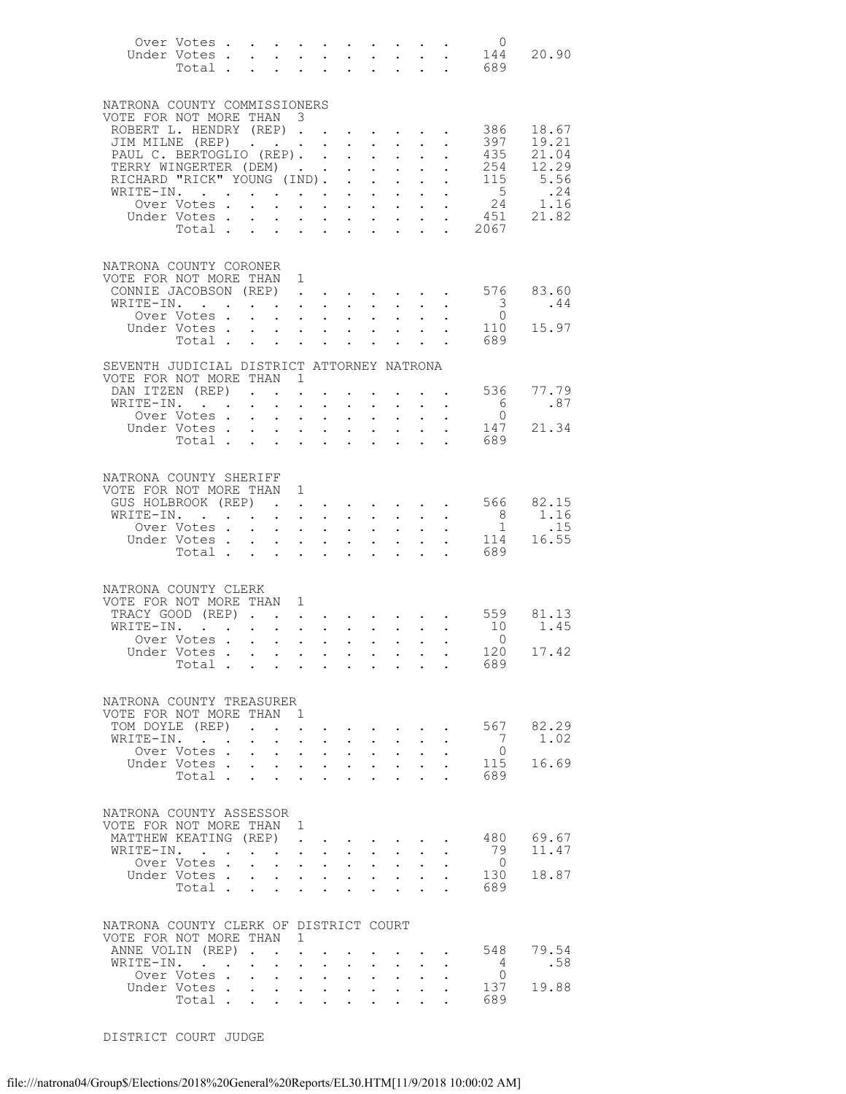|                                                                | Over Votes                                                                                                                          |                                                           |                                                                                            |                                                                                   |            |                                                                               |                                                           |                                                                                                                       |                            |                                                           | $\overline{0}$                            | 20.90          |
|----------------------------------------------------------------|-------------------------------------------------------------------------------------------------------------------------------------|-----------------------------------------------------------|--------------------------------------------------------------------------------------------|-----------------------------------------------------------------------------------|------------|-------------------------------------------------------------------------------|-----------------------------------------------------------|-----------------------------------------------------------------------------------------------------------------------|----------------------------|-----------------------------------------------------------|-------------------------------------------|----------------|
|                                                                |                                                                                                                                     |                                                           |                                                                                            |                                                                                   |            |                                                                               |                                                           |                                                                                                                       |                            |                                                           | Under Votes 144<br>Total 689              |                |
|                                                                |                                                                                                                                     |                                                           |                                                                                            |                                                                                   |            |                                                                               |                                                           |                                                                                                                       |                            |                                                           |                                           |                |
| NATRONA COUNTY COMMISSIONERS                                   |                                                                                                                                     |                                                           |                                                                                            |                                                                                   |            |                                                                               |                                                           |                                                                                                                       |                            |                                                           |                                           |                |
| VOTE FOR NOT MORE THAN 3                                       |                                                                                                                                     |                                                           |                                                                                            |                                                                                   |            |                                                                               |                                                           |                                                                                                                       |                            |                                                           |                                           |                |
| ROBERT L. HENDRY (REP)                                         |                                                                                                                                     |                                                           |                                                                                            |                                                                                   |            |                                                                               |                                                           |                                                                                                                       |                            |                                                           | 386                                       | 18.67          |
| JIM MILNE (REP)<br>JIM MILNE (REP)<br>PAUL C. BERTOGLIO (REP). |                                                                                                                                     |                                                           |                                                                                            |                                                                                   |            |                                                                               |                                                           |                                                                                                                       | $\mathbf{L}$               | $\mathbf{L}^{\text{max}}$ , $\mathbf{L}^{\text{max}}$     | 397<br>435                                | 19.21<br>21.04 |
| TERRY WINGERTER (DEM)                                          |                                                                                                                                     |                                                           |                                                                                            |                                                                                   |            |                                                                               |                                                           | $\mathbf{r} = \mathbf{r} + \mathbf{r}$                                                                                |                            |                                                           | 254                                       | 12.29          |
| RICHARD "RICK" YOUNG (IND). .                                  |                                                                                                                                     |                                                           |                                                                                            |                                                                                   |            |                                                                               |                                                           | <b>Contract Contract</b>                                                                                              |                            | $\mathbf{L}^{\text{max}}$ , $\mathbf{L}^{\text{max}}$     | 115                                       | 5.56           |
| WRITE-IN.                                                      |                                                                                                                                     |                                                           |                                                                                            |                                                                                   |            | $\sim$                                                                        | $\sim$                                                    | $\sim$ $\sim$                                                                                                         |                            |                                                           | $5\overline{}$                            | .24            |
|                                                                | Over Votes .<br>Under Votes                                                                                                         |                                                           | $\mathbf{r}$ and $\mathbf{r}$ and $\mathbf{r}$ and $\mathbf{r}$ and $\mathbf{r}$<br>$\sim$ |                                                                                   |            | $\mathbf{r}$ , and $\mathbf{r}$ , and $\mathbf{r}$ , and $\mathbf{r}$         |                                                           |                                                                                                                       |                            | $\mathcal{L}^{\text{max}}$ .<br>$\mathbf{L} = \mathbf{L}$ | $\frac{24}{451}$                          | 1.16<br>21.82  |
|                                                                | Total $\cdots$                                                                                                                      |                                                           |                                                                                            |                                                                                   |            |                                                                               |                                                           |                                                                                                                       |                            |                                                           | $\cdot$ $\cdot$ 2067                      |                |
|                                                                |                                                                                                                                     |                                                           |                                                                                            |                                                                                   |            |                                                                               |                                                           |                                                                                                                       |                            |                                                           |                                           |                |
| NATRONA COUNTY CORONER                                         |                                                                                                                                     |                                                           |                                                                                            |                                                                                   |            |                                                                               |                                                           |                                                                                                                       |                            |                                                           |                                           |                |
| VOTE FOR NOT MORE THAN                                         |                                                                                                                                     |                                                           |                                                                                            | 1                                                                                 |            |                                                                               |                                                           |                                                                                                                       |                            |                                                           |                                           |                |
| CONNIE JACOBSON (REP)                                          |                                                                                                                                     |                                                           |                                                                                            |                                                                                   |            |                                                                               |                                                           |                                                                                                                       |                            |                                                           | 576                                       | 83.60          |
| WRITE-IN.                                                      | Over Votes.                                                                                                                         |                                                           | $\mathbf{r}$ , $\mathbf{r}$ , $\mathbf{r}$ , $\mathbf{r}$ , $\mathbf{r}$                   |                                                                                   |            | $\sim$                                                                        | $\mathbf{L}^{\text{max}}$                                 | $\mathbf{z} = \mathbf{z} + \mathbf{z}$ , where<br>$\sim$ $\sim$                                                       |                            |                                                           | $\overline{\mathbf{3}}$<br>$\overline{0}$ | .44            |
|                                                                | Under Votes                                                                                                                         |                                                           |                                                                                            |                                                                                   |            |                                                                               | $\mathbf{L} = \mathbf{L}$                                 | $\sim 10^{-11}$                                                                                                       | $\mathbf{L}^{\text{max}}$  |                                                           | 110                                       | 15.97          |
|                                                                | Total .                                                                                                                             |                                                           | $\mathbf{L} = \mathbf{L} \mathbf{L}$                                                       | $\mathbf{L} = \mathbf{L}$                                                         |            | $\mathcal{L}^{\mathcal{A}}$ .                                                 |                                                           |                                                                                                                       |                            |                                                           | 689                                       |                |
| SEVENTH JUDICIAL DISTRICT ATTORNEY NATRONA                     |                                                                                                                                     |                                                           |                                                                                            |                                                                                   |            |                                                                               |                                                           |                                                                                                                       |                            |                                                           |                                           |                |
| VOTE FOR NOT MORE THAN 1                                       |                                                                                                                                     |                                                           |                                                                                            |                                                                                   |            |                                                                               |                                                           |                                                                                                                       |                            |                                                           |                                           |                |
| DAN ITZEN (REP)                                                |                                                                                                                                     |                                                           |                                                                                            | $\mathcal{L}^{\text{max}}$                                                        |            |                                                                               |                                                           |                                                                                                                       |                            |                                                           | 536                                       | 77.79          |
| WRITE-IN.                                                      | the contract of the contract of the<br>Over Votes                                                                                   |                                                           |                                                                                            |                                                                                   |            | $\ddot{\phantom{0}}$                                                          | $\mathbf{L}$                                              | $\mathbf{z} = \mathbf{z} + \mathbf{z}$ , where                                                                        |                            |                                                           | 6<br>$\overline{0}$                       | .87            |
|                                                                | Under Votes                                                                                                                         |                                                           |                                                                                            |                                                                                   |            |                                                                               | $\mathbf{L}^{\text{max}}$ , $\mathbf{L}^{\text{max}}$     | $\mathcal{L}^{\text{max}}$                                                                                            | $\mathcal{L}^{\text{max}}$ | $\ddot{\phantom{a}}$                                      | 147                                       | 21.34          |
|                                                                | Total                                                                                                                               |                                                           |                                                                                            |                                                                                   |            | $1 - 1 - 1 = 1$                                                               | $\mathbf{L}$                                              | $\mathbf{L}$                                                                                                          |                            |                                                           | 689                                       |                |
|                                                                |                                                                                                                                     |                                                           |                                                                                            |                                                                                   |            |                                                                               |                                                           |                                                                                                                       |                            |                                                           |                                           |                |
| NATRONA COUNTY SHERIFF                                         |                                                                                                                                     |                                                           |                                                                                            |                                                                                   |            |                                                                               |                                                           |                                                                                                                       |                            |                                                           |                                           |                |
| VOTE FOR NOT MORE THAN 1                                       |                                                                                                                                     |                                                           |                                                                                            |                                                                                   |            |                                                                               |                                                           |                                                                                                                       |                            |                                                           |                                           |                |
| GUS HOLBROOK (REP)                                             |                                                                                                                                     |                                                           |                                                                                            |                                                                                   |            |                                                                               |                                                           |                                                                                                                       |                            |                                                           | 566                                       | 82.15          |
| WRITE-IN.                                                      | Over Votes                                                                                                                          |                                                           |                                                                                            | $\mathbf{r} = \mathbf{r} \times \mathbf{r}$ . The set of $\mathbf{r}$             |            | $\sim$<br>$\mathbf{L}^{\text{max}}$                                           | $\sim$<br>$\sim 10$                                       | $\sim$                                                                                                                |                            |                                                           | 8 <sup>8</sup><br>$\overline{1}$          | 1.16<br>.15    |
|                                                                | Under Votes                                                                                                                         |                                                           |                                                                                            |                                                                                   |            |                                                                               |                                                           | $\mathbf{1}^{\prime}$ , $\mathbf{1}^{\prime}$ , $\mathbf{1}^{\prime}$ , $\mathbf{1}^{\prime}$ , $\mathbf{1}^{\prime}$ |                            |                                                           | 114                                       | 16.55          |
|                                                                | Total                                                                                                                               |                                                           |                                                                                            |                                                                                   |            | $\sim$                                                                        | $\mathbf{L}^{\text{max}}$                                 | $\sim$                                                                                                                | $\ddot{\phantom{0}}$       |                                                           | 689                                       |                |
|                                                                |                                                                                                                                     |                                                           |                                                                                            |                                                                                   |            |                                                                               |                                                           |                                                                                                                       |                            |                                                           |                                           |                |
| NATRONA COUNTY CLERK                                           |                                                                                                                                     |                                                           |                                                                                            |                                                                                   |            |                                                                               |                                                           |                                                                                                                       |                            |                                                           |                                           |                |
| VOTE FOR NOT MORE THAN                                         |                                                                                                                                     |                                                           |                                                                                            | 1                                                                                 |            |                                                                               |                                                           |                                                                                                                       |                            |                                                           |                                           |                |
| TRACY GOOD (REP).<br>WRITE-IN.                                 |                                                                                                                                     |                                                           |                                                                                            | $\mathbf{L}^{\text{max}}$                                                         |            |                                                                               |                                                           |                                                                                                                       |                            |                                                           | 559<br>10                                 | 81.13          |
|                                                                | $\mathcal{A}^{\mathcal{A}}$ . The contribution of the contribution of the contribution of $\mathcal{A}^{\mathcal{A}}$<br>Over Votes |                                                           |                                                                                            |                                                                                   |            | $\mathcal{L}^{\pm}$                                                           |                                                           | $\cdot$ $\cdot$ $\cdot$ $\cdot$ $\cdot$                                                                               |                            |                                                           | $\overline{0}$                            | 1.45           |
|                                                                | Under Votes                                                                                                                         |                                                           |                                                                                            |                                                                                   |            |                                                                               |                                                           |                                                                                                                       |                            |                                                           | 120                                       | 17.42          |
|                                                                | Total                                                                                                                               |                                                           |                                                                                            |                                                                                   |            |                                                                               |                                                           |                                                                                                                       |                            |                                                           | 689                                       |                |
|                                                                |                                                                                                                                     |                                                           |                                                                                            |                                                                                   |            |                                                                               |                                                           |                                                                                                                       |                            |                                                           |                                           |                |
| NATRONA COUNTY TREASURER                                       |                                                                                                                                     |                                                           |                                                                                            |                                                                                   |            |                                                                               |                                                           |                                                                                                                       |                            |                                                           |                                           |                |
| VOTE FOR NOT MORE THAN 1                                       |                                                                                                                                     |                                                           |                                                                                            |                                                                                   |            |                                                                               |                                                           |                                                                                                                       |                            |                                                           |                                           | 82.29          |
| TOM DOYLE (REP)<br>WRITE-IN.                                   |                                                                                                                                     | $\sim$ $\sim$                                             | $\mathbf{L}$                                                                               | $\ddot{\phantom{a}}$<br>$\ddot{\phantom{0}}$                                      | $\sim$     | $\bullet$ .<br><br><br><br><br><br><br><br><br><br><br><br><br><br><br>$\sim$ | $\sim$                                                    | $\sim$                                                                                                                |                            |                                                           | 567<br>7                                  | 1.02           |
|                                                                | Over Votes.                                                                                                                         | $\ddot{\phantom{0}}$                                      |                                                                                            | $\mathbf{L}^{\text{max}}$ , $\mathbf{L}^{\text{max}}$                             | $\sim$ $-$ | $\mathcal{L}^{\text{max}}$                                                    | $\sim 10$                                                 | $\sim$                                                                                                                |                            |                                                           | $\Omega$                                  |                |
|                                                                | Under Votes .                                                                                                                       |                                                           | $\mathbf{r} = \mathbf{r} + \mathbf{r} + \mathbf{r}$                                        |                                                                                   |            |                                                                               |                                                           | $\mathbf{1}$ $\mathbf{1}$ $\mathbf{1}$ $\mathbf{1}$ $\mathbf{1}$ $\mathbf{1}$                                         |                            |                                                           | 115                                       | 16.69          |
|                                                                | Total                                                                                                                               |                                                           |                                                                                            | $\mathbf{L}$ and $\mathbf{L}$                                                     |            | $\ddot{\phantom{0}}$                                                          | $\ddot{\phantom{a}}$                                      | $\sim$ $\sim$                                                                                                         | $\mathbf{L}$               |                                                           | 689                                       |                |
|                                                                |                                                                                                                                     |                                                           |                                                                                            |                                                                                   |            |                                                                               |                                                           |                                                                                                                       |                            |                                                           |                                           |                |
| NATRONA COUNTY ASSESSOR                                        |                                                                                                                                     |                                                           |                                                                                            |                                                                                   |            |                                                                               |                                                           |                                                                                                                       |                            |                                                           |                                           |                |
| VOTE FOR NOT MORE THAN                                         |                                                                                                                                     |                                                           |                                                                                            | -1                                                                                |            |                                                                               |                                                           |                                                                                                                       |                            |                                                           |                                           |                |
| MATTHEW KEATING (REP)<br>WRITE-IN. .                           |                                                                                                                                     | $\mathcal{L}(\mathbf{z})$ and $\mathcal{L}(\mathbf{z})$ . |                                                                                            | $\ddot{\phantom{0}}$<br>$\mathbf{L}^{\text{max}}$ , and $\mathbf{L}^{\text{max}}$ |            |                                                                               | $\mathbf{z} = \mathbf{z} + \mathbf{z}$ .                  | $\bullet$ .                                                                                                           |                            |                                                           | 480<br>79                                 | 69.67<br>11.47 |
|                                                                | Over Votes.                                                                                                                         | $\mathbf{r}$                                              |                                                                                            | $\mathbf{r}$ , $\mathbf{r}$ , $\mathbf{r}$                                        |            | $\mathbf{L}$                                                                  | $\sim$                                                    | $\sim$                                                                                                                |                            |                                                           | $\overline{0}$                            |                |
|                                                                | Under Votes                                                                                                                         |                                                           |                                                                                            |                                                                                   |            |                                                                               | $\mathbf{L}^{\text{max}}$ , $\mathbf{L}^{\text{max}}$     | $\sim$                                                                                                                | $\ddot{\phantom{0}}$       |                                                           | 130                                       | 18.87          |
|                                                                | Total                                                                                                                               |                                                           |                                                                                            | $\mathbf{r} = \mathbf{r}$                                                         |            | $\mathbf{L}^{\text{max}}$                                                     |                                                           | $\mathbf{r}$                                                                                                          |                            |                                                           | 689                                       |                |
|                                                                |                                                                                                                                     |                                                           |                                                                                            |                                                                                   |            |                                                                               |                                                           |                                                                                                                       |                            |                                                           |                                           |                |
| NATRONA COUNTY CLERK OF DISTRICT COURT                         |                                                                                                                                     |                                                           |                                                                                            |                                                                                   |            |                                                                               |                                                           |                                                                                                                       |                            |                                                           |                                           |                |
| VOTE FOR NOT MORE THAN<br>ANNE VOLIN (REP).                    |                                                                                                                                     |                                                           |                                                                                            | $\mathbf{1}$                                                                      |            |                                                                               |                                                           |                                                                                                                       |                            |                                                           | 548                                       | 79.54          |
| WRITE-IN.                                                      |                                                                                                                                     |                                                           | $\sim$ $\sim$<br>$\ddot{\phantom{0}}$                                                      | $\ddot{\phantom{0}}$                                                              |            |                                                                               |                                                           |                                                                                                                       |                            |                                                           | $\overline{4}$                            | .58            |
|                                                                | Over Votes .                                                                                                                        | $\sim$ $-$                                                |                                                                                            | <b>All Contracts</b>                                                              |            |                                                                               | $\mathbf{L}^{\text{max}}$ , and $\mathbf{L}^{\text{max}}$ | $\mathbf{L}^{\text{max}}$                                                                                             |                            |                                                           | $\Omega$                                  |                |
|                                                                | Under Votes .                                                                                                                       | $\mathbf{r}$                                              | $\sim$                                                                                     | $\mathbf{L}$ and $\mathbf{L}$                                                     |            | $\ddot{\phantom{a}}$                                                          |                                                           |                                                                                                                       |                            |                                                           | 137                                       | 19.88          |
|                                                                | Total                                                                                                                               |                                                           | $\sim 100$                                                                                 | $\mathbf{L}^{\text{max}}$ , and $\mathbf{L}^{\text{max}}$                         |            | $\ddot{\phantom{0}}$                                                          |                                                           | $\mathbf{r} = \mathbf{r} \cdot \mathbf{r}$ .                                                                          |                            |                                                           | 689                                       |                |

DISTRICT COURT JUDGE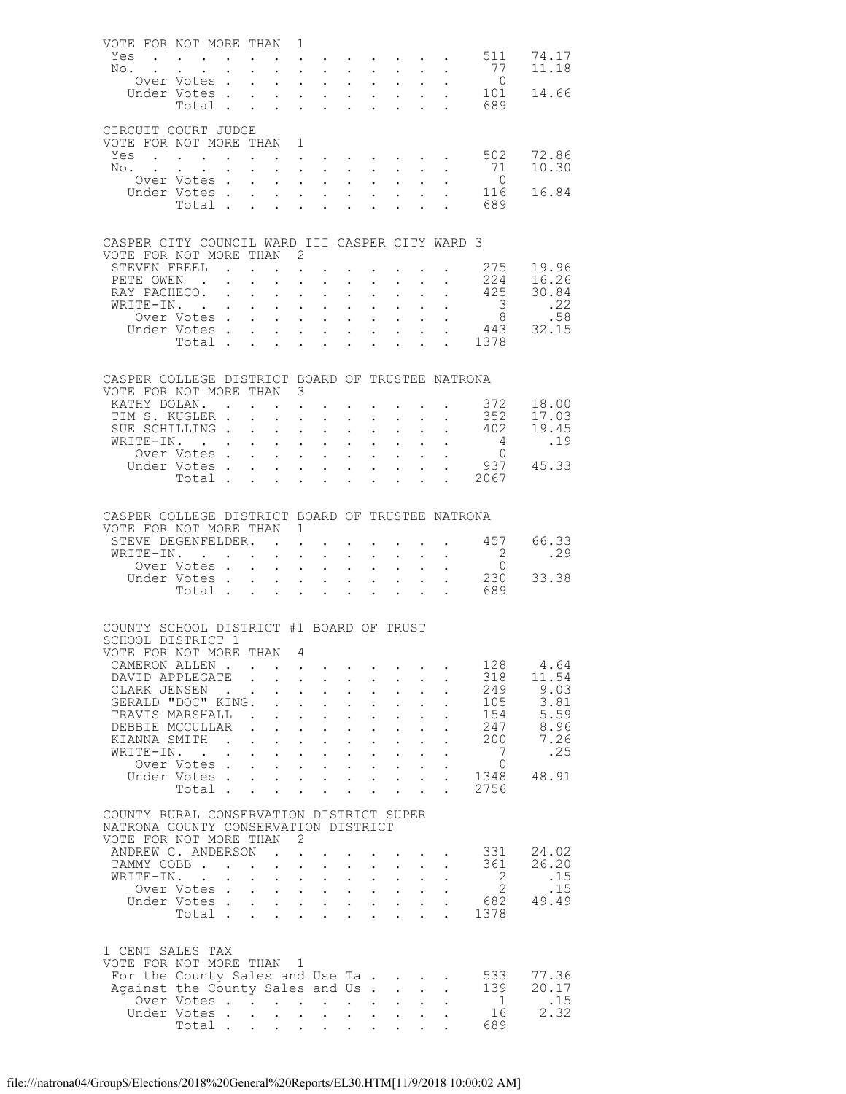| VOTE FOR NOT MORE THAN 1                                                     |                                                                                                                       |                 |                                                                                                          |                                    |                                                                                                                            |                                                                                                  |                                                    |                                                           |                           |                                                      |                     |                                                                    |
|------------------------------------------------------------------------------|-----------------------------------------------------------------------------------------------------------------------|-----------------|----------------------------------------------------------------------------------------------------------|------------------------------------|----------------------------------------------------------------------------------------------------------------------------|--------------------------------------------------------------------------------------------------|----------------------------------------------------|-----------------------------------------------------------|---------------------------|------------------------------------------------------|---------------------|--------------------------------------------------------------------|
| Yes                                                                          | $\mathcal{A}^{\mathcal{A}}$ . The contribution of the contribution of the contribution of $\mathcal{A}^{\mathcal{A}}$ |                 |                                                                                                          |                                    |                                                                                                                            |                                                                                                  |                                                    |                                                           |                           |                                                      |                     | 511 74.17<br>77 11.18                                              |
| No.                                                                          |                                                                                                                       |                 | $\mathbf{L} = \mathbf{L} \mathbf{L}$                                                                     |                                    | $\mathbf{1}$ $\mathbf{1}$ $\mathbf{1}$ $\mathbf{1}$ $\mathbf{1}$                                                           | $\sim 10^{-10}$                                                                                  | $\ddot{\phantom{0}}$                               | $\sim$                                                    |                           |                                                      |                     |                                                                    |
|                                                                              | Over Votes<br>Under Votes                                                                                             |                 |                                                                                                          | $\mathbf{L}^{\text{max}}$          | $\mathcal{L}^{\text{max}}$ , where $\mathcal{L}^{\text{max}}$<br>$\mathbf{L}^{\text{max}}$ , and $\mathbf{L}^{\text{max}}$ | $\ddot{\phantom{0}}$                                                                             | $\mathcal{L}^{\mathcal{L}}$                        | $\sim$ $-$<br>$\mathbf{L}$ and $\mathbf{L}$               |                           |                                                      |                     | $\begin{array}{cccc} . & . & 0 \\ . & . & 101 & 14.66 \end{array}$ |
|                                                                              | Total                                                                                                                 |                 |                                                                                                          | $\mathbf{L}$                       | $\mathbf{L}$ and $\mathbf{L}$                                                                                              | $\ddot{\phantom{0}}$                                                                             | $\ddot{\phantom{a}}$                               | $\ddot{\phantom{a}}$                                      |                           |                                                      | 689                 |                                                                    |
|                                                                              |                                                                                                                       |                 |                                                                                                          |                                    |                                                                                                                            |                                                                                                  |                                                    |                                                           |                           |                                                      |                     |                                                                    |
| CIRCUIT COURT JUDGE                                                          |                                                                                                                       |                 |                                                                                                          |                                    |                                                                                                                            |                                                                                                  |                                                    |                                                           |                           |                                                      |                     |                                                                    |
| VOTE FOR NOT MORE THAN 1                                                     |                                                                                                                       |                 |                                                                                                          |                                    |                                                                                                                            |                                                                                                  |                                                    |                                                           |                           |                                                      |                     | 72.86                                                              |
| Yes<br>No.                                                                   | $\mathbf{L} = \mathbf{L}$                                                                                             |                 | $\mathbf{u}=(\mathbf{u}_1,\ldots,\mathbf{u}_n)$ . The contribution of the contribution of $\mathbf{u}_1$ |                                    |                                                                                                                            | $\sim$ $-$                                                                                       | $\mathcal{L}^{\pm}$                                |                                                           |                           |                                                      | 502<br>71           | 10.30                                                              |
|                                                                              | Over Votes                                                                                                            |                 |                                                                                                          | $\mathbf{L}^{\text{max}}$          | $\mathbf{L}^{\text{max}}$ , and $\mathbf{L}^{\text{max}}$                                                                  | $\ddot{\phantom{0}}$                                                                             | $\mathbf{L}^{\text{max}}$                          | $\mathbf{L}^{\text{max}}$                                 |                           |                                                      | $\overline{0}$      |                                                                    |
|                                                                              | Under Votes                                                                                                           |                 |                                                                                                          |                                    | $\mathbf{L}^{\text{max}}$ , and $\mathbf{L}^{\text{max}}$                                                                  |                                                                                                  |                                                    |                                                           |                           |                                                      | 116                 | 16.84                                                              |
|                                                                              | Total                                                                                                                 |                 |                                                                                                          | $\mathbf{L}$                       | $\mathbf{L}^{\text{max}}$<br>$\mathbf{L}$                                                                                  | $\ddot{\phantom{0}}$                                                                             |                                                    |                                                           |                           |                                                      | . 689               |                                                                    |
|                                                                              |                                                                                                                       |                 |                                                                                                          |                                    |                                                                                                                            |                                                                                                  |                                                    |                                                           |                           |                                                      |                     |                                                                    |
| CASPER CITY COUNCIL WARD III CASPER CITY WARD 3                              |                                                                                                                       |                 |                                                                                                          |                                    |                                                                                                                            |                                                                                                  |                                                    |                                                           |                           |                                                      |                     |                                                                    |
| VOTE FOR NOT MORE THAN 2                                                     |                                                                                                                       |                 |                                                                                                          |                                    |                                                                                                                            |                                                                                                  |                                                    |                                                           |                           |                                                      |                     |                                                                    |
| STEVEN FREEL .                                                               |                                                                                                                       |                 |                                                                                                          |                                    | $\bullet$ .                                                                                                                |                                                                                                  |                                                    |                                                           |                           |                                                      |                     | 275 19.96                                                          |
| PETE OWEN.                                                                   |                                                                                                                       |                 | $\ddot{\phantom{0}}$                                                                                     | $\mathbf{L}$                       | $\mathbf{L}^{\text{max}}$ , $\mathbf{L}^{\text{max}}$                                                                      | $\mathbf{L}^{\text{max}}$                                                                        | $\bullet$ .                                        |                                                           |                           |                                                      |                     | 224 16.26<br>425 30.84                                             |
| RAY PACHECO.                                                                 |                                                                                                                       | $\mathbf{r}$    | $\ddot{\phantom{a}}$                                                                                     | $\mathbf{L}$                       | $\mathbf{L}$<br>$\sim$                                                                                                     |                                                                                                  | $\ddot{\phantom{a}}$                               |                                                           |                           |                                                      |                     |                                                                    |
| WRITE-IN.                                                                    | Over Votes                                                                                                            |                 |                                                                                                          | $\mathcal{L}^{\text{max}}$         | $\mathcal{L}^{\text{max}}$ , $\mathcal{L}^{\text{max}}$<br>$\cdot$ $\cdot$ $\cdot$ $\cdot$                                 | $\ddot{\phantom{0}}$                                                                             | $\mathbf{L}^{\text{max}}$<br>$\mathbf{r}$          | $\sim$                                                    |                           | $\mathcal{L}^{\text{max}}(\mathcal{L}^{\text{max}})$ |                     | $\begin{array}{ccc} 3 & .22 \\ 8 & .58 \end{array}$                |
|                                                                              | Under Votes                                                                                                           |                 |                                                                                                          | $\mathcal{L}^{\text{max}}$         | $\mathbf{L} = \mathbf{L}$                                                                                                  | $\mathbf{L}^{\text{max}}$                                                                        | $\mathcal{L}^{\mathcal{L}}$                        | $\mathbf{L}^{\text{max}}$                                 | $\mathbf{L}^{\text{max}}$ |                                                      |                     | 443 32.15                                                          |
|                                                                              | Total                                                                                                                 |                 |                                                                                                          | $\mathbf{L}^{\text{max}}$          | $\mathbf{r}$                                                                                                               |                                                                                                  |                                                    |                                                           |                           |                                                      | $\frac{115}{1378}$  |                                                                    |
|                                                                              |                                                                                                                       |                 |                                                                                                          |                                    |                                                                                                                            |                                                                                                  |                                                    |                                                           |                           |                                                      |                     |                                                                    |
|                                                                              |                                                                                                                       |                 |                                                                                                          |                                    |                                                                                                                            |                                                                                                  |                                                    |                                                           |                           |                                                      |                     |                                                                    |
| CASPER COLLEGE DISTRICT BOARD OF TRUSTEE NATRONA<br>VOTE FOR NOT MORE THAN 3 |                                                                                                                       |                 |                                                                                                          |                                    |                                                                                                                            |                                                                                                  |                                                    |                                                           |                           |                                                      |                     |                                                                    |
| KATHY DOLAN.                                                                 |                                                                                                                       |                 |                                                                                                          |                                    | $\mathbf{r} = \mathbf{r} \cdot \mathbf{r}$ , where $\mathbf{r} = \mathbf{r} \cdot \mathbf{r}$                              |                                                                                                  |                                                    |                                                           |                           |                                                      | 372                 | 18.00                                                              |
| TIM S. KUGLER .                                                              |                                                                                                                       |                 |                                                                                                          |                                    | $\mathbf{L}$<br>$\ddot{\phantom{a}}$                                                                                       | $\ddot{\phantom{0}}$                                                                             | $\ddot{\phantom{0}}$                               |                                                           |                           |                                                      |                     | $352$ $17.03$                                                      |
| SUE SCHILLING.                                                               |                                                                                                                       |                 | $\sim$ $-$                                                                                               | $\ddot{\phantom{0}}$               | $\mathbf{L}^{\text{max}}$ , and $\mathbf{L}^{\text{max}}$                                                                  | $\ddot{\phantom{0}}$                                                                             | $\ddot{\phantom{0}}$                               | $\bullet$ .                                               |                           |                                                      | $\cdot$ $\cdot$ 402 | 19.45                                                              |
| WRITE-IN. .                                                                  |                                                                                                                       |                 |                                                                                                          |                                    | $\cdot$ $\cdot$ $\cdot$ $\cdot$                                                                                            | $\ddot{\phantom{0}}$                                                                             | $\ddot{\phantom{0}}$                               |                                                           |                           |                                                      | $4\overline{4}$     | .19                                                                |
|                                                                              | Over Votes<br>Under Votes                                                                                             |                 |                                                                                                          | $\ddot{\phantom{0}}$               | $\mathbf{L}^{\text{max}}$ , and $\mathbf{L}^{\text{max}}$                                                                  | $\ddot{\phantom{0}}$                                                                             | $\mathbf{L}^{\text{max}}$                          | $\mathcal{L}^{\text{max}}$                                |                           |                                                      | $\bigcirc$          | $\begin{array}{cc} . & 0 \\ . & 937 & 45.33 \end{array}$           |
|                                                                              | Total                                                                                                                 |                 |                                                                                                          | $\mathbf{L}$                       | $\cdot$ $\cdot$ $\cdot$ $\cdot$<br>$\mathbf{L} = \mathbf{L}$                                                               | $\ddot{\phantom{0}}$                                                                             | $\ddot{\phantom{a}}$                               | $\ddot{\phantom{a}}$                                      |                           |                                                      | . 2067              |                                                                    |
|                                                                              |                                                                                                                       |                 |                                                                                                          |                                    |                                                                                                                            |                                                                                                  |                                                    |                                                           |                           |                                                      |                     |                                                                    |
|                                                                              |                                                                                                                       |                 |                                                                                                          |                                    |                                                                                                                            |                                                                                                  |                                                    |                                                           |                           |                                                      |                     |                                                                    |
| CASPER COLLEGE DISTRICT BOARD OF TRUSTEE NATRONA                             |                                                                                                                       |                 |                                                                                                          |                                    |                                                                                                                            |                                                                                                  |                                                    |                                                           |                           |                                                      |                     |                                                                    |
|                                                                              |                                                                                                                       |                 |                                                                                                          |                                    |                                                                                                                            |                                                                                                  |                                                    |                                                           |                           |                                                      |                     |                                                                    |
| VOTE FOR NOT MORE THAN 1                                                     |                                                                                                                       |                 |                                                                                                          |                                    |                                                                                                                            |                                                                                                  |                                                    |                                                           |                           |                                                      |                     |                                                                    |
| STEVE DEGENFELDER.                                                           |                                                                                                                       |                 |                                                                                                          |                                    |                                                                                                                            |                                                                                                  |                                                    |                                                           |                           |                                                      |                     | $\cdot$ $\cdot$ 457 66.33                                          |
| WRITE-IN. .                                                                  | Over Votes.                                                                                                           |                 |                                                                                                          |                                    | $\mathbf{r} = \mathbf{r} + \mathbf{r} + \mathbf{r} + \mathbf{r}$<br>$\cdot$ $\cdot$ $\cdot$ $\cdot$                        | $\mathcal{L}^{\text{max}}$<br>$\mathbf{L}^{\text{max}}$                                          | $\mathcal{L}^{\text{max}}$<br>$\ddot{\phantom{a}}$ | $\sim 10^{-1}$                                            |                           |                                                      | $\overline{2}$      | .29                                                                |
|                                                                              | Under Votes                                                                                                           |                 |                                                                                                          |                                    | $\mathcal{L}^{\text{max}}$ , where $\mathcal{L}^{\text{max}}$                                                              | $\bullet$ .                                                                                      | $\ddot{\phantom{0}}$                               | $\mathcal{L}^{\text{max}}$                                | $\mathbf{L}^{\text{max}}$ | $\ddot{\phantom{0}}$                                 | $\overline{0}$      | 33.38                                                              |
|                                                                              | Total .                                                                                                               |                 |                                                                                                          | $\mathbf{L}^{\text{max}}$          | $\ddot{\phantom{a}}$<br>$\mathbf{L}$                                                                                       |                                                                                                  |                                                    |                                                           |                           |                                                      | 230<br>689          |                                                                    |
|                                                                              |                                                                                                                       |                 |                                                                                                          |                                    |                                                                                                                            |                                                                                                  |                                                    |                                                           |                           |                                                      |                     |                                                                    |
|                                                                              |                                                                                                                       |                 |                                                                                                          |                                    |                                                                                                                            |                                                                                                  |                                                    |                                                           |                           |                                                      |                     |                                                                    |
| COUNTY SCHOOL DISTRICT #1 BOARD OF TRUST<br>SCHOOL DISTRICT 1                |                                                                                                                       |                 |                                                                                                          |                                    |                                                                                                                            |                                                                                                  |                                                    |                                                           |                           |                                                      |                     |                                                                    |
| VOTE FOR NOT MORE THAN                                                       |                                                                                                                       |                 |                                                                                                          | - 4                                |                                                                                                                            |                                                                                                  |                                                    |                                                           |                           |                                                      |                     |                                                                    |
| CAMERON ALLEN                                                                |                                                                                                                       |                 |                                                                                                          |                                    |                                                                                                                            |                                                                                                  |                                                    |                                                           |                           |                                                      | 128                 | 4.64                                                               |
| DAVID APPLEGATE .                                                            |                                                                                                                       |                 |                                                                                                          | $\ddot{\phantom{0}}$               | $\sim 100$<br>$\sim$                                                                                                       | $\ddot{\phantom{0}}$                                                                             | $\ddot{\phantom{0}}$                               |                                                           |                           |                                                      | 318                 | 11.54                                                              |
| CLARK JENSEN                                                                 |                                                                                                                       | $\sim 10^{-10}$ |                                                                                                          |                                    | $\ddot{\phantom{0}}$<br>$\ddot{\phantom{0}}$                                                                               | $\ddot{\phantom{0}}$                                                                             | $\ddot{\phantom{0}}$                               |                                                           |                           |                                                      | 249                 | 9.03                                                               |
| GERALD "DOC" KING.<br>TRAVIS MARSHALL.                                       |                                                                                                                       |                 |                                                                                                          | $\mathbf{L}$                       | $\mathbf{L}^{\text{max}}$ , and $\mathbf{L}^{\text{max}}$<br>$\mathbf{L}$<br>$\ddot{\phantom{a}}$                          | $\ddot{\phantom{0}}$<br>$\ddot{\phantom{0}}$                                                     | $\ddot{\phantom{0}}$<br>$\ddot{\phantom{0}}$       | $\mathbf{L}^{\text{max}}$                                 |                           |                                                      | 105<br>154          | 3.81<br>5.59                                                       |
| DEBBIE MCCULLAR                                                              |                                                                                                                       |                 | $\mathbf{L}^{\text{max}}$                                                                                | $\ddot{\phantom{0}}$<br>$\sim$ $-$ | $\sim$                                                                                                                     | $\ddot{\phantom{0}}$                                                                             | $\ddot{\phantom{0}}$                               | $\ddot{\phantom{0}}$                                      |                           |                                                      | 247                 | 8.96                                                               |
| KIANNA SMITH                                                                 |                                                                                                                       |                 | $\sim$ $\sim$ $\sim$ $\sim$                                                                              | $\ddotsc$                          | $\ddot{\phantom{0}}$                                                                                                       | $\mathbf{L}$                                                                                     | $\ddot{\phantom{0}}$                               |                                                           |                           |                                                      | 200                 | 7.26                                                               |
| WRITE-IN.                                                                    |                                                                                                                       |                 |                                                                                                          | $\ddot{\phantom{0}}$               | $\mathbf{L}^{\text{max}}$ , and $\mathbf{L}^{\text{max}}$                                                                  | $\ddot{\phantom{0}}$                                                                             | $\mathbf{L}^{\text{max}}$                          | $\mathbf{L}^{\text{max}}$                                 |                           |                                                      | 7                   | .25                                                                |
|                                                                              | Over Votes                                                                                                            |                 |                                                                                                          |                                    | $\mathbf{r}$ and $\mathbf{r}$ and $\mathbf{r}$ and $\mathbf{r}$                                                            |                                                                                                  |                                                    |                                                           |                           |                                                      | $\Omega$            |                                                                    |
|                                                                              | Under Votes<br>Total .                                                                                                |                 |                                                                                                          | $\mathcal{L}^{\text{max}}$         | $\mathbf{L}^{\text{max}}$ , $\mathbf{L}^{\text{max}}$                                                                      | $\ddot{\phantom{0}}$                                                                             | $\bullet$ .                                        | $\mathbf{L}^{\text{max}}$                                 | $\mathbb{Z}^{\mathbb{Z}}$ | $\ddot{\phantom{a}}$                                 | 1348<br>2756        | 48.91                                                              |
|                                                                              |                                                                                                                       |                 |                                                                                                          |                                    |                                                                                                                            |                                                                                                  |                                                    |                                                           |                           |                                                      |                     |                                                                    |
| COUNTY RURAL CONSERVATION DISTRICT SUPER                                     |                                                                                                                       |                 |                                                                                                          |                                    |                                                                                                                            |                                                                                                  |                                                    |                                                           |                           |                                                      |                     |                                                                    |
| NATRONA COUNTY CONSERVATION DISTRICT                                         |                                                                                                                       |                 |                                                                                                          |                                    |                                                                                                                            |                                                                                                  |                                                    |                                                           |                           |                                                      |                     |                                                                    |
| VOTE FOR NOT MORE THAN 2                                                     |                                                                                                                       |                 |                                                                                                          |                                    |                                                                                                                            |                                                                                                  |                                                    |                                                           |                           |                                                      |                     |                                                                    |
| ANDREW C. ANDERSON<br>TAMMY COBB                                             |                                                                                                                       |                 |                                                                                                          |                                    | $\mathcal{L}^{\text{max}}$<br>$\mathbf{L}$<br>$\sim$                                                                       |                                                                                                  |                                                    |                                                           |                           |                                                      | 331<br>361          | 24.02<br>26.20                                                     |
| WRITE-IN.                                                                    |                                                                                                                       |                 |                                                                                                          | $\ddot{\phantom{0}}$               | $\mathbf{L}^{\text{max}}$ , $\mathbf{L}^{\text{max}}$                                                                      | $\mathbf{L}^{\text{max}}$                                                                        | $\mathcal{L}^{\pm}$                                | $\mathbf{L}^{\text{max}}$                                 |                           |                                                      | 2                   | .15                                                                |
|                                                                              | Over Votes                                                                                                            |                 |                                                                                                          |                                    | $\cdot$ $\cdot$ $\cdot$ $\cdot$ $\cdot$                                                                                    |                                                                                                  |                                                    | $\mathbf{L}$ and $\mathbf{L}$                             |                           |                                                      | 2                   | .15                                                                |
|                                                                              | Under Votes                                                                                                           |                 |                                                                                                          |                                    |                                                                                                                            | $\mathbf{L}^{\text{max}}$                                                                        |                                                    | $\mathbf{L}^{\text{max}}$ , and $\mathbf{L}^{\text{max}}$ | $\mathbb{Z}^{\mathbb{Z}}$ |                                                      | 682                 | 49.49                                                              |
|                                                                              | Total                                                                                                                 |                 |                                                                                                          | general in                         |                                                                                                                            |                                                                                                  |                                                    |                                                           |                           |                                                      | 1378                |                                                                    |
|                                                                              |                                                                                                                       |                 |                                                                                                          |                                    |                                                                                                                            |                                                                                                  |                                                    |                                                           |                           |                                                      |                     |                                                                    |
| 1 CENT SALES TAX                                                             |                                                                                                                       |                 |                                                                                                          |                                    |                                                                                                                            |                                                                                                  |                                                    |                                                           |                           |                                                      |                     |                                                                    |
| VOTE FOR NOT MORE THAN 1                                                     |                                                                                                                       |                 |                                                                                                          |                                    |                                                                                                                            |                                                                                                  |                                                    |                                                           |                           |                                                      |                     |                                                                    |
| For the County Sales and Use Ta.                                             |                                                                                                                       |                 |                                                                                                          |                                    |                                                                                                                            |                                                                                                  |                                                    | $\mathcal{A}$ and $\mathcal{A}$ are $\mathcal{A}$ .       |                           |                                                      | 533                 | 77.36                                                              |
| Against the County Sales and Us .                                            |                                                                                                                       |                 |                                                                                                          |                                    |                                                                                                                            |                                                                                                  |                                                    | $\mathbf{L}$                                              | $\ddot{\phantom{a}}$      |                                                      | 139<br>$\mathbf{1}$ | 20.17                                                              |
|                                                                              | Over Votes<br>Under Votes.<br>Total .                                                                                 |                 |                                                                                                          | $\mathbf{L}$                       | $\mathbf{L}$<br>$\sim$                                                                                                     | $\mathbf{z} = \mathbf{z} + \mathbf{z}$ , where $\mathbf{z} = \mathbf{z}$<br>$\ddot{\phantom{0}}$ | $\mathbf{L}^{\text{max}}$                          | $\mathbf{L}^{\text{max}}$<br>$\mathbf{L}^{\text{max}}$    |                           |                                                      | 16                  | .15<br>2.32                                                        |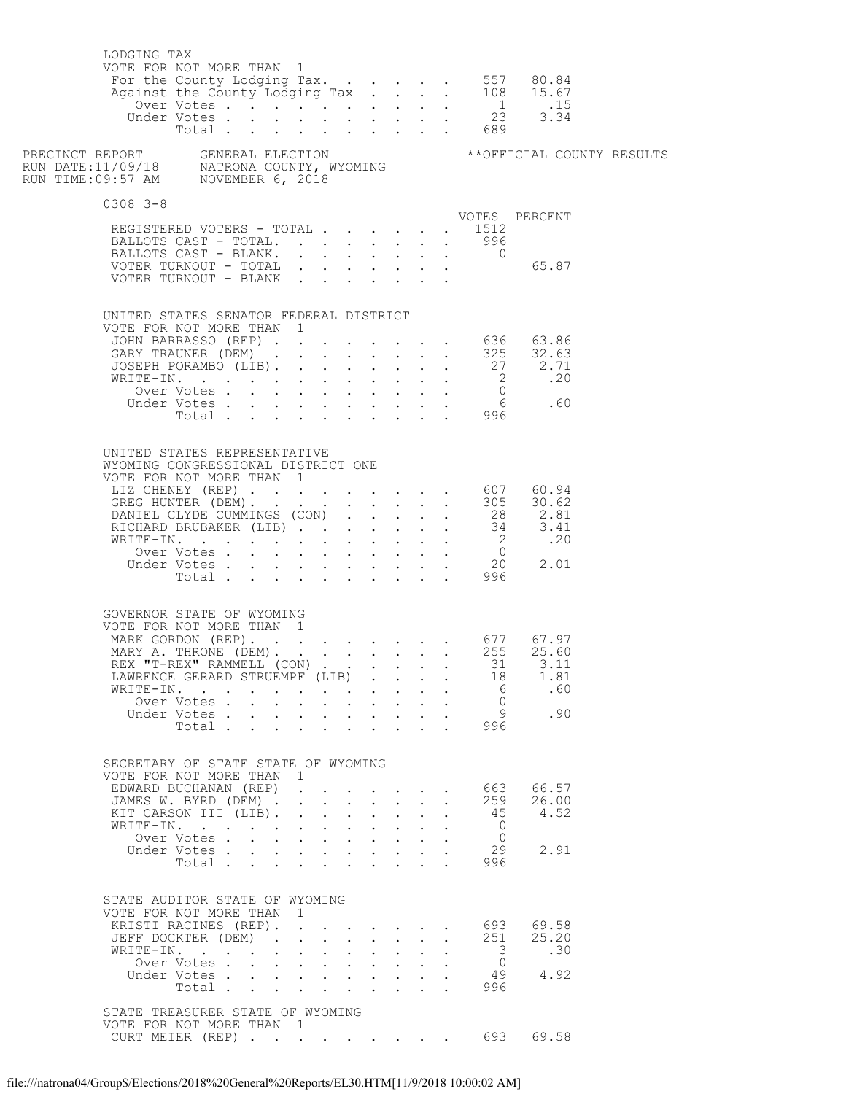| LODGING TAX<br>VOTE FOR NOT MORE THAN 1                      |                             |                                                                          |                                                             |                                                                                 |                      |                                                                                      |                               |  |                         |                                                                                      |  |
|--------------------------------------------------------------|-----------------------------|--------------------------------------------------------------------------|-------------------------------------------------------------|---------------------------------------------------------------------------------|----------------------|--------------------------------------------------------------------------------------|-------------------------------|--|-------------------------|--------------------------------------------------------------------------------------|--|
|                                                              |                             |                                                                          |                                                             |                                                                                 |                      |                                                                                      |                               |  |                         |                                                                                      |  |
| $0308$ 3-8                                                   |                             |                                                                          |                                                             |                                                                                 |                      |                                                                                      |                               |  |                         |                                                                                      |  |
| REGISTERED VOTERS - TOTAL                                    |                             |                                                                          |                                                             |                                                                                 |                      |                                                                                      |                               |  | . 1512                  | VOTES PERCENT                                                                        |  |
| BALLOTS CAST - TOTAL.                                        |                             |                                                                          |                                                             |                                                                                 |                      |                                                                                      |                               |  | $996$ $0$               |                                                                                      |  |
| BALLOTS CAST - BLANK.                                        |                             |                                                                          |                                                             |                                                                                 |                      |                                                                                      |                               |  |                         |                                                                                      |  |
|                                                              |                             |                                                                          |                                                             |                                                                                 |                      |                                                                                      |                               |  |                         |                                                                                      |  |
| UNITED STATES SENATOR FEDERAL DISTRICT                       |                             |                                                                          |                                                             |                                                                                 |                      |                                                                                      |                               |  |                         |                                                                                      |  |
| VOTE FOR NOT MORE THAN 1                                     |                             |                                                                          |                                                             |                                                                                 |                      |                                                                                      |                               |  |                         |                                                                                      |  |
|                                                              |                             |                                                                          |                                                             |                                                                                 |                      |                                                                                      |                               |  |                         | JOHN BARRASSO (REP) 636 63.86<br>GARY TRAUNER (DEM) 325 32.63                        |  |
|                                                              |                             |                                                                          |                                                             |                                                                                 |                      |                                                                                      |                               |  |                         |                                                                                      |  |
|                                                              |                             |                                                                          |                                                             |                                                                                 |                      |                                                                                      |                               |  |                         |                                                                                      |  |
|                                                              |                             |                                                                          |                                                             |                                                                                 |                      |                                                                                      |                               |  |                         |                                                                                      |  |
|                                                              |                             |                                                                          |                                                             |                                                                                 |                      |                                                                                      |                               |  |                         |                                                                                      |  |
| UNITED STATES REPRESENTATIVE                                 |                             |                                                                          |                                                             |                                                                                 |                      |                                                                                      |                               |  |                         |                                                                                      |  |
| WYOMING CONGRESSIONAL DISTRICT ONE                           |                             |                                                                          |                                                             |                                                                                 |                      |                                                                                      |                               |  |                         |                                                                                      |  |
| VOTE FOR NOT MORE THAN 1                                     |                             |                                                                          |                                                             |                                                                                 |                      |                                                                                      |                               |  |                         |                                                                                      |  |
|                                                              |                             |                                                                          |                                                             |                                                                                 |                      |                                                                                      |                               |  |                         | UTE FUR NUI MURE IRAN 1<br>LIZ CHENEY (REP) 607 60.94<br>GREG HUNTER (DEM) 305 30.62 |  |
|                                                              |                             |                                                                          |                                                             |                                                                                 |                      |                                                                                      |                               |  |                         |                                                                                      |  |
|                                                              |                             |                                                                          |                                                             |                                                                                 |                      |                                                                                      |                               |  |                         |                                                                                      |  |
|                                                              |                             |                                                                          |                                                             |                                                                                 |                      |                                                                                      |                               |  |                         |                                                                                      |  |
|                                                              |                             |                                                                          |                                                             |                                                                                 |                      |                                                                                      |                               |  |                         |                                                                                      |  |
|                                                              |                             |                                                                          |                                                             |                                                                                 |                      |                                                                                      |                               |  |                         |                                                                                      |  |
| GOVERNOR STATE OF WYOMING<br>VOTE FOR NOT MORE THAN 1        |                             |                                                                          |                                                             |                                                                                 |                      |                                                                                      |                               |  |                         |                                                                                      |  |
|                                                              |                             |                                                                          |                                                             |                                                                                 |                      |                                                                                      |                               |  |                         |                                                                                      |  |
|                                                              |                             |                                                                          |                                                             |                                                                                 |                      |                                                                                      |                               |  |                         | MARK GORDON (REP). 677 67.97<br>MARY A. THRONE (DEM). 255 25.60                      |  |
|                                                              |                             |                                                                          |                                                             |                                                                                 |                      |                                                                                      |                               |  |                         | REX "T-REX" RAMMELL (CON) 31 3.11                                                    |  |
| LAWRENCE GERARD STRUEMPF (LIB).<br>WRITE-IN.                 |                             |                                                                          |                                                             |                                                                                 |                      |                                                                                      |                               |  | 18<br>6                 | 1.81<br>.60                                                                          |  |
|                                                              | Over Votes                  |                                                                          |                                                             | $\mathbf{L}$                                                                    |                      | $\mathbf{r}$ , $\mathbf{r}$ , $\mathbf{r}$ , $\mathbf{r}$                            |                               |  | $\bigcirc$              |                                                                                      |  |
|                                                              | Under Votes                 |                                                                          | $\bullet$ .<br><br><br><br><br><br><br><br><br><br><br><br> | $\mathbf{L}^{\text{max}}$                                                       |                      | $\mathbf{r}$ , $\mathbf{r}$ , $\mathbf{r}$                                           |                               |  | 9                       | .90                                                                                  |  |
|                                                              | Total                       |                                                                          |                                                             | $\mathbf{L} = \mathbf{L}$                                                       |                      |                                                                                      | $\mathbf{r} = \mathbf{r}$     |  | 996                     |                                                                                      |  |
| SECRETARY OF STATE STATE OF WYOMING                          |                             |                                                                          |                                                             |                                                                                 |                      |                                                                                      |                               |  |                         |                                                                                      |  |
| VOTE FOR NOT MORE THAN 1                                     |                             |                                                                          |                                                             |                                                                                 |                      |                                                                                      |                               |  |                         | 66.57                                                                                |  |
| EDWARD BUCHANAN (REP)<br>JAMES W. BYRD (DEM) .               |                             |                                                                          | $\mathbf{L}$                                                | $\mathbf{L}^{\text{max}}$ , and $\mathbf{L}^{\text{max}}$<br>$\mathbf{L}$       | $\sim$               | $\mathbf{r}$                                                                         | $\mathbf{L}$                  |  | 663 —<br>259            | 26.00                                                                                |  |
| KIT CARSON III (LIB).                                        |                             |                                                                          | $\mathbf{L}$                                                |                                                                                 |                      | $\mathbf{L} = \mathbf{L} \mathbf{L} + \mathbf{L} \mathbf{L} + \mathbf{L} \mathbf{L}$ |                               |  | 45                      | 4.52                                                                                 |  |
| WRITE-IN.                                                    |                             | $\ddotsc$ $\ddotsc$                                                      |                                                             | $\mathbf{1}$ $\mathbf{1}$ $\mathbf{1}$ $\mathbf{1}$ $\mathbf{1}$                |                      | $\mathbf{L}$                                                                         | $\mathbf{L}$                  |  | $\overline{0}$          |                                                                                      |  |
|                                                              | Over Votes<br>Under Votes . | $\cdot$ $\cdot$ $\cdot$ $\cdot$ $\cdot$ $\cdot$                          | $\mathbf{L}^{\text{max}}$                                   | $\bullet$ .<br><br><br><br><br><br><br><br><br><br><br><br>                     |                      | $\mathbf{r} = \mathbf{r} + \mathbf{r}$                                               | $\mathbf{r}$ and $\mathbf{r}$ |  | $\overline{0}$<br>29    | 2.91                                                                                 |  |
|                                                              | Total                       | $\mathbf{L}$                                                             | $\mathbf{L}$                                                | $\ddot{\phantom{0}}$                                                            |                      |                                                                                      |                               |  | 996                     |                                                                                      |  |
| STATE AUDITOR STATE OF WYOMING                               |                             |                                                                          |                                                             |                                                                                 |                      |                                                                                      |                               |  |                         |                                                                                      |  |
| VOTE FOR NOT MORE THAN 1<br>KRISTI RACINES (REP).            |                             |                                                                          | $\Delta \sim 10^{-11}$                                      |                                                                                 |                      | $\mathbf{r}$ , $\mathbf{r}$ , $\mathbf{r}$ , $\mathbf{r}$ , $\mathbf{r}$             |                               |  | 693                     | 69.58                                                                                |  |
| JEFF DOCKTER (DEM).                                          |                             |                                                                          |                                                             | $\ddot{\phantom{a}}$                                                            |                      | $\cdot$ $\cdot$ $\cdot$ $\cdot$                                                      |                               |  | 251                     | 25.20                                                                                |  |
| WRITE-IN.                                                    |                             | $\ddot{\phantom{0}}$                                                     |                                                             | $\mathbf{L} = \mathbf{L}$                                                       | $\ddot{\phantom{a}}$ | $\mathbf{r}$                                                                         | $\mathbf{L}$                  |  | $\overline{\mathbf{3}}$ | .30                                                                                  |  |
|                                                              | Over Votes                  |                                                                          | $\mathbf{L}$                                                | $\mathbf{L}$                                                                    |                      | $\mathbf{L}$ and $\mathbf{L}$                                                        | $\mathcal{L}^{\text{max}}$    |  | $\overline{0}$          |                                                                                      |  |
|                                                              | Under Votes .<br>Total      | $\mathbf{r}$ , $\mathbf{r}$ , $\mathbf{r}$ , $\mathbf{r}$ , $\mathbf{r}$ |                                                             | $\mathbf{r} = \mathbf{r} - \mathbf{r}$ , $\mathbf{r} = \mathbf{r} - \mathbf{r}$ |                      |                                                                                      |                               |  | - 49<br>996             | 4.92                                                                                 |  |
|                                                              |                             |                                                                          |                                                             |                                                                                 |                      |                                                                                      |                               |  |                         |                                                                                      |  |
| STATE TREASURER STATE OF WYOMING<br>VOTE FOR NOT MORE THAN 1 |                             |                                                                          |                                                             |                                                                                 |                      |                                                                                      |                               |  |                         |                                                                                      |  |
| CURT MEIER (REP)                                             |                             |                                                                          |                                                             |                                                                                 |                      |                                                                                      |                               |  | 693                     | 69.58                                                                                |  |
|                                                              |                             |                                                                          |                                                             |                                                                                 |                      |                                                                                      |                               |  |                         |                                                                                      |  |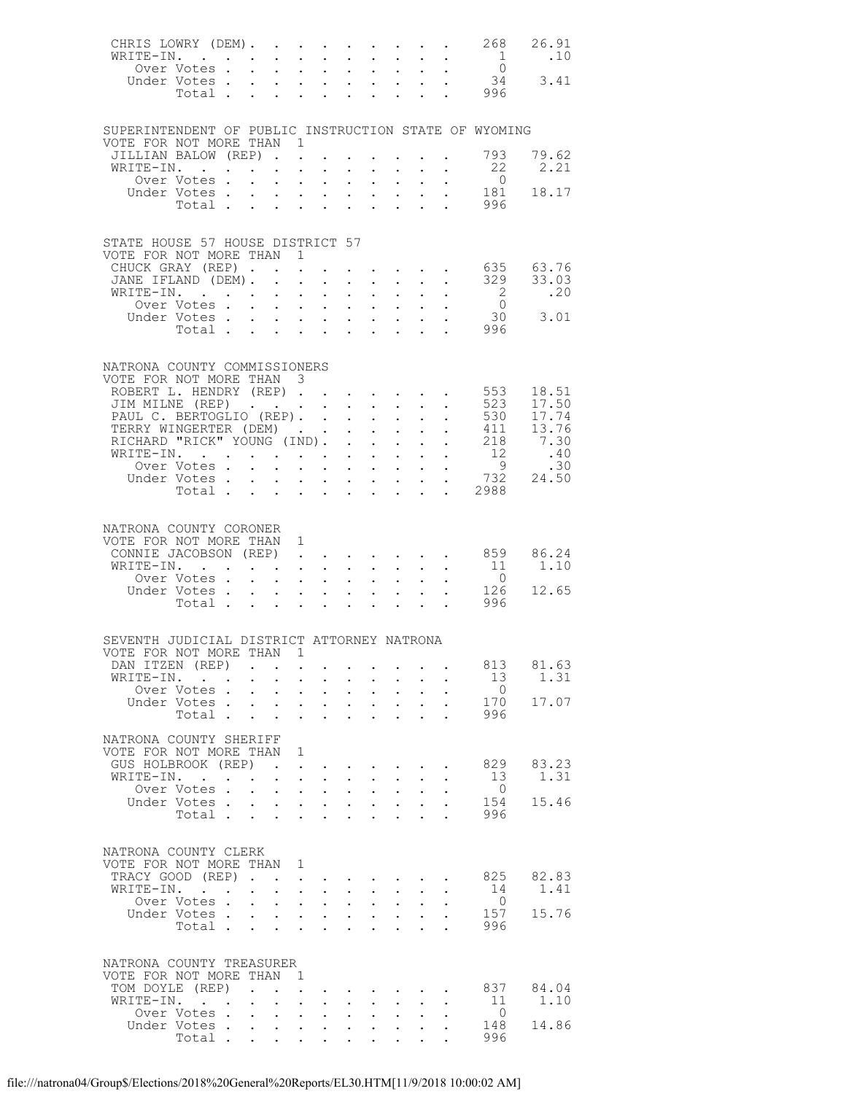| CHRIS LOWRY (DEM).<br>WRITE-IN.                                        |                      |                                                                                              |                                                                                                                                                                                                                                                                                                                                                                                                                                                             |                                                           |                                 |                                                         |                                                         |                                                                                                                             |                                                       | 268<br>$\overline{1}$    | 26.91<br>.10                                                                                                                           |
|------------------------------------------------------------------------|----------------------|----------------------------------------------------------------------------------------------|-------------------------------------------------------------------------------------------------------------------------------------------------------------------------------------------------------------------------------------------------------------------------------------------------------------------------------------------------------------------------------------------------------------------------------------------------------------|-----------------------------------------------------------|---------------------------------|---------------------------------------------------------|---------------------------------------------------------|-----------------------------------------------------------------------------------------------------------------------------|-------------------------------------------------------|--------------------------|----------------------------------------------------------------------------------------------------------------------------------------|
|                                                                        |                      |                                                                                              |                                                                                                                                                                                                                                                                                                                                                                                                                                                             |                                                           |                                 |                                                         |                                                         |                                                                                                                             |                                                       | . 996                    | $\begin{matrix} 0 \\ 34 \end{matrix}$ 3.41                                                                                             |
| SUPERINTENDENT OF PUBLIC INSTRUCTION STATE OF WYOMING                  |                      |                                                                                              |                                                                                                                                                                                                                                                                                                                                                                                                                                                             |                                                           |                                 |                                                         |                                                         |                                                                                                                             |                                                       |                          |                                                                                                                                        |
| VOTE FOR NOT MORE THAN 1<br>JILLIAN BALOW (REP). .                     |                      |                                                                                              |                                                                                                                                                                                                                                                                                                                                                                                                                                                             |                                                           |                                 |                                                         |                                                         |                                                                                                                             |                                                       | 793                      | 79.62                                                                                                                                  |
| WRITE-IN.                                                              |                      |                                                                                              |                                                                                                                                                                                                                                                                                                                                                                                                                                                             |                                                           |                                 |                                                         |                                                         |                                                                                                                             |                                                       | 22<br>$\overline{0}$     | 2.21                                                                                                                                   |
| Uver votes<br>Under Votes<br>Total                                     |                      |                                                                                              |                                                                                                                                                                                                                                                                                                                                                                                                                                                             |                                                           |                                 |                                                         |                                                         |                                                                                                                             |                                                       | $\frac{181}{282}$<br>996 | 18.17                                                                                                                                  |
|                                                                        |                      |                                                                                              |                                                                                                                                                                                                                                                                                                                                                                                                                                                             |                                                           |                                 |                                                         |                                                         |                                                                                                                             |                                                       |                          |                                                                                                                                        |
| STATE HOUSE 57 HOUSE DISTRICT 57<br>VOTE FOR NOT MORE THAN 1           |                      |                                                                                              |                                                                                                                                                                                                                                                                                                                                                                                                                                                             |                                                           |                                 |                                                         |                                                         |                                                                                                                             |                                                       |                          |                                                                                                                                        |
| CHUCK GRAY (REP)                                                       |                      |                                                                                              |                                                                                                                                                                                                                                                                                                                                                                                                                                                             |                                                           |                                 |                                                         |                                                         | $\mathbf{r} = \mathbf{r} \times \mathbf{r}$ , where $\mathbf{r} = \mathbf{r} \times \mathbf{r}$ , $\mathbf{r} = \mathbf{r}$ |                                                       |                          |                                                                                                                                        |
| JANE IFLAND (DEM).<br>WRITE-IN.                                        |                      |                                                                                              | $\mathcal{L}^{\text{max}}$                                                                                                                                                                                                                                                                                                                                                                                                                                  | $\sim$ $-$                                                | $\sim$ 100 $\pm$                |                                                         | $\mathbf{L}^{\text{max}}$ , $\mathbf{L}^{\text{max}}$   |                                                                                                                             | $\mathbf{L}^{\text{max}}$ , $\mathbf{L}^{\text{max}}$ | $\overline{2}$           | .20                                                                                                                                    |
|                                                                        |                      |                                                                                              |                                                                                                                                                                                                                                                                                                                                                                                                                                                             |                                                           |                                 |                                                         |                                                         |                                                                                                                             |                                                       | $\overline{0}$           | 3.01                                                                                                                                   |
|                                                                        |                      |                                                                                              |                                                                                                                                                                                                                                                                                                                                                                                                                                                             |                                                           |                                 |                                                         |                                                         |                                                                                                                             |                                                       | $30$<br>996              |                                                                                                                                        |
|                                                                        |                      |                                                                                              |                                                                                                                                                                                                                                                                                                                                                                                                                                                             |                                                           |                                 |                                                         |                                                         |                                                                                                                             |                                                       |                          |                                                                                                                                        |
| NATRONA COUNTY COMMISSIONERS<br>VOTE FOR NOT MORE THAN 3               |                      |                                                                                              |                                                                                                                                                                                                                                                                                                                                                                                                                                                             |                                                           |                                 |                                                         |                                                         |                                                                                                                             |                                                       |                          |                                                                                                                                        |
| ROBERT L. HENDRY (REP)                                                 |                      |                                                                                              |                                                                                                                                                                                                                                                                                                                                                                                                                                                             |                                                           |                                 |                                                         |                                                         |                                                                                                                             |                                                       | 553<br>523               | 18.51<br>17.50                                                                                                                         |
| JIM MILNE (REP)<br>PAUL C. BERTOGLIO (REP).                            |                      |                                                                                              |                                                                                                                                                                                                                                                                                                                                                                                                                                                             |                                                           |                                 |                                                         |                                                         |                                                                                                                             |                                                       | 530                      | 17.74                                                                                                                                  |
| TERRY WINGERTER (DEM)<br>RICHARD "RICK" YOUNG (IND).                   |                      |                                                                                              |                                                                                                                                                                                                                                                                                                                                                                                                                                                             |                                                           |                                 |                                                         |                                                         |                                                                                                                             |                                                       | 411                      | 13.76                                                                                                                                  |
| WRITE-IN.                                                              | TE-IN.<br>Over Votes |                                                                                              |                                                                                                                                                                                                                                                                                                                                                                                                                                                             |                                                           |                                 |                                                         |                                                         |                                                                                                                             |                                                       |                          | $\begin{array}{cccccc}\n\cdot & & 218 & & 7.30 \\ \cdot & & 12 & & .40 \\ \cdot & & 9 & & .30 \\ \cdot & & 732 & & 24.50\n\end{array}$ |
| Under Votes                                                            |                      |                                                                                              |                                                                                                                                                                                                                                                                                                                                                                                                                                                             |                                                           |                                 |                                                         |                                                         |                                                                                                                             |                                                       |                          |                                                                                                                                        |
|                                                                        | Votes<br>Total       |                                                                                              |                                                                                                                                                                                                                                                                                                                                                                                                                                                             |                                                           |                                 |                                                         |                                                         |                                                                                                                             |                                                       | . 2988                   |                                                                                                                                        |
| NATRONA COUNTY CORONER                                                 |                      |                                                                                              |                                                                                                                                                                                                                                                                                                                                                                                                                                                             |                                                           |                                 |                                                         |                                                         |                                                                                                                             |                                                       |                          |                                                                                                                                        |
| VOTE FOR NOT MORE THAN 1                                               |                      |                                                                                              |                                                                                                                                                                                                                                                                                                                                                                                                                                                             |                                                           |                                 |                                                         |                                                         |                                                                                                                             |                                                       |                          |                                                                                                                                        |
| CONNIE JACOBSON (REP)<br>WRITE-IN.                                     |                      |                                                                                              |                                                                                                                                                                                                                                                                                                                                                                                                                                                             |                                                           |                                 |                                                         |                                                         | $\mathbf{r} = \mathbf{r} \times \mathbf{r} = \mathbf{r} \times \mathbf{r}$ .                                                |                                                       | 859<br>11                | 86.24<br>1.10                                                                                                                          |
| Over Votes<br>Under Votes                                              |                      |                                                                                              | $\mathbf{1}^{\prime}$ , $\mathbf{1}^{\prime}$ , $\mathbf{1}^{\prime}$ , $\mathbf{1}^{\prime}$                                                                                                                                                                                                                                                                                                                                                               |                                                           |                                 |                                                         |                                                         |                                                                                                                             |                                                       | $\overline{0}$           |                                                                                                                                        |
|                                                                        | Total                |                                                                                              | $\mathcal{L}^{(1)}$                                                                                                                                                                                                                                                                                                                                                                                                                                         |                                                           |                                 |                                                         |                                                         |                                                                                                                             |                                                       | 126<br>996               | 12.65                                                                                                                                  |
|                                                                        |                      |                                                                                              |                                                                                                                                                                                                                                                                                                                                                                                                                                                             |                                                           |                                 |                                                         |                                                         |                                                                                                                             |                                                       |                          |                                                                                                                                        |
| SEVENTH JUDICIAL DISTRICT ATTORNEY NATRONA<br>VOTE FOR NOT MORE THAN 1 |                      |                                                                                              |                                                                                                                                                                                                                                                                                                                                                                                                                                                             |                                                           |                                 |                                                         |                                                         |                                                                                                                             |                                                       |                          |                                                                                                                                        |
| DAN ITZEN (REP)                                                        |                      | $\mathcal{A}(\mathcal{A})$ , and $\mathcal{A}(\mathcal{A})$ , and $\mathcal{A}(\mathcal{A})$ |                                                                                                                                                                                                                                                                                                                                                                                                                                                             |                                                           |                                 |                                                         |                                                         |                                                                                                                             |                                                       | 813                      | 81.63                                                                                                                                  |
| WRITE-IN.<br>Over Votes                                                |                      |                                                                                              | $\ddot{\phantom{a}}$                                                                                                                                                                                                                                                                                                                                                                                                                                        | $\sim$                                                    | $\sim$ $\sim$                   | $\mathbb{Z}^{n+1}$                                      | $\mathbf{L}^{\text{max}}$                               |                                                                                                                             | $\mathcal{L}^{\text{max}}$                            | 13<br>$\overline{0}$     | 1.31                                                                                                                                   |
| Under Votes                                                            | Total                |                                                                                              | $\mathbf{1}^{\prime}$ , $\mathbf{1}^{\prime}$ , $\mathbf{1}^{\prime}$ , $\mathbf{1}^{\prime}$ , $\mathbf{1}^{\prime}$                                                                                                                                                                                                                                                                                                                                       | $\ddot{\phantom{a}}$                                      | <b>Contract Contract Street</b> | $\ddot{\phantom{0}}$<br>$\ddotsc$                       | $\mathbf{z} = \mathbf{z} + \mathbf{z}$                  |                                                                                                                             |                                                       | 170<br>996               | 17.07                                                                                                                                  |
|                                                                        |                      |                                                                                              |                                                                                                                                                                                                                                                                                                                                                                                                                                                             |                                                           |                                 |                                                         |                                                         |                                                                                                                             |                                                       |                          |                                                                                                                                        |
| NATRONA COUNTY SHERIFF<br>VOTE FOR NOT MORE THAN 1                     |                      |                                                                                              |                                                                                                                                                                                                                                                                                                                                                                                                                                                             |                                                           |                                 |                                                         |                                                         |                                                                                                                             |                                                       |                          |                                                                                                                                        |
| GUS HOLBROOK (REP)<br>WRITE-IN.                                        |                      |                                                                                              | $\mathcal{L}(\mathcal{L}(\mathcal{L}(\mathcal{L}(\mathcal{L}(\mathcal{L}(\mathcal{L}(\mathcal{L}(\mathcal{L}(\mathcal{L}(\mathcal{L}(\mathcal{L}(\mathcal{L}(\mathcal{L}(\mathcal{L}(\mathcal{L}(\mathcal{L}(\mathcal{L}(\mathcal{L}(\mathcal{L}(\mathcal{L}(\mathcal{L}(\mathcal{L}(\mathcal{L}(\mathcal{L}(\mathcal{L}(\mathcal{L}(\mathcal{L}(\mathcal{L}(\mathcal{L}(\mathcal{L}(\mathcal{L}(\mathcal{L}(\mathcal{L}(\mathcal{L}(\mathcal{L}(\mathcal{$ | $\mathbf{L}$ and $\mathbf{L}$                             |                                 |                                                         |                                                         |                                                                                                                             |                                                       | 829<br>13                | 83.23<br>1.31                                                                                                                          |
|                                                                        | Over Votes           |                                                                                              |                                                                                                                                                                                                                                                                                                                                                                                                                                                             |                                                           |                                 | $\ddot{\phantom{0}}$                                    | $\mathcal{L}^{\text{max}}$                              | $\mathcal{L}^{\text{max}}$                                                                                                  | $\ddot{\phantom{0}}$                                  | $\overline{0}$           |                                                                                                                                        |
| Under Votes                                                            | Total                |                                                                                              | $\mathbf{r} = \mathbf{r} \times \mathbf{r}$ , where                                                                                                                                                                                                                                                                                                                                                                                                         | $\mathbf{L}$ $\mathbf{L}$                                 |                                 | $\ddot{\phantom{0}}$<br>$\cdot$ $\cdot$ $\cdot$ $\cdot$ | $\mathbf{r} = \mathbf{r} \times \mathbf{r}$             |                                                                                                                             |                                                       | 154<br>996               | 15.46                                                                                                                                  |
|                                                                        |                      |                                                                                              |                                                                                                                                                                                                                                                                                                                                                                                                                                                             |                                                           |                                 |                                                         |                                                         |                                                                                                                             |                                                       |                          |                                                                                                                                        |
| NATRONA COUNTY CLERK<br>VOTE FOR NOT MORE THAN 1                       |                      |                                                                                              |                                                                                                                                                                                                                                                                                                                                                                                                                                                             |                                                           |                                 |                                                         |                                                         |                                                                                                                             |                                                       |                          |                                                                                                                                        |
| TRACY GOOD (REP)                                                       |                      |                                                                                              |                                                                                                                                                                                                                                                                                                                                                                                                                                                             | $\bullet$ .                                               |                                 |                                                         |                                                         |                                                                                                                             |                                                       | 825                      | 82.83                                                                                                                                  |
| WRITE-IN.<br>Over Votes .                                              |                      | $\mathcal{L}^{\text{max}}$                                                                   | $\ddot{\phantom{0}}$                                                                                                                                                                                                                                                                                                                                                                                                                                        | $\mathbf{L}^{\text{max}}$ , and $\mathbf{L}^{\text{max}}$ |                                 | $\ddot{\phantom{0}}$                                    | $\mathcal{L}^{\text{max}}$ , $\mathcal{L}^{\text{max}}$ | $\mathcal{L}^{\text{max}}$                                                                                                  | $\mathbf{L}^{\text{max}}$                             | 14<br>$\overline{0}$     | 1.41                                                                                                                                   |
| Under Votes                                                            |                      |                                                                                              |                                                                                                                                                                                                                                                                                                                                                                                                                                                             |                                                           |                                 | $\mathbf{L}^{(1)}$                                      | $\mathcal{L}^{\text{max}}$ , $\mathcal{L}^{\text{max}}$ |                                                                                                                             | $\mathcal{L}^{\text{max}}$                            | 157                      | 15.76                                                                                                                                  |
|                                                                        | Total                |                                                                                              | $\mathbf{L}$                                                                                                                                                                                                                                                                                                                                                                                                                                                | $\mathbf{L}$                                              |                                 |                                                         |                                                         |                                                                                                                             |                                                       | 996                      |                                                                                                                                        |
| NATRONA COUNTY TREASURER                                               |                      |                                                                                              |                                                                                                                                                                                                                                                                                                                                                                                                                                                             |                                                           |                                 |                                                         |                                                         |                                                                                                                             |                                                       |                          |                                                                                                                                        |
| VOTE FOR NOT MORE THAN<br>TOM DOYLE (REP).                             |                      |                                                                                              | $\overline{1}$<br>$\ddot{\phantom{0}}$                                                                                                                                                                                                                                                                                                                                                                                                                      |                                                           |                                 |                                                         |                                                         |                                                                                                                             |                                                       | 837                      | 84.04                                                                                                                                  |
| WRITE-IN.                                                              |                      | $\mathbf{L}^{\text{max}}$                                                                    | $\ddot{\phantom{0}}$                                                                                                                                                                                                                                                                                                                                                                                                                                        | $\ddot{\phantom{0}}$                                      |                                 |                                                         |                                                         |                                                                                                                             |                                                       | - 11                     | 1.10                                                                                                                                   |
| Under Votes                                                            | Over Votes           |                                                                                              | $\mathbf{1}^{\prime}$ , $\mathbf{1}^{\prime}$ , $\mathbf{1}^{\prime}$ , $\mathbf{1}^{\prime}$ , $\mathbf{1}^{\prime}$                                                                                                                                                                                                                                                                                                                                       |                                                           | $\sim$ $-$                      | $\ddot{\phantom{0}}$                                    | $\mathcal{L}^{\text{max}}$                              | $\mathcal{L}^{\text{max}}$                                                                                                  |                                                       | $\overline{0}$<br>148    | 14.86                                                                                                                                  |
|                                                                        | Total                |                                                                                              |                                                                                                                                                                                                                                                                                                                                                                                                                                                             |                                                           |                                 |                                                         |                                                         |                                                                                                                             |                                                       | 996                      |                                                                                                                                        |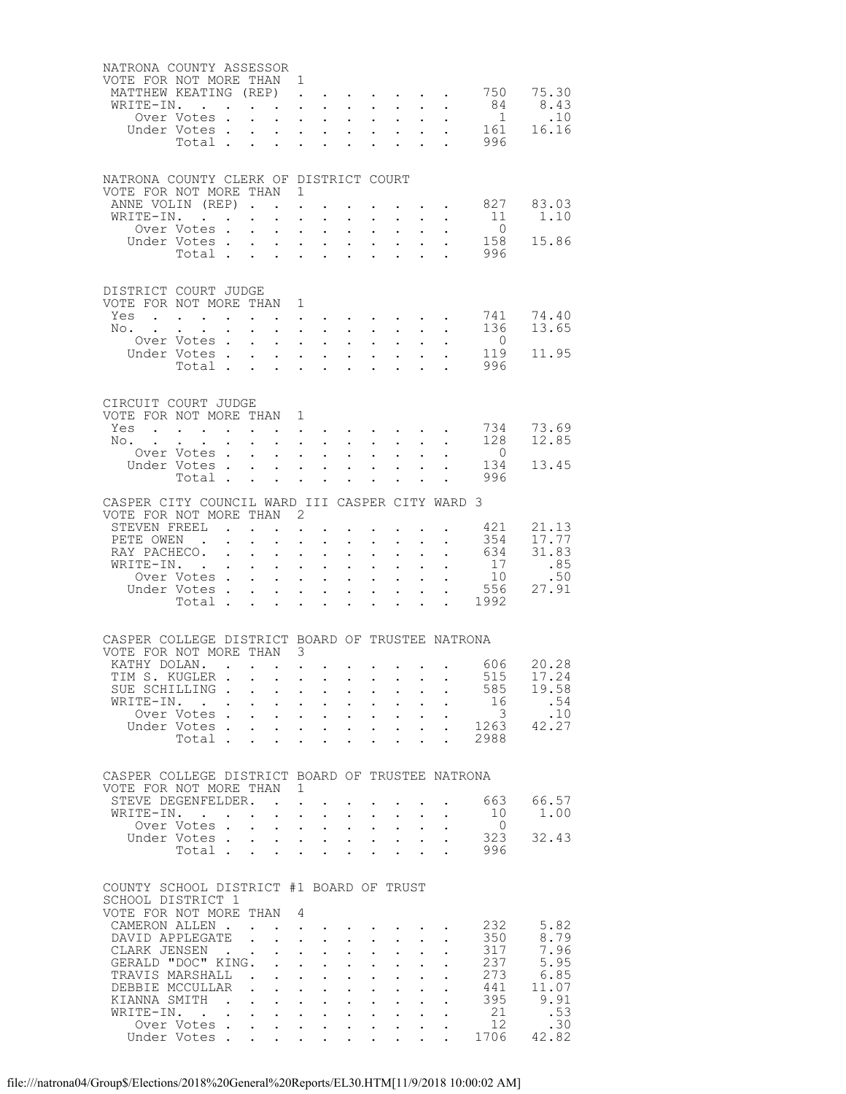| NATRONA COUNTY ASSESSOR<br>VOTE FOR NOT MORE THAN 1 |                                                                                             |                 |                           |                                      |                                                                                     |                                                                                                                                 |                                    |                                                                                                                                                                                                                                    |                                                                                     |                           |                                        |                                                             |                |
|-----------------------------------------------------|---------------------------------------------------------------------------------------------|-----------------|---------------------------|--------------------------------------|-------------------------------------------------------------------------------------|---------------------------------------------------------------------------------------------------------------------------------|------------------------------------|------------------------------------------------------------------------------------------------------------------------------------------------------------------------------------------------------------------------------------|-------------------------------------------------------------------------------------|---------------------------|----------------------------------------|-------------------------------------------------------------|----------------|
| MATTHEW KEATING (REP).<br>WRITE-IN.                 |                                                                                             |                 |                           |                                      |                                                                                     |                                                                                                                                 |                                    |                                                                                                                                                                                                                                    |                                                                                     |                           |                                        | $\cdot$ $\cdot$ $\cdot$ $\cdot$ $\cdot$ 750 75.30<br>84     | 8.43           |
|                                                     | Over Votes.                                                                                 |                 |                           | $\mathbf{L}$                         |                                                                                     | <b>Contract Contract</b>                                                                                                        |                                    |                                                                                                                                                                                                                                    | $\mathbf{L}^{\text{max}}$ , $\mathbf{L}^{\text{max}}$                               |                           |                                        | $\overline{1}$                                              | .10            |
|                                                     | Under Votes<br>Total                                                                        |                 |                           |                                      |                                                                                     |                                                                                                                                 |                                    |                                                                                                                                                                                                                                    |                                                                                     |                           |                                        | $\frac{1}{2}$ 161                                           | 16.16          |
|                                                     |                                                                                             |                 |                           |                                      |                                                                                     |                                                                                                                                 |                                    |                                                                                                                                                                                                                                    |                                                                                     |                           |                                        | 996                                                         |                |
|                                                     |                                                                                             |                 |                           |                                      |                                                                                     |                                                                                                                                 |                                    |                                                                                                                                                                                                                                    |                                                                                     |                           |                                        |                                                             |                |
| NATRONA COUNTY CLERK OF DISTRICT COURT              |                                                                                             |                 |                           |                                      |                                                                                     |                                                                                                                                 |                                    |                                                                                                                                                                                                                                    |                                                                                     |                           |                                        |                                                             |                |
| VOTE FOR NOT MORE THAN 1                            |                                                                                             |                 |                           |                                      |                                                                                     |                                                                                                                                 |                                    |                                                                                                                                                                                                                                    |                                                                                     |                           |                                        |                                                             |                |
| ANNE VOLIN (REP)                                    |                                                                                             |                 |                           |                                      |                                                                                     |                                                                                                                                 |                                    |                                                                                                                                                                                                                                    |                                                                                     |                           | $\mathbf{r} = \mathbf{r} + \mathbf{r}$ | 827                                                         | 83.03          |
| WRITE-IN.                                           | Over Votes                                                                                  |                 |                           | $\ddot{\phantom{a}}$                 | $\sim$ $-$                                                                          |                                                                                                                                 |                                    |                                                                                                                                                                                                                                    | $\mathcal{L}^{\text{max}}$ , $\mathcal{L}^{\text{max}}$                             | $\mathbf{L}^{\text{max}}$ | $\mathbf{L}^{\text{max}}$              | 11<br>$\overline{0}$                                        | 1.10           |
|                                                     | Under Votes                                                                                 |                 |                           |                                      |                                                                                     |                                                                                                                                 |                                    |                                                                                                                                                                                                                                    |                                                                                     |                           |                                        | 158                                                         | 15.86          |
|                                                     | Votes<br>Total                                                                              |                 |                           |                                      |                                                                                     |                                                                                                                                 |                                    |                                                                                                                                                                                                                                    |                                                                                     |                           |                                        | 996                                                         |                |
|                                                     |                                                                                             |                 |                           |                                      |                                                                                     |                                                                                                                                 |                                    |                                                                                                                                                                                                                                    |                                                                                     |                           |                                        |                                                             |                |
| DISTRICT COURT JUDGE                                |                                                                                             |                 |                           |                                      |                                                                                     |                                                                                                                                 |                                    |                                                                                                                                                                                                                                    |                                                                                     |                           |                                        |                                                             |                |
| VOTE FOR NOT MORE THAN 1                            |                                                                                             |                 |                           |                                      |                                                                                     |                                                                                                                                 |                                    |                                                                                                                                                                                                                                    |                                                                                     |                           |                                        |                                                             |                |
| Yes                                                 |                                                                                             |                 |                           |                                      | $\bullet$ .                                                                         |                                                                                                                                 |                                    |                                                                                                                                                                                                                                    |                                                                                     |                           |                                        | 741                                                         | 74.40          |
| No. $\cdots$ $\cdots$ $\cdots$ $\cdots$             |                                                                                             |                 |                           |                                      |                                                                                     |                                                                                                                                 |                                    | $\mathbf{r} = \mathbf{r} \times \mathbf{r}$ , where $\mathbf{r} = \mathbf{r} \times \mathbf{r}$                                                                                                                                    |                                                                                     |                           | $\ddot{\phantom{0}}$                   | 136                                                         | 13.65          |
|                                                     | Over Votes                                                                                  |                 |                           | $\mathbf{L}$                         |                                                                                     | $\mathbf{L}^{\text{max}}$                                                                                                       | $\mathbb{Z}^{\mathbb{Z}^{\times}}$ |                                                                                                                                                                                                                                    | $\mathcal{L}^{\text{max}}$<br>$\mathbf{L}^{\text{max}}$ , $\mathbf{L}^{\text{max}}$ |                           |                                        | $\overline{0}$<br>119                                       | 11.95          |
|                                                     | Under Votes<br>Total                                                                        |                 |                           | $\mathbf{L}$                         |                                                                                     | $\mathbf{L} = \mathbf{L} \mathbf{L}$                                                                                            |                                    |                                                                                                                                                                                                                                    |                                                                                     |                           |                                        | 996                                                         |                |
|                                                     |                                                                                             |                 |                           |                                      |                                                                                     |                                                                                                                                 |                                    |                                                                                                                                                                                                                                    |                                                                                     |                           |                                        |                                                             |                |
|                                                     |                                                                                             |                 |                           |                                      |                                                                                     |                                                                                                                                 |                                    |                                                                                                                                                                                                                                    |                                                                                     |                           |                                        |                                                             |                |
| CIRCUIT COURT JUDGE<br>VOTE FOR NOT MORE THAN 1     |                                                                                             |                 |                           |                                      |                                                                                     |                                                                                                                                 |                                    |                                                                                                                                                                                                                                    |                                                                                     |                           |                                        |                                                             |                |
| Yes                                                 | $\mathbf{r}_i$ . The contribution of the contribution of the contribution of $\mathbf{r}_i$ |                 |                           |                                      |                                                                                     |                                                                                                                                 |                                    |                                                                                                                                                                                                                                    |                                                                                     |                           |                                        | 734                                                         | 73.69          |
| No.                                                 |                                                                                             |                 | $\mathbf{L}^{\text{max}}$ |                                      |                                                                                     | $\mathbf{r}$ and $\mathbf{r}$ and $\mathbf{r}$                                                                                  |                                    |                                                                                                                                                                                                                                    |                                                                                     |                           |                                        | 128                                                         | 12.85          |
|                                                     | Over Votes                                                                                  |                 |                           |                                      |                                                                                     |                                                                                                                                 | $\ddot{\phantom{0}}$               | $\mathcal{L}^{\text{max}}$                                                                                                                                                                                                         | $\mathcal{L}^{\text{max}}$                                                          |                           |                                        | $\overline{0}$                                              |                |
|                                                     | Under Votes                                                                                 |                 |                           |                                      |                                                                                     | $\mathbf{r} = \mathbf{r} + \mathbf{r}$ . The $\mathbf{r}$                                                                       |                                    |                                                                                                                                                                                                                                    |                                                                                     |                           |                                        | 134<br>996                                                  | 13.45          |
|                                                     | Total                                                                                       |                 |                           |                                      |                                                                                     | $\ddot{\phantom{a}}$                                                                                                            | $\ddot{\phantom{0}}$               | $\ddot{\phantom{0}}$                                                                                                                                                                                                               |                                                                                     |                           |                                        |                                                             |                |
| CASPER CITY COUNCIL WARD III CASPER CITY WARD 3     |                                                                                             |                 |                           |                                      |                                                                                     |                                                                                                                                 |                                    |                                                                                                                                                                                                                                    |                                                                                     |                           |                                        |                                                             |                |
| VOTE FOR NOT MORE THAN 2                            |                                                                                             |                 |                           |                                      |                                                                                     |                                                                                                                                 |                                    |                                                                                                                                                                                                                                    |                                                                                     |                           |                                        |                                                             |                |
| STEVEN FREEL                                        |                                                                                             |                 |                           |                                      |                                                                                     |                                                                                                                                 |                                    | $\bullet$ . The contract of the contract of the contract of the contract of the contract of the contract of the contract of the contract of the contract of the contract of the contract of the contract of the contract of the co |                                                                                     |                           |                                        | 421                                                         | 21.13          |
| PETE OWEN .<br>RAY PACHECO.                         |                                                                                             |                 |                           | $\ddot{\phantom{0}}$                 | $\ddot{\phantom{0}}$                                                                | $\sim$<br>$\mathbf{1}^{\prime}$ , $\mathbf{1}^{\prime}$ , $\mathbf{1}^{\prime}$ , $\mathbf{1}^{\prime}$ , $\mathbf{1}^{\prime}$ | $\mathcal{L}^{\pm}$                | $\mathcal{L}^{(1)}$                                                                                                                                                                                                                | $\mathbf{z} = \mathbf{z} + \mathbf{z}$ .<br>$\mathcal{L}^{(1)}$                     | $\mathbf{L}^{\text{max}}$ | $\sim$ $-$                             | 354<br>634                                                  | 17.77<br>31.83 |
| WRITE-IN. .                                         |                                                                                             |                 |                           |                                      |                                                                                     | $\mathbf{z} = \mathbf{z} + \mathbf{z}$ , where $\mathbf{z} = \mathbf{z}$                                                        |                                    |                                                                                                                                                                                                                                    | $\mathbf{L}^{\text{max}}$ , $\mathbf{L}^{\text{max}}$                               |                           |                                        | 17                                                          | .85            |
|                                                     | Over Votes<br>Over Votes<br>Index Y                                                         |                 |                           |                                      |                                                                                     | $\mathbf{L}^{\text{max}}$ , and $\mathbf{L}^{\text{max}}$                                                                       |                                    | $\mathbf{r} = \mathbf{r} \times \mathbf{r}$ , where $\mathbf{r} = \mathbf{r} \times \mathbf{r}$                                                                                                                                    |                                                                                     |                           |                                        | $\begin{array}{cc}\n\cdot & 10 \\ \cdot & 556\n\end{array}$ | .50            |
|                                                     | Under Votes                                                                                 |                 |                           | $\mathcal{L}^{\text{max}}$           | $\mathcal{L}^{\text{max}}$                                                          | $\sim$                                                                                                                          | $\ddot{\phantom{0}}$               |                                                                                                                                                                                                                                    | $\mathbf{z} = \mathbf{z} + \mathbf{z}$                                              |                           |                                        |                                                             | 27.91          |
|                                                     | Total                                                                                       |                 |                           |                                      |                                                                                     |                                                                                                                                 |                                    | $\mathbf{1}$ $\mathbf{1}$ $\mathbf{1}$ $\mathbf{1}$ $\mathbf{1}$ $\mathbf{1}$                                                                                                                                                      |                                                                                     |                           |                                        | $\cdot$ $\cdot$ 1992                                        |                |
|                                                     |                                                                                             |                 |                           |                                      |                                                                                     |                                                                                                                                 |                                    |                                                                                                                                                                                                                                    |                                                                                     |                           |                                        |                                                             |                |
| CASPER COLLEGE DISTRICT BOARD OF TRUSTEE NATRONA    |                                                                                             |                 |                           |                                      |                                                                                     |                                                                                                                                 |                                    |                                                                                                                                                                                                                                    |                                                                                     |                           |                                        |                                                             |                |
| VOTE FOR NOT MORE THAN 3                            |                                                                                             |                 |                           |                                      |                                                                                     |                                                                                                                                 |                                    |                                                                                                                                                                                                                                    |                                                                                     |                           |                                        |                                                             |                |
| KATHY DOLAN. 606 20.28<br>TIM S. KUGLER             |                                                                                             |                 |                           |                                      |                                                                                     |                                                                                                                                 |                                    |                                                                                                                                                                                                                                    |                                                                                     |                           |                                        | 515                                                         | 17.24          |
| SUE SCHILLING.                                      |                                                                                             |                 |                           |                                      |                                                                                     |                                                                                                                                 |                                    |                                                                                                                                                                                                                                    |                                                                                     |                           |                                        | 585                                                         | 19.58          |
| WRITE-IN.                                           | $\mathcal{L}(\mathcal{A})$ , and $\mathcal{L}(\mathcal{A})$                                 |                 | $\mathbf{L}^{\text{max}}$ |                                      |                                                                                     | $\mathbf{1}^{\prime}$ , $\mathbf{1}^{\prime}$ , $\mathbf{1}^{\prime}$ , $\mathbf{1}^{\prime}$ , $\mathbf{1}^{\prime}$           | $\ddot{\phantom{0}}$               |                                                                                                                                                                                                                                    | $\mathbf{A}^{\text{max}}$ , $\mathbf{A}^{\text{max}}$                               | $\mathbf{L}^{\text{max}}$ |                                        | 16                                                          | .54            |
|                                                     | Over Votes.                                                                                 |                 | $\mathbf{L}^{\text{max}}$ | $\mathcal{L}^{\text{max}}$           |                                                                                     | $\mathbf{L}^{\text{max}}$ , and $\mathbf{L}^{\text{max}}$                                                                       |                                    |                                                                                                                                                                                                                                    | $\mathbf{L}^{\text{max}}$ , $\mathbf{L}^{\text{max}}$                               |                           |                                        | $\overline{\mathbf{3}}$                                     | .10            |
|                                                     | Under Votes<br>Total .                                                                      |                 |                           |                                      |                                                                                     |                                                                                                                                 | $\mathbf{L}^{\text{max}}$          |                                                                                                                                                                                                                                    | $\mathcal{L}^{\text{max}}$ , $\mathcal{L}^{\text{max}}$                             | $\mathbf{L}^{\text{max}}$ | $\ddot{\phantom{0}}$                   | 1263<br>2988                                                | 42.27          |
|                                                     |                                                                                             |                 |                           |                                      |                                                                                     |                                                                                                                                 |                                    |                                                                                                                                                                                                                                    |                                                                                     |                           |                                        |                                                             |                |
|                                                     |                                                                                             |                 |                           |                                      |                                                                                     |                                                                                                                                 |                                    |                                                                                                                                                                                                                                    |                                                                                     |                           |                                        |                                                             |                |
| CASPER COLLEGE DISTRICT BOARD OF TRUSTEE NATRONA    |                                                                                             |                 |                           |                                      |                                                                                     |                                                                                                                                 |                                    |                                                                                                                                                                                                                                    |                                                                                     |                           |                                        |                                                             |                |
| VOTE FOR NOT MORE THAN<br>STEVE DEGENFELDER.        |                                                                                             |                 |                           |                                      | $\mathbf{1}$                                                                        |                                                                                                                                 |                                    |                                                                                                                                                                                                                                    |                                                                                     |                           |                                        | 663                                                         | 66.57          |
| WRITE-IN. .                                         |                                                                                             |                 |                           |                                      | $\mathbf{L}^{\text{max}}$                                                           |                                                                                                                                 |                                    |                                                                                                                                                                                                                                    |                                                                                     |                           |                                        | 10                                                          | 1.00           |
|                                                     | Over Votes.                                                                                 |                 | $\ddot{\phantom{0}}$      |                                      | $\mathbf{L}^{\text{max}}$ , $\mathbf{L}^{\text{max}}$                               | $\mathcal{L}^{\text{max}}$                                                                                                      | $\mathbb{Z}^{\mathbb{Z}}$          | $\mathcal{L}^{(1)}$                                                                                                                                                                                                                | $\mathbb{Z}^{\mathbb{Z}^{\times}}$                                                  | $\ddot{\phantom{0}}$      |                                        | $\overline{0}$                                              |                |
|                                                     | Under Votes.                                                                                |                 | $\mathbf{L}$              |                                      |                                                                                     | $\Delta \phi = \Delta \phi$ and $\Delta \phi$                                                                                   |                                    |                                                                                                                                                                                                                                    | $\mathbf{r} = \mathbf{r} \mathbf{r}$ .                                              |                           |                                        | 323                                                         | 32.43          |
|                                                     | Total                                                                                       |                 |                           |                                      | $\ddot{\phantom{a}}$                                                                | $\mathbf{L}$                                                                                                                    | $\ddot{\phantom{0}}$               |                                                                                                                                                                                                                                    |                                                                                     | $\mathbf{L}$              |                                        | 996                                                         |                |
|                                                     |                                                                                             |                 |                           |                                      |                                                                                     |                                                                                                                                 |                                    |                                                                                                                                                                                                                                    |                                                                                     |                           |                                        |                                                             |                |
| COUNTY SCHOOL DISTRICT #1 BOARD OF TRUST            |                                                                                             |                 |                           |                                      |                                                                                     |                                                                                                                                 |                                    |                                                                                                                                                                                                                                    |                                                                                     |                           |                                        |                                                             |                |
| SCHOOL DISTRICT 1                                   |                                                                                             |                 |                           |                                      |                                                                                     |                                                                                                                                 |                                    |                                                                                                                                                                                                                                    |                                                                                     |                           |                                        |                                                             |                |
| VOTE FOR NOT MORE THAN<br>CAMERON ALLEN.            |                                                                                             |                 |                           |                                      | 4                                                                                   |                                                                                                                                 |                                    |                                                                                                                                                                                                                                    |                                                                                     |                           |                                        | 232                                                         | 5.82           |
| DAVID APPLEGATE                                     |                                                                                             |                 |                           |                                      | $\mathbf{L}$                                                                        | $\ddot{\phantom{a}}$                                                                                                            |                                    |                                                                                                                                                                                                                                    |                                                                                     |                           |                                        | 350                                                         | 8.79           |
| CLARK JENSEN.                                       |                                                                                             |                 | <b>Contract Contract</b>  |                                      | $\ddot{\phantom{0}}$                                                                | $\sim$                                                                                                                          | $\ddot{\phantom{0}}$               | $\mathcal{L}^{\text{max}}$                                                                                                                                                                                                         | $\ddot{\phantom{0}}$                                                                |                           |                                        | 317                                                         | 7.96           |
| GERALD "DOC" KING.                                  |                                                                                             |                 |                           |                                      | $\mathbf{L}$                                                                        | $\ddot{\phantom{0}}$                                                                                                            |                                    |                                                                                                                                                                                                                                    |                                                                                     |                           |                                        | 237                                                         | 5.95           |
| TRAVIS MARSHALL<br>DEBBIE MCCULLAR                  |                                                                                             |                 |                           | $\ddot{\phantom{0}}$<br>$\mathbf{A}$ | $\mathbf{L}^{\text{max}}$                                                           | $\ddot{\phantom{0}}$                                                                                                            |                                    | $\ddot{\phantom{0}}$                                                                                                                                                                                                               | $\ddot{\phantom{0}}$                                                                |                           |                                        | 273<br>441                                                  | 6.85<br>11.07  |
| KIANNA SMITH                                        |                                                                                             | <b>Contract</b> | $\bullet$ .               |                                      | $\mathcal{L}^{\text{max}}$<br>$\mathbf{L}^{\text{max}}$ , $\mathbf{L}^{\text{max}}$ | $\mathbf{L}$<br>$\sim$                                                                                                          | $\ddot{\phantom{0}}$               | $\sim$ $-$                                                                                                                                                                                                                         | $\ddot{\phantom{0}}$                                                                |                           |                                        | 395                                                         | 9.91           |
| WRITE-IN.                                           | <b>Contract</b>                                                                             |                 |                           |                                      | $\mathbf{L} = \mathbf{L}$                                                           | $\ddot{\phantom{0}}$                                                                                                            |                                    |                                                                                                                                                                                                                                    |                                                                                     |                           |                                        | 21                                                          | .53            |
|                                                     | Over Votes .                                                                                |                 |                           | $\mathcal{L}^{\text{max}}$           | $\mathbf{L}^{\text{max}}$                                                           | $\ddot{\phantom{0}}$                                                                                                            | $\ddot{\phantom{0}}$               | $\mathbf{L}^{\text{max}}$                                                                                                                                                                                                          | $\bullet$ .                                                                         |                           |                                        | 12 <sup>°</sup>                                             | .30            |
|                                                     | Under Votes.                                                                                |                 |                           |                                      |                                                                                     |                                                                                                                                 |                                    |                                                                                                                                                                                                                                    |                                                                                     |                           |                                        | 1706                                                        | 42.82          |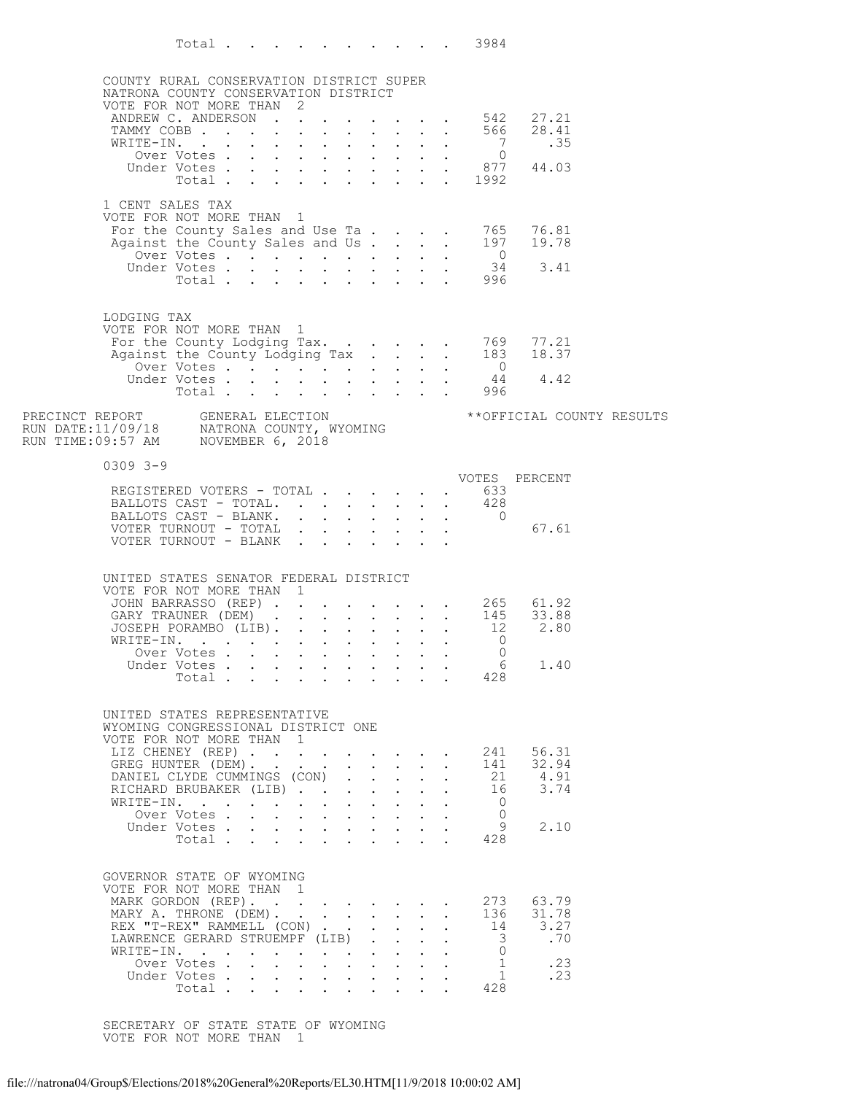|                                                                                                                                 | Total .     | the contract of the contract of the contract of the contract of the contract of the contract of the contract of |                                                                                                        |  |              |                      | 3984                                        |                                                                                                              |  |
|---------------------------------------------------------------------------------------------------------------------------------|-------------|-----------------------------------------------------------------------------------------------------------------|--------------------------------------------------------------------------------------------------------|--|--------------|----------------------|---------------------------------------------|--------------------------------------------------------------------------------------------------------------|--|
|                                                                                                                                 |             |                                                                                                                 |                                                                                                        |  |              |                      |                                             |                                                                                                              |  |
| COUNTY RURAL CONSERVATION DISTRICT SUPER<br>NATRONA COUNTY CONSERVATION DISTRICT                                                |             |                                                                                                                 |                                                                                                        |  |              |                      |                                             |                                                                                                              |  |
| VOTE FOR NOT MORE THAN 2                                                                                                        |             |                                                                                                                 |                                                                                                        |  |              |                      |                                             |                                                                                                              |  |
|                                                                                                                                 |             |                                                                                                                 |                                                                                                        |  |              |                      |                                             |                                                                                                              |  |
|                                                                                                                                 |             |                                                                                                                 |                                                                                                        |  |              |                      |                                             | TOTE FOR NOT MORE THAN<br>ANDREW C. ANDERSON 542 27.21<br>TAMMY COBB 566 28.41<br>WRITE-IN. 7 .35            |  |
|                                                                                                                                 |             |                                                                                                                 |                                                                                                        |  |              |                      |                                             |                                                                                                              |  |
|                                                                                                                                 |             |                                                                                                                 |                                                                                                        |  |              |                      |                                             | XITE-IN. 0<br>Over Votes 877 44.03<br>Under Total 1992                                                       |  |
|                                                                                                                                 |             |                                                                                                                 |                                                                                                        |  |              |                      |                                             |                                                                                                              |  |
| 1 CENT SALES TAX                                                                                                                |             |                                                                                                                 |                                                                                                        |  |              |                      |                                             |                                                                                                              |  |
| VOTE FOR NOT MORE THAN 1                                                                                                        |             |                                                                                                                 |                                                                                                        |  |              |                      |                                             |                                                                                                              |  |
|                                                                                                                                 |             |                                                                                                                 |                                                                                                        |  |              |                      |                                             | For the County Sales and Use Ta 765 76.81<br>Against the County Sales and Us. 197 19.78                      |  |
|                                                                                                                                 |             |                                                                                                                 |                                                                                                        |  |              |                      |                                             |                                                                                                              |  |
|                                                                                                                                 |             |                                                                                                                 |                                                                                                        |  |              |                      | Over Votes 0<br>Under Votes 34<br>Total 996 | 3.41                                                                                                         |  |
|                                                                                                                                 |             |                                                                                                                 |                                                                                                        |  |              |                      |                                             |                                                                                                              |  |
|                                                                                                                                 |             |                                                                                                                 |                                                                                                        |  |              |                      |                                             |                                                                                                              |  |
| LODGING TAX                                                                                                                     |             |                                                                                                                 |                                                                                                        |  |              |                      |                                             |                                                                                                              |  |
| VOTE FOR NOT MORE THAN 1                                                                                                        |             |                                                                                                                 |                                                                                                        |  |              |                      |                                             |                                                                                                              |  |
|                                                                                                                                 |             |                                                                                                                 |                                                                                                        |  |              |                      |                                             |                                                                                                              |  |
|                                                                                                                                 |             |                                                                                                                 |                                                                                                        |  |              |                      |                                             |                                                                                                              |  |
|                                                                                                                                 | Under Votes |                                                                                                                 |                                                                                                        |  |              |                      | Votes 44<br>Total 996                       | 44 4.42                                                                                                      |  |
|                                                                                                                                 |             |                                                                                                                 |                                                                                                        |  |              |                      |                                             |                                                                                                              |  |
|                                                                                                                                 |             |                                                                                                                 |                                                                                                        |  |              |                      |                                             | ** OFFICIAL COUNTY RESULTS                                                                                   |  |
| PRECINCT REPORT     GENERAL ELECTION<br>RUN DATE:11/09/18     NATRONA COUNTY, WYOMING<br>RUN TIME:09:57 AM     NOVEMBER 6, 2018 |             |                                                                                                                 |                                                                                                        |  |              |                      |                                             |                                                                                                              |  |
|                                                                                                                                 |             |                                                                                                                 |                                                                                                        |  |              |                      |                                             |                                                                                                              |  |
| $0309$ $3 - 9$                                                                                                                  |             |                                                                                                                 |                                                                                                        |  |              |                      |                                             |                                                                                                              |  |
|                                                                                                                                 |             |                                                                                                                 |                                                                                                        |  |              |                      |                                             | VOTES PERCENT                                                                                                |  |
| REGISTERED VOTERS - TOTAL 633<br>BALLOTS CAST - TOTAL.                                                                          |             |                                                                                                                 |                                                                                                        |  |              |                      |                                             |                                                                                                              |  |
| BALLOTS CAST - TOTAL. 428<br>BALLOTS CAST - BLANK. 0                                                                            |             |                                                                                                                 |                                                                                                        |  |              |                      |                                             |                                                                                                              |  |
| VOTER TURNOUT - TOTAL                                                                                                           |             |                                                                                                                 |                                                                                                        |  |              |                      |                                             | 67.61                                                                                                        |  |
| VOTER TURNOUT - BLANK                                                                                                           |             |                                                                                                                 |                                                                                                        |  |              |                      |                                             |                                                                                                              |  |
|                                                                                                                                 |             |                                                                                                                 |                                                                                                        |  |              |                      |                                             |                                                                                                              |  |
| UNITED STATES SENATOR FEDERAL DISTRICT                                                                                          |             |                                                                                                                 |                                                                                                        |  |              |                      |                                             |                                                                                                              |  |
| VOTE FOR NOT MORE THAN 1                                                                                                        |             |                                                                                                                 |                                                                                                        |  |              |                      |                                             |                                                                                                              |  |
|                                                                                                                                 |             |                                                                                                                 |                                                                                                        |  |              |                      |                                             | JOHN BARRASSO (REP) 265 61.92<br>GARY TRAUNER (DEM) 145 33.88<br>JOSEPH PORAMBO (LIB) 12 2.80<br>WRITE-IN. 0 |  |
|                                                                                                                                 |             |                                                                                                                 |                                                                                                        |  |              |                      |                                             |                                                                                                              |  |
|                                                                                                                                 | Over Votes  |                                                                                                                 |                                                                                                        |  |              |                      | $\Omega$                                    |                                                                                                              |  |
|                                                                                                                                 | Under Votes |                                                                                                                 |                                                                                                        |  |              |                      | 6                                           | 1.40                                                                                                         |  |
|                                                                                                                                 | Total       |                                                                                                                 |                                                                                                        |  |              |                      | 428                                         |                                                                                                              |  |
|                                                                                                                                 |             |                                                                                                                 |                                                                                                        |  |              |                      |                                             |                                                                                                              |  |
| UNITED STATES REPRESENTATIVE                                                                                                    |             |                                                                                                                 |                                                                                                        |  |              |                      |                                             |                                                                                                              |  |
| WYOMING CONGRESSIONAL DISTRICT ONE                                                                                              |             |                                                                                                                 |                                                                                                        |  |              |                      |                                             |                                                                                                              |  |
| VOTE FOR NOT MORE THAN 1<br>LIZ CHENEY (REP)                                                                                    |             |                                                                                                                 |                                                                                                        |  |              |                      | 241                                         | 56.31                                                                                                        |  |
| GREG HUNTER (DEM).                                                                                                              |             |                                                                                                                 |                                                                                                        |  |              |                      | 141                                         | 32.94                                                                                                        |  |
| DANIEL CLYDE CUMMINGS (CON)                                                                                                     |             |                                                                                                                 |                                                                                                        |  |              | $\ddot{\phantom{a}}$ | 21                                          | 4.91                                                                                                         |  |
| RICHARD BRUBAKER (LIB)<br>WRITE-IN.                                                                                             |             |                                                                                                                 | $\mathbf{r} = \mathbf{r} + \mathbf{r} + \mathbf{r} + \mathbf{r} + \mathbf{r}$                          |  |              | $\ddot{\phantom{a}}$ | 16<br>$\mathbf{0}$                          | 3.74                                                                                                         |  |
|                                                                                                                                 | Over Votes  |                                                                                                                 | $\mathbf{r}$ , $\mathbf{r}$ , $\mathbf{r}$ , $\mathbf{r}$ , $\mathbf{r}$                               |  |              |                      | $\Omega$                                    |                                                                                                              |  |
|                                                                                                                                 | Under Votes | $\sim$ $\sim$                                                                                                   | $\mathbf{r} = \mathbf{r} + \mathbf{r} + \mathbf{r} + \mathbf{r} + \mathbf{r}$                          |  |              |                      | 9                                           | 2.10                                                                                                         |  |
|                                                                                                                                 | Total       |                                                                                                                 |                                                                                                        |  |              |                      | 428                                         |                                                                                                              |  |
|                                                                                                                                 |             |                                                                                                                 |                                                                                                        |  |              |                      |                                             |                                                                                                              |  |
| GOVERNOR STATE OF WYOMING                                                                                                       |             |                                                                                                                 |                                                                                                        |  |              |                      |                                             |                                                                                                              |  |
| VOTE FOR NOT MORE THAN 1                                                                                                        |             |                                                                                                                 |                                                                                                        |  |              |                      | 273                                         | 63.79                                                                                                        |  |
| MARK GORDON (REP).<br>MARY A. THRONE (DEM).                                                                                     |             |                                                                                                                 | $\mathbf{r}$ , $\mathbf{r}$ , $\mathbf{r}$ , $\mathbf{r}$ , $\mathbf{r}$ , $\mathbf{r}$ , $\mathbf{r}$ |  |              |                      | 136                                         | 31.78                                                                                                        |  |
| REX "T-REX" RAMMELL (CON)                                                                                                       |             |                                                                                                                 |                                                                                                        |  | $\mathbf{L}$ | $\ddot{\phantom{a}}$ | 14                                          | 3.27                                                                                                         |  |
| LAWRENCE GERARD STRUEMPF (LIB)                                                                                                  |             |                                                                                                                 |                                                                                                        |  |              |                      | 3                                           | .70                                                                                                          |  |
| WRITE-IN.                                                                                                                       | Over Votes. |                                                                                                                 | $\mathbf{r} = \mathbf{r} + \mathbf{r} + \mathbf{r} + \mathbf{r} + \mathbf{r}$                          |  |              |                      | $\mathbf{0}$<br>$\mathbf{1}$                | .23                                                                                                          |  |
|                                                                                                                                 | Under Votes |                                                                                                                 | $\mathbf{r} = \mathbf{r} + \mathbf{r} + \mathbf{r} + \mathbf{r} + \mathbf{r}$                          |  |              |                      | $\mathbf{1}$                                | .23                                                                                                          |  |
|                                                                                                                                 | Total       |                                                                                                                 |                                                                                                        |  |              |                      | 428                                         |                                                                                                              |  |

SECRETARY OF STATE STATE OF WYOMING VOTE FOR NOT MORE THAN 1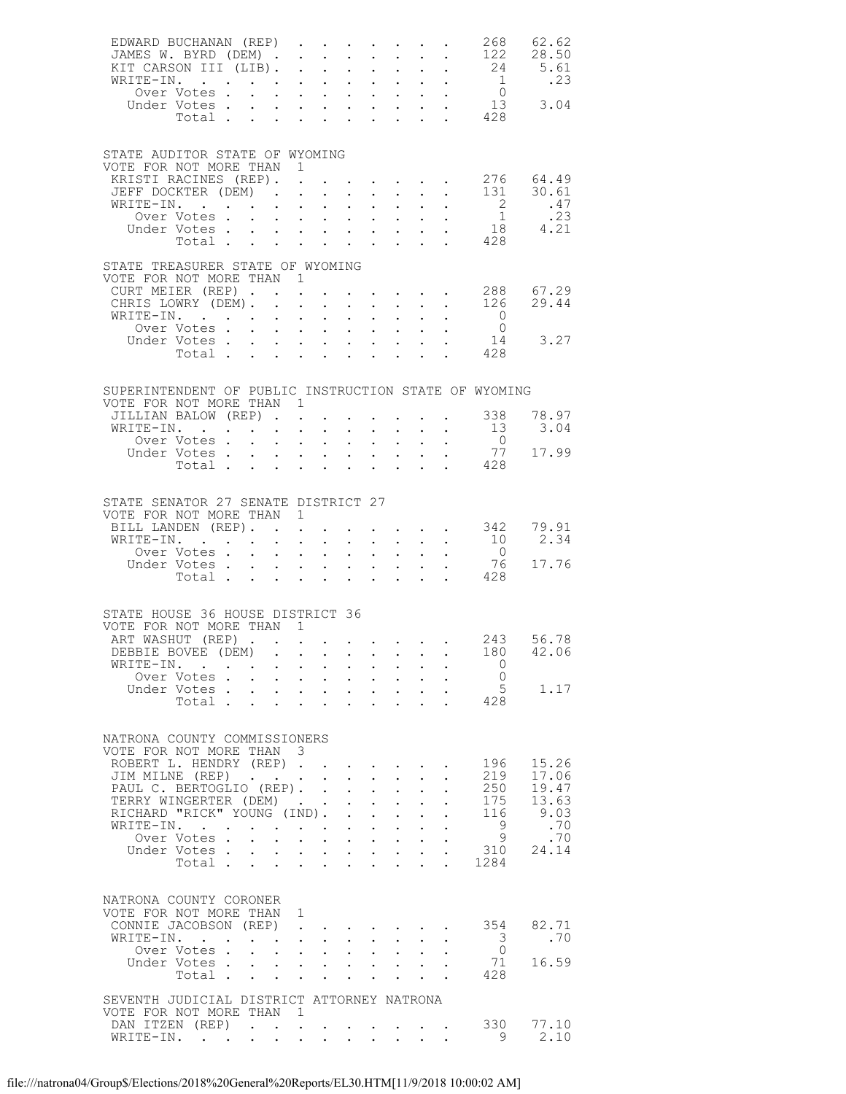| EDWARD BUCHANAN (REP)                                                             |                                                           |                                                                     |                                                                                                                         |                                                                    |                                                                                                                                                                                                      |                 |                                          |                                                                                                 |                                                                                                                                |                                                                                           | 268 62.62                              |
|-----------------------------------------------------------------------------------|-----------------------------------------------------------|---------------------------------------------------------------------|-------------------------------------------------------------------------------------------------------------------------|--------------------------------------------------------------------|------------------------------------------------------------------------------------------------------------------------------------------------------------------------------------------------------|-----------------|------------------------------------------|-------------------------------------------------------------------------------------------------|--------------------------------------------------------------------------------------------------------------------------------|-------------------------------------------------------------------------------------------|----------------------------------------|
| STATE AUDITOR STATE OF WYOMING<br>VOTE FOR NOT MORE THAN 1                        |                                                           |                                                                     |                                                                                                                         |                                                                    |                                                                                                                                                                                                      |                 |                                          |                                                                                                 |                                                                                                                                |                                                                                           |                                        |
| KRISTI RACINES (REP). 276 64.49<br>JEFF DOCKTER (DEM).<br>WRITE-IN.               |                                                           |                                                                     |                                                                                                                         |                                                                    |                                                                                                                                                                                                      |                 |                                          |                                                                                                 |                                                                                                                                |                                                                                           |                                        |
|                                                                                   | Total                                                     |                                                                     |                                                                                                                         |                                                                    | $\mathbf{r}$ , $\mathbf{r}$ , $\mathbf{r}$ , $\mathbf{r}$ , $\mathbf{r}$                                                                                                                             |                 |                                          |                                                                                                 |                                                                                                                                | . 428                                                                                     |                                        |
| STATE TREASURER STATE OF WYOMING<br>VOTE FOR NOT MORE THAN 1                      |                                                           |                                                                     |                                                                                                                         |                                                                    |                                                                                                                                                                                                      |                 |                                          |                                                                                                 |                                                                                                                                |                                                                                           |                                        |
| CURT MEIER (REP) 288 67.29<br>CHRIS LOWRY (DEM) 126 29.44<br>WRITE-IN.            | Over Votes                                                |                                                                     |                                                                                                                         |                                                                    | $\bullet$ .<br><br><br><br><br><br><br><br><br><br><br><br>                                                                                                                                          |                 | $\mathbf{L}$ and $\mathbf{L}$            |                                                                                                 | $\frac{1}{2}$ and $\frac{1}{2}$                                                                                                | $\overline{0}$                                                                            |                                        |
| Under Votes                                                                       | Total 428                                                 |                                                                     | $\mathbf{u}^{\prime}$ , $\mathbf{u}^{\prime}$ , $\mathbf{u}^{\prime}$ , $\mathbf{u}^{\prime}$ , $\mathbf{u}^{\prime}$ , |                                                                    |                                                                                                                                                                                                      |                 |                                          |                                                                                                 | $\mathbf{r} = \mathbf{r} + \mathbf{r} + \mathbf{r} + \mathbf{r}$                                                               |                                                                                           | $\begin{matrix}0\\14\end{matrix}$ 3.27 |
| SUPERINTENDENT OF PUBLIC INSTRUCTION STATE OF WYOMING<br>VOTE FOR NOT MORE THAN 1 |                                                           |                                                                     |                                                                                                                         |                                                                    |                                                                                                                                                                                                      |                 |                                          |                                                                                                 |                                                                                                                                |                                                                                           |                                        |
| JILLIAN BALOW (REP)<br>WRITE-IN.                                                  |                                                           |                                                                     |                                                                                                                         | $\mathbf{r}$                                                       | $\mathbf{r} = \mathbf{r}$                                                                                                                                                                            |                 |                                          |                                                                                                 |                                                                                                                                | $\cdot$ $\cdot$ $\cdot$ $\cdot$ 338<br>$\cdot$ $\cdot$ $\cdot$ $\cdot$ $\cdot$ $\cdot$ 13 | 78.97<br>3.04                          |
| Over Votes<br>Under Votes.                                                        |                                                           |                                                                     | $\sim$                                                                                                                  | <b>Carl Carl Control</b>                                           | $\bullet$ .<br><br><br><br><br><br><br><br><br><br><br><br>                                                                                                                                          |                 |                                          |                                                                                                 | $\mathcal{L}^{\mathcal{A}}(\mathcal{A})$ , $\mathcal{L}^{\mathcal{A}}(\mathcal{A})$ , $\mathcal{L}^{\mathcal{A}}(\mathcal{A})$ | $\overline{0}$<br>77                                                                      | 17.99                                  |
|                                                                                   | Total                                                     |                                                                     | $\sim$                                                                                                                  |                                                                    | $\mathbf{r}$ , $\mathbf{r}$ , $\mathbf{r}$                                                                                                                                                           |                 |                                          |                                                                                                 | $\mathbf{L} = \mathbf{L} \times \mathbf{L} = \mathbf{L} \times \mathbf{L}$                                                     | 428                                                                                       |                                        |
| STATE SENATOR 27 SENATE DISTRICT 27<br>VOTE FOR NOT MORE THAN 1                   |                                                           |                                                                     |                                                                                                                         |                                                                    |                                                                                                                                                                                                      |                 |                                          |                                                                                                 |                                                                                                                                |                                                                                           |                                        |
| BILL LANDEN (REP). 342 79.91<br>WRITE-IN.                                         |                                                           |                                                                     |                                                                                                                         |                                                                    |                                                                                                                                                                                                      |                 |                                          |                                                                                                 | $\frac{1}{2}$ $\frac{1}{2}$ $\frac{1}{2}$ $\frac{1}{2}$ $\frac{1}{2}$                                                          | 10                                                                                        | 2.34                                   |
| Under Votes 76<br>Total 428                                                       | Over Votes                                                |                                                                     |                                                                                                                         |                                                                    | $\mathbf{r}$ . The set of $\mathbf{r}$                                                                                                                                                               |                 |                                          |                                                                                                 |                                                                                                                                | $\overline{0}$<br>76                                                                      | 17.76                                  |
| STATE HOUSE 36 HOUSE DISTRICT 36                                                  |                                                           |                                                                     |                                                                                                                         |                                                                    |                                                                                                                                                                                                      |                 |                                          |                                                                                                 |                                                                                                                                |                                                                                           |                                        |
| VOTE FOR NOT MORE THAN 1<br>ART WASHUT (REP) 243 56.78                            |                                                           |                                                                     |                                                                                                                         |                                                                    |                                                                                                                                                                                                      |                 |                                          |                                                                                                 |                                                                                                                                |                                                                                           |                                        |
| DEBBIE BOVEE (DEM) 180 42.06<br>WRITE-IN.                                         |                                                           |                                                                     |                                                                                                                         |                                                                    |                                                                                                                                                                                                      |                 |                                          |                                                                                                 |                                                                                                                                | 0                                                                                         |                                        |
|                                                                                   | Over Votes                                                |                                                                     |                                                                                                                         |                                                                    |                                                                                                                                                                                                      |                 |                                          |                                                                                                 |                                                                                                                                | $\overline{0}$                                                                            |                                        |
| Under Votes                                                                       | Total                                                     |                                                                     |                                                                                                                         | <b>Service</b> State                                               | $\ddot{\phantom{0}}$<br>$\mathbf{r}$ , $\mathbf{r}$ , $\mathbf{r}$ , $\mathbf{r}$                                                                                                                    |                 |                                          |                                                                                                 | $\mathbf{r} = \mathbf{r} \times \mathbf{r} = \mathbf{r} \times \mathbf{r}$                                                     | 5<br>428                                                                                  | 1.17                                   |
| NATRONA COUNTY COMMISSIONERS<br>VOTE FOR NOT MORE THAN 3                          |                                                           |                                                                     |                                                                                                                         |                                                                    |                                                                                                                                                                                                      |                 |                                          |                                                                                                 |                                                                                                                                |                                                                                           |                                        |
| ROBERT L. HENDRY (REP)                                                            |                                                           |                                                                     |                                                                                                                         |                                                                    |                                                                                                                                                                                                      |                 |                                          |                                                                                                 |                                                                                                                                | 196                                                                                       | 15.26<br>17.06                         |
| JIM MILNE (REP)<br>PAUL C. BERTOGLIO (REP). .                                     |                                                           |                                                                     |                                                                                                                         |                                                                    | $\ddot{\phantom{0}}$                                                                                                                                                                                 | $1 - 1 - 1$     | $\mathbf{L} = \mathbf{L}$                |                                                                                                 |                                                                                                                                | 219<br>250                                                                                | 19.47                                  |
| TERRY WINGERTER (DEM)<br>RICHARD "RICK" YOUNG (IND). .                            |                                                           |                                                                     |                                                                                                                         |                                                                    | $\mathbf{L}$                                                                                                                                                                                         | $\mathbf{r}$    | $\cdot$ $\cdot$ $\cdot$                  | $\ddot{\phantom{a}}$<br>$\ddot{\phantom{0}}$                                                    |                                                                                                                                | 175<br>116                                                                                | 13.63<br>9.03                          |
| WRITE-IN.                                                                         | $\mathbf{r}$ , $\mathbf{r}$ , $\mathbf{r}$ , $\mathbf{r}$ |                                                                     |                                                                                                                         |                                                                    | $\mathbf{r} = \mathbf{r} + \mathbf{r} + \mathbf{r}$                                                                                                                                                  |                 | $\mathbf{L}$                             | $\mathbf{L}^{\text{max}}$                                                                       |                                                                                                                                | - 9                                                                                       | .70                                    |
| Under Votes                                                                       | Over Votes.                                               | $\mathbf{z} = \mathbf{z}$                                           | $\ddot{\phantom{a}}$<br>$\sim$                                                                                          |                                                                    | <b>All Contracts</b><br>$\mathbf{r}$ , $\mathbf{r}$ , $\mathbf{r}$ , $\mathbf{r}$ , $\mathbf{r}$                                                                                                     |                 | $\mathbf{z} = \mathbf{z} + \mathbf{z}$ . | $\sim$<br>$\Delta \sim 10^{-11}$                                                                |                                                                                                                                | 9<br>310                                                                                  | .70<br>24.14                           |
|                                                                                   | Total .                                                   | $\mathcal{L}^{\text{max}}$                                          | $\ddot{\phantom{a}}$                                                                                                    | $\sim$                                                             | $\ddot{\phantom{0}}$                                                                                                                                                                                 |                 | $\mathbf{L} = \mathbf{L}$                |                                                                                                 | $\mathbf{r}$                                                                                                                   | 1284                                                                                      |                                        |
| NATRONA COUNTY CORONER                                                            |                                                           |                                                                     |                                                                                                                         |                                                                    |                                                                                                                                                                                                      |                 |                                          |                                                                                                 |                                                                                                                                |                                                                                           |                                        |
| VOTE FOR NOT MORE THAN 1<br>CONNIE JACOBSON (REP)                                 |                                                           |                                                                     | $\mathbf{r}$ , $\mathbf{r}$ , $\mathbf{r}$ , $\mathbf{r}$ , $\mathbf{r}$ , $\mathbf{r}$                                 |                                                                    |                                                                                                                                                                                                      |                 |                                          |                                                                                                 |                                                                                                                                | 354                                                                                       | 82.71                                  |
| WRITE-IN.                                                                         |                                                           | $\cdot$ $\cdot$                                                     |                                                                                                                         | $\mathcal{L}(\mathcal{A})$ and $\mathcal{L}(\mathcal{A})$ .        | $\ddot{\phantom{0}}$                                                                                                                                                                                 | $\sim 10^{-11}$ | $\ddot{\phantom{0}}$                     |                                                                                                 |                                                                                                                                | 3                                                                                         | .70                                    |
| Under Votes.                                                                      | Over Votes.<br>Total                                      | $\mathbf{r}$ , $\mathbf{r}$ , $\mathbf{r}$ , $\mathbf{r}$<br>$\sim$ | $\ddot{\phantom{0}}$<br>$\sim$                                                                                          | $\mathbf{r}$ , $\mathbf{r}$ , $\mathbf{r}$<br>$\ddot{\phantom{a}}$ | $\ddot{\phantom{0}}$<br>$\mathbf{L}$                                                                                                                                                                 | $\mathbf{L}$    | $\mathbf{L}$                             | $\mathbf{r} = \mathbf{r} + \mathbf{r} + \mathbf{r}$ .<br>$\mathbf{r} = \mathbf{r} + \mathbf{r}$ |                                                                                                                                | $\overline{0}$<br>71<br>428                                                               | 16.59                                  |
| SEVENTH JUDICIAL DISTRICT ATTORNEY NATRONA                                        |                                                           |                                                                     |                                                                                                                         |                                                                    |                                                                                                                                                                                                      |                 |                                          |                                                                                                 |                                                                                                                                |                                                                                           |                                        |
| VOTE FOR NOT MORE THAN                                                            |                                                           |                                                                     | $\overline{1}$                                                                                                          |                                                                    |                                                                                                                                                                                                      |                 |                                          |                                                                                                 |                                                                                                                                |                                                                                           |                                        |
| DAN ITZEN (REP)<br>WRITE-IN.                                                      |                                                           |                                                                     |                                                                                                                         |                                                                    | $\mathbf{r} = \left( \mathbf{r} \right) \left( \mathbf{r} \right) \left( \mathbf{r} \right) \left( \mathbf{r} \right) \left( \mathbf{r} \right) \left( \mathbf{r} \right) \left( \mathbf{r} \right)$ |                 |                                          | $\mathbf{L}$                                                                                    |                                                                                                                                | 330<br>9                                                                                  | 77.10<br>2.10                          |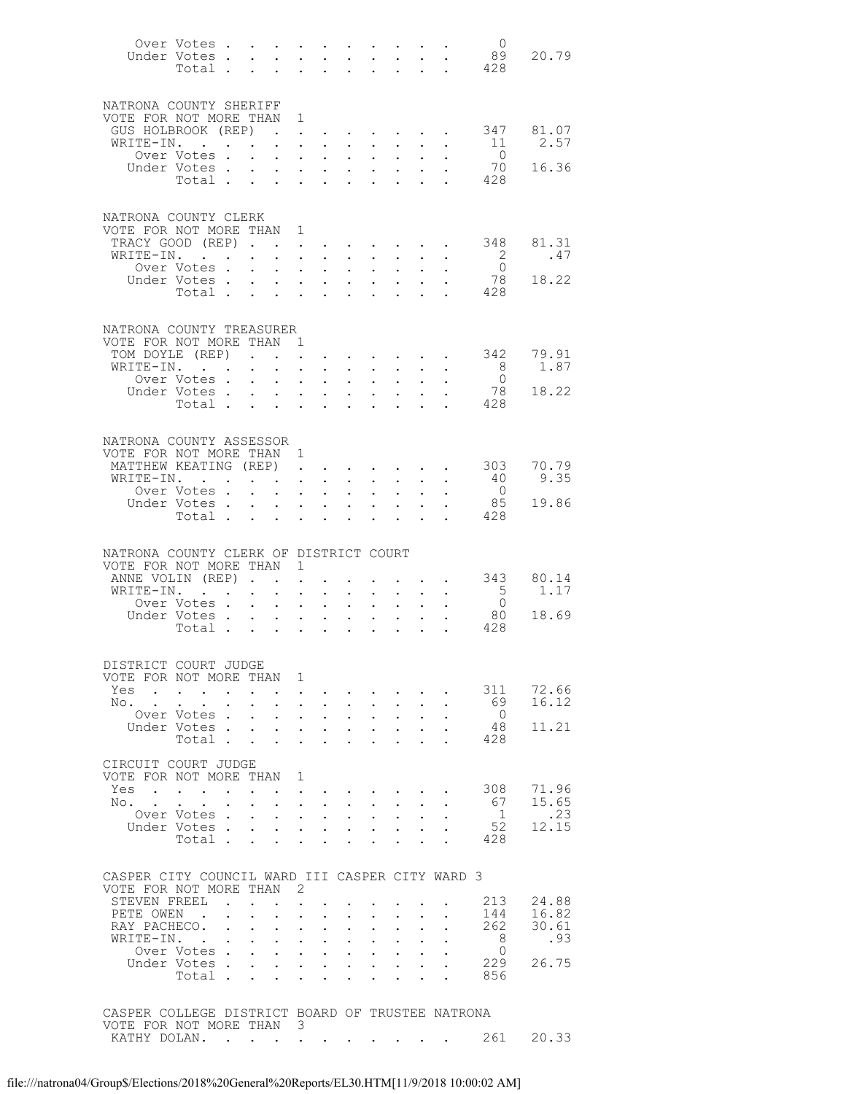|                                                  | Over Votes<br>Under Votes .<br>Total .                                                       |                      | $\mathbf{L}$<br>$\ddot{\phantom{a}}$                        | $\mathbf{L}^{\text{max}}$                                                   | $\ddot{\phantom{a}}$                                    | <b>Carl Carl Corp.</b><br>$\mathbf{L}^{\text{max}}$ , and $\mathbf{L}^{\text{max}}$<br>$\ddot{\phantom{a}}$ | $\sim$<br>$\sim$                             | $\sim$ $-$<br>$\ddot{\phantom{a}}$                                                  | $\sim$<br>$\mathbf{z} = \mathbf{z} + \mathbf{z}$ . | $\sim$                                                      | $\mathcal{L}^{\text{max}}$<br>$\mathbf{L}$                                    | $\overline{0}$<br>89<br>428                                | 20.79        |
|--------------------------------------------------|----------------------------------------------------------------------------------------------|----------------------|-------------------------------------------------------------|-----------------------------------------------------------------------------|---------------------------------------------------------|-------------------------------------------------------------------------------------------------------------|----------------------------------------------|-------------------------------------------------------------------------------------|----------------------------------------------------|-------------------------------------------------------------|-------------------------------------------------------------------------------|------------------------------------------------------------|--------------|
| NATRONA COUNTY SHERIFF<br>VOTE FOR NOT MORE THAN |                                                                                              |                      |                                                             |                                                                             | 1                                                       |                                                                                                             |                                              |                                                                                     |                                                    |                                                             |                                                                               |                                                            |              |
| GUS HOLBROOK (REP)                               |                                                                                              |                      |                                                             | $\mathbf{L}$ and $\mathbf{L}$                                               |                                                         | $\ddot{\phantom{a}}$                                                                                        |                                              |                                                                                     |                                                    |                                                             | $\mathbf{r} = \mathbf{r} + \mathbf{r} + \mathbf{r} + \mathbf{r} + \mathbf{r}$ | 347                                                        | 81.07        |
| WRITE-IN.                                        |                                                                                              |                      |                                                             |                                                                             | $\bullet$ .<br><br><br><br><br><br><br><br><br><br><br> | $\sim$ $\sim$                                                                                               | $\ddot{\phantom{a}}$                         | $\sim$ 100 $\pm$                                                                    | $\sim$                                             | $\ddot{\phantom{0}}$                                        | $\sim$                                                                        | 11                                                         | 2.57         |
|                                                  | Over Votes.<br>Under Votes.                                                                  |                      | $\sim$<br>$\sim$                                            |                                                                             | $\mathcal{L}^{\text{max}}$                              | $\sim$ $\sim$<br>$\mathbf{z} = \mathbf{z} + \mathbf{z}$ , where $\mathbf{z} = \mathbf{z}$                   | $\mathbb{Z}^{n-1}$<br>$\ddot{\phantom{0}}$   | $\mathcal{L}^{\text{max}}$<br>$\mathbf{L}^{\text{max}}$                             | $\ddot{\phantom{0}}$<br>$\frac{1}{2}$              | $\mathbf{L}$                                                | $\mathbf{L}$                                                                  | $\overline{0}$<br>70                                       | 16.36        |
|                                                  | Total                                                                                        |                      |                                                             |                                                                             |                                                         |                                                                                                             | $\mathbf{L}$                                 | $\ddot{\phantom{0}}$                                                                |                                                    | $\mathbf{r}$                                                | $\Delta \sim 10^{-10}$                                                        | 428                                                        |              |
|                                                  |                                                                                              |                      |                                                             |                                                                             |                                                         |                                                                                                             |                                              |                                                                                     |                                                    |                                                             |                                                                               |                                                            |              |
| NATRONA COUNTY CLERK                             |                                                                                              |                      |                                                             |                                                                             |                                                         |                                                                                                             |                                              |                                                                                     |                                                    |                                                             |                                                                               |                                                            |              |
| VOTE FOR NOT MORE THAN 1                         |                                                                                              |                      |                                                             |                                                                             |                                                         |                                                                                                             |                                              |                                                                                     |                                                    |                                                             |                                                                               |                                                            |              |
| TRACY GOOD (REP)                                 |                                                                                              |                      |                                                             |                                                                             | $\mathcal{L}^{\text{max}}$                              |                                                                                                             |                                              | $\mathbf{z} = \mathbf{z} + \mathbf{z}$ .                                            | $\sim$                                             | $\bullet$ .<br><br><br><br><br><br><br><br><br><br><br><br> |                                                                               | 348                                                        | 81.31        |
| WRITE-IN.                                        | $\sim 100$ km s $^{-1}$<br>Over Votes .                                                      |                      | $\mathbf{L} = \mathbf{0}$<br>$\ddot{\phantom{0}}$           | $\ddot{\phantom{0}}$                                                        | $\ddot{\phantom{0}}$<br>$\ddot{\phantom{0}}$            | $\mathcal{L}^{\text{max}}$<br>$\bullet$ .                                                                   | $\ddot{\phantom{0}}$<br>$\sim$               | $\mathcal{L}^{\text{max}}$<br>$\bullet$ .                                           | $\ddot{\phantom{a}}$<br>$\mathbf{L}^{\text{max}}$  |                                                             | $\mathbf{L} = \mathbf{L}$                                                     | $\overline{\phantom{0}}^2$<br>$\overline{0}$               | .47          |
|                                                  | Under Votes.                                                                                 |                      | $\sim$ $-$                                                  | $\mathcal{L}^{\text{max}}$                                                  |                                                         | $\sim$ $-$                                                                                                  | $\mathbf{L}^{\text{max}}$                    | $\mathbf{L}^{\text{max}}$                                                           | $\ddot{\phantom{a}}$                               | $\ddot{\phantom{a}}$                                        | $\ddot{\phantom{0}}$                                                          | 78                                                         | 18.22        |
|                                                  | Total.                                                                                       |                      | $\mathbf{L}$                                                |                                                                             | $\mathbf{z} = \mathbf{z} + \mathbf{z}$ .                | $\sim$                                                                                                      | $\ddot{\phantom{0}}$                         | $\ddot{\phantom{a}}$                                                                | $\ddot{\phantom{0}}$                               |                                                             |                                                                               | 428                                                        |              |
|                                                  |                                                                                              |                      |                                                             |                                                                             |                                                         |                                                                                                             |                                              |                                                                                     |                                                    |                                                             |                                                                               |                                                            |              |
| NATRONA COUNTY TREASURER                         |                                                                                              |                      |                                                             |                                                                             |                                                         |                                                                                                             |                                              |                                                                                     |                                                    |                                                             |                                                                               |                                                            |              |
| VOTE FOR NOT MORE THAN<br>TOM DOYLE (REP)        |                                                                                              |                      |                                                             |                                                                             | 1                                                       |                                                                                                             |                                              |                                                                                     |                                                    |                                                             |                                                                               |                                                            | 79.91        |
| WRITE-IN.                                        |                                                                                              |                      | $\mathbf{r}$ , $\mathbf{r}$ , $\mathbf{r}$<br>$\sim 100$    | $\ddot{\phantom{0}}$                                                        | $\ddot{\phantom{a}}$<br>$\mathbf{A}^{\text{max}}$       | $\sim$ $-$                                                                                                  | $\ddot{\phantom{0}}$                         | $\sim$ 100 $\pm$                                                                    | $\ddot{\phantom{0}}$                               |                                                             |                                                                               | $\cdot$ $\cdot$ $\cdot$ $\cdot$ $\cdot$ $\cdot$ 342<br>- 8 | 1.87         |
|                                                  | Over Votes.                                                                                  |                      | $\mathbf{L}^{\text{max}}$                                   | $\mathcal{L}^{\text{max}}$                                                  |                                                         | $\ddot{\phantom{a}}$                                                                                        | $\mathbf{L}^{\text{max}}$                    | $\ddot{\phantom{a}}$                                                                | $\ddot{\phantom{a}}$                               | $\mathbf{L}$                                                |                                                                               | $\overline{0}$                                             |              |
|                                                  | Under Votes.                                                                                 |                      | $\bullet$ .                                                 |                                                                             |                                                         | $\mathbf{z} = \mathbf{z} + \mathbf{z}$ , where $\mathbf{z} = \mathbf{z}$                                    | $\ddot{\phantom{0}}$                         | $\bullet$ .<br><br><br><br><br><br><br><br><br><br><br><br>                         | $\sim 100$                                         |                                                             |                                                                               | 78                                                         | 18.22        |
|                                                  | Total                                                                                        |                      |                                                             |                                                                             |                                                         | $\sim$                                                                                                      | $\mathbf{L}$                                 | $\ddot{\phantom{a}}$                                                                | $\mathbf{r}$                                       | $\mathbf{L}$                                                |                                                                               | 428                                                        |              |
|                                                  |                                                                                              |                      |                                                             |                                                                             |                                                         |                                                                                                             |                                              |                                                                                     |                                                    |                                                             |                                                                               |                                                            |              |
| NATRONA COUNTY ASSESSOR                          |                                                                                              |                      |                                                             |                                                                             |                                                         |                                                                                                             |                                              |                                                                                     |                                                    |                                                             |                                                                               |                                                            |              |
| VOTE FOR NOT MORE THAN<br>MATTHEW KEATING (REP)  |                                                                                              |                      |                                                             |                                                                             | 1<br>$\ddot{\phantom{a}}$                               |                                                                                                             |                                              |                                                                                     |                                                    | $\ddot{\phantom{0}}$                                        |                                                                               | 303                                                        | 70.79        |
| WRITE-IN.                                        | $\mathcal{A}(\mathcal{A})$ , and $\mathcal{A}(\mathcal{A})$ , and $\mathcal{A}(\mathcal{A})$ |                      |                                                             |                                                                             | $\bullet$                                               | $\ddot{\phantom{a}}$                                                                                        | $\bullet$ .                                  | $\mathcal{L}^{\text{max}}$                                                          | $\mathcal{L}^{\text{max}}$                         | $\ddot{\phantom{0}}$                                        | $\mathbf{L}$                                                                  | 40                                                         | 9.35         |
|                                                  | Over Votes .                                                                                 |                      | $\sim$                                                      | $\mathbf{L}$                                                                | $\sim$ 100 $\pm$                                        | $\sim$                                                                                                      | $\sim$                                       | $\mathbf{L} = \mathbf{0}$                                                           | $\ddot{\phantom{0}}$                               |                                                             |                                                                               | $\overline{0}$                                             |              |
|                                                  | Under Votes.                                                                                 |                      | $\bullet$ .<br><br><br><br><br><br><br><br><br><br><br><br> |                                                                             |                                                         | $\mathbf{r} = \mathbf{r} \times \mathbf{r}$                                                                 | $\mathbf{L}^{\text{max}}$                    | $\sim$ $\sim$                                                                       | $\ddot{\phantom{a}}$                               | $\ddot{\phantom{a}}$                                        |                                                                               | 85<br>428                                                  | 19.86        |
|                                                  | Total .                                                                                      |                      | $\sim 10^{-10}$                                             |                                                                             |                                                         | $\mathbf{r} = \mathbf{r} \mathbf{r}$ , where $\mathbf{r} = \mathbf{r} \mathbf{r}$                           | $\ddot{\phantom{0}}$                         | $\ddot{\phantom{a}}$                                                                | $\ddot{\phantom{0}}$                               |                                                             | $\sim$                                                                        |                                                            |              |
|                                                  |                                                                                              |                      |                                                             |                                                                             |                                                         |                                                                                                             |                                              |                                                                                     |                                                    |                                                             |                                                                               |                                                            |              |
| NATRONA COUNTY CLERK OF DISTRICT COURT           |                                                                                              |                      |                                                             |                                                                             | 1                                                       |                                                                                                             |                                              |                                                                                     |                                                    |                                                             |                                                                               |                                                            |              |
| VOTE FOR NOT MORE THAN<br>ANNE VOLIN (REP)       |                                                                                              |                      |                                                             |                                                                             |                                                         |                                                                                                             |                                              |                                                                                     |                                                    |                                                             | $\mathbf{L} = \mathbf{L}$                                                     | 343                                                        | 80.14        |
| WRITE-IN.                                        | <b>Contract</b>                                                                              |                      | $\sim$ 100 $\pm$                                            | $\sim$                                                                      | $\sim 10$                                               | $\ddot{\phantom{0}}$                                                                                        | $\ddot{\phantom{0}}$                         | $\bullet$ .                                                                         | $\ddot{\phantom{0}}$                               |                                                             |                                                                               | $5^{\circ}$                                                | 1.17         |
|                                                  | Over Votes                                                                                   |                      |                                                             | $\mathcal{L}^{\text{max}}$                                                  | $\ddot{\phantom{0}}$                                    | $\ddot{\phantom{a}}$                                                                                        | $\mathbb{Z}^{\mathbb{Z}^2}$                  | $\ddot{\phantom{a}}$                                                                | $\ddot{\phantom{a}}$                               | $\ddot{\phantom{0}}$                                        |                                                                               | $\overline{0}$                                             |              |
|                                                  | Under Votes<br>Total.                                                                        |                      | $\mathbf{L}^{\text{max}}$                                   | $\bullet$ .<br><br><br><br><br><br><br><br><br><br><br><br><br>$\mathbf{L}$ | $\mathbf{L}^{\text{max}}$                               | $\mathbf{L}^{\text{max}}$<br>$\ddot{\phantom{0}}$                                                           | $\bullet$ .<br>$\ddot{\phantom{a}}$          | $\mathbf{L}^{\text{max}}$<br>$\ddot{\phantom{a}}$                                   | $\bullet$ .<br>$\ddot{\phantom{a}}$                |                                                             |                                                                               | 80<br>428                                                  | 18.69        |
|                                                  |                                                                                              |                      |                                                             |                                                                             |                                                         |                                                                                                             |                                              |                                                                                     |                                                    |                                                             |                                                                               |                                                            |              |
|                                                  |                                                                                              |                      |                                                             |                                                                             |                                                         |                                                                                                             |                                              |                                                                                     |                                                    |                                                             |                                                                               |                                                            |              |
| DISTRICT COURT JUDGE<br>VOTE FOR NOT MORE THAN   |                                                                                              |                      |                                                             |                                                                             | 1                                                       |                                                                                                             |                                              |                                                                                     |                                                    |                                                             |                                                                               |                                                            |              |
| Yes                                              | $\Delta \phi = \Delta \phi$ .                                                                |                      |                                                             |                                                                             | $\bullet$                                               |                                                                                                             |                                              |                                                                                     |                                                    |                                                             |                                                                               | 311                                                        | 72.66        |
| $No.$                                            |                                                                                              |                      |                                                             |                                                                             | $\ddot{\phantom{0}}$                                    | $\mathbf{L}$                                                                                                | $\mathbf{L}^{\text{max}}$                    | $\sim$ $-$                                                                          | $\mathcal{L}^{\mathcal{L}}$                        | $\ddot{\phantom{0}}$                                        | $\ddot{\phantom{a}}$                                                          | 69                                                         | 16.12        |
|                                                  | Over Votes.<br>Under Votes.                                                                  |                      | $\ddot{\phantom{a}}$<br>$\ddot{\phantom{a}}$                | $\ddot{\phantom{0}}$                                                        | $\sim$<br>$\ddot{\phantom{a}}$                          | $\bullet$ .<br>$\ddot{\phantom{a}}$                                                                         | $\ddot{\phantom{0}}$<br>$\ddot{\phantom{0}}$ | $\bullet$ .<br><br><br><br><br><br><br><br><br><br><br><br><br>$\ddot{\phantom{a}}$ | $\ddot{\phantom{0}}$<br>$\ddot{\phantom{a}}$       | $\ddot{\phantom{a}}$                                        |                                                                               | $\overline{0}$<br>- 48                                     | 11.21        |
|                                                  | Total .                                                                                      |                      | $\ddot{\phantom{a}}$                                        |                                                                             | $\ddot{\phantom{a}}$                                    | $\ddot{\phantom{a}}$                                                                                        |                                              |                                                                                     |                                                    |                                                             |                                                                               | 428                                                        |              |
|                                                  |                                                                                              |                      |                                                             |                                                                             |                                                         |                                                                                                             |                                              |                                                                                     |                                                    |                                                             |                                                                               |                                                            |              |
| CIRCUIT COURT JUDGE<br>VOTE FOR NOT MORE THAN    |                                                                                              |                      |                                                             |                                                                             | 1                                                       |                                                                                                             |                                              |                                                                                     |                                                    |                                                             |                                                                               |                                                            |              |
| Yes                                              | <b>Service</b><br>$\sim$                                                                     |                      |                                                             |                                                                             | $\ddot{\phantom{0}}$                                    |                                                                                                             |                                              |                                                                                     |                                                    |                                                             |                                                                               | 308                                                        | 71.96        |
| $No.$                                            | $\bullet$                                                                                    |                      |                                                             |                                                                             | $\mathbf{L} = \mathbf{L}$                               | $\ddot{\phantom{0}}$                                                                                        | $\ddot{\phantom{0}}$                         | $\mathcal{L}^{\text{max}}$                                                          | $\mathbb{Z}^{\mathbb{Z}^{\times}}$                 | $\ddot{\phantom{0}}$                                        | $\ddot{\phantom{a}}$                                                          | 67                                                         | 15.65        |
|                                                  | Over Votes.                                                                                  |                      | $\ddot{\phantom{a}}$                                        |                                                                             | $\sim$                                                  | $\bullet$ .                                                                                                 | $\ddot{\phantom{0}}$                         | $\ddot{\phantom{0}}$                                                                | $\ddot{\phantom{0}}$                               |                                                             |                                                                               | 1<br>52                                                    | .23<br>12.15 |
|                                                  | Under Votes.<br>Total .                                                                      |                      | $\ddot{\phantom{a}}$<br>$\ddot{\phantom{a}}$                | $\ddot{\phantom{0}}$                                                        | $\ddot{\phantom{0}}$<br>$\ddot{\phantom{a}}$            | $\ddot{\phantom{a}}$                                                                                        | $\ddot{\phantom{0}}$                         | $\ddot{\phantom{a}}$                                                                | $\ddot{\phantom{a}}$                               | $\ddot{\phantom{0}}$                                        |                                                                               | 428                                                        |              |
|                                                  |                                                                                              |                      |                                                             |                                                                             |                                                         |                                                                                                             |                                              |                                                                                     |                                                    |                                                             |                                                                               |                                                            |              |
| CASPER CITY COUNCIL WARD III CASPER CITY WARD 3  |                                                                                              |                      |                                                             |                                                                             |                                                         |                                                                                                             |                                              |                                                                                     |                                                    |                                                             |                                                                               |                                                            |              |
| VOTE FOR NOT MORE THAN 2                         |                                                                                              |                      |                                                             |                                                                             |                                                         |                                                                                                             |                                              |                                                                                     |                                                    |                                                             |                                                                               |                                                            |              |
| STEVEN FREEL                                     |                                                                                              |                      |                                                             |                                                                             |                                                         |                                                                                                             |                                              |                                                                                     |                                                    |                                                             |                                                                               | 213                                                        | 24.88        |
| PETE OWEN.                                       |                                                                                              |                      |                                                             |                                                                             | $\ddot{\phantom{a}}$                                    |                                                                                                             |                                              |                                                                                     |                                                    |                                                             |                                                                               | 144                                                        | 16.82        |
| RAY PACHECO.<br>$WRITE-TN.$ .                    |                                                                                              | $\ddot{\phantom{a}}$ | $\ddot{\phantom{a}}$<br>$\ddot{\phantom{0}}$                | $\ddot{\phantom{0}}$<br>$\ddot{\phantom{0}}$                                | $\ddot{\phantom{0}}$<br>$\ddot{\phantom{0}}$            | $\ddot{\phantom{a}}$<br>$\ddot{\phantom{0}}$                                                                | $\ddot{\phantom{a}}$<br>$\ddot{\phantom{0}}$ | $\ddot{\phantom{a}}$<br>$\ddot{\phantom{0}}$                                        | $\ddot{\phantom{a}}$<br>$\ddot{\phantom{0}}$       | $\ddot{\phantom{0}}$                                        | $\ddot{\phantom{a}}$                                                          | 262<br>8                                                   | 30.61<br>.93 |
|                                                  | Over Votes.                                                                                  |                      | $\ddot{\phantom{a}}$                                        | $\ddot{\phantom{a}}$                                                        | $\ddot{\phantom{a}}$                                    | $\ddot{\phantom{a}}$                                                                                        | $\ddot{\phantom{a}}$                         | $\ddot{\phantom{0}}$                                                                | $\ddot{\phantom{a}}$                               |                                                             |                                                                               | $\circ$                                                    |              |
|                                                  | Under Votes.                                                                                 |                      | $\ddot{\phantom{0}}$                                        |                                                                             | $\ddot{\phantom{0}}$                                    | $\ddot{\phantom{0}}$                                                                                        | $\ddot{\phantom{0}}$                         | $\ddot{\phantom{0}}$                                                                | $\ddot{\phantom{0}}$                               |                                                             |                                                                               | 229                                                        | 26.75        |
|                                                  | Total.                                                                                       |                      | $\ddot{\phantom{a}}$                                        | $\mathcal{L}^{\text{max}}$                                                  | $\ddot{\phantom{a}}$                                    | $\ddot{\phantom{a}}$                                                                                        | $\ddot{\phantom{a}}$                         | $\ddot{\phantom{a}}$                                                                | $\ddot{\phantom{a}}$                               | $\ddot{\phantom{a}}$                                        | $\sim$                                                                        | 856                                                        |              |
|                                                  |                                                                                              |                      |                                                             |                                                                             |                                                         |                                                                                                             |                                              |                                                                                     |                                                    |                                                             |                                                                               |                                                            |              |
| CASPER COLLEGE DISTRICT BOARD OF TRUSTEE NATRONA |                                                                                              |                      |                                                             |                                                                             |                                                         |                                                                                                             |                                              |                                                                                     |                                                    |                                                             |                                                                               |                                                            |              |
| VOTE FOR NOT MORE THAN 3<br>KATHY DOLAN.         |                                                                                              |                      |                                                             |                                                                             |                                                         |                                                                                                             |                                              |                                                                                     |                                                    |                                                             |                                                                               | 261                                                        | 20.33        |
|                                                  |                                                                                              |                      |                                                             |                                                                             |                                                         |                                                                                                             |                                              |                                                                                     |                                                    |                                                             |                                                                               |                                                            |              |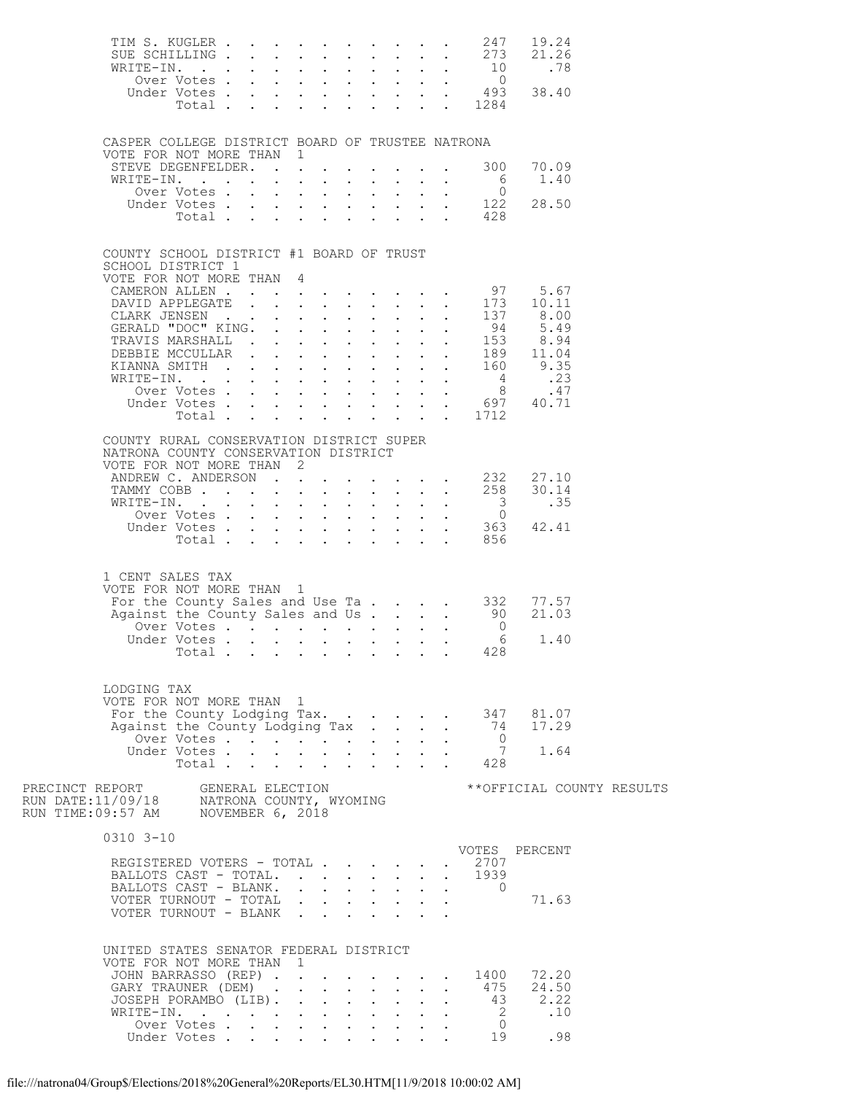|                                                                              |                      |  |  |  |  |                                                            | 19.24<br>TIM S. KUGLER 247 19.24<br>SUE SCHILLING 273 21.26<br>.78<br>0<br>ver Votes 0<br>Under Votes 493 38.40<br>Total 1284 |                            |
|------------------------------------------------------------------------------|----------------------|--|--|--|--|------------------------------------------------------------|-------------------------------------------------------------------------------------------------------------------------------|----------------------------|
| CASPER COLLEGE DISTRICT BOARD OF TRUSTEE NATRONA<br>VOTE FOR NOT MORE THAN 1 |                      |  |  |  |  |                                                            |                                                                                                                               |                            |
| STEVE DEGENFELDER. 300<br>WRITE-IN.                                          |                      |  |  |  |  |                                                            | 70.09<br>1.40                                                                                                                 |                            |
|                                                                              |                      |  |  |  |  |                                                            |                                                                                                                               |                            |
|                                                                              |                      |  |  |  |  | XITE-IN. 6<br>Over Votes 0<br>Under Votes 122<br>Total 428 | 28.50                                                                                                                         |                            |
| COUNTY SCHOOL DISTRICT #1 BOARD OF TRUST<br>SCHOOL DISTRICT 1                |                      |  |  |  |  |                                                            |                                                                                                                               |                            |
| VOTE FOR NOT MORE THAN 4                                                     |                      |  |  |  |  |                                                            |                                                                                                                               |                            |
|                                                                              |                      |  |  |  |  |                                                            |                                                                                                                               |                            |
|                                                                              |                      |  |  |  |  |                                                            |                                                                                                                               |                            |
|                                                                              |                      |  |  |  |  |                                                            |                                                                                                                               |                            |
|                                                                              |                      |  |  |  |  |                                                            |                                                                                                                               |                            |
|                                                                              |                      |  |  |  |  |                                                            |                                                                                                                               |                            |
|                                                                              |                      |  |  |  |  |                                                            |                                                                                                                               |                            |
|                                                                              |                      |  |  |  |  | Total 1712                                                 |                                                                                                                               |                            |
| COUNTY RURAL CONSERVATION DISTRICT SUPER                                     |                      |  |  |  |  |                                                            |                                                                                                                               |                            |
| NATRONA COUNTY CONSERVATION DISTRICT                                         |                      |  |  |  |  |                                                            |                                                                                                                               |                            |
| VOTE FOR NOT MORE THAN 2<br>ANDREW C. ANDERSON 232                           |                      |  |  |  |  |                                                            | 27.10                                                                                                                         |                            |
| TAMMY COBB 258                                                               |                      |  |  |  |  |                                                            | 30.14                                                                                                                         |                            |
| WRITE-IN.                                                                    |                      |  |  |  |  |                                                            |                                                                                                                               |                            |
|                                                                              |                      |  |  |  |  |                                                            |                                                                                                                               |                            |
|                                                                              |                      |  |  |  |  |                                                            |                                                                                                                               |                            |
| 1 CENT SALES TAX<br>VOTE FOR NOT MORE THAN 1                                 |                      |  |  |  |  |                                                            | For the County Sales and Use Ta 332 77.57<br>21.03                                                                            |                            |
| Against the County Sales and Us 90                                           | Over Votes           |  |  |  |  | $\overline{0}$                                             |                                                                                                                               |                            |
|                                                                              |                      |  |  |  |  |                                                            | 1.40                                                                                                                          |                            |
|                                                                              | Total                |  |  |  |  | $\cdot$ $\cdot$ 428                                        |                                                                                                                               |                            |
| LODGING TAX<br>VOTE FOR NOT MORE THAN 1                                      |                      |  |  |  |  |                                                            | For the County Lodging Tax. 347 81.07                                                                                         |                            |
| Against the County Lodging Tax                                               |                      |  |  |  |  |                                                            | 74 17.29                                                                                                                      |                            |
|                                                                              | Over Votes . $\cdot$ |  |  |  |  | $\overline{0}$<br>$\overline{7}$                           | 1.64                                                                                                                          |                            |
|                                                                              |                      |  |  |  |  |                                                            |                                                                                                                               |                            |
|                                                                              |                      |  |  |  |  |                                                            |                                                                                                                               | ** OFFICIAL COUNTY RESULTS |
| $0310$ $3 - 10$                                                              |                      |  |  |  |  |                                                            |                                                                                                                               |                            |
| REGISTERED VOTERS - TOTAL<br>BALLOTS CAST - TOTAL.                           |                      |  |  |  |  | . 2707<br>1939                                             | VOTES PERCENT                                                                                                                 |                            |
| BALLOTS CAST - BLANK. 0                                                      |                      |  |  |  |  |                                                            |                                                                                                                               |                            |
| VOTER TURNOUT - TOTAL<br>VOTER TURNOUT - BLANK                               |                      |  |  |  |  |                                                            | 71.63                                                                                                                         |                            |
| UNITED STATES SENATOR FEDERAL DISTRICT<br>VOTE FOR NOT MORE THAN 1           |                      |  |  |  |  |                                                            |                                                                                                                               |                            |
|                                                                              |                      |  |  |  |  |                                                            | JOHN BARRASSO (REP) 1400 72.20                                                                                                |                            |
| GARY TRAUNER (DEM)<br>JOSEPH PORAMBO (LIB).                                  |                      |  |  |  |  | 475<br>43                                                  | 24.50<br>2.22                                                                                                                 |                            |
| WRITE-IN.                                                                    |                      |  |  |  |  |                                                            | 2 .10                                                                                                                         |                            |
|                                                                              | Over Votes           |  |  |  |  | $\overline{0}$<br>19                                       |                                                                                                                               |                            |
|                                                                              | Under Votes          |  |  |  |  |                                                            | .98                                                                                                                           |                            |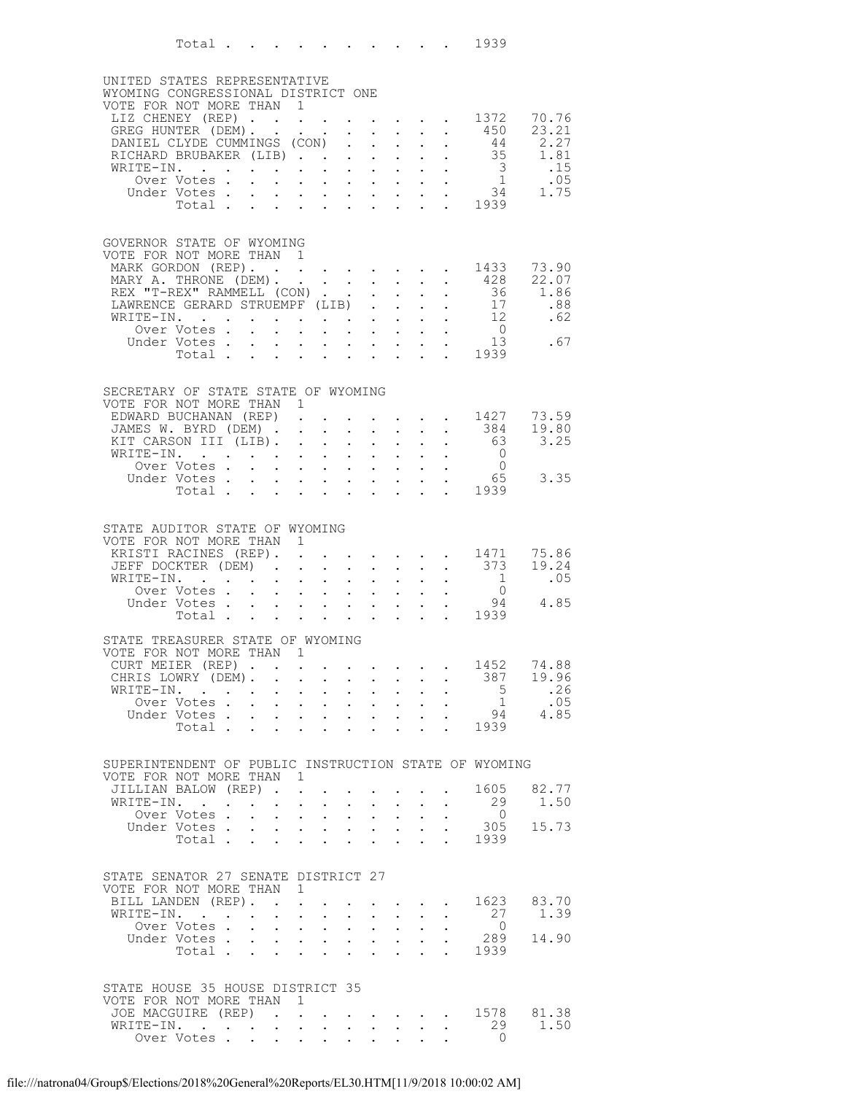|                                                                                   | Total 1939                        |        |                      |                                                                          |                      |                                      |                                                             |                                          |                                                           |                                                                                                                    |                                                           |                |
|-----------------------------------------------------------------------------------|-----------------------------------|--------|----------------------|--------------------------------------------------------------------------|----------------------|--------------------------------------|-------------------------------------------------------------|------------------------------------------|-----------------------------------------------------------|--------------------------------------------------------------------------------------------------------------------|-----------------------------------------------------------|----------------|
| UNITED STATES REPRESENTATIVE<br>WYOMING CONGRESSIONAL DISTRICT ONE                |                                   |        |                      |                                                                          |                      |                                      |                                                             |                                          |                                                           |                                                                                                                    |                                                           |                |
| VOTE FOR NOT MORE THAN 1                                                          |                                   |        |                      |                                                                          |                      |                                      |                                                             |                                          |                                                           |                                                                                                                    |                                                           |                |
| LIZ CHENEY (REP) 1372<br>GREG HUNTER (DEM).                                       |                                   |        |                      |                                                                          |                      |                                      |                                                             |                                          |                                                           |                                                                                                                    | 450                                                       | 70.76<br>23.21 |
| DANIEL CLYDE CUMMINGS (CON)                                                       |                                   |        |                      |                                                                          |                      | $\mathbf{L}$                         | $\mathcal{L}^{\text{max}}$                                  | $\mathcal{L}^{\text{max}}$               | $\mathbf{L}^{\text{max}}$                                 | $\sim$                                                                                                             | 44                                                        | 2.27           |
| RICHARD BRUBAKER (LIB)                                                            |                                   |        |                      |                                                                          |                      |                                      |                                                             | $\mathbf{L}$                             |                                                           | $\mathbf{L} = \mathbf{L}$                                                                                          |                                                           | 35 1.81<br>.15 |
| WRITE-IN.                                                                         | Over Votes .                      |        |                      |                                                                          |                      |                                      |                                                             |                                          |                                                           |                                                                                                                    |                                                           | .05            |
| Under Votes                                                                       |                                   |        |                      |                                                                          |                      |                                      |                                                             |                                          |                                                           |                                                                                                                    |                                                           | 1.75           |
|                                                                                   | Votes 3<br>Votes 34<br>Total 1939 |        |                      |                                                                          |                      |                                      |                                                             |                                          |                                                           |                                                                                                                    |                                                           |                |
| GOVERNOR STATE OF WYOMING                                                         |                                   |        |                      |                                                                          |                      |                                      |                                                             |                                          |                                                           |                                                                                                                    |                                                           |                |
| VOTE FOR NOT MORE THAN 1                                                          |                                   |        |                      |                                                                          |                      |                                      |                                                             |                                          |                                                           |                                                                                                                    |                                                           |                |
| MARK GORDON (REP). 1433                                                           |                                   |        |                      |                                                                          |                      |                                      |                                                             |                                          |                                                           |                                                                                                                    |                                                           | 73.90          |
| MARY A. THRONE (DEM). 428<br>REX "T-REX" RAMMELL (CON).                           |                                   |        |                      |                                                                          |                      |                                      | $\mathbf{1}^{\prime}$ and $\mathbf{1}^{\prime}$             | $\sim$ $-$                               | $\mathbf{L}$                                              | $\sim$ $\sim$                                                                                                      |                                                           | 22.07<br>1.86  |
| LAWRENCE GERARD STRUEMPF (LIB).                                                   |                                   |        |                      |                                                                          |                      |                                      |                                                             | $\mathbf{L}$                             |                                                           | $\mathbf{L} = \mathbf{L}$                                                                                          | $\frac{36}{17}$                                           | .88            |
| WRITE-IN.                                                                         |                                   |        |                      |                                                                          |                      |                                      |                                                             |                                          |                                                           | $\mathbf{L}^{\text{max}}$ , $\mathbf{L}^{\text{max}}$                                                              | $\begin{array}{c} 12 \\ 0 \end{array}$                    | .62            |
| Under Votes                                                                       | Over Votes                        |        |                      |                                                                          |                      |                                      |                                                             |                                          |                                                           | $\mathbf{r}$ , $\mathbf{r}$ , $\mathbf{r}$ , $\mathbf{r}$ , $\mathbf{r}$ , $\mathbf{r}$                            | 13                                                        | .67            |
|                                                                                   | Votes 13<br>Total 1939            |        |                      |                                                                          |                      |                                      |                                                             |                                          |                                                           |                                                                                                                    |                                                           |                |
|                                                                                   |                                   |        |                      |                                                                          |                      |                                      |                                                             |                                          |                                                           |                                                                                                                    |                                                           |                |
| SECRETARY OF STATE STATE OF WYOMING                                               |                                   |        |                      |                                                                          |                      |                                      |                                                             |                                          |                                                           |                                                                                                                    |                                                           |                |
| VOTE FOR NOT MORE THAN 1<br>EDWARD BUCHANAN (REP).                                |                                   |        |                      |                                                                          |                      |                                      |                                                             |                                          |                                                           |                                                                                                                    | . 1427                                                    | 73.59          |
| JAMES W. BYRD (DEM)                                                               |                                   |        |                      |                                                                          |                      |                                      | $\mathbf{r} = \mathbf{r} \cdot \mathbf{r}$                  |                                          |                                                           |                                                                                                                    | $\cdot$ $\cdot$ 384                                       | 19.80          |
| KIT CARSON III (LIB). .<br>WRITE-IN.                                              |                                   |        |                      |                                                                          | $\sim$               | $\ddot{\phantom{0}}$<br>$\mathbf{L}$ | $\sim$ $-$<br>$\sim$                                        | $\sim$ $-$<br>$\mathbf{L}$               | $\mathbf{L}^{\text{max}}$                                 | $\sim$<br>$\mathbf{L}$ $\mathbf{L}$                                                                                | 63<br>$\overline{0}$                                      | 3.25           |
|                                                                                   | Over Votes                        |        |                      | <b>All All Andrew</b>                                                    |                      |                                      | $\mathbf{L}^{\text{max}}$ , and $\mathbf{L}^{\text{max}}$   | $\sim$ 100 $\pm$                         | $\mathbf{L}$                                              | $\sim$ $-$                                                                                                         | $\overline{0}$                                            |                |
| Under Votes                                                                       |                                   |        |                      |                                                                          |                      |                                      |                                                             |                                          |                                                           |                                                                                                                    | $\frac{1}{2}$ $\frac{1}{2}$ $\frac{65}{2}$ $\frac{65}{2}$ | 3.35           |
|                                                                                   | Total .                           | $\sim$ | $\ddot{\phantom{0}}$ |                                                                          |                      | $\cdot$ $\cdot$ $\cdot$ $\cdot$      | $\sim$ $\sim$                                               | $\sim$ $-$                               |                                                           |                                                                                                                    |                                                           |                |
|                                                                                   |                                   |        |                      |                                                                          |                      |                                      |                                                             |                                          |                                                           |                                                                                                                    |                                                           |                |
| STATE AUDITOR STATE OF WYOMING<br>VOTE FOR NOT MORE THAN 1                        |                                   |        |                      |                                                                          |                      |                                      |                                                             |                                          |                                                           |                                                                                                                    |                                                           |                |
| KRISTI RACINES (REP). 1471                                                        |                                   |        |                      |                                                                          |                      |                                      |                                                             |                                          |                                                           |                                                                                                                    |                                                           | 75.86          |
| JEFF DOCKTER (DEM)<br>WRITE-IN.                                                   |                                   |        |                      |                                                                          | $\sim$               |                                      | $\sim$ $-$                                                  |                                          |                                                           | $\mathbf{r} = \mathbf{r} \mathbf{r}$ , where $\mathbf{r} = \mathbf{r}$<br>$\mathbf{r} = \mathbf{r} - \mathbf{r}$ . | 373<br>$\overline{\phantom{a}}$                           | 19.24<br>.05   |
|                                                                                   |                                   |        |                      |                                                                          |                      |                                      |                                                             |                                          |                                                           |                                                                                                                    |                                                           |                |
| TTE-IN. 0<br>Over Votes 94<br>Under Votes 1939                                    |                                   |        |                      |                                                                          |                      |                                      |                                                             |                                          |                                                           |                                                                                                                    |                                                           | 4.85           |
|                                                                                   |                                   |        |                      |                                                                          |                      |                                      |                                                             |                                          |                                                           |                                                                                                                    |                                                           |                |
| STATE TREASURER STATE OF WYOMING                                                  |                                   |        |                      |                                                                          |                      |                                      |                                                             |                                          |                                                           |                                                                                                                    |                                                           |                |
| VOTE FOR NOT MORE THAN 1<br>CURT MEIER (REP)                                      |                                   |        |                      |                                                                          |                      | $\sim$                               |                                                             |                                          | $\mathbf{r}$ , $\mathbf{r}$ , $\mathbf{r}$ , $\mathbf{r}$ | $\sim$                                                                                                             | 1452                                                      | 74.88          |
| CHRIS LOWRY (DEM).                                                                |                                   |        |                      |                                                                          |                      |                                      |                                                             |                                          |                                                           | $\mathbf{r}$ and $\mathbf{r}$ and $\mathbf{r}$ and $\mathbf{r}$                                                    | 387                                                       | 19.96          |
| WRITE-IN.                                                                         | Over Votes                        |        |                      | $\mathbf{r} = \mathbf{r} + \mathbf{r}$ , where $\mathbf{r} = \mathbf{r}$ |                      | $\sim$                               | $\sim$ $-$                                                  | $\sim$ 100 $\pm$<br>$\sim$ $\sim$ $\sim$ | $\ddot{\phantom{0}}$                                      | $\sim$ $-$<br>$\mathbf{L}$ and $\mathbf{L}$                                                                        | 5 <sub>5</sub><br>$\overline{1}$                          | .26<br>.05     |
| Under Votes                                                                       |                                   |        |                      | $\mathbf{A}^{(1)}$ and $\mathbf{A}^{(2)}$ and $\mathbf{A}^{(3)}$ and     |                      |                                      |                                                             |                                          |                                                           | and a strategic control of the strategic                                                                           | 94                                                        | 4.85           |
|                                                                                   | Total                             |        |                      |                                                                          |                      |                                      |                                                             |                                          |                                                           |                                                                                                                    | 1939                                                      |                |
|                                                                                   |                                   |        |                      |                                                                          |                      |                                      |                                                             |                                          |                                                           |                                                                                                                    |                                                           |                |
| SUPERINTENDENT OF PUBLIC INSTRUCTION STATE OF WYOMING<br>VOTE FOR NOT MORE THAN 1 |                                   |        |                      |                                                                          |                      |                                      |                                                             |                                          |                                                           |                                                                                                                    |                                                           |                |
| JILLIAN BALOW (REP).                                                              |                                   |        |                      | $\mathbf{r}$                                                             |                      |                                      | $\sim$                                                      | $\ddot{\phantom{0}}$                     |                                                           | $\mathbf{L} = \mathbf{L} \mathbf{L}$                                                                               | 1605                                                      | 82.77          |
| WRITE-IN.                                                                         |                                   |        |                      | $\ddot{\phantom{a}}$                                                     | $\ddot{\phantom{a}}$ |                                      | $\mathbf{L}$ and $\mathbf{L}$                               | $\sim$ $-$                               |                                                           | $\mathbf{L} = \mathbf{L}$                                                                                          | 29                                                        | 1.50           |
| Under Votes 305                                                                   | Over Votes                        |        |                      | $\mathbf{r} = \mathbf{r} + \mathbf{r}$ , where $\mathbf{r} = \mathbf{r}$ |                      | $\bullet$ .                          | <b>Contract Contract</b>                                    |                                          | $\ddot{\phantom{0}}$                                      | $\sim$                                                                                                             | $\overline{0}$                                            | 15.73          |
|                                                                                   | Total                             |        |                      | $\cdot$ $\cdot$ $\cdot$ $\cdot$                                          |                      | $\ddot{\phantom{a}}$                 | $\sim$ $\sim$                                               | $\sim$ $-$                               | $\mathbf{r}$                                              |                                                                                                                    | . 1939                                                    |                |
|                                                                                   |                                   |        |                      |                                                                          |                      |                                      |                                                             |                                          |                                                           |                                                                                                                    |                                                           |                |
| STATE SENATOR 27 SENATE DISTRICT 27                                               |                                   |        |                      |                                                                          |                      |                                      |                                                             |                                          |                                                           |                                                                                                                    |                                                           |                |
| VOTE FOR NOT MORE THAN 1                                                          |                                   |        |                      |                                                                          |                      |                                      |                                                             |                                          |                                                           |                                                                                                                    |                                                           |                |
| BILL LANDEN (REP).<br>WRITE-IN.                                                   |                                   |        |                      | <b>Allen Adams</b>                                                       | $\sim$               |                                      | $\sim$ $-$                                                  | $\sim$                                   | $\ddot{\phantom{0}}$                                      | $\mathbf{r} = \mathbf{r} + \mathbf{r} + \mathbf{r} + \mathbf{r} + \mathbf{r}$<br>$\mathbf{L}^{\text{max}}$         | 1623<br>27                                                | 83.70<br>1.39  |
|                                                                                   | Over Votes                        |        |                      | $\mathbf{r}$ , $\mathbf{r}$ , $\mathbf{r}$                               |                      |                                      |                                                             |                                          |                                                           |                                                                                                                    | $\overline{0}$                                            |                |
| Under Votes                                                                       | Total 1939                        |        |                      | $\mathcal{L}^{\text{max}}(\mathcal{L}^{\text{max}})$                     |                      |                                      | $\mathbf{z} = \mathbf{z} + \mathbf{z}$ , where $\mathbf{z}$ |                                          | $\bullet$ .                                               | $\ddot{\phantom{0}}$                                                                                               | 289                                                       | 14.90          |
|                                                                                   |                                   |        |                      |                                                                          |                      |                                      |                                                             |                                          |                                                           |                                                                                                                    |                                                           |                |
| STATE HOUSE 35 HOUSE DISTRICT 35                                                  |                                   |        |                      |                                                                          |                      |                                      |                                                             |                                          |                                                           |                                                                                                                    |                                                           |                |
| VOTE FOR NOT MORE THAN 1                                                          |                                   |        |                      |                                                                          |                      |                                      |                                                             |                                          |                                                           |                                                                                                                    |                                                           |                |
| JOE MACGUIRE (REP)                                                                |                                   |        |                      |                                                                          |                      |                                      |                                                             |                                          |                                                           |                                                                                                                    | $\cdot$ $\cdot$ $\cdot$ $\cdot$ $\cdot$ 1578              | 81.38          |
| WRITE-IN.<br>Over Votes                                                           |                                   |        |                      |                                                                          |                      |                                      |                                                             |                                          |                                                           |                                                                                                                    | 29<br>$\Omega$                                            | 1.50           |
|                                                                                   |                                   |        |                      |                                                                          |                      |                                      |                                                             |                                          |                                                           |                                                                                                                    |                                                           |                |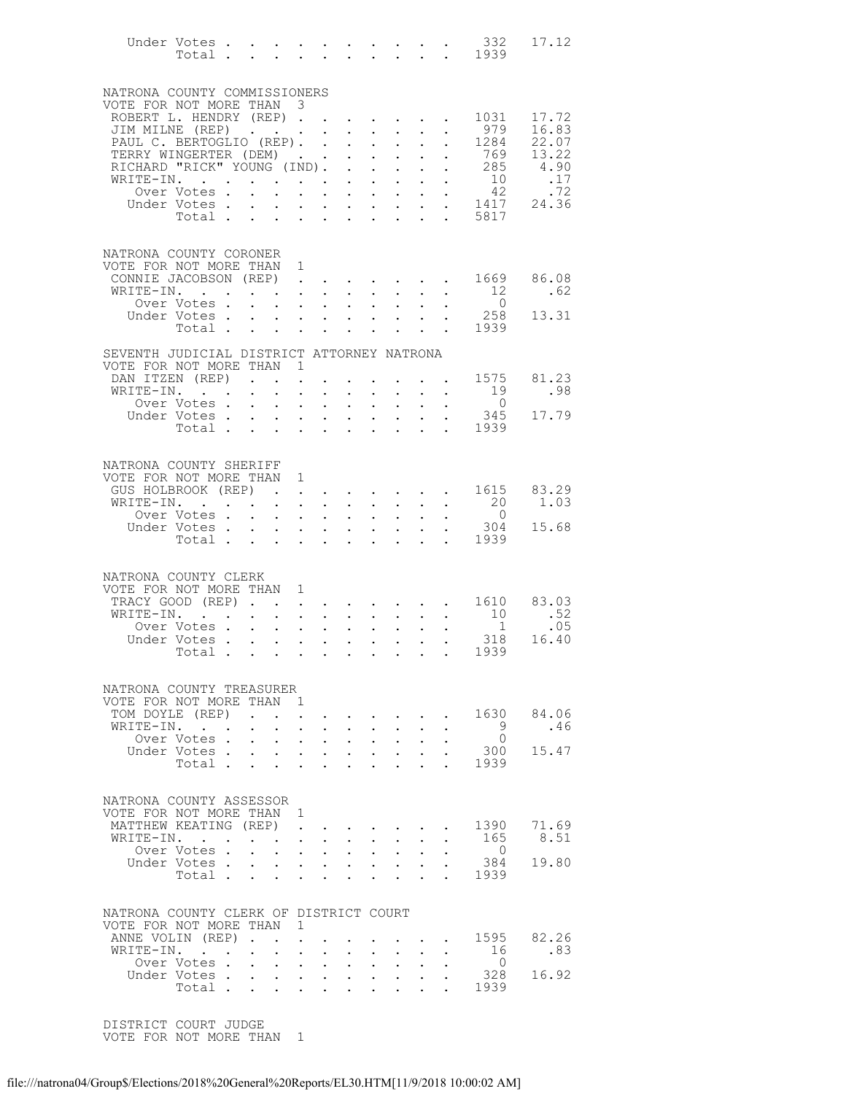|                                                                        | Total .                                            |                      |                                   | $\sim$ 100 $\pm$                                            | $\mathbf{L}^{\text{max}}$ , and $\mathbf{L}^{\text{max}}$                                                                                                                  |                                |                                                                                                                                                         |                                                          |                                                                                   |                           |                                                                                                                                                 | Under Votes 332<br>$\cdot \cdot \cdot \cdot \cdot \cdot 1939$ | 17.12          |
|------------------------------------------------------------------------|----------------------------------------------------|----------------------|-----------------------------------|-------------------------------------------------------------|----------------------------------------------------------------------------------------------------------------------------------------------------------------------------|--------------------------------|---------------------------------------------------------------------------------------------------------------------------------------------------------|----------------------------------------------------------|-----------------------------------------------------------------------------------|---------------------------|-------------------------------------------------------------------------------------------------------------------------------------------------|---------------------------------------------------------------|----------------|
| NATRONA COUNTY COMMISSIONERS                                           |                                                    |                      |                                   |                                                             |                                                                                                                                                                            |                                |                                                                                                                                                         |                                                          |                                                                                   |                           |                                                                                                                                                 |                                                               |                |
| VOTE FOR NOT MORE THAN 3                                               |                                                    |                      |                                   |                                                             |                                                                                                                                                                            |                                |                                                                                                                                                         |                                                          |                                                                                   |                           |                                                                                                                                                 |                                                               |                |
| ROBERT L. HENDRY (REP)<br>JIM MILNE (REP)                              |                                                    |                      |                                   |                                                             |                                                                                                                                                                            |                                |                                                                                                                                                         |                                                          |                                                                                   |                           | $\mathbf{r}$ , $\mathbf{r}$ , $\mathbf{r}$ , $\mathbf{r}$ , $\mathbf{r}$                                                                        | 1031<br>979                                                   | 17.72<br>16.83 |
| PAUL C. BERTOGLIO (REP).                                               |                                                    |                      |                                   |                                                             |                                                                                                                                                                            |                                |                                                                                                                                                         |                                                          |                                                                                   | $\mathbf{r}$              | $\sim 10^{-11}$                                                                                                                                 | 1284                                                          | 22.07          |
| TERRY WINGERTER (DEM)                                                  |                                                    |                      |                                   |                                                             |                                                                                                                                                                            |                                |                                                                                                                                                         | $\mathbf{A}^{(1)}$ and $\mathbf{A}^{(2)}$ and            | $\sim$ $-$                                                                        |                           | $\bullet$ .<br><br><br><br><br><br><br><br><br><br><br><br><br>                                                                                 | 769                                                           | 13.22          |
| RICHARD "RICK" YOUNG (IND).                                            |                                                    |                      |                                   |                                                             |                                                                                                                                                                            |                                | $\mathbf{r}$                                                                                                                                            | $\mathbf{r}$                                             | $\mathbf{L}$                                                                      |                           | $\mathbf{L}$ $\mathbf{L}$                                                                                                                       | 285                                                           | 4.90           |
| WRITE-IN.                                                              | and the contract of the contract of<br>Over Votes. |                      |                                   |                                                             | $\mathbf{r} = \mathbf{r} \mathbf{r}$ .                                                                                                                                     |                                | $\sim$ $-$                                                                                                                                              | $\mathbf{A}^{\text{max}}$                                | $\sim$ $-$                                                                        |                           | $\mathbf{z} = \mathbf{z} + \mathbf{z}$ .<br>$\mathbf{r}$ , and $\mathbf{r}$ , and $\mathbf{r}$ , and $\mathbf{r}$                               | $\begin{array}{c} 10 \\ 42 \end{array}$                       | .17<br>.72     |
|                                                                        | Under Votes.                                       |                      |                                   |                                                             |                                                                                                                                                                            |                                |                                                                                                                                                         |                                                          |                                                                                   |                           |                                                                                                                                                 | votes 1417<br>Total 5817                                      | 24.36          |
|                                                                        |                                                    |                      |                                   |                                                             |                                                                                                                                                                            |                                |                                                                                                                                                         |                                                          |                                                                                   |                           |                                                                                                                                                 |                                                               |                |
| NATRONA COUNTY CORONER                                                 |                                                    |                      |                                   |                                                             |                                                                                                                                                                            |                                |                                                                                                                                                         |                                                          |                                                                                   |                           |                                                                                                                                                 |                                                               |                |
| VOTE FOR NOT MORE THAN 1                                               |                                                    |                      |                                   |                                                             |                                                                                                                                                                            |                                |                                                                                                                                                         |                                                          |                                                                                   |                           |                                                                                                                                                 |                                                               |                |
| CONNIE JACOBSON (REP)<br>WRITE-IN.                                     |                                                    |                      |                                   | $\mathbf{L} = \mathbf{L}$                                   | $\ddot{\phantom{a}}$                                                                                                                                                       |                                | $\mathbf{L}$                                                                                                                                            |                                                          | $\sim$                                                                            | $\mathbf{L}$              |                                                                                                                                                 | 1669<br>12                                                    | 86.08<br>.62   |
|                                                                        | Over Votes.                                        |                      |                                   |                                                             | $\mathbf{r} = \mathbf{r} \times \mathbf{r}$ , where $\mathbf{r} = \mathbf{r} \times \mathbf{r}$                                                                            |                                |                                                                                                                                                         |                                                          | $\mathbf{z} = \mathbf{z} + \mathbf{z} + \mathbf{z}$ .                             |                           |                                                                                                                                                 | $\overline{0}$                                                |                |
|                                                                        | Under Votes.                                       |                      |                                   |                                                             | $\mathbf{r}$ , $\mathbf{r}$ , $\mathbf{r}$ , $\mathbf{r}$ , $\mathbf{r}$ , $\mathbf{r}$ , $\mathbf{r}$                                                                     |                                |                                                                                                                                                         |                                                          |                                                                                   |                           |                                                                                                                                                 | 258                                                           | 13.31          |
|                                                                        | Total                                              |                      |                                   |                                                             |                                                                                                                                                                            |                                |                                                                                                                                                         |                                                          | $\sim$ $-$                                                                        |                           | $\mathbf{r} = \mathbf{r} \mathbf{r}$ .                                                                                                          | 1939                                                          |                |
| SEVENTH JUDICIAL DISTRICT ATTORNEY NATRONA<br>VOTE FOR NOT MORE THAN 1 |                                                    |                      |                                   |                                                             |                                                                                                                                                                            |                                |                                                                                                                                                         |                                                          |                                                                                   |                           |                                                                                                                                                 |                                                               |                |
| DAN ITZEN (REP)                                                        |                                                    |                      |                                   |                                                             | $\mathbf{A}^{\text{max}}$                                                                                                                                                  |                                |                                                                                                                                                         |                                                          |                                                                                   |                           | $\mathbf{z} = \mathbf{z} + \mathbf{z}$ . The $\mathbf{z}$                                                                                       | 1575                                                          | 81.23          |
| WRITE-IN.                                                              |                                                    |                      |                                   | $\ddot{\phantom{0}}$                                        | $\ddot{\phantom{a}}$                                                                                                                                                       | $\sim$                         | $\mathbf{L}$                                                                                                                                            |                                                          |                                                                                   |                           |                                                                                                                                                 | 19                                                            | .98            |
|                                                                        | Over Votes .                                       |                      |                                   | $\mathbf{A}^{\mathrm{max}}$                                 | $\bullet$ , $\bullet$ , $\bullet$ , $\bullet$ , $\bullet$                                                                                                                  |                                |                                                                                                                                                         | $\bullet$ , $\bullet$ , $\bullet$ , $\bullet$            | $\sim 100$                                                                        | $\bullet$ .               |                                                                                                                                                 | $\overline{0}$<br>345                                         | 17.79          |
|                                                                        | Under Votes.<br>Total                              |                      |                                   | $\mathbf{r} = \mathbf{r}$                                   |                                                                                                                                                                            |                                | $\mathbf{r} = \mathbf{r} + \mathbf{r} + \mathbf{r} + \mathbf{r} + \mathbf{r} + \mathbf{r}$<br>$\mathbf{r}$ , $\mathbf{r}$ , $\mathbf{r}$ , $\mathbf{r}$ |                                                          |                                                                                   |                           | $\mathbf{L} = \mathbf{L}$                                                                                                                       | 1939                                                          |                |
|                                                                        |                                                    |                      |                                   |                                                             |                                                                                                                                                                            |                                |                                                                                                                                                         |                                                          |                                                                                   |                           |                                                                                                                                                 |                                                               |                |
| NATRONA COUNTY SHERIFF                                                 |                                                    |                      |                                   |                                                             |                                                                                                                                                                            |                                |                                                                                                                                                         |                                                          |                                                                                   |                           |                                                                                                                                                 |                                                               |                |
| VOTE FOR NOT MORE THAN 1                                               |                                                    |                      |                                   |                                                             |                                                                                                                                                                            |                                |                                                                                                                                                         |                                                          |                                                                                   |                           |                                                                                                                                                 |                                                               |                |
| GUS HOLBROOK (REP)                                                     |                                                    |                      |                                   |                                                             |                                                                                                                                                                            |                                |                                                                                                                                                         |                                                          |                                                                                   |                           |                                                                                                                                                 | 1615                                                          | 83.29          |
| WRITE-IN.                                                              |                                                    |                      |                                   |                                                             |                                                                                                                                                                            |                                |                                                                                                                                                         |                                                          | $\mathbf{z} = \mathbf{z} + \mathbf{z}$ , where $\mathbf{z} = \mathbf{z}$          |                           | $\mathbf{z} = \mathbf{z} + \mathbf{z}$ .                                                                                                        | 20<br>$\overline{0}$                                          | 1.03           |
|                                                                        | Over Votes .<br>Under Votes                        |                      |                                   |                                                             | $\mathbf{r}$ , $\mathbf{r}$ , $\mathbf{r}$ , $\mathbf{r}$ , $\mathbf{r}$ , $\mathbf{r}$ , $\mathbf{r}$<br>$\mathbf{A}^{(1)}$ and $\mathbf{A}^{(2)}$ and $\mathbf{A}^{(3)}$ |                                |                                                                                                                                                         |                                                          | $\mathbf{z} = \mathbf{z} + \mathbf{z} + \mathbf{z}$ .                             | $\mathbf{L}^{\text{max}}$ |                                                                                                                                                 | 304                                                           | 15.68          |
|                                                                        |                                                    |                      |                                   |                                                             |                                                                                                                                                                            |                                |                                                                                                                                                         |                                                          |                                                                                   |                           |                                                                                                                                                 | Total 1939                                                    |                |
|                                                                        |                                                    |                      |                                   |                                                             |                                                                                                                                                                            |                                |                                                                                                                                                         |                                                          |                                                                                   |                           |                                                                                                                                                 |                                                               |                |
| NATRONA COUNTY CLERK                                                   |                                                    |                      |                                   |                                                             |                                                                                                                                                                            |                                |                                                                                                                                                         |                                                          |                                                                                   |                           |                                                                                                                                                 |                                                               |                |
| VOTE FOR NOT MORE THAN 1                                               |                                                    |                      |                                   |                                                             |                                                                                                                                                                            |                                |                                                                                                                                                         |                                                          |                                                                                   |                           |                                                                                                                                                 |                                                               |                |
| TRACY GOOD (REP)<br>WRITE-IN.                                          | $\sim$ $\sim$ $\sim$ $\sim$                        |                      | $\ddot{\phantom{0}}$              | $\mathbf{L}$                                                | $\ddot{\phantom{0}}$                                                                                                                                                       | $\sim$                         |                                                                                                                                                         | $\cdot$ $\cdot$                                          |                                                                                   |                           | $\mathbf{u} = \mathbf{u} \times \mathbf{u}$ , and $\mathbf{u} = \mathbf{u} \times \mathbf{u}$ , and $\mathbf{u} = \mathbf{u} \times \mathbf{u}$ | 1610<br>10                                                    | 83.03<br>.52   |
|                                                                        | Over Votes                                         |                      |                                   |                                                             |                                                                                                                                                                            |                                |                                                                                                                                                         |                                                          | $\mathbf{r} = \mathbf{r} \mathbf{r}$ , where $\mathbf{r} = \mathbf{r} \mathbf{r}$ |                           | $\mathbf{z} = \mathbf{z} + \mathbf{z}$                                                                                                          | $\frac{1}{2}$                                                 | .05            |
|                                                                        |                                                    |                      |                                   |                                                             |                                                                                                                                                                            |                                |                                                                                                                                                         |                                                          |                                                                                   |                           |                                                                                                                                                 | Under Votes 318                                               | 16.40          |
|                                                                        | Total                                              |                      |                                   |                                                             |                                                                                                                                                                            |                                | $\mathbf{r} = \left\{ \mathbf{r}_1, \ldots, \mathbf{r}_n \right\}$ .                                                                                    |                                                          | $\bullet$ , $\bullet$ , $\bullet$ , $\bullet$ , $\bullet$                         |                           |                                                                                                                                                 | 1939                                                          |                |
| NATRONA COUNTY TREASURER                                               |                                                    |                      |                                   |                                                             |                                                                                                                                                                            |                                |                                                                                                                                                         |                                                          |                                                                                   |                           |                                                                                                                                                 |                                                               |                |
| VOTE FOR NOT MORE THAN                                                 |                                                    |                      |                                   |                                                             | $\mathbf{1}$                                                                                                                                                               |                                |                                                                                                                                                         |                                                          |                                                                                   |                           |                                                                                                                                                 |                                                               |                |
| TOM DOYLE (REP)                                                        |                                                    |                      |                                   | $\mathbf{L} = \mathbf{L}$                                   |                                                                                                                                                                            |                                |                                                                                                                                                         |                                                          |                                                                                   |                           | $\mathbf{r} = \mathbf{r} + \mathbf{r} + \mathbf{r} + \mathbf{r} + \mathbf{r}$                                                                   |                                                               | 1630 84.06     |
| WRITE-IN. .                                                            | Over Votes.                                        | $\ddot{\phantom{a}}$ | $\mathbf{L}^{\text{max}}$         | $\ddot{\phantom{0}}$<br>$\mathbf{r}$                        | $\mathcal{L}^{\text{max}}$<br>$\ddot{\phantom{a}}$                                                                                                                         | $\sim$ $-$<br>$\sim$           | $\ddot{\phantom{0}}$                                                                                                                                    | $\mathbf{z} = \mathbf{z} + \mathbf{z}$ .<br>$\mathbf{r}$ | $\bullet$ .                                                                       |                           |                                                                                                                                                 | - 9<br>$\bigcirc$                                             | .46            |
|                                                                        | Under Votes.                                       |                      |                                   | $\bullet$ .<br><br><br><br><br><br><br><br><br><br><br><br> | $\mathbf{L}^{\text{max}}$                                                                                                                                                  | $\mathbf{L}^{\text{max}}$      | $\bullet$ .                                                                                                                                             | $\mathbf{L}^{\text{max}}$                                | $\bullet$ .                                                                       |                           |                                                                                                                                                 | 300                                                           | 15.47          |
|                                                                        | Total .                                            |                      |                                   |                                                             |                                                                                                                                                                            |                                | $\mathbf{L}$                                                                                                                                            |                                                          |                                                                                   |                           |                                                                                                                                                 | 1939                                                          |                |
| NATRONA COUNTY ASSESSOR                                                |                                                    |                      |                                   |                                                             |                                                                                                                                                                            |                                |                                                                                                                                                         |                                                          |                                                                                   |                           |                                                                                                                                                 |                                                               |                |
| VOTE FOR NOT MORE THAN 1                                               |                                                    |                      |                                   |                                                             |                                                                                                                                                                            |                                |                                                                                                                                                         |                                                          |                                                                                   |                           |                                                                                                                                                 |                                                               |                |
| MATTHEW KEATING (REP)                                                  |                                                    |                      |                                   |                                                             | $\ddot{\phantom{a}}$                                                                                                                                                       |                                |                                                                                                                                                         |                                                          |                                                                                   |                           | $\bullet$                                                                                                                                       | 1390                                                          | 71.69          |
| WRITE-IN.                                                              |                                                    |                      |                                   |                                                             | $\ddot{\phantom{0}}$                                                                                                                                                       | $\ddot{\phantom{0}}$           | $\mathbf{A}$                                                                                                                                            | $\mathbf{L}$                                             |                                                                                   |                           |                                                                                                                                                 | 165                                                           | 8.51           |
|                                                                        | Over Votes.<br>Under Votes .                       |                      |                                   | $\mathbf{L}^{\text{max}}$<br>$\mathbf{L}$                   | $\ddot{\phantom{0}}$                                                                                                                                                       | $\mathbf{L}^{\text{max}}$      | $\bullet$ .<br>$\mathbf{r}$                                                                                                                             | $\mathbf{L}^{\text{max}}$                                | $\mathbf{L}^{\text{max}}$                                                         |                           |                                                                                                                                                 | $\overline{0}$<br>384                                         | 19.80          |
|                                                                        | Total .                                            |                      | $\ddot{\phantom{a}}$              | $\ddot{\phantom{0}}$                                        | $\mathbf{L}$<br>$\ddot{\phantom{0}}$                                                                                                                                       | $\sim$<br>$\ddot{\phantom{0}}$ | $\ddot{\phantom{0}}$                                                                                                                                    | $\mathbf{L}$<br>$\ddot{\phantom{0}}$                     | $\ddot{\phantom{a}}$                                                              | $\ddot{\phantom{a}}$      |                                                                                                                                                 | 1939                                                          |                |
|                                                                        |                                                    |                      |                                   |                                                             |                                                                                                                                                                            |                                |                                                                                                                                                         |                                                          |                                                                                   |                           |                                                                                                                                                 |                                                               |                |
| NATRONA COUNTY CLERK OF DISTRICT COURT                                 |                                                    |                      |                                   |                                                             |                                                                                                                                                                            |                                |                                                                                                                                                         |                                                          |                                                                                   |                           |                                                                                                                                                 |                                                               |                |
| VOTE FOR NOT MORE THAN 1<br>ANNE VOLIN (REP)                           |                                                    |                      | <b>Contract Contract Contract</b> |                                                             | $\ddot{\phantom{a}}$                                                                                                                                                       |                                |                                                                                                                                                         |                                                          |                                                                                   |                           |                                                                                                                                                 | 1595                                                          | 82.26          |
| WRITE-IN.                                                              | $\sim 100$ km s $^{-1}$                            | $\ddot{\phantom{0}}$ |                                   | $\ddot{\phantom{0}}$                                        | $\ddot{\phantom{a}}$                                                                                                                                                       | $\mathbf{L}^{\text{max}}$      | $\bullet$ .                                                                                                                                             | $\mathbf{L}^{\text{max}}$                                |                                                                                   |                           |                                                                                                                                                 | 16                                                            | .83            |
|                                                                        | Over Votes.                                        |                      |                                   | $\mathbf{r}$                                                | $\ddot{\phantom{a}}$                                                                                                                                                       | $\ddot{\phantom{a}}$           | $\sim$                                                                                                                                                  | $\mathbf{L}$                                             |                                                                                   |                           |                                                                                                                                                 | $\overline{0}$                                                |                |
|                                                                        | Under Votes .                                      |                      | $\mathbf{L}^{\text{max}}$         | $\mathbf{L}^{\text{max}}$                                   | $\mathbf{L}^{\text{max}}$                                                                                                                                                  | $\mathbf{L}^{\text{max}}$      | $\bullet$ .                                                                                                                                             | $\ddot{\phantom{0}}$                                     | $\bullet$ .<br><br><br><br><br><br><br><br><br><br><br>                           | $\ddot{\phantom{0}}$      |                                                                                                                                                 | 328                                                           | 16.92          |
|                                                                        | Total .                                            |                      | $\mathbf{L}$                      |                                                             | $\cdot$ $\cdot$ $\cdot$ $\cdot$                                                                                                                                            |                                | $\mathbf{L}$                                                                                                                                            |                                                          |                                                                                   |                           |                                                                                                                                                 | 1939                                                          |                |
|                                                                        |                                                    |                      |                                   |                                                             |                                                                                                                                                                            |                                |                                                                                                                                                         |                                                          |                                                                                   |                           |                                                                                                                                                 |                                                               |                |

DISTRICT COURT JUDGE VOTE FOR NOT MORE THAN 1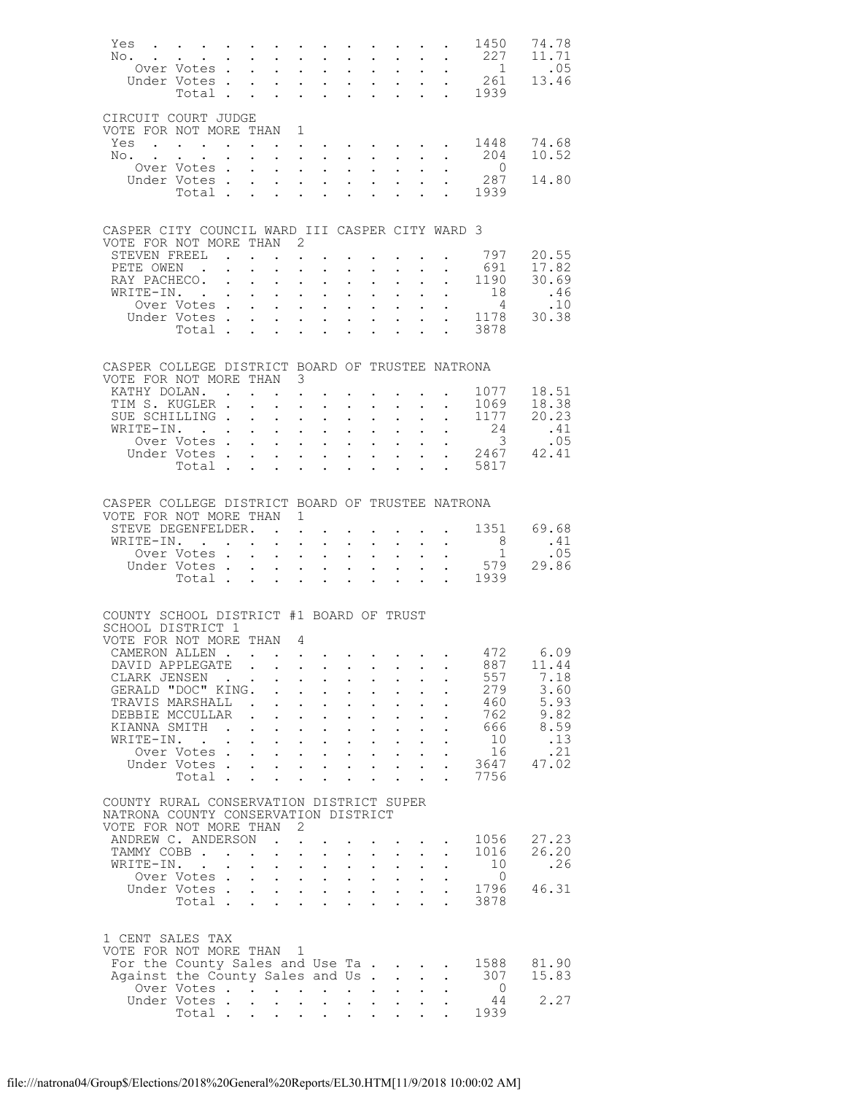| Yes<br>No.                                                     | and a series of the contract of the contract of the contract of the contract of the contract of the contract of<br>$\mathbf{u}^{\prime}$ , and the contribution of the contribution of the contribution of $\mathbf{u}^{\prime}$ |              |                      |                                                                 |                                                                                                                                                                                                                                                      |                                      |                                                             |                                                           |                            |                            | 1450                                                           | 74.78<br>11.71                      |
|----------------------------------------------------------------|----------------------------------------------------------------------------------------------------------------------------------------------------------------------------------------------------------------------------------|--------------|----------------------|-----------------------------------------------------------------|------------------------------------------------------------------------------------------------------------------------------------------------------------------------------------------------------------------------------------------------------|--------------------------------------|-------------------------------------------------------------|-----------------------------------------------------------|----------------------------|----------------------------|----------------------------------------------------------------|-------------------------------------|
|                                                                | Over Votes                                                                                                                                                                                                                       |              |                      |                                                                 |                                                                                                                                                                                                                                                      |                                      |                                                             |                                                           |                            |                            | $\begin{array}{c} 227 \\ 1 \end{array}$                        | .05                                 |
|                                                                | Under Votes                                                                                                                                                                                                                      |              |                      | $\mathbf{L}^{\text{max}}$                                       | $\mathcal{A}^{\mathcal{A}}$ , and $\mathcal{A}^{\mathcal{A}}$ , and $\mathcal{A}^{\mathcal{A}}$                                                                                                                                                      |                                      |                                                             |                                                           |                            |                            |                                                                | 13.46                               |
|                                                                | Total .                                                                                                                                                                                                                          |              |                      | $\mathbf{r}$                                                    | $\mathbf{L}^{\text{max}}$ and $\mathbf{L}^{\text{max}}$                                                                                                                                                                                              | $\mathbb{R}^{n \times n}$            |                                                             |                                                           |                            |                            |                                                                |                                     |
| CIRCUIT COURT JUDGE                                            |                                                                                                                                                                                                                                  |              |                      |                                                                 |                                                                                                                                                                                                                                                      |                                      |                                                             |                                                           |                            |                            |                                                                |                                     |
| VOTE FOR NOT MORE THAN                                         |                                                                                                                                                                                                                                  |              |                      | 1                                                               |                                                                                                                                                                                                                                                      |                                      |                                                             |                                                           |                            |                            |                                                                |                                     |
| Yes.                                                           |                                                                                                                                                                                                                                  |              |                      |                                                                 |                                                                                                                                                                                                                                                      |                                      |                                                             |                                                           |                            |                            | 1448                                                           | 74.68                               |
| No.                                                            | $\mathbf{L} = \mathbf{L}$                                                                                                                                                                                                        |              |                      |                                                                 | and a series of the contract of the contract of                                                                                                                                                                                                      |                                      |                                                             |                                                           |                            |                            | 204<br>$\overline{0}$                                          | 10.52                               |
|                                                                | Over Votes<br>Under Votes                                                                                                                                                                                                        |              |                      | $\mathbf{L}$                                                    | $\mathbf{r}$ $\mathbf{r}$<br>$\mathbf{z} = \left\{ \mathbf{z}_1, \ldots, \mathbf{z}_n \right\}$                                                                                                                                                      | $\mathbf{r}$<br>$\bullet$ .          |                                                             | $\cdot$ $\cdot$ $\cdot$<br>$\mathbf{L} = \mathbf{L}$      | $\sim$ $-$                 |                            | 287                                                            | 14.80                               |
|                                                                | Total                                                                                                                                                                                                                            |              |                      | $\mathbf{L}^{(1)}$                                              | $\mathbf{L} = \mathbf{L}$                                                                                                                                                                                                                            |                                      |                                                             |                                                           |                            |                            | $\begin{array}{ccc}\n\cdot & 287 \\ \cdot & 1939\n\end{array}$ |                                     |
|                                                                |                                                                                                                                                                                                                                  |              |                      |                                                                 |                                                                                                                                                                                                                                                      |                                      |                                                             |                                                           |                            |                            |                                                                |                                     |
| CASPER CITY COUNCIL WARD III CASPER CITY WARD 3                |                                                                                                                                                                                                                                  |              |                      |                                                                 |                                                                                                                                                                                                                                                      |                                      |                                                             |                                                           |                            |                            |                                                                |                                     |
| VOTE FOR NOT MORE THAN                                         |                                                                                                                                                                                                                                  |              |                      | 2                                                               |                                                                                                                                                                                                                                                      |                                      |                                                             |                                                           |                            |                            |                                                                |                                     |
| STEVEN FREEL                                                   |                                                                                                                                                                                                                                  |              |                      |                                                                 | the contract of the contract of the contract of                                                                                                                                                                                                      |                                      |                                                             |                                                           |                            |                            | 797                                                            | 20.55                               |
| PETE OWEN.                                                     |                                                                                                                                                                                                                                  |              |                      | $\ddot{\phantom{a}}$                                            | $\mathbf{L}$<br>$\ddot{\phantom{0}}$                                                                                                                                                                                                                 |                                      | $\bullet$ .<br><br><br><br><br><br><br><br><br><br><br><br> |                                                           |                            |                            | 691                                                            | 17.82                               |
| RAY PACHECO.<br>WRITE-IN. .                                    |                                                                                                                                                                                                                                  | $\sim 100$   | $\sim$ 100 $\pm$     | $\mathbf{L}^{\text{max}}$<br>$\mathbf{L}$                       | $\mathcal{A}^{\mathcal{A}}$ and $\mathcal{A}^{\mathcal{A}}$ .<br>$\mathbf{r}$ $\mathbf{r}$                                                                                                                                                           | $\bullet$ .<br>$\mathbf{L}$          | $\mathbf{L}^{\text{max}}$                                   | $\mathbf{L}^{\text{max}}$ , and $\mathbf{L}^{\text{max}}$ | $\sim$ $-$                 | $\mathbb{R}^{n \times n}$  | 1190<br>18                                                     | 30.69<br>.46                        |
|                                                                | TE-IN.<br>Over Votes                                                                                                                                                                                                             |              |                      | $\mathbf{L}^{\text{max}}$                                       | $\mathcal{L}^{\text{max}}$ , where $\mathcal{L}^{\text{max}}$                                                                                                                                                                                        | $\mathbb{Z}^{\mathbb{Z}^{\times}}$   |                                                             | $\mathbf{L}^{\text{max}}$ , $\mathbf{L}^{\text{max}}$     | $\mathbf{L}^{\text{max}}$  |                            | $\sim$ 4                                                       | .10                                 |
|                                                                | Under Votes                                                                                                                                                                                                                      |              |                      |                                                                 |                                                                                                                                                                                                                                                      | $\ddot{\phantom{0}}$                 |                                                             | $\mathbf{L} = \mathbf{L}$                                 | $\mathcal{L}^{\text{max}}$ |                            |                                                                | $\frac{4}{1178}$ $\frac{10}{30.38}$ |
|                                                                | Total                                                                                                                                                                                                                            |              |                      |                                                                 | $\cdot$ $\cdot$ $\cdot$ $\cdot$                                                                                                                                                                                                                      | $\ddot{\phantom{0}}$                 |                                                             | $\cdot$ $\cdot$                                           |                            | $\cdot$ $\cdot$ $\cdot$    | 3878                                                           |                                     |
|                                                                |                                                                                                                                                                                                                                  |              |                      |                                                                 |                                                                                                                                                                                                                                                      |                                      |                                                             |                                                           |                            |                            |                                                                |                                     |
| CASPER COLLEGE DISTRICT BOARD OF TRUSTEE NATRONA               |                                                                                                                                                                                                                                  |              |                      |                                                                 |                                                                                                                                                                                                                                                      |                                      |                                                             |                                                           |                            |                            |                                                                |                                     |
| VOTE FOR NOT MORE THAN 3                                       |                                                                                                                                                                                                                                  |              |                      |                                                                 |                                                                                                                                                                                                                                                      |                                      |                                                             |                                                           |                            |                            |                                                                |                                     |
| KATHY DOLAN. .<br>TIM S. KUGLER .                              |                                                                                                                                                                                                                                  |              |                      |                                                                 | $\sim$                                                                                                                                                                                                                                               |                                      |                                                             |                                                           |                            |                            | 1077<br>1069                                                   | 18.51<br>18.38                      |
| SUE SCHILLING .                                                |                                                                                                                                                                                                                                  |              |                      | $\mathbf{L}$<br>$\sim$                                          | $\mathcal{L}_{\mathcal{A}}$ , and the set of the set of the set of the set of the set of the set of the set of the set of the set of the set of the set of the set of the set of the set of the set of the set of the set of the set of th<br>$\sim$ | $\ddot{\phantom{0}}$                 | $\mathbf{L}$                                                |                                                           |                            |                            | 1177                                                           | 20.23                               |
| WRITE-IN.                                                      | $\mathcal{L}(\mathbf{z})$ , and $\mathcal{L}(\mathbf{z})$ , and $\mathcal{L}(\mathbf{z})$                                                                                                                                        |              |                      | $\mathbf{L}^{\text{max}}$                                       | $\mathcal{L}^{\text{max}}$ , where $\mathcal{L}^{\text{max}}$                                                                                                                                                                                        | $\mathbf{L}^{\text{max}}$            | $\mathbf{L}^{\text{max}}$                                   | $\sim$                                                    |                            | $\mathcal{L}^{\text{max}}$ |                                                                | .41                                 |
|                                                                | Over Votes                                                                                                                                                                                                                       |              |                      |                                                                 | $\mathbf{L} = \mathbf{L} \mathbf{L} + \mathbf{L} \mathbf{L}$                                                                                                                                                                                         | $\mathbf{L}$                         |                                                             | $\mathbf{L} = \mathbf{L}$                                 |                            |                            | $rac{2}{3}$                                                    | .05                                 |
|                                                                | Under Votes                                                                                                                                                                                                                      |              |                      |                                                                 |                                                                                                                                                                                                                                                      |                                      |                                                             |                                                           |                            |                            | votes 2467<br>Total 5817                                       | 42.41                               |
|                                                                |                                                                                                                                                                                                                                  |              |                      |                                                                 |                                                                                                                                                                                                                                                      |                                      |                                                             |                                                           |                            |                            |                                                                |                                     |
|                                                                |                                                                                                                                                                                                                                  |              |                      |                                                                 |                                                                                                                                                                                                                                                      |                                      |                                                             |                                                           |                            |                            |                                                                |                                     |
| CASPER COLLEGE DISTRICT BOARD OF TRUSTEE NATRONA               |                                                                                                                                                                                                                                  |              |                      |                                                                 |                                                                                                                                                                                                                                                      |                                      |                                                             |                                                           |                            |                            |                                                                |                                     |
| VOTE FOR NOT MORE THAN 1<br>STEVE DEGENFELDER.                 |                                                                                                                                                                                                                                  |              |                      | $\mathbf{r}$ , $\mathbf{r}$                                     |                                                                                                                                                                                                                                                      |                                      |                                                             |                                                           |                            | $\ddot{\phantom{a}}$       | 1351                                                           | 69.68                               |
| WRITE-IN.                                                      |                                                                                                                                                                                                                                  |              |                      | $\ddot{\phantom{0}}$                                            | $\mathbf{L}$<br>$\sim$                                                                                                                                                                                                                               | $\ddot{\phantom{0}}$                 |                                                             | $\mathbf{L} = \mathbf{L}$                                 |                            |                            | 8 <sup>8</sup>                                                 | .41                                 |
|                                                                | Over Votes                                                                                                                                                                                                                       |              |                      | $\mathcal{L}^{\text{max}}$                                      | $\mathcal{L}^{\text{max}}$ , $\mathcal{L}^{\text{max}}$                                                                                                                                                                                              | $\sim$                               |                                                             | $\mathbf{L}^{\text{max}}$ , and $\mathbf{L}^{\text{max}}$ | $\sim 10^{-11}$            | $\bullet$                  | $\sim$ 1                                                       | .05                                 |
|                                                                | Under Votes                                                                                                                                                                                                                      |              |                      |                                                                 | $\mathbf{L} = \mathbf{L} \mathbf{L} + \mathbf{L} \mathbf{L}$                                                                                                                                                                                         | $\ddot{\phantom{0}}$                 |                                                             | $\mathbf{L} = \mathbf{L}$                                 | $\mathbf{L}^{(1)}$         |                            | 579<br>$\cdot \cdot \cdot \cdot \cdot 1939$                    | 29.86                               |
|                                                                | Total $\cdots$                                                                                                                                                                                                                   |              |                      |                                                                 |                                                                                                                                                                                                                                                      |                                      |                                                             |                                                           |                            |                            |                                                                |                                     |
|                                                                |                                                                                                                                                                                                                                  |              |                      |                                                                 |                                                                                                                                                                                                                                                      |                                      |                                                             |                                                           |                            |                            |                                                                |                                     |
| COUNTY SCHOOL DISTRICT #1 BOARD OF TRUST                       |                                                                                                                                                                                                                                  |              |                      |                                                                 |                                                                                                                                                                                                                                                      |                                      |                                                             |                                                           |                            |                            |                                                                |                                     |
| SCHOOL DISTRICT 1<br>VOTE FOR NOT MORE THAN                    |                                                                                                                                                                                                                                  |              |                      | - 4                                                             |                                                                                                                                                                                                                                                      |                                      |                                                             |                                                           |                            |                            |                                                                |                                     |
| CAMERON ALLEN                                                  |                                                                                                                                                                                                                                  |              |                      |                                                                 |                                                                                                                                                                                                                                                      |                                      |                                                             |                                                           |                            |                            | 472                                                            | 6.09                                |
| DAVID APPLEGATE                                                |                                                                                                                                                                                                                                  |              |                      |                                                                 |                                                                                                                                                                                                                                                      |                                      |                                                             |                                                           |                            |                            | 887                                                            | 11.44                               |
| CLARK JENSEN                                                   |                                                                                                                                                                                                                                  |              |                      | $\ddot{\phantom{a}}$                                            | $\ddot{\phantom{a}}$                                                                                                                                                                                                                                 |                                      | $\ddot{\phantom{a}}$                                        |                                                           |                            |                            | 557                                                            | 7.18                                |
| GERALD "DOC" KING.<br>TRAVIS MARSHALL                          |                                                                                                                                                                                                                                  |              |                      |                                                                 | $\mathbf{r}$<br>$\ddot{\phantom{0}}$                                                                                                                                                                                                                 |                                      |                                                             |                                                           |                            |                            | 279<br>460                                                     | 3.60<br>5.93                        |
| DEBBIE MCCULLAR                                                |                                                                                                                                                                                                                                  |              |                      | $\ddot{\phantom{a}}$                                            | $\ddot{\phantom{a}}$<br>$\mathbf{L}$<br>$\ddot{\phantom{0}}$                                                                                                                                                                                         | $\ddot{\phantom{0}}$                 | $\ddot{\phantom{0}}$                                        |                                                           |                            |                            | 762                                                            | 9.82                                |
| KIANNA SMITH                                                   |                                                                                                                                                                                                                                  | $\mathbf{r}$ |                      | $\ddot{\phantom{0}}$                                            | $\ddotsc$<br>$\ddot{\phantom{0}}$                                                                                                                                                                                                                    | $\ddot{\phantom{0}}$                 | $\ddot{\phantom{0}}$                                        |                                                           |                            |                            | 666                                                            | 8.59                                |
| WRITE-IN.                                                      | $\sim$ $\sim$                                                                                                                                                                                                                    |              |                      |                                                                 | $\ddot{\phantom{0}}$<br>$\ddot{\phantom{a}}$                                                                                                                                                                                                         | $\ddot{\phantom{0}}$                 | $\ddot{\phantom{a}}$                                        |                                                           |                            |                            | 10                                                             | .13                                 |
|                                                                | Over Votes.<br>Under Votes.                                                                                                                                                                                                      |              |                      | $\ddot{\phantom{0}}$                                            | $\mathbf{L}^{\text{max}}$<br>$\mathbf{L}^{\text{max}}$<br>$\mathbf{r} = \mathbf{r}$                                                                                                                                                                  | $\ddot{\phantom{0}}$<br>$\mathbf{L}$ | $\sim$                                                      | $\ddot{\phantom{0}}$<br>$\mathbf{L} = \mathbf{L}$         |                            |                            | 16<br>3647                                                     | .21<br>47.02                        |
|                                                                | Total .                                                                                                                                                                                                                          |              |                      | $\ddot{\phantom{a}}$<br>$\ddot{\phantom{a}}$                    | $\ddot{\phantom{a}}$                                                                                                                                                                                                                                 | $\ddot{\phantom{0}}$                 | $\ddot{\phantom{0}}$                                        | $\ddot{\phantom{a}}$                                      |                            | $\ddot{\phantom{a}}$       | 7756                                                           |                                     |
|                                                                |                                                                                                                                                                                                                                  |              |                      |                                                                 |                                                                                                                                                                                                                                                      |                                      |                                                             |                                                           |                            |                            |                                                                |                                     |
| COUNTY RURAL CONSERVATION DISTRICT SUPER                       |                                                                                                                                                                                                                                  |              |                      |                                                                 |                                                                                                                                                                                                                                                      |                                      |                                                             |                                                           |                            |                            |                                                                |                                     |
| NATRONA COUNTY CONSERVATION DISTRICT<br>VOTE FOR NOT MORE THAN |                                                                                                                                                                                                                                  |              |                      | 2                                                               |                                                                                                                                                                                                                                                      |                                      |                                                             |                                                           |                            |                            |                                                                |                                     |
| ANDREW C. ANDERSON                                             |                                                                                                                                                                                                                                  |              | $\sim$               | $\ddot{\phantom{a}}$                                            |                                                                                                                                                                                                                                                      |                                      |                                                             |                                                           |                            |                            | 1056                                                           | 27.23                               |
| TAMMY COBB.                                                    |                                                                                                                                                                                                                                  | $\sim$       | $\sim$ $\sim$        | $\ddot{\phantom{a}}$<br>$\ddot{\phantom{0}}$                    | $\ddot{\phantom{a}}$                                                                                                                                                                                                                                 | $\ddot{\phantom{0}}$                 |                                                             | $\mathbf{z} = \mathbf{z} + \mathbf{z}$ .                  |                            |                            | 1016                                                           | 26.20                               |
| WRITE-IN.                                                      | $\sim$                                                                                                                                                                                                                           |              |                      |                                                                 | $\ddot{\phantom{0}}$<br>$\ddot{\phantom{a}}$                                                                                                                                                                                                         | $\ddot{\phantom{0}}$                 | $\ddot{\phantom{0}}$                                        |                                                           |                            |                            | 10<br>$\Omega$                                                 | .26                                 |
|                                                                | Over Votes.<br>Under Votes .                                                                                                                                                                                                     |              |                      | $\mathcal{L}^{\text{max}}$<br>$\mathbf{L}$                      | $\mathbf{L}^{\text{max}}$<br>$\sim$<br>$\mathbf{L}$ and $\mathbf{L}$                                                                                                                                                                                 | $\ddot{\phantom{0}}$<br>$\mathbf{L}$ | $\mathbf{L}^{\text{max}}$<br>$\mathbf{L}$                   | $\sim$ $-$<br>$\mathbf{L}$                                |                            |                            | 1796                                                           | 46.31                               |
|                                                                | Total .                                                                                                                                                                                                                          |              | $\ddot{\phantom{a}}$ | $\ddot{\phantom{a}}$<br>$\ddot{\phantom{a}}$                    | $\ddot{\phantom{a}}$                                                                                                                                                                                                                                 | $\ddot{\phantom{0}}$                 | $\ddot{\phantom{a}}$                                        | $\ddot{\phantom{a}}$                                      | $\ddot{\phantom{a}}$       | $\ddot{\phantom{a}}$       | 3878                                                           |                                     |
|                                                                |                                                                                                                                                                                                                                  |              |                      |                                                                 |                                                                                                                                                                                                                                                      |                                      |                                                             |                                                           |                            |                            |                                                                |                                     |
| 1 CENT SALES TAX                                               |                                                                                                                                                                                                                                  |              |                      |                                                                 |                                                                                                                                                                                                                                                      |                                      |                                                             |                                                           |                            |                            |                                                                |                                     |
| VOTE FOR NOT MORE THAN                                         |                                                                                                                                                                                                                                  |              |                      | $\mathbf{1}$                                                    |                                                                                                                                                                                                                                                      |                                      |                                                             |                                                           |                            |                            |                                                                |                                     |
| For the County Sales and Use Ta.                               |                                                                                                                                                                                                                                  |              |                      |                                                                 |                                                                                                                                                                                                                                                      |                                      |                                                             | $\mathbf{r}$ . The set of $\mathbf{r}$                    |                            |                            | 1588                                                           | 81.90                               |
| Against the County Sales and Us.                               |                                                                                                                                                                                                                                  |              |                      |                                                                 |                                                                                                                                                                                                                                                      |                                      |                                                             | $\mathcal{L}^{\text{max}}$                                | $\ddot{\phantom{a}}$       | $\ddot{\phantom{a}}$       | 307                                                            | 15.83                               |
|                                                                | Over Votes<br>Under Votes.                                                                                                                                                                                                       |              | $\ddot{\phantom{0}}$ | $\mathbf{L}$ and $\mathbf{L}$<br>$\sim$<br>$\ddot{\phantom{a}}$ |                                                                                                                                                                                                                                                      | $\ddot{\phantom{0}}$                 |                                                             |                                                           |                            |                            | $\Omega$<br>44                                                 | 2.27                                |
|                                                                | Total .                                                                                                                                                                                                                          |              |                      |                                                                 |                                                                                                                                                                                                                                                      |                                      |                                                             |                                                           |                            |                            | 1939                                                           |                                     |
|                                                                |                                                                                                                                                                                                                                  |              |                      |                                                                 |                                                                                                                                                                                                                                                      |                                      |                                                             |                                                           |                            |                            |                                                                |                                     |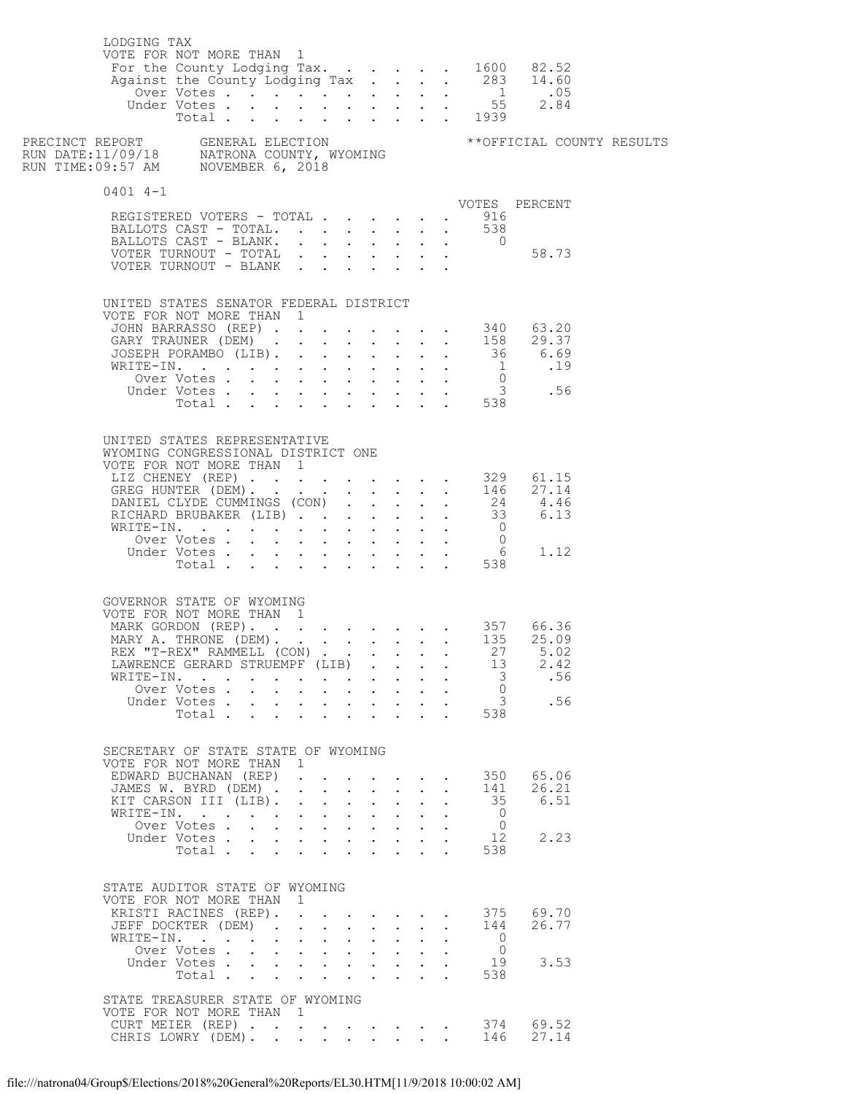| LODGING TAX | VOTE FOR NOT MORE THAN 1<br>For the County Lodging Tax. 1600 82.52                                                    |                           |              |                                                                                                                                                               |              |              |                                                                |                            |                      |                     |                    |  |
|-------------|-----------------------------------------------------------------------------------------------------------------------|---------------------------|--------------|---------------------------------------------------------------------------------------------------------------------------------------------------------------|--------------|--------------|----------------------------------------------------------------|----------------------------|----------------------|---------------------|--------------------|--|
|             |                                                                                                                       |                           |              |                                                                                                                                                               |              |              |                                                                |                            |                      |                     |                    |  |
| $0401$ 4-1  |                                                                                                                       |                           |              |                                                                                                                                                               |              |              |                                                                |                            |                      |                     | VOTES PERCENT      |  |
|             | REGISTERED VOTERS - TOTAL                                                                                             |                           |              |                                                                                                                                                               |              |              |                                                                |                            |                      | . 916               |                    |  |
|             | BALLOTS CAST - TOTAL. 538<br>BALLOTS CAST - BLANK.                                                                    |                           |              |                                                                                                                                                               |              |              |                                                                |                            |                      |                     |                    |  |
|             |                                                                                                                       |                           |              |                                                                                                                                                               |              |              |                                                                |                            |                      | $\overline{0}$      |                    |  |
|             |                                                                                                                       |                           |              |                                                                                                                                                               |              |              |                                                                |                            |                      |                     |                    |  |
|             | UNITED STATES SENATOR FEDERAL DISTRICT                                                                                |                           |              |                                                                                                                                                               |              |              |                                                                |                            |                      |                     |                    |  |
|             | VOTE FOR NOT MORE THAN 1<br>VOTE FOR NOT MORE THAN 1<br>JOHN BARRASSO (REP) 340 63.20<br>GARY TRAUNER (DEM) 158 29.37 |                           |              |                                                                                                                                                               |              |              |                                                                |                            |                      |                     |                    |  |
|             |                                                                                                                       |                           |              |                                                                                                                                                               |              |              |                                                                |                            |                      |                     |                    |  |
|             |                                                                                                                       |                           |              |                                                                                                                                                               |              |              |                                                                |                            |                      |                     |                    |  |
|             |                                                                                                                       |                           |              |                                                                                                                                                               |              |              |                                                                |                            |                      |                     |                    |  |
|             |                                                                                                                       |                           |              |                                                                                                                                                               |              |              |                                                                |                            |                      |                     |                    |  |
|             |                                                                                                                       |                           |              |                                                                                                                                                               |              |              |                                                                |                            |                      |                     |                    |  |
|             | UNITED STATES REPRESENTATIVE                                                                                          |                           |              |                                                                                                                                                               |              |              |                                                                |                            |                      |                     |                    |  |
|             | WYOMING CONGRESSIONAL DISTRICT ONE<br>VOTE FOR NOT MORE THAN 1                                                        |                           |              |                                                                                                                                                               |              |              |                                                                |                            |                      |                     |                    |  |
|             |                                                                                                                       |                           |              |                                                                                                                                                               |              |              |                                                                |                            |                      |                     |                    |  |
|             | LIZ CHENEY (REP) 329 61.15<br>GREG HUNTER (DEM) 146 27.14                                                             |                           |              |                                                                                                                                                               |              |              |                                                                |                            |                      |                     |                    |  |
|             | DANIEL CLYDE CUMMINGS (CON) 24 4.46<br>RICHARD BRUBAKER (LIB) 33 6.13<br>WRITE-TN.                                    |                           |              |                                                                                                                                                               |              |              |                                                                |                            |                      |                     |                    |  |
|             |                                                                                                                       |                           |              |                                                                                                                                                               |              |              |                                                                |                            |                      |                     |                    |  |
|             |                                                                                                                       |                           |              |                                                                                                                                                               |              |              |                                                                |                            |                      |                     |                    |  |
|             | WRITE-IN. 0<br>Over Votes 0<br>Under Votes 6 1.12<br>Total 538                                                        |                           |              |                                                                                                                                                               |              |              |                                                                |                            |                      |                     |                    |  |
|             |                                                                                                                       |                           |              |                                                                                                                                                               |              |              |                                                                |                            |                      |                     |                    |  |
|             | GOVERNOR STATE OF WYOMING<br>VOTE FOR NOT MORE THAN 1                                                                 |                           |              |                                                                                                                                                               |              |              |                                                                |                            |                      |                     |                    |  |
|             |                                                                                                                       |                           |              |                                                                                                                                                               |              |              |                                                                |                            |                      |                     |                    |  |
|             | MARK GORDON (REP). 357 66.36<br>MARY A. THRONE (DEM). 135 25.09                                                       |                           |              |                                                                                                                                                               |              |              |                                                                |                            |                      |                     |                    |  |
|             | REX "T-REX" RAMMELL (CON) 27 5.02                                                                                     |                           |              |                                                                                                                                                               |              |              |                                                                |                            |                      |                     |                    |  |
|             | LAWRENCE GERARD STRUEMPF (LIB).<br>WRITE-IN.                                                                          |                           |              |                                                                                                                                                               |              |              |                                                                |                            |                      | 13<br>$\mathcal{S}$ | 2.42<br>.56        |  |
|             | Over Votes                                                                                                            | $\sim$ $-$                | $\mathbf{L}$ | $\mathbf{r} = \mathbf{r} + \mathbf{r} + \mathbf{r} + \mathbf{r}$ .<br>$\mathbf{r} = \mathbf{r} \cdot \mathbf{r}$ , $\mathbf{r} = \mathbf{r} \cdot \mathbf{r}$ |              |              |                                                                | $\sim$ 100 $\pm$           |                      | $\bigcirc$          |                    |  |
|             | Under Votes                                                                                                           |                           |              |                                                                                                                                                               |              |              | $\mathbf{L}^{\text{max}}$ , and $\mathbf{L}^{\text{max}}$      |                            |                      |                     | 3 .56              |  |
|             | Total .                                                                                                               | $\mathbf{r} = \mathbf{r}$ |              | $\mathcal{L}^{\text{max}}$                                                                                                                                    |              |              | $\mathbf{r} = \mathbf{r}$                                      |                            |                      | 538                 |                    |  |
|             | SECRETARY OF STATE STATE OF WYOMING                                                                                   |                           |              |                                                                                                                                                               |              |              |                                                                |                            |                      |                     |                    |  |
|             | VOTE FOR NOT MORE THAN 1<br>EDWARD BUCHANAN (REP)                                                                     |                           |              |                                                                                                                                                               |              |              |                                                                |                            |                      | 350                 | 65.06              |  |
|             | JAMES W. BYRD (DEM).                                                                                                  |                           | $\mathbf{r}$ | $\ddot{\phantom{0}}$                                                                                                                                          | $\sim$       |              | <b>Contract Contract Contract</b><br>$\mathbf{L} = \mathbf{L}$ |                            | $\ddot{\phantom{0}}$ | 141                 | 26.21              |  |
|             | KIT CARSON III (LIB).                                                                                                 |                           |              | $\mathbf{r} = \mathbf{r} + \mathbf{r} + \mathbf{r} + \mathbf{r} + \mathbf{r}$                                                                                 |              |              |                                                                | $\mathbf{L}$               | $\bullet$ .          | 35                  | 6.51               |  |
|             | WRITE-IN.                                                                                                             |                           |              | $\cdot$ $\cdot$ $\cdot$ $\cdot$ $\cdot$                                                                                                                       |              |              | $\mathbf{L}$                                                   | $\mathbf{A}$               |                      | $\bigcirc$          |                    |  |
|             | Over Votes<br>Under Votes                                                                                             |                           |              | $\mathbf{r}$ and $\mathbf{r}$ and $\mathbf{r}$ and $\mathbf{r}$                                                                                               |              |              | $\mathbf{L} = \mathbf{L}$                                      | $\mathbf{L}^{\text{max}}$  |                      | $\bigcirc$<br>12    | 2.23               |  |
|             | Total                                                                                                                 |                           |              | $\cdot$ $\cdot$ $\cdot$                                                                                                                                       |              | $\mathbf{L}$ |                                                                |                            |                      | 538                 |                    |  |
|             |                                                                                                                       |                           |              |                                                                                                                                                               |              |              |                                                                |                            |                      |                     |                    |  |
|             | STATE AUDITOR STATE OF WYOMING                                                                                        |                           |              |                                                                                                                                                               |              |              |                                                                |                            |                      |                     |                    |  |
|             | VOTE FOR NOT MORE THAN 1                                                                                              |                           |              |                                                                                                                                                               |              |              |                                                                |                            |                      |                     |                    |  |
|             | KRISTI RACINES (REP). 375 69.70<br>JEFF DOCKTER (DEM).                                                                |                           |              | $\mathbf{r} = \mathbf{r} + \mathbf{r} + \mathbf{r} + \mathbf{r} + \mathbf{r}$                                                                                 |              |              |                                                                | $\mathcal{L}^{\text{max}}$ | $\ddotsc$            | 144                 | 26.77              |  |
|             | WRITE-IN.                                                                                                             | $\sim$                    |              | $\cdot$ $\cdot$ $\cdot$                                                                                                                                       | $\mathbf{L}$ | $\mathbf{A}$ | $\mathbf{L}$                                                   |                            |                      | $\bigcirc$          |                    |  |
|             | Over Votes                                                                                                            |                           |              | $\mathbf{r} = \mathbf{r} + \mathbf{r} + \mathbf{r} + \mathbf{r} + \mathbf{r}$                                                                                 |              |              |                                                                | $\mathcal{L}^{\text{max}}$ |                      | $\bigcirc$          |                    |  |
|             | Under Votes                                                                                                           |                           |              |                                                                                                                                                               |              |              |                                                                | $\mathcal{L}^{\text{max}}$ |                      |                     | 19 3.53            |  |
|             | Total                                                                                                                 |                           |              | $\mathbf{r}$ , $\mathbf{r}$ , $\mathbf{r}$ , $\mathbf{r}$                                                                                                     |              |              |                                                                |                            |                      | 538                 |                    |  |
|             | STATE TREASURER STATE OF WYOMING                                                                                      |                           |              |                                                                                                                                                               |              |              |                                                                |                            |                      |                     |                    |  |
|             | VOTE FOR NOT MORE THAN 1                                                                                              |                           |              |                                                                                                                                                               |              |              |                                                                |                            |                      |                     |                    |  |
|             | CURT MEIER (REP) 374<br>CHRIS LOWRY (DEM) 146                                                                         |                           |              |                                                                                                                                                               |              |              |                                                                |                            |                      |                     | 374 69.52<br>27.14 |  |
|             |                                                                                                                       |                           |              |                                                                                                                                                               |              |              |                                                                |                            |                      |                     |                    |  |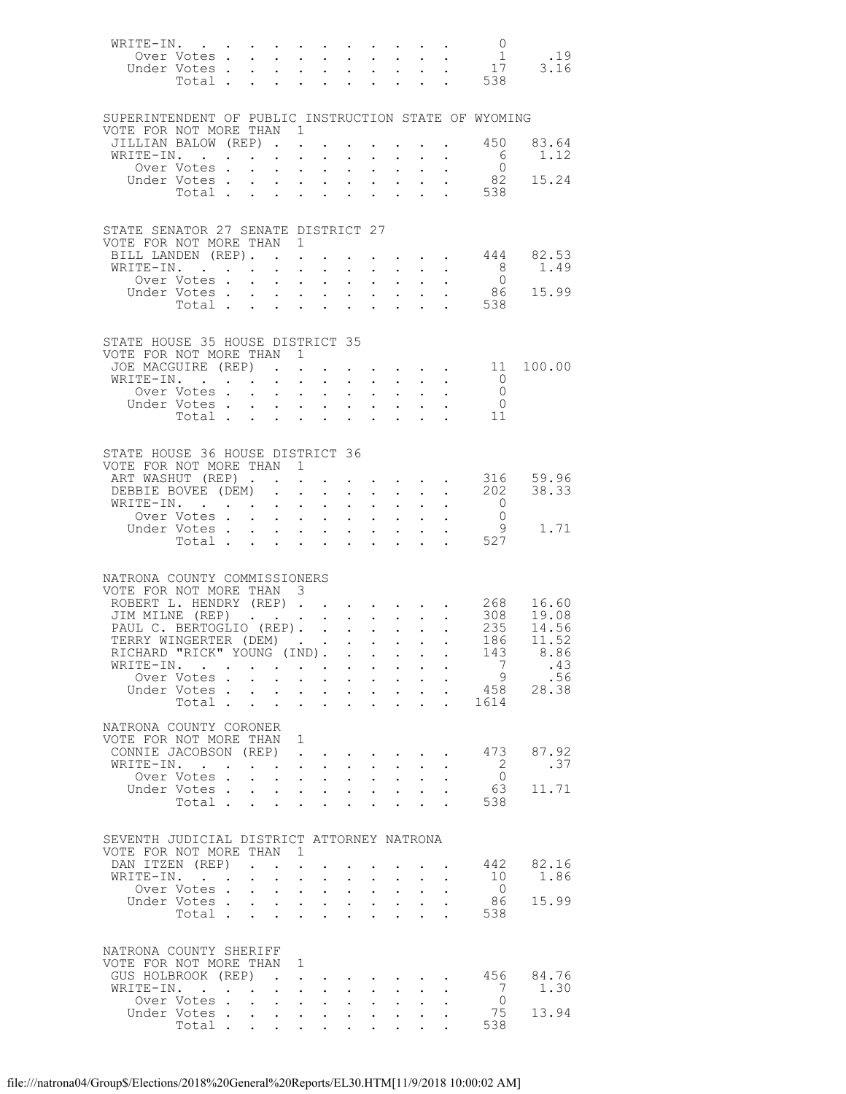| WRITE-IN. 0                                                                                                                           |                                                                                     |                                                                               |                                                       |                                                   |                            |                                                              |                                                                               |              |                                                                |                                                                         |
|---------------------------------------------------------------------------------------------------------------------------------------|-------------------------------------------------------------------------------------|-------------------------------------------------------------------------------|-------------------------------------------------------|---------------------------------------------------|----------------------------|--------------------------------------------------------------|-------------------------------------------------------------------------------|--------------|----------------------------------------------------------------|-------------------------------------------------------------------------|
| 0ver Votes 1 19<br>Jnder Votes 17 3.16<br>Under Votes.                                                                                |                                                                                     |                                                                               |                                                       |                                                   |                            |                                                              |                                                                               |              |                                                                |                                                                         |
| Total .                                                                                                                               | $\ddot{\phantom{0}}$                                                                | $\sim$                                                                        | $\mathbf{L} = \mathbf{L} \mathbf{L}$                  |                                                   |                            | $\mathbf{1}$ , $\mathbf{1}$ , $\mathbf{1}$ , $\mathbf{1}$    |                                                                               |              | $\frac{1}{2}$ . 538                                            |                                                                         |
|                                                                                                                                       |                                                                                     |                                                                               |                                                       |                                                   |                            |                                                              |                                                                               |              |                                                                |                                                                         |
|                                                                                                                                       |                                                                                     |                                                                               |                                                       |                                                   |                            |                                                              |                                                                               |              |                                                                |                                                                         |
| SUPERINTENDENT OF PUBLIC INSTRUCTION STATE OF WYOMING<br>VOTE FOR NOT MORE THAN 1                                                     |                                                                                     |                                                                               |                                                       |                                                   |                            |                                                              |                                                                               |              |                                                                |                                                                         |
| JILLIAN BALOW (REP). .                                                                                                                |                                                                                     |                                                                               |                                                       |                                                   |                            |                                                              |                                                                               |              | $\cdot$ $\cdot$ 450                                            | 83.64                                                                   |
| WRITE-IN.<br>. The contribution of the contribution of the contribution of the contribution of $\mathcal{A}$                          |                                                                                     |                                                                               |                                                       |                                                   |                            |                                                              |                                                                               |              | 6                                                              | 1.12                                                                    |
| Over Votes.                                                                                                                           |                                                                                     | $\mathbf{r} = \mathbf{r}$ and $\mathbf{r} = \mathbf{r}$                       |                                                       |                                                   |                            |                                                              | $\mathbf{r} = \mathbf{r} + \mathbf{r} + \mathbf{r}$                           |              | $\overline{0}$                                                 |                                                                         |
| Under Votes<br>Total .                                                                                                                | $\mathbf{L} = \mathbf{L} \mathbf{L}$                                                |                                                                               | $\mathbf{L} = \mathbf{L}$                             |                                                   |                            | $\mathbf{r} = \mathbf{r} \times \mathbf{r}$                  | $\mathbf{A}^{(n)}$ and $\mathbf{A}^{(n)}$ and $\mathbf{A}^{(n)}$              |              | $\begin{array}{ccc}\n & & 82 \\ \hline\n & & 538\n\end{array}$ | 15.24                                                                   |
|                                                                                                                                       |                                                                                     |                                                                               |                                                       |                                                   |                            |                                                              |                                                                               |              |                                                                |                                                                         |
|                                                                                                                                       |                                                                                     |                                                                               |                                                       |                                                   |                            |                                                              |                                                                               |              |                                                                |                                                                         |
| STATE SENATOR 27 SENATE DISTRICT 27                                                                                                   |                                                                                     |                                                                               |                                                       |                                                   |                            |                                                              |                                                                               |              |                                                                |                                                                         |
| VOTE FOR NOT MORE THAN 1<br>BILL LANDEN (REP). 444                                                                                    |                                                                                     |                                                                               |                                                       |                                                   |                            |                                                              |                                                                               |              |                                                                | 82.53                                                                   |
| WRITE-IN.                                                                                                                             |                                                                                     | $\sim$<br>$\sim 10^{-11}$                                                     | $\sim$                                                |                                                   |                            | $\mathbf{L} = \mathbf{L} \mathbf{L} + \mathbf{L} \mathbf{L}$ |                                                                               |              | 8 <sup>8</sup>                                                 | 1.49                                                                    |
| Over Votes Under Votes                                                                                                                |                                                                                     |                                                                               |                                                       |                                                   |                            |                                                              |                                                                               |              |                                                                | $\begin{matrix}0\\86\end{matrix}\qquad \begin{matrix}15.99\end{matrix}$ |
|                                                                                                                                       |                                                                                     |                                                                               |                                                       |                                                   |                            |                                                              |                                                                               |              | . 538                                                          |                                                                         |
| Total $\cdots$                                                                                                                        |                                                                                     |                                                                               |                                                       |                                                   |                            |                                                              |                                                                               |              |                                                                |                                                                         |
|                                                                                                                                       |                                                                                     |                                                                               |                                                       |                                                   |                            |                                                              |                                                                               |              |                                                                |                                                                         |
| STATE HOUSE 35 HOUSE DISTRICT 35                                                                                                      |                                                                                     |                                                                               |                                                       |                                                   |                            |                                                              |                                                                               |              |                                                                |                                                                         |
| VOTE FOR NOT MORE THAN 1<br>JOE MACGUIRE (REP).                                                                                       |                                                                                     |                                                                               |                                                       |                                                   |                            |                                                              |                                                                               |              | $\cdots$ $\cdots$ $\cdots$ $\cdots$ $\cdots$ 11                | 100.00                                                                  |
| WRITE-IN.                                                                                                                             |                                                                                     |                                                                               |                                                       |                                                   |                            |                                                              |                                                                               |              | $\overline{0}$                                                 |                                                                         |
| Over Votes .                                                                                                                          | $\mathbf{r}$ , $\mathbf{r}$ , $\mathbf{r}$ , $\mathbf{r}$                           |                                                                               |                                                       |                                                   |                            |                                                              | $\cdot$ $\cdot$ $\cdot$ $\cdot$ $\cdot$ $\cdot$                               |              | $\overline{0}$                                                 |                                                                         |
|                                                                                                                                       |                                                                                     |                                                                               |                                                       |                                                   |                            |                                                              |                                                                               |              | $\overline{0}$                                                 |                                                                         |
|                                                                                                                                       |                                                                                     |                                                                               |                                                       |                                                   |                            |                                                              |                                                                               |              | - 11                                                           |                                                                         |
|                                                                                                                                       |                                                                                     |                                                                               |                                                       |                                                   |                            |                                                              |                                                                               |              |                                                                |                                                                         |
| STATE HOUSE 36 HOUSE DISTRICT 36                                                                                                      |                                                                                     |                                                                               |                                                       |                                                   |                            |                                                              |                                                                               |              |                                                                |                                                                         |
| VOTE FOR NOT MORE THAN 1<br>ART WASHUT (REP)                                                                                          |                                                                                     |                                                                               |                                                       |                                                   |                            |                                                              |                                                                               |              |                                                                |                                                                         |
| DEBBIE BOVEE (DEM).                                                                                                                   |                                                                                     |                                                                               | $\sim$ $-$                                            |                                                   |                            | $\cdot$ $\cdot$ $\cdot$ $\cdot$                              | $\mathbf{r} = \mathbf{r} + \mathbf{r} + \mathbf{r} + \mathbf{r} + \mathbf{r}$ |              |                                                                | 316 59.96<br>202 38.33                                                  |
| WRITE-IN.                                                                                                                             |                                                                                     |                                                                               |                                                       | $\mathcal{L}^{\text{max}}$                        |                            | $\mathbf{A}^{\text{max}}$ , $\mathbf{A}^{\text{max}}$        |                                                                               |              | $\overline{0}$                                                 |                                                                         |
| Over Votes                                                                                                                            |                                                                                     |                                                                               |                                                       |                                                   |                            |                                                              |                                                                               |              | $\overline{0}$                                                 |                                                                         |
| Under Votes<br>Total .                                                                                                                | $\mathbf{r}$ , $\mathbf{r}$ , $\mathbf{r}$ , $\mathbf{r}$                           |                                                                               |                                                       |                                                   |                            | $\mathbf{1}$ $\mathbf{1}$ $\mathbf{1}$ $\mathbf{1}$          |                                                                               |              | - 9<br>.527                                                    | 1.71                                                                    |
|                                                                                                                                       |                                                                                     |                                                                               |                                                       |                                                   |                            |                                                              |                                                                               |              |                                                                |                                                                         |
|                                                                                                                                       |                                                                                     |                                                                               |                                                       |                                                   |                            |                                                              |                                                                               |              |                                                                |                                                                         |
| NATRONA COUNTY COMMISSIONERS                                                                                                          |                                                                                     |                                                                               |                                                       |                                                   |                            |                                                              |                                                                               |              |                                                                |                                                                         |
| VOTE FOR NOT MORE THAN 3                                                                                                              |                                                                                     |                                                                               |                                                       |                                                   |                            |                                                              |                                                                               |              |                                                                |                                                                         |
|                                                                                                                                       |                                                                                     |                                                                               |                                                       |                                                   |                            |                                                              |                                                                               |              |                                                                |                                                                         |
| ROBERT L. HENDRY (REP) 268 16.60<br>JIM MILNE (REP) 308 19.08<br>PAUL C. BERTOGLIO (REP) 235 14.56<br>TERRY WINGERTER (DEM) 186 11.52 |                                                                                     |                                                                               |                                                       |                                                   |                            |                                                              |                                                                               |              |                                                                |                                                                         |
|                                                                                                                                       |                                                                                     |                                                                               |                                                       |                                                   |                            |                                                              |                                                                               |              | 143                                                            |                                                                         |
| RICHARD "RICK" YOUNG (IND).<br>WRITE-IN.                                                                                              |                                                                                     |                                                                               |                                                       |                                                   |                            |                                                              |                                                                               |              | 7                                                              | 8.86<br>.43                                                             |
| Over Votes                                                                                                                            |                                                                                     |                                                                               | $\sim$ $-$                                            | $\ddot{\phantom{0}}$                              | $\mathcal{L}^{\text{max}}$ | $\bullet$ .                                                  |                                                                               |              | 9                                                              | .56                                                                     |
| Under Votes                                                                                                                           |                                                                                     |                                                                               |                                                       | $\mathbf{L}$                                      |                            | $\mathbf{L}$ . The set of $\mathbf{L}$                       |                                                                               |              | 458                                                            | 28.38                                                                   |
| Total                                                                                                                                 |                                                                                     | $\ddot{\phantom{a}}$                                                          | $\ddot{\phantom{a}}$                                  | $\ddot{\phantom{0}}$                              | $\ddot{\phantom{a}}$       | $\ddot{\phantom{0}}$                                         | $\ddot{\phantom{0}}$                                                          | $\mathbf{L}$ | 1614                                                           |                                                                         |
| NATRONA COUNTY CORONER                                                                                                                |                                                                                     |                                                                               |                                                       |                                                   |                            |                                                              |                                                                               |              |                                                                |                                                                         |
| VOTE FOR NOT MORE THAN 1                                                                                                              |                                                                                     |                                                                               |                                                       |                                                   |                            |                                                              |                                                                               |              |                                                                |                                                                         |
| CONNIE JACOBSON (REP)                                                                                                                 |                                                                                     |                                                                               | $\sim$ $\sim$ $\sim$                                  |                                                   |                            |                                                              |                                                                               |              | 473                                                            | 87.92                                                                   |
| WRITE-IN.<br>Over Votes.                                                                                                              | $\ddot{\phantom{0}}$                                                                | $\mathcal{L}^{\text{max}}$                                                    | $\mathbf{L} = \mathbf{L}$<br>$\sim$ $-$<br>$\sim$ $-$ | $\ddot{\phantom{0}}$                              | $\mathbf{z} = \mathbf{z}$  | $\ddot{\phantom{0}}$                                         |                                                                               |              | - 2<br>$\overline{0}$                                          | .37                                                                     |
| Under Votes.                                                                                                                          |                                                                                     | $\mathbf{r}$ , $\mathbf{r}$ , $\mathbf{r}$                                    |                                                       | $\mathbf{L}$                                      | $\mathbf{L}$               | $\mathbf{L}$                                                 |                                                                               |              | 63                                                             | 11.71                                                                   |
| Total                                                                                                                                 |                                                                                     |                                                                               | $\mathbf{L} = \mathbf{L}$                             | $\mathcal{L}^{\text{max}}$                        | $\ddot{\phantom{a}}$       | $\mathbf{L}$                                                 | $\ddot{\phantom{0}}$                                                          |              | 538                                                            |                                                                         |
|                                                                                                                                       |                                                                                     |                                                                               |                                                       |                                                   |                            |                                                              |                                                                               |              |                                                                |                                                                         |
| SEVENTH JUDICIAL DISTRICT ATTORNEY NATRONA                                                                                            |                                                                                     |                                                                               |                                                       |                                                   |                            |                                                              |                                                                               |              |                                                                |                                                                         |
| VOTE FOR NOT MORE THAN                                                                                                                |                                                                                     | $\mathbf{1}$                                                                  |                                                       |                                                   |                            |                                                              |                                                                               |              |                                                                |                                                                         |
| DAN ITZEN (REP)                                                                                                                       | $\sim$ $\sim$ $\sim$ $\sim$                                                         |                                                                               |                                                       |                                                   |                            |                                                              |                                                                               |              | 442                                                            | 82.16                                                                   |
| WRITE-IN.<br>$\mathbf{r}$ . The set of $\mathbf{r}$<br>Over Votes.                                                                    | $\bullet$ .<br><br><br><br><br><br><br><br><br><br><br><br><br>$\ddot{\phantom{0}}$ | $\mathbf{L}^{\text{max}}$ , and $\mathbf{L}^{\text{max}}$<br>$\mathbf{L}$     | $\sim$<br>$\sim$ $-$<br>$\sim$                        | $\mathbf{L}^{\text{max}}$<br>$\ddot{\phantom{0}}$ | $\sim 100$                 | $\mathbf{L}^{\text{max}}$                                    |                                                                               |              | 10<br>$\overline{0}$                                           | 1.86                                                                    |
| Under Votes.                                                                                                                          | $\mathbf{L}^{\text{max}}$                                                           | $\mathbf{z} = \mathbf{z} + \mathbf{z} + \mathbf{z}$ .                         |                                                       | $\ddot{\phantom{0}}$                              | $\mathbf{L}^{\text{max}}$  | $\mathbf{L}^{\text{max}}$                                    | $\ddot{\phantom{0}}$                                                          |              | 86                                                             | 15.99                                                                   |
| Total .                                                                                                                               | $\mathbf{r} = \mathbf{r}$                                                           |                                                                               | $\mathbf{r}$                                          |                                                   |                            |                                                              |                                                                               |              | 538                                                            |                                                                         |
|                                                                                                                                       |                                                                                     |                                                                               |                                                       |                                                   |                            |                                                              |                                                                               |              |                                                                |                                                                         |
| NATRONA COUNTY SHERIFF                                                                                                                |                                                                                     |                                                                               |                                                       |                                                   |                            |                                                              |                                                                               |              |                                                                |                                                                         |
| VOTE FOR NOT MORE THAN                                                                                                                |                                                                                     | 1                                                                             |                                                       |                                                   |                            |                                                              |                                                                               |              |                                                                |                                                                         |
| GUS HOLBROOK (REP)                                                                                                                    | $\sim$                                                                              | $\ddot{\phantom{a}}$                                                          |                                                       |                                                   |                            |                                                              |                                                                               |              | 456                                                            | 84.76                                                                   |
| WRITE-IN.<br>$\cdot$ $\cdot$<br>Over Votes.                                                                                           |                                                                                     |                                                                               | $\ddot{\phantom{0}}$<br>$\sim$                        |                                                   |                            |                                                              |                                                                               |              | -7<br>$\Omega$                                                 | 1.30                                                                    |
| Under Votes.                                                                                                                          | $\ddot{\phantom{0}}$<br>$\mathbf{L}$                                                | $\mathbf{L}^{\text{max}}$ , $\mathbf{L}^{\text{max}}$<br>$\ddot{\phantom{0}}$ | $\sim$<br>$\sim 10^{-11}$<br>$\sim$                   | $\ddot{\phantom{0}}$<br>$\ddot{\phantom{0}}$      | $\ddot{\phantom{0}}$       | $\bullet$ .                                                  |                                                                               |              | 75                                                             | 13.94                                                                   |
| Total .                                                                                                                               | $\bullet$ .<br><br><br><br><br><br><br><br><br><br><br><br>                         | $\sim$ $-$                                                                    | $\mathbf{z} = \mathbf{z} + \mathbf{z}$ .              |                                                   |                            |                                                              |                                                                               |              | 538                                                            |                                                                         |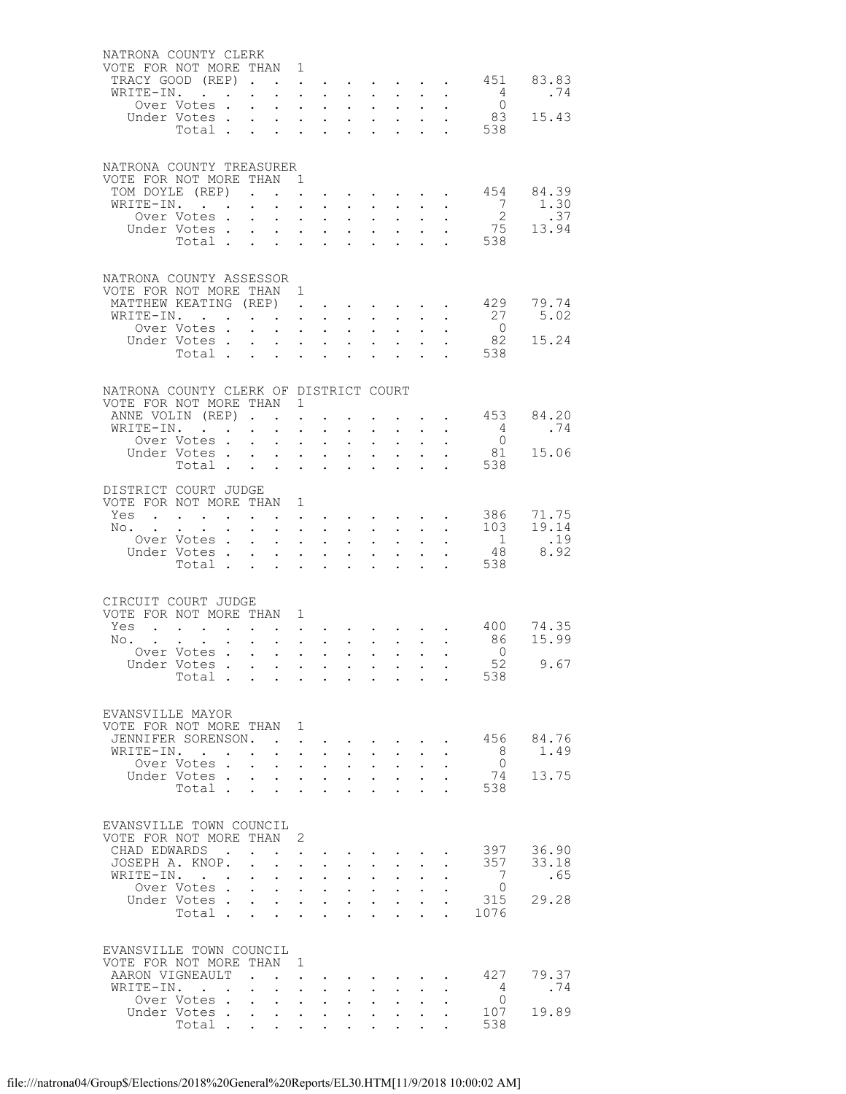| NATRONA COUNTY CLERK<br>VOTE FOR NOT MORE THAN 1  |                                            |                                                     |                                                                               |                                          |                                                                                                                          |                                                                                                                                                 |                                                             |                                                                                            |                           |                                          |                     |                   |
|---------------------------------------------------|--------------------------------------------|-----------------------------------------------------|-------------------------------------------------------------------------------|------------------------------------------|--------------------------------------------------------------------------------------------------------------------------|-------------------------------------------------------------------------------------------------------------------------------------------------|-------------------------------------------------------------|--------------------------------------------------------------------------------------------|---------------------------|------------------------------------------|---------------------|-------------------|
| TRACY GOOD (REP)                                  |                                            |                                                     |                                                                               |                                          |                                                                                                                          |                                                                                                                                                 |                                                             |                                                                                            |                           |                                          | $\cdot$ $\cdot$ 451 | 83.83             |
| WRITE-IN.                                         |                                            |                                                     |                                                                               |                                          | <b>All Carl Carl Control</b>                                                                                             |                                                                                                                                                 |                                                             | $\mathbf{z} = \mathbf{z} + \mathbf{z}$ , where $\mathbf{z}$                                | $\sim 10^{-10}$           |                                          | $\overline{4}$      | .74               |
|                                                   | Over Votes .                               | $\mathbf{L}$                                        |                                                                               |                                          | $\mathbf{r} = \mathbf{r} + \mathbf{r}$                                                                                   | $\mathbf{L}$                                                                                                                                    | $\sim$                                                      | $\sim$                                                                                     |                           |                                          | $\overline{0}$      |                   |
|                                                   | Under Votes                                |                                                     |                                                                               |                                          | $\mathbf{u}^{\prime}$ , $\mathbf{u}^{\prime}$ , $\mathbf{u}^{\prime}$ , $\mathbf{u}^{\prime}$ , $\mathbf{u}^{\prime}$    | $\bullet$ .                                                                                                                                     |                                                             |                                                                                            | $\mathbf{L}^{\text{max}}$ |                                          | 83<br>538           | 15.43             |
|                                                   | Total                                      |                                                     |                                                                               |                                          | $\mathbf{L}$                                                                                                             |                                                                                                                                                 |                                                             |                                                                                            |                           |                                          |                     |                   |
|                                                   |                                            |                                                     |                                                                               |                                          |                                                                                                                          |                                                                                                                                                 |                                                             |                                                                                            |                           |                                          |                     |                   |
| NATRONA COUNTY TREASURER                          |                                            |                                                     |                                                                               |                                          |                                                                                                                          |                                                                                                                                                 |                                                             |                                                                                            |                           |                                          |                     |                   |
| VOTE FOR NOT MORE THAN 1                          |                                            |                                                     |                                                                               |                                          |                                                                                                                          |                                                                                                                                                 |                                                             |                                                                                            |                           |                                          |                     |                   |
| TOM DOYLE (REP).<br>WRITE-IN.                     |                                            |                                                     | $\mathbf{L}$                                                                  |                                          | $\mathbf{1}^{\prime}$ , $\mathbf{1}^{\prime}$ , $\mathbf{1}^{\prime}$ , $\mathbf{1}^{\prime}$<br>$\cdot$ $\cdot$ $\cdot$ | $\ddot{\phantom{0}}$                                                                                                                            | $\sim 10^{-11}$                                             | $\mathbf{r} = \left\{ \mathbf{r}_1, \ldots, \mathbf{r}_n \right\}$<br>$\ddot{\phantom{0}}$ |                           |                                          | $7\phantom{0}$      | 454 84.39<br>1.30 |
|                                                   | Over Votes.                                | $\mathbf{L}^{\text{max}}$                           |                                                                               |                                          | $\mathbf{z} = \left\{ \mathbf{z}_1, \ldots, \mathbf{z}_n \right\}$ .                                                     | $\bullet$ .                                                                                                                                     | $\sim 10^{-11}$                                             | $\ddot{\phantom{0}}$                                                                       |                           |                                          | $\overline{2}$      | .37               |
|                                                   | Under Votes                                |                                                     | $\mathbf{L}$                                                                  |                                          | $\mathbf{z} = \mathbf{z} + \mathbf{z}$ .                                                                                 |                                                                                                                                                 | $\cdot$ $\cdot$ $\cdot$                                     | $\mathcal{L}^{\text{max}}$                                                                 |                           |                                          |                     | $75 \t 13.94$     |
|                                                   | Total                                      |                                                     |                                                                               |                                          |                                                                                                                          | $\ddot{\phantom{0}}$                                                                                                                            | $\mathcal{L}^{\text{max}}$                                  | $\ddot{\phantom{0}}$                                                                       |                           |                                          | . 538               |                   |
|                                                   |                                            |                                                     |                                                                               |                                          |                                                                                                                          |                                                                                                                                                 |                                                             |                                                                                            |                           |                                          |                     |                   |
| NATRONA COUNTY ASSESSOR                           |                                            |                                                     |                                                                               |                                          |                                                                                                                          |                                                                                                                                                 |                                                             |                                                                                            |                           |                                          |                     |                   |
| VOTE FOR NOT MORE THAN 1                          |                                            |                                                     |                                                                               |                                          |                                                                                                                          |                                                                                                                                                 |                                                             |                                                                                            |                           |                                          |                     |                   |
| MATTHEW KEATING (REP)<br>WRITE-IN. .              |                                            |                                                     |                                                                               |                                          |                                                                                                                          |                                                                                                                                                 | $\bullet$ . In the set of $\bullet$                         |                                                                                            |                           |                                          | 429<br>27           | 79.74<br>5.02     |
|                                                   | Over Votes.                                |                                                     | $\mathbf{z} = \mathbf{z} + \mathbf{z} + \mathbf{z} + \mathbf{z} + \mathbf{z}$ |                                          | $\mathbf{r}$ , $\mathbf{r}$ , $\mathbf{r}$                                                                               | $\sim$ $-$<br>$\ddot{\phantom{0}}$                                                                                                              | $\sim 100$<br>$\mathbf{L}^{\text{max}}$                     | $\mathbf{A}^{\mathrm{max}}$<br>$\ddot{\phantom{0}}$                                        |                           |                                          | $\overline{0}$      |                   |
|                                                   | Under Votes                                |                                                     |                                                                               |                                          |                                                                                                                          | $\bullet$ .                                                                                                                                     | $\mathbf{A}^{\text{max}}$                                   | $\sim 10$                                                                                  | $\mathbf{L}^{\text{max}}$ |                                          | 82                  | 15.24             |
|                                                   | Total .                                    |                                                     | $\mathbf{L} = \mathbf{L} \mathbf{L}$                                          |                                          | $\mathbf{r} = \mathbf{r}$                                                                                                |                                                                                                                                                 |                                                             | $\mathbf{r}$                                                                               |                           |                                          | 538                 |                   |
|                                                   |                                            |                                                     |                                                                               |                                          |                                                                                                                          |                                                                                                                                                 |                                                             |                                                                                            |                           |                                          |                     |                   |
| NATRONA COUNTY CLERK OF DISTRICT COURT            |                                            |                                                     |                                                                               |                                          |                                                                                                                          |                                                                                                                                                 |                                                             |                                                                                            |                           |                                          |                     |                   |
| VOTE FOR NOT MORE THAN 1                          |                                            |                                                     |                                                                               |                                          |                                                                                                                          |                                                                                                                                                 |                                                             |                                                                                            |                           |                                          |                     |                   |
| ANNE VOLIN (REP).                                 |                                            |                                                     | $\sim$                                                                        | $\ddot{\phantom{a}}$ .                   |                                                                                                                          |                                                                                                                                                 | $\sim 10^{-11}$                                             |                                                                                            |                           | $\mathbf{z} = \mathbf{z} + \mathbf{z}$ . | 453                 | 84.20             |
| WRITE-IN.                                         |                                            | $\sim$                                              | $\ddot{\phantom{a}}$                                                          | $\ddot{\phantom{0}}$                     | $\ddot{\phantom{0}}$                                                                                                     | $\ddot{\phantom{0}}$                                                                                                                            | $\sim$ $-$                                                  | $\ddot{\phantom{0}}$                                                                       |                           |                                          | $\overline{4}$      | .74               |
|                                                   | Over Votes .<br>Under Votes                | $\mathbf{L}^{\text{max}}$                           |                                                                               | $\mathbf{z} = \mathbf{z} + \mathbf{z}$ . | $\sim$ $-$<br>$\mathbf{L}^{\text{max}}$ , where $\mathbf{L}^{\text{max}}$                                                | $\mathbb{Z}^{\mathbb{Z}^{\times}}$                                                                                                              | $\sim 10^{-11}$<br>$\ddot{\phantom{0}}$                     | $\mathcal{L}^{\text{max}}$<br>$\mathbf{L}^{\text{max}}$                                    |                           |                                          | $\bigcirc$<br>81    | 15.06             |
|                                                   | Total                                      |                                                     |                                                                               |                                          | $\mathbf{L} = \mathbf{L}$                                                                                                | $\ddot{\phantom{0}}$                                                                                                                            | $\ddot{\phantom{a}}$                                        | $\ddot{\phantom{a}}$                                                                       | $\ddot{\phantom{0}}$      |                                          | 538                 |                   |
|                                                   |                                            |                                                     |                                                                               |                                          |                                                                                                                          |                                                                                                                                                 |                                                             |                                                                                            |                           |                                          |                     |                   |
| DISTRICT COURT JUDGE                              |                                            |                                                     |                                                                               |                                          |                                                                                                                          |                                                                                                                                                 |                                                             |                                                                                            |                           |                                          |                     |                   |
| VOTE FOR NOT MORE THAN 1<br>Yes                   | $\mathbf{r} = \mathbf{r} \cdot \mathbf{r}$ | $\mathbf{L} = \mathbf{L}$                           |                                                                               |                                          |                                                                                                                          | $\mathbf{u} = \mathbf{u} \times \mathbf{u}$ , and $\mathbf{u} = \mathbf{u} \times \mathbf{u}$ , and                                             |                                                             |                                                                                            |                           |                                          | 386                 | 71.75             |
| No. .                                             |                                            | $\sim$                                              |                                                                               |                                          | $\mathbf{r} = \mathbf{r}$ and $\mathbf{r} = \mathbf{r}$                                                                  |                                                                                                                                                 | $\bullet$ .<br><br><br><br><br><br><br><br><br><br><br><br> | $\ddot{\phantom{0}}$                                                                       |                           |                                          | 103                 | 19.14             |
|                                                   | Over Votes .                               | $\mathbf{L}^{\text{max}}$                           |                                                                               |                                          | $\mathbf{z} = \mathbf{z} + \mathbf{z}$ , where $\mathbf{z} = \mathbf{z}$                                                 | $\mathbf{L}^{\text{max}}$                                                                                                                       | $\mathcal{L}^{\text{max}}$                                  | $\ddot{\phantom{0}}$                                                                       |                           |                                          | $\overline{1}$      | .19               |
|                                                   | Under Votes.                               | $\mathbf{L}$                                        | $\mathcal{L}^{\text{max}}$                                                    |                                          | $\mathbf{L} = \mathbf{L}$                                                                                                | $\mathbf{L}$                                                                                                                                    | $\mathbf{L}$                                                | $\mathbf{L}$                                                                               |                           |                                          | 48                  | 8.92              |
|                                                   | Total                                      |                                                     | $\sim$ $-$                                                                    | $\ddot{\phantom{0}}$                     | $\sim$ $-$                                                                                                               | $\ddot{\phantom{0}}$                                                                                                                            | $\bullet$                                                   | $\ddot{\phantom{a}}$                                                                       | $\ddot{\phantom{0}}$      |                                          | 538                 |                   |
|                                                   |                                            |                                                     |                                                                               |                                          |                                                                                                                          |                                                                                                                                                 |                                                             |                                                                                            |                           |                                          |                     |                   |
| CIRCUIT COURT JUDGE                               |                                            |                                                     |                                                                               |                                          |                                                                                                                          |                                                                                                                                                 |                                                             |                                                                                            |                           |                                          |                     |                   |
| VOTE FOR NOT MORE THAN 1                          |                                            |                                                     |                                                                               |                                          |                                                                                                                          |                                                                                                                                                 |                                                             |                                                                                            |                           |                                          |                     |                   |
| Yes<br>$No.$                                      |                                            | $\mathbf{A}^{(1)}$ and<br>$\mathbf{z} = \mathbf{z}$ | $\mathcal{L}^{\text{max}}$                                                    | $\mathbf{L}^{\text{max}}$                |                                                                                                                          | $\mathbf{r} = \mathbf{r} + \mathbf{r} + \mathbf{r} + \mathbf{r} + \mathbf{r} + \mathbf{r} + \mathbf{r}$                                         |                                                             |                                                                                            |                           | $\sim$ $-$                               | 400 74.35<br>86     | 15.99             |
|                                                   | Over Votes                                 |                                                     |                                                                               |                                          |                                                                                                                          | $\mathbf{1}^{\prime}$ , $\mathbf{1}^{\prime}$ , $\mathbf{1}^{\prime}$ , $\mathbf{1}^{\prime}$ , $\mathbf{1}^{\prime}$ , $\mathbf{1}^{\prime}$ , |                                                             |                                                                                            | $\ddot{\phantom{a}}$      |                                          | $\bigcirc$          |                   |
|                                                   | Under Votes                                |                                                     |                                                                               |                                          |                                                                                                                          | $\mathbf{z} = \mathbf{z} + \mathbf{z} + \mathbf{z} + \mathbf{z} + \mathbf{z} + \mathbf{z}$                                                      |                                                             |                                                                                            |                           |                                          | 52                  | 9.67              |
|                                                   | Total $\cdots$                             |                                                     |                                                                               |                                          |                                                                                                                          |                                                                                                                                                 |                                                             |                                                                                            |                           |                                          | 538                 |                   |
|                                                   |                                            |                                                     |                                                                               |                                          |                                                                                                                          |                                                                                                                                                 |                                                             |                                                                                            |                           |                                          |                     |                   |
| EVANSVILLE MAYOR                                  |                                            |                                                     |                                                                               |                                          |                                                                                                                          |                                                                                                                                                 |                                                             |                                                                                            |                           |                                          |                     |                   |
| VOTE FOR NOT MORE THAN 1                          |                                            |                                                     |                                                                               |                                          |                                                                                                                          |                                                                                                                                                 |                                                             |                                                                                            |                           |                                          |                     |                   |
| JENNIFER SORENSON.                                |                                            |                                                     |                                                                               | $\ddot{\phantom{a}}$                     |                                                                                                                          |                                                                                                                                                 |                                                             |                                                                                            |                           |                                          | 456                 | 84.76             |
| WRITE-IN.                                         |                                            |                                                     |                                                                               | $\ddot{\phantom{0}}$                     | $\sim$ $-$                                                                                                               |                                                                                                                                                 |                                                             |                                                                                            |                           |                                          | 8<br>$\Omega$       | 1.49              |
|                                                   | Over Votes.<br>Under Votes.                | $\ddot{\phantom{0}}$<br>$\mathbf{L}$                | $\mathbf{L}^{\text{max}}$<br>$\mathbf{L}$                                     |                                          | $\mathcal{A}^{\mathcal{A}}$ , and $\mathcal{A}^{\mathcal{A}}$<br>$\ddot{\phantom{a}}$                                    | $\mathcal{L}^{\text{max}}$<br>$\mathbf{L}$                                                                                                      | $\mathcal{L}^{\text{max}}$                                  | $\mathcal{L}^{\mathcal{L}}$<br>$\Delta \sim 100$ km s $^{-1}$                              |                           |                                          | 74                  | 13.75             |
|                                                   | Total .                                    | $\sim$                                              | $\sim$                                                                        | $\ddot{\phantom{a}}$                     |                                                                                                                          |                                                                                                                                                 |                                                             |                                                                                            |                           |                                          | 538                 |                   |
|                                                   |                                            |                                                     |                                                                               |                                          |                                                                                                                          |                                                                                                                                                 |                                                             |                                                                                            |                           |                                          |                     |                   |
| EVANSVILLE TOWN COUNCIL                           |                                            |                                                     |                                                                               |                                          |                                                                                                                          |                                                                                                                                                 |                                                             |                                                                                            |                           |                                          |                     |                   |
| VOTE FOR NOT MORE THAN                            |                                            |                                                     |                                                                               | -2.                                      |                                                                                                                          |                                                                                                                                                 |                                                             |                                                                                            |                           |                                          |                     |                   |
| CHAD EDWARDS.                                     |                                            |                                                     |                                                                               |                                          |                                                                                                                          |                                                                                                                                                 |                                                             |                                                                                            |                           |                                          | 397                 | 36.90             |
| JOSEPH A. KNOP.                                   |                                            |                                                     | $\ddot{\phantom{0}}$                                                          | $\sim$ $-$                               | $\sim$ $-$                                                                                                               |                                                                                                                                                 | $\mathbf{L}^{\text{max}}$                                   |                                                                                            |                           |                                          | 357                 | 33.18             |
| WRITE-IN.                                         |                                            |                                                     | $\mathbf{r}$                                                                  | $\mathcal{L}^{\text{max}}$               | $\sim$ $-$                                                                                                               | $\ddot{\phantom{0}}$                                                                                                                            | $\mathbf{L}^{\text{max}}$                                   | $\ddot{\phantom{a}}$                                                                       |                           |                                          | 7                   | .65               |
|                                                   | Over Votes.<br>Under Votes.                | $\mathbf{L}^{\text{max}}$                           | $\mathbf{L}^{\text{max}}$<br>$\mathbf{L} = \mathbf{L}$                        |                                          | $\mathcal{L}^{\text{max}}$ , $\mathcal{L}^{\text{max}}$<br>$\cdot$ $\cdot$ $\cdot$                                       | $\mathbb{Z}^{\mathbb{Z}^{\times}}$<br>$\ddot{\phantom{0}}$                                                                                      | $\mathcal{L}^{\text{max}}$<br>$\mathbf{L}$                  | $\ddot{\phantom{0}}$<br>$\ddot{\phantom{a}}$                                               |                           |                                          | $\Omega$<br>315     | 29.28             |
|                                                   | Total                                      |                                                     | $\sim$ $-$                                                                    | $\ddot{\phantom{0}}$                     | $\ddot{\phantom{a}}$                                                                                                     | $\ddot{\phantom{0}}$                                                                                                                            |                                                             |                                                                                            |                           |                                          | 1076                |                   |
|                                                   |                                            |                                                     |                                                                               |                                          |                                                                                                                          |                                                                                                                                                 |                                                             |                                                                                            |                           |                                          |                     |                   |
|                                                   |                                            |                                                     |                                                                               |                                          |                                                                                                                          |                                                                                                                                                 |                                                             |                                                                                            |                           |                                          |                     |                   |
| EVANSVILLE TOWN COUNCIL<br>VOTE FOR NOT MORE THAN |                                            |                                                     |                                                                               | -1                                       |                                                                                                                          |                                                                                                                                                 |                                                             |                                                                                            |                           |                                          |                     |                   |
| AARON VIGNEAULT                                   |                                            | $\sim$                                              | $\sim$                                                                        |                                          |                                                                                                                          |                                                                                                                                                 |                                                             |                                                                                            |                           |                                          | 427                 | 79.37             |
| WRITE-IN. .                                       |                                            | $\mathbf{L}^{\text{max}}$                           | $\mathcal{L}^{\mathcal{L}}$                                                   | $\sim 10^{-10}$                          |                                                                                                                          |                                                                                                                                                 |                                                             |                                                                                            |                           |                                          | 4                   | .74               |
|                                                   | Over Votes.                                | $\mathbf{L}$                                        | $\mathbf{r}$                                                                  | $\ddot{\phantom{a}}$                     |                                                                                                                          |                                                                                                                                                 |                                                             |                                                                                            |                           |                                          | $\Omega$            |                   |
|                                                   | Under Votes.<br>Total .                    | $\mathbf{L}^{\text{max}}$<br>$\mathbf{L}^{(1)}$ and | $\mathcal{L}^{\mathcal{L}}$                                                   | $\ddot{\phantom{0}}$                     |                                                                                                                          |                                                                                                                                                 |                                                             |                                                                                            |                           |                                          | 107<br>538          | 19.89             |
|                                                   |                                            |                                                     |                                                                               |                                          |                                                                                                                          |                                                                                                                                                 |                                                             |                                                                                            |                           |                                          |                     |                   |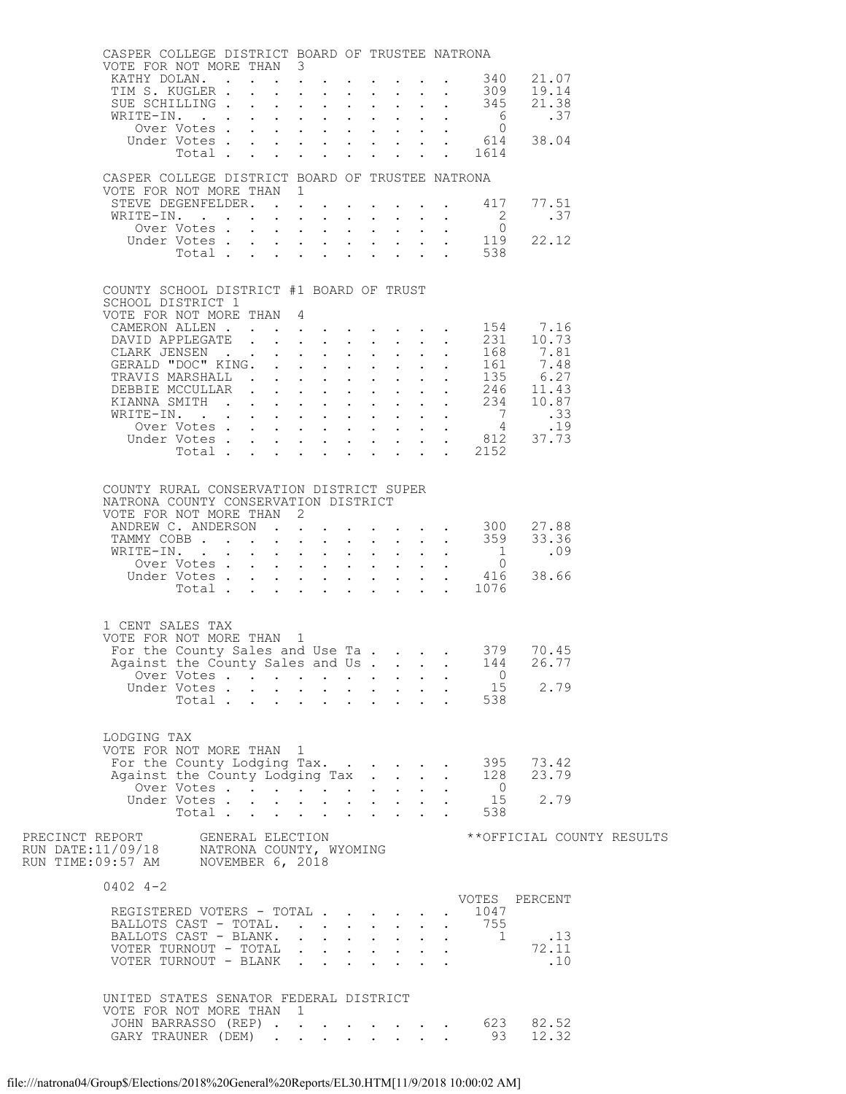|                                                                                                                     | CASPER COLLEGE DISTRICT BOARD OF TRUSTEE NATRONA<br>VOTE FOR NOT MORE THAN 3      |                      |  |   |                                                                                                                                                                                                                                                                                                                                                                                                                                                                           |  |                      |              |                                                                          |                           |  |
|---------------------------------------------------------------------------------------------------------------------|-----------------------------------------------------------------------------------|----------------------|--|---|---------------------------------------------------------------------------------------------------------------------------------------------------------------------------------------------------------------------------------------------------------------------------------------------------------------------------------------------------------------------------------------------------------------------------------------------------------------------------|--|----------------------|--------------|--------------------------------------------------------------------------|---------------------------|--|
|                                                                                                                     | KATHY DOLAN. 340 21.07                                                            |                      |  |   |                                                                                                                                                                                                                                                                                                                                                                                                                                                                           |  |                      |              |                                                                          |                           |  |
|                                                                                                                     | TIM S. KUGLER 309<br>SUE SCHILLING 345                                            |                      |  |   |                                                                                                                                                                                                                                                                                                                                                                                                                                                                           |  |                      |              |                                                                          | 19.14                     |  |
|                                                                                                                     | SUE SCHILLING                                                                     |                      |  |   | $\mathbf{r} = \mathbf{r} + \mathbf{r} + \mathbf{r} + \mathbf{r} + \mathbf{r}$                                                                                                                                                                                                                                                                                                                                                                                             |  |                      |              |                                                                          | 21.38<br>.37              |  |
|                                                                                                                     |                                                                                   | Over Votes           |  |   |                                                                                                                                                                                                                                                                                                                                                                                                                                                                           |  |                      |              | $\overline{0}$                                                           |                           |  |
|                                                                                                                     |                                                                                   |                      |  |   |                                                                                                                                                                                                                                                                                                                                                                                                                                                                           |  |                      |              | Under Votes 614<br>Total 1614                                            | 38.04                     |  |
|                                                                                                                     |                                                                                   |                      |  |   | $\mathbf{1}=\mathbf{1}=\mathbf{1}=\mathbf{1}=\mathbf{1}=\mathbf{1}=\mathbf{1}=\mathbf{1}=\mathbf{1}=\mathbf{1}=\mathbf{1}=\mathbf{1}=\mathbf{1}=\mathbf{1}=\mathbf{1}=\mathbf{1}=\mathbf{1}=\mathbf{1}=\mathbf{1}=\mathbf{1}=\mathbf{1}=\mathbf{1}=\mathbf{1}=\mathbf{1}=\mathbf{1}=\mathbf{1}=\mathbf{1}=\mathbf{1}=\mathbf{1}=\mathbf{1}=\mathbf{1}=\mathbf{1}=\mathbf{1}=\mathbf{1}=\mathbf{1}=\mathbf{1}=\mathbf{$                                                    |  |                      |              |                                                                          |                           |  |
|                                                                                                                     | CASPER COLLEGE DISTRICT BOARD OF TRUSTEE NATRONA                                  |                      |  |   |                                                                                                                                                                                                                                                                                                                                                                                                                                                                           |  |                      |              |                                                                          |                           |  |
|                                                                                                                     | VOTE FOR NOT MORE THAN 1                                                          |                      |  |   |                                                                                                                                                                                                                                                                                                                                                                                                                                                                           |  |                      |              |                                                                          |                           |  |
|                                                                                                                     | STEVE DEGENFELDER. 417                                                            |                      |  |   |                                                                                                                                                                                                                                                                                                                                                                                                                                                                           |  |                      |              |                                                                          | 77.51                     |  |
|                                                                                                                     | WRITE-IN. 2                                                                       |                      |  |   |                                                                                                                                                                                                                                                                                                                                                                                                                                                                           |  |                      |              |                                                                          | .37                       |  |
|                                                                                                                     |                                                                                   |                      |  |   |                                                                                                                                                                                                                                                                                                                                                                                                                                                                           |  |                      |              |                                                                          | 22.12                     |  |
|                                                                                                                     |                                                                                   |                      |  |   |                                                                                                                                                                                                                                                                                                                                                                                                                                                                           |  |                      |              | 0<br>Under Votes 119<br>Total 538                                        |                           |  |
|                                                                                                                     |                                                                                   |                      |  |   |                                                                                                                                                                                                                                                                                                                                                                                                                                                                           |  |                      |              |                                                                          |                           |  |
|                                                                                                                     | COUNTY SCHOOL DISTRICT #1 BOARD OF TRUST                                          |                      |  |   |                                                                                                                                                                                                                                                                                                                                                                                                                                                                           |  |                      |              |                                                                          |                           |  |
|                                                                                                                     | SCHOOL DISTRICT 1                                                                 |                      |  |   |                                                                                                                                                                                                                                                                                                                                                                                                                                                                           |  |                      |              |                                                                          |                           |  |
|                                                                                                                     | VOTE FOR NOT MORE THAN 4<br>CAMERON ALLEN 154 7.16                                |                      |  |   |                                                                                                                                                                                                                                                                                                                                                                                                                                                                           |  |                      |              |                                                                          |                           |  |
|                                                                                                                     |                                                                                   |                      |  |   |                                                                                                                                                                                                                                                                                                                                                                                                                                                                           |  |                      |              |                                                                          |                           |  |
|                                                                                                                     |                                                                                   |                      |  |   |                                                                                                                                                                                                                                                                                                                                                                                                                                                                           |  |                      |              |                                                                          |                           |  |
|                                                                                                                     |                                                                                   |                      |  |   |                                                                                                                                                                                                                                                                                                                                                                                                                                                                           |  |                      |              |                                                                          |                           |  |
|                                                                                                                     |                                                                                   |                      |  |   |                                                                                                                                                                                                                                                                                                                                                                                                                                                                           |  |                      |              |                                                                          |                           |  |
|                                                                                                                     |                                                                                   |                      |  |   |                                                                                                                                                                                                                                                                                                                                                                                                                                                                           |  |                      |              |                                                                          |                           |  |
|                                                                                                                     |                                                                                   |                      |  |   |                                                                                                                                                                                                                                                                                                                                                                                                                                                                           |  |                      |              |                                                                          |                           |  |
|                                                                                                                     |                                                                                   |                      |  |   |                                                                                                                                                                                                                                                                                                                                                                                                                                                                           |  |                      |              |                                                                          |                           |  |
|                                                                                                                     |                                                                                   |                      |  |   |                                                                                                                                                                                                                                                                                                                                                                                                                                                                           |  |                      |              |                                                                          |                           |  |
|                                                                                                                     |                                                                                   |                      |  |   |                                                                                                                                                                                                                                                                                                                                                                                                                                                                           |  |                      |              |                                                                          |                           |  |
|                                                                                                                     |                                                                                   |                      |  |   |                                                                                                                                                                                                                                                                                                                                                                                                                                                                           |  |                      |              |                                                                          |                           |  |
|                                                                                                                     | COUNTY RURAL CONSERVATION DISTRICT SUPER                                          |                      |  |   |                                                                                                                                                                                                                                                                                                                                                                                                                                                                           |  |                      |              |                                                                          |                           |  |
|                                                                                                                     | NATRONA COUNTY CONSERVATION DISTRICT                                              |                      |  |   |                                                                                                                                                                                                                                                                                                                                                                                                                                                                           |  |                      |              |                                                                          |                           |  |
|                                                                                                                     | VOTE FOR NOT MORE THAN 2<br>ANDREW C. ANDERSON 300                                |                      |  |   |                                                                                                                                                                                                                                                                                                                                                                                                                                                                           |  |                      |              |                                                                          | 27.88                     |  |
|                                                                                                                     | TAMMY COBB 359                                                                    |                      |  |   |                                                                                                                                                                                                                                                                                                                                                                                                                                                                           |  |                      |              |                                                                          | 33.36                     |  |
|                                                                                                                     | WRITE-IN.                                                                         |                      |  |   | $\mathbf{1} \qquad \qquad \mathbf{1} \qquad \qquad \mathbf{1} \qquad \qquad \mathbf{1} \qquad \qquad \mathbf{1} \qquad \qquad \mathbf{1} \qquad \qquad \mathbf{1} \qquad \qquad \mathbf{1} \qquad \qquad \mathbf{1} \qquad \qquad \mathbf{1} \qquad \qquad \mathbf{1} \qquad \qquad \mathbf{1} \qquad \qquad \mathbf{1} \qquad \qquad \mathbf{1} \qquad \qquad \mathbf{1} \qquad \qquad \mathbf{1} \qquad \qquad \mathbf{1} \qquad \qquad \mathbf{1} \qquad \mathbf{1} \$ |  |                      |              | $\frac{1}{2}$                                                            | .09                       |  |
|                                                                                                                     |                                                                                   |                      |  |   |                                                                                                                                                                                                                                                                                                                                                                                                                                                                           |  |                      |              | Over Votes 0<br>Under Votes 416                                          |                           |  |
|                                                                                                                     |                                                                                   |                      |  |   |                                                                                                                                                                                                                                                                                                                                                                                                                                                                           |  |                      |              | Total 1076                                                               | 38.66                     |  |
|                                                                                                                     |                                                                                   |                      |  |   |                                                                                                                                                                                                                                                                                                                                                                                                                                                                           |  |                      |              |                                                                          |                           |  |
|                                                                                                                     |                                                                                   |                      |  |   |                                                                                                                                                                                                                                                                                                                                                                                                                                                                           |  |                      |              |                                                                          |                           |  |
|                                                                                                                     | 1 CENT SALES TAX<br>VOTE FOR NOT MORE THAN 1                                      |                      |  |   |                                                                                                                                                                                                                                                                                                                                                                                                                                                                           |  |                      |              |                                                                          |                           |  |
|                                                                                                                     | For the County Sales and Use Ta 379 70.45                                         |                      |  |   |                                                                                                                                                                                                                                                                                                                                                                                                                                                                           |  |                      |              |                                                                          |                           |  |
|                                                                                                                     | Against the County Sales and Us 144                                               |                      |  |   |                                                                                                                                                                                                                                                                                                                                                                                                                                                                           |  |                      |              |                                                                          | 26.77                     |  |
|                                                                                                                     |                                                                                   | Over Votes           |  |   |                                                                                                                                                                                                                                                                                                                                                                                                                                                                           |  |                      |              | $\overline{0}$                                                           |                           |  |
|                                                                                                                     |                                                                                   | Under Votes          |  |   |                                                                                                                                                                                                                                                                                                                                                                                                                                                                           |  |                      |              |                                                                          | 2.79                      |  |
|                                                                                                                     |                                                                                   | Total                |  |   |                                                                                                                                                                                                                                                                                                                                                                                                                                                                           |  |                      |              | $\frac{15}{15}$<br>$\frac{15}{15}$<br>$\frac{15}{15}$<br>$\frac{15}{15}$ |                           |  |
|                                                                                                                     |                                                                                   |                      |  |   |                                                                                                                                                                                                                                                                                                                                                                                                                                                                           |  |                      |              |                                                                          |                           |  |
|                                                                                                                     | LODGING TAX<br>VOTE FOR NOT MORE THAN 1                                           |                      |  |   |                                                                                                                                                                                                                                                                                                                                                                                                                                                                           |  |                      |              |                                                                          |                           |  |
|                                                                                                                     | For the County Lodging Tax. 395 73.42<br>Against the County Lodging Tax 128 23.79 |                      |  |   |                                                                                                                                                                                                                                                                                                                                                                                                                                                                           |  |                      |              |                                                                          |                           |  |
|                                                                                                                     | Against the County Lodging Tax                                                    |                      |  |   |                                                                                                                                                                                                                                                                                                                                                                                                                                                                           |  |                      |              |                                                                          |                           |  |
|                                                                                                                     |                                                                                   | Over Votes           |  |   |                                                                                                                                                                                                                                                                                                                                                                                                                                                                           |  |                      |              | $\overline{0}$                                                           |                           |  |
|                                                                                                                     |                                                                                   | Under Votes<br>Total |  |   |                                                                                                                                                                                                                                                                                                                                                                                                                                                                           |  |                      |              | 15<br>538                                                                | 2.79                      |  |
|                                                                                                                     |                                                                                   |                      |  |   |                                                                                                                                                                                                                                                                                                                                                                                                                                                                           |  |                      |              |                                                                          |                           |  |
| PRECINCT REPORT GENERAL ELECTION<br>RUN DATE:11/09/18 NATRONA COUNTY, WYOMING<br>RUN TIME:09:57 AM NOVEMBER 6, 2018 |                                                                                   |                      |  |   |                                                                                                                                                                                                                                                                                                                                                                                                                                                                           |  |                      |              |                                                                          | **OFFICIAL COUNTY RESULTS |  |
|                                                                                                                     |                                                                                   |                      |  |   |                                                                                                                                                                                                                                                                                                                                                                                                                                                                           |  |                      |              |                                                                          |                           |  |
|                                                                                                                     |                                                                                   |                      |  |   |                                                                                                                                                                                                                                                                                                                                                                                                                                                                           |  |                      |              |                                                                          |                           |  |
|                                                                                                                     | $0402$ 4-2                                                                        |                      |  |   |                                                                                                                                                                                                                                                                                                                                                                                                                                                                           |  |                      |              |                                                                          |                           |  |
|                                                                                                                     |                                                                                   |                      |  |   |                                                                                                                                                                                                                                                                                                                                                                                                                                                                           |  |                      |              | 1047                                                                     | VOTES PERCENT             |  |
|                                                                                                                     | REGISTERED VOTERS - TOTAL<br>BALLOTS CAST - TOTAL.                                |                      |  |   |                                                                                                                                                                                                                                                                                                                                                                                                                                                                           |  | $\ddot{\phantom{0}}$ |              | 755                                                                      |                           |  |
|                                                                                                                     | BALLOTS CAST - BLANK.                                                             |                      |  |   |                                                                                                                                                                                                                                                                                                                                                                                                                                                                           |  |                      |              |                                                                          | 1.13                      |  |
|                                                                                                                     | VOTER TURNOUT - TOTAL                                                             |                      |  |   |                                                                                                                                                                                                                                                                                                                                                                                                                                                                           |  |                      |              |                                                                          | 72.11                     |  |
|                                                                                                                     | VOTER TURNOUT - BLANK                                                             |                      |  |   |                                                                                                                                                                                                                                                                                                                                                                                                                                                                           |  |                      |              |                                                                          | $\ldots$                  |  |
|                                                                                                                     |                                                                                   |                      |  |   |                                                                                                                                                                                                                                                                                                                                                                                                                                                                           |  |                      |              |                                                                          |                           |  |
|                                                                                                                     | UNITED STATES SENATOR FEDERAL DISTRICT                                            |                      |  |   |                                                                                                                                                                                                                                                                                                                                                                                                                                                                           |  |                      |              |                                                                          |                           |  |
|                                                                                                                     | VOTE FOR NOT MORE THAN                                                            |                      |  | 1 |                                                                                                                                                                                                                                                                                                                                                                                                                                                                           |  |                      |              |                                                                          |                           |  |
|                                                                                                                     | JOHN BARRASSO (REP) 623 82.52                                                     |                      |  |   |                                                                                                                                                                                                                                                                                                                                                                                                                                                                           |  |                      |              |                                                                          |                           |  |
|                                                                                                                     | GARY TRAUNER (DEM)                                                                |                      |  |   |                                                                                                                                                                                                                                                                                                                                                                                                                                                                           |  |                      | $\mathbf{L}$ | 93                                                                       | 12.32                     |  |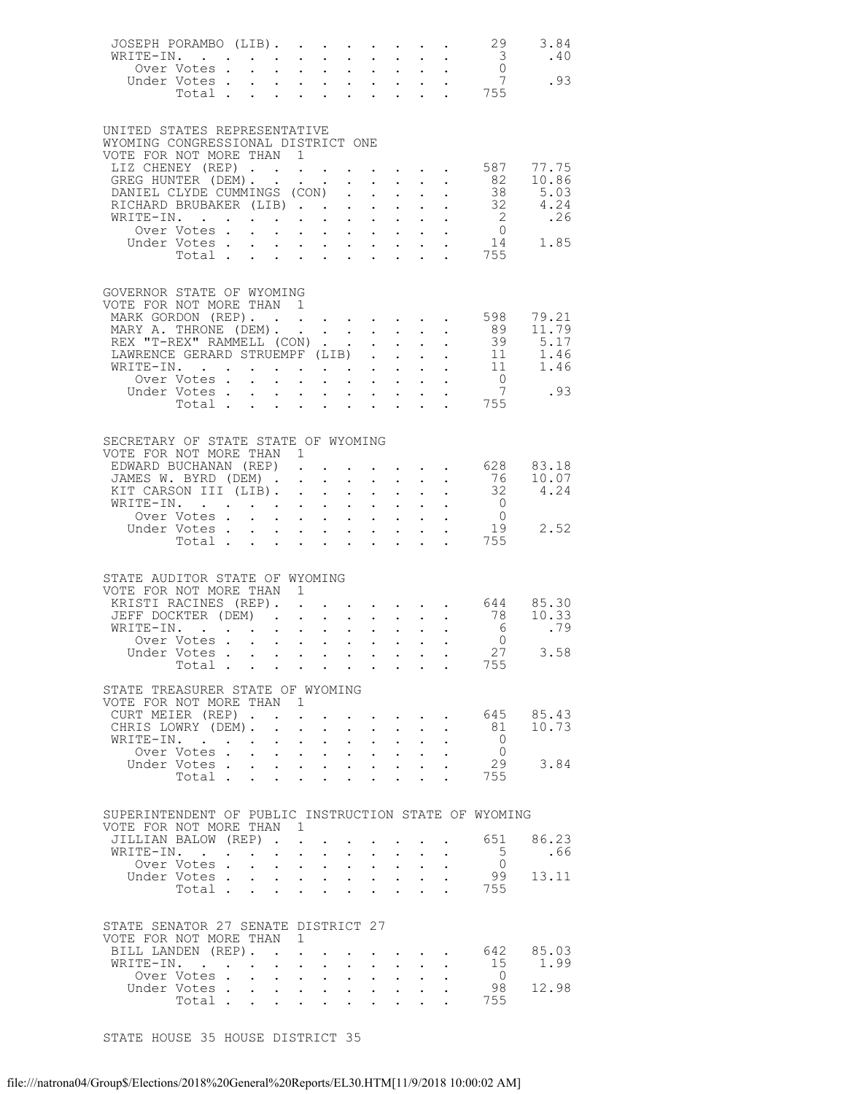| JOSEPH PORAMBO (LIB).<br>WRITE-IN.<br>vertical contract that the contract of the contract of the contract of the contract of the contract of the contract of the contract of the contract of the contract of the contract of the contract of the contract of the con<br>Over Votes .<br>Under Votes. |                                                             |        |                                                                                                                       |                  |                                                                                                                                                                              |                                                                    |                                                               |                           |                                                                                               | 29                                               | 3.84                                                                                                                                                                                                 |
|------------------------------------------------------------------------------------------------------------------------------------------------------------------------------------------------------------------------------------------------------------------------------------------------------|-------------------------------------------------------------|--------|-----------------------------------------------------------------------------------------------------------------------|------------------|------------------------------------------------------------------------------------------------------------------------------------------------------------------------------|--------------------------------------------------------------------|---------------------------------------------------------------|---------------------------|-----------------------------------------------------------------------------------------------|--------------------------------------------------|------------------------------------------------------------------------------------------------------------------------------------------------------------------------------------------------------|
| UNITED STATES REPRESENTATIVE<br>WYOMING CONGRESSIONAL DISTRICT ONE<br>VOTE FOR NOT MORE THAN 1                                                                                                                                                                                                       |                                                             |        |                                                                                                                       |                  |                                                                                                                                                                              |                                                                    |                                                               |                           |                                                                                               |                                                  |                                                                                                                                                                                                      |
| LIZ CHENEY (REP) 587 77.75<br>GREG HUNTER (DEM) 82 10.86<br>DANIEL CLYDE CUMMINGS (CON)<br>RICHARD BRUBAKER (LIB)                                                                                                                                                                                    |                                                             |        |                                                                                                                       |                  | $\mathcal{L}^{\text{max}}$                                                                                                                                                   |                                                                    |                                                               |                           |                                                                                               |                                                  |                                                                                                                                                                                                      |
|                                                                                                                                                                                                                                                                                                      |                                                             |        |                                                                                                                       |                  |                                                                                                                                                                              |                                                                    |                                                               |                           |                                                                                               |                                                  |                                                                                                                                                                                                      |
|                                                                                                                                                                                                                                                                                                      |                                                             |        |                                                                                                                       |                  |                                                                                                                                                                              |                                                                    |                                                               |                           |                                                                                               |                                                  |                                                                                                                                                                                                      |
| GOVERNOR STATE OF WYOMING<br>VOTE FOR NOT MORE THAN 1<br>MARK GORDON (REP).                                                                                                                                                                                                                          |                                                             |        |                                                                                                                       |                  |                                                                                                                                                                              |                                                                    |                                                               |                           |                                                                                               |                                                  | 598 79.21<br>89 11.79                                                                                                                                                                                |
| MARY A. THRONE (DEM).                                                                                                                                                                                                                                                                                |                                                             |        |                                                                                                                       |                  |                                                                                                                                                                              |                                                                    |                                                               |                           |                                                                                               |                                                  |                                                                                                                                                                                                      |
|                                                                                                                                                                                                                                                                                                      |                                                             |        |                                                                                                                       |                  |                                                                                                                                                                              |                                                                    |                                                               |                           |                                                                                               |                                                  |                                                                                                                                                                                                      |
|                                                                                                                                                                                                                                                                                                      |                                                             |        |                                                                                                                       |                  |                                                                                                                                                                              |                                                                    |                                                               |                           |                                                                                               |                                                  |                                                                                                                                                                                                      |
| Under Votes                                                                                                                                                                                                                                                                                          |                                                             |        |                                                                                                                       |                  | $\mathcal{A}=\mathcal{A}=\mathcal{A}=\mathcal{A}=\mathcal{A}=\mathcal{A}=\mathcal{A}$ .                                                                                      |                                                                    |                                                               |                           |                                                                                               | $\frac{6}{7}$                                    | .93                                                                                                                                                                                                  |
| Total.                                                                                                                                                                                                                                                                                               |                                                             |        |                                                                                                                       |                  | $\mathbf{r}$ , $\mathbf{r}$ , $\mathbf{r}$ , $\mathbf{r}$ , $\mathbf{r}$ , $\mathbf{r}$                                                                                      |                                                                    |                                                               |                           |                                                                                               | $\begin{array}{cc} . & 7 \\ . & 755 \end{array}$ |                                                                                                                                                                                                      |
| SECRETARY OF STATE STATE OF WYOMING<br>VOTE FOR NOT MORE THAN 1                                                                                                                                                                                                                                      |                                                             |        |                                                                                                                       |                  |                                                                                                                                                                              |                                                                    |                                                               |                           |                                                                                               |                                                  |                                                                                                                                                                                                      |
| EDWARD BUCHANAN (REP)                                                                                                                                                                                                                                                                                |                                                             |        |                                                                                                                       |                  |                                                                                                                                                                              |                                                                    |                                                               |                           |                                                                                               |                                                  |                                                                                                                                                                                                      |
| JAMES W. BYRD (DEM).<br>KIT CARSON III (LIB).                                                                                                                                                                                                                                                        |                                                             |        | $\ddot{\phantom{0}}$                                                                                                  | $\sim$ 100 $\pm$ |                                                                                                                                                                              |                                                                    |                                                               |                           |                                                                                               |                                                  | $\begin{array}{cccccccc} . & . & . & . & . & . & . & 628 & 83.18 \\ . & . & . & . & . & . & . & . & . & . \\ . & . & . & . & . & . & . & 32 & 4.24 \\ . & . & . & . & . & . & 0 & . & . \end{array}$ |
|                                                                                                                                                                                                                                                                                                      |                                                             |        |                                                                                                                       |                  |                                                                                                                                                                              |                                                                    |                                                               |                           |                                                                                               |                                                  |                                                                                                                                                                                                      |
|                                                                                                                                                                                                                                                                                                      |                                                             |        |                                                                                                                       |                  |                                                                                                                                                                              |                                                                    |                                                               |                           |                                                                                               |                                                  |                                                                                                                                                                                                      |
| WRITE-IN. 0<br>Over Votes 0<br>Under Votes 19<br>Total 755                                                                                                                                                                                                                                           |                                                             |        |                                                                                                                       |                  |                                                                                                                                                                              |                                                                    |                                                               |                           |                                                                                               |                                                  |                                                                                                                                                                                                      |
|                                                                                                                                                                                                                                                                                                      |                                                             |        |                                                                                                                       |                  |                                                                                                                                                                              |                                                                    |                                                               |                           |                                                                                               |                                                  |                                                                                                                                                                                                      |
| STATE AUDITOR STATE OF WYOMING<br>VOTE FOR NOT MORE THAN 1                                                                                                                                                                                                                                           |                                                             |        |                                                                                                                       |                  |                                                                                                                                                                              |                                                                    |                                                               |                           |                                                                                               |                                                  |                                                                                                                                                                                                      |
| KRISTI RACINES (REP). .                                                                                                                                                                                                                                                                              |                                                             |        |                                                                                                                       |                  |                                                                                                                                                                              |                                                                    |                                                               |                           |                                                                                               |                                                  | $\cdot$ 644 85.30                                                                                                                                                                                    |
| JEFF DOCKTER (DEM) 78 10.33<br>WRITE-IN. 6 .79                                                                                                                                                                                                                                                       |                                                             |        |                                                                                                                       |                  |                                                                                                                                                                              |                                                                    |                                                               |                           |                                                                                               |                                                  |                                                                                                                                                                                                      |
| Over Votes                                                                                                                                                                                                                                                                                           |                                                             |        |                                                                                                                       |                  |                                                                                                                                                                              |                                                                    | $\bullet$ .                                                   |                           |                                                                                               |                                                  |                                                                                                                                                                                                      |
| Under Votes                                                                                                                                                                                                                                                                                          |                                                             |        |                                                                                                                       |                  |                                                                                                                                                                              |                                                                    |                                                               |                           |                                                                                               | $rac{0}{27}$                                     | 3.58                                                                                                                                                                                                 |
| Total                                                                                                                                                                                                                                                                                                |                                                             |        |                                                                                                                       |                  |                                                                                                                                                                              |                                                                    |                                                               |                           |                                                                                               |                                                  |                                                                                                                                                                                                      |
| STATE TREASURER STATE OF WYOMING<br>VOTE FOR NOT MORE THAN 1                                                                                                                                                                                                                                         |                                                             |        |                                                                                                                       |                  |                                                                                                                                                                              |                                                                    |                                                               |                           |                                                                                               |                                                  |                                                                                                                                                                                                      |
| CURT MEIER (REP).                                                                                                                                                                                                                                                                                    |                                                             |        | $\mathbf{L}^{\text{max}}$                                                                                             |                  |                                                                                                                                                                              |                                                                    |                                                               |                           | $\mathbf{r} = \mathbf{r} \cdot \mathbf{r}$ , where $\mathbf{r} = \mathbf{r} \cdot \mathbf{r}$ |                                                  | 645 85.43<br>81 10.73                                                                                                                                                                                |
| CHRIS LOWRY (DEM).<br>WRITE-IN.                                                                                                                                                                                                                                                                      |                                                             |        | $\mathbf{L} = \mathbf{L} \mathbf{L}$                                                                                  | $\sim$           |                                                                                                                                                                              | $\sim$                                                             | $\ddot{\phantom{0}}$                                          |                           |                                                                                               | $\bigcirc$                                       |                                                                                                                                                                                                      |
| Over Votes.                                                                                                                                                                                                                                                                                          | $\mathbf{L}$                                                |        | $\mathbf{1}^{\prime}$ , $\mathbf{1}^{\prime}$ , $\mathbf{1}^{\prime}$ , $\mathbf{1}^{\prime}$ , $\mathbf{1}^{\prime}$ |                  | $\mathcal{L}^{\text{max}}$<br>$\mathbf{r} = \mathbf{r} + \mathbf{r} + \mathbf{r} + \mathbf{r} + \mathbf{r} + \mathbf{r} + \mathbf{r}$                                        |                                                                    | $\mathcal{L}^{\text{max}}$ , where $\mathcal{L}^{\text{max}}$ |                           |                                                                                               | $\overline{0}$                                   |                                                                                                                                                                                                      |
| Under Votes                                                                                                                                                                                                                                                                                          |                                                             |        |                                                                                                                       |                  | $\mathbf{a} = \mathbf{a} + \mathbf{a} + \mathbf{a} + \mathbf{a} + \mathbf{a} + \mathbf{a} + \mathbf{a}$                                                                      |                                                                    |                                                               | $\mathbf{L}^{\text{max}}$ |                                                                                               |                                                  | 29 3.84                                                                                                                                                                                              |
| Total                                                                                                                                                                                                                                                                                                |                                                             |        |                                                                                                                       |                  |                                                                                                                                                                              | $\mathbf{r} = \mathbf{r} + \mathbf{r}$                             |                                                               |                           |                                                                                               | 755                                              |                                                                                                                                                                                                      |
| SUPERINTENDENT OF PUBLIC INSTRUCTION STATE OF WYOMING<br>VOTE FOR NOT MORE THAN 1                                                                                                                                                                                                                    |                                                             |        |                                                                                                                       |                  |                                                                                                                                                                              |                                                                    |                                                               |                           |                                                                                               |                                                  |                                                                                                                                                                                                      |
| JILLIAN BALOW (REP)                                                                                                                                                                                                                                                                                  |                                                             |        |                                                                                                                       |                  |                                                                                                                                                                              | <b>Contract Contract</b>                                           |                                                               |                           |                                                                                               |                                                  | 651 86.23                                                                                                                                                                                            |
| WRITE-IN.                                                                                                                                                                                                                                                                                            | $\bullet$ .<br><br><br><br><br><br><br><br><br><br><br><br> | $\sim$ | $\sim$                                                                                                                | $\sim$           |                                                                                                                                                                              | $\sim$ 100 $\pm$                                                   | $\mathbf{L}^{\text{max}}$                                     |                           |                                                                                               | $5^{\circ}$                                      | .66                                                                                                                                                                                                  |
| Over Votes .<br>Under Votes                                                                                                                                                                                                                                                                          | $\ddot{\phantom{0}}$                                        |        | $\mathbf{1}^{\prime}$ , $\mathbf{1}^{\prime}$ , $\mathbf{1}^{\prime}$ , $\mathbf{1}^{\prime}$                         |                  | $\mathbf{L}^{\text{max}}$<br>$\mathbf{u} = \mathbf{u} \times \mathbf{u}$ , and $\mathbf{u} = \mathbf{u} \times \mathbf{u}$ , and $\mathbf{u} = \mathbf{u} \times \mathbf{u}$ |                                                                    | $\mathbf{A}^{\text{max}}$ , and $\mathbf{A}^{\text{max}}$     |                           |                                                                                               | $\overline{0}$                                   | 99 13.11                                                                                                                                                                                             |
| Total                                                                                                                                                                                                                                                                                                |                                                             |        | $\mathbf{r}$ , $\mathbf{r}$ , $\mathbf{r}$                                                                            |                  | $\ddot{\phantom{0}}$                                                                                                                                                         |                                                                    | $\mathbf{L}$ . The set of $\mathbf{L}$                        | $\ddot{\phantom{0}}$      |                                                                                               | 755                                              |                                                                                                                                                                                                      |
| STATE SENATOR 27 SENATE DISTRICT 27                                                                                                                                                                                                                                                                  |                                                             |        |                                                                                                                       |                  |                                                                                                                                                                              |                                                                    |                                                               |                           |                                                                                               |                                                  |                                                                                                                                                                                                      |
| VOTE FOR NOT MORE THAN 1                                                                                                                                                                                                                                                                             |                                                             |        |                                                                                                                       |                  |                                                                                                                                                                              |                                                                    |                                                               |                           |                                                                                               |                                                  |                                                                                                                                                                                                      |
| BILL LANDEN (REP).<br>WRITE-IN.                                                                                                                                                                                                                                                                      |                                                             |        | $\mathbf{z} = \mathbf{z} + \mathbf{z}$ , where $\mathbf{z} = \mathbf{z}$                                              |                  | $\bullet$ .                                                                                                                                                                  |                                                                    | $\mathbf{z} = \mathbf{z} + \mathbf{z}$                        |                           |                                                                                               | 15                                               | . 642 85.03<br>1.99                                                                                                                                                                                  |
| Over Votes                                                                                                                                                                                                                                                                                           |                                                             |        |                                                                                                                       |                  |                                                                                                                                                                              | $\mathbf{L}$ and $\mathbf{L}$                                      | $\ddot{\phantom{a}}$                                          |                           |                                                                                               | $\bigcirc$                                       |                                                                                                                                                                                                      |
| Under Votes<br>voles 90<br>Total 755                                                                                                                                                                                                                                                                 |                                                             |        | $\mathbf{u} = \mathbf{u} + \mathbf{u}$ , $\mathbf{u} = \mathbf{u}$                                                    |                  |                                                                                                                                                                              | $\mathbf{r} = \mathbf{r} + \mathbf{r}$ , $\mathbf{r} = \mathbf{r}$ |                                                               |                           |                                                                                               | 98                                               | 12.98                                                                                                                                                                                                |
|                                                                                                                                                                                                                                                                                                      |                                                             |        |                                                                                                                       |                  |                                                                                                                                                                              |                                                                    |                                                               |                           |                                                                                               |                                                  |                                                                                                                                                                                                      |

STATE HOUSE 35 HOUSE DISTRICT 35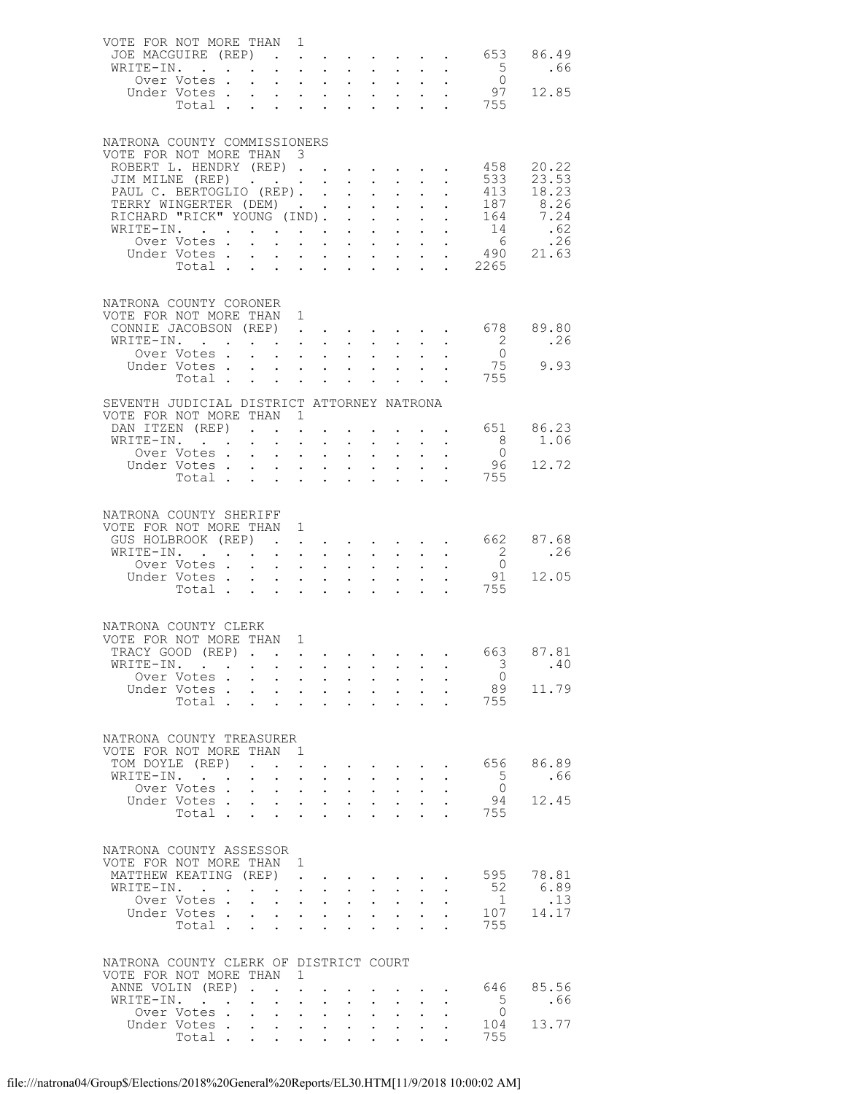| VOTE FOR NOT MORE THAN 1                           |                                                                                                 |                                                                             |                                                                                         |                                                                                             |                                                                                             |                      |                                                                                                                                        |                                                   |                                        |                                                                      |                           |
|----------------------------------------------------|-------------------------------------------------------------------------------------------------|-----------------------------------------------------------------------------|-----------------------------------------------------------------------------------------|---------------------------------------------------------------------------------------------|---------------------------------------------------------------------------------------------|----------------------|----------------------------------------------------------------------------------------------------------------------------------------|---------------------------------------------------|----------------------------------------|----------------------------------------------------------------------|---------------------------|
| JOE MACGUIRE (REP).                                |                                                                                                 |                                                                             |                                                                                         |                                                                                             |                                                                                             |                      |                                                                                                                                        |                                                   |                                        |                                                                      | $\cdot$ 653 86.49         |
| WRITE-IN.                                          | Over Votes .                                                                                    | $\sim$ $\sim$                                                               | $\mathbf{L}^{\text{max}}$ , and $\mathbf{L}^{\text{max}}$<br>$\mathcal{L}^{\text{max}}$ | $\sim$ $-$<br>$\sim$                                                                        | $\ddot{\phantom{0}}$<br>$\ddot{\phantom{0}}$                                                |                      | $\mathbf{L}^{\text{max}}$ , and $\mathbf{L}^{\text{max}}$<br>$\mathbf{L}^{(1)}$<br>$\ddot{\phantom{a}}$                                | $\sim$<br>$\mathbf{L}^{\text{max}}$               | $\sim$ $-$                             | $5^{\circ}$                                                          | .66                       |
|                                                    | Under Votes.                                                                                    |                                                                             |                                                                                         |                                                                                             |                                                                                             |                      |                                                                                                                                        |                                                   |                                        | $\frac{0}{97}$                                                       | 12.85                     |
|                                                    | Votes<br>Total                                                                                  |                                                                             |                                                                                         |                                                                                             |                                                                                             |                      |                                                                                                                                        |                                                   |                                        | . 755                                                                |                           |
|                                                    |                                                                                                 |                                                                             |                                                                                         |                                                                                             |                                                                                             |                      |                                                                                                                                        |                                                   |                                        |                                                                      |                           |
| NATRONA COUNTY COMMISSIONERS                       |                                                                                                 |                                                                             |                                                                                         |                                                                                             |                                                                                             |                      |                                                                                                                                        |                                                   |                                        |                                                                      |                           |
| VOTE FOR NOT MORE THAN 3                           |                                                                                                 |                                                                             |                                                                                         |                                                                                             |                                                                                             |                      |                                                                                                                                        |                                                   |                                        |                                                                      |                           |
| ROBERT L. HENDRY (REP).<br>JIM MILNE (REP)         |                                                                                                 |                                                                             |                                                                                         |                                                                                             | $\ddot{\phantom{0}}$                                                                        |                      | <b>Service Control</b>                                                                                                                 |                                                   |                                        | 458<br>533                                                           | 20.22<br>23.53            |
| PAUL C. BERTOGLIO (REP). .                         |                                                                                                 |                                                                             |                                                                                         |                                                                                             | $\ddot{\phantom{0}}$                                                                        |                      | $\mathbf{L}^{\text{max}}$ , and $\mathbf{L}^{\text{max}}$<br>$\sim$ $-$<br>$\bullet$ .<br><br><br><br><br><br><br><br><br><br><br><br> |                                                   |                                        | 413                                                                  | 18.23                     |
| TERRY WINGERTER (DEM)                              |                                                                                                 |                                                                             |                                                                                         |                                                                                             | $\ddot{\phantom{0}}$                                                                        |                      | $\mathbf{L}$<br>$\ddot{\phantom{0}}$                                                                                                   | $\mathbf{L}$                                      |                                        | 187                                                                  | 8.26                      |
| RICHARD "RICK" YOUNG (IND).                        |                                                                                                 |                                                                             |                                                                                         |                                                                                             | $\mathbf{L}$                                                                                |                      | $\sim$ 100 $\pm$<br>$\sim$ $-$                                                                                                         | $\mathbf{L}^{\text{max}}$                         |                                        | 164                                                                  | 7.24                      |
| WRITE-IN.                                          |                                                                                                 |                                                                             |                                                                                         |                                                                                             | $\mathcal{L}^{\text{max}}$                                                                  |                      | $\mathbf{L}^{\text{max}}$<br>$\ddot{\phantom{0}}$                                                                                      |                                                   | $\ddot{\phantom{0}}$                   | 14<br>$6\overline{6}$                                                | .62<br>.26                |
|                                                    | Over Votes .<br>Under Votes.                                                                    | $\mathbf{L}$<br>$\bullet$ .<br><br><br><br><br><br><br><br><br><br><br><br> | $\ddot{\phantom{a}}$                                                                    | $\mathbf{L}^{\text{max}}$ , $\mathbf{L}^{\text{max}}$                                       | $\sim$ $-$<br>$\mathbf{r} = \mathbf{r} + \mathbf{r} + \mathbf{r} + \mathbf{r} + \mathbf{r}$ |                      | $\mathbf{z} = \mathbf{z} + \mathbf{z}$ .                                                                                               | $\ddot{\phantom{0}}$<br>$\mathbf{L}^{\text{max}}$ |                                        |                                                                      | . 490 21.63               |
|                                                    | Total                                                                                           |                                                                             | $\sim$                                                                                  | $\mathbf{r}$ and $\mathbf{r}$                                                               | $\ddot{\phantom{0}}$                                                                        |                      | $\mathbf{L}^{\text{max}}$ , $\mathbf{L}^{\text{max}}$                                                                                  | $\mathbf{L}$                                      |                                        | . 2265                                                               |                           |
|                                                    |                                                                                                 |                                                                             |                                                                                         |                                                                                             |                                                                                             |                      |                                                                                                                                        |                                                   |                                        |                                                                      |                           |
| NATRONA COUNTY CORONER                             |                                                                                                 |                                                                             |                                                                                         |                                                                                             |                                                                                             |                      |                                                                                                                                        |                                                   |                                        |                                                                      |                           |
| VOTE FOR NOT MORE THAN 1                           |                                                                                                 |                                                                             |                                                                                         |                                                                                             |                                                                                             |                      |                                                                                                                                        |                                                   |                                        |                                                                      |                           |
| CONNIE JACOBSON (REP).                             |                                                                                                 |                                                                             |                                                                                         |                                                                                             |                                                                                             |                      |                                                                                                                                        |                                                   |                                        | $\cdot$ $\cdot$ $\cdot$ $\cdot$ $\cdot$ 678                          | 89.80                     |
| WRITE-IN.                                          |                                                                                                 |                                                                             |                                                                                         | $\mathbf{A}^{\text{max}}$ , $\mathbf{A}^{\text{max}}$<br>$\sim$ $\sim$                      | $\ddot{\phantom{0}}$<br>$\mathbf{L}$                                                        |                      | $\mathcal{L}^{\text{max}}$<br>$\ddot{\phantom{a}}$<br>$\mathbf{L}$                                                                     | $\mathbf{L}^{\text{max}}$                         |                                        | $\overline{\phantom{a}}$<br>$\bigcirc$                               | .26                       |
|                                                    | Over Votes<br>Under Votes.                                                                      | $\sim$ $\sim$                                                               | $\sim 10^{-11}$<br>$\bullet$ .                                                          | $\sim$ $-$                                                                                  | $\ddot{\phantom{0}}$                                                                        |                      | $\ddot{\phantom{0}}$<br>$\bullet$ .<br>$\bullet$ .<br><br><br><br><br><br><br><br><br><br><br><br>                                     |                                                   |                                        | 75                                                                   | 9.93                      |
|                                                    | Total                                                                                           |                                                                             |                                                                                         |                                                                                             |                                                                                             |                      | $\mathbf{L}$                                                                                                                           |                                                   | $\mathbf{1}$ $\mathbf{1}$ $\mathbf{1}$ | 755                                                                  |                           |
| SEVENTH JUDICIAL DISTRICT ATTORNEY NATRONA         |                                                                                                 |                                                                             |                                                                                         |                                                                                             |                                                                                             |                      |                                                                                                                                        |                                                   |                                        |                                                                      |                           |
| VOTE FOR NOT MORE THAN 1                           |                                                                                                 |                                                                             |                                                                                         |                                                                                             |                                                                                             |                      |                                                                                                                                        |                                                   |                                        |                                                                      |                           |
| DAN ITZEN (REP)                                    |                                                                                                 |                                                                             |                                                                                         |                                                                                             |                                                                                             |                      |                                                                                                                                        |                                                   |                                        |                                                                      | $\cdot$ $\cdot$ 651 86.23 |
| WRITE-IN.                                          |                                                                                                 | $\bullet$ .                                                                 | $\ddot{\phantom{0}}$                                                                    | $\mathbf{A}^{(1)}$ .<br>$\bullet$ .                                                         | $\ddot{\phantom{0}}$                                                                        |                      | $\mathbf{z} = \mathbf{z}$<br>$\ddot{\phantom{0}}$                                                                                      |                                                   |                                        | 8 <sup>1</sup>                                                       | 1.06                      |
|                                                    | Over Votes.<br>Under Votes                                                                      | $\sim$ $\sim$                                                               | $\mathcal{L}^{\text{max}}$                                                              | $\sim 10^{-11}$                                                                             | $\mathbb{Z}^{n-1}$                                                                          |                      | $\mathbb{Z}^{n-1}$<br>$\mathbf{L}^{\text{max}}$                                                                                        | $\mathcal{L}^{\text{max}}$                        |                                        | $\overline{0}$                                                       | 96 12.72                  |
|                                                    |                                                                                                 |                                                                             |                                                                                         |                                                                                             |                                                                                             |                      |                                                                                                                                        | $\mathbf{L}$                                      |                                        | . 755                                                                |                           |
|                                                    |                                                                                                 |                                                                             |                                                                                         |                                                                                             |                                                                                             |                      |                                                                                                                                        |                                                   |                                        |                                                                      |                           |
|                                                    |                                                                                                 |                                                                             |                                                                                         |                                                                                             |                                                                                             |                      |                                                                                                                                        |                                                   |                                        |                                                                      |                           |
| NATRONA COUNTY SHERIFF<br>VOTE FOR NOT MORE THAN 1 |                                                                                                 |                                                                             |                                                                                         |                                                                                             |                                                                                             |                      |                                                                                                                                        |                                                   |                                        |                                                                      |                           |
| GUS HOLBROOK (REP).                                |                                                                                                 |                                                                             |                                                                                         | $\mathbb{Z}^{\mathbb{Z}^{\times}}$                                                          |                                                                                             |                      |                                                                                                                                        |                                                   |                                        | $\cdot$ $\cdot$ $\cdot$ $\cdot$ 662                                  | 87.68                     |
| WRITE-IN.                                          |                                                                                                 |                                                                             | $\mathbf{L}$ and $\mathbf{L}$                                                           |                                                                                             | $\mathbf{L}$<br>$\ddot{\phantom{0}}$                                                        |                      | $\mathcal{L}^{\text{max}}$                                                                                                             | $\mathbf{r}$ and $\mathbf{r}$ and $\mathbf{r}$    |                                        | $\overline{2}$                                                       | .26                       |
|                                                    | Over Votes.                                                                                     | $\sim 10^{-11}$                                                             | $\bullet$ .                                                                             | $\mathbf{L}^{\text{max}}$                                                                   | $\sim$<br>$\mathbf{L}^{\text{max}}$                                                         |                      | $\mathbb{Z}^{\mathbb{Z}^{\times}}$<br>$\mathbf{a} = \mathbf{b}$                                                                        |                                                   |                                        | $\overline{0}$                                                       |                           |
|                                                    | Under Votes<br>Total                                                                            |                                                                             | $\mathbf{L}^{\text{max}}$ , and $\mathbf{L}^{\text{max}}$<br>$\sim$                     | $\sim$<br>$\sim$ $-$                                                                        | $\mathcal{L}^{\text{max}}$<br>$\ddot{\phantom{0}}$                                          |                      | $\mathbf{L} = \mathbf{L}$                                                                                                              |                                                   |                                        | 91<br>755                                                            | 12.05                     |
|                                                    |                                                                                                 |                                                                             |                                                                                         |                                                                                             |                                                                                             |                      |                                                                                                                                        |                                                   |                                        |                                                                      |                           |
|                                                    |                                                                                                 |                                                                             |                                                                                         |                                                                                             |                                                                                             |                      |                                                                                                                                        |                                                   |                                        |                                                                      |                           |
| NATRONA COUNTY CLERK<br>VOTE FOR NOT MORE THAN 1   |                                                                                                 |                                                                             |                                                                                         |                                                                                             |                                                                                             |                      |                                                                                                                                        |                                                   |                                        |                                                                      |                           |
| TRACY GOOD (REP)                                   |                                                                                                 |                                                                             |                                                                                         |                                                                                             |                                                                                             |                      |                                                                                                                                        |                                                   |                                        |                                                                      | 663 87.81                 |
| WRITE-IN.                                          |                                                                                                 |                                                                             |                                                                                         |                                                                                             |                                                                                             |                      |                                                                                                                                        |                                                   |                                        | $\overline{\mathbf{3}}$                                              | .40                       |
|                                                    | Over Votes                                                                                      |                                                                             | $\mathbf{r} = \mathbf{r} + \mathbf{r}$                                                  |                                                                                             | $\mathbf{L}^{\text{max}}$                                                                   |                      | $\mathcal{L}^{\text{max}}$<br>$\sim$ $-$                                                                                               | $\sim$ $-$                                        | $\ddot{\phantom{a}}$                   | $\bigcirc$                                                           |                           |
|                                                    | Under Votes.<br>Total                                                                           | $\sim 10^{-10}$                                                             | $\sim$<br>$\mathbf{L}$                                                                  | $\sim$ $-$<br>$\sim$ $-$                                                                    | $\bullet$ .<br>$\mathbf{L}$<br>$\sim$                                                       |                      | $\mathcal{L}^{\text{max}}(\mathcal{L}^{\text{max}})$<br>$\mathbf{L}$<br>$\mathbf{r}$                                                   | $\mathbf{L}$                                      |                                        | 89<br>755<br>$\mathbf{L}^{\text{max}}$ and $\mathbf{L}^{\text{max}}$ | 11.79                     |
|                                                    |                                                                                                 |                                                                             |                                                                                         |                                                                                             |                                                                                             |                      |                                                                                                                                        |                                                   |                                        |                                                                      |                           |
|                                                    |                                                                                                 |                                                                             |                                                                                         |                                                                                             |                                                                                             |                      |                                                                                                                                        |                                                   |                                        |                                                                      |                           |
| NATRONA COUNTY TREASURER<br>VOTE FOR NOT MORE THAN |                                                                                                 |                                                                             | $\overline{1}$                                                                          |                                                                                             |                                                                                             |                      |                                                                                                                                        |                                                   |                                        |                                                                      |                           |
| TOM DOYLE (REP)                                    |                                                                                                 | $\sim$ $\sim$                                                               | $\mathbf{r}$                                                                            | $\mathcal{L}^{\text{max}}$                                                                  |                                                                                             |                      |                                                                                                                                        |                                                   |                                        | 656                                                                  | 86.89                     |
| WRITE-IN.                                          |                                                                                                 | $\bullet$ .<br><br><br><br><br><br><br><br><br><br><br><br>                 | $\mathcal{L}^{\mathcal{L}}$<br>$\ddot{\phantom{a}}$                                     |                                                                                             | $\mathcal{L}^{\text{max}}$<br>$\mathbf{L}$                                                  |                      | $\mathcal{L}^{\text{max}}$<br>$\ddot{\phantom{0}}$                                                                                     | $\sim$                                            |                                        | $5^{\circ}$                                                          | .66                       |
|                                                    | Over Votes.                                                                                     | $\ddot{\phantom{a}}$                                                        | $\ddot{\phantom{0}}$                                                                    | $\mathbf{L}^{\text{max}}$                                                                   | $\bullet$ .<br>$\ddot{\phantom{0}}$                                                         |                      | $\ddot{\phantom{0}}$<br>$\bullet$ .<br><br><br><br><br><br><br><br><br><br><br><br>                                                    |                                                   |                                        | $\overline{0}$                                                       | 12.45                     |
|                                                    | Under Votes.<br>Total .                                                                         | $\mathcal{L}^{\text{max}}$<br>$\mathbf{L}$                                  | $\ddot{\phantom{a}}$<br>$\sim$ $-$<br>$\sim$<br>$\ddot{\phantom{a}}$                    |                                                                                             | $\ddot{\phantom{0}}$<br>$\sim$ $-$<br>$\sim$                                                |                      | $\mathcal{L}^{\text{max}}$<br>$\mathcal{L}^{\text{max}}$                                                                               | $\ddot{\phantom{a}}$                              |                                        | 94<br>755                                                            |                           |
|                                                    |                                                                                                 |                                                                             |                                                                                         |                                                                                             |                                                                                             |                      |                                                                                                                                        |                                                   |                                        |                                                                      |                           |
| NATRONA COUNTY ASSESSOR                            |                                                                                                 |                                                                             |                                                                                         |                                                                                             |                                                                                             |                      |                                                                                                                                        |                                                   |                                        |                                                                      |                           |
| VOTE FOR NOT MORE THAN 1                           |                                                                                                 |                                                                             |                                                                                         |                                                                                             |                                                                                             |                      |                                                                                                                                        |                                                   |                                        |                                                                      |                           |
| MATTHEW KEATING (REP).                             |                                                                                                 |                                                                             |                                                                                         |                                                                                             | and the contract of the contract of                                                         |                      |                                                                                                                                        |                                                   | $\ddot{\phantom{0}}$                   | 595                                                                  | 78.81                     |
| WRITE-IN.                                          |                                                                                                 | $\ddot{\phantom{a}}$                                                        | $\sim$                                                                                  | $\sim$ $-$<br>$\sim 100$                                                                    | $\ddot{\phantom{0}}$                                                                        |                      | $\bullet$ .<br><br><br><br><br><br><br><br><br><br><br><br><br>$\ddot{\phantom{0}}$                                                    |                                                   |                                        | 52                                                                   | 6.89                      |
|                                                    | Over Votes.<br>Under Votes.                                                                     | $\ddot{\phantom{a}}$                                                        | $\ddot{\phantom{0}}$<br>$\sim$                                                          | $\sim$ $\sim$                                                                               | $\ddot{\phantom{a}}$                                                                        |                      | $\mathcal{L}^{\text{max}}$<br>$\ddot{\phantom{a}}$                                                                                     | $\ddot{\phantom{a}}$                              |                                        | $\overline{1}$<br>107                                                | .13<br>14.17              |
|                                                    | Total                                                                                           | $\mathbf{L}^{\text{max}}$                                                   | $\ddot{\phantom{0}}$<br>$\ddot{\phantom{0}}$                                            | $\mathcal{A}^{\mathcal{A}}$ and $\mathcal{A}^{\mathcal{A}}$ and $\mathcal{A}^{\mathcal{A}}$ | $\ddot{\phantom{0}}$<br>$\sim$ 100 $\pm$<br>$\mathbf{L}$                                    | $\ddot{\phantom{a}}$ | $\mathbf{z} = \mathbf{z} + \mathbf{z}$<br>$\ddot{\phantom{a}}$                                                                         | $\ddot{\phantom{a}}$                              |                                        | 755                                                                  |                           |
|                                                    |                                                                                                 |                                                                             |                                                                                         |                                                                                             |                                                                                             |                      |                                                                                                                                        |                                                   |                                        |                                                                      |                           |
| NATRONA COUNTY CLERK OF DISTRICT COURT             |                                                                                                 |                                                                             |                                                                                         |                                                                                             |                                                                                             |                      |                                                                                                                                        |                                                   |                                        |                                                                      |                           |
| VOTE FOR NOT MORE THAN                             |                                                                                                 |                                                                             | 1                                                                                       |                                                                                             |                                                                                             |                      |                                                                                                                                        |                                                   |                                        |                                                                      |                           |
| ANNE VOLIN (REP).                                  |                                                                                                 |                                                                             | $\ddot{\phantom{a}}$                                                                    |                                                                                             |                                                                                             |                      |                                                                                                                                        |                                                   |                                        | 646                                                                  | 85.56                     |
| WRITE-IN.                                          | $\mathcal{A}^{\mathcal{A}}$ , and $\mathcal{A}^{\mathcal{A}}$ , and $\mathcal{A}^{\mathcal{A}}$ |                                                                             | $\mathbf{L}^{\text{max}}$<br>$\ddot{\phantom{1}}$                                       | $\ddot{\phantom{a}}$                                                                        | $\ddot{\phantom{0}}$                                                                        | $\ddot{\phantom{a}}$ | $\ddot{\phantom{a}}$                                                                                                                   |                                                   |                                        | $5^{\circ}$<br>$\overline{0}$                                        | .66                       |
|                                                    | Over Votes .<br>Under Votes                                                                     | $\mathcal{L}^{\text{max}}$                                                  | $\sim$<br>$\mathcal{L}^{\text{max}}$                                                    | $\sim 100$<br>$\mathbf{L} = \mathbf{L}$                                                     | $\sim$<br>$\ddot{\phantom{0}}$<br>$\ddot{\phantom{0}}$                                      |                      | $\ddot{\phantom{0}}$<br>$\mathbf{L}^{\text{max}}$<br>$\mathcal{L}^{\text{max}}$<br>$\ddot{\phantom{a}}$                                | $\ddot{\phantom{0}}$                              |                                        | 104                                                                  | 13.77                     |
|                                                    | Total                                                                                           |                                                                             |                                                                                         |                                                                                             |                                                                                             |                      |                                                                                                                                        |                                                   |                                        | 755                                                                  |                           |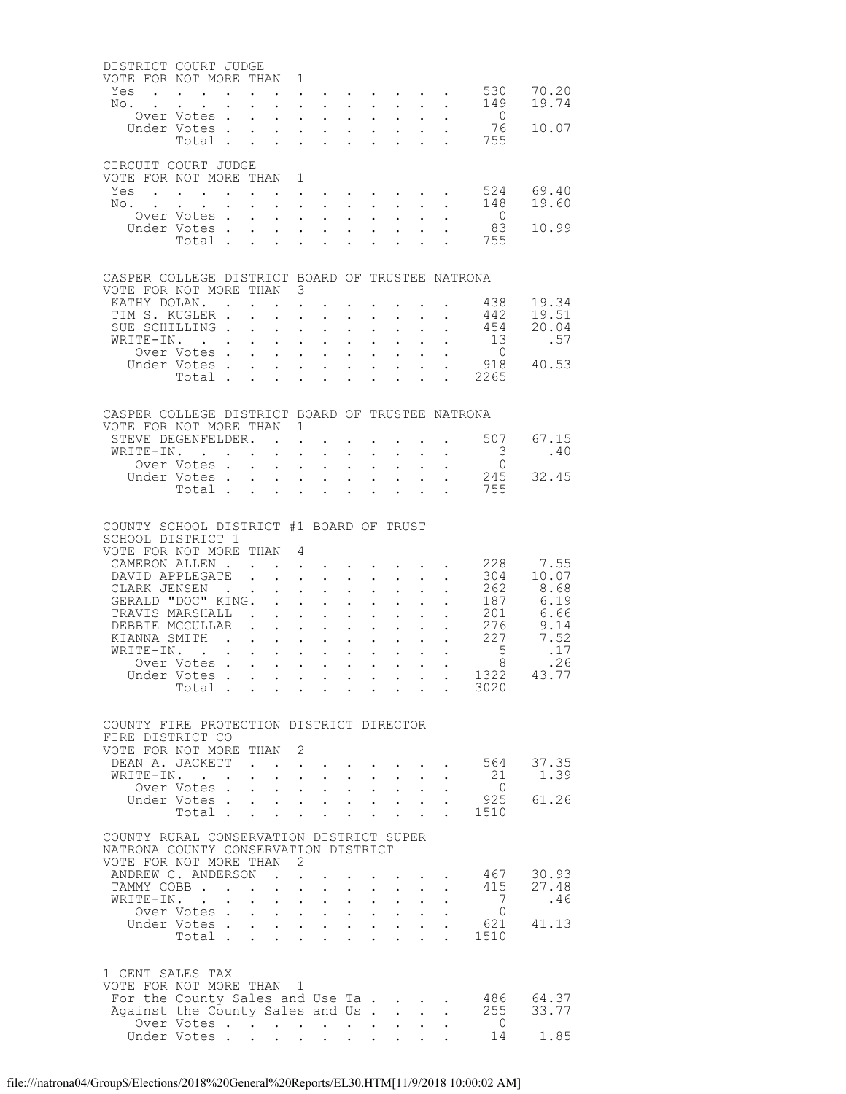| DISTRICT COURT JUDGE                             |                                                                          |               |                                |                                      |                            |                                                                                            |                                              |                                              |                                                                                               |                           |                                                   |                                           |               |
|--------------------------------------------------|--------------------------------------------------------------------------|---------------|--------------------------------|--------------------------------------|----------------------------|--------------------------------------------------------------------------------------------|----------------------------------------------|----------------------------------------------|-----------------------------------------------------------------------------------------------|---------------------------|---------------------------------------------------|-------------------------------------------|---------------|
| VOTE FOR NOT MORE THAN<br>Yes                    | $\mathbf{L} = \mathbf{L} \mathbf{L}$                                     |               |                                |                                      | 1                          |                                                                                            |                                              |                                              |                                                                                               |                           |                                                   | 530                                       | 70.20         |
| No.<br><b>Contract Contract Contract</b>         |                                                                          |               |                                |                                      |                            | $\mathbf{L}^{\text{max}}$ , and $\mathbf{L}^{\text{max}}$<br>$\mathbf{L}$ and $\mathbf{L}$ | $\mathbf{L}$                                 | $\mathcal{L}^{\text{max}}$                   | $\mathbf{L}$                                                                                  | $\sim$                    |                                                   | 149                                       | 19.74         |
|                                                  | Over Votes.                                                              |               |                                |                                      | $\ddot{\phantom{0}}$       | $\sim$                                                                                     |                                              |                                              |                                                                                               |                           |                                                   | $\overline{0}$                            |               |
|                                                  | Under Votes.                                                             |               | $\ddot{\phantom{0}}$           | $\mathbf{L}$                         |                            | $\mathbf{L}$ and $\mathbf{L}$                                                              | $\ddot{\phantom{a}}$                         | $\ddot{\phantom{0}}$                         | $\mathbf{L}$                                                                                  |                           |                                                   | 76                                        | 10.07         |
|                                                  | Total.                                                                   |               |                                |                                      |                            | $\ddot{\phantom{a}}$                                                                       |                                              |                                              |                                                                                               |                           |                                                   | 755                                       |               |
| CIRCUIT COURT JUDGE                              |                                                                          |               |                                |                                      |                            |                                                                                            |                                              |                                              |                                                                                               |                           |                                                   |                                           |               |
| VOTE FOR NOT MORE THAN                           |                                                                          |               |                                |                                      | $\mathbf{1}$               |                                                                                            |                                              |                                              |                                                                                               |                           |                                                   |                                           |               |
| Yes                                              | $\Delta \phi = \Delta \phi$ and $\phi$<br>$\mathbf{r}$                   |               |                                |                                      |                            | $\bullet$ .<br><br><br><br><br><br><br><br><br><br><br><br><br>                            |                                              |                                              |                                                                                               |                           |                                                   | 524                                       | 69.40         |
| $No.$                                            |                                                                          |               |                                | $\ddot{\phantom{0}}$                 | $\mathbf{L}^{\text{max}}$  | $\mathcal{L}^{\text{max}}$                                                                 | $\sim$                                       | $\mathcal{L}^{\text{max}}$                   |                                                                                               |                           | $\ddot{\phantom{0}}$                              | 148<br>$\overline{0}$                     | 19.60         |
|                                                  | Over Votes.<br>Under Votes.                                              |               |                                | $\mathbf{L}$                         | $\bullet$ .                | $\sim$<br>$\ddot{\phantom{0}}$                                                             | $\ddot{\phantom{a}}$                         | $\ddot{\phantom{a}}$                         |                                                                                               |                           |                                                   | 83                                        | 10.99         |
|                                                  | Total .                                                                  |               | $\mathcal{L}^{\text{max}}$     | $\ddot{\phantom{0}}$                 | $\ddot{\phantom{a}}$       | $\sim$                                                                                     |                                              |                                              |                                                                                               |                           |                                                   | 755                                       |               |
|                                                  |                                                                          |               |                                |                                      |                            |                                                                                            |                                              |                                              |                                                                                               |                           |                                                   |                                           |               |
| CASPER COLLEGE DISTRICT BOARD OF TRUSTEE NATRONA |                                                                          |               |                                |                                      |                            |                                                                                            |                                              |                                              |                                                                                               |                           |                                                   |                                           |               |
| VOTE FOR NOT MORE THAN 3                         |                                                                          |               |                                |                                      |                            |                                                                                            |                                              |                                              |                                                                                               |                           |                                                   |                                           |               |
| KATHY DOLAN. .                                   |                                                                          |               |                                |                                      | $\ddot{\phantom{a}}$       |                                                                                            |                                              |                                              |                                                                                               |                           |                                                   | 438                                       | 19.34         |
| TIM S. KUGLER .                                  |                                                                          |               |                                | $\ddot{\phantom{0}}$                 | $\ddot{\phantom{0}}$       | $\ddot{\phantom{0}}$                                                                       |                                              |                                              |                                                                                               |                           |                                                   | 442                                       | 19.51         |
| SUE SCHILLING.<br>WRITE-IN.                      |                                                                          |               | $\ddot{\phantom{a}}$           | $\ddot{\phantom{0}}$                 | $\mathcal{L}^{\text{max}}$ | $\ddot{\phantom{a}}$<br>$\mathbf{z} = \mathbf{z} + \mathbf{z}$ .                           | $\ddot{\phantom{a}}$<br>$\ddot{\phantom{0}}$ | $\ddot{\phantom{0}}$                         |                                                                                               | $\ddot{\phantom{a}}$      | $\mathbf{L}^{\text{max}}$<br>$\ddot{\phantom{0}}$ | 454<br>13                                 | 20.04<br>.57  |
|                                                  | Over Votes.                                                              |               |                                |                                      |                            | $\ddot{\phantom{a}}$                                                                       |                                              | $\ddot{\phantom{a}}$                         |                                                                                               |                           |                                                   | $\overline{0}$                            |               |
|                                                  | Under Votes.                                                             |               | $\mathcal{L}^{\text{max}}$     | $\ddot{\phantom{0}}$                 |                            | $\mathbf{L}^{\text{max}}$ , and $\mathbf{L}^{\text{max}}$                                  | $\bullet$ .                                  | $\bullet$ .                                  |                                                                                               |                           |                                                   | 918                                       | 40.53         |
|                                                  | Total.                                                                   |               | $\ddot{\phantom{a}}$           | $\sim$ 100 $\sim$                    |                            | $\mathbf{L}$ $\mathbf{L}$                                                                  | $\ddot{\phantom{a}}$                         | $\ddot{\phantom{a}}$                         | $\mathbf{L}$                                                                                  | $\ddot{\phantom{a}}$      |                                                   | . 2265                                    |               |
|                                                  |                                                                          |               |                                |                                      |                            |                                                                                            |                                              |                                              |                                                                                               |                           |                                                   |                                           |               |
| CASPER COLLEGE DISTRICT BOARD OF TRUSTEE NATRONA |                                                                          |               |                                |                                      |                            |                                                                                            |                                              |                                              |                                                                                               |                           |                                                   |                                           |               |
| VOTE FOR NOT MORE THAN                           |                                                                          |               |                                |                                      | $\mathbf{1}$               |                                                                                            |                                              |                                              |                                                                                               |                           |                                                   |                                           |               |
| STEVE DEGENFELDER. .                             |                                                                          |               |                                |                                      | $\ddot{\phantom{a}}$       |                                                                                            |                                              |                                              |                                                                                               |                           |                                                   | 507                                       | 67.15         |
| WRITE-IN.                                        | $\mathbf{r}$ .<br>Over Votes.                                            |               | $\sim$ $\sim$                  | $\ddot{\phantom{0}}$                 | $\ddot{\phantom{a}}$       | $\ddot{\phantom{a}}$                                                                       |                                              | $\bullet$                                    |                                                                                               | $\bullet$                 |                                                   | $\overline{\mathbf{3}}$<br>$\overline{0}$ | .40           |
|                                                  | Under Votes .                                                            |               | $\mathbf{L}^{\text{max}}$      | $\ddot{\phantom{0}}$                 | $\ddot{\phantom{0}}$       | $\ddot{\phantom{0}}$<br>$\ddotsc$                                                          | $\ddot{\phantom{0}}$<br>$\ddot{\phantom{a}}$ | $\ddot{\phantom{0}}$<br>$\ddot{\phantom{a}}$ |                                                                                               | $\ddot{\phantom{a}}$      |                                                   | 245                                       | 32.45         |
|                                                  | Total .                                                                  |               | $\Delta \sim 10^4$             | $\ddot{\phantom{0}}$                 |                            | $\sim$                                                                                     |                                              |                                              |                                                                                               |                           | $\ddot{\phantom{a}}$                              | 755                                       |               |
|                                                  |                                                                          |               |                                |                                      |                            |                                                                                            |                                              |                                              |                                                                                               |                           |                                                   |                                           |               |
| COUNTY SCHOOL DISTRICT #1 BOARD OF TRUST         |                                                                          |               |                                |                                      |                            |                                                                                            |                                              |                                              |                                                                                               |                           |                                                   |                                           |               |
| SCHOOL DISTRICT 1                                |                                                                          |               |                                |                                      |                            |                                                                                            |                                              |                                              |                                                                                               |                           |                                                   |                                           |               |
| VOTE FOR NOT MORE THAN                           |                                                                          |               |                                |                                      | 4                          |                                                                                            |                                              |                                              |                                                                                               |                           |                                                   |                                           |               |
| CAMERON ALLEN.                                   |                                                                          |               |                                |                                      |                            |                                                                                            |                                              |                                              |                                                                                               |                           |                                                   | 228                                       | 7.55          |
| DAVID APPLEGATE<br>CLARK JENSEN                  |                                                                          |               |                                | $\ddot{\phantom{0}}$                 | $\ddot{\phantom{0}}$       | $\ddot{\phantom{0}}$                                                                       | $\ddot{\phantom{a}}$                         | $\ddot{\phantom{0}}$                         | $\ddot{\phantom{0}}$                                                                          | $\ddot{\phantom{0}}$      |                                                   | 304<br>262                                | 10.07<br>8.68 |
| GERALD "DOC" KING.                               |                                                                          |               |                                |                                      |                            | $\ddot{\phantom{0}}$<br>$\ddot{\phantom{a}}$                                               |                                              | $\ddot{\phantom{a}}$                         |                                                                                               |                           |                                                   | 187                                       | 6.19          |
| TRAVIS MARSHALL                                  |                                                                          |               |                                |                                      | $\ddot{\phantom{0}}$       | $\sim$                                                                                     | $\ddotsc$                                    | $\ddot{\phantom{0}}$                         |                                                                                               |                           |                                                   | 201                                       | 6.66          |
| DEBBIE MCCULLAR.                                 |                                                                          |               |                                | $\ddot{\phantom{0}}$                 | $\ddot{\phantom{0}}$       | $\ddot{\phantom{0}}$                                                                       |                                              | $\ddot{\phantom{0}}$                         |                                                                                               |                           |                                                   | 276                                       | 9.14          |
| KIANNA SMITH<br>WRITE-IN.                        |                                                                          | $\sim$ $\sim$ | $\sim 10^{-11}$                | $\ddot{\phantom{0}}$<br>$\mathbf{L}$ |                            | $\mathbf{L}^{\text{max}}$ , and $\mathbf{L}^{\text{max}}$<br>$\mathbf{L} = \mathbf{L}$     | $\mathcal{L}^{\text{max}}$                   | $\ddot{\phantom{0}}$                         | $\ddot{\phantom{a}}$                                                                          | $\ddot{\phantom{a}}$      |                                                   | 227<br>$5\overline{)}$                    | 7.52<br>.17   |
|                                                  | $\mathcal{L}(\mathcal{A})$ and $\mathcal{L}(\mathcal{A})$<br>Over Votes. |               | $\ddot{\phantom{0}}$<br>$\sim$ | $\ddot{\phantom{0}}$                 |                            | $\mathbf{z} = \mathbf{z} + \mathbf{z}$ .                                                   | $\ddot{\phantom{a}}$<br>$\ddot{\phantom{0}}$ | $\ddot{\phantom{0}}$<br>$\ddot{\phantom{0}}$ |                                                                                               | $\ddot{\phantom{a}}$      |                                                   | 8 <sup>8</sup>                            | .26           |
|                                                  | Under Votes                                                              |               |                                |                                      |                            |                                                                                            |                                              |                                              |                                                                                               |                           |                                                   | 1322                                      | 43.77         |
|                                                  | Total                                                                    |               |                                |                                      |                            |                                                                                            |                                              |                                              |                                                                                               |                           |                                                   | 3020                                      |               |
|                                                  |                                                                          |               |                                |                                      |                            |                                                                                            |                                              |                                              |                                                                                               |                           |                                                   |                                           |               |
| COUNTY FIRE PROTECTION DISTRICT DIRECTOR         |                                                                          |               |                                |                                      |                            |                                                                                            |                                              |                                              |                                                                                               |                           |                                                   |                                           |               |
| FIRE DISTRICT CO                                 |                                                                          |               |                                |                                      |                            |                                                                                            |                                              |                                              |                                                                                               |                           |                                                   |                                           |               |
| VOTE FOR NOT MORE THAN                           |                                                                          |               |                                |                                      | 2                          |                                                                                            |                                              |                                              |                                                                                               |                           |                                                   |                                           |               |
| DEAN A. JACKETT .<br>WRITE-IN.                   |                                                                          |               |                                |                                      |                            |                                                                                            |                                              |                                              |                                                                                               |                           |                                                   | 564<br>21                                 | 37.35<br>1.39 |
|                                                  | Over Votes                                                               |               |                                |                                      |                            | $\mathbf{1}^{\prime}$ , $\mathbf{1}^{\prime}$ , $\mathbf{1}^{\prime}$                      | $\mathcal{L}^{\text{max}}$                   | $\mathcal{L}^{\text{max}}$                   | $\sim 10^{-11}$                                                                               | $\sim$                    |                                                   | $\bigcirc$                                |               |
|                                                  | Under Votes                                                              |               |                                |                                      |                            |                                                                                            |                                              |                                              |                                                                                               | $\mathbf{L}^{\text{max}}$ |                                                   | 925                                       | 61.26         |
|                                                  | Total.                                                                   |               |                                |                                      |                            |                                                                                            |                                              |                                              |                                                                                               |                           |                                                   | 1510                                      |               |
| COUNTY RURAL CONSERVATION DISTRICT SUPER         |                                                                          |               |                                |                                      |                            |                                                                                            |                                              |                                              |                                                                                               |                           |                                                   |                                           |               |
| NATRONA COUNTY CONSERVATION DISTRICT             |                                                                          |               |                                |                                      |                            |                                                                                            |                                              |                                              |                                                                                               |                           |                                                   |                                           |               |
| VOTE FOR NOT MORE THAN 2                         |                                                                          |               |                                |                                      |                            |                                                                                            |                                              |                                              |                                                                                               |                           |                                                   |                                           |               |
| ANDREW C. ANDERSON                               |                                                                          |               |                                | $\ddot{\phantom{0}}$                 |                            |                                                                                            |                                              |                                              |                                                                                               |                           |                                                   | 467                                       | 30.93         |
| TAMMY COBB<br>WRITE-IN.                          |                                                                          |               |                                | $\ddotsc$                            | $\mathbf{L}^{\text{max}}$  | $\sim$ $-$                                                                                 |                                              |                                              | $\mathbf{1}^{\prime}$ , $\mathbf{1}^{\prime}$ , $\mathbf{1}^{\prime}$ , $\mathbf{1}^{\prime}$ |                           |                                                   | 415<br>7                                  | 27.48<br>.46  |
|                                                  | Over Votes                                                               |               |                                |                                      |                            | $\mathbf{z} = \mathbf{z} + \mathbf{z}$ , where $\mathbf{z} = \mathbf{z}$                   |                                              | $\mathcal{L}^{(1)}$                          |                                                                                               |                           |                                                   | $\overline{0}$                            |               |
|                                                  | Under Votes                                                              |               |                                |                                      |                            |                                                                                            |                                              |                                              | $\mathcal{L}^{\text{max}}$                                                                    |                           |                                                   | 621                                       | 41.13         |
|                                                  | Total                                                                    |               |                                |                                      |                            |                                                                                            |                                              |                                              |                                                                                               |                           |                                                   | 1510                                      |               |
|                                                  |                                                                          |               |                                |                                      |                            |                                                                                            |                                              |                                              |                                                                                               |                           |                                                   |                                           |               |
| 1 CENT SALES TAX                                 |                                                                          |               |                                |                                      |                            |                                                                                            |                                              |                                              |                                                                                               |                           |                                                   |                                           |               |
| VOTE FOR NOT MORE THAN 1                         |                                                                          |               |                                |                                      |                            |                                                                                            |                                              |                                              |                                                                                               |                           |                                                   |                                           |               |
| For the County Sales and Use Ta                  |                                                                          |               |                                |                                      |                            |                                                                                            |                                              |                                              |                                                                                               |                           |                                                   |                                           | 486 64.37     |
| Against the County Sales and Us.                 |                                                                          |               |                                |                                      |                            |                                                                                            |                                              |                                              | $\mathcal{L}^{\text{max}}$                                                                    | $\mathbf{L}$              | $\mathbf{L}$                                      | 255<br>$\overline{0}$                     | 33.77         |
|                                                  | Over Votes<br>Under Votes                                                |               |                                |                                      |                            | $\mathcal{L}^{\text{max}}$ , where $\mathcal{L}^{\text{max}}$                              |                                              |                                              |                                                                                               |                           |                                                   | 14                                        | 1.85          |
|                                                  |                                                                          |               |                                |                                      |                            |                                                                                            |                                              |                                              |                                                                                               |                           |                                                   |                                           |               |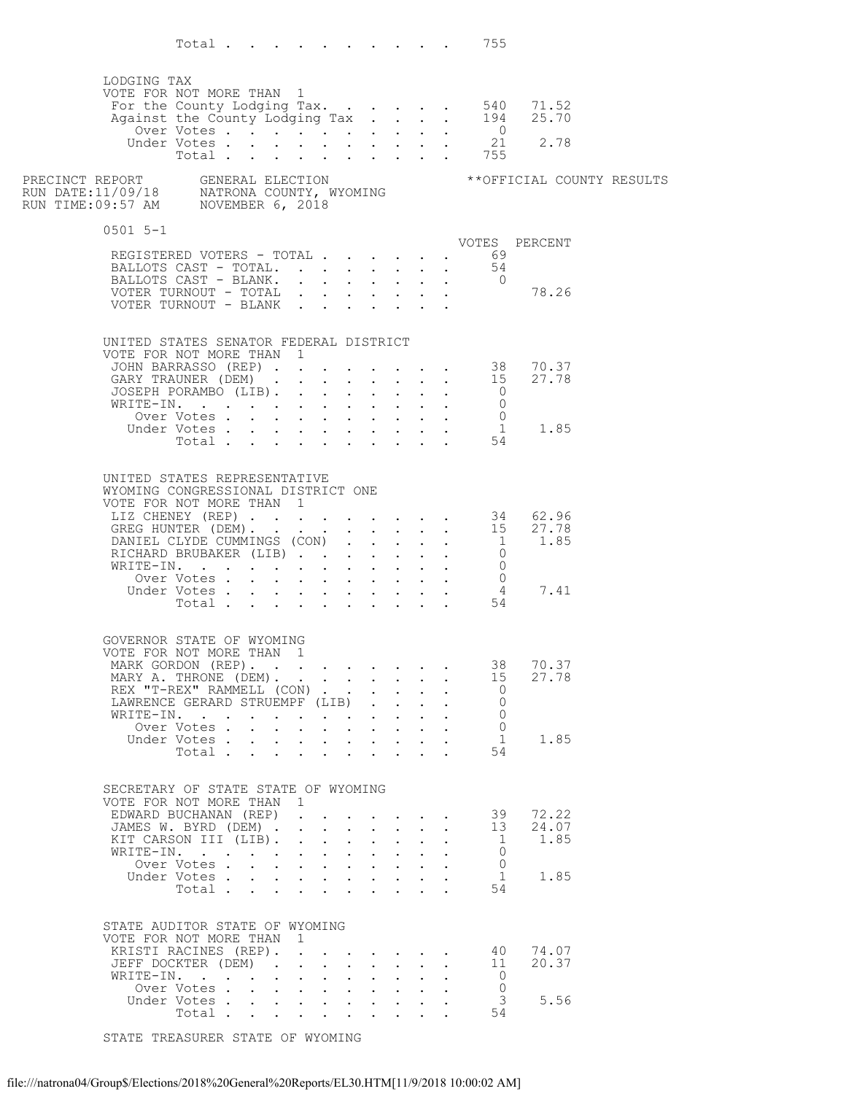Total . . . . . . . . . . 755 LODGING TAX<br>VOTE FOR NOT MORE THAN 1 VOTE FOR NOT MORE THAN 1 For the County Lodging Tax.  $\ldots$  . . . . 540 71.52 Against the County Lodging Tax . . . . 194 25.70 Over Votes . . . . . . . . . . . 0 Under Votes . . . . . . . . . . <u>21</u> 2.78 Total . . . . . . . . . . 755 PRECINCT REPORT GENERAL ELECTION MANAGEMENT \*\* OFFICIAL COUNTY RESULTS RUN DATE:11/09/18 NATRONA COUNTY, WYOMING RUN TIME:09:57 AM NOVEMBER 6, 2018 0501 5-1 VOTES PERCENT REGISTERED VOTERS - TOTAL . . . . . . 69 BALLOTS CAST – TOTAL.  $\cdots$  . . . . . . 54 BALLOTS CAST - BLANK. . . . . . . . 0 VOTER TURNOUT - TOTAL . . . . . . . 78.26 VOTER TURNOUT - BLANK . . . . . . . UNITED STATES SENATOR FEDERAL DISTRICT<br>VOTE FOR NOT MORE THAN 1 VOTE FOR NOT MORE THAN 1 JOHN BARRASSO (REP) . . . . . . . . 38 70.37 GARY TRAUNER  $(DEM)$  . . . . . . . . 15 27.78  $\texttt{JOSEPH}$  porambo (LIB). . . . . . . . 0 WRITE-IN. . . . . . . . . . . . .  $\begin{matrix}0\0\end{matrix}$ Over Votes . . . . . . . . . . 0 Under Votes . . . . . . . . . . . <u>1</u> 1.85  $Total . . . . . . . . . . . .54$  UNITED STATES REPRESENTATIVE WYOMING CONGRESSIONAL DISTRICT ONE VOTE FOR NOT MORE THAN 1 LIZ CHENEY (REP) . . . . . . . . . 34 62.96 GREG HUNTER  $(DEM)$ . . . . . . . . . . 15 27.78 DANIEL CLYDE CUMMINGS (CON) . . . . . 1 1.85 RICHARD BRUBAKER (LIB)  $\cdots$  . . . . . . 0 WRITE-IN. . . . . . . . . . . . .  $\begin{matrix}0\0\end{matrix}$ Over Votes . . . . . . . . . . 0 Under Votes . . . . . . . . . . . 4 7.41  $Total . . . . . . . . . . . .54$  GOVERNOR STATE OF WYOMING VOTE FOR NOT MORE THAN 1 MARK GORDON (REP). . . . . . . . . 38 70.37 MARY A. THRONE (DEM). . . . . . . . 15 27.78 REX "T-REX" RAMMELL (CON) . . . . . . 0 LAWRENCE GERARD STRUEMPF (LIB) . . . . 0 WRITE-IN. . . . . . . . . . . . .  $\begin{matrix}0\0\end{matrix}$ Over Votes . . . . . . . . . . 0 Under Votes . . . . . . . . . . . <u>1</u> 1.85  $Total . . . . . . . . . . . .54$ SECRETARY OF STATE STATE OF WYOMING<br>VOTE FOR NOT MORE THAN 1 VOTE FOR NOT MORE THAN 1 EDWARD BUCHANAN (REP) . . . . . . . 39 72.22 JAMES W. BYRD (DEM)  $\cdot$  . . . . . . . 13 24.07 KIT\_CARSON\_III (LIB). . . . . . . . . 1 1.85 WRITE-IN. . . . . . . . . . . . .  $\begin{matrix}0\0\end{matrix}$ Over Votes . . . . . . . . . . 0 Under Votes . . . . . . . . . . . <u>1</u> 1.85  $Total . . . . . . . . . . . .54$  STATE AUDITOR STATE OF WYOMING VOTE FOR NOT MORE THAN 1<br>KRISTI RACINES (REP). . KRISTI RACINES (REP). . . . . . . . 40 74.07 JEFF DOCKTER (DEM) . . . . . . . . 11 20.37 WRITE-IN. . . . . . . . . . . . .  $\begin{matrix}0\0\end{matrix}$ Over Votes . . . . . . . . . . 0 Under Votes . . . . . . . . . . . . 3 5.56  $Total . . . . . . . . . . . .54$ 

STATE TREASURER STATE OF WYOMING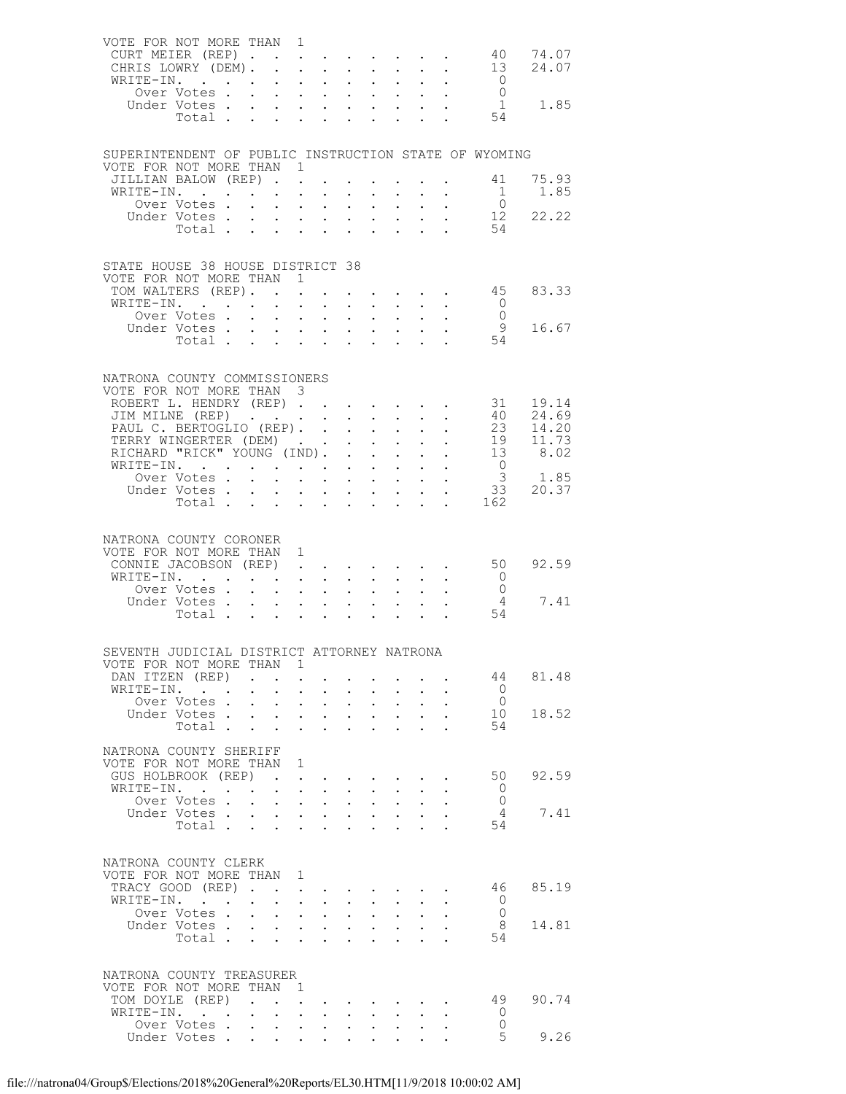| VOTE FOR NOT MORE THAN 1<br>CURT MEIER (REP)<br>CHRIS LOWRY (DEM).<br>WRITE-IN.           |                                    |                                                                          | $\mathbf{r} = \mathbf{r} + \mathbf{r} + \mathbf{r} + \mathbf{r}$ |                                                                                            |                                                   | $\sim 10$                                          | $\sim$<br>$\sim 10^{-11}$                                               |                           | $\mathbf{z} = \mathbf{z} + \mathbf{z}$ .<br>$\mathcal{L}^{\text{max}}_{\text{max}}$ |                                                              | 40 74.07<br>13 24.07                     |
|-------------------------------------------------------------------------------------------|------------------------------------|--------------------------------------------------------------------------|------------------------------------------------------------------|--------------------------------------------------------------------------------------------|---------------------------------------------------|----------------------------------------------------|-------------------------------------------------------------------------|---------------------------|-------------------------------------------------------------------------------------|--------------------------------------------------------------|------------------------------------------|
|                                                                                           | Over Votes<br>Under Votes<br>Total |                                                                          |                                                                  |                                                                                            |                                                   |                                                    |                                                                         |                           |                                                                                     | $\begin{matrix} 0 \\ 0 \end{matrix}$<br>$\frac{1}{54}$<br>1  | 1.85                                     |
| SUPERINTENDENT OF PUBLIC INSTRUCTION STATE OF WYOMING<br>VOTE FOR NOT MORE THAN 1         |                                    |                                                                          |                                                                  |                                                                                            |                                                   |                                                    |                                                                         |                           |                                                                                     |                                                              |                                          |
| JILLIAN BALOW (REP)<br>WRITE-IN.                                                          | Over Votes.                        | $\mathbf{L}^{\text{max}}$ , and $\mathbf{L}^{\text{max}}$                | $\ddot{\phantom{0}}$                                             | $\mathbf{L}$ and $\mathbf{L}$<br>$\mathbf{L}^{\text{max}}$ , and $\mathbf{L}^{\text{max}}$ | $\bullet$ .                                       | $\ddot{\phantom{0}}$<br>$\mathcal{L}^{\text{max}}$ | $\sim$ $-$                                                              | $\mathbf{L}^{\text{max}}$ | $\mathcal{L}_{\text{max}}$                                                          | 41<br>$\overline{1}$<br>$\overline{0}$                       | 75.93<br>1.85                            |
|                                                                                           | Under Votes<br>Total               |                                                                          |                                                                  |                                                                                            | $\ddot{\phantom{0}}$<br>$\mathbf{L}^{\text{max}}$ | $\ddot{\phantom{0}}$                               | $\ddot{\phantom{a}}$<br>$\ddot{\phantom{a}}$                            |                           | $\mathbf{L} = \mathbf{L}$                                                           | 54                                                           | $\begin{matrix}0\\12\\22.22\end{matrix}$ |
| STATE HOUSE 38 HOUSE DISTRICT 38<br>VOTE FOR NOT MORE THAN 1                              |                                    |                                                                          |                                                                  |                                                                                            |                                                   |                                                    |                                                                         |                           |                                                                                     |                                                              |                                          |
| TOM WALTERS (REP).<br>WRITE-IN.                                                           |                                    |                                                                          |                                                                  |                                                                                            |                                                   |                                                    |                                                                         |                           |                                                                                     | $\cdot$ $\cdot$ $\cdot$ $\cdot$ $\cdot$ 45<br>$\overline{0}$ | 83.33                                    |
|                                                                                           | Over Votes                         |                                                                          | $\cdot$ $\cdot$ $\cdot$ $\cdot$                                  |                                                                                            | $\mathbf{L}^{\text{max}}$                         | $\ddot{\phantom{a}}$                               | $\sim$                                                                  |                           | $\mathbf{L}^{\text{max}}$ , $\mathbf{L}^{\text{max}}$                               | $\overline{0}$                                               |                                          |
|                                                                                           | Under Votes<br>Total               |                                                                          |                                                                  |                                                                                            | $\mathbf{L}^{\text{max}}$                         | $\mathbf{L}^{\text{max}}$                          | $\sim$ $-$                                                              |                           | $\mathbf{L}^{\text{max}}$ , $\mathbf{L}^{\text{max}}$                               | $\frac{9}{54}$<br>9                                          | 16.67                                    |
| NATRONA COUNTY COMMISSIONERS<br>VOTE FOR NOT MORE THAN 3                                  |                                    |                                                                          |                                                                  |                                                                                            |                                                   |                                                    |                                                                         |                           |                                                                                     |                                                              |                                          |
| ROBERT L. HENDRY (REP)<br>JIM MILNE (REP)                                                 |                                    |                                                                          |                                                                  |                                                                                            |                                                   |                                                    |                                                                         |                           |                                                                                     | 31                                                           | 19.14                                    |
| PAUL C. BERTOGLIO (REP). .                                                                |                                    |                                                                          |                                                                  |                                                                                            | $\mathbf{L}^{\text{max}}$                         | $\mathcal{L}^{\text{max}}$                         | $\sim$ $-$                                                              | $\sim$ $-$                |                                                                                     |                                                              | $40 \t 24.69$                            |
| TERRY WINGERTER (DEM).                                                                    |                                    |                                                                          |                                                                  |                                                                                            | $\ddot{\phantom{0}}$                              |                                                    | $\mathbf{L} = \mathbf{L}$                                               |                           | $\mathbf{L} = \mathbf{L} \mathbf{L}$                                                |                                                              | 23 14.20<br>19 11.73<br>13 8.02          |
| RICHARD "RICK" YOUNG (IND).                                                               |                                    |                                                                          |                                                                  |                                                                                            |                                                   | $\mathcal{L}^{\pm}$                                | $\sim 100$                                                              |                           | $\mathcal{L}^{\text{max}}$                                                          |                                                              |                                          |
| WRITE-IN.<br>Over Votes                                                                   |                                    |                                                                          |                                                                  |                                                                                            |                                                   | $\mathcal{L}^{\text{max}}$                         | $\mathbf{L}^{\text{max}}$ , and $\mathbf{L}^{\text{max}}$<br>$\sim$ $-$ |                           | $\begin{bmatrix} 1 & 1 \\ 1 & 1 \end{bmatrix}$                                      | $\overline{0}$                                               |                                          |
|                                                                                           | Under Votes.                       |                                                                          |                                                                  | $\mathbf{r} = \mathbf{r} + \mathbf{r} + \mathbf{r} + \mathbf{r}$ .                         |                                                   |                                                    |                                                                         |                           |                                                                                     |                                                              | $3$ 1.85<br>33 20.37                     |
|                                                                                           | Total                              |                                                                          |                                                                  |                                                                                            | $\mathbf{L}^{\text{max}}$                         | $\sim$                                             | $\mathbf{L}$                                                            | $\mathbf{L}$              |                                                                                     | 162                                                          |                                          |
| NATRONA COUNTY CORONER                                                                    |                                    |                                                                          |                                                                  |                                                                                            |                                                   |                                                    |                                                                         |                           |                                                                                     |                                                              |                                          |
| VOTE FOR NOT MORE THAN 1                                                                  |                                    |                                                                          |                                                                  |                                                                                            |                                                   |                                                    |                                                                         |                           |                                                                                     |                                                              |                                          |
| CONNIE JACOBSON (REP)<br>WRITE-IN.                                                        |                                    |                                                                          |                                                                  |                                                                                            |                                                   |                                                    |                                                                         |                           |                                                                                     | $\overline{0}$                                               | 50 92.59                                 |
|                                                                                           | Over Votes.                        | $\mathbf{r}$ , $\mathbf{r}$ , $\mathbf{r}$ , $\mathbf{r}$ , $\mathbf{r}$ |                                                                  |                                                                                            |                                                   | $\mathbf{L}$                                       |                                                                         |                           |                                                                                     | $\overline{0}$                                               |                                          |
|                                                                                           |                                    |                                                                          |                                                                  |                                                                                            |                                                   |                                                    |                                                                         |                           |                                                                                     | $\overline{4}$<br>54                                         | 7.41                                     |
|                                                                                           |                                    |                                                                          |                                                                  |                                                                                            |                                                   |                                                    |                                                                         |                           |                                                                                     |                                                              |                                          |
| SEVENTH JUDICIAL DISTRICT ATTORNEY NATRONA<br>VOTE FOR NOT MORE THAN 1<br>DAN ITZEN (REP) |                                    | $\sim$                                                                   | $\sim$                                                           |                                                                                            |                                                   |                                                    |                                                                         |                           |                                                                                     | 44                                                           | 81.48                                    |
| WRITE-IN.                                                                                 |                                    |                                                                          | $\mathbf{L}$                                                     | $\sim$ 100 $\pm$<br>$\sim$                                                                 | $\bullet$ .                                       | $\ddot{\phantom{0}}$                               |                                                                         |                           |                                                                                     | $\bigcirc$                                                   |                                          |
|                                                                                           | Over Votes                         |                                                                          | $\bullet$ .                                                      | $\mathbf{A}^{\text{max}}$ , and $\mathbf{A}^{\text{max}}$                                  | $\mathbf{L}^{\text{max}}$                         | $\mathbf{L}^{\text{max}}$                          | $\mathbf{L}^{\text{max}}$                                               |                           |                                                                                     | $\bigcirc$                                                   |                                          |
|                                                                                           | Under Votes<br>Total               |                                                                          | $\sim$<br>$\ddot{\phantom{0}}$                                   | $\mathbf{r}$ $\mathbf{r}$<br>$\sim$<br>$\ddot{\phantom{0}}$                                | $\ddot{\phantom{0}}$<br>$\ddot{\phantom{0}}$      | $\ddot{\phantom{0}}$<br>$\ddot{\phantom{a}}$       | $\mathbf{L}$                                                            |                           |                                                                                     | 10<br>54                                                     | 18.52                                    |
| NATRONA COUNTY SHERIFF<br>VOTE FOR NOT MORE THAN                                          |                                    |                                                                          | $\overline{1}$                                                   |                                                                                            |                                                   |                                                    |                                                                         |                           |                                                                                     |                                                              |                                          |
| GUS HOLBROOK (REP)                                                                        |                                    |                                                                          | $\mathbf{L}$<br>$\sim$                                           |                                                                                            |                                                   |                                                    |                                                                         |                           |                                                                                     | 50                                                           | 92.59                                    |
| WRITE-IN.                                                                                 |                                    |                                                                          |                                                                  | $\mathbf{L} = \mathbf{L}$                                                                  |                                                   | $\ddot{\phantom{0}}$                               |                                                                         |                           |                                                                                     | - 0                                                          |                                          |
|                                                                                           | Over Votes .<br>Under Votes.       | $\sim$ $-$                                                               | $\ddot{\phantom{0}}$                                             | $\mathbf{z} = \mathbf{z} + \mathbf{z}$<br>$\mathbf{L} = \mathbf{L} \mathbf{L}$             | $\mathbf{L}^{\text{max}}$<br>$\mathbf{L}$         | $\mathbf{L}^{\text{max}}$<br>$\mathbf{L}$          | $\mathcal{L}^{\text{max}}$                                              |                           |                                                                                     | $\bigcirc$<br>$\sim$ 4                                       | 7.41                                     |
|                                                                                           | Total                              |                                                                          | $\sim$                                                           | $\ddot{\phantom{0}}$<br>$\ddot{\phantom{0}}$                                               | $\ddot{\phantom{0}}$                              | $\ddot{\phantom{a}}$                               |                                                                         |                           |                                                                                     | 54                                                           |                                          |
| NATRONA COUNTY CLERK<br>VOTE FOR NOT MORE THAN 1                                          |                                    |                                                                          |                                                                  |                                                                                            |                                                   |                                                    |                                                                         |                           |                                                                                     |                                                              |                                          |
| TRACY GOOD (REP).                                                                         |                                    |                                                                          | $\ddot{\phantom{0}}$                                             |                                                                                            |                                                   |                                                    |                                                                         |                           |                                                                                     | 46                                                           | 85.19                                    |
| WRITE-IN.                                                                                 | Over Votes                         |                                                                          | $\ddot{\phantom{0}}$<br>$\mathbf{L}$                             | $\mathbf{L}^{\text{max}}$ , $\mathbf{L}^{\text{max}}$<br>$\sim$ $\sim$                     | $\mathbf{L}^{\text{max}}$<br>$\ddot{\phantom{0}}$ | $\bullet$ .<br>$\ddot{\phantom{0}}$                | $\bullet$ .                                                             |                           |                                                                                     | $\circ$<br>$\bigcirc$                                        |                                          |
|                                                                                           | Under Votes                        |                                                                          | $\mathbf{L}^{\text{max}}$                                        | $\mathbf{z} = \mathbf{z} + \mathbf{z}$ .                                                   | $\mathbf{L}^{\text{max}}$                         | $\ddot{\phantom{a}}$                               | $\bullet$ .                                                             |                           |                                                                                     | - 8                                                          | 14.81                                    |
|                                                                                           | Total                              |                                                                          | $\mathbf{L} = \mathbf{L}$                                        | $\mathbf{r}$                                                                               |                                                   |                                                    |                                                                         |                           |                                                                                     | 54                                                           |                                          |
| NATRONA COUNTY TREASURER                                                                  |                                    |                                                                          |                                                                  |                                                                                            |                                                   |                                                    |                                                                         |                           |                                                                                     |                                                              |                                          |
| VOTE FOR NOT MORE THAN 1<br>TOM DOYLE (REP)                                               |                                    | $\ddot{\phantom{a}}$                                                     | $\ddot{\phantom{0}}$                                             |                                                                                            |                                                   |                                                    |                                                                         |                           |                                                                                     | 49                                                           | 90.74                                    |
| WRITE-IN.                                                                                 |                                    |                                                                          | $\mathbf{L}$                                                     | $\sim$<br>$\ddot{\phantom{0}}$                                                             |                                                   |                                                    |                                                                         |                           |                                                                                     | $\overline{0}$                                               |                                          |
|                                                                                           | Over Votes<br>Under Votes          |                                                                          | $\mathbf{L}^{\text{max}}$<br>$\bullet$<br>$\mathbf{L}$           | $\bullet$ .<br>$\mathbf{A}$                                                                | $\ddot{\phantom{0}}$                              |                                                    |                                                                         |                           |                                                                                     | $\circ$<br>$5^{\circ}$                                       | 9.26                                     |
|                                                                                           |                                    |                                                                          |                                                                  |                                                                                            |                                                   |                                                    |                                                                         |                           |                                                                                     |                                                              |                                          |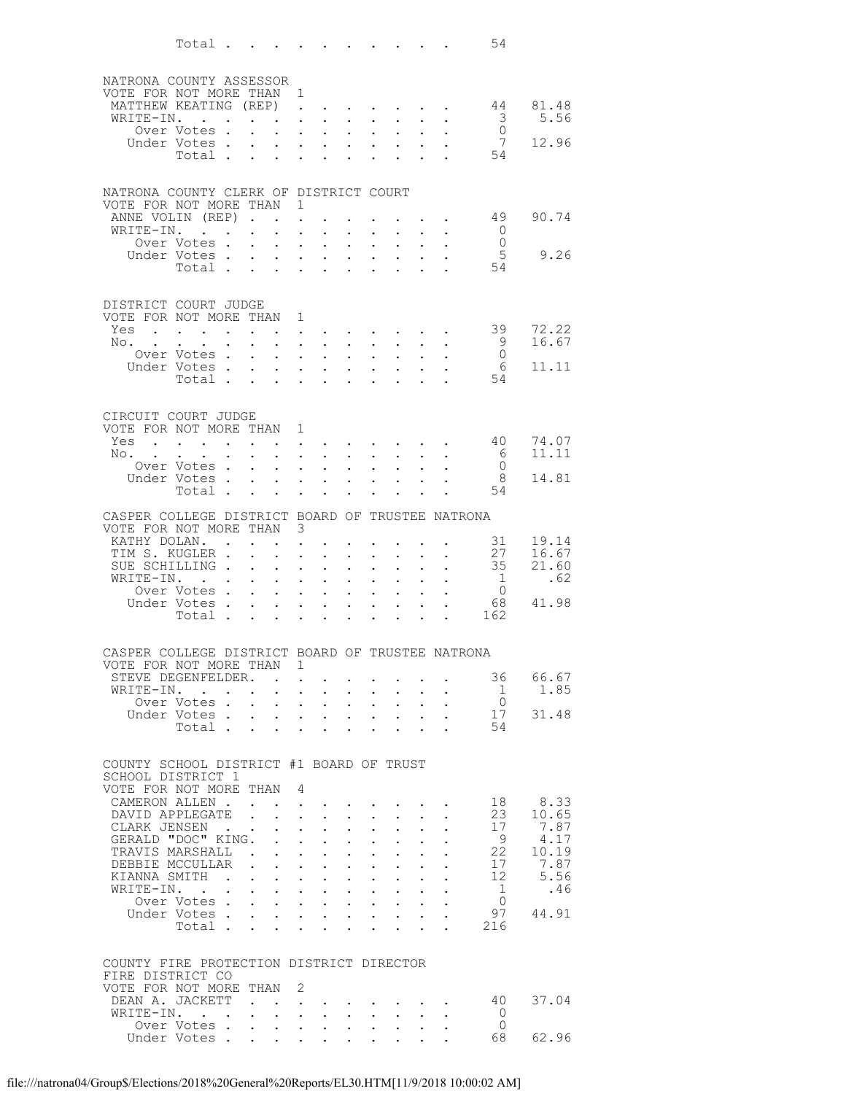|                                                                            | Total $\ldots$             |                         |                                                                           |                                                                                            |                                      |                                                                             |                                          |                                 | 54                                        |                |
|----------------------------------------------------------------------------|----------------------------|-------------------------|---------------------------------------------------------------------------|--------------------------------------------------------------------------------------------|--------------------------------------|-----------------------------------------------------------------------------|------------------------------------------|---------------------------------|-------------------------------------------|----------------|
|                                                                            |                            |                         |                                                                           |                                                                                            |                                      |                                                                             |                                          |                                 |                                           |                |
| NATRONA COUNTY ASSESSOR                                                    |                            |                         |                                                                           |                                                                                            |                                      |                                                                             |                                          |                                 |                                           |                |
| VOTE FOR NOT MORE THAN 1<br>MATTHEW KEATING (REP)                          |                            |                         | $\ddot{\phantom{a}}$                                                      |                                                                                            |                                      |                                                                             |                                          | the contract of the contract of | 44                                        | 81.48          |
| WRITE-IN.                                                                  |                            |                         | $\ddot{\phantom{a}}$                                                      | $\sim$                                                                                     | $\sim$                               | $\sim$                                                                      |                                          |                                 | $\overline{\mathbf{3}}$                   | 5.56           |
|                                                                            | Over Votes .               |                         | $\ddot{\phantom{0}}$                                                      | $\mathbf{L}^{\text{max}}$ , and $\mathbf{L}^{\text{max}}$                                  | $\ddot{\phantom{0}}$                 | $\sim 100$                                                                  |                                          |                                 | $\overline{0}$                            |                |
|                                                                            | Under Votes.<br>Total .    |                         |                                                                           | $\mathbf{L}$                                                                               | $\mathbf{L}$                         |                                                                             |                                          |                                 | 7<br>54                                   | 12.96          |
|                                                                            |                            | $\ddot{\phantom{a}}$    | $\ddot{\phantom{a}}$<br>$\ddot{\phantom{0}}$                              | $\ddot{\phantom{0}}$                                                                       |                                      |                                                                             |                                          |                                 |                                           |                |
| NATRONA COUNTY CLERK OF DISTRICT COURT                                     |                            |                         |                                                                           |                                                                                            |                                      |                                                                             |                                          |                                 |                                           |                |
| VOTE FOR NOT MORE THAN                                                     |                            |                         | -1                                                                        |                                                                                            |                                      |                                                                             |                                          |                                 |                                           |                |
| ANNE VOLIN (REP)                                                           |                            |                         |                                                                           |                                                                                            |                                      |                                                                             |                                          |                                 | 49                                        | 90.74          |
| WRITE-IN.                                                                  |                            |                         | $\ddot{\phantom{a}}$<br>$\ddot{\phantom{0}}$                              | $\ddot{\phantom{a}}$                                                                       |                                      | $\bullet$ .                                                                 |                                          |                                 | $\circ$ 0                                 |                |
|                                                                            | Over Votes.<br>Under Votes |                         | $\ddot{\phantom{a}}$<br>$\bullet$ .<br>$\bullet$                          | $\ddot{\phantom{a}}$<br><b>Contract Contract</b>                                           | $\mathbf{L}$<br>$\ddot{\phantom{0}}$ | $\mathbf{L}$                                                                | $\bullet$                                |                                 | $\overline{0}$<br>5                       | 9.26           |
|                                                                            | Total                      |                         | $\ddot{\phantom{a}}$                                                      | $\sim$                                                                                     |                                      | $\bullet$ .<br><br><br><br><br><br><br><br><br><br><br><br><br>$\mathbf{r}$ |                                          |                                 | 54                                        |                |
|                                                                            |                            |                         |                                                                           |                                                                                            |                                      |                                                                             |                                          |                                 |                                           |                |
| DISTRICT COURT JUDGE                                                       |                            |                         |                                                                           |                                                                                            |                                      |                                                                             |                                          |                                 |                                           |                |
| VOTE FOR NOT MORE THAN 1                                                   |                            |                         |                                                                           |                                                                                            |                                      |                                                                             |                                          |                                 |                                           |                |
| Yes                                                                        |                            |                         |                                                                           |                                                                                            |                                      |                                                                             |                                          |                                 | 39                                        | 72.22          |
| $\mathbb{N} \circ \cdot \cdot \cdot$                                       | Over Votes .               |                         | $\mathbf{L}$<br>$\ddot{\phantom{a}}$<br>$\ddot{\phantom{0}}$              | $\mathbf{L}^{\text{max}}$<br>$\mathbf{r}$<br>$\sim$                                        | $\ddot{\phantom{0}}$                 | $\sim$                                                                      | $\ddot{\phantom{a}}$                     |                                 | - 9<br>$\overline{0}$                     | 16.67          |
|                                                                            | Under Votes.               |                         | $\ddot{\phantom{a}}$                                                      | $\mathbf{r}$                                                                               | $\ddot{\phantom{a}}$                 | $\sim$                                                                      |                                          |                                 | 6                                         | 11.11          |
|                                                                            | Total                      |                         | $\sim$<br>$\ddot{\phantom{a}}$                                            | $\ddot{\phantom{0}}$                                                                       |                                      | $\ddot{\phantom{a}}$                                                        |                                          |                                 | 54                                        |                |
|                                                                            |                            |                         |                                                                           |                                                                                            |                                      |                                                                             |                                          |                                 |                                           |                |
| CIRCUIT COURT JUDGE                                                        |                            |                         |                                                                           |                                                                                            |                                      |                                                                             |                                          |                                 |                                           |                |
| VOTE FOR NOT MORE THAN 1                                                   |                            |                         |                                                                           |                                                                                            |                                      |                                                                             |                                          |                                 |                                           |                |
| Yes                                                                        |                            |                         |                                                                           |                                                                                            |                                      |                                                                             |                                          | and a series of the series of   | 40                                        | 74.07          |
| No.                                                                        | Over Votes.                |                         | $\ddot{\phantom{0}}$<br>$\ddot{\phantom{a}}$                              | $\mathcal{L}^{\text{max}}$<br>$\sim$ $-$<br>$\ddot{\phantom{a}}$                           |                                      | $\bullet$ .<br><br><br><br><br><br><br><br><br><br><br><br>                 | $\ddot{\phantom{0}}$                     |                                 | - 6<br>$\overline{0}$                     | 11.11          |
|                                                                            | Under Votes.               |                         | $\sim$                                                                    | $\mathbf{L}^{\text{max}}$<br>$\ddot{\phantom{0}}$                                          |                                      | $\bullet$ .<br><br><br><br><br><br><br><br><br><br><br><br><br>             |                                          |                                 | 8                                         | 14.81          |
|                                                                            | Total.                     |                         |                                                                           |                                                                                            |                                      |                                                                             |                                          |                                 | 54                                        |                |
| CASPER COLLEGE DISTRICT BOARD OF TRUSTEE NATRONA                           |                            |                         |                                                                           |                                                                                            |                                      |                                                                             |                                          |                                 |                                           |                |
| VOTE FOR NOT MORE THAN 3                                                   |                            |                         |                                                                           |                                                                                            |                                      |                                                                             |                                          |                                 |                                           |                |
| KATHY DOLAN                                                                |                            |                         |                                                                           |                                                                                            |                                      |                                                                             |                                          |                                 | 31                                        | 19.14          |
| TIM S. KUGLER .<br>SUE SCHILLING.                                          |                            |                         | $\ddot{\phantom{0}}$                                                      | $\bullet$                                                                                  | $\ddot{\phantom{0}}$                 | $\bullet$ .                                                                 | $\ddot{\phantom{0}}$                     |                                 | $\begin{array}{c} 27 \\ 35 \end{array}$   | 16.67<br>21.60 |
| WRITE-IN.                                                                  |                            |                         | $\ddot{\phantom{a}}$<br>$\ddot{\phantom{0}}$                              | $\ddot{\phantom{a}}$<br>$\bullet$ .<br>$\ddot{\phantom{0}}$                                | $\ddot{\phantom{0}}$                 | $\ddot{\phantom{0}}$                                                        | $\ddot{\phantom{0}}$                     |                                 |                                           | .62            |
|                                                                            | Over Votes .               |                         | $\mathbf{L}$<br>$\ddot{\phantom{a}}$                                      | $\ddot{\phantom{a}}$                                                                       |                                      | $\ddot{\phantom{a}}$                                                        |                                          |                                 | $\begin{smallmatrix}1\0\end{smallmatrix}$ |                |
|                                                                            | Under Votes                |                         | $\ddot{\phantom{0}}$                                                      | $\bullet$ .<br>$\sim$ $-$                                                                  | $\mathcal{L}^{\text{max}}$           | $\bullet$ .<br><br><br><br><br><br><br><br><br><br><br><br>                 | $\bullet$                                |                                 |                                           | 68 41.98       |
|                                                                            | Total                      |                         |                                                                           | $\mathbf{L}$                                                                               |                                      |                                                                             |                                          |                                 | 162                                       |                |
|                                                                            |                            |                         |                                                                           |                                                                                            |                                      |                                                                             |                                          |                                 |                                           |                |
| CASPER COLLEGE DISTRICT BOARD OF TRUSTEE NATRONA<br>VOTE FOR NOT MORE THAN |                            |                         | 1                                                                         |                                                                                            |                                      |                                                                             |                                          |                                 |                                           |                |
| STEVE DEGENFELDER.                                                         |                            |                         |                                                                           |                                                                                            |                                      |                                                                             |                                          |                                 | 36                                        | 66.67          |
| WRITE-IN. .                                                                |                            |                         |                                                                           | $\ddot{\phantom{0}}$                                                                       |                                      | $\mathbf{L}$                                                                |                                          |                                 | $\mathbf{1}$                              | 1.85           |
|                                                                            | Over Votes.                |                         | $\ddot{\phantom{0}}$                                                      | $\bullet$ .<br><br><br><br><br><br><br><br><br><br><br><br><br>                            | $\mathbf{L}^{\text{max}}$            |                                                                             | $\mathbf{z} = \mathbf{z} + \mathbf{z}$ . |                                 | $\overline{0}$                            |                |
|                                                                            | Under Votes.<br>Total .    | $\ddot{\phantom{0}}$    | $\mathbf{L}^{\text{max}}$<br>$\ddot{\phantom{0}}$<br>$\ddot{\phantom{a}}$ | $\ddot{\phantom{a}}$                                                                       | $\mathbf{L}$                         |                                                                             | $\mathbf{L} = \mathbf{L} \mathbf{L}$     |                                 | 17<br>54                                  | 31.48          |
|                                                                            |                            |                         |                                                                           |                                                                                            |                                      |                                                                             |                                          |                                 |                                           |                |
| COUNTY SCHOOL DISTRICT #1 BOARD OF TRUST                                   |                            |                         |                                                                           |                                                                                            |                                      |                                                                             |                                          |                                 |                                           |                |
| SCHOOL DISTRICT 1                                                          |                            |                         |                                                                           |                                                                                            |                                      |                                                                             |                                          |                                 |                                           |                |
| VOTE FOR NOT MORE THAN                                                     |                            |                         | 4                                                                         |                                                                                            |                                      |                                                                             |                                          |                                 |                                           |                |
| CAMERON ALLEN.                                                             |                            |                         |                                                                           |                                                                                            |                                      |                                                                             |                                          |                                 | 18                                        | 8.33           |
| DAVID APPLEGATE<br>CLARK JENSEN.                                           |                            |                         | $\ddot{\phantom{a}}$                                                      | $\cdot$<br>$\sim$                                                                          |                                      | $\ddot{\phantom{0}}$                                                        |                                          |                                 | 23<br>17                                  | 10.65<br>7.87  |
| GERALD "DOC" KING.                                                         |                            |                         | $\ddot{\phantom{a}}$                                                      | $\bullet$ . $\bullet$<br>$\ddot{\phantom{a}}$                                              |                                      |                                                                             |                                          |                                 | 9                                         | 4.17           |
| TRAVIS MARSHALL                                                            |                            |                         |                                                                           | $\mathbf{L}^{\text{max}}$ , and $\mathbf{L}^{\text{max}}$                                  |                                      | $\mathbb{Z}^{\mathbb{Z}^{\times}}$                                          |                                          |                                 | 22                                        | 10.19          |
| DEBBIE MCCULLAR                                                            |                            |                         |                                                                           | $\mathbf{L} = \mathbf{L} \mathbf{L} + \mathbf{L} \mathbf{L}$                               | $\ddot{\phantom{0}}$                 | $\sim$ 100 $\pm$                                                            |                                          |                                 | 17<br>12 <sup>°</sup>                     | 7.87<br>5.56   |
| KIANNA SMITH .<br>WRITE-IN.                                                | $\sim$ $\sim$              |                         | $\bullet$ .<br>$\mathbf{L}^{\text{max}}$                                  | $\mathcal{A}^{\mathcal{A}}$ , and $\mathcal{A}^{\mathcal{A}}$<br>$\mathbf{L}$ $\mathbf{L}$ | $\ddot{\phantom{a}}$                 | $\bullet$ .<br>$\mathbf{L}$                                                 |                                          |                                 | $\mathbf{1}$                              | .46            |
|                                                                            | Over Votes .               | $\ddot{\phantom{0}}$    | $\ddot{\phantom{0}}$                                                      | $\bullet$ , $\bullet$ , $\bullet$ , $\bullet$                                              | $\ddot{\phantom{0}}$                 |                                                                             | $\mathbf{z} = \mathbf{z} + \mathbf{z}$ . |                                 | $\overline{0}$                            |                |
|                                                                            | Under Votes .              | $\cdot$ $\cdot$ $\cdot$ |                                                                           | $\ddot{\phantom{a}}$                                                                       | $\ddot{\phantom{0}}$                 | $\mathbf{L}$                                                                | $\ddot{\phantom{0}}$                     |                                 | 97                                        | 44.91          |
|                                                                            | Total .                    | $\ddot{\phantom{0}}$    | $\ddot{\phantom{a}}$<br>$\ddot{\phantom{0}}$                              | $\ddot{\phantom{a}}$                                                                       |                                      |                                                                             |                                          |                                 | 216                                       |                |
|                                                                            |                            |                         |                                                                           |                                                                                            |                                      |                                                                             |                                          |                                 |                                           |                |
| COUNTY FIRE PROTECTION DISTRICT DIRECTOR                                   |                            |                         |                                                                           |                                                                                            |                                      |                                                                             |                                          |                                 |                                           |                |
| FIRE DISTRICT CO<br>VOTE FOR NOT MORE THAN                                 |                            |                         | 2                                                                         |                                                                                            |                                      |                                                                             |                                          |                                 |                                           |                |
| DEAN A. JACKETT                                                            |                            |                         |                                                                           |                                                                                            |                                      |                                                                             |                                          |                                 | 40                                        | 37.04          |
| WRITE-IN.                                                                  | $\sim$ $\sim$              |                         |                                                                           | $\sim$ $\sim$ $\sim$                                                                       |                                      |                                                                             |                                          |                                 | 0                                         |                |
|                                                                            | Over Votes.                |                         | $\bullet$                                                                 |                                                                                            |                                      |                                                                             |                                          |                                 | $\circ$                                   |                |
|                                                                            | Under Votes                |                         |                                                                           |                                                                                            |                                      |                                                                             |                                          |                                 | 68                                        | 62.96          |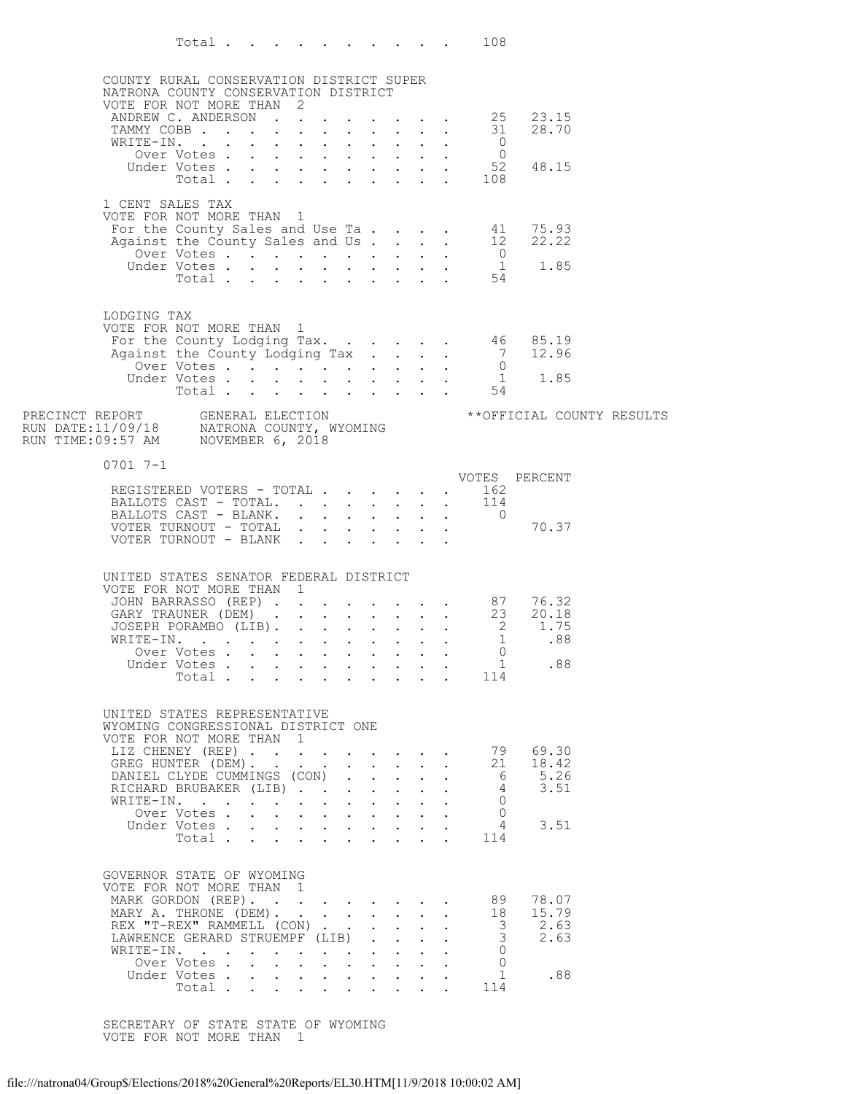|                                                                                                                                 | Total $\ldots$            |  |                                                                               |  |                                                           |  | 108                                                              |                                                                                                                                              |  |
|---------------------------------------------------------------------------------------------------------------------------------|---------------------------|--|-------------------------------------------------------------------------------|--|-----------------------------------------------------------|--|------------------------------------------------------------------|----------------------------------------------------------------------------------------------------------------------------------------------|--|
| COUNTY RURAL CONSERVATION DISTRICT SUPER                                                                                        |                           |  |                                                                               |  |                                                           |  |                                                                  |                                                                                                                                              |  |
| NATRONA COUNTY CONSERVATION DISTRICT                                                                                            |                           |  |                                                                               |  |                                                           |  |                                                                  |                                                                                                                                              |  |
| VOTE FOR NOT MORE THAN 2                                                                                                        |                           |  |                                                                               |  |                                                           |  |                                                                  | VOTE FOR NOT MORE THAN 2<br>ANDREW C. ANDERSON 25 23.15<br>TAMMY COBB 31 28.70                                                               |  |
|                                                                                                                                 |                           |  |                                                                               |  |                                                           |  |                                                                  |                                                                                                                                              |  |
|                                                                                                                                 |                           |  |                                                                               |  |                                                           |  |                                                                  |                                                                                                                                              |  |
|                                                                                                                                 |                           |  |                                                                               |  |                                                           |  | THE-IN.<br>Over Votes 0<br>Under Votes 52<br>108                 |                                                                                                                                              |  |
|                                                                                                                                 |                           |  |                                                                               |  |                                                           |  |                                                                  | 48.15                                                                                                                                        |  |
|                                                                                                                                 |                           |  |                                                                               |  |                                                           |  |                                                                  |                                                                                                                                              |  |
| 1 CENT SALES TAX                                                                                                                |                           |  |                                                                               |  |                                                           |  |                                                                  |                                                                                                                                              |  |
| VOTE FOR NOT MORE THAN 1                                                                                                        |                           |  |                                                                               |  |                                                           |  |                                                                  |                                                                                                                                              |  |
|                                                                                                                                 |                           |  |                                                                               |  |                                                           |  |                                                                  |                                                                                                                                              |  |
|                                                                                                                                 |                           |  |                                                                               |  |                                                           |  |                                                                  |                                                                                                                                              |  |
|                                                                                                                                 |                           |  |                                                                               |  |                                                           |  |                                                                  | For the County Sales and Use Ta. 41 75.93<br>Against the County Sales and Use Ta. 12 22.22<br>Over Votes 0<br>Under Votes 1 1.85<br>Total 54 |  |
|                                                                                                                                 |                           |  |                                                                               |  |                                                           |  |                                                                  |                                                                                                                                              |  |
| LODGING TAX                                                                                                                     |                           |  |                                                                               |  |                                                           |  |                                                                  |                                                                                                                                              |  |
| VOTE FOR NOT MORE THAN 1                                                                                                        |                           |  |                                                                               |  |                                                           |  |                                                                  |                                                                                                                                              |  |
|                                                                                                                                 |                           |  |                                                                               |  |                                                           |  |                                                                  |                                                                                                                                              |  |
|                                                                                                                                 |                           |  |                                                                               |  |                                                           |  |                                                                  |                                                                                                                                              |  |
|                                                                                                                                 |                           |  |                                                                               |  |                                                           |  |                                                                  |                                                                                                                                              |  |
|                                                                                                                                 |                           |  |                                                                               |  |                                                           |  |                                                                  |                                                                                                                                              |  |
|                                                                                                                                 |                           |  |                                                                               |  |                                                           |  |                                                                  | ** OFFICIAL COUNTY RESULTS                                                                                                                   |  |
| PRECINCT REPORT     GENERAL ELECTION<br>RUN DATE:11/09/18     NATRONA COUNTY, WYOMING<br>RUN TIME:09:57 AM     NOVEMBER 6, 2018 |                           |  |                                                                               |  |                                                           |  |                                                                  |                                                                                                                                              |  |
|                                                                                                                                 |                           |  |                                                                               |  |                                                           |  |                                                                  |                                                                                                                                              |  |
| $0701$ 7-1                                                                                                                      |                           |  |                                                                               |  |                                                           |  |                                                                  |                                                                                                                                              |  |
|                                                                                                                                 |                           |  |                                                                               |  |                                                           |  |                                                                  | VOTES PERCENT                                                                                                                                |  |
| REGISTERED VOTERS - TOTAL 162                                                                                                   |                           |  |                                                                               |  |                                                           |  |                                                                  |                                                                                                                                              |  |
|                                                                                                                                 |                           |  |                                                                               |  |                                                           |  | BALLOTS CAST - TOTAL. 114<br>BALLOTS CAST - BLANK. 0             |                                                                                                                                              |  |
| VOTER TURNOUT - TOTAL                                                                                                           |                           |  |                                                                               |  |                                                           |  |                                                                  | 70.37                                                                                                                                        |  |
| VOTER TURNOUT - BLANK                                                                                                           |                           |  |                                                                               |  |                                                           |  |                                                                  |                                                                                                                                              |  |
|                                                                                                                                 |                           |  |                                                                               |  |                                                           |  |                                                                  |                                                                                                                                              |  |
| UNITED STATES SENATOR FEDERAL DISTRICT<br>VOTE FOR NOT MORE THAN 1                                                              |                           |  |                                                                               |  |                                                           |  |                                                                  |                                                                                                                                              |  |
|                                                                                                                                 |                           |  |                                                                               |  |                                                           |  |                                                                  |                                                                                                                                              |  |
|                                                                                                                                 |                           |  |                                                                               |  |                                                           |  |                                                                  | JOHN BARRASSO (REP) 87 76.32<br>GARY TRAUNER (DEM) 23 20.18                                                                                  |  |
|                                                                                                                                 |                           |  |                                                                               |  |                                                           |  |                                                                  | JOSEPH PORAMBO (LIB).<br>WRITE-IN. 2 1.75                                                                                                    |  |
|                                                                                                                                 | Over Votes                |  |                                                                               |  |                                                           |  | $\Omega$                                                         |                                                                                                                                              |  |
|                                                                                                                                 | Under Votes               |  |                                                                               |  |                                                           |  | $\mathbf{1}$                                                     | .88                                                                                                                                          |  |
|                                                                                                                                 | Total                     |  |                                                                               |  |                                                           |  | $\mathbf{r}$ , $\mathbf{r}$ , $\mathbf{r}$ , $\mathbf{r}$<br>114 |                                                                                                                                              |  |
|                                                                                                                                 |                           |  |                                                                               |  |                                                           |  |                                                                  |                                                                                                                                              |  |
| UNITED STATES REPRESENTATIVE                                                                                                    |                           |  |                                                                               |  |                                                           |  |                                                                  |                                                                                                                                              |  |
| WYOMING CONGRESSIONAL DISTRICT ONE<br>VOTE FOR NOT MORE THAN 1                                                                  |                           |  |                                                                               |  |                                                           |  |                                                                  |                                                                                                                                              |  |
| LIZ CHENEY (REP)                                                                                                                |                           |  |                                                                               |  |                                                           |  | 79                                                               | 69.30                                                                                                                                        |  |
| GREG HUNTER (DEM).<br>DANIEL CLYDE CUMMINGS (CON)                                                                               |                           |  |                                                                               |  |                                                           |  | 21<br>- 6                                                        | 18.42<br>5.26                                                                                                                                |  |
| RICHARD BRUBAKER (LIB)                                                                                                          |                           |  |                                                                               |  |                                                           |  | $\overline{4}$                                                   | 3.51                                                                                                                                         |  |
| WRITE-IN.                                                                                                                       |                           |  | $\mathbf{r} = \mathbf{r} + \mathbf{r} + \mathbf{r} + \mathbf{r} + \mathbf{r}$ |  |                                                           |  | $\Omega$                                                         |                                                                                                                                              |  |
|                                                                                                                                 | Over Votes                |  |                                                                               |  |                                                           |  | $\Omega$<br>4                                                    | 3.51                                                                                                                                         |  |
|                                                                                                                                 | Under Votes<br>Total      |  | $\mathbf{r} = \mathbf{r} + \mathbf{r} + \mathbf{r} + \mathbf{r} + \mathbf{r}$ |  |                                                           |  | 114                                                              |                                                                                                                                              |  |
|                                                                                                                                 |                           |  |                                                                               |  |                                                           |  |                                                                  |                                                                                                                                              |  |
| GOVERNOR STATE OF WYOMING                                                                                                       |                           |  |                                                                               |  |                                                           |  |                                                                  |                                                                                                                                              |  |
| VOTE FOR NOT MORE THAN 1                                                                                                        |                           |  |                                                                               |  |                                                           |  |                                                                  |                                                                                                                                              |  |
| MARK GORDON (REP).                                                                                                              |                           |  |                                                                               |  |                                                           |  | 89                                                               | 78.07                                                                                                                                        |  |
| MARY A. THRONE (DEM).<br>REX "T-REX" RAMMELL (CON)                                                                              |                           |  |                                                                               |  | $\mathbf{L}$                                              |  | 18<br>3                                                          | 15.79<br>2.63                                                                                                                                |  |
| LAWRENCE GERARD STRUEMPF (LIB)                                                                                                  |                           |  |                                                                               |  |                                                           |  | 3                                                                | 2.63                                                                                                                                         |  |
|                                                                                                                                 | WRITE-IN.                 |  |                                                                               |  | $\mathbf{r}$ , $\mathbf{r}$ , $\mathbf{r}$ , $\mathbf{r}$ |  | $\Omega$                                                         |                                                                                                                                              |  |
|                                                                                                                                 | Over Votes<br>Under Votes |  | $\mathbf{r} = \mathbf{r} + \mathbf{r} + \mathbf{r} + \mathbf{r} + \mathbf{r}$ |  |                                                           |  | $\Omega$<br>$\mathbf{1}$                                         | .88                                                                                                                                          |  |
|                                                                                                                                 | Total                     |  |                                                                               |  | $\mathcal{L}^{\text{max}}$                                |  | 114                                                              |                                                                                                                                              |  |
|                                                                                                                                 |                           |  |                                                                               |  |                                                           |  |                                                                  |                                                                                                                                              |  |

SECRETARY OF STATE STATE OF WYOMING VOTE FOR NOT MORE THAN 1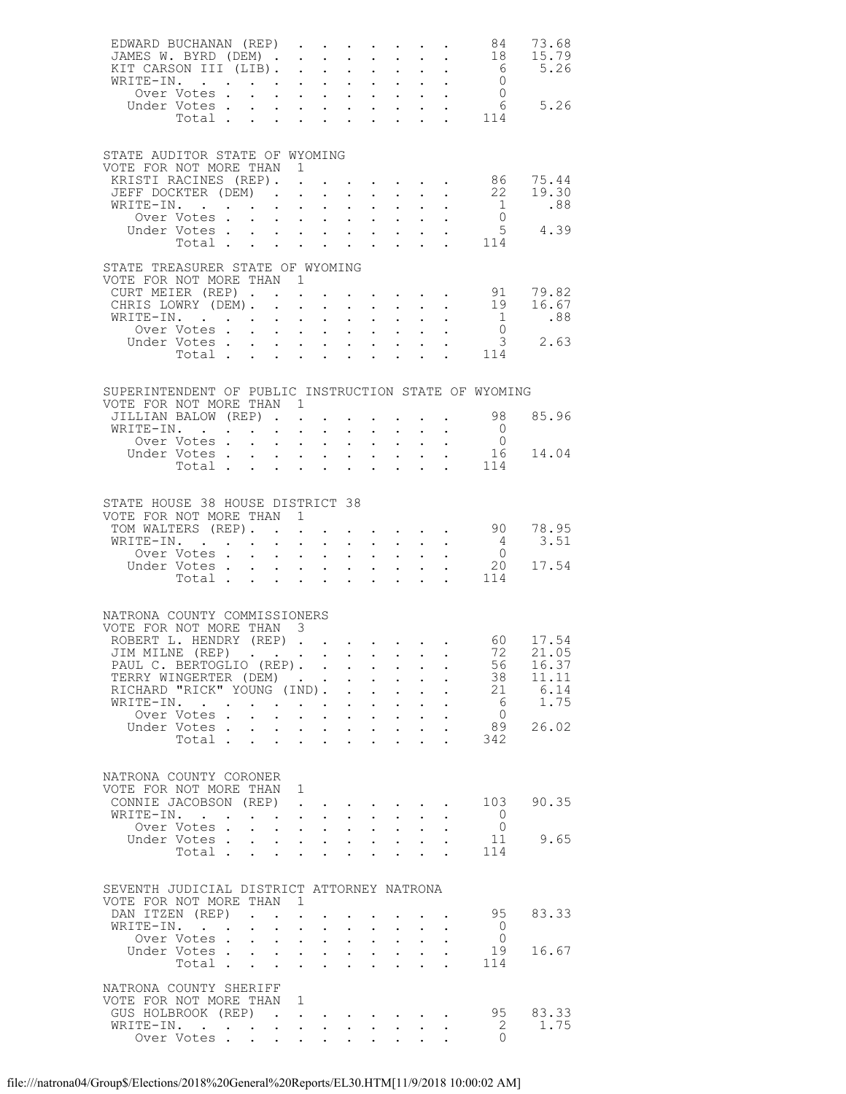| EDWARD BUCHANAN (REP) 84 73.68<br>JAMES W. BYRD (DEM) 18 15.79                                               |                                  |                                      |                                                  |                                                                                                                                                    |                                           |                                      |                                                                                               |              |                                                                                 |                                       |                                                                                                                   |
|--------------------------------------------------------------------------------------------------------------|----------------------------------|--------------------------------------|--------------------------------------------------|----------------------------------------------------------------------------------------------------------------------------------------------------|-------------------------------------------|--------------------------------------|-----------------------------------------------------------------------------------------------|--------------|---------------------------------------------------------------------------------|---------------------------------------|-------------------------------------------------------------------------------------------------------------------|
|                                                                                                              |                                  |                                      |                                                  |                                                                                                                                                    |                                           |                                      |                                                                                               |              |                                                                                 |                                       |                                                                                                                   |
| STATE AUDITOR STATE OF WYOMING<br>VOTE FOR NOT MORE THAN 1<br>KRISTI RACINES (REP). .<br>JEFF DOCKTER (DEM). |                                  |                                      |                                                  |                                                                                                                                                    |                                           |                                      |                                                                                               |              |                                                                                 |                                       | $\cdot$ $\cdot$ $\cdot$ $\cdot$ $\cdot$ $\cdot$ 86 75.44<br>$\begin{bmatrix} 22 & 19.30 \\ 1 & .88 \end{bmatrix}$ |
| WRITE-IN.<br>Over Votes<br>Under Votes                                                                       | Total $\cdots$ $\cdots$ $\cdots$ |                                      | $\ddot{\phantom{0}}$                             |                                                                                                                                                    |                                           |                                      |                                                                                               |              |                                                                                 | $\overline{0}$<br>. 114               | $5^{6}$ 4.39                                                                                                      |
| STATE TREASURER STATE OF WYOMING<br>VOTE FOR NOT MORE THAN 1<br>CURT MEIER (REP)                             |                                  |                                      |                                                  |                                                                                                                                                    |                                           |                                      |                                                                                               |              |                                                                                 |                                       |                                                                                                                   |
| CHRIS LOWRY (DEM).<br>WRITE-IN.<br>Over Votes                                                                |                                  |                                      |                                                  |                                                                                                                                                    | $\bullet$ .                               |                                      | $\mathbf{L} = \mathbf{L} \mathbf{L}$<br>$\mathbf{L}^{\text{max}}$ , $\mathbf{L}^{\text{max}}$ |              | $\mathcal{L}^{\text{max}}$<br>$\bullet$ - $\bullet$ - $\bullet$ - $\bullet$     |                                       | 91 79.82<br>19 16.67<br>$\begin{matrix} 1 & 0 & 0 \\ 0 & 0 & 0 \end{matrix}$                                      |
| Under Votes                                                                                                  | Total $\cdots$                   |                                      |                                                  | $\mathbf{z} = \mathbf{z} + \mathbf{z} + \mathbf{z} + \mathbf{z}$                                                                                   |                                           |                                      | <b>All Contracts</b>                                                                          |              |                                                                                 | 114                                   | 3, 2.63                                                                                                           |
| SUPERINTENDENT OF PUBLIC INSTRUCTION STATE OF WYOMING<br>VOTE FOR NOT MORE THAN 1                            |                                  |                                      |                                                  |                                                                                                                                                    |                                           |                                      |                                                                                               |              |                                                                                 |                                       |                                                                                                                   |
| JILLIAN BALOW (REP)<br>WRITE-IN.                                                                             |                                  |                                      |                                                  |                                                                                                                                                    |                                           | $\sim 100$                           |                                                                                               |              |                                                                                 |                                       | 98 85.96                                                                                                          |
| XITE-IN. 0<br>Over Votes 0<br>Under Votes 16 14.04                                                           | Total                            |                                      |                                                  | $\mathbf{r} = \mathbf{r} \cdot \mathbf{r}$                                                                                                         | $\ddot{\phantom{0}}$                      |                                      | $\mathbf{L} = \mathbf{L}$                                                                     | $\mathbf{L}$ |                                                                                 | 114                                   |                                                                                                                   |
| STATE HOUSE 38 HOUSE DISTRICT 38<br>VOTE FOR NOT MORE THAN 1<br>TOM WALTERS (REP).                           |                                  |                                      |                                                  |                                                                                                                                                    |                                           |                                      |                                                                                               |              |                                                                                 |                                       | $\cdot$ 90 78.95                                                                                                  |
| WRITE-IN.<br>Over Votes                                                                                      |                                  |                                      |                                                  |                                                                                                                                                    |                                           |                                      |                                                                                               |              | $\begin{pmatrix} 1 & 1 & 1 & 1 \\ 1 & 1 & 1 & 1 \\ 1 & 1 & 1 & 1 \end{pmatrix}$ | $\begin{array}{c} 4 \\ 0 \end{array}$ | 3.51                                                                                                              |
| Under Votes 20<br>Total 114                                                                                  |                                  |                                      |                                                  |                                                                                                                                                    |                                           |                                      |                                                                                               |              |                                                                                 |                                       | 20 17.54                                                                                                          |
| NATRONA COUNTY COMMISSIONERS<br>VOTE FOR NOT MORE THAN 3<br>ROBERT L. HENDRY (REP) 60 17.54                  |                                  |                                      |                                                  |                                                                                                                                                    |                                           |                                      |                                                                                               |              |                                                                                 |                                       |                                                                                                                   |
| JIM MILNE (REP) 72 21.05<br>PAUL C. BERTOGLIO (REP).<br>TERRY WINGERTER (DEM)                                |                                  |                                      |                                                  |                                                                                                                                                    |                                           |                                      |                                                                                               |              |                                                                                 | 56<br>38                              | 16.37<br>11.11                                                                                                    |
| RICHARD "RICK" YOUNG (IND).<br>WRITE-IN.                                                                     |                                  |                                      | $\sim$                                           |                                                                                                                                                    | $\mathbf{L}$<br>$\ddot{\phantom{0}}$      | $\sim$ 100 $\pm$                     | $\mathbf{z} = \mathbf{z} + \mathbf{z}$ .                                                      |              |                                                                                 | 21<br>6                               | 6.14<br>1.75                                                                                                      |
| Over Votes.<br>Under Votes.                                                                                  | Total                            |                                      | $\sim$                                           | $\mathbf{r} = \mathbf{r} \cdot \mathbf{r}$<br>$\mathbf{r}$ , $\mathbf{r}$ , $\mathbf{r}$ , $\mathbf{r}$<br>$\mathbf{L} = \mathbf{L} \mathbf{L}$    | $\sim$                                    | $\sim$                               | $\mathbf{A}^{(1)}$ and $\mathbf{A}^{(2)}$ and<br>$\ddot{\phantom{0}}$                         | $\sim$       |                                                                                 | $\overline{0}$<br>89<br>342           | 26.02                                                                                                             |
| NATRONA COUNTY CORONER<br>VOTE FOR NOT MORE THAN 1<br>CONNIE JACOBSON (REP).                                 |                                  |                                      |                                                  |                                                                                                                                                    |                                           |                                      | $\bullet$ . The set of $\bullet$                                                              |              |                                                                                 | 103                                   | 90.35                                                                                                             |
| WRITE-IN.<br>Over Votes .                                                                                    |                                  | $\mathbf{L} = \mathbf{L} \mathbf{L}$ |                                                  | $\mathcal{A}^{\mathcal{A}}$ , $\mathcal{A}^{\mathcal{A}}$ , $\mathcal{A}^{\mathcal{A}}$<br>$\mathbf{r} = \mathbf{r}$ and $\mathbf{r} = \mathbf{r}$ | $\mathbf{L}^{\text{max}}$<br>$\mathbf{L}$ | $\mathcal{L}^{\text{max}}$           | $\mathbf{A}^{(1)}$ and $\mathbf{A}^{(2)}$ and                                                 |              |                                                                                 | $\circ$ 0<br>$\overline{0}$           |                                                                                                                   |
| Under Votes                                                                                                  | Total                            |                                      | $\bullet$ .                                      | $\mathcal{A}^{\mathcal{A}}$ , and $\mathcal{A}^{\mathcal{A}}$                                                                                      | $\bullet$ .                               |                                      | $\mathbf{z} = \mathbf{z} + \mathbf{z}$                                                        |              |                                                                                 | 11<br>114                             | 9.65                                                                                                              |
| SEVENTH JUDICIAL DISTRICT ATTORNEY NATRONA<br>VOTE FOR NOT MORE THAN                                         |                                  |                                      | $\sim$ 1                                         |                                                                                                                                                    |                                           |                                      |                                                                                               |              |                                                                                 |                                       |                                                                                                                   |
| DAN ITZEN (REP)<br>WRITE-IN.                                                                                 |                                  |                                      | $\sim 10^{-11}$<br>$\ddot{\phantom{0}}$          | $\ddot{\phantom{0}}$                                                                                                                               |                                           |                                      |                                                                                               |              |                                                                                 | 95<br>$\overline{0}$                  | 83.33                                                                                                             |
| Over Votes<br>Under Votes                                                                                    | Total                            |                                      | $\bullet$ .                                      | $\mathbf{L}^{\text{max}}$ , $\mathbf{L}^{\text{max}}$<br>$\mathbf{L} = \mathbf{L} \mathbf{L}$                                                      | $\bullet$ .<br>$\mathbf{L}$               | $\mathbf{L}$<br>$\ddot{\phantom{0}}$ | $\bullet$ .<br><br><br><br><br><br><br><br><br><br><br><br><br><br><br><br><br>$\mathbf{L}$   |              |                                                                                 | $\overline{0}$<br>19<br>114           | 16.67                                                                                                             |
| NATRONA COUNTY SHERIFF<br>VOTE FOR NOT MORE THAN<br>GUS HOLBROOK (REP).<br>WRITE-IN.<br>Over Votes           |                                  |                                      | $\blacksquare$<br>$\ddot{\phantom{a}}$<br>$\sim$ | $\mathcal{L}(\mathcal{A})$ . The contribution of the contribution of $\mathcal{A}$<br>$\sim$                                                       |                                           |                                      | $\cdot$ $\cdot$ $\cdot$ $\cdot$ $\cdot$                                                       |              |                                                                                 | 95<br>2<br>$\circ$                    | 83.33<br>1.75                                                                                                     |
|                                                                                                              |                                  |                                      |                                                  |                                                                                                                                                    |                                           |                                      |                                                                                               |              |                                                                                 |                                       |                                                                                                                   |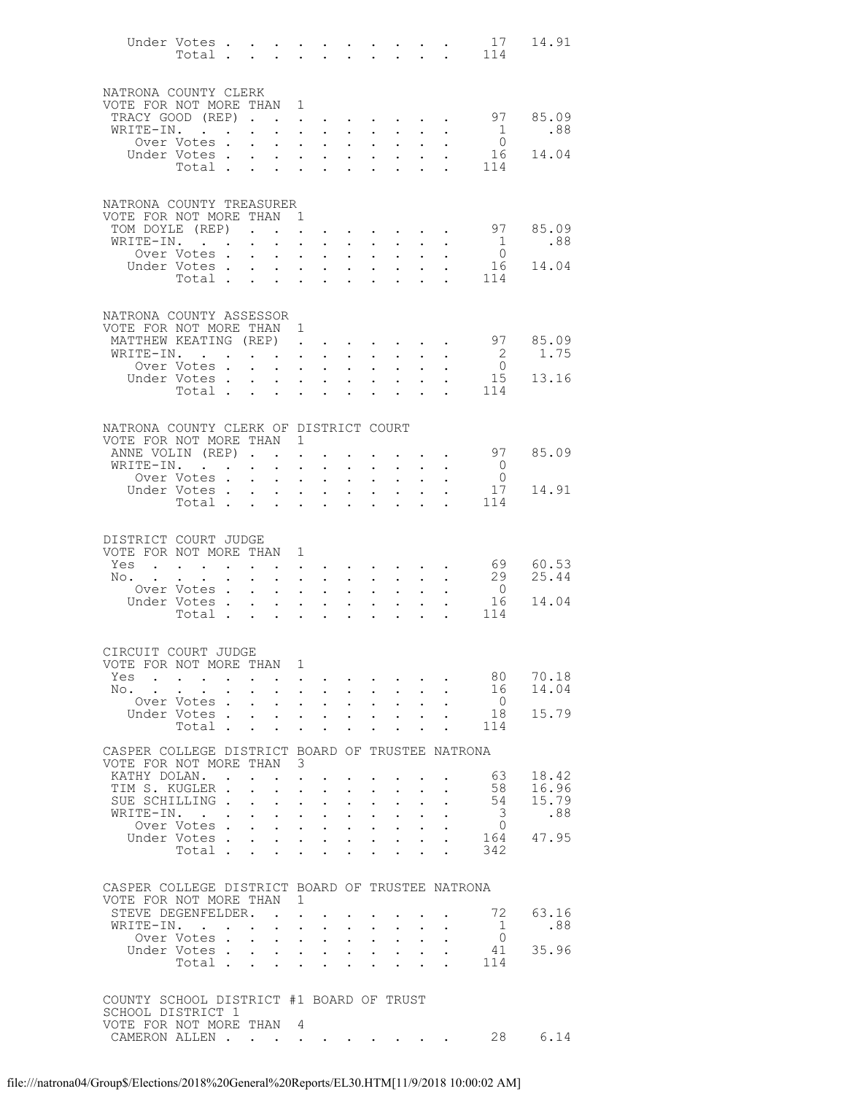|                                                     | Under Votes                                               |                         |                              |                                                       |                                      |                                                                                                  |                                            |                                                           |                                                                         |                            |                                                                                                                   | 17<br>Total 114            | 14.91          |
|-----------------------------------------------------|-----------------------------------------------------------|-------------------------|------------------------------|-------------------------------------------------------|--------------------------------------|--------------------------------------------------------------------------------------------------|--------------------------------------------|-----------------------------------------------------------|-------------------------------------------------------------------------|----------------------------|-------------------------------------------------------------------------------------------------------------------|----------------------------|----------------|
|                                                     |                                                           |                         |                              |                                                       |                                      |                                                                                                  |                                            |                                                           |                                                                         |                            |                                                                                                                   |                            |                |
| NATRONA COUNTY CLERK<br>VOTE FOR NOT MORE THAN 1    |                                                           |                         |                              |                                                       |                                      |                                                                                                  |                                            |                                                           |                                                                         |                            |                                                                                                                   |                            |                |
| TRACY GOOD (REP)                                    |                                                           |                         |                              |                                                       |                                      |                                                                                                  |                                            |                                                           |                                                                         |                            |                                                                                                                   | 97                         | 85.09          |
| WRITE-IN.                                           |                                                           |                         | $\ddot{\phantom{0}}$         | $\mathbf{L}$                                          |                                      | $\mathbf{L}$ and $\mathbf{L}$                                                                    |                                            | $\cdot$ $\cdot$                                           | $\sim$                                                                  |                            | $\mathbf{L}$                                                                                                      | $\overline{1}$             | .88            |
|                                                     | Over Votes.<br>Under Votes.                               |                         | $\ddot{\phantom{0}}$         | $\mathbf{L} = \mathbf{L}$                             |                                      | $\mathbf{A}$ is a set of the set of $\mathbf{A}$ .<br>$\mathbf{L} = \mathbf{L} \mathbf{L}$       | $\mathcal{L}^{\text{max}}$<br>$\mathbf{L}$ | $\sim 10^{-11}$<br>$\sim$                                 | $\mathbf{A}^{\mathrm{max}}$<br>$\sim$                                   |                            | $\sim$ $-$                                                                                                        | $\overline{0}$<br>16       | 14.04          |
|                                                     | Total                                                     |                         |                              |                                                       |                                      |                                                                                                  | $\sim$                                     | $\bullet$                                                 | $\sim$                                                                  | $\sim$                     | $\sim$                                                                                                            | 114                        |                |
|                                                     |                                                           |                         |                              |                                                       |                                      |                                                                                                  |                                            |                                                           |                                                                         |                            |                                                                                                                   |                            |                |
| NATRONA COUNTY TREASURER                            |                                                           |                         |                              |                                                       |                                      |                                                                                                  |                                            |                                                           |                                                                         |                            |                                                                                                                   |                            |                |
| VOTE FOR NOT MORE THAN 1                            |                                                           |                         |                              |                                                       |                                      |                                                                                                  |                                            |                                                           |                                                                         |                            |                                                                                                                   |                            |                |
| TOM DOYLE (REP)<br>WRITE-IN.                        |                                                           |                         | $\mathbf{L}^{\text{max}}$    |                                                       | $\mathbf{L}$                         | <b>All Contracts</b>                                                                             |                                            | $\mathbf{A}^{(1)}$ and $\mathbf{A}^{(2)}$ and             | $\mathbf{r}$ , $\mathbf{r}$ , $\mathbf{r}$ , $\mathbf{r}$<br>$\sim 100$ | $\ddot{\phantom{0}}$       | $\ddot{\phantom{1}}$<br>$\sim$ $-$                                                                                | 97                         | 85.09<br>.88   |
|                                                     | Over Votes.                                               |                         | $\mathbf{L}$                 | $\sim$                                                |                                      | $\mathbf{L}$ and $\mathbf{L}$                                                                    | $\sim$                                     | $\sim$                                                    | $\mathbf{L}$                                                            |                            |                                                                                                                   | $\frac{1}{0}$              |                |
|                                                     | Under Votes                                               |                         |                              |                                                       |                                      |                                                                                                  | $\bullet$ .                                | $\sim 10^{-11}$                                           | $\mathcal{L}^{\text{max}}$                                              | $\mathbf{L}^{\text{max}}$  | $\sim$ $-$                                                                                                        | 16                         | 14.04          |
|                                                     | Total                                                     |                         |                              |                                                       |                                      |                                                                                                  |                                            |                                                           |                                                                         |                            |                                                                                                                   | 114                        |                |
|                                                     |                                                           |                         |                              |                                                       |                                      |                                                                                                  |                                            |                                                           |                                                                         |                            |                                                                                                                   |                            |                |
| NATRONA COUNTY ASSESSOR<br>VOTE FOR NOT MORE THAN 1 |                                                           |                         |                              |                                                       |                                      |                                                                                                  |                                            |                                                           |                                                                         |                            |                                                                                                                   |                            |                |
| MATTHEW KEATING (REP)                               |                                                           |                         |                              |                                                       |                                      |                                                                                                  |                                            |                                                           |                                                                         |                            |                                                                                                                   | 97                         | 85.09          |
| WRITE-IN.                                           |                                                           |                         |                              |                                                       |                                      | $\mathbf{L} = \mathbf{L}$                                                                        | $\sim$                                     |                                                           | $\mathbf{L}$                                                            | $\sim$                     |                                                                                                                   | $\overline{\phantom{0}}^2$ | 1.75           |
|                                                     | Over Votes .<br>Under Votes                               |                         | $\ddot{\phantom{0}}$         |                                                       |                                      | <b>Service Control</b><br>$\mathbf{r} = \mathbf{r} + \mathbf{r} + \mathbf{r}$                    | $\bullet$ .                                | $\bullet$ .                                               | $\mathbf{L}^{\text{max}}$<br>$\sim$                                     |                            |                                                                                                                   | $\overline{0}$<br>15       | 13.16          |
|                                                     | Total                                                     |                         |                              |                                                       |                                      | $\mathbf{L} = \mathbf{L} \mathbf{L}$                                                             |                                            | $\mathbf{A}$ and $\mathbf{A}$ and $\mathbf{A}$            | $\sim$ $-$                                                              |                            | $\cdot$ $\cdot$ $\cdot$                                                                                           | 114                        |                |
|                                                     |                                                           |                         |                              |                                                       |                                      |                                                                                                  |                                            |                                                           |                                                                         |                            |                                                                                                                   |                            |                |
| NATRONA COUNTY CLERK OF DISTRICT COURT              |                                                           |                         |                              |                                                       |                                      |                                                                                                  |                                            |                                                           |                                                                         |                            |                                                                                                                   |                            |                |
| VOTE FOR NOT MORE THAN 1                            |                                                           |                         |                              |                                                       |                                      |                                                                                                  |                                            |                                                           |                                                                         |                            |                                                                                                                   |                            |                |
| ANNE VOLIN (REP)<br>WRITE-IN.                       |                                                           |                         |                              |                                                       |                                      |                                                                                                  |                                            |                                                           | $\sim 100$                                                              |                            | $\mathbf{L}$ and $\mathbf{L}$ and $\mathbf{L}$<br>$\bullet$ .<br><br><br><br><br><br><br><br><br><br><br><br><br> | 97<br>$\overline{0}$       | 85.09          |
|                                                     | Over Votes .                                              |                         | <b>Carl Carl Control</b>     |                                                       |                                      | $\mathbf{L}$ and $\mathbf{L}$                                                                    | $\sim$ $\sim$                              | $\mathbf{z} = \mathbf{z} + \mathbf{z}$ .<br>$\sim$ $\sim$ | $\mathbf{L}^{\text{max}}$                                               |                            |                                                                                                                   | $\overline{0}$             |                |
|                                                     | Under Votes                                               |                         |                              |                                                       |                                      | <b>All Carl Carl Control</b>                                                                     | $\sim$ $-$                                 | $\sim 10^{-11}$                                           | $\sim$ 100 $\pm$                                                        | $\mathbf{L}^{\text{max}}$  | $\ddot{\phantom{0}}$                                                                                              | 17                         | 14.91          |
|                                                     | Total                                                     |                         |                              |                                                       |                                      |                                                                                                  |                                            | $\mathbf{r}$                                              | $\mathbf{r}$                                                            |                            | $\mathbf{L}$                                                                                                      | 114                        |                |
|                                                     |                                                           |                         |                              |                                                       |                                      |                                                                                                  |                                            |                                                           |                                                                         |                            |                                                                                                                   |                            |                |
| DISTRICT COURT JUDGE                                |                                                           |                         |                              |                                                       |                                      |                                                                                                  |                                            |                                                           |                                                                         |                            |                                                                                                                   |                            |                |
| VOTE FOR NOT MORE THAN 1<br>Yes                     | $\mathbf{r}$ , $\mathbf{r}$ , $\mathbf{r}$ , $\mathbf{r}$ |                         | $\mathbf{L} = \mathbf{L}$    |                                                       |                                      | and a strategic control of the                                                                   |                                            |                                                           |                                                                         |                            |                                                                                                                   | 69                         | 60.53          |
| No.                                                 |                                                           |                         |                              | $\mathbf{L}$                                          | $\mathbf{L}$                         | $\sim$                                                                                           | $\ddot{\phantom{0}}$                       | $\mathbf{L}$                                              | $\sim$                                                                  |                            |                                                                                                                   | 29                         | 25.44          |
|                                                     | Over Votes .                                              |                         | $\ddot{\phantom{0}}$         | $\mathbf{A}^{\text{max}}$                             | $\bullet$ .                          | $\mathbf{L}^{\text{max}}$                                                                        | $\bullet$ .                                | $\bullet$ .                                               | $\mathbf{L}^{\text{max}}$                                               |                            |                                                                                                                   | $\overline{0}$             |                |
|                                                     | Under Votes .<br>Total                                    |                         |                              | $\mathbf{L} = \mathbf{L}$<br>$\sim$                   | $\mathbf{r}$<br>$\ddot{\phantom{a}}$ | $\mathbf{L}$<br>$\ddot{\phantom{a}}$                                                             | $\mathbf{r}$<br>$\ddot{\phantom{a}}$       |                                                           | $\mathbf{L}$                                                            |                            |                                                                                                                   | 16<br>114                  | 14.04          |
|                                                     |                                                           |                         |                              |                                                       |                                      |                                                                                                  |                                            |                                                           |                                                                         |                            |                                                                                                                   |                            |                |
| CIRCUIT COURT JUDGE                                 |                                                           |                         |                              |                                                       |                                      |                                                                                                  |                                            |                                                           |                                                                         |                            |                                                                                                                   |                            |                |
| VOTE FOR NOT MORE THAN 1                            |                                                           |                         |                              |                                                       |                                      |                                                                                                  |                                            |                                                           |                                                                         |                            |                                                                                                                   |                            |                |
| Yes                                                 |                                                           |                         |                              |                                                       |                                      |                                                                                                  |                                            |                                                           |                                                                         |                            |                                                                                                                   | 80 —                       | 70.18          |
| No. .                                               | Over Votes                                                | <b>All Card Control</b> | $\bullet$ .                  |                                                       |                                      | $\mathbf{z} = \mathbf{z} + \mathbf{z}$ , where $\mathbf{z} = \mathbf{z}$                         |                                            | $\cdot$ $\cdot$ $\cdot$                                   | $\mathbf{z} = \mathbf{z} + \mathbf{z} + \mathbf{z}$ .<br>$\sim$ $\sim$  | $\bullet$ .                | $\sim$                                                                                                            | 16<br>$\overline{0}$       | 14.04          |
|                                                     | Under Votes                                               |                         |                              |                                                       |                                      | $\mathbf{u} = \mathbf{u} \mathbf{u} + \mathbf{u} \mathbf{u}$ . The set of $\mathbf{u}$           | $\sim 10^{-11}$                            |                                                           | <b>Contract Contract</b>                                                |                            | $\mathbf{L}^{\text{max}}$ , and $\mathbf{L}^{\text{max}}$                                                         | 18                         | 15.79          |
|                                                     | Total .                                                   |                         |                              |                                                       |                                      | $\mathbf{r}$ , $\mathbf{r}$ , $\mathbf{r}$ , $\mathbf{r}$                                        |                                            |                                                           | $\mathbf{L}$                                                            |                            | $\mathbf{L}$                                                                                                      | 114                        |                |
| CASPER COLLEGE DISTRICT BOARD OF TRUSTEE NATRONA    |                                                           |                         |                              |                                                       |                                      |                                                                                                  |                                            |                                                           |                                                                         |                            |                                                                                                                   |                            |                |
| VOTE FOR NOT MORE THAN 3                            |                                                           |                         |                              |                                                       |                                      |                                                                                                  |                                            |                                                           |                                                                         |                            |                                                                                                                   |                            |                |
| KATHY DOLAN.                                        |                                                           |                         |                              |                                                       |                                      |                                                                                                  |                                            |                                                           |                                                                         |                            |                                                                                                                   | - 63                       | 18.42          |
| TIM S. KUGLER .<br>SUE SCHILLING.                   |                                                           |                         | $\mathbf{L}$<br>$\mathbf{L}$ | $\mathbf{r}$                                          | $\ddot{\phantom{0}}$                 | $\mathbf{z} = \mathbf{z} + \mathbf{z}$ , where $\mathbf{z} = \mathbf{z}$<br>$\ddot{\phantom{0}}$ | $\sim$ $-$<br>$\ddot{\phantom{0}}$         | $\bullet$ .<br>$\ddot{\phantom{0}}$                       | $\mathbf{L}^{\text{max}}$<br>$\ddot{\phantom{a}}$                       | $\mathcal{L}^{\text{max}}$ |                                                                                                                   | 58<br>54                   | 16.96<br>15.79 |
| WRITE-IN.                                           |                                                           |                         | $\sim 100$                   |                                                       |                                      | $\mathbf{A}^{\text{max}}$ , and $\mathbf{A}^{\text{max}}$                                        | $\bullet$ .                                | $\bullet$ .                                               | $\sim 100$                                                              | $\sim$                     | $\bullet$ .                                                                                                       | $\overline{3}$             | .88            |
|                                                     | Over Votes.                                               |                         |                              |                                                       |                                      | $\mathbf{r} = \mathbf{r} \cdot \mathbf{r}$ , $\mathbf{r} = \mathbf{r} \cdot \mathbf{r}$          |                                            |                                                           | $\mathbf{A}$ and $\mathbf{A}$                                           |                            | $\sim$                                                                                                            | $\overline{0}$             |                |
|                                                     | Under Votes<br>Total                                      |                         |                              |                                                       |                                      | $\mathbf{u} = \mathbf{u} \mathbf{u} + \mathbf{u} \mathbf{u}$ .                                   | $\sim$ $-$                                 |                                                           | $\mathcal{L}(\mathcal{A})$ and $\mathcal{A}(\mathcal{A})$ .             | $\mathbf{L}^{\text{max}}$  | $\sim$ $-$                                                                                                        | 164<br>342                 | 47.95          |
|                                                     |                                                           |                         |                              |                                                       |                                      |                                                                                                  |                                            |                                                           |                                                                         |                            |                                                                                                                   |                            |                |
| CASPER COLLEGE DISTRICT BOARD OF TRUSTEE NATRONA    |                                                           |                         |                              |                                                       |                                      |                                                                                                  |                                            |                                                           |                                                                         |                            |                                                                                                                   |                            |                |
| VOTE FOR NOT MORE THAN 1                            |                                                           |                         |                              |                                                       |                                      |                                                                                                  |                                            |                                                           |                                                                         |                            |                                                                                                                   |                            |                |
| STEVE DEGENFELDER.                                  |                                                           |                         |                              | $\mathbf{L}^{\text{max}}$ , $\mathbf{L}^{\text{max}}$ |                                      |                                                                                                  |                                            |                                                           |                                                                         |                            |                                                                                                                   | 72                         | 63.16          |
| WRITE-IN.                                           | Over Votes .                                              |                         | $\mathbf{L}$                 | $\ddot{\phantom{0}}$<br>$\bullet$ .                   | $\mathcal{L}^{\text{max}}$           | $\ddot{\phantom{0}}$<br>$\mathbf{z} = \mathbf{z} + \mathbf{z}$ .                                 | $\bullet$ .                                | $\bullet$ .                                               | $\mathbf{L}^{\text{max}}$                                               | $\bullet$ .                | $\bullet$                                                                                                         | -1<br>$\overline{0}$       | .88            |
|                                                     | Under Votes                                               |                         |                              |                                                       |                                      | $\mathbf{r} = \mathbf{r} + \mathbf{r} + \mathbf{r} + \mathbf{r}$                                 |                                            |                                                           | $\mathbf{A}$                                                            |                            |                                                                                                                   | 41                         | 35.96          |
|                                                     | Total                                                     |                         |                              |                                                       |                                      |                                                                                                  |                                            | $\sim$ 100 $\pm$                                          |                                                                         |                            | $\mathbf{r} = \mathbf{r} + \mathbf{r}$ , where $\mathbf{r} = \mathbf{r}$                                          | 114                        |                |
|                                                     |                                                           |                         |                              |                                                       |                                      |                                                                                                  |                                            |                                                           |                                                                         |                            |                                                                                                                   |                            |                |
| COUNTY SCHOOL DISTRICT #1 BOARD OF TRUST            |                                                           |                         |                              |                                                       |                                      |                                                                                                  |                                            |                                                           |                                                                         |                            |                                                                                                                   |                            |                |
| SCHOOL DISTRICT 1<br>VOTE FOR NOT MORE THAN 4       |                                                           |                         |                              |                                                       |                                      |                                                                                                  |                                            |                                                           |                                                                         |                            |                                                                                                                   |                            |                |
| CAMERON ALLEN                                       |                                                           |                         |                              |                                                       |                                      |                                                                                                  |                                            |                                                           |                                                                         |                            |                                                                                                                   |                            | 28 6.14        |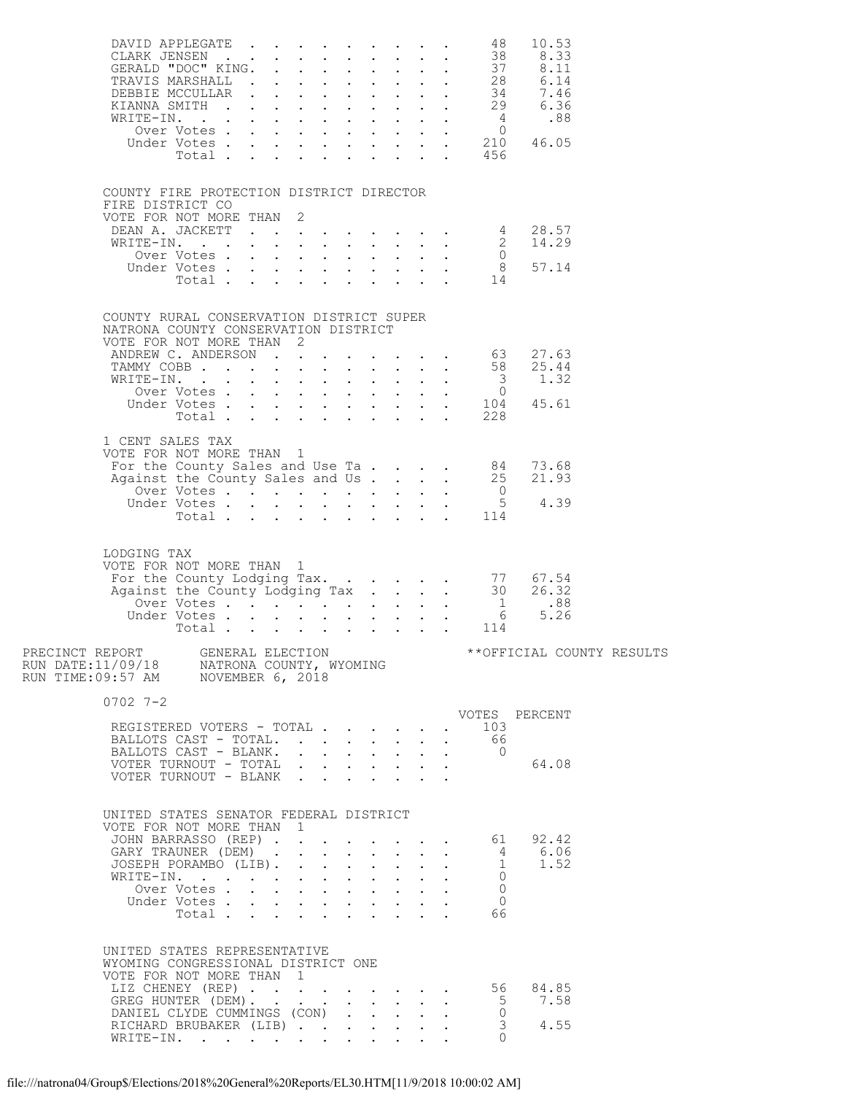|                  | DAVID APPLEGATE 48                                                                                                                                                                                                      |  |              |                            |                                                                                                                     | 10.53                                          |  |
|------------------|-------------------------------------------------------------------------------------------------------------------------------------------------------------------------------------------------------------------------|--|--------------|----------------------------|---------------------------------------------------------------------------------------------------------------------|------------------------------------------------|--|
|                  | COUNTY FIRE PROTECTION DISTRICT DIRECTOR<br>FIRE DISTRICT CO<br>VOTE FOR NOT MORE THAN 2<br>DEAN A. JACKETT 4 28.57<br>WRITE-IN. 2 14.29<br>Over Votes 0<br>Under Votes 8 57.14<br>Total 14                             |  |              |                            |                                                                                                                     |                                                |  |
|                  | COUNTY RURAL CONSERVATION DISTRICT SUPER<br>NATRONA COUNTY CONSERVATION DISTRICT<br>VOTE FOR NOT MORE THAN 2                                                                                                            |  |              |                            |                                                                                                                     |                                                |  |
| 1 CENT SALES TAX | VOTE FOR NOT MORE THAN 1<br>For the County Sales and Use Ta. 84 73.68<br>Against the County Sales and Use Ta. 25 21.93<br>Over Votes 5 4.39<br>Total 114                                                                |  |              |                            |                                                                                                                     |                                                |  |
| LODGING TAX      | VOTE FOR NOT MORE THAN 1                                                                                                                                                                                                |  |              |                            |                                                                                                                     |                                                |  |
|                  |                                                                                                                                                                                                                         |  |              |                            |                                                                                                                     |                                                |  |
| $0702$ 7-2       | REGISTERED VOTERS - TOTAL<br>BALLOTS CAST - TOTAL.<br>BALLOTS CAST - BLANK.<br>VOTER TURNOUT - TOTAL<br>VOTER TURNOUT - BLANK                                                                                           |  |              |                            | $\cdot$ 103<br>66<br>$\overline{0}$<br>$\mathbf{L}^{\text{max}}$                                                    | VOTES PERCENT<br>64.08                         |  |
|                  | UNITED STATES SENATOR FEDERAL DISTRICT<br>VOTE FOR NOT MORE THAN 1<br>JOHN BARRASSO (REP)<br>GARY TRAUNER (DEM)<br>JOSEPH PORAMBO (LIB).<br>WRITE-IN.<br>Over Votes<br>Under Votes<br>Total $\cdots$ $\cdots$ $\cdots$  |  | $\mathbf{L}$ | $\sim$ $-$<br>$\mathbf{L}$ | $\mathbf{L}^{\text{max}}$<br>$\overline{1}$<br>$\overline{0}$<br>$\ddot{\phantom{0}}$<br>$\Omega$<br>$\Omega$<br>66 | $\cdot$ 61 92.42<br>$\frac{4}{1}$ 6.06<br>1.52 |  |
|                  | UNITED STATES REPRESENTATIVE<br>WYOMING CONGRESSIONAL DISTRICT ONE<br>VOTE FOR NOT MORE THAN 1<br>LIZ CHENEY (REP) 56 84.85<br>GREG HUNTER (DEM).<br>DANIEL CLYDE CUMMINGS (CON)<br>RICHARD BRUBAKER (LIB)<br>WRITE-IN. |  |              |                            | $\overline{0}$<br>$\bigcap$                                                                                         | 5 7.58<br>3 4.55                               |  |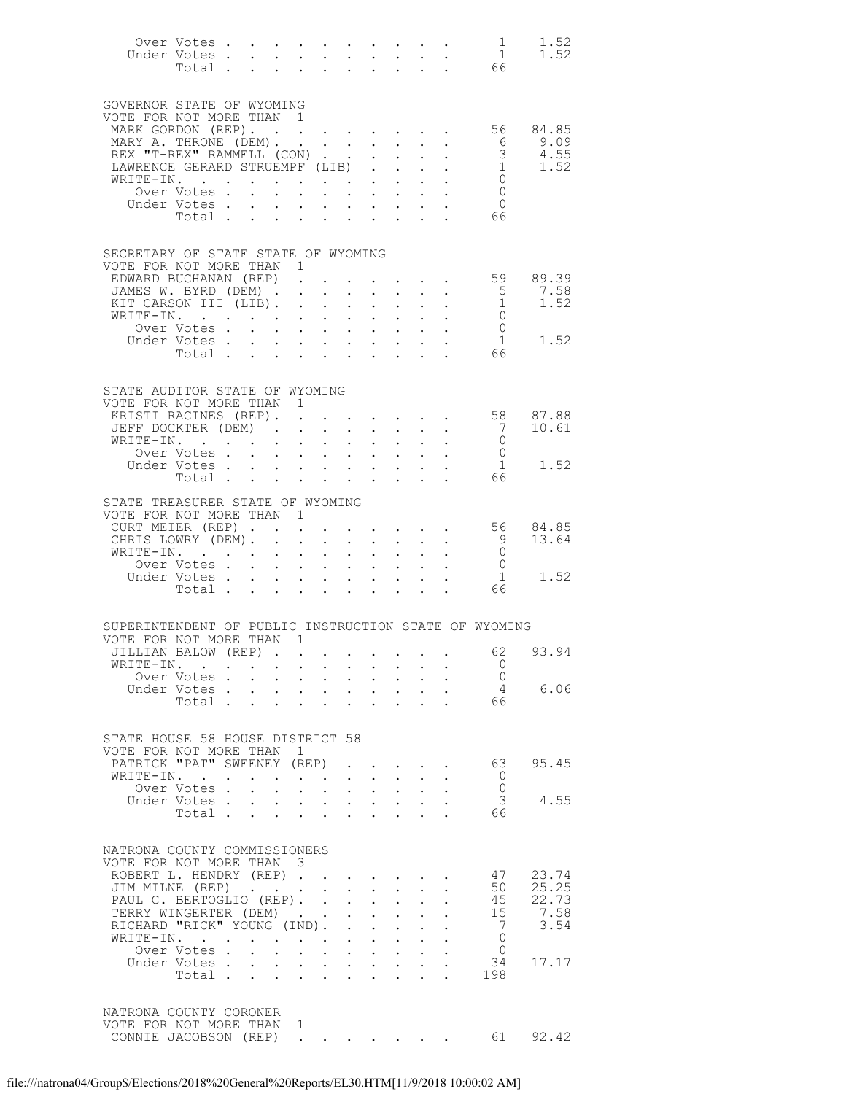|                                                                                                                                                                                                          | Over Votes 1<br>Under Votes.<br>Votes 1<br>Total 66 |                        |                                                                                                                                                                                                                    |                           |                                                                       |                        |                                                                                                                                                       |                                                                                                                      |                                                                                                                                |                                                                                                                   | 1.52<br>1.52                                                     |
|----------------------------------------------------------------------------------------------------------------------------------------------------------------------------------------------------------|-----------------------------------------------------|------------------------|--------------------------------------------------------------------------------------------------------------------------------------------------------------------------------------------------------------------|---------------------------|-----------------------------------------------------------------------|------------------------|-------------------------------------------------------------------------------------------------------------------------------------------------------|----------------------------------------------------------------------------------------------------------------------|--------------------------------------------------------------------------------------------------------------------------------|-------------------------------------------------------------------------------------------------------------------|------------------------------------------------------------------|
| GOVERNOR STATE OF WYOMING<br>VOTE FOR NOT MORE THAN 1<br>MARK GORDON (REP). 56 84.85                                                                                                                     | Under Votes.<br>Total 66                            | $\sim$                 |                                                                                                                                                                                                                    |                           |                                                                       |                        |                                                                                                                                                       |                                                                                                                      | $\mathbf{u} = \mathbf{u} + \mathbf{u}$ , where $\mathbf{u} = \mathbf{u} + \mathbf{u}$ , $\mathbf{u} = \mathbf{u} + \mathbf{u}$ | $\bigcirc$                                                                                                        |                                                                  |
| SECRETARY OF STATE STATE OF WYOMING<br>VOTE FOR NOT MORE THAN 1<br>EDWARD BUCHANAN (REP).<br>JAMES W. BYRD (DEM) 5<br>KIT CARSON III (LIB) 1<br>WRITE-IN. 0                                              | Over Votes                                          |                        |                                                                                                                                                                                                                    |                           |                                                                       |                        |                                                                                                                                                       |                                                                                                                      |                                                                                                                                | $\overline{0}$<br>$\frac{1}{66}$<br>$\overline{1}$                                                                | $\cdot \cdot \cdot \cdot \cdot$ 59 89.39<br>7.58<br>1.52<br>1.52 |
| STATE AUDITOR STATE OF WYOMING<br>VOTE FOR NOT MORE THAN 1<br>KRISTI RACINES (REP). .<br>JEFF DOCKTER (DEM).<br>WRITE-IN $\cdot$                                                                         | Over Votes                                          |                        | $\sim$                                                                                                                                                                                                             | $\sim$                    |                                                                       |                        |                                                                                                                                                       | $\mathbf{r}$ and $\mathbf{r}$ and $\mathbf{r}$ and $\mathbf{r}$                                                      | $\mathbf{r} = \mathbf{r} - \mathbf{r}$ , where $\mathbf{r} = \mathbf{r} - \mathbf{r}$ , where                                  | $7\overline{ }$<br>$\begin{matrix} 0 \\ 0 \end{matrix}$<br>$\begin{array}{c} 1 \\ 66 \end{array}$<br>$\mathbf{1}$ | 58 87.88<br>10.61<br>1.52                                        |
| STATE TREASURER STATE OF WYOMING<br>VOTE FOR NOT MORE THAN 1<br>CURT MEIER (REP).<br>CHRIS LOWRY (DEM).<br>WRITE-IN.                                                                                     | Over Votes<br>Under Votes<br>Total 66               | $\sim$                 | $\sim 10^{-11}$<br>$\mathbf{r}$ , $\mathbf{r}$ , $\mathbf{r}$ , $\mathbf{r}$                                                                                                                                       |                           |                                                                       |                        | $\mathbf{r} = \mathbf{r} \cdot \mathbf{r}$ .                                                                                                          |                                                                                                                      |                                                                                                                                | 9<br>$\overline{0}$<br>$\overline{O}$<br>1                                                                        | $\cdot$ 56 84.85<br>13.64<br>1.52                                |
| SUPERINTENDENT OF PUBLIC INSTRUCTION STATE OF WYOMING<br>VOTE FOR NOT MORE THAN 1<br>JILLIAN BALOW (REP)<br>WRITE-IN.                                                                                    | Over Votes<br>Under Votes<br>Total                  |                        |                                                                                                                                                                                                                    |                           |                                                                       |                        |                                                                                                                                                       |                                                                                                                      |                                                                                                                                | $\overline{0}$<br>$\circ$ 0<br>$\overline{4}$<br>$66^{4}$                                                         | 62 93.94<br>6.06                                                 |
| STATE HOUSE 58 HOUSE DISTRICT 58<br>VOTE FOR NOT MORE THAN 1<br>PATRICK "PAT" SWEENEY (REP)<br>WRITE-IN. .                                                                                               | Over Votes .<br>Under Votes.<br>Total $\cdots$      | $\ddot{\phantom{a}}$   | $\mathcal{A}^{\mathcal{A}}$ and $\mathcal{A}^{\mathcal{A}}$<br>$\mathbf{r} = \mathbf{r} \times \mathbf{r}$ , where $\mathbf{r} = \mathbf{r} \times \mathbf{r}$ , where $\mathbf{r} = \mathbf{r} \times \mathbf{r}$ |                           | $\mathbf{L}$                                                          |                        | $\mathbf{L}$ and $\mathbf{L}$                                                                                                                         | $\ddot{\phantom{0}}$                                                                                                 | $\mathbf{r}$ , $\mathbf{r}$ , $\mathbf{r}$                                                                                     | 63<br>- 0<br>$\bigcirc$<br>3<br>-66                                                                               | 95.45<br>4.55                                                    |
| NATRONA COUNTY COMMISSIONERS<br>VOTE FOR NOT MORE THAN 3<br>ROBERT L. HENDRY (REP)<br>JIM MILNE (REP)<br>PAUL C. BERTOGLIO (REP). .<br>TERRY WINGERTER (DEM)<br>RICHARD "RICK" YOUNG (IND).<br>WRITE-IN. | Over Votes.<br>Under Votes<br>Total .               | $\sim$<br>$\mathbf{r}$ | $\mathbf{r}$ , and $\mathbf{r}$ , and $\mathbf{r}$ , and $\mathbf{r}$                                                                                                                                              | $\mathbf{r} = \mathbf{r}$ | $\mathbf{L}^{\text{max}}$<br>$\bullet$ .<br>$\mathbf{L}^{\text{max}}$ | $\sim$<br>$\mathbf{L}$ | $\mathbf{L}$<br>$\mathbf{L}^{\text{max}}$ , and $\mathbf{L}^{\text{max}}$<br>$\mathbf{A}^{(1)}$ and $\mathbf{A}^{(2)}$ .<br>$\mathbf{L}^{\text{max}}$ | $\sim$ 100 $\mu$<br>$\ddot{\phantom{0}}$<br>$\mathbf{A}$ and $\mathbf{A}$ are $\mathbf{A}$ . The set of $\mathbf{A}$ | $\ddot{\phantom{a}}$                                                                                                           | 47<br>50<br>45<br>15<br>$\overline{7}$<br>$\bigcirc$<br>$\overline{0}$<br>34<br>198                               | 23.74<br>25.25<br>22.73<br>7.58<br>3.54<br>17.17                 |
| NATRONA COUNTY CORONER<br>VOTE FOR NOT MORE THAN 1<br>CONNIE JACOBSON (REP)                                                                                                                              |                                                     |                        | the contract of the contract of the con-                                                                                                                                                                           |                           |                                                                       |                        |                                                                                                                                                       |                                                                                                                      |                                                                                                                                | 61                                                                                                                | 92.42                                                            |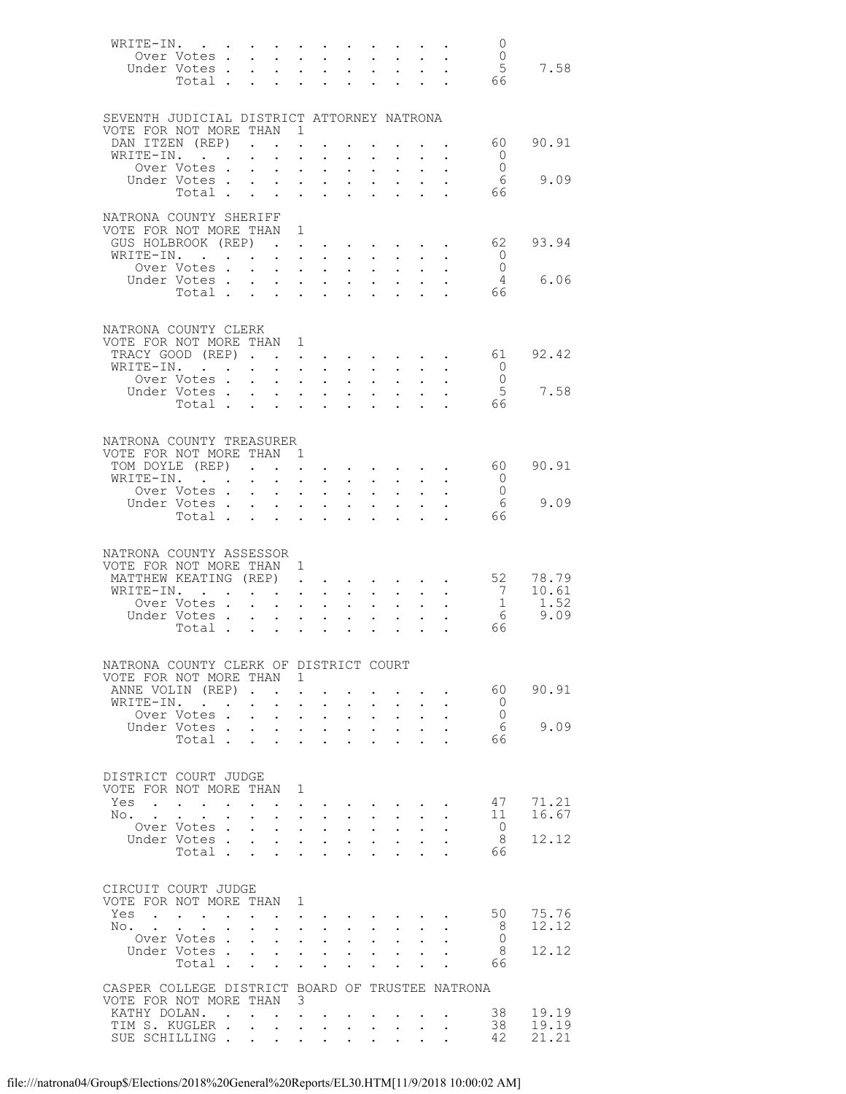|       | WRITE-IN.                                                              |                 |                                      |                                                                                                     |                                                   |                                                                                                                      |                                                          |                                                                                     |                                                                          |                                                                                                                         | - 0                               |               |
|-------|------------------------------------------------------------------------|-----------------|--------------------------------------|-----------------------------------------------------------------------------------------------------|---------------------------------------------------|----------------------------------------------------------------------------------------------------------------------|----------------------------------------------------------|-------------------------------------------------------------------------------------|--------------------------------------------------------------------------|-------------------------------------------------------------------------------------------------------------------------|-----------------------------------|---------------|
|       | Over Votes                                                             |                 |                                      |                                                                                                     |                                                   | $\mathbf{L} = \mathbf{L} \times \mathbf{L}$                                                                          | $\cdot$ $\cdot$ $\cdot$                                  |                                                                                     |                                                                          |                                                                                                                         | $\overline{0}$                    |               |
|       | Under Votes<br>Total                                                   |                 |                                      |                                                                                                     |                                                   | $\mathbf{u} = \mathbf{u} + \mathbf{u}$ , $\mathbf{u} = \mathbf{u}$<br><b>Contract Contract Contract</b>              | $\bullet$ , $\bullet$ , $\bullet$ , $\bullet$            |                                                                                     |                                                                          |                                                                                                                         | $5\phantom{.0}$<br>66             | 7.58          |
|       |                                                                        |                 |                                      |                                                                                                     |                                                   |                                                                                                                      |                                                          |                                                                                     |                                                                          |                                                                                                                         |                                   |               |
|       |                                                                        |                 |                                      |                                                                                                     |                                                   |                                                                                                                      |                                                          |                                                                                     |                                                                          |                                                                                                                         |                                   |               |
|       | SEVENTH JUDICIAL DISTRICT ATTORNEY NATRONA<br>VOTE FOR NOT MORE THAN 1 |                 |                                      |                                                                                                     |                                                   |                                                                                                                      |                                                          |                                                                                     |                                                                          |                                                                                                                         |                                   |               |
|       | DAN ITZEN (REP)                                                        |                 |                                      |                                                                                                     |                                                   |                                                                                                                      |                                                          |                                                                                     |                                                                          |                                                                                                                         | 60                                | 90.91         |
|       | WRITE-IN.                                                              |                 |                                      | $\sim$                                                                                              | $\ddot{\phantom{a}}$                              |                                                                                                                      |                                                          |                                                                                     |                                                                          |                                                                                                                         | - 0                               |               |
|       | Over Votes .                                                           |                 | $\mathbf{L}$                         | $\sim$ 100 $\pm$                                                                                    | $\bullet$ .                                       | $\bullet$ .                                                                                                          | $\bullet$ .                                              | $\ddot{\phantom{a}}$                                                                |                                                                          |                                                                                                                         | $\overline{0}$                    |               |
|       | Under Votes .<br>Total                                                 |                 |                                      | $\ddot{\phantom{a}}$                                                                                | $\ddot{\phantom{a}}$<br>$\ddot{\phantom{0}}$      | $\sim$ $\sim$<br>$\ddot{\phantom{a}}$                                                                                | $\sim$<br>$\ddot{\phantom{a}}$                           |                                                                                     |                                                                          |                                                                                                                         | - 6<br>66                         | 9.09          |
|       |                                                                        |                 |                                      |                                                                                                     |                                                   |                                                                                                                      |                                                          |                                                                                     |                                                                          |                                                                                                                         |                                   |               |
|       | NATRONA COUNTY SHERIFF                                                 |                 |                                      |                                                                                                     |                                                   |                                                                                                                      |                                                          |                                                                                     |                                                                          |                                                                                                                         |                                   |               |
|       | VOTE FOR NOT MORE THAN 1<br>GUS HOLBROOK (REP)                         |                 |                                      |                                                                                                     |                                                   |                                                                                                                      |                                                          |                                                                                     |                                                                          |                                                                                                                         |                                   | 93.94         |
|       | WRITE-IN.                                                              |                 |                                      | <b>Contract</b>                                                                                     | $\mathbf{L}$ and $\mathbf{L}$                     | $\mathbf{L}^{\text{max}}$ , $\mathbf{L}^{\text{max}}$<br>$\sim$                                                      | $\mathbf{r}$                                             |                                                                                     |                                                                          |                                                                                                                         | 62<br>$\overline{0}$              |               |
|       | Over Votes .                                                           |                 | $\mathbf{L}$                         |                                                                                                     |                                                   | $\mathbf{z} = \mathbf{z} + \mathbf{z}$ , where $\mathbf{z} = \mathbf{z}$                                             | $\mathcal{L}^{\text{max}}$                               | $\bullet$                                                                           |                                                                          |                                                                                                                         | $\overline{0}$                    |               |
|       | Under Votes .                                                          |                 |                                      |                                                                                                     |                                                   | $\mathbf{r}$ , $\mathbf{r}$ , $\mathbf{r}$ , $\mathbf{r}$ , $\mathbf{r}$                                             |                                                          | $\ddot{\phantom{a}}$                                                                |                                                                          |                                                                                                                         | $\overline{4}$                    | 6.06          |
|       | Total                                                                  |                 |                                      |                                                                                                     | $\ddot{\phantom{0}}$                              | $\ddot{\phantom{0}}$                                                                                                 | $\ddot{\phantom{0}}$                                     |                                                                                     |                                                                          |                                                                                                                         | 66                                |               |
|       |                                                                        |                 |                                      |                                                                                                     |                                                   |                                                                                                                      |                                                          |                                                                                     |                                                                          |                                                                                                                         |                                   |               |
|       | NATRONA COUNTY CLERK                                                   |                 |                                      |                                                                                                     |                                                   |                                                                                                                      |                                                          |                                                                                     |                                                                          |                                                                                                                         |                                   |               |
|       | VOTE FOR NOT MORE THAN 1                                               |                 |                                      |                                                                                                     |                                                   |                                                                                                                      |                                                          |                                                                                     |                                                                          |                                                                                                                         |                                   |               |
|       | TRACY GOOD (REP)<br>WRITE-IN. .                                        |                 | $\mathbf{L} = \mathbf{L} \mathbf{L}$ |                                                                                                     |                                                   |                                                                                                                      |                                                          |                                                                                     |                                                                          | $\mathbf{z} = \mathbf{z} + \mathbf{z}$ , where $\mathbf{z} = \mathbf{z} + \mathbf{z}$ , where $\mathbf{z} = \mathbf{z}$ | 61<br>- 0                         | 92.42         |
|       | Over Votes .                                                           |                 | $\mathbf{L}$                         | $\mathbf{L}$ $\mathbf{L}$                                                                           |                                                   | <b>All Carl Carl Corp.</b><br>$\sim$ $\sim$                                                                          | $\mathbf{z} = \mathbf{z} + \mathbf{z}$ .<br>$\mathbf{L}$ | $\ddot{\phantom{a}}$                                                                |                                                                          |                                                                                                                         | $\overline{0}$                    |               |
|       | Under Votes                                                            |                 |                                      |                                                                                                     |                                                   | <b>Service Control</b>                                                                                               | $\mathbf{z} = \mathbf{z} + \mathbf{z}$ .                 |                                                                                     |                                                                          |                                                                                                                         | 5                                 | 7.58          |
|       | Total                                                                  |                 |                                      |                                                                                                     |                                                   | <b>Contract Contract Contract</b>                                                                                    |                                                          |                                                                                     |                                                                          |                                                                                                                         | 66                                |               |
|       |                                                                        |                 |                                      |                                                                                                     |                                                   |                                                                                                                      |                                                          |                                                                                     |                                                                          |                                                                                                                         |                                   |               |
|       | NATRONA COUNTY TREASURER                                               |                 |                                      |                                                                                                     |                                                   |                                                                                                                      |                                                          |                                                                                     |                                                                          |                                                                                                                         |                                   |               |
|       | VOTE FOR NOT MORE THAN 1                                               |                 |                                      |                                                                                                     |                                                   |                                                                                                                      |                                                          |                                                                                     |                                                                          |                                                                                                                         |                                   |               |
|       | TOM DOYLE (REP)                                                        |                 |                                      |                                                                                                     | $\ddot{\phantom{0}}$                              |                                                                                                                      |                                                          |                                                                                     |                                                                          |                                                                                                                         | 60 -                              | 90.91         |
|       | WRITE-IN.<br>Over Votes .                                              |                 | $\mathbf{L}$                         | $\mathbf{L}$<br>$\sim 100$                                                                          | $\ddot{\phantom{0}}$<br>$\mathbf{z} = \mathbf{z}$ | $\sim$<br>$\bullet$ . $\bullet$                                                                                      | $\ddot{\phantom{0}}$<br>$\bullet$ .                      | $\Box$                                                                              |                                                                          |                                                                                                                         | $\circ$ 0<br>$\overline{0}$       |               |
|       | Under Votes .                                                          |                 |                                      | $\ddotsc$                                                                                           |                                                   | $\cdot$ $\cdot$ $\cdot$                                                                                              | $\mathbf{L}^{\text{max}}$                                | $\ddot{\phantom{a}}$                                                                |                                                                          |                                                                                                                         | - 6                               | 9.09          |
|       | Total.                                                                 |                 | $\sim$                               | $\sim$ $-$                                                                                          | $\ddot{\phantom{0}}$                              | $\ddot{\phantom{0}}$                                                                                                 | $\ddot{\phantom{0}}$                                     |                                                                                     |                                                                          |                                                                                                                         | 66                                |               |
|       |                                                                        |                 |                                      |                                                                                                     |                                                   |                                                                                                                      |                                                          |                                                                                     |                                                                          |                                                                                                                         |                                   |               |
|       | NATRONA COUNTY ASSESSOR                                                |                 |                                      |                                                                                                     |                                                   |                                                                                                                      |                                                          |                                                                                     |                                                                          |                                                                                                                         |                                   |               |
|       | VOTE FOR NOT MORE THAN 1                                               |                 |                                      |                                                                                                     |                                                   |                                                                                                                      |                                                          |                                                                                     |                                                                          |                                                                                                                         |                                   |               |
|       | MATTHEW KEATING (REP)                                                  |                 |                                      |                                                                                                     |                                                   |                                                                                                                      |                                                          |                                                                                     |                                                                          |                                                                                                                         | 52                                | 78.79         |
|       | WRITE-IN. .<br>Over Votes.                                             |                 |                                      | $\mathbf{L}$                                                                                        | $\bullet$ .                                       | $\bullet$ .<br><br><br><br><br><br><br>                                                                              |                                                          | $\ddot{\phantom{a}}$                                                                |                                                                          |                                                                                                                         | $7\overline{ }$<br>$\overline{1}$ | 10.61<br>1.52 |
|       | Under Votes.                                                           |                 |                                      | $\mathbf{A}$ and $\mathbf{A}$                                                                       | $\ddot{\phantom{a}}$<br>$\mathcal{L}^{(1)}$       | $\sim$<br>$\mathbf{L}^{\text{max}}$                                                                                  | $\mathbf{L}^{\text{max}}$<br>$\bullet$ .                 | $\ddot{\phantom{a}}$                                                                |                                                                          |                                                                                                                         | - 6                               | 9.09          |
|       | Total.                                                                 |                 |                                      | $\mathbf{r}$ and $\mathbf{r}$ and $\mathbf{r}$                                                      |                                                   |                                                                                                                      |                                                          |                                                                                     |                                                                          |                                                                                                                         | 66                                |               |
|       |                                                                        |                 |                                      |                                                                                                     |                                                   |                                                                                                                      |                                                          |                                                                                     |                                                                          |                                                                                                                         |                                   |               |
|       | NATRONA COUNTY CLERK OF DISTRICT COURT                                 |                 |                                      |                                                                                                     |                                                   |                                                                                                                      |                                                          |                                                                                     |                                                                          |                                                                                                                         |                                   |               |
|       | VOTE FOR NOT MORE THAN 1                                               |                 |                                      |                                                                                                     |                                                   |                                                                                                                      |                                                          |                                                                                     |                                                                          |                                                                                                                         |                                   |               |
|       | ANNE VOLIN (REP).                                                      |                 |                                      |                                                                                                     |                                                   |                                                                                                                      |                                                          |                                                                                     |                                                                          |                                                                                                                         | 60 -                              | 90.91         |
|       | WRITE-IN.                                                              |                 | $\ddot{\phantom{0}}$                 | $\mathbf{L}$                                                                                        | $\ddot{\phantom{a}}$                              | $\ddot{\phantom{a}}$                                                                                                 |                                                          |                                                                                     |                                                                          |                                                                                                                         | $\overline{0}$                    |               |
|       | Over Votes .<br>Under Votes .                                          |                 | $\mathbf{L}$                         | $\mathbf{A}$ and $\mathbf{A}$ and $\mathbf{A}$<br>$\mathbf{r} = \mathbf{r}$                         |                                                   | $\sim$ $-$<br>$\mathbf{L}$ and $\mathbf{L}$                                                                          | $\mathbf{L}$                                             | $\mathbf{z} = \mathbf{z} + \mathbf{z}$ .<br>$\ddot{\phantom{a}}$                    | $\ddot{\phantom{a}}$                                                     |                                                                                                                         | $\overline{0}$<br>- 6             | 9.09          |
|       | Total                                                                  |                 |                                      | $\sim$                                                                                              | $\ddot{\phantom{0}}$                              | $\ddot{\phantom{a}}$                                                                                                 | $\sim$                                                   |                                                                                     |                                                                          |                                                                                                                         | 66                                |               |
|       |                                                                        |                 |                                      |                                                                                                     |                                                   |                                                                                                                      |                                                          |                                                                                     |                                                                          |                                                                                                                         |                                   |               |
|       | DISTRICT COURT JUDGE                                                   |                 |                                      |                                                                                                     |                                                   |                                                                                                                      |                                                          |                                                                                     |                                                                          |                                                                                                                         |                                   |               |
|       | VOTE FOR NOT MORE THAN 1                                               |                 |                                      |                                                                                                     |                                                   |                                                                                                                      |                                                          |                                                                                     |                                                                          |                                                                                                                         |                                   |               |
|       | Yes                                                                    |                 |                                      |                                                                                                     |                                                   |                                                                                                                      |                                                          |                                                                                     |                                                                          |                                                                                                                         | 47                                | 71.21         |
| No. . |                                                                        | $\sim$          | $\ddot{\phantom{a}}$                 |                                                                                                     |                                                   | <b>Contract Contract</b>                                                                                             |                                                          |                                                                                     | $\mathbf{z} = \mathbf{z} + \mathbf{z}$ , where $\mathbf{z} = \mathbf{z}$ |                                                                                                                         | 11                                | 16.67         |
|       | Over Votes.<br>Under Votes                                             |                 | $\mathbf{r}$                         | $\mathbf{u} = \mathbf{u} \cdot \mathbf{u}$ .                                                        |                                                   | $\cdot$ $\cdot$ $\cdot$ $\cdot$                                                                                      | $\mathbf{L}$                                             | $\mathbf{L}$                                                                        | $\mathbf{L}$<br>$\mathbf{L}^{\text{max}}$                                |                                                                                                                         | $\overline{0}$<br>- 8             | 12.12         |
|       | Total.                                                                 |                 |                                      |                                                                                                     |                                                   | $\bullet$ .                                                                                                          |                                                          | $\bullet$ .<br><br><br><br><br><br><br><br><br><br><br><br><br>$\ddot{\phantom{a}}$ | $\sim$                                                                   |                                                                                                                         | 66                                |               |
|       |                                                                        |                 |                                      |                                                                                                     |                                                   |                                                                                                                      |                                                          |                                                                                     |                                                                          |                                                                                                                         |                                   |               |
|       |                                                                        |                 |                                      |                                                                                                     |                                                   |                                                                                                                      |                                                          |                                                                                     |                                                                          |                                                                                                                         |                                   |               |
|       | CIRCUIT COURT JUDGE<br>VOTE FOR NOT MORE THAN 1                        |                 |                                      |                                                                                                     |                                                   |                                                                                                                      |                                                          |                                                                                     |                                                                          |                                                                                                                         |                                   |               |
|       | Yes                                                                    | $\cdot$ $\cdot$ |                                      |                                                                                                     |                                                   | $\bullet$ . $\bullet$ .                                                                                              |                                                          |                                                                                     | $\mathbf{r} = \left\{ \mathbf{r}_1, \ldots, \mathbf{r}_n \right\}$ .     |                                                                                                                         | 50                                | 75.76         |
| No.   |                                                                        |                 |                                      |                                                                                                     |                                                   | $\mathbf{1}$ $\mathbf{1}$ $\mathbf{1}$ $\mathbf{1}$ $\mathbf{1}$ $\mathbf{1}$                                        |                                                          | $\mathbf{L} = \mathbf{L} \mathbf{L}$                                                |                                                                          |                                                                                                                         | - 8                               | 12.12         |
|       | Over Votes .<br>Under Votes .                                          |                 | $\ddot{\phantom{0}}$                 | $\bullet$ .<br><br><br><br><br><br><br><br><br><br><br><br><br>$\mathbf{L} = \mathbf{L} \mathbf{L}$ |                                                   | $\bullet$ , $\bullet$ , $\bullet$ , $\bullet$                                                                        |                                                          | $\bullet$ .<br><br><br><br><br><br><br><br><br><br><br><br>                         | $\ddot{\phantom{0}}$                                                     |                                                                                                                         | - 0<br>- 8                        | 12.12         |
|       | Total                                                                  |                 |                                      |                                                                                                     | $\ddot{\phantom{0}}$                              | $\mathbf{r}$ and $\mathbf{r}$ and $\mathbf{r}$<br>$\ddot{\phantom{a}}$                                               | $\ddot{\phantom{0}}$                                     | $\ddot{\phantom{0}}$                                                                | $\ddot{\phantom{a}}$                                                     |                                                                                                                         | 66                                |               |
|       |                                                                        |                 |                                      |                                                                                                     |                                                   |                                                                                                                      |                                                          |                                                                                     |                                                                          |                                                                                                                         |                                   |               |
|       | CASPER COLLEGE DISTRICT BOARD OF TRUSTEE NATRONA                       |                 |                                      |                                                                                                     |                                                   |                                                                                                                      |                                                          |                                                                                     |                                                                          |                                                                                                                         |                                   |               |
|       | VOTE FOR NOT MORE THAN 3<br>KATHY DOLAN.                               |                 |                                      |                                                                                                     |                                                   |                                                                                                                      |                                                          |                                                                                     |                                                                          |                                                                                                                         | 38                                | 19.19         |
|       | TIM S. KUGLER                                                          |                 |                                      |                                                                                                     |                                                   | $\mathbf{a} = \mathbf{a} + \mathbf{a} + \mathbf{a} + \mathbf{a} + \mathbf{a} + \mathbf{a} + \mathbf{a} + \mathbf{a}$ |                                                          |                                                                                     |                                                                          |                                                                                                                         | 38 —                              | 19.19         |
|       | SUE SCHILLING                                                          |                 |                                      |                                                                                                     |                                                   | $\mathbf{r} = \mathbf{r} + \mathbf{r} + \mathbf{r} + \mathbf{r} + \mathbf{r}$                                        |                                                          |                                                                                     |                                                                          |                                                                                                                         | 42                                | 21.21         |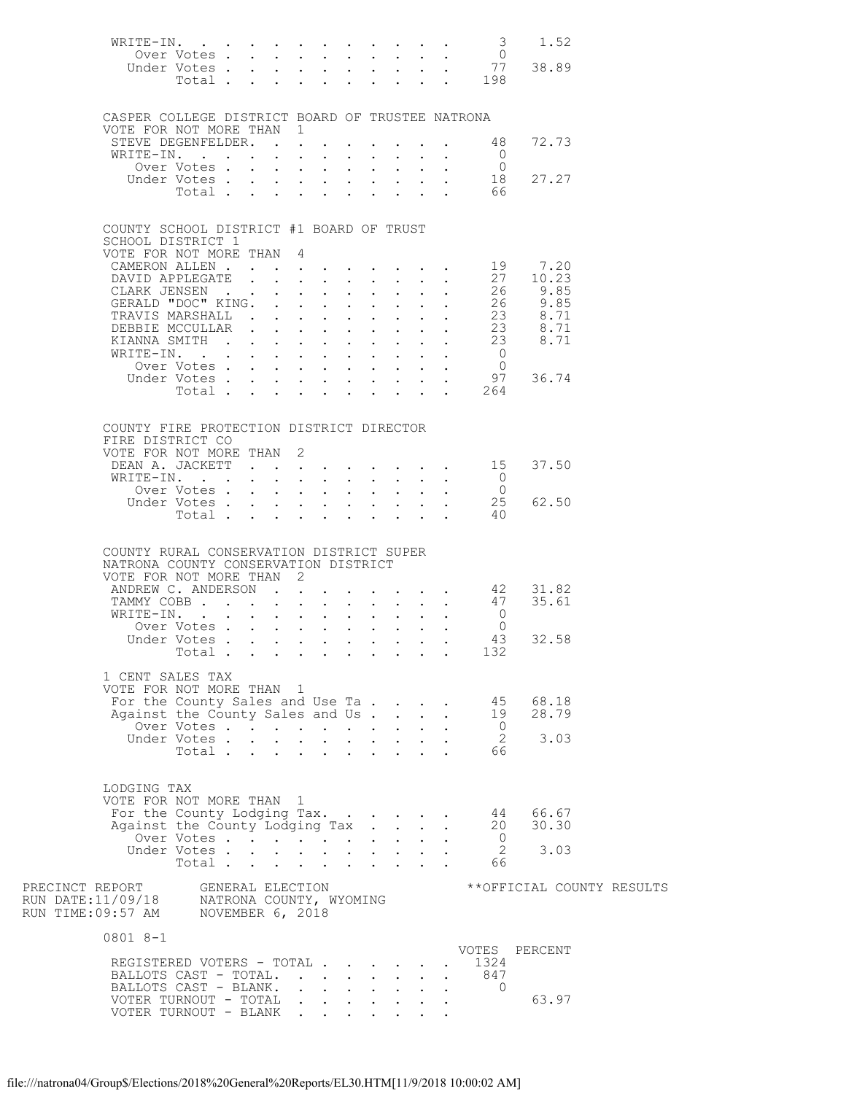| WRITE-IN. 3                                                                             |                                                   |  |              |                                                                                   |                             |                           |                                                                  |                                                           |                                                                                                   |                          | 1.52 |                           |
|-----------------------------------------------------------------------------------------|---------------------------------------------------|--|--------------|-----------------------------------------------------------------------------------|-----------------------------|---------------------------|------------------------------------------------------------------|-----------------------------------------------------------|---------------------------------------------------------------------------------------------------|--------------------------|------|---------------------------|
|                                                                                         | Under Votes                                       |  |              |                                                                                   |                             |                           |                                                                  |                                                           | 0 Ver Votes 0<br>Inder Votes 77 38.89                                                             |                          |      |                           |
|                                                                                         | Total $\cdots$                                    |  |              |                                                                                   | $\mathbf{L}$                |                           |                                                                  |                                                           | $\cdot$ $\cdot$ $\cdot$ $\cdot$ $\cdot$ $\frac{198}{98}$                                          |                          |      |                           |
|                                                                                         |                                                   |  |              |                                                                                   |                             |                           |                                                                  |                                                           |                                                                                                   |                          |      |                           |
| CASPER COLLEGE DISTRICT BOARD OF TRUSTEE NATRONA                                        |                                                   |  |              |                                                                                   |                             |                           |                                                                  |                                                           |                                                                                                   |                          |      |                           |
| VOTE FOR NOT MORE THAN 1                                                                |                                                   |  |              |                                                                                   |                             |                           |                                                                  |                                                           |                                                                                                   |                          |      |                           |
| STEVE DEGENFELDER.                                                                      |                                                   |  |              |                                                                                   |                             |                           |                                                                  |                                                           | 48                                                                                                | 72.73                    |      |                           |
| WRITE-IN.                                                                               |                                                   |  |              |                                                                                   |                             |                           |                                                                  |                                                           | $\overline{0}$                                                                                    |                          |      |                           |
|                                                                                         | Over Votes                                        |  |              | $\mathbf{L} = \mathbf{L} \mathbf{L}$                                              |                             |                           | $\mathbf{L}^{\text{max}}$ and $\mathbf{L}^{\text{max}}$          |                                                           | $\overline{0}$<br>18                                                                              | 27.27                    |      |                           |
|                                                                                         | Under Votes<br>Total                              |  |              |                                                                                   |                             |                           |                                                                  |                                                           | $\mathcal{L}^{\text{max}}$ , where $\mathcal{L}^{\text{max}}$<br>66                               |                          |      |                           |
|                                                                                         |                                                   |  |              |                                                                                   |                             |                           |                                                                  |                                                           |                                                                                                   |                          |      |                           |
|                                                                                         |                                                   |  |              |                                                                                   |                             |                           |                                                                  |                                                           |                                                                                                   |                          |      |                           |
| COUNTY SCHOOL DISTRICT #1 BOARD OF TRUST<br>SCHOOL DISTRICT 1                           |                                                   |  |              |                                                                                   |                             |                           |                                                                  |                                                           |                                                                                                   |                          |      |                           |
| VOTE FOR NOT MORE THAN 4                                                                |                                                   |  |              |                                                                                   |                             |                           |                                                                  |                                                           |                                                                                                   |                          |      |                           |
| CAMERON ALLEN.                                                                          |                                                   |  |              | <b>All Contracts</b>                                                              |                             |                           |                                                                  |                                                           | $\cdot$ $\cdot$ 19                                                                                | 7.20                     |      |                           |
| DAVID APPLEGATE                                                                         |                                                   |  |              |                                                                                   |                             |                           | $\mathbf{L}$ and $\mathbf{L}$                                    |                                                           | $\cdot$ $\cdot$ 27                                                                                | 10.23                    |      |                           |
| CLARK JENSEN<br>GERALD "DOC" KING.                                                      |                                                   |  |              |                                                                                   |                             |                           |                                                                  |                                                           | 26<br>26                                                                                          | 9.85<br>$9.85$<br>$9.85$ |      |                           |
| TRAVIS MARSHALL                                                                         |                                                   |  |              | $\mathbf{r} = \mathbf{r} \mathbf{r}$ , where $\mathbf{r} = \mathbf{r} \mathbf{r}$ |                             |                           |                                                                  |                                                           | 23                                                                                                | 8.71                     |      |                           |
| DEBBIE MCCULLAR                                                                         |                                                   |  |              | $\mathbb{Z}^2$ , $\mathbb{Z}^2$                                                   | $\mathbb{Z}^{\mathbb{Z}^2}$ | $\mathbf{L}^{\text{max}}$ | $\mathbf{L}$                                                     |                                                           | $\begin{array}{cccc} . & . & . & 23 & 8.71 \\ . & . & 23 & 8.71 \\ . & . & 23 & 8.71 \end{array}$ |                          |      |                           |
| KIANNA SMITH                                                                            |                                                   |  |              | $\ddotsc$ $\ddotsc$                                                               |                             |                           |                                                                  |                                                           |                                                                                                   |                          |      |                           |
| WRITE-IN.                                                                               |                                                   |  |              |                                                                                   |                             |                           |                                                                  | $\mathbf{L}^{\text{max}}$ , and $\mathbf{L}^{\text{max}}$ | $\overline{0}$                                                                                    |                          |      |                           |
|                                                                                         | Over Votes<br>Under Votes.                        |  | $\mathbf{L}$ | $\mathbf{L}$ and $\mathbf{L}$<br>$\mathbf{L} = \mathbf{L}$                        | $\sim$ $-$                  | $\mathbf{L}^{\text{max}}$ |                                                                  | $\mathbf{L}^{\text{max}}$ , $\mathbf{L}^{\text{max}}$     | $\overline{0}$<br>97                                                                              | 36.74                    |      |                           |
|                                                                                         | Total .                                           |  |              |                                                                                   |                             |                           |                                                                  |                                                           | 264                                                                                               |                          |      |                           |
|                                                                                         |                                                   |  |              |                                                                                   |                             |                           |                                                                  |                                                           |                                                                                                   |                          |      |                           |
|                                                                                         |                                                   |  |              |                                                                                   |                             |                           |                                                                  |                                                           |                                                                                                   |                          |      |                           |
| COUNTY FIRE PROTECTION DISTRICT DIRECTOR<br>FIRE DISTRICT CO                            |                                                   |  |              |                                                                                   |                             |                           |                                                                  |                                                           |                                                                                                   |                          |      |                           |
| VOTE FOR NOT MORE THAN 2                                                                |                                                   |  |              |                                                                                   |                             |                           |                                                                  |                                                           |                                                                                                   |                          |      |                           |
| DEAN A. JACKETT                                                                         |                                                   |  |              |                                                                                   |                             |                           |                                                                  |                                                           | $\cdot$ $\cdot$ 15                                                                                | 37.50                    |      |                           |
| WRITE-IN.                                                                               |                                                   |  |              |                                                                                   |                             |                           |                                                                  |                                                           | $\overline{0}$                                                                                    |                          |      |                           |
|                                                                                         | Over Votes                                        |  |              |                                                                                   |                             |                           |                                                                  |                                                           | $\overline{0}$<br>25                                                                              | 62.50                    |      |                           |
|                                                                                         | Under Votes<br>Total                              |  |              |                                                                                   |                             |                           |                                                                  | $\mathbf{L} = \mathbf{L}$                                 | -40                                                                                               |                          |      |                           |
|                                                                                         |                                                   |  |              |                                                                                   |                             |                           |                                                                  |                                                           |                                                                                                   |                          |      |                           |
|                                                                                         |                                                   |  |              |                                                                                   |                             |                           |                                                                  |                                                           |                                                                                                   |                          |      |                           |
| COUNTY RURAL CONSERVATION DISTRICT SUPER                                                |                                                   |  |              |                                                                                   |                             |                           |                                                                  |                                                           |                                                                                                   |                          |      |                           |
| NATRONA COUNTY CONSERVATION DISTRICT<br>VOTE FOR NOT MORE THAN 2                        |                                                   |  |              |                                                                                   |                             |                           |                                                                  |                                                           |                                                                                                   |                          |      |                           |
| ANDREW C. ANDERSON 42                                                                   |                                                   |  |              |                                                                                   |                             |                           |                                                                  |                                                           |                                                                                                   | 31.82                    |      |                           |
|                                                                                         |                                                   |  |              |                                                                                   |                             |                           |                                                                  |                                                           | TAMMY COBB 47                                                                                     | 35.61                    |      |                           |
| WRITE-IN.                                                                               |                                                   |  |              | $\mathbf{L}$ and $\mathbf{L}$                                                     |                             |                           | $\mathbf{1}$ $\mathbf{1}$ $\mathbf{1}$ $\mathbf{1}$ $\mathbf{1}$ |                                                           | $\overline{0}$                                                                                    |                          |      |                           |
|                                                                                         | Over Votes<br>Inder Votes<br>Under Votes          |  |              |                                                                                   |                             |                           |                                                                  |                                                           | $\overline{0}$<br>- 43                                                                            | 32.58                    |      |                           |
|                                                                                         | Total                                             |  |              |                                                                                   |                             |                           |                                                                  |                                                           | 132                                                                                               |                          |      |                           |
|                                                                                         |                                                   |  |              |                                                                                   |                             |                           |                                                                  |                                                           |                                                                                                   |                          |      |                           |
| 1 CENT SALES TAX                                                                        |                                                   |  |              |                                                                                   |                             |                           |                                                                  |                                                           |                                                                                                   |                          |      |                           |
| VOTE FOR NOT MORE THAN 1<br>For the County Sales and Use Ta                             |                                                   |  |              |                                                                                   |                             |                           |                                                                  |                                                           | 45                                                                                                | 68.18                    |      |                           |
| Against the County Sales and Us                                                         |                                                   |  |              |                                                                                   |                             |                           |                                                                  | $\mathbf{r}$                                              | 19                                                                                                | 28.79                    |      |                           |
|                                                                                         |                                                   |  |              |                                                                                   |                             |                           |                                                                  |                                                           | $\overline{0}$                                                                                    |                          |      |                           |
|                                                                                         | Over Votes<br>Inder Votes<br>Total<br>Under Votes |  |              |                                                                                   |                             |                           |                                                                  |                                                           | $\overline{2}$                                                                                    | 3.03                     |      |                           |
|                                                                                         |                                                   |  |              |                                                                                   |                             |                           |                                                                  |                                                           | 66                                                                                                |                          |      |                           |
|                                                                                         |                                                   |  |              |                                                                                   |                             |                           |                                                                  |                                                           |                                                                                                   |                          |      |                           |
| LODGING TAX                                                                             |                                                   |  |              |                                                                                   |                             |                           |                                                                  |                                                           |                                                                                                   |                          |      |                           |
| VOTE FOR NOT MORE THAN 1                                                                |                                                   |  |              |                                                                                   |                             |                           |                                                                  |                                                           |                                                                                                   |                          |      |                           |
| For the County Lodging Tax.                                                             |                                                   |  |              |                                                                                   |                             |                           |                                                                  |                                                           |                                                                                                   | 44 66.67                 |      |                           |
| Against the County Lodging Tax                                                          |                                                   |  |              |                                                                                   |                             |                           |                                                                  |                                                           | $\overline{0}$                                                                                    | 20 30.30                 |      |                           |
|                                                                                         | Over Votes<br>Under Votes<br>Total                |  |              |                                                                                   |                             |                           |                                                                  |                                                           | $\overline{2}$                                                                                    | 3.03                     |      |                           |
|                                                                                         | Total                                             |  |              |                                                                                   |                             |                           |                                                                  |                                                           | 66                                                                                                |                          |      |                           |
|                                                                                         |                                                   |  |              |                                                                                   |                             |                           |                                                                  |                                                           |                                                                                                   |                          |      |                           |
| PRECINCT REPORT                                                                         |                                                   |  |              | GENERAL ELECTION                                                                  |                             |                           |                                                                  |                                                           |                                                                                                   |                          |      | **OFFICIAL COUNTY RESULTS |
| RUN DATE:11/09/18     NATRONA COUNTY, WYOMING<br>RUN TIME:09:57 AM     NOVEMBER 6, 2018 |                                                   |  |              |                                                                                   |                             |                           |                                                                  |                                                           |                                                                                                   |                          |      |                           |
|                                                                                         |                                                   |  |              |                                                                                   |                             |                           |                                                                  |                                                           |                                                                                                   |                          |      |                           |
| 0801 8-1                                                                                |                                                   |  |              |                                                                                   |                             |                           |                                                                  |                                                           |                                                                                                   |                          |      |                           |
| REGISTERED VOTERS - TOTAL                                                               |                                                   |  |              |                                                                                   |                             |                           |                                                                  |                                                           | VOTES PERCENT<br>1324                                                                             |                          |      |                           |
| BALLOTS CAST - TOTAL.                                                                   |                                                   |  |              |                                                                                   |                             |                           |                                                                  |                                                           | 847                                                                                               |                          |      |                           |
| BALLOTS CAST - BLANK.                                                                   |                                                   |  |              | $\mathbf{r}$ and $\mathbf{r}$ and $\mathbf{r}$ and $\mathbf{r}$                   |                             |                           |                                                                  |                                                           | $\bigcirc$                                                                                        |                          |      |                           |
| VOTER TURNOUT - TOTAL                                                                   |                                                   |  |              |                                                                                   |                             |                           |                                                                  |                                                           |                                                                                                   | 63.97                    |      |                           |
| VOTER TURNOUT - BLANK.                                                                  |                                                   |  |              |                                                                                   |                             |                           |                                                                  |                                                           |                                                                                                   |                          |      |                           |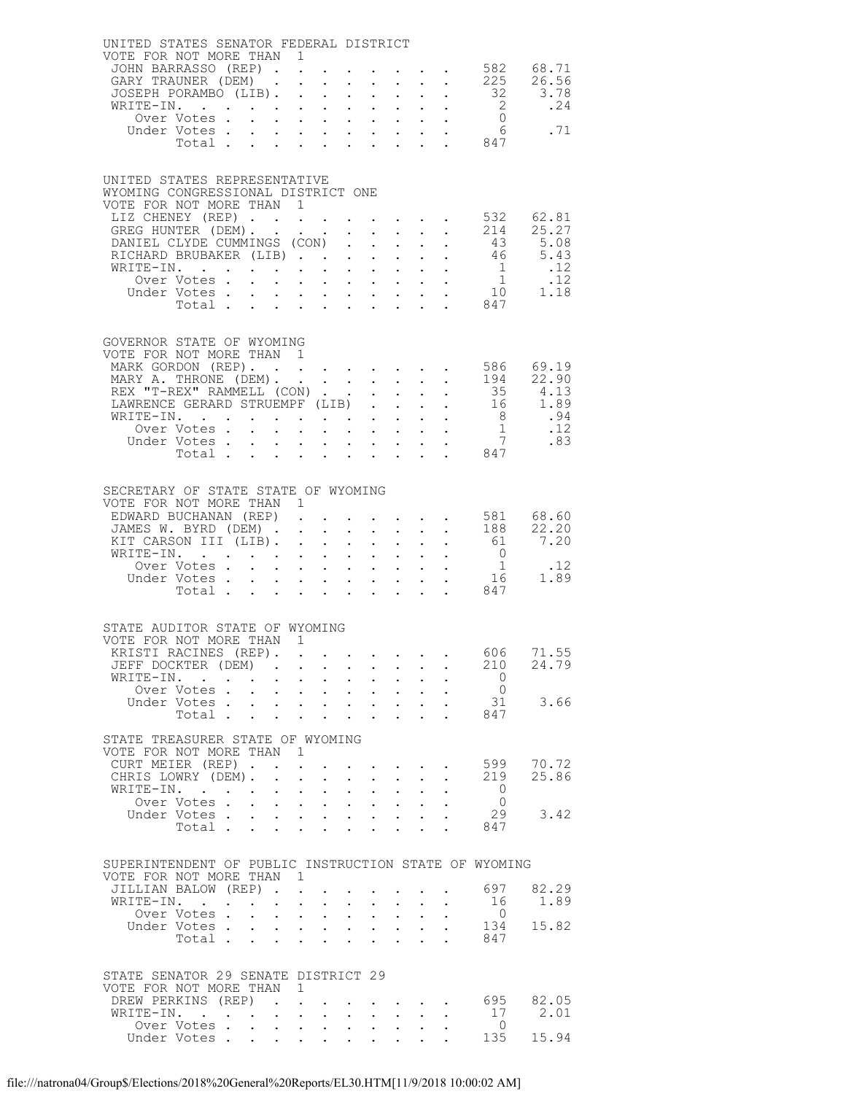| UNITED STATES SENATOR FEDERAL DISTRICT                                              |                                 |                 |                                               |                           |                                                           |                                                             |                                                             |                                                                       |                                  |                                                      |
|-------------------------------------------------------------------------------------|---------------------------------|-----------------|-----------------------------------------------|---------------------------|-----------------------------------------------------------|-------------------------------------------------------------|-------------------------------------------------------------|-----------------------------------------------------------------------|----------------------------------|------------------------------------------------------|
| VOTE FOR NOT MORE THAN 1                                                            |                                 |                 |                                               |                           |                                                           |                                                             |                                                             |                                                                       |                                  |                                                      |
| JOHN BARRASSO (REP) 582 68.71<br>GARY TRAUNER (DEM) 225 26.56<br>GARY TRAUNER (DEM) |                                 |                 |                                               |                           |                                                           |                                                             |                                                             |                                                                       |                                  |                                                      |
| JOSEPH PORAMBO (LIB).                                                               |                                 |                 |                                               |                           |                                                           |                                                             |                                                             |                                                                       |                                  |                                                      |
| WRITE-IN.                                                                           |                                 |                 |                                               |                           |                                                           |                                                             |                                                             |                                                                       |                                  |                                                      |
|                                                                                     |                                 |                 |                                               |                           |                                                           |                                                             |                                                             |                                                                       |                                  |                                                      |
| Under Votes                                                                         |                                 |                 |                                               |                           |                                                           |                                                             |                                                             |                                                                       | Total 847                        |                                                      |
|                                                                                     |                                 |                 |                                               |                           |                                                           |                                                             |                                                             |                                                                       |                                  |                                                      |
|                                                                                     |                                 |                 |                                               |                           |                                                           |                                                             |                                                             |                                                                       |                                  |                                                      |
| UNITED STATES REPRESENTATIVE<br>WYOMING CONGRESSIONAL DISTRICT ONE                  |                                 |                 |                                               |                           |                                                           |                                                             |                                                             |                                                                       |                                  |                                                      |
| VOTE FOR NOT MORE THAN 1                                                            |                                 |                 |                                               |                           |                                                           |                                                             |                                                             |                                                                       |                                  |                                                      |
| LIZ CHENEY (REP) 532 62.81<br>GREG HUNTER (DEM) 214 25.27                           |                                 |                 |                                               |                           |                                                           |                                                             |                                                             |                                                                       |                                  |                                                      |
|                                                                                     |                                 |                 |                                               |                           |                                                           |                                                             |                                                             |                                                                       |                                  |                                                      |
| DANIEL CLYDE CUMMINGS (CON) 43 5.08<br>RICHARD BRUBAKER (LIB) 46 5.43               |                                 |                 |                                               |                           |                                                           |                                                             |                                                             |                                                                       |                                  |                                                      |
|                                                                                     |                                 |                 |                                               |                           |                                                           |                                                             |                                                             |                                                                       |                                  |                                                      |
|                                                                                     |                                 |                 |                                               |                           |                                                           |                                                             |                                                             |                                                                       |                                  |                                                      |
|                                                                                     |                                 |                 |                                               |                           |                                                           |                                                             |                                                             |                                                                       |                                  |                                                      |
|                                                                                     |                                 |                 |                                               |                           |                                                           |                                                             |                                                             |                                                                       |                                  |                                                      |
|                                                                                     |                                 |                 |                                               |                           |                                                           |                                                             |                                                             |                                                                       |                                  |                                                      |
| GOVERNOR STATE OF WYOMING                                                           |                                 |                 |                                               |                           |                                                           |                                                             |                                                             |                                                                       |                                  |                                                      |
| VOTE FOR NOT MORE THAN 1                                                            |                                 |                 |                                               |                           |                                                           |                                                             |                                                             |                                                                       |                                  | 586 69.19                                            |
| MARK GORDON (REP).<br>MARY A. THRONE (DEM). 194 22.90                               |                                 |                 |                                               |                           |                                                           |                                                             |                                                             |                                                                       |                                  |                                                      |
|                                                                                     |                                 |                 |                                               |                           |                                                           |                                                             |                                                             |                                                                       |                                  |                                                      |
| REX "T-REX" RAMMELL (CON) 35 4.13<br>LAWRENCE GERARD STRUEMPF (LIB) 16 1.89         |                                 |                 |                                               |                           |                                                           |                                                             |                                                             |                                                                       |                                  |                                                      |
|                                                                                     |                                 |                 |                                               |                           |                                                           |                                                             |                                                             |                                                                       |                                  |                                                      |
|                                                                                     |                                 |                 |                                               |                           |                                                           |                                                             |                                                             |                                                                       |                                  |                                                      |
| Under Votes 7<br>Total 847                                                          |                                 |                 |                                               |                           |                                                           |                                                             |                                                             |                                                                       |                                  |                                                      |
|                                                                                     |                                 |                 |                                               |                           |                                                           |                                                             |                                                             |                                                                       |                                  |                                                      |
|                                                                                     |                                 |                 |                                               |                           |                                                           |                                                             |                                                             |                                                                       |                                  |                                                      |
| SECRETARY OF STATE STATE OF WYOMING<br>VOTE FOR NOT MORE THAN 1                     |                                 |                 |                                               |                           |                                                           |                                                             |                                                             |                                                                       |                                  |                                                      |
| EDWARD BUCHANAN (REP)                                                               |                                 |                 |                                               |                           |                                                           |                                                             |                                                             |                                                                       |                                  |                                                      |
| JAMES W. BYRD (DEM)                                                                 |                                 |                 |                                               |                           |                                                           |                                                             |                                                             |                                                                       |                                  |                                                      |
| KIT CARSON III (LIB).                                                               |                                 |                 |                                               |                           |                                                           |                                                             |                                                             |                                                                       | $\cdot$ 61 7.20                  |                                                      |
| WRITE-IN.                                                                           |                                 |                 |                                               |                           |                                                           |                                                             |                                                             | $\mathbf{r}$ , $\mathbf{r}$ , $\mathbf{r}$ , $\mathbf{r}$             | $\overline{0}$                   |                                                      |
| Over Votes<br>Under Votes                                                           |                                 |                 |                                               |                           |                                                           |                                                             |                                                             |                                                                       |                                  | $\begin{array}{cc} 1 & .12 \\ 16 & 1.89 \end{array}$ |
| Total                                                                               |                                 |                 |                                               |                           |                                                           |                                                             |                                                             |                                                                       | . 847                            |                                                      |
|                                                                                     |                                 |                 |                                               |                           |                                                           |                                                             |                                                             |                                                                       |                                  |                                                      |
| STATE AUDITOR STATE OF WYOMING                                                      |                                 |                 |                                               |                           |                                                           |                                                             |                                                             |                                                                       |                                  |                                                      |
| VOTE FOR NOT MORE THAN 1                                                            |                                 |                 |                                               |                           |                                                           |                                                             |                                                             |                                                                       |                                  |                                                      |
| KRISTI RACINES (REP). 606 71.55                                                     |                                 |                 |                                               |                           |                                                           |                                                             |                                                             |                                                                       |                                  |                                                      |
| JEFF DOCKTER (DEM)                                                                  |                                 |                 |                                               |                           |                                                           |                                                             |                                                             |                                                                       | 210                              | 24.79                                                |
| WRITE-IN.<br>Over Votes                                                             |                                 |                 |                                               |                           | $\mathbf{r}$ , $\mathbf{r}$ , $\mathbf{r}$ , $\mathbf{r}$ |                                                             |                                                             | $\cdot$ $\cdot$                                                       | $\overline{0}$<br>$\overline{0}$ |                                                      |
| Under Votes                                                                         |                                 |                 |                                               |                           | $\sim 100$                                                |                                                             |                                                             | $\mathbf{r} = \mathbf{r} + \mathbf{r} + \mathbf{r}$                   | 31                               | 3.66                                                 |
| Total.                                                                              |                                 |                 |                                               |                           |                                                           |                                                             | $\sim$ $-$                                                  |                                                                       | . 847                            |                                                      |
|                                                                                     |                                 |                 |                                               |                           |                                                           |                                                             |                                                             |                                                                       |                                  |                                                      |
| STATE TREASURER STATE OF WYOMING<br>VOTE FOR NOT MORE THAN 1                        |                                 |                 |                                               |                           |                                                           |                                                             |                                                             |                                                                       |                                  |                                                      |
| CURT MEIER (REP)                                                                    |                                 |                 |                                               |                           |                                                           |                                                             |                                                             | $\sim 10^{-11}$                                                       |                                  | 599 70.72                                            |
| CHRIS LOWRY (DEM).                                                                  |                                 | $1 - 1 - 1 = 1$ |                                               |                           | $\mathbf{L}$                                              |                                                             | $\sim$                                                      | $\ddot{\phantom{0}}$                                                  | 219                              | 25.86                                                |
| WRITE-IN.                                                                           | $\sim 10^{-10}$                 |                 | $\mathbf{A}^{(1)}$ and $\mathbf{A}^{(2)}$ .   | $\bullet$ .               | $\bullet$ .                                               | $\bullet$ .<br><br><br><br><br><br><br><br><br><br><br><br> | $\bullet$ .<br><br><br><br><br><br><br><br><br><br><br><br> | $\sim$ $-$                                                            | $\overline{0}$                   |                                                      |
| Over Votes                                                                          |                                 |                 |                                               |                           | $1 - 1 - 1 = 1$                                           |                                                             | $\ddot{\phantom{0}}$                                        |                                                                       | $\overline{0}$                   | 3.42                                                 |
| Under Votes<br>Total                                                                |                                 |                 |                                               |                           |                                                           |                                                             |                                                             |                                                                       | 29<br>847                        |                                                      |
|                                                                                     |                                 |                 |                                               |                           |                                                           |                                                             |                                                             |                                                                       |                                  |                                                      |
|                                                                                     |                                 |                 |                                               |                           |                                                           |                                                             |                                                             |                                                                       |                                  |                                                      |
| SUPERINTENDENT OF PUBLIC INSTRUCTION STATE OF WYOMING<br>VOTE FOR NOT MORE THAN 1   |                                 |                 |                                               |                           |                                                           |                                                             |                                                             |                                                                       |                                  |                                                      |
| JILLIAN BALOW (REP)                                                                 |                                 |                 |                                               |                           |                                                           |                                                             |                                                             |                                                                       | 697                              | 82.29                                                |
| WRITE-IN.                                                                           | $\mathbf{r}$ , and $\mathbf{r}$ | $\sim$          | $\mathbf{L}$                                  | $\ddot{\phantom{0}}$      | $\sim$ 100 $\pm$                                          | $\sim$                                                      | $\ddot{\phantom{0}}$                                        | $\sim$ $-$                                                            | 16                               | 1.89                                                 |
| Over Votes .                                                                        | $\sim$<br>$\sim$                |                 | $\mathbf{A}^{(1)}$ and $\mathbf{A}^{(2)}$ and | $\mathbf{L}^{\text{max}}$ | $\bullet$ .                                               | $\sim 100$                                                  | $\mathbf{a} = \mathbf{a}$                                   |                                                                       | $\overline{0}$                   |                                                      |
| Under Votes                                                                         |                                 |                 |                                               |                           |                                                           |                                                             |                                                             |                                                                       | 134                              | 15.82                                                |
| Total                                                                               |                                 |                 |                                               |                           |                                                           |                                                             |                                                             |                                                                       | 847                              |                                                      |
|                                                                                     |                                 |                 |                                               |                           |                                                           |                                                             |                                                             |                                                                       |                                  |                                                      |
| STATE SENATOR 29 SENATE DISTRICT 29                                                 |                                 |                 |                                               |                           |                                                           |                                                             |                                                             |                                                                       |                                  |                                                      |
| VOTE FOR NOT MORE THAN 1                                                            |                                 |                 |                                               |                           |                                                           |                                                             |                                                             |                                                                       |                                  |                                                      |
| DREW PERKINS (REP).<br>WRITE-IN.                                                    |                                 |                 |                                               |                           |                                                           |                                                             |                                                             | $\mathbf{r}$ , and $\mathbf{r}$ , and $\mathbf{r}$ , and $\mathbf{r}$ | 17                               | 695 82.05<br>2.01                                    |
| Over Votes                                                                          |                                 |                 |                                               |                           |                                                           |                                                             | $\sim$                                                      |                                                                       | $\overline{0}$                   |                                                      |
| Under Votes                                                                         |                                 |                 |                                               |                           |                                                           |                                                             |                                                             |                                                                       | 135                              | 15.94                                                |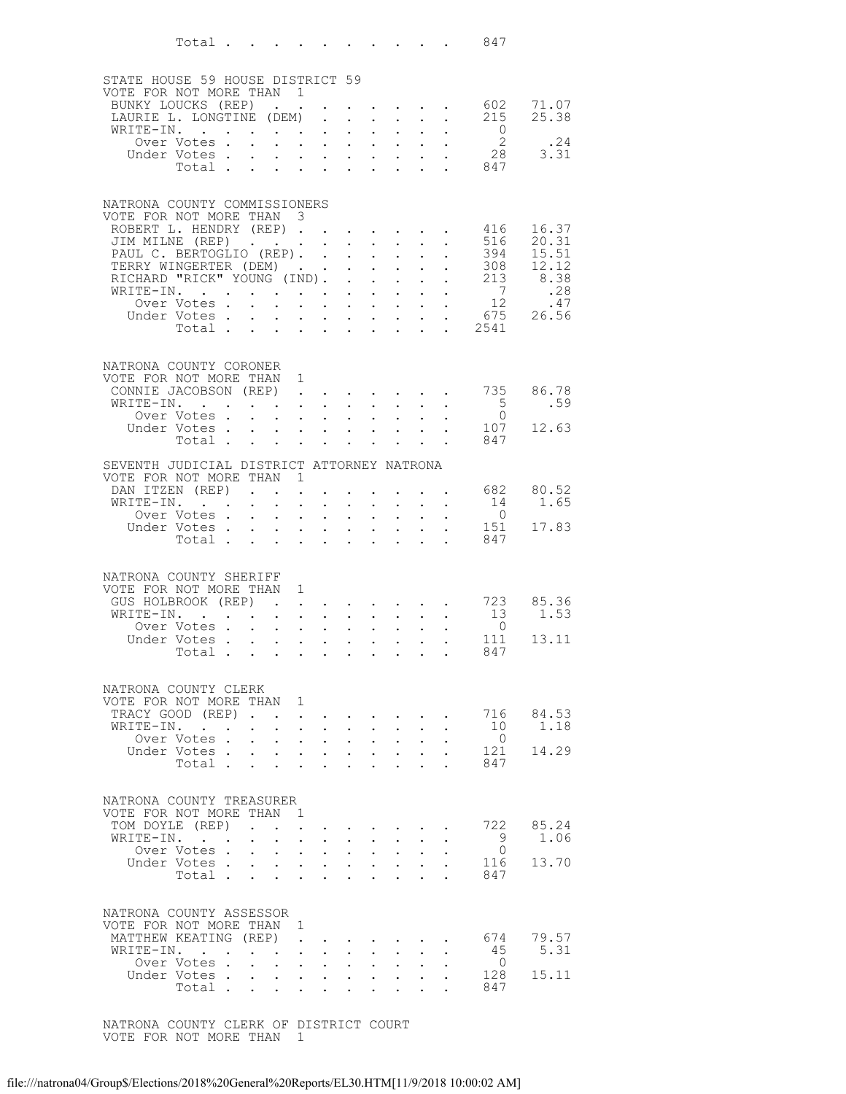|                                                              | Total $\cdots$                                       |                                                             |                                                                                    |                                                                               |                                                        |                                                         |                                                                                          |                                         |                                                              | 847                      |                |
|--------------------------------------------------------------|------------------------------------------------------|-------------------------------------------------------------|------------------------------------------------------------------------------------|-------------------------------------------------------------------------------|--------------------------------------------------------|---------------------------------------------------------|------------------------------------------------------------------------------------------|-----------------------------------------|--------------------------------------------------------------|--------------------------|----------------|
|                                                              |                                                      |                                                             |                                                                                    |                                                                               |                                                        |                                                         |                                                                                          |                                         |                                                              |                          |                |
| STATE HOUSE 59 HOUSE DISTRICT 59<br>VOTE FOR NOT MORE THAN 1 |                                                      |                                                             |                                                                                    |                                                                               |                                                        |                                                         |                                                                                          |                                         |                                                              |                          |                |
|                                                              | BUNKY LOUCKS (REP)                                   |                                                             |                                                                                    |                                                                               |                                                        |                                                         | <b>Provident Control</b>                                                                 |                                         |                                                              | 602                      | 71.07          |
|                                                              | LAURIE L. LONGTINE (DEM)                             |                                                             |                                                                                    | $\ddot{\phantom{0}}$                                                          | $\ddot{\phantom{0}}$                                   | $\ddot{\phantom{0}}$                                    | $\sim$ $-$                                                                               | $\sim$                                  | $\ddot{\phantom{0}}$                                         | 215                      | 25.38          |
|                                                              | WRITE-IN.<br>Over Votes .                            |                                                             |                                                                                    | $\ddot{\phantom{0}}$<br>$\mathbf{L}^{\text{max}}$ , $\mathbf{L}^{\text{max}}$ | $\ddot{\phantom{0}}$<br>$\sim$                         | $\mathbf{L}^{\text{max}}$<br>$\mathcal{L}^{\text{max}}$ | $\mathbf{L}$<br>$\sim$ $-$                                                               | $\mathbf{L}$<br>$\sim$ $-$              | $\ddot{\phantom{0}}$                                         | $\overline{0}$<br>2      | .24            |
|                                                              | Under Votes.                                         | $\bullet$ .<br><br><br><br><br><br><br><br><br><br><br><br> | $\ddot{\phantom{0}}$                                                               | $\ddot{\phantom{a}}$                                                          | $\sim$ $\sim$                                          |                                                         | $\mathbf{L}$ $\mathbf{L}$                                                                |                                         | $\mathbf{L}^{\text{max}}$ , $\mathbf{L}^{\text{max}}$        |                          | 28 3.31        |
|                                                              | Total .                                              | $\mathcal{L}^{\text{max}}$                                  |                                                                                    | $\mathbf{L}^{\text{max}}$ , $\mathbf{L}^{\text{max}}$                         | $\mathbf{L}$                                           |                                                         | $\mathbf{L}$                                                                             |                                         |                                                              | 847                      |                |
|                                                              |                                                      |                                                             |                                                                                    |                                                                               |                                                        |                                                         |                                                                                          |                                         |                                                              |                          |                |
| NATRONA COUNTY COMMISSIONERS<br>VOTE FOR NOT MORE THAN 3     |                                                      |                                                             |                                                                                    |                                                                               |                                                        |                                                         |                                                                                          |                                         |                                                              |                          |                |
|                                                              | ROBERT L. HENDRY (REP)                               |                                                             |                                                                                    |                                                                               |                                                        |                                                         |                                                                                          |                                         |                                                              | 416<br>516               | 16.37<br>20.31 |
|                                                              | JIM MILNE (REP)<br>PAUL C. BERTOGLIO (REP). .        |                                                             |                                                                                    |                                                                               | $\mathcal{L}^{\text{max}}$                             | $\mathcal{L}^{\pm}$                                     | $\sim$<br>$\mathbf{L}$ and $\mathbf{L}$                                                  | $\sim$<br>$\mathbf{L}$                  | $\ddot{\phantom{0}}$<br>$\ddot{\phantom{0}}$                 |                          | 394 15.51      |
|                                                              | TERRY WINGERTER (DEM)<br>RICHARD "RICK" YOUNG (IND). |                                                             |                                                                                    |                                                                               | $\bullet$ .                                            |                                                         | $\mathbf{z} = \mathbf{z} + \mathbf{z}$ .                                                 | $\mathbf{L}^{\text{max}}$               | $\ddot{\phantom{0}}$                                         | 308<br>$\frac{213}{213}$ | 12.12          |
|                                                              | WRITE-IN.                                            |                                                             |                                                                                    |                                                                               | $\ddot{\phantom{0}}$<br>$\bullet$ .                    | $\mathbf{L}$<br>$\sim$                                  | $\ddot{\phantom{0}}$<br>$\sim$ 100 $\pm$                                                 | $\mathbf{L}^{\text{max}}$<br>$\sim$ $-$ | $\sim 10^{-10}$                                              | $7\overline{7}$          | 8.38<br>.28    |
|                                                              | Over Votes .                                         |                                                             | $\mathbf{r}$                                                                       |                                                                               |                                                        |                                                         | $\mathbf{r}$ , $\mathbf{r}$ , $\mathbf{r}$ , $\mathbf{r}$ , $\mathbf{r}$                 |                                         | $\mathbf{L}^{\text{max}}$ , $\mathbf{L}^{\text{max}}$        | 12                       | .47            |
|                                                              | Under Votes.<br>Votes<br>Total                       |                                                             |                                                                                    |                                                                               |                                                        |                                                         |                                                                                          | $\mathbf{L}^{\text{max}}$               | $\ddot{\phantom{0}}$<br>$\mathbb{R}^n \times \mathbb{R}^n$ . | 675<br>2541              | 26.56          |
|                                                              |                                                      |                                                             |                                                                                    |                                                                               |                                                        |                                                         |                                                                                          |                                         |                                                              |                          |                |
| NATRONA COUNTY CORONER                                       |                                                      |                                                             |                                                                                    |                                                                               |                                                        |                                                         |                                                                                          |                                         |                                                              |                          |                |
| VOTE FOR NOT MORE THAN                                       |                                                      |                                                             | $\mathbf{1}$                                                                       |                                                                               |                                                        |                                                         |                                                                                          |                                         |                                                              | 735                      | 86.78          |
|                                                              | CONNIE JACOBSON (REP).<br>WRITE-IN.                  |                                                             |                                                                                    | $\sim$<br>$\mathcal{L}^{\text{max}}$ .                                        | $\mathbf{L}^{\text{max}}$<br>$\mathbf{L}^{\text{max}}$ |                                                         | $\mathbf{L}$ and $\mathbf{L}$                                                            |                                         | $\mathbf{L} = \mathbf{L}$                                    | $5\overline{)}$          | .59            |
|                                                              | Over Votes .                                         | $\mathcal{L}^{\text{max}}$                                  | $\mathcal{L}^{\text{max}}$<br>$\sim 10^{-11}$                                      | $\sim$                                                                        | $\bullet$ .                                            | $\mathbf{L}^{\text{max}}$                               | $\sim$                                                                                   |                                         |                                                              | $\overline{0}$<br>107    |                |
|                                                              | Under Votes<br>Total .                               | $\sim$                                                      | $\sim$                                                                             | $\mathbf{L}^{\text{max}}$ , and $\mathbf{L}^{\text{max}}$                     | $\mathbf{L}^{\text{max}}$<br>$\ddot{\phantom{a}}$      | $\ddot{\phantom{a}}$                                    | $\mathbf{L}$                                                                             |                                         |                                                              | 847                      | 12.63          |
| SEVENTH JUDICIAL DISTRICT ATTORNEY NATRONA                   |                                                      |                                                             |                                                                                    |                                                                               |                                                        |                                                         |                                                                                          |                                         |                                                              |                          |                |
| VOTE FOR NOT MORE THAN 1                                     |                                                      |                                                             |                                                                                    |                                                                               |                                                        |                                                         |                                                                                          |                                         |                                                              |                          |                |
|                                                              | DAN ITZEN (REP)                                      |                                                             | $\ddot{\phantom{0}}$                                                               |                                                                               |                                                        |                                                         |                                                                                          |                                         |                                                              | 682                      | 80.52          |
|                                                              | WRITE-IN.<br>Over Votes.                             | $\mathbf{L}^{\text{max}}$<br>$\mathbf{z} = \mathbf{z}$      | $\mathbf{L}$ and $\mathbf{L}$<br>$\ddot{\phantom{0}}$<br>$\mathbf{L}^{\text{max}}$ | $\sim$<br>$\sim$                                                              | $\ddot{\phantom{0}}$<br>$\mathbf{L}^{\text{max}}$      | $\bullet$ .                                             | $\mathbf{L}^{\text{max}}$ , and $\mathbf{L}^{\text{max}}$<br>$\mathbf{A}^{\mathrm{max}}$ |                                         | $\mathbf{L} = \mathbf{L}$                                    | 14<br>$\overline{0}$     | 1.65           |
|                                                              | Under Votes.                                         | $\mathbf{L}^{\text{max}}$                                   | $\ddot{\phantom{0}}$                                                               | $\mathbf{L}^{\text{max}}$ , and $\mathbf{L}^{\text{max}}$                     | $\mathbf{L}^{\text{max}}$                              |                                                         | $\mathbf{L} = \mathbf{L}$                                                                | $\mathbf{L}^{\text{max}}$               |                                                              | 151                      | 17.83          |
|                                                              | Total                                                |                                                             | $\sim$                                                                             | $\mathbf{L}$ and $\mathbf{L}$                                                 | $\ddot{\phantom{0}}$                                   | $\sim$                                                  | $\mathbf{L}$                                                                             |                                         |                                                              | 847                      |                |
| NATRONA COUNTY SHERIFF                                       |                                                      |                                                             |                                                                                    |                                                                               |                                                        |                                                         |                                                                                          |                                         |                                                              |                          |                |
| VOTE FOR NOT MORE THAN                                       |                                                      |                                                             | $\mathbf{1}$                                                                       |                                                                               |                                                        |                                                         |                                                                                          |                                         |                                                              |                          |                |
|                                                              | GUS HOLBROOK (REP)<br>WRITE-IN.                      |                                                             |                                                                                    |                                                                               |                                                        |                                                         | $\sim 10^{-11}$                                                                          | $\sim$ $-$                              |                                                              | $\cdot$ 723 85.36<br>13  | 1.53           |
|                                                              | Over Votes                                           | $\sim 100$                                                  | $\mathbf{a} = \mathbf{a}$<br>$\bullet$ .                                           | $\sim$                                                                        | $\bullet$ .<br>$\mathbf{L}^{\text{max}}$               | $\ddot{\phantom{0}}$<br>$\mathcal{L}^{\text{max}}$      | $\mathcal{L}^{\text{max}}$                                                               |                                         | $\sim$<br>$\mathbf{L}$ $\mathbf{L}$                          | $\overline{0}$           |                |
|                                                              | Under Votes                                          |                                                             | $\mathbf{z} = \left( \mathbf{z} \right) \left( \mathbf{z} \right)$ .               |                                                                               | $\bullet$ .                                            |                                                         | $\mathbf{z} = \mathbf{z} + \mathbf{z}$ .                                                 | $\mathcal{L}^{\text{max}}$              | $\ddot{\phantom{0}}$                                         | 111<br>Total 847         | 13.11          |
|                                                              |                                                      |                                                             |                                                                                    |                                                                               |                                                        |                                                         |                                                                                          |                                         |                                                              |                          |                |
| NATRONA COUNTY CLERK                                         |                                                      |                                                             |                                                                                    |                                                                               |                                                        |                                                         |                                                                                          |                                         |                                                              |                          |                |
| VOTE FOR NOT MORE THAN                                       |                                                      |                                                             | 1                                                                                  |                                                                               |                                                        |                                                         |                                                                                          |                                         |                                                              |                          |                |
| WRITE-IN.                                                    | TRACY GOOD (REP).<br>$\sim$ $\sim$                   |                                                             | $\ddot{\phantom{0}}$<br>$\ddot{\phantom{a}}$<br>$\ddot{\phantom{0}}$               | $\ddot{\phantom{0}}$                                                          | $\ddot{\phantom{a}}$                                   | $\ddot{\phantom{0}}$                                    | $\mathcal{L}^{\text{max}}$                                                               |                                         | $\ddot{\phantom{0}}$                                         | 716<br>10                | 84.53<br>1.18  |
|                                                              | Over Votes.                                          |                                                             | $\ddot{\phantom{0}}$                                                               | $\ddot{\phantom{0}}$                                                          |                                                        |                                                         |                                                                                          |                                         |                                                              | $\overline{0}$           |                |
|                                                              | Under Votes.<br>Total .                              | $\ddot{\phantom{a}}$<br>$\ddot{\phantom{a}}$                | $\ddot{\phantom{a}}$                                                               | $\ddot{\phantom{a}}$                                                          | $\ddot{\phantom{0}}$                                   | $\ddot{\phantom{a}}$                                    | $\ddot{\phantom{a}}$                                                                     |                                         |                                                              | 121<br>847               | 14.29          |
|                                                              |                                                      |                                                             |                                                                                    |                                                                               |                                                        |                                                         |                                                                                          |                                         |                                                              |                          |                |
| NATRONA COUNTY TREASURER                                     |                                                      |                                                             |                                                                                    |                                                                               |                                                        |                                                         |                                                                                          |                                         |                                                              |                          |                |
| VOTE FOR NOT MORE THAN                                       |                                                      |                                                             | $\overline{1}$                                                                     |                                                                               |                                                        |                                                         |                                                                                          |                                         |                                                              |                          |                |
|                                                              | TOM DOYLE (REP)<br>WRITE-IN.                         |                                                             | $\ddot{\phantom{a}}$                                                               | $\ddot{\phantom{0}}$                                                          |                                                        |                                                         |                                                                                          |                                         |                                                              | 722<br>-9                | 85.24<br>1.06  |
|                                                              | Over Votes.                                          | $\ddot{\phantom{a}}$                                        | $\ddot{\phantom{a}}$                                                               | $\ddot{\phantom{a}}$                                                          | $\ddot{\phantom{0}}$                                   | $\ddot{\phantom{a}}$                                    | $\ddot{\phantom{0}}$                                                                     |                                         |                                                              | $\Omega$                 |                |
|                                                              | Under Votes.<br>Total .                              | $\ddot{\phantom{a}}$                                        | $\mathbf{L}$<br>$\ddot{\phantom{a}}$                                               | $\ddot{\phantom{a}}$                                                          |                                                        |                                                         | $\bullet$ .                                                                              |                                         |                                                              | 116<br>847               | 13.70          |
|                                                              |                                                      |                                                             |                                                                                    |                                                                               |                                                        |                                                         |                                                                                          |                                         |                                                              |                          |                |
| NATRONA COUNTY ASSESSOR                                      |                                                      |                                                             |                                                                                    |                                                                               |                                                        |                                                         |                                                                                          |                                         |                                                              |                          |                |
| VOTE FOR NOT MORE THAN                                       |                                                      |                                                             | 1                                                                                  |                                                                               |                                                        |                                                         |                                                                                          |                                         |                                                              |                          |                |
| WRITE-IN.                                                    | MATTHEW KEATING (REP)<br>$\mathbf{L}$ .              | $\ddot{\phantom{0}}$                                        | $\ddot{\phantom{a}}$<br>$\ddot{\phantom{0}}$                                       |                                                                               |                                                        |                                                         |                                                                                          |                                         |                                                              | 674<br>45                | 79.57<br>5.31  |
|                                                              | Over Votes.                                          |                                                             | $\ddot{\phantom{0}}$                                                               | $\ddot{\phantom{a}}$                                                          |                                                        |                                                         |                                                                                          |                                         |                                                              | $\overline{0}$           |                |
|                                                              | Under Votes.<br>Total .                              | $\ddot{\phantom{0}}$                                        | $\ddot{\phantom{a}}$                                                               | $\ddot{\phantom{a}}$                                                          | $\ddot{\phantom{0}}$                                   |                                                         |                                                                                          |                                         |                                                              | 128<br>847               | 15.11          |
|                                                              |                                                      |                                                             |                                                                                    |                                                                               |                                                        |                                                         |                                                                                          |                                         |                                                              |                          |                |

 NATRONA COUNTY CLERK OF DISTRICT COURT VOTE FOR NOT MORE THAN 1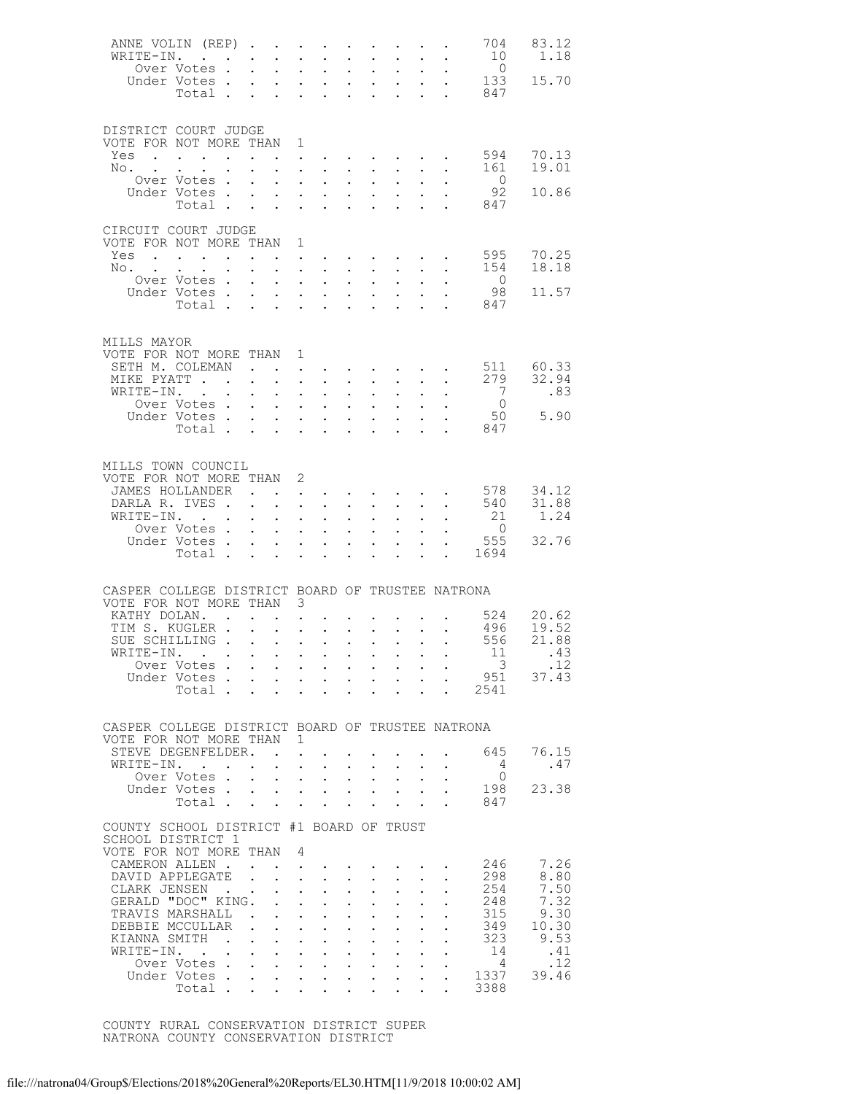| ANNE VOLIN (REP)<br>WRITE-IN.                                                | Over Votes.<br>Under Votes                                               |               | $\sim$ $\sim$                                                                                                                                                                                                                     | $\ddot{\phantom{0}}$<br>$\mathbf{L}$<br>$\sim$                                                | $\ddot{\phantom{a}}$<br>$\ddot{\phantom{a}}$<br>$\mathbf{z} = \mathbf{z} + \mathbf{z}$ . | $\ddot{\phantom{a}}$<br>$\ddot{\phantom{a}}$       | $\sim$<br>$\ddot{\phantom{a}}$<br>$\bullet$ .                                                                   | $\mathbf{L}^{\text{max}}$<br>$\mathbf{L}$                                 | $\mathbf{z} = \mathbf{z} + \mathbf{z}$                           | $\mathbf{L}$<br>$\sim$                            | $\sim$<br>$\mathbf{r} = \mathbf{r} \cdot \mathbf{r}$<br>$\sim$                                                                    | 704<br>10<br>$\overline{0}$<br>133                                                                                                                      | 83.12<br>1.18<br>15.70 |
|------------------------------------------------------------------------------|--------------------------------------------------------------------------|---------------|-----------------------------------------------------------------------------------------------------------------------------------------------------------------------------------------------------------------------------------|-----------------------------------------------------------------------------------------------|------------------------------------------------------------------------------------------|----------------------------------------------------|-----------------------------------------------------------------------------------------------------------------|---------------------------------------------------------------------------|------------------------------------------------------------------|---------------------------------------------------|-----------------------------------------------------------------------------------------------------------------------------------|---------------------------------------------------------------------------------------------------------------------------------------------------------|------------------------|
| DISTRICT COURT JUDGE                                                         | Total                                                                    |               |                                                                                                                                                                                                                                   |                                                                                               |                                                                                          |                                                    |                                                                                                                 | $\ddot{\phantom{a}}$                                                      | $\sim$                                                           |                                                   | $\mathcal{L}^{\text{max}}$ , $\mathcal{L}^{\text{max}}$                                                                           | 847                                                                                                                                                     |                        |
| VOTE FOR NOT MORE THAN 1<br>$Yes \t . \t . \t . \t . \t . \t . \t .$         |                                                                          |               |                                                                                                                                                                                                                                   |                                                                                               |                                                                                          |                                                    |                                                                                                                 |                                                                           | $\mathbf{r}$ , $\mathbf{r}$ , $\mathbf{r}$ , $\mathbf{r}$        |                                                   |                                                                                                                                   | 594                                                                                                                                                     | 70.13                  |
| No.                                                                          | $\ddot{\phantom{a}}$<br>Over Votes.                                      |               | $\sim$                                                                                                                                                                                                                            | $\ddotsc$                                                                                     | $\mathbf{L}$                                                                             | $\ddot{\phantom{a}}$<br>$\ddot{\phantom{0}}$       | $\ddot{\phantom{0}}$                                                                                            | $\sim$ $-$                                                                |                                                                  |                                                   | $\mathbf{1}$ $\mathbf{1}$ $\mathbf{1}$ $\mathbf{1}$ $\mathbf{1}$ $\mathbf{1}$                                                     | 161<br>$\overline{0}$                                                                                                                                   | 19.01                  |
|                                                                              | Under Votes                                                              |               |                                                                                                                                                                                                                                   | $\ddot{\phantom{0}}$<br>$\sim$                                                                | $\ddot{\phantom{a}}$                                                                     | $\ddot{\phantom{a}}$                               | $\ddot{\phantom{0}}$                                                                                            | $\bullet$ .<br>$\ddot{\phantom{a}}$                                       | $\ddot{\phantom{a}}$                                             | $\mathbf{L}^{\text{max}}$                         |                                                                                                                                   | 92                                                                                                                                                      | 10.86                  |
|                                                                              | Total                                                                    |               |                                                                                                                                                                                                                                   | $\sim$                                                                                        | $\ddot{\phantom{a}}$                                                                     | $\sim$                                             | $\ddot{\phantom{a}}$                                                                                            | $\ddot{\phantom{a}}$                                                      |                                                                  |                                                   | $\ddot{\phantom{a}}$                                                                                                              | 847                                                                                                                                                     |                        |
| CIRCUIT COURT JUDGE<br>VOTE FOR NOT MORE THAN                                |                                                                          |               |                                                                                                                                                                                                                                   |                                                                                               | 1                                                                                        |                                                    |                                                                                                                 |                                                                           |                                                                  |                                                   |                                                                                                                                   | 595                                                                                                                                                     | 70.25                  |
| $Yes \cdot \cdot \cdot \cdot \cdot \cdot \cdot \cdot$<br>No.                 | $\sim$                                                                   |               | $\ddot{\phantom{0}}$                                                                                                                                                                                                              | $\ddot{\phantom{0}}$                                                                          |                                                                                          | $\ddot{\phantom{a}}$                               | $\ddot{\phantom{0}}$                                                                                            | $\mathbf{L}$                                                              |                                                                  |                                                   | $\mathbf{r}$ , $\mathbf{r}$ , $\mathbf{r}$                                                                                        | 154                                                                                                                                                     | 18.18                  |
|                                                                              | Over Votes .<br>Under Votes                                              |               | $\sim$ $\sim$                                                                                                                                                                                                                     | $\ddot{\phantom{0}}$<br>$\mathcal{L}^{\text{max}}$                                            | $\mathbf{L}$<br>$\ddot{\phantom{a}}$<br>$\sim$                                           | $\ddot{\phantom{0}}$                               | $\ddot{\phantom{0}}$<br>$\ddot{\phantom{0}}$                                                                    | $\bullet$ .<br>$\ddot{\phantom{a}}$                                       | $\ddot{\phantom{a}}$                                             | $\ddot{\phantom{0}}$<br>$\mathbf{L}^{\text{max}}$ |                                                                                                                                   | $\overline{0}$<br>98                                                                                                                                    | 11.57                  |
|                                                                              | Total                                                                    |               |                                                                                                                                                                                                                                   | $\sim$                                                                                        | $\sim$                                                                                   | $\sim$ $-$                                         | $\ddot{\phantom{a}}$                                                                                            | $\ddot{\phantom{a}}$                                                      |                                                                  |                                                   | $\ddot{\phantom{a}}$                                                                                                              | 847                                                                                                                                                     |                        |
| MILLS MAYOR<br>VOTE FOR NOT MORE THAN 1                                      |                                                                          |               |                                                                                                                                                                                                                                   |                                                                                               |                                                                                          |                                                    |                                                                                                                 |                                                                           |                                                                  |                                                   |                                                                                                                                   |                                                                                                                                                         |                        |
| SETH M. COLEMAN                                                              |                                                                          |               | $\mathbf{r}$ . The contract of the contract of the contract of the contract of the contract of the contract of the contract of the contract of the contract of the contract of the contract of the contract of the contract of th |                                                                                               |                                                                                          |                                                    |                                                                                                                 |                                                                           |                                                                  |                                                   |                                                                                                                                   | 511                                                                                                                                                     | 60.33                  |
| MIKE PYATT<br>WRITE-IN.                                                      | $\mathbf{r}$ . The set of $\mathbf{r}$                                   |               | $\sim$ $\sim$<br>$\mathcal{L}^{\text{max}}$                                                                                                                                                                                       | $\sim$ 100 $\pm$<br>$\sim$ 100 $\pm$                                                          | $\ddot{\phantom{a}}$<br>$\ddot{\phantom{a}}$                                             | $\ddot{\phantom{0}}$<br>$\ddot{\phantom{a}}$       | $\ddot{\phantom{0}}$<br>$\ddot{\phantom{0}}$                                                                    | $\sim$ $-$<br>$\ddot{\phantom{a}}$                                        | $\sim$                                                           | $\mathbf{L}$                                      | $\sim$<br>$\mathbf{L} = \mathbf{L}$                                                                                               | 279<br>$\overline{7}$                                                                                                                                   | 32.94<br>.83           |
|                                                                              | Over Votes .                                                             |               | $\sim$                                                                                                                                                                                                                            | $\sim$ $-$                                                                                    | $\mathbf{L}$                                                                             | $\ddot{\phantom{0}}$                               | $\sim$                                                                                                          | $\bullet$ .                                                               | $\ddot{\phantom{0}}$                                             | $\sim$                                            | $\mathbf{L}$                                                                                                                      | $\overline{0}$                                                                                                                                          |                        |
|                                                                              | Under Votes.<br>Total                                                    |               | $\sim$                                                                                                                                                                                                                            | $\mathbf{L}$ and $\mathbf{L}$<br>$\sim$                                                       | $\sim$                                                                                   | $\sim$                                             | $\ddot{\phantom{0}}$<br>$\ddot{\phantom{a}}$                                                                    | $\ddot{\phantom{a}}$<br>$\ddot{\phantom{a}}$                              | $\ddot{\phantom{a}}$                                             | $\mathbf{L}^{\text{max}}$                         | $\ddot{\phantom{a}}$                                                                                                              | 50<br>847                                                                                                                                               | 5.90                   |
| MILLS TOWN COUNCIL<br>VOTE FOR NOT MORE THAN 2                               |                                                                          |               |                                                                                                                                                                                                                                   |                                                                                               |                                                                                          |                                                    |                                                                                                                 |                                                                           |                                                                  |                                                   |                                                                                                                                   |                                                                                                                                                         |                        |
| JAMES HOLLANDER                                                              |                                                                          |               |                                                                                                                                                                                                                                   |                                                                                               |                                                                                          |                                                    |                                                                                                                 |                                                                           |                                                                  |                                                   |                                                                                                                                   | $\cdot$ 578                                                                                                                                             | 34.12                  |
| DARLA R. IVES .<br>WRITE-IN.                                                 |                                                                          |               | $\ddot{\phantom{0}}$<br>$\sim$                                                                                                                                                                                                    | $\mathbf{L}^{\text{max}}$<br>$\mathcal{L}^{\text{max}}$                                       | $\sim$<br>$\ddot{\phantom{a}}$                                                           | $\mathcal{L}^{\text{max}}$<br>$\ddot{\phantom{a}}$ | $\ddot{\phantom{a}}$<br>$\ddot{\phantom{0}}$                                                                    | $\sim 10^{-11}$<br>$\ddot{\phantom{a}}$                                   | $\sim$<br>$\ddot{\phantom{a}}$                                   | $\sim$<br>$\mathbf{r}$                            | $\sim$<br>$\sim$                                                                                                                  | 540<br>21                                                                                                                                               | 31.88<br>1.24          |
|                                                                              | Over Votes.                                                              |               | $\mathcal{L}^{\text{max}}$                                                                                                                                                                                                        | $\sim$                                                                                        | $\mathbf{L}$                                                                             | $\ddot{\phantom{0}}$                               | $\ddot{\phantom{0}}$                                                                                            | $\bullet$                                                                 | $\mathbf{L}$                                                     |                                                   |                                                                                                                                   | $\overline{0}$<br>555                                                                                                                                   | 32.76                  |
|                                                                              | Under Votes.<br>Total .                                                  |               | $\mathbf{L}$<br>$\sim$ $-$                                                                                                                                                                                                        | $\mathbf{L}$<br>$\sim$                                                                        | $\ddot{\phantom{a}}$<br>$\ddot{\phantom{a}}$                                             | $\sim$<br>$\sim$                                   | $\ddot{\phantom{0}}$<br>$\ddot{\phantom{a}}$                                                                    | $\ddot{\phantom{a}}$<br>$\ddot{\phantom{a}}$                              | $\ddot{\phantom{a}}$                                             | $\mathbf{L}$<br>$\mathbf{L}$                      | $\sim$                                                                                                                            | 1694                                                                                                                                                    |                        |
|                                                                              |                                                                          |               |                                                                                                                                                                                                                                   |                                                                                               |                                                                                          |                                                    |                                                                                                                 |                                                                           |                                                                  |                                                   |                                                                                                                                   |                                                                                                                                                         |                        |
| CASPER COLLEGE DISTRICT BOARD OF TRUSTEE NATRONA<br>VOTE FOR NOT MORE THAN 3 |                                                                          |               |                                                                                                                                                                                                                                   |                                                                                               |                                                                                          |                                                    |                                                                                                                 |                                                                           |                                                                  |                                                   |                                                                                                                                   |                                                                                                                                                         |                        |
| KATHY DOLAN.                                                                 |                                                                          |               | $\mathbf{r}$ , $\mathbf{r}$ , $\mathbf{r}$ , $\mathbf{r}$ , $\mathbf{r}$                                                                                                                                                          |                                                                                               |                                                                                          |                                                    |                                                                                                                 |                                                                           |                                                                  |                                                   |                                                                                                                                   | $\cdot$ $\cdot$ $\cdot$ $\cdot$ $\cdot$ 524                                                                                                             | 20.62                  |
| TIM S. KUGLER .<br>SUE SCHILLING                                             |                                                                          |               | $\sim$                                                                                                                                                                                                                            | $\mathbf{L} = \mathbf{L}$                                                                     |                                                                                          | $\sim$ $-$                                         |                                                                                                                 |                                                                           | $\mathbf{r} = \mathbf{r} + \mathbf{r} + \mathbf{r} + \mathbf{r}$ |                                                   | $\mathbf{L}$                                                                                                                      | 496<br>556                                                                                                                                              | 19.52<br>21.88         |
| WRITE-IN.                                                                    |                                                                          |               |                                                                                                                                                                                                                                   |                                                                                               | $\mathbf{r} = \mathbf{r} + \mathbf{r}$ , where $\mathbf{r} = \mathbf{r}$                 |                                                    |                                                                                                                 |                                                                           |                                                                  |                                                   |                                                                                                                                   | $\begin{array}{cccccccc}\n\cdot & \cdot & \cdot & \cdot & \cdot & \cdot & 11 \\ \cdot & \cdot & \cdot & \cdot & \cdot & \cdot & \cdot & 3\n\end{array}$ | .43                    |
|                                                                              | Over Votes<br>Under Votes                                                |               |                                                                                                                                                                                                                                   |                                                                                               |                                                                                          |                                                    |                                                                                                                 |                                                                           |                                                                  |                                                   | $\mathbf{u} = \mathbf{u} + \mathbf{u} + \mathbf{u} + \mathbf{u} + \mathbf{u} + \mathbf{u} + \mathbf{u} + \mathbf{u} + \mathbf{u}$ |                                                                                                                                                         | .12<br>$951$ $37.43$   |
|                                                                              |                                                                          |               |                                                                                                                                                                                                                                   |                                                                                               |                                                                                          |                                                    |                                                                                                                 |                                                                           |                                                                  |                                                   |                                                                                                                                   | Total 2541                                                                                                                                              |                        |
| CASPER COLLEGE DISTRICT BOARD OF TRUSTEE NATRONA<br>VOTE FOR NOT MORE THAN 1 |                                                                          |               |                                                                                                                                                                                                                                   |                                                                                               |                                                                                          |                                                    |                                                                                                                 |                                                                           |                                                                  |                                                   |                                                                                                                                   |                                                                                                                                                         |                        |
| STEVE DEGENFELDER. .                                                         |                                                                          |               |                                                                                                                                                                                                                                   |                                                                                               | $\sim$                                                                                   |                                                    |                                                                                                                 |                                                                           |                                                                  | <b>Contract Contract</b>                          | $\sim$                                                                                                                            | 645                                                                                                                                                     | 76.15                  |
| WRITE-IN.                                                                    | $\mathbf{r}$ , $\mathbf{r}$ , $\mathbf{r}$ , $\mathbf{r}$<br>Over Votes. |               | $\mathbf{L}$                                                                                                                                                                                                                      | $\ddot{\phantom{1}}$<br>$\mathbf{r} = \mathbf{r} + \mathbf{r} + \mathbf{r}$ .                 |                                                                                          | $\sim$                                             | $\sim$                                                                                                          | $\cdot$ $\cdot$ $\cdot$                                                   | $\mathcal{L}^{\text{max}}$ , and $\mathcal{L}^{\text{max}}$      | $\cdot$ $\cdot$ $\cdot$                           | $\sim$ $-$<br>$\sim$                                                                                                              | 4<br>$\circ$                                                                                                                                            | .47                    |
|                                                                              | Under Votes<br>Total                                                     |               |                                                                                                                                                                                                                                   | $\ddot{\phantom{a}}$                                                                          |                                                                                          |                                                    | the contract of the contract of the contract of the contract of the contract of the contract of the contract of |                                                                           |                                                                  |                                                   | $\Delta \sim 100$<br>$\sim$                                                                                                       | 198<br>847                                                                                                                                              | 23.38                  |
| COUNTY SCHOOL DISTRICT #1 BOARD OF TRUST                                     |                                                                          |               |                                                                                                                                                                                                                                   |                                                                                               |                                                                                          |                                                    |                                                                                                                 |                                                                           |                                                                  |                                                   |                                                                                                                                   |                                                                                                                                                         |                        |
| SCHOOL DISTRICT 1                                                            |                                                                          |               |                                                                                                                                                                                                                                   |                                                                                               |                                                                                          |                                                    |                                                                                                                 |                                                                           |                                                                  |                                                   |                                                                                                                                   |                                                                                                                                                         |                        |
| VOTE FOR NOT MORE THAN 4<br>CAMERON ALLEN.                                   |                                                                          |               |                                                                                                                                                                                                                                   | $\mathbf{r}$ . The set of $\mathbf{r}$                                                        |                                                                                          |                                                    |                                                                                                                 |                                                                           |                                                                  |                                                   | $\mathbf{r}$ , and $\mathbf{r}$ , and $\mathbf{r}$ , and $\mathbf{r}$                                                             | 246                                                                                                                                                     | 7.26                   |
| DAVID APPLEGATE<br>CLARK JENSEN                                              |                                                                          |               | $\mathbf{L}$                                                                                                                                                                                                                      | $\mathbf{L} = \mathbf{L} \mathbf{L}$                                                          |                                                                                          | $\mathbf{A}$                                       | $\sim$<br>$\ddot{\phantom{a}}$                                                                                  | $\sim$ 100 $\pm$                                                          | $\mathbf{r} = \mathbf{r}$<br>$\mathbf{L}$                        |                                                   |                                                                                                                                   | 298<br>254                                                                                                                                              | 8.80<br>7.50           |
| GERALD "DOC" KING.                                                           |                                                                          |               |                                                                                                                                                                                                                                   | $\ddot{\phantom{0}}$<br>$\mathbf{L}$ and $\mathbf{L}$                                         | $\ddot{\phantom{a}}$                                                                     | $\sim$ 100 $\mu$                                   | $\ddot{\phantom{0}}$                                                                                            | $\sim$ $-$<br>$\bullet$ .<br><br><br><br><br><br><br><br><br><br><br><br> | $\sim$                                                           | $\sim$ $\sim$<br>$\ddot{\phantom{0}}$             | $\mathbf{L}^{\text{max}}$<br>$\ddot{\phantom{0}}$                                                                                 | 248                                                                                                                                                     | 7.32                   |
| TRAVIS MARSHALL<br>DEBBIE MCCULLAR                                           |                                                                          |               | <b>Contract</b><br>$\mathbf{L}$                                                                                                                                                                                                   | $\mathbf{L}$<br>$\mathbf{1}$ $\mathbf{1}$ $\mathbf{1}$ $\mathbf{1}$ $\mathbf{1}$ $\mathbf{1}$ | $\mathbf{L} = \mathbf{L}$                                                                |                                                    | $\ddot{\phantom{0}}$<br>$\sim$                                                                                  | $\ddot{\phantom{a}}$<br>$\sim 10^{-11}$                                   | $\ddot{\phantom{a}}$<br>$\sim$                                   | $\ddot{\phantom{0}}$<br>$\ddot{\phantom{0}}$      | $\mathbf{L}$<br>$\ddot{\phantom{0}}$                                                                                              | 315<br>349                                                                                                                                              | 9.30<br>10.30          |
| KIANNA SMITH                                                                 |                                                                          | $\sim$ $\sim$ | $\mathbf{r}$                                                                                                                                                                                                                      | $\mathbf{r}$ , $\mathbf{r}$ , $\mathbf{r}$                                                    |                                                                                          |                                                    | $\mathcal{L}^{\pm}$                                                                                             | $\sim$                                                                    | $\sim$                                                           |                                                   | $\mathbf{L}$ and $\mathbf{L}$                                                                                                     | 323                                                                                                                                                     | 9.53                   |
| WRITE-IN.                                                                    | $\sim$ $\sim$<br>Over Votes.                                             |               | $\mathbf{L} = \mathbf{L}$<br>$\mathbf{r}$ , and $\mathbf{r}$ , and $\mathbf{r}$ , and $\mathbf{r}$                                                                                                                                | $\mathbf{L} = \mathbf{L} \mathbf{L} + \mathbf{L} \mathbf{L}$                                  |                                                                                          |                                                    | $\sim$                                                                                                          | $\sim$ 100 $\mu$                                                          | $\sim$                                                           | $\ddot{\phantom{0}}$                              | $\sim$                                                                                                                            | 14<br>$\overline{4}$                                                                                                                                    | .41<br>.12             |
|                                                                              | Under Votes.                                                             |               | $\sim$                                                                                                                                                                                                                            | $\mathbf{r}$ , and $\mathbf{r}$ , and $\mathbf{r}$                                            |                                                                                          |                                                    |                                                                                                                 |                                                                           | $\mathbf{r}$ , $\mathbf{r}$ , $\mathbf{r}$ , $\mathbf{r}$        |                                                   | $\ddot{\phantom{a}}$                                                                                                              | 1337                                                                                                                                                    | 39.46                  |
|                                                                              | Total                                                                    |               |                                                                                                                                                                                                                                   |                                                                                               |                                                                                          |                                                    |                                                                                                                 |                                                                           |                                                                  |                                                   |                                                                                                                                   | 3388                                                                                                                                                    |                        |

 COUNTY RURAL CONSERVATION DISTRICT SUPER NATRONA COUNTY CONSERVATION DISTRICT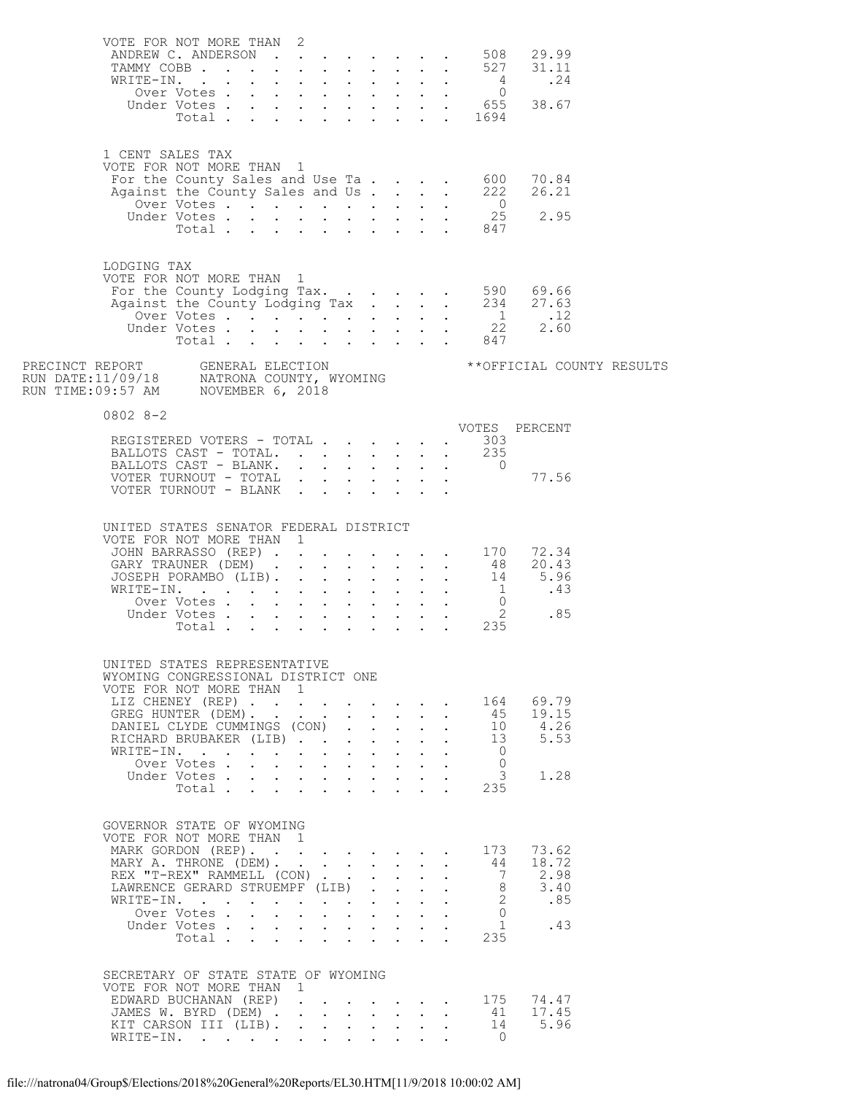| VOTE FOR NOT MORE THAN 2                                                                       | ANDREW C. ANDERSON 508 29.99<br>TAMMY COBB 527 31.11                                                                                                          |        |                                                                                                                                                           |                                                                                               |                                                                          |                                         |                      |                                                                            |                                              |                           |  |
|------------------------------------------------------------------------------------------------|---------------------------------------------------------------------------------------------------------------------------------------------------------------|--------|-----------------------------------------------------------------------------------------------------------------------------------------------------------|-----------------------------------------------------------------------------------------------|--------------------------------------------------------------------------|-----------------------------------------|----------------------|----------------------------------------------------------------------------|----------------------------------------------|---------------------------|--|
| 1 CENT SALES TAX<br>VOTE FOR NOT MORE THAN 1                                                   |                                                                                                                                                               |        |                                                                                                                                                           |                                                                                               |                                                                          |                                         |                      |                                                                            |                                              |                           |  |
| LODGING TAX<br>VOTE FOR NOT MORE THAN 1                                                        |                                                                                                                                                               |        |                                                                                                                                                           |                                                                                               |                                                                          |                                         |                      |                                                                            |                                              |                           |  |
|                                                                                                |                                                                                                                                                               |        |                                                                                                                                                           |                                                                                               |                                                                          |                                         |                      |                                                                            |                                              | **OFFICIAL COUNTY RESULTS |  |
| $0802 8 - 2$                                                                                   | REGISTERED VOTERS - TOTAL 303<br>BALLOTS CAST - TOTAL. 235<br>BALLOTS CAST - BLANK. 0<br>VOTER TURNOUT - TOTAL 77.56<br>VOTER TURNOUT - BLANK                 |        |                                                                                                                                                           |                                                                                               |                                                                          |                                         |                      |                                                                            |                                              |                           |  |
| UNITED STATES SENATOR FEDERAL DISTRICT<br>VOTE FOR NOT MORE THAN 1                             | JOHN BARRASSO (REP) 170 72.34<br>GARY TRAUNER (DEM) 48 20.43<br>JOSEPH PORAMBO (LIB). 14 5.96                                                                 |        |                                                                                                                                                           |                                                                                               |                                                                          |                                         |                      |                                                                            |                                              |                           |  |
| UNITED STATES REPRESENTATIVE<br>WYOMING CONGRESSIONAL DISTRICT ONE<br>VOTE FOR NOT MORE THAN 1 | LIZ CHENEY (REP)<br>GREG HUNTER (DEM).<br>DANIEL CLYDE CUMMINGS (CON)<br>RICHARD BRUBAKER (LIB)<br>WRITE-IN.<br>Over Votes<br>Under Votes<br>Total            |        | $\mathbf{r} = \mathbf{r} + \mathbf{r} + \mathbf{r} + \mathbf{r} + \mathbf{r}$<br>$\mathbf{r}$ , $\mathbf{r}$ , $\mathbf{r}$ , $\mathbf{r}$ , $\mathbf{r}$ | $\mathbf{1}^{\prime}$ , $\mathbf{1}^{\prime}$ , $\mathbf{1}^{\prime}$ , $\mathbf{1}^{\prime}$ | $\cdot$ $\cdot$ $\cdot$                                                  | $\mathbf{L} = \mathbf{L}$               | $\ddot{\phantom{a}}$ | 164<br>45<br>10<br>13<br>$\overline{0}$<br>$\circ$<br>$\mathcal{S}$<br>235 | 69.79<br>19.15<br>4.26<br>5.53<br>1.28       |                           |  |
| GOVERNOR STATE OF WYOMING<br>VOTE FOR NOT MORE THAN 1                                          | MARK GORDON (REP).<br>MARY A. THRONE (DEM).<br>REX "T-REX" RAMMELL (CON)<br>LAWRENCE GERARD STRUEMPF (LIB)<br>WRITE-IN.<br>Over Votes<br>Under Votes<br>Total | $\sim$ | $\mathbf{r} = \mathbf{r} + \mathbf{r} + \mathbf{r} + \mathbf{r} + \mathbf{r}$<br>$\mathbf{r}$ and $\mathbf{r}$ and $\mathbf{r}$ and $\mathbf{r}$          | $\mathcal{L}^{\text{max}}$                                                                    | $\mathbf{L}$<br>$\mathbf{L} = \mathbf{L}$<br>$\mathbf{r}$ , $\mathbf{r}$ | $\mathbf{L}^{\text{max}}$               |                      | 173<br>44<br>7<br>8<br>$2^{\circ}$<br>$\Omega$<br>1<br>235                 | 73.62<br>18.72<br>2.98<br>3.40<br>.85<br>.43 |                           |  |
| SECRETARY OF STATE STATE OF WYOMING<br>VOTE FOR NOT MORE THAN 1                                | EDWARD BUCHANAN (REP)<br>JAMES W. BYRD (DEM) .<br>KIT CARSON III (LIB).<br>WRITE-IN.                                                                          |        | $\mathbf{r} = \mathbf{r} + \mathbf{r} + \mathbf{r} + \mathbf{r}$ .                                                                                        |                                                                                               |                                                                          | and the state of the state of the state |                      | 175<br>41<br>$\overline{O}$                                                | 74.47<br>17.45<br>14 5.96                    |                           |  |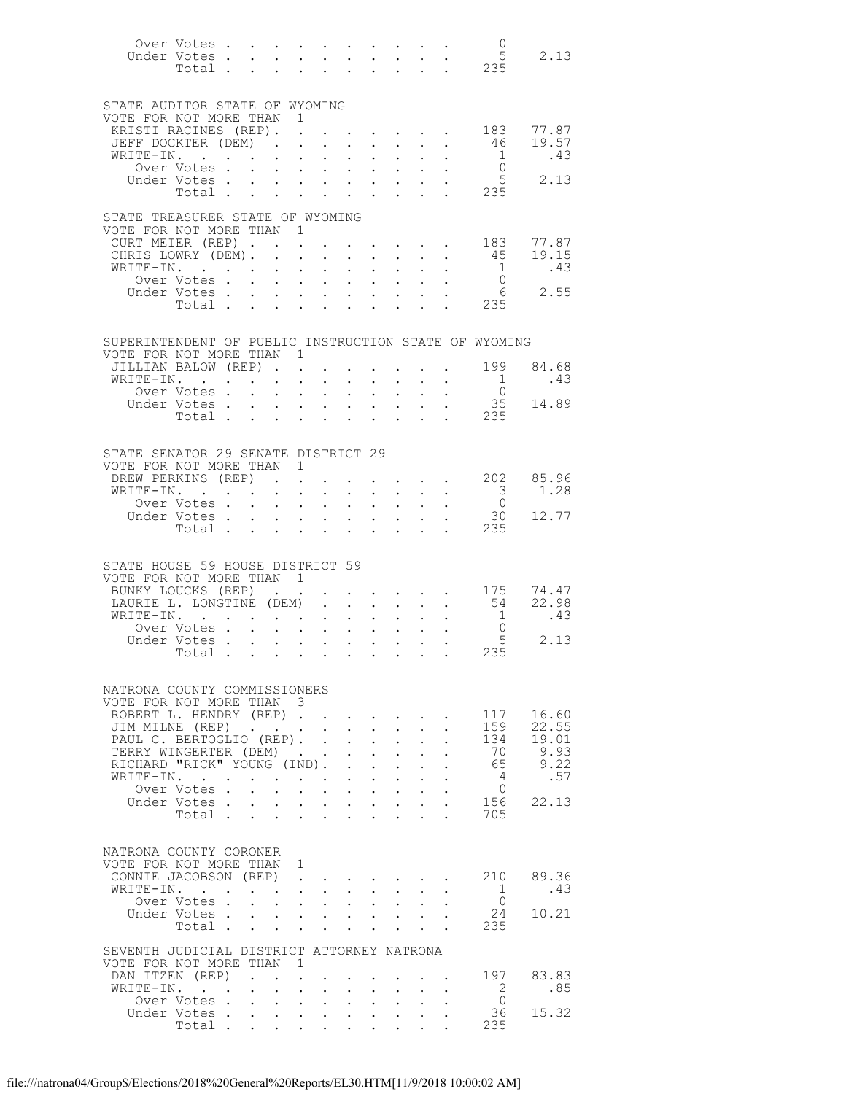|                                                            | Over Votes                                  |                                            |                                                           |                                                                                                                       |                                          |                                                                                            |                             |                                                                                               |                                                           |                      | $\overline{0}$                                        |                                                           |
|------------------------------------------------------------|---------------------------------------------|--------------------------------------------|-----------------------------------------------------------|-----------------------------------------------------------------------------------------------------------------------|------------------------------------------|--------------------------------------------------------------------------------------------|-----------------------------|-----------------------------------------------------------------------------------------------|-----------------------------------------------------------|----------------------|-------------------------------------------------------|-----------------------------------------------------------|
|                                                            |                                             |                                            |                                                           |                                                                                                                       |                                          |                                                                                            |                             |                                                                                               |                                                           |                      | 5<br>Under Votes 5<br>Total 235                       | 2.13                                                      |
|                                                            |                                             |                                            |                                                           |                                                                                                                       |                                          |                                                                                            |                             |                                                                                               |                                                           |                      |                                                       |                                                           |
|                                                            |                                             |                                            |                                                           |                                                                                                                       |                                          |                                                                                            |                             |                                                                                               |                                                           |                      |                                                       |                                                           |
|                                                            |                                             |                                            |                                                           |                                                                                                                       |                                          |                                                                                            |                             |                                                                                               |                                                           |                      |                                                       |                                                           |
| STATE AUDITOR STATE OF WYOMING<br>VOTE FOR NOT MORE THAN 1 |                                             |                                            |                                                           |                                                                                                                       |                                          |                                                                                            |                             |                                                                                               |                                                           |                      |                                                       |                                                           |
|                                                            | KRISTI RACINES (REP).                       |                                            |                                                           | $\sim$ $\sim$                                                                                                         |                                          |                                                                                            |                             |                                                                                               | and the contract of the contract of the                   |                      | 183                                                   | 77.87                                                     |
|                                                            | JEFF DOCKTER (DEM).                         |                                            |                                                           |                                                                                                                       | $\ddot{\phantom{a}}$<br>$\sim$           |                                                                                            |                             | $\cdot$ $\cdot$ $\cdot$ $\cdot$                                                               |                                                           |                      | 46                                                    | 19.57                                                     |
|                                                            | WRITE-IN.                                   |                                            |                                                           |                                                                                                                       |                                          |                                                                                            |                             | $\mathbf{L}^{\text{max}}$ , and $\mathbf{L}^{\text{max}}$                                     |                                                           |                      | 1                                                     | .43                                                       |
|                                                            | Over Votes .                                |                                            |                                                           |                                                                                                                       |                                          | <b>The Commission Commission Commission</b>                                                |                             |                                                                                               |                                                           |                      | $\overline{0}$                                        |                                                           |
|                                                            |                                             |                                            |                                                           |                                                                                                                       |                                          |                                                                                            |                             |                                                                                               |                                                           |                      | 5                                                     | 2.13                                                      |
|                                                            | Under Votes<br>Total                        |                                            |                                                           |                                                                                                                       |                                          |                                                                                            |                             |                                                                                               |                                                           |                      | 235                                                   |                                                           |
|                                                            |                                             |                                            |                                                           |                                                                                                                       |                                          |                                                                                            |                             |                                                                                               |                                                           |                      |                                                       |                                                           |
| STATE TREASURER STATE OF WYOMING                           |                                             |                                            |                                                           |                                                                                                                       |                                          |                                                                                            |                             |                                                                                               |                                                           |                      |                                                       |                                                           |
| VOTE FOR NOT MORE THAN                                     |                                             |                                            |                                                           | $\overline{1}$                                                                                                        |                                          |                                                                                            |                             |                                                                                               |                                                           |                      |                                                       |                                                           |
|                                                            | CURT MEIER (REP)                            |                                            |                                                           |                                                                                                                       | $\bullet$ .                              | $\mathbf{r} = \mathbf{r} + \mathbf{r} + \mathbf{r} + \mathbf{r} + \mathbf{r} + \mathbf{r}$ |                             |                                                                                               |                                                           |                      |                                                       | 183 77.87                                                 |
|                                                            | CHRIS LOWRY (DEM).                          |                                            |                                                           |                                                                                                                       |                                          |                                                                                            |                             |                                                                                               |                                                           |                      | 45                                                    | 19.15                                                     |
|                                                            | WRITE-IN.<br>Over Votes.                    |                                            |                                                           | $\sim$                                                                                                                | <b>Contract Contract Contract</b>        | $\mathcal{L}^{\text{max}}$                                                                 |                             | $\mathcal{L}^{\text{max}}$                                                                    |                                                           |                      | $\overline{1}$<br>$\overline{0}$                      | .43                                                       |
|                                                            | Under Votes                                 |                                            |                                                           | $\mathbf{1}^{\prime}$ , $\mathbf{1}^{\prime}$ , $\mathbf{1}^{\prime}$ , $\mathbf{1}^{\prime}$ , $\mathbf{1}^{\prime}$ |                                          | $\sim$<br>$\mathbf{r}$ , and $\mathbf{r}$ , and $\mathbf{r}$ , and $\mathbf{r}$            |                             | $\mathbf{L}^{\text{max}}$ , and $\mathbf{L}^{\text{max}}$                                     |                                                           |                      | $6\overline{6}$                                       | 2.55                                                      |
|                                                            |                                             | Total $\cdots$                             |                                                           |                                                                                                                       |                                          |                                                                                            |                             |                                                                                               | $\sim$ $-$                                                |                      | 235                                                   |                                                           |
|                                                            |                                             |                                            |                                                           |                                                                                                                       |                                          |                                                                                            |                             |                                                                                               |                                                           |                      |                                                       |                                                           |
|                                                            |                                             |                                            |                                                           |                                                                                                                       |                                          |                                                                                            |                             |                                                                                               |                                                           |                      |                                                       |                                                           |
|                                                            |                                             |                                            |                                                           |                                                                                                                       |                                          |                                                                                            |                             |                                                                                               |                                                           |                      | SUPERINTENDENT OF PUBLIC INSTRUCTION STATE OF WYOMING |                                                           |
| VOTE FOR NOT MORE THAN                                     |                                             |                                            |                                                           | 1                                                                                                                     |                                          |                                                                                            |                             |                                                                                               |                                                           |                      |                                                       |                                                           |
|                                                            | JILLIAN BALOW (REP)                         |                                            |                                                           |                                                                                                                       |                                          |                                                                                            |                             |                                                                                               |                                                           |                      | 199                                                   | 84.68                                                     |
| WRITE-IN.                                                  |                                             | the contract of the contract of the        |                                                           |                                                                                                                       |                                          |                                                                                            |                             | $\mathbf{A}^{(1)}$ and $\mathbf{A}^{(2)}$ .                                                   |                                                           |                      | $\mathbf{1}$                                          | .43                                                       |
|                                                            | Over Votes.                                 |                                            |                                                           | $\mathcal{L}^{\text{max}}$                                                                                            | $\mathbf{r}$ $\mathbf{r}$                | $\mathbf{A}$                                                                               |                             | $\mathbf{L} = \mathbf{L}$                                                                     |                                                           |                      | $\overline{0}$                                        |                                                           |
|                                                            | Under Votes<br>Total                        |                                            |                                                           |                                                                                                                       |                                          |                                                                                            |                             |                                                                                               |                                                           |                      | 35                                                    | 14.89                                                     |
|                                                            |                                             |                                            |                                                           |                                                                                                                       |                                          |                                                                                            |                             |                                                                                               |                                                           |                      | 235                                                   |                                                           |
|                                                            |                                             |                                            |                                                           |                                                                                                                       |                                          |                                                                                            |                             |                                                                                               |                                                           |                      |                                                       |                                                           |
| STATE SENATOR 29 SENATE DISTRICT 29                        |                                             |                                            |                                                           |                                                                                                                       |                                          |                                                                                            |                             |                                                                                               |                                                           |                      |                                                       |                                                           |
| VOTE FOR NOT MORE THAN 1                                   |                                             |                                            |                                                           |                                                                                                                       |                                          |                                                                                            |                             |                                                                                               |                                                           |                      |                                                       |                                                           |
|                                                            | DREW PERKINS (REP)                          |                                            |                                                           |                                                                                                                       |                                          |                                                                                            |                             |                                                                                               | $\mathbf{r}$ , $\mathbf{r}$ , $\mathbf{r}$ , $\mathbf{r}$ |                      | 202                                                   | 85.96                                                     |
|                                                            | WRITE-IN.                                   |                                            |                                                           | $\ddot{\phantom{0}}$                                                                                                  |                                          | $\mathbf{r}$ , $\mathbf{r}$ , $\mathbf{r}$                                                 |                             | $\mathbf{L}$ and $\mathbf{L}$                                                                 |                                                           |                      | $\overline{\mathbf{3}}$                               | 1.28                                                      |
|                                                            | Over Votes                                  |                                            |                                                           |                                                                                                                       |                                          |                                                                                            |                             | $\mathbf{L}^{\text{max}}$ , and $\mathbf{L}^{\text{max}}$                                     |                                                           |                      | $\overline{0}$                                        |                                                           |
|                                                            | Under Votes                                 |                                            |                                                           |                                                                                                                       |                                          | $\mathbf{r}$ , $\mathbf{r}$ , $\mathbf{r}$                                                 |                             | $\mathbf{L}$ and $\mathbf{L}$                                                                 |                                                           |                      | 30                                                    | 12.77                                                     |
|                                                            |                                             | Total $\cdots$                             |                                                           |                                                                                                                       |                                          |                                                                                            |                             | $\mathbf{r}$ .                                                                                | $\mathbf{L}$                                              |                      | 235<br>$\mathbf{r}$                                   |                                                           |
|                                                            |                                             |                                            |                                                           |                                                                                                                       |                                          |                                                                                            |                             |                                                                                               |                                                           |                      |                                                       |                                                           |
|                                                            |                                             |                                            |                                                           |                                                                                                                       |                                          |                                                                                            |                             |                                                                                               |                                                           |                      |                                                       |                                                           |
| STATE HOUSE 59 HOUSE DISTRICT 59                           |                                             |                                            |                                                           |                                                                                                                       |                                          |                                                                                            |                             |                                                                                               |                                                           |                      |                                                       |                                                           |
| VOTE FOR NOT MORE THAN 1                                   | BUNKY LOUCKS (REP).                         |                                            |                                                           |                                                                                                                       |                                          |                                                                                            |                             |                                                                                               |                                                           |                      |                                                       | $\cdot$ $\cdot$ $\cdot$ $\cdot$ $\cdot$ $\cdot$ 175 74.47 |
|                                                            | LAURIE L. LONGTINE (DEM)                    |                                            |                                                           |                                                                                                                       |                                          |                                                                                            |                             |                                                                                               |                                                           |                      | 54                                                    | 22.98                                                     |
|                                                            | WRITE-IN.                                   |                                            |                                                           |                                                                                                                       |                                          | $\mathbf{L}^{\text{max}}$ , $\mathbf{L}^{\text{max}}$                                      |                             | $\mathbf{L}$                                                                                  |                                                           |                      | $\overline{1}$                                        | .43                                                       |
|                                                            | Over Votes                                  |                                            |                                                           |                                                                                                                       |                                          |                                                                                            |                             |                                                                                               |                                                           |                      |                                                       |                                                           |
|                                                            | Under Votes                                 |                                            |                                                           | $\ddot{\phantom{a}}$                                                                                                  |                                          | the contract of the contract of the contract of                                            |                             |                                                                                               |                                                           |                      | $\begin{matrix}0\\5\end{matrix}$                      | 2.13                                                      |
|                                                            |                                             | Total                                      |                                                           |                                                                                                                       |                                          |                                                                                            |                             |                                                                                               |                                                           |                      | 235                                                   |                                                           |
|                                                            |                                             |                                            |                                                           |                                                                                                                       |                                          |                                                                                            |                             |                                                                                               |                                                           |                      |                                                       |                                                           |
|                                                            |                                             |                                            |                                                           |                                                                                                                       |                                          |                                                                                            |                             |                                                                                               |                                                           |                      |                                                       |                                                           |
| NATRONA COUNTY COMMISSIONERS                               |                                             |                                            |                                                           |                                                                                                                       |                                          |                                                                                            |                             |                                                                                               |                                                           |                      |                                                       |                                                           |
| VOTE FOR NOT MORE THAN 3                                   |                                             |                                            |                                                           |                                                                                                                       |                                          |                                                                                            |                             |                                                                                               |                                                           |                      |                                                       |                                                           |
|                                                            | ROBERT L. HENDRY (REP).                     |                                            |                                                           |                                                                                                                       |                                          | $\cdot$ $\cdot$ $\cdot$ $\cdot$                                                            |                             |                                                                                               |                                                           |                      | 117                                                   | 16.60<br>22.55                                            |
|                                                            | JIM MILNE (REP)<br>PAUL C. BERTOGLIO (REP). |                                            |                                                           |                                                                                                                       |                                          |                                                                                            | $\mathbf{L}$                | $\mathbf{r} = \mathbf{r} \cdot \mathbf{r}$ , where $\mathbf{r} = \mathbf{r} \cdot \mathbf{r}$ |                                                           |                      | 159<br>134                                            | 19.01                                                     |
|                                                            | TERRY WINGERTER (DEM)                       |                                            |                                                           | $\sim$                                                                                                                | $\mathbf{A}$                             | $\ddot{\phantom{0}}$                                                                       | $\ddot{\phantom{0}}$        | $\mathbf{L}$<br>$\ddot{\phantom{a}}$                                                          |                                                           |                      | 70                                                    | 9.93                                                      |
|                                                            | RICHARD "RICK" YOUNG (IND).                 |                                            |                                                           |                                                                                                                       |                                          | $\mathbf{r}$                                                                               | $\sim$                      |                                                                                               |                                                           |                      | 65                                                    | 9.22                                                      |
|                                                            | WRITE-IN.                                   | $\mathbf{r}$ , $\mathbf{r}$ , $\mathbf{r}$ | $\mathbf{L}^{\text{max}}$ , and $\mathbf{L}^{\text{max}}$ |                                                                                                                       | $\mathbf{z} = \mathbf{z} + \mathbf{z}$ . | $\ddot{\phantom{0}}$                                                                       | $\mathcal{L}^{\mathcal{L}}$ | $\ddot{\phantom{0}}$                                                                          |                                                           |                      | 4                                                     | .57                                                       |
|                                                            | Over Votes.                                 |                                            |                                                           |                                                                                                                       | $\ddot{\phantom{0}}$                     | $\mathbf{L}$<br>$\sim$                                                                     |                             | $\mathbf{L}$                                                                                  |                                                           |                      | $\overline{0}$                                        |                                                           |
|                                                            | Under Votes .                               |                                            | $\mathbf{L}^{\text{max}}$                                 | $\mathbf{z} = \mathbf{z} + \mathbf{z}$ .                                                                              | $\sim$                                   | $\ddot{\phantom{0}}$                                                                       |                             | $\mathbf{z} = \mathbf{z} + \mathbf{z}$                                                        |                                                           | $\ddot{\phantom{a}}$ | 156                                                   | 22.13                                                     |
|                                                            |                                             | Total .                                    |                                                           |                                                                                                                       |                                          |                                                                                            |                             |                                                                                               |                                                           |                      | 705                                                   |                                                           |
|                                                            |                                             |                                            |                                                           |                                                                                                                       |                                          |                                                                                            |                             |                                                                                               |                                                           |                      |                                                       |                                                           |
|                                                            |                                             |                                            |                                                           |                                                                                                                       |                                          |                                                                                            |                             |                                                                                               |                                                           |                      |                                                       |                                                           |
| NATRONA COUNTY CORONER                                     |                                             |                                            |                                                           |                                                                                                                       |                                          |                                                                                            |                             |                                                                                               |                                                           |                      |                                                       |                                                           |
| VOTE FOR NOT MORE THAN 1                                   |                                             |                                            |                                                           |                                                                                                                       |                                          |                                                                                            |                             |                                                                                               |                                                           |                      |                                                       |                                                           |
|                                                            | CONNIE JACOBSON (REP)<br>WRITE-IN.          |                                            |                                                           | $\mathbb{Z}^2$                                                                                                        |                                          |                                                                                            |                             |                                                                                               |                                                           |                      | 210<br>$\frac{1}{2}$                                  | 89.36                                                     |
|                                                            | Over Votes.                                 |                                            |                                                           | $\mathbf{z} = \mathbf{z} + \mathbf{z}$ , where $\mathbf{z} = \mathbf{z}$                                              | $\ddot{\phantom{0}}$                     | $\mathcal{L}^{\text{max}}$                                                                 |                             | $\mathbf{L} = \mathbf{L}$                                                                     |                                                           |                      | $\bigcirc$                                            | .43                                                       |
|                                                            | Under Votes .                               |                                            |                                                           | $\mathbf{L} = \mathbf{L} \mathbf{L}$                                                                                  |                                          | $\mathbf{r}$                                                                               |                             | $\cdot$ $\cdot$ $\cdot$                                                                       |                                                           |                      | 24                                                    | 10.21                                                     |
|                                                            |                                             | Total                                      |                                                           | $\sim$ $-$<br>$\ddot{\phantom{a}}$                                                                                    |                                          |                                                                                            |                             |                                                                                               |                                                           |                      | 235                                                   |                                                           |
|                                                            |                                             |                                            |                                                           |                                                                                                                       |                                          |                                                                                            |                             |                                                                                               |                                                           |                      |                                                       |                                                           |
| SEVENTH JUDICIAL DISTRICT ATTORNEY NATRONA                 |                                             |                                            |                                                           |                                                                                                                       |                                          |                                                                                            |                             |                                                                                               |                                                           |                      |                                                       |                                                           |
| VOTE FOR NOT MORE THAN                                     |                                             |                                            |                                                           | $\overline{1}$                                                                                                        |                                          |                                                                                            |                             |                                                                                               |                                                           |                      |                                                       |                                                           |
|                                                            | DAN ITZEN (REP)                             |                                            | $\ddot{\phantom{a}}$                                      |                                                                                                                       |                                          |                                                                                            |                             |                                                                                               |                                                           |                      | 197                                                   | 83.83                                                     |
|                                                            | WRITE-IN.                                   |                                            |                                                           | $\ddot{\phantom{a}}$                                                                                                  | $\ddot{\phantom{0}}$                     |                                                                                            |                             |                                                                                               |                                                           |                      | 2                                                     | .85                                                       |
|                                                            | Over Votes .                                |                                            | $\mathcal{L}^{\text{max}}$                                | $\sim$ $-$                                                                                                            | $\sim 10^{-10}$                          | $\sim$<br>$\bullet$ .                                                                      | $\mathbf{L}^{\text{max}}$   | $\sim$ $-$                                                                                    |                                                           |                      | $\bigcirc$                                            |                                                           |
|                                                            | Under Votes.                                |                                            |                                                           | $\mathbf{r}$                                                                                                          | $\ddot{\phantom{0}}$<br>$\sim$           |                                                                                            |                             |                                                                                               |                                                           |                      | 36                                                    | 15.32                                                     |
|                                                            |                                             | Total .                                    |                                                           | $\mathbf{r} = \mathbf{r} \cdot \mathbf{r}$                                                                            |                                          |                                                                                            |                             |                                                                                               |                                                           |                      | 235                                                   |                                                           |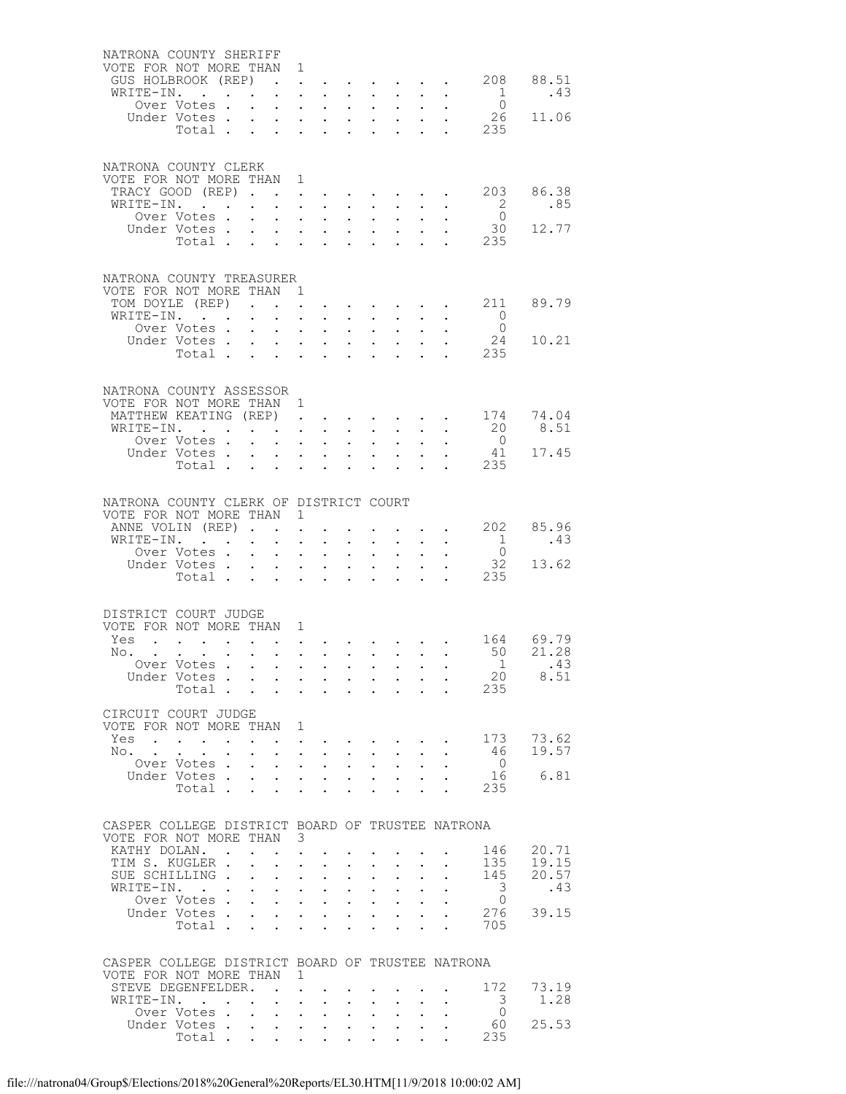| NATRONA COUNTY SHERIFF                                                       |                                                                                                 |        |                                |                                                                                                 |                                                                                   |                                                                                               |                                                   |                           |                                                                                                  |                           |                                                                                                                                                                                                                                |                                                             |                       |
|------------------------------------------------------------------------------|-------------------------------------------------------------------------------------------------|--------|--------------------------------|-------------------------------------------------------------------------------------------------|-----------------------------------------------------------------------------------|-----------------------------------------------------------------------------------------------|---------------------------------------------------|---------------------------|--------------------------------------------------------------------------------------------------|---------------------------|--------------------------------------------------------------------------------------------------------------------------------------------------------------------------------------------------------------------------------|-------------------------------------------------------------|-----------------------|
| VOTE FOR NOT MORE THAN 1                                                     |                                                                                                 |        |                                |                                                                                                 |                                                                                   |                                                                                               |                                                   |                           |                                                                                                  |                           |                                                                                                                                                                                                                                |                                                             |                       |
| GUS HOLBROOK (REP)<br>WRITE-IN.                                              |                                                                                                 |        |                                |                                                                                                 |                                                                                   |                                                                                               |                                                   |                           |                                                                                                  |                           | and a series of the contract of the series of the series of the series of the series of the series of the series of the series of the series of the series of the series of the series of the series of the series of the seri | $\cdot$ $\cdot$ $\cdot$ $\cdot$ $\cdot$ 208                 | 88.51<br>.43          |
|                                                                              | Over Votes.                                                                                     |        | $\sim$                         |                                                                                                 |                                                                                   | $\cdot$ $\cdot$ $\cdot$ $\cdot$                                                               | $\sim$                                            | $\sim$ $-$                | $\sim$ 100 $\pm$                                                                                 |                           |                                                                                                                                                                                                                                | $\frac{1}{0}$                                               |                       |
|                                                                              |                                                                                                 |        |                                |                                                                                                 |                                                                                   |                                                                                               |                                                   |                           |                                                                                                  |                           |                                                                                                                                                                                                                                | 26                                                          | 11.06                 |
|                                                                              | Under Votes<br>Total                                                                            |        |                                |                                                                                                 |                                                                                   |                                                                                               |                                                   |                           |                                                                                                  |                           |                                                                                                                                                                                                                                | $\frac{1}{2}$ $\frac{1}{2}$ $\frac{2}{3}$                   |                       |
|                                                                              |                                                                                                 |        |                                |                                                                                                 |                                                                                   |                                                                                               |                                                   |                           |                                                                                                  |                           |                                                                                                                                                                                                                                |                                                             |                       |
|                                                                              |                                                                                                 |        |                                |                                                                                                 |                                                                                   |                                                                                               |                                                   |                           |                                                                                                  |                           |                                                                                                                                                                                                                                |                                                             |                       |
| NATRONA COUNTY CLERK<br>VOTE FOR NOT MORE THAN 1                             |                                                                                                 |        |                                |                                                                                                 |                                                                                   |                                                                                               |                                                   |                           |                                                                                                  |                           |                                                                                                                                                                                                                                |                                                             |                       |
| TRACY GOOD (REP)                                                             |                                                                                                 |        |                                |                                                                                                 |                                                                                   |                                                                                               |                                                   |                           |                                                                                                  |                           |                                                                                                                                                                                                                                | 203                                                         | 86.38                 |
| WRITE-IN.                                                                    |                                                                                                 |        |                                |                                                                                                 |                                                                                   | $\cdot$ $\cdot$ $\cdot$ $\cdot$                                                               | $\ddot{\phantom{0}}$                              | $\sim$                    | $\sim$ 100 $\pm$                                                                                 |                           |                                                                                                                                                                                                                                | $\overline{\phantom{0}}^2$                                  | .85                   |
|                                                                              | Over Votes .                                                                                    |        | $\mathbf{L}^{\text{max}}$      |                                                                                                 |                                                                                   | $\mathbf{u} = \mathbf{u} \mathbf{u} + \mathbf{u} \mathbf{u}$                                  | $\sim$                                            | $\sim 100$                | $\sim 10^{-11}$                                                                                  | $\bullet$ .               |                                                                                                                                                                                                                                | $\bigcirc$                                                  |                       |
|                                                                              | Under Votes                                                                                     |        |                                |                                                                                                 |                                                                                   |                                                                                               |                                                   |                           |                                                                                                  |                           |                                                                                                                                                                                                                                | 30                                                          | 12.77                 |
|                                                                              | Total.                                                                                          |        |                                |                                                                                                 |                                                                                   |                                                                                               |                                                   |                           |                                                                                                  |                           |                                                                                                                                                                                                                                | $\cdot$ $\cdot$ 235                                         |                       |
|                                                                              |                                                                                                 |        |                                |                                                                                                 |                                                                                   |                                                                                               |                                                   |                           |                                                                                                  |                           |                                                                                                                                                                                                                                |                                                             |                       |
| NATRONA COUNTY TREASURER                                                     |                                                                                                 |        |                                |                                                                                                 |                                                                                   |                                                                                               |                                                   |                           |                                                                                                  |                           |                                                                                                                                                                                                                                |                                                             |                       |
| VOTE FOR NOT MORE THAN 1                                                     |                                                                                                 |        |                                |                                                                                                 |                                                                                   |                                                                                               |                                                   |                           |                                                                                                  |                           |                                                                                                                                                                                                                                |                                                             |                       |
| TOM DOYLE (REP)                                                              |                                                                                                 |        |                                |                                                                                                 |                                                                                   |                                                                                               |                                                   |                           |                                                                                                  |                           |                                                                                                                                                                                                                                | $\cdot$ $\cdot$ $\cdot$ $\cdot$ $\cdot$ $\cdot$ $\cdot$ 211 | 89.79                 |
| WRITE-IN.                                                                    |                                                                                                 |        |                                |                                                                                                 |                                                                                   |                                                                                               |                                                   |                           | $\mathbf{r} = \mathbf{r} + \mathbf{r} + \mathbf{r} + \mathbf{r} + \mathbf{r}$                    |                           |                                                                                                                                                                                                                                | $\overline{0}$                                              |                       |
|                                                                              | Over Votes .                                                                                    |        | $\ddot{\phantom{0}}$           |                                                                                                 |                                                                                   | $\mathbf{r}$ , $\mathbf{r}$ , $\mathbf{r}$                                                    | $\ddot{\phantom{0}}$                              | $\sim$                    | $\mathbf{L}$                                                                                     |                           |                                                                                                                                                                                                                                | $\overline{0}$<br>24                                        | 10.21                 |
|                                                                              | Under Votes<br>Total                                                                            |        |                                |                                                                                                 |                                                                                   | $\mathbf{r} = \mathbf{r}$                                                                     | $\sim$                                            |                           | $\mathcal{L}^{\text{max}}$ , where $\mathcal{L}^{\text{max}}$<br>$\cdot$ $\cdot$ $\cdot$ $\cdot$ | $\sim$                    | $\bullet$<br>$\mathbf{r}$                                                                                                                                                                                                      | 235                                                         |                       |
|                                                                              |                                                                                                 |        |                                |                                                                                                 |                                                                                   |                                                                                               |                                                   |                           |                                                                                                  |                           |                                                                                                                                                                                                                                |                                                             |                       |
|                                                                              |                                                                                                 |        |                                |                                                                                                 |                                                                                   |                                                                                               |                                                   |                           |                                                                                                  |                           |                                                                                                                                                                                                                                |                                                             |                       |
| NATRONA COUNTY ASSESSOR                                                      |                                                                                                 |        |                                |                                                                                                 |                                                                                   |                                                                                               |                                                   |                           |                                                                                                  |                           |                                                                                                                                                                                                                                |                                                             |                       |
| VOTE FOR NOT MORE THAN 1                                                     |                                                                                                 |        |                                |                                                                                                 |                                                                                   |                                                                                               |                                                   |                           |                                                                                                  |                           |                                                                                                                                                                                                                                |                                                             |                       |
| MATTHEW KEATING (REP)<br>WRITE-IN.                                           |                                                                                                 |        |                                |                                                                                                 |                                                                                   |                                                                                               |                                                   |                           | $\mathbf{L}$                                                                                     | $\ddot{\phantom{0}}$      |                                                                                                                                                                                                                                | 174<br>20                                                   | 74.04<br>8.51         |
|                                                                              | Over Votes .                                                                                    |        |                                | $\mathbf{r} = \mathbf{r} + \mathbf{r} + \mathbf{r}$                                             |                                                                                   | $\mathbf{L}^{\text{max}}$ , and $\mathbf{L}^{\text{max}}$                                     | $\ddot{\phantom{0}}$<br>$\mathbf{L}^{\text{max}}$ | $\sim$ $-$<br>$\sim 100$  | $\sim$ 100 $\pm$                                                                                 | $\ddotsc$                 | $\sim$                                                                                                                                                                                                                         | $\overline{0}$                                              |                       |
|                                                                              | Under Votes .                                                                                   |        | $\mathbf{L}$                   |                                                                                                 |                                                                                   | $\mathbf{r} = \mathbf{r} \times \mathbf{r}$ , where $\mathbf{r} = \mathbf{r}$                 |                                                   |                           |                                                                                                  |                           |                                                                                                                                                                                                                                | 41                                                          | 17.45                 |
|                                                                              | Total $\cdots$                                                                                  |        |                                |                                                                                                 |                                                                                   |                                                                                               |                                                   |                           |                                                                                                  |                           | $\sim 10^{-10}$                                                                                                                                                                                                                | 235                                                         |                       |
|                                                                              |                                                                                                 |        |                                |                                                                                                 |                                                                                   |                                                                                               |                                                   |                           |                                                                                                  |                           |                                                                                                                                                                                                                                |                                                             |                       |
| NATRONA COUNTY CLERK OF DISTRICT COURT                                       |                                                                                                 |        |                                |                                                                                                 |                                                                                   |                                                                                               |                                                   |                           |                                                                                                  |                           |                                                                                                                                                                                                                                |                                                             |                       |
| VOTE FOR NOT MORE THAN 1                                                     |                                                                                                 |        |                                |                                                                                                 |                                                                                   |                                                                                               |                                                   |                           |                                                                                                  |                           |                                                                                                                                                                                                                                |                                                             |                       |
| ANNE VOLIN (REP)                                                             |                                                                                                 |        |                                |                                                                                                 | $\mathbf{L}$                                                                      |                                                                                               |                                                   |                           |                                                                                                  |                           |                                                                                                                                                                                                                                | $\cdot$ $\cdot$ 202                                         | 85.96                 |
| WRITE-IN.                                                                    | $\sim$ $\sim$ $\sim$ $\sim$ $\sim$                                                              |        |                                |                                                                                                 |                                                                                   | $\mathbf{u} = \mathbf{u} \times \mathbf{u}$ , and $\mathbf{u} = \mathbf{u} \times \mathbf{u}$ |                                                   |                           |                                                                                                  |                           | $\mathbf{A}^{\text{max}}$ , and $\mathbf{A}^{\text{max}}$                                                                                                                                                                      | $\overline{1}$                                              | .43                   |
|                                                                              | Over Votes .                                                                                    |        | $\sim$                         | $\sim$                                                                                          |                                                                                   | $\mathbf{L}$ and $\mathbf{L}$                                                                 | $\ddot{\phantom{0}}$                              | $\sim$ $-$                | $\sim$ 100 $\pm$                                                                                 |                           |                                                                                                                                                                                                                                | $\overline{0}$                                              |                       |
|                                                                              | Under Votes                                                                                     |        |                                |                                                                                                 |                                                                                   |                                                                                               |                                                   |                           |                                                                                                  |                           | $\ddot{\phantom{0}}$                                                                                                                                                                                                           | 32                                                          | 13.62                 |
|                                                                              | Total                                                                                           |        |                                |                                                                                                 |                                                                                   |                                                                                               |                                                   |                           |                                                                                                  |                           | $\mathbf{r} = \mathbf{r}$                                                                                                                                                                                                      | 235                                                         |                       |
|                                                                              |                                                                                                 |        |                                |                                                                                                 |                                                                                   |                                                                                               |                                                   |                           |                                                                                                  |                           |                                                                                                                                                                                                                                |                                                             |                       |
| DISTRICT COURT JUDGE                                                         |                                                                                                 |        |                                |                                                                                                 |                                                                                   |                                                                                               |                                                   |                           |                                                                                                  |                           |                                                                                                                                                                                                                                |                                                             |                       |
| VOTE FOR NOT MORE THAN 1                                                     |                                                                                                 |        |                                |                                                                                                 |                                                                                   |                                                                                               |                                                   |                           |                                                                                                  |                           |                                                                                                                                                                                                                                |                                                             |                       |
| Yes                                                                          | . The contribution of the contribution of the contribution of the contribution of $\mathcal{A}$ |        |                                |                                                                                                 |                                                                                   |                                                                                               |                                                   |                           |                                                                                                  |                           |                                                                                                                                                                                                                                |                                                             | 164 69.79<br>50 21.28 |
| No. .                                                                        |                                                                                                 | $\sim$ |                                |                                                                                                 |                                                                                   |                                                                                               |                                                   |                           |                                                                                                  |                           | $\mathbf{r}$ , and $\mathbf{r}$ , and $\mathbf{r}$ , and $\mathbf{r}$ , and $\mathbf{r}$                                                                                                                                       |                                                             |                       |
|                                                                              |                                                                                                 |        |                                |                                                                                                 |                                                                                   |                                                                                               |                                                   |                           |                                                                                                  |                           |                                                                                                                                                                                                                                |                                                             |                       |
|                                                                              | Over Votes                                                                                      |        |                                |                                                                                                 |                                                                                   |                                                                                               |                                                   |                           |                                                                                                  |                           |                                                                                                                                                                                                                                | 1                                                           | .43                   |
|                                                                              | Under Votes                                                                                     |        |                                |                                                                                                 |                                                                                   |                                                                                               |                                                   |                           |                                                                                                  |                           |                                                                                                                                                                                                                                | 20<br>235                                                   | 8.51                  |
|                                                                              | Total $\cdots$                                                                                  |        |                                |                                                                                                 |                                                                                   |                                                                                               |                                                   |                           |                                                                                                  |                           | $\mathbf{1}$ and $\mathbf{1}$ and $\mathbf{1}$ and $\mathbf{1}$ and $\mathbf{1}$                                                                                                                                               |                                                             |                       |
| CIRCUIT COURT JUDGE                                                          |                                                                                                 |        |                                |                                                                                                 |                                                                                   |                                                                                               |                                                   |                           |                                                                                                  |                           |                                                                                                                                                                                                                                |                                                             |                       |
| VOTE FOR NOT MORE THAN 1                                                     |                                                                                                 |        |                                |                                                                                                 |                                                                                   |                                                                                               |                                                   |                           |                                                                                                  |                           |                                                                                                                                                                                                                                |                                                             |                       |
| Yes                                                                          |                                                                                                 |        | $\sim$ $\sim$                  | $\mathbf{z} = \mathbf{z} + \mathbf{z}$                                                          |                                                                                   |                                                                                               | $\sim$ $\sim$ $\sim$ $\sim$ $\sim$ $\sim$         |                           |                                                                                                  |                           |                                                                                                                                                                                                                                | 173                                                         | 73.62                 |
| No.                                                                          |                                                                                                 |        |                                | $\mathbf{L}$                                                                                    |                                                                                   | $\mathbf{L}$ and $\mathbf{L}$                                                                 | $\ddot{\phantom{0}}$                              | $\sim$ $-$                | $\ddot{\phantom{a}}$                                                                             |                           |                                                                                                                                                                                                                                | - 46<br>$\overline{0}$                                      | 19.57                 |
|                                                                              | Over Votes.<br>Under Votes.                                                                     |        | $\mathbf{L}^{\text{max}}$      | $\mathbf{r} = \mathbf{r} \times \mathbf{r}$ , where $\mathbf{r} = \mathbf{r} \times \mathbf{r}$ |                                                                                   | $\mathbf{z} = \mathbf{z} + \mathbf{z}$ , where $\mathbf{z} = \mathbf{z}$                      | $\mathbf{L}^{\text{max}}$<br>$\sim$               | $\sim$ $-$                | $\sim$<br>$\mathbf{r}$ , $\mathbf{r}$                                                            | $\ddot{\phantom{0}}$      | $\bullet$                                                                                                                                                                                                                      | 16                                                          | 6.81                  |
|                                                                              | Total .                                                                                         |        |                                | $\cdot$ $\cdot$ $\cdot$                                                                         |                                                                                   | $\mathbf{L}$ and $\mathbf{L}$                                                                 | $\ddot{\phantom{0}}$                              | $\ddot{\phantom{a}}$      | $\mathbf{L}$                                                                                     | $\ddot{\phantom{0}}$      | $\ddot{\phantom{a}}$                                                                                                                                                                                                           | 235                                                         |                       |
|                                                                              |                                                                                                 |        |                                |                                                                                                 |                                                                                   |                                                                                               |                                                   |                           |                                                                                                  |                           |                                                                                                                                                                                                                                |                                                             |                       |
|                                                                              |                                                                                                 |        |                                |                                                                                                 |                                                                                   |                                                                                               |                                                   |                           |                                                                                                  |                           |                                                                                                                                                                                                                                |                                                             |                       |
| CASPER COLLEGE DISTRICT BOARD OF TRUSTEE NATRONA<br>VOTE FOR NOT MORE THAN 3 |                                                                                                 |        |                                |                                                                                                 |                                                                                   |                                                                                               |                                                   |                           |                                                                                                  |                           |                                                                                                                                                                                                                                |                                                             |                       |
| KATHY DOLAN                                                                  |                                                                                                 |        |                                |                                                                                                 | $\ddot{\phantom{0}}$                                                              |                                                                                               |                                                   |                           |                                                                                                  |                           |                                                                                                                                                                                                                                | 146                                                         | 20.71                 |
| TIM S. KUGLER .                                                              |                                                                                                 |        | $\ddot{\phantom{0}}$           |                                                                                                 | $\mathbf{r} = \mathbf{r} \cdot \mathbf{r}$                                        | $\sim$ $-$                                                                                    | $\bullet$ .                                       | $\mathbf{L}^{\text{max}}$ |                                                                                                  |                           |                                                                                                                                                                                                                                | 135                                                         | 19.15                 |
| SUE SCHILLING.                                                               |                                                                                                 |        | $\mathbf{r}$                   | $\mathcal{L}^{\text{max}}$                                                                      | $\mathbf{L}$                                                                      | $\mathbf{L}$                                                                                  | $\ddot{\phantom{a}}$                              | $\ddot{\phantom{0}}$      | $\mathbf{r}$                                                                                     |                           |                                                                                                                                                                                                                                | 145                                                         | 20.57                 |
| WRITE-IN.                                                                    |                                                                                                 |        | $\ddot{\phantom{0}}$           |                                                                                                 |                                                                                   | $\mathbf{z} = \mathbf{z} + \mathbf{z}$ , where $\mathbf{z} = \mathbf{z}$                      | $\ddot{\phantom{0}}$                              | $\bullet$ .               | $\ddot{\phantom{0}}$                                                                             | $\ddot{\phantom{0}}$      |                                                                                                                                                                                                                                | 3                                                           | .43                   |
|                                                                              | Over Votes .                                                                                    |        |                                | $\cdot$ $\cdot$ $\cdot$ $\cdot$ $\cdot$                                                         |                                                                                   |                                                                                               | $\ddot{\phantom{0}}$                              | $\sim$                    | $\mathbf{L}$                                                                                     |                           |                                                                                                                                                                                                                                | $\circ$                                                     |                       |
|                                                                              | Under Votes .<br>Total .                                                                        |        | $\ddot{\phantom{0}}$           | $\mathbf{r}$ $\mathbf{r}$                                                                       | $\mathbf{L}$ $\mathbf{L}$                                                         | $\mathbf{r} = \mathbf{r} \times \mathbf{r}$ , where $\mathbf{r} = \mathbf{r}$                 | $\bullet$ .                                       | $\mathbf{z} = \mathbf{z}$ | $\sim$<br>$\mathbf{r}$                                                                           | $\ddotsc$<br>$\mathbf{r}$ | $\ddot{\phantom{a}}$                                                                                                                                                                                                           | 276<br>705                                                  | 39.15                 |
|                                                                              |                                                                                                 |        |                                |                                                                                                 |                                                                                   |                                                                                               |                                                   |                           |                                                                                                  |                           |                                                                                                                                                                                                                                |                                                             |                       |
|                                                                              |                                                                                                 |        |                                |                                                                                                 |                                                                                   |                                                                                               |                                                   |                           |                                                                                                  |                           |                                                                                                                                                                                                                                |                                                             |                       |
| CASPER COLLEGE DISTRICT BOARD OF TRUSTEE NATRONA                             |                                                                                                 |        |                                |                                                                                                 |                                                                                   |                                                                                               |                                                   |                           |                                                                                                  |                           |                                                                                                                                                                                                                                |                                                             |                       |
| VOTE FOR NOT MORE THAN                                                       |                                                                                                 |        |                                |                                                                                                 | 1                                                                                 |                                                                                               |                                                   |                           |                                                                                                  |                           |                                                                                                                                                                                                                                |                                                             |                       |
| STEVE DEGENFELDER.                                                           |                                                                                                 |        |                                |                                                                                                 | $\ddot{\phantom{a}}$                                                              |                                                                                               |                                                   |                           |                                                                                                  |                           |                                                                                                                                                                                                                                | 172                                                         | 73.19                 |
| WRITE-IN.                                                                    | $\sim$ $\sim$<br>Over Votes.                                                                    |        | $\sim$<br>$\ddot{\phantom{0}}$ | $\ddot{\phantom{0}}$                                                                            | $\ddot{\phantom{0}}$<br>$\mathbf{L}^{\text{max}}$ , and $\mathbf{L}^{\text{max}}$ | $\ddot{\phantom{0}}$<br>$\sim$ $-$                                                            | $\bullet$ .                                       | $\bullet$ .               | $\sim$ $-$                                                                                       |                           |                                                                                                                                                                                                                                | 3<br>$\circ$                                                | 1.28                  |
|                                                                              | Under Votes.                                                                                    |        | $\ddot{\phantom{0}}$           |                                                                                                 |                                                                                   | $\mathbf{r} = \mathbf{r} \times \mathbf{r}$                                                   | $\sim$                                            | $\ddot{\phantom{0}}$      | $\ddot{\phantom{0}}$                                                                             |                           |                                                                                                                                                                                                                                | 60<br>235                                                   | 25.53                 |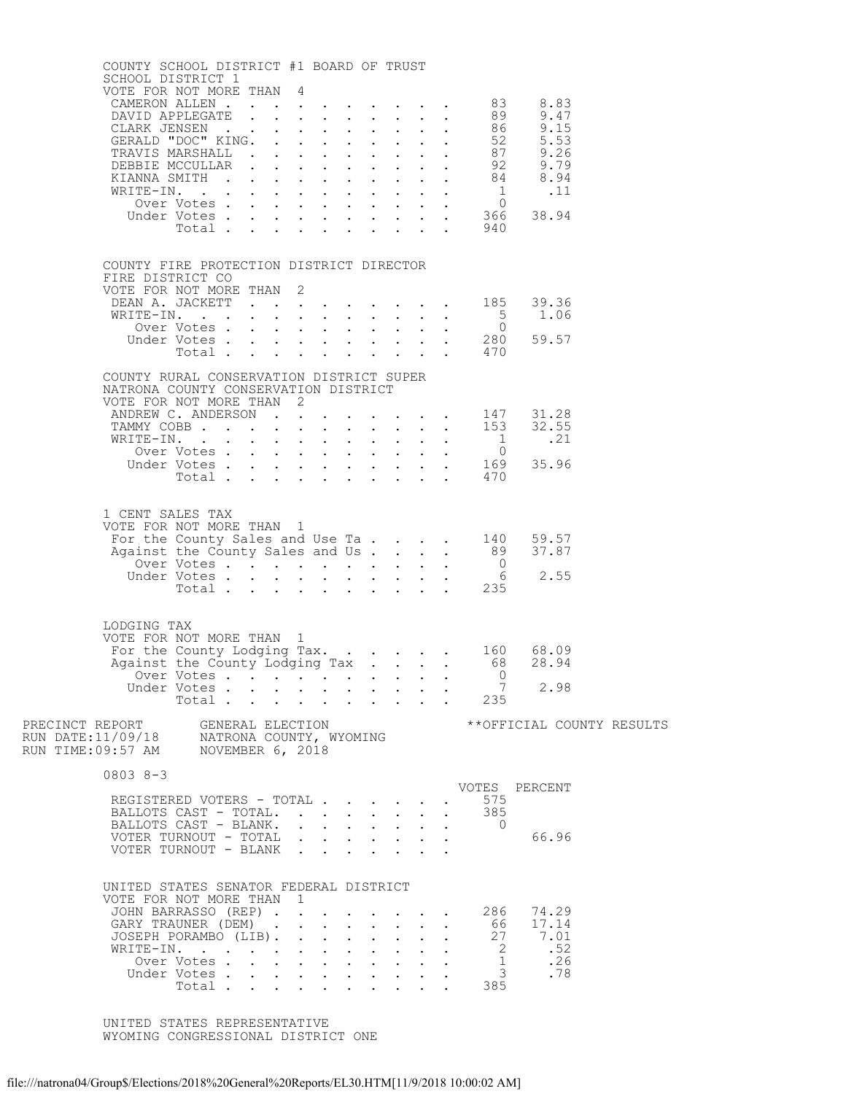| COUNTY SCHOOL DISTRICT #1 BOARD OF TRUST                                                | SCHOOL DISTRICT 1                                                                                               |       |              |                                                                                                                   |                                                                          |                                                                                               |                                                            |                                                             |             |                                          |                                                       |  |
|-----------------------------------------------------------------------------------------|-----------------------------------------------------------------------------------------------------------------|-------|--------------|-------------------------------------------------------------------------------------------------------------------|--------------------------------------------------------------------------|-----------------------------------------------------------------------------------------------|------------------------------------------------------------|-------------------------------------------------------------|-------------|------------------------------------------|-------------------------------------------------------|--|
| VOTE FOR NOT MORE THAN 4                                                                |                                                                                                                 |       |              |                                                                                                                   |                                                                          |                                                                                               |                                                            |                                                             |             |                                          |                                                       |  |
|                                                                                         |                                                                                                                 |       |              |                                                                                                                   |                                                                          |                                                                                               |                                                            |                                                             |             |                                          |                                                       |  |
|                                                                                         |                                                                                                                 |       |              |                                                                                                                   |                                                                          |                                                                                               |                                                            |                                                             |             |                                          |                                                       |  |
| FIRE DISTRICT CO                                                                        | COUNTY FIRE PROTECTION DISTRICT DIRECTOR                                                                        |       |              |                                                                                                                   |                                                                          |                                                                                               |                                                            |                                                             |             |                                          |                                                       |  |
| VOTE FOR NOT MORE THAN 2                                                                | DEAN A. JACKETT 185 39.36                                                                                       |       |              |                                                                                                                   |                                                                          |                                                                                               |                                                            |                                                             |             |                                          |                                                       |  |
|                                                                                         |                                                                                                                 |       |              |                                                                                                                   |                                                                          |                                                                                               |                                                            |                                                             |             |                                          |                                                       |  |
|                                                                                         | COUNTY RURAL CONSERVATION DISTRICT SUPER                                                                        |       |              |                                                                                                                   |                                                                          |                                                                                               |                                                            |                                                             |             |                                          |                                                       |  |
| NATRONA COUNTY CONSERVATION DISTRICT<br>VOTE FOR NOT MORE THAN 2                        |                                                                                                                 |       |              |                                                                                                                   |                                                                          |                                                                                               |                                                            |                                                             |             |                                          |                                                       |  |
|                                                                                         | ANDREW C. ANDERSON 147 31.28<br>TAMMY COBB 153 32.55                                                            |       |              |                                                                                                                   |                                                                          |                                                                                               |                                                            |                                                             |             |                                          |                                                       |  |
|                                                                                         |                                                                                                                 |       |              |                                                                                                                   |                                                                          |                                                                                               |                                                            |                                                             |             |                                          |                                                       |  |
| VOTE FOR NOT MORE THAN 1                                                                | 1 CENT SALES TAX<br>For the County Sales and Use Ta 140 59.57<br>Against the County Sales and Us 89 37.87       |       |              |                                                                                                                   |                                                                          |                                                                                               |                                                            |                                                             |             |                                          |                                                       |  |
|                                                                                         |                                                                                                                 |       |              |                                                                                                                   |                                                                          |                                                                                               |                                                            |                                                             |             |                                          | 2.55                                                  |  |
| LODGING TAX<br>VOTE FOR NOT MORE THAN 1                                                 | For the County Lodging Tax. 160 68.09<br>Against the County Lodging Tax 68 28.94<br>Over Votes 0<br>Under Votes |       |              |                                                                                                                   |                                                                          |                                                                                               |                                                            |                                                             |             | $\overline{7}$                           | 2.98                                                  |  |
| PRECINCT REPORT GENERAL ELECTION                                                        | Total.                                                                                                          |       |              |                                                                                                                   |                                                                          |                                                                                               |                                                            |                                                             |             | $\frac{1}{2}$ 235                        | **OFFICIAL COUNTY RESULTS                             |  |
| RUN DATE:11/09/18     NATRONA COUNTY, WYOMING<br>RUN TIME:09:57 AM     NOVEMBER 6, 2018 |                                                                                                                 |       |              |                                                                                                                   |                                                                          |                                                                                               |                                                            |                                                             |             |                                          |                                                       |  |
| 0803 8-3                                                                                | REGISTERED VOTERS - TOTAL                                                                                       |       |              |                                                                                                                   |                                                                          |                                                                                               |                                                            |                                                             |             | 575                                      | VOTES PERCENT                                         |  |
|                                                                                         | BALLOTS CAST - TOTAL.<br>BALLOTS CAST - BLANK.<br>VOTER TURNOUT - TOTAL<br>VOTER TURNOUT - BLANK                |       |              | $\mathbf{r}$ , $\mathbf{r}$ , $\mathbf{r}$                                                                        |                                                                          | $\mathbf{L}$                                                                                  | $\mathbf{L}$<br>$\mathbf{z} = \mathbf{z} + \mathbf{z}$ .   | $\bullet$ .<br><br><br><br><br><br><br><br><br><br><br><br> |             | . 385<br>$\overline{0}$                  | 66.96                                                 |  |
| UNITED STATES SENATOR FEDERAL DISTRICT<br>VOTE FOR NOT MORE THAN 1                      | JOHN BARRASSO (REP).<br>GARY TRAUNER (DEM).<br>JOSEPH PORAMBO (LIB).<br>WRITE-IN.<br>Over Votes<br>Under Votes  | Total | $\mathbf{r}$ | $\ddot{\phantom{0}}$<br>$\ddot{\phantom{0}}$<br>$\mathbf{L} = \mathbf{L}$<br>$\ddot{\phantom{0}}$<br>$\mathbf{L}$ | $\mathbf{A}$<br>$\mathcal{L}^{\text{max}}$<br>$\sim$<br>$\sim$ 100 $\pm$ | $\sim$<br>$\bullet$ .<br>$\ddot{\phantom{0}}$<br>$\ddot{\phantom{0}}$<br>$\ddot{\phantom{0}}$ | <b>Contract Contract Contract</b><br>$\bullet$ .<br>$\sim$ | $\bullet$ .<br><br><br><br><br><br><br><br><br><br><br><br> | $\bullet$ . | $\overline{2}$<br>$\frac{1}{3}$<br>. 385 | 286 74.29<br>66 17.14<br>27 7.01<br>.52<br>.26<br>.78 |  |
|                                                                                         |                                                                                                                 |       |              |                                                                                                                   |                                                                          |                                                                                               |                                                            |                                                             |             |                                          |                                                       |  |

 UNITED STATES REPRESENTATIVE WYOMING CONGRESSIONAL DISTRICT ONE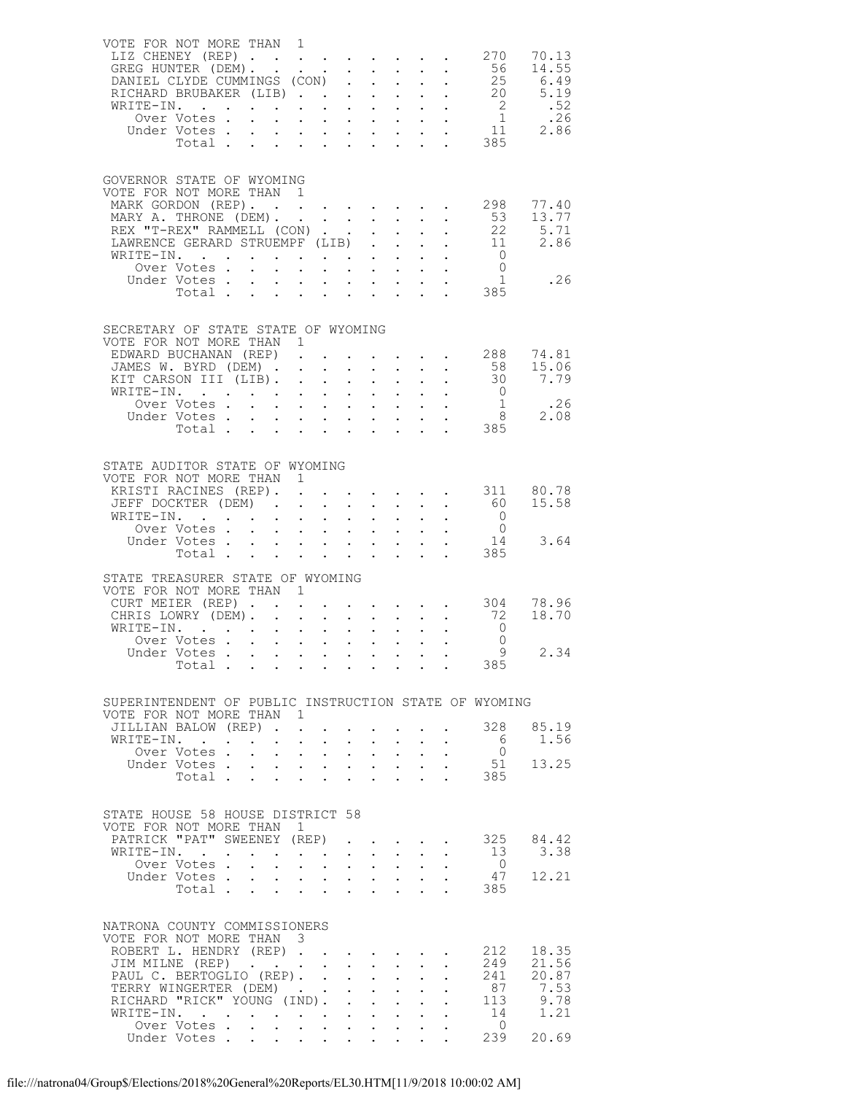| VOTE FOR NOT MORE THAN 1<br>LIZ CHENEY (REP)                                                                                                                                                                                        |       |                                                          |                                              |                                                                                                         |                                           |                                                                             |              |                                                                                                                               |                                                                                     | 270 70.13                                                                                                                                                            |
|-------------------------------------------------------------------------------------------------------------------------------------------------------------------------------------------------------------------------------------|-------|----------------------------------------------------------|----------------------------------------------|---------------------------------------------------------------------------------------------------------|-------------------------------------------|-----------------------------------------------------------------------------|--------------|-------------------------------------------------------------------------------------------------------------------------------|-------------------------------------------------------------------------------------|----------------------------------------------------------------------------------------------------------------------------------------------------------------------|
| GOVERNOR STATE OF WYOMING<br>VOTE FOR NOT MORE THAN 1<br>MARY A. THRONE (DEM).<br>REX "T-REX" RAMMELL (CON)<br>LAWRENCE GERARD STRUEMPF (LIB).<br>WRITE-IN.                                                                         |       |                                                          |                                              | $\mathbf{r} = \mathbf{r} \times \mathbf{r}$ , where $\mathbf{r} = \mathbf{r} \times \mathbf{r}$ , where |                                           |                                                                             |              | $\mathcal{L}^{\text{max}}_{\text{max}}$<br>$\mathcal{A}=\mathcal{A}=\mathcal{A}$ .<br>$\cdot$ $\cdot$ $\cdot$ $\cdot$ $\cdot$ | 53<br>$\overline{0}$<br>$\tilde{1}$<br>385                                          | MARK GORDON (REP). 298 77.40<br>13.77<br>$\begin{bmatrix} 22 & 5.71 \\ 11 & 2.86 \\ 0 & 0 \end{bmatrix}$<br>.26                                                      |
| SECRETARY OF STATE STATE OF WYOMING<br>VOTE FOR NOT MORE THAN 1<br>KIT CARSON III (LIB).<br>WRITE-IN.                                                                                                                               |       |                                                          |                                              |                                                                                                         |                                           |                                                                             |              |                                                                                                                               |                                                                                     | EDWARD BUCHANAN (REP) 288 74.81<br>JAMES W. BYRD (DEM) 58 15.06<br>KIT CARSON III (LIB) 30 7.79<br>XITE-IN. 0<br>Over Votes 1 .26<br>Under Votes 8 2.08<br>Total 385 |
| STATE AUDITOR STATE OF WYOMING<br>VOTE FOR NOT MORE THAN 1<br>KRISTI RACINES (REP).<br>JEFF DOCKTER (DEM)<br>WRITE-IN.<br>TE-IN.<br>Over Votes<br>Under Votes                                                                       | Total |                                                          | $\ddot{\phantom{0}}$                         |                                                                                                         |                                           | $\mathbf{r}$ , $\mathbf{r}$ , $\mathbf{r}$                                  |              |                                                                                                                               | $\overline{0}$<br>$\overline{0}$<br>14<br>385                                       | 311 80.78<br>60 15.58<br>3.64                                                                                                                                        |
| STATE TREASURER STATE OF WYOMING<br>VOTE FOR NOT MORE THAN 1<br>CURT MEIER (REP)<br>CHRIS LOWRY (DEM). .<br>WRITE-IN.<br>Over Votes<br>Under Votes                                                                                  | Total |                                                          | $\mathbf{r} = \mathbf{r} \cdot \mathbf{r}$ . |                                                                                                         | $\mathbf{L}$<br>$\mathbf{L}^{\text{max}}$ | $\mathbf{r} = \mathbf{r} + \mathbf{r}$ , where<br>$\mathbf{L}^{\text{max}}$ |              |                                                                                                                               | 72<br>$\overline{0}$<br>$\overline{0}$<br>Q<br>385                                  | $\cdot$ $\cdot$ $\cdot$ $\cdot$ $\cdot$ $\cdot$ $\cdot$ 304 78.96<br>18.70<br>2.34                                                                                   |
| VOTE FOR NOT MORE THAN 1<br>JILLIAN BALOW (REP)<br>WRITE-IN.<br>Over Votes.<br>Under Votes                                                                                                                                          | Total | a na kara na kara na kara<br>Ana na kara na kara na kara |                                              |                                                                                                         |                                           |                                                                             | $\mathbf{L}$ |                                                                                                                               | SUPERINTENDENT OF PUBLIC INSTRUCTION STATE OF WYOMING<br>6<br>$\overline{0}$<br>385 | 328 85.19<br>1.56<br>51 13.25                                                                                                                                        |
| STATE HOUSE 58 HOUSE DISTRICT 58<br>VOTE FOR NOT MORE THAN 1<br>PATRICK "PAT" SWEENEY (REP)<br>WRITE-IN.<br>Over Votes<br>Under Votes                                                                                               | Total |                                                          |                                              | $\ddot{\phantom{0}}$                                                                                    | $\cdot$ $\cdot$<br>$\ddot{\phantom{0}}$   | $\sim$ $\sim$<br>$\mathbf{L}$                                               |              | <b>Contract Contract</b>                                                                                                      | 13<br>$\overline{0}$<br>47<br>385                                                   | 325 84.42<br>3.38<br>12.21                                                                                                                                           |
| NATRONA COUNTY COMMISSIONERS<br>VOTE FOR NOT MORE THAN 3<br>ROBERT L. HENDRY (REP)<br>JIM MILNE (REP)<br>PAUL C. BERTOGLIO (REP).<br>TERRY WINGERTER (DEM)<br>RICHARD "RICK" YOUNG (IND).<br>WRITE-IN.<br>Over Votes<br>Under Votes |       |                                                          |                                              |                                                                                                         | $\sim$<br>$\sim 10^{-11}$                 | $\sim$<br>$\sim 10^{-10}$                                                   |              |                                                                                                                               | 212<br>249<br>87<br>14<br>$\overline{0}$<br>239                                     | 18.35<br>21.56<br>241 20.87<br>7.53<br>113 9.78<br>1.21<br>20.69                                                                                                     |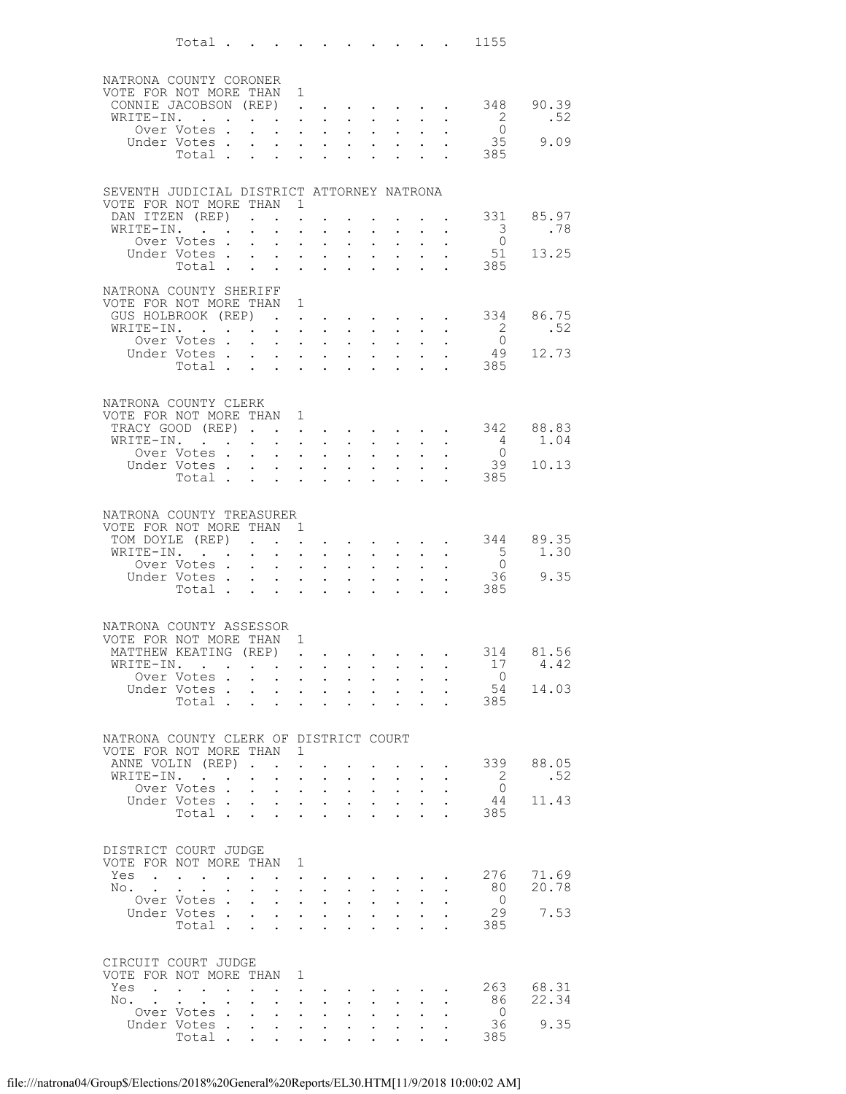|     |           | Total $\cdots$                                                                           |                      |                                                           |                                                                         |                                                             |                                                                                                                                                                                                                               |                                                                                           |                                                                 |                                                             |                                      |                                                                                 | 1155                                       |         |
|-----|-----------|------------------------------------------------------------------------------------------|----------------------|-----------------------------------------------------------|-------------------------------------------------------------------------|-------------------------------------------------------------|-------------------------------------------------------------------------------------------------------------------------------------------------------------------------------------------------------------------------------|-------------------------------------------------------------------------------------------|-----------------------------------------------------------------|-------------------------------------------------------------|--------------------------------------|---------------------------------------------------------------------------------|--------------------------------------------|---------|
|     |           | NATRONA COUNTY CORONER                                                                   |                      |                                                           |                                                                         |                                                             |                                                                                                                                                                                                                               |                                                                                           |                                                                 |                                                             |                                      |                                                                                 |                                            |         |
|     |           | VOTE FOR NOT MORE THAN 1                                                                 |                      |                                                           |                                                                         |                                                             |                                                                                                                                                                                                                               |                                                                                           |                                                                 |                                                             |                                      |                                                                                 |                                            |         |
|     |           | CONNIE JACOBSON (REP).                                                                   |                      |                                                           |                                                                         |                                                             |                                                                                                                                                                                                                               |                                                                                           |                                                                 |                                                             |                                      | the contract of the contract of the contract of the contract of the contract of | 348                                        | 90.39   |
|     |           | WRITE-IN.<br>Over Votes .                                                                |                      |                                                           | $\mathbf{L}^{\text{max}}$                                               | $\ddot{\phantom{0}}$<br>$\mathbf{L}^{\text{max}}$           | $\sim$<br>$\sim$ $-$                                                                                                                                                                                                          |                                                                                           | $\cdot$ $\cdot$ $\cdot$<br>$\mathbf{L} = \mathbf{L} \mathbf{L}$ | $\sim 100$                                                  |                                      |                                                                                 | $\overline{\phantom{a}}$<br>$\overline{0}$ | .52     |
|     |           | Under Votes .                                                                            |                      |                                                           |                                                                         |                                                             | $\mathbf{L}$ and $\mathbf{L}$                                                                                                                                                                                                 | $\mathbf{A}$ and $\mathbf{A}$                                                             |                                                                 |                                                             |                                      |                                                                                 |                                            | 35 9.09 |
|     |           | Total .                                                                                  |                      |                                                           | $\bullet$ .<br><br><br><br><br><br><br><br><br><br><br><br><br><br><br> |                                                             | $\mathbf{z} = \mathbf{z} + \mathbf{z}$ .                                                                                                                                                                                      | $\mathbf{A}^{\text{max}}$                                                                 | $\bullet$                                                       | $\bullet$ .<br><br><br><br><br><br><br><br><br><br><br><br> |                                      | $\mathbf{L} = \mathbf{L} \mathbf{L}$                                            | 385                                        |         |
|     |           |                                                                                          |                      |                                                           |                                                                         |                                                             |                                                                                                                                                                                                                               |                                                                                           |                                                                 |                                                             |                                      |                                                                                 |                                            |         |
|     |           | SEVENTH JUDICIAL DISTRICT ATTORNEY NATRONA<br>VOTE FOR NOT MORE THAN 1                   |                      |                                                           |                                                                         |                                                             |                                                                                                                                                                                                                               |                                                                                           |                                                                 |                                                             |                                      |                                                                                 |                                            |         |
|     |           | DAN ITZEN (REP).                                                                         |                      |                                                           |                                                                         | $\sim$                                                      |                                                                                                                                                                                                                               |                                                                                           |                                                                 |                                                             |                                      |                                                                                 | . 331 85.97                                | .78     |
|     |           | WRITE-IN.<br>Over Votes.                                                                 |                      | $\sim 100$                                                | $\mathbf{L}^{\text{max}}$                                               | $\bullet$<br>$\ddot{\phantom{a}}$                           | $\mathbf{L}^{\text{max}}$<br>$\sim$                                                                                                                                                                                           | $\mathbf{A}$                                                                              | $\mathbf{z} = \mathbf{z} + \mathbf{z}$<br>$\mathbf{r}$          |                                                             |                                      | $\sim$                                                                          | $\overline{\mathbf{3}}$<br>$\overline{0}$  |         |
|     |           | Under Votes                                                                              |                      |                                                           | $\sim 100$                                                              | $\bullet$ .                                                 | $\mathbf{L}^{\text{max}}$                                                                                                                                                                                                     |                                                                                           | $\bullet$ .<br><br><br><br><br><br><br><br><br><br><br><br><br> | $\mathbf{L}^{\text{max}}$                                   | $\bullet$ . $\bullet$                | $\bullet$ .                                                                     | 51                                         | 13.25   |
|     |           | Total                                                                                    |                      |                                                           |                                                                         |                                                             | $\mathbf{r}$ and $\mathbf{r}$ and $\mathbf{r}$ and $\mathbf{r}$                                                                                                                                                               |                                                                                           |                                                                 |                                                             |                                      |                                                                                 | 385                                        |         |
|     |           | NATRONA COUNTY SHERIFF                                                                   |                      |                                                           |                                                                         |                                                             |                                                                                                                                                                                                                               |                                                                                           |                                                                 |                                                             |                                      |                                                                                 |                                            |         |
|     |           | VOTE FOR NOT MORE THAN 1<br>GUS HOLBROOK (REP)                                           |                      |                                                           |                                                                         |                                                             |                                                                                                                                                                                                                               |                                                                                           |                                                                 | $\cdot$ $\cdot$ $\cdot$ $\cdot$ $\cdot$                     |                                      |                                                                                 | 334                                        | 86.75   |
|     |           | WRITE-IN. .                                                                              |                      | $\mathbf{L}^{\text{max}}$ , and $\mathbf{L}^{\text{max}}$ |                                                                         |                                                             | $\mathbf{r} = \mathbf{r} \cdot \mathbf{r}$ , where $\mathbf{r} = \mathbf{r} \cdot \mathbf{r}$                                                                                                                                 |                                                                                           | $\mathbf{z} = \mathbf{z} + \mathbf{z}$ .                        | $\sim$ 100 $\pm$                                            | $\ddot{\phantom{0}}$                 | $\sim$ $-$                                                                      | $\frac{2}{0}$                              | .52     |
|     |           | Over Votes .<br>Under Votes                                                              |                      |                                                           | $\mathbf{L}$                                                            |                                                             | $\cdot$ $\cdot$ $\cdot$                                                                                                                                                                                                       | $\mathbf{A}$                                                                              | $\mathbf{z} = \mathbf{z} + \mathbf{z}$ .                        | $\mathbf{L}^{\text{max}}$                                   | $\mathbf{L}^{\text{max}}$            |                                                                                 | 49                                         | 12.73   |
|     |           | Total                                                                                    |                      |                                                           |                                                                         |                                                             | $\mathcal{A}^{\mathcal{A}}$ and $\mathcal{A}^{\mathcal{A}}$ and $\mathcal{A}^{\mathcal{A}}$                                                                                                                                   |                                                                                           |                                                                 |                                                             |                                      |                                                                                 | 385                                        |         |
|     |           |                                                                                          |                      |                                                           |                                                                         |                                                             |                                                                                                                                                                                                                               |                                                                                           |                                                                 |                                                             |                                      |                                                                                 |                                            |         |
|     |           | NATRONA COUNTY CLERK                                                                     |                      |                                                           |                                                                         |                                                             |                                                                                                                                                                                                                               |                                                                                           |                                                                 |                                                             |                                      |                                                                                 |                                            |         |
|     |           | VOTE FOR NOT MORE THAN 1<br>TRACY GOOD (REP)                                             |                      |                                                           |                                                                         |                                                             |                                                                                                                                                                                                                               |                                                                                           |                                                                 |                                                             |                                      | $\mathbf{L}^{\text{max}}$ , and $\mathbf{L}^{\text{max}}$                       | 342                                        | 88.83   |
|     |           | WRITE-IN.                                                                                |                      |                                                           | $\ddot{\phantom{0}}$                                                    | $\sim$                                                      | $\sim$                                                                                                                                                                                                                        | $\mathbf{A}$                                                                              |                                                                 |                                                             |                                      |                                                                                 | $\overline{4}$                             | 1.04    |
|     |           | Over Votes .<br>Under Votes .                                                            |                      | $\mathbf{L}$                                              | $\mathbf{L}^{\text{max}}$<br>$\mathbf{r} = \mathbf{r}$                  |                                                             | $\bullet$ , $\bullet$ , $\bullet$ , $\bullet$<br>$\mathbf{L}$ and $\mathbf{L}$                                                                                                                                                | $\bullet$ .<br>$\sim$                                                                     | $\mathbf{L}^{\text{max}}$<br>$\sim$                             | $\mathbf{L}^{\text{max}}$                                   |                                      |                                                                                 | $\overline{0}$<br>39                       | 10.13   |
|     |           | Total                                                                                    |                      |                                                           |                                                                         |                                                             |                                                                                                                                                                                                                               | $\ddot{\phantom{0}}$                                                                      | $\sim$ 100 $\pm$                                                | $\bullet$ .<br><br><br><br><br><br><br><br><br><br><br><br> | $\ddot{\phantom{0}}$                 | $\sim$ $\sim$                                                                   | 385                                        |         |
|     |           |                                                                                          |                      |                                                           |                                                                         |                                                             |                                                                                                                                                                                                                               |                                                                                           |                                                                 |                                                             |                                      |                                                                                 |                                            |         |
|     |           | NATRONA COUNTY TREASURER                                                                 |                      |                                                           |                                                                         |                                                             |                                                                                                                                                                                                                               |                                                                                           |                                                                 |                                                             |                                      |                                                                                 |                                            |         |
|     |           | VOTE FOR NOT MORE THAN 1<br>TOM DOYLE (REP)                                              |                      |                                                           |                                                                         |                                                             | and a series of the series of the                                                                                                                                                                                             |                                                                                           |                                                                 |                                                             |                                      |                                                                                 | 344                                        | 89.35   |
|     |           | WRITE-IN.                                                                                |                      | $\bullet$ . $\bullet$                                     | $\mathcal{L}^{\text{max}}$                                              |                                                             | $\mathbf{z} = \mathbf{z} + \mathbf{z}$ .                                                                                                                                                                                      |                                                                                           | $\bullet$ .<br><br><br><br><br><br><br><br><br><br><br><br><br> | $\sim 100$                                                  |                                      | $\mathbf{z} = \mathbf{z} + \mathbf{z}$ .                                        | $\frac{5}{0}$                              | 1.30    |
|     |           | Over Votes.<br>Under Votes .                                                             |                      | $\ddot{\phantom{0}}$                                      | $\mathbf{L}$<br>$\sim 100$                                              | $\mathbf{a} = \mathbf{a}$                                   | $\cdot$ $\cdot$ $\cdot$<br>$\mathbf{L}^{\text{max}}$                                                                                                                                                                          | $\mathbf{L}$<br>$\mathcal{L}^{\text{max}}$                                                | $\mathbf{L}^{\text{max}}$                                       | $\bullet$ .                                                 | $\ddot{\phantom{0}}$                 |                                                                                 | 36 —                                       | 9.35    |
|     |           | Total.                                                                                   |                      |                                                           | $\mathbf{r} = \mathbf{r}$                                               |                                                             | $\mathbf{r} = \mathbf{r}$                                                                                                                                                                                                     | $\mathbf{L}$                                                                              |                                                                 |                                                             |                                      |                                                                                 | 385                                        |         |
|     |           |                                                                                          |                      |                                                           |                                                                         |                                                             |                                                                                                                                                                                                                               |                                                                                           |                                                                 |                                                             |                                      |                                                                                 |                                            |         |
|     |           | NATRONA COUNTY ASSESSOR                                                                  |                      |                                                           |                                                                         |                                                             |                                                                                                                                                                                                                               |                                                                                           |                                                                 |                                                             |                                      |                                                                                 |                                            |         |
|     |           | VOTE FOR NOT MORE THAN 1<br>MATTHEW KEATING (REP)                                        |                      |                                                           |                                                                         |                                                             | . The contract of the contract of the contract of the contract of the contract of the contract of the contract of the contract of the contract of the contract of the contract of the contract of the contract of the contrac |                                                                                           |                                                                 |                                                             |                                      |                                                                                 | 314                                        | 81.56   |
|     |           | WRITE-IN.                                                                                |                      |                                                           |                                                                         |                                                             |                                                                                                                                                                                                                               |                                                                                           |                                                                 |                                                             |                                      |                                                                                 | 17                                         | 4.42    |
|     |           | Over Votes<br>Under Votes.                                                               |                      |                                                           | $\sim 100$<br>$\cdot$ $\cdot$ $\cdot$                                   |                                                             | $\mathbf{z} = \mathbf{z} + \mathbf{z}$ .<br>$\mathbf{L} = \mathbf{L} \mathbf{L}$ .                                                                                                                                            | $\bullet$ .<br>$\mathbf{L}$                                                               | $\mathbf{L}^{\text{max}}$                                       | $\mathbf{L}^{\text{max}}$<br>$\mathbf{L}$ and $\mathbf{L}$  | $\bullet$ .<br>$\mathbf{L}$          |                                                                                 | $\circ$ 0<br>54                            | 14.03   |
|     |           | Total .                                                                                  |                      | $\ddot{\phantom{0}}$                                      | $\bullet$ .<br><br><br><br><br><br><br><br><br><br><br><br>             | $\bullet$ .<br><br><br><br><br><br><br><br><br><br><br><br> | $\mathbf{L}^{\text{max}}$                                                                                                                                                                                                     | $\mathbf{L}^{\text{max}}$                                                                 | $\ddot{\phantom{0}}$                                            | $\sim$                                                      | $\ddot{\phantom{0}}$                 | $\ddot{\phantom{a}}$                                                            | 385                                        |         |
|     |           |                                                                                          |                      |                                                           |                                                                         |                                                             |                                                                                                                                                                                                                               |                                                                                           |                                                                 |                                                             |                                      |                                                                                 |                                            |         |
|     |           | NATRONA COUNTY CLERK OF DISTRICT COURT                                                   |                      |                                                           |                                                                         |                                                             |                                                                                                                                                                                                                               |                                                                                           |                                                                 |                                                             |                                      |                                                                                 |                                            |         |
|     |           | VOTE FOR NOT MORE THAN<br>ANNE VOLIN (REP)                                               |                      |                                                           |                                                                         | $\overline{1}$<br>$\ddot{\phantom{a}}$                      |                                                                                                                                                                                                                               |                                                                                           |                                                                 |                                                             | $\mathbf{L} = \mathbf{L} \mathbf{L}$ |                                                                                 | 339                                        | 88.05   |
|     | WRITE-IN. | $\sim$ $\sim$                                                                            | $\ddot{\phantom{0}}$ | $\bullet$ .                                               |                                                                         | $\mathbf{A}^{(1)}$ and $\mathbf{A}^{(2)}$ and               | $\sim$ $-$                                                                                                                                                                                                                    |                                                                                           | $\bullet$ .<br><br><br><br><br><br><br><br><br><br><br><br><br> | $\bullet$ . $\bullet$                                       | $\bullet$ .                          |                                                                                 | - 2                                        | .52     |
|     |           | Over Votes.<br>Under Votes.                                                              |                      | $\ddot{\phantom{a}}$<br>$\ddot{\phantom{0}}$              | $\mathbf{L}$<br>$\sim 10^{-11}$                                         | $\ddot{\phantom{0}}$                                        | $\sim$                                                                                                                                                                                                                        | $\mathbf{L}$                                                                              | $\ddot{\phantom{0}}$                                            | $\ddot{\phantom{a}}$                                        |                                      |                                                                                 | $\overline{0}$<br>44                       | 11.43   |
|     |           | Total .                                                                                  |                      |                                                           | $\mathbf{L} = \mathbf{L}$                                               |                                                             | $\mathbf{L}^{\text{max}}$ , $\mathbf{L}^{\text{max}}$<br>$\mathbf{r}$ , $\mathbf{r}$ , $\mathbf{r}$                                                                                                                           | $\sim 10^{-11}$                                                                           | $\bullet$ .                                                     | $\mathbf{L}^{\text{max}}$<br>$\mathbf{r}$                   | $\bullet$ .                          |                                                                                 | 385                                        |         |
|     |           |                                                                                          |                      |                                                           |                                                                         |                                                             |                                                                                                                                                                                                                               |                                                                                           |                                                                 |                                                             |                                      |                                                                                 |                                            |         |
|     |           | DISTRICT COURT JUDGE                                                                     |                      |                                                           |                                                                         |                                                             |                                                                                                                                                                                                                               |                                                                                           |                                                                 |                                                             |                                      |                                                                                 |                                            |         |
| Yes |           | VOTE FOR NOT MORE THAN 1<br>$\mathbf{L} = \mathbf{L} \mathbf{L} + \mathbf{L} \mathbf{L}$ |                      | $\ddot{\phantom{0}}$                                      | $\sim$                                                                  |                                                             | $\mathbf{z} = \mathbf{z}$                                                                                                                                                                                                     | and the state of the state of                                                             |                                                                 |                                                             |                                      |                                                                                 | 276                                        | 71.69   |
| No. |           |                                                                                          |                      |                                                           | $\mathbf{L}$                                                            |                                                             | $\ddot{\phantom{1}}$                                                                                                                                                                                                          |                                                                                           | $\cdot$ $\cdot$ $\cdot$                                         | $\ddot{\phantom{0}}$                                        |                                      |                                                                                 | 80                                         | 20.78   |
|     |           | Over Votes.<br>Under Votes .                                                             |                      | $\ddot{\phantom{0}}$                                      | $\mathbf{A}^{\mathrm{max}}$                                             |                                                             | $\bullet$ , $\bullet$ , $\bullet$ , $\bullet$<br>$\mathbf{r}$ , $\mathbf{r}$ , $\mathbf{r}$ , $\mathbf{r}$                                                                                                                    | $\mathcal{L}^{\text{max}}$                                                                | $\bullet$ .<br>$\ddot{\phantom{0}}$                             | $\mathbf{L}^{\text{max}}$<br>$\mathbf{L}^{\text{max}}$      | $\mathcal{L}^{\text{max}}$           |                                                                                 | $\overline{0}$<br>29                       | 7.53    |
|     |           | Total                                                                                    |                      |                                                           | $\sim$ $-$                                                              | $\mathbf{L}^{\text{max}}$                                   | $\bullet$ .<br><br><br><br><br><br><br>                                                                                                                                                                                       | $\ddot{\phantom{0}}$                                                                      | $\ddot{\phantom{0}}$                                            | $\ddot{\phantom{0}}$                                        | $\ddot{\phantom{0}}$                 |                                                                                 | 385                                        |         |
|     |           |                                                                                          |                      |                                                           |                                                                         |                                                             |                                                                                                                                                                                                                               |                                                                                           |                                                                 |                                                             |                                      |                                                                                 |                                            |         |
|     |           | CIRCUIT COURT JUDGE<br>VOTE FOR NOT MORE THAN 1                                          |                      |                                                           |                                                                         |                                                             |                                                                                                                                                                                                                               |                                                                                           |                                                                 |                                                             |                                      |                                                                                 |                                            |         |
| Yes |           | $\cdot$                                                                                  |                      |                                                           |                                                                         | $\sim$                                                      |                                                                                                                                                                                                                               |                                                                                           |                                                                 |                                                             |                                      |                                                                                 | 263                                        | 68.31   |
|     | No. .     |                                                                                          | $\sim$               | $\ddot{\phantom{0}}$                                      | $\mathbf{L}^{\text{max}}$                                               |                                                             | $\mathbf{z} = \mathbf{z} + \mathbf{z}$ .                                                                                                                                                                                      |                                                                                           | $\mathbf{z} = \mathbf{z} + \mathbf{z}$ .                        | $\sim 100$                                                  |                                      |                                                                                 | 86                                         | 22.34   |
|     |           | Over Votes<br>Under Votes                                                                |                      |                                                           |                                                                         |                                                             | $\mathbf{r} = \left\{ \mathbf{r}_1, \ldots, \mathbf{r}_n \right\}$ .                                                                                                                                                          | $\mathcal{L}^{\text{max}}$<br>$\bullet$ .<br><br><br><br><br><br><br><br><br><br><br><br> | $\ddot{\phantom{0}}$<br>$\sim 10^{-10}$                         | $\mathbf{L}$<br>$\mathcal{L}^{\text{max}}$                  |                                      |                                                                                 | $\overline{0}$<br>36                       | 9.35    |
|     |           | Total                                                                                    |                      |                                                           |                                                                         |                                                             |                                                                                                                                                                                                                               |                                                                                           |                                                                 |                                                             |                                      |                                                                                 | 385                                        |         |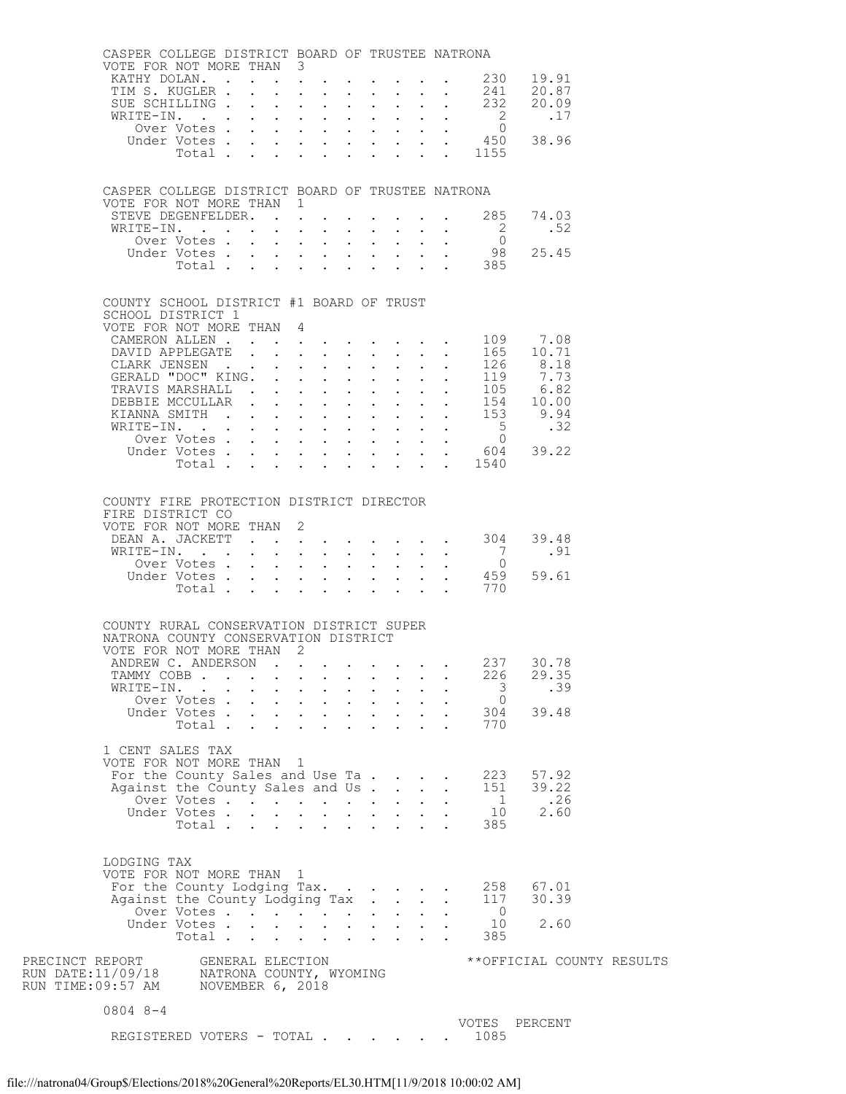|                                                                                                    | CASPER COLLEGE DISTRICT BOARD OF TRUSTEE NATRONA<br>VOTE FOR NOT MORE THAN 3                                                         |              |                                                                 |        |                                                                                                                                                                                                                                                                                                                                                                                                                        |                            |                                           |                                                                                                                                                                                                       |  |
|----------------------------------------------------------------------------------------------------|--------------------------------------------------------------------------------------------------------------------------------------|--------------|-----------------------------------------------------------------|--------|------------------------------------------------------------------------------------------------------------------------------------------------------------------------------------------------------------------------------------------------------------------------------------------------------------------------------------------------------------------------------------------------------------------------|----------------------------|-------------------------------------------|-------------------------------------------------------------------------------------------------------------------------------------------------------------------------------------------------------|--|
|                                                                                                    | KATHY DOLAN. 230                                                                                                                     |              |                                                                 |        |                                                                                                                                                                                                                                                                                                                                                                                                                        |                            |                                           | 19.91                                                                                                                                                                                                 |  |
|                                                                                                    | TIM S. KUGLER                                                                                                                        |              |                                                                 |        |                                                                                                                                                                                                                                                                                                                                                                                                                        |                            | 241                                       | 20.87                                                                                                                                                                                                 |  |
|                                                                                                    | SUE SCHILLING 232                                                                                                                    |              |                                                                 |        |                                                                                                                                                                                                                                                                                                                                                                                                                        |                            |                                           | 20.09                                                                                                                                                                                                 |  |
|                                                                                                    | WRITE-IN.<br>Over Votes                                                                                                              |              |                                                                 |        |                                                                                                                                                                                                                                                                                                                                                                                                                        |                            | $\overline{2}$                            | .17                                                                                                                                                                                                   |  |
|                                                                                                    | Under Votes                                                                                                                          |              |                                                                 |        |                                                                                                                                                                                                                                                                                                                                                                                                                        |                            |                                           | $\begin{bmatrix} 0 & 0 \\ 450 & 38.96 \end{bmatrix}$                                                                                                                                                  |  |
|                                                                                                    | Total 1155                                                                                                                           |              |                                                                 |        |                                                                                                                                                                                                                                                                                                                                                                                                                        |                            |                                           |                                                                                                                                                                                                       |  |
|                                                                                                    | CASPER COLLEGE DISTRICT BOARD OF TRUSTEE NATRONA                                                                                     |              |                                                                 |        |                                                                                                                                                                                                                                                                                                                                                                                                                        |                            |                                           |                                                                                                                                                                                                       |  |
|                                                                                                    | VOTE FOR NOT MORE THAN 1<br>STEVE DEGENFELDER. 285                                                                                   |              |                                                                 |        |                                                                                                                                                                                                                                                                                                                                                                                                                        |                            |                                           | 74.03                                                                                                                                                                                                 |  |
|                                                                                                    | WRITE-IN.                                                                                                                            |              |                                                                 |        |                                                                                                                                                                                                                                                                                                                                                                                                                        |                            | $\overline{c}$                            | .52                                                                                                                                                                                                   |  |
|                                                                                                    | Over Votes                                                                                                                           |              |                                                                 |        |                                                                                                                                                                                                                                                                                                                                                                                                                        |                            | $\overline{0}$                            |                                                                                                                                                                                                       |  |
|                                                                                                    | Over Votes 0<br>Under Votes 98<br>Total 385                                                                                          |              |                                                                 |        |                                                                                                                                                                                                                                                                                                                                                                                                                        |                            |                                           | 25.45                                                                                                                                                                                                 |  |
|                                                                                                    |                                                                                                                                      |              |                                                                 |        |                                                                                                                                                                                                                                                                                                                                                                                                                        |                            |                                           |                                                                                                                                                                                                       |  |
|                                                                                                    | COUNTY SCHOOL DISTRICT #1 BOARD OF TRUST<br>SCHOOL DISTRICT 1<br>VOTE FOR NOT MORE THAN 4                                            |              |                                                                 |        |                                                                                                                                                                                                                                                                                                                                                                                                                        |                            |                                           |                                                                                                                                                                                                       |  |
|                                                                                                    | CAMERON ALLEN 109 7.08                                                                                                               |              |                                                                 |        |                                                                                                                                                                                                                                                                                                                                                                                                                        |                            |                                           |                                                                                                                                                                                                       |  |
|                                                                                                    | DAVID APPLEGATE                                                                                                                      |              |                                                                 |        |                                                                                                                                                                                                                                                                                                                                                                                                                        |                            | 165                                       | 10.71                                                                                                                                                                                                 |  |
|                                                                                                    | CLARK JENSEN<br>GERALD "DOC" KING. .                                                                                                 |              | $\mathbf{L} = \mathbf{L} \mathbf{L}$                            | $\sim$ | $\mathbf{L} = \mathbf{L} \times \mathbf{L}$                                                                                                                                                                                                                                                                                                                                                                            | $\mathbf{L} = \mathbf{L}$  | 126<br>119                                | 8.18<br>7.73                                                                                                                                                                                          |  |
|                                                                                                    | TRAVIS MARSHALL                                                                                                                      |              |                                                                 |        | $\mathbf{r}$ and $\mathbf{r}$ and $\mathbf{r}$ and $\mathbf{r}$                                                                                                                                                                                                                                                                                                                                                        |                            | 105                                       | 6.82                                                                                                                                                                                                  |  |
|                                                                                                    | DEBBIE MCCULLAR                                                                                                                      |              |                                                                 |        |                                                                                                                                                                                                                                                                                                                                                                                                                        |                            |                                           |                                                                                                                                                                                                       |  |
|                                                                                                    | KIANNA SMITH                                                                                                                         |              |                                                                 | $\sim$ |                                                                                                                                                                                                                                                                                                                                                                                                                        |                            |                                           | $\begin{array}{ccccccccc}\n\cdot & \cdot & \cdot & \cdot & \cdot & 154 & 10.00 \\ \cdot & \cdot & \cdot & \cdot & \cdot & 153 & 9.94 \\ \cdot & \cdot & \cdot & \cdot & \cdot & 5 & .32\n\end{array}$ |  |
|                                                                                                    | WRITE-IN.                                                                                                                            |              |                                                                 |        | $\mathbf{r}$ , $\mathbf{r}$ , $\mathbf{r}$ , $\mathbf{r}$                                                                                                                                                                                                                                                                                                                                                              |                            |                                           |                                                                                                                                                                                                       |  |
|                                                                                                    | Over Votes<br>Under Votes 604                                                                                                        |              |                                                                 | $\sim$ | $\mathbf{r}$ , $\mathbf{r}$ , $\mathbf{r}$ , $\mathbf{r}$                                                                                                                                                                                                                                                                                                                                                              |                            | $\overline{0}$                            | 39.22                                                                                                                                                                                                 |  |
|                                                                                                    | Total 1540                                                                                                                           |              |                                                                 |        |                                                                                                                                                                                                                                                                                                                                                                                                                        |                            |                                           |                                                                                                                                                                                                       |  |
|                                                                                                    | COUNTY FIRE PROTECTION DISTRICT DIRECTOR<br>FIRE DISTRICT CO<br>VOTE FOR NOT MORE THAN 2                                             |              |                                                                 |        |                                                                                                                                                                                                                                                                                                                                                                                                                        |                            |                                           |                                                                                                                                                                                                       |  |
|                                                                                                    | DEAN A. JACKETT 304                                                                                                                  |              |                                                                 |        |                                                                                                                                                                                                                                                                                                                                                                                                                        |                            |                                           | 39.48                                                                                                                                                                                                 |  |
|                                                                                                    | WRITE-IN.                                                                                                                            |              |                                                                 |        |                                                                                                                                                                                                                                                                                                                                                                                                                        |                            | $\overline{7}$                            | .91                                                                                                                                                                                                   |  |
|                                                                                                    | Over Votes<br>Uver votes 0<br>Under Votes 459                                                                                        |              |                                                                 | $\sim$ |                                                                                                                                                                                                                                                                                                                                                                                                                        |                            | $\overline{0}$                            | 59.61                                                                                                                                                                                                 |  |
|                                                                                                    | Total                                                                                                                                |              | $\sim$ $\sim$                                                   |        | $\mathbf{1}=\mathbf{1}=\mathbf{1}=\mathbf{1}=\mathbf{1}=\mathbf{1}=\mathbf{1}=\mathbf{1}=\mathbf{1}=\mathbf{1}=\mathbf{1}=\mathbf{1}=\mathbf{1}=\mathbf{1}=\mathbf{1}=\mathbf{1}=\mathbf{1}=\mathbf{1}=\mathbf{1}=\mathbf{1}=\mathbf{1}=\mathbf{1}=\mathbf{1}=\mathbf{1}=\mathbf{1}=\mathbf{1}=\mathbf{1}=\mathbf{1}=\mathbf{1}=\mathbf{1}=\mathbf{1}=\mathbf{1}=\mathbf{1}=\mathbf{1}=\mathbf{1}=\mathbf{1}=\mathbf{$ |                            | 770                                       |                                                                                                                                                                                                       |  |
|                                                                                                    | COUNTY RURAL CONSERVATION DISTRICT SUPER<br>NATRONA COUNTY CONSERVATION DISTRICT<br>VOTE FOR NOT MORE THAN 2                         |              |                                                                 |        |                                                                                                                                                                                                                                                                                                                                                                                                                        |                            |                                           |                                                                                                                                                                                                       |  |
|                                                                                                    | ANDREW C. ANDERSON 237 30.78<br>TAMMY COBB                                                                                           |              |                                                                 |        |                                                                                                                                                                                                                                                                                                                                                                                                                        |                            | 226                                       | 29.35                                                                                                                                                                                                 |  |
|                                                                                                    | WRITE-IN.                                                                                                                            |              |                                                                 |        |                                                                                                                                                                                                                                                                                                                                                                                                                        |                            | 3                                         | .39                                                                                                                                                                                                   |  |
|                                                                                                    | Over Votes                                                                                                                           |              | $\mathbf{r}$ and $\mathbf{r}$ and $\mathbf{r}$ and $\mathbf{r}$ |        |                                                                                                                                                                                                                                                                                                                                                                                                                        |                            | $\bigcirc$                                |                                                                                                                                                                                                       |  |
|                                                                                                    | Under Votes                                                                                                                          |              |                                                                 |        |                                                                                                                                                                                                                                                                                                                                                                                                                        |                            | 304                                       | 39.48                                                                                                                                                                                                 |  |
|                                                                                                    | Total                                                                                                                                |              | $\mathbf{r}$ and $\mathbf{r}$ and $\mathbf{r}$ and $\mathbf{r}$ |        |                                                                                                                                                                                                                                                                                                                                                                                                                        |                            | 770                                       |                                                                                                                                                                                                       |  |
| 1 CENT SALES TAX                                                                                   | VOTE FOR NOT MORE THAN 1<br>For the County Sales and Use Ta<br>Against the County Sales and Us<br>Over Votes<br>Under Votes<br>Total |              |                                                                 |        |                                                                                                                                                                                                                                                                                                                                                                                                                        |                            | 223<br>151<br>$\sim$ 1<br>10<br>385       | 57.92<br>39.22<br>.26<br>2.60                                                                                                                                                                         |  |
| LODGING TAX                                                                                        | VOTE FOR NOT MORE THAN 1<br>For the County Lodging Tax.<br>Against the County Lodging Tax<br>Over Votes.<br>Under Votes<br>Total     | $\mathbf{r}$ |                                                                 |        | $\mathbf{r}$ , $\mathbf{r}$ , $\mathbf{r}$ , $\mathbf{r}$                                                                                                                                                                                                                                                                                                                                                              | $\mathcal{L}^{\text{max}}$ | 258<br>117<br>$\overline{0}$<br>10<br>385 | 67.01<br>30.39<br>2.60                                                                                                                                                                                |  |
| PRECINCT REPORT<br>RUN DATE:11/09/18 MATRONA COUNTY, WYOMING<br>RUN TIME:09:57 AM MOVEMBER 6, 2018 | GENERAL ELECTION                                                                                                                     |              |                                                                 |        |                                                                                                                                                                                                                                                                                                                                                                                                                        |                            |                                           | ** OFFICIAL COUNTY RESULTS                                                                                                                                                                            |  |
| $0804$ 8-4                                                                                         |                                                                                                                                      |              |                                                                 |        |                                                                                                                                                                                                                                                                                                                                                                                                                        |                            |                                           | VOTES PERCENT                                                                                                                                                                                         |  |
|                                                                                                    | REGISTERED VOTERS - TOTAL                                                                                                            |              |                                                                 |        |                                                                                                                                                                                                                                                                                                                                                                                                                        |                            | 1085                                      |                                                                                                                                                                                                       |  |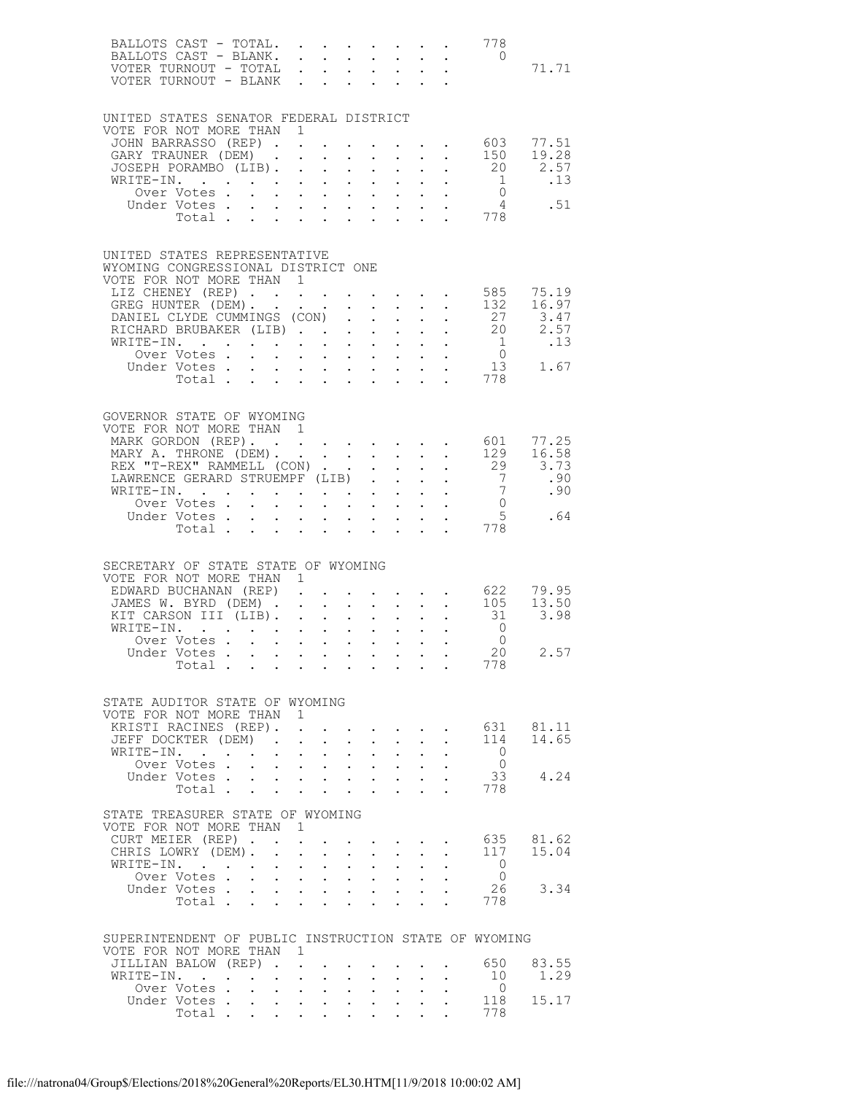|                                                                    | BALLOTS CAST - TOTAL.<br>BALLOTS CAST - BLANK.<br>VOTER TURNOUT - TOTAL $\cdot \cdot \cdot \cdot \cdot \cdot \cdot$ |                                                                                                                                                                                                                       |                                                                       |                                                                                                                      |             |                                                           |                                          |                      |                                                                                         | 778<br>$\overline{0}$                                                            | 71.71                                         |
|--------------------------------------------------------------------|---------------------------------------------------------------------------------------------------------------------|-----------------------------------------------------------------------------------------------------------------------------------------------------------------------------------------------------------------------|-----------------------------------------------------------------------|----------------------------------------------------------------------------------------------------------------------|-------------|-----------------------------------------------------------|------------------------------------------|----------------------|-----------------------------------------------------------------------------------------|----------------------------------------------------------------------------------|-----------------------------------------------|
|                                                                    |                                                                                                                     |                                                                                                                                                                                                                       |                                                                       |                                                                                                                      |             |                                                           |                                          |                      |                                                                                         |                                                                                  |                                               |
| UNITED STATES SENATOR FEDERAL DISTRICT<br>VOTE FOR NOT MORE THAN 1 |                                                                                                                     |                                                                                                                                                                                                                       |                                                                       |                                                                                                                      |             |                                                           |                                          |                      |                                                                                         |                                                                                  |                                               |
|                                                                    | JOHN BARRASSO (REP).                                                                                                |                                                                                                                                                                                                                       |                                                                       | $\mathcal{L}^{\text{max}}$                                                                                           |             |                                                           |                                          |                      | $\mathcal{A}^{\mathcal{A}}$ , $\mathcal{A}^{\mathcal{A}}$ , $\mathcal{A}^{\mathcal{A}}$ |                                                                                  | 603 77.51                                     |
|                                                                    | GARY TRAUNER (DEM).<br>JOSEPH PORAMBO (LIB).                                                                        |                                                                                                                                                                                                                       |                                                                       | $\mathbf{L}$ and $\mathbf{L}$                                                                                        |             |                                                           | $\mathbf{z} = \mathbf{z} + \mathbf{z}$ . |                      | $\mathbf{r}$ , $\mathbf{r}$ , $\mathbf{r}$ , $\mathbf{r}$                               | 150                                                                              | 19.28<br>2.57                                 |
|                                                                    | WRITE-IN.                                                                                                           |                                                                                                                                                                                                                       |                                                                       |                                                                                                                      |             |                                                           |                                          |                      |                                                                                         | $\begin{array}{cccc} . & . & . & . & 20 \\ . & . & . & . & 1 \end{array}$        | $\ldots$                                      |
|                                                                    | Over Votes.<br>Under Votes.                                                                                         | $\mathbf{u}^{\prime}$ , $\mathbf{u}^{\prime}$ , $\mathbf{u}^{\prime}$ , $\mathbf{u}^{\prime}$ , $\mathbf{u}^{\prime}$ , $\mathbf{u}^{\prime}$ , $\mathbf{u}^{\prime}$ , $\mathbf{u}^{\prime}$ , $\mathbf{u}^{\prime}$ |                                                                       |                                                                                                                      |             |                                                           |                                          |                      |                                                                                         |                                                                                  | $\begin{matrix} 0 \\ 4 \end{matrix}$ . 51     |
|                                                                    | Total                                                                                                               |                                                                                                                                                                                                                       |                                                                       |                                                                                                                      |             |                                                           |                                          |                      | $\mathbf{L}^{\text{max}}$ and $\mathbf{L}^{\text{max}}$                                 | 778                                                                              |                                               |
| UNITED STATES REPRESENTATIVE<br>WYOMING CONGRESSIONAL DISTRICT ONE |                                                                                                                     |                                                                                                                                                                                                                       |                                                                       |                                                                                                                      |             |                                                           |                                          |                      |                                                                                         |                                                                                  |                                               |
| VOTE FOR NOT MORE THAN 1                                           |                                                                                                                     |                                                                                                                                                                                                                       |                                                                       |                                                                                                                      |             |                                                           |                                          |                      |                                                                                         |                                                                                  |                                               |
|                                                                    | LIZ CHENEY (REP)<br>GREG HUNTER (DEM).                                                                              |                                                                                                                                                                                                                       |                                                                       |                                                                                                                      |             |                                                           |                                          |                      |                                                                                         | 132                                                                              | 585 75.19<br>16.97                            |
|                                                                    | DANIEL CLYDE CUMMINGS (CON).                                                                                        |                                                                                                                                                                                                                       |                                                                       |                                                                                                                      |             |                                                           |                                          |                      | $\mathbf{r} = \mathbf{r} \times \mathbf{r} = \mathbf{r} \times \mathbf{r}$              | $\begin{array}{c} 27 \\ 20 \end{array}$                                          | 3.47                                          |
|                                                                    | RICHARD BRUBAKER (LIB)                                                                                              |                                                                                                                                                                                                                       |                                                                       |                                                                                                                      |             |                                                           |                                          |                      |                                                                                         |                                                                                  | $3.47$<br>2.57                                |
|                                                                    | WRITE-IN.<br>Over Votes.                                                                                            | $\mathbf{r} = \mathbf{r} - \mathbf{r} = \mathbf{r} - \mathbf{r} = \mathbf{r} - \mathbf{r} = \mathbf{r} - \mathbf{r}$                                                                                                  |                                                                       |                                                                                                                      |             |                                                           |                                          |                      |                                                                                         |                                                                                  | $\begin{matrix} 1 & 13 \\ 0 & 1 \end{matrix}$ |
|                                                                    | Under Votes 13<br>Total 778                                                                                         |                                                                                                                                                                                                                       |                                                                       |                                                                                                                      |             |                                                           |                                          |                      |                                                                                         | 13                                                                               | 1.67                                          |
|                                                                    |                                                                                                                     |                                                                                                                                                                                                                       |                                                                       |                                                                                                                      |             |                                                           |                                          |                      |                                                                                         |                                                                                  |                                               |
| GOVERNOR STATE OF WYOMING<br>VOTE FOR NOT MORE THAN 1              |                                                                                                                     |                                                                                                                                                                                                                       |                                                                       |                                                                                                                      |             |                                                           |                                          |                      |                                                                                         |                                                                                  |                                               |
|                                                                    | MARK GORDON (REP).                                                                                                  |                                                                                                                                                                                                                       |                                                                       |                                                                                                                      |             |                                                           |                                          |                      |                                                                                         | 601                                                                              | 77.25                                         |
|                                                                    | MARY A. THRONE (DEM).                                                                                               |                                                                                                                                                                                                                       |                                                                       |                                                                                                                      |             |                                                           |                                          |                      |                                                                                         | 129                                                                              | 16.58                                         |
|                                                                    | REX "T-REX" RAMMELL (CON)<br>LAWRENCE GERARD STRUEMPF (LIB)                                                         |                                                                                                                                                                                                                       |                                                                       |                                                                                                                      |             |                                                           | $\sim$ $\sim$                            |                      | $\mathbf{L}^{\text{max}}$ , and $\mathbf{L}^{\text{max}}$                               | 29<br>$7\overline{)}$                                                            | 3.73<br>.90                                   |
|                                                                    | WRITE-IN.                                                                                                           |                                                                                                                                                                                                                       |                                                                       |                                                                                                                      |             |                                                           |                                          |                      | $\mathbf{r} = \mathbf{r} \times \mathbf{r} = \mathbf{r} \times \mathbf{r}$              | $\begin{matrix} 7 \\ 0 \end{matrix}$                                             | .90                                           |
|                                                                    | Over Votes                                                                                                          |                                                                                                                                                                                                                       | $\mathbf{r}$ , and $\mathbf{r}$ , and $\mathbf{r}$ , and $\mathbf{r}$ |                                                                                                                      |             |                                                           |                                          |                      |                                                                                         | 5 <sup>5</sup>                                                                   | .64                                           |
|                                                                    | Under Votes 5<br>Total 778                                                                                          |                                                                                                                                                                                                                       |                                                                       |                                                                                                                      |             |                                                           |                                          |                      |                                                                                         |                                                                                  |                                               |
|                                                                    |                                                                                                                     |                                                                                                                                                                                                                       |                                                                       |                                                                                                                      |             |                                                           |                                          |                      |                                                                                         |                                                                                  |                                               |
| SECRETARY OF STATE STATE OF WYOMING<br>VOTE FOR NOT MORE THAN 1    |                                                                                                                     |                                                                                                                                                                                                                       |                                                                       |                                                                                                                      |             |                                                           |                                          |                      |                                                                                         |                                                                                  |                                               |
|                                                                    | EDWARD BUCHANAN (REP)                                                                                               |                                                                                                                                                                                                                       |                                                                       |                                                                                                                      |             |                                                           |                                          |                      | $\mathbf{r}$ and $\mathbf{r}$ and $\mathbf{r}$ and $\mathbf{r}$                         | $\begin{array}{cccc} . & . & . & 622 & 79.95 \\ . & . & 105 & 13.50 \end{array}$ |                                               |
|                                                                    | JAMES W. BYRD (DEM)<br>KIT CARSON III (LIB).                                                                        |                                                                                                                                                                                                                       |                                                                       |                                                                                                                      |             |                                                           |                                          |                      | $\mathbf{L}^{\text{max}}$ , and $\mathbf{L}^{\text{max}}$                               | 31                                                                               | 13.50<br>3.98                                 |
|                                                                    | $\texttt{WRTTE-IN.}$                                                                                                |                                                                                                                                                                                                                       |                                                                       |                                                                                                                      |             |                                                           |                                          |                      |                                                                                         | $\overline{0}$                                                                   |                                               |
|                                                                    | Over Votes<br>Under Votes, , , , , , , , , , ,                                                                      |                                                                                                                                                                                                                       |                                                                       |                                                                                                                      |             |                                                           |                                          |                      |                                                                                         | $\overline{0}$<br>20                                                             | 2.57                                          |
|                                                                    | Total                                                                                                               |                                                                                                                                                                                                                       |                                                                       |                                                                                                                      |             |                                                           |                                          |                      |                                                                                         | 778                                                                              |                                               |
| STATE AUDITOR STATE OF WYOMING                                     |                                                                                                                     |                                                                                                                                                                                                                       |                                                                       |                                                                                                                      |             |                                                           |                                          |                      |                                                                                         |                                                                                  |                                               |
| VOTE FOR NOT MORE THAN 1                                           |                                                                                                                     |                                                                                                                                                                                                                       |                                                                       |                                                                                                                      |             |                                                           |                                          |                      |                                                                                         |                                                                                  | 631 81.11                                     |
|                                                                    | KRISTI RACINES (REP). .<br>JEFF DOCKTER (DEM).                                                                      |                                                                                                                                                                                                                       |                                                                       | $\mathbf{r} = \mathbf{r} + \mathbf{r} + \mathbf{r} + \mathbf{r} + \mathbf{r} + \mathbf{r} + \mathbf{r} + \mathbf{r}$ |             |                                                           |                                          |                      | $\mathbf{r} = \mathbf{r} \cdot \mathbf{r}$ , $\mathbf{r} = \mathbf{r} \cdot \mathbf{r}$ | 114                                                                              | 14.65                                         |
|                                                                    | WRITE-IN.                                                                                                           |                                                                                                                                                                                                                       | $\cdot$ $\cdot$ $\cdot$ $\cdot$                                       |                                                                                                                      |             | $\cdot$ $\cdot$ $\cdot$ $\cdot$                           |                                          | $\ddot{\phantom{0}}$ |                                                                                         | $\overline{0}$                                                                   |                                               |
|                                                                    | Over Votes<br>Under Votes                                                                                           |                                                                                                                                                                                                                       |                                                                       |                                                                                                                      |             | $\sim 10$                                                 | $\sim 10^{-10}$                          | $\sim$ $\sim$        |                                                                                         | $\overline{0}$<br>33                                                             | 4.24                                          |
|                                                                    | Total $\cdots$                                                                                                      |                                                                                                                                                                                                                       |                                                                       |                                                                                                                      |             |                                                           |                                          | $\sim$ $-$           |                                                                                         | 778                                                                              |                                               |
| STATE TREASURER STATE OF WYOMING                                   |                                                                                                                     |                                                                                                                                                                                                                       |                                                                       |                                                                                                                      |             |                                                           |                                          |                      |                                                                                         |                                                                                  |                                               |
| VOTE FOR NOT MORE THAN 1                                           |                                                                                                                     |                                                                                                                                                                                                                       |                                                                       |                                                                                                                      |             |                                                           |                                          |                      |                                                                                         |                                                                                  |                                               |
|                                                                    | CURT MEIER (REP).<br>CHRIS LOWRY (DEM).                                                                             | $\mathbf{L}$                                                                                                                                                                                                          | $\sim$ $-$<br>$\mathbf{L}$                                            | $\sim$                                                                                                               |             | and a series of the series of the<br>$\ddot{\phantom{0}}$ |                                          | $\sim$               |                                                                                         | 635<br>117                                                                       | 81.62<br>15.04                                |
|                                                                    | WRITE-IN.                                                                                                           | $\bullet$ .                                                                                                                                                                                                           |                                                                       | $\mathbf{A}^{(1)}$ and $\mathbf{A}^{(2)}$ and                                                                        | $\bullet$ . | $\sim 10$                                                 | $\sim 10^{-11}$                          | $\sim 100$           |                                                                                         | $\overline{0}$                                                                   |                                               |
|                                                                    | Over Votes                                                                                                          |                                                                                                                                                                                                                       |                                                                       |                                                                                                                      |             |                                                           |                                          |                      |                                                                                         | $\overline{0}$<br>26                                                             | 3.34                                          |
|                                                                    |                                                                                                                     |                                                                                                                                                                                                                       |                                                                       |                                                                                                                      |             |                                                           |                                          |                      |                                                                                         | 778                                                                              |                                               |
| SUPERINTENDENT OF PUBLIC INSTRUCTION STATE OF WYOMING              |                                                                                                                     |                                                                                                                                                                                                                       |                                                                       |                                                                                                                      |             |                                                           |                                          |                      |                                                                                         |                                                                                  |                                               |
| VOTE FOR NOT MORE THAN 1                                           |                                                                                                                     |                                                                                                                                                                                                                       |                                                                       |                                                                                                                      |             |                                                           |                                          |                      |                                                                                         |                                                                                  |                                               |
|                                                                    | JILLIAN BALOW (REP).<br>WRITE-IN.                                                                                   | $\ddot{\phantom{0}}$                                                                                                                                                                                                  |                                                                       | $\mathbf{L}^{\text{max}}$ , $\mathbf{L}^{\text{max}}$<br>$\cdot$ $\cdot$                                             |             | $\mathbf{L}$                                              |                                          |                      |                                                                                         | 650<br>10                                                                        | 83.55<br>1.29                                 |
|                                                                    | Over Votes                                                                                                          |                                                                                                                                                                                                                       |                                                                       |                                                                                                                      |             |                                                           |                                          |                      |                                                                                         | $\overline{0}$                                                                   |                                               |
|                                                                    | Under Votes<br>Total                                                                                                |                                                                                                                                                                                                                       |                                                                       |                                                                                                                      |             |                                                           |                                          | $\sim$               |                                                                                         | 118<br>778                                                                       | 15.17                                         |
|                                                                    |                                                                                                                     |                                                                                                                                                                                                                       |                                                                       |                                                                                                                      |             |                                                           |                                          |                      |                                                                                         |                                                                                  |                                               |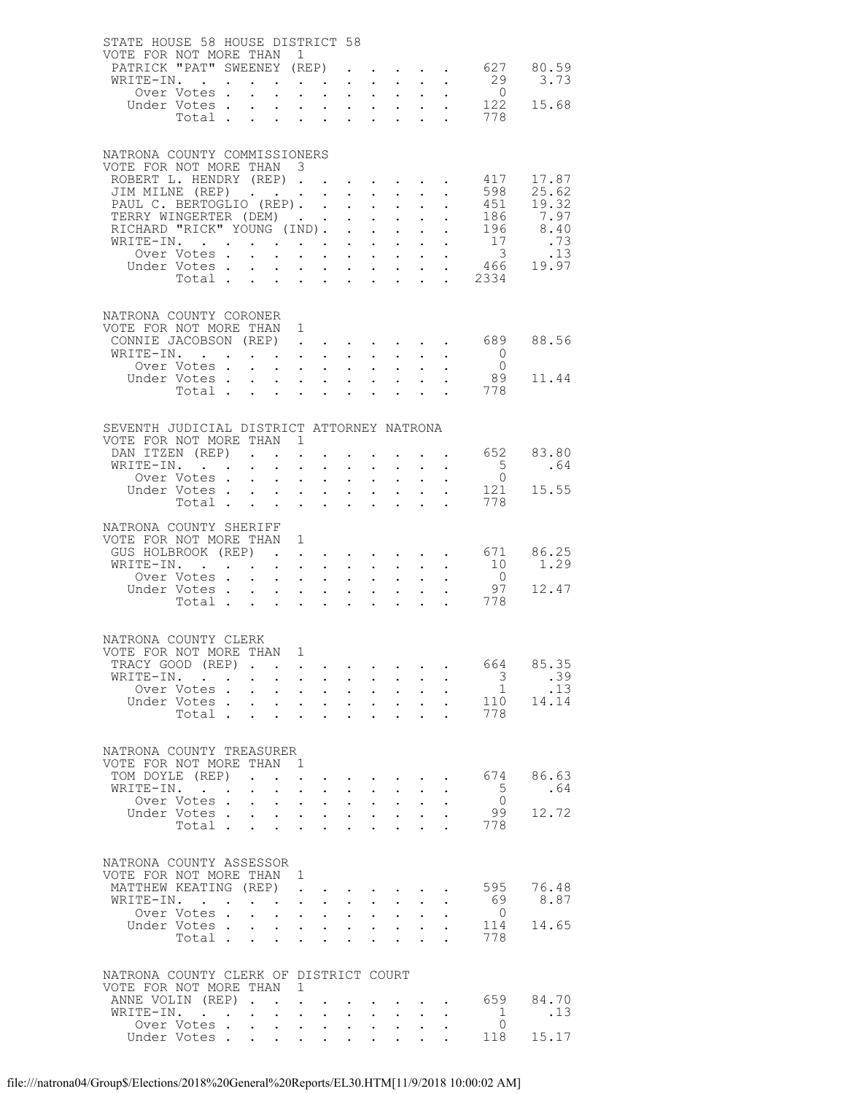| STATE HOUSE 58 HOUSE DISTRICT 58                                 |                                                           |                                                                                          |                             |                                                                                               |                            |                                                                                                     |                            |                                                                                                                       |                            |                                                         |                                                              |               |
|------------------------------------------------------------------|-----------------------------------------------------------|------------------------------------------------------------------------------------------|-----------------------------|-----------------------------------------------------------------------------------------------|----------------------------|-----------------------------------------------------------------------------------------------------|----------------------------|-----------------------------------------------------------------------------------------------------------------------|----------------------------|---------------------------------------------------------|--------------------------------------------------------------|---------------|
| VOTE FOR NOT MORE THAN 1<br>PATRICK "PAT" SWEENEY (REP)          |                                                           |                                                                                          |                             |                                                                                               |                            |                                                                                                     |                            |                                                                                                                       |                            |                                                         |                                                              | 627 80.59     |
| WRITE-IN.                                                        |                                                           |                                                                                          |                             | $\sim$ $-$                                                                                    | $\sim 10^{-1}$             | $\bullet$ .                                                                                         |                            | $\mathbf{L}^{\text{max}}$ , $\mathbf{L}^{\text{max}}$                                                                 |                            |                                                         | 29                                                           | 3.73          |
|                                                                  | Over Votes                                                |                                                                                          |                             |                                                                                               |                            |                                                                                                     |                            |                                                                                                                       | $\mathcal{L}^{\text{max}}$ | $\ddot{\phantom{0}}$                                    | $\overline{0}$                                               |               |
|                                                                  | Under Votes<br>Total                                      |                                                                                          |                             | $\sim 10^{-11}$                                                                               | $\sim 10^{-1}$             | $\sim$                                                                                              |                            | $\mathbf{z} = \mathbf{z} + \mathbf{z}$ .                                                                              |                            | $\mathbf{L}^{\text{max}}$ and $\mathbf{L}^{\text{max}}$ | 122<br>778                                                   | 15.68         |
|                                                                  |                                                           |                                                                                          |                             |                                                                                               |                            |                                                                                                     |                            |                                                                                                                       |                            |                                                         |                                                              |               |
|                                                                  |                                                           |                                                                                          |                             |                                                                                               |                            |                                                                                                     |                            |                                                                                                                       |                            |                                                         |                                                              |               |
| NATRONA COUNTY COMMISSIONERS<br>VOTE FOR NOT MORE THAN 3         |                                                           |                                                                                          |                             |                                                                                               |                            |                                                                                                     |                            |                                                                                                                       |                            |                                                         |                                                              |               |
| ROBERT L. HENDRY (REP)                                           |                                                           |                                                                                          |                             |                                                                                               |                            |                                                                                                     |                            |                                                                                                                       |                            |                                                         | 417                                                          | 17.87         |
| JIM MILNE (REP)                                                  |                                                           |                                                                                          |                             |                                                                                               |                            |                                                                                                     |                            |                                                                                                                       |                            | $\ddot{\phantom{0}}$                                    | 598                                                          | 25.62         |
| PAUL C. BERTOGLIO (REP).<br>TERRY WINGERTER (DEM)                |                                                           |                                                                                          |                             |                                                                                               |                            | $\mathbf{L}$                                                                                        |                            | $\mathbf{L} = \mathbf{L}$<br>$\mathbf{r}$ .                                                                           | $\mathbf{L}$               |                                                         | 451<br>. 186                                                 | 19.32<br>7.97 |
| RICHARD "RICK" YOUNG (IND).                                      |                                                           |                                                                                          |                             |                                                                                               |                            | $\ddot{\phantom{0}}$                                                                                | $\mathcal{L}^{\text{max}}$ | $\sim$ $-$                                                                                                            |                            |                                                         | 196                                                          | 8.40          |
| WRITE-IN.                                                        |                                                           |                                                                                          |                             |                                                                                               |                            |                                                                                                     |                            | $\mathbf{z} = \mathbf{z} + \mathbf{z}$ . The $\mathbf{z}$                                                             | $\sim$ 100 $\pm$           | $\mathcal{L}^{\text{max}}$                              | $\begin{array}{c} 17 \\ 3 \end{array}$                       | .73           |
|                                                                  | Over Votes .<br>Under Votes                               | $\mathbf{L}$                                                                             | $\ddot{\phantom{0}}$        |                                                                                               |                            | $\mathbf{1}^{\prime}$ and $\mathbf{1}^{\prime}$ and $\mathbf{1}^{\prime}$ and $\mathbf{1}^{\prime}$ |                            | $\mathbf{L}^{\text{max}}$ , and $\mathbf{L}^{\text{max}}$                                                             |                            |                                                         |                                                              | .13<br>19.97  |
|                                                                  | Total                                                     |                                                                                          | $\mathcal{L}^{\mathcal{L}}$ | $\mathbf{1}^{\prime}$ , $\mathbf{1}^{\prime}$ , $\mathbf{1}^{\prime}$ , $\mathbf{1}^{\prime}$ |                            |                                                                                                     |                            | $\cdot$ $\cdot$                                                                                                       |                            |                                                         | $\begin{array}{cc} . & 3 \\ . & 466 \\ . & 2334 \end{array}$ |               |
|                                                                  |                                                           |                                                                                          |                             |                                                                                               |                            |                                                                                                     |                            |                                                                                                                       |                            |                                                         |                                                              |               |
| NATRONA COUNTY CORONER                                           |                                                           |                                                                                          |                             |                                                                                               |                            |                                                                                                     |                            |                                                                                                                       |                            |                                                         |                                                              |               |
| VOTE FOR NOT MORE THAN 1                                         |                                                           |                                                                                          |                             |                                                                                               |                            |                                                                                                     |                            |                                                                                                                       |                            |                                                         |                                                              |               |
| CONNIE JACOBSON (REP) 689                                        |                                                           |                                                                                          |                             |                                                                                               |                            |                                                                                                     |                            |                                                                                                                       |                            |                                                         |                                                              | 88.56         |
| WRITE-IN.                                                        | Over Votes                                                |                                                                                          |                             | $\mathbf{A}^{\text{max}}$ , $\mathbf{A}^{\text{max}}$                                         |                            | $\sim$                                                                                              | $\sim$ $-$                 | $\sim$ $-$                                                                                                            | $\sim 10^{-10}$            | $\mathbf{L}^{\text{max}}$                               | $\overline{0}$<br>$\overline{0}$                             |               |
|                                                                  | Under Votes                                               |                                                                                          | $\mathcal{L}^{\text{max}}$  | $\mathbf{A}^{\text{max}}$ , $\mathbf{A}^{\text{max}}$                                         |                            | $\sim$                                                                                              |                            | $\cdot$ $\cdot$                                                                                                       |                            |                                                         | 89                                                           | 11.44         |
|                                                                  |                                                           |                                                                                          |                             |                                                                                               |                            |                                                                                                     |                            |                                                                                                                       |                            |                                                         | Total 778                                                    |               |
|                                                                  |                                                           |                                                                                          |                             |                                                                                               |                            |                                                                                                     |                            |                                                                                                                       |                            |                                                         |                                                              |               |
| SEVENTH JUDICIAL DISTRICT ATTORNEY NATRONA                       |                                                           |                                                                                          |                             |                                                                                               |                            |                                                                                                     |                            |                                                                                                                       |                            |                                                         |                                                              |               |
| VOTE FOR NOT MORE THAN 1                                         |                                                           |                                                                                          |                             |                                                                                               |                            |                                                                                                     |                            |                                                                                                                       |                            |                                                         |                                                              |               |
| DAN ITZEN (REP)<br>WRITE-IN.                                     |                                                           |                                                                                          |                             | $\sim$ $-$                                                                                    |                            |                                                                                                     |                            | <b>Service</b> State                                                                                                  |                            |                                                         | 652<br>$5^{\circ}$                                           | 83.80<br>.64  |
|                                                                  | Over Votes                                                |                                                                                          | $\mathcal{L}^{\mathcal{L}}$ | $\bullet$ .                                                                                   | $\sim$                     | $\mathbf{L}^{\text{max}}$                                                                           | $\mathbf{L}^{\text{max}}$  | $\sim 10$                                                                                                             |                            |                                                         | $\overline{0}$                                               |               |
|                                                                  | Under Votes                                               |                                                                                          |                             |                                                                                               |                            |                                                                                                     |                            | $\mathcal{L}^{\text{max}}$ , and $\mathcal{L}^{\text{max}}$                                                           | $\mathbf{L}^{\text{max}}$  |                                                         | 121                                                          | 15.55         |
|                                                                  | Total                                                     |                                                                                          |                             | $\sim 10^{-11}$                                                                               | $\ddot{\phantom{0}}$       |                                                                                                     |                            |                                                                                                                       |                            |                                                         | 778                                                          |               |
| NATRONA COUNTY SHERIFF                                           |                                                           |                                                                                          |                             |                                                                                               |                            |                                                                                                     |                            |                                                                                                                       |                            |                                                         |                                                              |               |
| VOTE FOR NOT MORE THAN 1<br>GUS HOLBROOK (REP)                   |                                                           |                                                                                          |                             |                                                                                               |                            |                                                                                                     |                            |                                                                                                                       |                            |                                                         | $\cdot$ $\cdot$ 671                                          | 86.25         |
| WRITE-IN.                                                        |                                                           |                                                                                          |                             |                                                                                               | $\sim$                     |                                                                                                     |                            | $\mathbf{A}^{(1)}$ and $\mathbf{A}^{(2)}$ and $\mathbf{A}^{(3)}$                                                      |                            |                                                         | 10                                                           | 1.29          |
|                                                                  | Over Votes                                                |                                                                                          | $\mathbf{L}^{\text{max}}$   | $\mathcal{L}^{\text{max}}$                                                                    | $\sim$ $-$                 | $\ddot{\phantom{0}}$                                                                                | $\mathcal{L}^{\text{max}}$ |                                                                                                                       |                            |                                                         | $\overline{0}$                                               |               |
|                                                                  | Under Votes                                               |                                                                                          |                             |                                                                                               |                            |                                                                                                     |                            | $\mathbf{1}^{\prime}$ , $\mathbf{1}^{\prime}$ , $\mathbf{1}^{\prime}$ , $\mathbf{1}^{\prime}$ , $\mathbf{1}^{\prime}$ |                            |                                                         | 97<br>778                                                    | 12.47         |
|                                                                  | Total                                                     |                                                                                          | $\mathcal{L}^{\text{max}}$  | $\mathbf{L}^{\text{max}}$                                                                     |                            |                                                                                                     |                            |                                                                                                                       |                            |                                                         |                                                              |               |
|                                                                  |                                                           |                                                                                          |                             |                                                                                               |                            |                                                                                                     |                            |                                                                                                                       |                            |                                                         |                                                              |               |
| NATRONA COUNTY CLERK<br>VOTE FOR NOT MORE THAN 1                 |                                                           |                                                                                          |                             |                                                                                               |                            |                                                                                                     |                            |                                                                                                                       |                            |                                                         |                                                              |               |
| TRACY GOOD (REP)                                                 |                                                           |                                                                                          |                             |                                                                                               |                            |                                                                                                     |                            |                                                                                                                       |                            |                                                         | 664                                                          | 85.35         |
| WRITE-IN.                                                        |                                                           |                                                                                          | $\ddot{\phantom{0}}$        | $\sim$                                                                                        | $\sim$                     | $\bullet$ .                                                                                         | $\sim$                     | $\sim$                                                                                                                |                            |                                                         | $\overline{\mathbf{3}}$                                      | .39           |
|                                                                  | Over Votes                                                |                                                                                          |                             |                                                                                               |                            |                                                                                                     |                            |                                                                                                                       | $\mathcal{L}^{\text{max}}$ | $\ddot{\phantom{0}}$                                    | $\mathbf{1}$<br>110                                          | .13<br>14.14  |
|                                                                  | Under Votes<br>Total                                      |                                                                                          | $\mathbf{L}^{\text{max}}$   | $\mathcal{A}^{\mathcal{A}}$ and $\mathcal{A}^{\mathcal{A}}$ and $\mathcal{A}^{\mathcal{A}}$   |                            | $\bullet$ .                                                                                         |                            | $\mathbf{z} = \mathbf{z} + \mathbf{z}$ .                                                                              | $\mathbf{L}$               | $\ddot{\phantom{0}}$                                    | 778                                                          |               |
|                                                                  |                                                           |                                                                                          |                             |                                                                                               |                            |                                                                                                     |                            |                                                                                                                       |                            |                                                         |                                                              |               |
| NATRONA COUNTY TREASURER                                         |                                                           |                                                                                          |                             |                                                                                               |                            |                                                                                                     |                            |                                                                                                                       |                            |                                                         |                                                              |               |
| VOTE FOR NOT MORE THAN                                           |                                                           |                                                                                          |                             | $\overline{1}$                                                                                |                            |                                                                                                     |                            |                                                                                                                       |                            |                                                         |                                                              |               |
| TOM DOYLE (REP)                                                  |                                                           |                                                                                          |                             | $\mathcal{L}^{\text{max}}$                                                                    |                            |                                                                                                     |                            | $\mathbf{r}$ , and $\mathbf{r}$ , and $\mathbf{r}$                                                                    |                            |                                                         | 674                                                          | 86.63         |
| WRITE-IN.                                                        | $\mathbf{r}$ , $\mathbf{r}$ , $\mathbf{r}$<br>Over Votes. | $\mathbf{z} = \mathbf{z} + \mathbf{z}$ , where $\mathbf{z} = \mathbf{z}$<br>$\mathbf{L}$ | $\ddot{\phantom{0}}$        |                                                                                               | $\sim$                     | $\ddot{\phantom{0}}$                                                                                | $\mathcal{L}^{\text{max}}$ | $\mathbf{r} = \mathbf{r} + \mathbf{r} + \mathbf{r} + \mathbf{r}$                                                      |                            | $\mathbf{L} = \mathbf{L}$                               | $5^{\circ}$<br>$\overline{0}$                                | .64           |
|                                                                  | Under Votes                                               |                                                                                          |                             | $\mathbf{L}^{\text{max}}$                                                                     |                            |                                                                                                     |                            | $\sim 10$                                                                                                             | $\mathbf{L}^{\text{max}}$  | $\ddot{\phantom{a}}$                                    | - 99                                                         | 12.72         |
|                                                                  | Total                                                     |                                                                                          | $\ddot{\phantom{0}}$        | $\sim$                                                                                        | $\mathcal{L}^{\text{max}}$ | $\ddot{\phantom{0}}$                                                                                |                            |                                                                                                                       |                            |                                                         | 778                                                          |               |
|                                                                  |                                                           |                                                                                          |                             |                                                                                               |                            |                                                                                                     |                            |                                                                                                                       |                            |                                                         |                                                              |               |
| NATRONA COUNTY ASSESSOR                                          |                                                           |                                                                                          |                             |                                                                                               |                            |                                                                                                     |                            |                                                                                                                       |                            |                                                         |                                                              |               |
| VOTE FOR NOT MORE THAN 1                                         |                                                           |                                                                                          |                             |                                                                                               |                            |                                                                                                     |                            |                                                                                                                       |                            |                                                         |                                                              |               |
| MATTHEW KEATING (REP)<br>WRITE-IN.                               |                                                           | $\mathbf{L} = \mathbf{L}$                                                                |                             | $\mathbf{A}^{\text{max}}$                                                                     | $\sim$ $-$                 | $\bullet$ .                                                                                         | $\sim 10^{-1}$             | $\sim$                                                                                                                |                            |                                                         | 595<br>- 69                                                  | 76.48<br>8.87 |
|                                                                  | Over Votes                                                |                                                                                          |                             |                                                                                               |                            |                                                                                                     |                            | $\mathbf{u} = \mathbf{u} \cdot \mathbf{u}$ .                                                                          | $\ddotsc$                  | $\ddot{\phantom{0}}$                                    | $\overline{0}$                                               |               |
|                                                                  | Under Votes                                               |                                                                                          | $\mathbf{L}^{\text{max}}$   | $\mathbf{1}^{\prime}$ , $\mathbf{1}^{\prime}$ , $\mathbf{1}^{\prime}$ , $\mathbf{1}^{\prime}$ |                            |                                                                                                     |                            | $\mathbf{L}^{\text{max}}$ , and $\mathbf{L}^{\text{max}}$                                                             |                            |                                                         | 114                                                          | 14.65         |
|                                                                  | Total                                                     |                                                                                          |                             |                                                                                               |                            |                                                                                                     |                            |                                                                                                                       | $\sim$ $\sim$              | $\mathbf{L}$                                            | 778                                                          |               |
|                                                                  |                                                           |                                                                                          |                             |                                                                                               |                            |                                                                                                     |                            |                                                                                                                       |                            |                                                         |                                                              |               |
| NATRONA COUNTY CLERK OF DISTRICT COURT<br>VOTE FOR NOT MORE THAN |                                                           |                                                                                          |                             | 1                                                                                             |                            |                                                                                                     |                            |                                                                                                                       |                            |                                                         |                                                              |               |
| ANNE VOLIN (REP)                                                 |                                                           |                                                                                          |                             | $\sim$                                                                                        | $\ddot{\phantom{0}}$       | $\ddot{\phantom{0}}$                                                                                | $\sim 100$                 |                                                                                                                       |                            |                                                         | 659                                                          | 84.70         |
| WRITE-IN.                                                        |                                                           | the contract of the contract of the contract of the                                      |                             |                                                                                               |                            |                                                                                                     |                            |                                                                                                                       |                            | $\ddot{\phantom{a}}$                                    | 1                                                            | .13           |
|                                                                  | Over Votes                                                |                                                                                          | $\sim$                      | $\mathbf{r} = \mathbf{r} + \mathbf{r} + \mathbf{r}$ .                                         |                            |                                                                                                     |                            | $\mathbf{z} = \mathbf{z} + \mathbf{z}$ .                                                                              |                            |                                                         | $\overline{0}$<br>118                                        | 15.17         |
|                                                                  | Under Votes                                               |                                                                                          |                             |                                                                                               |                            |                                                                                                     |                            |                                                                                                                       | $\sim$ 100 $\pm$           |                                                         |                                                              |               |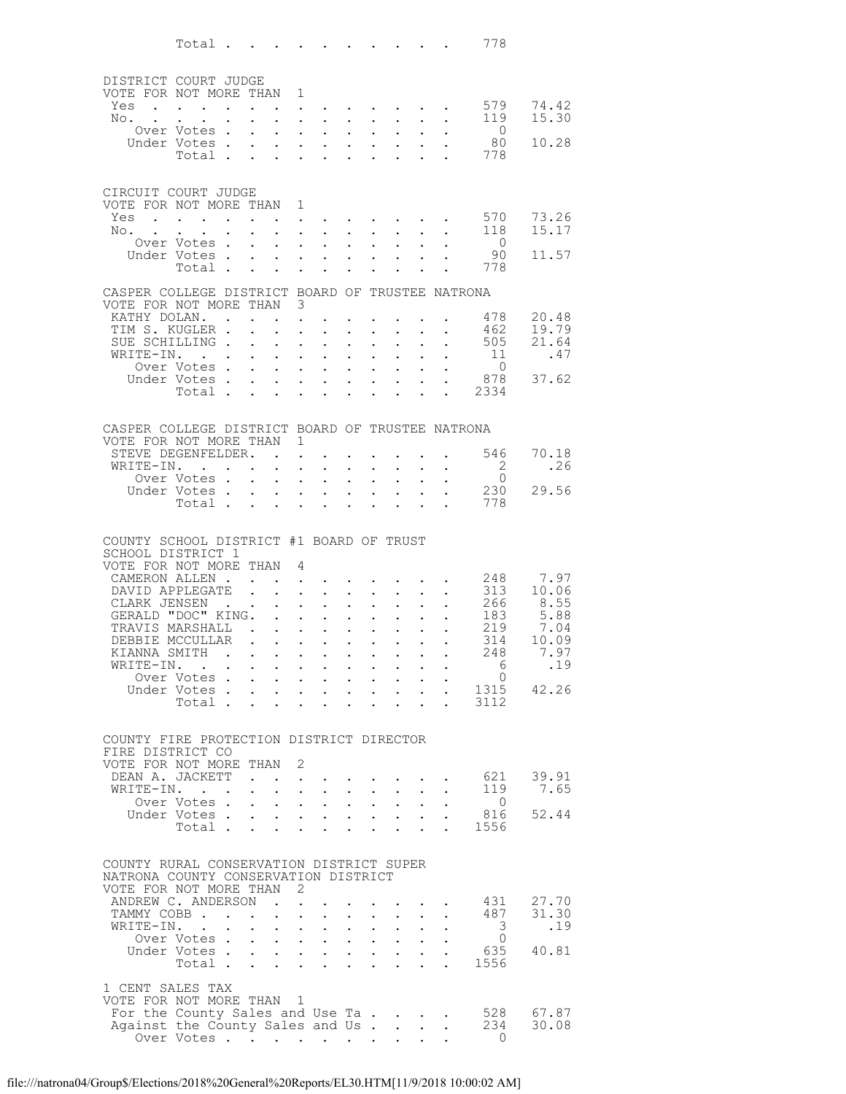|                                                                            | Total                                                                           |                                                                                      |                              |                                                             |                                              |                                                                                                                                                                                            |                      |                                                             |                                                                                                   |                      |                                                           | 778                                        |                |
|----------------------------------------------------------------------------|---------------------------------------------------------------------------------|--------------------------------------------------------------------------------------|------------------------------|-------------------------------------------------------------|----------------------------------------------|--------------------------------------------------------------------------------------------------------------------------------------------------------------------------------------------|----------------------|-------------------------------------------------------------|---------------------------------------------------------------------------------------------------|----------------------|-----------------------------------------------------------|--------------------------------------------|----------------|
| DISTRICT COURT JUDGE                                                       |                                                                                 |                                                                                      |                              |                                                             |                                              |                                                                                                                                                                                            |                      |                                                             |                                                                                                   |                      |                                                           |                                            |                |
| VOTE FOR NOT MORE THAN                                                     |                                                                                 |                                                                                      |                              |                                                             | 1                                            |                                                                                                                                                                                            |                      |                                                             |                                                                                                   |                      |                                                           |                                            |                |
| Yes                                                                        |                                                                                 |                                                                                      |                              |                                                             |                                              | $\mathbf{z} = \mathbf{z} + \mathbf{z}$ .                                                                                                                                                   |                      |                                                             |                                                                                                   |                      |                                                           | 579                                        | 74.42          |
| No.                                                                        | Over Votes.                                                                     |                                                                                      |                              |                                                             | $\ddot{\phantom{0}}$<br>$\ddot{\phantom{0}}$ | $\sim$ $\sim$<br>$\ddot{\phantom{0}}$                                                                                                                                                      |                      | $\sim$ $-$                                                  | $\cdot$ $\cdot$ $\cdot$ $\cdot$                                                                   |                      | $\ddot{\phantom{1}}$                                      | 119<br>$\overline{0}$                      | 15.30          |
|                                                                            | Under Votes .                                                                   |                                                                                      | $\mathbf{L}$                 | $\mathbf{L}$                                                | $\mathbf{L}$                                 | $\sim$                                                                                                                                                                                     | $\mathbf{L}$         | $\mathbf{L}$                                                | $\mathbf{r}$                                                                                      |                      |                                                           | 80                                         | 10.28          |
|                                                                            | Total .                                                                         |                                                                                      | $\ddot{\phantom{a}}$         | $\ddot{\phantom{0}}$                                        | $\ddot{\phantom{a}}$                         | $\ddot{\phantom{a}}$                                                                                                                                                                       |                      |                                                             |                                                                                                   |                      |                                                           | 778                                        |                |
| CIRCUIT COURT JUDGE                                                        |                                                                                 |                                                                                      |                              |                                                             |                                              |                                                                                                                                                                                            |                      |                                                             |                                                                                                   |                      |                                                           |                                            |                |
| VOTE FOR NOT MORE THAN                                                     |                                                                                 |                                                                                      |                              |                                                             | 1                                            |                                                                                                                                                                                            |                      |                                                             |                                                                                                   |                      |                                                           |                                            |                |
| Yes<br>No. .                                                               | the contract of the contract of the contract of the contract of the contract of |                                                                                      |                              | $\ddot{\phantom{0}}$                                        |                                              | $\mathbf{r} = \mathbf{r} - \mathbf{r} = \mathbf{r} - \mathbf{r} = \mathbf{r} - \mathbf{r} = \mathbf{r}$<br>$\mathbf{L}$ and $\mathbf{L}$                                                   |                      | $\cdot$ $\cdot$                                             | $\sim$                                                                                            | $\ddot{\phantom{a}}$ | $\ddot{\phantom{0}}$                                      | 570<br>118                                 | 73.26<br>15.17 |
|                                                                            | Over Votes.                                                                     |                                                                                      | $\sim$                       | $\mathcal{L}^{\text{max}}$                                  | $\ddot{\phantom{a}}$                         | $\sim$ $\sim$                                                                                                                                                                              |                      | $\mathbf{L} = \mathbf{L} \mathbf{L}$                        | $\sim$ 100 $\pm$                                                                                  |                      |                                                           | $\overline{0}$                             |                |
|                                                                            | Under Votes.<br>Total.                                                          |                                                                                      | $\ddot{\phantom{0}}$         | $\ddot{\phantom{0}}$<br><b>Contract Contract Contract</b>   | $\mathbf{L}^{\text{max}}$                    | $\sim$<br>$\mathbf{L}^{\text{max}}$ , and $\mathbf{L}^{\text{max}}$                                                                                                                        | $\mathbf{L}$         | $\sim$<br>$\ddot{\phantom{a}}$                              | $\ddot{\phantom{a}}$                                                                              |                      |                                                           | 90<br>778                                  | 11.57          |
| CASPER COLLEGE DISTRICT BOARD OF TRUSTEE NATRONA                           |                                                                                 |                                                                                      |                              |                                                             |                                              |                                                                                                                                                                                            |                      |                                                             |                                                                                                   |                      |                                                           |                                            |                |
| VOTE FOR NOT MORE THAN 3                                                   |                                                                                 |                                                                                      |                              |                                                             |                                              |                                                                                                                                                                                            |                      |                                                             |                                                                                                   |                      |                                                           |                                            |                |
| KATHY DOLAN. .                                                             |                                                                                 |                                                                                      |                              |                                                             | $\ddot{\phantom{a}}$                         |                                                                                                                                                                                            |                      |                                                             |                                                                                                   |                      |                                                           | 478                                        | 20.48<br>19.79 |
| TIM S. KUGLER.<br>SUE SCHILLING.                                           |                                                                                 |                                                                                      | $\mathbf{L}$<br>$\mathbf{r}$ | $\sim$<br>$\sim$ 10 $\pm$                                   | $\ddot{\phantom{a}}$<br>$\ddot{\phantom{a}}$ | $\ddot{\phantom{a}}$                                                                                                                                                                       | $\ddot{\phantom{0}}$ | $\ddot{\phantom{0}}$<br>$\ddot{\phantom{a}}$                | $\ddot{\phantom{a}}$                                                                              |                      | $\ddot{\phantom{0}}$<br>$\mathbf{r}$                      | 462<br>505                                 | 21.64          |
| WRITE-IN.                                                                  |                                                                                 |                                                                                      |                              | $\bullet$ .<br><br><br><br><br><br><br><br><br><br><br><br> | $\sim$ 100 $\pm$                             | $\ddot{\phantom{0}}$                                                                                                                                                                       |                      | $\bullet$ .                                                 | $\ddot{\phantom{0}}$                                                                              | $\ddot{\phantom{0}}$ | $\bullet$ .                                               | 11                                         | .47            |
|                                                                            | Over Votes.<br>Under Votes.                                                     |                                                                                      |                              | $\mathbf{L}$<br>$\mathbf{L}$                                |                                              | $\sim$<br>$\mathbf{L}^{\text{max}}$ , $\mathbf{L}^{\text{max}}$                                                                                                                            | $\mathbf{r}$         | $\ddot{\phantom{a}}$                                        | $\mathbf{L}$<br>$\mathbf{r} = \mathbf{r} \mathbf{r}$ , where $\mathbf{r} = \mathbf{r} \mathbf{r}$ | $\ddot{\phantom{0}}$ |                                                           | $\overline{0}$<br>878                      | 37.62          |
|                                                                            | Total.                                                                          |                                                                                      | $\mathbf{r}$                 | $\mathbf{L}$                                                |                                              | $\mathbf{L} = \mathbf{L} \mathbf{L}$                                                                                                                                                       | $\mathbf{L}$         | $\ddot{\phantom{a}}$                                        | $\sim$                                                                                            |                      |                                                           | . 2334                                     |                |
|                                                                            |                                                                                 |                                                                                      |                              |                                                             |                                              |                                                                                                                                                                                            |                      |                                                             |                                                                                                   |                      |                                                           |                                            |                |
| CASPER COLLEGE DISTRICT BOARD OF TRUSTEE NATRONA<br>VOTE FOR NOT MORE THAN |                                                                                 |                                                                                      |                              |                                                             | $\mathbf{1}$                                 |                                                                                                                                                                                            |                      |                                                             |                                                                                                   |                      |                                                           |                                            |                |
| STEVE DEGENFELDER. .                                                       |                                                                                 |                                                                                      |                              |                                                             | $\ddot{\phantom{a}}$                         |                                                                                                                                                                                            |                      |                                                             |                                                                                                   |                      |                                                           | 546                                        | 70.18          |
| WRITE-IN.                                                                  | $\mathbf{r}$ , $\mathbf{r}$ , $\mathbf{r}$<br>Over Votes.                       |                                                                                      | $\mathbf{L}$                 | $\ddot{\phantom{0}}$                                        | $\ddot{\phantom{a}}$                         | $\ddot{\phantom{a}}$                                                                                                                                                                       |                      | $\ddot{\phantom{a}}$                                        |                                                                                                   |                      | $\ddot{\phantom{0}}$                                      | $\overline{\phantom{0}}^2$<br>$\mathbf{0}$ | .26            |
|                                                                            | Under Votes .                                                                   |                                                                                      |                              | $\ddotsc$                                                   | $\sim$                                       | $\ddot{\phantom{0}}$<br>$\sim$                                                                                                                                                             | $\mathbf{L}$         | $\sim$<br>$\ddot{\phantom{a}}$                              |                                                                                                   |                      |                                                           | 230                                        | 29.56          |
|                                                                            | Total .                                                                         |                                                                                      | $\sim$                       | $\ddot{\phantom{0}}$                                        |                                              | $\ddot{\phantom{a}}$                                                                                                                                                                       |                      |                                                             | $\ddot{\phantom{a}}$                                                                              |                      | $\ddot{\phantom{a}}$                                      | 778                                        |                |
|                                                                            |                                                                                 |                                                                                      |                              |                                                             |                                              |                                                                                                                                                                                            |                      |                                                             |                                                                                                   |                      |                                                           |                                            |                |
| COUNTY SCHOOL DISTRICT #1 BOARD OF TRUST<br>SCHOOL DISTRICT 1              |                                                                                 |                                                                                      |                              |                                                             |                                              |                                                                                                                                                                                            |                      |                                                             |                                                                                                   |                      |                                                           |                                            |                |
| VOTE FOR NOT MORE THAN                                                     |                                                                                 |                                                                                      |                              |                                                             | $\overline{4}$                               |                                                                                                                                                                                            |                      |                                                             |                                                                                                   |                      |                                                           |                                            |                |
| CAMERON ALLEN.<br>DAVID APPLEGATE                                          |                                                                                 |                                                                                      | $\sim$ $\sim$                |                                                             |                                              | $\mathbf{L}$<br>$\ddot{\phantom{a}}$                                                                                                                                                       | $\mathbf{L}$         | $\mathbf{L}^{\text{max}}$                                   | $\mathbf{L}$                                                                                      |                      | $\ddot{\phantom{1}}$                                      | 248<br>313                                 | 7.97<br>10.06  |
| CLARK JENSEN                                                               |                                                                                 |                                                                                      |                              |                                                             | $\mathcal{L}^{\text{max}}$                   | $\bullet$ .                                                                                                                                                                                |                      | $\ddot{\phantom{0}}$                                        |                                                                                                   |                      |                                                           | 266                                        | 8.55           |
| GERALD "DOC" KING.<br>TRAVIS MARSHALL.                                     |                                                                                 |                                                                                      |                              | $\mathbf{r}$                                                |                                              | $\ddot{\phantom{a}}$                                                                                                                                                                       | $\mathbf{r}$         | $\ddot{\phantom{a}}$                                        | $\ddot{\phantom{a}}$                                                                              |                      |                                                           | 183<br>219                                 | 5.88<br>7.04   |
| DEBBIE MCCULLAR                                                            |                                                                                 |                                                                                      |                              |                                                             |                                              | $\mathbf{z} = \mathbf{z} + \mathbf{z}$ .                                                                                                                                                   |                      | $\cdot$ $\cdot$                                             | $\bullet$ .<br>$\Delta \sim 10^{-11}$                                                             | $\ddot{\phantom{0}}$ |                                                           | 314                                        | 10.09          |
| KIANNA SMITH                                                               |                                                                                 | $\mathcal{A}(\mathcal{A})$ , $\mathcal{A}(\mathcal{A})$ , $\mathcal{A}(\mathcal{A})$ |                              |                                                             |                                              | $\bullet$ . In the set of $\bullet$                                                                                                                                                        |                      | $\bullet$ .<br><br><br><br><br><br><br><br><br><br><br><br> |                                                                                                   |                      |                                                           | 248                                        | 7.97           |
| WRITE-IN.                                                                  | Over Votes                                                                      |                                                                                      |                              |                                                             |                                              | the contract of the contract of the contract of the contract of the contract of the contract of the contract of<br>$\mathbf{u}^{\prime}=\mathbf{u}^{\prime}$ , where $\mathbf{u}^{\prime}$ |                      |                                                             | $\mathbf{z} = \mathbf{z} + \mathbf{z}$ , where $\mathbf{z} = \mathbf{z}$                          |                      |                                                           | 6<br>$\overline{0}$                        | .19            |
|                                                                            | Under Votes                                                                     |                                                                                      |                              |                                                             |                                              |                                                                                                                                                                                            |                      |                                                             |                                                                                                   |                      |                                                           | 1315                                       | 42.26          |
|                                                                            | Total                                                                           |                                                                                      |                              |                                                             |                                              | $\sim$                                                                                                                                                                                     |                      |                                                             | $\mathbf{r}$ , $\mathbf{r}$ , $\mathbf{r}$                                                        |                      | $\sim$                                                    | 3112                                       |                |
| COUNTY FIRE PROTECTION DISTRICT DIRECTOR                                   |                                                                                 |                                                                                      |                              |                                                             |                                              |                                                                                                                                                                                            |                      |                                                             |                                                                                                   |                      |                                                           |                                            |                |
| FIRE DISTRICT CO                                                           |                                                                                 |                                                                                      |                              |                                                             |                                              |                                                                                                                                                                                            |                      |                                                             |                                                                                                   |                      |                                                           |                                            |                |
| VOTE FOR NOT MORE THAN 2<br>DEAN A. JACKETT.                               |                                                                                 |                                                                                      |                              |                                                             |                                              |                                                                                                                                                                                            |                      |                                                             |                                                                                                   |                      |                                                           | 621                                        | 39.91          |
| WRITE-IN.                                                                  |                                                                                 |                                                                                      |                              |                                                             |                                              | $\mathbf{r} = \mathbf{r} + \mathbf{r}$ , where<br>the contract of the contract of the contract of the contract of the contract of the contract of the contract of                          |                      |                                                             |                                                                                                   |                      | $\mathbf{L}$ $\mathbf{L}$                                 | 119                                        | 7.65           |
|                                                                            | Over Votes                                                                      |                                                                                      |                              |                                                             |                                              | $\mathbf{u} = \mathbf{u} \mathbf{u} + \mathbf{u} \mathbf{u}$                                                                                                                               |                      |                                                             | $\mathbf{r} = \mathbf{r} + \mathbf{r}$ , where $\mathbf{r} = \mathbf{r}$                          | $\ddot{\phantom{0}}$ |                                                           | $\overline{0}$                             |                |
|                                                                            | Under Votes<br>Total                                                            |                                                                                      |                              | $\sim$                                                      | $\mathcal{L}^{\text{max}}$                   | $\sim$                                                                                                                                                                                     |                      | $\mathbf{r}$                                                | $\mathcal{L}^{\text{max}}$                                                                        | $\ddot{\phantom{a}}$ | $\sim$ 100 $\sim$                                         | 816<br>1556                                | 52.44          |
|                                                                            |                                                                                 |                                                                                      |                              |                                                             |                                              |                                                                                                                                                                                            |                      |                                                             |                                                                                                   |                      |                                                           |                                            |                |
| COUNTY RURAL CONSERVATION DISTRICT SUPER                                   |                                                                                 |                                                                                      |                              |                                                             |                                              |                                                                                                                                                                                            |                      |                                                             |                                                                                                   |                      |                                                           |                                            |                |
| NATRONA COUNTY CONSERVATION DISTRICT<br>VOTE FOR NOT MORE THAN 2           |                                                                                 |                                                                                      |                              |                                                             |                                              |                                                                                                                                                                                            |                      |                                                             |                                                                                                   |                      |                                                           |                                            |                |
| ANDREW C. ANDERSON                                                         |                                                                                 |                                                                                      |                              | $\sim$ $\sim$                                               | $\mathcal{L}^{\text{max}}$                   |                                                                                                                                                                                            |                      |                                                             |                                                                                                   |                      |                                                           | 431                                        | 27.70          |
| TAMMY COBB<br>WRITE-IN.                                                    |                                                                                 |                                                                                      |                              |                                                             |                                              | $\mathbf{z} = \mathbf{z} + \mathbf{z}$ . The $\mathbf{z}$                                                                                                                                  |                      |                                                             | $\mathbf{z} = \mathbf{z} + \mathbf{z}$ , where $\mathbf{z} = \mathbf{z}$                          |                      | $\mathbf{r}$ , $\mathbf{r}$ , $\mathbf{r}$ , $\mathbf{r}$ | 487<br>3                                   | 31.30<br>.19   |
|                                                                            | Over Votes                                                                      |                                                                                      |                              |                                                             |                                              |                                                                                                                                                                                            |                      |                                                             |                                                                                                   |                      |                                                           | $\circ$                                    |                |
|                                                                            | Under Votes<br>Total                                                            |                                                                                      |                              |                                                             |                                              |                                                                                                                                                                                            |                      |                                                             |                                                                                                   |                      |                                                           | 635<br>1556                                | 40.81          |
|                                                                            |                                                                                 |                                                                                      |                              |                                                             |                                              |                                                                                                                                                                                            |                      |                                                             |                                                                                                   |                      |                                                           |                                            |                |
| 1 CENT SALES TAX<br>VOTE FOR NOT MORE THAN 1                               |                                                                                 |                                                                                      |                              |                                                             |                                              |                                                                                                                                                                                            |                      |                                                             |                                                                                                   |                      |                                                           |                                            |                |
| For the County Sales and Use Ta                                            |                                                                                 |                                                                                      |                              |                                                             |                                              |                                                                                                                                                                                            |                      |                                                             |                                                                                                   |                      |                                                           | 528                                        | 67.87          |
| Against the County Sales and Us                                            | Over Votes                                                                      |                                                                                      |                              |                                                             |                                              |                                                                                                                                                                                            |                      |                                                             |                                                                                                   |                      | $\sim$ $-$                                                | 234<br>$\Omega$                            | 30.08          |
|                                                                            |                                                                                 |                                                                                      |                              |                                                             |                                              |                                                                                                                                                                                            |                      |                                                             |                                                                                                   |                      |                                                           |                                            |                |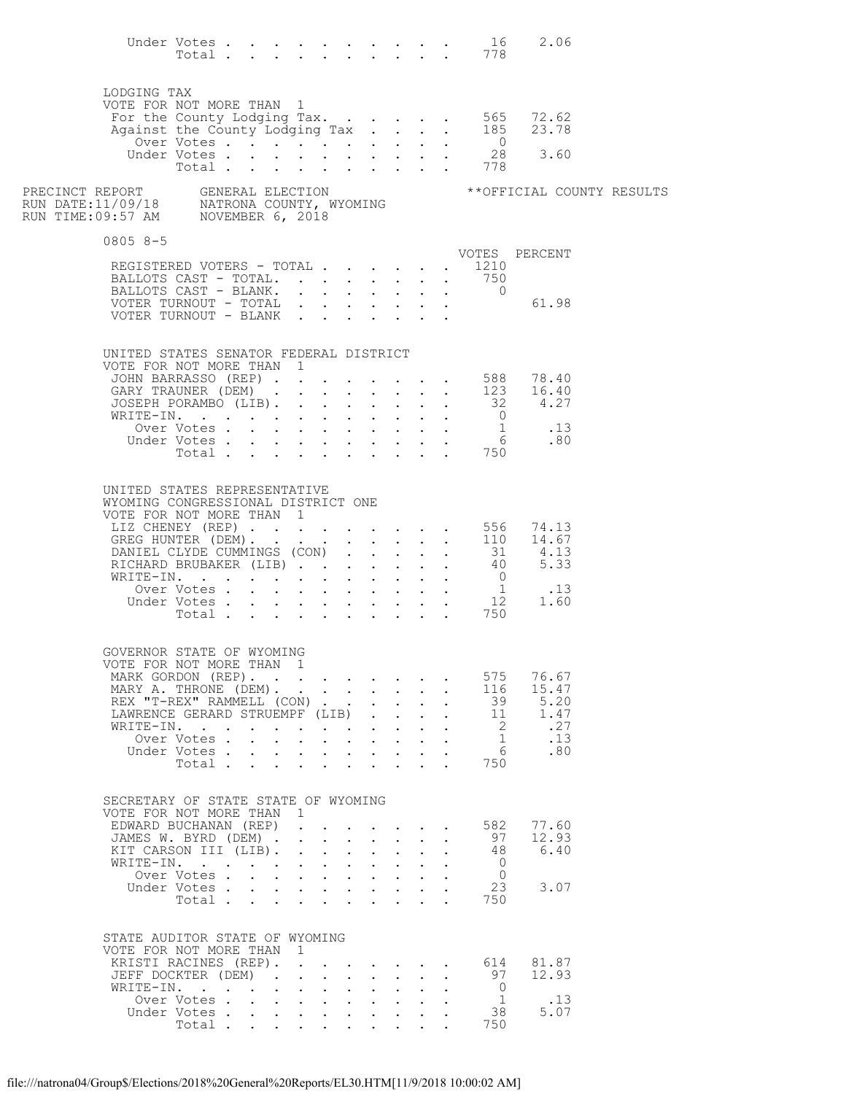|                                                                                                                                 | Total                                          |  |              |                               |                                                                                                                                    |                           |                                      | Under Votes $\ldots$ $\ldots$ $\ldots$ $\ldots$ $\ldots$ 16<br>. 778 | 2.06          |     |                            |
|---------------------------------------------------------------------------------------------------------------------------------|------------------------------------------------|--|--------------|-------------------------------|------------------------------------------------------------------------------------------------------------------------------------|---------------------------|--------------------------------------|----------------------------------------------------------------------|---------------|-----|----------------------------|
| LODGING TAX                                                                                                                     |                                                |  |              |                               |                                                                                                                                    |                           |                                      |                                                                      |               |     |                            |
| VOTE FOR NOT MORE THAN 1                                                                                                        |                                                |  |              |                               |                                                                                                                                    |                           |                                      |                                                                      | 72.62         |     |                            |
|                                                                                                                                 |                                                |  |              |                               |                                                                                                                                    |                           |                                      | For the County Lodging Tax 565<br>Against the County Lodging Tax 185 | 23.78         |     |                            |
|                                                                                                                                 | Over Votes                                     |  |              |                               |                                                                                                                                    |                           |                                      | $\overline{0}$<br>28                                                 | 3.60          |     |                            |
|                                                                                                                                 | Under Votes<br>Total                           |  |              |                               |                                                                                                                                    |                           |                                      | 778                                                                  |               |     |                            |
| PRECINCT REPORT     GENERAL ELECTION<br>RUN DATE:11/09/18     NATRONA COUNTY, WYOMING<br>RUN TIME:09:57 AM     NOVEMBER 6, 2018 |                                                |  |              |                               |                                                                                                                                    |                           |                                      |                                                                      |               |     | ** OFFICIAL COUNTY RESULTS |
| $08058 - 5$                                                                                                                     |                                                |  |              |                               |                                                                                                                                    |                           |                                      |                                                                      |               |     |                            |
|                                                                                                                                 | REGISTERED VOTERS - TOTAL                      |  |              |                               |                                                                                                                                    |                           |                                      | VOTES PERCENT<br>. 1210                                              |               |     |                            |
| BALLOTS CAST - TOTAL.                                                                                                           |                                                |  |              |                               |                                                                                                                                    |                           |                                      | 750                                                                  |               |     |                            |
| BALLOTS CAST - BLANK.                                                                                                           |                                                |  |              |                               |                                                                                                                                    |                           |                                      | $\overline{0}$                                                       |               |     |                            |
| VOTER TURNOUT - TOTAL<br>VOTER TURNOUT - BLANK                                                                                  |                                                |  |              |                               |                                                                                                                                    |                           |                                      |                                                                      | 61.98         |     |                            |
|                                                                                                                                 |                                                |  |              |                               |                                                                                                                                    |                           |                                      |                                                                      |               |     |                            |
| UNITED STATES SENATOR FEDERAL DISTRICT                                                                                          |                                                |  |              |                               |                                                                                                                                    |                           |                                      |                                                                      |               |     |                            |
| VOTE FOR NOT MORE THAN 1                                                                                                        |                                                |  |              |                               |                                                                                                                                    |                           |                                      |                                                                      |               |     |                            |
|                                                                                                                                 |                                                |  |              |                               |                                                                                                                                    |                           |                                      | JOHN BARRASSO (REP) 588 78.40<br>GARY TRAUNER (DEM) 123 16.40        |               |     |                            |
|                                                                                                                                 | JOSEPH PORAMBO (LIB).                          |  |              |                               |                                                                                                                                    |                           | $\mathbf{L}$ and $\mathbf{L}$        |                                                                      | $32$ 4.27     |     |                            |
|                                                                                                                                 | WRITE-IN.                                      |  |              |                               |                                                                                                                                    |                           |                                      |                                                                      |               |     |                            |
|                                                                                                                                 |                                                |  |              |                               |                                                                                                                                    |                           |                                      |                                                                      |               |     |                            |
|                                                                                                                                 |                                                |  |              |                               |                                                                                                                                    |                           |                                      | Under Votes 1<br>Under Votes 6 .80<br>Total 750                      |               |     |                            |
|                                                                                                                                 |                                                |  |              |                               |                                                                                                                                    |                           |                                      |                                                                      |               |     |                            |
| UNITED STATES REPRESENTATIVE<br>WYOMING CONGRESSIONAL DISTRICT ONE                                                              |                                                |  |              |                               |                                                                                                                                    |                           |                                      |                                                                      |               |     |                            |
| VOTE FOR NOT MORE THAN 1                                                                                                        |                                                |  |              |                               |                                                                                                                                    |                           |                                      |                                                                      |               |     |                            |
|                                                                                                                                 |                                                |  |              |                               |                                                                                                                                    |                           |                                      | LIZ CHENEY (REP) 556 74.13<br>GREG HUNTER (DEM) 110 14.67            |               |     |                            |
|                                                                                                                                 |                                                |  |              |                               |                                                                                                                                    |                           |                                      |                                                                      |               |     |                            |
|                                                                                                                                 |                                                |  |              |                               |                                                                                                                                    |                           |                                      | RICHARD BRUBAKER (LIB) 31 4.13<br>WRITE-IN. 40 5.33                  |               |     |                            |
|                                                                                                                                 |                                                |  |              |                               |                                                                                                                                    |                           |                                      |                                                                      |               |     |                            |
|                                                                                                                                 |                                                |  |              |                               |                                                                                                                                    |                           |                                      |                                                                      |               |     |                            |
|                                                                                                                                 |                                                |  |              |                               |                                                                                                                                    |                           |                                      |                                                                      |               |     |                            |
|                                                                                                                                 |                                                |  |              |                               |                                                                                                                                    |                           |                                      |                                                                      |               |     |                            |
| GOVERNOR STATE OF WYOMING                                                                                                       |                                                |  |              |                               |                                                                                                                                    |                           |                                      |                                                                      |               |     |                            |
| VOTE FOR NOT MORE THAN 1                                                                                                        |                                                |  |              |                               |                                                                                                                                    |                           |                                      |                                                                      |               |     |                            |
| MARK GORDON (REP).                                                                                                              |                                                |  |              |                               |                                                                                                                                    |                           |                                      | 575                                                                  | 76.67         |     |                            |
| MARY A. THRONE (DEM).                                                                                                           | REX "T-REX" RAMMELL (CON)                      |  |              |                               |                                                                                                                                    |                           | $\mathbf{L}$<br>$\ddot{\phantom{a}}$ | 116<br>39                                                            | 15.47<br>5.20 |     |                            |
|                                                                                                                                 | LAWRENCE GERARD STRUEMPF (LIB)                 |  |              |                               |                                                                                                                                    |                           |                                      | - 11                                                                 | 1.47          |     |                            |
|                                                                                                                                 | WRITE-IN.                                      |  |              |                               |                                                                                                                                    |                           |                                      | $\overline{2}$                                                       |               | .27 |                            |
|                                                                                                                                 | Over Votes                                     |  |              |                               |                                                                                                                                    |                           |                                      | $\overline{1}$                                                       | .13           |     |                            |
|                                                                                                                                 | Under Votes<br>Total                           |  |              |                               |                                                                                                                                    |                           |                                      | 6<br>750                                                             |               | .80 |                            |
|                                                                                                                                 |                                                |  |              |                               |                                                                                                                                    |                           |                                      |                                                                      |               |     |                            |
| SECRETARY OF STATE STATE OF WYOMING                                                                                             |                                                |  |              |                               |                                                                                                                                    |                           |                                      |                                                                      |               |     |                            |
| VOTE FOR NOT MORE THAN                                                                                                          |                                                |  | $\mathbf{1}$ |                               |                                                                                                                                    |                           |                                      |                                                                      |               |     |                            |
|                                                                                                                                 | EDWARD BUCHANAN (REP)                          |  |              |                               |                                                                                                                                    |                           | $\ddot{\phantom{a}}$                 | 582                                                                  | 77.60         |     |                            |
|                                                                                                                                 | JAMES W. BYRD (DEM) .<br>KIT CARSON III (LIB). |  |              |                               | $\mathbf{r}$ and $\mathbf{r}$ and $\mathbf{r}$ and $\mathbf{r}$<br>$\mathbf{r}$ and $\mathbf{r}$ and $\mathbf{r}$ and $\mathbf{r}$ |                           |                                      | 97<br>48                                                             | 12.93<br>6.40 |     |                            |
|                                                                                                                                 | WRITE-IN.                                      |  |              |                               |                                                                                                                                    |                           |                                      | $\overline{0}$                                                       |               |     |                            |
|                                                                                                                                 | Over Votes                                     |  |              |                               | $\mathbf{r}$ , $\mathbf{r}$ , $\mathbf{r}$ , $\mathbf{r}$                                                                          | $\sim$ $-$                |                                      | $\overline{0}$                                                       |               |     |                            |
|                                                                                                                                 | Under Votes<br>Total                           |  |              |                               |                                                                                                                                    |                           |                                      | 23<br>750                                                            | 3.07          |     |                            |
|                                                                                                                                 |                                                |  |              |                               | $\mathbf{r}$ , $\mathbf{r}$ , $\mathbf{r}$                                                                                         |                           |                                      |                                                                      |               |     |                            |
| STATE AUDITOR STATE OF WYOMING                                                                                                  |                                                |  |              |                               |                                                                                                                                    |                           |                                      |                                                                      |               |     |                            |
| VOTE FOR NOT MORE THAN 1                                                                                                        |                                                |  |              |                               |                                                                                                                                    |                           |                                      |                                                                      |               |     |                            |
|                                                                                                                                 | KRISTI RACINES (REP).                          |  |              |                               |                                                                                                                                    |                           |                                      | 614                                                                  | 81.87         |     |                            |
|                                                                                                                                 | JEFF DOCKTER (DEM).<br>WRITE-IN.               |  |              | $\mathbf{L}$ and $\mathbf{L}$ | $\mathbf{r}$ , $\mathbf{r}$ , $\mathbf{r}$ , $\mathbf{r}$ , $\mathbf{r}$<br>$\ddot{\phantom{0}}$                                   | $\mathbf{L}$ $\mathbf{L}$ |                                      | 97<br>$\overline{0}$                                                 | 12.93         |     |                            |
|                                                                                                                                 | Over Votes                                     |  |              |                               |                                                                                                                                    |                           |                                      | $\overline{1}$                                                       | .13           |     |                            |
|                                                                                                                                 | Under Votes                                    |  |              |                               |                                                                                                                                    |                           |                                      | - 38                                                                 | 5.07          |     |                            |
|                                                                                                                                 | Total.                                         |  |              |                               |                                                                                                                                    |                           |                                      | 750                                                                  |               |     |                            |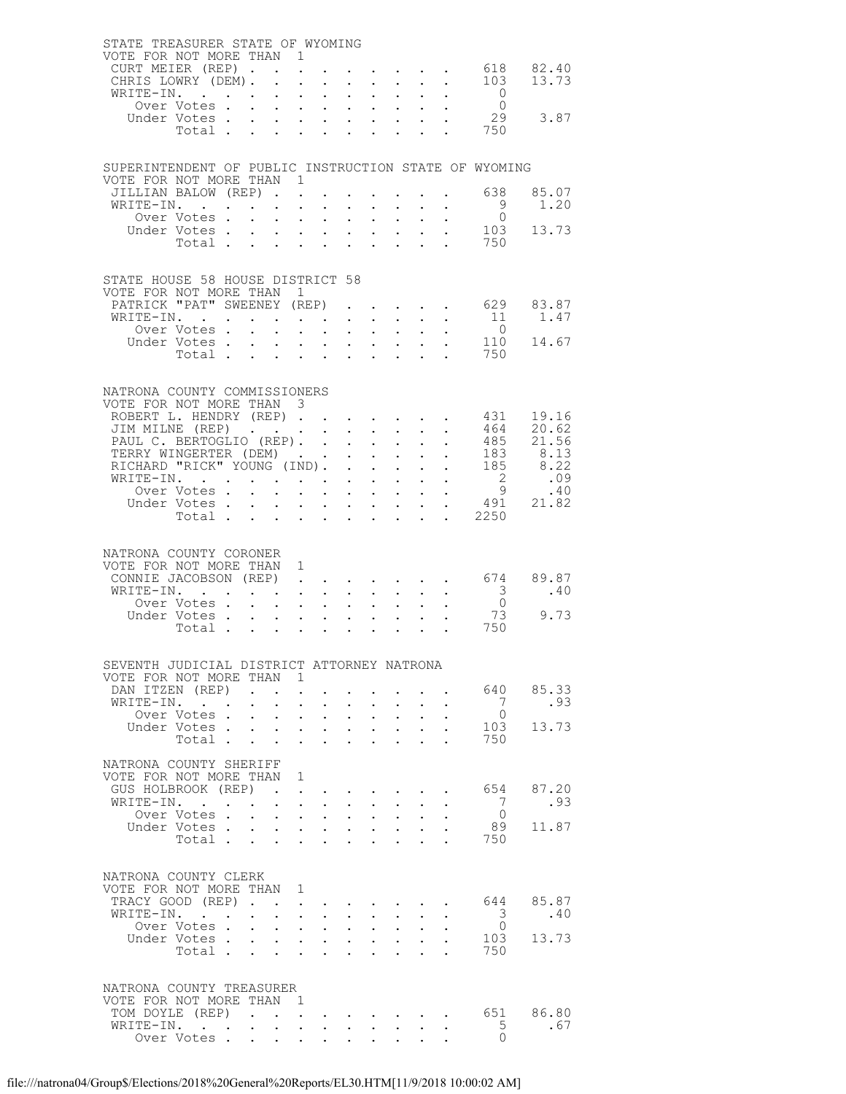|  | STATE TREASURER STATE OF WYOMING<br>VOTE FOR NOT MORE THAN 1                     |                                                                                                                                                  |                                                                                                                                                                                                                                                                                                                                                                                                                                     |                                                               |                                                                                                 |                      |                                                                                               |                                                                               |                                                       |                                                                                |
|--|----------------------------------------------------------------------------------|--------------------------------------------------------------------------------------------------------------------------------------------------|-------------------------------------------------------------------------------------------------------------------------------------------------------------------------------------------------------------------------------------------------------------------------------------------------------------------------------------------------------------------------------------------------------------------------------------|---------------------------------------------------------------|-------------------------------------------------------------------------------------------------|----------------------|-----------------------------------------------------------------------------------------------|-------------------------------------------------------------------------------|-------------------------------------------------------|--------------------------------------------------------------------------------|
|  | CURT MEIER (REP).                                                                |                                                                                                                                                  | $\mathbf{L} = \mathbf{L}$                                                                                                                                                                                                                                                                                                                                                                                                           |                                                               |                                                                                                 |                      |                                                                                               | $\mathbf{r} = \mathbf{r} + \mathbf{r} + \mathbf{r} + \mathbf{r} + \mathbf{r}$ |                                                       |                                                                                |
|  | CHRIS LOWRY (DEM).                                                               |                                                                                                                                                  | $\ddot{\phantom{0}}$<br>$\sim$                                                                                                                                                                                                                                                                                                                                                                                                      | $\ddot{\phantom{a}}$                                          |                                                                                                 |                      | $\cdot$ $\cdot$ $\cdot$ $\cdot$                                                               |                                                                               |                                                       | 618 82.40<br>103 13.73                                                         |
|  | WRITE-IN.                                                                        |                                                                                                                                                  | $\mathcal{L}^{\text{max}}$                                                                                                                                                                                                                                                                                                                                                                                                          | $\mathcal{A}^{\mathcal{A}}$ , $\mathcal{A}^{\mathcal{A}}$ ,   | $\sim$                                                                                          |                      | $\mathbf{r} = \mathbf{r} \cdot \mathbf{r}$                                                    |                                                                               | $\begin{matrix}0\\0\end{matrix}$                      |                                                                                |
|  | Over Votes                                                                       |                                                                                                                                                  |                                                                                                                                                                                                                                                                                                                                                                                                                                     |                                                               |                                                                                                 |                      |                                                                                               |                                                                               |                                                       |                                                                                |
|  |                                                                                  |                                                                                                                                                  |                                                                                                                                                                                                                                                                                                                                                                                                                                     |                                                               |                                                                                                 |                      |                                                                                               |                                                                               | $\frac{29}{750}$                                      | 29 3.87                                                                        |
|  |                                                                                  |                                                                                                                                                  |                                                                                                                                                                                                                                                                                                                                                                                                                                     |                                                               |                                                                                                 |                      |                                                                                               |                                                                               |                                                       |                                                                                |
|  |                                                                                  |                                                                                                                                                  |                                                                                                                                                                                                                                                                                                                                                                                                                                     |                                                               |                                                                                                 |                      |                                                                                               |                                                                               |                                                       |                                                                                |
|  |                                                                                  |                                                                                                                                                  |                                                                                                                                                                                                                                                                                                                                                                                                                                     |                                                               |                                                                                                 |                      |                                                                                               |                                                                               | SUPERINTENDENT OF PUBLIC INSTRUCTION STATE OF WYOMING |                                                                                |
|  | VOTE FOR NOT MORE THAN 1                                                         |                                                                                                                                                  |                                                                                                                                                                                                                                                                                                                                                                                                                                     |                                                               |                                                                                                 |                      |                                                                                               |                                                                               |                                                       |                                                                                |
|  | JILLIAN BALOW (REP)<br>WRITE-IN.                                                 |                                                                                                                                                  |                                                                                                                                                                                                                                                                                                                                                                                                                                     | $\mathbf{L}$ $\mathbf{L}$                                     |                                                                                                 |                      | $\mathbf{L}$ and $\mathbf{L}$                                                                 |                                                                               | 638<br>- 9                                            | 85.07<br>1.20                                                                  |
|  | Over Votes                                                                       |                                                                                                                                                  | $\sim$<br>$\mathbf{L}^{\text{max}}$                                                                                                                                                                                                                                                                                                                                                                                                 | $\mathcal{L}^{\text{max}}$ , where $\mathcal{L}^{\text{max}}$ | $\sim$<br>$\bullet$ .                                                                           |                      | $\mathbf{z} = \mathbf{z}$ .                                                                   |                                                                               | $\bigcirc$                                            |                                                                                |
|  | Under Votes                                                                      |                                                                                                                                                  |                                                                                                                                                                                                                                                                                                                                                                                                                                     |                                                               |                                                                                                 |                      |                                                                                               |                                                                               |                                                       | 103 13.73                                                                      |
|  | Total                                                                            |                                                                                                                                                  |                                                                                                                                                                                                                                                                                                                                                                                                                                     |                                                               | $\mathbf{L}^{\text{max}}$                                                                       |                      | $\mathbf{L}$ and $\mathbf{L}$                                                                 |                                                                               | 750                                                   |                                                                                |
|  |                                                                                  |                                                                                                                                                  |                                                                                                                                                                                                                                                                                                                                                                                                                                     |                                                               |                                                                                                 |                      |                                                                                               |                                                                               |                                                       |                                                                                |
|  | STATE HOUSE 58 HOUSE DISTRICT 58                                                 |                                                                                                                                                  |                                                                                                                                                                                                                                                                                                                                                                                                                                     |                                                               |                                                                                                 |                      |                                                                                               |                                                                               |                                                       |                                                                                |
|  | VOTE FOR NOT MORE THAN 1                                                         |                                                                                                                                                  |                                                                                                                                                                                                                                                                                                                                                                                                                                     |                                                               |                                                                                                 |                      |                                                                                               |                                                                               |                                                       |                                                                                |
|  |                                                                                  |                                                                                                                                                  |                                                                                                                                                                                                                                                                                                                                                                                                                                     |                                                               |                                                                                                 |                      |                                                                                               |                                                                               |                                                       | PATRICK "PAT" SWEENEY (REP) 629 83.87                                          |
|  | WRITE-IN.                                                                        | $\mathbf{r} = \mathbf{r} \cdot \mathbf{r}$ , where $\mathbf{r} = \mathbf{r} \cdot \mathbf{r}$ , where $\mathbf{r} = \mathbf{r} \cdot \mathbf{r}$ |                                                                                                                                                                                                                                                                                                                                                                                                                                     |                                                               |                                                                                                 |                      |                                                                                               |                                                                               | 11                                                    | 1.47                                                                           |
|  | Over Votes                                                                       |                                                                                                                                                  | $\mathbf{L}$                                                                                                                                                                                                                                                                                                                                                                                                                        |                                                               | $\mathbf{r}$ , and $\mathbf{r}$ , and $\mathbf{r}$                                              |                      | $\mathbf{L}^{\text{max}}$ , and $\mathbf{L}^{\text{max}}$                                     |                                                                               | $\bigcap$                                             |                                                                                |
|  | Under Votes<br>Total                                                             |                                                                                                                                                  |                                                                                                                                                                                                                                                                                                                                                                                                                                     |                                                               |                                                                                                 |                      |                                                                                               |                                                                               |                                                       | $\frac{110}{750}$ 14.67                                                        |
|  |                                                                                  |                                                                                                                                                  |                                                                                                                                                                                                                                                                                                                                                                                                                                     |                                                               |                                                                                                 |                      |                                                                                               |                                                                               |                                                       |                                                                                |
|  |                                                                                  |                                                                                                                                                  |                                                                                                                                                                                                                                                                                                                                                                                                                                     |                                                               |                                                                                                 |                      |                                                                                               |                                                                               |                                                       |                                                                                |
|  | NATRONA COUNTY COMMISSIONERS<br>VOTE FOR NOT MORE THAN 3                         |                                                                                                                                                  |                                                                                                                                                                                                                                                                                                                                                                                                                                     |                                                               |                                                                                                 |                      |                                                                                               |                                                                               |                                                       |                                                                                |
|  | ROBERT L. HENDRY (REP)                                                           |                                                                                                                                                  |                                                                                                                                                                                                                                                                                                                                                                                                                                     |                                                               |                                                                                                 |                      |                                                                                               |                                                                               | 431                                                   | 19.16                                                                          |
|  | JIM MILNE (REP)                                                                  |                                                                                                                                                  |                                                                                                                                                                                                                                                                                                                                                                                                                                     | $\bullet$ .                                                   | $\sim 10^{-10}$                                                                                 |                      | $\mathbf{r} = \mathbf{r} \cdot \mathbf{r}$ .                                                  |                                                                               |                                                       | 464 20.62                                                                      |
|  | PAUL C. BERTOGLIO (REP).                                                         |                                                                                                                                                  |                                                                                                                                                                                                                                                                                                                                                                                                                                     |                                                               | $\mathcal{L}^{\text{max}}$                                                                      |                      |                                                                                               |                                                                               |                                                       |                                                                                |
|  | TERRY WINGERTER (DEM).<br>TERRY WINGERTER (DEM)<br>RICHARD "RICK" YOUNG (IND). . |                                                                                                                                                  |                                                                                                                                                                                                                                                                                                                                                                                                                                     |                                                               |                                                                                                 |                      |                                                                                               |                                                                               |                                                       |                                                                                |
|  |                                                                                  |                                                                                                                                                  |                                                                                                                                                                                                                                                                                                                                                                                                                                     |                                                               |                                                                                                 |                      |                                                                                               |                                                                               |                                                       |                                                                                |
|  | WRITE-IN.<br>Over Votes .                                                        |                                                                                                                                                  | $\begin{array}{cccccccccc} \mathbf{1} & \mathbf{1} & \mathbf{1} & \mathbf{1} & \mathbf{1} & \mathbf{1} & \mathbf{1} & \mathbf{1} & \mathbf{1} & \mathbf{1} & \mathbf{1} & \mathbf{1} & \mathbf{1} & \mathbf{1} & \mathbf{1} & \mathbf{1} & \mathbf{1} & \mathbf{1} & \mathbf{1} & \mathbf{1} & \mathbf{1} & \mathbf{1} & \mathbf{1} & \mathbf{1} & \mathbf{1} & \mathbf{1} & \mathbf{1} & \mathbf{1} & \mathbf{1} & \mathbf{1} & \$ |                                                               |                                                                                                 |                      |                                                                                               |                                                                               |                                                       |                                                                                |
|  | Under Votes                                                                      | $\mathbf{L}$                                                                                                                                     | $\sim$                                                                                                                                                                                                                                                                                                                                                                                                                              |                                                               | $\mathbf{u} = \mathbf{u} + \mathbf{u} + \mathbf{u} + \mathbf{u} + \mathbf{u} + \mathbf{u}$      |                      |                                                                                               |                                                                               |                                                       | $\begin{array}{cccc}\n & 2 & .09 \\  & 9 & .40 \\  & 491 & 21.82\n\end{array}$ |
|  | Total                                                                            |                                                                                                                                                  |                                                                                                                                                                                                                                                                                                                                                                                                                                     |                                                               | $\sim$                                                                                          | $\ddot{\phantom{0}}$ | $\ddot{\phantom{0}}$                                                                          |                                                                               | . 2250                                                |                                                                                |
|  |                                                                                  |                                                                                                                                                  |                                                                                                                                                                                                                                                                                                                                                                                                                                     |                                                               |                                                                                                 |                      |                                                                                               |                                                                               |                                                       |                                                                                |
|  |                                                                                  |                                                                                                                                                  |                                                                                                                                                                                                                                                                                                                                                                                                                                     |                                                               |                                                                                                 |                      |                                                                                               |                                                                               |                                                       |                                                                                |
|  | NATRONA COUNTY CORONER<br>VOTE FOR NOT MORE THAN                                 |                                                                                                                                                  | 1                                                                                                                                                                                                                                                                                                                                                                                                                                   |                                                               |                                                                                                 |                      |                                                                                               |                                                                               |                                                       |                                                                                |
|  | CONNIE JACOBSON (REP).                                                           |                                                                                                                                                  |                                                                                                                                                                                                                                                                                                                                                                                                                                     |                                                               |                                                                                                 |                      |                                                                                               |                                                                               |                                                       | $674$ 89.87                                                                    |
|  | WRITE-IN.                                                                        | $\mathbf{r} = \mathbf{r} + \mathbf{r}$ .                                                                                                         |                                                                                                                                                                                                                                                                                                                                                                                                                                     |                                                               | $\mathcal{A}^{\mathcal{A}}$ , and $\mathcal{A}^{\mathcal{A}}$ , and $\mathcal{A}^{\mathcal{A}}$ |                      | <b>All Carl Carl Co.</b>                                                                      |                                                                               | $\overline{\phantom{a}}$ 3                            | .40                                                                            |
|  | Over Votes                                                                       |                                                                                                                                                  | $\mathbf{r} = \mathbf{r} \cdot \mathbf{r}$                                                                                                                                                                                                                                                                                                                                                                                          |                                                               | $\mathbf{L}$                                                                                    | $\mathbf{L}$         | $\mathcal{L}^{\text{max}}$                                                                    |                                                                               | $\overline{0}$                                        |                                                                                |
|  | Under Votes<br>Total                                                             |                                                                                                                                                  |                                                                                                                                                                                                                                                                                                                                                                                                                                     |                                                               |                                                                                                 |                      | $\mathbf{1}^{\prime}$ , $\mathbf{1}^{\prime}$ , $\mathbf{1}^{\prime}$ , $\mathbf{1}^{\prime}$ |                                                                               | 73<br>750                                             | 9.73                                                                           |
|  |                                                                                  |                                                                                                                                                  |                                                                                                                                                                                                                                                                                                                                                                                                                                     |                                                               |                                                                                                 |                      |                                                                                               |                                                                               |                                                       |                                                                                |
|  |                                                                                  |                                                                                                                                                  |                                                                                                                                                                                                                                                                                                                                                                                                                                     |                                                               |                                                                                                 |                      |                                                                                               |                                                                               |                                                       |                                                                                |
|  | SEVENTH JUDICIAL DISTRICT ATTORNEY NATRONA                                       |                                                                                                                                                  |                                                                                                                                                                                                                                                                                                                                                                                                                                     |                                                               |                                                                                                 |                      |                                                                                               |                                                                               |                                                       |                                                                                |
|  | VOTE FOR NOT MORE THAN 1                                                         |                                                                                                                                                  |                                                                                                                                                                                                                                                                                                                                                                                                                                     |                                                               |                                                                                                 |                      |                                                                                               |                                                                               |                                                       | 640 85.33                                                                      |
|  | DAN ITZEN (REP)<br>WRITE-IN.                                                     | $\ddot{\phantom{a}}$                                                                                                                             | $\bullet$<br>$\ddot{\phantom{0}}$<br>$\ddot{\phantom{0}}$                                                                                                                                                                                                                                                                                                                                                                           | $\ddot{\phantom{a}}$                                          |                                                                                                 |                      |                                                                                               |                                                                               | $7\phantom{0}$                                        | .93                                                                            |
|  | Over Votes .                                                                     | $\mathbf{L}^{\text{max}}$                                                                                                                        | $\ddot{\phantom{0}}$<br>$\sim 10^{-11}$                                                                                                                                                                                                                                                                                                                                                                                             | $\sim$                                                        | $\ddot{\phantom{0}}$                                                                            |                      | $\mathbf{z} = \mathbf{z} + \mathbf{z}$                                                        |                                                                               | $\bigcirc$                                            |                                                                                |
|  | Under Votes                                                                      |                                                                                                                                                  | $\sim$                                                                                                                                                                                                                                                                                                                                                                                                                              | $\mathbf{L}$ and $\mathbf{L}$                                 | $\mathbf{L}$                                                                                    |                      | $\cdot$ $\cdot$                                                                               |                                                                               |                                                       | 103 13.73                                                                      |
|  | Total                                                                            |                                                                                                                                                  | $\ddot{\phantom{a}}$<br>$\ddot{\phantom{0}}$                                                                                                                                                                                                                                                                                                                                                                                        | $\mathbf{r}$                                                  | $\ddot{\phantom{0}}$                                                                            | $\ddot{\phantom{a}}$ |                                                                                               |                                                                               | 750                                                   |                                                                                |
|  | NATRONA COUNTY SHERIFF                                                           |                                                                                                                                                  |                                                                                                                                                                                                                                                                                                                                                                                                                                     |                                                               |                                                                                                 |                      |                                                                                               |                                                                               |                                                       |                                                                                |
|  | VOTE FOR NOT MORE THAN 1                                                         |                                                                                                                                                  |                                                                                                                                                                                                                                                                                                                                                                                                                                     |                                                               |                                                                                                 |                      |                                                                                               |                                                                               |                                                       |                                                                                |
|  | GUS HOLBROOK (REP)                                                               |                                                                                                                                                  | $\bullet$                                                                                                                                                                                                                                                                                                                                                                                                                           |                                                               |                                                                                                 |                      | $\mathbf{r}$ , and $\mathbf{r}$ , and $\mathbf{r}$                                            |                                                                               |                                                       | 654 87.20                                                                      |
|  | WRITE-IN.                                                                        |                                                                                                                                                  | $\bullet$ .<br><br><br><br><br><br><br><br><br><br><br><br><br>$\ddot{\phantom{0}}$                                                                                                                                                                                                                                                                                                                                                 | $\ddot{\phantom{a}}$                                          |                                                                                                 | $\sim$               |                                                                                               |                                                                               | 7                                                     | .93                                                                            |
|  | Over Votes .                                                                     | $\ddot{\phantom{0}}$                                                                                                                             | $\mathcal{L}^{\text{max}}$                                                                                                                                                                                                                                                                                                                                                                                                          | $\mathbf{u} = \mathbf{u} \cdot \mathbf{u}$                    | $\mathbf{L}^{\text{max}}$                                                                       | $\bullet$ .          | $\ddot{\phantom{0}}$                                                                          |                                                                               | $\bigcirc$                                            |                                                                                |
|  | Under Votes.<br>Total                                                            |                                                                                                                                                  | $\mathbf{L}$<br>$\sim$<br>$\ddot{\phantom{a}}$                                                                                                                                                                                                                                                                                                                                                                                      | $\sim$<br>$\ddot{\phantom{a}}$                                | $\ddot{\phantom{0}}$                                                                            |                      | $\mathbf{L}$ and $\mathbf{L}$                                                                 |                                                                               | 750                                                   | 89 11.87                                                                       |
|  |                                                                                  |                                                                                                                                                  | $\ddot{\phantom{a}}$                                                                                                                                                                                                                                                                                                                                                                                                                |                                                               | $\ddot{\phantom{0}}$                                                                            | $\ddot{\phantom{a}}$ |                                                                                               |                                                                               |                                                       |                                                                                |
|  |                                                                                  |                                                                                                                                                  |                                                                                                                                                                                                                                                                                                                                                                                                                                     |                                                               |                                                                                                 |                      |                                                                                               |                                                                               |                                                       |                                                                                |
|  | NATRONA COUNTY CLERK                                                             |                                                                                                                                                  |                                                                                                                                                                                                                                                                                                                                                                                                                                     |                                                               |                                                                                                 |                      |                                                                                               |                                                                               |                                                       |                                                                                |
|  | VOTE FOR NOT MORE THAN 1                                                         |                                                                                                                                                  |                                                                                                                                                                                                                                                                                                                                                                                                                                     |                                                               |                                                                                                 |                      |                                                                                               |                                                                               |                                                       |                                                                                |
|  | TRACY GOOD (REP).<br>WRITE-IN.                                                   |                                                                                                                                                  | $\ddot{\phantom{0}}$<br>$\ddot{\phantom{0}}$<br>$\sim 10^{-11}$                                                                                                                                                                                                                                                                                                                                                                     | $\sim$                                                        | $\mathbf{L}^{\text{max}}$                                                                       | $\sim 10$            | $\mathbf{L}^{\text{max}}$                                                                     |                                                                               | $\overline{\mathbf{3}}$                               | 644 85.87<br>.40                                                               |
|  | Over Votes.                                                                      | $\sim$                                                                                                                                           | $\mathbf{L}$<br>$\sim$                                                                                                                                                                                                                                                                                                                                                                                                              | $\sim$                                                        | $\mathbf{L}$                                                                                    | $\sim$               |                                                                                               |                                                                               | $\bigcirc$                                            |                                                                                |
|  | Under Votes                                                                      |                                                                                                                                                  | $\mathbf{L}^{\text{max}}$                                                                                                                                                                                                                                                                                                                                                                                                           | $\mathcal{A}^{\text{max}}$ , $\mathcal{A}^{\text{max}}$       | $\mathbf{L}^{\text{max}}$                                                                       |                      | $\mathbf{z} = \mathbf{z} + \mathbf{z}$ .                                                      |                                                                               |                                                       | 103 13.73                                                                      |
|  | Total                                                                            |                                                                                                                                                  | $\mathbf{L}$<br>$\ddot{\phantom{a}}$                                                                                                                                                                                                                                                                                                                                                                                                | $\mathbf{r}$                                                  |                                                                                                 |                      |                                                                                               |                                                                               | 750                                                   |                                                                                |
|  |                                                                                  |                                                                                                                                                  |                                                                                                                                                                                                                                                                                                                                                                                                                                     |                                                               |                                                                                                 |                      |                                                                                               |                                                                               |                                                       |                                                                                |
|  | NATRONA COUNTY TREASURER                                                         |                                                                                                                                                  |                                                                                                                                                                                                                                                                                                                                                                                                                                     |                                                               |                                                                                                 |                      |                                                                                               |                                                                               |                                                       |                                                                                |
|  | VOTE FOR NOT MORE THAN 1                                                         |                                                                                                                                                  |                                                                                                                                                                                                                                                                                                                                                                                                                                     |                                                               |                                                                                                 |                      |                                                                                               |                                                                               |                                                       |                                                                                |
|  | TOM DOYLE (REP)                                                                  | $\sim 100$ km s $^{-1}$                                                                                                                          | $\mathbf{L}^{\text{max}}$ , $\mathbf{L}^{\text{max}}$                                                                                                                                                                                                                                                                                                                                                                               |                                                               |                                                                                                 |                      |                                                                                               |                                                                               |                                                       | 651 86.80                                                                      |
|  | WRITE-IN.                                                                        | $\ddot{\phantom{0}}$                                                                                                                             | $\ddot{\phantom{0}}$                                                                                                                                                                                                                                                                                                                                                                                                                | $\sim$                                                        |                                                                                                 | $\sim 100$           |                                                                                               |                                                                               | 5                                                     | .67                                                                            |
|  | Over Votes.                                                                      | $\bullet$ .                                                                                                                                      | $\ddot{\phantom{0}}$                                                                                                                                                                                                                                                                                                                                                                                                                | $\mathbf{L} = \mathbf{L} \mathbf{L}$                          |                                                                                                 |                      |                                                                                               |                                                                               | $\Omega$                                              |                                                                                |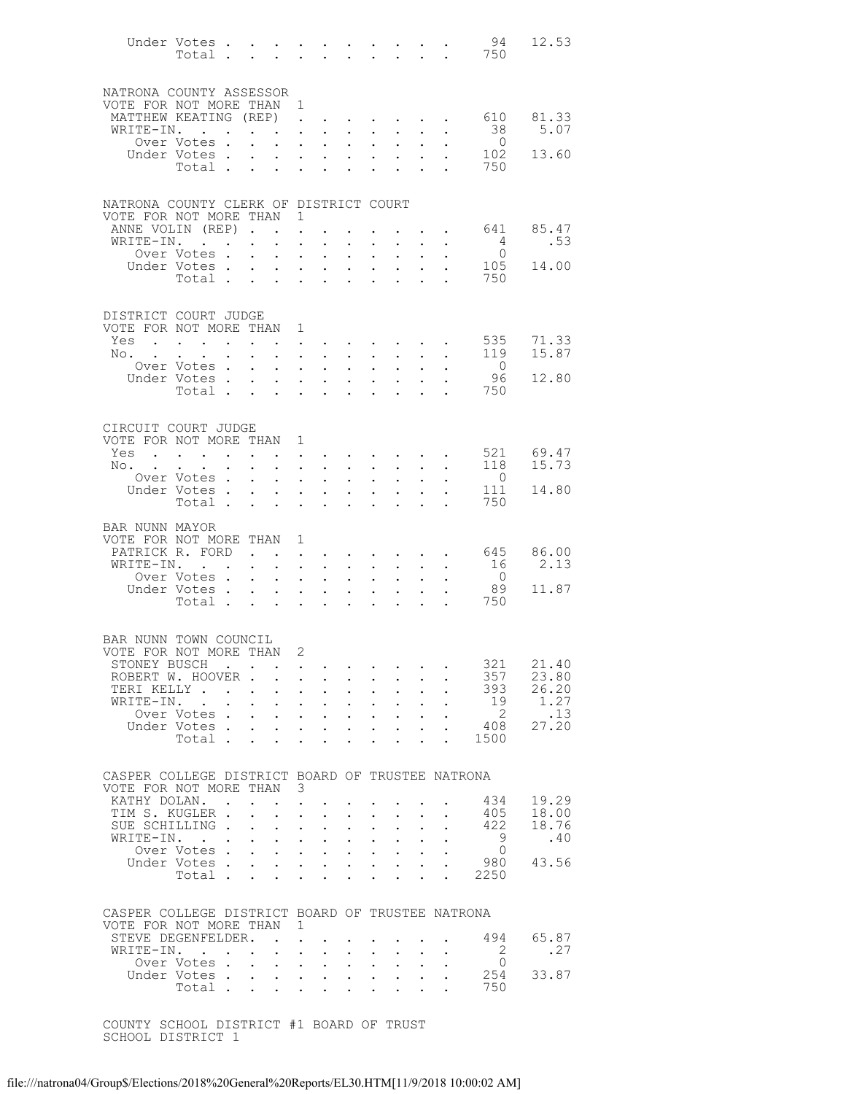|                                                                              | Under Votes                                                                                                                                                                                                                            |             |                           |                                                                                  |                                              |                                                                                                                                               |                                                   |                                                         |                                                                                           |                            |                                        | 94<br>Total 750                                                                                                                                                                                                                                                                                                                                                                            | 12.53          |
|------------------------------------------------------------------------------|----------------------------------------------------------------------------------------------------------------------------------------------------------------------------------------------------------------------------------------|-------------|---------------------------|----------------------------------------------------------------------------------|----------------------------------------------|-----------------------------------------------------------------------------------------------------------------------------------------------|---------------------------------------------------|---------------------------------------------------------|-------------------------------------------------------------------------------------------|----------------------------|----------------------------------------|--------------------------------------------------------------------------------------------------------------------------------------------------------------------------------------------------------------------------------------------------------------------------------------------------------------------------------------------------------------------------------------------|----------------|
| NATRONA COUNTY ASSESSOR                                                      |                                                                                                                                                                                                                                        |             |                           |                                                                                  |                                              |                                                                                                                                               |                                                   |                                                         |                                                                                           |                            |                                        |                                                                                                                                                                                                                                                                                                                                                                                            |                |
| VOTE FOR NOT MORE THAN 1<br>MATTHEW KEATING (REP)                            |                                                                                                                                                                                                                                        |             |                           |                                                                                  | $\mathbf{L}$                                 | $\bullet$ .                                                                                                                                   | $\sim$                                            |                                                         | $\sim$ $\sim$                                                                             | $\bullet$ .                | $\sim$                                 | 610                                                                                                                                                                                                                                                                                                                                                                                        | 81.33          |
| WRITE-IN.                                                                    | the contract of the contract of the<br>Over Votes.                                                                                                                                                                                     |             | $\sim$                    | $\sim$                                                                           | $\mathcal{L}^{\text{max}}$                   | $\sim$                                                                                                                                        |                                                   |                                                         | $\mathbf{z} = \mathbf{z} + \mathbf{z}$ , where $\mathbf{z} = \mathbf{z}$<br>$\bullet$ .   |                            | $\mathbf{L} = \mathbf{L}$              | 38<br>$\overline{0}$                                                                                                                                                                                                                                                                                                                                                                       | 5.07           |
|                                                                              | Under Votes                                                                                                                                                                                                                            |             |                           |                                                                                  |                                              |                                                                                                                                               | $\ddot{\phantom{0}}$                              | $\sim 100$                                              |                                                                                           | $\mathcal{L}^{\text{max}}$ | $\ddot{\phantom{0}}$                   | 102                                                                                                                                                                                                                                                                                                                                                                                        | 13.60          |
|                                                                              | Total .                                                                                                                                                                                                                                |             | $\Delta \sim 10$          | $\mathbf{L}$                                                                     |                                              | $\mathbf{L} = \mathbf{L}$                                                                                                                     | $\ddot{\phantom{0}}$                              | $\ddot{\phantom{a}}$                                    |                                                                                           |                            | $\mathbf{L}$                           | 750                                                                                                                                                                                                                                                                                                                                                                                        |                |
| NATRONA COUNTY CLERK OF DISTRICT COURT                                       |                                                                                                                                                                                                                                        |             |                           |                                                                                  |                                              |                                                                                                                                               |                                                   |                                                         |                                                                                           |                            |                                        |                                                                                                                                                                                                                                                                                                                                                                                            |                |
| VOTE FOR NOT MORE THAN 1                                                     |                                                                                                                                                                                                                                        |             |                           |                                                                                  |                                              |                                                                                                                                               |                                                   |                                                         |                                                                                           |                            |                                        |                                                                                                                                                                                                                                                                                                                                                                                            |                |
| ANNE VOLIN (REP)<br>WRITE-IN.                                                | $\mathbf{r}$ . The set of $\mathbf{r}$                                                                                                                                                                                                 |             |                           | $\bullet$ .<br><br><br><br><br><br><br><br><br><br><br>                          | $\ddot{\phantom{0}}$                         | $\ddot{\phantom{0}}$                                                                                                                          |                                                   | $\ddot{\phantom{0}}$                                    |                                                                                           |                            | <b>Contract Contract Contract</b>      | 641<br>$4\phantom{.0000}\phantom{.0000}\phantom{.0000}\phantom{.0000}\phantom{.0000}\phantom{.0000}\phantom{.0000}\phantom{.0000}\phantom{.0000}\phantom{.0000}\phantom{.0000}\phantom{.0000}\phantom{.0000}\phantom{.0000}\phantom{.0000}\phantom{.0000}\phantom{.0000}\phantom{.0000}\phantom{.0000}\phantom{.0000}\phantom{.0000}\phantom{.0000}\phantom{.0000}\phantom{.0000}\phantom$ | 85.47<br>.53   |
|                                                                              | Over Votes                                                                                                                                                                                                                             |             | $\bullet$ .               | $\mathcal{L}^{\text{max}}$ , $\mathcal{L}^{\text{max}}$                          |                                              | $\ddot{\phantom{0}}$<br>and the contract of the contract of                                                                                   |                                                   |                                                         |                                                                                           | $\sim$                     | $\ddot{\phantom{0}}$                   | $\overline{0}$                                                                                                                                                                                                                                                                                                                                                                             |                |
|                                                                              | Under Votes                                                                                                                                                                                                                            |             |                           | $\mathbf{A}^{\text{max}}$                                                        |                                              | $\mathbf{z} = \mathbf{z} + \mathbf{z}$ .                                                                                                      | $\sim$                                            | $\sim 100$                                              | $\mathcal{L}^{\text{max}}$                                                                |                            |                                        | 105                                                                                                                                                                                                                                                                                                                                                                                        | 14.00          |
|                                                                              | Total                                                                                                                                                                                                                                  |             |                           |                                                                                  |                                              |                                                                                                                                               |                                                   |                                                         | $\sim$ 100 $\pm$                                                                          |                            | $\mathbf{L}$ and $\mathbf{L}$          | 750                                                                                                                                                                                                                                                                                                                                                                                        |                |
| DISTRICT COURT JUDGE                                                         |                                                                                                                                                                                                                                        |             |                           |                                                                                  |                                              |                                                                                                                                               |                                                   |                                                         |                                                                                           |                            |                                        |                                                                                                                                                                                                                                                                                                                                                                                            |                |
| VOTE FOR NOT MORE THAN                                                       |                                                                                                                                                                                                                                        |             |                           |                                                                                  | 1                                            |                                                                                                                                               |                                                   |                                                         |                                                                                           |                            |                                        |                                                                                                                                                                                                                                                                                                                                                                                            | 71.33          |
| Yes<br>$No.$                                                                 | $\mathbf{L}^{\text{max}}$                                                                                                                                                                                                              |             |                           |                                                                                  |                                              | $\bullet$ . In the set of $\bullet$<br>$\mathbf{r}$ , and $\mathbf{r}$ , and $\mathbf{r}$                                                     |                                                   |                                                         | $\bullet$ . In the case of the case of the $\sim$<br>$\mathbf{L} = \mathbf{L} \mathbf{L}$ | $\ddot{\phantom{0}}$       | $\ddot{\phantom{0}}$                   | 535<br>119                                                                                                                                                                                                                                                                                                                                                                                 | 15.87          |
|                                                                              | Over Votes.                                                                                                                                                                                                                            |             | $\sim$                    |                                                                                  | $\ddot{\phantom{0}}$                         | $\bullet$ .                                                                                                                                   | $\ddot{\phantom{0}}$                              | $\mathbf{L}^{\text{max}}$                               | $\bullet$ .                                                                               |                            |                                        | $\overline{0}$                                                                                                                                                                                                                                                                                                                                                                             |                |
|                                                                              | Under Votes                                                                                                                                                                                                                            |             |                           |                                                                                  |                                              | $\mathbf{A}^{(1)}$ and $\mathbf{A}^{(2)}$ and $\mathbf{A}^{(3)}$                                                                              |                                                   | $\mathbf{L} = \mathbf{L}$                               | $\mathcal{L}^{\text{max}}$                                                                | $\mathcal{L}^{\text{max}}$ | $\ddot{\phantom{a}}$                   | - 96                                                                                                                                                                                                                                                                                                                                                                                       | 12.80          |
|                                                                              | Total                                                                                                                                                                                                                                  |             |                           | $\sim$                                                                           |                                              | $\mathbf{L} = \mathbf{L}$                                                                                                                     | $\ddot{\phantom{0}}$                              | $\ddot{\phantom{a}}$                                    |                                                                                           |                            |                                        | 750                                                                                                                                                                                                                                                                                                                                                                                        |                |
| CIRCUIT COURT JUDGE                                                          |                                                                                                                                                                                                                                        |             |                           |                                                                                  |                                              |                                                                                                                                               |                                                   |                                                         |                                                                                           |                            |                                        |                                                                                                                                                                                                                                                                                                                                                                                            |                |
| VOTE FOR NOT MORE THAN<br>Yes                                                | $\mathbf{u}^{\prime}$ . The contribution of the contribution of the contribution of the contribution of the contribution of the contribution of the contribution of the contribution of the contribution of the contribution of the co |             |                           |                                                                                  | 1                                            |                                                                                                                                               |                                                   |                                                         |                                                                                           |                            |                                        | 521                                                                                                                                                                                                                                                                                                                                                                                        | 69.47          |
| No.                                                                          | $\ddot{\phantom{0}}$                                                                                                                                                                                                                   | $\bullet$ . | $\bullet$ .               | $\ddot{\phantom{0}}$                                                             | $\bullet$ .                                  | $\sim$ $-$                                                                                                                                    | $\ddot{\phantom{0}}$                              | $\mathbf{A}^{\text{max}}$                               | $\sim$                                                                                    |                            | $\sim$                                 | 118                                                                                                                                                                                                                                                                                                                                                                                        | 15.73          |
|                                                                              | Over Votes                                                                                                                                                                                                                             |             |                           |                                                                                  |                                              |                                                                                                                                               | $\mathbf{L}^{\text{max}}$                         | $\sim$ $-$                                              | $\sim$                                                                                    | $\sim$                     | $\bullet$                              | $\overline{0}$                                                                                                                                                                                                                                                                                                                                                                             |                |
|                                                                              | Under Votes.<br>Total .                                                                                                                                                                                                                |             | $\mathbf{L}$              | $\mathbf{L}^{\text{max}}$                                                        | $\sim$ $-$                                   | $\mathbf{A}^{\text{max}}$<br>$\mathbf{r} = \mathbf{r} + \mathbf{r} + \mathbf{r} + \mathbf{r} + \mathbf{r} + \mathbf{r}$                       | $\ddot{\phantom{0}}$                              | $\sim$ 100 $\pm$                                        | $\mathbf{L}^{\text{max}}$<br>$\sim 10^{-11}$                                              | $\ddot{\phantom{0}}$       | $\ddot{\phantom{a}}$                   | 111<br>750                                                                                                                                                                                                                                                                                                                                                                                 | 14.80          |
| BAR NUNN MAYOR                                                               |                                                                                                                                                                                                                                        |             |                           |                                                                                  |                                              |                                                                                                                                               |                                                   |                                                         |                                                                                           |                            |                                        |                                                                                                                                                                                                                                                                                                                                                                                            |                |
| VOTE FOR NOT MORE THAN                                                       |                                                                                                                                                                                                                                        |             |                           |                                                                                  | 1                                            |                                                                                                                                               |                                                   |                                                         |                                                                                           |                            |                                        |                                                                                                                                                                                                                                                                                                                                                                                            |                |
| PATRICK R. FORD.                                                             |                                                                                                                                                                                                                                        |             |                           |                                                                                  |                                              |                                                                                                                                               |                                                   |                                                         |                                                                                           |                            |                                        | 645                                                                                                                                                                                                                                                                                                                                                                                        | 86.00          |
| WRITE-IN.                                                                    | $\mathbf{r}$ . The set of $\mathbf{r}$<br>Over Votes.                                                                                                                                                                                  |             | $\mathbf{L}^{\text{max}}$ | $\ddot{\phantom{0}}$                                                             | $\mathbf{L}^{\text{max}}$                    | $\sim 10^{-11}$                                                                                                                               | $\ddot{\phantom{0}}$                              | $\bullet$ .                                             | $\ddot{\phantom{0}}$                                                                      | $\bullet$ .                | $\ddot{\phantom{0}}$                   | 16<br>$\overline{0}$                                                                                                                                                                                                                                                                                                                                                                       | 2.13           |
|                                                                              | Under Votes.                                                                                                                                                                                                                           |             | $\mathbf{L}^{\text{max}}$ | $\mathbf{L}^{\text{max}}$                                                        | $\mathbf{L}^{\text{max}}$                    | $\mathbf{r} = \mathbf{r} + \mathbf{r} + \mathbf{r} + \mathbf{r}$<br>$\bullet$ .                                                               | $\mathbf{L}^{\text{max}}$<br>$\ddot{\phantom{0}}$ | $\mathbf{L}^{\text{max}}$<br>$\mathbf{L}^{\text{max}}$  | $\bullet$ .<br>$\mathbf{L}^{\text{max}}$                                                  | $\mathbf{L}$               | $\ddot{\phantom{0}}$                   | 89                                                                                                                                                                                                                                                                                                                                                                                         | 11.87          |
|                                                                              | Total                                                                                                                                                                                                                                  |             |                           |                                                                                  |                                              |                                                                                                                                               | $\sim$ 100 $\pm$                                  | $\ddot{\phantom{a}}$                                    | $\sim$ $-$                                                                                | $\mathbf{L}$               |                                        | 750                                                                                                                                                                                                                                                                                                                                                                                        |                |
| BAR NUNN TOWN COUNCIL                                                        |                                                                                                                                                                                                                                        |             |                           |                                                                                  |                                              |                                                                                                                                               |                                                   |                                                         |                                                                                           |                            |                                        |                                                                                                                                                                                                                                                                                                                                                                                            |                |
| VOTE FOR NOT MORE THAN                                                       |                                                                                                                                                                                                                                        |             |                           |                                                                                  | 2                                            |                                                                                                                                               |                                                   |                                                         |                                                                                           |                            |                                        |                                                                                                                                                                                                                                                                                                                                                                                            |                |
| STONEY BUSCH<br>ROBERT W. HOOVER .                                           |                                                                                                                                                                                                                                        |             |                           |                                                                                  | $\bullet$ .                                  | $\sim 10^{-11}$                                                                                                                               |                                                   |                                                         |                                                                                           |                            |                                        | 321<br>357                                                                                                                                                                                                                                                                                                                                                                                 | 21.40<br>23.80 |
| TERI KELLY                                                                   |                                                                                                                                                                                                                                        |             | $\bullet$ .               |                                                                                  | $\ddot{\phantom{0}}$                         | $\mathbf{z} = \mathbf{z} + \mathbf{z}$ , where $\mathbf{z} = \mathbf{z}$<br>$\bullet$ .                                                       |                                                   | $\mathbf{z} = \mathbf{z} + \mathbf{z}$ .<br>$\bullet$ . | $\sim 100$                                                                                | $\ddotsc$                  | $\bullet$                              | 393                                                                                                                                                                                                                                                                                                                                                                                        | 26.20          |
| WRITE-IN.                                                                    | $\sim 10^{-10}$                                                                                                                                                                                                                        |             | $\ddot{\phantom{0}}$      | $\ddot{\phantom{0}}$                                                             | $\bullet$                                    | $\ddot{\phantom{a}}$                                                                                                                          | $\ddot{\phantom{0}}$                              | $\bullet$                                               | $\ddot{\phantom{0}}$                                                                      | $\ddot{\phantom{0}}$       | $\ddot{\phantom{a}}$                   | 19                                                                                                                                                                                                                                                                                                                                                                                         | 1.27           |
|                                                                              | Over Votes.<br>Under Votes.                                                                                                                                                                                                            |             |                           |                                                                                  | $\ddot{\phantom{0}}$                         | $\ddot{\phantom{0}}$                                                                                                                          | $\ddot{\phantom{0}}$                              | $\sim 100$                                              |                                                                                           |                            |                                        | 2<br>408                                                                                                                                                                                                                                                                                                                                                                                   | .13<br>27.20   |
|                                                                              | Total .                                                                                                                                                                                                                                |             | $\ddot{\phantom{0}}$      |                                                                                  | $\ddot{\phantom{a}}$                         | $\mathbf{u}^{\prime}$ , $\mathbf{u}^{\prime}$ , $\mathbf{u}^{\prime}$ , $\mathbf{u}^{\prime}$ , $\mathbf{u}^{\prime}$<br>$\ddot{\phantom{a}}$ |                                                   |                                                         | $\mathbf{z} = \mathbf{z} + \mathbf{z}$ , where $\mathbf{z} = \mathbf{z}$                  | $\sim$                     |                                        | 1500                                                                                                                                                                                                                                                                                                                                                                                       |                |
|                                                                              |                                                                                                                                                                                                                                        |             |                           |                                                                                  |                                              |                                                                                                                                               |                                                   |                                                         |                                                                                           |                            |                                        |                                                                                                                                                                                                                                                                                                                                                                                            |                |
| CASPER COLLEGE DISTRICT BOARD OF TRUSTEE NATRONA<br>VOTE FOR NOT MORE THAN 3 |                                                                                                                                                                                                                                        |             |                           |                                                                                  |                                              |                                                                                                                                               |                                                   |                                                         |                                                                                           |                            |                                        |                                                                                                                                                                                                                                                                                                                                                                                            |                |
| KATHY DOLAN.                                                                 |                                                                                                                                                                                                                                        |             | $\sim$ 100 $\pm$          |                                                                                  |                                              |                                                                                                                                               |                                                   |                                                         |                                                                                           |                            |                                        | 434                                                                                                                                                                                                                                                                                                                                                                                        | 19.29          |
| TIM S. KUGLER.                                                               |                                                                                                                                                                                                                                        |             | $\ddot{\phantom{a}}$      |                                                                                  | $\ddot{\phantom{0}}$                         |                                                                                                                                               |                                                   |                                                         |                                                                                           |                            |                                        | 405                                                                                                                                                                                                                                                                                                                                                                                        | 18.00          |
| SUE SCHILLING.<br>WRITE-IN.                                                  | $\sim$ 100 $\sim$                                                                                                                                                                                                                      |             | $\mathbf{L}^{\text{max}}$ | $\mathcal{L}^{\text{max}}$                                                       | $\ddot{\phantom{0}}$<br>$\ddot{\phantom{0}}$ | $\mathbf{A}^{\text{max}}$<br>$\bullet$ .                                                                                                      | $\mathcal{L}^{\mathcal{L}}$                       | $\mathcal{L}^{\text{max}}$<br>$\bullet$ .               | $\sim$                                                                                    | $\ddot{\phantom{0}}$       | $\ddot{\phantom{0}}$                   | 422<br>9                                                                                                                                                                                                                                                                                                                                                                                   | 18.76<br>.40   |
|                                                                              | Over Votes.                                                                                                                                                                                                                            |             |                           | $\ddotsc$                                                                        |                                              | $\mathbf{L}^{\text{max}}$ , and $\mathbf{L}^{\text{max}}$                                                                                     | $\bullet$ .                                       | $\bullet$                                               | $\ddot{\phantom{0}}$                                                                      | $\ddot{\phantom{0}}$       |                                        | $\circ$                                                                                                                                                                                                                                                                                                                                                                                    |                |
|                                                                              | Under Votes.                                                                                                                                                                                                                           |             | $\ddot{\phantom{0}}$      |                                                                                  | $\mathbf{L}^{\text{max}}$                    | $\bullet$ .                                                                                                                                   | $\ddot{\phantom{0}}$                              | $\mathbf{a} = \mathbf{a}$                               | $\mathbf{L}^{\text{max}}$                                                                 |                            |                                        | 980                                                                                                                                                                                                                                                                                                                                                                                        | 43.56          |
|                                                                              | Total                                                                                                                                                                                                                                  |             |                           |                                                                                  |                                              |                                                                                                                                               | $\sim$ $-$                                        | $\ddot{\phantom{a}}$                                    |                                                                                           |                            | $\mathbf{r} = \mathbf{r} + \mathbf{r}$ | 2250                                                                                                                                                                                                                                                                                                                                                                                       |                |
| CASPER COLLEGE DISTRICT BOARD OF TRUSTEE NATRONA                             |                                                                                                                                                                                                                                        |             |                           |                                                                                  |                                              |                                                                                                                                               |                                                   |                                                         |                                                                                           |                            |                                        |                                                                                                                                                                                                                                                                                                                                                                                            |                |
| VOTE FOR NOT MORE THAN                                                       |                                                                                                                                                                                                                                        |             |                           |                                                                                  | 1                                            |                                                                                                                                               |                                                   |                                                         |                                                                                           |                            |                                        |                                                                                                                                                                                                                                                                                                                                                                                            | 65.87          |
| STEVE DEGENFELDER.<br>WRITE-IN.                                              | $\sim$                                                                                                                                                                                                                                 |             | <b>Contractor</b>         | $\sim$ 100 $\sim$<br>$\bullet$ .<br><br><br><br><br><br><br><br><br><br><br><br> | $\ddot{\phantom{a}}$<br>$\bullet$            | $\mathbf{L}^{\text{max}}$                                                                                                                     | $\sim 10^{-10}$                                   | $\bullet$ .                                             |                                                                                           | $\bullet$ .                | $\bullet$                              | 494<br>2                                                                                                                                                                                                                                                                                                                                                                                   | .27            |
|                                                                              | Over Votes.                                                                                                                                                                                                                            |             | $\ddot{\phantom{0}}$      |                                                                                  | $\ddot{\phantom{0}}$                         | $\ddot{\phantom{0}}$                                                                                                                          |                                                   | $\mathbf{L}^{\text{max}}$                               |                                                                                           |                            |                                        | $\mathbf{0}$                                                                                                                                                                                                                                                                                                                                                                               |                |
|                                                                              | Under Votes.                                                                                                                                                                                                                           |             | $\mathbf{a} = \mathbf{a}$ |                                                                                  |                                              | <b>All Carl Adams</b>                                                                                                                         | $\mathbf{L}^{\text{max}}$                         | $\ddot{\phantom{a}}$                                    | $\mathbf{L}^{\text{max}}$                                                                 | $\ddot{\phantom{0}}$       | $\ddot{\phantom{a}}$                   | 254                                                                                                                                                                                                                                                                                                                                                                                        | 33.87          |
|                                                                              | Total .                                                                                                                                                                                                                                |             |                           |                                                                                  | $\ddot{\phantom{a}}$                         | $\ddot{\phantom{a}}$                                                                                                                          |                                                   |                                                         |                                                                                           |                            |                                        | 750                                                                                                                                                                                                                                                                                                                                                                                        |                |
| COUNTY SCHOOL DISTRICT #1 BOARD OF TRUST                                     |                                                                                                                                                                                                                                        |             |                           |                                                                                  |                                              |                                                                                                                                               |                                                   |                                                         |                                                                                           |                            |                                        |                                                                                                                                                                                                                                                                                                                                                                                            |                |

SCHOOL DISTRICT 1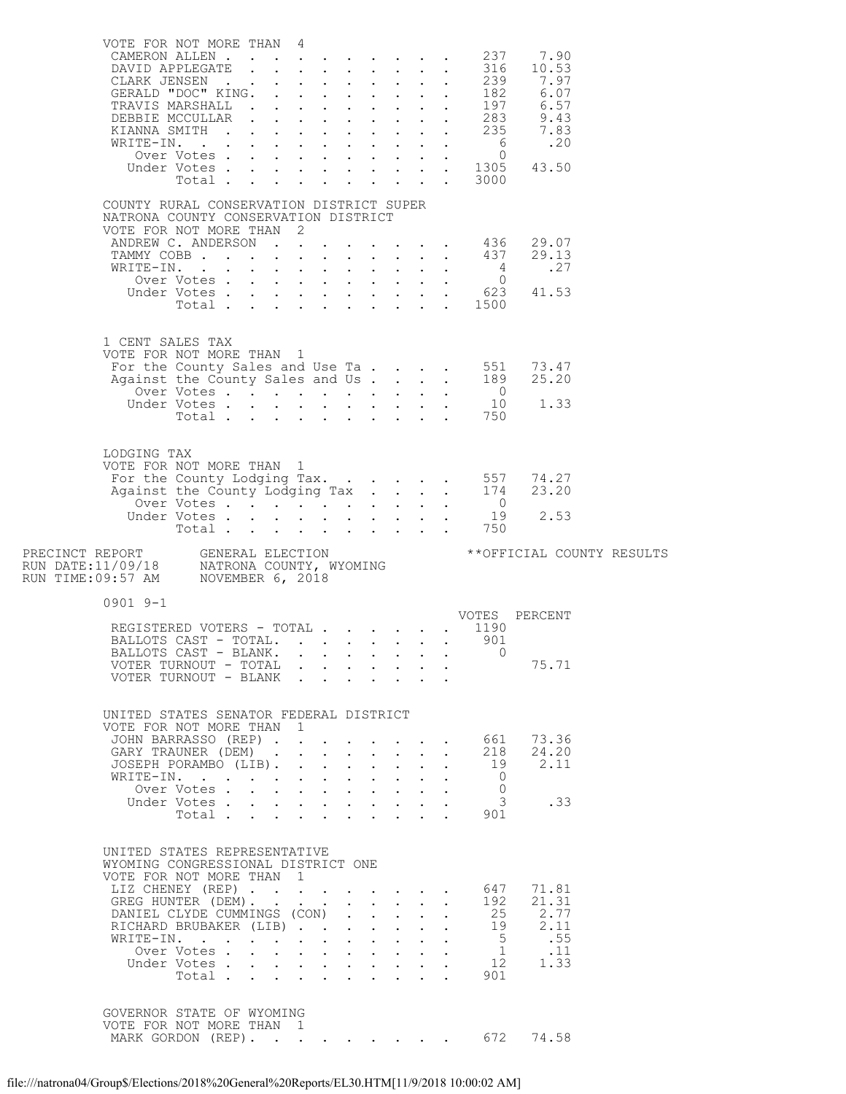| VOTE FOR NOT MORE THAN 4                                                                                                        |                                                                                                                   |                  |                           |                                                           |                                                           |                           |                            |                                                         |                                        |                           |  |
|---------------------------------------------------------------------------------------------------------------------------------|-------------------------------------------------------------------------------------------------------------------|------------------|---------------------------|-----------------------------------------------------------|-----------------------------------------------------------|---------------------------|----------------------------|---------------------------------------------------------|----------------------------------------|---------------------------|--|
|                                                                                                                                 | CAMERON ALLEN<br>DAVID APPLEGATE                                                                                  |                  |                           |                                                           |                                                           |                           |                            |                                                         | 237<br>316                             | 7.90<br>10.53             |  |
|                                                                                                                                 |                                                                                                                   |                  |                           |                                                           |                                                           |                           |                            |                                                         |                                        |                           |  |
|                                                                                                                                 |                                                                                                                   |                  |                           |                                                           |                                                           |                           |                            |                                                         |                                        |                           |  |
|                                                                                                                                 |                                                                                                                   |                  |                           |                                                           |                                                           |                           |                            |                                                         |                                        |                           |  |
|                                                                                                                                 |                                                                                                                   |                  |                           |                                                           |                                                           |                           |                            |                                                         |                                        |                           |  |
|                                                                                                                                 |                                                                                                                   |                  |                           |                                                           |                                                           |                           |                            |                                                         |                                        |                           |  |
|                                                                                                                                 |                                                                                                                   |                  |                           |                                                           |                                                           |                           |                            |                                                         |                                        |                           |  |
|                                                                                                                                 |                                                                                                                   |                  |                           |                                                           |                                                           |                           |                            |                                                         |                                        |                           |  |
|                                                                                                                                 | Total 3000                                                                                                        |                  |                           |                                                           |                                                           |                           |                            |                                                         |                                        |                           |  |
|                                                                                                                                 |                                                                                                                   |                  |                           |                                                           |                                                           |                           |                            |                                                         |                                        |                           |  |
| COUNTY RURAL CONSERVATION DISTRICT SUPER                                                                                        |                                                                                                                   |                  |                           |                                                           |                                                           |                           |                            |                                                         |                                        |                           |  |
| NATRONA COUNTY CONSERVATION DISTRICT<br>VOTE FOR NOT MORE THAN 2                                                                |                                                                                                                   |                  |                           |                                                           |                                                           |                           |                            |                                                         |                                        |                           |  |
|                                                                                                                                 |                                                                                                                   |                  |                           |                                                           |                                                           |                           |                            |                                                         |                                        |                           |  |
|                                                                                                                                 | ANDREW C. ANDERSON 436 29.07<br>TAMMY COBB 437 29.13                                                              |                  |                           |                                                           |                                                           |                           |                            |                                                         |                                        |                           |  |
|                                                                                                                                 | WRITE-IN.                                                                                                         |                  |                           |                                                           |                                                           |                           |                            |                                                         | $\overline{4}$                         | .27                       |  |
|                                                                                                                                 |                                                                                                                   |                  |                           |                                                           |                                                           |                           |                            |                                                         |                                        |                           |  |
|                                                                                                                                 |                                                                                                                   |                  |                           |                                                           |                                                           |                           |                            |                                                         |                                        |                           |  |
|                                                                                                                                 |                                                                                                                   |                  |                           |                                                           |                                                           |                           |                            |                                                         |                                        |                           |  |
|                                                                                                                                 |                                                                                                                   |                  |                           |                                                           |                                                           |                           |                            |                                                         |                                        |                           |  |
| 1 CENT SALES TAX                                                                                                                |                                                                                                                   |                  |                           |                                                           |                                                           |                           |                            |                                                         |                                        |                           |  |
| VOTE FOR NOT MORE THAN 1                                                                                                        |                                                                                                                   |                  |                           |                                                           |                                                           |                           |                            |                                                         |                                        | 73.47                     |  |
|                                                                                                                                 |                                                                                                                   |                  |                           |                                                           |                                                           |                           |                            |                                                         |                                        | 25.20                     |  |
|                                                                                                                                 |                                                                                                                   |                  |                           |                                                           |                                                           |                           |                            |                                                         |                                        |                           |  |
|                                                                                                                                 |                                                                                                                   |                  |                           |                                                           |                                                           |                           |                            |                                                         |                                        | 1.33                      |  |
|                                                                                                                                 | For the County Sales and Use Ta 551<br>Against the County Sales and Use Ta 189<br>Over Votes 0<br>Under Votes 750 |                  |                           |                                                           |                                                           |                           |                            |                                                         |                                        |                           |  |
|                                                                                                                                 |                                                                                                                   |                  |                           |                                                           |                                                           |                           |                            |                                                         |                                        |                           |  |
| LODGING TAX                                                                                                                     |                                                                                                                   |                  |                           |                                                           |                                                           |                           |                            |                                                         |                                        |                           |  |
| VOTE FOR NOT MORE THAN 1                                                                                                        |                                                                                                                   |                  |                           |                                                           |                                                           |                           |                            |                                                         |                                        |                           |  |
|                                                                                                                                 | For the County Lodging Tax. 557 74.27<br>Against the County Lodging Tax 174 23.20                                 |                  |                           |                                                           |                                                           |                           |                            |                                                         |                                        |                           |  |
|                                                                                                                                 |                                                                                                                   |                  |                           |                                                           |                                                           |                           |                            |                                                         |                                        |                           |  |
|                                                                                                                                 |                                                                                                                   |                  |                           |                                                           |                                                           |                           |                            |                                                         |                                        | 2.53                      |  |
|                                                                                                                                 |                                                                                                                   |                  |                           |                                                           |                                                           |                           |                            |                                                         |                                        |                           |  |
|                                                                                                                                 |                                                                                                                   |                  |                           |                                                           |                                                           |                           |                            |                                                         |                                        |                           |  |
|                                                                                                                                 |                                                                                                                   |                  |                           |                                                           |                                                           |                           |                            |                                                         |                                        |                           |  |
|                                                                                                                                 |                                                                                                                   |                  |                           |                                                           |                                                           |                           |                            |                                                         |                                        | **OFFICIAL COUNTY RESULTS |  |
|                                                                                                                                 |                                                                                                                   |                  |                           |                                                           |                                                           |                           |                            |                                                         |                                        |                           |  |
| PRECINCT REPORT     GENERAL ELECTION<br>RUN DATE:11/09/18     NATRONA COUNTY, WYOMING<br>RUN TIME:09:57 AM     NOVEMBER 6, 2018 |                                                                                                                   |                  |                           |                                                           |                                                           |                           |                            |                                                         |                                        |                           |  |
| $0901$ 9-1                                                                                                                      |                                                                                                                   |                  |                           |                                                           |                                                           |                           |                            |                                                         |                                        |                           |  |
|                                                                                                                                 |                                                                                                                   |                  |                           |                                                           |                                                           |                           |                            |                                                         |                                        |                           |  |
|                                                                                                                                 | REGISTERED VOTERS - TOTAL VOTES PERCENT<br>BALLOTS CAST - TOTAL.                                                  |                  |                           |                                                           |                                                           |                           |                            |                                                         | 901                                    |                           |  |
|                                                                                                                                 | BALLOTS CAST - BLANK.                                                                                             |                  |                           |                                                           |                                                           |                           |                            |                                                         | $\Omega$                               |                           |  |
|                                                                                                                                 | VOTER TURNOUT - TOTAL                                                                                             |                  |                           |                                                           |                                                           |                           |                            |                                                         |                                        | 75.71                     |  |
|                                                                                                                                 | VOTER TURNOUT - BLANK                                                                                             |                  |                           |                                                           |                                                           |                           |                            |                                                         |                                        |                           |  |
|                                                                                                                                 |                                                                                                                   |                  |                           |                                                           |                                                           |                           |                            |                                                         |                                        |                           |  |
| UNITED STATES SENATOR FEDERAL DISTRICT                                                                                          |                                                                                                                   |                  |                           |                                                           |                                                           |                           |                            |                                                         |                                        |                           |  |
| VOTE FOR NOT MORE THAN                                                                                                          |                                                                                                                   |                  | $\mathbf{1}$              |                                                           |                                                           |                           |                            |                                                         |                                        |                           |  |
|                                                                                                                                 | JOHN BARRASSO (REP)                                                                                               |                  |                           |                                                           |                                                           |                           |                            | $\mathbf{L}^{\text{max}}$ and $\mathbf{L}^{\text{max}}$ | 661                                    | 73.36                     |  |
|                                                                                                                                 | GARY TRAUNER (DEM)<br>JOSEPH PORAMBO (LIB).                                                                       |                  |                           | $\cdot$ $\cdot$ $\cdot$                                   | $\sim$                                                    |                           | $\mathbf{L}$               | $\ddot{\phantom{0}}$                                    | 218                                    | 24.20<br>19 2.11          |  |
|                                                                                                                                 | WRITE-IN.                                                                                                         |                  |                           |                                                           |                                                           |                           |                            | $\mathbf{L}$ and $\mathbf{L}$                           | $\bigcirc$                             |                           |  |
|                                                                                                                                 | Over Votes                                                                                                        |                  |                           | $\mathbf{L}^{\text{max}}$ , and $\mathbf{L}^{\text{max}}$ | $\mathbf{L}^{\text{max}}$ , and $\mathbf{L}^{\text{max}}$ |                           |                            |                                                         | $\circ$                                |                           |  |
|                                                                                                                                 | Under Votes                                                                                                       |                  |                           |                                                           | $\mathbf{L}$                                              | $\mathbf{L}^{\text{max}}$ |                            |                                                         | $\overline{\mathbf{3}}$                | .33                       |  |
|                                                                                                                                 | Total                                                                                                             |                  | $\mathbf{L}$              |                                                           |                                                           |                           |                            |                                                         | 901                                    |                           |  |
|                                                                                                                                 |                                                                                                                   |                  |                           |                                                           |                                                           |                           |                            |                                                         |                                        |                           |  |
| UNITED STATES REPRESENTATIVE                                                                                                    |                                                                                                                   |                  |                           |                                                           |                                                           |                           |                            |                                                         |                                        |                           |  |
| WYOMING CONGRESSIONAL DISTRICT ONE                                                                                              |                                                                                                                   |                  |                           |                                                           |                                                           |                           |                            |                                                         |                                        |                           |  |
| VOTE FOR NOT MORE THAN 1                                                                                                        |                                                                                                                   |                  |                           |                                                           |                                                           |                           |                            |                                                         |                                        |                           |  |
|                                                                                                                                 | LIZ CHENEY (REP)                                                                                                  |                  |                           |                                                           |                                                           |                           |                            | $\mathbf{L}$ and $\mathbf{L}$                           | 647<br>192                             | 71.81<br>21.31            |  |
|                                                                                                                                 | GREG HUNTER (DEM).<br>DANIEL CLYDE CUMMINGS (CON)                                                                 |                  |                           |                                                           |                                                           |                           |                            |                                                         |                                        | 25 2.77                   |  |
|                                                                                                                                 | RICHARD BRUBAKER (LIB)                                                                                            |                  |                           |                                                           |                                                           |                           | $\mathbf{L}$               | $\mathcal{L}^{\text{max}}$                              |                                        | 19 2.11                   |  |
|                                                                                                                                 | WRITE-IN.                                                                                                         |                  |                           |                                                           |                                                           |                           | $\sim$ 100 $\pm$           | $\sim$ 100 $\mu$                                        | 5 <sup>5</sup>                         | .55                       |  |
|                                                                                                                                 | Over Votes.                                                                                                       |                  |                           |                                                           |                                                           |                           |                            | $\ddot{\phantom{0}}$                                    | 1                                      | $\ldots$ 11               |  |
|                                                                                                                                 | Under Votes<br>Total $\cdots$                                                                                     | $\sim$ 100 $\pm$ | $\mathbf{L}^{\text{max}}$ |                                                           |                                                           |                           | $\mathcal{L}^{\text{max}}$ |                                                         | 12<br>$\mathbf{L} = \mathbf{L}$<br>901 | 1.33                      |  |
|                                                                                                                                 |                                                                                                                   |                  |                           |                                                           |                                                           |                           |                            |                                                         |                                        |                           |  |
|                                                                                                                                 |                                                                                                                   |                  |                           |                                                           |                                                           |                           |                            |                                                         |                                        |                           |  |
| GOVERNOR STATE OF WYOMING<br>VOTE FOR NOT MORE THAN 1                                                                           | MARK GORDON (REP). 672                                                                                            |                  |                           |                                                           |                                                           |                           |                            |                                                         |                                        |                           |  |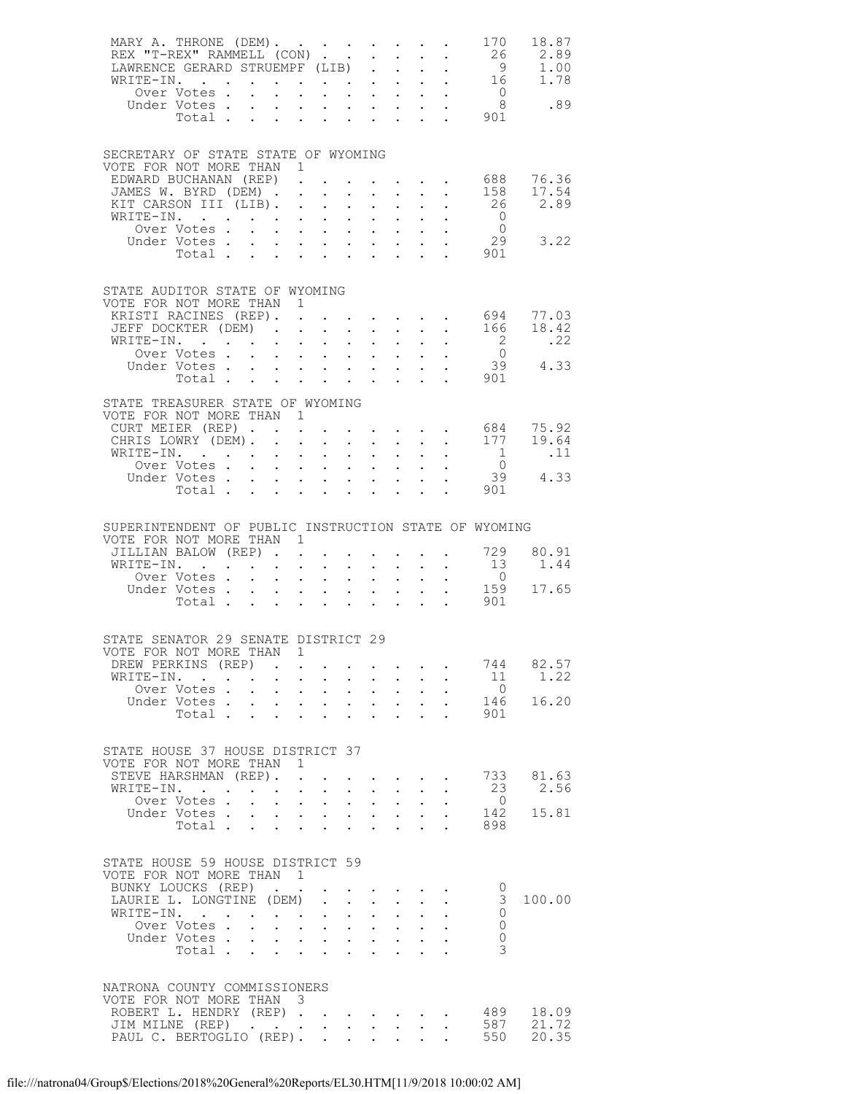| Under Votes                                                                                                                                                                                                                                                                                |                                                                                                |                                                                                                                                                                                                                                                                                                                                                                                                                                                                                                                                                  |                                                                                                                                                                     |                                                                                                                      | 26<br>901                                                                                  | 170<br>18.87<br>2.89<br>$\begin{array}{cc} 9 & 1.00 \\ 16 & 1.78 \end{array}$<br>$\begin{matrix} 0 & 0 \\ 8 & 0 \\ 0 & 0 \end{matrix}$ |
|--------------------------------------------------------------------------------------------------------------------------------------------------------------------------------------------------------------------------------------------------------------------------------------------|------------------------------------------------------------------------------------------------|--------------------------------------------------------------------------------------------------------------------------------------------------------------------------------------------------------------------------------------------------------------------------------------------------------------------------------------------------------------------------------------------------------------------------------------------------------------------------------------------------------------------------------------------------|---------------------------------------------------------------------------------------------------------------------------------------------------------------------|----------------------------------------------------------------------------------------------------------------------|--------------------------------------------------------------------------------------------|----------------------------------------------------------------------------------------------------------------------------------------|
| SECRETARY OF STATE STATE OF WYOMING<br>VOTE FOR NOT MORE THAN 1<br>EDWARD BUCHANAN (REP).<br>JAMES W. BYRD (DEM).<br>KIT CARSON III (LIB).<br>WRITE-IN.                                                                                                                                    |                                                                                                | $\mathbf{1} \qquad \mathbf{1} \qquad \mathbf{1} \qquad \mathbf{1} \qquad \mathbf{1} \qquad \mathbf{1} \qquad \mathbf{1} \qquad \mathbf{1} \qquad \mathbf{1} \qquad \mathbf{1} \qquad \mathbf{1} \qquad \mathbf{1} \qquad \mathbf{1} \qquad \mathbf{1} \qquad \mathbf{1} \qquad \mathbf{1} \qquad \mathbf{1} \qquad \mathbf{1} \qquad \mathbf{1} \qquad \mathbf{1} \qquad \mathbf{1} \qquad \mathbf{1} \qquad \mathbf{1} \qquad \mathbf{1} \qquad \mathbf{$<br>$\mathbf{L}^{\text{max}}$ , $\mathbf{L}^{\text{max}}$<br>$\mathbf{L}^{\text{max}}$ | $\mathbf{z} = \mathbf{z}$                                                                                                                                           | $\mathbf{r} = \mathbf{r} \times \mathbf{r}$ .                                                                        | $\cdot$ $\cdot$ $\cdot$ $\cdot$ 688<br>26<br>901                                           | 76.36<br>158<br>17.54<br>2.89<br>$\overline{0}$<br>$\overline{0}$<br>29<br>3.22                                                        |
| STATE AUDITOR STATE OF WYOMING<br>VOTE FOR NOT MORE THAN 1<br>KRISTI RACINES (REP). .<br>JEFF DOCKTER (DEM).<br>WRITE-IN.<br>Over Votes                                                                                                                                                    | $\ddot{\phantom{0}}$                                                                           | $\Delta \sim 10$<br>$\mathbf{L}^{\text{max}}$ , $\mathbf{L}^{\text{max}}$                                                                                                                                                                                                                                                                                                                                                                                                                                                                        | $\mathbf{z} = \mathbf{z} + \mathbf{z}$ .<br>$\mathbf{L}^{\text{max}}$ , $\mathbf{L}^{\text{max}}$<br>$\mathbf{z} = \mathbf{z} + \mathbf{z}$                         | $\mathbf{z} = \mathbf{z} + \mathbf{z}$ .                                                                             | $\frac{2}{0}$                                                                              | 77.03<br>18.42<br>.22<br>$39$ 4.33<br>901                                                                                              |
| STATE TREASURER STATE OF WYOMING<br>VOTE FOR NOT MORE THAN 1<br>CURT MEIER (REP).<br>CHRIS LOWRY (DEM).<br>WRITE-IN.<br>Over Votes<br>Under Votes<br>$\begin{array}{cccccccccccccccccc} \text{Votes} & . & . & . & . & . & . & . & . & . & \text{Total} & . & . & . & . & . & \end{array}$ | $\mathcal{L}^{\text{max}}$                                                                     |                                                                                                                                                                                                                                                                                                                                                                                                                                                                                                                                                  |                                                                                                                                                                     | $\mathbb{Z}^{(n)}$                                                                                                   | $\cdot$ $\cdot$ $\cdot$ $\cdot$ $\cdot$ $684$<br>1<br>901<br>$\mathbf{L}$ and $\mathbf{L}$ | 75.92<br>177<br>19.64<br>$\ldots$<br>$\overline{0}$<br>$39 \t 4.33$                                                                    |
| SUPERINTENDENT OF PUBLIC INSTRUCTION STATE OF WYOMING<br>VOTE FOR NOT MORE THAN 1<br>JILLIAN BALOW (REP).<br>WRITE-IN.                                                                                                                                                                     | $\sim$                                                                                         |                                                                                                                                                                                                                                                                                                                                                                                                                                                                                                                                                  |                                                                                                                                                                     |                                                                                                                      | 13<br>$\overline{0}$<br>159<br>$\mathbf{L}^{\text{max}}$<br>901                            | 729<br>80.91<br>1.44<br>17.65                                                                                                          |
| STATE SENATOR 29 SENATE DISTRICT 29<br>VOTE FOR NOT MORE THAN 1<br>DREW PERKINS (REP)<br>WRITE-IN.<br>Over Votes<br>Under Votes<br>Total $\cdots$                                                                                                                                          | $\mathcal{L}^{\mathcal{L}}$<br>$\mathbf{L}^{\text{max}}$                                       | $\sim$ $-$<br>$\mathbf{a} = \mathbf{a} \times \mathbf{a}$ , $\mathbf{a} = \mathbf{a} \times \mathbf{a}$                                                                                                                                                                                                                                                                                                                                                                                                                                          | $\mathbf{z} = \mathbf{z} + \mathbf{z}$ .                                                                                                                            |                                                                                                                      | 744<br>$\overline{0}$<br>901                                                               | 82.57<br>11<br>1.22<br>16.20<br>146                                                                                                    |
| STATE HOUSE 37 HOUSE DISTRICT 37<br>VOTE FOR NOT MORE THAN<br>STEVE HARSHMAN (REP).<br>WRITE-IN.<br>Over Votes .<br>Under Votes<br>Total                                                                                                                                                   | $\mathbf{1}$<br>$\ddot{\phantom{a}}$<br>$\mathbf{L}^{\text{max}}$<br>$\mathbf{L}^{\text{max}}$ | $\sim$ $-$<br>$\mathbf{L}^{\text{max}}$                                                                                                                                                                                                                                                                                                                                                                                                                                                                                                          | $\sim$ $-$                                                                                                                                                          | $\mathbf{L}^{\text{max}}$ , and $\mathbf{L}^{\text{max}}$<br>$\mathbf{L}^{\text{max}}$ and $\mathbf{L}^{\text{max}}$ | $\overline{0}$<br>898                                                                      | 81.63<br>733<br>2.56<br>23<br>142<br>15.81                                                                                             |
| STATE HOUSE 59 HOUSE DISTRICT 59<br>VOTE FOR NOT MORE THAN 1<br>BUNKY LOUCKS (REP).<br>LAURIE L. LONGTINE (DEM)<br>WRITE-IN.<br>Over Votes .<br>Under Votes<br>Total<br>Total                                                                                                              | $\mathbf{L}$<br>$\mathbf{L}^{(1)}$                                                             | $\bullet$ .<br>$\mathbf{1}=\mathbf{1}=\mathbf{1}=\mathbf{1}=\mathbf{1}=\mathbf{1}=\mathbf{1}=\mathbf{1}=\mathbf{1}=\mathbf{1}=\mathbf{1}=\mathbf{1}=\mathbf{1}=\mathbf{1}=\mathbf{1}=\mathbf{1}=\mathbf{1}=\mathbf{1}=\mathbf{1}=\mathbf{1}=\mathbf{1}=\mathbf{1}=\mathbf{1}=\mathbf{1}=\mathbf{1}=\mathbf{1}=\mathbf{1}=\mathbf{1}=\mathbf{1}=\mathbf{1}=\mathbf{1}=\mathbf{1}=\mathbf{1}=\mathbf{1}=\mathbf{1}=\mathbf{1}=\mathbf{$                                                                                                            | $\bullet \qquad \bullet \qquad \bullet \qquad \bullet \qquad \bullet \qquad \bullet \qquad \bullet \qquad$<br>$\mathbf{L}^{\text{max}}$ , $\mathbf{L}^{\text{max}}$ | $\mathcal{L}^{\text{max}}$<br>$\sim$<br>$\mathcal{L}^{\text{max}}(\mathcal{L}^{\text{max}})$                         |                                                                                            | 0<br>3<br>100.00<br>$\Omega$<br>$\mathbf{0}$<br>$\Omega$<br>3                                                                          |
| NATRONA COUNTY COMMISSIONERS<br>VOTE FOR NOT MORE THAN 3<br>ROBERT L. HENDRY (REP) .<br>PAUL C. BERTOGLIO (REP).                                                                                                                                                                           |                                                                                                | $\mathcal{L}(\mathcal{A})$ . The contribution of the contribution of $\mathcal{A}$                                                                                                                                                                                                                                                                                                                                                                                                                                                               |                                                                                                                                                                     | $\sim$                                                                                                               | 489<br>587<br>550                                                                          | 18.09<br>21.72<br>20.35                                                                                                                |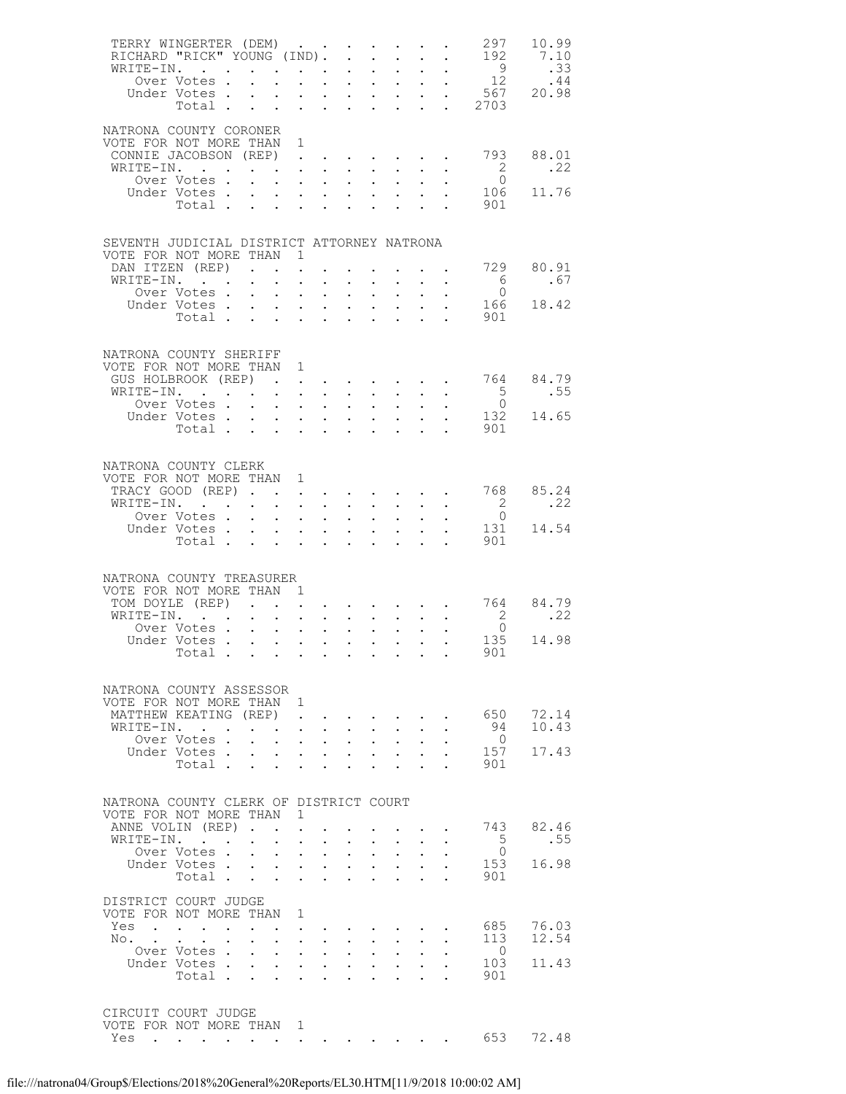| TERRY WINGERTER (DEM)                                                                    |                                                                                                                 |                      |                           |                                                                                                                       |                                                           |                                    |                                                                       |                                                                                                        |                                           |                                      | 297<br>192                                             | 10.99<br>7.10<br>.33<br>.44<br>20.98 |
|------------------------------------------------------------------------------------------|-----------------------------------------------------------------------------------------------------------------|----------------------|---------------------------|-----------------------------------------------------------------------------------------------------------------------|-----------------------------------------------------------|------------------------------------|-----------------------------------------------------------------------|--------------------------------------------------------------------------------------------------------|-------------------------------------------|--------------------------------------|--------------------------------------------------------|--------------------------------------|
| NATRONA COUNTY CORONER<br>VOTE FOR NOT MORE THAN 1<br>CONNIE JACOBSON (REP)<br>WRITE-IN. | Over Votes.                                                                                                     |                      |                           |                                                                                                                       |                                                           |                                    |                                                                       |                                                                                                        |                                           |                                      | 793<br>$\frac{2}{0}$                                   | 88.01<br>.22                         |
|                                                                                          | Under Votes<br>Total .                                                                                          |                      |                           | $\mathbf{z} = \mathbf{z} + \mathbf{z}$ , where $\mathbf{z} = \mathbf{z}$<br>$\mathbf{r}$                              | $\mathbf{L}$ and $\mathbf{L}$                             |                                    |                                                                       | $\mathbf{L}^{\text{max}}$ , $\mathbf{L}^{\text{max}}$                                                  |                                           |                                      | 106<br>901                                             | 11.76                                |
| SEVENTH JUDICIAL DISTRICT ATTORNEY NATRONA<br>VOTE FOR NOT MORE THAN 1                   |                                                                                                                 |                      |                           |                                                                                                                       |                                                           |                                    |                                                                       |                                                                                                        |                                           |                                      |                                                        |                                      |
| DAN ITZEN (REP)<br>WRITE-IN.                                                             |                                                                                                                 |                      |                           | $\mathbf{L}^{\text{max}}$<br>$\mathbf{L}^{\text{max}}$                                                                | $\mathbf{A}^{(1)}$ .                                      | $\bullet$ .                        | $\sim 100$                                                            |                                                                                                        |                                           |                                      | 729<br>6                                               | 80.91<br>.67                         |
|                                                                                          | Over Votes .<br>Under Votes.<br>Total.                                                                          |                      | $\ddot{\phantom{0}}$      | $\mathbf{r} = \mathbf{r} \cdot \mathbf{r} = \mathbf{r} \cdot \mathbf{r}$ .<br>$\sim 100$                              | $\mathbf{L}^{\text{max}}$ , $\mathbf{L}^{\text{max}}$     | $\mathbb{Z}^{\mathbb{Z}^{\times}}$ | $\mathcal{L}^{\text{max}}$                                            | $\mathcal{L}^{\text{max}}$<br>$\mathbf{1}=\mathbf{1}=\mathbf{1}=\mathbf{1}=\mathbf{1}$<br>$\mathbf{L}$ | $\mathbf{L}^{\text{max}}$<br>$\mathbf{L}$ |                                      | $\overline{0}$<br>901                                  | 166 18.42                            |
| NATRONA COUNTY SHERIFF                                                                   |                                                                                                                 |                      |                           |                                                                                                                       |                                                           |                                    |                                                                       |                                                                                                        |                                           |                                      |                                                        |                                      |
| VOTE FOR NOT MORE THAN 1<br>GUS HOLBROOK (REP) .                                         |                                                                                                                 |                      |                           | $\mathbf{L}^{\text{max}}$                                                                                             | $\bullet$ .<br><br><br><br><br><br><br>                   |                                    |                                                                       |                                                                                                        |                                           |                                      | $\cdot$ 764 84.79                                      |                                      |
| WRITE-IN.                                                                                | Over Votes .                                                                                                    |                      | $\mathbf{r}$              | $\sim$ 100 $\pm$                                                                                                      | $\mathbf{L}^{\text{max}}$ , $\mathbf{L}^{\text{max}}$     | $\mathbf{L}^{\text{max}}$          |                                                                       | $\mathbf{a} = \mathbf{a} \times \mathbf{a}$ , and $\mathbf{a} = \mathbf{a} \times \mathbf{a}$          |                                           |                                      | $\frac{5}{0}$                                          | .55                                  |
|                                                                                          | Under Votes<br>Total                                                                                            |                      |                           |                                                                                                                       |                                                           |                                    |                                                                       |                                                                                                        | $\mathcal{L}^{\text{max}}$                |                                      | 901                                                    | 132 14.65                            |
| NATRONA COUNTY CLERK<br>VOTE FOR NOT MORE THAN 1<br>TRACY GOOD (REP)                     |                                                                                                                 |                      |                           |                                                                                                                       |                                                           |                                    |                                                                       |                                                                                                        |                                           |                                      | 768                                                    | 85.24                                |
| WRITE-IN.                                                                                | Over Votes                                                                                                      |                      | $\bullet$ .               | $\bullet$ .<br><br><br><br><br><br><br><br><br><br><br><br>                                                           | $\mathbf{L}^{\text{max}}$ , and $\mathbf{L}^{\text{max}}$ | $\mathcal{L}^{\text{max}}$         | $\mathbf{1}^{\prime}$ , $\mathbf{1}^{\prime}$ , $\mathbf{1}^{\prime}$ | $\sim$ $-$                                                                                             |                                           |                                      | $\overline{\mathbf{c}}$<br>$\overline{0}$              | .22                                  |
|                                                                                          | Under Votes<br>Votes<br>Total                                                                                   |                      |                           |                                                                                                                       |                                                           |                                    |                                                                       |                                                                                                        |                                           | $\mathbf{L} = \mathbf{L} \mathbf{L}$ | 901                                                    | 131 14.54                            |
| NATRONA COUNTY TREASURER<br>VOTE FOR NOT MORE THAN 1                                     |                                                                                                                 |                      |                           |                                                                                                                       |                                                           |                                    |                                                                       |                                                                                                        |                                           |                                      |                                                        |                                      |
| TOM DOYLE (REP)<br>WRITE-IN.                                                             |                                                                                                                 |                      |                           | $\mathcal{L}^{\text{max}}$                                                                                            |                                                           |                                    |                                                                       |                                                                                                        |                                           |                                      | $\cdot$ $\cdot$ $\cdot$ 764 84.79                      | .22                                  |
|                                                                                          | Over Votes                                                                                                      |                      |                           | $\mathbf{1}^{\prime}$ , $\mathbf{1}^{\prime}$ , $\mathbf{1}^{\prime}$ , $\mathbf{1}^{\prime}$ , $\mathbf{1}^{\prime}$ |                                                           | $\ddot{\phantom{0}}$               |                                                                       | $\mathbf{L}^{\text{max}}$                                                                              |                                           |                                      | $\frac{2}{0}$                                          |                                      |
|                                                                                          | Under Votes<br>Total                                                                                            |                      |                           |                                                                                                                       |                                                           |                                    | $\mathcal{L}^{\text{max}}$                                            | $\sim$ $\sim$                                                                                          |                                           |                                      | $\frac{1}{2}$ $\frac{135}{2}$ $\frac{14.98}{2}$<br>901 |                                      |
| NATRONA COUNTY ASSESSOR<br>VOTE FOR NOT MORE THAN 1<br>MATTHEW KEATING (REP)             |                                                                                                                 |                      |                           | $\ddot{\phantom{a}}$                                                                                                  |                                                           |                                    |                                                                       |                                                                                                        |                                           |                                      | 650                                                    | 72.14                                |
| WRITE-IN.                                                                                | Over Votes.                                                                                                     |                      |                           | $\mathbf{1}^{\prime}$ , $\mathbf{1}^{\prime}$ , $\mathbf{1}^{\prime}$ , $\mathbf{1}^{\prime}$                         |                                                           | $\mathbb{Z}^{\mathbb{Z}^{\times}}$ |                                                                       | $\mathbf{A}^{\text{max}}$ , $\mathbf{A}^{\text{max}}$                                                  |                                           |                                      | 94<br>$\overline{0}$                                   | 10.43                                |
|                                                                                          | Under Votes .<br>Total .                                                                                        |                      | $\ddot{\phantom{0}}$      | $\mathbf{L}$<br>$\ddot{\phantom{a}}$                                                                                  | $\mathbf{L}$ and $\mathbf{L}$                             |                                    |                                                                       | $\mathcal{L}^{(1)}$                                                                                    |                                           |                                      | 157<br>901                                             | 17.43                                |
| NATRONA COUNTY CLERK OF DISTRICT COURT<br>VOTE FOR NOT MORE THAN                         |                                                                                                                 |                      |                           | 1                                                                                                                     |                                                           |                                    |                                                                       |                                                                                                        |                                           |                                      |                                                        |                                      |
| ANNE VOLIN (REP)                                                                         |                                                                                                                 |                      |                           |                                                                                                                       |                                                           |                                    |                                                                       |                                                                                                        |                                           |                                      | 743                                                    | 82.46                                |
| WRITE-IN.                                                                                | $\sim$ $\sim$<br>Over Votes.                                                                                    | $\ddot{\phantom{0}}$ | $\ddotsc$                 | $\mathbf{L}^{\text{max}}$ , and $\mathbf{L}^{\text{max}}$<br>$\mathbf{L}$                                             | $\ddot{\phantom{0}}$                                      |                                    |                                                                       |                                                                                                        |                                           |                                      | 5<br>$\overline{0}$                                    | .55                                  |
|                                                                                          | Under Votes<br>Total .                                                                                          |                      | $\mathbf{L}^{\text{max}}$ | $\mathcal{L}^{\text{max}}$<br>$\sim$ $-$                                                                              | $\sim$                                                    | $\mathcal{L}^{\pm}$                | $\mathbf{L}^{\text{max}}$                                             |                                                                                                        |                                           |                                      | 153<br>901                                             | 16.98                                |
| DISTRICT COURT JUDGE<br>VOTE FOR NOT MORE THAN<br>Yes                                    |                                                                                                                 |                      |                           | 1                                                                                                                     |                                                           |                                    |                                                                       |                                                                                                        |                                           |                                      | 685                                                    | 76.03                                |
| No.                                                                                      | Over Votes.                                                                                                     | $\ddot{\phantom{a}}$ |                           | $\mathbf{L}^{\text{max}}$ , and $\mathbf{L}^{\text{max}}$<br>$\mathcal{L}^{\text{max}}$                               | $\sim$ $-$<br>$\mathcal{L}^{\text{max}}$                  |                                    | $\mathbf{z} = \mathbf{z}$                                             |                                                                                                        |                                           |                                      | 113<br>$\overline{0}$                                  | 12.54                                |
|                                                                                          | Under Votes.<br>Total .                                                                                         |                      | $\mathbf{L}^{\text{max}}$ | $\Delta \phi = \Delta \phi$ .                                                                                         | $\sim$                                                    | $\mathbb{Z}^{\mathbb{Z}^2}$        | $\mathcal{L}^{(1)}$                                                   | $\mathbf{L}^{\text{max}}$                                                                              |                                           |                                      | 103<br>901                                             | 11.43                                |
| CIRCUIT COURT JUDGE<br>VOTE FOR NOT MORE THAN 1                                          |                                                                                                                 |                      |                           |                                                                                                                       |                                                           |                                    |                                                                       |                                                                                                        |                                           |                                      |                                                        |                                      |
| Yes                                                                                      | designed to the contract of the contract of the contract of the contract of the contract of the contract of the |                      |                           |                                                                                                                       |                                                           |                                    |                                                                       |                                                                                                        |                                           |                                      | 653                                                    | 72.48                                |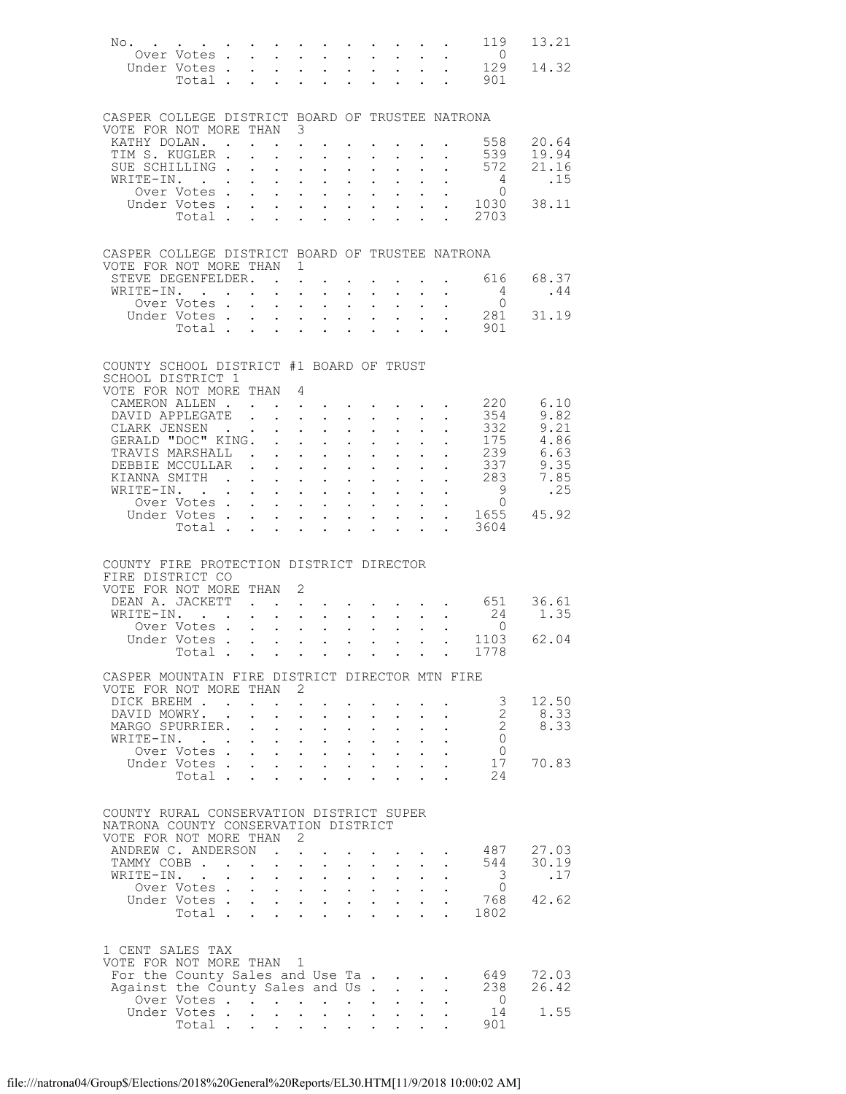| No.                                                                                                                      | $\mathcal{A}^{\mathcal{A}}$ . The contribution of the contribution of the contribution of the contribution of the contribution of the contribution of the contribution of the contribution of the contribution of the contribution of the |                            |                           |                            |                                                                                                                                                                                                                                                                                                                        |                                                           |                                            |                                                                                                                                           |                      |                                                       | 119                                                    | 13.21                  |
|--------------------------------------------------------------------------------------------------------------------------|-------------------------------------------------------------------------------------------------------------------------------------------------------------------------------------------------------------------------------------------|----------------------------|---------------------------|----------------------------|------------------------------------------------------------------------------------------------------------------------------------------------------------------------------------------------------------------------------------------------------------------------------------------------------------------------|-----------------------------------------------------------|--------------------------------------------|-------------------------------------------------------------------------------------------------------------------------------------------|----------------------|-------------------------------------------------------|--------------------------------------------------------|------------------------|
|                                                                                                                          | Over Votes<br>Under Votes .                                                                                                                                                                                                               |                            |                           |                            | $\mathbf{1}^{\prime}$ , $\mathbf{1}^{\prime}$ , $\mathbf{1}^{\prime}$ , $\mathbf{1}^{\prime}$ , $\mathbf{1}^{\prime}$<br>$\mathbf{r} = \mathbf{r} - \mathbf{r}$ , and $\mathbf{r} = \mathbf{r} - \mathbf{r}$ , and $\mathbf{r} = \mathbf{r} - \mathbf{r}$                                                              |                                                           |                                            | $\mathbf{u} = \mathbf{u} \mathbf{u} + \mathbf{u} \mathbf{u}$                                                                              |                      |                                                       | $\overline{0}$<br>129                                  | 14.32                  |
|                                                                                                                          | Total .                                                                                                                                                                                                                                   |                            |                           | $\sim$                     | $\ddot{\phantom{0}}$                                                                                                                                                                                                                                                                                                   | $\ddot{\phantom{0}}$                                      |                                            |                                                                                                                                           |                      | $\sim$ $\sim$                                         | 901                                                    |                        |
|                                                                                                                          |                                                                                                                                                                                                                                           |                            |                           |                            |                                                                                                                                                                                                                                                                                                                        |                                                           |                                            |                                                                                                                                           |                      |                                                       |                                                        |                        |
| CASPER COLLEGE DISTRICT BOARD OF TRUSTEE NATRONA<br>VOTE FOR NOT MORE THAN 3                                             |                                                                                                                                                                                                                                           |                            |                           |                            |                                                                                                                                                                                                                                                                                                                        |                                                           |                                            |                                                                                                                                           |                      |                                                       |                                                        |                        |
| KATHY DOLAN                                                                                                              |                                                                                                                                                                                                                                           |                            |                           |                            |                                                                                                                                                                                                                                                                                                                        |                                                           |                                            |                                                                                                                                           |                      |                                                       | $\cdot$ $\cdot$ $\cdot$ $\cdot$ 558                    | 20.64                  |
| TIM S. KUGLER .                                                                                                          |                                                                                                                                                                                                                                           |                            |                           |                            | $\mathbf{z} = \mathbf{z} + \mathbf{z}$ , where $\mathbf{z}$                                                                                                                                                                                                                                                            |                                                           |                                            | $\mathbf{z} = \left\{ \mathbf{z}_1, \ldots, \mathbf{z}_n \right\}$ .                                                                      |                      | $\mathbf{z} = \mathbf{z} + \mathbf{z}$                | 539                                                    | 19.94                  |
| SUE SCHILLING .                                                                                                          |                                                                                                                                                                                                                                           |                            | $\mathbf{L}$              | $\ddot{\phantom{a}}$       | $\mathbf{r}$ , $\mathbf{r}$ , $\mathbf{r}$                                                                                                                                                                                                                                                                             |                                                           | $\ddot{\phantom{0}}$                       | $\mathbf{L}$                                                                                                                              |                      |                                                       | 572                                                    | 21.16                  |
| WRITE-IN.                                                                                                                |                                                                                                                                                                                                                                           |                            |                           |                            | $\mathbf{u}^{\prime}=\mathbf{u}^{\prime}=\mathbf{u}^{\prime}$ .<br>$\mathbf{r} = \mathbf{r} - \mathbf{r}$ , where $\mathbf{r} = \mathbf{r} - \mathbf{r}$ , where $\mathbf{r} = \mathbf{r} - \mathbf{r}$                                                                                                                | $\mathbf{A}^{(1)}$ and $\mathbf{A}^{(2)}$ and             |                                            | $\mathbf{L}^{\text{max}}$                                                                                                                 |                      | $\mathbf{z} = \mathbf{z} + \mathbf{z}$ .              | $\begin{matrix} 4 \\ 0 \end{matrix}$                   | .15                    |
|                                                                                                                          |                                                                                                                                                                                                                                           |                            |                           |                            |                                                                                                                                                                                                                                                                                                                        |                                                           |                                            |                                                                                                                                           |                      |                                                       | 0ver Votes 0<br>Under Votes 1030<br>Total 2703<br>1030 | 38.11                  |
|                                                                                                                          |                                                                                                                                                                                                                                           |                            |                           |                            |                                                                                                                                                                                                                                                                                                                        |                                                           |                                            |                                                                                                                                           |                      |                                                       |                                                        |                        |
| CASPER COLLEGE DISTRICT BOARD OF TRUSTEE NATRONA                                                                         |                                                                                                                                                                                                                                           |                            |                           |                            |                                                                                                                                                                                                                                                                                                                        |                                                           |                                            |                                                                                                                                           |                      |                                                       |                                                        |                        |
| VOTE FOR NOT MORE THAN 1                                                                                                 |                                                                                                                                                                                                                                           |                            |                           |                            |                                                                                                                                                                                                                                                                                                                        |                                                           |                                            |                                                                                                                                           |                      |                                                       |                                                        |                        |
| STEVE DEGENFELDER.<br>WRITE-IN.                                                                                          |                                                                                                                                                                                                                                           |                            |                           |                            | $\mathbf{L}$ $\mathbf{L}$                                                                                                                                                                                                                                                                                              | $\sim$ 100 $\pm$                                          |                                            |                                                                                                                                           |                      |                                                       | 616<br>4                                               | 68.37<br>.44           |
|                                                                                                                          | Over Votes .                                                                                                                                                                                                                              | $\mathbf{r}$               | $\mathbf{L}^{\text{max}}$ |                            | $\mathbf{L}^{\text{max}}$ , and $\mathbf{L}^{\text{max}}$                                                                                                                                                                                                                                                              | $\mathbf{r} = \mathbf{r} + \mathbf{r}$ .                  |                                            | $\bullet$ .                                                                                                                               |                      |                                                       | $\overline{0}$                                         |                        |
|                                                                                                                          | Under Votes .                                                                                                                                                                                                                             | $\mathbf{L}$               | $\mathbf{L}$              |                            | $\mathbf{r} = \mathbf{r} \cdot \mathbf{r}$                                                                                                                                                                                                                                                                             |                                                           |                                            | $\mathbf{L}$ and $\mathbf{L}$                                                                                                             |                      |                                                       | 281                                                    | 31.19                  |
|                                                                                                                          | Total .                                                                                                                                                                                                                                   | $\sim$                     | $\mathbf{L}^{\text{max}}$ | $\mathbf{L}^{\text{max}}$  | $\ddot{\phantom{0}}$                                                                                                                                                                                                                                                                                                   | $\mathbf{L}$                                              |                                            | $\ddot{\phantom{0}}$                                                                                                                      |                      |                                                       | 901                                                    |                        |
| COUNTY SCHOOL DISTRICT #1 BOARD OF TRUST                                                                                 |                                                                                                                                                                                                                                           |                            |                           |                            |                                                                                                                                                                                                                                                                                                                        |                                                           |                                            |                                                                                                                                           |                      |                                                       |                                                        |                        |
| SCHOOL DISTRICT 1                                                                                                        |                                                                                                                                                                                                                                           |                            |                           |                            |                                                                                                                                                                                                                                                                                                                        |                                                           |                                            |                                                                                                                                           |                      |                                                       |                                                        |                        |
| VOTE FOR NOT MORE THAN 4                                                                                                 |                                                                                                                                                                                                                                           |                            |                           |                            |                                                                                                                                                                                                                                                                                                                        |                                                           |                                            |                                                                                                                                           |                      |                                                       |                                                        | 6.10                   |
| CAMERON ALLEN.<br>DAVID APPLEGATE                                                                                        |                                                                                                                                                                                                                                           |                            |                           |                            | $\mathbf{r} = \mathbf{r} \times \mathbf{r}$ , where $\mathbf{r} = \mathbf{r} \times \mathbf{r}$<br>$\mathbf{r} = \mathbf{r} + \mathbf{r} + \mathbf{r}$                                                                                                                                                                 |                                                           |                                            |                                                                                                                                           |                      |                                                       | 220<br>354                                             | 9.82                   |
| CLARK JENSEN                                                                                                             |                                                                                                                                                                                                                                           |                            |                           |                            | $\mathbf{z} = \mathbf{z} + \mathbf{z}$ .                                                                                                                                                                                                                                                                               | $\mathbf{A}^{\text{max}}$ , and $\mathbf{A}^{\text{max}}$ |                                            | $\mathbf{L}^{\text{max}}$                                                                                                                 |                      |                                                       | 332                                                    | 9.21                   |
| GERALD "DOC" KING.                                                                                                       |                                                                                                                                                                                                                                           |                            |                           |                            |                                                                                                                                                                                                                                                                                                                        |                                                           | $\ddot{\phantom{0}}$                       |                                                                                                                                           |                      |                                                       | 175                                                    | 4.86                   |
| TRAVIS MARSHALL.<br>DEBBIE MCCULLAR                                                                                      |                                                                                                                                                                                                                                           |                            |                           |                            | $\mathcal{A}^{\mathcal{A}}$ , and $\mathcal{A}^{\mathcal{A}}$ , and $\mathcal{A}^{\mathcal{A}}$                                                                                                                                                                                                                        | $\mathbf{A}^{\text{max}}$ , and $\mathbf{A}^{\text{max}}$ |                                            | $\mathbf{L}^{\text{max}}$                                                                                                                 |                      |                                                       | 239<br>337                                             | 6.63<br>9.35           |
| KIANNA SMITH                                                                                                             |                                                                                                                                                                                                                                           |                            |                           |                            | $\mathcal{L}(\mathbf{z})$ . The contribution of $\mathcal{L}(\mathbf{z})$                                                                                                                                                                                                                                              | $\mathbf{A}^{\text{max}}$ , and $\mathbf{A}^{\text{max}}$ | $\ddot{\phantom{0}}$                       | $\mathbf{L}^{\text{max}}$                                                                                                                 |                      | $\mathbf{L}^{\text{max}}$ , $\mathbf{L}^{\text{max}}$ | 283                                                    | 7.85                   |
| WRITE-IN. .                                                                                                              |                                                                                                                                                                                                                                           |                            |                           |                            | $\mathbf{r}$ , $\mathbf{r}$ , $\mathbf{r}$ , $\mathbf{r}$ , $\mathbf{r}$                                                                                                                                                                                                                                               |                                                           |                                            | $\mathbf{L} = \mathbf{L}$                                                                                                                 |                      |                                                       | 9                                                      | .25                    |
|                                                                                                                          | Over Votes.                                                                                                                                                                                                                               | $\mathbf{L}$               | $\sim$ $-$                |                            | $\mathbf{L}^{\text{max}}$ , and $\mathbf{L}^{\text{max}}$                                                                                                                                                                                                                                                              | $\mathcal{L}^{\text{max}}$ , $\mathcal{L}^{\text{max}}$   |                                            | $\mathbf{L}^{\text{max}}$                                                                                                                 |                      |                                                       | $\overline{0}$                                         |                        |
|                                                                                                                          | Under Votes .<br>Total .                                                                                                                                                                                                                  | $\ddot{\phantom{0}}$       | $\bullet$ .               | $\ddot{\phantom{0}}$       | $\mathbf{r}$ , $\mathbf{r}$ , $\mathbf{r}$ , $\mathbf{r}$ , $\mathbf{r}$<br>$\sim$                                                                                                                                                                                                                                     | $\sim$ 100 $\pm$                                          | $\mathbf{L}$                               | $\mathbf{L} = \mathbf{L}$<br>$\ddot{\phantom{0}}$                                                                                         | $\ddot{\phantom{0}}$ | $\ddot{\phantom{0}}$                                  | 3604                                                   | 1655 45.92             |
| COUNTY FIRE PROTECTION DISTRICT DIRECTOR<br>FIRE DISTRICT CO<br>VOTE FOR NOT MORE THAN 2<br>DEAN A. JACKETT<br>WRITE-IN. | $\mathbf{r}$ . $\mathbf{r}$<br>Over Votes.<br>Under Votes<br>Total                                                                                                                                                                        | $\mathcal{L}^{\text{max}}$ |                           |                            | $\mathbf{r} = \mathbf{r} + \mathbf{r}$ , where $\mathbf{r} = \mathbf{r} + \mathbf{r}$ , where $\mathbf{r} = \mathbf{r} + \mathbf{r}$<br>$\ddot{\phantom{a}}$<br>$\mathcal{A}=\mathcal{A}=\mathcal{A}=\mathcal{A}=\mathcal{A}=\mathcal{A}=\mathcal{A}=\mathcal{A}$<br>$\mathbf{r}=(\mathbf{r}_1,\ldots,\mathbf{r}_N)$ . | $\mathcal{L}^{\text{max}}$                                | $\epsilon$ .                               | $\mathbf{L}^{\text{max}}$ , and $\mathbf{L}^{\text{max}}$<br>$\mathcal{L}^{\text{max}}$ , where $\mathcal{L}^{\text{max}}$<br>$\bullet$ . |                      |                                                       | 651<br>24<br>- 0<br>1103<br>1778                       | 36.61<br>1.35<br>62.04 |
|                                                                                                                          |                                                                                                                                                                                                                                           |                            |                           |                            |                                                                                                                                                                                                                                                                                                                        |                                                           |                                            |                                                                                                                                           |                      |                                                       |                                                        |                        |
| CASPER MOUNTAIN FIRE DISTRICT DIRECTOR MTN FIRE<br>VOTE FOR NOT MORE THAN 2                                              |                                                                                                                                                                                                                                           |                            |                           |                            |                                                                                                                                                                                                                                                                                                                        |                                                           |                                            |                                                                                                                                           |                      |                                                       |                                                        |                        |
| DICK BREHM                                                                                                               |                                                                                                                                                                                                                                           |                            |                           |                            |                                                                                                                                                                                                                                                                                                                        |                                                           |                                            |                                                                                                                                           |                      |                                                       | $\mathcal{S}$                                          | 12.50                  |
| DAVID MOWRY. .<br>MARGO SPURRIER. .                                                                                      |                                                                                                                                                                                                                                           |                            |                           |                            | $\cdot$ $\cdot$ $\cdot$ $\cdot$                                                                                                                                                                                                                                                                                        |                                                           |                                            |                                                                                                                                           |                      |                                                       | 2<br>2                                                 | 8.33<br>8.33           |
| WRITE-IN.                                                                                                                |                                                                                                                                                                                                                                           |                            | $\sim 100$                | $\sim 10^{-11}$            | $\sim 10^{-11}$<br>$\mathbf{L} = \mathbf{L} \mathbf{L}$                                                                                                                                                                                                                                                                |                                                           | $\mathcal{L}^{\text{max}}$<br>$\mathbf{L}$ |                                                                                                                                           |                      |                                                       | $\overline{0}$                                         |                        |
|                                                                                                                          | Over Votes                                                                                                                                                                                                                                |                            |                           |                            |                                                                                                                                                                                                                                                                                                                        |                                                           |                                            |                                                                                                                                           |                      |                                                       | $\overline{0}$                                         |                        |
|                                                                                                                          | Under Votes                                                                                                                                                                                                                               |                            |                           | $\mathcal{L}^{\text{max}}$ |                                                                                                                                                                                                                                                                                                                        |                                                           |                                            |                                                                                                                                           |                      |                                                       | 17<br>24                                               | 70.83                  |
|                                                                                                                          | Total                                                                                                                                                                                                                                     |                            | $\sim$                    |                            | $\mathbf{L}$                                                                                                                                                                                                                                                                                                           | $\sim$                                                    |                                            |                                                                                                                                           |                      |                                                       |                                                        |                        |
| COUNTY RURAL CONSERVATION DISTRICT SUPER                                                                                 |                                                                                                                                                                                                                                           |                            |                           |                            |                                                                                                                                                                                                                                                                                                                        |                                                           |                                            |                                                                                                                                           |                      |                                                       |                                                        |                        |
| NATRONA COUNTY CONSERVATION DISTRICT<br>VOTE FOR NOT MORE THAN 2                                                         |                                                                                                                                                                                                                                           |                            |                           |                            |                                                                                                                                                                                                                                                                                                                        |                                                           |                                            |                                                                                                                                           |                      |                                                       |                                                        |                        |
| ANDREW C. ANDERSON                                                                                                       |                                                                                                                                                                                                                                           |                            |                           |                            |                                                                                                                                                                                                                                                                                                                        |                                                           |                                            |                                                                                                                                           |                      |                                                       | 487                                                    | 27.03                  |
| TAMMY COBB                                                                                                               |                                                                                                                                                                                                                                           |                            | $\ddot{\phantom{0}}$      |                            | $\mathbf{L} = \mathbf{L} \times \mathbf{L}$                                                                                                                                                                                                                                                                            |                                                           |                                            |                                                                                                                                           |                      |                                                       | 544                                                    | 30.19                  |
| WRITE-IN.                                                                                                                | TE-IN.<br>Over Votes                                                                                                                                                                                                                      |                            |                           |                            |                                                                                                                                                                                                                                                                                                                        |                                                           |                                            |                                                                                                                                           |                      |                                                       | 3                                                      | .17                    |
|                                                                                                                          |                                                                                                                                                                                                                                           |                            |                           |                            |                                                                                                                                                                                                                                                                                                                        |                                                           |                                            |                                                                                                                                           |                      |                                                       | $\overline{0}$<br>768                                  | 42.62                  |
|                                                                                                                          | Under Votes<br>Total                                                                                                                                                                                                                      |                            |                           |                            | <b><i>Contract Contract State</i></b>                                                                                                                                                                                                                                                                                  |                                                           |                                            |                                                                                                                                           |                      |                                                       | 1802                                                   |                        |
|                                                                                                                          |                                                                                                                                                                                                                                           |                            |                           |                            |                                                                                                                                                                                                                                                                                                                        |                                                           |                                            |                                                                                                                                           |                      |                                                       |                                                        |                        |
| 1 CENT SALES TAX<br>VOTE FOR NOT MORE THAN 1                                                                             |                                                                                                                                                                                                                                           |                            |                           |                            |                                                                                                                                                                                                                                                                                                                        |                                                           |                                            |                                                                                                                                           |                      |                                                       |                                                        |                        |
| For the County Sales and Use Ta                                                                                          |                                                                                                                                                                                                                                           |                            |                           |                            |                                                                                                                                                                                                                                                                                                                        |                                                           |                                            |                                                                                                                                           |                      |                                                       | 649                                                    | 72.03                  |
| Against the County Sales and Us                                                                                          |                                                                                                                                                                                                                                           |                            |                           |                            |                                                                                                                                                                                                                                                                                                                        |                                                           |                                            |                                                                                                                                           |                      |                                                       | 238                                                    | 26.42                  |
|                                                                                                                          | Over Votes<br>Under Votes                                                                                                                                                                                                                 |                            |                           |                            | $\mathcal{A}=\mathcal{A}=\mathcal{A}=\mathcal{A}=\mathcal{A}=\mathcal{A}=\mathcal{A}=\mathcal{A}$                                                                                                                                                                                                                      |                                                           |                                            |                                                                                                                                           |                      |                                                       | $\overline{0}$<br>14                                   | 1.55                   |
|                                                                                                                          | Total                                                                                                                                                                                                                                     |                            |                           |                            |                                                                                                                                                                                                                                                                                                                        |                                                           |                                            |                                                                                                                                           |                      |                                                       | 901                                                    |                        |
|                                                                                                                          |                                                                                                                                                                                                                                           |                            |                           |                            |                                                                                                                                                                                                                                                                                                                        |                                                           |                                            |                                                                                                                                           |                      |                                                       |                                                        |                        |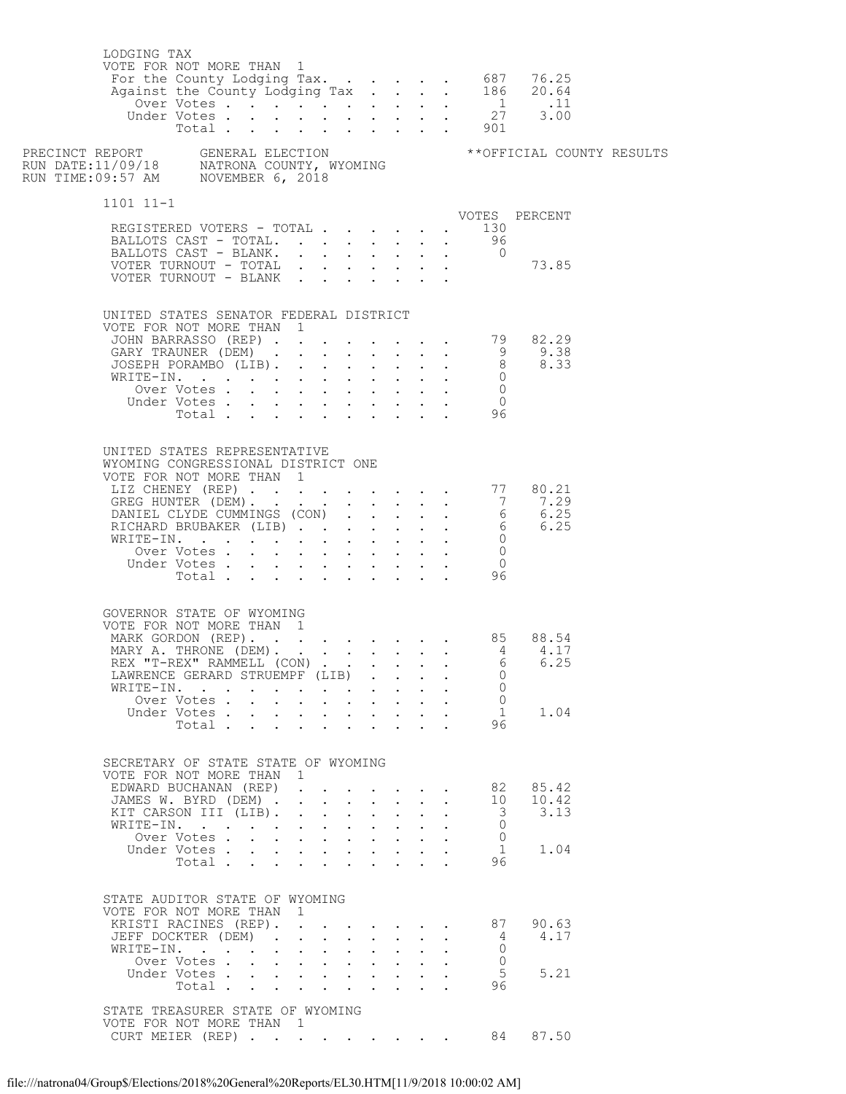| LODGING TAX<br>VOTE FOR NOT MORE THAN 1                                                                                                                                                                                        |                               |                      |                            |                                                                                                                                                                                                                      |                                                           |              |                                            |                            |                                          |                           |               |  |
|--------------------------------------------------------------------------------------------------------------------------------------------------------------------------------------------------------------------------------|-------------------------------|----------------------|----------------------------|----------------------------------------------------------------------------------------------------------------------------------------------------------------------------------------------------------------------|-----------------------------------------------------------|--------------|--------------------------------------------|----------------------------|------------------------------------------|---------------------------|---------------|--|
|                                                                                                                                                                                                                                |                               |                      |                            |                                                                                                                                                                                                                      |                                                           |              |                                            |                            |                                          |                           |               |  |
| $1101$ $11-1$                                                                                                                                                                                                                  |                               |                      |                            |                                                                                                                                                                                                                      |                                                           |              |                                            |                            |                                          |                           |               |  |
| REGISTERED VOTERS - TOTAL                                                                                                                                                                                                      |                               |                      |                            |                                                                                                                                                                                                                      |                                                           |              |                                            |                            |                                          | $\cdot$ 130               | VOTES PERCENT |  |
| BALLOTS CAST - TOTAL. 96                                                                                                                                                                                                       |                               |                      |                            |                                                                                                                                                                                                                      |                                                           |              |                                            |                            |                                          |                           |               |  |
| BALLOTS CAST - BLANK.                                                                                                                                                                                                          |                               |                      |                            |                                                                                                                                                                                                                      |                                                           |              |                                            |                            |                                          | $\overline{0}$            |               |  |
| VOTER TURNOUT - TOTAL $\cdot \cdot \cdot \cdot \cdot \cdot$ 73.85<br>VOTER TURNOUT - BLANK                                                                                                                                     |                               |                      |                            |                                                                                                                                                                                                                      |                                                           |              |                                            |                            |                                          |                           |               |  |
|                                                                                                                                                                                                                                |                               |                      |                            |                                                                                                                                                                                                                      |                                                           |              |                                            |                            |                                          |                           |               |  |
| UNITED STATES SENATOR FEDERAL DISTRICT                                                                                                                                                                                         |                               |                      |                            |                                                                                                                                                                                                                      |                                                           |              |                                            |                            |                                          |                           |               |  |
| VOTE FOR NOT MORE THAN 1<br>VOTE FOR NOT MORE THAN 1<br>JOHN BARRASSO (REP) 9<br>GARY TRAUNER (DEM) 9 9.38<br>JOSEPH PORAMBO (LIB). 8 8.33                                                                                     |                               |                      |                            |                                                                                                                                                                                                                      |                                                           |              |                                            |                            |                                          |                           |               |  |
|                                                                                                                                                                                                                                |                               |                      |                            |                                                                                                                                                                                                                      |                                                           |              |                                            |                            |                                          |                           |               |  |
|                                                                                                                                                                                                                                |                               |                      |                            |                                                                                                                                                                                                                      |                                                           |              |                                            |                            |                                          |                           |               |  |
|                                                                                                                                                                                                                                |                               |                      |                            |                                                                                                                                                                                                                      |                                                           |              |                                            |                            |                                          |                           |               |  |
|                                                                                                                                                                                                                                | Over Votes                    |                      |                            | $\mathbf{r} = \mathbf{r} + \mathbf{r} + \mathbf{r} + \mathbf{r}$                                                                                                                                                     |                                                           |              | $\sim$                                     |                            |                                          | $\overline{0}$            |               |  |
|                                                                                                                                                                                                                                | Under Votes                   |                      |                            |                                                                                                                                                                                                                      |                                                           |              |                                            |                            |                                          | $\overline{0}$<br>96      |               |  |
|                                                                                                                                                                                                                                | Total                         |                      |                            |                                                                                                                                                                                                                      |                                                           | $\mathbf{L}$ |                                            |                            |                                          |                           |               |  |
| UNITED STATES REPRESENTATIVE<br>WYOMING CONGRESSIONAL DISTRICT ONE<br>VOTE FOR NOT MORE THAN 1<br>UIZ CHENEY (REP) 77 80.21<br>GREG HUNTER (DEM) 7 7.29<br>DANIEL CLYDE CUMMINGS (CON) 6 6.25<br>RICHARD BRUBAKER (LIB) 6 6.25 |                               |                      |                            |                                                                                                                                                                                                                      |                                                           |              |                                            |                            |                                          |                           |               |  |
|                                                                                                                                                                                                                                |                               |                      |                            |                                                                                                                                                                                                                      |                                                           |              |                                            |                            |                                          |                           |               |  |
| WRITE-IN.                                                                                                                                                                                                                      |                               |                      |                            |                                                                                                                                                                                                                      |                                                           |              |                                            |                            |                                          | $\overline{0}$            |               |  |
|                                                                                                                                                                                                                                | Over Votes                    |                      |                            |                                                                                                                                                                                                                      |                                                           |              |                                            |                            |                                          | $\bigcirc$                |               |  |
|                                                                                                                                                                                                                                | Under Votes                   |                      |                            |                                                                                                                                                                                                                      |                                                           |              |                                            |                            | $\mathbf{z} = \mathbf{z} + \mathbf{z}$ . | $\overline{0}$            |               |  |
|                                                                                                                                                                                                                                |                               |                      |                            |                                                                                                                                                                                                                      |                                                           |              |                                            |                            |                                          | votes 0<br>Total 96       |               |  |
| GOVERNOR STATE OF WYOMING<br>VOTE FOR NOT MORE THAN 1<br>REX "T-REX" RAMMELL (CON)<br>LAWRENCE GERARD STRUEMPF (LIB)<br>WRITE-IN.                                                                                              |                               |                      |                            |                                                                                                                                                                                                                      |                                                           |              |                                            |                            |                                          | $6\overline{6}$<br>0<br>0 | 6.25          |  |
|                                                                                                                                                                                                                                | Over Votes                    |                      |                            |                                                                                                                                                                                                                      | $\mathbf{r} = \mathbf{r}$                                 |              | $\mathbf{r} = \mathbf{r} \cdot \mathbf{r}$ |                            |                                          | $\mathbf{0}$<br>1         | 1.04          |  |
|                                                                                                                                                                                                                                | Under Votes<br>Total $\cdots$ |                      |                            |                                                                                                                                                                                                                      |                                                           |              |                                            | $\mathcal{L}^{\text{max}}$ |                                          | 96                        |               |  |
|                                                                                                                                                                                                                                |                               |                      |                            |                                                                                                                                                                                                                      |                                                           |              |                                            |                            |                                          |                           |               |  |
| SECRETARY OF STATE STATE OF WYOMING<br>VOTE FOR NOT MORE THAN 1<br>EDWARD BUCHANAN (REP)                                                                                                                                       |                               |                      |                            |                                                                                                                                                                                                                      |                                                           |              |                                            |                            |                                          | 82                        | 85.42         |  |
| JAMES W. BYRD (DEM) .                                                                                                                                                                                                          |                               |                      |                            | $\mathbf{r}$ and $\mathbf{r}$ and $\mathbf{r}$                                                                                                                                                                       |                                                           | $\mathbf{r}$ |                                            |                            |                                          | 10                        | 10.42         |  |
| KIT CARSON III (LIB).<br>WRITE-IN.                                                                                                                                                                                             |                               |                      |                            | $\mathbf{r} = \left( \mathbf{r} \right) \left( \mathbf{r} \right) \left( \mathbf{r} \right) \left( \mathbf{r} \right) \left( \mathbf{r} \right) \left( \mathbf{r} \right)$<br>$\mathbf{r} = \mathbf{r} + \mathbf{r}$ |                                                           | $\mathbf{r}$ |                                            |                            |                                          | 3<br>$\Omega$             | 3.13          |  |
|                                                                                                                                                                                                                                | Over Votes                    |                      |                            | $\mathbf{r} = \mathbf{r} \times \mathbf{r}$ , where $\mathbf{r} = \mathbf{r} \times \mathbf{r}$                                                                                                                      |                                                           |              |                                            |                            |                                          | $\mathbf{0}$              |               |  |
|                                                                                                                                                                                                                                | Under Votes                   |                      |                            |                                                                                                                                                                                                                      |                                                           | $\mathbf{r}$ | $\mathbf{L}$                               |                            |                                          | -1                        | 1.04          |  |
|                                                                                                                                                                                                                                | Total                         |                      |                            | <b>All Carl Adams</b>                                                                                                                                                                                                |                                                           | $\mathbf{L}$ |                                            |                            |                                          | 96                        |               |  |
| STATE AUDITOR STATE OF WYOMING<br>VOTE FOR NOT MORE THAN 1<br>KRISTI RACINES (REP).<br>JEFF DOCKTER (DEM)<br>WRITE-IN.                                                                                                         |                               | $\ddot{\phantom{0}}$ |                            | $\mathbf{1}$ $\mathbf{1}$ $\mathbf{1}$ $\mathbf{1}$ $\mathbf{1}$ $\mathbf{1}$ $\mathbf{1}$                                                                                                                           |                                                           | $\mathbf{L}$ |                                            |                            |                                          | 87<br>-4<br>$\Omega$      | 90.63<br>4.17 |  |
|                                                                                                                                                                                                                                | Over Votes                    |                      | $\mathcal{L}^{\text{max}}$ |                                                                                                                                                                                                                      | $\mathbf{L}^{\text{max}}$ , and $\mathbf{L}^{\text{max}}$ |              | $\mathbf{L} = \mathbf{L} \mathbf{L}$       |                            |                                          | $\mathbf{0}$              |               |  |
|                                                                                                                                                                                                                                | Under Votes<br>Total $\cdots$ |                      |                            |                                                                                                                                                                                                                      |                                                           | $\mathbf{L}$ | $\mathbf{L}$                               |                            |                                          | 5<br>96                   | 5.21          |  |
| STATE TREASURER STATE OF WYOMING<br>VOTE FOR NOT MORE THAN 1                                                                                                                                                                   |                               |                      |                            |                                                                                                                                                                                                                      |                                                           |              |                                            |                            |                                          |                           |               |  |
| CURT MEIER (REP). 84                                                                                                                                                                                                           |                               |                      |                            |                                                                                                                                                                                                                      |                                                           |              |                                            |                            |                                          |                           | 87.50         |  |
|                                                                                                                                                                                                                                |                               |                      |                            |                                                                                                                                                                                                                      |                                                           |              |                                            |                            |                                          |                           |               |  |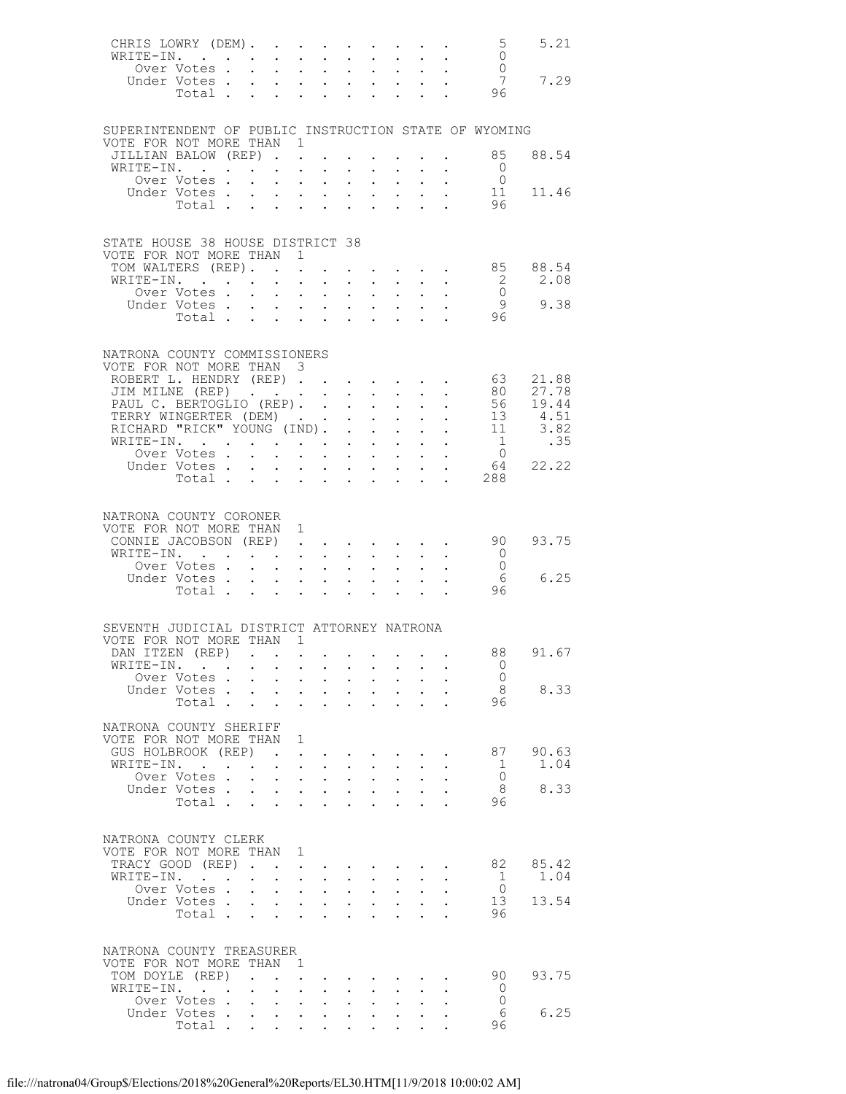| CHRIS LOWRY (DEM). 5<br>WRITE-IN. 0<br>WRITE-IN.                       |                          |                                                         |              |                                                                                                                                                                                                                                   |                                                         |                           |                                          |                            |                                                                       |                                                                               |                                                            | 5.21     |
|------------------------------------------------------------------------|--------------------------|---------------------------------------------------------|--------------|-----------------------------------------------------------------------------------------------------------------------------------------------------------------------------------------------------------------------------------|---------------------------------------------------------|---------------------------|------------------------------------------|----------------------------|-----------------------------------------------------------------------|-------------------------------------------------------------------------------|------------------------------------------------------------|----------|
|                                                                        | Over Votes               |                                                         |              |                                                                                                                                                                                                                                   |                                                         |                           |                                          |                            |                                                                       | $\mathcal{L}^{\text{max}}$                                                    |                                                            |          |
|                                                                        |                          |                                                         |              |                                                                                                                                                                                                                                   |                                                         |                           |                                          |                            |                                                                       |                                                                               | Over Votes 7<br>Under Votes 96                             | 7.29     |
|                                                                        |                          |                                                         |              |                                                                                                                                                                                                                                   |                                                         |                           |                                          |                            |                                                                       |                                                                               |                                                            |          |
|                                                                        |                          |                                                         |              |                                                                                                                                                                                                                                   |                                                         |                           |                                          |                            |                                                                       |                                                                               |                                                            |          |
|                                                                        |                          |                                                         |              |                                                                                                                                                                                                                                   |                                                         |                           |                                          |                            |                                                                       |                                                                               |                                                            |          |
| SUPERINTENDENT OF PUBLIC INSTRUCTION STATE OF WYOMING                  |                          |                                                         |              |                                                                                                                                                                                                                                   |                                                         |                           |                                          |                            |                                                                       |                                                                               |                                                            |          |
| VOTE FOR NOT MORE THAN 1                                               |                          |                                                         |              |                                                                                                                                                                                                                                   |                                                         |                           |                                          |                            |                                                                       |                                                                               |                                                            | 88.54    |
| JILLIAN BALOW (REP)<br>WRITE-IN.                                       |                          |                                                         |              |                                                                                                                                                                                                                                   |                                                         |                           |                                          |                            |                                                                       |                                                                               | 85<br>- 0                                                  |          |
|                                                                        | Over Votes               |                                                         |              |                                                                                                                                                                                                                                   |                                                         |                           |                                          |                            | $\cdot$ $\cdot$ $\cdot$ $\cdot$ $\cdot$ $\cdot$                       | $\sim$ $-$                                                                    | $\overline{0}$                                             |          |
|                                                                        |                          |                                                         |              |                                                                                                                                                                                                                                   |                                                         |                           |                                          |                            |                                                                       |                                                                               |                                                            | 11.46    |
|                                                                        |                          |                                                         |              |                                                                                                                                                                                                                                   |                                                         |                           |                                          |                            |                                                                       |                                                                               | Under Votes 11<br>Total 96                                 |          |
|                                                                        |                          |                                                         |              |                                                                                                                                                                                                                                   |                                                         |                           |                                          |                            |                                                                       |                                                                               |                                                            |          |
|                                                                        |                          |                                                         |              |                                                                                                                                                                                                                                   |                                                         |                           |                                          |                            |                                                                       |                                                                               |                                                            |          |
| STATE HOUSE 38 HOUSE DISTRICT 38                                       |                          |                                                         |              |                                                                                                                                                                                                                                   |                                                         |                           |                                          |                            |                                                                       |                                                                               |                                                            |          |
| VOTE FOR NOT MORE THAN 1                                               |                          |                                                         |              |                                                                                                                                                                                                                                   |                                                         |                           |                                          |                            |                                                                       |                                                                               |                                                            |          |
| TOM WALTERS (REP).                                                     |                          |                                                         |              |                                                                                                                                                                                                                                   |                                                         |                           |                                          |                            |                                                                       |                                                                               | $\cdot$ $\cdot$ $\cdot$ $\cdot$ $\cdot$ 85                 | 88.54    |
| WRITE-IN.                                                              |                          |                                                         |              |                                                                                                                                                                                                                                   | $\sim$                                                  |                           |                                          |                            |                                                                       |                                                                               | $\overline{\phantom{a}}$                                   | 2.08     |
|                                                                        | Over Votes               |                                                         |              | $\mathbf{u}^{\prime}=\mathbf{u}^{\prime}$ , where $\mathbf{u}^{\prime}$                                                                                                                                                           |                                                         |                           | $\mathbf{r} = \mathbf{r} + \mathbf{r}$ . | $\sim$ 100 $\pm$           |                                                                       | $\mathbf{L}^{\text{max}}$ , and $\mathbf{L}^{\text{max}}$                     | $\overline{0}$<br>- 9                                      | 9.38     |
|                                                                        | Under Votes<br>Total     |                                                         |              |                                                                                                                                                                                                                                   |                                                         |                           |                                          |                            |                                                                       | $\sim$                                                                        | 96                                                         |          |
|                                                                        |                          |                                                         |              |                                                                                                                                                                                                                                   |                                                         |                           |                                          |                            |                                                                       |                                                                               |                                                            |          |
|                                                                        |                          |                                                         |              |                                                                                                                                                                                                                                   |                                                         |                           |                                          |                            |                                                                       |                                                                               |                                                            |          |
| NATRONA COUNTY COMMISSIONERS                                           |                          |                                                         |              |                                                                                                                                                                                                                                   |                                                         |                           |                                          |                            |                                                                       |                                                                               |                                                            |          |
| VOTE FOR NOT MORE THAN 3                                               |                          |                                                         |              |                                                                                                                                                                                                                                   |                                                         |                           |                                          |                            |                                                                       |                                                                               |                                                            |          |
| ROBERT L. HENDRY (REP) 63                                              |                          |                                                         |              |                                                                                                                                                                                                                                   |                                                         |                           |                                          |                            |                                                                       |                                                                               |                                                            | 21.88    |
| JIM MILNE (REP)<br>PAUL C. BERTOGLIO (REP)                             |                          |                                                         |              |                                                                                                                                                                                                                                   |                                                         |                           |                                          |                            |                                                                       |                                                                               | 80 —                                                       | 27.78    |
|                                                                        |                          |                                                         |              |                                                                                                                                                                                                                                   |                                                         |                           |                                          |                            |                                                                       |                                                                               |                                                            | 56 19.44 |
| TERRY WINGERTER (DEM) 13 4.51<br>RICHARD "RICK" YOUNG (IND). 11 3.82   |                          |                                                         |              |                                                                                                                                                                                                                                   |                                                         |                           |                                          |                            |                                                                       |                                                                               |                                                            |          |
|                                                                        |                          |                                                         |              |                                                                                                                                                                                                                                   |                                                         |                           |                                          |                            |                                                                       |                                                                               |                                                            |          |
| WRITE-IN.<br>Over Votes                                                |                          |                                                         |              |                                                                                                                                                                                                                                   |                                                         |                           |                                          |                            |                                                                       | $\mathbf{a} = \mathbf{a} + \mathbf{a} + \mathbf{a} + \mathbf{a} + \mathbf{a}$ | 1                                                          | .35      |
|                                                                        |                          |                                                         |              |                                                                                                                                                                                                                                   |                                                         |                           |                                          |                            |                                                                       |                                                                               |                                                            |          |
|                                                                        | Under Votes              |                                                         |              |                                                                                                                                                                                                                                   |                                                         |                           |                                          |                            |                                                                       |                                                                               | $\begin{matrix}0\\64\end{matrix}$<br>Votes 64<br>Total 288 | 22.22    |
|                                                                        |                          |                                                         |              |                                                                                                                                                                                                                                   |                                                         |                           |                                          |                            |                                                                       |                                                                               |                                                            |          |
|                                                                        |                          |                                                         |              |                                                                                                                                                                                                                                   |                                                         |                           |                                          |                            |                                                                       |                                                                               |                                                            |          |
| NATRONA COUNTY CORONER                                                 |                          |                                                         |              |                                                                                                                                                                                                                                   |                                                         |                           |                                          |                            |                                                                       |                                                                               |                                                            |          |
| VOTE FOR NOT MORE THAN 1                                               |                          |                                                         |              |                                                                                                                                                                                                                                   |                                                         |                           |                                          |                            |                                                                       |                                                                               |                                                            |          |
| CONNIE JACOBSON (REP)                                                  |                          |                                                         |              |                                                                                                                                                                                                                                   |                                                         |                           |                                          |                            |                                                                       |                                                                               | 90                                                         | 93.75    |
| WRITE-IN.                                                              |                          |                                                         |              |                                                                                                                                                                                                                                   |                                                         |                           |                                          |                            |                                                                       | $\mathbf{r}$ , $\mathbf{r}$ , $\mathbf{r}$ , $\mathbf{r}$                     | $\overline{0}$                                             |          |
|                                                                        | Over Votes               |                                                         |              | $\mathbf{u} = \mathbf{u} + \mathbf{u}$ .                                                                                                                                                                                          |                                                         |                           | $\mathbf{L} = \mathbf{L} \mathbf{L}$     | $\sim$                     |                                                                       |                                                                               | $\overline{0}$                                             |          |
|                                                                        | Under Votes.             |                                                         |              |                                                                                                                                                                                                                                   |                                                         |                           |                                          |                            |                                                                       |                                                                               | - 6                                                        | 6.25     |
|                                                                        | Total                    |                                                         |              | $\mathbf{L} = \mathbf{L}$                                                                                                                                                                                                         | $\sim$ $-$                                              | $\ddot{\phantom{0}}$      | $\sim$                                   | $\mathbf{L}$               |                                                                       | $\cdot$ $\cdot$ $\cdot$                                                       | 96                                                         |          |
|                                                                        |                          |                                                         |              |                                                                                                                                                                                                                                   |                                                         |                           |                                          |                            |                                                                       |                                                                               |                                                            |          |
|                                                                        |                          |                                                         |              |                                                                                                                                                                                                                                   |                                                         |                           |                                          |                            |                                                                       |                                                                               |                                                            |          |
| SEVENTH JUDICIAL DISTRICT ATTORNEY NATRONA<br>VOTE FOR NOT MORE THAN 1 |                          |                                                         |              |                                                                                                                                                                                                                                   |                                                         |                           |                                          |                            |                                                                       |                                                                               |                                                            |          |
| DAN ITZEN (REP)                                                        |                          |                                                         |              |                                                                                                                                                                                                                                   |                                                         |                           |                                          |                            |                                                                       |                                                                               | 88                                                         | 91.67    |
| WRITE-IN.                                                              |                          |                                                         |              |                                                                                                                                                                                                                                   |                                                         |                           |                                          |                            |                                                                       |                                                                               | - 0                                                        |          |
|                                                                        | Over Votes               |                                                         |              |                                                                                                                                                                                                                                   |                                                         | $\mathbf{L}$              | $\mathbf{L}$                             |                            |                                                                       |                                                                               | $\bigcirc$                                                 |          |
|                                                                        | Under Votes              |                                                         | $\sim$       | $\bullet$ .<br><br><br><br><br><br><br><br><br><br><br><br>                                                                                                                                                                       | $\bullet$ .<br><br><br><br><br><br><br><br><br><br><br> | $\ddot{\phantom{0}}$      | $\sim$ $-$                               | $\mathbf{L}^{\text{max}}$  |                                                                       |                                                                               | - 8                                                        | 8.33     |
|                                                                        | Total                    |                                                         |              |                                                                                                                                                                                                                                   | $\sim$                                                  | $\mathbf{L} = \mathbf{L}$ |                                          | <b>Contract Contract</b>   |                                                                       | $\mathbf{L} = \mathbf{L}$                                                     | 96                                                         |          |
|                                                                        |                          |                                                         |              |                                                                                                                                                                                                                                   |                                                         |                           |                                          |                            |                                                                       |                                                                               |                                                            |          |
| NATRONA COUNTY SHERIFF                                                 |                          |                                                         |              |                                                                                                                                                                                                                                   |                                                         |                           |                                          |                            |                                                                       |                                                                               |                                                            |          |
| VOTE FOR NOT MORE THAN 1                                               |                          |                                                         |              |                                                                                                                                                                                                                                   |                                                         |                           |                                          |                            |                                                                       |                                                                               |                                                            |          |
| GUS HOLBROOK (REP)                                                     |                          |                                                         |              | $\mathbf{r}$ . The contract of the contract of the contract of the contract of the contract of the contract of the contract of the contract of the contract of the contract of the contract of the contract of the contract of th |                                                         |                           |                                          |                            |                                                                       |                                                                               | 87                                                         | 90.63    |
| WRITE-IN.                                                              |                          |                                                         |              | $\cdot$ $\cdot$ $\cdot$ $\cdot$                                                                                                                                                                                                   |                                                         | $\mathbf{L}$              | $\sim$                                   | $\sim 10^{-11}$            |                                                                       |                                                                               | 1                                                          | 1.04     |
|                                                                        | Over Votes               |                                                         |              | $\mathbf{r}$ and $\mathbf{r}$ and $\mathbf{r}$                                                                                                                                                                                    |                                                         |                           | $\ddot{\phantom{0}}$                     | $\mathbf{L}$               | $\mathbf{L}$                                                          |                                                                               | $\overline{0}$                                             |          |
|                                                                        | Under Votes              |                                                         |              | $\bullet$ . In the case of the case of the $\sim$                                                                                                                                                                                 |                                                         |                           | $\mathbf{z} = \mathbf{z} + \mathbf{z}$ . | $\bullet$ .                |                                                                       |                                                                               | 8                                                          | 8.33     |
|                                                                        | Total.                   |                                                         |              |                                                                                                                                                                                                                                   |                                                         |                           |                                          | $\mathcal{L}_{\text{max}}$ | $\mathbf{L}$                                                          |                                                                               | 96                                                         |          |
|                                                                        |                          |                                                         |              |                                                                                                                                                                                                                                   |                                                         |                           |                                          |                            |                                                                       |                                                                               |                                                            |          |
| NATRONA COUNTY CLERK                                                   |                          |                                                         |              |                                                                                                                                                                                                                                   |                                                         |                           |                                          |                            |                                                                       |                                                                               |                                                            |          |
| VOTE FOR NOT MORE THAN 1                                               |                          |                                                         |              |                                                                                                                                                                                                                                   |                                                         |                           |                                          |                            |                                                                       |                                                                               |                                                            |          |
| TRACY GOOD (REP)                                                       |                          |                                                         |              |                                                                                                                                                                                                                                   | $\mathbf{L}$ and $\mathbf{L}$                           |                           | $\mathbf{r} = \mathbf{r} + \mathbf{r}$   |                            |                                                                       |                                                                               | 82                                                         | 85.42    |
| WRITE-IN.                                                              |                          | $\ddot{\phantom{0}}$                                    |              | $\mathbf{L}$ and $\mathbf{L}$                                                                                                                                                                                                     | $\sim 10^{-11}$                                         |                           | $\ddot{\phantom{a}}$                     | $\mathbf{L}$               |                                                                       |                                                                               | - 1                                                        | 1.04     |
|                                                                        | Over Votes               |                                                         | $\mathbf{L}$ | $\sim$                                                                                                                                                                                                                            | $\ddot{\phantom{0}}$                                    | $\ddot{\phantom{0}}$      | $\bullet$ .                              | $\ddot{\phantom{0}}$       |                                                                       |                                                                               | $\overline{0}$                                             |          |
|                                                                        | Under Votes              |                                                         |              |                                                                                                                                                                                                                                   |                                                         |                           | $\ddot{\phantom{1}}$                     | $\mathbf{L}^{\text{max}}$  | $\ddot{\phantom{0}}$                                                  | $\ddot{\phantom{a}}$                                                          | 13                                                         | 13.54    |
|                                                                        | Total                    |                                                         |              |                                                                                                                                                                                                                                   |                                                         | $\ddot{\phantom{0}}$      | $\ddot{\phantom{a}}$                     | $\mathbf{L}$               |                                                                       | $\ddot{\phantom{a}}$                                                          | 96                                                         |          |
|                                                                        |                          |                                                         |              |                                                                                                                                                                                                                                   |                                                         |                           |                                          |                            |                                                                       |                                                                               |                                                            |          |
|                                                                        |                          |                                                         |              |                                                                                                                                                                                                                                   |                                                         |                           |                                          |                            |                                                                       |                                                                               |                                                            |          |
| NATRONA COUNTY TREASURER<br>VOTE FOR NOT MORE THAN 1                   |                          |                                                         |              |                                                                                                                                                                                                                                   |                                                         |                           |                                          |                            |                                                                       |                                                                               |                                                            |          |
| TOM DOYLE (REP)                                                        |                          | $\mathcal{L} = \mathcal{L} = \mathcal{L} = \mathcal{L}$ |              |                                                                                                                                                                                                                                   |                                                         |                           |                                          |                            | $\mathbf{r}$ , and $\mathbf{r}$ , and $\mathbf{r}$ , and $\mathbf{r}$ |                                                                               | 90                                                         | 93.75    |
| WRITE-IN.                                                              | <b>Contract Contract</b> |                                                         |              | $\cdot$ $\cdot$ $\cdot$ $\cdot$                                                                                                                                                                                                   |                                                         | $\ddot{\phantom{0}}$      | $\sim$                                   | $\mathbf{L}^{\text{max}}$  |                                                                       |                                                                               | - 0                                                        |          |
|                                                                        | Over Votes               |                                                         |              | $\mathbf{r}$ , $\mathbf{r}$ , $\mathbf{r}$                                                                                                                                                                                        |                                                         |                           | $\mathbf{L}$                             | $\mathcal{L}^{\text{max}}$ |                                                                       |                                                                               | $\bigcirc$                                                 |          |
|                                                                        | Under Votes              |                                                         |              | <b>Allen Adams</b>                                                                                                                                                                                                                |                                                         |                           | $\mathbf{z} = \mathbf{z} + \mathbf{z}$ . | $\ddot{\phantom{0}}$       | $\ddot{\phantom{0}}$                                                  |                                                                               | - 6                                                        | 6.25     |
|                                                                        | Total                    |                                                         |              |                                                                                                                                                                                                                                   |                                                         |                           |                                          |                            |                                                                       |                                                                               | 96                                                         |          |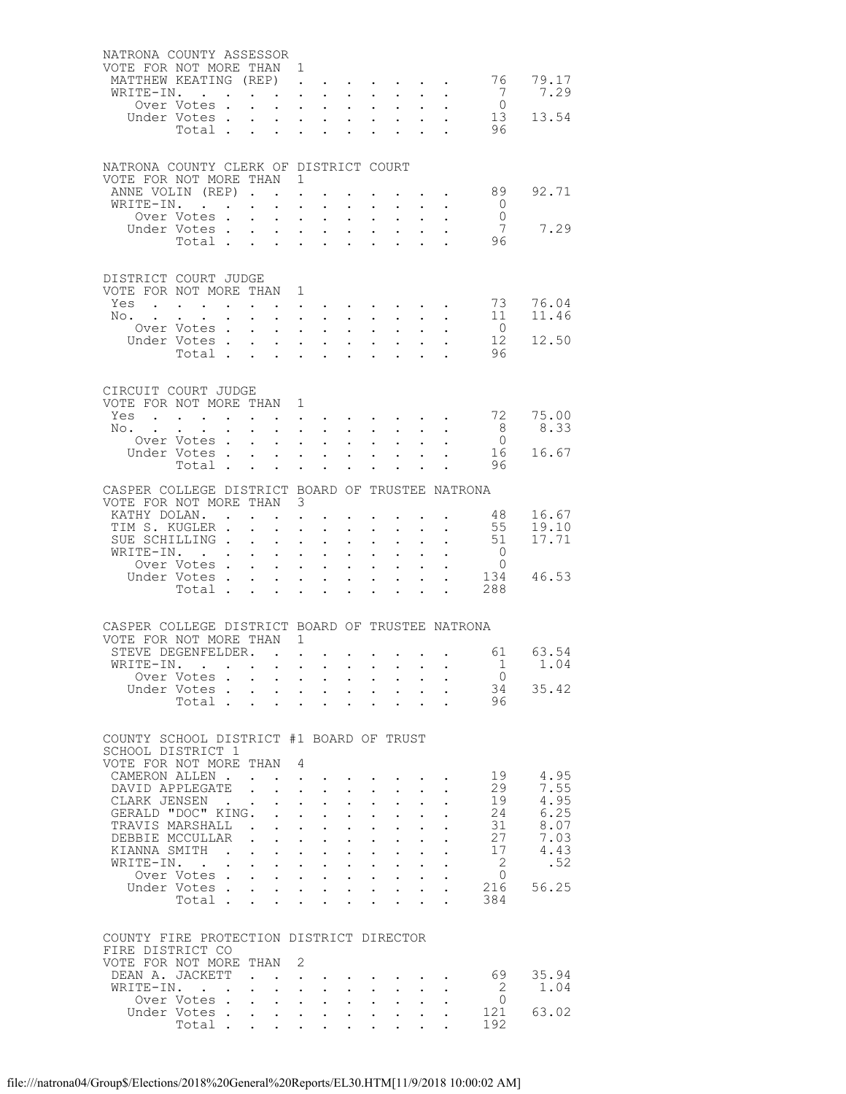| NATRONA COUNTY ASSESSOR<br>VOTE FOR NOT MORE THAN 1<br>MATTHEW KEATING (REP) |                             |                                                                                             | $\ddot{\phantom{a}}$                                             |                                                                                                                                                                                                                                |                           |                       |                      |                      |                    |                                  | 76 79.17           |
|------------------------------------------------------------------------------|-----------------------------|---------------------------------------------------------------------------------------------|------------------------------------------------------------------|--------------------------------------------------------------------------------------------------------------------------------------------------------------------------------------------------------------------------------|---------------------------|-----------------------|----------------------|----------------------|--------------------|----------------------------------|--------------------|
| WRITE-IN.                                                                    |                             |                                                                                             |                                                                  | <b>Contract Contract</b>                                                                                                                                                                                                       |                           |                       |                      |                      |                    | $\overline{7}$                   | 7.29               |
|                                                                              | Over Votes .                | $\mathbf{L}$                                                                                |                                                                  | $\mathbf{L}^{\text{max}}$ , and $\mathbf{L}^{\text{max}}$                                                                                                                                                                      | $\mathbf{L}^{\text{max}}$ | $\bullet$ .           |                      |                      |                    | $\overline{0}$                   |                    |
|                                                                              | Under Votes.                | $\mathbf{L}$                                                                                |                                                                  | $\mathbf{L} = \mathbf{L} \mathbf{L}$                                                                                                                                                                                           | $\Delta \sim 100$         |                       |                      |                      |                    |                                  | 13 13.54           |
|                                                                              | Total .                     | $\ddot{\phantom{a}}$<br>$\ddotsc$                                                           | $\ddot{\phantom{0}}$                                             | $\sim$                                                                                                                                                                                                                         |                           |                       |                      |                      |                    | 96                               |                    |
|                                                                              |                             |                                                                                             |                                                                  |                                                                                                                                                                                                                                |                           |                       |                      |                      |                    |                                  |                    |
| NATRONA COUNTY CLERK OF DISTRICT COURT<br>VOTE FOR NOT MORE THAN 1           |                             |                                                                                             |                                                                  |                                                                                                                                                                                                                                |                           |                       |                      |                      |                    |                                  |                    |
| ANNE VOLIN (REP)                                                             |                             |                                                                                             |                                                                  |                                                                                                                                                                                                                                |                           |                       |                      |                      |                    | 89                               | 92.71              |
| WRITE-IN.                                                                    | Over Votes.                 | $\sim$<br>$\mathbf{L}$                                                                      | $\bullet$<br>$\ddot{\phantom{a}}$                                | $\ddot{\phantom{0}}$<br>$\ddot{\phantom{a}}$                                                                                                                                                                                   | $\bullet$ .<br>$\sim$     | $\mathbf{L}$          |                      |                      |                    | $\circ$ 0<br>$\overline{0}$      |                    |
|                                                                              | Under Votes                 | $\bullet$ .                                                                                 |                                                                  | $\bullet$ , $\bullet$ , $\bullet$ , $\bullet$                                                                                                                                                                                  | $\bullet$ .               | $\bullet$ .           | $\sim 100$           |                      |                    | 7                                | 7.29               |
|                                                                              | Total                       |                                                                                             |                                                                  | $\mathbf{r}$ and $\mathbf{r}$                                                                                                                                                                                                  |                           |                       |                      |                      |                    | 96                               |                    |
|                                                                              |                             |                                                                                             |                                                                  |                                                                                                                                                                                                                                |                           |                       |                      |                      |                    |                                  |                    |
| DISTRICT COURT JUDGE<br>VOTE FOR NOT MORE THAN 1                             |                             |                                                                                             |                                                                  |                                                                                                                                                                                                                                |                           |                       |                      |                      |                    |                                  |                    |
| Yes<br>No. .                                                                 |                             |                                                                                             |                                                                  | $\mathbf{r} = \mathbf{r} + \mathbf{r}$ .                                                                                                                                                                                       |                           |                       |                      |                      |                    | 73<br>11                         | 76.04<br>11.46     |
|                                                                              | Over Votes .                | $\sim$ 100 $\pm$<br>$\bullet$ .                                                             |                                                                  | $\cdot$ $\cdot$ $\cdot$ $\cdot$<br>$\mathbf{L}^{\text{max}}$ , and $\mathbf{L}^{\text{max}}$                                                                                                                                   | $\bullet$ .               | $\bullet$ .           |                      |                      |                    | $\overline{0}$                   |                    |
|                                                                              | Under Votes .               | $\mathbf{L}$<br>$\mathbf{z}$ and $\mathbf{z}$                                               |                                                                  | $\cdot$ $\cdot$ $\cdot$                                                                                                                                                                                                        |                           |                       |                      |                      |                    | 12                               | 12.50              |
|                                                                              | Total                       | $\ddot{\phantom{0}}$                                                                        | $\ddot{\phantom{0}}$                                             | $\ddot{\phantom{0}}$                                                                                                                                                                                                           | $\ddot{\phantom{a}}$      |                       |                      |                      |                    | 96                               |                    |
|                                                                              |                             |                                                                                             |                                                                  |                                                                                                                                                                                                                                |                           |                       |                      |                      |                    |                                  |                    |
| CIRCUIT COURT JUDGE<br>VOTE FOR NOT MORE THAN 1                              |                             |                                                                                             |                                                                  |                                                                                                                                                                                                                                |                           |                       |                      |                      |                    |                                  |                    |
| Yes                                                                          |                             |                                                                                             |                                                                  | and a series of the contract of the series of the series of the series of the series of the series of the series of the series of the series of the series of the series of the series of the series of the series of the seri |                           |                       |                      |                      |                    |                                  | 72 75.00           |
| No.                                                                          | Over Votes .                | $\sim$<br>$\mathbf{r} = \mathbf{r}$ , $\mathbf{r} = \mathbf{r}$ , $\mathbf{r} = \mathbf{r}$ |                                                                  | $\mathbf{L}^{\text{max}}$ , $\mathbf{L}^{\text{max}}$                                                                                                                                                                          |                           | $\bullet$ .           |                      |                      |                    | 8 <sup>1</sup><br>$\overline{0}$ | 8.33               |
|                                                                              | Under Votes                 | $\ddot{\phantom{0}}$                                                                        |                                                                  | $\mathbf{z} = \mathbf{z} + \mathbf{z}$ .                                                                                                                                                                                       | $\ddot{\phantom{0}}$      | $\bullet$ .           |                      |                      |                    | 16                               | 16.67              |
|                                                                              | Total.                      | $\sim$<br>$\mathbf{L}$                                                                      | $\ddot{\phantom{a}}$                                             | $\mathbf{r}$                                                                                                                                                                                                                   |                           |                       |                      |                      |                    | 96                               |                    |
|                                                                              |                             |                                                                                             |                                                                  |                                                                                                                                                                                                                                |                           |                       |                      |                      |                    |                                  |                    |
| CASPER COLLEGE DISTRICT BOARD OF TRUSTEE NATRONA                             |                             |                                                                                             |                                                                  |                                                                                                                                                                                                                                |                           |                       |                      |                      |                    |                                  |                    |
| VOTE FOR NOT MORE THAN 3                                                     |                             |                                                                                             |                                                                  |                                                                                                                                                                                                                                |                           |                       |                      |                      |                    |                                  |                    |
| KATHY DOLAN<br>TIM S. KUGLER .                                               |                             |                                                                                             | $\ddot{\phantom{0}}$                                             | $\ddot{\phantom{0}}$                                                                                                                                                                                                           | $\bullet$ .               | $\bullet$ .           |                      |                      | <b>Allen Adams</b> | 48<br>55                         | 16.67<br>19.10     |
| SUE SCHILLING.                                                               |                             |                                                                                             | $\ddot{\phantom{a}}$                                             | $\ddot{\phantom{a}}$                                                                                                                                                                                                           |                           |                       |                      |                      |                    |                                  | $51 \quad 17.71$   |
| WRITE-IN.                                                                    |                             | $\ddotsc$                                                                                   |                                                                  | $\mathbf{z} = \mathbf{z} + \mathbf{z}$ .                                                                                                                                                                                       | $\mathbf{L}^{\text{max}}$ | $\bullet$ .           |                      |                      |                    | $\overline{0}$                   |                    |
|                                                                              | Over Votes .                |                                                                                             |                                                                  | $\mathbf{L} = \mathbf{L} \mathbf{L} + \mathbf{L} \mathbf{L}$                                                                                                                                                                   |                           | $\mathbf{r}$          |                      |                      |                    | $\overline{0}$                   |                    |
|                                                                              | Under Votes                 | $\ddot{\phantom{0}}$                                                                        |                                                                  | $\mathbf{z} = \mathbf{z} + \mathbf{z}$ .                                                                                                                                                                                       | $\mathbf{L}^{\text{max}}$ | $\bullet$ .           | $\bullet$ .          |                      |                    |                                  | 134 46.53          |
|                                                                              | Total                       |                                                                                             |                                                                  |                                                                                                                                                                                                                                |                           |                       |                      |                      | $\sim 10^{-10}$    | 288                              |                    |
|                                                                              |                             |                                                                                             |                                                                  |                                                                                                                                                                                                                                |                           |                       |                      |                      |                    |                                  |                    |
| CASPER COLLEGE DISTRICT BOARD OF TRUSTEE NATRONA                             |                             |                                                                                             |                                                                  |                                                                                                                                                                                                                                |                           |                       |                      |                      |                    |                                  |                    |
| VOTE FOR NOT MORE THAN 1                                                     |                             |                                                                                             |                                                                  |                                                                                                                                                                                                                                |                           |                       |                      |                      |                    |                                  |                    |
| STEVE DEGENFELDER. .<br>WRITE-IN. .                                          |                             |                                                                                             |                                                                  | <b>All All Andre</b>                                                                                                                                                                                                           |                           |                       |                      |                      |                    |                                  | 61 63.54<br>1 1.04 |
|                                                                              | Over Votes                  |                                                                                             |                                                                  |                                                                                                                                                                                                                                |                           |                       |                      |                      |                    | $\overline{0}$                   |                    |
|                                                                              | Under Votes                 |                                                                                             |                                                                  |                                                                                                                                                                                                                                |                           |                       |                      |                      |                    |                                  | 34 35.42           |
|                                                                              | Total                       |                                                                                             | $\mathbf{z} = \mathbf{z} + \mathbf{z}$ . The set of $\mathbf{z}$ | $\sim$                                                                                                                                                                                                                         | $\ddot{\phantom{0}}$      |                       | $\sim$               | $\sim$ $-$           |                    | 96                               |                    |
|                                                                              |                             |                                                                                             |                                                                  |                                                                                                                                                                                                                                |                           |                       |                      |                      |                    |                                  |                    |
| COUNTY SCHOOL DISTRICT #1 BOARD OF TRUST<br>SCHOOL DISTRICT 1                |                             |                                                                                             |                                                                  |                                                                                                                                                                                                                                |                           |                       |                      |                      |                    |                                  |                    |
| VOTE FOR NOT MORE THAN 4                                                     |                             |                                                                                             |                                                                  |                                                                                                                                                                                                                                |                           |                       |                      |                      |                    | 19                               | 4.95               |
| CAMERON ALLEN.<br>DAVID APPLEGATE                                            |                             |                                                                                             |                                                                  | $1 - 1 - 1$                                                                                                                                                                                                                    |                           |                       |                      |                      |                    | 29                               | 7.55               |
| CLARK JENSEN                                                                 |                             |                                                                                             |                                                                  | $\mathbf{z} = \mathbf{z} + \mathbf{z}$                                                                                                                                                                                         |                           |                       |                      |                      |                    | 19                               | 4.95               |
| GERALD "DOC" KING.                                                           |                             |                                                                                             |                                                                  | $\mathbf{L}$ and $\mathbf{L}$                                                                                                                                                                                                  | $\mathbf{L}$              | $\sim$                |                      |                      |                    | 24                               | 6.25               |
| TRAVIS MARSHALL .                                                            |                             |                                                                                             |                                                                  | $\mathbf{z} = \mathbf{z} + \mathbf{z}$ .                                                                                                                                                                                       | $\bullet$ .               | $\bullet$ .           |                      |                      |                    | 31                               | 8.07               |
| DEBBIE MCCULLAR                                                              |                             | $\mathbf{r} = \mathbf{r} + \mathbf{r} + \mathbf{r}$                                         |                                                                  |                                                                                                                                                                                                                                |                           | $\ddot{\phantom{0}}$  |                      |                      |                    | 27                               | 7.03               |
| KIANNA SMITH<br>WRITE-IN. .                                                  |                             | $\mathbf{L}^{\text{max}}$<br>$\cdot$ $\cdot$ $\cdot$ $\cdot$ $\cdot$                        |                                                                  | $\mathcal{A}^{\text{max}}$ , and $\mathcal{A}^{\text{max}}$                                                                                                                                                                    | $\mathbf{L}^{\text{max}}$ | $\bullet$ .<br>$\sim$ |                      |                      |                    | 17<br>$\overline{2}$             | 4.43<br>.52        |
|                                                                              | Over Votes                  | $\ddot{\phantom{0}}$                                                                        |                                                                  | $\mathbf{A}$ and $\mathbf{A}$ and $\mathbf{A}$                                                                                                                                                                                 | $\bullet$ .               | $\bullet$ .           | $\sim 10^{-11}$      |                      |                    | $\circ$                          |                    |
|                                                                              | Under Votes .               | $\mathbf{r} = \mathbf{r} - \mathbf{r}$ , and $\mathbf{r} = \mathbf{r} - \mathbf{r}$         |                                                                  |                                                                                                                                                                                                                                |                           |                       |                      |                      |                    | 216                              | 56.25              |
|                                                                              | Total                       | $\ddot{\phantom{0}}$                                                                        |                                                                  | <b>All Andre</b>                                                                                                                                                                                                               | $\ddot{\phantom{0}}$      | $\ddot{\phantom{0}}$  | $\ddot{\phantom{a}}$ | $\ddot{\phantom{a}}$ |                    | 384                              |                    |
| COUNTY FIRE PROTECTION DISTRICT DIRECTOR                                     |                             |                                                                                             |                                                                  |                                                                                                                                                                                                                                |                           |                       |                      |                      |                    |                                  |                    |
| FIRE DISTRICT CO                                                             |                             |                                                                                             |                                                                  |                                                                                                                                                                                                                                |                           |                       |                      |                      |                    |                                  |                    |
| VOTE FOR NOT MORE THAN                                                       |                             |                                                                                             | 2                                                                |                                                                                                                                                                                                                                |                           |                       |                      |                      |                    |                                  |                    |
| DEAN A. JACKETT                                                              |                             |                                                                                             |                                                                  |                                                                                                                                                                                                                                |                           |                       |                      |                      |                    | 69                               | 35.94              |
| WRITE-IN.                                                                    |                             |                                                                                             |                                                                  | $\cdot$ $\cdot$ $\cdot$ $\cdot$                                                                                                                                                                                                |                           |                       |                      |                      |                    | - 2                              | 1.04               |
|                                                                              | Over Votes<br>Under Votes . |                                                                                             |                                                                  | $\bullet$ . In the case of the contract $\bullet$<br><b>All All Andrew</b>                                                                                                                                                     |                           | $\bullet$ .           |                      |                      |                    | $\overline{0}$<br>121            | 63.02              |
|                                                                              | Total .                     | $\ddot{\phantom{0}}$<br>$\ddot{\phantom{0}}$                                                |                                                                  | $\cdot$ $\cdot$ $\cdot$                                                                                                                                                                                                        |                           |                       |                      |                      |                    | 192                              |                    |
|                                                                              |                             |                                                                                             |                                                                  |                                                                                                                                                                                                                                |                           |                       |                      |                      |                    |                                  |                    |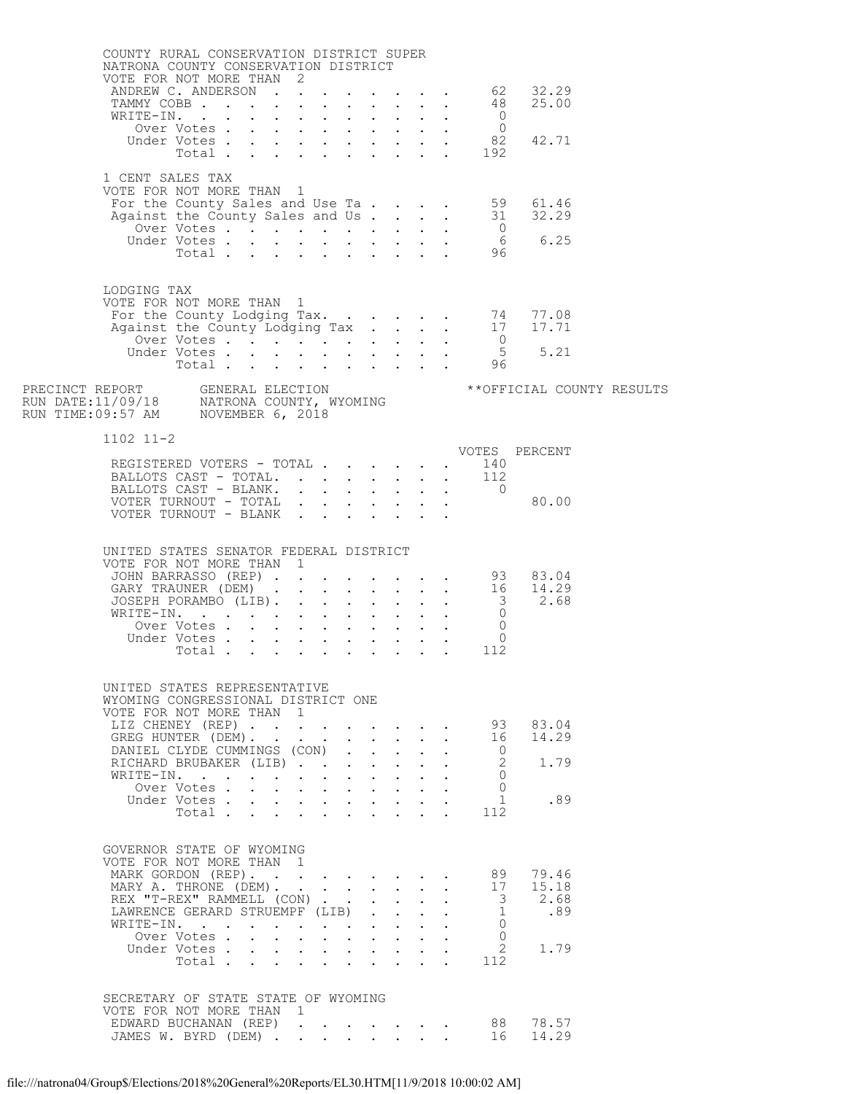| COUNTY RURAL CONSERVATION DISTRICT SUPER<br>NATRONA COUNTY CONSERVATION DISTRICT<br>VOTE FOR NOT MORE THAN 2 |                                                                                        |  |                                                                                                                                                                                                                                                                                      |                           |              |                                            |                                           |                                                                                                                        |  |
|--------------------------------------------------------------------------------------------------------------|----------------------------------------------------------------------------------------|--|--------------------------------------------------------------------------------------------------------------------------------------------------------------------------------------------------------------------------------------------------------------------------------------|---------------------------|--------------|--------------------------------------------|-------------------------------------------|------------------------------------------------------------------------------------------------------------------------|--|
|                                                                                                              | OTE FOR NOT MORE THAN 2<br>ANDREW C. ANDERSON 62 32.29<br>TAMMY COBB 48<br>WRITE-IN. 0 |  |                                                                                                                                                                                                                                                                                      |                           |              |                                            |                                           | 25.00                                                                                                                  |  |
|                                                                                                              | WRITE-IN.<br>XITE-IN.<br>Over Votes 0<br>Under Votes 82<br>192                         |  |                                                                                                                                                                                                                                                                                      |                           |              |                                            |                                           |                                                                                                                        |  |
|                                                                                                              |                                                                                        |  |                                                                                                                                                                                                                                                                                      |                           |              |                                            |                                           | 42.71                                                                                                                  |  |
|                                                                                                              |                                                                                        |  |                                                                                                                                                                                                                                                                                      |                           |              |                                            |                                           |                                                                                                                        |  |
| 1 CENT SALES TAX<br>VOTE FOR NOT MORE THAN 1                                                                 |                                                                                        |  |                                                                                                                                                                                                                                                                                      |                           |              |                                            |                                           |                                                                                                                        |  |
|                                                                                                              |                                                                                        |  |                                                                                                                                                                                                                                                                                      |                           |              |                                            |                                           | For the County Sales and Use Ta 59 61.46<br>Against the County Sales and Us 31 32.29<br>Over Votes 6 6.25<br>Total 96  |  |
|                                                                                                              |                                                                                        |  |                                                                                                                                                                                                                                                                                      |                           |              |                                            |                                           |                                                                                                                        |  |
|                                                                                                              |                                                                                        |  |                                                                                                                                                                                                                                                                                      |                           |              |                                            |                                           |                                                                                                                        |  |
|                                                                                                              |                                                                                        |  |                                                                                                                                                                                                                                                                                      |                           |              |                                            |                                           |                                                                                                                        |  |
|                                                                                                              |                                                                                        |  |                                                                                                                                                                                                                                                                                      |                           |              |                                            |                                           |                                                                                                                        |  |
| LODGING TAX<br>VOTE FOR NOT MORE THAN 1                                                                      |                                                                                        |  |                                                                                                                                                                                                                                                                                      |                           |              |                                            |                                           |                                                                                                                        |  |
|                                                                                                              |                                                                                        |  |                                                                                                                                                                                                                                                                                      |                           |              |                                            |                                           |                                                                                                                        |  |
|                                                                                                              |                                                                                        |  |                                                                                                                                                                                                                                                                                      |                           |              |                                            |                                           |                                                                                                                        |  |
|                                                                                                              |                                                                                        |  |                                                                                                                                                                                                                                                                                      |                           |              |                                            |                                           |                                                                                                                        |  |
|                                                                                                              |                                                                                        |  |                                                                                                                                                                                                                                                                                      |                           |              |                                            |                                           |                                                                                                                        |  |
|                                                                                                              |                                                                                        |  |                                                                                                                                                                                                                                                                                      |                           |              |                                            |                                           |                                                                                                                        |  |
| $1102$ $11-2$                                                                                                |                                                                                        |  |                                                                                                                                                                                                                                                                                      |                           |              |                                            |                                           |                                                                                                                        |  |
|                                                                                                              | REGISTERED VOTERS - TOTAL 140                                                          |  |                                                                                                                                                                                                                                                                                      |                           |              |                                            |                                           | VOTES PERCENT                                                                                                          |  |
|                                                                                                              |                                                                                        |  |                                                                                                                                                                                                                                                                                      |                           |              |                                            |                                           |                                                                                                                        |  |
|                                                                                                              | BALLOTS CAST - TOTAL. 112<br>BALLOTS CAST - BLANK. 0                                   |  |                                                                                                                                                                                                                                                                                      |                           |              |                                            |                                           |                                                                                                                        |  |
|                                                                                                              | $\verb VOTER TURNOUT - TOTAL + . + . + . + .   80.00$<br>VOTER TURNOUT - BLANK         |  |                                                                                                                                                                                                                                                                                      |                           |              |                                            |                                           |                                                                                                                        |  |
|                                                                                                              |                                                                                        |  |                                                                                                                                                                                                                                                                                      |                           |              |                                            |                                           |                                                                                                                        |  |
| UNITED STATES SENATOR FEDERAL DISTRICT                                                                       |                                                                                        |  |                                                                                                                                                                                                                                                                                      |                           |              |                                            |                                           |                                                                                                                        |  |
| VOTE FOR NOT MORE THAN 1                                                                                     |                                                                                        |  |                                                                                                                                                                                                                                                                                      |                           |              |                                            |                                           |                                                                                                                        |  |
|                                                                                                              |                                                                                        |  |                                                                                                                                                                                                                                                                                      |                           |              |                                            |                                           |                                                                                                                        |  |
|                                                                                                              |                                                                                        |  |                                                                                                                                                                                                                                                                                      |                           |              |                                            |                                           |                                                                                                                        |  |
|                                                                                                              |                                                                                        |  |                                                                                                                                                                                                                                                                                      |                           |              |                                            |                                           |                                                                                                                        |  |
|                                                                                                              |                                                                                        |  |                                                                                                                                                                                                                                                                                      |                           |              |                                            |                                           | VOTE FOR NOT MORE THAN 1<br>JOHN BARRASSO (REP) 16<br>GARY TRAUNER (DEM) 3<br>JOSEPH PORAMBO (LIB) 3 2.68<br>WRITE-IN. |  |
|                                                                                                              |                                                                                        |  |                                                                                                                                                                                                                                                                                      |                           |              |                                            |                                           |                                                                                                                        |  |
| UNITED STATES REPRESENTATIVE                                                                                 |                                                                                        |  |                                                                                                                                                                                                                                                                                      |                           |              |                                            |                                           |                                                                                                                        |  |
| WYOMING CONGRESSIONAL DISTRICT ONE<br>VOTE FOR NOT MORE THAN 1                                               |                                                                                        |  |                                                                                                                                                                                                                                                                                      |                           |              |                                            |                                           |                                                                                                                        |  |
|                                                                                                              | LIZ CHENEY (REP)                                                                       |  |                                                                                                                                                                                                                                                                                      |                           |              |                                            |                                           | 93 83.04                                                                                                               |  |
|                                                                                                              | GREG HUNTER (DEM).                                                                     |  | $\mathbf{r}$                                                                                                                                                                                                                                                                         |                           |              | $\mathbf{r} = \mathbf{r} \cdot \mathbf{r}$ | 16                                        | 14.29                                                                                                                  |  |
|                                                                                                              | DANIEL CLYDE CUMMINGS (CON)<br>RICHARD BRUBAKER (LIB)                                  |  |                                                                                                                                                                                                                                                                                      | $\mathbf{L} = \mathbf{L}$ | $\mathbf{L}$ |                                            | $\overline{0}$<br>2                       | 1.79                                                                                                                   |  |
|                                                                                                              | WRITE-IN.                                                                              |  |                                                                                                                                                                                                                                                                                      |                           |              |                                            | 0                                         |                                                                                                                        |  |
|                                                                                                              | Over Votes.<br>Under Votes                                                             |  | $\mathbf{r}$ , $\mathbf{r}$ , $\mathbf{r}$ , $\mathbf{r}$ , $\mathbf{r}$ , $\mathbf{r}$ , $\mathbf{r}$<br>$\mathbf{r} = \left( \mathbf{r} \right) \left( \mathbf{r} \right) \left( \mathbf{r} \right) \left( \mathbf{r} \right) \left( \mathbf{r} \right) \left( \mathbf{r} \right)$ |                           |              |                                            | $\Omega$<br>$\mathbf{1}$                  | .89                                                                                                                    |  |
|                                                                                                              | Total                                                                                  |  |                                                                                                                                                                                                                                                                                      |                           |              |                                            | 112                                       |                                                                                                                        |  |
|                                                                                                              |                                                                                        |  |                                                                                                                                                                                                                                                                                      |                           |              |                                            |                                           |                                                                                                                        |  |
| GOVERNOR STATE OF WYOMING<br>VOTE FOR NOT MORE THAN 1                                                        |                                                                                        |  |                                                                                                                                                                                                                                                                                      |                           |              |                                            |                                           |                                                                                                                        |  |
|                                                                                                              | MARK GORDON (REP).                                                                     |  |                                                                                                                                                                                                                                                                                      |                           |              |                                            | 89                                        | 79.46                                                                                                                  |  |
|                                                                                                              | MARY A. THRONE (DEM).                                                                  |  |                                                                                                                                                                                                                                                                                      |                           |              |                                            | 17                                        | 15.18                                                                                                                  |  |
|                                                                                                              | REX "T-REX" RAMMELL (CON)<br>LAWRENCE GERARD STRUEMPF (LIB)                            |  |                                                                                                                                                                                                                                                                                      |                           |              |                                            | $\overline{\mathbf{3}}$<br>$\overline{1}$ | 2.68<br>.89                                                                                                            |  |
|                                                                                                              | WRITE-IN.                                                                              |  |                                                                                                                                                                                                                                                                                      |                           |              |                                            | $\circ$                                   |                                                                                                                        |  |
|                                                                                                              | Over Votes .<br>Under Votes                                                            |  | $\mathbf{r}$ , $\mathbf{r}$ , $\mathbf{r}$ , $\mathbf{r}$ , $\mathbf{r}$ , $\mathbf{r}$<br>$\sim$                                                                                                                                                                                    |                           |              |                                            | $\Omega$<br>$\overline{2}$                | 1.79                                                                                                                   |  |
|                                                                                                              | Total                                                                                  |  |                                                                                                                                                                                                                                                                                      |                           |              |                                            | 112                                       |                                                                                                                        |  |
|                                                                                                              |                                                                                        |  |                                                                                                                                                                                                                                                                                      |                           |              |                                            |                                           |                                                                                                                        |  |
| SECRETARY OF STATE STATE OF WYOMING<br>VOTE FOR NOT MORE THAN 1                                              |                                                                                        |  |                                                                                                                                                                                                                                                                                      |                           |              |                                            |                                           |                                                                                                                        |  |
|                                                                                                              | EDWARD BUCHANAN (REP) 88                                                               |  |                                                                                                                                                                                                                                                                                      |                           |              |                                            |                                           | 78.57                                                                                                                  |  |
|                                                                                                              | JAMES W. BYRD (DEM)                                                                    |  |                                                                                                                                                                                                                                                                                      |                           |              |                                            | 16                                        | 14.29                                                                                                                  |  |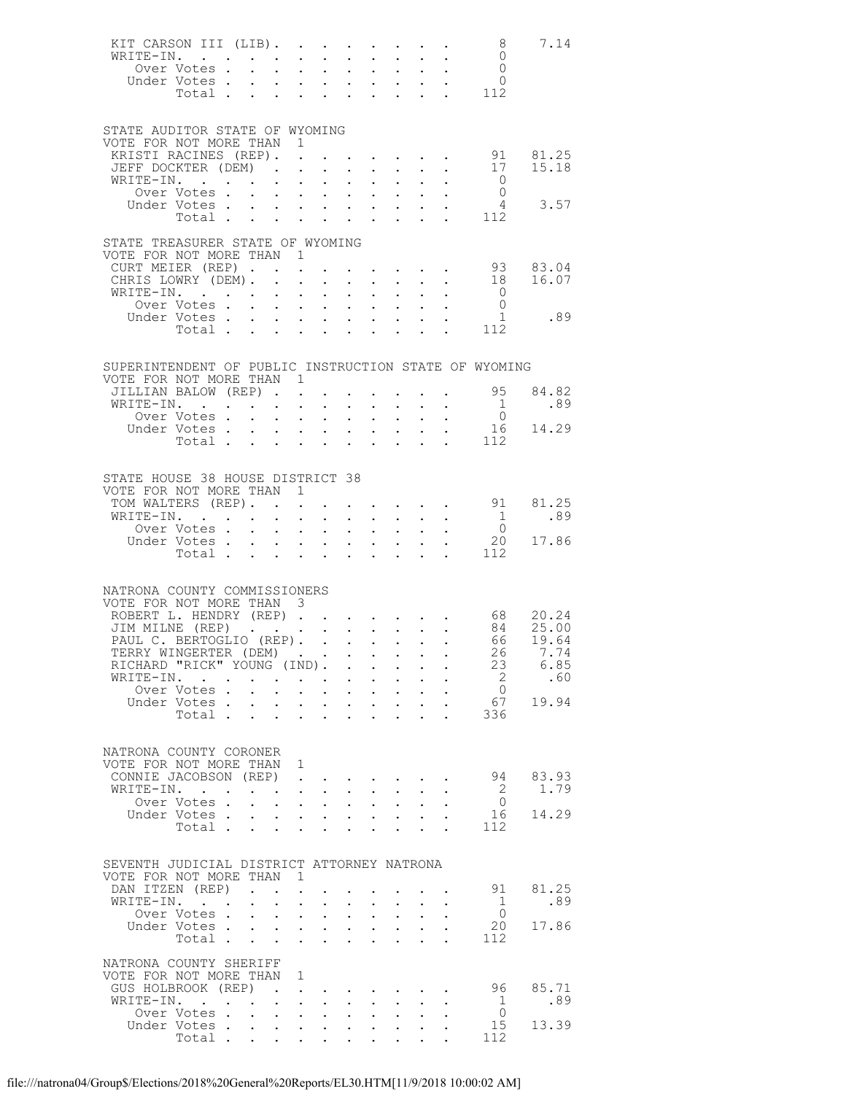| KIT CARSON III (LIB).<br>WRITE-IN.                                                              | Over Votes<br>Under Votes           |                                                                |                                                                      |                                                                                                                       |                                | $\mathbf{L}^{\text{max}}$  |                           | $\Delta \phi = \Delta \phi$ and $\Delta \phi$                                                    |                            | $\mathbf{L}^{\text{max}}$ , and $\mathbf{L}^{\text{max}}$                                                                                                                                                                                                                                                                                                                                                              | 8<br>$\overline{0}$<br>$\begin{array}{cccc} . & . & . & 0 \\ . & . & . & 0 \\ . & . & . & 112 \end{array}$ | 7.14                                    |
|-------------------------------------------------------------------------------------------------|-------------------------------------|----------------------------------------------------------------|----------------------------------------------------------------------|-----------------------------------------------------------------------------------------------------------------------|--------------------------------|----------------------------|---------------------------|--------------------------------------------------------------------------------------------------|----------------------------|------------------------------------------------------------------------------------------------------------------------------------------------------------------------------------------------------------------------------------------------------------------------------------------------------------------------------------------------------------------------------------------------------------------------|------------------------------------------------------------------------------------------------------------|-----------------------------------------|
| STATE AUDITOR STATE OF WYOMING                                                                  |                                     |                                                                |                                                                      |                                                                                                                       |                                |                            |                           |                                                                                                  |                            |                                                                                                                                                                                                                                                                                                                                                                                                                        |                                                                                                            |                                         |
| VOTE FOR NOT MORE THAN 1<br>KRISTI RACINES (REP). .                                             |                                     |                                                                |                                                                      |                                                                                                                       |                                |                            |                           |                                                                                                  |                            | $\mathbf{1}=\mathbf{1}=\mathbf{1}=\mathbf{1}=\mathbf{1}=\mathbf{1}=\mathbf{1}=\mathbf{1}=\mathbf{1}=\mathbf{1}=\mathbf{1}=\mathbf{1}=\mathbf{1}=\mathbf{1}=\mathbf{1}=\mathbf{1}=\mathbf{1}=\mathbf{1}=\mathbf{1}=\mathbf{1}=\mathbf{1}=\mathbf{1}=\mathbf{1}=\mathbf{1}=\mathbf{1}=\mathbf{1}=\mathbf{1}=\mathbf{1}=\mathbf{1}=\mathbf{1}=\mathbf{1}=\mathbf{1}=\mathbf{1}=\mathbf{1}=\mathbf{1}=\mathbf{1}=\mathbf{$ |                                                                                                            | 91 81.25                                |
| JEFF DOCKTER (DEM)<br>WRITE-IN.                                                                 |                                     |                                                                |                                                                      |                                                                                                                       |                                |                            |                           |                                                                                                  |                            |                                                                                                                                                                                                                                                                                                                                                                                                                        | 17<br>$\overline{0}$                                                                                       | 15.18                                   |
|                                                                                                 | TE-IN.<br>Over Votes<br>Lider Vites |                                                                |                                                                      |                                                                                                                       |                                |                            |                           |                                                                                                  |                            |                                                                                                                                                                                                                                                                                                                                                                                                                        | $\overline{0}$                                                                                             |                                         |
|                                                                                                 | Under Votes<br>Total                |                                                                |                                                                      |                                                                                                                       |                                |                            |                           |                                                                                                  | $\mathbf{L}$               |                                                                                                                                                                                                                                                                                                                                                                                                                        | 112                                                                                                        | 4 3.57                                  |
|                                                                                                 |                                     |                                                                |                                                                      |                                                                                                                       |                                |                            |                           |                                                                                                  |                            |                                                                                                                                                                                                                                                                                                                                                                                                                        |                                                                                                            |                                         |
| STATE TREASURER STATE OF WYOMING<br>VOTE FOR NOT MORE THAN 1                                    |                                     |                                                                |                                                                      |                                                                                                                       |                                |                            |                           |                                                                                                  |                            |                                                                                                                                                                                                                                                                                                                                                                                                                        |                                                                                                            |                                         |
| CURT MEIER (REP)<br>CHRIS LOWRY (DEM).                                                          |                                     |                                                                |                                                                      |                                                                                                                       |                                | $\ddot{\phantom{0}}$       |                           | $\mathcal{L}^{\text{max}}$ , and $\mathcal{L}^{\text{max}}$                                      |                            | $\mathbf{z} = \mathbf{z} + \mathbf{z} + \mathbf{z} + \mathbf{z} + \mathbf{z} + \mathbf{z}$ .                                                                                                                                                                                                                                                                                                                           |                                                                                                            | 93 83.04<br>18 16.07                    |
| WRITE-IN.                                                                                       |                                     |                                                                |                                                                      |                                                                                                                       |                                |                            |                           | $\mathbf{r} = \mathbf{r} \times \mathbf{r}$ , where                                              |                            | $\mathbf{L}^{\text{max}}$ , and $\mathbf{L}^{\text{max}}$                                                                                                                                                                                                                                                                                                                                                              | $\overline{0}$                                                                                             |                                         |
|                                                                                                 | Over Votes                          |                                                                |                                                                      |                                                                                                                       |                                | $\mathbf{L}^{\text{max}}$  | $\sim 100$                |                                                                                                  |                            |                                                                                                                                                                                                                                                                                                                                                                                                                        | $\overline{0}$                                                                                             | $1 \quad \blacksquare$<br>.89           |
|                                                                                                 | Under Votes<br>Total                |                                                                |                                                                      |                                                                                                                       |                                |                            |                           |                                                                                                  |                            |                                                                                                                                                                                                                                                                                                                                                                                                                        | $\,.\quad.\quad 112$                                                                                       |                                         |
|                                                                                                 |                                     |                                                                |                                                                      |                                                                                                                       |                                |                            |                           |                                                                                                  |                            |                                                                                                                                                                                                                                                                                                                                                                                                                        |                                                                                                            |                                         |
| SUPERINTENDENT OF PUBLIC INSTRUCTION STATE OF WYOMING<br>VOTE FOR NOT MORE THAN 1               |                                     |                                                                |                                                                      |                                                                                                                       |                                |                            |                           |                                                                                                  |                            |                                                                                                                                                                                                                                                                                                                                                                                                                        |                                                                                                            |                                         |
| JILLIAN BALOW (REP)                                                                             |                                     |                                                                |                                                                      |                                                                                                                       |                                |                            |                           |                                                                                                  |                            |                                                                                                                                                                                                                                                                                                                                                                                                                        | 95                                                                                                         | 84.82                                   |
| WRITE-IN.                                                                                       | Over Votes                          |                                                                |                                                                      | $\mathbf{u} = \mathbf{u} \mathbf{u} + \mathbf{u} \mathbf{u}$                                                          |                                |                            |                           |                                                                                                  |                            |                                                                                                                                                                                                                                                                                                                                                                                                                        | $\overline{1}$                                                                                             | .89                                     |
|                                                                                                 | Under Votes<br>Votes<br>Total       |                                                                |                                                                      |                                                                                                                       |                                |                            |                           |                                                                                                  |                            |                                                                                                                                                                                                                                                                                                                                                                                                                        |                                                                                                            | $\begin{matrix}0\\16\end{matrix}$ 14.29 |
|                                                                                                 |                                     |                                                                |                                                                      |                                                                                                                       |                                |                            |                           |                                                                                                  |                            |                                                                                                                                                                                                                                                                                                                                                                                                                        | $\cdot$ $\cdot$ 112                                                                                        |                                         |
| STATE HOUSE 38 HOUSE DISTRICT 38<br>VOTE FOR NOT MORE THAN 1                                    |                                     |                                                                |                                                                      |                                                                                                                       |                                |                            |                           |                                                                                                  |                            |                                                                                                                                                                                                                                                                                                                                                                                                                        |                                                                                                            |                                         |
| TOM WALTERS (REP).<br>WRITE-IN.                                                                 |                                     |                                                                |                                                                      |                                                                                                                       |                                |                            |                           |                                                                                                  |                            |                                                                                                                                                                                                                                                                                                                                                                                                                        |                                                                                                            | $\cdot$ 91 81.25<br>.89                 |
|                                                                                                 | Over Votes                          |                                                                |                                                                      | $\mathbf{1}^{\prime}$ , $\mathbf{1}^{\prime}$ , $\mathbf{1}^{\prime}$ , $\mathbf{1}^{\prime}$                         |                                | $\bullet$ .                |                           | $\mathbf{L}^{\text{max}}$ , $\mathbf{L}^{\text{max}}$                                            |                            |                                                                                                                                                                                                                                                                                                                                                                                                                        | $\frac{1}{0}$                                                                                              |                                         |
|                                                                                                 | Under Votes<br>Total $\cdots$       |                                                                |                                                                      |                                                                                                                       |                                |                            |                           |                                                                                                  | $\mathbf{L}^{\text{max}}$  |                                                                                                                                                                                                                                                                                                                                                                                                                        | 20<br>112                                                                                                  | 17.86                                   |
|                                                                                                 |                                     |                                                                |                                                                      |                                                                                                                       |                                |                            |                           |                                                                                                  |                            |                                                                                                                                                                                                                                                                                                                                                                                                                        |                                                                                                            |                                         |
| NATRONA COUNTY COMMISSIONERS                                                                    |                                     |                                                                |                                                                      |                                                                                                                       |                                |                            |                           |                                                                                                  |                            |                                                                                                                                                                                                                                                                                                                                                                                                                        |                                                                                                            |                                         |
| VOTE FOR NOT MORE THAN 3                                                                        |                                     |                                                                |                                                                      |                                                                                                                       |                                |                            |                           |                                                                                                  |                            |                                                                                                                                                                                                                                                                                                                                                                                                                        |                                                                                                            |                                         |
| ROBERT L. HENDRY (REP) 68 20.24<br>JIM MILNE (REP) 84 25.00<br>PAUL C. BERTOGLIO (REP) 66 19.64 |                                     |                                                                |                                                                      |                                                                                                                       |                                |                            |                           |                                                                                                  |                            |                                                                                                                                                                                                                                                                                                                                                                                                                        |                                                                                                            |                                         |
| TERRY WINGERTER (DEM)                                                                           |                                     |                                                                |                                                                      |                                                                                                                       |                                |                            |                           |                                                                                                  |                            |                                                                                                                                                                                                                                                                                                                                                                                                                        | 26                                                                                                         | 7.74                                    |
| RICHARD "RICK" YOUNG (IND).                                                                     |                                     |                                                                |                                                                      |                                                                                                                       |                                |                            |                           |                                                                                                  |                            |                                                                                                                                                                                                                                                                                                                                                                                                                        | 23                                                                                                         | 6.85                                    |
| WRITE-IN.                                                                                       | Over Votes .                        |                                                                |                                                                      |                                                                                                                       |                                | $\bullet$ .                |                           | $\mathbf{A}^{(1)}$ and $\mathbf{A}^{(2)}$ .                                                      | $\mathbf{L}^{\text{max}}$  | $\sim$ $-$<br>and a strong control of the state of the                                                                                                                                                                                                                                                                                                                                                                 | $\overline{2}$<br>$\overline{0}$                                                                           | .60                                     |
|                                                                                                 | Under Votes.                        | $\mathbf{L}^{\text{max}}$                                      | $\sim$                                                               |                                                                                                                       |                                |                            |                           | $\mathbf{r} = \mathbf{r} \times \mathbf{r}$ , where $\mathbf{r} = \mathbf{r} \times \mathbf{r}$  |                            |                                                                                                                                                                                                                                                                                                                                                                                                                        | 67                                                                                                         | 19.94                                   |
|                                                                                                 | Total.                              |                                                                |                                                                      |                                                                                                                       |                                |                            |                           |                                                                                                  | $\mathbf{L}$               |                                                                                                                                                                                                                                                                                                                                                                                                                        | 336                                                                                                        |                                         |
| NATRONA COUNTY CORONER<br>VOTE FOR NOT MORE THAN 1                                              |                                     |                                                                |                                                                      |                                                                                                                       |                                |                            |                           |                                                                                                  |                            |                                                                                                                                                                                                                                                                                                                                                                                                                        |                                                                                                            |                                         |
| CONNIE JACOBSON (REP).                                                                          |                                     |                                                                |                                                                      |                                                                                                                       |                                |                            |                           | $\mathcal{A}^{\mathcal{A}}$ , and $\mathcal{A}^{\mathcal{A}}$                                    |                            |                                                                                                                                                                                                                                                                                                                                                                                                                        | 94                                                                                                         | 83.93                                   |
| WRITE-IN.                                                                                       | Over Votes .                        | $\mathcal{A}$ . The set of the set of the set of $\mathcal{A}$ |                                                                      | $\mathbf{z} = \mathbf{z} + \mathbf{z} + \mathbf{z}$ .                                                                 |                                | $\bullet$ .                | $\sim 10^{-11}$           | $\mathbf{z} = \mathbf{z} + \mathbf{z}$ , where $\mathbf{z}$<br>$\mathbf{L}^{\text{max}}$         | $\mathbf{L}^{\text{max}}$  | $\ddot{\phantom{a}}$                                                                                                                                                                                                                                                                                                                                                                                                   | $\overline{2}$<br>$\overline{0}$                                                                           | 1.79                                    |
|                                                                                                 | Under Votes                         |                                                                |                                                                      |                                                                                                                       |                                |                            |                           |                                                                                                  | $\mathcal{L}^{\text{max}}$ | $\ddot{\phantom{a}}$                                                                                                                                                                                                                                                                                                                                                                                                   | 16                                                                                                         | 14.29                                   |
|                                                                                                 | Total                               |                                                                | $\mathbf{L}$                                                         | $\mathbf{L}$ $\mathbf{L}$                                                                                             |                                |                            |                           |                                                                                                  |                            |                                                                                                                                                                                                                                                                                                                                                                                                                        | 112                                                                                                        |                                         |
| SEVENTH JUDICIAL DISTRICT ATTORNEY NATRONA<br>VOTE FOR NOT MORE THAN<br>DAN ITZEN (REP).        |                                     |                                                                |                                                                      | $\overline{1}$                                                                                                        |                                |                            | $\sim 10^{-11}$           |                                                                                                  |                            | $\sim$ 100 $\pm$                                                                                                                                                                                                                                                                                                                                                                                                       | 91                                                                                                         | 81.25                                   |
| WRITE-IN.                                                                                       |                                     | $\bullet$ .                                                    | $\ddot{\phantom{a}}$                                                 | $\ddot{\phantom{0}}$                                                                                                  |                                |                            | $\mathbf{L}^{\text{max}}$ | $\bullet$ .                                                                                      |                            |                                                                                                                                                                                                                                                                                                                                                                                                                        | 1                                                                                                          | .89                                     |
|                                                                                                 | Over Votes<br>Under Votes           |                                                                |                                                                      | $\mathbf{1}^{\prime}$ , $\mathbf{1}^{\prime}$ , $\mathbf{1}^{\prime}$ , $\mathbf{1}^{\prime}$ , $\mathbf{1}^{\prime}$ |                                | $\mathcal{L}^{\text{max}}$ | $\sim 100$                | $\mathcal{L}^{\text{max}}$<br>$\mathbf{r} = \mathbf{r} + \mathbf{r}$ , $\mathbf{r} = \mathbf{r}$ | $\mathcal{L}^{\text{max}}$ |                                                                                                                                                                                                                                                                                                                                                                                                                        | $\overline{0}$<br>20                                                                                       | 17.86                                   |
|                                                                                                 | Total $\cdots$                      |                                                                |                                                                      |                                                                                                                       |                                | $\mathbf{L} = \mathbf{L}$  |                           | $\mathbf{L}$                                                                                     | $\mathbf{L}$               |                                                                                                                                                                                                                                                                                                                                                                                                                        | 112                                                                                                        |                                         |
| NATRONA COUNTY SHERIFF                                                                          |                                     |                                                                |                                                                      |                                                                                                                       |                                |                            |                           |                                                                                                  |                            |                                                                                                                                                                                                                                                                                                                                                                                                                        |                                                                                                            |                                         |
| VOTE FOR NOT MORE THAN                                                                          |                                     |                                                                |                                                                      | $\overline{1}$                                                                                                        |                                |                            |                           |                                                                                                  |                            |                                                                                                                                                                                                                                                                                                                                                                                                                        |                                                                                                            |                                         |
| GUS HOLBROOK (REP)<br>WRITE-IN.                                                                 |                                     |                                                                | $\mathbf{r}$ . The set of $\mathbf{r}$<br>$\mathcal{L}^{\text{max}}$ | $\sim$ $-$                                                                                                            | $\sim$ 100 $\pm$<br>$\sim$ $-$ |                            |                           | $\mathcal{A}$ , and $\mathcal{A}$ , and $\mathcal{A}$                                            |                            |                                                                                                                                                                                                                                                                                                                                                                                                                        | 96<br>1                                                                                                    | 85.71<br>.89                            |
|                                                                                                 | Over Votes                          |                                                                |                                                                      |                                                                                                                       |                                |                            | $\sim 10$                 | $\bullet$ .                                                                                      | $\ddot{\phantom{0}}$       |                                                                                                                                                                                                                                                                                                                                                                                                                        | $\overline{0}$                                                                                             |                                         |
|                                                                                                 | Under Votes.<br>Total               | $\sim 10^{-11}$                                                |                                                                      | $\mathbf{1}^{\prime}$ , $\mathbf{1}^{\prime}$ , $\mathbf{1}^{\prime}$ , $\mathbf{1}^{\prime}$                         |                                | $\mathcal{L}^{\text{max}}$ | $\sim 100$                |                                                                                                  |                            |                                                                                                                                                                                                                                                                                                                                                                                                                        | 15<br>112                                                                                                  | 13.39                                   |
|                                                                                                 |                                     |                                                                |                                                                      |                                                                                                                       |                                |                            |                           |                                                                                                  |                            |                                                                                                                                                                                                                                                                                                                                                                                                                        |                                                                                                            |                                         |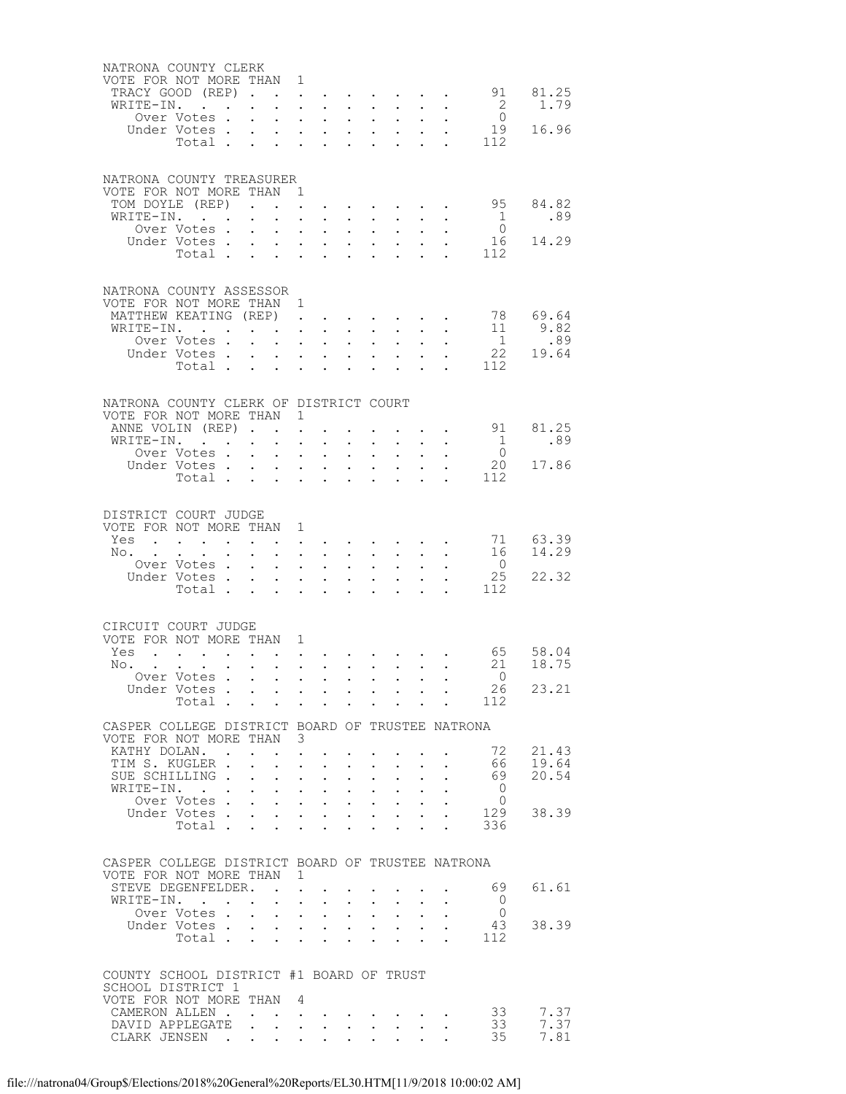| NATRONA COUNTY CLERK<br>VOTE FOR NOT MORE THAN 1                                            | TRACY GOOD (REP)<br>WRITE-IN.<br>Over Votes.<br>Under Votes<br>Total                                                          | $\mathbf{L}^{\text{max}}$<br>$\mathbf{L}$                                                                                       | $\bullet$ .                                                                                                                                                            | $\mathbf{r}$ , $\mathbf{r}$ , $\mathbf{r}$ , $\mathbf{r}$ , $\mathbf{r}$<br>$\mathbf{r}$ and $\mathbf{r}$ and $\mathbf{r}$<br>$\mathbf{r} = \mathbf{r} \cdot \mathbf{r}$ , where $\mathbf{r} = \mathbf{r} \cdot \mathbf{r}$                                                                   | $\mathbf{L}^{\text{max}}$                                                                    | $\mathbf{L} = \mathbf{L} \mathbf{L}$<br>$\cdot$ $\cdot$ $\cdot$ $\cdot$                                          | $\mathbf{A}^{(1)}$ and $\mathbf{A}^{(2)}$ .<br>$\mathbf{r}$ and $\mathbf{r}$                                                                                                                              | $\mathbf{L}^{\text{max}}$ | $\mathbf{L}^{\text{max}}$ , and $\mathbf{L}^{\text{max}}$ | 2<br>$\overline{0}$<br>$\frac{1}{2}$ $\frac{1}{2}$              | 91 81.25<br>1.79<br>19 16.96                                                          |
|---------------------------------------------------------------------------------------------|-------------------------------------------------------------------------------------------------------------------------------|---------------------------------------------------------------------------------------------------------------------------------|------------------------------------------------------------------------------------------------------------------------------------------------------------------------|-----------------------------------------------------------------------------------------------------------------------------------------------------------------------------------------------------------------------------------------------------------------------------------------------|----------------------------------------------------------------------------------------------|------------------------------------------------------------------------------------------------------------------|-----------------------------------------------------------------------------------------------------------------------------------------------------------------------------------------------------------|---------------------------|-----------------------------------------------------------|-----------------------------------------------------------------|---------------------------------------------------------------------------------------|
| NATRONA COUNTY TREASURER<br>VOTE FOR NOT MORE THAN 1                                        | TOM DOYLE (REP).<br>WRITE-IN.<br>Over Votes .<br>Under Votes.<br>Total                                                        | $\ddot{\phantom{0}}$<br>$\mathbf{L}$                                                                                            | $\sim$<br>$\mathbf{L}^{\text{max}}$                                                                                                                                    | $\mathbf{1}^{\prime}$ , $\mathbf{1}^{\prime}$ , $\mathbf{1}^{\prime}$ , $\mathbf{1}^{\prime}$<br><b>Contract Contract Contract</b><br>$\mathcal{L}(\mathcal{A})$ and $\mathcal{A}(\mathcal{A})$ .<br>$\mathbf{r}$ and $\mathbf{r}$ and $\mathbf{r}$<br>$\mathbf{r} = \mathbf{r} + \mathbf{r}$ | $\mathbf{L}^{\text{max}}$<br>$\ddot{\phantom{0}}$                                            | $\mathbf{r} = \mathbf{r}$                                                                                        | $\ddot{\phantom{0}}$<br>$\mathbf{A}^{(1)}$ and $\mathbf{A}^{(2)}$<br>$1 - 1 - 1 = 1$<br>$\mathbf{L} = \mathbf{L}$                                                                                         |                           |                                                           | $\mathbf{1}$<br>$\bigcirc$<br>112                               | 95 84.82<br>.89<br>16 14.29                                                           |
| NATRONA COUNTY ASSESSOR<br>VOTE FOR NOT MORE THAN 1<br>WRITE-IN. .                          | MATTHEW KEATING (REP).<br>Over Votes .<br>Under Votes<br>Total .                                                              | $\mathbf{r} = \mathbf{r} \times \mathbf{r}$ , where $\mathbf{r} = \mathbf{r} \times \mathbf{r}$<br>$\mathbf{r}$<br>$\mathbf{L}$ |                                                                                                                                                                        | $\mathbf{r}$ , $\mathbf{r}$ , $\mathbf{r}$<br>$\mathcal{L}^{\text{max}}(\mathcal{L}^{\text{max}}(\mathcal{L}^{\text{max}}))$                                                                                                                                                                  | $\mathbf{L}^{\text{max}}$<br>$\mathbf{L}^{\text{max}}$                                       | $\mathbf{z} = \mathbf{z} + \mathbf{z}$ .<br>$\cdot$ $\cdot$ $\cdot$                                              | $\mathbf{A}$ and $\mathbf{A}$ and $\mathbf{A}$<br>$\ddot{\phantom{a}}$<br>$\mathbf{A}^{(1)}$ and $\mathbf{A}^{(2)}$ .<br>$\mathbf{r}$                                                                     | $\mathbf{L}^{\text{max}}$ | $\mathcal{L}^{(1)}$                                       | 112                                                             | $\begin{array}{ccc} 78 & & 69.64 \\ 11 & & 9.82 \\ 1 & & .89 \end{array}$<br>22 19.64 |
| NATRONA COUNTY CLERK OF DISTRICT COURT<br>VOTE FOR NOT MORE THAN 1                          | ANNE VOLIN (REP).<br>WRITE-IN.<br>Over Votes .<br>Under Votes.<br>Total                                                       | $\sim$<br>$\mathbf{L}^{\text{max}}$<br>$\ddot{\phantom{0}}$                                                                     | $\sim$<br>$\ddot{\phantom{a}}$ .<br>$\ddot{\phantom{a}}$<br>$\sim$ $-$<br>$\mathcal{L}^{\mathcal{L}}$<br>$\sim 10^{-10}$<br>$\mathbf{r}$<br>$\mathcal{L}^{\text{max}}$ | $\sim$<br>$\sim$ $-$<br>$\mathbf{L} = \mathbf{L} \mathbf{L}$<br>$\mathbf{L}$<br>$\sim$ $-$                                                                                                                                                                                                    | $\sim$<br>$\ddot{\phantom{0}}$<br>$\ddot{\phantom{0}}$                                       | $\sim$ $-$<br>$\ddot{\phantom{0}}$                                                                               | $\ddot{\phantom{0}}$<br>$\mathbf{z} = \mathbf{z} + \mathbf{z}$<br>$\cdot$ $\cdot$ $\cdot$ $\cdot$<br>$\ddot{\phantom{0}}$                                                                                 | $\ddot{\phantom{0}}$      | $\mathbf{L}^{\text{max}}$ , and $\mathbf{L}^{\text{max}}$ | $\overline{1}$<br>$\bigcirc$<br>112                             | 91 81.25<br>.89<br>20 17.86                                                           |
| DISTRICT COURT JUDGE<br>VOTE FOR NOT MORE THAN 1                                            | Yes<br>No.<br>Over Votes .<br>Under Votes<br>Total                                                                            | $\sim$<br>$\mathbf{z} = \mathbf{z}$<br>$\sim$                                                                                   | $\mathbf{L} = \mathbf{L} \mathbf{L}$<br>$\mathcal{L}^{\text{max}}$<br>$\mathbf{L}$                                                                                     | $\mathcal{L}(\mathcal{L})$ and $\mathcal{L}(\mathcal{L})$<br>$\mathbf{r}$ , $\mathbf{r}$                                                                                                                                                                                                      | $\mathbf{L}^{\text{max}}$<br>$\mathbf{r}$<br>$\ddot{\phantom{0}}$                            |                                                                                                                  | $\mathcal{L}^{\text{max}}$ , where $\mathcal{L}^{\text{max}}$<br>$\ddot{\phantom{a}}$<br>$\mathbf{L}^{\text{max}}$ , and $\mathbf{L}^{\text{max}}$<br>$\mathbf{1}$ $\mathbf{1}$ $\mathbf{1}$ $\mathbf{1}$ |                           |                                                           | $\overline{0}$<br>25<br>112                                     | 71 63.39<br>16 14.29<br>22.32                                                         |
| CIRCUIT COURT JUDGE<br>VOTE FOR NOT MORE THAN 1<br>Yes<br>No.                               | $\mathbf{r} = \mathbf{r} + \mathbf{r} + \mathbf{r} + \mathbf{r} + \mathbf{r}$<br>$\sim$<br>Over Votes<br>Under Votes<br>Total | $\ddot{\phantom{0}}$                                                                                                            |                                                                                                                                                                        | $\mathbf{a} = \mathbf{a} + \mathbf{a} + \mathbf{a} + \mathbf{a} + \mathbf{a} + \mathbf{a} + \mathbf{a} + \mathbf{a}$                                                                                                                                                                          |                                                                                              |                                                                                                                  |                                                                                                                                                                                                           |                           |                                                           | $\bigcirc$<br>26<br>$\cdot$ $\cdot$ $\cdot$ $\cdot$ $\cdot$ 112 | 65 58.04<br>21 18.75<br>23.21                                                         |
| CASPER COLLEGE DISTRICT BOARD OF TRUSTEE NATRONA<br>VOTE FOR NOT MORE THAN 3                | KATHY DOLAN. .<br>TIM S. KUGLER.<br>SUE SCHILLING .<br>WRITE-IN.<br>Over Votes.<br>Under Votes<br>Total                       | $\mathbf{L}^{\text{max}}$<br>$\mathcal{L}^{\text{max}}$                                                                         | $\ddot{\phantom{0}}$<br>$\mathbf{r}$<br>$\sim$ $-$<br>$\bullet$ .<br>$\mathcal{L}^{\mathcal{L}}$                                                                       | $\sim$<br>$\ddot{\phantom{a}}$<br>$\sim 10$<br>$\mathbf{r} = \mathbf{r} + \mathbf{r}$<br>$\mathcal{L}(\mathcal{A})$ and $\mathcal{A}(\mathcal{A})$ .<br><b>All All Andrew</b>                                                                                                                 | $\ddot{\phantom{0}}$<br>$\ddot{\phantom{0}}$<br>$\ddot{\phantom{0}}$<br>$\ddot{\phantom{0}}$ | $\mathbf{L}^{\text{max}}$<br>$\ddot{\phantom{0}}$<br>$\mathbf{L}$ and $\mathbf{L}$<br>$\mathcal{L}^{\text{max}}$ | $\bullet$ .<br>$\ddot{\phantom{0}}$<br>$\mathbf{z} = \mathbf{z} + \mathbf{z}$ .<br>$\ddot{\phantom{a}}$<br>$\ddot{\phantom{0}}$                                                                           | $\sim$<br>$\ddotsc$       |                                                           | 72<br>66  <br>69<br>$\bigcirc$<br>$\Omega$<br>129<br>336        | 21.43<br>19.64<br>20.54<br>38.39                                                      |
| CASPER COLLEGE DISTRICT BOARD OF TRUSTEE NATRONA<br>VOTE FOR NOT MORE THAN 1<br>WRITE-IN. . | STEVE DEGENFELDER.<br>Over Votes.<br>Under Votes<br>Total .                                                                   | $\sim 100$<br>$\mathbf{L}$<br><b>Contract Contract Contract</b>                                                                 |                                                                                                                                                                        | $\mathbf{z} = \mathbf{z} + \mathbf{z} + \mathbf{z}$<br>$\mathbf{r} = \mathbf{r} \times \mathbf{r}$ . The $\mathbf{r}$<br>$\mathbf{z} = \mathbf{z} + \mathbf{z} + \mathbf{z}$ .<br>$\mathbf{r} = \mathbf{r}$                                                                                   | $\mathbf{L}^{\text{max}}$<br>$\ddot{\phantom{0}}$<br>$\ddot{\phantom{0}}$                    | $\sim 100$<br>$\mathbf{L}^{\text{max}}$                                                                          | $\sim 100$<br>$\ddot{\phantom{a}}$<br>$\mathbf{z} = \mathbf{z} + \mathbf{z}$ .                                                                                                                            | $\mathbf{L}^{\text{max}}$ |                                                           | 69<br>$\overline{0}$<br>$\overline{0}$<br>43<br>112             | 61.61<br>38.39                                                                        |
| COUNTY SCHOOL DISTRICT #1 BOARD OF TRUST<br>SCHOOL DISTRICT 1<br>VOTE FOR NOT MORE THAN     | CAMERON ALLEN.<br>DAVID APPLEGATE<br>CLARK JENSEN.                                                                            | $\ddot{\phantom{0}}$<br>$\bullet$ .<br><br><br><br><br><br><br><br><br><br><br><br><br>                                         | 4<br>$\bullet$ .<br><br><br><br><br><br><br><br><br><br><br><br><br>$\mathbf{L}^{\text{max}}$<br>$\sim 10^{-11}$<br>$\sim 10^{-11}$                                    | $\mathbf{A}^{\mathrm{max}}$<br>$\mathbf{r} = \mathbf{r} + \mathbf{r}$ .                                                                                                                                                                                                                       |                                                                                              |                                                                                                                  | $\mathcal{L}_{\text{max}}$ , and $\mathcal{L}_{\text{max}}$                                                                                                                                               |                           |                                                           | 33<br>33<br>35                                                  | 7.37<br>7.37<br>7.81                                                                  |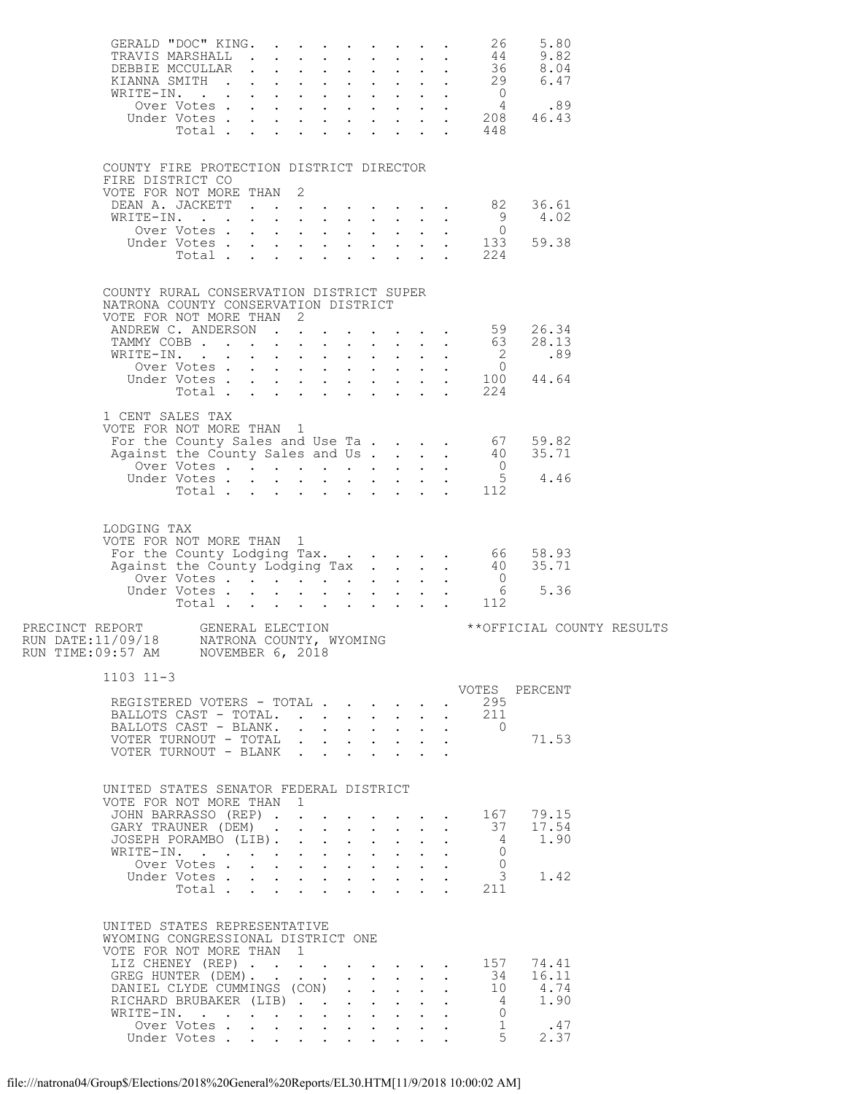|                                                                                                                     |                                                                                                              |                                       |  |                           |                            |                      | GERALD "DOC" KING. 26   | 5.80                                                                                                                                  |  |
|---------------------------------------------------------------------------------------------------------------------|--------------------------------------------------------------------------------------------------------------|---------------------------------------|--|---------------------------|----------------------------|----------------------|-------------------------|---------------------------------------------------------------------------------------------------------------------------------------|--|
|                                                                                                                     |                                                                                                              |                                       |  |                           |                            |                      |                         |                                                                                                                                       |  |
|                                                                                                                     | COUNTY FIRE PROTECTION DISTRICT DIRECTOR<br>FIRE DISTRICT CO                                                 |                                       |  |                           |                            |                      |                         |                                                                                                                                       |  |
|                                                                                                                     | VOTE FOR NOT MORE THAN 2                                                                                     |                                       |  |                           |                            |                      |                         |                                                                                                                                       |  |
|                                                                                                                     |                                                                                                              |                                       |  |                           |                            |                      |                         | DEAN A. JACKETT 82 36.61<br>WRITE-IN. 9 4.02<br>Over Votes 0<br>Under Votes 133 59.38<br>Total 224                                    |  |
|                                                                                                                     | COUNTY RURAL CONSERVATION DISTRICT SUPER<br>NATRONA COUNTY CONSERVATION DISTRICT<br>VOTE FOR NOT MORE THAN 2 |                                       |  |                           |                            |                      |                         |                                                                                                                                       |  |
|                                                                                                                     |                                                                                                              |                                       |  |                           |                            |                      |                         |                                                                                                                                       |  |
|                                                                                                                     |                                                                                                              |                                       |  |                           |                            |                      |                         |                                                                                                                                       |  |
|                                                                                                                     |                                                                                                              |                                       |  |                           |                            |                      |                         |                                                                                                                                       |  |
|                                                                                                                     |                                                                                                              |                                       |  |                           |                            |                      |                         |                                                                                                                                       |  |
|                                                                                                                     | 1 CENT SALES TAX<br>VOTE FOR NOT MORE THAN 1                                                                 |                                       |  |                           |                            |                      |                         |                                                                                                                                       |  |
|                                                                                                                     |                                                                                                              |                                       |  |                           |                            |                      |                         | For the County Sales and Use Ta. 67 59.82<br>Against the County Sales and Use Ta. 40 35.71<br>Over Votes 5 4.46<br>Under Votes 5 4.46 |  |
|                                                                                                                     |                                                                                                              |                                       |  |                           |                            |                      |                         |                                                                                                                                       |  |
|                                                                                                                     |                                                                                                              |                                       |  |                           |                            |                      |                         |                                                                                                                                       |  |
| LODGING TAX                                                                                                         | VOTE FOR NOT MORE THAN 1                                                                                     |                                       |  |                           |                            |                      |                         | For the County Lodging Tax. 66 58.93<br>Against the County Lodging Tax. 40 35.71                                                      |  |
|                                                                                                                     |                                                                                                              |                                       |  |                           |                            |                      |                         |                                                                                                                                       |  |
|                                                                                                                     |                                                                                                              |                                       |  |                           |                            |                      |                         |                                                                                                                                       |  |
| PRECINCT REPORT GENERAL ELECTION<br>RUN DATE:11/09/18 MATRONA COUNTY, WYOMING<br>RUN TIME:09:57 AM NOVEMBER 6, 2018 |                                                                                                              |                                       |  |                           |                            |                      |                         | **OFFICIAL COUNTY RESULTS                                                                                                             |  |
| $1103$ $11-3$                                                                                                       |                                                                                                              |                                       |  |                           |                            |                      |                         |                                                                                                                                       |  |
|                                                                                                                     | REGISTERED VOTERS - TOTAL                                                                                    |                                       |  |                           |                            |                      | 295                     | VOTES PERCENT                                                                                                                         |  |
|                                                                                                                     | BALLOTS CAST - TOTAL.                                                                                        |                                       |  |                           |                            | $\ddot{\phantom{0}}$ | 211                     |                                                                                                                                       |  |
|                                                                                                                     | VOTER TURNOUT - TOTAL                                                                                        |                                       |  |                           |                            |                      | BALLOTS CAST - BLANK. 0 | 71.53                                                                                                                                 |  |
|                                                                                                                     | VOTER TURNOUT - BLANK                                                                                        |                                       |  |                           |                            |                      |                         |                                                                                                                                       |  |
|                                                                                                                     | UNITED STATES SENATOR FEDERAL DISTRICT<br>VOTE FOR NOT MORE THAN 1                                           |                                       |  |                           |                            |                      |                         |                                                                                                                                       |  |
|                                                                                                                     | JOHN BARRASSO (REP)                                                                                          |                                       |  |                           |                            |                      |                         | . 167 79.15                                                                                                                           |  |
|                                                                                                                     | GARY TRAUNER (DEM)<br>JOSEPH PORAMBO (LIB).                                                                  |                                       |  | $\mathbf{r} = \mathbf{r}$ | $\sim$                     | $\ddotsc$            | 37<br>$\overline{4}$    | 17.54<br>1.90                                                                                                                         |  |
|                                                                                                                     | WRITE-IN.                                                                                                    |                                       |  |                           | $\mathcal{L}^{\text{max}}$ | $\sim$               | $\bigcirc$              |                                                                                                                                       |  |
|                                                                                                                     | Over Votes<br>Under Votes                                                                                    |                                       |  |                           |                            |                      | $\bigcirc$              | 3 1.42                                                                                                                                |  |
|                                                                                                                     |                                                                                                              | $Total \cdot \cdot \cdot \cdot \cdot$ |  |                           |                            |                      | 211                     |                                                                                                                                       |  |
|                                                                                                                     | UNITED STATES REPRESENTATIVE<br>WYOMING CONGRESSIONAL DISTRICT ONE<br>VOTE FOR NOT MORE THAN 1               |                                       |  |                           |                            |                      |                         |                                                                                                                                       |  |
|                                                                                                                     | LIZ CHENEY (REP)<br>GREG HUNTER (DEM).                                                                       |                                       |  |                           | $\mathbf{L}$               | $\ddotsc$            |                         | . 157 74.41                                                                                                                           |  |
|                                                                                                                     | DANIEL CLYDE CUMMINGS (CON)                                                                                  |                                       |  |                           |                            |                      |                         | $34$ $16.11$<br>$10$ $4.74$                                                                                                           |  |
|                                                                                                                     | RICHARD BRUBAKER (LIB)<br>WRITE-IN.                                                                          |                                       |  |                           | $\mathbf{L}^{\text{max}}$  | $\sim$               | $\overline{0}$          | 4 1.90                                                                                                                                |  |
|                                                                                                                     | Over Votes                                                                                                   |                                       |  |                           | $\sim 10^{-11}$            |                      | 1                       | .47                                                                                                                                   |  |
|                                                                                                                     | Under Votes                                                                                                  |                                       |  |                           |                            |                      | 5 <sup>5</sup>          | 2.37                                                                                                                                  |  |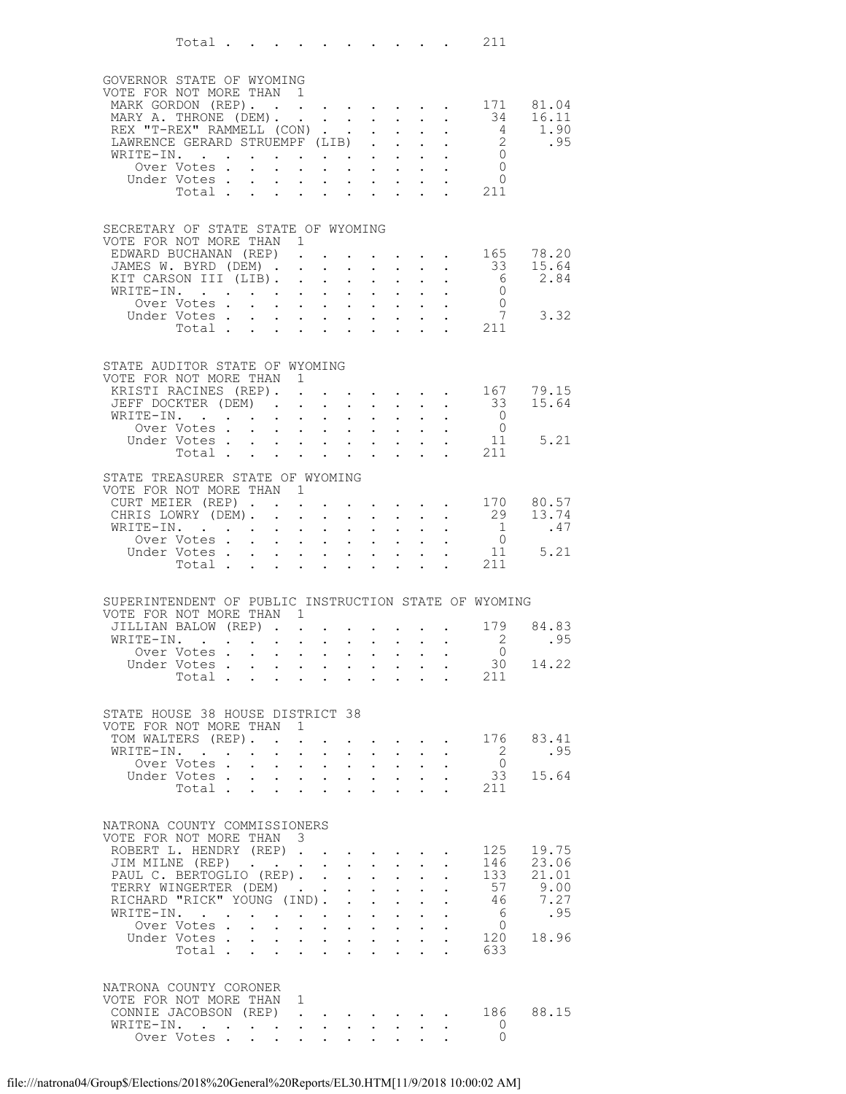|                                                                                                                                                                                                           | Total $\ldots$                                                                                                                                                                           |                                                                                     |                                                                                                                                                                                                 |                                                                                                                                                                                                             |                                                                                                                                                                                                     |                                                                                                                                                       |                                                                                                                                                                                        |                                                                                                                                                 |                                                                                              | 211                                                                                                                    |                                                         |
|-----------------------------------------------------------------------------------------------------------------------------------------------------------------------------------------------------------|------------------------------------------------------------------------------------------------------------------------------------------------------------------------------------------|-------------------------------------------------------------------------------------|-------------------------------------------------------------------------------------------------------------------------------------------------------------------------------------------------|-------------------------------------------------------------------------------------------------------------------------------------------------------------------------------------------------------------|-----------------------------------------------------------------------------------------------------------------------------------------------------------------------------------------------------|-------------------------------------------------------------------------------------------------------------------------------------------------------|----------------------------------------------------------------------------------------------------------------------------------------------------------------------------------------|-------------------------------------------------------------------------------------------------------------------------------------------------|----------------------------------------------------------------------------------------------|------------------------------------------------------------------------------------------------------------------------|---------------------------------------------------------|
| GOVERNOR STATE OF WYOMING<br>VOTE FOR NOT MORE THAN<br>MARK GORDON (REP). 171 81.04<br>MARY A. THRONE (DEM).<br>REX "T-REX" RAMMELL (CON)<br>LAWRENCE GERARD STRUEMPF (LIB)<br>WRITE-IN.                  | Over Votes .<br>Under Votes.<br>Total .                                                                                                                                                  | $\bullet$ .<br><br><br><br><br><br><br><br><br><br><br><br><br>$\ddot{\phantom{0}}$ | $\overline{1}$<br>$\ddot{\phantom{0}}$<br>$\ddot{\phantom{a}}$<br>$\sim$                                                                                                                        |                                                                                                                                                                                                             | $\ddot{\phantom{a}}$<br>$\mathbf{r} = \mathbf{r} \cdot \mathbf{r}$ .<br>$\ddot{\phantom{0}}$                                                                                                        | $\mathbf{L}$<br>$\mathbf{L}$<br>$\ddotsc$                                                                                                             | $\mathbf{L}$ and $\mathbf{L}$<br>$\ddot{\phantom{0}}$<br>$\sim$<br>$\mathbf{L} = \mathbf{L}$<br>$\mathbf{L}^{\text{max}}$ , and $\mathbf{L}^{\text{max}}$<br>$\mathbf{L} = \mathbf{L}$ | $\sim 10^{-11}$                                                                                                                                 | $\ddot{\phantom{0}}$<br>$\mathbb{Z}^{n-1}$<br>$\mathbb{R}^n \times \mathbb{R}^n$             | 34<br>$\overline{4}$<br>$\frac{2}{0}$<br>$\overline{0}$<br>$\overline{0}$<br>211                                       | 16.11<br>1.90<br>.95                                    |
| SECRETARY OF STATE STATE OF WYOMING<br>VOTE FOR NOT MORE THAN 1<br>EDWARD BUCHANAN (REP).<br>JAMES W. BYRD (DEM).<br>KIT CARSON III (LIB).<br>WRITE-IN.                                                   | Over Votes .<br>Under Votes<br>Total                                                                                                                                                     | $\mathbf{r} = \mathbf{r} + \mathbf{r} + \mathbf{r} + \mathbf{r}$                    | $\ddot{\phantom{0}}$<br>$\ddot{\phantom{a}}$<br>$\mathbf{L}^{\text{max}}$<br>$\mathcal{L}^{\text{max}}$                                                                                         | $\ddot{\phantom{a}}$<br>$\sim$<br>$\mathcal{A}^{\mathcal{A}}$ , $\mathcal{A}^{\mathcal{A}}$ , $\mathcal{A}^{\mathcal{A}}$ , $\mathcal{A}^{\mathcal{A}}$                                                     | $\ddot{\phantom{0}}$<br>$\ddot{\phantom{0}}$<br>$\bullet$ .<br>$\mathcal{L}^{\text{max}}$                                                                                                           | $\mathbb{Z}^{\mathbb{Z}^{\times}}$                                                                                                                    | $\mathbf{L}^{\text{max}}$ , and $\mathbf{L}^{\text{max}}$<br>$\ddot{\phantom{0}}$<br>$\mathbf{z} = \mathbf{z} + \mathbf{z}$ .<br>$\mathbf{z} = \mathbf{z} + \mathbf{z}$                | $\mathbf{L}^{\text{max}}$                                                                                                                       | $\mathcal{L}^{\text{max}}$ , and $\mathcal{L}^{\text{max}}$ , and $\mathcal{L}^{\text{max}}$ | $\cdot$ $\cdot$ $\cdot$ $\cdot$ 165<br>33<br>$6\overline{6}$<br>$\begin{matrix}0\\0\\7\end{matrix}$<br>$\frac{1}{211}$ | 78.20<br>15.64<br>2.84<br>3.32                          |
| STATE AUDITOR STATE OF WYOMING<br>VOTE FOR NOT MORE THAN 1<br>KRISTI RACINES (REP). .<br>JEFF DOCKTER (DEM)<br>WRITE-IN.                                                                                  | Over Votes<br>Under Votes<br>Total                                                                                                                                                       |                                                                                     | $\bullet$<br>$\mathbf{L} = \mathbf{L}$<br>$\ddot{\phantom{a}}$<br>$\mathbf{z} = \left( \mathbf{z} \right) \left( \mathbf{z} \right)$ , where                                                    | $\ddot{\phantom{a}}$<br>$\sim$<br>$\mathbf{r}$ , $\mathbf{r}$ , $\mathbf{r}$ , $\mathbf{r}$ , $\mathbf{r}$                                                                                                  | $\mathcal{L}^{\text{max}}$<br>$\bullet$ .<br>$\ddot{\phantom{0}}$<br>$\sim$                                                                                                                         | $\mathbf{L}$ and $\mathbf{L}$<br>$\bullet$ .                                                                                                          | $\sim$ $-$<br>$\mathbf{r} = \mathbf{r}$<br>$\mathbf{z} = \mathbf{z} + \mathbf{z}$ .                                                                                                    | $\mathbf{L}^{\text{max}}$                                                                                                                       | $\ddot{\phantom{0}}$                                                                         | . 167<br>33<br>$\overline{0}$<br>$\begin{matrix}0\\0\\11\end{matrix}$<br>211                                           | 79.15<br>15.64<br>5.21                                  |
| STATE TREASURER STATE OF WYOMING<br>VOTE FOR NOT MORE THAN 1<br>CURT MEIER (REP)<br>CHRIS LOWRY (DEM).<br>WRITE-IN.                                                                                       | $\mathcal{L}(\mathcal{L}^{\mathcal{L}}(\mathcal{L}^{\mathcal{L}}(\mathcal{L}^{\mathcal{L}}(\mathcal{L}^{\mathcal{L}}(\mathcal{L}^{\mathcal{L}})))$<br>Over Votes<br>Under Votes<br>Total |                                                                                     | $\mathcal{L}^{\mathcal{L}}$<br>$\ddot{\phantom{a}}$<br>$\ddot{\phantom{a}}$<br>$\sim 10^{-11}$<br>$\mathcal{L}^{\text{max}}$<br>$\sim 10$<br>$\mathcal{L}^{\text{max}}$                         | $\ddot{\phantom{0}}$<br>$\ddot{\phantom{a}}$<br>$\sim$<br>$\mathbf{L}^{\text{max}}$                                                                                                                         | $\ddot{\phantom{0}}$<br>$\mathcal{L}^{\text{max}}$<br>$\bullet$ .<br>$\mathcal{L}^{\text{max}}$<br>$\ddot{\phantom{0}}$                                                                             | $\mathbb{Z}^{\mathbb{Z}^{\times}}$                                                                                                                    | $\cdot$ $\cdot$ $\cdot$<br>$\ddot{\phantom{0}}$<br>$\mathbf{L} = \mathbf{L} \mathbf{L}$<br>$\mathbf{1}^{\text{max}}$ , $\mathbf{1}^{\text{max}}$                                       | $\mathbf{L}^{\text{max}}$                                                                                                                       |                                                                                              | $\frac{1}{2}$<br>$\overline{0}$<br>11<br>211                                                                           | $\cdot$ 170 80.57<br>29 13.74<br>.47<br>5.21            |
| SUPERINTENDENT OF PUBLIC INSTRUCTION STATE OF WYOMING<br>VOTE FOR NOT MORE THAN<br>JILLIAN BALOW (REP)<br>WRITE-IN.<br>STATE HOUSE 38 HOUSE DISTRICT 38                                                   | Over Votes<br>Under Votes<br>Total 211                                                                                                                                                   |                                                                                     | $\mathbf{1}$<br>$\mathbf{z} = \mathbf{z} + \mathbf{z}$ , where $\mathbf{z} = \mathbf{z}$                                                                                                        |                                                                                                                                                                                                             | $\mathbf{r} = \mathbf{r} + \mathbf{r} + \mathbf{r} + \mathbf{r} + \mathbf{r}$                                                                                                                       |                                                                                                                                                       |                                                                                                                                                                                        | $\mathbf{u}^{\prime}$ , $\mathbf{u}^{\prime}$ , $\mathbf{u}^{\prime}$ , $\mathbf{u}^{\prime}$ , $\mathbf{u}^{\prime}$ , $\mathbf{u}^{\prime}$ , | $\mathbf{r} = \mathbf{r} + \mathbf{r} + \mathbf{r} + \mathbf{r} + \mathbf{r} + \mathbf{r}$   | 179<br>$\overline{2}$<br>$\Omega$<br>30                                                                                | 84.83<br>.95<br>14.22                                   |
| VOTE FOR NOT MORE THAN<br>TOM WALTERS (REP). .<br>WRITE-IN.                                                                                                                                               | $\mathcal{L}(\mathbf{X})$ , and $\mathcal{L}(\mathbf{X})$<br>Over Votes .<br>Under Votes<br>Total                                                                                        | $\sim 10$                                                                           | 1<br>$\ddot{\phantom{a}}$<br>$\sim$ $-$<br>$\bullet$ .<br>$\mathbf{L}^{\text{max}}$<br>$\mathbf{r} = \mathbf{r} + \mathbf{r} + \mathbf{r}$<br>$\ddot{\phantom{a}}$<br>$\mathbf{L}^{\text{max}}$ | $\mathcal{L}^{\text{max}}$<br>$\mathbf{A}^{(1)}$ and $\mathbf{A}^{(2)}$ and<br>$\sim$                                                                                                                       | $\sim$ $-$<br>$\ddot{\phantom{0}}$                                                                                                                                                                  | $\mathbf{1}$ $\mathbf{1}$ $\mathbf{1}$ $\mathbf{1}$ $\mathbf{1}$ $\mathbf{1}$ $\mathbf{1}$<br>$\mathcal{L}^{\text{max}}$ , $\mathcal{L}^{\text{max}}$ | $\mathbf{L}^{\text{max}}$ , and $\mathbf{L}^{\text{max}}$                                                                                                                              |                                                                                                                                                 |                                                                                              | 176<br>$\overline{2}$<br>$\bigcirc$<br>33<br>211                                                                       | 83.41<br>.95<br>15.64                                   |
| NATRONA COUNTY COMMISSIONERS<br>VOTE FOR NOT MORE THAN 3<br>ROBERT L. HENDRY (REP).<br>JIM MILNE (REP)<br>PAUL C. BERTOGLIO (REP). .<br>TERRY WINGERTER (DEM)<br>RICHARD "RICK" YOUNG (IND).<br>WRITE-IN. | Over Votes.<br>Under Votes<br>Total                                                                                                                                                      |                                                                                     | $\ddot{\phantom{a}}$<br>$\sim$                                                                                                                                                                  | $\mathbf{r}$ , $\mathbf{r}$ , $\mathbf{r}$ , $\mathbf{r}$ , $\mathbf{r}$<br>$\mathbf{r} = \left\{ \mathbf{r}_1, \ldots, \mathbf{r}_n \right\}$<br>$\mathbf{r}$ , $\mathbf{r}$ , $\mathbf{r}$ , $\mathbf{r}$ | $\mathcal{L}(\mathbf{z})$ , and $\mathcal{L}(\mathbf{z})$ , and $\mathcal{L}(\mathbf{z})$<br>$\sim$<br>$\ddot{\phantom{0}}$<br>$\ddot{\phantom{0}}$<br>$\ddot{\phantom{0}}$<br>$\ddot{\phantom{0}}$ | $\mathbf{L}^{\text{max}}$<br>$\mathbf{L} = \mathbf{L}$<br>$\sim$<br>$\ddot{\phantom{a}}$<br>$\sim$                                                    | $\sim$<br>$\sim$ $-$<br>$\ddot{\phantom{a}}$<br>$\sim$ $-$<br>$\mathbf{z} = \mathbf{z} + \mathbf{z}$ .                                                                                 | $\mathbf{L}$<br>$\ddot{\phantom{a}}$                                                                                                            | $\ddot{\phantom{0}}$                                                                         | 125<br>146<br>133<br>57<br>46<br>6<br>$\overline{0}$<br>120<br>633                                                     | 19.75<br>23.06<br>21.01<br>9.00<br>7.27<br>.95<br>18.96 |
| NATRONA COUNTY CORONER<br>VOTE FOR NOT MORE THAN<br>CONNIE JACOBSON (REP).<br>WRITE-IN.                                                                                                                   | Over Votes                                                                                                                                                                               |                                                                                     | 1<br>$\mathbf{r}$ and $\mathbf{r}$ and $\mathbf{r}$                                                                                                                                             |                                                                                                                                                                                                             | and a series of the series of<br>$\sim$                                                                                                                                                             |                                                                                                                                                       |                                                                                                                                                                                        |                                                                                                                                                 |                                                                                              | $\cup$ 0<br>$\Omega$                                                                                                   | 186 88.15                                               |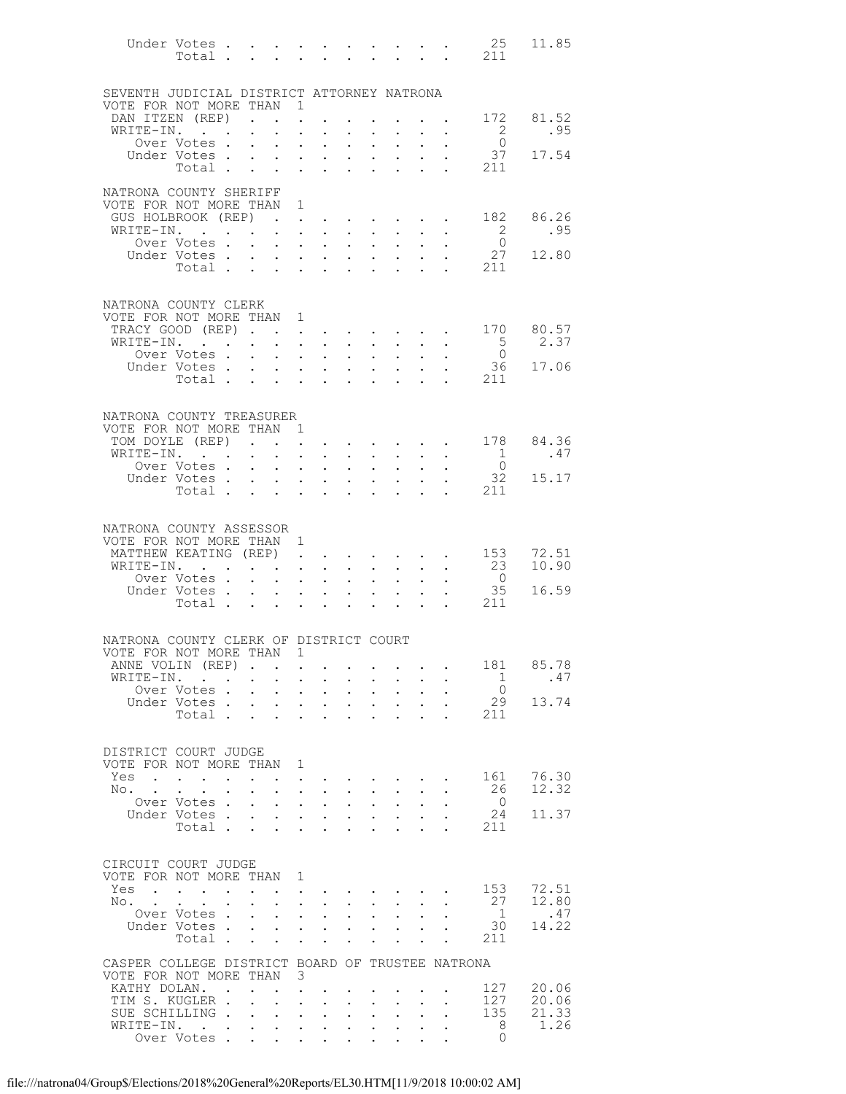|                                                                            |                                                                                                                                                          |           |                                                                                     |                                                             |                                              |                                                                               |                                                                                   |                                                                       |                                                                                     |                                     |                                                                     | 25                                              | 11.85            |
|----------------------------------------------------------------------------|----------------------------------------------------------------------------------------------------------------------------------------------------------|-----------|-------------------------------------------------------------------------------------|-------------------------------------------------------------|----------------------------------------------|-------------------------------------------------------------------------------|-----------------------------------------------------------------------------------|-----------------------------------------------------------------------|-------------------------------------------------------------------------------------|-------------------------------------|---------------------------------------------------------------------|-------------------------------------------------|------------------|
| SEVENTH JUDICIAL DISTRICT ATTORNEY NATRONA                                 |                                                                                                                                                          |           |                                                                                     |                                                             |                                              |                                                                               |                                                                                   |                                                                       |                                                                                     |                                     |                                                                     |                                                 |                  |
| VOTE FOR NOT MORE THAN 1                                                   |                                                                                                                                                          |           |                                                                                     |                                                             |                                              |                                                                               |                                                                                   |                                                                       |                                                                                     |                                     |                                                                     |                                                 |                  |
| DAN ITZEN (REP).<br>WRITE-IN.                                              |                                                                                                                                                          |           |                                                                                     | $\mathbf{L}$                                                | $\ddot{\phantom{0}}$                         |                                                                               |                                                                                   | $\bullet$ .<br><br><br><br><br><br><br><br><br><br><br><br>           |                                                                                     |                                     | $\sim$                                                              | $\overline{2}$                                  | 172 81.52<br>.95 |
|                                                                            | Over Votes .                                                                                                                                             |           | $\bullet$ .<br><br><br><br><br><br><br><br><br><br><br><br><br>$\ddot{\phantom{0}}$ | $\mathbf{L}^{\text{max}}$<br>$\bullet$ .                    | $\bullet$<br>$\ddot{\phantom{0}}$            | $\bullet$<br>$\bullet$ .<br><br><br><br><br><br><br><br><br><br><br><br>      | $\sim$                                                                            | $\mathbf{L} = \mathbf{L} \mathbf{L}$<br>$\mathbf{A}^{(1)}$ .          | $\ddot{\phantom{1}}$<br>$\bullet$ .<br><br><br><br><br><br><br><br><br><br><br><br> |                                     | $\cdot$ $\cdot$ $\cdot$<br>$\bullet$ .                              | $\bigcirc$                                      |                  |
|                                                                            | Under Votes                                                                                                                                              |           |                                                                                     |                                                             |                                              | $\mathbf{L} = \mathbf{L} \mathbf{L}$                                          |                                                                                   | $\mathbf{L} = \mathbf{L}$                                             | $\sim 10^{-11}$                                                                     | $\ddot{\phantom{0}}$                | $\ddot{\phantom{0}}$                                                | 37                                              | 17.54            |
|                                                                            | Total                                                                                                                                                    |           |                                                                                     |                                                             |                                              | $\ddot{\phantom{a}}$                                                          | $\sim$                                                                            | $\ddot{\phantom{a}}$                                                  | $\mathbf{L}$                                                                        |                                     | $\ddot{\phantom{a}}$                                                | 211                                             |                  |
| NATRONA COUNTY SHERIFF                                                     |                                                                                                                                                          |           |                                                                                     |                                                             |                                              |                                                                               |                                                                                   |                                                                       |                                                                                     |                                     |                                                                     |                                                 |                  |
| VOTE FOR NOT MORE THAN 1                                                   |                                                                                                                                                          |           |                                                                                     |                                                             |                                              |                                                                               |                                                                                   |                                                                       |                                                                                     |                                     |                                                                     |                                                 |                  |
| GUS HOLBROOK (REP).                                                        |                                                                                                                                                          |           |                                                                                     |                                                             | $\ddot{\phantom{0}}$                         | $\bullet$ .                                                                   |                                                                                   | $\sim 10^{-10}$                                                       | $\sim$                                                                              |                                     | $\sim$                                                              | 182                                             | 86.26            |
| WRITE-IN.                                                                  |                                                                                                                                                          |           |                                                                                     | $\bullet$ .<br><br><br><br><br><br><br><br><br><br><br><br> | $\ddot{\phantom{a}}$                         | $\sim$ $-$                                                                    |                                                                                   | $\mathbf{L} = \mathbf{L}$                                             | $\sim$                                                                              |                                     | $\mathbf{L} = \mathbf{L} \mathbf{L}$                                | $\overline{2}$                                  | .95              |
|                                                                            | Over Votes .<br>Under Votes.                                                                                                                             |           | $\ddot{\phantom{0}}$                                                                | $\sim$<br>$\sim$ $-$                                        | $\sim$                                       | $\sim$ 100 $\mu$<br>$\mathbf{L}^{\text{max}}$ , and $\mathbf{L}^{\text{max}}$ | $\sim$                                                                            | $\sim 100$                                                            | $\bullet$ .<br>$\mathbf{L} = \mathbf{L} \times \mathbf{L}$                          | $\ddot{\phantom{0}}$                | $\ddot{\phantom{a}}$                                                | $\overline{0}$<br>27                            | 12.80            |
|                                                                            | Total                                                                                                                                                    |           | $\ddot{\phantom{0}}$                                                                | $\sim 100$                                                  |                                              | $\mathbf{L}$ and $\mathbf{L}$                                                 | $\cdot$ $\cdot$                                                                   |                                                                       |                                                                                     |                                     | $\ddot{\phantom{a}}$                                                | 211                                             |                  |
|                                                                            |                                                                                                                                                          |           |                                                                                     |                                                             |                                              |                                                                               |                                                                                   |                                                                       |                                                                                     |                                     |                                                                     |                                                 |                  |
|                                                                            |                                                                                                                                                          |           |                                                                                     |                                                             |                                              |                                                                               |                                                                                   |                                                                       |                                                                                     |                                     |                                                                     |                                                 |                  |
| NATRONA COUNTY CLERK<br>VOTE FOR NOT MORE THAN 1                           |                                                                                                                                                          |           |                                                                                     |                                                             |                                              |                                                                               |                                                                                   |                                                                       |                                                                                     |                                     |                                                                     |                                                 |                  |
| TRACY GOOD (REP)                                                           |                                                                                                                                                          |           |                                                                                     |                                                             |                                              | $\mathbf{L}$ $\mathbf{L}$                                                     |                                                                                   |                                                                       | $\cdot$ $\cdot$ $\cdot$ $\cdot$                                                     |                                     | $\mathbf{z} = \mathbf{z} + \mathbf{z}$ .                            | 170                                             | 80.57            |
| WRITE-IN.                                                                  |                                                                                                                                                          |           | $\ddot{\phantom{0}}$                                                                | $\bullet$ .<br><br><br><br><br><br><br><br><br><br><br><br> |                                              | $\mathbf{L} = \mathbf{L}$                                                     |                                                                                   | $\mathbf{L} = \mathbf{L} \mathbf{L}$                                  | $\sim$ 100 $\pm$                                                                    | $\ddot{\phantom{0}}$                | $\sim$                                                              | 5 <sup>5</sup>                                  | 2.37             |
|                                                                            | Over Votes                                                                                                                                               |           |                                                                                     | $\sim$ $\sim$                                               | $\sim$                                       | $\sim 100$ km s $^{-1}$                                                       | $\mathcal{L}^{\text{max}}$                                                        | $\mathcal{L}^{\text{max}}$                                            | $\mathbf{L}$                                                                        |                                     | $\mathcal{L}^{\text{max}}$<br>$\ddot{\phantom{0}}$                  | $\overline{0}$                                  |                  |
|                                                                            | Under Votes<br>$\begin{array}{cccccccccccccccccc} \text{Votes} & . & . & . & . & . & . & . & . & . & \text{Total} & . & . & . & . & . & . & \end{array}$ |           |                                                                                     |                                                             |                                              |                                                                               |                                                                                   |                                                                       | $\mathcal{L}^{\text{max}}$                                                          | $\mathbf{L}^{\text{max}}$           | $\bullet$ .                                                         |                                                 | 36 17.06         |
|                                                                            |                                                                                                                                                          |           |                                                                                     |                                                             |                                              |                                                                               |                                                                                   |                                                                       | $\mathbf{L}$                                                                        |                                     |                                                                     | $\cdot$ $\cdot$ 211                             |                  |
|                                                                            |                                                                                                                                                          |           |                                                                                     |                                                             |                                              |                                                                               |                                                                                   |                                                                       |                                                                                     |                                     |                                                                     |                                                 |                  |
| NATRONA COUNTY TREASURER                                                   |                                                                                                                                                          |           |                                                                                     |                                                             |                                              |                                                                               |                                                                                   |                                                                       |                                                                                     |                                     |                                                                     |                                                 |                  |
| VOTE FOR NOT MORE THAN 1                                                   |                                                                                                                                                          |           |                                                                                     |                                                             |                                              |                                                                               |                                                                                   |                                                                       |                                                                                     |                                     |                                                                     |                                                 |                  |
| TOM DOYLE (REP)<br>WRITE-IN.                                               |                                                                                                                                                          |           | $\bullet$ .<br><br><br><br><br><br><br><br><br><br><br><br>                         | $\sim 10^{-11}$                                             | $\bullet$                                    | $\mathbf{L} = \mathbf{L}$<br>$\sim 100$ km s $^{-1}$                          |                                                                                   | $\mathbf{z} = \mathbf{z} + \mathbf{z}$ .<br>$\mathbf{L} = \mathbf{L}$ | $\sim 10^{-11}$<br>$\sim$                                                           |                                     | $\mathbf{L} = \mathbf{L}$                                           | $\cdot$ $\cdot$ 178<br>$\overline{1}$           | 84.36<br>.47     |
|                                                                            | Over Votes .                                                                                                                                             |           | $\ddot{\phantom{0}}$                                                                | $\bullet$ .                                                 | $\bullet$ .                                  | $\bullet$ . $\bullet$                                                         | $\sim$                                                                            | $\mathbf{A}^{(1)}$ .                                                  | $\bullet$ .<br><br><br><br><br><br><br><br><br><br><br>                             |                                     | $\bullet$ .                                                         | $\overline{0}$                                  |                  |
|                                                                            | Under Votes .                                                                                                                                            |           | $\ddot{\phantom{0}}$                                                                | $\sim$ $-$                                                  |                                              | $\mathbf{z} = \mathbf{z} + \mathbf{z}$ .                                      |                                                                                   | $\mathbf{L} = \mathbf{L}$                                             | $\mathcal{L}^{\text{max}}$                                                          | $\ddot{\phantom{0}}$                | $\ddot{\phantom{0}}$                                                | 32                                              | 15.17            |
|                                                                            | Total                                                                                                                                                    |           |                                                                                     |                                                             |                                              | $\mathbf{L} = \mathbf{L} \mathbf{L}$                                          | $\sim$                                                                            | $\sim$                                                                | $\ddot{\phantom{0}}$                                                                |                                     | $\ddot{\phantom{0}}$                                                | 211                                             |                  |
|                                                                            |                                                                                                                                                          |           |                                                                                     |                                                             |                                              |                                                                               |                                                                                   |                                                                       |                                                                                     |                                     |                                                                     |                                                 |                  |
| NATRONA COUNTY ASSESSOR                                                    |                                                                                                                                                          |           |                                                                                     |                                                             |                                              |                                                                               |                                                                                   |                                                                       |                                                                                     |                                     |                                                                     |                                                 |                  |
| VOTE FOR NOT MORE THAN 1                                                   |                                                                                                                                                          |           |                                                                                     |                                                             |                                              |                                                                               |                                                                                   |                                                                       |                                                                                     |                                     |                                                                     |                                                 |                  |
| MATTHEW KEATING (REP).                                                     |                                                                                                                                                          |           |                                                                                     |                                                             |                                              |                                                                               |                                                                                   |                                                                       |                                                                                     |                                     |                                                                     | $\cdot \cdot \cdot \cdot \cdot \cdot \cdot 153$ | 72.51            |
| WRITE-IN.                                                                  |                                                                                                                                                          |           |                                                                                     |                                                             |                                              |                                                                               | $\bullet$ .                                                                       | $\sim$ $-$                                                            | $\ddot{\phantom{0}}$                                                                | $\ddot{\phantom{0}}$                | $\sim$ $-$                                                          | 23                                              | 10.90            |
|                                                                            | Over Votes<br>Under Votes.                                                                                                                               |           |                                                                                     | $\bullet$ .<br><br><br><br><br><br><br><br><br><br><br><br> | $\mathcal{L}^{\mathcal{L}}$                  | $\langle \rangle$                                                             | $\mathcal{L}^{\text{max}}$                                                        | $\mathcal{L}^{\text{max}}$<br>$\mathbf{L} = \mathbf{L} \mathbf{L}$    | $\mathbf{L}$<br>$\mathbf{L}^{\text{max}}$                                           | $\ddot{\phantom{0}}$<br>$\bullet$ . | $\ddot{\phantom{0}}$                                                | $\overline{0}$<br>35                            | 16.59            |
|                                                                            | Total                                                                                                                                                    |           | $\mathbf{L}^{\text{max}}$                                                           |                                                             |                                              | $\mathbf{L}^{\text{max}}$ , $\mathbf{L}^{\text{max}}$                         | $\mathbf{1}^{\text{max}}$ , $\mathbf{1}^{\text{max}}$ , $\mathbf{1}^{\text{max}}$ | $\ddot{\phantom{a}}$                                                  | $\ddot{\phantom{a}}$                                                                | $\sim$ $\sim$                       |                                                                     | . 211                                           |                  |
|                                                                            |                                                                                                                                                          |           |                                                                                     |                                                             |                                              |                                                                               |                                                                                   |                                                                       |                                                                                     |                                     |                                                                     |                                                 |                  |
| NATRONA COUNTY CLERK OF DISTRICT COURT                                     |                                                                                                                                                          |           |                                                                                     |                                                             |                                              |                                                                               |                                                                                   |                                                                       |                                                                                     |                                     |                                                                     |                                                 |                  |
| VOTE FOR NOT MORE THAN 1                                                   |                                                                                                                                                          |           |                                                                                     |                                                             |                                              |                                                                               |                                                                                   |                                                                       |                                                                                     |                                     |                                                                     |                                                 |                  |
| ANNE VOLIN (REP)                                                           |                                                                                                                                                          |           | $\sim$ $\sim$                                                                       |                                                             | $\mathbf{L}^{\text{max}}$                    |                                                                               |                                                                                   |                                                                       |                                                                                     |                                     |                                                                     | 181                                             | 85.78            |
| WRITE-IN.                                                                  | $\sim 10^{-11}$                                                                                                                                          |           | $\sim$ 100 $\pm$                                                                    | $\mathbf{L}^{\text{max}}$                                   | $\mathcal{L}^{\text{max}}$                   | $\sim$ $-$                                                                    | $\ddot{\phantom{0}}$                                                              | $\mathbf{L}^{\text{max}}$                                             | $\sim$                                                                              | $\ddot{\phantom{0}}$                |                                                                     | 1                                               | .47              |
|                                                                            | Over Votes.                                                                                                                                              |           | $\ddot{\phantom{0}}$                                                                | $\ddot{\phantom{0}}$                                        | $\ddot{\phantom{0}}$                         | $\mathbf{L}^{\text{max}}$                                                     | $\ddot{\phantom{0}}$                                                              | $\mathbf{L}^{\text{max}}$                                             | $\ddot{\phantom{0}}$                                                                |                                     |                                                                     | $\overline{0}$                                  |                  |
|                                                                            | Under Votes .<br>Total .                                                                                                                                 |           | $\sim$ $-$                                                                          | $\mathbf{L}$                                                | $\mathbf{L}^{\text{max}}$                    | $\mathcal{L}^{\text{max}}$                                                    | $\mathbf{L}^{\text{max}}$                                                         | $\ddot{\phantom{0}}$                                                  | $\ddot{\phantom{a}}$                                                                | $\ddot{\phantom{0}}$                | $\ddot{\phantom{0}}$                                                | 29<br>211                                       | 13.74            |
|                                                                            |                                                                                                                                                          |           | $\mathbf{L}$                                                                        | $\ddot{\phantom{0}}$                                        | $\ddot{\phantom{0}}$                         | $\ddot{\phantom{a}}$                                                          |                                                                                   |                                                                       |                                                                                     |                                     |                                                                     |                                                 |                  |
|                                                                            |                                                                                                                                                          |           |                                                                                     |                                                             |                                              |                                                                               |                                                                                   |                                                                       |                                                                                     |                                     |                                                                     |                                                 |                  |
| DISTRICT COURT JUDGE                                                       |                                                                                                                                                          |           |                                                                                     |                                                             |                                              |                                                                               |                                                                                   |                                                                       |                                                                                     |                                     |                                                                     |                                                 |                  |
| VOTE FOR NOT MORE THAN<br>Yes                                              |                                                                                                                                                          |           |                                                                                     |                                                             | 1                                            |                                                                               |                                                                                   |                                                                       |                                                                                     |                                     |                                                                     | 161                                             | 76.30            |
| No.                                                                        | $\sim$ $\sim$ $\sim$ $\sim$ $\sim$ $\sim$                                                                                                                | $\bullet$ | $\ddot{\phantom{0}}$<br>$\ddot{\phantom{0}}$                                        | $\ddotsc$                                                   | $\bullet$<br>$\ddot{\phantom{0}}$            | $\sim$ $-$                                                                    | $\ddot{\phantom{0}}$                                                              | $\mathbf{A}^{\mathrm{max}}$                                           | $\bullet$ .                                                                         | $\ddot{\phantom{0}}$                | and a series of the series of the series of<br>$\ddot{\phantom{a}}$ | 26                                              | 12.32            |
|                                                                            | Over Votes.                                                                                                                                              |           | $\ddot{\phantom{a}}$                                                                | $\ddot{\phantom{0}}$                                        | $\ddot{\phantom{a}}$                         | $\ddot{\phantom{a}}$                                                          | $\mathbb{Z}^{\mathbb{Z}^2}$                                                       | $\ddot{\phantom{a}}$                                                  | $\ddot{\phantom{a}}$                                                                | $\ddot{\phantom{a}}$                |                                                                     | $\overline{0}$                                  |                  |
|                                                                            | Under Votes.                                                                                                                                             |           | $\mathbf{L}$                                                                        | $\mathbf{L}^{\text{max}}$                                   | $\mathbb{Z}^{n+1}$                           | $\sim$                                                                        |                                                                                   | $\mathbf{z} = \mathbf{z} + \mathbf{z}$ .                              | $\mathbf{L}^{\text{max}}$                                                           | $\ddot{\phantom{0}}$                |                                                                     | 24                                              | 11.37            |
|                                                                            | Total .                                                                                                                                                  |           | $\ddot{\phantom{a}}$                                                                | $\mathbf{L}$                                                | $\ddot{\phantom{a}}$                         | $\langle \rangle$                                                             | $\mathbf{r}$                                                                      | $\ddot{\phantom{a}}$                                                  | $\ddot{\phantom{a}}$                                                                | $\ddot{\phantom{0}}$                |                                                                     | 211                                             |                  |
|                                                                            |                                                                                                                                                          |           |                                                                                     |                                                             |                                              |                                                                               |                                                                                   |                                                                       |                                                                                     |                                     |                                                                     |                                                 |                  |
| CIRCUIT COURT JUDGE                                                        |                                                                                                                                                          |           |                                                                                     |                                                             |                                              |                                                                               |                                                                                   |                                                                       |                                                                                     |                                     |                                                                     |                                                 |                  |
| VOTE FOR NOT MORE THAN                                                     |                                                                                                                                                          |           |                                                                                     |                                                             | 1                                            |                                                                               |                                                                                   |                                                                       |                                                                                     |                                     |                                                                     |                                                 |                  |
| Yes                                                                        | $\mathbf{L} = \mathbf{L}$<br>$\mathbf{r}$                                                                                                                |           | $\ddot{\phantom{a}}$                                                                |                                                             | $\bullet$                                    |                                                                               |                                                                                   |                                                                       |                                                                                     |                                     |                                                                     | 153                                             | 72.51            |
| No.                                                                        | $\ddot{\phantom{a}}$<br>Over Votes.                                                                                                                      |           | $\ddot{\phantom{0}}$<br>$\mathbf{L}$                                                | $\ddot{\phantom{a}}$<br>$\sim$                              | $\ddot{\phantom{a}}$<br>$\ddot{\phantom{0}}$ | $\mathcal{L}^{\text{max}}$<br>$\sim$                                          |                                                                                   | $\mathbf{L} = \mathbf{L}$<br>$\mathcal{L}^{\text{max}}$               | $\ddot{\phantom{0}}$                                                                | $\ddot{\phantom{0}}$                | $\ddot{\phantom{0}}$                                                | 27<br>1                                         | 12.80<br>.47     |
|                                                                            | Under Votes.                                                                                                                                             |           | $\mathbf{L}$                                                                        | $\ddot{\phantom{0}}$                                        | $\mathcal{L}^{\text{max}}$                   | $\ddot{\phantom{a}}$                                                          | $\ddot{\phantom{0}}$<br>$\mathcal{L}^{\text{max}}$                                | $\ddot{\phantom{0}}$                                                  | $\ddot{\phantom{0}}$<br>$\ddot{\phantom{a}}$                                        | $\ddot{\phantom{a}}$                |                                                                     | 30                                              | 14.22            |
|                                                                            | Total .                                                                                                                                                  |           | $\ddot{\phantom{a}}$                                                                | $\ddot{\phantom{a}}$                                        | $\ddot{\phantom{a}}$                         | $\ddot{\phantom{a}}$                                                          |                                                                                   |                                                                       | $\ddot{\phantom{a}}$                                                                | $\ddot{\phantom{0}}$                | $\ddot{\phantom{a}}$                                                | 211                                             |                  |
|                                                                            |                                                                                                                                                          |           |                                                                                     |                                                             |                                              |                                                                               |                                                                                   |                                                                       |                                                                                     |                                     |                                                                     |                                                 |                  |
| CASPER COLLEGE DISTRICT BOARD OF TRUSTEE NATRONA<br>VOTE FOR NOT MORE THAN |                                                                                                                                                          |           |                                                                                     |                                                             | 3                                            |                                                                               |                                                                                   |                                                                       |                                                                                     |                                     |                                                                     |                                                 |                  |
| KATHY DOLAN.                                                               |                                                                                                                                                          | $\sim$    |                                                                                     |                                                             | $\ddot{\phantom{0}}$                         |                                                                               |                                                                                   |                                                                       |                                                                                     |                                     |                                                                     | 127                                             | 20.06            |
| TIM S. KUGLER .                                                            |                                                                                                                                                          |           | $\ddot{\phantom{a}}$                                                                | $\mathcal{L}^{\text{max}}$                                  | $\ddot{\phantom{a}}$                         | $\ddot{\phantom{0}}$                                                          | $\ddot{\phantom{0}}$                                                              | $\ddot{\phantom{a}}$                                                  | $\ddot{\phantom{a}}$                                                                | $\ddot{\phantom{0}}$                | $\ddot{\phantom{0}}$                                                | 127                                             | 20.06            |
| SUE SCHILLING.                                                             |                                                                                                                                                          |           | $\ddot{\phantom{0}}$                                                                | $\ddot{\phantom{0}}$                                        | $\ddot{\phantom{0}}$                         | $\mathbf{L}^{\text{max}}$                                                     | $\ddot{\phantom{0}}$                                                              | $\mathbf{L}^{\text{max}}$                                             | $\ddot{\phantom{0}}$                                                                | $\ddot{\phantom{0}}$                |                                                                     | 135                                             | 21.33            |
| WRITE-IN.                                                                  |                                                                                                                                                          |           | $\mathbf{L}^{\text{max}}$                                                           | $\mathcal{L}^{\text{max}}$                                  | $\mathcal{L}^{(1)}$                          | $\sim$                                                                        | $\mathbf{L}^{\text{max}}$                                                         | $\ddot{\phantom{0}}$                                                  | $\ddot{\phantom{a}}$                                                                | $\ddot{\phantom{0}}$                |                                                                     | 8                                               | 1.26             |
|                                                                            | Over Votes.                                                                                                                                              |           | $\mathbf{r}$                                                                        |                                                             |                                              | $\mathbf{L}^{\text{max}}$ , and $\mathbf{L}^{\text{max}}$                     | $\ddot{\phantom{0}}$                                                              | $\ddot{\phantom{0}}$                                                  | $\mathbf{L}$                                                                        |                                     |                                                                     | $\Omega$                                        |                  |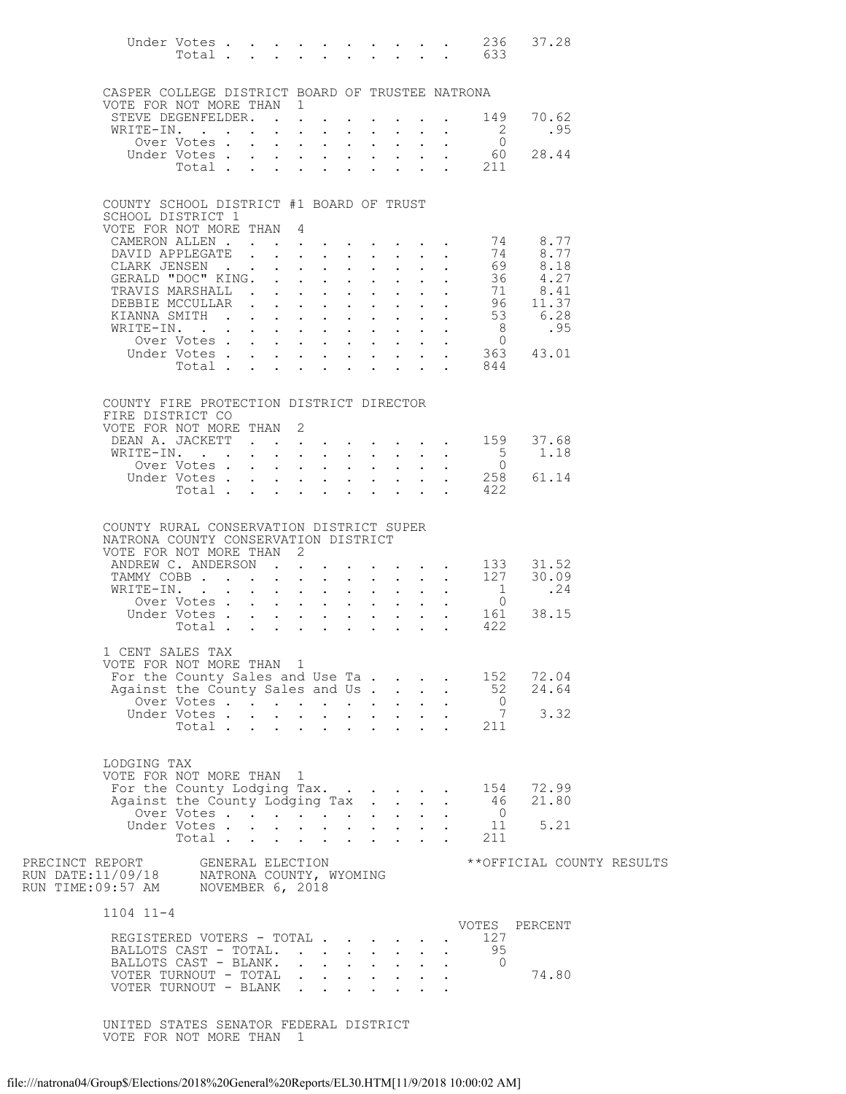|                                                                                                                                  | Under Votes                     |  |              |                                                                                                                                    |                                                                                                    |               |                               |                        |                                                                   | 236<br>Total 633              | 37.28                     |  |
|----------------------------------------------------------------------------------------------------------------------------------|---------------------------------|--|--------------|------------------------------------------------------------------------------------------------------------------------------------|----------------------------------------------------------------------------------------------------|---------------|-------------------------------|------------------------|-------------------------------------------------------------------|-------------------------------|---------------------------|--|
| CASPER COLLEGE DISTRICT BOARD OF TRUSTEE NATRONA<br>VOTE FOR NOT MORE THAN 1                                                     |                                 |  |              |                                                                                                                                    |                                                                                                    |               |                               |                        |                                                                   |                               |                           |  |
| STEVE DEGENFELDER.                                                                                                               |                                 |  |              |                                                                                                                                    |                                                                                                    |               |                               |                        |                                                                   | 149                           | 70.62                     |  |
| WRITE-IN.                                                                                                                        | Over Votes                      |  |              | $\mathbf{r}$ , $\mathbf{r}$ , $\mathbf{r}$ , $\mathbf{r}$                                                                          |                                                                                                    |               |                               |                        | $\cdot$ $\cdot$                                                   | <sup>2</sup><br>$\Omega$      | .95                       |  |
|                                                                                                                                  |                                 |  |              |                                                                                                                                    |                                                                                                    |               |                               |                        |                                                                   | 60                            | 28.44                     |  |
|                                                                                                                                  |                                 |  |              |                                                                                                                                    |                                                                                                    |               |                               |                        |                                                                   | Under Votes 60<br>Total 211   |                           |  |
| COUNTY SCHOOL DISTRICT #1 BOARD OF TRUST<br>SCHOOL DISTRICT 1                                                                    |                                 |  |              |                                                                                                                                    |                                                                                                    |               |                               |                        |                                                                   |                               |                           |  |
| VOTE FOR NOT MORE THAN                                                                                                           |                                 |  |              | 4                                                                                                                                  |                                                                                                    |               |                               |                        |                                                                   |                               |                           |  |
| CAMERON ALLEN<br>DAVID APPLEGATE                                                                                                 |                                 |  |              | $\mathbf{r}$ , $\mathbf{r}$ , $\mathbf{r}$ , $\mathbf{r}$ , $\mathbf{r}$ , $\mathbf{r}$ , $\mathbf{r}$                             |                                                                                                    |               |                               |                        |                                                                   | 74<br>74                      | 8.77<br>8.77              |  |
| CLARK JENSEN                                                                                                                     |                                 |  |              | $\mathbf{r}$ , $\mathbf{r}$                                                                                                        |                                                                                                    |               | $\mathbf{r} = \mathbf{r}$     |                        |                                                                   | 69                            | 8.18                      |  |
| GERALD "DOC" KING.                                                                                                               |                                 |  | $\mathbf{L}$ | $\mathbf{r}$ , $\mathbf{r}$ , $\mathbf{r}$                                                                                         |                                                                                                    | $\sim$ $\sim$ | $\sim$ $-$                    |                        | $\mathbf{L} = \mathbf{L} \mathbf{L}$                              | 36                            | 4.27                      |  |
| TRAVIS MARSHALL.                                                                                                                 |                                 |  |              | $\mathbf{r} = \mathbf{r} \cdot \mathbf{r}$                                                                                         |                                                                                                    | $\mathbf{L}$  | $\mathbf{L}$                  |                        |                                                                   | 71                            | 8.41                      |  |
| DEBBIE MCCULLAR<br>KIANNA SMITH                                                                                                  |                                 |  |              |                                                                                                                                    |                                                                                                    | $\mathbf{L}$  | $\sim$ $-$<br>$\mathbf{L}$    |                        | $\mathbf{L} = \mathbf{L}$<br>$\mathbf{L} = \mathbf{L} \mathbf{L}$ | 96<br>53                      | 11.37<br>6.28             |  |
| WRITE-IN.                                                                                                                        |                                 |  |              |                                                                                                                                    |                                                                                                    |               | $\sim$                        |                        | $\mathcal{L}^{\text{max}}$ , $\mathcal{L}^{\text{max}}$           | 8 <sup>8</sup>                | .95                       |  |
|                                                                                                                                  | Over Votes                      |  |              |                                                                                                                                    |                                                                                                    |               | $\mathbf{L}$                  |                        | $\mathcal{L}^{\text{max}}$ , and $\mathcal{L}^{\text{max}}$       | $\overline{0}$                |                           |  |
|                                                                                                                                  |                                 |  |              |                                                                                                                                    |                                                                                                    |               |                               |                        |                                                                   | Under Votes 363               | 43.01                     |  |
|                                                                                                                                  | Total $\cdots$                  |  |              |                                                                                                                                    |                                                                                                    |               |                               |                        |                                                                   | 844                           |                           |  |
| COUNTY FIRE PROTECTION DISTRICT DIRECTOR<br>FIRE DISTRICT CO                                                                     |                                 |  |              |                                                                                                                                    |                                                                                                    |               |                               |                        |                                                                   |                               |                           |  |
| VOTE FOR NOT MORE THAN                                                                                                           |                                 |  |              | 2                                                                                                                                  |                                                                                                    |               |                               |                        |                                                                   |                               |                           |  |
| DEAN A. JACKETT 159 37.68<br>WRITE-IN.                                                                                           |                                 |  |              |                                                                                                                                    |                                                                                                    |               |                               |                        |                                                                   | $5^{\circ}$                   | 1.18                      |  |
|                                                                                                                                  | Over Votes                      |  |              |                                                                                                                                    |                                                                                                    |               | $\mathbf{r} = \mathbf{r}$     | $\mathbf{L}$           |                                                                   | $\overline{0}$                |                           |  |
|                                                                                                                                  | Under Votes                     |  |              |                                                                                                                                    |                                                                                                    |               |                               |                        |                                                                   | $\cdot \quad \cdot \quad 258$ | 61.14                     |  |
|                                                                                                                                  | Total                           |  |              |                                                                                                                                    |                                                                                                    |               |                               |                        | $\mathbf{r} = \mathbf{r}$                                         | 422                           |                           |  |
| COUNTY RURAL CONSERVATION DISTRICT SUPER<br>NATRONA COUNTY CONSERVATION DISTRICT<br>VOTE FOR NOT MORE THAN<br>ANDREW C. ANDERSON |                                 |  |              | 2                                                                                                                                  |                                                                                                    |               |                               |                        |                                                                   | 133                           | 31.52                     |  |
| TAMMY COBB                                                                                                                       |                                 |  |              |                                                                                                                                    |                                                                                                    |               |                               |                        | $\mathbf{L}^{\text{max}}$ , and $\mathbf{L}^{\text{max}}$         | 127                           | 30.09                     |  |
| WRITE-IN.                                                                                                                        |                                 |  | $\mathbf{L}$ | $\mathbf{L}$ and $\mathbf{L}$                                                                                                      | $\sim$                                                                                             | $\mathbf{r}$  | $\sim$                        |                        |                                                                   | $\overline{1}$                | .24                       |  |
|                                                                                                                                  | Over Votes<br>Under Votes       |  |              | $\mathbf{r}$ , $\mathbf{r}$ , $\mathbf{r}$ , $\mathbf{r}$<br>$\mathbf{r}$ , and $\mathbf{r}$ , and $\mathbf{r}$ , and $\mathbf{r}$ |                                                                                                    |               |                               |                        | $\mathbf{L}$ $\mathbf{L}$<br>$\mathbf{L}$                         | $\bigcirc$<br>161             | 38.15                     |  |
|                                                                                                                                  | Total                           |  |              | $\cdot$ $\cdot$ $\cdot$ $\cdot$ $\cdot$ $\cdot$                                                                                    |                                                                                                    |               | $\mathbf{L} = \mathbf{L}$     |                        | $\mathbf{L} = \mathbf{L}$                                         | 422                           |                           |  |
| 1 CENT SALES TAX<br>VOTE FOR NOT MORE THAN 1<br>For the County Sales and Use Ta                                                  |                                 |  |              |                                                                                                                                    |                                                                                                    |               |                               |                        |                                                                   | 152                           | 72.04                     |  |
| Against the County Sales and Us                                                                                                  |                                 |  |              |                                                                                                                                    |                                                                                                    |               |                               |                        |                                                                   | 52                            | 24.64                     |  |
|                                                                                                                                  | Over Votes . $\overline{\cdot}$ |  |              |                                                                                                                                    |                                                                                                    |               |                               |                        |                                                                   | $\overline{0}$                |                           |  |
|                                                                                                                                  | Under Votes                     |  |              |                                                                                                                                    |                                                                                                    |               |                               |                        |                                                                   | 7                             | 3.32                      |  |
|                                                                                                                                  | Total $\cdots$                  |  |              |                                                                                                                                    |                                                                                                    |               | $\mathbf{L}$ and $\mathbf{L}$ | $\mathbf{L}$           |                                                                   | 211                           |                           |  |
| LODGING TAX<br>VOTE FOR NOT MORE THAN 1<br>For the County Lodging Tax.<br>Against the County Lodging Tax                         | Over Votes                      |  |              |                                                                                                                                    |                                                                                                    |               | $\mathbf{L}$ and $\mathbf{L}$ | $\sim$                 |                                                                   | 154<br>46<br>$\overline{0}$   | 72.99<br>21.80            |  |
|                                                                                                                                  | Under Votes<br>Total            |  |              |                                                                                                                                    | $\mathbf{r} = \mathbf{r} \cdot \mathbf{r}$ . The set of $\mathbf{r} = \mathbf{r} \cdot \mathbf{r}$ |               |                               |                        |                                                                   | 11<br>211                     | 5.21                      |  |
|                                                                                                                                  |                                 |  |              |                                                                                                                                    |                                                                                                    |               |                               |                        |                                                                   |                               |                           |  |
| PRECINCT REPORT<br>RUN DATE:11/09/18   NATRONA COUNTY, WYOMING<br>RUN TIME:09:57 AM   NOVEMBER 6, 2018                           |                                 |  |              | GENERAL ELECTION                                                                                                                   |                                                                                                    |               |                               |                        |                                                                   |                               | **OFFICIAL COUNTY RESULTS |  |
| $1104$ $11-4$                                                                                                                    |                                 |  |              |                                                                                                                                    |                                                                                                    |               |                               |                        |                                                                   |                               |                           |  |
| REGISTERED VOTERS - TOTAL<br>BALLOTS CAST - TOTAL.<br>BALLOTS CAST - BLANK.<br>VOTER TURNOUT - TOTAL                             |                                 |  |              |                                                                                                                                    |                                                                                                    |               | $\mathbf{L} = \mathbf{L}$     | $\sim$<br>$\mathbf{L}$ | $\ddot{\phantom{a}}$                                              | 127<br>95<br>$\bigcirc$       | VOTES PERCENT<br>74.80    |  |
| VOTER TURNOUT - BLANK                                                                                                            |                                 |  |              |                                                                                                                                    |                                                                                                    |               | $\mathbf{r} = \mathbf{r}$     |                        |                                                                   |                               |                           |  |

 UNITED STATES SENATOR FEDERAL DISTRICT VOTE FOR NOT MORE THAN 1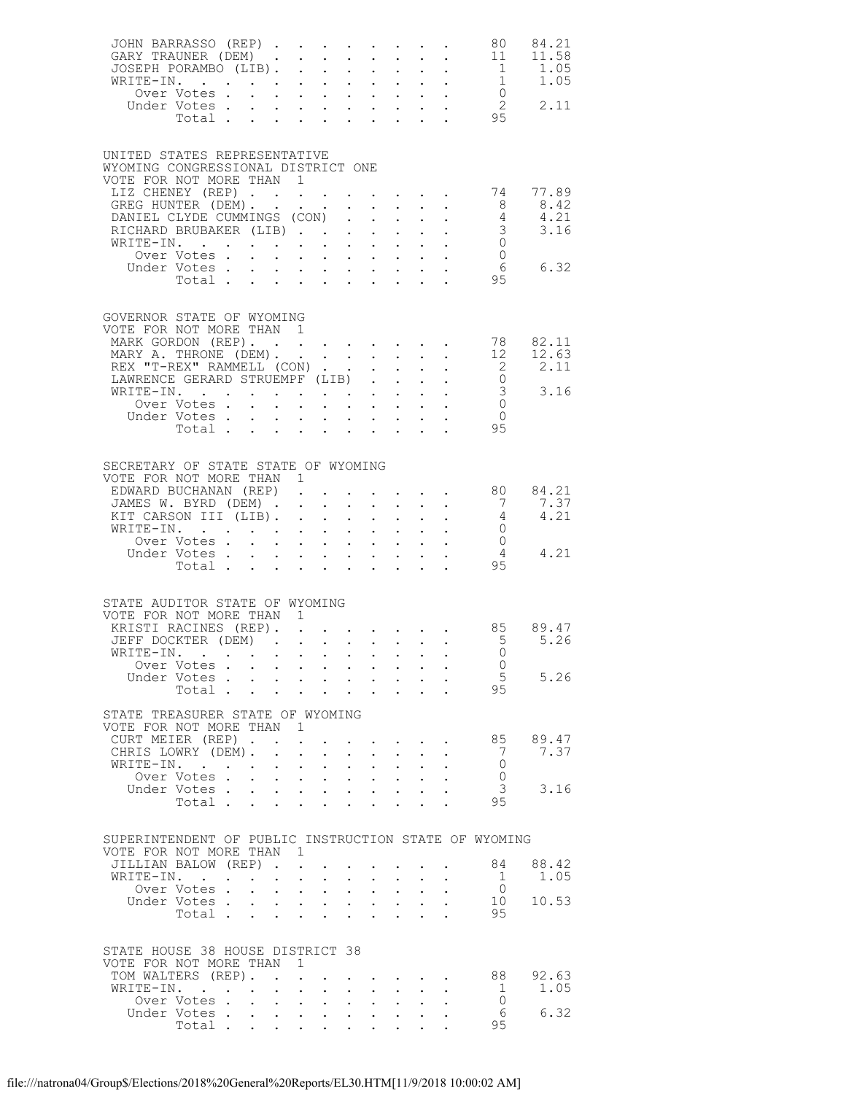| JOHN BARRASSO (REP)<br>GARY TRAUNER (DEM)                                                                                                                                                                                                   |                                                                                 |                                                                                                                                                                                                                                                                                                                                                                                                                                                       |                                                                                                                                                        |                                                    |                                                                 |                                          |                                                                                                 | 80<br>11<br>$\begin{array}{c} 1 \\ 1 \\ 0 \end{array}$<br>$\overline{2}$<br>95                          | 84.21<br>11.58<br>1.05<br>1.05<br>2.11 |
|---------------------------------------------------------------------------------------------------------------------------------------------------------------------------------------------------------------------------------------------|---------------------------------------------------------------------------------|-------------------------------------------------------------------------------------------------------------------------------------------------------------------------------------------------------------------------------------------------------------------------------------------------------------------------------------------------------------------------------------------------------------------------------------------------------|--------------------------------------------------------------------------------------------------------------------------------------------------------|----------------------------------------------------|-----------------------------------------------------------------|------------------------------------------|-------------------------------------------------------------------------------------------------|---------------------------------------------------------------------------------------------------------|----------------------------------------|
| UNITED STATES REPRESENTATIVE<br>WYOMING CONGRESSIONAL DISTRICT ONE<br>VOTE FOR NOT MORE THAN 1<br>LIZ CHENEY (REP)<br>GREG HUNTER (DEM).<br>DANIEL CLYDE CUMMINGS (CON)<br>RICHARD BRUBAKER (LIB)<br>WRITE-IN.<br>Over Votes<br>Under Votes | Votes<br>Total                                                                  |                                                                                                                                                                                                                                                                                                                                                                                                                                                       | $\mathbf{u} = \mathbf{u} \times \mathbf{u}$ , and $\mathbf{u} = \mathbf{u} \times \mathbf{u}$ , and $\mathbf{u} = \mathbf{u}$                          |                                                    |                                                                 |                                          |                                                                                                 | 74<br>$\overline{\phantom{0}}8$<br>$rac{4}{3}$<br>$\overline{0}$<br>$\overline{0}$<br>6<br>95           | 77.89<br>8.42<br>4.21<br>3.16<br>6.32  |
| GOVERNOR STATE OF WYOMING<br>VOTE FOR NOT MORE THAN<br>MARK GORDON (REP).<br>MARY A. THRONE (DEM).<br>REX "T-REX" RAMMELL (CON)<br>LAWRENCE GERARD STRUEMPF (LIB)<br>WRITE-IN.<br>Over Votes.<br>Under Votes                                | $\mathcal{L}^{\text{max}}$<br>Votes<br>Total                                    | $\overline{1}$<br>$\begin{array}{cccccccccc} \mathbf{1} & \mathbf{1} & \mathbf{1} & \mathbf{1} & \mathbf{1} & \mathbf{1} & \mathbf{1} & \mathbf{1} & \mathbf{1} & \mathbf{1} & \mathbf{1} & \mathbf{1} & \mathbf{1} & \mathbf{1} & \mathbf{1} & \mathbf{1} & \mathbf{1} & \mathbf{1} & \mathbf{1} & \mathbf{1} & \mathbf{1} & \mathbf{1} & \mathbf{1} & \mathbf{1} & \mathbf{1} & \mathbf{1} & \mathbf{1} & \mathbf{1} & \mathbf{1} & \mathbf{1} & \$ |                                                                                                                                                        |                                                    |                                                                 |                                          |                                                                                                 | 78<br>12<br>$\overline{\phantom{0}}^2$<br>$\overline{0}$<br>3<br>$\overline{0}$<br>$\overline{0}$<br>95 | 82.11<br>12.63<br>2.11<br>3.16         |
| SECRETARY OF STATE STATE OF WYOMING<br>VOTE FOR NOT MORE THAN 1<br>EDWARD BUCHANAN (REP).<br>JAMES W. BYRD (DEM)<br>KIT CARSON III (LIB).<br>WRITE-IN.<br>Over Votes .                                                                      | $\mathbf{L}$                                                                    | $\mathbf{1}^{\prime}$ , $\mathbf{1}^{\prime}$ , $\mathbf{1}^{\prime}$ , $\mathbf{1}^{\prime}$ , $\mathbf{1}^{\prime}$                                                                                                                                                                                                                                                                                                                                 |                                                                                                                                                        |                                                    | $\mathbf{1}=\mathbf{1}=\mathbf{1}=\mathbf{1}=\mathbf{1}$        |                                          | $\mathbf{r} = \mathbf{r} \times \mathbf{r}$ , where $\mathbf{r} = \mathbf{r} \times \mathbf{r}$ | 80<br>7<br>4<br>$\overline{0}$<br>$\overline{0}$<br>$\overline{4}$<br>95                                | 84.21<br>7.37<br>4.21<br>4.21          |
| STATE AUDITOR STATE OF WYOMING<br>VOTE FOR NOT MORE THAN 1<br>KRISTI RACINES (REP).<br>JEFF DOCKTER (DEM)<br>WRITE-IN.<br>Over Votes<br>Under Votes<br>STATE TREASURER STATE OF WYOMING                                                     | Total .                                                                         |                                                                                                                                                                                                                                                                                                                                                                                                                                                       |                                                                                                                                                        | $\mathcal{L}^{(1)}$                                | $\mathcal{L}^{\text{max}}(\mathcal{L}^{\text{max}})$            | $\mathcal{L}^{\text{max}}$               |                                                                                                 | 85<br>$-5$<br>$\Omega$<br>$\circ$ 0<br>5<br>95                                                          | 89.47<br>5.26<br>5.26                  |
| VOTE FOR NOT MORE THAN<br>CURT MEIER (REP).<br>CHRIS LOWRY (DEM).<br>WRITE-IN. .<br>Over Votes .<br>Under Votes.                                                                                                                            | $\mathbf{L}^{\text{max}}$<br>Total .<br>$\mathcal{L}^{\text{max}}$              | $\overline{1}$<br>$\bullet$<br>$\ddot{\phantom{a}}$<br>$\mathbf{L}^{\text{max}}$<br>$\mathbf{L}^{\text{max}}$<br>$\mathbf{L}$                                                                                                                                                                                                                                                                                                                         | $\sim$<br>$\sim$<br>$\mathbf{A}^{\text{max}}$ , $\mathbf{A}^{\text{max}}$<br>$\mathbf{L}^{\text{max}}$ , and $\mathbf{L}^{\text{max}}$<br>$\mathbf{L}$ | $\mathcal{L}^{\text{max}}$<br>$\ddot{\phantom{0}}$ | $\mathbf{L}^{\text{max}}$<br>$\sim$ $-$<br>$\ddot{\phantom{a}}$ | $\ddot{\phantom{0}}$                     |                                                                                                 | 85<br>-7<br>$\circ$<br>$\mathbf{0}$<br>3<br>95                                                          | 89.47<br>7.37<br>3.16                  |
| SUPERINTENDENT OF PUBLIC INSTRUCTION STATE OF WYOMING<br>VOTE FOR NOT MORE THAN<br>JILLIAN BALOW (REP).<br>WRITE-IN.<br>Over Votes.<br>Under Votes.                                                                                         | $\mathbf{L}$ . The set of $\mathbf{L}$<br>$\ddot{\phantom{0}}$<br>Total .       | $-1$<br>$\mathbf{r} = \left\{ \mathbf{r}_1, \ldots, \mathbf{r}_n \right\}$<br>$\sim$ $-$<br>$\mathbf{r} = \mathbf{r} + \mathbf{r}$ , where                                                                                                                                                                                                                                                                                                            | $\sim$ $-$                                                                                                                                             | $\ddot{\phantom{0}}$                               | $\mathcal{L}^{\text{max}}$                                      | $\bullet$ .<br>$\mathbf{L}^{\text{max}}$ |                                                                                                 | 84<br>1<br>$\overline{0}$<br>10<br>95                                                                   | 88.42<br>1.05<br>10.53                 |
| STATE HOUSE 38 HOUSE DISTRICT 38<br>VOTE FOR NOT MORE THAN<br>TOM WALTERS (REP).<br>WRITE-IN.<br>Over Votes .<br>Under Votes.                                                                                                               | $\cdot$ $\cdot$<br>$\ddot{\phantom{0}}$<br>$\mathbf{L}^{\text{max}}$<br>Total . | 1<br>$\mathbf{L}^{\text{max}}$ , $\mathbf{L}^{\text{max}}$                                                                                                                                                                                                                                                                                                                                                                                            | $\sim$ $-$                                                                                                                                             | $\mathbf{L}^{\text{max}}$                          | $\mathbf{L}^{\text{max}}$<br>$\ddot{\phantom{a}}$               |                                          |                                                                                                 | 88<br>1<br>$\overline{0}$<br>6<br>95                                                                    | 92.63<br>1.05<br>6.32                  |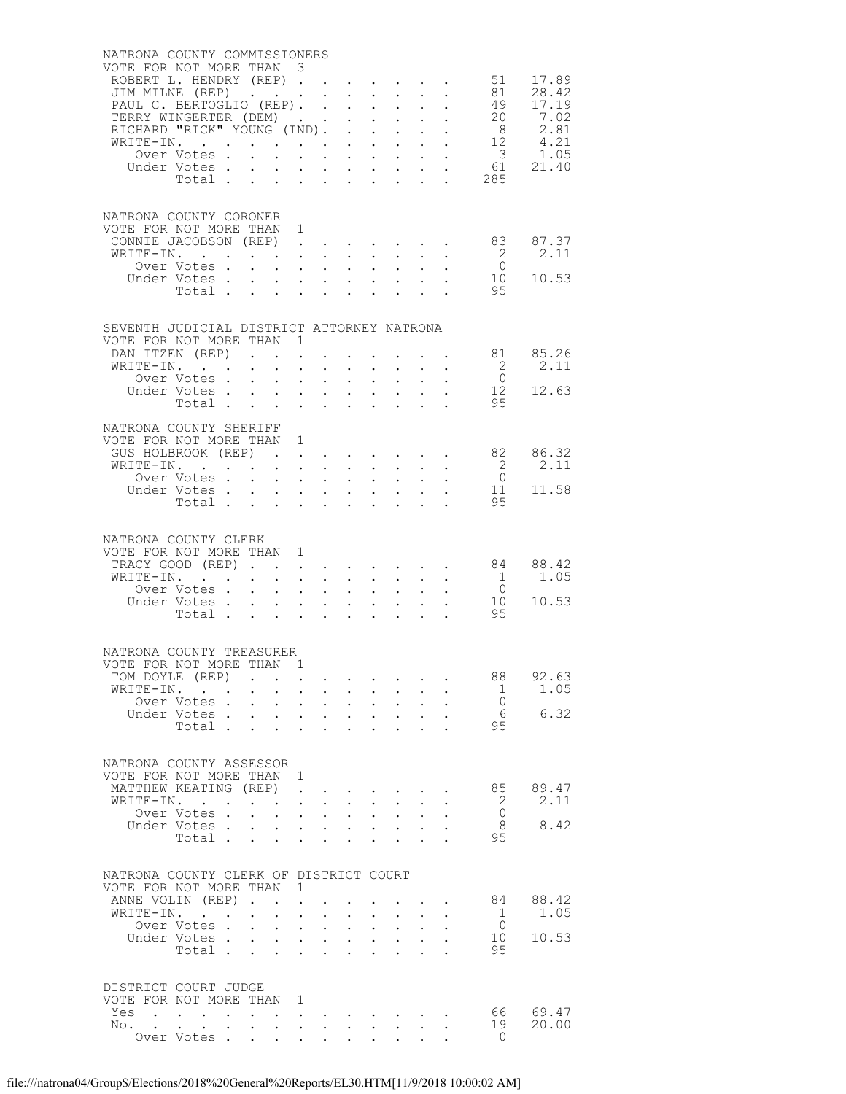| NATRONA COUNTY COMMISSIONERS                          |                                                           |                                                                             |                                                                                               |                                                                 |                                                                       |                                |                                                                                                                                       |                      |                                              |                                              |                             |
|-------------------------------------------------------|-----------------------------------------------------------|-----------------------------------------------------------------------------|-----------------------------------------------------------------------------------------------|-----------------------------------------------------------------|-----------------------------------------------------------------------|--------------------------------|---------------------------------------------------------------------------------------------------------------------------------------|----------------------|----------------------------------------------|----------------------------------------------|-----------------------------|
| VOTE FOR NOT MORE THAN 3<br>ROBERT L. HENDRY (REP) 51 |                                                           |                                                                             |                                                                                               |                                                                 |                                                                       |                                |                                                                                                                                       |                      |                                              |                                              | 17.89                       |
| JIM MILNE (REP)                                       |                                                           |                                                                             |                                                                                               |                                                                 |                                                                       |                                |                                                                                                                                       |                      |                                              | 81                                           | 28.42                       |
| PAUL C. BERTOGLIO (REP).                              |                                                           |                                                                             |                                                                                               |                                                                 |                                                                       |                                |                                                                                                                                       |                      |                                              |                                              |                             |
| TERRY WINGERTER (DEM)                                 |                                                           |                                                                             |                                                                                               |                                                                 |                                                                       |                                |                                                                                                                                       |                      |                                              |                                              |                             |
| RICHARD "RICK" YOUNG (IND).                           |                                                           |                                                                             |                                                                                               |                                                                 |                                                                       |                                |                                                                                                                                       |                      |                                              |                                              |                             |
| WRITE-IN.                                             | Over Votes.                                               |                                                                             | $\mathbf{L}$                                                                                  |                                                                 | $\mathbf{r}$ , and $\mathbf{r}$ , and $\mathbf{r}$ , and $\mathbf{r}$ |                                |                                                                                                                                       |                      |                                              |                                              |                             |
|                                                       |                                                           |                                                                             |                                                                                               |                                                                 |                                                                       |                                |                                                                                                                                       |                      |                                              |                                              | 61 21.40                    |
|                                                       |                                                           |                                                                             |                                                                                               |                                                                 |                                                                       |                                |                                                                                                                                       |                      |                                              | $\begin{array}{c} 61 \\ 285 \end{array}$     |                             |
|                                                       |                                                           |                                                                             |                                                                                               |                                                                 |                                                                       |                                |                                                                                                                                       |                      |                                              |                                              |                             |
| NATRONA COUNTY CORONER                                |                                                           |                                                                             |                                                                                               |                                                                 |                                                                       |                                |                                                                                                                                       |                      |                                              |                                              |                             |
| VOTE FOR NOT MORE THAN 1                              |                                                           |                                                                             |                                                                                               |                                                                 |                                                                       |                                |                                                                                                                                       |                      |                                              |                                              |                             |
| CONNIE JACOBSON (REP)                                 |                                                           |                                                                             |                                                                                               |                                                                 |                                                                       |                                |                                                                                                                                       |                      |                                              | 83                                           | 87.37                       |
| WRITE-IN.                                             |                                                           |                                                                             |                                                                                               |                                                                 | $\mathbf{r} = \mathbf{r} \cdot \mathbf{r}$                            |                                | $\cdot$ $\cdot$ $\cdot$                                                                                                               |                      |                                              | $\overline{2}$                               | 2.11                        |
|                                                       | Over Votes<br>Under Votes                                 |                                                                             |                                                                                               |                                                                 |                                                                       |                                | $\mathbf{L}^{\text{max}}$ , and $\mathbf{L}^{\text{max}}$<br>$\mathbf{L} = \mathbf{L} \mathbf{L} + \mathbf{L} \mathbf{L}$             |                      | $\mathcal{L}^{\text{max}}$                   | $\begin{smallmatrix}0\0\10\end{smallmatrix}$ | 10.53                       |
|                                                       | Total $\cdots$                                            |                                                                             | $\mathbf{r} = \mathbf{r} \cdot \mathbf{r}$ , where $\mathbf{r} = \mathbf{r} \cdot \mathbf{r}$ |                                                                 |                                                                       |                                |                                                                                                                                       |                      |                                              | 95                                           |                             |
|                                                       |                                                           |                                                                             |                                                                                               |                                                                 |                                                                       |                                |                                                                                                                                       |                      |                                              |                                              |                             |
|                                                       |                                                           |                                                                             |                                                                                               |                                                                 |                                                                       |                                |                                                                                                                                       |                      |                                              |                                              |                             |
| SEVENTH JUDICIAL DISTRICT ATTORNEY NATRONA            |                                                           |                                                                             |                                                                                               |                                                                 |                                                                       |                                |                                                                                                                                       |                      |                                              |                                              |                             |
| VOTE FOR NOT MORE THAN 1<br>DAN ITZEN (REP)           |                                                           |                                                                             | $\mathcal{L}^{\text{max}}$                                                                    |                                                                 |                                                                       |                                |                                                                                                                                       |                      |                                              | 81                                           | 85.26                       |
| WRITE-IN.                                             |                                                           |                                                                             |                                                                                               |                                                                 |                                                                       |                                |                                                                                                                                       |                      |                                              | $\overline{2}$                               | 2.11                        |
|                                                       | Over Votes                                                |                                                                             |                                                                                               | $\mathbf{L}$ and $\mathbf{L}$                                   | $\ddot{\phantom{0}}$                                                  |                                | $\mathbf{L}$ and $\mathbf{L}$                                                                                                         |                      |                                              | $\overline{0}$                               |                             |
|                                                       | Under Votes                                               |                                                                             |                                                                                               |                                                                 |                                                                       |                                | $\mathbf{L} = \mathbf{L}$                                                                                                             |                      | $\Delta \phi = \Delta \phi$ .                | $1\overset{\circ}{2}$                        | 12.63                       |
|                                                       | Total                                                     |                                                                             |                                                                                               |                                                                 |                                                                       |                                | $\mathbf{L}$<br>$\mathbf{L}$                                                                                                          |                      | $\mathbf{L}$                                 | 95                                           |                             |
| NATRONA COUNTY SHERIFF                                |                                                           |                                                                             |                                                                                               |                                                                 |                                                                       |                                |                                                                                                                                       |                      |                                              |                                              |                             |
| VOTE FOR NOT MORE THAN 1                              |                                                           |                                                                             |                                                                                               |                                                                 |                                                                       |                                |                                                                                                                                       |                      |                                              |                                              |                             |
|                                                       |                                                           |                                                                             |                                                                                               |                                                                 |                                                                       |                                |                                                                                                                                       |                      |                                              |                                              | GUS HOLBROOK (REP) 82 86.32 |
| WRITE-IN.                                             |                                                           |                                                                             |                                                                                               |                                                                 |                                                                       |                                |                                                                                                                                       |                      |                                              | $\begin{bmatrix} 2 \\ 0 \\ 11 \end{bmatrix}$ | 2.11                        |
|                                                       | Over Votes<br>Under Votes                                 |                                                                             | $\mathbf{r} = \mathbf{r}$ and $\mathbf{r} = \mathbf{r}$                                       |                                                                 | $\ddot{\phantom{0}}$                                                  |                                | $\mathbf{L}^{\text{max}}$<br>$\mathbf{L}$ and $\mathbf{L}$                                                                            |                      | $\mathbf{u} = \mathbf{u} \cdot \mathbf{u}$ . |                                              | 11.58                       |
|                                                       | Total                                                     |                                                                             |                                                                                               |                                                                 | $\mathbf{L}^{\text{max}}$                                             |                                | $\mathcal{L}^{\text{max}}$<br>$\mathbf{L}$                                                                                            |                      | $\mathbf{L}$                                 | 95                                           |                             |
|                                                       |                                                           |                                                                             |                                                                                               |                                                                 |                                                                       |                                |                                                                                                                                       |                      |                                              |                                              |                             |
| NATRONA COUNTY CLERK                                  |                                                           |                                                                             |                                                                                               |                                                                 |                                                                       |                                |                                                                                                                                       |                      |                                              |                                              |                             |
| VOTE FOR NOT MORE THAN 1                              |                                                           |                                                                             |                                                                                               |                                                                 |                                                                       |                                |                                                                                                                                       |                      |                                              |                                              |                             |
| TRACY GOOD (REP)                                      |                                                           |                                                                             |                                                                                               |                                                                 |                                                                       |                                |                                                                                                                                       |                      |                                              | 84                                           | 88.42                       |
| WRITE-IN.                                             |                                                           |                                                                             | $\mathbf{L} = \mathbf{L}$                                                                     | $\sim$                                                          |                                                                       |                                | $\mathbf{L}$ and $\mathbf{L}$                                                                                                         |                      | $\frac{1}{2} \left( \frac{1}{2} \right)$     | $\overline{1}$                               | 1.05                        |
|                                                       | Over Votes                                                |                                                                             |                                                                                               |                                                                 | $\mathbf{L}^{\text{max}}$                                             |                                | $\mathbf{L}^{\text{max}}$ , $\mathbf{L}^{\text{max}}$                                                                                 |                      |                                              | $\begin{array}{c} 0 \\ 10 \end{array}$       | 10.53                       |
|                                                       | Under Votes<br>Total $\cdots$                             |                                                                             | $\mathbf{r} = \mathbf{r} + \mathbf{r} + \mathbf{r}$                                           |                                                                 | $\bullet$ .                                                           | $\ddot{\phantom{a}}$           | $\mathbf{1}^{\prime}$ , $\mathbf{1}^{\prime}$ , $\mathbf{1}^{\prime}$ , $\mathbf{1}^{\prime}$ , $\mathbf{1}^{\prime}$<br>$\mathbf{L}$ | $\ddot{\phantom{a}}$ | $\mathbf{L}$                                 | 95                                           |                             |
|                                                       |                                                           |                                                                             |                                                                                               |                                                                 |                                                                       |                                |                                                                                                                                       |                      |                                              |                                              |                             |
|                                                       |                                                           |                                                                             |                                                                                               |                                                                 |                                                                       |                                |                                                                                                                                       |                      |                                              |                                              |                             |
| NATRONA COUNTY TREASURER                              |                                                           |                                                                             |                                                                                               |                                                                 |                                                                       |                                |                                                                                                                                       |                      |                                              |                                              |                             |
| VOTE FOR NOT MORE THAN 1<br>TOM DOYLE (REP)           |                                                           |                                                                             |                                                                                               |                                                                 |                                                                       |                                |                                                                                                                                       |                      |                                              | 88                                           | 92.63                       |
| WRITE-IN.                                             |                                                           | $\sim 10^{-10}$                                                             | $\bullet$ .                                                                                   | $\mathcal{A}^{\mathcal{A}}$ and $\mathcal{A}^{\mathcal{A}}$ and | $\sim$ $-$                                                            | $\mathbf{A}^{(1)}$ .           | $\sim 10^{-11}$                                                                                                                       |                      |                                              | -1                                           | 1.05                        |
|                                                       | Over Votes                                                |                                                                             | $\mathcal{L}^{\text{max}}$<br>$\sim$ $-$                                                      | $\ddot{\phantom{a}}$                                            | $\ddot{\phantom{0}}$                                                  |                                | $\mathbf{L}$                                                                                                                          |                      |                                              | $\bigcirc$                                   |                             |
|                                                       | Under Votes.                                              | $\mathbf{L}^{\text{max}}$                                                   | $\mathbf{L}^{\text{max}}$                                                                     | $\bullet$ .<br>$\sim$                                           | $\ddot{\phantom{0}}$                                                  | $\bullet$                      | $\ddot{\phantom{0}}$                                                                                                                  | $\bullet$ .          |                                              | 6                                            | 6.32                        |
|                                                       | Total .                                                   |                                                                             | $\mathbf{L}^{\text{max}}$                                                                     |                                                                 |                                                                       |                                |                                                                                                                                       |                      |                                              | 95                                           |                             |
|                                                       |                                                           |                                                                             |                                                                                               |                                                                 |                                                                       |                                |                                                                                                                                       |                      |                                              |                                              |                             |
| NATRONA COUNTY ASSESSOR                               |                                                           |                                                                             |                                                                                               |                                                                 |                                                                       |                                |                                                                                                                                       |                      |                                              |                                              |                             |
| VOTE FOR NOT MORE THAN 1                              |                                                           |                                                                             |                                                                                               |                                                                 |                                                                       |                                |                                                                                                                                       |                      |                                              | 85                                           | 89.47                       |
| MATTHEW KEATING (REP)<br>WRITE-IN.                    |                                                           |                                                                             | $\sim$ $\sim$                                                                                 | $\ddot{\phantom{a}}$                                            | $\ddot{\phantom{0}}$                                                  | $\sim$<br>$\ddot{\phantom{0}}$ |                                                                                                                                       |                      |                                              | -2                                           | 2.11                        |
|                                                       | Over Votes.                                               |                                                                             | $\ddot{\phantom{0}}$                                                                          | $\sim$<br>$\sim$                                                | $\mathbf{L}^{\text{max}}$                                             | $\bullet$ .                    | $\sim$                                                                                                                                |                      |                                              | $\bigcirc$                                   |                             |
|                                                       | Under Votes .                                             |                                                                             | $\mathbf{L}$                                                                                  | $\cdot$ $\cdot$ $\cdot$                                         | $\sim$                                                                |                                | $\cdot$ $\cdot$                                                                                                                       |                      |                                              | - 8                                          | 8.42                        |
|                                                       | Total                                                     |                                                                             | $\mathcal{L}^{\text{max}}$                                                                    | $\bullet$ .<br>$\ddot{\phantom{0}}$                             | $\ddot{\phantom{0}}$                                                  | $\ddot{\phantom{a}}$           | $\ddot{\phantom{a}}$                                                                                                                  | $\ddot{\phantom{a}}$ |                                              | 95                                           |                             |
|                                                       |                                                           |                                                                             |                                                                                               |                                                                 |                                                                       |                                |                                                                                                                                       |                      |                                              |                                              |                             |
| NATRONA COUNTY CLERK OF DISTRICT COURT                |                                                           |                                                                             |                                                                                               |                                                                 |                                                                       |                                |                                                                                                                                       |                      |                                              |                                              |                             |
| VOTE FOR NOT MORE THAN                                |                                                           |                                                                             | 1                                                                                             |                                                                 |                                                                       |                                |                                                                                                                                       |                      |                                              |                                              |                             |
| ANNE VOLIN (REP).                                     |                                                           |                                                                             | $\ddot{\phantom{a}}$<br>$\ddot{\phantom{a}}$                                                  |                                                                 |                                                                       |                                |                                                                                                                                       |                      |                                              | 84                                           | 88.42                       |
| WRITE-IN.                                             | $\mathbf{r}$ , $\mathbf{r}$ , $\mathbf{r}$<br>Over Votes. | $\bullet$ .<br><br><br><br><br><br><br><br><br><br><br><br><br>$\mathbf{L}$ | $\bullet$<br>$\ddot{\phantom{0}}$<br>$\ddot{\phantom{0}}$                                     | $\bullet$<br>$\ddot{\phantom{0}}$<br>$\ddot{\phantom{a}}$       | $\ddot{\phantom{0}}$<br>$\ddot{\phantom{0}}$                          | $\bullet$ .<br>$\sim$          | $\mathbf{L}^{\text{max}}$                                                                                                             |                      | $\ddot{\phantom{0}}$                         | -1<br>$\bigcirc$                             | 1.05                        |
|                                                       | Under Votes                                               |                                                                             | $\mathcal{L}^{\mathcal{L}}$                                                                   | $\Delta \phi = \Delta \phi$ .                                   | $\mathbf{L}^{\text{max}}$                                             | $\ddot{\phantom{a}}$           | $\mathbf{L}^{\text{max}}$                                                                                                             | $\ddot{\phantom{a}}$ |                                              | 10                                           | 10.53                       |
|                                                       | Total                                                     |                                                                             | $\mathbf{L}$                                                                                  | $\mathbf{r}$<br>$\mathbf{L}$                                    | $\mathbf{L}^{\text{max}}$                                             |                                |                                                                                                                                       |                      |                                              | 95                                           |                             |
|                                                       |                                                           |                                                                             |                                                                                               |                                                                 |                                                                       |                                |                                                                                                                                       |                      |                                              |                                              |                             |
| DISTRICT COURT JUDGE                                  |                                                           |                                                                             |                                                                                               |                                                                 |                                                                       |                                |                                                                                                                                       |                      |                                              |                                              |                             |
| VOTE FOR NOT MORE THAN                                |                                                           |                                                                             | 1                                                                                             |                                                                 |                                                                       |                                |                                                                                                                                       |                      |                                              |                                              |                             |
| Yes                                                   | $\mathbf{r}$ , $\mathbf{r}$ , $\mathbf{r}$ , $\mathbf{r}$ |                                                                             | $\langle \cdot \rangle$                                                                       |                                                                 |                                                                       |                                |                                                                                                                                       |                      |                                              | 66                                           | 69.47                       |
| No.                                                   |                                                           |                                                                             |                                                                                               | $\sim$<br>$\sim$                                                |                                                                       |                                | $\mathbf{L} = \mathbf{L}$                                                                                                             |                      |                                              | 19                                           | 20.00                       |
|                                                       | Over Votes                                                |                                                                             | $\ddot{\phantom{0}}$<br>$\ddot{\phantom{0}}$                                                  | $\sim$                                                          | $\bullet$ .<br><br><br><br><br><br><br><br><br><br><br><br>           |                                |                                                                                                                                       |                      |                                              | $\Omega$                                     |                             |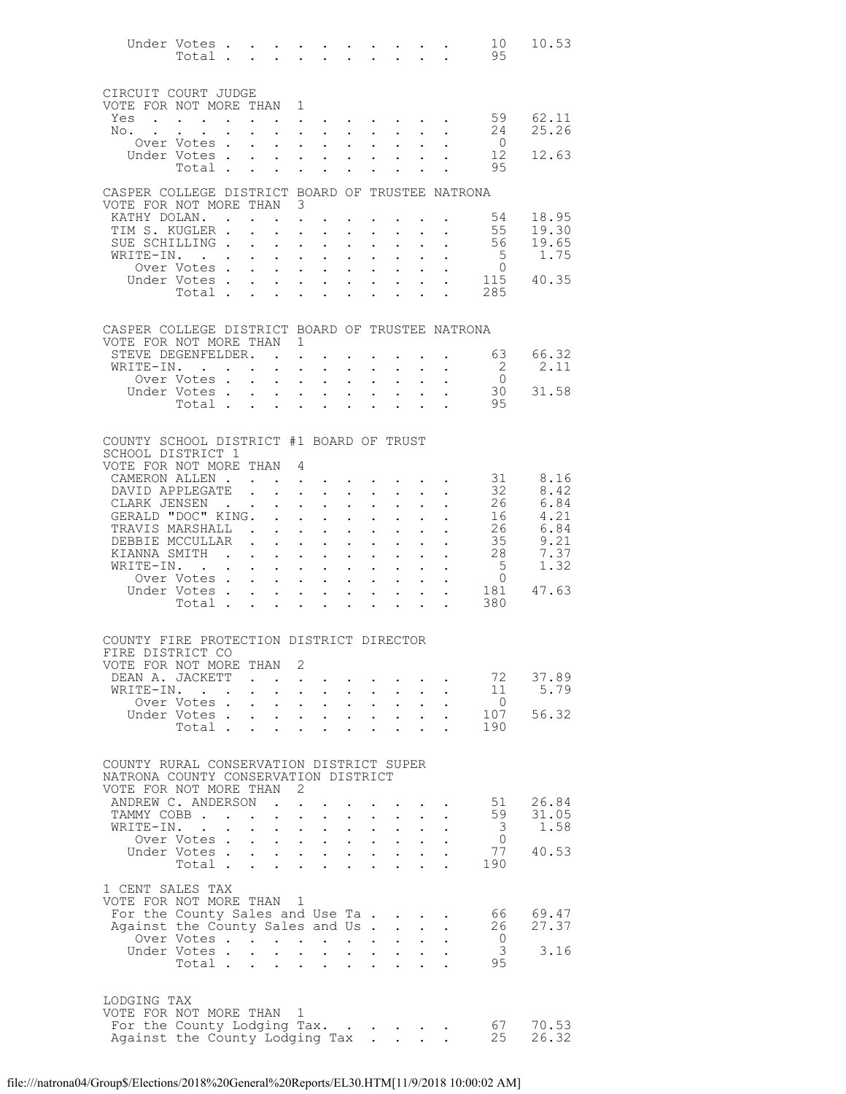|                                                                                  | Under Votes<br>Total          |                      |                                                                  |                                                                                         |                                                                                                                                                                                                              |                                                                                                     | $\mathbf{r}$                      |                                                                                                 |                      | $\mathbf{r}$ , $\mathbf{r}$ , $\mathbf{r}$ | 10<br>95                         | 10.53               |
|----------------------------------------------------------------------------------|-------------------------------|----------------------|------------------------------------------------------------------|-----------------------------------------------------------------------------------------|--------------------------------------------------------------------------------------------------------------------------------------------------------------------------------------------------------------|-----------------------------------------------------------------------------------------------------|-----------------------------------|-------------------------------------------------------------------------------------------------|----------------------|--------------------------------------------|----------------------------------|---------------------|
| CIRCUIT COURT JUDGE                                                              |                               |                      |                                                                  |                                                                                         |                                                                                                                                                                                                              |                                                                                                     |                                   |                                                                                                 |                      |                                            |                                  |                     |
| VOTE FOR NOT MORE THAN 1                                                         |                               |                      |                                                                  |                                                                                         |                                                                                                                                                                                                              |                                                                                                     |                                   |                                                                                                 |                      |                                            |                                  |                     |
| Yes<br>No.                                                                       |                               |                      |                                                                  |                                                                                         | and a series of the series of the series of the series of the series of the series of the series of the series<br>$\mathbf{1}$ $\mathbf{1}$ $\mathbf{1}$ $\mathbf{1}$ $\mathbf{1}$ $\mathbf{1}$ $\mathbf{1}$ | $\sim$                                                                                              |                                   |                                                                                                 |                      | $\mathbf{L}$ and $\mathbf{L}$              | 24                               | 59 62.11<br>25.26   |
|                                                                                  | Over Votes.                   |                      |                                                                  |                                                                                         | $\mathbf{r} = \mathbf{r} \cdot \mathbf{r}$ , where $\mathbf{r} = \mathbf{r} \cdot \mathbf{r}$                                                                                                                | $\sim$                                                                                              | $\mathbf{L}^{\text{max}}$         | $\sim 100$                                                                                      |                      |                                            | $\overline{0}$                   |                     |
|                                                                                  | Under Votes .                 |                      |                                                                  |                                                                                         | <u>.</u>                                                                                                                                                                                                     |                                                                                                     |                                   |                                                                                                 |                      |                                            | 12                               | 12.63               |
|                                                                                  | Total .                       |                      | $\sim$                                                           | $\ddot{\phantom{0}}$                                                                    | $\ddot{\phantom{a}}$                                                                                                                                                                                         |                                                                                                     |                                   |                                                                                                 |                      |                                            | 95                               |                     |
| CASPER COLLEGE DISTRICT BOARD OF TRUSTEE NATRONA                                 |                               |                      |                                                                  |                                                                                         |                                                                                                                                                                                                              |                                                                                                     |                                   |                                                                                                 |                      |                                            |                                  |                     |
| VOTE FOR NOT MORE THAN 3                                                         |                               |                      |                                                                  |                                                                                         |                                                                                                                                                                                                              |                                                                                                     |                                   |                                                                                                 |                      |                                            |                                  |                     |
| KATHY DOLAN<br>TIM S. KUGLER .                                                   |                               |                      |                                                                  | $\bullet$ .<br><br><br><br><br><br><br><br><br><br><br><br><br><br>$\ddot{\phantom{a}}$ |                                                                                                                                                                                                              |                                                                                                     |                                   |                                                                                                 |                      |                                            | 54                               | 18.95<br>55 19.30   |
| SUE SCHILLING.                                                                   |                               |                      | $\ddot{\phantom{0}}$                                             | $\mathbf{L}^{\text{max}}$                                                               | $\bullet$ .                                                                                                                                                                                                  | $\ddot{\phantom{0}}$                                                                                | $\bullet$                         | $\bullet$ .                                                                                     |                      | $\sim$ $-$                                 | 56                               | 19.65               |
| WRITE-IN. .                                                                      |                               |                      | $\sim$ 100 $\pm$                                                 |                                                                                         | $\mathbf{L}$                                                                                                                                                                                                 | $\mathbf{r}$                                                                                        |                                   |                                                                                                 |                      |                                            | $5^{\circ}$                      | 1.75                |
|                                                                                  | Over Votes .<br>Under Votes . |                      | $\mathbf{L} = \mathbf{L}$                                        | $\mathbf{z} = \mathbf{z} + \mathbf{z}$ .                                                | $\ddot{\phantom{0}}$<br>$\mathbf{1}$ $\mathbf{1}$ $\mathbf{1}$ $\mathbf{1}$ $\mathbf{1}$ $\mathbf{1}$ $\mathbf{1}$                                                                                           | $\bullet$ .                                                                                         | $\bullet$<br>$\ddot{\phantom{a}}$ | $\ddot{\phantom{0}}$                                                                            |                      |                                            | $\overline{0}$                   | 115 40.35           |
|                                                                                  | Total .                       | $\ddot{\phantom{a}}$ | $\ddot{\phantom{0}}$                                             | $\ddot{\phantom{0}}$                                                                    | $\sim$                                                                                                                                                                                                       | $\ddot{\phantom{0}}$                                                                                | $\ddot{\phantom{a}}$              | $\ddot{\phantom{0}}$                                                                            |                      | $\ddot{\phantom{0}}$                       | 285                              |                     |
|                                                                                  |                               |                      |                                                                  |                                                                                         |                                                                                                                                                                                                              |                                                                                                     |                                   |                                                                                                 |                      |                                            |                                  |                     |
| CASPER COLLEGE DISTRICT BOARD OF TRUSTEE NATRONA                                 |                               |                      |                                                                  |                                                                                         |                                                                                                                                                                                                              |                                                                                                     |                                   |                                                                                                 |                      |                                            |                                  |                     |
| VOTE FOR NOT MORE THAN 1                                                         |                               |                      |                                                                  |                                                                                         |                                                                                                                                                                                                              |                                                                                                     |                                   |                                                                                                 |                      |                                            |                                  |                     |
| STEVE DEGENFELDER.                                                               |                               |                      |                                                                  |                                                                                         |                                                                                                                                                                                                              |                                                                                                     |                                   |                                                                                                 |                      |                                            | $\cdot$ $\cdot$ $\cdot$ 63       | 66.32<br>2.11       |
| WRITE-IN. .                                                                      | Over Votes.                   | $\ddot{\phantom{0}}$ | $\mathbf{L}$                                                     | $\mathbf{A}^{(1)}$ and $\mathbf{A}^{(2)}$ and<br>$\ddot{\phantom{a}}$                   | $\bullet$ .<br>$\ddot{\phantom{a}}$                                                                                                                                                                          | $\bullet$ .<br><br><br><br><br><br><br><br><br><br><br><br><br><br><br><br><br>$\ddot{\phantom{0}}$ |                                   | $\sim 100$                                                                                      |                      |                                            | $\overline{2}$<br>$\overline{0}$ |                     |
|                                                                                  | Under Votes .                 |                      |                                                                  | $\mathbf{A}^{(1)}$ and $\mathbf{A}^{(2)}$ and $\mathbf{A}^{(3)}$                        | $\mathbf{L}^{\text{max}}$                                                                                                                                                                                    | $\bullet$ .                                                                                         | $\mathbf{A}^{\text{max}}$         | $\bullet$ .<br><br><br><br><br><br><br><br><br><br><br><br>                                     | $\ddot{\phantom{0}}$ |                                            | 30                               | 31.58               |
|                                                                                  | Total .                       |                      | $\mathbf{r} = \mathbf{r}$                                        | $\ddot{\phantom{a}}$                                                                    |                                                                                                                                                                                                              | $\sim$                                                                                              |                                   |                                                                                                 |                      |                                            | 95                               |                     |
|                                                                                  |                               |                      |                                                                  |                                                                                         |                                                                                                                                                                                                              |                                                                                                     |                                   |                                                                                                 |                      |                                            |                                  |                     |
| COUNTY SCHOOL DISTRICT #1 BOARD OF TRUST                                         |                               |                      |                                                                  |                                                                                         |                                                                                                                                                                                                              |                                                                                                     |                                   |                                                                                                 |                      |                                            |                                  |                     |
| SCHOOL DISTRICT 1                                                                |                               |                      |                                                                  |                                                                                         |                                                                                                                                                                                                              |                                                                                                     |                                   |                                                                                                 |                      |                                            |                                  |                     |
| VOTE FOR NOT MORE THAN 4<br>CAMERON ALLEN.                                       |                               |                      |                                                                  |                                                                                         |                                                                                                                                                                                                              |                                                                                                     |                                   |                                                                                                 |                      |                                            |                                  | 31 8.16             |
| DAVID APPLEGATE                                                                  |                               | $\mathbf{L}$         |                                                                  |                                                                                         | <b>Contract Contract</b>                                                                                                                                                                                     | $\mathbf{L}^{\text{max}}$                                                                           | $\sim 10^{-11}$                   | $\sim$ $-$                                                                                      |                      |                                            | 32                               | 8.42                |
| CLARK JENSEN.                                                                    |                               |                      |                                                                  | $\ddot{\phantom{0}}$                                                                    | $\sim$                                                                                                                                                                                                       | $\mathbf{L}$                                                                                        | $\ddot{\phantom{a}}$              |                                                                                                 |                      |                                            | 26                               | 6.84                |
| GERALD "DOC" KING.<br>TRAVIS MARSHALL.                                           |                               |                      |                                                                  | $\mathbf{L}$                                                                            | $\mathbf{1}^{\prime}$ , $\mathbf{1}^{\prime}$ , $\mathbf{1}^{\prime}$ , $\mathbf{1}^{\prime}$ , $\mathbf{1}^{\prime}$                                                                                        | $\ddot{\phantom{0}}$<br>$\mathbf{L}$                                                                | $\ddot{\phantom{a}}$              | $\ddot{\phantom{0}}$                                                                            |                      |                                            | 16                               | 4.21<br>$26$ $6.84$ |
| DEBBIE MCCULLAR                                                                  |                               |                      | $\sim$                                                           | $\mathbf{L} = \mathbf{L}$                                                               | $\sim$ $\sim$<br>$\bullet$ .                                                                                                                                                                                 | $\ddot{\phantom{0}}$                                                                                | $\sim 100$                        | $\ddot{\phantom{0}}$                                                                            |                      | $\bullet$ .                                |                                  | 9.21                |
| KIANNA SMITH .                                                                   |                               |                      | $\mathbf{1}$ $\mathbf{1}$ $\mathbf{1}$ $\mathbf{1}$ $\mathbf{1}$ |                                                                                         | $\sim$                                                                                                                                                                                                       | $\sim$                                                                                              |                                   |                                                                                                 |                      |                                            | $\frac{35}{28}$                  | 7.37                |
| WRITE-IN. .                                                                      |                               |                      |                                                                  |                                                                                         | $\mathbf{A}^{(1)}$ and $\mathbf{A}^{(2)}$ and $\mathbf{A}^{(3)}$ and                                                                                                                                         | $\bullet$ .                                                                                         | $\mathbf{A}^{\text{max}}$         | $\bullet$ .                                                                                     |                      | $\mathbf{L} = \mathbf{L} \mathbf{L}$       | 5 <sup>5</sup><br>$\overline{0}$ | 1.32                |
|                                                                                  | Over Votes.<br>Under Votes .  |                      | $\mathbf{r} = \mathbf{r}$                                        | $\mathbf{r} = \mathbf{r} + \mathbf{r}$ .                                                | $\mathbf{1}$ $\mathbf{1}$ $\mathbf{1}$ $\mathbf{1}$ $\mathbf{1}$ $\mathbf{1}$ $\mathbf{1}$<br>$\bullet$ .<br><br><br><br><br><br><br><br><br><br><br><br>                                                    | $\sim$                                                                                              | $\ddot{\phantom{a}}$<br>$\bullet$ | $\bullet$ .<br><br><br><br><br><br><br><br><br><br><br><br>                                     |                      |                                            | 181                              | 47.63               |
|                                                                                  | Total.                        |                      | $\mathbf{L}$                                                     |                                                                                         |                                                                                                                                                                                                              | $\ddot{\phantom{a}}$                                                                                |                                   | $\ddot{\phantom{a}}$                                                                            |                      |                                            | 380                              |                     |
|                                                                                  |                               |                      |                                                                  |                                                                                         |                                                                                                                                                                                                              |                                                                                                     |                                   |                                                                                                 |                      |                                            |                                  |                     |
| COUNTY FIRE PROTECTION DISTRICT DIRECTOR                                         |                               |                      |                                                                  |                                                                                         |                                                                                                                                                                                                              |                                                                                                     |                                   |                                                                                                 |                      |                                            |                                  |                     |
| FIRE DISTRICT CO                                                                 |                               |                      |                                                                  |                                                                                         |                                                                                                                                                                                                              |                                                                                                     |                                   |                                                                                                 |                      |                                            |                                  |                     |
| VOTE FOR NOT MORE THAN<br>DEAN A. JACKETT                                        |                               |                      |                                                                  | -2                                                                                      |                                                                                                                                                                                                              |                                                                                                     |                                   |                                                                                                 |                      |                                            | 72                               | 37.89               |
| WRITE-IN.                                                                        |                               |                      |                                                                  |                                                                                         |                                                                                                                                                                                                              |                                                                                                     |                                   |                                                                                                 |                      |                                            | 11                               | 5.79                |
|                                                                                  | TE-IN.<br>Over Votes          |                      |                                                                  |                                                                                         |                                                                                                                                                                                                              |                                                                                                     |                                   |                                                                                                 |                      |                                            | $\overline{0}$                   |                     |
|                                                                                  | Under Votes                   |                      |                                                                  |                                                                                         |                                                                                                                                                                                                              |                                                                                                     |                                   | $\mathbf{z} = \mathbf{z} + \mathbf{z}$ , where $\mathbf{z} = \mathbf{z}$                        |                      |                                            | 107                              | 56.32               |
|                                                                                  | Total                         |                      |                                                                  |                                                                                         |                                                                                                                                                                                                              |                                                                                                     |                                   |                                                                                                 |                      |                                            | 190                              |                     |
| COUNTY RURAL CONSERVATION DISTRICT SUPER<br>NATRONA COUNTY CONSERVATION DISTRICT |                               |                      |                                                                  |                                                                                         |                                                                                                                                                                                                              |                                                                                                     |                                   |                                                                                                 |                      |                                            |                                  |                     |
| VOTE FOR NOT MORE THAN 2                                                         |                               |                      |                                                                  |                                                                                         |                                                                                                                                                                                                              |                                                                                                     |                                   |                                                                                                 |                      |                                            |                                  |                     |
| ANDREW C. ANDERSON<br>TAMMY COBB                                                 |                               |                      |                                                                  |                                                                                         | $\mathbf{z} = \left\{ \mathbf{z}_1, \ldots, \mathbf{z}_n \right\}$ .                                                                                                                                         |                                                                                                     |                                   |                                                                                                 |                      |                                            | 51<br>59                         | 26.84<br>31.05      |
| WRITE-IN.                                                                        |                               |                      |                                                                  |                                                                                         | $\mathbf{r}$ , $\mathbf{r}$ , $\mathbf{r}$                                                                                                                                                                   | $\mathbf{L} = \mathbf{L}$                                                                           |                                   | $\mathbf{L}$                                                                                    |                      |                                            | -3                               | 1.58                |
|                                                                                  | Over Votes                    |                      |                                                                  |                                                                                         | $\mathbf{A}^{(1)}$ and $\mathbf{A}^{(2)}$ and $\mathbf{A}^{(3)}$                                                                                                                                             | $\bullet$ .                                                                                         |                                   | $\mathcal{A}^{\mathcal{A}}$ , $\mathcal{A}^{\mathcal{A}}$ , $\mathcal{A}^{\mathcal{A}}$         |                      |                                            | $\overline{0}$                   |                     |
|                                                                                  | Under Votes<br>Total          |                      |                                                                  |                                                                                         | $\sim$                                                                                                                                                                                                       | $\ddot{\phantom{0}}$                                                                                |                                   |                                                                                                 |                      |                                            | 77<br>190                        | 40.53               |
|                                                                                  |                               |                      |                                                                  |                                                                                         |                                                                                                                                                                                                              |                                                                                                     |                                   |                                                                                                 |                      |                                            |                                  |                     |
| 1 CENT SALES TAX                                                                 |                               |                      |                                                                  |                                                                                         |                                                                                                                                                                                                              |                                                                                                     |                                   |                                                                                                 |                      |                                            |                                  |                     |
| VOTE FOR NOT MORE THAN 1<br>For the County Sales and Use Ta                      |                               |                      |                                                                  |                                                                                         |                                                                                                                                                                                                              |                                                                                                     |                                   |                                                                                                 |                      |                                            | 66                               | 69.47               |
| Against the County Sales and Us                                                  |                               |                      |                                                                  |                                                                                         |                                                                                                                                                                                                              |                                                                                                     |                                   |                                                                                                 | $\mathbf{L}$         |                                            | 26                               | 27.37               |
|                                                                                  | Over Votes                    |                      |                                                                  |                                                                                         |                                                                                                                                                                                                              |                                                                                                     |                                   | $\bullet$ . In the case of the case of the $\sim$                                               |                      |                                            | $\circ$                          |                     |
|                                                                                  | Under Votes                   |                      |                                                                  |                                                                                         |                                                                                                                                                                                                              |                                                                                                     |                                   | $\mathbf{r} = \mathbf{r} \times \mathbf{r}$ , where $\mathbf{r} = \mathbf{r} \times \mathbf{r}$ |                      |                                            | $\mathcal{E}$<br>95              | 3.16                |
|                                                                                  | Total                         |                      |                                                                  |                                                                                         |                                                                                                                                                                                                              | $\mathcal{L}^{\text{max}}$                                                                          | $\bullet$                         |                                                                                                 |                      |                                            |                                  |                     |
|                                                                                  |                               |                      |                                                                  |                                                                                         |                                                                                                                                                                                                              |                                                                                                     |                                   |                                                                                                 |                      |                                            |                                  |                     |
| LODGING TAX                                                                      |                               |                      |                                                                  |                                                                                         |                                                                                                                                                                                                              |                                                                                                     |                                   |                                                                                                 |                      |                                            |                                  |                     |
| VOTE FOR NOT MORE THAN 1                                                         |                               |                      |                                                                  |                                                                                         |                                                                                                                                                                                                              |                                                                                                     |                                   |                                                                                                 |                      |                                            | 67                               | 70.53               |
| For the County Lodging Tax.<br>Against the County Lodging Tax                    |                               |                      |                                                                  |                                                                                         |                                                                                                                                                                                                              |                                                                                                     |                                   |                                                                                                 |                      |                                            | 25                               | 26.32               |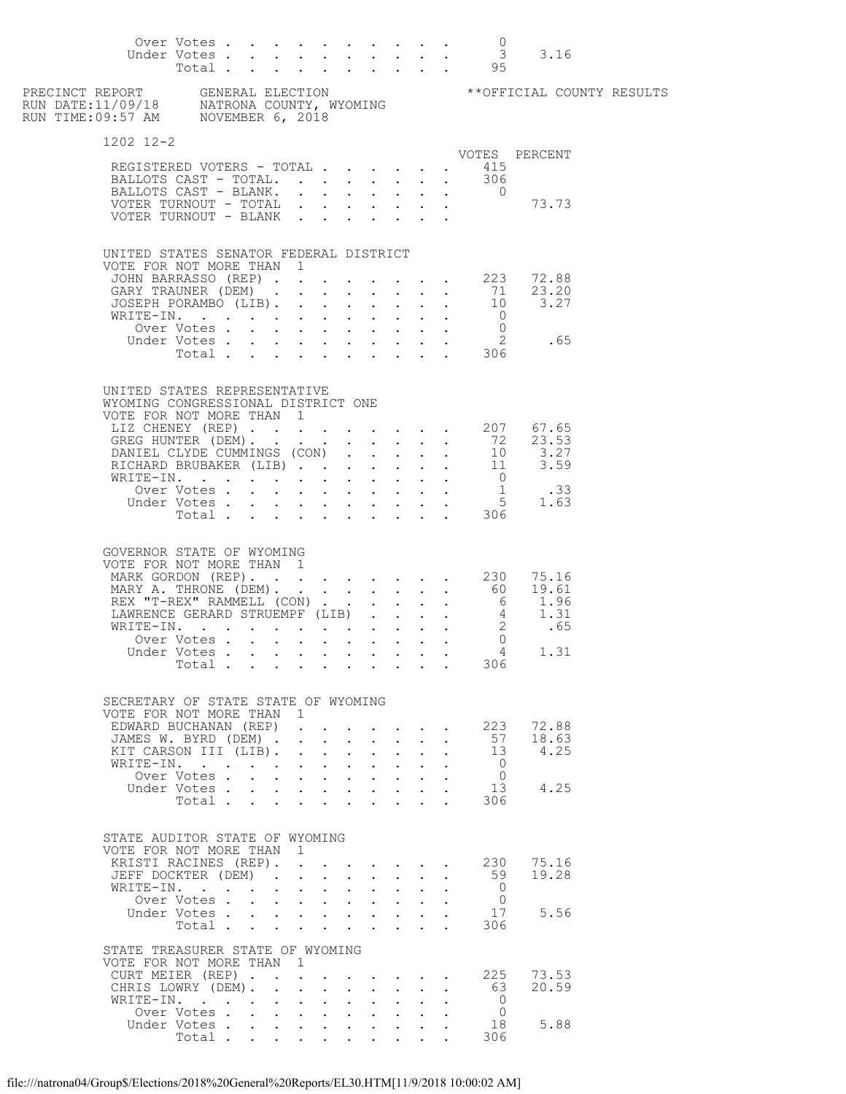|                                                                                                | Over Votes<br>Under Votes                                                                  |  |  |                                                                                                                                                                                                                                         |              |                                      |                                  |                                              | $\overline{0}$<br>Total 95                                                                  | $\frac{0}{3}$ 3.16                                                                                         |  |
|------------------------------------------------------------------------------------------------|--------------------------------------------------------------------------------------------|--|--|-----------------------------------------------------------------------------------------------------------------------------------------------------------------------------------------------------------------------------------------|--------------|--------------------------------------|----------------------------------|----------------------------------------------|---------------------------------------------------------------------------------------------|------------------------------------------------------------------------------------------------------------|--|
|                                                                                                |                                                                                            |  |  |                                                                                                                                                                                                                                         |              |                                      |                                  |                                              |                                                                                             |                                                                                                            |  |
| 1202 12-2                                                                                      |                                                                                            |  |  |                                                                                                                                                                                                                                         |              |                                      |                                  |                                              |                                                                                             |                                                                                                            |  |
| REGISTERED VOTERS - TOTAL 415<br>BALLOTS CAST - TOTAL 306                                      |                                                                                            |  |  |                                                                                                                                                                                                                                         |              |                                      |                                  |                                              |                                                                                             | VOTES PERCENT                                                                                              |  |
| BALLOTS CAST - BLANK.                                                                          |                                                                                            |  |  |                                                                                                                                                                                                                                         |              |                                      |                                  |                                              |                                                                                             |                                                                                                            |  |
| VOTER TURNOUT - TOTAL                                                                          |                                                                                            |  |  |                                                                                                                                                                                                                                         |              |                                      |                                  |                                              |                                                                                             | $\begin{array}{cccc} . & . & . & 0 \\ . & . & . & . & .73.73 \end{array}$                                  |  |
| VOTER TURNOUT - BLANK                                                                          |                                                                                            |  |  |                                                                                                                                                                                                                                         |              |                                      |                                  |                                              |                                                                                             |                                                                                                            |  |
| UNITED STATES SENATOR FEDERAL DISTRICT                                                         |                                                                                            |  |  |                                                                                                                                                                                                                                         |              |                                      |                                  |                                              |                                                                                             |                                                                                                            |  |
| VOTE FOR NOT MORE THAN 1                                                                       |                                                                                            |  |  |                                                                                                                                                                                                                                         |              |                                      |                                  |                                              |                                                                                             | JOHN BARRASSO (REP) 223 72.88                                                                              |  |
|                                                                                                |                                                                                            |  |  |                                                                                                                                                                                                                                         |              |                                      |                                  |                                              |                                                                                             | 23.20<br>GARY TRAUNER (DEM) 71 23.20<br>JOSEPH PORAMBO (LIB) 10 3.27                                       |  |
|                                                                                                |                                                                                            |  |  |                                                                                                                                                                                                                                         |              |                                      |                                  |                                              |                                                                                             |                                                                                                            |  |
| WRITE-IN.                                                                                      | Over Votes                                                                                 |  |  |                                                                                                                                                                                                                                         |              |                                      |                                  |                                              | $\overline{0}$<br>$\mathcal{L}^{\text{max}}$ , $\mathcal{L}^{\text{max}}$<br>$\overline{0}$ |                                                                                                            |  |
|                                                                                                | Under Votes                                                                                |  |  |                                                                                                                                                                                                                                         |              |                                      |                                  |                                              | Votes 2<br>Total 306                                                                        | 2 .65                                                                                                      |  |
|                                                                                                |                                                                                            |  |  |                                                                                                                                                                                                                                         |              |                                      |                                  |                                              |                                                                                             |                                                                                                            |  |
| UNITED STATES REPRESENTATIVE<br>WYOMING CONGRESSIONAL DISTRICT ONE<br>VOTE FOR NOT MORE THAN 1 |                                                                                            |  |  |                                                                                                                                                                                                                                         |              |                                      |                                  |                                              |                                                                                             |                                                                                                            |  |
| LIZ CHENEY (REP) 207 67.65                                                                     |                                                                                            |  |  |                                                                                                                                                                                                                                         |              |                                      |                                  |                                              |                                                                                             |                                                                                                            |  |
|                                                                                                |                                                                                            |  |  |                                                                                                                                                                                                                                         |              |                                      |                                  |                                              |                                                                                             | GREG HUNTER (DEM).<br>DANIEL CLYDE CUMMINGS (CON) 10 3.27<br>RICHARD BRUBAKER (LIB) 11 3.59<br>WRITE-IN. 0 |  |
|                                                                                                |                                                                                            |  |  |                                                                                                                                                                                                                                         |              |                                      |                                  |                                              |                                                                                             |                                                                                                            |  |
|                                                                                                | Over Votes                                                                                 |  |  |                                                                                                                                                                                                                                         |              |                                      |                                  |                                              |                                                                                             |                                                                                                            |  |
|                                                                                                | Under Votes                                                                                |  |  |                                                                                                                                                                                                                                         |              |                                      |                                  |                                              |                                                                                             |                                                                                                            |  |
|                                                                                                |                                                                                            |  |  |                                                                                                                                                                                                                                         |              |                                      |                                  |                                              |                                                                                             | votes 33<br>Votes 5 1.63<br>Total 306                                                                      |  |
| GOVERNOR STATE OF WYOMING<br>VOTE FOR NOT MORE THAN 1                                          |                                                                                            |  |  |                                                                                                                                                                                                                                         |              |                                      |                                  |                                              |                                                                                             |                                                                                                            |  |
| MARK GORDON (REP). 230 75.16                                                                   |                                                                                            |  |  |                                                                                                                                                                                                                                         |              |                                      |                                  |                                              |                                                                                             |                                                                                                            |  |
|                                                                                                |                                                                                            |  |  |                                                                                                                                                                                                                                         |              |                                      |                                  |                                              |                                                                                             |                                                                                                            |  |
|                                                                                                |                                                                                            |  |  |                                                                                                                                                                                                                                         |              |                                      |                                  |                                              |                                                                                             |                                                                                                            |  |
|                                                                                                | Over Votes                                                                                 |  |  |                                                                                                                                                                                                                                         |              |                                      |                                  |                                              | $\overline{0}$                                                                              |                                                                                                            |  |
|                                                                                                | Under Votes                                                                                |  |  |                                                                                                                                                                                                                                         |              |                                      |                                  |                                              | $\cdot$ $\cdot$ $\cdot$ $\cdot$ $\cdot$ $\cdot$ $\cdot$ 4                                   | 1.31                                                                                                       |  |
|                                                                                                | Total $\cdots$                                                                             |  |  |                                                                                                                                                                                                                                         |              |                                      |                                  |                                              | 306                                                                                         |                                                                                                            |  |
| SECRETARY OF STATE STATE OF WYOMING                                                            |                                                                                            |  |  |                                                                                                                                                                                                                                         |              |                                      |                                  |                                              |                                                                                             |                                                                                                            |  |
| VOTE FOR NOT MORE THAN 1<br>EDWARD BUCHANAN (REP) 223                                          |                                                                                            |  |  |                                                                                                                                                                                                                                         |              |                                      |                                  |                                              |                                                                                             | 72.88                                                                                                      |  |
| JAMES W. BYRD (DEM)                                                                            |                                                                                            |  |  |                                                                                                                                                                                                                                         |              |                                      |                                  | $\mathbf{r} = \mathbf{r} \cdot \mathbf{r}$ . | 57                                                                                          | 18.63                                                                                                      |  |
| KIT CARSON III (LIB).                                                                          |                                                                                            |  |  | $\mathbf{1}$ $\mathbf{1}$ $\mathbf{1}$ $\mathbf{1}$ $\mathbf{1}$ $\mathbf{1}$                                                                                                                                                           |              | $\mathbf{L} = \mathbf{L} \mathbf{L}$ | $\mathbf{r}$                     |                                              | $\frac{13}{2}$                                                                              | 4.25                                                                                                       |  |
| WRITE-IN.                                                                                      | Over Votes                                                                                 |  |  | and a strong control of the strong strong                                                                                                                                                                                               |              |                                      | $\sim$                           |                                              | $\overline{0}$<br>$\ddot{\phantom{0}}$<br>$\bigcirc$                                        |                                                                                                            |  |
|                                                                                                | Under Votes                                                                                |  |  |                                                                                                                                                                                                                                         |              |                                      | $\mathbf{A}^{\text{max}}$        |                                              | 13                                                                                          | 4.25                                                                                                       |  |
|                                                                                                | $\begin{tabular}{ccccccccccc} Total & . & . & . & . & . & . & . & . & . & . \end{tabular}$ |  |  |                                                                                                                                                                                                                                         |              |                                      |                                  |                                              | 306                                                                                         |                                                                                                            |  |
| STATE AUDITOR STATE OF WYOMING<br>VOTE FOR NOT MORE THAN 1                                     |                                                                                            |  |  |                                                                                                                                                                                                                                         |              |                                      |                                  |                                              |                                                                                             |                                                                                                            |  |
| KRISTI RACINES (REP).                                                                          |                                                                                            |  |  |                                                                                                                                                                                                                                         |              |                                      |                                  |                                              | 230                                                                                         | 75.16                                                                                                      |  |
| JEFF DOCKTER (DEM).<br>WRITE-IN.                                                               |                                                                                            |  |  | $\mathbf{r}$ , $\mathbf{r}$ , $\mathbf{r}$ , $\mathbf{r}$<br>$\mathbf{r} = \left( \mathbf{r} \right) \left( \mathbf{r} \right) \left( \mathbf{r} \right) \left( \mathbf{r} \right) \left( \mathbf{r} \right) \left( \mathbf{r} \right)$ |              |                                      | $\mathbf{L}$<br>$\sim$ 100 $\pm$ | $\mathbf{L}$                                 | 59<br>$\overline{0}$<br>$\ddot{\phantom{0}}$                                                | 19.28                                                                                                      |  |
|                                                                                                | Over Votes                                                                                 |  |  |                                                                                                                                                                                                                                         |              |                                      |                                  |                                              | $\overline{0}$                                                                              |                                                                                                            |  |
|                                                                                                | Under Votes<br>Total                                                                       |  |  |                                                                                                                                                                                                                                         |              |                                      | $\sim$ $-$                       |                                              | 17<br>306                                                                                   | 5.56                                                                                                       |  |
| STATE TREASURER STATE OF WYOMING                                                               |                                                                                            |  |  |                                                                                                                                                                                                                                         |              |                                      |                                  |                                              |                                                                                             |                                                                                                            |  |
| VOTE FOR NOT MORE THAN 1                                                                       |                                                                                            |  |  |                                                                                                                                                                                                                                         |              |                                      |                                  |                                              |                                                                                             |                                                                                                            |  |
| CURT MEIER (REP). 225                                                                          |                                                                                            |  |  |                                                                                                                                                                                                                                         |              |                                      |                                  |                                              |                                                                                             | 73.53                                                                                                      |  |
| CHRIS LOWRY (DEM). .<br>WRITE-IN.                                                              |                                                                                            |  |  | $\mathbf{r} = \mathbf{r} \times \mathbf{r}$ , where $\mathbf{r} = \mathbf{r} \times \mathbf{r}$                                                                                                                                         | $\mathbf{r}$ | $\mathbf{L}$                         |                                  | $\mathbf{z} = \mathbf{z} + \mathbf{z}$ .     | - 63<br>$\overline{0}$                                                                      | 20.59                                                                                                      |  |
|                                                                                                | Over Votes                                                                                 |  |  |                                                                                                                                                                                                                                         |              |                                      | $\sim$                           |                                              | $\overline{0}$                                                                              |                                                                                                            |  |
|                                                                                                | Under Votes.                                                                               |  |  |                                                                                                                                                                                                                                         |              |                                      |                                  |                                              | 18                                                                                          | 5.88                                                                                                       |  |
|                                                                                                | Total $\cdots$                                                                             |  |  |                                                                                                                                                                                                                                         |              |                                      |                                  |                                              | 306                                                                                         |                                                                                                            |  |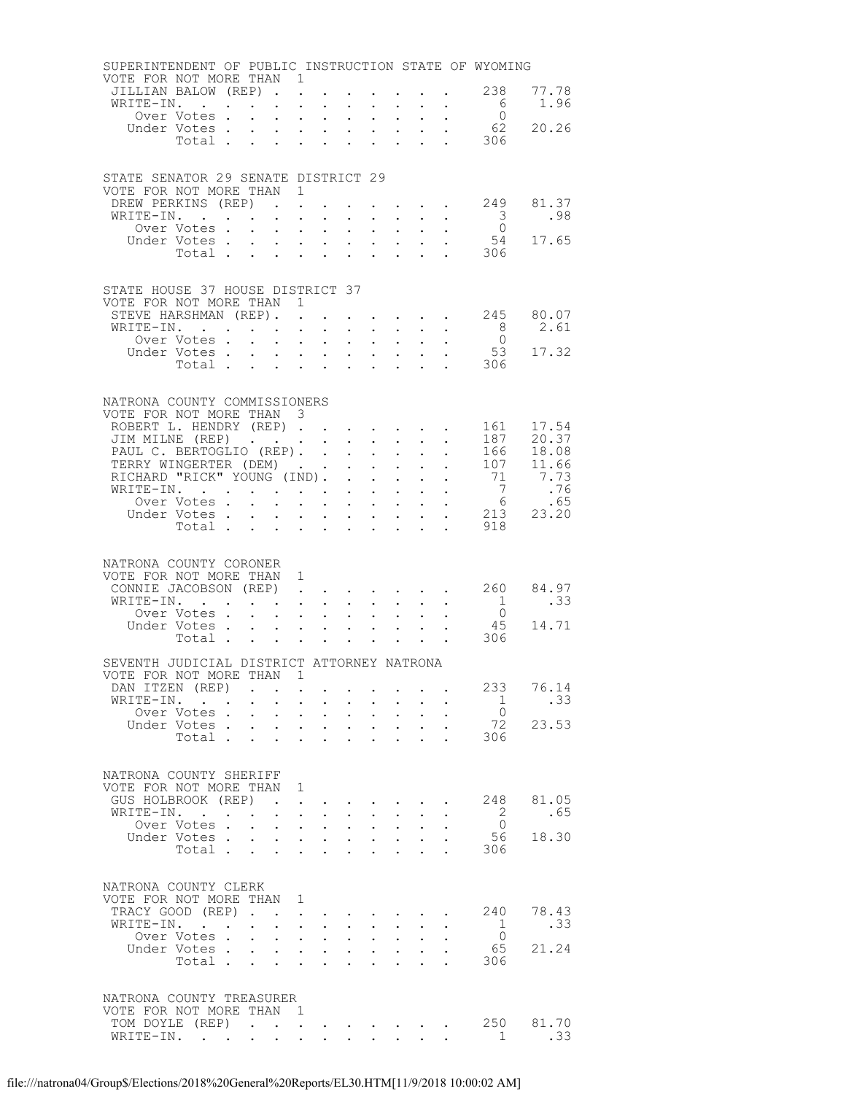| SUPERINTENDENT OF PUBLIC INSTRUCTION STATE OF WYOMING        |                                                                                |                                              |                                                                      |                                                                                           |                                                             |                                                    |                                                                                                                       |                                                                             |                                                           |                         |                                         |
|--------------------------------------------------------------|--------------------------------------------------------------------------------|----------------------------------------------|----------------------------------------------------------------------|-------------------------------------------------------------------------------------------|-------------------------------------------------------------|----------------------------------------------------|-----------------------------------------------------------------------------------------------------------------------|-----------------------------------------------------------------------------|-----------------------------------------------------------|-------------------------|-----------------------------------------|
| VOTE FOR NOT MORE THAN 1                                     | JILLIAN BALOW (REP).                                                           |                                              |                                                                      |                                                                                           |                                                             |                                                    |                                                                                                                       |                                                                             | $\mathbf{L}^{\text{max}}$ and $\mathbf{L}^{\text{max}}$   | 238                     | 77.78                                   |
|                                                              | WRITE-IN.                                                                      |                                              | $\sim 10^{-11}$                                                      | $\bullet$ .<br>$\bullet$                                                                  | $\ddot{\phantom{0}}$<br>$\ddot{\phantom{0}}$                | $\mathbf{a}$ and $\mathbf{a}$                      | $\bullet$ .<br><br><br><br><br><br><br><br><br><br><br><br><br>$\mathbf{L} = \mathbf{L} \mathbf{L}$                   |                                                                             | $\mathbf{L} = \mathbf{L} \mathbf{L}$                      | $6\overline{6}$         | 1.96                                    |
|                                                              | Over Votes .                                                                   |                                              | $\ddot{\phantom{0}}$                                                 | $\mathbf{z} = \mathbf{z}$<br>$\sim$                                                       | $\mathbf{L}^{\text{max}}$                                   | $\bullet$ .                                        | $\sim 10^{-11}$                                                                                                       |                                                                             | $\mathbf{z} = \mathbf{z} + \mathbf{z}$ .                  | $\Omega$                |                                         |
|                                                              | Under Votes.                                                                   | $\mathbf{L}^{\text{max}}$                    | $\mathcal{L}^{\text{max}}$                                           | $\ddot{\phantom{0}}$                                                                      | $\mathcal{L}^{\text{max}}$                                  |                                                    | $\mathbf{L}$ $\mathbf{L}$                                                                                             |                                                                             | $\mathbf{L}^{\text{max}}$                                 | 62                      | 20.26                                   |
|                                                              | Total                                                                          |                                              | $\mathbf{L}$                                                         | $\mathcal{L}^{\text{max}}$ , $\mathcal{L}^{\text{max}}$                                   | $\mathbf{L}^{\text{max}}$                                   |                                                    | $\ddot{\phantom{a}}$                                                                                                  |                                                                             |                                                           | 306                     |                                         |
|                                                              |                                                                                |                                              |                                                                      |                                                                                           |                                                             |                                                    |                                                                                                                       |                                                                             |                                                           |                         |                                         |
| STATE SENATOR 29 SENATE DISTRICT 29                          |                                                                                |                                              |                                                                      |                                                                                           |                                                             |                                                    |                                                                                                                       |                                                                             |                                                           |                         |                                         |
| VOTE FOR NOT MORE THAN 1                                     |                                                                                |                                              |                                                                      |                                                                                           |                                                             |                                                    |                                                                                                                       |                                                                             |                                                           |                         |                                         |
|                                                              | DREW PERKINS (REP)                                                             |                                              |                                                                      |                                                                                           |                                                             |                                                    |                                                                                                                       |                                                                             |                                                           |                         | $\cdot$ 249 81.37                       |
| WRITE-IN.                                                    |                                                                                |                                              | $\mathbf{L}^{\text{max}}$                                            | $\mathbf{A}^{\text{max}}$<br>$\ddot{\phantom{0}}$                                         |                                                             | $\ddot{\phantom{0}}$                               | $\sim$ 100 $\pm$                                                                                                      |                                                                             | $\mathbf{z} = \mathbf{z} + \mathbf{z}$ .                  | $\overline{\mathbf{3}}$ | .98                                     |
|                                                              | Over Votes<br>Under Votes                                                      |                                              |                                                                      | $\mathbf{L} = \mathbf{L} \times \mathbf{L}$                                               | $\mathcal{L}^{\text{max}}$                                  |                                                    | $\mathbf{L}$ $\mathbf{L}$                                                                                             |                                                                             | $\mathbf{L}$ and $\mathbf{L}$                             |                         | $\begin{matrix}0\\54\end{matrix}$ 17.65 |
|                                                              |                                                                                |                                              |                                                                      |                                                                                           |                                                             |                                                    |                                                                                                                       |                                                                             |                                                           | Votes 54<br>Total 306   |                                         |
|                                                              |                                                                                |                                              |                                                                      |                                                                                           |                                                             |                                                    |                                                                                                                       |                                                                             |                                                           |                         |                                         |
|                                                              |                                                                                |                                              |                                                                      |                                                                                           |                                                             |                                                    |                                                                                                                       |                                                                             |                                                           |                         |                                         |
| STATE HOUSE 37 HOUSE DISTRICT 37<br>VOTE FOR NOT MORE THAN 1 |                                                                                |                                              |                                                                      |                                                                                           |                                                             |                                                    |                                                                                                                       |                                                                             |                                                           |                         |                                         |
|                                                              | STEVE HARSHMAN (REP).                                                          |                                              | $\sim$ $\sim$                                                        |                                                                                           |                                                             |                                                    |                                                                                                                       |                                                                             |                                                           |                         | $\cdot$ 245 80.07                       |
| WRITE-IN.                                                    |                                                                                |                                              |                                                                      |                                                                                           |                                                             |                                                    | $\mathbf{1}$ $\mathbf{1}$ $\mathbf{1}$ $\mathbf{1}$ $\mathbf{1}$ $\mathbf{1}$                                         |                                                                             | $\mathbf{L}^{\text{max}}$ , and $\mathbf{L}^{\text{max}}$ | 8 <sup>1</sup>          | 2.61                                    |
|                                                              | Over Votes                                                                     |                                              | $\mathcal{L}^{\text{max}}$                                           | $\mathbf{z} = \mathbf{z} + \mathbf{z}$ .                                                  | $\mathbf{L}^{\text{max}}$                                   | $\mathbf{L}^{\text{max}}$                          | $\sim 100$                                                                                                            | $\sim$                                                                      |                                                           | $\overline{0}$          |                                         |
|                                                              | Under Votes                                                                    |                                              |                                                                      |                                                                                           | $\mathcal{L}^{\text{max}}$                                  |                                                    | $\mathbf{L}$ $\mathbf{L}$                                                                                             |                                                                             | $\mathbf{L}^{\text{max}}$ , $\mathbf{L}^{\text{max}}$     | 53                      | 17.32                                   |
|                                                              | Total                                                                          |                                              | $\ddot{\phantom{0}}$                                                 | $\mathcal{L}^{\text{max}}$ , where $\mathcal{L}^{\text{max}}$                             | $\ddot{\phantom{0}}$                                        | $\ddot{\phantom{0}}$                               | $\sim$                                                                                                                |                                                                             |                                                           | 306                     |                                         |
|                                                              |                                                                                |                                              |                                                                      |                                                                                           |                                                             |                                                    |                                                                                                                       |                                                                             |                                                           |                         |                                         |
| NATRONA COUNTY COMMISSIONERS                                 |                                                                                |                                              |                                                                      |                                                                                           |                                                             |                                                    |                                                                                                                       |                                                                             |                                                           |                         |                                         |
| VOTE FOR NOT MORE THAN 3                                     |                                                                                |                                              |                                                                      |                                                                                           |                                                             |                                                    |                                                                                                                       |                                                                             |                                                           |                         |                                         |
|                                                              | ROBERT L. HENDRY (REP)                                                         |                                              |                                                                      |                                                                                           |                                                             |                                                    |                                                                                                                       |                                                                             |                                                           |                         | 161 17.54                               |
|                                                              | JIM MILNE (REP)                                                                |                                              |                                                                      |                                                                                           | $\sim$                                                      | $\sim$ $-$                                         | $\sim$ $-$                                                                                                            | $\sim$ 100 $\pm$                                                            | $\ddot{\phantom{0}}$<br>$\mathbf{L}^{\text{max}}$         |                         | 187 20.37                               |
|                                                              | PAUL C. BERTOGLIO (REP). .                                                     |                                              |                                                                      |                                                                                           | $\mathbf{L}$<br>$\mathbf{L}^{\text{max}}$                   | $\mathcal{L}^{\text{max}}$<br>$\ddot{\phantom{0}}$ | $\mathbf{L}$<br>$\sim$ $-$                                                                                            | $\mathbf{L}$<br>$\bullet$ .<br><br><br><br><br><br><br><br><br><br><br><br> | $\ddot{\phantom{0}}$                                      |                         | 166 18.08<br>107 11.66                  |
| TERRY WINGERTER (DEM)<br>RICHARD "RICK" YOUNG (IND).         |                                                                                |                                              |                                                                      |                                                                                           | $\mathbf{L}^{\text{max}}$                                   | $\ddot{\phantom{0}}$                               | $\mathbf{L}$                                                                                                          |                                                                             | $\ddot{\phantom{a}}$                                      |                         | 71 7.73                                 |
| WRITE-IN.                                                    |                                                                                |                                              |                                                                      |                                                                                           |                                                             |                                                    | $\mathbf{z} = \mathbf{z} + \mathbf{z}$ .                                                                              | $\sim$ $-$                                                                  | $\bullet$ .                                               | 7                       | .76                                     |
|                                                              | Over Votes                                                                     |                                              |                                                                      |                                                                                           |                                                             |                                                    | $\mathbf{L} = \mathbf{L}$                                                                                             |                                                                             | $\ddot{\phantom{0}}$                                      |                         | $6$ .65<br>213 23.20                    |
|                                                              | Under Votes<br>Votes<br>Total                                                  |                                              |                                                                      |                                                                                           |                                                             |                                                    |                                                                                                                       | $\ddot{\phantom{0}}$                                                        | $\ddot{\phantom{0}}$                                      |                         |                                         |
|                                                              |                                                                                |                                              |                                                                      |                                                                                           |                                                             |                                                    |                                                                                                                       | $\ddot{\phantom{a}}$                                                        | $\sim 10^{10}$ km s $^{-1}$                               | 918                     |                                         |
|                                                              |                                                                                |                                              |                                                                      |                                                                                           |                                                             |                                                    |                                                                                                                       |                                                                             |                                                           |                         |                                         |
|                                                              |                                                                                |                                              |                                                                      |                                                                                           |                                                             |                                                    |                                                                                                                       |                                                                             |                                                           |                         |                                         |
| NATRONA COUNTY CORONER                                       |                                                                                |                                              |                                                                      |                                                                                           |                                                             |                                                    |                                                                                                                       |                                                                             |                                                           |                         |                                         |
| VOTE FOR NOT MORE THAN 1                                     |                                                                                |                                              |                                                                      |                                                                                           |                                                             |                                                    |                                                                                                                       |                                                                             |                                                           |                         |                                         |
|                                                              | CONNIE JACOBSON (REP).                                                         |                                              |                                                                      | $\sim$                                                                                    | $\bullet$ .<br><br><br><br><br><br><br><br><br><br><br><br> | $\sim$ $-$                                         | $\sim$                                                                                                                |                                                                             |                                                           |                         | $\cdot$ $\cdot$ 260 84.97               |
|                                                              | WRITE-IN.                                                                      |                                              |                                                                      |                                                                                           | $\mathbf{L}^{\text{max}}$                                   | $\mathcal{L}^{\text{max}}$                         | $\sim$ $-$                                                                                                            |                                                                             | $\mathbf{L}^{\text{max}}$ , and $\mathbf{L}^{\text{max}}$ | $\overline{1}$          | .33 <sub>1</sub>                        |
|                                                              | Over Votes                                                                     |                                              | $\sim$                                                               | $\Delta \phi = \Delta \phi$ .                                                             | $\bullet$ .                                                 | $\sim$                                             | $\sim$ $-$                                                                                                            |                                                                             |                                                           | $\overline{0}$          | 14.71                                   |
|                                                              | Under Votes<br>Total .                                                         | $\sim 100$ km s $^{-1}$                      | $\bullet$                                                            | $\sim$                                                                                    |                                                             |                                                    | $\mathbf{1}^{\prime}$ , $\mathbf{1}^{\prime}$ , $\mathbf{1}^{\prime}$ , $\mathbf{1}^{\prime}$ , $\mathbf{1}^{\prime}$ |                                                                             | $\mathbf{z} = \mathbf{z}$ .                               | 45<br>306               |                                         |
|                                                              |                                                                                |                                              |                                                                      |                                                                                           |                                                             |                                                    |                                                                                                                       |                                                                             |                                                           |                         |                                         |
| SEVENTH JUDICIAL DISTRICT ATTORNEY NATRONA                   |                                                                                |                                              |                                                                      |                                                                                           |                                                             |                                                    |                                                                                                                       |                                                                             |                                                           |                         |                                         |
| VOTE FOR NOT MORE THAN 1                                     |                                                                                |                                              |                                                                      |                                                                                           |                                                             |                                                    |                                                                                                                       |                                                                             |                                                           |                         |                                         |
|                                                              | DAN ITZEN (REP)                                                                | <b>Contract</b>                              |                                                                      |                                                                                           |                                                             |                                                    |                                                                                                                       |                                                                             |                                                           | 233<br>$\mathbf{1}$     | 76.14                                   |
|                                                              | WRITE-IN.<br>Over Votes.                                                       | $\mathbf{L}^{\text{max}}$                    | $\ddot{\phantom{0}}$<br>$\ddot{\phantom{0}}$                         | $\mathcal{L}^{\text{max}}$<br>$\ddot{\phantom{0}}$<br>$\bullet$ .<br>$\ddot{\phantom{0}}$ | $\ddot{\phantom{0}}$<br>$\ddot{\phantom{0}}$                | $\mathbf{L}^{\text{max}}$                          | $\sim$<br>$\bullet$ .                                                                                                 |                                                                             | $\ddot{\phantom{a}}$                                      | $\overline{0}$          | .33                                     |
|                                                              | Under Votes.                                                                   | $\mathcal{L}^{\text{max}}$                   | $\ddot{\phantom{0}}$<br>$\ddot{\phantom{0}}$                         | $\ddot{\phantom{a}}$                                                                      | $\ddot{\phantom{a}}$                                        | $\ddot{\phantom{0}}$                               | $\ddot{\phantom{a}}$                                                                                                  |                                                                             |                                                           | 72                      | 23.53                                   |
|                                                              | Total .                                                                        | $\mathbf{L}$                                 |                                                                      |                                                                                           |                                                             |                                                    |                                                                                                                       |                                                                             |                                                           | 306                     |                                         |
|                                                              |                                                                                |                                              |                                                                      |                                                                                           |                                                             |                                                    |                                                                                                                       |                                                                             |                                                           |                         |                                         |
| NATRONA COUNTY SHERIFF                                       |                                                                                |                                              |                                                                      |                                                                                           |                                                             |                                                    |                                                                                                                       |                                                                             |                                                           |                         |                                         |
| VOTE FOR NOT MORE THAN                                       |                                                                                |                                              | $\overline{1}$                                                       |                                                                                           |                                                             |                                                    |                                                                                                                       |                                                                             |                                                           |                         |                                         |
|                                                              | GUS HOLBROOK (REP)                                                             | $\sim$                                       |                                                                      | $\bullet$                                                                                 |                                                             | $\sim 100$ km s $^{-1}$                            |                                                                                                                       |                                                                             | $\sim$ $\sim$                                             | 248                     | 81.05                                   |
|                                                              | WRITE-IN.                                                                      | $\Delta \sim 10^4$                           | $\ddot{\phantom{a}}$                                                 | $\mathcal{L}^{\mathcal{L}}$                                                               | $\ddot{\phantom{0}}$                                        | $\ddot{\phantom{0}}$                               | $\ddot{\phantom{0}}$                                                                                                  |                                                                             |                                                           | $\overline{2}$          | .65                                     |
|                                                              | Over Votes.                                                                    | $\ddot{\phantom{a}}$<br>$\ddot{\phantom{a}}$ | $\ddot{\phantom{a}}$                                                 | $\ddot{\phantom{0}}$                                                                      | $\ddot{\phantom{a}}$                                        | $\ddot{\phantom{a}}$                               | $\ddot{\phantom{a}}$                                                                                                  |                                                                             |                                                           | $\bigcirc$              |                                         |
|                                                              | Under Votes.<br>Total .                                                        | $\ddot{\phantom{0}}$<br>$\sim$               | $\ddot{\phantom{0}}$<br>$\ddot{\phantom{a}}$<br>$\ddot{\phantom{a}}$ | $\mathbf{L}^{\text{max}}$ , $\mathbf{L}^{\text{max}}$<br>$\ddot{\phantom{a}}$             | $\ddotsc$<br>$\ddot{\phantom{a}}$                           | $\sim$<br>$\ddot{\phantom{a}}$                     | $\sim$ $-$<br>$\ddot{\phantom{a}}$                                                                                    |                                                                             |                                                           | 56<br>306               | 18.30                                   |
|                                                              |                                                                                |                                              |                                                                      |                                                                                           |                                                             |                                                    |                                                                                                                       |                                                                             |                                                           |                         |                                         |
|                                                              |                                                                                |                                              |                                                                      |                                                                                           |                                                             |                                                    |                                                                                                                       |                                                                             |                                                           |                         |                                         |
| NATRONA COUNTY CLERK                                         |                                                                                |                                              |                                                                      |                                                                                           |                                                             |                                                    |                                                                                                                       |                                                                             |                                                           |                         |                                         |
| VOTE FOR NOT MORE THAN                                       |                                                                                |                                              | 1                                                                    |                                                                                           |                                                             |                                                    |                                                                                                                       |                                                                             |                                                           |                         |                                         |
| WRITE-IN.                                                    | TRACY GOOD (REP).<br>$\mathcal{L}(\mathcal{A})$ and $\mathcal{A}(\mathcal{A})$ | $\ddot{\phantom{0}}$                         | $\ddot{\phantom{a}}$<br>$\ddot{\phantom{a}}$<br>$\ddot{\phantom{0}}$ | $\ddot{\phantom{a}}$                                                                      | $\ddot{\phantom{0}}$                                        | $\mathbf{L}^{\text{max}}$                          | $\ddot{\phantom{a}}$                                                                                                  |                                                                             |                                                           | 240<br>$\overline{1}$   | 78.43<br>.33                            |
|                                                              | Over Votes .                                                                   | $\mathbf{L}$                                 | $\ddot{\phantom{0}}$                                                 | $\ddot{\phantom{0}}$<br>$\ddot{\phantom{0}}$                                              |                                                             |                                                    |                                                                                                                       |                                                                             |                                                           | $\bigcirc$              |                                         |
|                                                              | Under Votes .                                                                  | $\ddot{\phantom{0}}$                         | $\ddot{\phantom{0}}$                                                 | $\mathbf{L}^{\text{max}}$<br>$\ddot{\phantom{a}}$                                         | $\ddot{\phantom{a}}$                                        | $\ddot{\phantom{a}}$                               | $\ddot{\phantom{a}}$                                                                                                  |                                                                             |                                                           | 65                      | 21.24                                   |
|                                                              | Total .                                                                        | $\mathbf{r}$<br>$\ddot{\phantom{a}}$         | $\ddot{\phantom{0}}$                                                 | $\ddot{\phantom{a}}$                                                                      |                                                             |                                                    |                                                                                                                       |                                                                             |                                                           | 306                     |                                         |
|                                                              |                                                                                |                                              |                                                                      |                                                                                           |                                                             |                                                    |                                                                                                                       |                                                                             |                                                           |                         |                                         |
| NATRONA COUNTY TREASURER                                     |                                                                                |                                              |                                                                      |                                                                                           |                                                             |                                                    |                                                                                                                       |                                                                             |                                                           |                         |                                         |
| VOTE FOR NOT MORE THAN 1                                     |                                                                                |                                              |                                                                      |                                                                                           |                                                             |                                                    |                                                                                                                       |                                                                             |                                                           |                         |                                         |
| WRITE-IN.                                                    | TOM DOYLE (REP)                                                                | $\ddot{\phantom{0}}$                         | $\sim$<br>$\ddot{\phantom{0}}$                                       |                                                                                           | $\mathbf{L}$                                                | $\mathbf{r}$                                       | $\mathbf{L}$                                                                                                          |                                                                             | <b>Contract Contract</b>                                  | 250<br>$\mathbf{1}$     | 81.70<br>.33                            |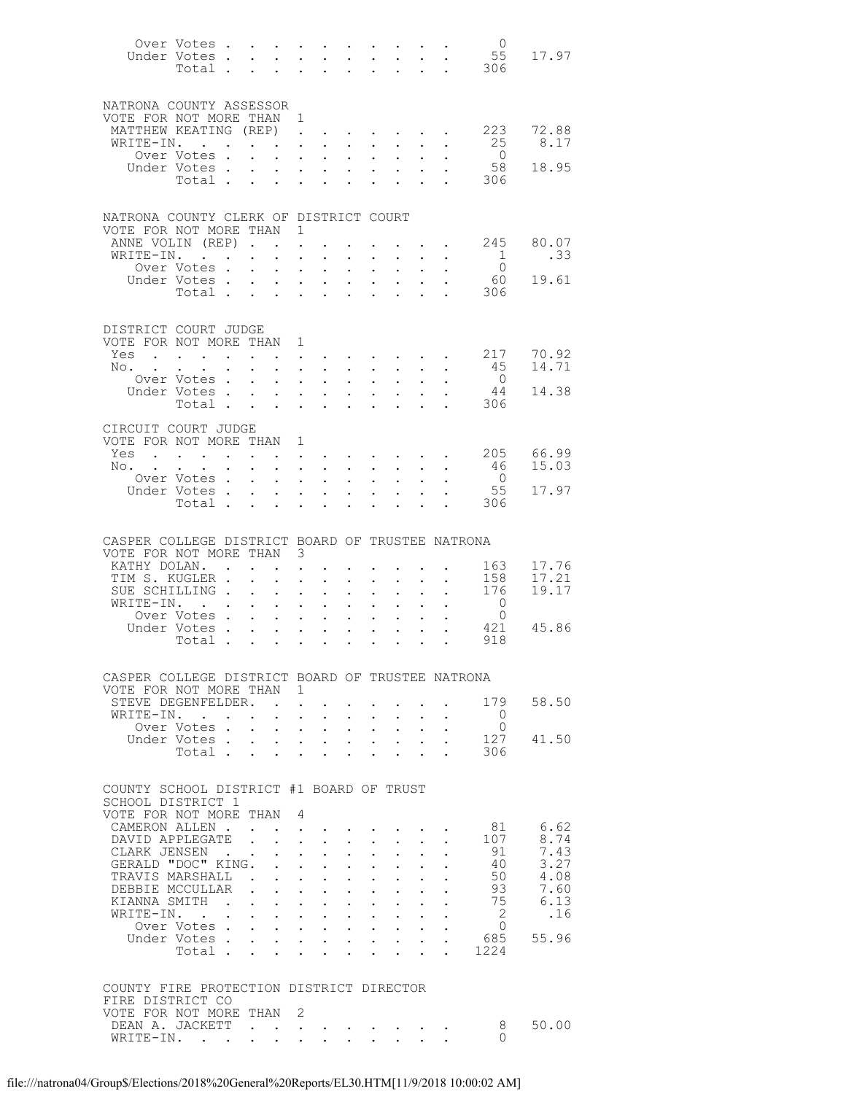|                                                                              | Over Votes<br>Under Votes.<br>Total . | $\ddot{\phantom{a}}$           | $\mathbf{L}$                                 | $\mathbf{L}$                                                | $\mathbf{L}$                                                                                  | $\sim$                                                      | $\ddot{\phantom{0}}$                              | $\sim$ $-$<br>$\ddot{\phantom{a}}$       |              | $\sim 100$ km s $^{-1}$<br>$\mathbf{L}$                                                                                  | $\overline{0}$<br>306            | 55 17.97       |
|------------------------------------------------------------------------------|---------------------------------------|--------------------------------|----------------------------------------------|-------------------------------------------------------------|-----------------------------------------------------------------------------------------------|-------------------------------------------------------------|---------------------------------------------------|------------------------------------------|--------------|--------------------------------------------------------------------------------------------------------------------------|----------------------------------|----------------|
| NATRONA COUNTY ASSESSOR<br>VOTE FOR NOT MORE THAN 1<br>WRITE-IN. .           | MATTHEW KEATING (REP).<br>Over Votes. |                                | $\mathbf{L}$                                 |                                                             | $\cdot$ $\cdot$<br>$\mathbf{L}$ and $\mathbf{L}$                                              | $\sim$<br>$\mathbf{L}$                                      | $\ddot{\phantom{a}}$<br>$\mathbf{L}$              | $\sim$<br>$\sim$                         |              | $\cdot$ $\cdot$<br>$\cdot$ $\cdot$                                                                                       | . 223<br>25<br>$\overline{0}$    | 72.88<br>8.17  |
|                                                                              | Under Votes.<br>Total                 | $\sim$ 100 $\pm$               | $\ddot{\phantom{0}}$                         |                                                             | $\mathbf{L} = \mathbf{L}$                                                                     | $\ddot{\phantom{0}}$<br>$\ddot{\phantom{a}}$                | $\bullet$ .<br>$\mathbf{r}$                       | $\sim$<br>$\sim$                         | $\mathbf{r}$ | $\mathbf{L}^{\text{max}}$ , and $\mathbf{L}^{\text{max}}$<br>$\mathcal{L}^{\text{max}}$ . The $\mathcal{L}^{\text{max}}$ | 58<br>306                        | 18.95          |
| NATRONA COUNTY CLERK OF DISTRICT COURT<br>VOTE FOR NOT MORE THAN 1           |                                       |                                |                                              |                                                             |                                                                                               |                                                             |                                                   |                                          |              |                                                                                                                          |                                  |                |
|                                                                              | ANNE VOLIN (REP).                     |                                |                                              |                                                             |                                                                                               |                                                             |                                                   |                                          |              | $\mathbf{L}$ and $\mathbf{L}$                                                                                            | 245                              | 80.07          |
|                                                                              | WRITE-IN.<br>Over Votes .             | $\mathbf{L}$                   | $\ddot{\phantom{0}}$                         | $\sim$ $-$<br>$\ddot{\phantom{0}}$                          | $\sim$                                                                                        | $\mathbf{L}$<br>$\ddot{\phantom{0}}$                        | $\mathcal{L}^{\text{max}}$<br>$\sim$              | $\mathbf{L}$<br>$\bullet$ .              |              | $\cdot$ $\cdot$                                                                                                          | $\overline{1}$<br>$\overline{0}$ | .33            |
|                                                                              | Under Votes.<br>Total .               | $\sim$ 100 $\pm$<br>$\sim$     | $\mathbf{L}$<br>$\mathbf{L}$                 | $\mathbf{L}$<br>$\ddot{\phantom{a}}$                        | $\ddot{\phantom{a}}$<br>$\sim$                                                                | $\ddot{\phantom{a}}$<br>$\ddot{\phantom{a}}$                | $\ddot{\phantom{0}}$                              | $\ddot{\phantom{a}}$                     |              | $\sim$ $\sim$<br>$\mathbf{L}$                                                                                            | 60<br>306                        | 19.61          |
|                                                                              |                                       |                                |                                              |                                                             |                                                                                               |                                                             |                                                   |                                          |              |                                                                                                                          |                                  |                |
| DISTRICT COURT JUDGE<br>VOTE FOR NOT MORE THAN 1                             |                                       |                                |                                              |                                                             |                                                                                               |                                                             |                                                   |                                          |              |                                                                                                                          |                                  |                |
| Yes                                                                          | . 217                                 |                                |                                              |                                                             |                                                                                               |                                                             |                                                   |                                          |              |                                                                                                                          | 45                               | 70.92<br>14.71 |
| No.                                                                          | Over Votes.                           | $\ddot{\phantom{0}}$<br>$\sim$ | $\ddot{\phantom{0}}$<br>$\mathbf{L}$         | $\ddot{\phantom{a}}$                                        | $\cdot$ $\cdot$ $\cdot$<br>$\ddot{\phantom{a}}$                                               | $\ddot{\phantom{0}}$<br>$\ddot{\phantom{a}}$                | $\mathbf{L}^{\text{max}}$<br>$\ddot{\phantom{0}}$ | $\sim$<br>$\mathbf{L}$                   |              | $\mathbf{L} = \mathbf{L}$<br>$\mathbf{L}$                                                                                | $\overline{0}$                   |                |
|                                                                              | Under Votes                           |                                | $\ddot{\phantom{0}}$                         |                                                             | $\mathbf{z} = \mathbf{z} + \mathbf{z}$ .                                                      | $\ddot{\phantom{0}}$                                        | $\ddot{\phantom{0}}$                              | $\sim$ 100 $\pm$                         |              | $\ddot{\phantom{0}}$                                                                                                     | -44                              | 14.38          |
|                                                                              | Total .                               | $\sim$                         | $\sim$ $\sim$                                | $\mathbf{L}$ $\mathbf{L}$                                   |                                                                                               | $\ddot{\phantom{a}}$                                        | $\ddot{\phantom{a}}$                              | $\ddot{\phantom{a}}$                     |              | <b>Contract Contract Contract</b>                                                                                        | 306                              |                |
| CIRCUIT COURT JUDGE<br>VOTE FOR NOT MORE THAN                                |                                       |                                |                                              | $\mathbf{1}$                                                |                                                                                               |                                                             |                                                   |                                          |              |                                                                                                                          |                                  |                |
| No.                                                                          | Yes 205 66.99                         |                                |                                              |                                                             |                                                                                               |                                                             |                                                   |                                          |              |                                                                                                                          | - 46                             | 15.03          |
|                                                                              | Over Votes.                           | $\ddot{\phantom{0}}$<br>$\sim$ | $\ddot{\phantom{0}}$<br>$\mathbf{L}$         | $\ddot{\phantom{a}}$                                        | $\mathbf{r} = \mathbf{r} \cdot \mathbf{r}$ .<br>$\ddot{\phantom{a}}$                          | $\ddot{\phantom{0}}$<br>$\ddot{\phantom{a}}$                | $\mathbf{L}^{\text{max}}$<br>$\ddot{\phantom{0}}$ | $\sim$ 100 $\pm$<br>$\ddot{\phantom{a}}$ |              | $\mathbf{L} = \mathbf{L}$                                                                                                | $\overline{0}$                   |                |
|                                                                              | Under Votes.<br>Total .               | $\sim$ $-$<br>$\sim$           | $\ddot{\phantom{0}}$                         |                                                             | $\mathbf{L} = \mathbf{L} \mathbf{L}$<br>$\mathbf{L} = \mathbf{L}$                             | $\ddot{\phantom{0}}$                                        |                                                   | $\sim$<br>$\ddot{\phantom{a}}$           |              | <b>Contract Contract</b>                                                                                                 | 55<br>306                        | 17.97          |
|                                                                              |                                       |                                | $\mathbf{L}$                                 |                                                             |                                                                                               | $\ddot{\phantom{a}}$                                        | $\ddot{\phantom{a}}$                              |                                          |              |                                                                                                                          |                                  |                |
| CASPER COLLEGE DISTRICT BOARD OF TRUSTEE NATRONA                             |                                       |                                |                                              |                                                             |                                                                                               |                                                             |                                                   |                                          |              |                                                                                                                          |                                  |                |
| VOTE FOR NOT MORE THAN                                                       | KATHY DOLAN. .                        |                                |                                              | 3<br>$\ddot{\phantom{a}}$                                   |                                                                                               |                                                             |                                                   |                                          |              |                                                                                                                          | 163                              | 17.76          |
|                                                                              | TIM S. KUGLER .                       |                                |                                              | $\ddot{\phantom{a}}$                                        |                                                                                               | $\ddot{\phantom{a}}$                                        | $\ddot{\phantom{0}}$                              | $\ddot{\phantom{a}}$                     |              | $\sim$ $\sim$                                                                                                            | 158                              | 17.21          |
|                                                                              | SUE SCHILLING.<br>WRITE-IN.           | $\ddot{\phantom{a}}$           | $\mathbf{L}$                                 | $\ddot{\phantom{0}}$<br>$\ddot{\phantom{a}}$                | $\ddot{\phantom{0}}$<br>$\ddot{\phantom{a}}$                                                  | $\ddot{\phantom{0}}$<br>$\ddot{\phantom{a}}$                | $\sim$<br>$\ddot{\phantom{a}}$                    | $\bullet$ .<br>$\ddot{\phantom{a}}$      |              | $\ddot{\phantom{a}}$                                                                                                     | 176<br>$\overline{0}$            | 19.17          |
|                                                                              | Over Votes .                          | $\mathbf{L}$                   | $\ddot{\phantom{0}}$                         | $\bullet$ .<br><br><br><br><br><br><br><br><br><br><br><br> | $\ddot{\phantom{0}}$                                                                          | $\ddot{\phantom{0}}$                                        | $\ddot{\phantom{0}}$                              | $\sim$                                   |              |                                                                                                                          | $\overline{0}$                   |                |
|                                                                              | Under Votes.<br>Total .               | $\mathbf{L}$                   | $\mathbf{L}^{(1)}$ .<br>$\ddot{\phantom{0}}$ | $\ddot{\phantom{0}}$<br>$\ddot{\phantom{0}}$                | $\ddot{\phantom{a}}$<br>$\ddot{\phantom{0}}$                                                  | $\ddot{\phantom{a}}$<br>$\ddot{\phantom{0}}$                | $\ddot{\phantom{a}}$                              | $\ddot{\phantom{a}}$                     |              | $\ddot{\phantom{a}}$                                                                                                     | 421<br>918                       | 45.86          |
|                                                                              |                                       |                                |                                              |                                                             |                                                                                               |                                                             |                                                   |                                          |              |                                                                                                                          |                                  |                |
| CASPER COLLEGE DISTRICT BOARD OF TRUSTEE NATRONA<br>VOTE FOR NOT MORE THAN 1 |                                       |                                |                                              |                                                             |                                                                                               |                                                             |                                                   |                                          |              |                                                                                                                          |                                  |                |
| WRITE-IN. .                                                                  | STEVE DEGENFELDER.                    |                                |                                              |                                                             |                                                                                               |                                                             |                                                   |                                          |              |                                                                                                                          | 179<br>$\overline{0}$            | 58.50          |
|                                                                              | Over Votes                            |                                |                                              |                                                             | $\mathbf{L}$ and $\mathbf{L}$<br>$\mathbf{r}$ , $\mathbf{r}$ , $\mathbf{r}$ , $\mathbf{r}$    |                                                             |                                                   |                                          |              |                                                                                                                          | $\overline{0}$                   |                |
|                                                                              | Under Votes<br>Total                  |                                | $\mathbf{L}$                                 |                                                             | <b>All Adams</b><br>$\mathbf{r} = \mathbf{r}$                                                 | $\ddot{\phantom{0}}$<br>$\ddot{\phantom{a}}$                |                                                   | $\mathbf{L}$                             | $\mathbf{A}$ | $\sim$ 100 $\sim$                                                                                                        | 127<br>306                       | 41.50          |
|                                                                              |                                       |                                |                                              |                                                             |                                                                                               |                                                             |                                                   |                                          |              |                                                                                                                          |                                  |                |
| COUNTY SCHOOL DISTRICT #1 BOARD OF TRUST                                     |                                       |                                |                                              |                                                             |                                                                                               |                                                             |                                                   |                                          |              |                                                                                                                          |                                  |                |
| SCHOOL DISTRICT 1<br>VOTE FOR NOT MORE THAN                                  |                                       |                                |                                              | 4                                                           |                                                                                               |                                                             |                                                   |                                          |              |                                                                                                                          |                                  |                |
|                                                                              | CAMERON ALLEN.                        |                                |                                              |                                                             | $\mathbf{L} = \mathbf{L} \mathbf{L} + \mathbf{L} \mathbf{L} + \mathbf{L} \mathbf{L}$          |                                                             |                                                   |                                          |              |                                                                                                                          | 81                               | 6.62           |
|                                                                              | DAVID APPLEGATE<br>CLARK JENSEN .     | $\mathbf{r}$                   | $\mathbf{r}$                                 |                                                             | $\mathbf{L}$ and $\mathbf{L}$<br>$\mathbf{L}$ and $\mathbf{L}$                                | $\bullet$ .<br>$\mathbf{L}$                                 | $\ddot{\phantom{0}}$<br>$\ddot{\phantom{0}}$      | $\sim$<br>$\ddot{\phantom{0}}$           |              |                                                                                                                          | 107<br>91                        | 8.74<br>7.43   |
|                                                                              | GERALD "DOC" KING.                    |                                | $\mathbf{r}$                                 |                                                             | $\mathbf{L} = \mathbf{L} \mathbf{L}$                                                          | $\ddot{\phantom{0}}$                                        |                                                   |                                          |              |                                                                                                                          | 40                               | 3.27           |
|                                                                              | TRAVIS MARSHALL<br>DEBBIE MCCULLAR    | $\mathbf{r}$                   | $\ddot{\phantom{0}}$                         | $\mathbf{L} = \mathbf{L} \mathbf{L}$                        | $\mathbf{r} = \mathbf{r} \cdot \mathbf{r}$ .                                                  | $\ddot{\phantom{0}}$                                        | $\cdot$ $\cdot$<br>$\sim$ $-$                     | $\sim$ $-$                               |              |                                                                                                                          | 50<br>93                         | 4.08<br>7.60   |
|                                                                              | KIANNA SMITH .                        | $\mathbf{L}$                   |                                              |                                                             | $\mathbf{L} = \mathbf{L} \mathbf{L}$                                                          |                                                             | $\cdot$ $\cdot$                                   | $\ddot{\phantom{0}}$                     |              |                                                                                                                          | 75                               | 6.13           |
|                                                                              | WRITE-IN.<br>Over Votes               |                                | $\ddot{\phantom{0}}$                         |                                                             | <b>Service</b> State<br>$\mathbf{r}$ , and $\mathbf{r}$ , and $\mathbf{r}$ , and $\mathbf{r}$ | $\bullet$ .<br><br><br><br><br><br><br><br><br><br><br><br> |                                                   |                                          |              |                                                                                                                          | 2<br>$\circ$                     | .16            |
|                                                                              | Under Votes                           |                                |                                              |                                                             | <b>Service</b> State                                                                          | $\ddot{\phantom{0}}$                                        |                                                   | $\sim 10^{-10}$                          |              |                                                                                                                          | 685                              | 55.96          |
|                                                                              | Total                                 |                                |                                              |                                                             | $\mathbf{r}$ and $\mathbf{r}$ and $\mathbf{r}$ and $\mathbf{r}$                               |                                                             |                                                   |                                          |              | $\mathbf{r}$ , $\mathbf{r}$ , $\mathbf{r}$ , $\mathbf{r}$                                                                | 1224                             |                |
| COUNTY FIRE PROTECTION DISTRICT DIRECTOR<br>FIRE DISTRICT CO                 |                                       |                                |                                              |                                                             |                                                                                               |                                                             |                                                   |                                          |              |                                                                                                                          |                                  |                |
| VOTE FOR NOT MORE THAN                                                       |                                       |                                |                                              | 2                                                           |                                                                                               |                                                             |                                                   |                                          |              |                                                                                                                          |                                  |                |
|                                                                              | DEAN A. JACKETT<br>WRITE-IN.          |                                |                                              |                                                             |                                                                                               |                                                             |                                                   |                                          |              |                                                                                                                          | 8<br>$\Omega$                    | 50.00          |
|                                                                              |                                       |                                |                                              |                                                             |                                                                                               |                                                             |                                                   |                                          |              |                                                                                                                          |                                  |                |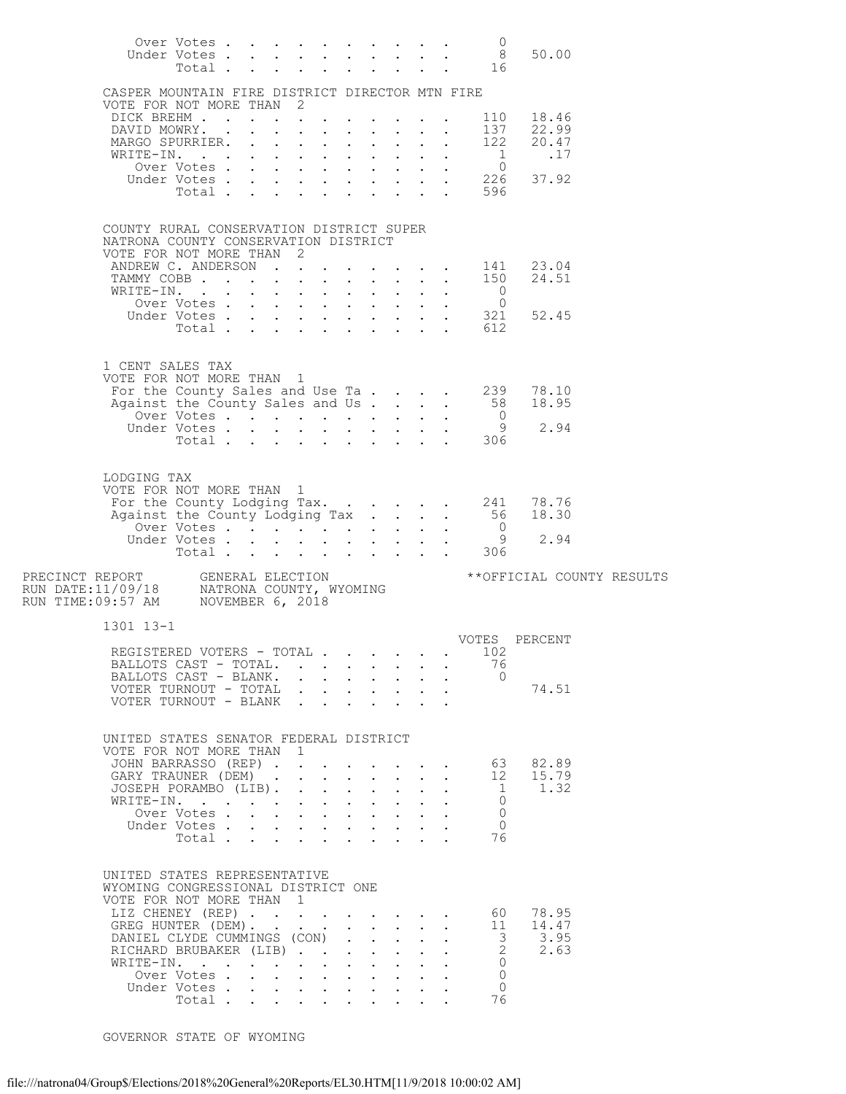|                                                                                                                                                                                                                | Over Votes<br>Under Votes<br>Total  |  |                                                                               |  |                                                                                                     |                      | 0<br>8 <sup>8</sup><br>16                                                                    | 50.00                                                                                                                         |  |
|----------------------------------------------------------------------------------------------------------------------------------------------------------------------------------------------------------------|-------------------------------------|--|-------------------------------------------------------------------------------|--|-----------------------------------------------------------------------------------------------------|----------------------|----------------------------------------------------------------------------------------------|-------------------------------------------------------------------------------------------------------------------------------|--|
| CASPER MOUNTAIN FIRE DISTRICT DIRECTOR MTN FIRE                                                                                                                                                                |                                     |  |                                                                               |  |                                                                                                     |                      |                                                                                              |                                                                                                                               |  |
| VOTE FOR NOT MORE THAN 2<br>DICK BREHM                                                                                                                                                                         |                                     |  |                                                                               |  |                                                                                                     |                      |                                                                                              |                                                                                                                               |  |
| DAVID MOWRY.                                                                                                                                                                                                   |                                     |  | $\mathbf{r}$ , $\mathbf{r}$ , $\mathbf{r}$ , $\mathbf{r}$ , $\mathbf{r}$      |  |                                                                                                     |                      |                                                                                              | 110 18.46<br>137 22.99                                                                                                        |  |
| MARGO SPURRIER.<br>WRITE-IN.                                                                                                                                                                                   |                                     |  |                                                                               |  |                                                                                                     |                      | 1                                                                                            | 122 20.47<br>.17                                                                                                              |  |
|                                                                                                                                                                                                                |                                     |  | $\mathbf{r} = \mathbf{r} + \mathbf{r} + \mathbf{r} + \mathbf{r} + \mathbf{r}$ |  |                                                                                                     |                      |                                                                                              |                                                                                                                               |  |
|                                                                                                                                                                                                                |                                     |  |                                                                               |  |                                                                                                     |                      |                                                                                              | 0<br>0<br>0<br>0<br>0<br>0<br>0<br>0<br>0<br>0<br>0<br>0<br>0<br>0<br>0<br>0<br>0<br>0<br>0<br>0<br>0<br>0<br>0<br>1<br>0<br> |  |
|                                                                                                                                                                                                                |                                     |  |                                                                               |  |                                                                                                     |                      | Total 596                                                                                    |                                                                                                                               |  |
| COUNTY RURAL CONSERVATION DISTRICT SUPER<br>NATRONA COUNTY CONSERVATION DISTRICT<br>VOTE FOR NOT MORE THAN 2                                                                                                   |                                     |  |                                                                               |  |                                                                                                     |                      |                                                                                              |                                                                                                                               |  |
| ANDREW C. ANDERSON 141 23.04<br>TAMMY COBB 150 24.51                                                                                                                                                           |                                     |  |                                                                               |  |                                                                                                     |                      |                                                                                              |                                                                                                                               |  |
| WRITE-IN. 0                                                                                                                                                                                                    |                                     |  |                                                                               |  |                                                                                                     |                      |                                                                                              |                                                                                                                               |  |
|                                                                                                                                                                                                                |                                     |  |                                                                               |  |                                                                                                     |                      |                                                                                              |                                                                                                                               |  |
|                                                                                                                                                                                                                |                                     |  |                                                                               |  |                                                                                                     |                      | TTE-IN. 0<br>Over Votes 321<br>Under Votes 612                                               | 52.45                                                                                                                         |  |
|                                                                                                                                                                                                                |                                     |  |                                                                               |  |                                                                                                     |                      |                                                                                              |                                                                                                                               |  |
| 1 CENT SALES TAX<br>VOTE FOR NOT MORE THAN 1<br>OTE FOR NOT MORE THAN 1<br>For the County Sales and Use Ta 239                                                                                                 |                                     |  |                                                                               |  |                                                                                                     |                      |                                                                                              | 78.10                                                                                                                         |  |
| Against the County Sales and Us                                                                                                                                                                                |                                     |  |                                                                               |  |                                                                                                     |                      | 58                                                                                           | 18.95                                                                                                                         |  |
|                                                                                                                                                                                                                | Over Votes . $\cdot$                |  |                                                                               |  |                                                                                                     |                      | $\overline{0}$<br>- 9                                                                        | 2.94                                                                                                                          |  |
|                                                                                                                                                                                                                |                                     |  |                                                                               |  |                                                                                                     |                      | Under Votes 9<br>Total 306                                                                   |                                                                                                                               |  |
| LODGING TAX<br>VOTE FOR NOT MORE THAN 1<br>For the County Lodging Tax. 241 78.76<br>Against the County Lodging Tax 56                                                                                          |                                     |  |                                                                               |  |                                                                                                     |                      | $\overline{0}$                                                                               | 18.30                                                                                                                         |  |
|                                                                                                                                                                                                                |                                     |  |                                                                               |  |                                                                                                     |                      | - 9<br>306                                                                                   | 2.94                                                                                                                          |  |
| PRECINCT REPORT GENERAL ELECTION<br>- HIM DATE:11/09/18 MATRONA COUNTY, WYOMING<br>RUN TIME:09:57 AM MOVEMBER 6, 2018                                                                                          |                                     |  |                                                                               |  |                                                                                                     |                      |                                                                                              | ** OFFICIAL COUNTY RESULTS                                                                                                    |  |
| 1301 13-1                                                                                                                                                                                                      |                                     |  |                                                                               |  |                                                                                                     |                      |                                                                                              |                                                                                                                               |  |
| REGISTERED VOTERS - TOTAL .                                                                                                                                                                                    |                                     |  |                                                                               |  |                                                                                                     |                      | 102                                                                                          | VOTES PERCENT                                                                                                                 |  |
| BALLOTS CAST - TOTAL.                                                                                                                                                                                          |                                     |  |                                                                               |  |                                                                                                     |                      | 76                                                                                           |                                                                                                                               |  |
| BALLOTS CAST - BLANK.                                                                                                                                                                                          |                                     |  |                                                                               |  | $\mathbf{L} = \mathbf{L}$                                                                           |                      | $\bigcirc$                                                                                   |                                                                                                                               |  |
| VOTER TURNOUT - TOTAL<br>VOTER TURNOUT - BLANK                                                                                                                                                                 |                                     |  |                                                                               |  |                                                                                                     |                      |                                                                                              | 74.51                                                                                                                         |  |
| UNITED STATES SENATOR FEDERAL DISTRICT<br>VOTE FOR NOT MORE THAN 1                                                                                                                                             |                                     |  |                                                                               |  |                                                                                                     |                      |                                                                                              |                                                                                                                               |  |
| JOHN BARRASSO (REP)                                                                                                                                                                                            |                                     |  |                                                                               |  |                                                                                                     |                      | 63                                                                                           | 82.89                                                                                                                         |  |
| GARY TRAUNER (DEM).                                                                                                                                                                                            |                                     |  | $\mathbf{r} = \mathbf{r} + \mathbf{r} + \mathbf{r} + \mathbf{r} + \mathbf{r}$ |  | $\sim$                                                                                              | $\ddot{\phantom{0}}$ | 12                                                                                           | 15.79                                                                                                                         |  |
| JOSEPH PORAMBO (LIB).                                                                                                                                                                                          |                                     |  |                                                                               |  |                                                                                                     | $\sim$               | $\mathbf{1}$<br>$\Omega$                                                                     | 1.32                                                                                                                          |  |
| WRITE-IN.                                                                                                                                                                                                      | Over Votes                          |  |                                                                               |  |                                                                                                     |                      | $\Omega$                                                                                     |                                                                                                                               |  |
|                                                                                                                                                                                                                | Under Votes<br>Total                |  |                                                                               |  | $\mathbf{r} = \mathbf{r} \cdot \mathbf{r}$ .                                                        |                      | $\Omega$<br>76                                                                               |                                                                                                                               |  |
| UNITED STATES REPRESENTATIVE<br>WYOMING CONGRESSIONAL DISTRICT ONE<br>VOTE FOR NOT MORE THAN 1<br>LIZ CHENEY (REP)<br>GREG HUNTER (DEM).<br>DANIEL CLYDE CUMMINGS (CON)<br>RICHARD BRUBAKER (LIB)<br>WRITE-IN. | Over Votes<br>Under Votes<br>Total. |  |                                                                               |  | $\mathbf{L}$<br>$\mathbf{L}$ and $\mathbf{L}$<br>$\ddot{\phantom{0}}$<br>$\mathcal{L}^{\text{max}}$ |                      | 60<br>11<br>$\overline{\mathbf{3}}$<br>$\mathbf{2}$<br>$\Omega$<br>$\circ$<br>$\Omega$<br>76 | 78.95<br>14.47<br>3.95<br>2.63                                                                                                |  |

GOVERNOR STATE OF WYOMING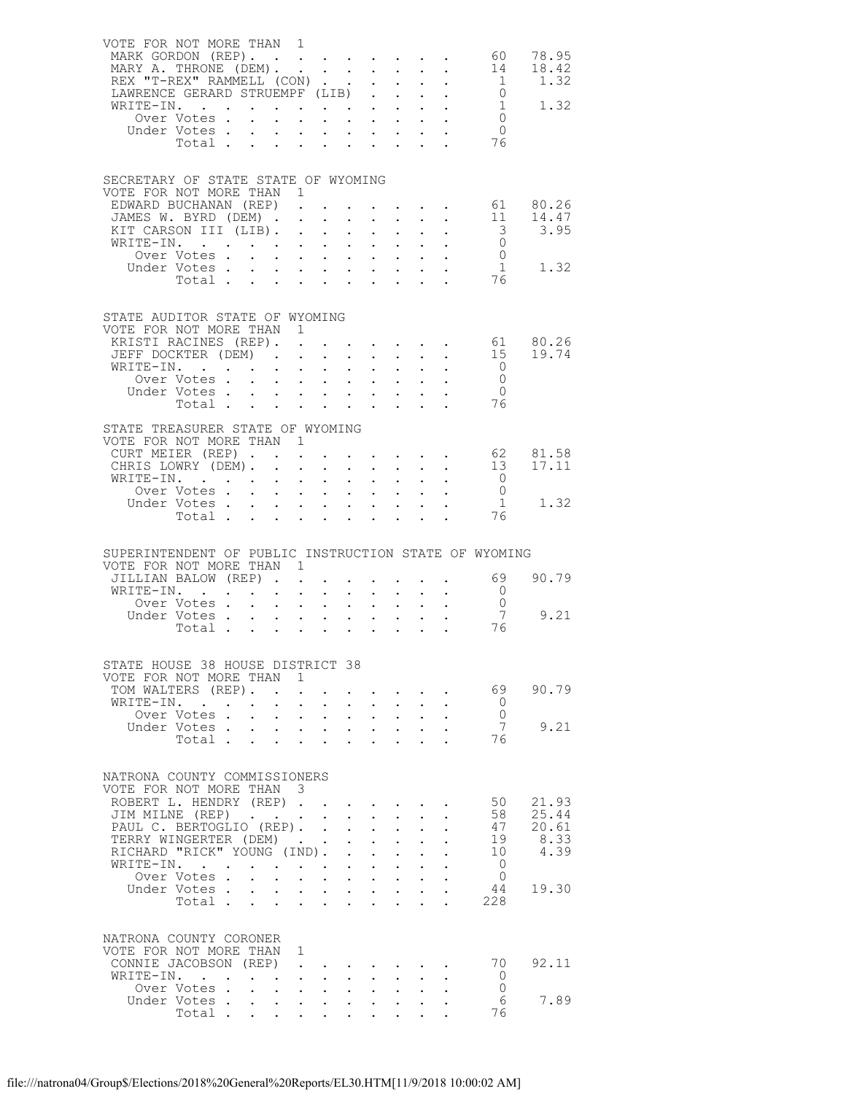| MARK GORDON (REP).<br>MARY A. THRONE (DEM).                                           | VOTE FOR NOT MORE THAN 1                                    |               |                                                                            |                                                           |                                                                    | $\ddot{\phantom{0}}$                                                     | $\sim 10^{-10}$                                                                               | $\ddot{\phantom{0}}$                                                  | $\sim$ $\sim$                                             | 60<br>14                                                        | 78.95<br>18.42    |
|---------------------------------------------------------------------------------------|-------------------------------------------------------------|---------------|----------------------------------------------------------------------------|-----------------------------------------------------------|--------------------------------------------------------------------|--------------------------------------------------------------------------|-----------------------------------------------------------------------------------------------|-----------------------------------------------------------------------|-----------------------------------------------------------|-----------------------------------------------------------------|-------------------|
| REX "T-REX" RAMMELL (CON)                                                             |                                                             |               |                                                                            |                                                           |                                                                    |                                                                          | $\mathbf{L}$<br>$\ddot{\phantom{0}}$                                                          |                                                                       | $\mathcal{L}^{\text{max}}$ , $\mathcal{L}^{\text{max}}$   | $\overline{1}$                                                  | 1.32              |
| LAWRENCE GERARD STRUEMPF (LIB)                                                        |                                                             |               |                                                                            |                                                           |                                                                    |                                                                          | $\mathbf{L}$<br>$\mathcal{L}^{\text{max}}$                                                    | $\mathcal{L}^{\text{max}}$                                            | $\mathbf{L}^{\text{max}}$                                 | $\overline{0}$                                                  |                   |
| WRITE-IN.                                                                             |                                                             |               |                                                                            |                                                           |                                                                    |                                                                          | $\mathbf{L} = \mathbf{L}$                                                                     |                                                                       | $\mathbf{L} = \mathbf{L}$                                 | $\overline{1}$                                                  | 1.32              |
|                                                                                       | Over Votes.                                                 | $\sim$        | $\ddot{\phantom{0}}$                                                       |                                                           | $\mathbf{r}$ and $\mathbf{r}$ and $\mathbf{r}$                     |                                                                          | $\mathbf{L}^{\text{max}}$<br>$\sim 10^{-11}$                                                  |                                                                       | $\mathbf{L}$ and $\mathbf{L}$                             | $\bigcirc$                                                      |                   |
| Under Votes                                                                           | Total .                                                     | $\sim$ $\sim$ |                                                                            |                                                           |                                                                    | $\mathcal{L}^{\text{max}}$                                               |                                                                                               |                                                                       | $\mathbf{L}^{\text{max}}$ , $\mathbf{L}^{\text{max}}$     | $\bigcirc$<br>- 76                                              |                   |
|                                                                                       |                                                             |               |                                                                            |                                                           |                                                                    |                                                                          |                                                                                               |                                                                       |                                                           |                                                                 |                   |
| SECRETARY OF STATE STATE OF WYOMING<br>VOTE FOR NOT MORE THAN 1                       |                                                             |               |                                                                            |                                                           |                                                                    |                                                                          |                                                                                               |                                                                       |                                                           |                                                                 |                   |
| EDWARD BUCHANAN (REP)                                                                 |                                                             |               |                                                                            |                                                           |                                                                    |                                                                          |                                                                                               |                                                                       |                                                           | $\cdot \cdot \cdot \cdot \cdot 61$                              | 80.26             |
| JAMES W. BYRD (DEM).                                                                  |                                                             |               |                                                                            | $\ddot{\phantom{0}}$                                      |                                                                    | $\ddot{\phantom{0}}$                                                     | $\sim$ $\sim$<br>$\ddot{\phantom{0}}$                                                         | $\ddot{\phantom{0}}$                                                  | $\mathbf{L}$                                              | 11                                                              | 14.47             |
| KIT CARSON III (LIB).<br>WRITE-IN.                                                    |                                                             |               |                                                                            |                                                           |                                                                    | $\ddot{\phantom{0}}$                                                     | $\mathcal{L}^{\text{max}}$<br>$\mathcal{L}^{\text{max}}$                                      | $\ddot{\phantom{a}}$                                                  | $\ddot{\phantom{0}}$                                      | $\overline{\mathbf{3}}$                                         | 3.95              |
|                                                                                       | Over Votes                                                  |               |                                                                            | $\mathbf{L}^{\text{max}}$ , and $\mathbf{L}^{\text{max}}$ |                                                                    | $\bullet$ .                                                              | $\mathbf{L}^{\text{max}}$<br>$\sim$ $-$                                                       |                                                                       | $\mathcal{L}^{\text{max}}$ and $\mathcal{L}^{\text{max}}$ | $\begin{matrix} 0 \\ 0 \end{matrix}$                            |                   |
| Under Votes                                                                           |                                                             |               | $\sim$                                                                     |                                                           | $\mathbf{a} = \mathbf{a} + \mathbf{a}$ , $\mathbf{a} = \mathbf{a}$ |                                                                          |                                                                                               |                                                                       |                                                           | 1                                                               | 1.32              |
|                                                                                       | Total                                                       |               |                                                                            |                                                           |                                                                    |                                                                          |                                                                                               |                                                                       |                                                           | $\begin{array}{ccc} . & . & . & . \\ . & . & . & . \end{array}$ |                   |
| STATE AUDITOR STATE OF WYOMING<br>VOTE FOR NOT MORE THAN 1<br>KRISTI RACINES (REP). . |                                                             |               |                                                                            |                                                           |                                                                    |                                                                          | $\mathbf{1}^{\prime}$ , $\mathbf{1}^{\prime}$ , $\mathbf{1}^{\prime}$ , $\mathbf{1}^{\prime}$ |                                                                       |                                                           | $\cdot$ $\cdot$ 61                                              | 80.26             |
| JEFF DOCKTER (DEM)                                                                    |                                                             |               |                                                                            |                                                           |                                                                    |                                                                          |                                                                                               |                                                                       | $\ddot{\phantom{a}}$                                      | 15                                                              | 19.74             |
| WRITE-IN.                                                                             |                                                             | $\sim$ $-$    | $\sim$                                                                     | $\mathbf{L}^{\text{max}}$ , $\mathbf{L}^{\text{max}}$     |                                                                    | $\bullet$ .                                                              | $\sim$<br>$\mathbf{L}^{\text{max}}$                                                           |                                                                       |                                                           | $\bigcirc$                                                      |                   |
|                                                                                       | Over Votes                                                  |               |                                                                            |                                                           |                                                                    |                                                                          | $\sim$<br>$\mathbf{L}$                                                                        |                                                                       |                                                           | $\overline{0}$                                                  |                   |
| Under Votes                                                                           |                                                             |               | $\mathbf{r} = \left\{ \mathbf{r}_1, \ldots, \mathbf{r}_n \right\}$ , where |                                                           |                                                                    |                                                                          | $\mathbf{L}^{\text{max}}$ , and $\mathbf{L}^{\text{max}}$                                     |                                                                       | $\mathcal{L}^{\text{max}}(\mathcal{L}^{\text{max}})$      | $\overline{0}$                                                  |                   |
|                                                                                       | Total                                                       |               |                                                                            |                                                           |                                                                    |                                                                          |                                                                                               |                                                                       |                                                           | 76                                                              |                   |
| STATE TREASURER STATE OF WYOMING<br>VOTE FOR NOT MORE THAN 1                          |                                                             |               |                                                                            |                                                           |                                                                    |                                                                          |                                                                                               |                                                                       |                                                           |                                                                 |                   |
| CURT MEIER (REP)<br>CHRIS LOWRY (DEM).                                                |                                                             |               | $\ddot{\phantom{0}}$                                                       |                                                           |                                                                    |                                                                          |                                                                                               | $\mathbf{r}$ , and $\mathbf{r}$ , and $\mathbf{r}$ , and $\mathbf{r}$ |                                                           | 13                                                              | 62 81.58<br>17.11 |
| WRITE-IN.                                                                             |                                                             |               |                                                                            | $\sim$ $-$                                                | $\ddot{\phantom{a}}$<br>$\sim$                                     | $\ddot{\phantom{0}}$<br>$\mathbf{L}^{\text{max}}$                        | $\sim$ $-$<br>$\mathcal{L}^{\pm}$<br>$\mathcal{L}^{\text{max}}$<br>$\ddot{\phantom{0}}$       | $\ddot{\phantom{a}}$<br>$\mathbf{L}$                                  | $\mathbf{L}^{\text{max}}$<br>$\mathbf{L}^{\text{max}}$    | $\overline{0}$                                                  |                   |
|                                                                                       | Over Votes                                                  |               | $\mathcal{L}^{\text{max}}$                                                 | $\mathbf{L} = \mathbf{L}$                                 |                                                                    | $\bullet$ .                                                              | $\mathcal{L}^{\text{max}}$<br>$\mathbf{L}^{\text{max}}$                                       |                                                                       |                                                           | $\overline{0}$                                                  |                   |
| Under Votes                                                                           |                                                             |               |                                                                            |                                                           |                                                                    |                                                                          | $\sim$ $\sim$<br>$\mathbf{L}$                                                                 |                                                                       | $\mathbf{z}^{\text{max}}$                                 | $\overline{1}$                                                  | 1.32              |
|                                                                                       | Total                                                       |               | $\mathbf{L} = \mathbf{L} \mathbf{L} + \mathbf{L} \mathbf{L}$               |                                                           |                                                                    | $\mathbf{L}$                                                             |                                                                                               |                                                                       |                                                           | 76                                                              |                   |
|                                                                                       |                                                             |               |                                                                            |                                                           |                                                                    |                                                                          |                                                                                               |                                                                       |                                                           |                                                                 |                   |
| VOTE FOR NOT MORE THAN 1<br>JILLIAN BALOW (REP)                                       |                                                             |               |                                                                            |                                                           |                                                                    |                                                                          |                                                                                               |                                                                       |                                                           | SUPERINTENDENT OF PUBLIC INSTRUCTION STATE OF WYOMING<br>69     | 90.79             |
| WRITE-IN.                                                                             |                                                             |               |                                                                            | $\mathbf{L}^{\text{max}}$ , $\mathbf{L}^{\text{max}}$     |                                                                    | $\mathbf{L}^{\text{max}}$                                                | $\mathbb{Z}^{\mathbb{Z}^{\times}}$<br>$\sim 10^{-11}$                                         | $\ddot{\phantom{0}}$                                                  |                                                           | $\overline{0}$                                                  |                   |
|                                                                                       | Over Votes                                                  |               |                                                                            |                                                           | $\mathcal{L}^{\text{max}}$                                         | $\mathcal{L}^{\text{max}}$                                               | $\mathbf{L}^{\text{max}}$                                                                     | $\mathbf{L}^{\text{max}}$                                             | $\mathbb{Z}^{n-1}$                                        | $\overline{0}$<br>7                                             | 9.21              |
| Under Votes                                                                           | Total.                                                      |               |                                                                            | $\mathcal{L}^{\text{max}}$                                |                                                                    | $\ddot{\phantom{0}}$                                                     | $\mathbf{r} = \mathbf{r} \mathbf{r}$ .<br>$\mathbf{r}$<br>$\mathbf{L}$                        |                                                                       |                                                           | 76                                                              |                   |
| STATE HOUSE 38 HOUSE DISTRICT 38<br>VOTE FOR NOT MORE THAN                            |                                                             |               |                                                                            | 1                                                         |                                                                    |                                                                          |                                                                                               |                                                                       |                                                           |                                                                 |                   |
| TOM WALTERS (REP).                                                                    |                                                             |               | $\mathbf{r}$                                                               | $\ddot{\phantom{a}}$                                      |                                                                    |                                                                          |                                                                                               |                                                                       |                                                           | 69                                                              | 90.79             |
| WRITE-IN.                                                                             | $\mathcal{L}^{\text{max}}$ , and $\mathcal{L}^{\text{max}}$ |               | $\ddotsc$                                                                  | $\ddot{\phantom{0}}$                                      | $\ddot{\phantom{0}}$                                               | $\ddot{\phantom{0}}$                                                     | $\ddot{\phantom{0}}$<br>$\mathcal{L}^{\text{max}}$                                            |                                                                       |                                                           | - 0                                                             |                   |
|                                                                                       | Over Votes                                                  |               | $\mathcal{L}^{\text{max}}$                                                 | $\mathbf{L} = \mathbf{L} \mathbf{L}$                      |                                                                    | $\mathbf{L}^{\text{max}}$                                                | $\mathbf{L}^{\text{max}}$                                                                     |                                                                       |                                                           | $\overline{0}$                                                  |                   |
| Under Votes                                                                           | Total .                                                     | $\mathbf{L}$  | $\ddot{\phantom{0}}$                                                       | $\mathcal{L}^{\text{max}}$ , $\mathcal{L}^{\text{max}}$   | $\ddot{\phantom{a}}$                                               | $\mathcal{L}^{\text{max}}$                                               | $\mathcal{L}^{\text{max}}$<br>$\ddot{\phantom{a}}$                                            |                                                                       |                                                           | - 7<br>76                                                       | 9.21              |
| NATRONA COUNTY COMMISSIONERS                                                          |                                                             |               |                                                                            |                                                           |                                                                    |                                                                          |                                                                                               |                                                                       |                                                           |                                                                 |                   |
| VOTE FOR NOT MORE THAN 3                                                              |                                                             |               |                                                                            |                                                           |                                                                    |                                                                          |                                                                                               |                                                                       |                                                           |                                                                 |                   |
| ROBERT L. HENDRY (REP).                                                               |                                                             |               |                                                                            |                                                           |                                                                    | <b>Contract Contract</b>                                                 |                                                                                               |                                                                       |                                                           | 50                                                              | 21.93             |
| JIM MILNE (REP)                                                                       |                                                             |               |                                                                            |                                                           |                                                                    | $\mathbf{L}^{\text{max}}$<br>$\mathcal{L}^{\mathcal{L}}$<br>$\mathbf{L}$ | $\mathbf{L}$<br>$\ddot{\phantom{a}}$                                                          | $\ddot{\phantom{a}}$                                                  |                                                           | 58<br>47                                                        | 25.44<br>20.61    |
| PAUL C. BERTOGLIO (REP). .<br>TERRY WINGERTER (DEM)                                   |                                                             |               |                                                                            |                                                           |                                                                    | $\ddot{\phantom{0}}$                                                     | $\ddot{\phantom{0}}$<br>$\ddot{\phantom{0}}$                                                  |                                                                       |                                                           | 19                                                              | 8.33              |
| RICHARD "RICK" YOUNG (IND).                                                           |                                                             |               |                                                                            |                                                           | $\ddot{\phantom{a}}$                                               | $\ddot{\phantom{a}}$                                                     | $\ddot{\phantom{a}}$                                                                          |                                                                       |                                                           | 10                                                              | 4.39              |
| WRITE-IN.                                                                             |                                                             |               |                                                                            |                                                           |                                                                    | $\ddot{\phantom{0}}$                                                     | $\ddot{\phantom{0}}$                                                                          |                                                                       |                                                           | $\overline{0}$                                                  |                   |
|                                                                                       | Over Votes .                                                |               | $\ddot{\phantom{0}}$                                                       |                                                           | $\mathbf{L}^{\text{max}}$ , and $\mathbf{L}^{\text{max}}$          | $\sim$                                                                   | $\mathcal{L}^{\text{max}}$                                                                    | $\ddot{\phantom{a}}$                                                  |                                                           | $\overline{0}$                                                  |                   |
| Under Votes                                                                           |                                                             |               |                                                                            | $\mathbf{L}^{\text{max}}$ , and $\mathbf{L}^{\text{max}}$ |                                                                    | $\mathbf{L}^{\text{max}}$                                                | $\mathcal{L}^{\text{max}}$<br>$\mathbf{L}^{\text{max}}$                                       |                                                                       |                                                           | 44                                                              | 19.30             |
|                                                                                       | Total                                                       |               |                                                                            | $\mathbf{L}$                                              | $\mathbf{L}$ and $\mathbf{L}$                                      | $\ddot{\phantom{a}}$                                                     | $\ddot{\phantom{a}}$                                                                          |                                                                       |                                                           | 228                                                             |                   |
|                                                                                       |                                                             |               |                                                                            |                                                           |                                                                    |                                                                          |                                                                                               |                                                                       |                                                           |                                                                 |                   |
| NATRONA COUNTY CORONER                                                                |                                                             |               |                                                                            |                                                           |                                                                    |                                                                          |                                                                                               |                                                                       |                                                           |                                                                 |                   |
| VOTE FOR NOT MORE THAN                                                                |                                                             |               |                                                                            | $\mathbf{1}$                                              |                                                                    |                                                                          |                                                                                               |                                                                       |                                                           |                                                                 |                   |
| CONNIE JACOBSON (REP)<br>WRITE-IN.                                                    |                                                             |               |                                                                            | $\mathbf{L}$                                              | $\ddot{\phantom{0}}$                                               |                                                                          |                                                                                               |                                                                       |                                                           | 70<br>$\overline{0}$                                            | 92.11             |
|                                                                                       | $\sim$ $\sim$ $\sim$ $\sim$<br>Over Votes .                 |               | $\sim 100$ km s $^{-1}$<br>$\sim$                                          | $\mathbf{L}^{\text{max}}$<br>$\mathbf{A}^{\text{max}}$    | $\sim$                                                             | $\ddot{\phantom{0}}$<br>$\mathbf{L}^{\text{max}}$                        | $\bullet$ .                                                                                   |                                                                       |                                                           | $\overline{0}$                                                  |                   |
| Under Votes                                                                           | Total .                                                     |               | $\mathbf{L}$                                                               | $\mathcal{L}^{\text{max}}$                                | $\mathbf{L}^{\text{max}}$<br>$\ddot{\phantom{0}}$                  |                                                                          |                                                                                               |                                                                       |                                                           | - 6<br>76                                                       | 7.89              |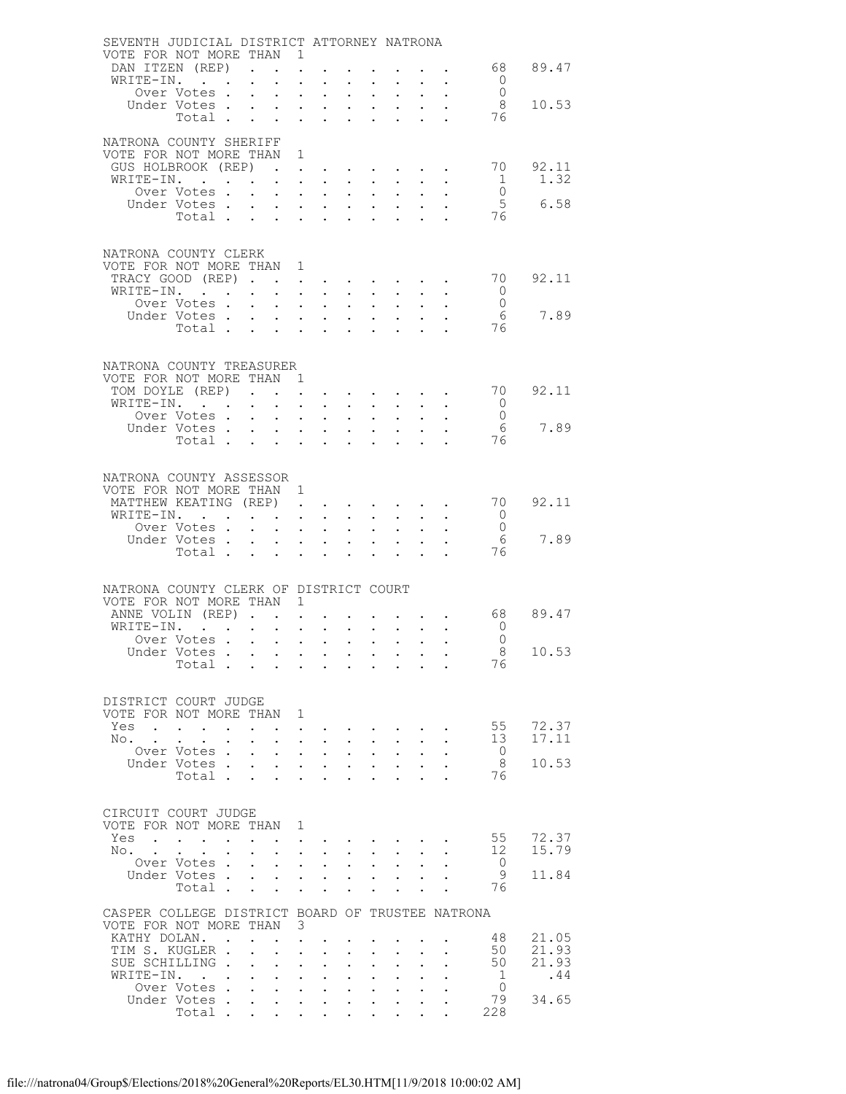| SEVENTH JUDICIAL DISTRICT ATTORNEY NATRONA         |                          |        |                           |                                                             |                                              |                                                                                                                                                          |                                                             |                                                             |                                                                             |                             |           |                                  |                |
|----------------------------------------------------|--------------------------|--------|---------------------------|-------------------------------------------------------------|----------------------------------------------|----------------------------------------------------------------------------------------------------------------------------------------------------------|-------------------------------------------------------------|-------------------------------------------------------------|-----------------------------------------------------------------------------|-----------------------------|-----------|----------------------------------|----------------|
| VOTE FOR NOT MORE THAN 1<br>DAN ITZEN (REP)        |                          |        | $\ddot{\phantom{a}}$      |                                                             |                                              |                                                                                                                                                          |                                                             |                                                             |                                                                             |                             |           |                                  | 68 89.47       |
| WRITE-IN.                                          |                          |        |                           |                                                             |                                              |                                                                                                                                                          |                                                             |                                                             |                                                                             |                             |           | $\circ$                          |                |
|                                                    | Over Votes .             |        |                           | $\bullet$ .<br><br><br><br><br><br><br><br><br><br><br><br> | $\mathbf{L}^{\text{max}}$                    | $\bullet$ .                                                                                                                                              | $\ddot{\phantom{0}}$                                        | $\bullet$ .                                                 |                                                                             |                             |           | $\overline{0}$                   |                |
|                                                    | Under Votes.             |        |                           | $\ddotsc$                                                   |                                              | $\ddotsc$ $\ddotsc$                                                                                                                                      | $\mathbf{L}$                                                | $\ddot{\phantom{a}}$                                        |                                                                             |                             |           | - 8                              | 10.53          |
|                                                    | Total                    |        |                           | $\sim 100$                                                  |                                              | $\mathbf{L}$ and $\mathbf{L}$                                                                                                                            | $\ddot{\phantom{0}}$                                        | $\ddot{\phantom{0}}$                                        |                                                                             |                             |           | 76                               |                |
|                                                    |                          |        |                           |                                                             |                                              |                                                                                                                                                          |                                                             |                                                             |                                                                             |                             |           |                                  |                |
| NATRONA COUNTY SHERIFF<br>VOTE FOR NOT MORE THAN 1 |                          |        |                           |                                                             |                                              |                                                                                                                                                          |                                                             |                                                             |                                                                             |                             |           |                                  |                |
| GUS HOLBROOK (REP)                                 |                          |        |                           |                                                             |                                              |                                                                                                                                                          |                                                             |                                                             |                                                                             |                             |           | 70 —                             | 92.11          |
| WRITE-IN.                                          |                          |        |                           |                                                             |                                              | $1 - 1 - 1 = 1$                                                                                                                                          | $\ddot{\phantom{0}}$                                        |                                                             |                                                                             |                             |           | $\overline{1}$                   | 1.32           |
|                                                    | Over Votes .             |        | $\mathbf{L}$              |                                                             |                                              | $\mathbf{z} = \mathbf{z} + \mathbf{z}$ , where $\mathbf{z} = \mathbf{z}$                                                                                 | $\bullet$ .                                                 | $\bullet$                                                   |                                                                             |                             |           | $\overline{0}$                   |                |
|                                                    | Under Votes.             |        |                           | $\cdot$ $\cdot$ $\cdot$                                     |                                              | $\mathbf{1}$ $\mathbf{1}$ $\mathbf{1}$ $\mathbf{1}$ $\mathbf{1}$ $\mathbf{1}$ $\mathbf{1}$                                                               |                                                             | $\ddot{\phantom{a}}$                                        |                                                                             |                             |           | $5\phantom{.0}$                  | 6.58           |
|                                                    | Total                    |        |                           |                                                             | $\mathbf{L}$                                 | $\ddot{\phantom{0}}$                                                                                                                                     | $\ddot{\phantom{a}}$                                        | $\ddot{\phantom{0}}$                                        |                                                                             |                             |           | 76                               |                |
|                                                    |                          |        |                           |                                                             |                                              |                                                                                                                                                          |                                                             |                                                             |                                                                             |                             |           |                                  |                |
| NATRONA COUNTY CLERK                               |                          |        |                           |                                                             |                                              |                                                                                                                                                          |                                                             |                                                             |                                                                             |                             |           |                                  |                |
| VOTE FOR NOT MORE THAN 1                           |                          |        |                           |                                                             |                                              |                                                                                                                                                          |                                                             |                                                             |                                                                             |                             |           |                                  |                |
| TRACY GOOD (REP)                                   |                          |        |                           |                                                             |                                              |                                                                                                                                                          |                                                             |                                                             | <b>All Contracts</b>                                                        |                             |           | 70                               | 92.11          |
| WRITE-IN.                                          |                          |        | $\bullet$ .               |                                                             |                                              | $\mathbf{A}^{(i)}$ and $\mathbf{A}^{(i)}$ and $\mathbf{A}^{(i)}$ and<br>$\mathbf{r}$ , $\mathbf{r}$ , $\mathbf{r}$ , $\mathbf{r}$                        | $\sim 10^{-11}$                                             | $\sim 10^{-11}$                                             |                                                                             |                             |           | $\overline{0}$<br>$\overline{0}$ |                |
|                                                    | Over Votes               |        |                           |                                                             |                                              |                                                                                                                                                          |                                                             | $\ddot{\phantom{a}}$                                        | $\mathcal{L}^{\text{max}}$                                                  |                             |           | 6                                | 7.89           |
|                                                    | Under Votes<br>Total     |        |                           |                                                             |                                              |                                                                                                                                                          |                                                             |                                                             |                                                                             |                             |           | 76                               |                |
|                                                    |                          |        |                           |                                                             |                                              |                                                                                                                                                          |                                                             |                                                             |                                                                             |                             |           |                                  |                |
|                                                    |                          |        |                           |                                                             |                                              |                                                                                                                                                          |                                                             |                                                             |                                                                             |                             |           |                                  |                |
| NATRONA COUNTY TREASURER                           |                          |        |                           |                                                             |                                              |                                                                                                                                                          |                                                             |                                                             |                                                                             |                             |           |                                  |                |
| VOTE FOR NOT MORE THAN 1<br>TOM DOYLE (REP)        |                          |        |                           |                                                             |                                              |                                                                                                                                                          |                                                             |                                                             |                                                                             |                             |           | 70                               | 92.11          |
| WRITE-IN.                                          |                          |        |                           | $\sim$ 100 $\pm$                                            |                                              | $\mathbf{L} = \mathbf{L}$                                                                                                                                | $\ddot{\phantom{0}}$                                        |                                                             |                                                                             |                             |           | $\overline{0}$                   |                |
|                                                    | Over Votes .             |        | $\ddot{\phantom{0}}$      |                                                             |                                              | $\mathbf{z} = \mathbf{z} + \mathbf{z}$ , where $\mathbf{z} = \mathbf{z}$                                                                                 | $\bullet$ .                                                 | $\bullet$                                                   |                                                                             |                             |           | $\overline{0}$                   |                |
|                                                    | Under Votes .            |        |                           | $\ddot{\phantom{a}}$                                        |                                              | $\mathbf{1}$ $\mathbf{1}$ $\mathbf{1}$ $\mathbf{1}$ $\mathbf{1}$ $\mathbf{1}$ $\mathbf{1}$                                                               |                                                             | $\ddot{\phantom{a}}$                                        |                                                                             |                             |           | 6                                | 7.89           |
|                                                    | Total                    |        |                           |                                                             |                                              | $\mathbf{r} = \mathbf{r}$                                                                                                                                | $\ddot{\phantom{0}}$                                        | $\ddot{\phantom{a}}$                                        |                                                                             |                             |           | 76                               |                |
|                                                    |                          |        |                           |                                                             |                                              |                                                                                                                                                          |                                                             |                                                             |                                                                             |                             |           |                                  |                |
| NATRONA COUNTY ASSESSOR                            |                          |        |                           |                                                             |                                              |                                                                                                                                                          |                                                             |                                                             |                                                                             |                             |           |                                  |                |
| VOTE FOR NOT MORE THAN 1                           |                          |        |                           |                                                             |                                              |                                                                                                                                                          |                                                             |                                                             |                                                                             |                             |           |                                  |                |
| MATTHEW KEATING (REP)                              |                          |        |                           |                                                             |                                              |                                                                                                                                                          |                                                             |                                                             |                                                                             |                             |           | 70                               | 92.11          |
| WRITE-IN.                                          |                          |        |                           |                                                             |                                              |                                                                                                                                                          | $\bullet$ .                                                 | $\sim 10^{-11}$                                             |                                                                             |                             |           | $\overline{0}$                   |                |
|                                                    | Over Votes .             |        |                           |                                                             |                                              | $\mathbf{r}$ , $\mathbf{r}$ , $\mathbf{r}$                                                                                                               | $\mathbf{L}$                                                |                                                             |                                                                             |                             |           | $\overline{0}$                   |                |
|                                                    | Under Votes<br>Total     |        |                           |                                                             |                                              |                                                                                                                                                          | $\ddot{\phantom{0}}$                                        | $\ddot{\phantom{0}}$                                        |                                                                             |                             |           | - 6<br>76                        | 7.89           |
|                                                    |                          |        |                           |                                                             |                                              |                                                                                                                                                          | $\sim$                                                      |                                                             |                                                                             |                             |           |                                  |                |
|                                                    |                          |        |                           |                                                             |                                              |                                                                                                                                                          |                                                             |                                                             |                                                                             |                             |           |                                  |                |
| NATRONA COUNTY CLERK OF DISTRICT COURT             |                          |        |                           |                                                             |                                              |                                                                                                                                                          |                                                             |                                                             |                                                                             |                             |           |                                  |                |
| VOTE FOR NOT MORE THAN 1                           |                          |        |                           |                                                             |                                              |                                                                                                                                                          |                                                             |                                                             |                                                                             |                             |           |                                  |                |
| ANNE VOLIN (REP).<br>WRITE-IN.                     |                          |        |                           |                                                             | $\ddot{\phantom{a}}$<br>$\ddot{\phantom{a}}$ |                                                                                                                                                          |                                                             |                                                             |                                                                             |                             |           | 68<br>$\overline{0}$             | 89.47          |
|                                                    | Over Votes               |        |                           | $\sim$ 100 $\pm$                                            |                                              | $\mathbf{z} = \mathbf{z} + \mathbf{z}$ .                                                                                                                 | $\sim 10$                                                   | $\sim 100$                                                  | $\sim 100$                                                                  |                             | $\bullet$ | $\overline{0}$                   |                |
| Under Votes                                        |                          |        |                           |                                                             |                                              |                                                                                                                                                          |                                                             |                                                             |                                                                             |                             |           | - 8                              | 10.53          |
|                                                    | Total                    |        |                           |                                                             |                                              |                                                                                                                                                          |                                                             |                                                             |                                                                             |                             |           | 76                               |                |
|                                                    |                          |        |                           |                                                             |                                              |                                                                                                                                                          |                                                             |                                                             |                                                                             |                             |           |                                  |                |
| DISTRICT COURT JUDGE                               |                          |        |                           |                                                             |                                              |                                                                                                                                                          |                                                             |                                                             |                                                                             |                             |           |                                  |                |
| VOTE FOR NOT MORE THAN 1                           |                          |        |                           |                                                             |                                              |                                                                                                                                                          |                                                             |                                                             |                                                                             |                             |           |                                  |                |
| Yes                                                |                          |        |                           |                                                             |                                              | and a series of the series of the series of the series of the series of the series of the series of the series                                           |                                                             |                                                             |                                                                             |                             |           | 55                               | 72.37          |
| No. .                                              |                          | $\sim$ | $\mathbf{L}^{\text{max}}$ |                                                             |                                              | <b>Contract Contract</b>                                                                                                                                 |                                                             | $\sim$ $-$                                                  | $\sim$ 100 $\pm$                                                            |                             |           | 13                               | 17.11          |
|                                                    | Over Votes.              |        | $\mathbf{L}$              |                                                             |                                              | $\mathbf{r}$ , $\mathbf{r}$ , $\mathbf{r}$                                                                                                               | $\mathbf{r}$                                                | $\ddot{\phantom{a}}$                                        | $\mathbf{r}$                                                                |                             |           | $\overline{0}$                   |                |
|                                                    | Under Votes<br>Total     |        |                           |                                                             |                                              | <b>All Carl Carl Control</b><br>and the state of the                                                                                                     | $\bullet$ . In the case of the $\sim$                       |                                                             | $\bullet$ .<br><br><br><br><br><br><br><br><br><br><br><br><br>$\mathbf{r}$ | $\bullet$ .<br>$\mathbf{L}$ |           | -8<br>76                         | 10.53          |
|                                                    |                          |        |                           |                                                             |                                              |                                                                                                                                                          |                                                             |                                                             |                                                                             |                             |           |                                  |                |
|                                                    |                          |        |                           |                                                             |                                              |                                                                                                                                                          |                                                             |                                                             |                                                                             |                             |           |                                  |                |
| CIRCUIT COURT JUDGE                                |                          |        |                           |                                                             |                                              |                                                                                                                                                          |                                                             |                                                             |                                                                             |                             |           |                                  |                |
| VOTE FOR NOT MORE THAN 1                           |                          |        |                           |                                                             |                                              |                                                                                                                                                          |                                                             |                                                             |                                                                             |                             |           |                                  |                |
| Yes<br>No.                                         |                          |        |                           |                                                             |                                              |                                                                                                                                                          |                                                             |                                                             |                                                                             |                             |           | 55<br>12                         | 72.37<br>15.79 |
|                                                    | Over Votes .             |        | $\ddot{\phantom{0}}$      |                                                             |                                              | $\cdot$ $\cdot$ $\cdot$ $\cdot$<br>$\mathbf{a}^{\prime}$ , $\mathbf{a}^{\prime}$ , $\mathbf{a}^{\prime}$ , $\mathbf{a}^{\prime}$ , $\mathbf{a}^{\prime}$ | $\ddot{\phantom{0}}$<br>$\ddot{\phantom{0}}$                | $\mathbf{L}^{\text{max}}$                                   | $\sim$ $\sim$<br>$\ddot{\phantom{0}}$                                       |                             |           | $\overline{0}$                   |                |
|                                                    | Under Votes              |        |                           |                                                             |                                              |                                                                                                                                                          |                                                             | $\ddot{\phantom{a}}$                                        | $\Delta \sim 100$                                                           |                             |           | - 9                              | 11.84          |
|                                                    | Total                    |        |                           | $\sim$                                                      | $\ddot{\phantom{0}}$                         | $\sim$                                                                                                                                                   |                                                             |                                                             | $\ddot{\phantom{0}}$                                                        |                             |           | 76                               |                |
|                                                    |                          |        |                           |                                                             |                                              |                                                                                                                                                          |                                                             |                                                             |                                                                             |                             |           |                                  |                |
| CASPER COLLEGE DISTRICT BOARD OF TRUSTEE NATRONA   |                          |        |                           |                                                             |                                              |                                                                                                                                                          |                                                             |                                                             |                                                                             |                             |           |                                  |                |
| VOTE FOR NOT MORE THAN 3<br>KATHY DOLAN. .         |                          |        |                           | $\cdot$ $\cdot$                                             |                                              |                                                                                                                                                          |                                                             |                                                             |                                                                             |                             |           | 48                               | 21.05          |
| TIM S. KUGLER.                                     |                          |        |                           | $\mathbf{L}$                                                | $\ddot{\phantom{a}}$                         |                                                                                                                                                          |                                                             |                                                             |                                                                             |                             |           | 50                               | 21.93          |
| SUE SCHILLING.                                     |                          |        | $\ddot{\phantom{0}}$      | $\ddot{\phantom{0}}$                                        | $\ddot{\phantom{0}}$                         | $\mathbf{L}^{\text{max}}$                                                                                                                                |                                                             | $\ddot{\phantom{a}}$                                        |                                                                             |                             |           | 50                               | 21.93          |
| WRITE-IN.                                          |                          |        |                           | $\mathbf{L}$                                                |                                              | $\mathbf{L}$ and $\mathbf{L}$                                                                                                                            | $\ddot{\phantom{a}}$                                        |                                                             |                                                                             |                             |           | $\mathbf{1}$                     | .44            |
|                                                    | Over Votes               |        |                           |                                                             |                                              | $\mathbf{A}^{(i)}$ and $\mathbf{A}^{(i)}$ and $\mathbf{A}^{(i)}$ and                                                                                     | $\bullet$ .                                                 | $\bullet$ .<br><br><br><br><br><br><br><br><br><br><br><br> | $\ddot{\phantom{0}}$                                                        |                             |           | $\overline{0}$                   |                |
|                                                    | Under Votes .<br>Total . |        | $\mathbf{L}$              | $\mathbf{L}$                                                | $\mathbf{L}$                                 | $\sim$                                                                                                                                                   |                                                             |                                                             |                                                                             |                             |           | 79<br>228                        | 34.65          |
|                                                    |                          |        |                           | $\ddotsc$                                                   | $\mathbf{L}^{\text{max}}$                    | $\mathbf{L}^{\text{max}}$                                                                                                                                | $\bullet$ .<br><br><br><br><br><br><br><br><br><br><br><br> |                                                             |                                                                             |                             |           |                                  |                |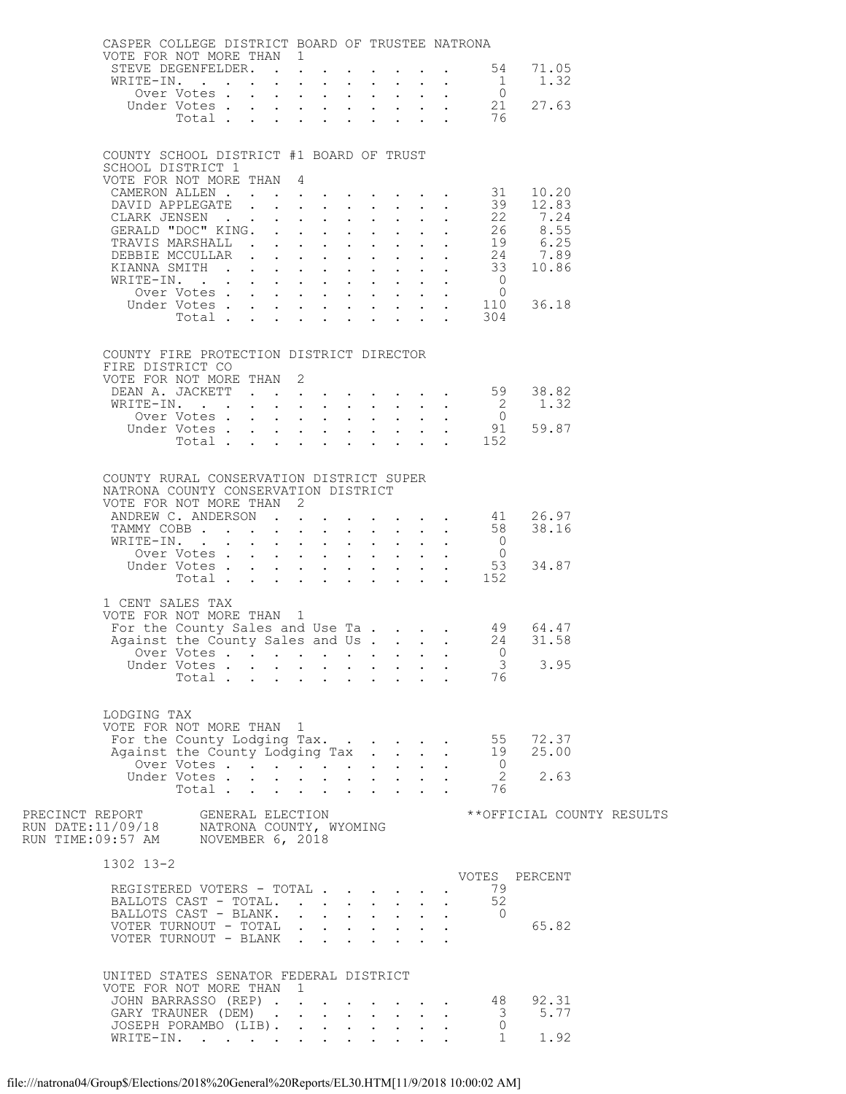| CASPER COLLEGE DISTRICT BOARD OF TRUSTEE NATRONA                                                                               |             |                      |  |  |                                                               |                  |              |                                            |                                                                                       |  |
|--------------------------------------------------------------------------------------------------------------------------------|-------------|----------------------|--|--|---------------------------------------------------------------|------------------|--------------|--------------------------------------------|---------------------------------------------------------------------------------------|--|
| VOTE FOR NOT MORE THAN 1<br>STEVE DEGENFELDER. 54                                                                              |             |                      |  |  |                                                               |                  |              |                                            | 71.05                                                                                 |  |
| WRITE-IN. $\cdots$ $\cdots$ $\cdots$ $\cdots$ $\cdots$ $\cdots$ $\cdots$ $\cdots$ $\cdots$ $\cdots$ $\cdots$ $\cdots$          |             |                      |  |  |                                                               |                  |              |                                            | 1.32                                                                                  |  |
|                                                                                                                                | Over Votes  |                      |  |  |                                                               |                  |              |                                            |                                                                                       |  |
|                                                                                                                                |             |                      |  |  |                                                               |                  |              | Over Votes 0<br>Under Votes 21<br>Total 76 | 27.63                                                                                 |  |
|                                                                                                                                |             |                      |  |  |                                                               |                  |              |                                            |                                                                                       |  |
|                                                                                                                                |             |                      |  |  |                                                               |                  |              |                                            |                                                                                       |  |
| COUNTY SCHOOL DISTRICT #1 BOARD OF TRUST<br>SCHOOL DISTRICT 1                                                                  |             |                      |  |  |                                                               |                  |              |                                            |                                                                                       |  |
| VOTE FOR NOT MORE THAN 4                                                                                                       |             |                      |  |  |                                                               |                  |              |                                            |                                                                                       |  |
|                                                                                                                                |             |                      |  |  |                                                               |                  |              |                                            |                                                                                       |  |
|                                                                                                                                |             |                      |  |  |                                                               |                  |              |                                            |                                                                                       |  |
|                                                                                                                                |             |                      |  |  |                                                               |                  |              |                                            |                                                                                       |  |
|                                                                                                                                |             |                      |  |  |                                                               |                  |              |                                            |                                                                                       |  |
|                                                                                                                                |             |                      |  |  |                                                               |                  |              |                                            |                                                                                       |  |
|                                                                                                                                |             |                      |  |  |                                                               |                  |              |                                            |                                                                                       |  |
|                                                                                                                                |             |                      |  |  |                                                               |                  |              |                                            |                                                                                       |  |
|                                                                                                                                |             |                      |  |  |                                                               |                  |              |                                            |                                                                                       |  |
|                                                                                                                                |             |                      |  |  |                                                               |                  |              |                                            |                                                                                       |  |
|                                                                                                                                |             |                      |  |  |                                                               |                  |              |                                            |                                                                                       |  |
| COUNTY FIRE PROTECTION DISTRICT DIRECTOR                                                                                       |             |                      |  |  |                                                               |                  |              |                                            |                                                                                       |  |
| FIRE DISTRICT CO                                                                                                               |             |                      |  |  |                                                               |                  |              |                                            |                                                                                       |  |
| VOTE FOR NOT MORE THAN 2                                                                                                       |             |                      |  |  |                                                               |                  |              |                                            | 38.82                                                                                 |  |
|                                                                                                                                |             |                      |  |  |                                                               |                  |              |                                            | 1.32                                                                                  |  |
|                                                                                                                                |             |                      |  |  |                                                               |                  |              |                                            |                                                                                       |  |
|                                                                                                                                |             |                      |  |  |                                                               |                  |              |                                            | 59.87                                                                                 |  |
|                                                                                                                                |             |                      |  |  |                                                               |                  |              |                                            |                                                                                       |  |
|                                                                                                                                |             |                      |  |  |                                                               |                  |              |                                            |                                                                                       |  |
| COUNTY RURAL CONSERVATION DISTRICT SUPER                                                                                       |             |                      |  |  |                                                               |                  |              |                                            |                                                                                       |  |
| NATRONA COUNTY CONSERVATION DISTRICT<br>VOTE FOR NOT MORE THAN 2                                                               |             |                      |  |  |                                                               |                  |              |                                            |                                                                                       |  |
| ANDREW C. ANDERSON 41                                                                                                          |             |                      |  |  |                                                               |                  |              |                                            | 26.97                                                                                 |  |
| TAMMY COBB 58                                                                                                                  |             |                      |  |  |                                                               |                  |              |                                            | 38.16                                                                                 |  |
|                                                                                                                                |             |                      |  |  |                                                               |                  |              |                                            |                                                                                       |  |
|                                                                                                                                |             |                      |  |  |                                                               |                  |              |                                            | 34.87                                                                                 |  |
| WRITE-IN. 0<br>Over Votes 0<br>Under Votes 53<br>Total 152                                                                     |             |                      |  |  |                                                               |                  |              |                                            |                                                                                       |  |
| 1 CENT SALES TAX                                                                                                               |             |                      |  |  |                                                               |                  |              |                                            |                                                                                       |  |
| VOTE FOR NOT MORE THAN 1                                                                                                       |             |                      |  |  |                                                               |                  |              |                                            |                                                                                       |  |
|                                                                                                                                |             |                      |  |  |                                                               |                  |              |                                            | For the County Sales and Use Ta 49 64.47<br>Against the County Sales and Us. 24 31.58 |  |
|                                                                                                                                |             |                      |  |  |                                                               |                  |              |                                            |                                                                                       |  |
|                                                                                                                                | Under Votes |                      |  |  |                                                               |                  |              | $\overline{\mathbf{3}}$                    | 3.95                                                                                  |  |
|                                                                                                                                | Total       |                      |  |  |                                                               |                  |              | 76                                         |                                                                                       |  |
|                                                                                                                                |             |                      |  |  |                                                               |                  |              |                                            |                                                                                       |  |
| LODGING TAX                                                                                                                    |             |                      |  |  |                                                               |                  |              |                                            |                                                                                       |  |
| VOTE FOR NOT MORE THAN 1                                                                                                       |             |                      |  |  |                                                               |                  |              |                                            |                                                                                       |  |
| For the County Lodging Tax.                                                                                                    |             |                      |  |  |                                                               |                  |              | 55<br>19                                   | 72.37                                                                                 |  |
| Against the County Lodging Tax                                                                                                 | Over Votes  |                      |  |  |                                                               |                  | $\mathbf{L}$ | $\overline{0}$                             | 25.00                                                                                 |  |
|                                                                                                                                | Under Votes |                      |  |  |                                                               |                  |              | $\overline{\phantom{0}}^2$                 | 2.63                                                                                  |  |
|                                                                                                                                | Total       | $\ddot{\phantom{0}}$ |  |  | $\mathcal{L}^{\text{max}}$ , where $\mathcal{L}^{\text{max}}$ |                  |              | 76                                         |                                                                                       |  |
|                                                                                                                                |             |                      |  |  |                                                               |                  |              |                                            | **OFFICIAL COUNTY RESULTS                                                             |  |
| PRECINCT REPORT     GENERAL ELECTION<br>RUN DATE:11/09/18     NATRONA COUNTY, WYOMING<br>RUN TIME:09:57 AM    NOVEMBER 6, 2018 |             |                      |  |  |                                                               |                  |              |                                            |                                                                                       |  |
|                                                                                                                                |             |                      |  |  |                                                               |                  |              |                                            |                                                                                       |  |
| 1302 13-2                                                                                                                      |             |                      |  |  |                                                               |                  |              |                                            |                                                                                       |  |
|                                                                                                                                |             |                      |  |  |                                                               |                  |              |                                            | VOTES PERCENT                                                                         |  |
| REGISTERED VOTERS - TOTAL<br>BALLOTS CAST - TOTAL.                                                                             |             |                      |  |  |                                                               | $\mathbf{L}$     |              | 79<br>52                                   |                                                                                       |  |
| BALLOTS CAST - BLANK.                                                                                                          |             |                      |  |  |                                                               | $\sim$ 100 $\pm$ |              | $\overline{0}$                             |                                                                                       |  |
| VOTER TURNOUT - TOTAL                                                                                                          |             |                      |  |  |                                                               |                  |              |                                            | 65.82                                                                                 |  |
| VOTER TURNOUT - BLANK                                                                                                          |             |                      |  |  |                                                               |                  |              |                                            |                                                                                       |  |
|                                                                                                                                |             |                      |  |  |                                                               |                  |              |                                            |                                                                                       |  |
| UNITED STATES SENATOR FEDERAL DISTRICT                                                                                         |             |                      |  |  |                                                               |                  |              |                                            |                                                                                       |  |
| VOTE FOR NOT MORE THAN 1<br>JOHN BARRASSO (REP)                                                                                |             |                      |  |  |                                                               |                  |              | -48                                        | 92.31                                                                                 |  |
| GARY TRAUNER (DEM)                                                                                                             |             |                      |  |  |                                                               |                  |              | $\overline{\mathbf{3}}$                    | 5.77                                                                                  |  |
| JOSEPH PORAMBO (LIB).                                                                                                          |             |                      |  |  |                                                               |                  |              | $\mathbf{0}$                               |                                                                                       |  |
| WRITE-IN.                                                                                                                      |             |                      |  |  |                                                               |                  |              | $\mathbf{1}$                               | 1.92                                                                                  |  |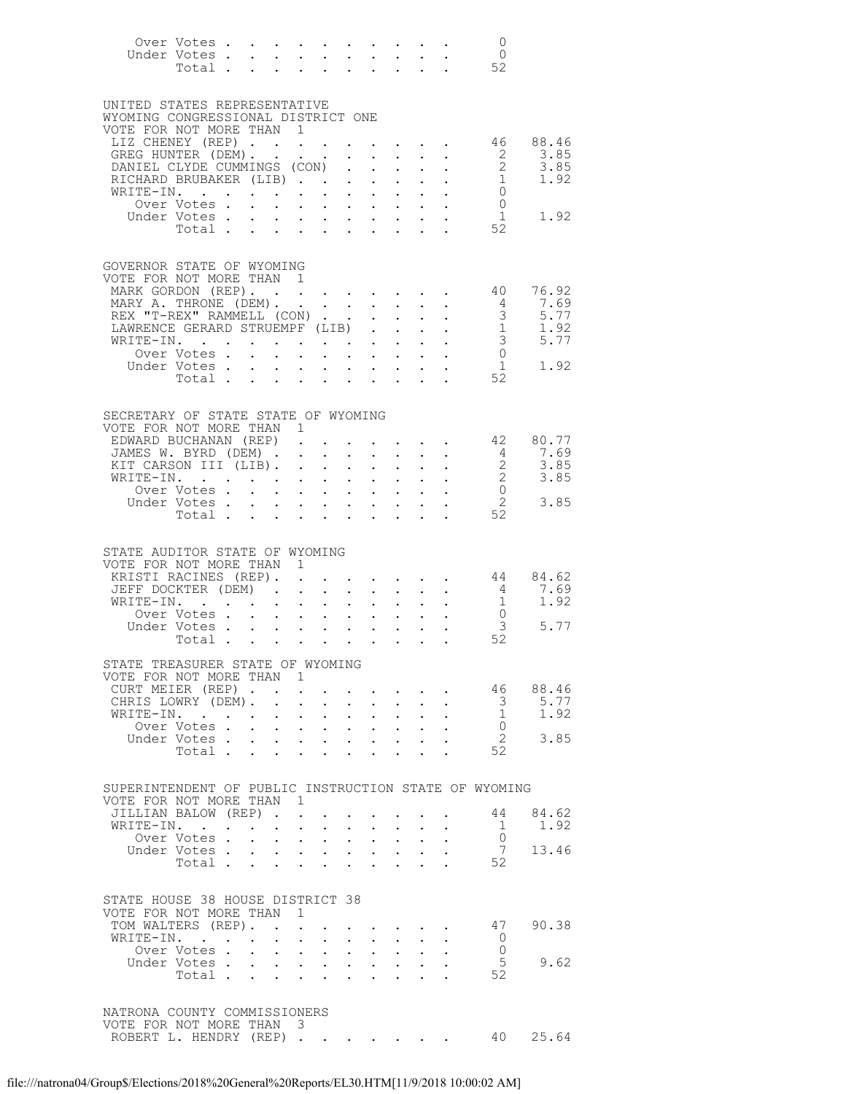|           | Over Votes<br>Under Votes<br>Total .                               |                 |                            |                                                                                                                                                                                                                                                      |                         |                           |                                                                                   |                                                                  |                           |                                                                  | $\overline{0}$<br>$\overline{0}$<br>52          |                        |
|-----------|--------------------------------------------------------------------|-----------------|----------------------------|------------------------------------------------------------------------------------------------------------------------------------------------------------------------------------------------------------------------------------------------------|-------------------------|---------------------------|-----------------------------------------------------------------------------------|------------------------------------------------------------------|---------------------------|------------------------------------------------------------------|-------------------------------------------------|------------------------|
|           | UNITED STATES REPRESENTATIVE<br>WYOMING CONGRESSIONAL DISTRICT ONE |                 |                            |                                                                                                                                                                                                                                                      |                         |                           |                                                                                   |                                                                  |                           |                                                                  |                                                 |                        |
|           | VOTE FOR NOT MORE THAN 1                                           |                 |                            |                                                                                                                                                                                                                                                      |                         |                           |                                                                                   |                                                                  |                           |                                                                  |                                                 |                        |
|           | LIZ CHENEY (REP)<br>GREG HUNTER (DEM). .                           |                 |                            | $\mathcal{L}(\mathbf{z})$ , and $\mathcal{L}(\mathbf{z})$ , and                                                                                                                                                                                      |                         |                           |                                                                                   |                                                                  |                           |                                                                  | 46<br>$\overline{2}$                            | 88.46<br>3.85          |
|           | DANIEL CLYDE CUMMINGS (CON)                                        |                 |                            |                                                                                                                                                                                                                                                      |                         |                           |                                                                                   |                                                                  |                           |                                                                  | $\overline{2}$                                  | 3.85                   |
|           | RICHARD BRUBAKER (LIB)                                             |                 |                            |                                                                                                                                                                                                                                                      |                         |                           |                                                                                   | $\mathbf{A}$ and $\mathbf{A}$ and $\mathbf{A}$                   |                           |                                                                  | $\frac{1}{0}$                                   | 1.92                   |
|           | WRITE-IN.<br>Over Votes.                                           |                 |                            | $\mathbf{z} = \mathbf{z} + \mathbf{z}$ , where $\mathbf{z} = \mathbf{z}$                                                                                                                                                                             | $\cdot$ $\cdot$ $\cdot$ | $\mathbf{L}^{\text{max}}$ | $\mathbf{r} = \mathbf{r}$                                                         | $\mathbf{A}^{(1)}$ and $\mathbf{A}^{(2)}$ and                    |                           |                                                                  | $\bigcirc$                                      |                        |
|           | Under Votes.                                                       |                 |                            | $\mathbf{r}$ and $\mathbf{r}$ are a set of the set of the set of the set of the set of the set of the set of the set of the set of the set of the set of the set of the set of the set of the set of the set of the set of the set of                |                         |                           |                                                                                   |                                                                  |                           |                                                                  | -1                                              | 1.92                   |
|           | Total                                                              |                 |                            |                                                                                                                                                                                                                                                      |                         | $\ddot{\phantom{0}}$      |                                                                                   | <b>Service</b> State                                             |                           |                                                                  | 52                                              |                        |
|           | GOVERNOR STATE OF WYOMING<br>VOTE FOR NOT MORE THAN                |                 |                            | $\overline{1}$                                                                                                                                                                                                                                       |                         |                           |                                                                                   |                                                                  |                           |                                                                  |                                                 |                        |
|           | MARK GORDON (REP). 40                                              |                 |                            |                                                                                                                                                                                                                                                      |                         |                           |                                                                                   |                                                                  |                           |                                                                  |                                                 | 76.92                  |
|           | MARY A. THRONE (DEM).                                              |                 |                            |                                                                                                                                                                                                                                                      |                         |                           |                                                                                   |                                                                  |                           | $\mathbf{u} = \mathbf{u} + \mathbf{u} + \mathbf{u} + \mathbf{u}$ | $\begin{array}{c} 4 \\ 3 \\ 1 \\ 3 \end{array}$ | 7.69<br>5.77           |
|           | REX "T-REX" RAMMELL (CON)<br>LAWRENCE GERARD STRUEMPF (LIB)        |                 |                            |                                                                                                                                                                                                                                                      |                         |                           |                                                                                   | $\mathbf{L} = \mathbf{L}$                                        |                           |                                                                  |                                                 | 1.92                   |
|           | WRITE-IN.                                                          |                 |                            | $\cdot$ $\cdot$ $\cdot$ $\cdot$                                                                                                                                                                                                                      | $\sim 100$              |                           | $\mathbf{L}$                                                                      |                                                                  |                           |                                                                  |                                                 | 5.77                   |
|           | Over Votes.<br>Under Votes.                                        |                 | $\mathcal{L}^{\text{max}}$ | $\sim 10^{-11}$<br>$\mathbf{r}$ . The set of the set of the set of the set of the set of the set of the set of the set of the set of the set of the set of the set of the set of the set of the set of the set of the set of the set of the set of t | $\sim$ $-$              | $\ddot{\phantom{0}}$      |                                                                                   | $\mathbf{A}^{(1)}$ and $\mathbf{A}^{(2)}$ and                    |                           |                                                                  | $\bigcirc$<br>1                                 | 1.92                   |
|           | Total                                                              |                 | $\mathbf{L}$               | and a strong control of the strong strong                                                                                                                                                                                                            |                         |                           |                                                                                   |                                                                  |                           |                                                                  | 52                                              |                        |
|           |                                                                    |                 |                            |                                                                                                                                                                                                                                                      |                         |                           |                                                                                   |                                                                  |                           |                                                                  |                                                 |                        |
|           | SECRETARY OF STATE STATE OF WYOMING<br>VOTE FOR NOT MORE THAN 1    |                 |                            |                                                                                                                                                                                                                                                      |                         |                           |                                                                                   |                                                                  |                           |                                                                  |                                                 |                        |
|           | EDWARD BUCHANAN (REP)                                              |                 |                            |                                                                                                                                                                                                                                                      |                         |                           |                                                                                   |                                                                  |                           |                                                                  | $\cdot$ $\cdot$ $\cdot$ $\cdot$ $\cdot$ 42      | 80.77                  |
|           | JAMES W. BYRD (DEM)<br>KIT CARSON III (LIB).                       |                 |                            |                                                                                                                                                                                                                                                      |                         |                           | $\mathbf{L}^{\text{max}}$ , and $\mathbf{L}^{\text{max}}$<br>$\ddot{\phantom{0}}$ |                                                                  |                           |                                                                  | $\frac{4}{2}$                                   | 7.69<br>3.85           |
|           | WRITE-IN.                                                          |                 |                            |                                                                                                                                                                                                                                                      |                         | $\mathbf{L}^{\text{max}}$ |                                                                                   | $\mathbf{A}$ and $\mathbf{A}$ and $\mathbf{A}$                   |                           |                                                                  | $\overline{2}$                                  | 3.85                   |
|           | Over Votes.                                                        |                 |                            | $\mathbf{r}$ , $\mathbf{r}$ , $\mathbf{r}$ , $\mathbf{r}$ , $\mathbf{r}$ , $\mathbf{r}$                                                                                                                                                              |                         |                           |                                                                                   |                                                                  |                           |                                                                  | $\overline{0}$                                  |                        |
|           | Under Votes<br>Votes<br>Total                                      |                 |                            |                                                                                                                                                                                                                                                      |                         |                           |                                                                                   |                                                                  |                           |                                                                  | 52                                              | $\overline{2}$<br>3.85 |
|           | STATE AUDITOR STATE OF WYOMING<br>VOTE FOR NOT MORE THAN           |                 |                            | $\overline{1}$                                                                                                                                                                                                                                       |                         |                           |                                                                                   |                                                                  |                           |                                                                  |                                                 |                        |
|           | KRISTI RACINES (REP). .<br>JEFF DOCKTER (DEM)                      |                 |                            |                                                                                                                                                                                                                                                      |                         |                           | $\mathbf{r} = \mathbf{r} + \mathbf{r} + \mathbf{r} + \mathbf{r}$<br>$\ddotsc$     |                                                                  |                           |                                                                  | 44<br>4                                         | 84.62<br>7.69          |
|           | WRITE-IN.                                                          |                 |                            |                                                                                                                                                                                                                                                      | $\sim 100$              |                           | $\mathbf{L}^{\text{max}}$                                                         |                                                                  |                           |                                                                  | $\frac{1}{0}$                                   | 1.92                   |
|           | Over Votes.                                                        |                 |                            | $\mathbf{r}$ , $\mathbf{r}$ , $\mathbf{r}$ , $\mathbf{r}$ , $\mathbf{r}$                                                                                                                                                                             |                         |                           |                                                                                   |                                                                  |                           |                                                                  |                                                 |                        |
|           | Under Votes .<br>Total .                                           |                 | $\sim 10$                  | <b>Carl Carl Co</b><br>$\mathbf{r} = \mathbf{r} \cdot \mathbf{r}$                                                                                                                                                                                    |                         | $\ddot{\phantom{0}}$      | $\mathbf{z} = \mathbf{z}$                                                         | $\mathbf{L}^{\text{max}}$                                        |                           |                                                                  | 3<br>52                                         | 5.77                   |
|           |                                                                    |                 |                            |                                                                                                                                                                                                                                                      |                         |                           |                                                                                   |                                                                  |                           |                                                                  |                                                 |                        |
|           | STATE TREASURER STATE OF WYOMING<br>VOTE FOR NOT MORE THAN 1       |                 |                            |                                                                                                                                                                                                                                                      |                         |                           |                                                                                   |                                                                  |                           |                                                                  |                                                 |                        |
|           | CURT MEIER (REP)<br>CHRIS LOWRY (DEM).                             |                 | $\sim$                     | <b>Contract Contract</b>                                                                                                                                                                                                                             |                         |                           | $\sim 100$                                                                        |                                                                  |                           |                                                                  | 46<br>3                                         | 88.46<br>5.77          |
|           | WRITE-IN.                                                          |                 |                            | $\ddot{\phantom{0}}$                                                                                                                                                                                                                                 | $\sim$                  |                           |                                                                                   |                                                                  |                           |                                                                  | 1                                               | 1.92                   |
|           | Over Votes                                                         |                 | $\sim 10$                  | <b>Service</b> State                                                                                                                                                                                                                                 |                         | $\ddot{\phantom{0}}$      | $\bullet$ .                                                                       | $\mathbf{L}^{\text{max}}$                                        |                           |                                                                  | $\Omega$                                        |                        |
|           | Under Votes.<br>Total                                              |                 |                            | $\mathbf{r}$ , $\mathbf{r}$ , $\mathbf{r}$ , $\mathbf{r}$ , $\mathbf{r}$ , $\mathbf{r}$ , $\mathbf{r}$<br>$\mathbf{L} = \mathbf{L} \mathbf{L} + \mathbf{L} \mathbf{L}$                                                                               |                         | $\ddot{\phantom{0}}$      | $\sim$ 100 $\mu$                                                                  | $\bullet$ .<br><br><br><br><br><br><br><br><br><br><br><br>      |                           |                                                                  | - 2<br>52                                       | 3.85                   |
|           |                                                                    |                 |                            |                                                                                                                                                                                                                                                      |                         |                           |                                                                                   |                                                                  |                           |                                                                  |                                                 |                        |
|           | SUPERINTENDENT OF PUBLIC INSTRUCTION STATE OF WYOMING              |                 |                            |                                                                                                                                                                                                                                                      |                         |                           |                                                                                   |                                                                  |                           |                                                                  |                                                 |                        |
|           | VOTE FOR NOT MORE THAN 1<br>JILLIAN BALOW (REP)                    |                 |                            |                                                                                                                                                                                                                                                      |                         |                           |                                                                                   |                                                                  |                           |                                                                  | 44                                              | 84.62                  |
|           | WRITE-IN.                                                          |                 |                            | $\mathbf{r} = \mathbf{r} \cdot \mathbf{r}$ , where $\mathbf{r} = \mathbf{r} \cdot \mathbf{r}$                                                                                                                                                        | $\sim 100$              |                           | $\bullet$ .                                                                       | $\mathbf{L}^{\text{max}}$                                        |                           |                                                                  | 1                                               | 1.92                   |
|           | Over Votes.                                                        |                 |                            | $\cdot$ $\cdot$ $\cdot$ $\cdot$                                                                                                                                                                                                                      |                         |                           | $\mathbf{L}$                                                                      |                                                                  |                           |                                                                  | $\bigcirc$                                      |                        |
|           | Under Votes<br>Total .                                             |                 |                            | <b>All Carl Carl Control</b><br>$\mathbf{r}$ and $\mathbf{r}$ and $\mathbf{r}$                                                                                                                                                                       |                         | $\mathbf{L}^{\text{max}}$ | $\mathbf{r} = \mathbf{r}$                                                         | $\mathbf{A}^{(1)}$ and $\mathbf{A}^{(2)}$ and $\mathbf{A}^{(3)}$ | $\sim 10^{-10}$           |                                                                  | 7<br>52                                         | 13.46                  |
|           |                                                                    |                 |                            |                                                                                                                                                                                                                                                      |                         |                           |                                                                                   |                                                                  |                           |                                                                  |                                                 |                        |
|           | STATE HOUSE 38 HOUSE DISTRICT 38<br>VOTE FOR NOT MORE THAN 1       |                 |                            |                                                                                                                                                                                                                                                      |                         |                           |                                                                                   |                                                                  |                           |                                                                  |                                                 |                        |
|           | TOM WALTERS (REP). .                                               |                 |                            | $\ddot{\phantom{0}}$                                                                                                                                                                                                                                 |                         |                           |                                                                                   |                                                                  |                           | $\sim$                                                           | 47                                              | 90.38                  |
| WRITE-IN. | $\mathcal{L}(\mathcal{A})$ , and $\mathcal{L}(\mathcal{A})$        | $\sim 10^{-10}$ | $\sim$                     | $\sim$ $\sim$                                                                                                                                                                                                                                        |                         |                           |                                                                                   |                                                                  |                           |                                                                  | $\circ$                                         |                        |
|           | Over Votes .<br>Under Votes .                                      |                 | $\sim 10$                  | $\sim$ $-$<br>$\mathbf{r}$ , $\mathbf{r}$ , $\mathbf{r}$ , $\mathbf{r}$ , $\mathbf{r}$                                                                                                                                                               | $\sim 100$              | $\mathbf{L}^{\text{max}}$ | $\bullet$ .<br>$\mathbf{L}$                                                       | $\mathbf{L}^{\text{max}}$                                        | $\mathbf{L} = \mathbf{L}$ |                                                                  | $\overline{0}$<br>- 5                           | 9.62                   |
|           | Total                                                              |                 |                            | $\mathbf{L} = \mathbf{L} \mathbf{L} + \mathbf{L} \mathbf{L}$                                                                                                                                                                                         |                         | $\ddot{\phantom{0}}$      | $\ddot{\phantom{0}}$                                                              | $\ddot{\phantom{0}}$                                             | $\ddot{\phantom{0}}$      |                                                                  | 52                                              |                        |
|           | NATRONA COUNTY COMMISSIONERS                                       |                 |                            |                                                                                                                                                                                                                                                      |                         |                           |                                                                                   |                                                                  |                           |                                                                  |                                                 |                        |
|           | VOTE FOR NOT MORE THAN 3                                           |                 |                            |                                                                                                                                                                                                                                                      |                         |                           |                                                                                   |                                                                  |                           |                                                                  |                                                 |                        |
|           | ROBERT L. HENDRY (REP)                                             |                 |                            |                                                                                                                                                                                                                                                      |                         |                           |                                                                                   |                                                                  |                           |                                                                  | 40                                              | 25.64                  |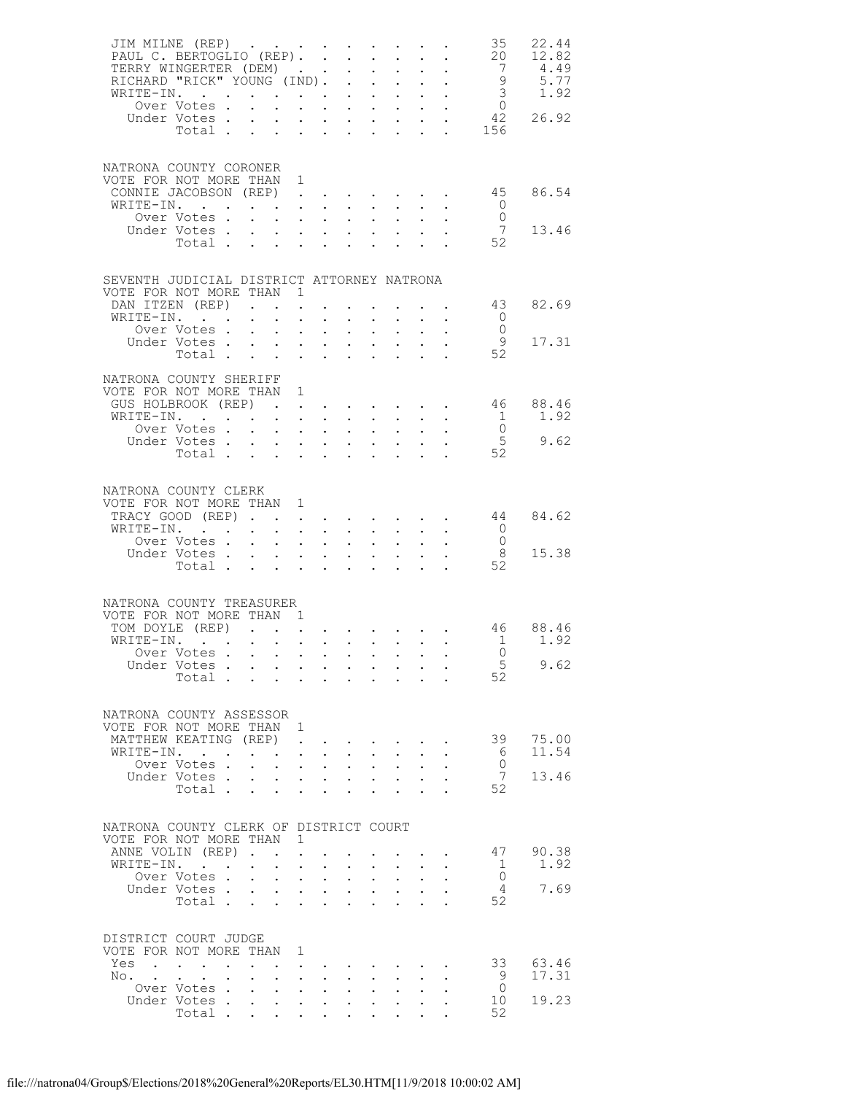| JIM MILNE (REP)<br>PAUL C. BERTOGLIO (REP).<br>TERRY WINGERTER (DEM) |                           |                  |                                                                                                                                 |                                                                                           |                                                             |                                                           | $\mathbf{L}^{\text{max}}$ , and $\mathbf{L}^{\text{max}}$           |                                        | $\mathcal{L}^{\text{max}}$                                                                                | $\mathbb{Z}^{\mathbb{Z}^{\times}}$ | $\sim$ $-$<br>$\sim$                                                     | 35<br>20                                   | 22.44<br>12.82<br>4.49 |
|----------------------------------------------------------------------|---------------------------|------------------|---------------------------------------------------------------------------------------------------------------------------------|-------------------------------------------------------------------------------------------|-------------------------------------------------------------|-----------------------------------------------------------|---------------------------------------------------------------------|----------------------------------------|-----------------------------------------------------------------------------------------------------------|------------------------------------|--------------------------------------------------------------------------|--------------------------------------------|------------------------|
| RICHARD "RICK" YOUNG (IND). .<br>WRITE-IN.                           |                           |                  |                                                                                                                                 |                                                                                           | $\mathbf{z} = \mathbf{z}$ .                                 |                                                           | $\sim$                                                              | $\sim 10^{-11}$<br>$\sim$              | $\mathbf{L}^{\text{max}}$                                                                                 |                                    | $\mathcal{L}^{\text{max}}$ , $\mathcal{L}^{\text{max}}$<br>$\sim$ $-$    | $\begin{array}{c} 7 \\ 9 \\ 3 \end{array}$ | 5.77<br>1.92           |
|                                                                      | Over Votes                |                  |                                                                                                                                 |                                                                                           |                                                             |                                                           |                                                                     |                                        |                                                                                                           |                                    |                                                                          | $\overline{0}$                             |                        |
|                                                                      | Under Votes.<br>Total     |                  | $\ddot{\phantom{0}}$                                                                                                            | $\bullet$ .                                                                               | $\mathbf{L}^{\text{max}}$ , $\mathbf{L}^{\text{max}}$       |                                                           |                                                                     |                                        | $\mathbf{L} = \mathbf{L} \times \mathbf{L}$                                                               | $\mathbf{L}^{\text{max}}$          | $\sim$                                                                   | 42<br>156                                  | 26.92                  |
| NATRONA COUNTY CORONER<br>VOTE FOR NOT MORE THAN                     |                           |                  |                                                                                                                                 | 1                                                                                         |                                                             |                                                           |                                                                     |                                        |                                                                                                           |                                    |                                                                          |                                            |                        |
| CONNIE JACOBSON (REP).                                               |                           |                  |                                                                                                                                 |                                                                                           |                                                             |                                                           |                                                                     |                                        | $\mathbf{r} = \mathbf{r} + \mathbf{r} + \mathbf{r} + \mathbf{r}$                                          |                                    | $\sim$                                                                   | 45                                         | 86.54                  |
| WRITE-IN.                                                            | Over Votes.               |                  | the contract of the contract of the contract of the<br>$\mathbf{L}$                                                             | $\sim 100$                                                                                | $\mathbf{L}^{\text{max}}$ , $\mathbf{L}^{\text{max}}$       |                                                           | $\ddot{\phantom{0}}$                                                | $\sim 10^{-1}$                         | $\mathbf{L}^{\text{max}}$                                                                                 |                                    | $\bullet$ .                                                              | $\overline{0}$<br>$\overline{0}$           |                        |
|                                                                      | Under Votes<br>Total .    |                  | $\mathcal{L}^{\text{max}}$                                                                                                      | $\mathbf{L}^{\text{max}}$                                                                 | $\mathbb{Z}^{n+1}$                                          | $\mathcal{L}^{\text{max}}$                                |                                                                     |                                        |                                                                                                           |                                    | $\mathbf{u} = \mathbf{u} + \mathbf{u}$ , where $\mathbf{u} = \mathbf{u}$ | 7<br>52                                    | 13.46                  |
| SEVENTH JUDICIAL DISTRICT ATTORNEY NATRONA                           |                           |                  |                                                                                                                                 |                                                                                           |                                                             |                                                           |                                                                     |                                        |                                                                                                           |                                    |                                                                          |                                            |                        |
| VOTE FOR NOT MORE THAN 1<br>DAN ITZEN (REP)                          |                           |                  |                                                                                                                                 |                                                                                           |                                                             |                                                           |                                                                     |                                        | and a series of the series of the                                                                         |                                    |                                                                          | 43                                         | 82.69                  |
| WRITE-IN.                                                            |                           |                  | $\bullet$ .                                                                                                                     | $\sim$ 100 $\pm$                                                                          | $\ddot{\phantom{0}}$                                        | $\ddot{\phantom{0}}$                                      |                                                                     | $\sim$ $-$                             |                                                                                                           |                                    | $\bullet$ .                                                              | $\overline{0}$                             |                        |
|                                                                      | Over Votes<br>Under Votes |                  |                                                                                                                                 |                                                                                           |                                                             |                                                           | $\mathbf{L} = \mathbf{L}$                                           |                                        | $\mathbf{r}$ , $\mathbf{r}$ , $\mathbf{r}$ , $\mathbf{r}$ , $\mathbf{r}$                                  | $\mathcal{L}^{\mathcal{L}}$        |                                                                          | $\overline{0}$<br>- 9                      | 17.31                  |
|                                                                      | Total                     |                  |                                                                                                                                 | $\mathbf{a} = \mathbf{a} + \mathbf{a}$ , $\mathbf{a} = \mathbf{a}$                        |                                                             |                                                           |                                                                     |                                        | $\mathcal{L}^{\text{max}}$                                                                                |                                    | $\sim$                                                                   | 52                                         |                        |
| NATRONA COUNTY SHERIFF<br>VOTE FOR NOT MORE THAN 1                   |                           |                  |                                                                                                                                 |                                                                                           |                                                             |                                                           |                                                                     |                                        |                                                                                                           |                                    |                                                                          |                                            |                        |
| GUS HOLBROOK (REP)<br>WRITE-IN.                                      |                           |                  |                                                                                                                                 | $\mathcal{L}^{\text{max}}$                                                                | $\mathbf{z} = \mathbf{z} + \mathbf{z}$ .                    |                                                           | $\mathbf{z} = \mathbf{z} + \mathbf{z}$ .                            |                                        | $\mathbf{L}^{\text{max}}$                                                                                 | $\ddot{\phantom{0}}$               | $\sim$                                                                   | 46<br>$\mathbf{1}$                         | 88.46<br>1.92          |
|                                                                      | Over Votes                |                  |                                                                                                                                 |                                                                                           |                                                             |                                                           |                                                                     |                                        |                                                                                                           |                                    |                                                                          | $\overline{0}$                             |                        |
|                                                                      | Under Votes<br>Total      |                  |                                                                                                                                 | $\mathbf{z} = \left( \mathbf{z} \right) \in \mathbf{z}$ .                                 |                                                             |                                                           | $\mathbf{z} = \mathbf{z} + \mathbf{z}$ .                            |                                        | $\mathcal{L}^{\text{max}}$                                                                                |                                    |                                                                          | 5<br>52                                    | 9.62                   |
|                                                                      |                           |                  |                                                                                                                                 |                                                                                           |                                                             |                                                           |                                                                     |                                        |                                                                                                           |                                    |                                                                          |                                            |                        |
| NATRONA COUNTY CLERK<br>VOTE FOR NOT MORE THAN 1                     |                           |                  |                                                                                                                                 |                                                                                           |                                                             |                                                           |                                                                     |                                        |                                                                                                           |                                    |                                                                          |                                            |                        |
| TRACY GOOD (REP)                                                     |                           |                  |                                                                                                                                 |                                                                                           |                                                             | $\mathbf{L}^{\text{max}}$ , and $\mathbf{L}^{\text{max}}$ |                                                                     |                                        | <b>All All Angel</b>                                                                                      |                                    | $\mathbf{L}^{\text{max}}$ , and $\mathbf{L}^{\text{max}}$                | 44                                         | 84.62                  |
| WRITE-IN.                                                            | Over Votes                |                  | the contract of the contract of the contract of the contract of the contract of the contract of the contract of                 | $\sim$ $-$                                                                                | $\mathbf{z} = \mathbf{z} + \mathbf{z}$ .                    |                                                           | $\ddot{\phantom{0}}$                                                | $\sim 10^{-1}$                         |                                                                                                           |                                    |                                                                          | $\overline{0}$<br>$\overline{0}$           |                        |
|                                                                      | Under Votes<br>Total      |                  |                                                                                                                                 | $\mathcal{L}^{\text{max}}$ , and $\mathcal{L}^{\text{max}}$                               |                                                             |                                                           | $\ddot{\phantom{0}}$                                                | $\sim$ $\sim$                          |                                                                                                           |                                    | $\sim$ $\sim$                                                            | - 8<br>52                                  | 15.38                  |
|                                                                      |                           |                  |                                                                                                                                 |                                                                                           |                                                             |                                                           |                                                                     |                                        |                                                                                                           |                                    |                                                                          |                                            |                        |
| NATRONA COUNTY TREASURER<br>VOTE FOR NOT MORE THAN 1                 |                           |                  |                                                                                                                                 |                                                                                           |                                                             |                                                           |                                                                     |                                        |                                                                                                           |                                    |                                                                          |                                            |                        |
| TOM DOYLE (REP)<br>WRITE-IN.                                         |                           |                  |                                                                                                                                 |                                                                                           |                                                             |                                                           |                                                                     |                                        |                                                                                                           |                                    |                                                                          | 46                                         | 88.46                  |
|                                                                      | Over Votes                |                  |                                                                                                                                 |                                                                                           |                                                             |                                                           |                                                                     |                                        |                                                                                                           |                                    |                                                                          | $\sim$ 1<br>$\bigcap$                      | 1.92                   |
|                                                                      | Under Votes               |                  |                                                                                                                                 |                                                                                           |                                                             |                                                           |                                                                     |                                        |                                                                                                           |                                    |                                                                          | $5\phantom{.0}$                            | 9.62                   |
|                                                                      | Total                     |                  |                                                                                                                                 |                                                                                           |                                                             |                                                           |                                                                     |                                        |                                                                                                           |                                    |                                                                          | 52                                         |                        |
| NATRONA COUNTY ASSESSOR<br>VOTE FOR NOT MORE THAN 1                  |                           |                  |                                                                                                                                 |                                                                                           |                                                             |                                                           |                                                                     |                                        |                                                                                                           |                                    |                                                                          |                                            |                        |
| MATTHEW KEATING (REP)                                                |                           |                  |                                                                                                                                 |                                                                                           | $\ddot{\phantom{0}}$                                        | $\bullet$ . $\bullet$                                     | $\bullet$ .<br><br><br><br><br><br><br><br><br><br><br><br><br><br> |                                        |                                                                                                           |                                    |                                                                          | 39                                         | 75.00                  |
| WRITE-IN.                                                            | Over Votes.               |                  | the contract of the contract of the contract of the contract of the contract of the contract of the contract of<br>$\mathbf{L}$ | $\sim$ $-$                                                                                | $\sim$ $-$                                                  | $\sim$                                                    | $\mathbf{L}^{\text{max}}$                                           | $\sim 10^{-1}$                         | $\sim$                                                                                                    | $\bullet$ .                        | $\ddot{\phantom{0}}$                                                     | - 6<br>$\Omega$                            | 11.54                  |
|                                                                      | Under Votes               |                  |                                                                                                                                 |                                                                                           |                                                             |                                                           |                                                                     |                                        | $\sim$ $-$                                                                                                | $\mathcal{L}^{\text{max}}$         |                                                                          | 7                                          | 13.46                  |
|                                                                      | Total .                   |                  | $\ddot{\phantom{0}}$                                                                                                            | $\sim$                                                                                    | $\mathcal{L}^{\text{max}}$                                  | $\ddot{\phantom{a}}$                                      |                                                                     |                                        |                                                                                                           |                                    |                                                                          | 52                                         |                        |
| NATRONA COUNTY CLERK OF DISTRICT COURT<br>VOTE FOR NOT MORE THAN 1   |                           |                  |                                                                                                                                 |                                                                                           |                                                             |                                                           |                                                                     |                                        |                                                                                                           |                                    |                                                                          |                                            |                        |
| ANNE VOLIN (REP)                                                     |                           |                  |                                                                                                                                 |                                                                                           |                                                             | $\bullet$                                                 |                                                                     |                                        |                                                                                                           |                                    | $\cdot$ $\cdot$                                                          | 47                                         | 90.38                  |
| WRITE-IN.                                                            |                           |                  | $\mathbf{L}^{\text{max}}$                                                                                                       | $\bullet$ .<br><br><br><br><br><br><br><br><br><br><br><br>                               | $\ddot{\phantom{0}}$                                        | $\sim$                                                    |                                                                     |                                        |                                                                                                           |                                    |                                                                          | 1<br>$\overline{0}$                        | 1.92                   |
|                                                                      | Over Votes<br>Under Votes |                  |                                                                                                                                 | $\sim 100$                                                                                | $\mathbf{z} = \mathbf{z} + \mathbf{z}$ .                    |                                                           | $\sim 10^{-11}$                                                     | $\sim 100$                             | $\mathbf{r} = \mathbf{r} + \mathbf{r} + \mathbf{r} + \mathbf{r} + \mathbf{r} + \mathbf{r}$<br>$\bullet$ . | $\mathcal{L}^{\text{max}}$         | $\ddot{\phantom{a}}$                                                     | -4                                         | 7.69                   |
|                                                                      | Total                     |                  |                                                                                                                                 |                                                                                           |                                                             |                                                           |                                                                     |                                        | $\sim$                                                                                                    |                                    | $\ddotsc$                                                                | 52                                         |                        |
| DISTRICT COURT JUDGE<br>VOTE FOR NOT MORE THAN                       |                           |                  |                                                                                                                                 | 1                                                                                         |                                                             |                                                           |                                                                     |                                        |                                                                                                           |                                    |                                                                          |                                            |                        |
| Yes                                                                  |                           |                  | $\mathbf{L}$                                                                                                                    |                                                                                           | $\bullet$ .<br><br><br><br><br><br><br><br><br><br><br><br> | $\ddot{\phantom{0}}$                                      |                                                                     |                                        |                                                                                                           |                                    |                                                                          | 33                                         | 63.46                  |
| No.                                                                  |                           | $\sim$ 100 $\mu$ |                                                                                                                                 |                                                                                           |                                                             |                                                           | $\mathbf{z} = \mathbf{z} + \mathbf{z}$ .                            |                                        | $\bullet$ .                                                                                               | $\ddot{\phantom{0}}$               |                                                                          | - 9                                        | 17.31                  |
|                                                                      | Over Votes<br>Under Votes |                  |                                                                                                                                 | $\mathbf{L}^{\text{max}}$<br>$\mathbf{u} = \mathbf{u} \mathbf{u} + \mathbf{u} \mathbf{u}$ | $\bullet$ .                                                 | $\sim 10^{-11}$                                           | $\sim$<br>$\sim 10^{-10}$                                           | $\mathbf{L}^{\text{max}}$<br>$\bullet$ | $\bullet$ .<br><br><br><br><br><br><br><br><br><br><br>                                                   | $\bullet$ .                        | $\ddot{\phantom{a}}$                                                     | $\overline{0}$<br>10                       | 19.23                  |
|                                                                      | Total .                   |                  |                                                                                                                                 | $\mathcal{L}^{\text{max}}$                                                                |                                                             | $\mathbf{L} = \mathbf{L}$                                 |                                                                     |                                        |                                                                                                           |                                    |                                                                          | 52                                         |                        |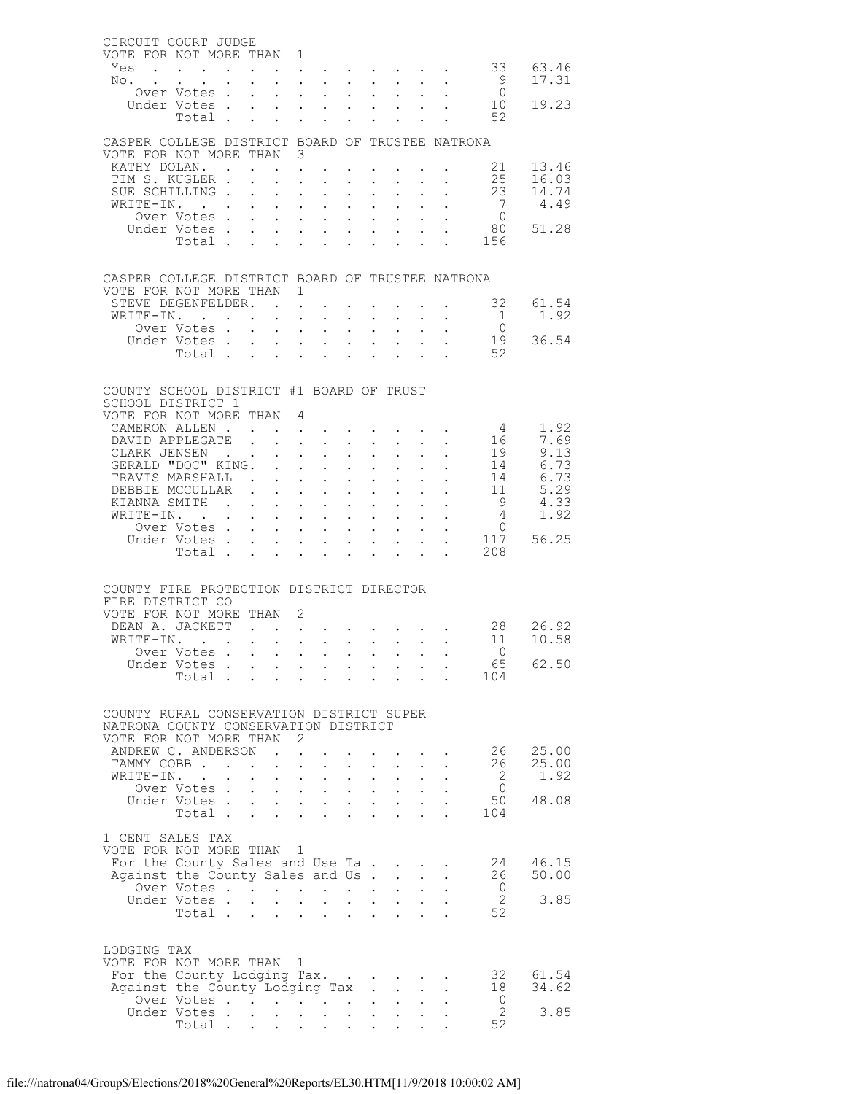| CIRCUIT COURT JUDGE<br>VOTE FOR NOT MORE THAN 1                                  |                                                             |                                                                  |                                                                                 |                                      |                                                             |                                                                                             |                           |                                                                                                         |                                   |                                                       |
|----------------------------------------------------------------------------------|-------------------------------------------------------------|------------------------------------------------------------------|---------------------------------------------------------------------------------|--------------------------------------|-------------------------------------------------------------|---------------------------------------------------------------------------------------------|---------------------------|---------------------------------------------------------------------------------------------------------|-----------------------------------|-------------------------------------------------------|
| Yes                                                                              |                                                             |                                                                  | and a series of the contract of the                                             |                                      |                                                             |                                                                                             |                           |                                                                                                         |                                   | 33 63.46                                              |
| No.<br>Over Votes .                                                              |                                                             |                                                                  | $\mathbf{r}$ , $\mathbf{r}$ , $\mathbf{r}$                                      |                                      | $\sim$ $-$                                                  |                                                                                             |                           | $\sim$                                                                                                  | 9<br>$\overline{0}$               | 17.31                                                 |
| Under Votes.                                                                     |                                                             | $\sim$ $-$<br>$\sim$                                             | $\sim 10^{-11}$<br>$\sim$<br>$\mathbf{r}$ and $\mathbf{r}$ and $\mathbf{r}$     |                                      | $\mathbf{L}^{\text{max}}$                                   | $\ddot{\phantom{0}}$                                                                        |                           | $\sim$<br>$\cdot$ $\cdot$                                                                               | 10                                | 19.23                                                 |
| Total .                                                                          | $\sim$ $\sim$                                               | $\sim$                                                           | $\mathbf{z} = \mathbf{z} + \mathbf{z}$ .                                        | $\bullet$ .                          | $\bullet$                                                   |                                                                                             |                           |                                                                                                         | 52                                |                                                       |
| CASPER COLLEGE DISTRICT BOARD OF TRUSTEE NATRONA                                 |                                                             |                                                                  |                                                                                 |                                      |                                                             |                                                                                             |                           |                                                                                                         |                                   |                                                       |
| VOTE FOR NOT MORE THAN 3                                                         |                                                             |                                                                  |                                                                                 |                                      |                                                             |                                                                                             |                           |                                                                                                         |                                   |                                                       |
| KATHY DOLAN. .<br>TIM S. KUGLER.                                                 |                                                             | $\mathbf{z} = \mathbf{z} + \mathbf{z}$ .<br>$\ddot{\phantom{0}}$ |                                                                                 |                                      | $\sim 100$                                                  |                                                                                             |                           | $\mathbf{z} = \mathbf{z} + \mathbf{z}$ , where $\mathbf{z} = \mathbf{z}$                                |                                   | 21 13.46<br>25 16.03                                  |
| SUE SCHILLING.                                                                   |                                                             | $\sim$<br>$\bullet$ .                                            | $\mathbf{L}^{\text{max}}$<br>$\sim$ $-$                                         | $\ddot{\phantom{0}}$                 | $\bullet$ .                                                 | $\mathbf{L}^{\text{max}}$                                                                   |                           | $\sim$<br>$\mathbf{L}^{\text{max}}$<br>$\sim$ $-$                                                       | 23                                | 14.74                                                 |
| WRITE-IN.                                                                        |                                                             | $\mathbf{L}$                                                     | $\mathbf{L}$<br>$\mathbf{r}$                                                    |                                      |                                                             |                                                                                             |                           | $\sim$                                                                                                  | $\overline{7}$                    | 4.49                                                  |
| Over Votes.                                                                      |                                                             | $\ddot{\phantom{0}}$                                             | $\mathbf{L}^{\text{max}}$<br>$\sim 10$                                          | $\ddot{\phantom{0}}$                 | $\mathbf{L}^{\text{max}}$                                   | $\bullet$ .                                                                                 |                           | $\mathcal{L}^{\text{max}}$<br>$\ddot{\phantom{0}}$                                                      | $\overline{0}$                    |                                                       |
| Under Votes.<br>Total                                                            |                                                             | $\mathbf{L}$<br>$\sim$ $-$                                       | $\mathbf{L}$<br>$\mathbf{r}$ and $\mathbf{r}$<br>$\ddot{\phantom{0}}$<br>$\sim$ | $\mathbf{L}$<br>$\ddot{\phantom{0}}$ | $\ddot{\phantom{0}}$                                        | $\mathbf{L}$<br>$\bullet$ .                                                                 |                           | $\ddot{\phantom{0}}$                                                                                    | 80<br>. 156                       | 51.28                                                 |
|                                                                                  |                                                             |                                                                  |                                                                                 |                                      |                                                             |                                                                                             |                           |                                                                                                         |                                   |                                                       |
| CASPER COLLEGE DISTRICT BOARD OF TRUSTEE NATRONA                                 |                                                             |                                                                  |                                                                                 |                                      |                                                             |                                                                                             |                           |                                                                                                         |                                   |                                                       |
| VOTE FOR NOT MORE THAN 1                                                         |                                                             |                                                                  |                                                                                 |                                      |                                                             |                                                                                             |                           |                                                                                                         |                                   |                                                       |
| STEVE DEGENFELDER.                                                               |                                                             |                                                                  |                                                                                 |                                      |                                                             |                                                                                             |                           |                                                                                                         | $\cdot$ , , , 32 61.54            |                                                       |
| WRITE-IN.<br>Over Votes.                                                         | <b>Contract Contract Contract</b>                           | $\sim$                                                           | $\sim 100$<br>$\sim$ $\sim$<br>$\sim$                                           | $\mathbf{L}^{\text{max}}$            |                                                             | $\mathbf{r} = \mathbf{r} \cdot \mathbf{r}$ , where $\mathbf{r} = \mathbf{r}$                |                           | $\sim$ $-$<br>$\ddot{\phantom{a}}$                                                                      | $\overline{0}$                    | $1 \t 1.92$                                           |
| Under Votes                                                                      |                                                             | $\sim$ $-$                                                       | <b>Contract Contract</b>                                                        | $\mathbf{L}^{\text{max}}$            | $\mathbf{L}^{\text{max}}$                                   | $\mathbf{L}^{\text{max}}$                                                                   |                           | $\mathbf{L}^{\text{max}}$<br>$\ddot{\phantom{0}}$                                                       |                                   | $\frac{19}{52}$ 36.54                                 |
| Total .                                                                          | $\mathbf{r} = \mathbf{r}$                                   |                                                                  | $\mathbf{L} = \mathbf{L}$                                                       |                                      |                                                             |                                                                                             |                           | $\sim$ $\sim$                                                                                           | 52                                |                                                       |
|                                                                                  |                                                             |                                                                  |                                                                                 |                                      |                                                             |                                                                                             |                           |                                                                                                         |                                   |                                                       |
| COUNTY SCHOOL DISTRICT #1 BOARD OF TRUST                                         |                                                             |                                                                  |                                                                                 |                                      |                                                             |                                                                                             |                           |                                                                                                         |                                   |                                                       |
| SCHOOL DISTRICT 1<br>VOTE FOR NOT MORE THAN 4                                    |                                                             |                                                                  |                                                                                 |                                      |                                                             |                                                                                             |                           |                                                                                                         |                                   |                                                       |
| CAMERON ALLEN.                                                                   |                                                             | $\mathbf{L}$ $\mathbf{L}$                                        |                                                                                 |                                      |                                                             |                                                                                             |                           | and a straight and a straight and                                                                       | $4\overline{4}$                   | 1.92                                                  |
| DAVID APPLEGATE                                                                  | $\mathbf{L}$                                                |                                                                  | <b>Contract Contract</b>                                                        | $\mathbf{L}^{\text{max}}$            |                                                             | $\mathcal{L}^{\text{max}}$ , where $\mathcal{L}^{\text{max}}$                               |                           | $\mathbf{L}^{\text{max}}$<br>$\sim$ $-$                                                                 | 16                                | 7.69                                                  |
| CLARK JENSEN .<br>GERALD "DOC" KING.                                             |                                                             |                                                                  | $\mathbf{L}$                                                                    |                                      | $\mathbf{L}$                                                |                                                                                             |                           | $\mathbf{L}$                                                                                            | $\frac{1}{1}$ .                   | 9.13                                                  |
| TRAVIS MARSHALL.                                                                 |                                                             | $\ddot{\phantom{a}}$<br>$\mathbf{L}$                             | $\bullet$ .<br>$\sim$<br>$\sim$<br>$\mathbf{A}$                                 | $\ddot{\phantom{0}}$                 | $\mathbf{L}^{\text{max}}$<br>$\ddot{\phantom{a}}$           | $\bullet$ .<br>$\ddot{\phantom{0}}$                                                         | $\mathbf{L}^{\text{max}}$ | $\bullet$ .<br>$\ddot{\phantom{0}}$                                                                     |                                   | 14 6.73<br>14 6.73                                    |
| DEBBIE MCCULLAR                                                                  | $\ddot{\phantom{0}}$                                        | $\ddot{\phantom{0}}$                                             | $\sim 100$<br>$\sim$                                                            | $\ddot{\phantom{0}}$                 | $\mathbf{A}^{\text{max}}$                                   | $\ddot{\phantom{0}}$                                                                        |                           | $\ddotsc$<br>$\sim$                                                                                     |                                   | $\begin{array}{cc} 11 & 5.29 \\ 9 & 4.33 \end{array}$ |
| KIANNA SMITH .                                                                   |                                                             | $\sim$                                                           | $\mathbf{L}$<br>$\mathbf{L}$                                                    |                                      | $\mathbf{L}$                                                | $\ddot{\phantom{0}}$                                                                        |                           | $\sim$                                                                                                  |                                   |                                                       |
| WRITE-IN.<br>Over Votes .                                                        | $\bullet$ .<br><br><br><br><br><br><br><br><br><br><br><br> | $\sim 10$<br>$\sim$                                              | $\sim 100$<br>$\mathbf{A}^{(1)}$ .<br>$\mathbf{L}$                              | $\ddot{\phantom{0}}$                 | $\mathbf{a} = \mathbf{b}$<br>$\mathbf{L}$                   | $\bullet$ .                                                                                 |                           | $\mathcal{L}^{\text{max}}$<br>$\mathcal{L}^{\text{max}}$                                                | $4\overline{ }$<br>$\overline{0}$ | 1.92                                                  |
| Under Votes .                                                                    |                                                             | $\sim$                                                           | $\sim$<br>$\mathbf{L}^{\text{max}}$<br>$\sim$                                   | $\ddot{\phantom{0}}$                 | $\bullet$ .<br><br><br><br><br><br><br><br><br><br><br><br> | $\mathbf{L}$<br>$\mathbf{L}^{\text{max}}$                                                   |                           | $\sim 10^{-10}$<br>$\bullet$                                                                            |                                   | 117 56.25                                             |
| Total .                                                                          |                                                             | $\sim$                                                           | $\sim$                                                                          | $\mathbf{r}$                         | $\ddot{\phantom{a}}$                                        | $\ddot{\phantom{a}}$                                                                        |                           | $\mathbf{r} = \mathbf{r}$                                                                               | 208                               |                                                       |
|                                                                                  |                                                             |                                                                  |                                                                                 |                                      |                                                             |                                                                                             |                           |                                                                                                         |                                   |                                                       |
| COUNTY FIRE PROTECTION DISTRICT DIRECTOR                                         |                                                             |                                                                  |                                                                                 |                                      |                                                             |                                                                                             |                           |                                                                                                         |                                   |                                                       |
| FIRE DISTRICT CO                                                                 |                                                             |                                                                  |                                                                                 |                                      |                                                             |                                                                                             |                           |                                                                                                         |                                   |                                                       |
| VOTE FOR NOT MORE THAN 2<br>DEAN A. JACKETT 28 26.92                             |                                                             |                                                                  |                                                                                 |                                      |                                                             |                                                                                             |                           |                                                                                                         |                                   |                                                       |
| WRITE-IN.                                                                        |                                                             |                                                                  |                                                                                 |                                      |                                                             |                                                                                             |                           |                                                                                                         |                                   | 11 10.58                                              |
| Over Votes .                                                                     |                                                             |                                                                  |                                                                                 |                                      |                                                             |                                                                                             |                           |                                                                                                         | $\overline{0}$                    |                                                       |
| Under Votes<br>Total                                                             |                                                             |                                                                  |                                                                                 |                                      |                                                             |                                                                                             |                           |                                                                                                         | 65                                | 62.50                                                 |
|                                                                                  |                                                             |                                                                  |                                                                                 |                                      |                                                             |                                                                                             |                           |                                                                                                         | 104                               |                                                       |
|                                                                                  |                                                             |                                                                  |                                                                                 |                                      |                                                             |                                                                                             |                           |                                                                                                         |                                   |                                                       |
| COUNTY RURAL CONSERVATION DISTRICT SUPER<br>NATRONA COUNTY CONSERVATION DISTRICT |                                                             |                                                                  |                                                                                 |                                      |                                                             |                                                                                             |                           |                                                                                                         |                                   |                                                       |
| VOTE FOR NOT MORE THAN 2                                                         |                                                             |                                                                  |                                                                                 |                                      |                                                             |                                                                                             |                           |                                                                                                         |                                   |                                                       |
| ANDREW C. ANDERSON                                                               |                                                             | $\mathbf{r}$ , $\mathbf{r}$ , $\mathbf{r}$                       |                                                                                 |                                      |                                                             |                                                                                             |                           |                                                                                                         | 26                                | 25.00                                                 |
| TAMMY COBB<br>WRITE-IN.                                                          |                                                             |                                                                  |                                                                                 |                                      |                                                             | $\mathbf{A}^{\text{max}}$ , and $\mathbf{A}^{\text{max}}$                                   |                           | $\bullet$ .<br><br><br><br><br><br><br><br><br><br><br><br><br>                                         | 26                                | 25.00<br>1.92                                         |
| Over Votes                                                                       | $\sim$                                                      |                                                                  | $\mathbf{L} = \mathbf{L} \mathbf{L} + \mathbf{L} \mathbf{L}$                    | $\bullet$ .                          |                                                             | $\mathbf{u} = \mathbf{u} \cdot \mathbf{u}$ , and $\mathbf{u} = \mathbf{u} \cdot \mathbf{u}$ |                           | $\mathbf{L}^{\text{max}} = \mathbf{L}^{\text{max}} = \mathbf{L}^{\text{max}} = \mathbf{L}^{\text{max}}$ | $\overline{2}$<br>$\circ$ 0       |                                                       |
| Under Votes.                                                                     |                                                             |                                                                  |                                                                                 |                                      |                                                             |                                                                                             |                           |                                                                                                         | 50                                | 48.08                                                 |
| Total                                                                            |                                                             |                                                                  |                                                                                 |                                      |                                                             |                                                                                             |                           |                                                                                                         | 104                               |                                                       |
| 1 CENT SALES TAX                                                                 |                                                             |                                                                  |                                                                                 |                                      |                                                             |                                                                                             |                           |                                                                                                         |                                   |                                                       |
| VOTE FOR NOT MORE THAN 1                                                         |                                                             |                                                                  |                                                                                 |                                      |                                                             |                                                                                             |                           |                                                                                                         |                                   |                                                       |
| For the County Sales and Use Ta                                                  |                                                             |                                                                  |                                                                                 |                                      |                                                             |                                                                                             |                           |                                                                                                         | 24                                | 46.15                                                 |
| Against the County Sales and Us                                                  |                                                             |                                                                  |                                                                                 |                                      |                                                             |                                                                                             |                           | $\sim$ $\sim$                                                                                           | 26<br>$\overline{0}$              | 50.00                                                 |
| Over Votes<br>Under Votes                                                        |                                                             |                                                                  |                                                                                 |                                      |                                                             |                                                                                             | $\mathbf{L}^{\text{max}}$ | $\sim$                                                                                                  | $\overline{2}$                    | 3.85                                                  |
| Total                                                                            |                                                             |                                                                  |                                                                                 |                                      |                                                             |                                                                                             |                           |                                                                                                         | 52                                |                                                       |
|                                                                                  |                                                             |                                                                  |                                                                                 |                                      |                                                             |                                                                                             |                           |                                                                                                         |                                   |                                                       |
| LODGING TAX                                                                      |                                                             |                                                                  |                                                                                 |                                      |                                                             |                                                                                             |                           |                                                                                                         |                                   |                                                       |
| VOTE FOR NOT MORE THAN 1                                                         |                                                             |                                                                  |                                                                                 |                                      |                                                             |                                                                                             |                           |                                                                                                         |                                   |                                                       |
| For the County Lodging Tax.<br>Against the County Lodging Tax                    |                                                             |                                                                  |                                                                                 |                                      |                                                             |                                                                                             |                           |                                                                                                         | 32<br>18                          | 61.54<br>34.62                                        |
| Over Votes                                                                       |                                                             |                                                                  |                                                                                 |                                      |                                                             |                                                                                             |                           |                                                                                                         | $\overline{0}$                    |                                                       |
|                                                                                  |                                                             |                                                                  |                                                                                 |                                      |                                                             |                                                                                             |                           |                                                                                                         | 2                                 | 3.85                                                  |
|                                                                                  |                                                             |                                                                  |                                                                                 |                                      |                                                             |                                                                                             |                           |                                                                                                         | 52                                |                                                       |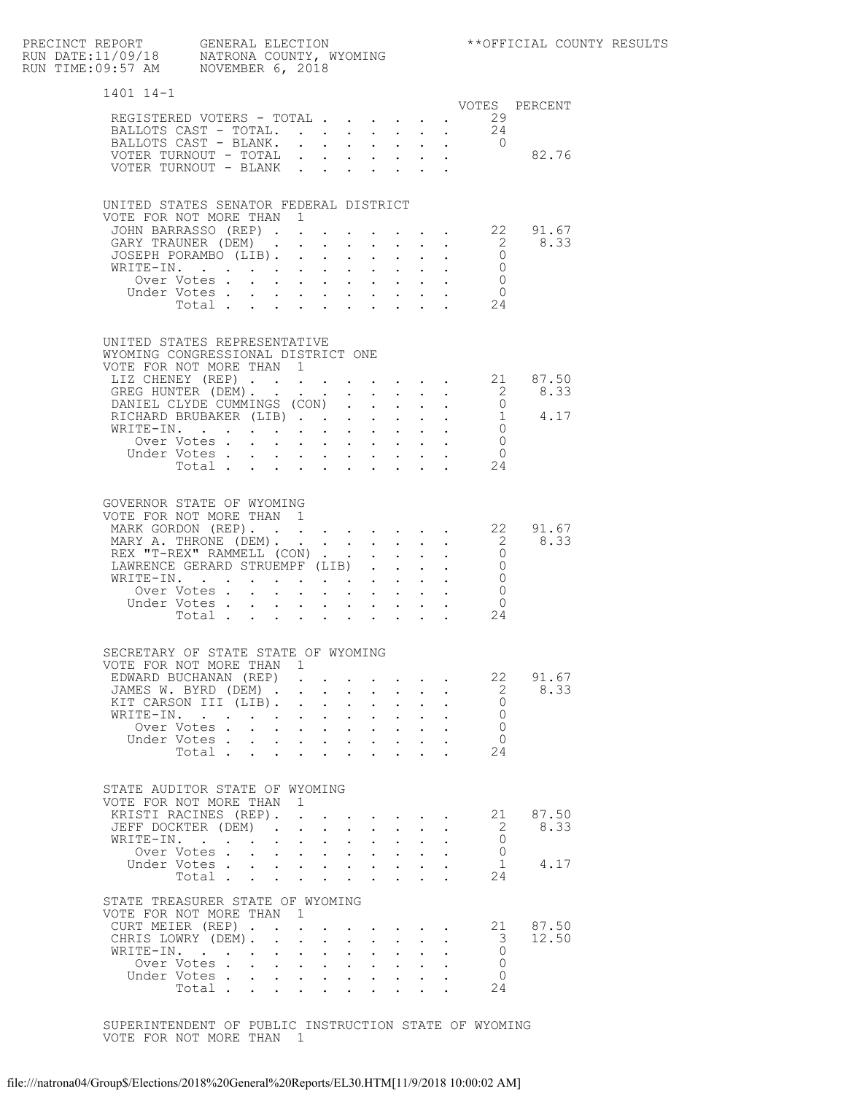| PRECINCT REPORT     GENERAL ELECTION<br>RUN DATE:11/09/18     NATRONA COUNTY, WYOMING<br>RUN TIME:09:57 AM     NOVEMBER 6, 2018                                                                    |                                                                                                                                                                                                                                                                                                                                           |              |                                                                                                                                                                                                        |                           |              |                         |                                                                  |                                    | ** OFFICIAL COUNTY RESULTS |
|----------------------------------------------------------------------------------------------------------------------------------------------------------------------------------------------------|-------------------------------------------------------------------------------------------------------------------------------------------------------------------------------------------------------------------------------------------------------------------------------------------------------------------------------------------|--------------|--------------------------------------------------------------------------------------------------------------------------------------------------------------------------------------------------------|---------------------------|--------------|-------------------------|------------------------------------------------------------------|------------------------------------|----------------------------|
| 1401 14-1                                                                                                                                                                                          |                                                                                                                                                                                                                                                                                                                                           |              |                                                                                                                                                                                                        |                           |              |                         |                                                                  |                                    |                            |
| REGISTERED VOTERS - TOTAL<br>BALLOTS CAST - TOTAL. 24<br>BALLOTS CAST - BLANK.<br>VOTER TURNOUT - TOTAL<br>VOTER TURNOUT - BLANK                                                                   |                                                                                                                                                                                                                                                                                                                                           |              |                                                                                                                                                                                                        |                           |              |                         | VOTES PERCENT<br>29<br>$\frac{1}{2}$ . 0<br>82.76                |                                    |                            |
| UNITED STATES SENATOR FEDERAL DISTRICT<br>VOTE FOR NOT MORE THAN 1<br>JOHN BARRASSO (REP) 22 91.67<br>GARY TRAUNER (DEM)<br>JOSEPH PORAMBO (LIB).<br>WRITE-IN.                                     | Over Votes.<br>Under Votes<br>$\frac{1}{10}$ $\frac{1}{10}$ $\frac{1}{10}$ $\frac{1}{10}$ $\frac{1}{10}$ $\frac{1}{10}$ $\frac{1}{10}$ $\frac{1}{10}$ $\frac{1}{10}$ $\frac{1}{10}$ $\frac{1}{10}$ $\frac{1}{10}$ $\frac{1}{10}$ $\frac{1}{10}$ $\frac{1}{10}$ $\frac{1}{10}$ $\frac{1}{10}$ $\frac{1}{10}$ $\frac{1}{10}$ $\frac{1}{10}$ |              |                                                                                                                                                                                                        |                           |              | $\cdot$ $\cdot$ $\cdot$ | $\begin{matrix}0\\0\end{matrix}$<br>$\overline{0}$               | $\frac{1}{2}$ $\frac{31.67}{8.33}$ |                            |
| UNITED STATES REPRESENTATIVE<br>WYOMING CONGRESSIONAL DISTRICT ONE<br>VOTE FOR NOT MORE THAN 1<br>LIZ CHENEY (REP) 21 87.50                                                                        | Over Votes<br>Under Votes.<br>Total                                                                                                                                                                                                                                                                                                       |              |                                                                                                                                                                                                        |                           |              |                         | $\overline{0}$<br>$\bigcirc$<br>24                               |                                    |                            |
| GOVERNOR STATE OF WYOMING<br>VOTE FOR NOT MORE THAN 1<br>MARK GORDON (REP). 22 91.67<br>MARY A. THRONE (DEM). 2 8.33<br>REX "T-REX" RAMMELL (CON) 0<br>LAWRENCE GERARD STRUEMPF (LIB)<br>WRITE-IN. | Over Votes<br>Under Votes.<br>Total                                                                                                                                                                                                                                                                                                       | $\mathbf{r}$ | $\cdot$ $\cdot$ $\cdot$ $\cdot$ $\cdot$                                                                                                                                                                |                           |              |                         | $\overline{0}$<br>$\Omega$<br>$\overline{0}$<br>$\bigcirc$<br>24 |                                    |                            |
| SECRETARY OF STATE STATE OF WYOMING<br>VOTE FOR NOT MORE THAN 1<br>EDWARD BUCHANAN (REP)<br>JAMES W. BYRD (DEM)<br>KIT CARSON III (LIB).<br>WRITE-IN.                                              | Over Votes<br>Under Votes<br>Total                                                                                                                                                                                                                                                                                                        |              | $\mathbf{r} = \mathbf{r} + \mathbf{r} + \mathbf{r}$                                                                                                                                                    |                           |              |                         | 22<br>2<br>$\Omega$<br>$\Omega$<br>$\Omega$<br>$\Omega$<br>24    | 91.67<br>8.33                      |                            |
| STATE AUDITOR STATE OF WYOMING<br>VOTE FOR NOT MORE THAN<br>KRISTI RACINES (REP).<br>JEFF DOCKTER (DEM).<br>WRITE-IN.                                                                              | Over Votes<br>Under Votes<br>Total                                                                                                                                                                                                                                                                                                        | 1            | $\mathbf{r} = \mathbf{r} + \mathbf{r} + \mathbf{r} + \mathbf{r} + \mathbf{r}$<br>$\cdot$ $\cdot$ $\cdot$ $\cdot$<br>$\cdot$ $\cdot$ $\cdot$ $\cdot$ $\cdot$<br>$\cdot$ $\cdot$ $\cdot$ $\cdot$ $\cdot$ |                           | $\mathbf{L}$ |                         | 21<br>2<br>0<br>$\Omega$<br>$\mathbf{1}$<br>24                   | 87.50<br>8.33<br>4.17              |                            |
| STATE TREASURER STATE OF WYOMING<br>VOTE FOR NOT MORE THAN 1<br>CURT MEIER (REP)<br>CHRIS LOWRY (DEM).<br>WRITE-IN.                                                                                | Over Votes.<br>Under Votes<br>Total                                                                                                                                                                                                                                                                                                       |              |                                                                                                                                                                                                        | $\mathbf{L}^{\text{max}}$ |              |                         | 21<br>3<br>$\Omega$<br>$\circ$<br>$\Omega$<br>24                 | 87.50<br>12.50                     |                            |

 SUPERINTENDENT OF PUBLIC INSTRUCTION STATE OF WYOMING VOTE FOR NOT MORE THAN 1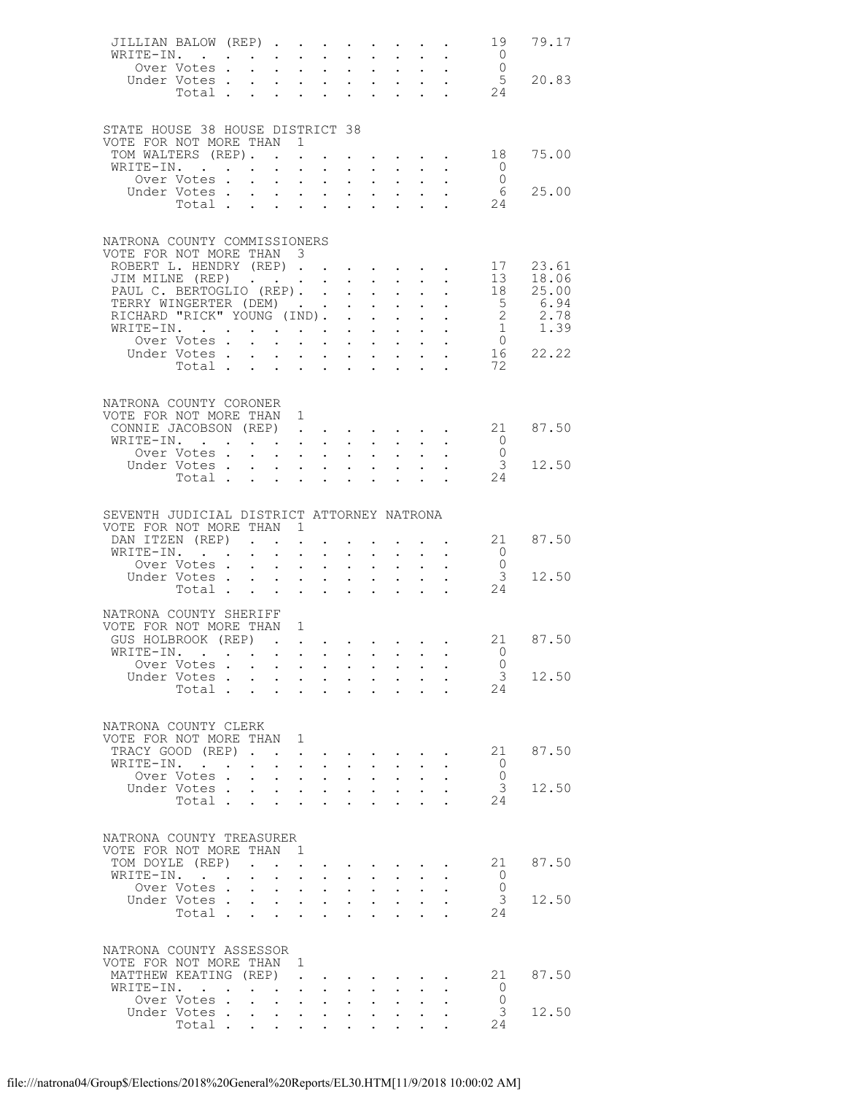| JILLIAN BALOW (REP)<br>WRITE-IN.                             |                               |                   |                                                           | $\sim$                                                                                                                  | $\sim$                                                              |                                                             |                      | $\mathbf{L}$ and $\mathbf{L}$                                                                                                                                                                                                                                                                      |                      | $\mathbf{L} = \mathbf{L}$                                      |                                       | 19<br>$\overline{0}$                   | 79.17                                                                           |
|--------------------------------------------------------------|-------------------------------|-------------------|-----------------------------------------------------------|-------------------------------------------------------------------------------------------------------------------------|---------------------------------------------------------------------|-------------------------------------------------------------|----------------------|----------------------------------------------------------------------------------------------------------------------------------------------------------------------------------------------------------------------------------------------------------------------------------------------------|----------------------|----------------------------------------------------------------|---------------------------------------|----------------------------------------|---------------------------------------------------------------------------------|
|                                                              | Over Votes                    |                   | $\sim$                                                    | $\sim 10$                                                                                                               | $\sim$ $-$                                                          | $\mathbf{L}^{\text{max}}$                                   |                      | $\mathbf{z} = \mathbf{z} + \mathbf{z}$                                                                                                                                                                                                                                                             |                      | $\sigma_{\rm{eff}}$ , $\sigma_{\rm{eff}}$                      |                                       |                                        |                                                                                 |
|                                                              | Under Votes                   |                   |                                                           |                                                                                                                         |                                                                     |                                                             |                      |                                                                                                                                                                                                                                                                                                    |                      |                                                                | $\begin{array}{c} 0 \\ 5 \end{array}$ |                                        | 20.83                                                                           |
|                                                              | Total                         |                   |                                                           |                                                                                                                         |                                                                     |                                                             |                      | <b>Service</b> State                                                                                                                                                                                                                                                                               |                      | $\mathbf{L} = \mathbf{L}$                                      | 24                                    |                                        |                                                                                 |
|                                                              |                               |                   |                                                           |                                                                                                                         |                                                                     |                                                             |                      |                                                                                                                                                                                                                                                                                                    |                      |                                                                |                                       |                                        |                                                                                 |
|                                                              |                               |                   |                                                           |                                                                                                                         |                                                                     |                                                             |                      |                                                                                                                                                                                                                                                                                                    |                      |                                                                |                                       |                                        |                                                                                 |
| STATE HOUSE 38 HOUSE DISTRICT 38<br>VOTE FOR NOT MORE THAN 1 |                               |                   |                                                           |                                                                                                                         |                                                                     |                                                             |                      |                                                                                                                                                                                                                                                                                                    |                      |                                                                |                                       |                                        |                                                                                 |
| TOM WALTERS (REP).                                           |                               |                   |                                                           |                                                                                                                         |                                                                     |                                                             |                      |                                                                                                                                                                                                                                                                                                    |                      |                                                                | $\cdot$ 18                            |                                        | 75.00                                                                           |
| WRITE-IN.                                                    |                               |                   |                                                           |                                                                                                                         |                                                                     |                                                             |                      |                                                                                                                                                                                                                                                                                                    |                      |                                                                |                                       | $\overline{0}$                         |                                                                                 |
|                                                              | Over Votes                    |                   |                                                           |                                                                                                                         |                                                                     |                                                             |                      |                                                                                                                                                                                                                                                                                                    |                      |                                                                |                                       | $\overline{0}$                         |                                                                                 |
|                                                              | Under Votes                   |                   |                                                           | $\mathbf{a}^{\prime}$ , $\mathbf{a}^{\prime}$ , $\mathbf{a}^{\prime}$ , $\mathbf{a}^{\prime}$ , $\mathbf{a}^{\prime}$ , |                                                                     |                                                             |                      | $\mathbf{r}$ , and $\mathbf{r}$ , and $\mathbf{r}$                                                                                                                                                                                                                                                 |                      |                                                                |                                       | - 6                                    | 25.00                                                                           |
|                                                              | Total                         |                   |                                                           |                                                                                                                         |                                                                     |                                                             |                      |                                                                                                                                                                                                                                                                                                    |                      |                                                                |                                       | $\begin{array}{c} 6 \\ 24 \end{array}$ |                                                                                 |
|                                                              |                               |                   |                                                           |                                                                                                                         |                                                                     |                                                             |                      |                                                                                                                                                                                                                                                                                                    |                      |                                                                |                                       |                                        |                                                                                 |
|                                                              |                               |                   |                                                           |                                                                                                                         |                                                                     |                                                             |                      |                                                                                                                                                                                                                                                                                                    |                      |                                                                |                                       |                                        |                                                                                 |
| NATRONA COUNTY COMMISSIONERS                                 |                               |                   |                                                           |                                                                                                                         |                                                                     |                                                             |                      |                                                                                                                                                                                                                                                                                                    |                      |                                                                |                                       |                                        |                                                                                 |
| VOTE FOR NOT MORE THAN 3<br>ROBERT L. HENDRY (REP)           |                               |                   |                                                           |                                                                                                                         |                                                                     |                                                             |                      |                                                                                                                                                                                                                                                                                                    |                      |                                                                |                                       | 17                                     | 23.61                                                                           |
| JIM MILNE (REP)                                              |                               |                   |                                                           |                                                                                                                         |                                                                     |                                                             |                      |                                                                                                                                                                                                                                                                                                    |                      |                                                                |                                       |                                        | 13 18.06                                                                        |
| PAUL C. BERTOGLIO (REP). .                                   |                               |                   |                                                           |                                                                                                                         |                                                                     | $\bullet$ .                                                 |                      | $\mathbf{u} = \mathbf{u} \cdot \mathbf{u}$ .                                                                                                                                                                                                                                                       | $\sim 100$           | $\mathbb{R}^{n+1}$                                             |                                       |                                        |                                                                                 |
| TERRY WINGERTER (DEM)                                        |                               |                   |                                                           |                                                                                                                         |                                                                     | $\mathbf{L}$                                                |                      | $\mathbf{L} = \mathbf{L} \mathbf{L}$                                                                                                                                                                                                                                                               |                      | $\cdot$ $\cdot$                                                |                                       |                                        |                                                                                 |
| RICHARD "RICK" YOUNG (IND). .                                |                               |                   |                                                           |                                                                                                                         |                                                                     |                                                             |                      | $\frac{1}{2} \left( \frac{1}{2} \left( \frac{1}{2} \left( \frac{1}{2} \left( \frac{1}{2} \right) - \frac{1}{2} \left( \frac{1}{2} \right) \right) \right) - \frac{1}{2} \left( \frac{1}{2} \left( \frac{1}{2} \left( \frac{1}{2} \right) - \frac{1}{2} \left( \frac{1}{2} \right) \right) \right)$ |                      |                                                                |                                       |                                        | $\begin{array}{ccc} 18 & 25.00 \\ 5 & 6.94 \\ 2 & 2.78 \\ 1 & 1.39 \end{array}$ |
| WRITE-IN.                                                    |                               |                   |                                                           |                                                                                                                         |                                                                     |                                                             |                      |                                                                                                                                                                                                                                                                                                    |                      |                                                                |                                       |                                        |                                                                                 |
|                                                              | Over Votes.                   |                   | $\mathbf{L}^{\text{max}}$                                 |                                                                                                                         | $\mathbf{r} = \mathbf{r} \times \mathbf{r}$ . The $\mathbf{r}$      |                                                             |                      | $\mathbf{A}^{(1)}$ and $\mathbf{A}^{(2)}$ and                                                                                                                                                                                                                                                      |                      | $\mathcal{L}^{\text{max}}$ , and $\mathcal{L}^{\text{max}}$    |                                       |                                        | $\begin{matrix}0\\16\\22.22\end{matrix}$                                        |
|                                                              | Under Votes.                  |                   | $\sim$                                                    |                                                                                                                         |                                                                     |                                                             |                      | $\mathbf{r}$ and $\mathbf{r}$ and $\mathbf{r}$ and $\mathbf{r}$                                                                                                                                                                                                                                    |                      | $\mathcal{L}^{\text{max}}$                                     |                                       |                                        |                                                                                 |
|                                                              | Total                         |                   |                                                           |                                                                                                                         |                                                                     |                                                             |                      | $\mathbf{L}^{\text{max}}$ , and $\mathbf{L}^{\text{max}}$                                                                                                                                                                                                                                          |                      | $\mathbf{L} = \mathbf{L}$                                      |                                       | 72                                     |                                                                                 |
|                                                              |                               |                   |                                                           |                                                                                                                         |                                                                     |                                                             |                      |                                                                                                                                                                                                                                                                                                    |                      |                                                                |                                       |                                        |                                                                                 |
| NATRONA COUNTY CORONER                                       |                               |                   |                                                           |                                                                                                                         |                                                                     |                                                             |                      |                                                                                                                                                                                                                                                                                                    |                      |                                                                |                                       |                                        |                                                                                 |
| VOTE FOR NOT MORE THAN 1                                     |                               |                   |                                                           |                                                                                                                         |                                                                     |                                                             |                      |                                                                                                                                                                                                                                                                                                    |                      |                                                                |                                       |                                        |                                                                                 |
| CONNIE JACOBSON (REP) 21 87.50                               |                               |                   |                                                           |                                                                                                                         |                                                                     |                                                             |                      |                                                                                                                                                                                                                                                                                                    |                      |                                                                |                                       |                                        |                                                                                 |
| WRITE-IN.                                                    |                               |                   |                                                           |                                                                                                                         |                                                                     |                                                             |                      |                                                                                                                                                                                                                                                                                                    |                      |                                                                |                                       | $\begin{matrix}0\\0\end{matrix}$       |                                                                                 |
|                                                              | Over Votes                    |                   |                                                           |                                                                                                                         |                                                                     |                                                             | $\mathbf{L}$         |                                                                                                                                                                                                                                                                                                    |                      |                                                                |                                       |                                        |                                                                                 |
|                                                              | Under Votes<br>Total          |                   |                                                           |                                                                                                                         |                                                                     |                                                             |                      |                                                                                                                                                                                                                                                                                                    |                      |                                                                |                                       | $\mathcal{S}$                          | 12.50                                                                           |
|                                                              |                               |                   |                                                           |                                                                                                                         |                                                                     |                                                             |                      |                                                                                                                                                                                                                                                                                                    |                      |                                                                |                                       | 24                                     |                                                                                 |
|                                                              |                               |                   |                                                           |                                                                                                                         |                                                                     |                                                             |                      |                                                                                                                                                                                                                                                                                                    |                      |                                                                |                                       |                                        |                                                                                 |
| SEVENTH JUDICIAL DISTRICT ATTORNEY NATRONA                   |                               |                   |                                                           |                                                                                                                         |                                                                     |                                                             |                      |                                                                                                                                                                                                                                                                                                    |                      |                                                                |                                       |                                        |                                                                                 |
| VOTE FOR NOT MORE THAN 1                                     |                               |                   |                                                           |                                                                                                                         |                                                                     |                                                             |                      |                                                                                                                                                                                                                                                                                                    |                      |                                                                |                                       |                                        |                                                                                 |
|                                                              |                               |                   |                                                           |                                                                                                                         |                                                                     |                                                             |                      |                                                                                                                                                                                                                                                                                                    |                      |                                                                |                                       |                                        |                                                                                 |
|                                                              |                               |                   |                                                           |                                                                                                                         |                                                                     |                                                             |                      |                                                                                                                                                                                                                                                                                                    |                      |                                                                |                                       |                                        |                                                                                 |
| DAN ITZEN (REP)                                              |                               |                   |                                                           | $\cdot$ $\cdot$ $\cdot$ $\cdot$                                                                                         | $\sim$                                                              |                                                             | $\mathbf{L}$         |                                                                                                                                                                                                                                                                                                    |                      | $\mathbf{L}$ and $\mathbf{L}$<br>$\mathbf{L}$ and $\mathbf{L}$ |                                       | 21<br>$\overline{0}$                   | 87.50                                                                           |
| WRITE-IN.                                                    | Over Votes                    |                   | $\sim 100$                                                |                                                                                                                         | $\mathcal{A}^{\mathcal{A}}$ , and $\mathcal{A}^{\mathcal{A}}$ , and | $\bullet$ .                                                 |                      | $\bullet$ , $\bullet$ , $\bullet$ , $\bullet$                                                                                                                                                                                                                                                      |                      | $\mathbf{L}^{\text{max}}$ , $\mathbf{L}^{\text{max}}$          |                                       | $\overline{0}$                         |                                                                                 |
|                                                              | Under Votes                   |                   |                                                           |                                                                                                                         |                                                                     |                                                             | $\sim 10^{-10}$      | $\mathbf{L}^{\text{max}}$                                                                                                                                                                                                                                                                          |                      |                                                                |                                       | $\overline{\mathbf{3}}$                | 12.50                                                                           |
|                                                              | Total                         |                   |                                                           |                                                                                                                         |                                                                     | $\bullet$ .<br><br><br><br><br><br><br><br><br><br><br><br> |                      | $\cdot$ $\cdot$ $\cdot$ $\cdot$ $\cdot$                                                                                                                                                                                                                                                            |                      |                                                                |                                       | 24                                     |                                                                                 |
|                                                              |                               |                   |                                                           |                                                                                                                         |                                                                     |                                                             |                      |                                                                                                                                                                                                                                                                                                    |                      |                                                                |                                       |                                        |                                                                                 |
| NATRONA COUNTY SHERIFF                                       |                               |                   |                                                           |                                                                                                                         |                                                                     |                                                             |                      |                                                                                                                                                                                                                                                                                                    |                      |                                                                |                                       |                                        |                                                                                 |
| VOTE FOR NOT MORE THAN 1                                     |                               |                   |                                                           |                                                                                                                         |                                                                     |                                                             |                      |                                                                                                                                                                                                                                                                                                    |                      |                                                                |                                       |                                        |                                                                                 |
| GUS HOLBROOK (REP)                                           |                               |                   |                                                           |                                                                                                                         |                                                                     |                                                             |                      |                                                                                                                                                                                                                                                                                                    |                      |                                                                |                                       |                                        | 21 87.50                                                                        |
| WRITE-IN.                                                    |                               |                   |                                                           |                                                                                                                         |                                                                     |                                                             |                      |                                                                                                                                                                                                                                                                                                    |                      |                                                                |                                       | $\bigcirc$                             |                                                                                 |
|                                                              | Over Votes                    |                   |                                                           |                                                                                                                         |                                                                     |                                                             |                      |                                                                                                                                                                                                                                                                                                    |                      |                                                                |                                       | $\overline{0}$                         |                                                                                 |
|                                                              | Under Votes                   |                   |                                                           |                                                                                                                         | $\mathbf{r}$ , $\mathbf{r}$ , $\mathbf{r}$ , $\mathbf{r}$           |                                                             |                      | $\mathbf{r} = \mathbf{r} + \mathbf{r}$<br>$\cdot$ $\cdot$ $\cdot$ $\cdot$                                                                                                                                                                                                                          |                      |                                                                |                                       | 24                                     | 3 12.50                                                                         |
|                                                              | Total $\cdots$ $\cdots$       |                   |                                                           |                                                                                                                         |                                                                     |                                                             |                      |                                                                                                                                                                                                                                                                                                    |                      |                                                                |                                       |                                        |                                                                                 |
|                                                              |                               |                   |                                                           |                                                                                                                         |                                                                     |                                                             |                      |                                                                                                                                                                                                                                                                                                    |                      |                                                                |                                       |                                        |                                                                                 |
| NATRONA COUNTY CLERK                                         |                               |                   |                                                           |                                                                                                                         |                                                                     |                                                             |                      |                                                                                                                                                                                                                                                                                                    |                      |                                                                |                                       |                                        |                                                                                 |
| VOTE FOR NOT MORE THAN 1                                     |                               |                   |                                                           |                                                                                                                         |                                                                     |                                                             |                      |                                                                                                                                                                                                                                                                                                    |                      |                                                                |                                       |                                        |                                                                                 |
| TRACY GOOD (REP)                                             |                               |                   |                                                           |                                                                                                                         |                                                                     | <b>Contract Contract Contract</b>                           |                      | $\sim$                                                                                                                                                                                                                                                                                             |                      |                                                                |                                       |                                        | 21 87.50                                                                        |
| WRITE-IN.                                                    |                               |                   | $\bullet$ .                                               |                                                                                                                         | <b>Service Contracts</b>                                            |                                                             |                      | $\mathbf{A}$ and $\mathbf{A}$ and $\mathbf{A}$                                                                                                                                                                                                                                                     |                      |                                                                |                                       | $\circ$ 0                              |                                                                                 |
|                                                              | Over Votes .                  | $\sim$            |                                                           | $\cdot$ $\cdot$ $\cdot$ $\cdot$                                                                                         |                                                                     | $\mathbf{L}$                                                | $\ddot{\phantom{0}}$ |                                                                                                                                                                                                                                                                                                    |                      |                                                                |                                       | $\overline{0}$                         |                                                                                 |
|                                                              | Under Votes                   |                   | $\sim 10$                                                 |                                                                                                                         | $\mathcal{A}^{\mathcal{A}}$ , and $\mathcal{A}^{\mathcal{A}}$       | $\bullet$ .                                                 |                      | $\mathbf{L}^{\text{max}}$ , and $\mathbf{L}^{\text{max}}$                                                                                                                                                                                                                                          | $\sim 10^{-10}$      |                                                                |                                       | $\mathcal{S}$                          | 12.50                                                                           |
|                                                              | Total                         |                   |                                                           |                                                                                                                         |                                                                     |                                                             |                      |                                                                                                                                                                                                                                                                                                    |                      |                                                                |                                       | 24                                     |                                                                                 |
|                                                              |                               |                   |                                                           |                                                                                                                         |                                                                     |                                                             |                      |                                                                                                                                                                                                                                                                                                    |                      |                                                                |                                       |                                        |                                                                                 |
| NATRONA COUNTY TREASURER                                     |                               |                   |                                                           |                                                                                                                         |                                                                     |                                                             |                      |                                                                                                                                                                                                                                                                                                    |                      |                                                                |                                       |                                        |                                                                                 |
| VOTE FOR NOT MORE THAN 1                                     |                               |                   |                                                           |                                                                                                                         |                                                                     |                                                             |                      |                                                                                                                                                                                                                                                                                                    |                      |                                                                |                                       |                                        |                                                                                 |
| TOM DOYLE (REP)                                              |                               | $\sim$ 100 $\sim$ |                                                           |                                                                                                                         |                                                                     |                                                             |                      | $\mathbf{r} = \mathbf{r} + \mathbf{r} + \mathbf{r} + \mathbf{r} + \mathbf{r} + \mathbf{r}$                                                                                                                                                                                                         |                      |                                                                |                                       |                                        | 21 87.50                                                                        |
| WRITE-IN.                                                    |                               |                   | $\ddot{\phantom{0}}$                                      |                                                                                                                         | $\mathbf{r}$ $\mathbf{r}$                                           |                                                             | $\ddot{\phantom{0}}$ |                                                                                                                                                                                                                                                                                                    |                      |                                                                |                                       | $\overline{0}$                         |                                                                                 |
|                                                              | Over Votes                    |                   | $\bullet$ .                                               |                                                                                                                         | $\mathcal{A}^{\mathcal{A}}$ , and $\mathcal{A}^{\mathcal{A}}$       | $\bullet$ .                                                 | $\sim 100$           | $\sim$                                                                                                                                                                                                                                                                                             |                      |                                                                |                                       | $\overline{0}$                         |                                                                                 |
|                                                              | Under Votes                   |                   |                                                           |                                                                                                                         |                                                                     |                                                             | $\sim$               | $\sim$                                                                                                                                                                                                                                                                                             |                      |                                                                |                                       | $\overline{\mathbf{3}}$                | 12.50                                                                           |
|                                                              | Total                         |                   |                                                           |                                                                                                                         |                                                                     | $\ddot{\phantom{0}}$                                        |                      | <b>All Andre</b>                                                                                                                                                                                                                                                                                   | $\ddot{\phantom{0}}$ |                                                                |                                       | 24                                     |                                                                                 |
|                                                              |                               |                   |                                                           |                                                                                                                         |                                                                     |                                                             |                      |                                                                                                                                                                                                                                                                                                    |                      |                                                                |                                       |                                        |                                                                                 |
| NATRONA COUNTY ASSESSOR                                      |                               |                   |                                                           |                                                                                                                         |                                                                     |                                                             |                      |                                                                                                                                                                                                                                                                                                    |                      |                                                                |                                       |                                        |                                                                                 |
| VOTE FOR NOT MORE THAN 1                                     |                               |                   |                                                           |                                                                                                                         |                                                                     |                                                             |                      |                                                                                                                                                                                                                                                                                                    |                      |                                                                |                                       |                                        |                                                                                 |
| MATTHEW KEATING (REP)                                        |                               |                   |                                                           |                                                                                                                         |                                                                     |                                                             |                      |                                                                                                                                                                                                                                                                                                    | $\ddotsc$            |                                                                |                                       |                                        | 21 87.50                                                                        |
| WRITE-IN.                                                    |                               |                   | $\mathbf{L}^{\text{max}}$ , and $\mathbf{L}^{\text{max}}$ |                                                                                                                         | $\mathcal{L}(\mathcal{A})$ and $\mathcal{A}(\mathcal{A})$ .         | $\bullet$ .                                                 | $\bullet$ .          |                                                                                                                                                                                                                                                                                                    |                      |                                                                |                                       | $\overline{0}$                         |                                                                                 |
|                                                              | Over Votes .                  |                   |                                                           | $\mathbf{r} = \mathbf{r} + \mathbf{r} + \mathbf{r} + \mathbf{r} + \mathbf{r}$                                           |                                                                     |                                                             | $\ddot{\phantom{0}}$ |                                                                                                                                                                                                                                                                                                    |                      |                                                                |                                       | $\overline{0}$                         |                                                                                 |
|                                                              | Under Votes<br>Total $\cdots$ |                   | $\sim$ $-$                                                | $\sim 10^{-11}$                                                                                                         | $\sim$ 100 $\pm$                                                    | $\bullet$ .                                                 | $\bullet$            |                                                                                                                                                                                                                                                                                                    |                      |                                                                |                                       | 3<br>24                                | 12.50                                                                           |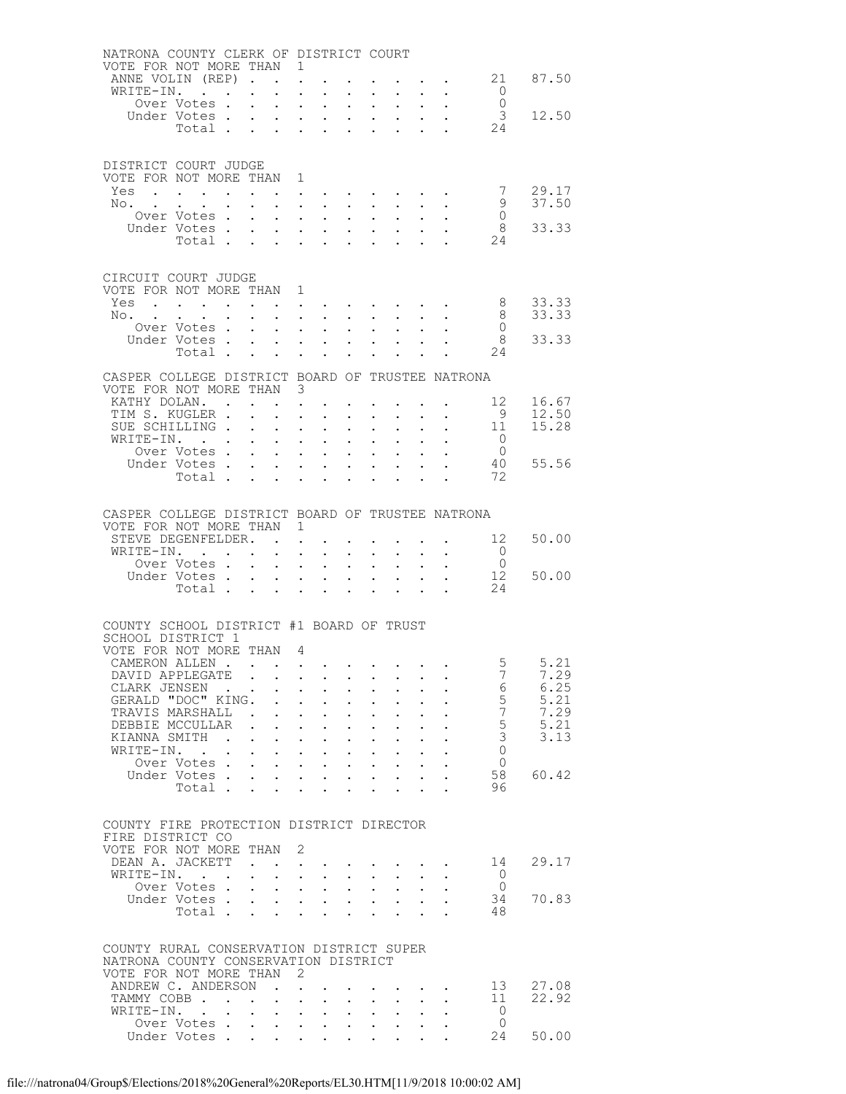| NATRONA COUNTY CLERK OF DISTRICT COURT                                       |                                                                          |                                                                                         |                                             |                                                                                                                                                                                    |                           |                                                                                |                                                                  |              |                                                                                                                      |                       |                   |
|------------------------------------------------------------------------------|--------------------------------------------------------------------------|-----------------------------------------------------------------------------------------|---------------------------------------------|------------------------------------------------------------------------------------------------------------------------------------------------------------------------------------|---------------------------|--------------------------------------------------------------------------------|------------------------------------------------------------------|--------------|----------------------------------------------------------------------------------------------------------------------|-----------------------|-------------------|
| VOTE FOR NOT MORE THAN 1<br>ANNE VOLIN (REP).                                |                                                                          |                                                                                         |                                             |                                                                                                                                                                                    |                           |                                                                                |                                                                  |              | $\mathbf{L} = \mathbf{L} \mathbf{L} + \mathbf{L} \mathbf{L}$                                                         |                       | 21 87.50          |
| WRITE-IN.                                                                    |                                                                          |                                                                                         | $\bullet$<br>$\ddot{\phantom{a}}$<br>$\sim$ |                                                                                                                                                                                    |                           |                                                                                |                                                                  |              | $\mathbf{L} = \mathbf{L}$                                                                                            | $\overline{0}$        |                   |
|                                                                              | Over Votes .                                                             |                                                                                         | $\ddot{\phantom{0}}$<br>$\bullet$ .         | $\sim$                                                                                                                                                                             |                           | $\bullet$ .<br><br><br><br><br><br><br><br><br><br><br><br>                    |                                                                  |              | $\mathbf{L} = \mathbf{L} \mathbf{L}$                                                                                 | $\overline{0}$        |                   |
|                                                                              | Under Votes.                                                             |                                                                                         | $\mathbf{L}$                                | $\ddot{\phantom{0}}$                                                                                                                                                               |                           |                                                                                |                                                                  |              |                                                                                                                      |                       | $3 \t 12.50$      |
|                                                                              | Total                                                                    | $\sim$                                                                                  | $\ddot{\phantom{a}}$                        | $\sim$                                                                                                                                                                             |                           |                                                                                |                                                                  |              |                                                                                                                      | 24                    |                   |
|                                                                              |                                                                          |                                                                                         |                                             |                                                                                                                                                                                    |                           |                                                                                |                                                                  |              |                                                                                                                      |                       |                   |
| DISTRICT COURT JUDGE                                                         |                                                                          |                                                                                         |                                             |                                                                                                                                                                                    |                           |                                                                                |                                                                  |              |                                                                                                                      |                       |                   |
| VOTE FOR NOT MORE THAN 1                                                     |                                                                          |                                                                                         |                                             |                                                                                                                                                                                    |                           |                                                                                |                                                                  |              |                                                                                                                      |                       |                   |
| Yes                                                                          | $\mathbf{r}$ , $\mathbf{r}$ , $\mathbf{r}$ , $\mathbf{r}$ , $\mathbf{r}$ |                                                                                         |                                             |                                                                                                                                                                                    |                           |                                                                                | $\sim 100$                                                       |              |                                                                                                                      | $\overline{7}$        | 29.17             |
| No. .                                                                        | Over Votes.                                                              |                                                                                         | $\ddot{\phantom{0}}$                        | $\mathcal{A}^{\mathcal{A}}$ . The contribution of the contribution of $\mathcal{A}^{\mathcal{A}}$<br>$\mathbf{1}$ $\mathbf{1}$ $\mathbf{1}$ $\mathbf{1}$ $\mathbf{1}$ $\mathbf{1}$ | $\mathbf{L}$              | $\sim$                                                                         |                                                                  |              | $\mathbf{z} = \mathbf{z} + \mathbf{z}$ .                                                                             | 9<br>$\overline{0}$   | 37.50             |
|                                                                              | Under Votes                                                              |                                                                                         |                                             |                                                                                                                                                                                    |                           |                                                                                | $\mathbf{z} = \mathbf{z} + \mathbf{z}$                           |              |                                                                                                                      |                       | 8 33.33           |
|                                                                              | Votes<br>Total                                                           |                                                                                         |                                             |                                                                                                                                                                                    |                           |                                                                                | $\mathbf{L} = \mathbf{L}$                                        |              |                                                                                                                      | 24                    |                   |
|                                                                              |                                                                          |                                                                                         |                                             |                                                                                                                                                                                    |                           |                                                                                |                                                                  |              |                                                                                                                      |                       |                   |
| CIRCUIT COURT JUDGE                                                          |                                                                          |                                                                                         |                                             |                                                                                                                                                                                    |                           |                                                                                |                                                                  |              |                                                                                                                      |                       |                   |
| VOTE FOR NOT MORE THAN 1                                                     |                                                                          |                                                                                         |                                             |                                                                                                                                                                                    |                           |                                                                                |                                                                  |              |                                                                                                                      |                       |                   |
| Yes                                                                          |                                                                          |                                                                                         |                                             |                                                                                                                                                                                    |                           |                                                                                |                                                                  |              | $\mathbf{u} = \mathbf{u} + \mathbf{u} + \mathbf{u} + \mathbf{u} + \mathbf{u} + \mathbf{u} + \mathbf{u} + \mathbf{u}$ | 8                     | 33.33             |
| $\mathrm{No.}$                                                               |                                                                          |                                                                                         |                                             | $\mathbf{1}$ $\mathbf{1}$ $\mathbf{1}$ $\mathbf{1}$ $\mathbf{1}$ $\mathbf{1}$ $\mathbf{1}$                                                                                         |                           | $\sim$                                                                         |                                                                  |              | $\mathbf{L}$ and $\mathbf{L}$                                                                                        | - 8                   | 33.33             |
|                                                                              | Over Votes<br>Under Votes                                                |                                                                                         | $\bullet$ .                                 | $\mathbf{r} = \mathbf{r} + \mathbf{r}$ .<br>$\cdot$ $\cdot$ $\cdot$                                                                                                                | $\mathbf{L}^{\text{max}}$ |                                                                                | $\mathbf{z} = \mathbf{z} + \mathbf{z}$ .                         |              |                                                                                                                      | - 0<br>- 8            | 33.33             |
|                                                                              | Total                                                                    |                                                                                         |                                             | $\mathcal{A}^{\mathcal{A}}$ and $\mathcal{A}^{\mathcal{A}}$ and $\mathcal{A}^{\mathcal{A}}$                                                                                        |                           |                                                                                |                                                                  |              |                                                                                                                      | 24                    |                   |
|                                                                              |                                                                          |                                                                                         |                                             |                                                                                                                                                                                    |                           |                                                                                |                                                                  |              |                                                                                                                      |                       |                   |
| CASPER COLLEGE DISTRICT BOARD OF TRUSTEE NATRONA<br>VOTE FOR NOT MORE THAN 3 |                                                                          |                                                                                         |                                             |                                                                                                                                                                                    |                           |                                                                                |                                                                  |              |                                                                                                                      |                       |                   |
| KATHY DOLAN. .                                                               |                                                                          |                                                                                         |                                             |                                                                                                                                                                                    |                           |                                                                                |                                                                  |              |                                                                                                                      | 12                    | 16.67             |
| TIM S. KUGLER.                                                               |                                                                          |                                                                                         | $\mathbf{L}$                                | $\mathbf{L}$                                                                                                                                                                       |                           |                                                                                |                                                                  |              |                                                                                                                      | - 9                   | 12.50             |
| SUE SCHILLING                                                                |                                                                          |                                                                                         | $\bullet$ .                                 | $\mathbf{L}^{\text{max}}$ , and $\mathbf{L}^{\text{max}}$                                                                                                                          | $\ddot{\phantom{0}}$      | $\bullet$ .                                                                    | $\bullet$ .                                                      |              |                                                                                                                      | 11                    | 15.28             |
| WRITE-IN.                                                                    |                                                                          |                                                                                         | $\mathbf{L}$                                | $\mathbf{L} = \mathbf{L}$                                                                                                                                                          |                           |                                                                                |                                                                  |              |                                                                                                                      | $\overline{0}$        |                   |
|                                                                              | Over Votes<br>Under Votes.                                               | $\mathbf{r}$ , $\mathbf{r}$ , $\mathbf{r}$ , $\mathbf{r}$                               | $\sim$                                      | $\mathcal{L}^{\text{max}}$ , $\mathcal{L}^{\text{max}}$                                                                                                                            | $\ddot{\phantom{0}}$      | $\bullet$ .<br>$\mathbf{A}$                                                    | $\ddot{\phantom{0}}$                                             |              |                                                                                                                      | $\overline{0}$        | 40 55.56          |
|                                                                              | Total                                                                    |                                                                                         | $\bullet$ .                                 | $\mathbf{L} = \mathbf{L} \mathbf{L}$                                                                                                                                               |                           | $\ddot{\phantom{0}}$                                                           |                                                                  |              | $\cdot$ $\cdot$ $\cdot$                                                                                              | 72                    |                   |
|                                                                              |                                                                          |                                                                                         |                                             |                                                                                                                                                                                    |                           |                                                                                |                                                                  |              |                                                                                                                      |                       |                   |
| CASPER COLLEGE DISTRICT BOARD OF TRUSTEE NATRONA                             |                                                                          |                                                                                         |                                             |                                                                                                                                                                                    |                           |                                                                                |                                                                  |              |                                                                                                                      |                       |                   |
| VOTE FOR NOT MORE THAN 1                                                     |                                                                          |                                                                                         |                                             |                                                                                                                                                                                    |                           |                                                                                |                                                                  |              |                                                                                                                      |                       |                   |
| STEVE DEGENFELDER.                                                           |                                                                          |                                                                                         |                                             |                                                                                                                                                                                    |                           |                                                                                |                                                                  |              |                                                                                                                      | 12                    | 50.00             |
| WRITE-IN. .                                                                  |                                                                          |                                                                                         | $\bullet$ .                                 | $\mathcal{A}^{\mathcal{A}}$ and $\mathcal{A}^{\mathcal{A}}$ and                                                                                                                    | $\mathbf{L}^{\text{max}}$ | $\bullet$ .                                                                    |                                                                  |              |                                                                                                                      | $\circ$ 0             |                   |
|                                                                              | Over Votes<br>Under Votes                                                |                                                                                         | $\ddot{\phantom{a}}$<br>$\sim$              | $\sim$ $\sim$                                                                                                                                                                      | $\mathbf{L}$              | $\mathbf{L}$                                                                   |                                                                  |              |                                                                                                                      | $\overline{0}$<br>12  | 50.00             |
|                                                                              | Total                                                                    |                                                                                         |                                             | $\mathbf{L}^{\text{max}}$ , and $\mathbf{L}^{\text{max}}$<br>$\mathbf{r} = \mathbf{r}$ , $\mathbf{r} = \mathbf{r}$                                                                 |                           |                                                                                | $\mathbf{z} = \mathbf{z} + \mathbf{z}$ .                         | $\mathbf{L}$ |                                                                                                                      | 24                    |                   |
|                                                                              |                                                                          |                                                                                         |                                             |                                                                                                                                                                                    |                           |                                                                                |                                                                  |              |                                                                                                                      |                       |                   |
|                                                                              |                                                                          |                                                                                         |                                             |                                                                                                                                                                                    |                           |                                                                                |                                                                  |              |                                                                                                                      |                       |                   |
| COUNTY SCHOOL DISTRICT #1 BOARD OF TRUST<br>SCHOOL DISTRICT 1                |                                                                          |                                                                                         |                                             |                                                                                                                                                                                    |                           |                                                                                |                                                                  |              |                                                                                                                      |                       |                   |
| VOTE FOR NOT MORE THAN 4                                                     |                                                                          |                                                                                         |                                             |                                                                                                                                                                                    |                           |                                                                                |                                                                  |              |                                                                                                                      |                       |                   |
| CAMERON ALLEN.                                                               |                                                                          |                                                                                         |                                             |                                                                                                                                                                                    |                           |                                                                                |                                                                  |              |                                                                                                                      | 5                     | 5.21              |
| DAVID APPLEGATE                                                              |                                                                          |                                                                                         |                                             |                                                                                                                                                                                    |                           |                                                                                |                                                                  |              |                                                                                                                      | $7\phantom{.0}$       | 7.29              |
| CLARK JENSEN .<br>GERALD "DOC" KING. .                                       |                                                                          | $\ddot{\phantom{0}}$                                                                    |                                             | <b>Service</b> State                                                                                                                                                               | $\bullet$ .               |                                                                                | $\mathbf{A}^{(1)}$ and $\mathbf{A}^{(2)}$ and                    |              | $\mathbf{r}$ , and $\mathbf{r}$ , and $\mathbf{r}$ , and $\mathbf{r}$                                                | 6<br>5 <sup>5</sup>   | 6.25<br>5.21      |
| TRAVIS MARSHALL.                                                             |                                                                          |                                                                                         |                                             | $\mathbf{1}$ $\mathbf{1}$ $\mathbf{1}$ $\mathbf{1}$ $\mathbf{1}$                                                                                                                   |                           | $\mathbf{L} = \mathbf{L}$                                                      |                                                                  |              | $\frac{1}{2}$                                                                                                        | $7\overline{ }$       | 7.29              |
| DEBBIE MCCULLAR                                                              |                                                                          | $\sim 10^{-11}$<br>$\mathbf{L}$                                                         |                                             | $\mathcal{A}^{\mathcal{A}}$ and $\mathcal{A}^{\mathcal{A}}$ and $\mathcal{A}^{\mathcal{A}}$                                                                                        | $\bullet$ .               |                                                                                | $\mathbf{z} = \mathbf{z} + \mathbf{z}$ .                         |              | $\frac{1}{2}$                                                                                                        | $5\overline{)}$       | 5.21              |
| KIANNA SMITH                                                                 |                                                                          |                                                                                         |                                             |                                                                                                                                                                                    |                           |                                                                                | <b>Contract Contract Contract</b>                                |              |                                                                                                                      | $\mathcal{S}$         | 3.13              |
| WRITE-IN.                                                                    | Over Votes                                                               |                                                                                         |                                             |                                                                                                                                                                                    | $\mathbf{L}^{\text{max}}$ |                                                                                | $\mathbf{A}^{(1)}$ and $\mathbf{A}^{(2)}$ and $\mathbf{A}^{(3)}$ |              |                                                                                                                      | $\circ$<br>- 0        |                   |
|                                                                              | Under Votes                                                              |                                                                                         |                                             |                                                                                                                                                                                    |                           |                                                                                |                                                                  |              |                                                                                                                      | 58                    | 60.42             |
|                                                                              | Total                                                                    |                                                                                         |                                             |                                                                                                                                                                                    |                           |                                                                                |                                                                  |              |                                                                                                                      | 96                    |                   |
|                                                                              |                                                                          |                                                                                         |                                             |                                                                                                                                                                                    |                           |                                                                                |                                                                  |              |                                                                                                                      |                       |                   |
| COUNTY FIRE PROTECTION DISTRICT DIRECTOR                                     |                                                                          |                                                                                         |                                             |                                                                                                                                                                                    |                           |                                                                                |                                                                  |              |                                                                                                                      |                       |                   |
| FIRE DISTRICT CO                                                             |                                                                          |                                                                                         |                                             |                                                                                                                                                                                    |                           |                                                                                |                                                                  |              |                                                                                                                      |                       |                   |
| VOTE FOR NOT MORE THAN 2                                                     |                                                                          |                                                                                         |                                             |                                                                                                                                                                                    |                           |                                                                                |                                                                  |              |                                                                                                                      |                       |                   |
| DEAN A. JACKETT.                                                             |                                                                          |                                                                                         |                                             |                                                                                                                                                                                    |                           |                                                                                |                                                                  |              |                                                                                                                      | 14                    | 29.17             |
| WRITE-IN.                                                                    | Over Votes .                                                             | $\mathbf{r}$ , $\mathbf{r}$ , $\mathbf{r}$ , $\mathbf{r}$ , $\mathbf{r}$ , $\mathbf{r}$ | $\mathbf{L}^{\text{max}}$                   | $\mathcal{A}^{\mathcal{A}}$ , $\mathcal{A}^{\mathcal{A}}$ , $\mathcal{A}^{\mathcal{A}}$ , $\mathcal{A}^{\mathcal{A}}$                                                              |                           |                                                                                | $\mathbf{u} = \mathbf{u} \cdot \mathbf{u}$ .                     |              | $\mathbf{L}$                                                                                                         | - 0<br>$\overline{0}$ |                   |
|                                                                              |                                                                          |                                                                                         |                                             |                                                                                                                                                                                    |                           |                                                                                |                                                                  |              |                                                                                                                      | 34                    | 70.83             |
|                                                                              | Under Votes<br>Total                                                     |                                                                                         |                                             |                                                                                                                                                                                    |                           |                                                                                |                                                                  |              |                                                                                                                      | 48                    |                   |
|                                                                              |                                                                          |                                                                                         |                                             |                                                                                                                                                                                    |                           |                                                                                |                                                                  |              |                                                                                                                      |                       |                   |
| COUNTY RURAL CONSERVATION DISTRICT SUPER                                     |                                                                          |                                                                                         |                                             |                                                                                                                                                                                    |                           |                                                                                |                                                                  |              |                                                                                                                      |                       |                   |
| NATRONA COUNTY CONSERVATION DISTRICT                                         |                                                                          |                                                                                         |                                             |                                                                                                                                                                                    |                           |                                                                                |                                                                  |              |                                                                                                                      |                       |                   |
| VOTE FOR NOT MORE THAN 2                                                     |                                                                          |                                                                                         |                                             |                                                                                                                                                                                    |                           |                                                                                |                                                                  |              |                                                                                                                      |                       |                   |
| ANDREW C. ANDERSON<br>TAMMY COBB                                             |                                                                          |                                                                                         | <b>Contract Contract Contract</b>           |                                                                                                                                                                                    |                           |                                                                                |                                                                  |              |                                                                                                                      | 11                    | 13 27.08<br>22.92 |
| WRITE-IN. .                                                                  |                                                                          | $\mathbf{L}$                                                                            | $\sim 10^{-11}$<br>$\sim$ $-$               | $\sim 10^{-11}$<br>$\mathbf{r} = \mathbf{r} + \mathbf{r} + \mathbf{r}$                                                                                                             |                           | $\bullet$ .<br><br><br><br><br><br><br><br><br><br><br><br><br>$\sim 10^{-10}$ | $\mathbf{L}^{\text{max}}$                                        |              |                                                                                                                      | $\overline{0}$        |                   |
|                                                                              | Over Votes                                                               | $\bullet$ .                                                                             |                                             | $\mathcal{A}^{\mathcal{A}}$ , and $\mathcal{A}^{\mathcal{A}}$                                                                                                                      |                           |                                                                                |                                                                  |              |                                                                                                                      | $\overline{0}$        |                   |
|                                                                              | Under Votes                                                              |                                                                                         |                                             |                                                                                                                                                                                    |                           | $\cdot$ $\cdot$ $\cdot$                                                        |                                                                  |              |                                                                                                                      | 24                    | 50.00             |